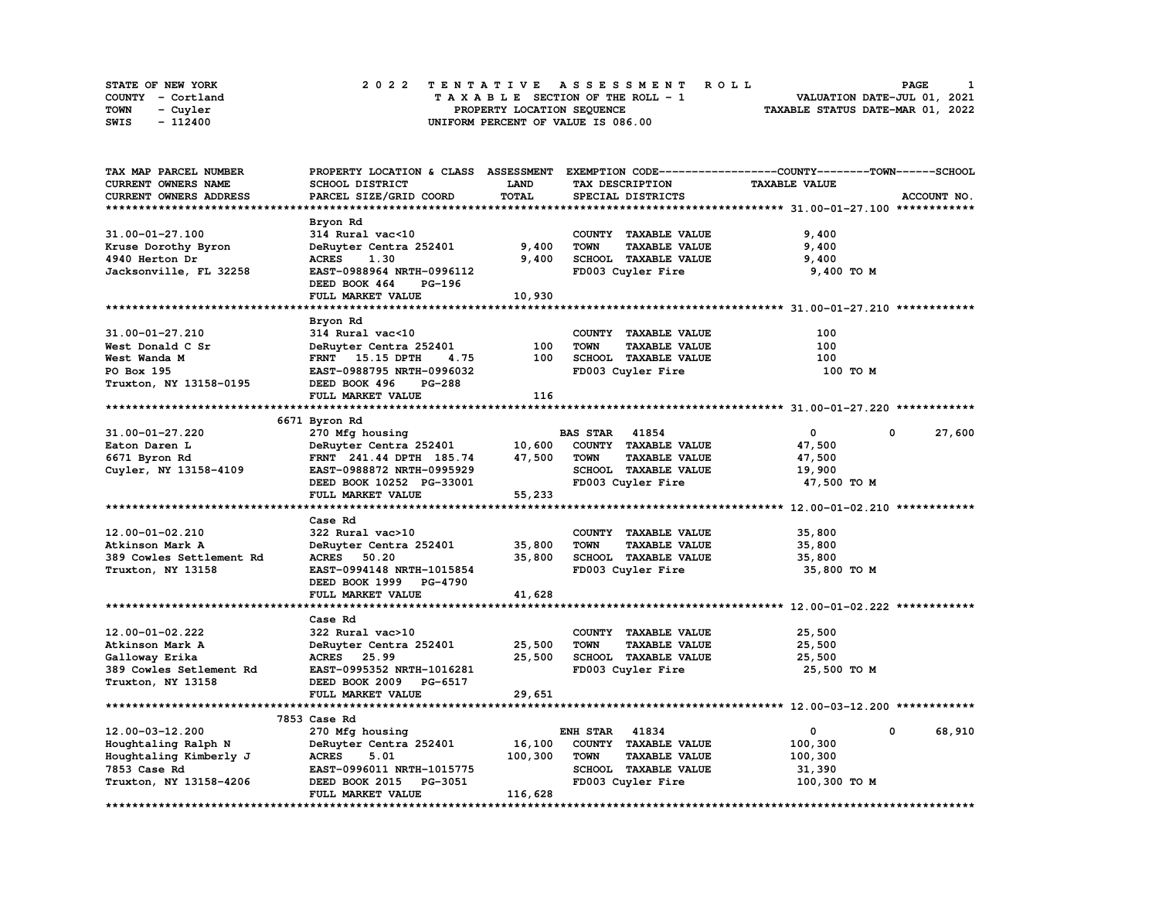| <b>STATE OF NEW YORK</b> | 2022 TENTATIVE ASSESSMENT ROLL     | PAGE                             |
|--------------------------|------------------------------------|----------------------------------|
| COUNTY - Cortland        | TAXABLE SECTION OF THE ROLL - 1    | VALUATION DATE-JUL 01, 2021      |
| <b>TOWN</b><br>- Cuyler  | PROPERTY LOCATION SEQUENCE         | TAXABLE STATUS DATE-MAR 01, 2022 |
| - 112400<br>SWIS         | UNIFORM PERCENT OF VALUE IS 086.00 |                                  |

| TAX MAP PARCEL NUMBER    |                                |              |                                     | PROPERTY LOCATION & CLASS ASSESSMENT EXEMPTION CODE-----------------COUNTY-------TOWN------SCHOOL |        |
|--------------------------|--------------------------------|--------------|-------------------------------------|---------------------------------------------------------------------------------------------------|--------|
| CURRENT OWNERS NAME      | SCHOOL DISTRICT                | <b>LAND</b>  | TAX DESCRIPTION                     | <b>TAXABLE VALUE</b>                                                                              |        |
| CURRENT OWNERS ADDRESS   | PARCEL SIZE/GRID COORD         | <b>TOTAL</b> | SPECIAL DISTRICTS                   | ACCOUNT NO.                                                                                       |        |
|                          |                                |              |                                     |                                                                                                   |        |
|                          | Bryon Rd                       |              |                                     |                                                                                                   |        |
| 31.00-01-27.100          | 314 Rural vac<10               |              | COUNTY TAXABLE VALUE                | 9,400                                                                                             |        |
| Kruse Dorothy Byron      | DeRuyter Centra 252401         | 9,400        | <b>TOWN</b><br><b>TAXABLE VALUE</b> | 9,400                                                                                             |        |
| 4940 Herton Dr           | <b>ACRES</b><br>1.30           | 9,400        | SCHOOL TAXABLE VALUE                | 9,400                                                                                             |        |
| Jacksonville, FL 32258   | EAST-0988964 NRTH-0996112      |              | FD003 Cuyler Fire                   | 9,400 TO M                                                                                        |        |
|                          | <b>PG-196</b>                  |              |                                     |                                                                                                   |        |
|                          | DEED BOOK 464                  |              |                                     |                                                                                                   |        |
|                          | FULL MARKET VALUE              | 10,930       |                                     |                                                                                                   |        |
|                          |                                |              |                                     |                                                                                                   |        |
|                          | Bryon Rd                       |              |                                     |                                                                                                   |        |
| 31.00-01-27.210          | 314 Rural vac<10               |              | COUNTY TAXABLE VALUE                | 100                                                                                               |        |
| West Donald C Sr         | DeRuyter Centra 252401         | 100          | <b>TOWN</b><br><b>TAXABLE VALUE</b> | 100                                                                                               |        |
| West Wanda M             | <b>FRNT</b> 15.15 DPTH<br>4.75 | 100          | SCHOOL TAXABLE VALUE                | 100                                                                                               |        |
| PO Box 195               | EAST-0988795 NRTH-0996032      |              | FD003 Cuyler Fire                   | 100 TO M                                                                                          |        |
| Truxton, NY 13158-0195   | DEED BOOK 496<br><b>PG-288</b> |              |                                     |                                                                                                   |        |
|                          | FULL MARKET VALUE              | 116          |                                     |                                                                                                   |        |
|                          |                                |              |                                     |                                                                                                   |        |
|                          | 6671 Byron Rd                  |              |                                     |                                                                                                   |        |
| 31.00-01-27.220          | 270 Mfg housing                |              | <b>BAS STAR</b> 41854               | $\mathbf{0}$<br>0                                                                                 | 27,600 |
| Eaton Daren L            | DeRuyter Centra 252401         | 10,600       | COUNTY TAXABLE VALUE                | 47,500                                                                                            |        |
| 6671 Byron Rd            | FRNT 241.44 DPTH 185.74        | 47,500       | <b>TOWN</b><br><b>TAXABLE VALUE</b> | 47,500                                                                                            |        |
| Cuyler, NY 13158-4109    | EAST-0988872 NRTH-0995929      |              | SCHOOL TAXABLE VALUE                | 19,900                                                                                            |        |
|                          | DEED BOOK 10252 PG-33001       |              | FD003 Cuyler Fire                   | 47,500 TO M                                                                                       |        |
|                          | FULL MARKET VALUE              | 55,233       |                                     |                                                                                                   |        |
|                          |                                |              |                                     |                                                                                                   |        |
|                          | Case Rd                        |              |                                     |                                                                                                   |        |
| 12.00-01-02.210          | 322 Rural vac>10               |              | COUNTY TAXABLE VALUE                | 35,800                                                                                            |        |
| Atkinson Mark A          | DeRuyter Centra 252401         | 35,800       | <b>TOWN</b><br><b>TAXABLE VALUE</b> | 35,800                                                                                            |        |
|                          | <b>ACRES</b><br>50.20          | 35,800       | SCHOOL TAXABLE VALUE                |                                                                                                   |        |
| 389 Cowles Settlement Rd |                                |              |                                     | 35,800                                                                                            |        |
| Truxton, NY 13158        | EAST-0994148 NRTH-1015854      |              | FD003 Cuyler Fire                   | 35,800 TO M                                                                                       |        |
|                          | DEED BOOK 1999 PG-4790         |              |                                     |                                                                                                   |        |
|                          | FULL MARKET VALUE              | 41,628       |                                     |                                                                                                   |        |
|                          |                                |              |                                     |                                                                                                   |        |
|                          | Case Rd                        |              |                                     |                                                                                                   |        |
| 12.00-01-02.222          | 322 Rural vac>10               |              | COUNTY TAXABLE VALUE                | 25,500                                                                                            |        |
| Atkinson Mark A          | DeRuyter Centra 252401         | 25,500       | <b>TOWN</b><br><b>TAXABLE VALUE</b> | 25,500                                                                                            |        |
| Galloway Erika           | ACRES 25.99                    | 25,500       | SCHOOL TAXABLE VALUE                | 25,500                                                                                            |        |
| 389 Cowles Setlement Rd  | EAST-0995352 NRTH-1016281      |              | FD003 Cuyler Fire                   | 25,500 TO M                                                                                       |        |
| Truxton, NY 13158        | DEED BOOK 2009 PG-6517         |              |                                     |                                                                                                   |        |
|                          | FULL MARKET VALUE              | 29,651       |                                     |                                                                                                   |        |
|                          |                                |              |                                     |                                                                                                   |        |
|                          | 7853 Case Rd                   |              |                                     |                                                                                                   |        |
| 12.00-03-12.200          | 270 Mfg housing                |              | <b>ENH STAR</b><br>41834            | 0<br>0                                                                                            | 68,910 |
| Houghtaling Ralph N      | DeRuyter Centra 252401         | 16,100       | COUNTY TAXABLE VALUE                | 100,300                                                                                           |        |
| Houghtaling Kimberly J   | <b>ACRES</b><br>5.01           | 100,300      | <b>TOWN</b><br><b>TAXABLE VALUE</b> | 100,300                                                                                           |        |
| 7853 Case Rd             | EAST-0996011 NRTH-1015775      |              | SCHOOL TAXABLE VALUE                | 31,390                                                                                            |        |
| Truxton, NY 13158-4206   | DEED BOOK 2015 PG-3051         |              | FD003 Cuyler Fire                   | 100,300 TO M                                                                                      |        |
|                          | FULL MARKET VALUE              | 116,628      |                                     |                                                                                                   |        |
|                          |                                |              |                                     |                                                                                                   |        |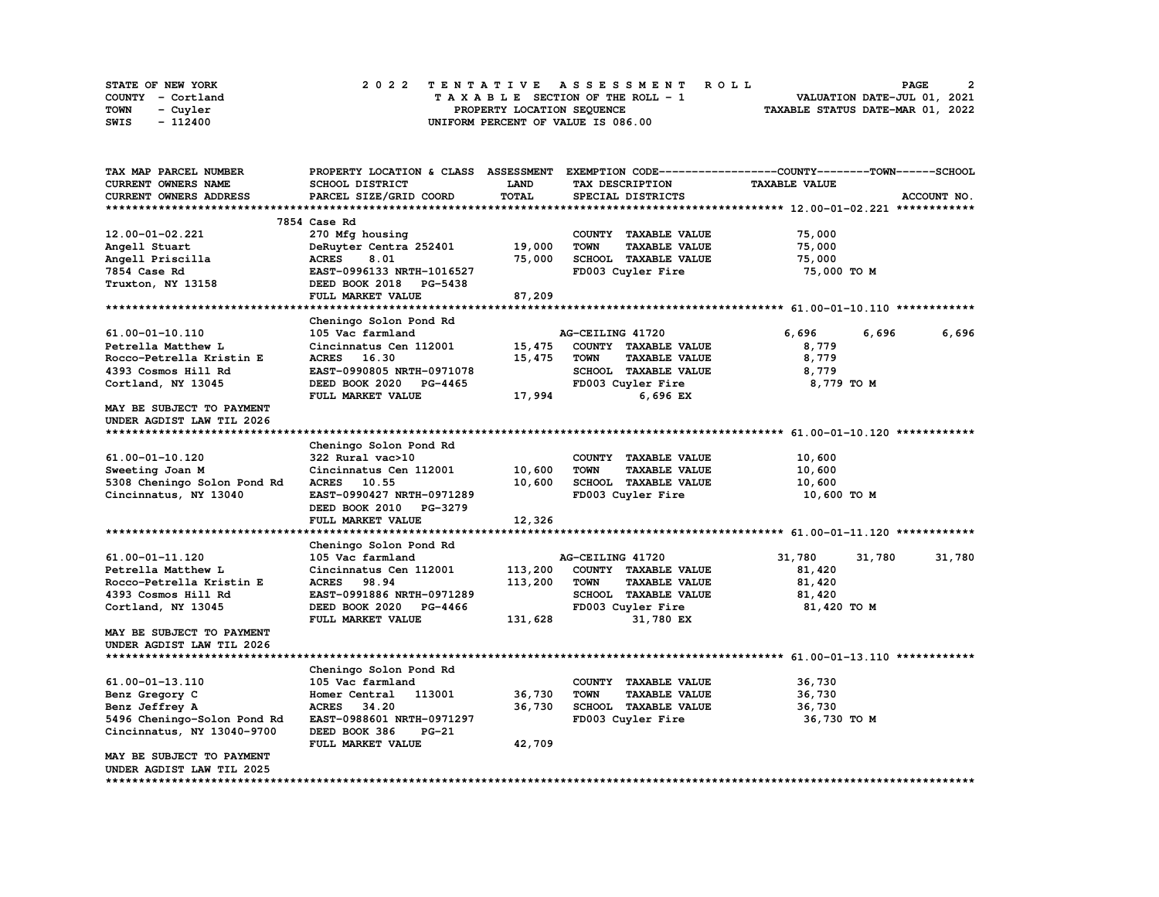| <b>STATE OF NEW YORK</b> | 2022 TENTATIVE ASSESSMENT ROLL     | 2<br>PAGE                        |
|--------------------------|------------------------------------|----------------------------------|
| COUNTY - Cortland        | TAXABLE SECTION OF THE ROLL - 1    | VALUATION DATE-JUL 01, 2021      |
| TOWN<br>- Cuyler         | PROPERTY LOCATION SEOUENCE         | TAXABLE STATUS DATE-MAR 01, 2022 |
| - 112400<br>SWIS         | UNIFORM PERCENT OF VALUE IS 086.00 |                                  |

| TAX MAP PARCEL NUMBER                                  | PROPERTY LOCATION & CLASS ASSESSMENT |         |                                     | EXEMPTION CODE-----------------COUNTY-------TOWN------SCHOOL |             |
|--------------------------------------------------------|--------------------------------------|---------|-------------------------------------|--------------------------------------------------------------|-------------|
| <b>CURRENT OWNERS NAME</b>                             | SCHOOL DISTRICT                      | LAND    | TAX DESCRIPTION                     | <b>TAXABLE VALUE</b>                                         |             |
| CURRENT OWNERS ADDRESS                                 | PARCEL SIZE/GRID COORD               | TOTAL   | SPECIAL DISTRICTS                   |                                                              | ACCOUNT NO. |
|                                                        |                                      |         |                                     |                                                              |             |
|                                                        | 7854 Case Rd                         |         |                                     |                                                              |             |
| 12.00-01-02.221                                        | 270 Mfg housing                      |         | COUNTY TAXABLE VALUE                | 75,000                                                       |             |
| Angell Stuart                                          | DeRuyter Centra 252401               | 19,000  | <b>TAXABLE VALUE</b><br><b>TOWN</b> | 75,000                                                       |             |
| Angell Priscilla                                       | <b>ACRES</b><br>8.01                 | 75,000  | SCHOOL TAXABLE VALUE                | 75,000                                                       |             |
| 7854 Case Rd                                           | EAST-0996133 NRTH-1016527            |         | FD003 Cuyler Fire                   | 75,000 TO M                                                  |             |
| Truxton, NY 13158                                      | DEED BOOK 2018 PG-5438               |         |                                     |                                                              |             |
|                                                        | FULL MARKET VALUE                    | 87,209  |                                     |                                                              |             |
|                                                        |                                      |         |                                     |                                                              |             |
|                                                        | Cheningo Solon Pond Rd               |         |                                     |                                                              |             |
| 61.00-01-10.110                                        | 105 Vac farmland                     |         | AG-CEILING 41720                    | 6,696<br>6,696                                               | 6,696       |
| Petrella Matthew L                                     | Cincinnatus Cen 112001               | 15,475  | COUNTY TAXABLE VALUE                | 8,779                                                        |             |
| Rocco-Petrella Kristin E                               | ACRES 16.30                          | 15,475  | <b>TOWN</b><br><b>TAXABLE VALUE</b> | 8,779                                                        |             |
| 4393 Cosmos Hill Rd                                    | EAST-0990805 NRTH-0971078            |         | SCHOOL TAXABLE VALUE                | 8,779                                                        |             |
| Cortland, NY 13045                                     | DEED BOOK 2020 PG-4465               |         | FD003 Cuyler Fire                   | 8,779 TO M                                                   |             |
|                                                        | FULL MARKET VALUE                    | 17,994  | 6,696 EX                            |                                                              |             |
| MAY BE SUBJECT TO PAYMENT<br>UNDER AGDIST LAW TIL 2026 |                                      |         |                                     |                                                              |             |
|                                                        |                                      |         |                                     |                                                              |             |
|                                                        | Cheningo Solon Pond Rd               |         |                                     |                                                              |             |
| 61.00-01-10.120                                        | 322 Rural vac>10                     |         | COUNTY TAXABLE VALUE                | 10,600                                                       |             |
| Sweeting Joan M                                        | Cincinnatus Cen 112001               | 10,600  | <b>TOWN</b><br><b>TAXABLE VALUE</b> | 10,600                                                       |             |
| 5308 Cheningo Solon Pond Rd                            | ACRES 10.55                          | 10,600  | SCHOOL TAXABLE VALUE                | 10,600                                                       |             |
| Cincinnatus, NY 13040                                  | EAST-0990427 NRTH-0971289            |         | FD003 Cuyler Fire                   | 10,600 TO M                                                  |             |
|                                                        | DEED BOOK 2010<br><b>PG-3279</b>     |         |                                     |                                                              |             |
|                                                        | <b>FULL MARKET VALUE</b>             | 12,326  |                                     |                                                              |             |
|                                                        |                                      |         |                                     |                                                              |             |
|                                                        | Cheningo Solon Pond Rd               |         |                                     |                                                              |             |
| 61.00-01-11.120                                        | 105 Vac farmland                     |         | AG-CEILING 41720                    | 31,780<br>31,780                                             | 31,780      |
| Petrella Matthew L                                     | Cincinnatus Cen 112001               | 113,200 | COUNTY TAXABLE VALUE                | 81,420                                                       |             |
| Rocco-Petrella Kristin E                               | <b>ACRES</b><br>98.94                | 113,200 | <b>TOWN</b><br><b>TAXABLE VALUE</b> | 81,420                                                       |             |
| 4393 Cosmos Hill Rd                                    | EAST-0991886 NRTH-0971289            |         | SCHOOL TAXABLE VALUE                | 81,420                                                       |             |
| Cortland, NY 13045                                     | DEED BOOK 2020<br><b>PG-4466</b>     |         | FD003 Cuyler Fire                   | 81,420 TO M                                                  |             |
|                                                        | FULL MARKET VALUE                    | 131,628 | 31,780 EX                           |                                                              |             |
| MAY BE SUBJECT TO PAYMENT                              |                                      |         |                                     |                                                              |             |
| UNDER AGDIST LAW TIL 2026                              |                                      |         |                                     |                                                              |             |
|                                                        |                                      |         |                                     |                                                              |             |
|                                                        | Cheningo Solon Pond Rd               |         |                                     |                                                              |             |
| 61.00-01-13.110                                        | 105 Vac farmland                     |         | COUNTY TAXABLE VALUE                | 36,730                                                       |             |
| Benz Gregory C                                         | Homer Central<br>113001              | 36,730  | <b>TOWN</b><br><b>TAXABLE VALUE</b> | 36,730                                                       |             |
| Benz Jeffrey A                                         | <b>ACRES</b><br>34.20                | 36,730  | <b>SCHOOL TAXABLE VALUE</b>         | 36,730                                                       |             |
| 5496 Cheningo-Solon Pond Rd                            | EAST-0988601 NRTH-0971297            |         | FD003 Cuyler Fire                   | 36,730 TO M                                                  |             |
| Cincinnatus, NY 13040-9700                             | DEED BOOK 386<br>$PG-21$             |         |                                     |                                                              |             |
|                                                        | FULL MARKET VALUE                    | 42,709  |                                     |                                                              |             |
| MAY BE SUBJECT TO PAYMENT                              |                                      |         |                                     |                                                              |             |
| UNDER AGDIST LAW TIL 2025                              |                                      |         |                                     |                                                              |             |
|                                                        |                                      |         |                                     |                                                              |             |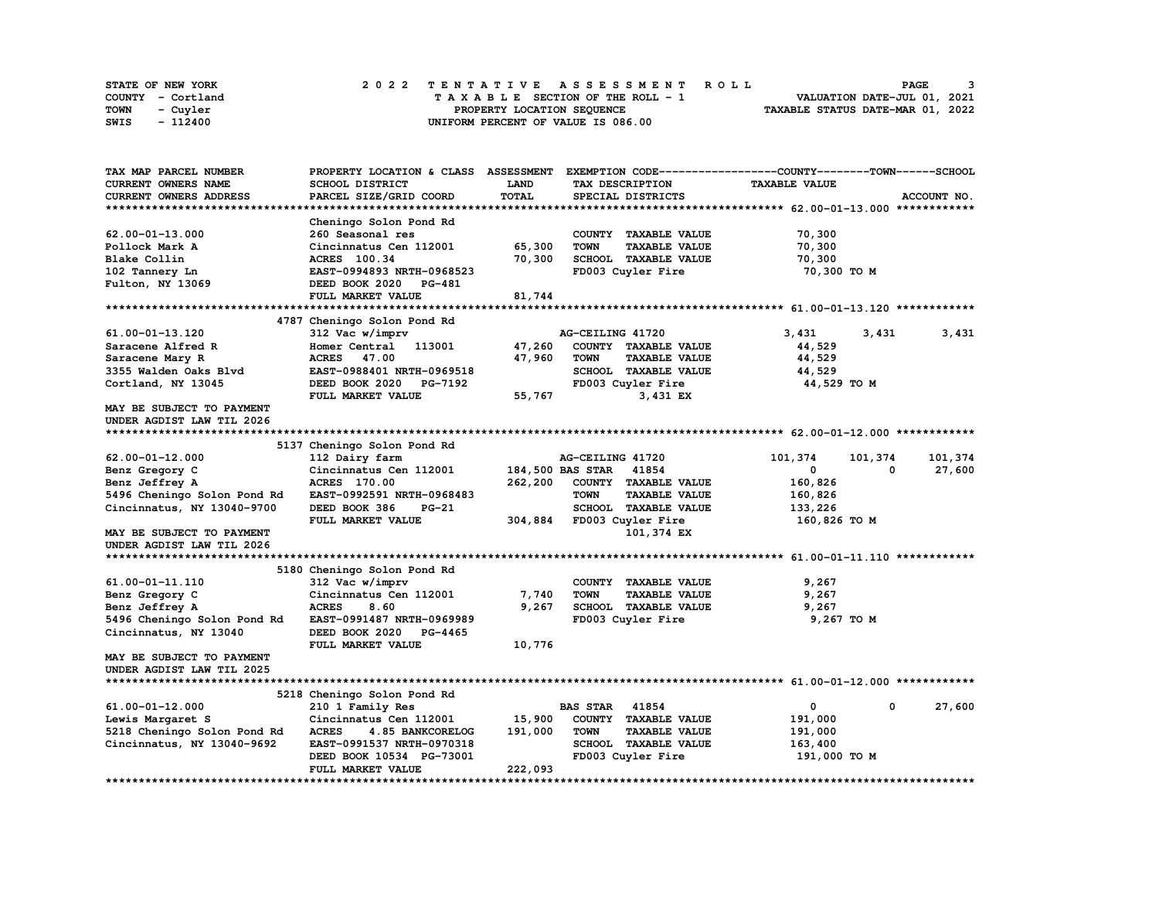| STATE OF NEW YORK | 2022 TENTATIVE ASSESSMENT ROLL     | PAGE                             |
|-------------------|------------------------------------|----------------------------------|
| COUNTY - Cortland | TAXABLE SECTION OF THE ROLL - 1    | VALUATION DATE-JUL 01, 2021      |
| TOWN<br>- Cuyler  | PROPERTY LOCATION SEQUENCE         | TAXABLE STATUS DATE-MAR 01, 2022 |
| - 112400<br>SWIS  | UNIFORM PERCENT OF VALUE IS 086.00 |                                  |

| TAX MAP PARCEL NUMBER       | PROPERTY LOCATION & CLASS ASSESSMENT |         |                                     | EXEMPTION CODE------------------COUNTY-------TOWN------SCHOOL |             |
|-----------------------------|--------------------------------------|---------|-------------------------------------|---------------------------------------------------------------|-------------|
| <b>CURRENT OWNERS NAME</b>  | SCHOOL DISTRICT                      | LAND    | TAX DESCRIPTION                     | <b>TAXABLE VALUE</b>                                          |             |
| CURRENT OWNERS ADDRESS      | PARCEL SIZE/GRID COORD               | TOTAL   | SPECIAL DISTRICTS                   |                                                               | ACCOUNT NO. |
|                             |                                      |         |                                     |                                                               |             |
|                             | Cheningo Solon Pond Rd               |         |                                     |                                                               |             |
| $62.00 - 01 - 13.000$       | 260 Seasonal res                     |         | COUNTY TAXABLE VALUE                | 70,300                                                        |             |
| Pollock Mark A              | Cincinnatus Cen 112001               | 65,300  | <b>TOWN</b><br><b>TAXABLE VALUE</b> | 70,300                                                        |             |
| Blake Collin                | ACRES 100.34                         | 70,300  | SCHOOL TAXABLE VALUE                | 70,300                                                        |             |
| 102 Tannery Ln              | EAST-0994893 NRTH-0968523            |         | FD003 Cuyler Fire                   | 70,300 TO M                                                   |             |
| Fulton, NY 13069            | DEED BOOK 2020<br><b>PG-481</b>      |         |                                     |                                                               |             |
|                             | <b>FULL MARKET VALUE</b>             | 81,744  |                                     |                                                               |             |
|                             |                                      |         |                                     |                                                               |             |
|                             | 4787 Cheningo Solon Pond Rd          |         |                                     |                                                               |             |
| 61.00-01-13.120             | 312 Vac w/imprv                      |         | AG-CEILING 41720                    | 3,431<br>3,431                                                | 3,431       |
| Saracene Alfred R           | Homer Central 113001                 | 47,260  | COUNTY TAXABLE VALUE                | 44,529                                                        |             |
| Saracene Mary R             | ACRES 47.00                          | 47,960  | <b>TOWN</b><br><b>TAXABLE VALUE</b> | 44,529                                                        |             |
| 3355 Walden Oaks Blvd       | EAST-0988401 NRTH-0969518            |         | SCHOOL TAXABLE VALUE                | 44,529                                                        |             |
| Cortland, NY 13045          | DEED BOOK 2020<br>PG-7192            |         | FD003 Cuyler Fire                   | 44,529 TO M                                                   |             |
|                             | FULL MARKET VALUE                    | 55,767  | 3,431 EX                            |                                                               |             |
| MAY BE SUBJECT TO PAYMENT   |                                      |         |                                     |                                                               |             |
| UNDER AGDIST LAW TIL 2026   |                                      |         |                                     |                                                               |             |
|                             |                                      |         |                                     |                                                               |             |
|                             | 5137 Cheningo Solon Pond Rd          |         |                                     |                                                               |             |
| $62.00 - 01 - 12.000$       | 112 Dairy farm                       |         | AG-CEILING 41720                    | 101,374<br>101,374                                            | 101,374     |
| Benz Gregory C              | Cincinnatus Cen 112001               |         | 184,500 BAS STAR<br>41854           | $\mathbf 0$<br>0                                              | 27,600      |
| Benz Jeffrey A              | ACRES 170.00                         | 262,200 | COUNTY TAXABLE VALUE                | 160,826                                                       |             |
|                             | EAST-0992591 NRTH-0968483            |         | <b>TOWN</b><br><b>TAXABLE VALUE</b> |                                                               |             |
| 5496 Cheningo Solon Pond Rd |                                      |         |                                     | 160,826                                                       |             |
| Cincinnatus, NY 13040-9700  | DEED BOOK 386<br>PG-21               |         | SCHOOL TAXABLE VALUE                | 133,226                                                       |             |
|                             | FULL MARKET VALUE                    | 304,884 | FD003 Cuyler Fire                   | 160,826 то м                                                  |             |
| MAY BE SUBJECT TO PAYMENT   |                                      |         | 101,374 EX                          |                                                               |             |
| UNDER AGDIST LAW TIL 2026   |                                      |         |                                     |                                                               |             |
|                             |                                      |         |                                     |                                                               |             |
|                             | 5180 Cheningo Solon Pond Rd          |         |                                     |                                                               |             |
| 61.00-01-11.110             | 312 Vac w/imprv                      |         | COUNTY TAXABLE VALUE                | 9,267                                                         |             |
| Benz Gregory C              | Cincinnatus Cen 112001               | 7,740   | <b>TOWN</b><br><b>TAXABLE VALUE</b> | 9,267                                                         |             |
| Benz Jeffrey A              | <b>ACRES</b><br>8.60                 | 9,267   | SCHOOL TAXABLE VALUE                | 9,267                                                         |             |
| 5496 Cheningo Solon Pond Rd | EAST-0991487 NRTH-0969989            |         | FD003 Cuyler Fire                   | 9,267 TO M                                                    |             |
| Cincinnatus, NY 13040       | DEED BOOK 2020 PG-4465               |         |                                     |                                                               |             |
|                             | FULL MARKET VALUE                    | 10,776  |                                     |                                                               |             |
| MAY BE SUBJECT TO PAYMENT   |                                      |         |                                     |                                                               |             |
| UNDER AGDIST LAW TIL 2025   |                                      |         |                                     |                                                               |             |
|                             |                                      |         |                                     |                                                               |             |
|                             | 5218 Cheningo Solon Pond Rd          |         |                                     |                                                               |             |
| 61.00-01-12.000             | 210 1 Family Res                     |         | <b>BAS STAR</b><br>41854            | 0<br>0                                                        | 27,600      |
| Lewis Margaret S            | Cincinnatus Cen 112001               | 15,900  | COUNTY TAXABLE VALUE                | 191,000                                                       |             |
| 5218 Cheningo Solon Pond Rd | <b>ACRES</b><br>4.85 BANKCORELOG     | 191,000 | <b>TOWN</b><br><b>TAXABLE VALUE</b> | 191,000                                                       |             |
| Cincinnatus, NY 13040-9692  | EAST-0991537 NRTH-0970318            |         | SCHOOL TAXABLE VALUE                | 163,400                                                       |             |
|                             | DEED BOOK 10534 PG-73001             |         | FD003 Cuyler Fire                   | 191,000 TO M                                                  |             |
|                             | <b>FULL MARKET VALUE</b>             | 222,093 |                                     |                                                               |             |
|                             |                                      |         |                                     |                                                               |             |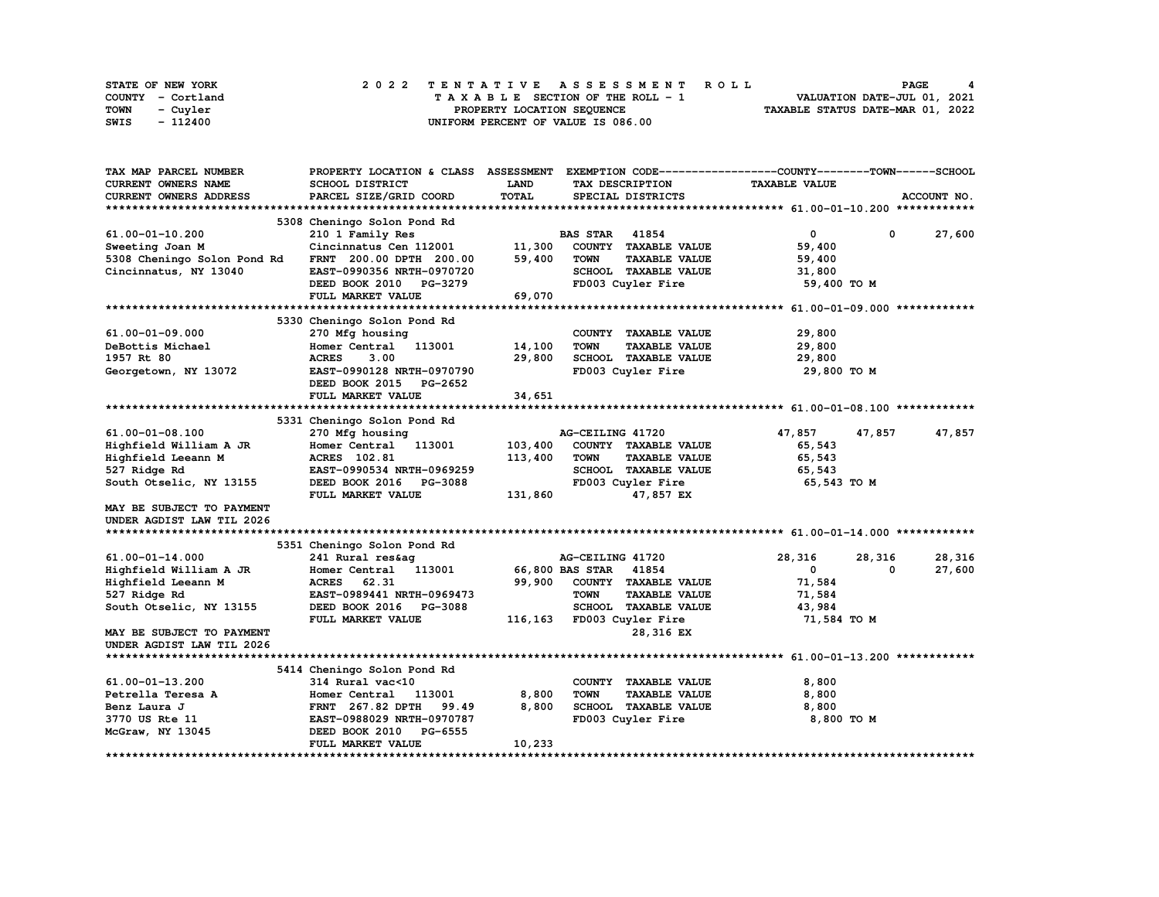| STATE OF NEW YORK | 2022 TENTATIVE ASSESSMENT ROLL     | <b>PAGE</b>                      |
|-------------------|------------------------------------|----------------------------------|
| COUNTY - Cortland | TAXABLE SECTION OF THE ROLL - 1    | VALUATION DATE-JUL 01, 2021      |
| TOWN<br>- Cuvler  | PROPERTY LOCATION SEQUENCE         | TAXABLE STATUS DATE-MAR 01, 2022 |
| - 112400<br>SWIS  | UNIFORM PERCENT OF VALUE IS 086.00 |                                  |

| TAX MAP PARCEL NUMBER       | PROPERTY LOCATION & CLASS ASSESSMENT |              |                          |                      | EXEMPTION CODE-----------------COUNTY-------TOWN-----SCHOOL |            |             |
|-----------------------------|--------------------------------------|--------------|--------------------------|----------------------|-------------------------------------------------------------|------------|-------------|
| <b>CURRENT OWNERS NAME</b>  | SCHOOL DISTRICT                      | <b>LAND</b>  | TAX DESCRIPTION          |                      | <b>TAXABLE VALUE</b>                                        |            |             |
| CURRENT OWNERS ADDRESS      | PARCEL SIZE/GRID COORD               | <b>TOTAL</b> | SPECIAL DISTRICTS        |                      |                                                             |            | ACCOUNT NO. |
|                             |                                      |              |                          |                      |                                                             |            |             |
|                             | 5308 Cheningo Solon Pond Rd          |              |                          |                      |                                                             |            |             |
| 61.00-01-10.200             | 210 1 Family Res                     |              | <b>BAS STAR</b><br>41854 |                      | 0                                                           | $^{\circ}$ | 27,600      |
| Sweeting Joan M             | Cincinnatus Cen 112001               | 11,300       | COUNTY TAXABLE VALUE     |                      | 59,400                                                      |            |             |
| 5308 Cheningo Solon Pond Rd | FRNT 200.00 DPTH 200.00              | 59,400       | <b>TOWN</b>              | <b>TAXABLE VALUE</b> | 59,400                                                      |            |             |
| Cincinnatus, NY 13040       | EAST-0990356 NRTH-0970720            |              | SCHOOL TAXABLE VALUE     |                      | 31,800                                                      |            |             |
|                             | DEED BOOK 2010 PG-3279               |              | FD003 Cuyler Fire        |                      | 59,400 TO M                                                 |            |             |
|                             | FULL MARKET VALUE                    | 69,070       |                          |                      |                                                             |            |             |
|                             |                                      |              |                          |                      |                                                             |            |             |
|                             | 5330 Cheningo Solon Pond Rd          |              |                          |                      |                                                             |            |             |
| 61.00-01-09.000             | 270 Mfg housing                      |              | COUNTY TAXABLE VALUE     |                      | 29,800                                                      |            |             |
| DeBottis Michael            | Homer Central<br>113001              | 14,100       | <b>TOWN</b>              | <b>TAXABLE VALUE</b> |                                                             |            |             |
|                             |                                      |              |                          |                      | 29,800                                                      |            |             |
| 1957 Rt 80                  | 3.00<br><b>ACRES</b>                 | 29,800       | SCHOOL TAXABLE VALUE     |                      | 29,800                                                      |            |             |
| Georgetown, NY 13072        | EAST-0990128 NRTH-0970790            |              | FD003 Cuyler Fire        |                      | 29,800 TO M                                                 |            |             |
|                             | DEED BOOK 2015 PG-2652               |              |                          |                      |                                                             |            |             |
|                             | FULL MARKET VALUE                    | 34,651       |                          |                      |                                                             |            |             |
|                             |                                      |              |                          |                      |                                                             |            |             |
|                             | 5331 Cheningo Solon Pond Rd          |              |                          |                      |                                                             |            |             |
| 61.00-01-08.100             | 270 Mfg housing                      |              | AG-CEILING 41720         |                      | 47,857                                                      | 47,857     | 47,857      |
| Highfield William A JR      | Homer Central 113001                 | 103,400      | COUNTY TAXABLE VALUE     |                      | 65,543                                                      |            |             |
| Highfield Leeann M          | <b>ACRES</b> 102.81                  | 113,400      | <b>TOWN</b>              | <b>TAXABLE VALUE</b> | 65,543                                                      |            |             |
| 527 Ridge Rd                | EAST-0990534 NRTH-0969259            |              | SCHOOL TAXABLE VALUE     |                      | 65,543                                                      |            |             |
| South Otselic, NY 13155     | DEED BOOK 2016 PG-3088               |              | FD003 Cuyler Fire        |                      | 65,543 TO M                                                 |            |             |
|                             | FULL MARKET VALUE                    | 131,860      |                          | 47,857 EX            |                                                             |            |             |
| MAY BE SUBJECT TO PAYMENT   |                                      |              |                          |                      |                                                             |            |             |
| UNDER AGDIST LAW TIL 2026   |                                      |              |                          |                      |                                                             |            |             |
|                             |                                      |              |                          |                      |                                                             |            |             |
|                             | 5351 Cheningo Solon Pond Rd          |              |                          |                      |                                                             |            |             |
| 61.00-01-14.000             | 241 Rural res&aq                     |              | AG-CEILING 41720         |                      | 28,316                                                      | 28,316     | 28,316      |
| Highfield William A JR      | Homer Central 113001                 |              | 66,800 BAS STAR 41854    |                      | $\mathbf 0$                                                 | 0          | 27,600      |
| Highfield Leeann M          | 62.31<br><b>ACRES</b>                | 99,900       | COUNTY TAXABLE VALUE     |                      | 71,584                                                      |            |             |
| 527 Ridge Rd                | EAST-0989441 NRTH-0969473            |              | <b>TOWN</b>              | <b>TAXABLE VALUE</b> | 71,584                                                      |            |             |
| South Otselic, NY 13155     | DEED BOOK 2016 PG-3088               |              | SCHOOL TAXABLE VALUE     |                      | 43,984                                                      |            |             |
|                             | FULL MARKET VALUE                    | 116,163      | FD003 Cuyler Fire        |                      | 71,584 TO M                                                 |            |             |
| MAY BE SUBJECT TO PAYMENT   |                                      |              |                          | 28,316 EX            |                                                             |            |             |
| UNDER AGDIST LAW TIL 2026   |                                      |              |                          |                      |                                                             |            |             |
|                             |                                      |              |                          |                      |                                                             |            |             |
|                             | 5414 Cheningo Solon Pond Rd          |              |                          |                      |                                                             |            |             |
| 61.00-01-13.200             | 314 Rural vac<10                     |              | COUNTY TAXABLE VALUE     |                      | 8,800                                                       |            |             |
| Petrella Teresa A           | Homer Central<br>113001              | 8,800        | <b>TOWN</b>              | <b>TAXABLE VALUE</b> |                                                             |            |             |
| Benz Laura J                | 99.49                                | 8,800        | SCHOOL TAXABLE VALUE     |                      | 8,800<br>8,800                                              |            |             |
|                             | <b>FRNT</b> 267.82 DPTH              |              |                          |                      |                                                             |            |             |
| 3770 US Rte 11              | EAST-0988029 NRTH-0970787            |              | FD003 Cuyler Fire        |                      | 8,800 TO M                                                  |            |             |
| McGraw, NY 13045            | DEED BOOK 2010<br>PG-6555            |              |                          |                      |                                                             |            |             |
|                             | FULL MARKET VALUE                    | 10,233       |                          |                      |                                                             |            |             |
|                             |                                      |              |                          |                      |                                                             |            |             |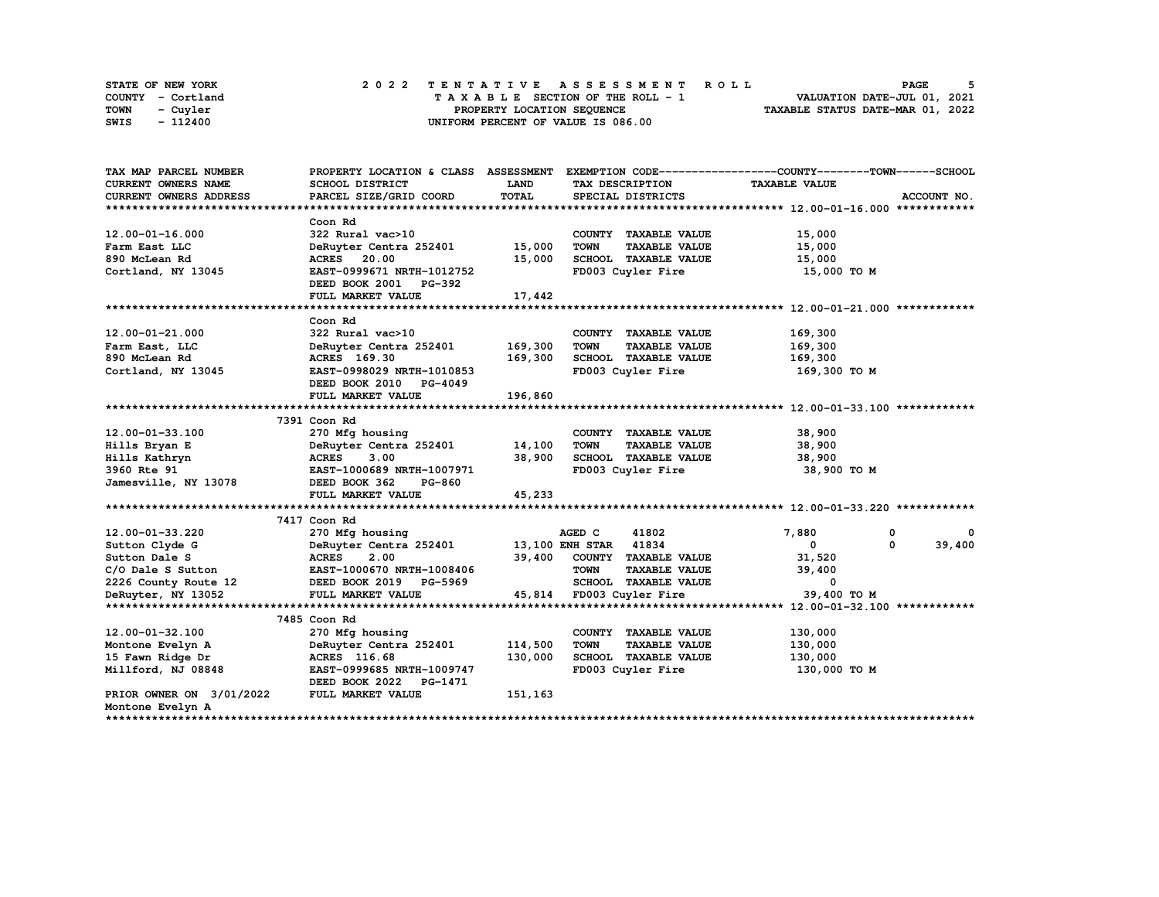| <b>STATE OF NEW YORK</b> | 2022 TENTATIVE ASSESSMENT ROLL     | PAGE                             |
|--------------------------|------------------------------------|----------------------------------|
| COUNTY - Cortland        | TAXABLE SECTION OF THE ROLL - 1    | VALUATION DATE-JUL 01, 2021      |
| <b>TOWN</b><br>- Cuyler  | PROPERTY LOCATION SEQUENCE         | TAXABLE STATUS DATE-MAR 01, 2022 |
| - 112400<br>SWIS         | UNIFORM PERCENT OF VALUE IS 086.00 |                                  |

| TAX MAP PARCEL NUMBER                       | PROPERTY LOCATION & CLASS ASSESSMENT EXEMPTION CODE----------------COUNTY-------TOWN-----SCHOOL |              |                                     |                      |             |
|---------------------------------------------|-------------------------------------------------------------------------------------------------|--------------|-------------------------------------|----------------------|-------------|
| <b>CURRENT OWNERS NAME</b>                  | SCHOOL DISTRICT                                                                                 | LAND         | TAX DESCRIPTION                     | <b>TAXABLE VALUE</b> |             |
| CURRENT OWNERS ADDRESS                      | PARCEL SIZE/GRID COORD                                                                          | <b>TOTAL</b> | SPECIAL DISTRICTS                   |                      | ACCOUNT NO. |
|                                             |                                                                                                 |              |                                     |                      |             |
|                                             | Coon Rd                                                                                         |              |                                     |                      |             |
| 12.00-01-16.000                             | 322 Rural vac>10                                                                                |              | COUNTY TAXABLE VALUE                | 15,000               |             |
| Farm East LLC                               | DeRuyter Centra 252401                                                                          | 15,000       | <b>TAXABLE VALUE</b><br><b>TOWN</b> | 15,000               |             |
| 890 McLean Rd                               | <b>ACRES</b> 20.00                                                                              | 15,000       | SCHOOL TAXABLE VALUE                | 15,000               |             |
| Cortland, NY 13045                          | EAST-0999671 NRTH-1012752                                                                       |              | FD003 Cuyler Fire                   | 15,000 TO M          |             |
|                                             | DEED BOOK 2001 PG-392                                                                           |              |                                     |                      |             |
|                                             | FULL MARKET VALUE                                                                               | 17,442       |                                     |                      |             |
|                                             |                                                                                                 |              |                                     |                      |             |
|                                             | Coon Rd                                                                                         |              |                                     |                      |             |
| 12.00-01-21.000                             | 322 Rural vac>10                                                                                |              | COUNTY TAXABLE VALUE                | 169,300              |             |
| Farm East, LLC                              | DeRuyter Centra 252401                                                                          | 169,300      | <b>TOWN</b><br><b>TAXABLE VALUE</b> | 169,300              |             |
| 890 McLean Rd                               | ACRES 169.30                                                                                    | 169,300      | SCHOOL TAXABLE VALUE                | 169,300              |             |
| Cortland, NY 13045                          | EAST-0998029 NRTH-1010853                                                                       |              | FD003 Cuyler Fire                   | 169,300 то м         |             |
|                                             | DEED BOOK 2010 PG-4049                                                                          |              |                                     |                      |             |
|                                             | FULL MARKET VALUE                                                                               | 196,860      |                                     |                      |             |
|                                             |                                                                                                 |              |                                     |                      |             |
|                                             | 7391 Coon Rd                                                                                    |              |                                     |                      |             |
| 12.00-01-33.100                             | 270 Mfg housing                                                                                 |              | COUNTY TAXABLE VALUE                | 38,900               |             |
| Hills Bryan E                               | DeRuyter Centra 252401                                                                          | 14,100       | <b>TOWN</b><br><b>TAXABLE VALUE</b> | 38,900               |             |
| Hills Kathryn                               | <b>ACRES</b><br>3.00                                                                            | 38,900       | SCHOOL TAXABLE VALUE                | 38,900               |             |
| 3960 Rte 91                                 | EAST-1000689 NRTH-1007971                                                                       |              | FD003 Cuyler Fire                   | 38,900 то м          |             |
| Jamesville, NY 13078                        | DEED BOOK 362<br><b>PG-860</b>                                                                  |              |                                     |                      |             |
|                                             | FULL MARKET VALUE                                                                               | 45,233       |                                     |                      |             |
|                                             |                                                                                                 |              |                                     |                      |             |
|                                             | 7417 Coon Rd                                                                                    |              |                                     |                      |             |
| 12.00-01-33.220                             | 270 Mfg housing                                                                                 |              | AGED C<br>41802                     | 7,880                | 0           |
| Sutton Clyde G                              | DeRuyter Centra 252401 13,100 ENH STAR 41834                                                    |              |                                     | $^{\circ}$           | 39,400<br>0 |
| Sutton Dale S                               | <b>ACRES</b><br>2.00                                                                            |              | 39,400 COUNTY TAXABLE VALUE         | 31,520               |             |
| C/O Dale S Sutton                           | EAST-1000670 NRTH-1008406                                                                       |              | <b>TOWN</b><br><b>TAXABLE VALUE</b> | 39,400               |             |
| 2226 County Route 12 DEED BOOK 2019 PG-5969 |                                                                                                 |              | SCHOOL TAXABLE VALUE                | 0                    |             |
| DeRuyter, NY 13052                          | FULL MARKET VALUE                                                                               |              | 45,814 FD003 Cuyler Fire            | 39,400 TO M          |             |
|                                             |                                                                                                 |              |                                     |                      |             |
|                                             | 7485 Coon Rd                                                                                    |              |                                     |                      |             |
| 12.00-01-32.100                             | 270 Mfg housing                                                                                 |              | COUNTY TAXABLE VALUE                | 130,000              |             |
| Montone Evelyn A                            | DeRuyter Centra 252401                                                                          | 114,500      | <b>TOWN</b><br><b>TAXABLE VALUE</b> | 130,000              |             |
| 15 Fawn Ridge Dr                            | ACRES 116.68                                                                                    | 130,000      | SCHOOL TAXABLE VALUE                | 130,000              |             |
| Millford, NJ 08848                          | EAST-0999685 NRTH-1009747                                                                       |              | FD003 Cuyler Fire                   | 130,000 TO M         |             |
|                                             | DEED BOOK 2022 PG-1471                                                                          |              |                                     |                      |             |
| PRIOR OWNER ON 3/01/2022                    | FULL MARKET VALUE                                                                               | 151,163      |                                     |                      |             |
| Montone Evelyn A                            |                                                                                                 |              |                                     |                      |             |
|                                             |                                                                                                 |              |                                     |                      |             |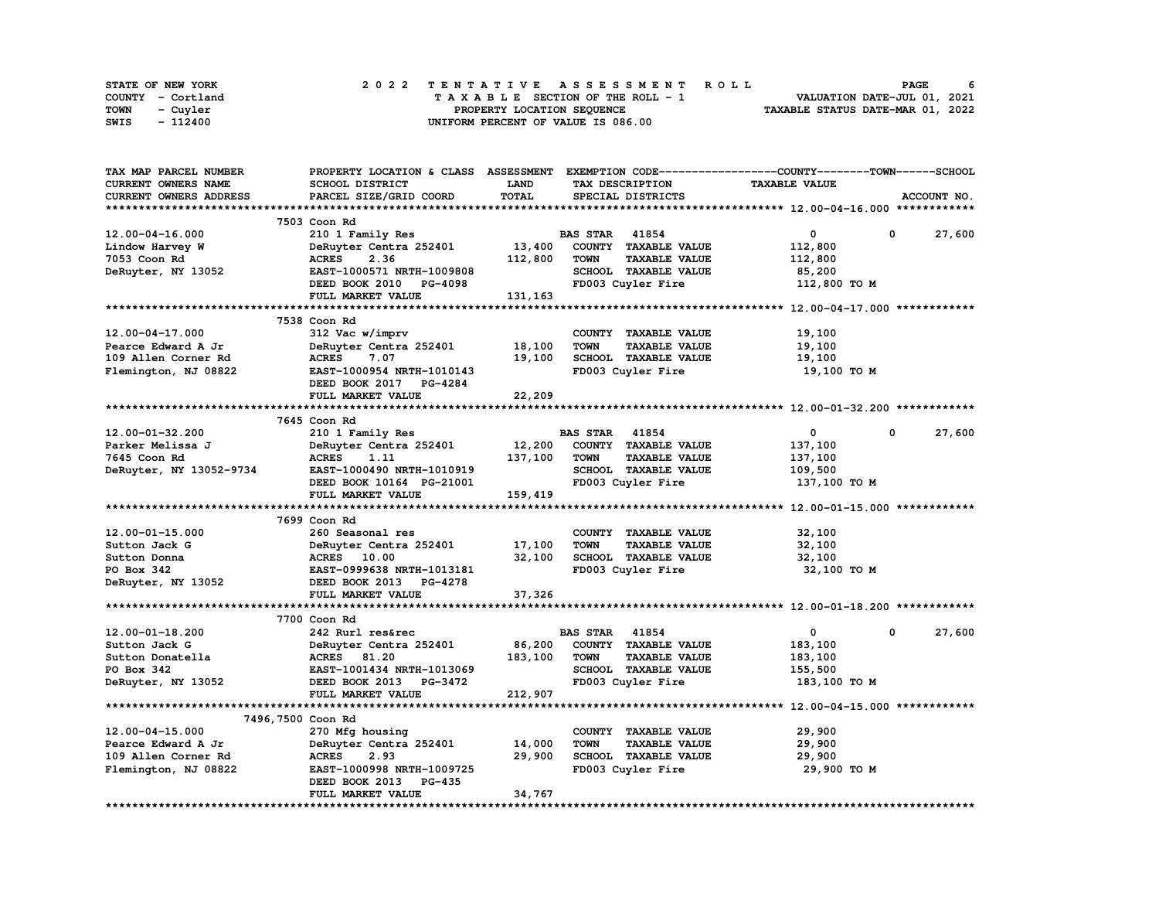| STATE OF NEW YORK | 2022 TENTATIVE ASSESSMENT ROLL     | 6<br><b>PAGE</b>                 |
|-------------------|------------------------------------|----------------------------------|
| COUNTY - Cortland | TAXABLE SECTION OF THE ROLL - 1    | VALUATION DATE-JUL 01, 2021      |
| TOWN<br>- Cuvler  | PROPERTY LOCATION SEQUENCE         | TAXABLE STATUS DATE-MAR 01, 2022 |
| - 112400<br>SWIS  | UNIFORM PERCENT OF VALUE IS 086.00 |                                  |

| TAX MAP PARCEL NUMBER   | PROPERTY LOCATION & CLASS ASSESSMENT EXEMPTION CODE-----------------COUNTY-------TOWN------SCHOOL |             |                                     |                      |                      |
|-------------------------|---------------------------------------------------------------------------------------------------|-------------|-------------------------------------|----------------------|----------------------|
| CURRENT OWNERS NAME     | SCHOOL DISTRICT                                                                                   | <b>LAND</b> | TAX DESCRIPTION                     | <b>TAXABLE VALUE</b> |                      |
| CURRENT OWNERS ADDRESS  | PARCEL SIZE/GRID COORD                                                                            | TOTAL       | SPECIAL DISTRICTS                   |                      | ACCOUNT NO.          |
|                         |                                                                                                   |             |                                     |                      |                      |
|                         | 7503 Coon Rd                                                                                      |             |                                     |                      |                      |
| $12.00 - 04 - 16.000$   | 210 1 Family Res                                                                                  |             | <b>BAS STAR</b> 41854               | 0                    | 0<br>27,600          |
| Lindow Harvey W         | DeRuyter Centra 252401                                                                            | 13,400      | COUNTY TAXABLE VALUE                | 112,800              |                      |
| 7053 Coon Rd            | <b>ACRES</b><br>2.36                                                                              | 112,800     | <b>TOWN</b><br><b>TAXABLE VALUE</b> | 112,800              |                      |
|                         | EAST-1000571 NRTH-1009808                                                                         |             | SCHOOL TAXABLE VALUE                |                      |                      |
| DeRuyter, NY 13052      |                                                                                                   |             |                                     | 85,200               |                      |
|                         | DEED BOOK 2010 PG-4098                                                                            |             | FD003 Cuyler Fire                   | 112,800 TO M         |                      |
|                         | FULL MARKET VALUE                                                                                 | 131,163     |                                     |                      |                      |
|                         |                                                                                                   |             |                                     |                      |                      |
|                         | 7538 Coon Rd                                                                                      |             |                                     |                      |                      |
| 12.00-04-17.000         | 312 Vac w/imprv                                                                                   |             | COUNTY TAXABLE VALUE                | 19,100               |                      |
| Pearce Edward A Jr      | DeRuyter Centra 252401                                                                            | 18,100      | <b>TOWN</b><br><b>TAXABLE VALUE</b> | 19,100               |                      |
| 109 Allen Corner Rd     | <b>ACRES</b><br>7.07                                                                              | 19,100      | SCHOOL TAXABLE VALUE                | 19,100               |                      |
| Flemington, NJ 08822    | EAST-1000954 NRTH-1010143                                                                         |             | FD003 Cuyler Fire                   | 19,100 TO M          |                      |
|                         | DEED BOOK 2017 PG-4284                                                                            |             |                                     |                      |                      |
|                         | FULL MARKET VALUE                                                                                 | 22,209      |                                     |                      |                      |
|                         |                                                                                                   |             |                                     |                      |                      |
|                         | 7645 Coon Rd                                                                                      |             |                                     |                      |                      |
| 12.00-01-32.200         | 210 1 Family Res                                                                                  |             | <b>BAS STAR</b> 41854               | $\mathbf 0$          | 27,600<br>$^{\circ}$ |
| Parker Melissa J        | DeRuyter Centra 252401                                                                            | 12,200      | COUNTY TAXABLE VALUE                | 137,100              |                      |
| 7645 Coon Rd            | <b>ACRES</b><br>1.11                                                                              | 137,100     | TOWN<br><b>TAXABLE VALUE</b>        | 137,100              |                      |
| DeRuyter, NY 13052-9734 | EAST-1000490 NRTH-1010919                                                                         |             | SCHOOL TAXABLE VALUE                | 109,500              |                      |
|                         | DEED BOOK 10164 PG-21001                                                                          |             | FD003 Cuyler Fire                   | 137,100 TO M         |                      |
|                         | FULL MARKET VALUE                                                                                 | 159,419     |                                     |                      |                      |
|                         |                                                                                                   |             |                                     |                      |                      |
|                         | 7699 Coon Rd                                                                                      |             |                                     |                      |                      |
|                         |                                                                                                   |             |                                     |                      |                      |
| $12.00 - 01 - 15.000$   | 260 Seasonal res                                                                                  |             | COUNTY TAXABLE VALUE                | 32,100               |                      |
| Sutton Jack G           | DeRuyter Centra 252401                                                                            | 17,100      | <b>TAXABLE VALUE</b><br><b>TOWN</b> | 32,100               |                      |
| Sutton Donna            | ACRES 10.00                                                                                       | 32,100      | SCHOOL TAXABLE VALUE                | 32,100               |                      |
| PO Box 342              | EAST-0999638 NRTH-1013181                                                                         |             | FD003 Cuyler Fire                   | 32,100 TO M          |                      |
| DeRuyter, NY 13052      | DEED BOOK 2013 PG-4278                                                                            |             |                                     |                      |                      |
|                         | FULL MARKET VALUE                                                                                 | 37,326      |                                     |                      |                      |
|                         |                                                                                                   |             |                                     |                      |                      |
|                         | 7700 Coon Rd                                                                                      |             |                                     |                      |                      |
| $12.00 - 01 - 18.200$   | 242 Rurl res&rec                                                                                  |             | <b>BAS STAR</b><br>41854            | 0                    | 27,600<br>0          |
| Sutton Jack G           | DeRuyter Centra 252401                                                                            | 86,200      | COUNTY TAXABLE VALUE                | 183,100              |                      |
| Sutton Donatella        | ACRES 81.20                                                                                       | 183,100     | <b>TOWN</b><br><b>TAXABLE VALUE</b> | 183,100              |                      |
| PO Box 342              | EAST-1001434 NRTH-1013069                                                                         |             | SCHOOL TAXABLE VALUE                | 155,500              |                      |
| DeRuyter, NY 13052      | DEED BOOK 2013 PG-3472                                                                            |             | FD003 Cuyler Fire                   | 183,100 TO M         |                      |
|                         | FULL MARKET VALUE                                                                                 | 212,907     |                                     |                      |                      |
|                         |                                                                                                   |             |                                     |                      |                      |
| 7496,7500 Coon Rd       |                                                                                                   |             |                                     |                      |                      |
| 12.00-04-15.000         | 270 Mfg housing                                                                                   |             | COUNTY TAXABLE VALUE                | 29,900               |                      |
| Pearce Edward A Jr      | DeRuyter Centra 252401                                                                            | 14,000      | <b>TOWN</b><br><b>TAXABLE VALUE</b> | 29,900               |                      |
| 109 Allen Corner Rd     | <b>ACRES</b><br>2.93                                                                              | 29,900      | SCHOOL TAXABLE VALUE                | 29,900               |                      |
| Flemington, NJ 08822    | EAST-1000998 NRTH-1009725                                                                         |             | FD003 Cuyler Fire                   | 29,900 TO M          |                      |
|                         | DEED BOOK 2013<br><b>PG-435</b>                                                                   |             |                                     |                      |                      |
|                         | FULL MARKET VALUE                                                                                 | 34,767      |                                     |                      |                      |
|                         |                                                                                                   |             |                                     |                      |                      |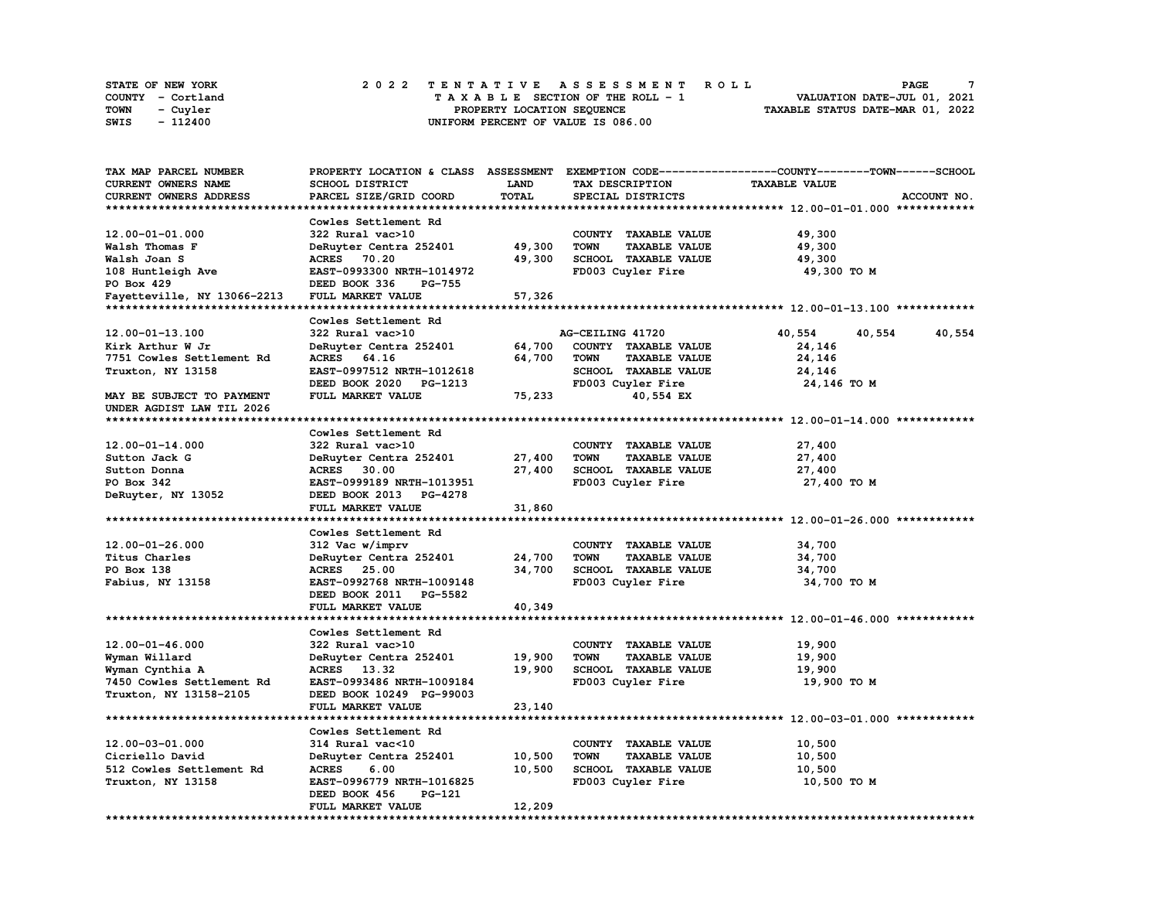| STATE OF NEW YORK | 2022 TENTATIVE ASSESSMENT ROLL     | $\mathbf{z}$<br>PAGE             |
|-------------------|------------------------------------|----------------------------------|
| COUNTY - Cortland | TAXABLE SECTION OF THE ROLL - 1    | VALUATION DATE-JUL 01, 2021      |
| TOWN<br>- Cuvler  | PROPERTY LOCATION SEQUENCE         | TAXABLE STATUS DATE-MAR 01, 2022 |
| SWIS<br>- 112400  | UNIFORM PERCENT OF VALUE IS 086.00 |                                  |

| <b>TAX MAP PARCEL NUMBER</b> | PROPERTY LOCATION & CLASS ASSESSMENT |        |                                     | EXEMPTION CODE-----------------COUNTY-------TOWN-----SCHOOL |
|------------------------------|--------------------------------------|--------|-------------------------------------|-------------------------------------------------------------|
| <b>CURRENT OWNERS NAME</b>   | SCHOOL DISTRICT                      | LAND   | TAX DESCRIPTION                     | <b>TAXABLE VALUE</b>                                        |
| CURRENT OWNERS ADDRESS       | PARCEL SIZE/GRID COORD               | TOTAL  | SPECIAL DISTRICTS                   | ACCOUNT NO.                                                 |
|                              |                                      |        |                                     |                                                             |
|                              | Cowles Settlement Rd                 |        |                                     |                                                             |
| 12.00-01-01.000              | 322 Rural vac>10                     |        | COUNTY TAXABLE VALUE                | 49,300                                                      |
|                              |                                      |        |                                     |                                                             |
| Walsh Thomas F               | DeRuyter Centra 252401               | 49,300 | <b>TOWN</b><br><b>TAXABLE VALUE</b> | 49,300                                                      |
| Walsh Joan S                 | ACRES 70.20                          | 49,300 | SCHOOL TAXABLE VALUE                | 49,300                                                      |
| 108 Huntleigh Ave            | EAST-0993300 NRTH-1014972            |        | FD003 Cuyler Fire                   | 49,300 TO M                                                 |
| PO Box 429                   | DEED BOOK 336<br><b>PG-755</b>       |        |                                     |                                                             |
| Fayetteville, NY 13066-2213  | FULL MARKET VALUE                    | 57,326 |                                     |                                                             |
|                              |                                      |        |                                     |                                                             |
|                              | Cowles Settlement Rd                 |        |                                     |                                                             |
| 12.00-01-13.100              | 322 Rural vac>10                     |        | AG-CEILING 41720                    | 40,554<br>40,554<br>40,554                                  |
| Kirk Arthur W Jr             | DeRuyter Centra 252401               | 64,700 | COUNTY TAXABLE VALUE                | 24,146                                                      |
| 7751 Cowles Settlement Rd    | ACRES 64.16                          | 64,700 | <b>TOWN</b><br><b>TAXABLE VALUE</b> | 24,146                                                      |
| Truxton, NY 13158            | EAST-0997512 NRTH-1012618            |        | SCHOOL TAXABLE VALUE                | 24,146                                                      |
|                              | DEED BOOK 2020<br>PG-1213            |        | FD003 Cuyler Fire                   | 24,146 TO M                                                 |
| MAY BE SUBJECT TO PAYMENT    | FULL MARKET VALUE                    | 75,233 | 40,554 EX                           |                                                             |
| UNDER AGDIST LAW TIL 2026    |                                      |        |                                     |                                                             |
|                              |                                      |        |                                     |                                                             |
|                              | Cowles Settlement Rd                 |        |                                     |                                                             |
| $12.00 - 01 - 14.000$        | 322 Rural vac>10                     |        |                                     |                                                             |
|                              |                                      |        | COUNTY TAXABLE VALUE<br><b>TOWN</b> | 27,400                                                      |
| Sutton Jack G                | DeRuyter Centra 252401               | 27,400 | <b>TAXABLE VALUE</b>                | 27,400                                                      |
| Sutton Donna                 | ACRES 30.00                          | 27,400 | SCHOOL TAXABLE VALUE                | 27,400                                                      |
| PO Box 342                   | EAST-0999189 NRTH-1013951            |        | FD003 Cuyler Fire                   | 27,400 TO M                                                 |
| DeRuyter, NY 13052           | DEED BOOK 2013 PG-4278               |        |                                     |                                                             |
|                              | FULL MARKET VALUE                    | 31,860 |                                     |                                                             |
|                              |                                      |        |                                     |                                                             |
|                              | Cowles Settlement Rd                 |        |                                     |                                                             |
| $12.00 - 01 - 26.000$        | 312 Vac w/imprv                      |        | COUNTY TAXABLE VALUE                | 34,700                                                      |
| Titus Charles                | DeRuyter Centra 252401               | 24,700 | <b>TOWN</b><br><b>TAXABLE VALUE</b> | 34,700                                                      |
| PO Box 138                   | <b>ACRES</b> 25.00                   | 34,700 | <b>SCHOOL TAXABLE VALUE</b>         | 34,700                                                      |
| Fabius, NY 13158             | EAST-0992768 NRTH-1009148            |        | FD003 Cuyler Fire                   | 34,700 TO M                                                 |
|                              | DEED BOOK 2011 PG-5582               |        |                                     |                                                             |
|                              | FULL MARKET VALUE                    | 40,349 |                                     |                                                             |
|                              |                                      |        |                                     |                                                             |
|                              | Cowles Settlement Rd                 |        |                                     |                                                             |
| 12.00-01-46.000              | 322 Rural vac>10                     |        | COUNTY TAXABLE VALUE                | 19,900                                                      |
| Wyman Willard                | DeRuyter Centra 252401               | 19,900 | <b>TOWN</b><br><b>TAXABLE VALUE</b> | 19,900                                                      |
| Wyman Cynthia A              | ACRES 13.32                          | 19,900 | SCHOOL TAXABLE VALUE                | 19,900                                                      |
|                              |                                      |        |                                     |                                                             |
| 7450 Cowles Settlement Rd    | EAST-0993486 NRTH-1009184            |        | FD003 Cuyler Fire                   | 19,900 TO M                                                 |
| Truxton, NY 13158-2105       | DEED BOOK 10249 PG-99003             |        |                                     |                                                             |
|                              | FULL MARKET VALUE                    | 23,140 |                                     |                                                             |
| *************************    | ***********************              |        |                                     |                                                             |
|                              | Cowles Settlement Rd                 |        |                                     |                                                             |
| 12.00-03-01.000              | 314 Rural vac<10                     |        | COUNTY TAXABLE VALUE                | 10,500                                                      |
| Cicriello David              | DeRuyter Centra 252401               | 10,500 | <b>TOWN</b><br><b>TAXABLE VALUE</b> | 10,500                                                      |
| 512 Cowles Settlement Rd     | <b>ACRES</b><br>6.00                 | 10,500 | SCHOOL TAXABLE VALUE                | 10,500                                                      |
| Truxton, NY 13158            | EAST-0996779 NRTH-1016825            |        | FD003 Cuyler Fire                   | 10,500 TO M                                                 |
|                              | DEED BOOK 456<br>PG-121              |        |                                     |                                                             |
|                              | FULL MARKET VALUE                    | 12,209 |                                     |                                                             |
|                              |                                      |        |                                     |                                                             |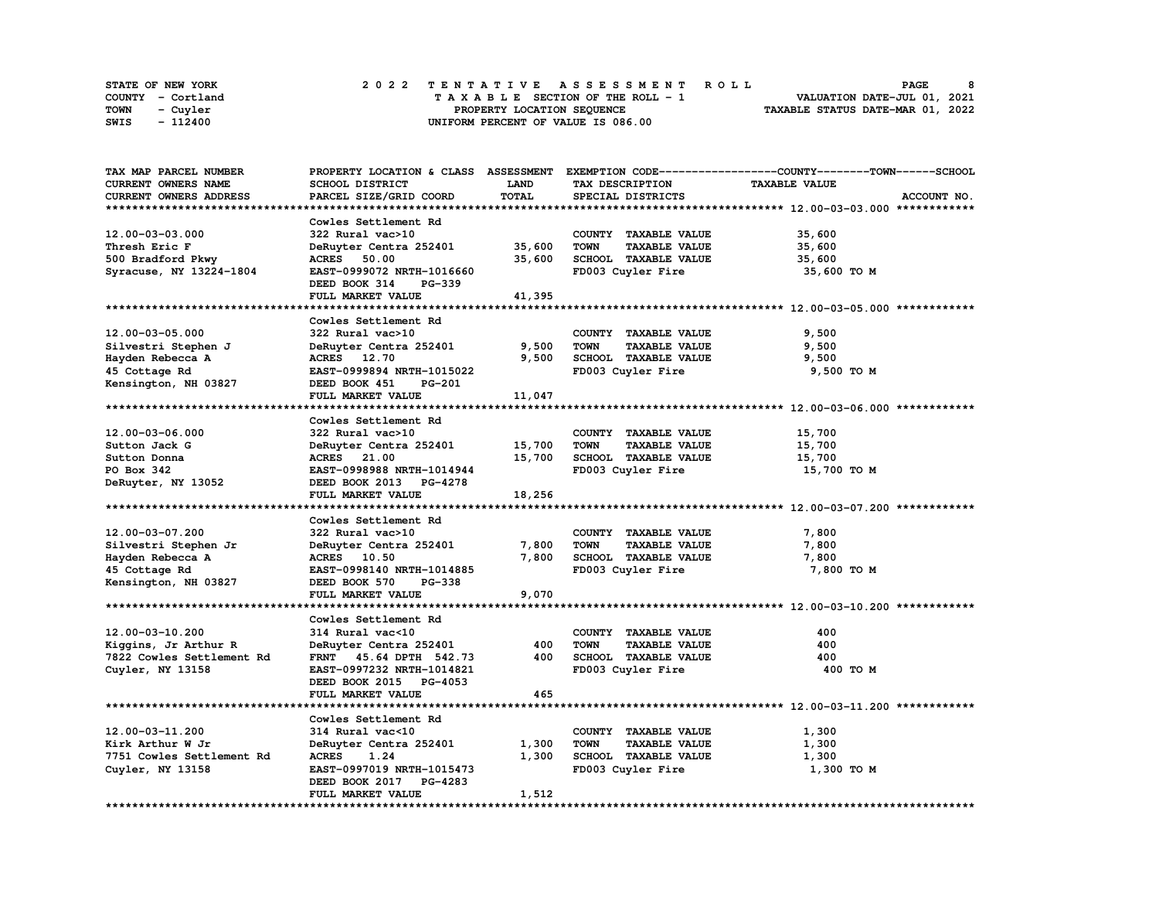| STATE OF NEW YORK | 2022 TENTATIVE ASSESSMENT ROLL     | PAGE                             |
|-------------------|------------------------------------|----------------------------------|
| COUNTY - Cortland | TAXABLE SECTION OF THE ROLL - 1    | VALUATION DATE-JUL 01, 2021      |
| TOWN<br>- Cuyler  | PROPERTY LOCATION SEQUENCE         | TAXABLE STATUS DATE-MAR 01, 2022 |
| - 112400<br>SWIS  | UNIFORM PERCENT OF VALUE IS 086.00 |                                  |

| TAX MAP PARCEL NUMBER      |                                |             |                                     | PROPERTY LOCATION & CLASS ASSESSMENT EXEMPTION CODE----------------COUNTY-------TOWN------SCHOOL |
|----------------------------|--------------------------------|-------------|-------------------------------------|--------------------------------------------------------------------------------------------------|
| <b>CURRENT OWNERS NAME</b> | SCHOOL DISTRICT                | <b>LAND</b> | TAX DESCRIPTION                     | <b>TAXABLE VALUE</b>                                                                             |
| CURRENT OWNERS ADDRESS     | PARCEL SIZE/GRID COORD         | TOTAL       | SPECIAL DISTRICTS                   | ACCOUNT NO.                                                                                      |
|                            |                                |             |                                     |                                                                                                  |
|                            |                                |             |                                     |                                                                                                  |
|                            | Cowles Settlement Rd           |             |                                     |                                                                                                  |
| 12.00-03-03.000            | 322 Rural vac>10               |             | COUNTY TAXABLE VALUE                | 35,600                                                                                           |
| Thresh Eric F              | DeRuyter Centra 252401         | 35,600      | <b>TAXABLE VALUE</b><br><b>TOWN</b> | 35,600                                                                                           |
| 500 Bradford Pkwy          | ACRES 50.00                    | 35,600      | SCHOOL TAXABLE VALUE                | 35,600                                                                                           |
| Syracuse, NY 13224-1804    | EAST-0999072 NRTH-1016660      |             | FD003 Cuyler Fire                   | 35,600 TO M                                                                                      |
|                            | DEED BOOK 314<br><b>PG-339</b> |             |                                     |                                                                                                  |
|                            | FULL MARKET VALUE              | 41,395      |                                     |                                                                                                  |
|                            |                                |             |                                     |                                                                                                  |
|                            |                                |             |                                     |                                                                                                  |
|                            | Cowles Settlement Rd           |             |                                     |                                                                                                  |
| 12.00-03-05.000            | 322 Rural vac>10               |             | COUNTY TAXABLE VALUE                | 9,500                                                                                            |
| Silvestri Stephen J        | DeRuyter Centra 252401         | 9,500       | <b>TOWN</b><br><b>TAXABLE VALUE</b> | 9,500                                                                                            |
| Hayden Rebecca A           | ACRES 12.70                    | 9,500       | SCHOOL TAXABLE VALUE                | 9,500                                                                                            |
| 45 Cottage Rd              | EAST-0999894 NRTH-1015022      |             | FD003 Cuyler Fire                   | 9,500 TO M                                                                                       |
| Kensington, NH 03827       | DEED BOOK 451<br>PG-201        |             |                                     |                                                                                                  |
|                            | FULL MARKET VALUE              | 11,047      |                                     |                                                                                                  |
|                            |                                |             |                                     |                                                                                                  |
|                            |                                |             |                                     |                                                                                                  |
|                            | Cowles Settlement Rd           |             |                                     |                                                                                                  |
| 12.00-03-06.000            | 322 Rural vac>10               |             | COUNTY TAXABLE VALUE                | 15,700                                                                                           |
| Sutton Jack G              | DeRuyter Centra 252401         | 15,700      | <b>TOWN</b><br><b>TAXABLE VALUE</b> | 15,700                                                                                           |
| Sutton Donna               | ACRES 21.00                    | 15,700      | SCHOOL TAXABLE VALUE                | 15,700                                                                                           |
| PO Box 342                 | EAST-0998988 NRTH-1014944      |             | FD003 Cuyler Fire                   | 15,700 TO M                                                                                      |
| DeRuyter, NY 13052         | DEED BOOK 2013 PG-4278         |             |                                     |                                                                                                  |
|                            | FULL MARKET VALUE              | 18,256      |                                     |                                                                                                  |
|                            |                                |             |                                     |                                                                                                  |
|                            |                                |             |                                     |                                                                                                  |
|                            | Cowles Settlement Rd           |             |                                     |                                                                                                  |
| 12.00-03-07.200            | 322 Rural vac>10               |             | COUNTY TAXABLE VALUE                | 7,800                                                                                            |
| Silvestri Stephen Jr       | DeRuyter Centra 252401         | 7,800       | <b>TOWN</b><br><b>TAXABLE VALUE</b> | 7,800                                                                                            |
| Hayden Rebecca A           | ACRES 10.50                    | 7,800       | SCHOOL TAXABLE VALUE                | 7,800                                                                                            |
| 45 Cottage Rd              | EAST-0998140 NRTH-1014885      |             | FD003 Cuyler Fire                   | 7,800 TO M                                                                                       |
| Kensington, NH 03827       | DEED BOOK 570<br><b>PG-338</b> |             |                                     |                                                                                                  |
|                            | FULL MARKET VALUE              | 9,070       |                                     |                                                                                                  |
|                            |                                |             |                                     |                                                                                                  |
|                            |                                |             |                                     |                                                                                                  |
|                            | Cowles Settlement Rd           |             |                                     |                                                                                                  |
| 12.00-03-10.200            | 314 Rural vac<10               |             | COUNTY TAXABLE VALUE                | 400                                                                                              |
| Kiqqins, Jr Arthur R       | DeRuyter Centra 252401         | 400         | <b>TOWN</b><br><b>TAXABLE VALUE</b> | 400                                                                                              |
| 7822 Cowles Settlement Rd  | FRNT 45.64 DPTH 542.73         | 400         | SCHOOL TAXABLE VALUE                | 400                                                                                              |
| Cuyler, NY 13158           | EAST-0997232 NRTH-1014821      |             | FD003 Cuyler Fire                   | 400 TO M                                                                                         |
|                            | DEED BOOK 2015 PG-4053         |             |                                     |                                                                                                  |
|                            | <b>FULL MARKET VALUE</b>       | 465         |                                     |                                                                                                  |
|                            |                                |             |                                     |                                                                                                  |
|                            | Cowles Settlement Rd           |             |                                     |                                                                                                  |
|                            |                                |             |                                     |                                                                                                  |
| 12.00-03-11.200            | 314 Rural vac<10               |             | COUNTY TAXABLE VALUE                | 1,300                                                                                            |
| Kirk Arthur W Jr           | DeRuyter Centra 252401         | 1,300       | <b>TOWN</b><br><b>TAXABLE VALUE</b> | 1,300                                                                                            |
| 7751 Cowles Settlement Rd  | <b>ACRES</b><br>1.24           | 1,300       | SCHOOL TAXABLE VALUE                | 1,300                                                                                            |
| Cuyler, NY 13158           | EAST-0997019 NRTH-1015473      |             | FD003 Cuyler Fire                   | 1,300 TO M                                                                                       |
|                            | DEED BOOK 2017 PG-4283         |             |                                     |                                                                                                  |
|                            | FULL MARKET VALUE              | 1,512       |                                     |                                                                                                  |
|                            |                                |             |                                     |                                                                                                  |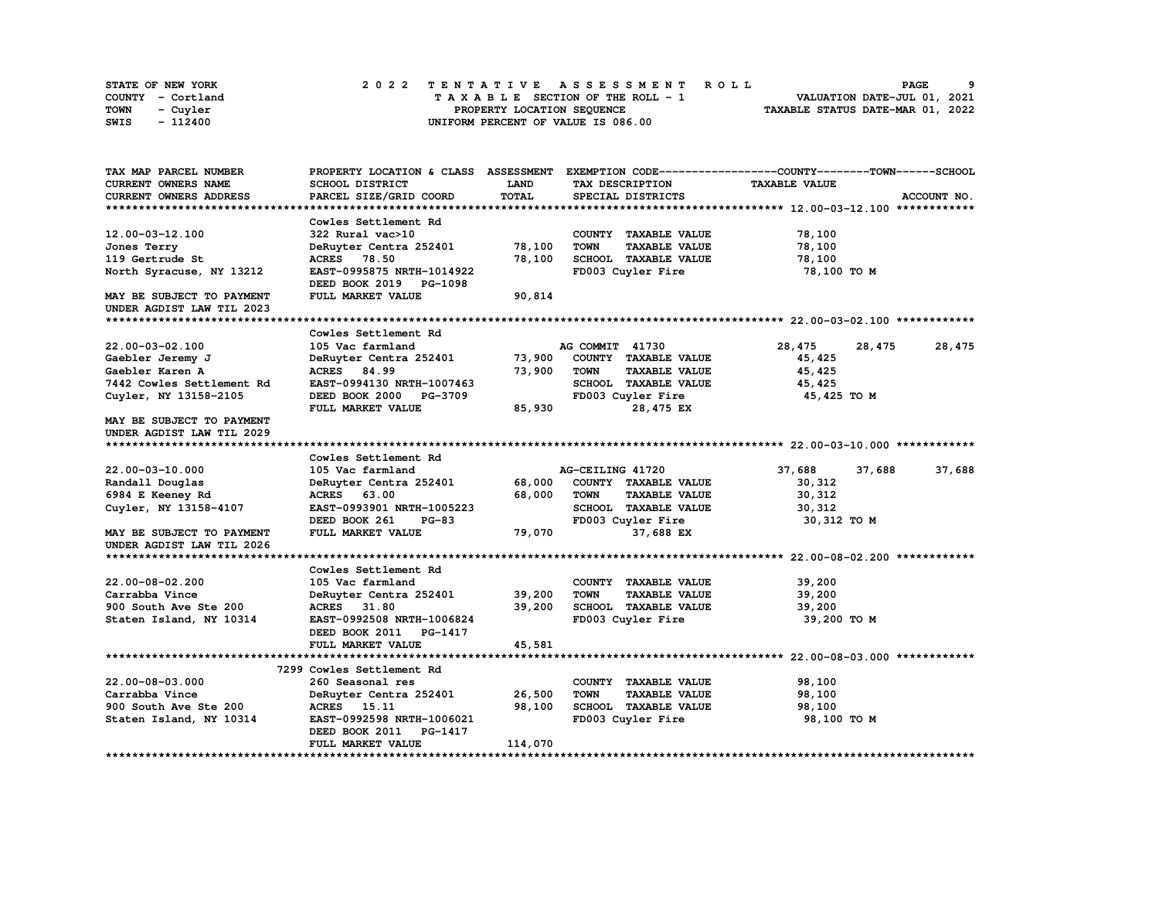| STATE OF NEW YORK | 2022 TENTATIVE ASSESSMENT ROLL     | PAGE                             |
|-------------------|------------------------------------|----------------------------------|
| COUNTY - Cortland | TAXABLE SECTION OF THE ROLL - 1    | VALUATION DATE-JUL 01, 2021      |
| TOWN<br>- Cuyler  | PROPERTY LOCATION SEQUENCE         | TAXABLE STATUS DATE-MAR 01, 2022 |
| - 112400<br>SWIS  | UNIFORM PERCENT OF VALUE IS 086.00 |                                  |

| LAND<br><b>TAXABLE VALUE</b><br><b>CURRENT OWNERS NAME</b><br>SCHOOL DISTRICT<br>TAX DESCRIPTION<br>TOTAL<br>CURRENT OWNERS ADDRESS<br>PARCEL SIZE/GRID COORD<br>SPECIAL DISTRICTS<br>ACCOUNT NO.<br>Cowles Settlement Rd<br>12.00-03-12.100<br>322 Rural vac>10<br>COUNTY TAXABLE VALUE<br>78,100<br>DeRuyter Centra 252401<br>78,100<br><b>TOWN</b><br><b>TAXABLE VALUE</b><br>78,100<br>Jones Terry<br>78,100<br>SCHOOL TAXABLE VALUE<br>119 Gertrude St<br>ACRES 78.50<br>78,100<br>EAST-0995875 NRTH-1014922<br>FD003 Cuyler Fire<br>North Syracuse, NY 13212<br>78,100 TO M<br>DEED BOOK 2019 PG-1098<br>FULL MARKET VALUE<br>90,814<br>MAY BE SUBJECT TO PAYMENT<br>UNDER AGDIST LAW TIL 2023<br>Cowles Settlement Rd<br>28,475<br>28,475<br>28,475<br>22.00-03-02.100<br>105 Vac farmland<br>AG COMMIT 41730<br>DeRuyter Centra 252401 73,900<br>COUNTY TAXABLE VALUE<br>Gaebler Jeremy J<br>45,425<br>ACRES 84.99<br>73,900<br>Gaebler Karen A<br><b>TOWN</b><br><b>TAXABLE VALUE</b><br>45,425<br>7442 Cowles Settlement Rd<br>EAST-0994130 NRTH-1007463<br>SCHOOL TAXABLE VALUE<br>45,425<br>FD003 Cuyler Fire<br>Cuyler, NY 13158-2105<br>DEED BOOK 2000 PG-3709<br>45,425 TO M<br>FULL MARKET VALUE<br>85,930<br>28,475 EX<br>MAY BE SUBJECT TO PAYMENT<br>UNDER AGDIST LAW TIL 2029<br>Cowles Settlement Rd<br>22.00-03-10.000<br>105 Vac farmland<br>AG-CEILING 41720<br>37,688<br>37,688<br>37,688<br>68,000<br>COUNTY TAXABLE VALUE<br>Randall Douglas<br>DeRuyter Centra 252401<br>30,312<br>ACRES 63.00<br>68,000<br><b>TOWN</b><br><b>TAXABLE VALUE</b><br>6984 E Keeney Rd<br>30,312<br>SCHOOL TAXABLE VALUE<br>Cuyler, NY 13158-4107<br>EAST-0993901 NRTH-1005223<br>30,312<br>DEED BOOK 261<br>$PG-83$<br>FD003 Cuyler Fire<br>30,312 TO M<br>79,070<br>37,688 EX<br>MAY BE SUBJECT TO PAYMENT<br>FULL MARKET VALUE<br>UNDER AGDIST LAW TIL 2026<br>Cowles Settlement Rd<br>22.00-08-02.200<br>105 Vac farmland<br>COUNTY TAXABLE VALUE<br>39,200<br>39,200<br><b>TOWN</b><br>Carrabba Vince<br>DeRuyter Centra 252401<br><b>TAXABLE VALUE</b><br>39,200<br>31.80<br>39,200<br>SCHOOL TAXABLE VALUE<br>39,200<br>900 South Ave Ste 200<br><b>ACRES</b><br>FD003 Cuyler Fire<br>Staten Island, NY 10314<br>EAST-0992508 NRTH-1006824<br>39,200 TO M<br>DEED BOOK 2011 PG-1417<br>45,581<br>FULL MARKET VALUE<br>7299 Cowles Settlement Rd<br>$22.00 - 08 - 03.000$<br>260 Seasonal res<br>COUNTY TAXABLE VALUE<br>98,100<br>DeRuyter Centra 252401 26,500<br>Carrabba Vince<br><b>TOWN</b><br><b>TAXABLE VALUE</b><br>98,100<br>98,100<br>SCHOOL TAXABLE VALUE<br>900 South Ave Ste 200<br>ACRES 15.11<br>98,100<br>FD003 Cuyler Fire<br>Staten Island, NY 10314<br>EAST-0992598 NRTH-1006021<br>98,100 TO M<br>DEED BOOK 2011<br><b>PG-1417</b><br>114,070<br>FULL MARKET VALUE | TAX MAP PARCEL NUMBER |  | PROPERTY LOCATION & CLASS ASSESSMENT EXEMPTION CODE----------------COUNTY-------TOWN-----SCHOOL |  |
|--------------------------------------------------------------------------------------------------------------------------------------------------------------------------------------------------------------------------------------------------------------------------------------------------------------------------------------------------------------------------------------------------------------------------------------------------------------------------------------------------------------------------------------------------------------------------------------------------------------------------------------------------------------------------------------------------------------------------------------------------------------------------------------------------------------------------------------------------------------------------------------------------------------------------------------------------------------------------------------------------------------------------------------------------------------------------------------------------------------------------------------------------------------------------------------------------------------------------------------------------------------------------------------------------------------------------------------------------------------------------------------------------------------------------------------------------------------------------------------------------------------------------------------------------------------------------------------------------------------------------------------------------------------------------------------------------------------------------------------------------------------------------------------------------------------------------------------------------------------------------------------------------------------------------------------------------------------------------------------------------------------------------------------------------------------------------------------------------------------------------------------------------------------------------------------------------------------------------------------------------------------------------------------------------------------------------------------------------------------------------------------------------------------------------------------------------------------------------------------------------------------------------------------------------------------------------------------------------------------------------------------------------------------------------------------------------------------------------------------------------------------------------------------------------------|-----------------------|--|-------------------------------------------------------------------------------------------------|--|
|                                                                                                                                                                                                                                                                                                                                                                                                                                                                                                                                                                                                                                                                                                                                                                                                                                                                                                                                                                                                                                                                                                                                                                                                                                                                                                                                                                                                                                                                                                                                                                                                                                                                                                                                                                                                                                                                                                                                                                                                                                                                                                                                                                                                                                                                                                                                                                                                                                                                                                                                                                                                                                                                                                                                                                                                        |                       |  |                                                                                                 |  |
|                                                                                                                                                                                                                                                                                                                                                                                                                                                                                                                                                                                                                                                                                                                                                                                                                                                                                                                                                                                                                                                                                                                                                                                                                                                                                                                                                                                                                                                                                                                                                                                                                                                                                                                                                                                                                                                                                                                                                                                                                                                                                                                                                                                                                                                                                                                                                                                                                                                                                                                                                                                                                                                                                                                                                                                                        |                       |  |                                                                                                 |  |
|                                                                                                                                                                                                                                                                                                                                                                                                                                                                                                                                                                                                                                                                                                                                                                                                                                                                                                                                                                                                                                                                                                                                                                                                                                                                                                                                                                                                                                                                                                                                                                                                                                                                                                                                                                                                                                                                                                                                                                                                                                                                                                                                                                                                                                                                                                                                                                                                                                                                                                                                                                                                                                                                                                                                                                                                        |                       |  |                                                                                                 |  |
|                                                                                                                                                                                                                                                                                                                                                                                                                                                                                                                                                                                                                                                                                                                                                                                                                                                                                                                                                                                                                                                                                                                                                                                                                                                                                                                                                                                                                                                                                                                                                                                                                                                                                                                                                                                                                                                                                                                                                                                                                                                                                                                                                                                                                                                                                                                                                                                                                                                                                                                                                                                                                                                                                                                                                                                                        |                       |  |                                                                                                 |  |
|                                                                                                                                                                                                                                                                                                                                                                                                                                                                                                                                                                                                                                                                                                                                                                                                                                                                                                                                                                                                                                                                                                                                                                                                                                                                                                                                                                                                                                                                                                                                                                                                                                                                                                                                                                                                                                                                                                                                                                                                                                                                                                                                                                                                                                                                                                                                                                                                                                                                                                                                                                                                                                                                                                                                                                                                        |                       |  |                                                                                                 |  |
|                                                                                                                                                                                                                                                                                                                                                                                                                                                                                                                                                                                                                                                                                                                                                                                                                                                                                                                                                                                                                                                                                                                                                                                                                                                                                                                                                                                                                                                                                                                                                                                                                                                                                                                                                                                                                                                                                                                                                                                                                                                                                                                                                                                                                                                                                                                                                                                                                                                                                                                                                                                                                                                                                                                                                                                                        |                       |  |                                                                                                 |  |
|                                                                                                                                                                                                                                                                                                                                                                                                                                                                                                                                                                                                                                                                                                                                                                                                                                                                                                                                                                                                                                                                                                                                                                                                                                                                                                                                                                                                                                                                                                                                                                                                                                                                                                                                                                                                                                                                                                                                                                                                                                                                                                                                                                                                                                                                                                                                                                                                                                                                                                                                                                                                                                                                                                                                                                                                        |                       |  |                                                                                                 |  |
|                                                                                                                                                                                                                                                                                                                                                                                                                                                                                                                                                                                                                                                                                                                                                                                                                                                                                                                                                                                                                                                                                                                                                                                                                                                                                                                                                                                                                                                                                                                                                                                                                                                                                                                                                                                                                                                                                                                                                                                                                                                                                                                                                                                                                                                                                                                                                                                                                                                                                                                                                                                                                                                                                                                                                                                                        |                       |  |                                                                                                 |  |
|                                                                                                                                                                                                                                                                                                                                                                                                                                                                                                                                                                                                                                                                                                                                                                                                                                                                                                                                                                                                                                                                                                                                                                                                                                                                                                                                                                                                                                                                                                                                                                                                                                                                                                                                                                                                                                                                                                                                                                                                                                                                                                                                                                                                                                                                                                                                                                                                                                                                                                                                                                                                                                                                                                                                                                                                        |                       |  |                                                                                                 |  |
|                                                                                                                                                                                                                                                                                                                                                                                                                                                                                                                                                                                                                                                                                                                                                                                                                                                                                                                                                                                                                                                                                                                                                                                                                                                                                                                                                                                                                                                                                                                                                                                                                                                                                                                                                                                                                                                                                                                                                                                                                                                                                                                                                                                                                                                                                                                                                                                                                                                                                                                                                                                                                                                                                                                                                                                                        |                       |  |                                                                                                 |  |
|                                                                                                                                                                                                                                                                                                                                                                                                                                                                                                                                                                                                                                                                                                                                                                                                                                                                                                                                                                                                                                                                                                                                                                                                                                                                                                                                                                                                                                                                                                                                                                                                                                                                                                                                                                                                                                                                                                                                                                                                                                                                                                                                                                                                                                                                                                                                                                                                                                                                                                                                                                                                                                                                                                                                                                                                        |                       |  |                                                                                                 |  |
|                                                                                                                                                                                                                                                                                                                                                                                                                                                                                                                                                                                                                                                                                                                                                                                                                                                                                                                                                                                                                                                                                                                                                                                                                                                                                                                                                                                                                                                                                                                                                                                                                                                                                                                                                                                                                                                                                                                                                                                                                                                                                                                                                                                                                                                                                                                                                                                                                                                                                                                                                                                                                                                                                                                                                                                                        |                       |  |                                                                                                 |  |
|                                                                                                                                                                                                                                                                                                                                                                                                                                                                                                                                                                                                                                                                                                                                                                                                                                                                                                                                                                                                                                                                                                                                                                                                                                                                                                                                                                                                                                                                                                                                                                                                                                                                                                                                                                                                                                                                                                                                                                                                                                                                                                                                                                                                                                                                                                                                                                                                                                                                                                                                                                                                                                                                                                                                                                                                        |                       |  |                                                                                                 |  |
|                                                                                                                                                                                                                                                                                                                                                                                                                                                                                                                                                                                                                                                                                                                                                                                                                                                                                                                                                                                                                                                                                                                                                                                                                                                                                                                                                                                                                                                                                                                                                                                                                                                                                                                                                                                                                                                                                                                                                                                                                                                                                                                                                                                                                                                                                                                                                                                                                                                                                                                                                                                                                                                                                                                                                                                                        |                       |  |                                                                                                 |  |
|                                                                                                                                                                                                                                                                                                                                                                                                                                                                                                                                                                                                                                                                                                                                                                                                                                                                                                                                                                                                                                                                                                                                                                                                                                                                                                                                                                                                                                                                                                                                                                                                                                                                                                                                                                                                                                                                                                                                                                                                                                                                                                                                                                                                                                                                                                                                                                                                                                                                                                                                                                                                                                                                                                                                                                                                        |                       |  |                                                                                                 |  |
|                                                                                                                                                                                                                                                                                                                                                                                                                                                                                                                                                                                                                                                                                                                                                                                                                                                                                                                                                                                                                                                                                                                                                                                                                                                                                                                                                                                                                                                                                                                                                                                                                                                                                                                                                                                                                                                                                                                                                                                                                                                                                                                                                                                                                                                                                                                                                                                                                                                                                                                                                                                                                                                                                                                                                                                                        |                       |  |                                                                                                 |  |
|                                                                                                                                                                                                                                                                                                                                                                                                                                                                                                                                                                                                                                                                                                                                                                                                                                                                                                                                                                                                                                                                                                                                                                                                                                                                                                                                                                                                                                                                                                                                                                                                                                                                                                                                                                                                                                                                                                                                                                                                                                                                                                                                                                                                                                                                                                                                                                                                                                                                                                                                                                                                                                                                                                                                                                                                        |                       |  |                                                                                                 |  |
|                                                                                                                                                                                                                                                                                                                                                                                                                                                                                                                                                                                                                                                                                                                                                                                                                                                                                                                                                                                                                                                                                                                                                                                                                                                                                                                                                                                                                                                                                                                                                                                                                                                                                                                                                                                                                                                                                                                                                                                                                                                                                                                                                                                                                                                                                                                                                                                                                                                                                                                                                                                                                                                                                                                                                                                                        |                       |  |                                                                                                 |  |
|                                                                                                                                                                                                                                                                                                                                                                                                                                                                                                                                                                                                                                                                                                                                                                                                                                                                                                                                                                                                                                                                                                                                                                                                                                                                                                                                                                                                                                                                                                                                                                                                                                                                                                                                                                                                                                                                                                                                                                                                                                                                                                                                                                                                                                                                                                                                                                                                                                                                                                                                                                                                                                                                                                                                                                                                        |                       |  |                                                                                                 |  |
|                                                                                                                                                                                                                                                                                                                                                                                                                                                                                                                                                                                                                                                                                                                                                                                                                                                                                                                                                                                                                                                                                                                                                                                                                                                                                                                                                                                                                                                                                                                                                                                                                                                                                                                                                                                                                                                                                                                                                                                                                                                                                                                                                                                                                                                                                                                                                                                                                                                                                                                                                                                                                                                                                                                                                                                                        |                       |  |                                                                                                 |  |
|                                                                                                                                                                                                                                                                                                                                                                                                                                                                                                                                                                                                                                                                                                                                                                                                                                                                                                                                                                                                                                                                                                                                                                                                                                                                                                                                                                                                                                                                                                                                                                                                                                                                                                                                                                                                                                                                                                                                                                                                                                                                                                                                                                                                                                                                                                                                                                                                                                                                                                                                                                                                                                                                                                                                                                                                        |                       |  |                                                                                                 |  |
|                                                                                                                                                                                                                                                                                                                                                                                                                                                                                                                                                                                                                                                                                                                                                                                                                                                                                                                                                                                                                                                                                                                                                                                                                                                                                                                                                                                                                                                                                                                                                                                                                                                                                                                                                                                                                                                                                                                                                                                                                                                                                                                                                                                                                                                                                                                                                                                                                                                                                                                                                                                                                                                                                                                                                                                                        |                       |  |                                                                                                 |  |
|                                                                                                                                                                                                                                                                                                                                                                                                                                                                                                                                                                                                                                                                                                                                                                                                                                                                                                                                                                                                                                                                                                                                                                                                                                                                                                                                                                                                                                                                                                                                                                                                                                                                                                                                                                                                                                                                                                                                                                                                                                                                                                                                                                                                                                                                                                                                                                                                                                                                                                                                                                                                                                                                                                                                                                                                        |                       |  |                                                                                                 |  |
|                                                                                                                                                                                                                                                                                                                                                                                                                                                                                                                                                                                                                                                                                                                                                                                                                                                                                                                                                                                                                                                                                                                                                                                                                                                                                                                                                                                                                                                                                                                                                                                                                                                                                                                                                                                                                                                                                                                                                                                                                                                                                                                                                                                                                                                                                                                                                                                                                                                                                                                                                                                                                                                                                                                                                                                                        |                       |  |                                                                                                 |  |
|                                                                                                                                                                                                                                                                                                                                                                                                                                                                                                                                                                                                                                                                                                                                                                                                                                                                                                                                                                                                                                                                                                                                                                                                                                                                                                                                                                                                                                                                                                                                                                                                                                                                                                                                                                                                                                                                                                                                                                                                                                                                                                                                                                                                                                                                                                                                                                                                                                                                                                                                                                                                                                                                                                                                                                                                        |                       |  |                                                                                                 |  |
|                                                                                                                                                                                                                                                                                                                                                                                                                                                                                                                                                                                                                                                                                                                                                                                                                                                                                                                                                                                                                                                                                                                                                                                                                                                                                                                                                                                                                                                                                                                                                                                                                                                                                                                                                                                                                                                                                                                                                                                                                                                                                                                                                                                                                                                                                                                                                                                                                                                                                                                                                                                                                                                                                                                                                                                                        |                       |  |                                                                                                 |  |
|                                                                                                                                                                                                                                                                                                                                                                                                                                                                                                                                                                                                                                                                                                                                                                                                                                                                                                                                                                                                                                                                                                                                                                                                                                                                                                                                                                                                                                                                                                                                                                                                                                                                                                                                                                                                                                                                                                                                                                                                                                                                                                                                                                                                                                                                                                                                                                                                                                                                                                                                                                                                                                                                                                                                                                                                        |                       |  |                                                                                                 |  |
|                                                                                                                                                                                                                                                                                                                                                                                                                                                                                                                                                                                                                                                                                                                                                                                                                                                                                                                                                                                                                                                                                                                                                                                                                                                                                                                                                                                                                                                                                                                                                                                                                                                                                                                                                                                                                                                                                                                                                                                                                                                                                                                                                                                                                                                                                                                                                                                                                                                                                                                                                                                                                                                                                                                                                                                                        |                       |  |                                                                                                 |  |
|                                                                                                                                                                                                                                                                                                                                                                                                                                                                                                                                                                                                                                                                                                                                                                                                                                                                                                                                                                                                                                                                                                                                                                                                                                                                                                                                                                                                                                                                                                                                                                                                                                                                                                                                                                                                                                                                                                                                                                                                                                                                                                                                                                                                                                                                                                                                                                                                                                                                                                                                                                                                                                                                                                                                                                                                        |                       |  |                                                                                                 |  |
|                                                                                                                                                                                                                                                                                                                                                                                                                                                                                                                                                                                                                                                                                                                                                                                                                                                                                                                                                                                                                                                                                                                                                                                                                                                                                                                                                                                                                                                                                                                                                                                                                                                                                                                                                                                                                                                                                                                                                                                                                                                                                                                                                                                                                                                                                                                                                                                                                                                                                                                                                                                                                                                                                                                                                                                                        |                       |  |                                                                                                 |  |
|                                                                                                                                                                                                                                                                                                                                                                                                                                                                                                                                                                                                                                                                                                                                                                                                                                                                                                                                                                                                                                                                                                                                                                                                                                                                                                                                                                                                                                                                                                                                                                                                                                                                                                                                                                                                                                                                                                                                                                                                                                                                                                                                                                                                                                                                                                                                                                                                                                                                                                                                                                                                                                                                                                                                                                                                        |                       |  |                                                                                                 |  |
|                                                                                                                                                                                                                                                                                                                                                                                                                                                                                                                                                                                                                                                                                                                                                                                                                                                                                                                                                                                                                                                                                                                                                                                                                                                                                                                                                                                                                                                                                                                                                                                                                                                                                                                                                                                                                                                                                                                                                                                                                                                                                                                                                                                                                                                                                                                                                                                                                                                                                                                                                                                                                                                                                                                                                                                                        |                       |  |                                                                                                 |  |
|                                                                                                                                                                                                                                                                                                                                                                                                                                                                                                                                                                                                                                                                                                                                                                                                                                                                                                                                                                                                                                                                                                                                                                                                                                                                                                                                                                                                                                                                                                                                                                                                                                                                                                                                                                                                                                                                                                                                                                                                                                                                                                                                                                                                                                                                                                                                                                                                                                                                                                                                                                                                                                                                                                                                                                                                        |                       |  |                                                                                                 |  |
|                                                                                                                                                                                                                                                                                                                                                                                                                                                                                                                                                                                                                                                                                                                                                                                                                                                                                                                                                                                                                                                                                                                                                                                                                                                                                                                                                                                                                                                                                                                                                                                                                                                                                                                                                                                                                                                                                                                                                                                                                                                                                                                                                                                                                                                                                                                                                                                                                                                                                                                                                                                                                                                                                                                                                                                                        |                       |  |                                                                                                 |  |
|                                                                                                                                                                                                                                                                                                                                                                                                                                                                                                                                                                                                                                                                                                                                                                                                                                                                                                                                                                                                                                                                                                                                                                                                                                                                                                                                                                                                                                                                                                                                                                                                                                                                                                                                                                                                                                                                                                                                                                                                                                                                                                                                                                                                                                                                                                                                                                                                                                                                                                                                                                                                                                                                                                                                                                                                        |                       |  |                                                                                                 |  |
|                                                                                                                                                                                                                                                                                                                                                                                                                                                                                                                                                                                                                                                                                                                                                                                                                                                                                                                                                                                                                                                                                                                                                                                                                                                                                                                                                                                                                                                                                                                                                                                                                                                                                                                                                                                                                                                                                                                                                                                                                                                                                                                                                                                                                                                                                                                                                                                                                                                                                                                                                                                                                                                                                                                                                                                                        |                       |  |                                                                                                 |  |
|                                                                                                                                                                                                                                                                                                                                                                                                                                                                                                                                                                                                                                                                                                                                                                                                                                                                                                                                                                                                                                                                                                                                                                                                                                                                                                                                                                                                                                                                                                                                                                                                                                                                                                                                                                                                                                                                                                                                                                                                                                                                                                                                                                                                                                                                                                                                                                                                                                                                                                                                                                                                                                                                                                                                                                                                        |                       |  |                                                                                                 |  |
|                                                                                                                                                                                                                                                                                                                                                                                                                                                                                                                                                                                                                                                                                                                                                                                                                                                                                                                                                                                                                                                                                                                                                                                                                                                                                                                                                                                                                                                                                                                                                                                                                                                                                                                                                                                                                                                                                                                                                                                                                                                                                                                                                                                                                                                                                                                                                                                                                                                                                                                                                                                                                                                                                                                                                                                                        |                       |  |                                                                                                 |  |
|                                                                                                                                                                                                                                                                                                                                                                                                                                                                                                                                                                                                                                                                                                                                                                                                                                                                                                                                                                                                                                                                                                                                                                                                                                                                                                                                                                                                                                                                                                                                                                                                                                                                                                                                                                                                                                                                                                                                                                                                                                                                                                                                                                                                                                                                                                                                                                                                                                                                                                                                                                                                                                                                                                                                                                                                        |                       |  |                                                                                                 |  |
|                                                                                                                                                                                                                                                                                                                                                                                                                                                                                                                                                                                                                                                                                                                                                                                                                                                                                                                                                                                                                                                                                                                                                                                                                                                                                                                                                                                                                                                                                                                                                                                                                                                                                                                                                                                                                                                                                                                                                                                                                                                                                                                                                                                                                                                                                                                                                                                                                                                                                                                                                                                                                                                                                                                                                                                                        |                       |  |                                                                                                 |  |
|                                                                                                                                                                                                                                                                                                                                                                                                                                                                                                                                                                                                                                                                                                                                                                                                                                                                                                                                                                                                                                                                                                                                                                                                                                                                                                                                                                                                                                                                                                                                                                                                                                                                                                                                                                                                                                                                                                                                                                                                                                                                                                                                                                                                                                                                                                                                                                                                                                                                                                                                                                                                                                                                                                                                                                                                        |                       |  |                                                                                                 |  |
|                                                                                                                                                                                                                                                                                                                                                                                                                                                                                                                                                                                                                                                                                                                                                                                                                                                                                                                                                                                                                                                                                                                                                                                                                                                                                                                                                                                                                                                                                                                                                                                                                                                                                                                                                                                                                                                                                                                                                                                                                                                                                                                                                                                                                                                                                                                                                                                                                                                                                                                                                                                                                                                                                                                                                                                                        |                       |  |                                                                                                 |  |
|                                                                                                                                                                                                                                                                                                                                                                                                                                                                                                                                                                                                                                                                                                                                                                                                                                                                                                                                                                                                                                                                                                                                                                                                                                                                                                                                                                                                                                                                                                                                                                                                                                                                                                                                                                                                                                                                                                                                                                                                                                                                                                                                                                                                                                                                                                                                                                                                                                                                                                                                                                                                                                                                                                                                                                                                        |                       |  |                                                                                                 |  |
|                                                                                                                                                                                                                                                                                                                                                                                                                                                                                                                                                                                                                                                                                                                                                                                                                                                                                                                                                                                                                                                                                                                                                                                                                                                                                                                                                                                                                                                                                                                                                                                                                                                                                                                                                                                                                                                                                                                                                                                                                                                                                                                                                                                                                                                                                                                                                                                                                                                                                                                                                                                                                                                                                                                                                                                                        |                       |  |                                                                                                 |  |
|                                                                                                                                                                                                                                                                                                                                                                                                                                                                                                                                                                                                                                                                                                                                                                                                                                                                                                                                                                                                                                                                                                                                                                                                                                                                                                                                                                                                                                                                                                                                                                                                                                                                                                                                                                                                                                                                                                                                                                                                                                                                                                                                                                                                                                                                                                                                                                                                                                                                                                                                                                                                                                                                                                                                                                                                        |                       |  |                                                                                                 |  |
|                                                                                                                                                                                                                                                                                                                                                                                                                                                                                                                                                                                                                                                                                                                                                                                                                                                                                                                                                                                                                                                                                                                                                                                                                                                                                                                                                                                                                                                                                                                                                                                                                                                                                                                                                                                                                                                                                                                                                                                                                                                                                                                                                                                                                                                                                                                                                                                                                                                                                                                                                                                                                                                                                                                                                                                                        |                       |  |                                                                                                 |  |
|                                                                                                                                                                                                                                                                                                                                                                                                                                                                                                                                                                                                                                                                                                                                                                                                                                                                                                                                                                                                                                                                                                                                                                                                                                                                                                                                                                                                                                                                                                                                                                                                                                                                                                                                                                                                                                                                                                                                                                                                                                                                                                                                                                                                                                                                                                                                                                                                                                                                                                                                                                                                                                                                                                                                                                                                        |                       |  |                                                                                                 |  |
|                                                                                                                                                                                                                                                                                                                                                                                                                                                                                                                                                                                                                                                                                                                                                                                                                                                                                                                                                                                                                                                                                                                                                                                                                                                                                                                                                                                                                                                                                                                                                                                                                                                                                                                                                                                                                                                                                                                                                                                                                                                                                                                                                                                                                                                                                                                                                                                                                                                                                                                                                                                                                                                                                                                                                                                                        |                       |  |                                                                                                 |  |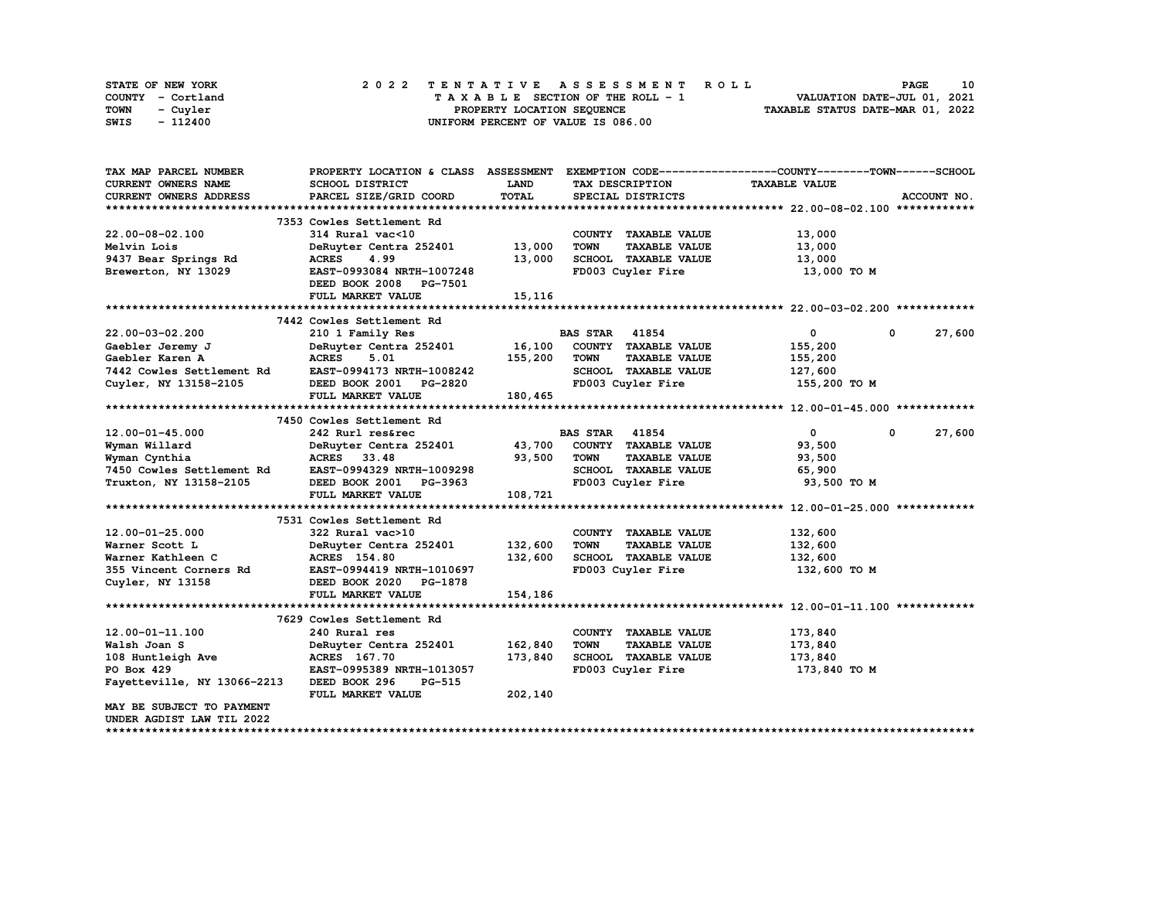| STATE OF NEW YORK | 2022 TENTATIVE ASSESSMENT ROLL     | 10<br><b>PAGE</b>                |
|-------------------|------------------------------------|----------------------------------|
| COUNTY - Cortland | TAXABLE SECTION OF THE ROLL - 1    | VALUATION DATE-JUL 01, 2021      |
| TOWN<br>- Cuvler  | PROPERTY LOCATION SEQUENCE         | TAXABLE STATUS DATE-MAR 01, 2022 |
| - 112400<br>SWIS  | UNIFORM PERCENT OF VALUE IS 086.00 |                                  |

| TAX MAP PARCEL NUMBER       | PROPERTY LOCATION & CLASS ASSESSMENT |         |                       |                      | EXEMPTION CODE-----------------COUNTY-------TOWN------SCHOOL |   |             |
|-----------------------------|--------------------------------------|---------|-----------------------|----------------------|--------------------------------------------------------------|---|-------------|
| <b>CURRENT OWNERS NAME</b>  | <b>SCHOOL DISTRICT</b>               | LAND    | TAX DESCRIPTION       |                      | <b>TAXABLE VALUE</b>                                         |   |             |
| CURRENT OWNERS ADDRESS      | PARCEL SIZE/GRID COORD               | TOTAL   | SPECIAL DISTRICTS     |                      |                                                              |   | ACCOUNT NO. |
|                             |                                      |         |                       |                      |                                                              |   |             |
|                             | 7353 Cowles Settlement Rd            |         |                       |                      |                                                              |   |             |
| 22.00-08-02.100             | 314 Rural vac<10                     |         | COUNTY TAXABLE VALUE  |                      | 13,000                                                       |   |             |
| Melvin Lois                 | DeRuyter Centra 252401               | 13,000  | <b>TOWN</b>           | <b>TAXABLE VALUE</b> | 13,000                                                       |   |             |
| 9437 Bear Springs Rd        | <b>ACRES</b><br>4.99                 | 13,000  | SCHOOL TAXABLE VALUE  |                      | 13,000                                                       |   |             |
| Brewerton, NY 13029         | EAST-0993084 NRTH-1007248            |         | FD003 Cuyler Fire     |                      | 13,000 то м                                                  |   |             |
|                             | DEED BOOK 2008 PG-7501               |         |                       |                      |                                                              |   |             |
|                             | FULL MARKET VALUE                    | 15,116  |                       |                      |                                                              |   |             |
|                             |                                      |         |                       |                      |                                                              |   |             |
|                             | 7442 Cowles Settlement Rd            |         |                       |                      |                                                              |   |             |
| $22.00 - 03 - 02.200$       | 210 1 Family Res                     |         | <b>BAS STAR</b> 41854 |                      | 0                                                            | 0 | 27,600      |
| Gaebler Jeremy J            | DeRuyter Centra 252401               | 16,100  | COUNTY TAXABLE VALUE  |                      | 155,200                                                      |   |             |
| Gaebler Karen A             | <b>ACRES</b><br>5.01                 | 155,200 | <b>TOWN</b>           | <b>TAXABLE VALUE</b> | 155,200                                                      |   |             |
| 7442 Cowles Settlement Rd   | EAST-0994173 NRTH-1008242            |         | SCHOOL TAXABLE VALUE  |                      | 127,600                                                      |   |             |
| Cuyler, NY 13158-2105       | DEED BOOK 2001 PG-2820               |         | FD003 Cuyler Fire     |                      | 155,200 TO M                                                 |   |             |
|                             | FULL MARKET VALUE                    | 180,465 |                       |                      |                                                              |   |             |
|                             |                                      |         |                       |                      |                                                              |   |             |
|                             | 7450 Cowles Settlement Rd            |         |                       |                      |                                                              |   |             |
| $12.00 - 01 - 45.000$       | 242 Rurl res&rec                     |         | <b>BAS STAR 41854</b> |                      | $\mathbf{0}$                                                 | 0 | 27,600      |
| Wyman Willard               | DeRuyter Centra 252401               | 43,700  | COUNTY TAXABLE VALUE  |                      | 93,500                                                       |   |             |
| Wyman Cynthia               | ACRES 33.48                          | 93,500  | <b>TOWN</b>           | <b>TAXABLE VALUE</b> | 93,500                                                       |   |             |
| 7450 Cowles Settlement Rd   | EAST-0994329 NRTH-1009298            |         | SCHOOL TAXABLE VALUE  |                      | 65,900                                                       |   |             |
| Truxton, NY 13158-2105      | DEED BOOK 2001 PG-3963               |         | FD003 Cuyler Fire     |                      | 93,500 TO M                                                  |   |             |
|                             | FULL MARKET VALUE                    | 108,721 |                       |                      |                                                              |   |             |
|                             |                                      |         |                       |                      |                                                              |   |             |
|                             | 7531 Cowles Settlement Rd            |         |                       |                      |                                                              |   |             |
| 12.00-01-25.000             | 322 Rural vac>10                     |         | COUNTY TAXABLE VALUE  |                      | 132,600                                                      |   |             |
| Warner Scott L              | DeRuyter Centra 252401               | 132,600 | <b>TOWN</b>           | <b>TAXABLE VALUE</b> | 132,600                                                      |   |             |
| Warner Kathleen C           | <b>ACRES</b> 154.80                  | 132,600 | SCHOOL TAXABLE VALUE  |                      | 132,600                                                      |   |             |
| 355 Vincent Corners Rd      | EAST-0994419 NRTH-1010697            |         | FD003 Cuyler Fire     |                      | 132,600 то м                                                 |   |             |
| Cuyler, NY 13158            | DEED BOOK 2020 PG-1878               |         |                       |                      |                                                              |   |             |
|                             | FULL MARKET VALUE                    | 154,186 |                       |                      |                                                              |   |             |
|                             |                                      |         |                       |                      |                                                              |   |             |
|                             | 7629 Cowles Settlement Rd            |         |                       |                      |                                                              |   |             |
| $12.00 - 01 - 11.100$       | 240 Rural res                        |         | COUNTY TAXABLE VALUE  |                      | 173,840                                                      |   |             |
| Walsh Joan S                | DeRuyter Centra 252401               | 162,840 | <b>TOWN</b>           | <b>TAXABLE VALUE</b> | 173,840                                                      |   |             |
| 108 Huntleigh Ave           | ACRES 167.70                         | 173,840 | SCHOOL TAXABLE VALUE  |                      | 173,840                                                      |   |             |
| PO Box 429                  | EAST-0995389 NRTH-1013057            |         | FD003 Cuyler Fire     |                      | 173,840 то м                                                 |   |             |
| Fayetteville, NY 13066-2213 | DEED BOOK 296<br><b>PG-515</b>       |         |                       |                      |                                                              |   |             |
|                             | FULL MARKET VALUE                    | 202,140 |                       |                      |                                                              |   |             |
| MAY BE SUBJECT TO PAYMENT   |                                      |         |                       |                      |                                                              |   |             |
| UNDER AGDIST LAW TIL 2022   |                                      |         |                       |                      |                                                              |   |             |
|                             |                                      |         |                       |                      |                                                              |   |             |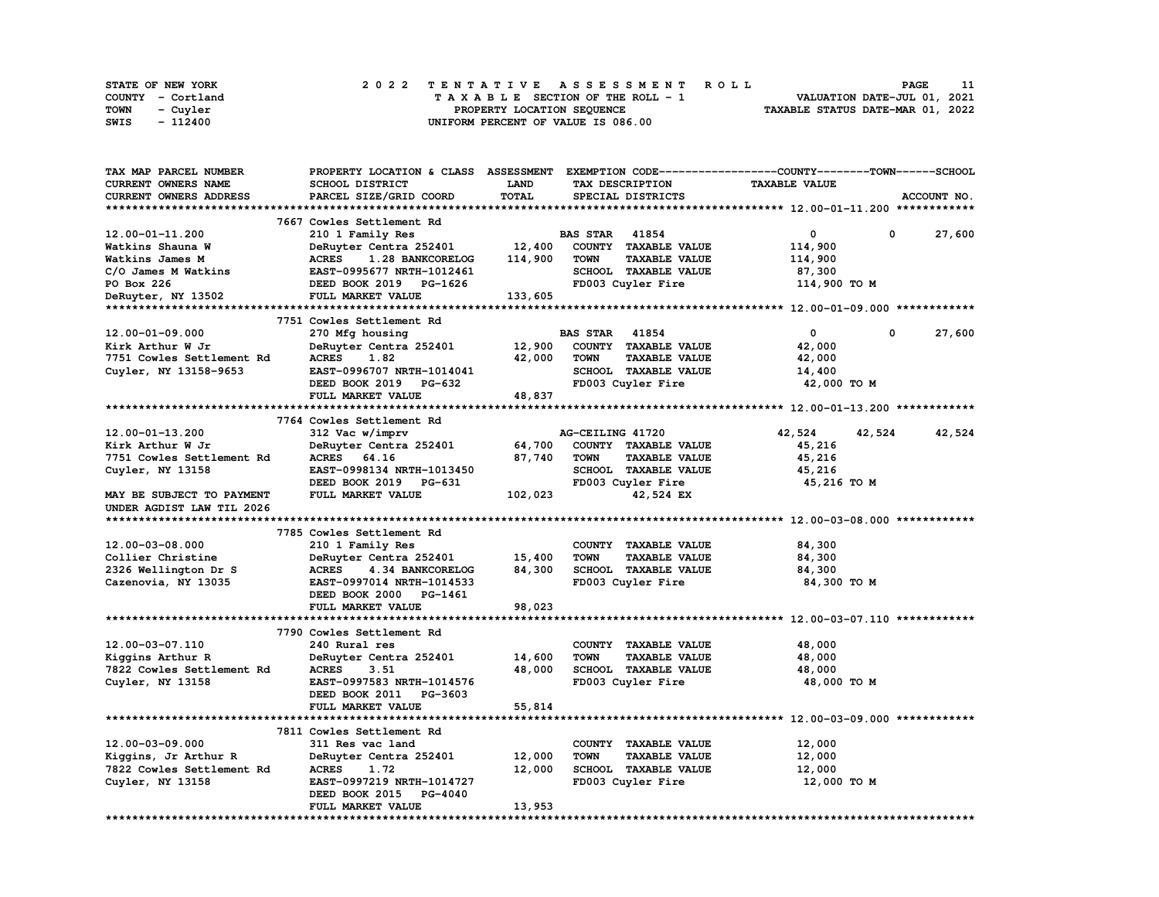| STATE OF NEW YORK | 2022 TENTATIVE ASSESSMENT ROLL     | <b>PAGE</b>                      |
|-------------------|------------------------------------|----------------------------------|
| COUNTY - Cortland | TAXABLE SECTION OF THE ROLL - 1    | VALUATION DATE-JUL 01, 2021      |
| TOWN<br>- Cuyler  | PROPERTY LOCATION SEOUENCE         | TAXABLE STATUS DATE-MAR 01, 2022 |
| - 112400<br>SWIS  | UNIFORM PERCENT OF VALUE IS 086.00 |                                  |

| <b>TAX MAP PARCEL NUMBER</b> | PROPERTY LOCATION & CLASS ASSESSMENT |         | EXEMPTION CODE-----------------COUNTY-------TOWN------SCHOOL |                      |                        |
|------------------------------|--------------------------------------|---------|--------------------------------------------------------------|----------------------|------------------------|
| CURRENT OWNERS NAME          | SCHOOL DISTRICT                      | LAND    | TAX DESCRIPTION                                              | <b>TAXABLE VALUE</b> |                        |
| CURRENT OWNERS ADDRESS       | PARCEL SIZE/GRID COORD               | TOTAL   | SPECIAL DISTRICTS                                            |                      | ACCOUNT NO.            |
|                              |                                      |         |                                                              |                      |                        |
|                              | 7667 Cowles Settlement Rd            |         |                                                              |                      |                        |
| 12.00-01-11.200              | 210 1 Family Res                     |         | <b>BAS STAR 41854</b>                                        | 0                    | $\mathbf{o}$<br>27,600 |
| Watkins Shauna W             | DeRuyter Centra 252401               | 12,400  | COUNTY TAXABLE VALUE                                         | 114,900              |                        |
| Watkins James M              | <b>ACRES</b><br>1.28 BANKCORELOG     | 114,900 | <b>TOWN</b><br><b>TAXABLE VALUE</b>                          | 114,900              |                        |
| C/O James M Watkins          | EAST-0995677 NRTH-1012461            |         | SCHOOL TAXABLE VALUE                                         | 87,300               |                        |
| PO Box 226                   | DEED BOOK 2019 PG-1626               |         | FD003 Cuyler Fire                                            | 114,900 TO M         |                        |
| DeRuyter, NY 13502           | FULL MARKET VALUE                    | 133,605 |                                                              |                      |                        |
|                              |                                      |         |                                                              |                      |                        |
|                              | 7751 Cowles Settlement Rd            |         |                                                              |                      |                        |
| $12.00 - 01 - 09.000$        | 270 Mfg housing                      |         | <b>BAS STAR 41854</b>                                        | $\mathbf 0$          | 0<br>27,600            |
| Kirk Arthur W Jr             | DeRuyter Centra 252401               | 12,900  | COUNTY TAXABLE VALUE                                         | 42,000               |                        |
| 7751 Cowles Settlement Rd    | <b>ACRES</b><br>1.82                 | 42,000  | <b>TOWN</b><br><b>TAXABLE VALUE</b>                          | 42,000               |                        |
| Cuyler, NY 13158-9653        | EAST-0996707 NRTH-1014041            |         | SCHOOL TAXABLE VALUE                                         | 14,400               |                        |
|                              | DEED BOOK 2019 PG-632                |         | FD003 Cuyler Fire                                            | 42,000 TO M          |                        |
|                              | FULL MARKET VALUE                    | 48,837  |                                                              |                      |                        |
|                              |                                      |         |                                                              |                      |                        |
|                              | 7764 Cowles Settlement Rd            |         |                                                              |                      |                        |
| 12.00-01-13.200              |                                      |         | AG-CEILING 41720                                             |                      | 42,524                 |
|                              | 312 Vac w/imprv                      |         |                                                              | 42,524<br>42,524     |                        |
| Kirk Arthur W Jr             | DeRuyter Centra 252401               | 64,700  | COUNTY TAXABLE VALUE                                         | 45,216               |                        |
| 7751 Cowles Settlement Rd    | ACRES 64.16                          | 87,740  | <b>TAXABLE VALUE</b><br><b>TOWN</b>                          | 45,216               |                        |
| Cuyler, NY 13158             | EAST-0998134 NRTH-1013450            |         | SCHOOL TAXABLE VALUE                                         | 45,216               |                        |
|                              | DEED BOOK 2019 PG-631                |         | FD003 Cuyler Fire                                            | 45,216 TO M          |                        |
| MAY BE SUBJECT TO PAYMENT    | FULL MARKET VALUE                    | 102,023 | 42,524 EX                                                    |                      |                        |
| UNDER AGDIST LAW TIL 2026    |                                      |         |                                                              |                      |                        |
|                              |                                      |         |                                                              |                      |                        |
|                              | 7785 Cowles Settlement Rd            |         |                                                              |                      |                        |
| 12.00-03-08.000              | 210 1 Family Res                     |         | COUNTY TAXABLE VALUE                                         | 84,300               |                        |
| Collier Christine            | DeRuyter Centra 252401               | 15,400  | <b>TOWN</b><br><b>TAXABLE VALUE</b>                          | 84,300               |                        |
| 2326 Wellington Dr S         | <b>ACRES</b><br>4.34 BANKCORELOG     | 84,300  | SCHOOL TAXABLE VALUE                                         | 84,300               |                        |
| Cazenovia, NY 13035          | EAST-0997014 NRTH-1014533            |         | FD003 Cuyler Fire                                            | 84,300 TO M          |                        |
|                              | DEED BOOK 2000 PG-1461               |         |                                                              |                      |                        |
|                              | FULL MARKET VALUE                    | 98,023  |                                                              |                      |                        |
|                              |                                      |         |                                                              |                      |                        |
|                              | 7790 Cowles Settlement Rd            |         |                                                              |                      |                        |
| 12.00-03-07.110              | 240 Rural res                        |         | COUNTY TAXABLE VALUE                                         | 48,000               |                        |
| Kiggins Arthur R             | DeRuyter Centra 252401               | 14,600  | <b>TOWN</b><br><b>TAXABLE VALUE</b>                          | 48,000               |                        |
| 7822 Cowles Settlement Rd    | <b>ACRES</b><br>3.51                 | 48,000  | SCHOOL TAXABLE VALUE                                         | 48,000               |                        |
| Cuyler, NY 13158             | EAST-0997583 NRTH-1014576            |         | FD003 Cuyler Fire                                            | 48,000 TO M          |                        |
|                              | DEED BOOK 2011 PG-3603               |         |                                                              |                      |                        |
|                              | FULL MARKET VALUE                    | 55,814  |                                                              |                      |                        |
|                              |                                      |         |                                                              |                      |                        |
|                              | 7811 Cowles Settlement Rd            |         |                                                              |                      |                        |
| 12.00-03-09.000              | 311 Res vac land                     |         | COUNTY TAXABLE VALUE                                         | 12,000               |                        |
| Kiggins, Jr Arthur R         | DeRuyter Centra 252401               | 12,000  | <b>TOWN</b><br><b>TAXABLE VALUE</b>                          | 12,000               |                        |
| 7822 Cowles Settlement Rd    | <b>ACRES</b><br>1.72                 | 12,000  | SCHOOL TAXABLE VALUE                                         | 12,000               |                        |
| Cuyler, NY 13158             | EAST-0997219 NRTH-1014727            |         | FD003 Cuyler Fire                                            | 12,000 TO M          |                        |
|                              | DEED BOOK 2015 PG-4040               |         |                                                              |                      |                        |
|                              | FULL MARKET VALUE                    | 13,953  |                                                              |                      |                        |
|                              |                                      |         |                                                              |                      |                        |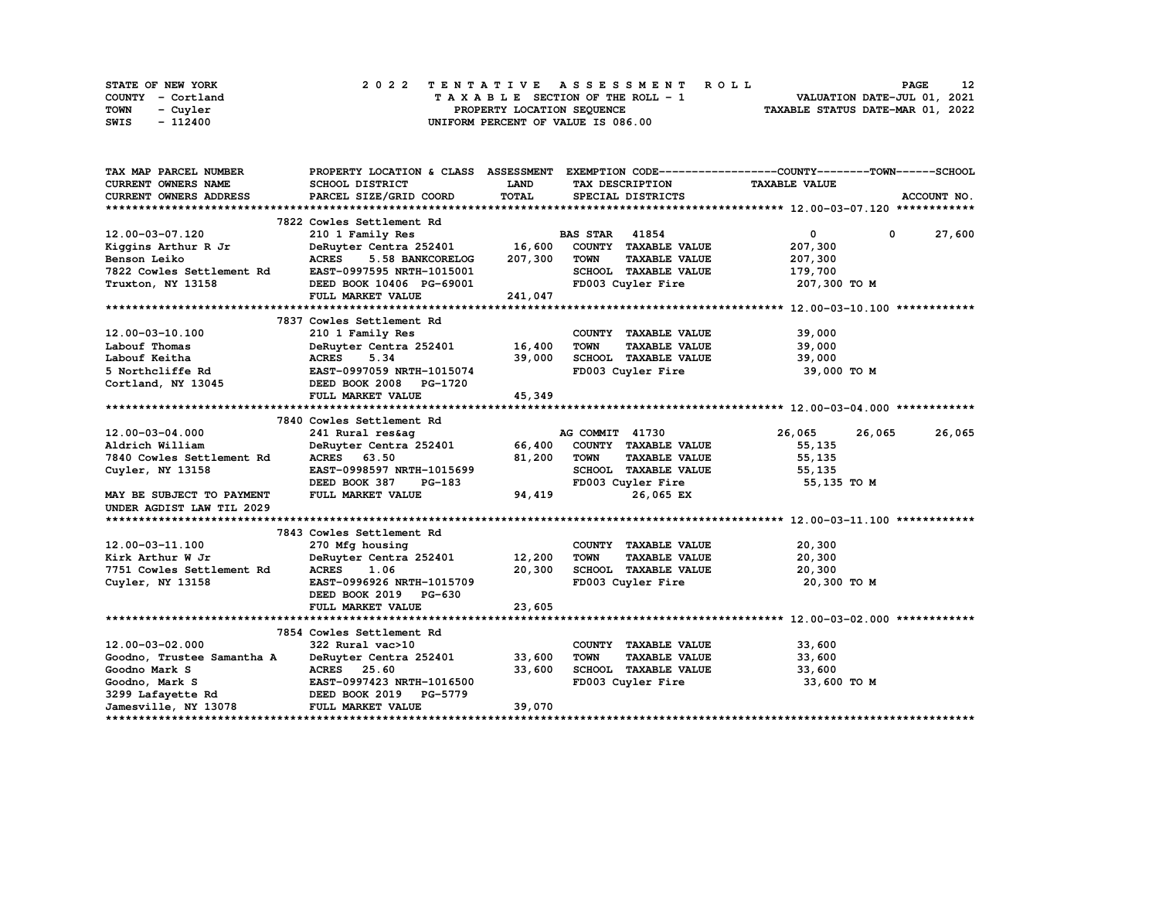| STATE OF NEW YORK | 2022 TENTATIVE ASSESSMENT ROLL     | 12<br><b>PAGE</b>                |
|-------------------|------------------------------------|----------------------------------|
| COUNTY - Cortland | TAXABLE SECTION OF THE ROLL - 1    | VALUATION DATE-JUL 01, 2021      |
| TOWN<br>- Cuvler  | PROPERTY LOCATION SEQUENCE         | TAXABLE STATUS DATE-MAR 01, 2022 |
| - 112400<br>SWIS  | UNIFORM PERCENT OF VALUE IS 086.00 |                                  |

| TAX MAP PARCEL NUMBER                            |                                                    |             |                                                          | PROPERTY LOCATION & CLASS ASSESSMENT EXEMPTION CODE----------------COUNTY-------TOWN------SCHOOL |                        |
|--------------------------------------------------|----------------------------------------------------|-------------|----------------------------------------------------------|--------------------------------------------------------------------------------------------------|------------------------|
| <b>CURRENT OWNERS NAME</b>                       | SCHOOL DISTRICT                                    | <b>LAND</b> | TAX DESCRIPTION                                          | <b>TAXABLE VALUE</b>                                                                             |                        |
| <b>CURRENT OWNERS ADDRESS</b>                    | PARCEL SIZE/GRID COORD                             | TOTAL       | SPECIAL DISTRICTS                                        |                                                                                                  | ACCOUNT NO.            |
|                                                  |                                                    |             |                                                          |                                                                                                  |                        |
|                                                  | 7822 Cowles Settlement Rd                          |             |                                                          |                                                                                                  |                        |
| 12.00-03-07.120                                  | 210 1 Family Res                                   |             | <b>BAS STAR 41854</b>                                    | $\mathbf{0}$                                                                                     | 27,600<br>$\mathbf{0}$ |
| Kiqqins Arthur R Jr                              | $\frac{1}{2}$ DeRuyter Centra 252401 16,600        |             | COUNTY TAXABLE VALUE                                     | 207,300                                                                                          |                        |
| Benson Leiko                                     | 5.58 BANKCORELOG<br><b>ACRES</b>                   | 207,300     | <b>TOWN</b><br><b>TAXABLE VALUE</b>                      | 207,300                                                                                          |                        |
| 7822 Cowles Settlement Rd                        | EAST-0997595 NRTH-1015001                          |             | SCHOOL TAXABLE VALUE                                     | 179,700                                                                                          |                        |
| Truxton, NY 13158                                | DEED BOOK 10406 PG-69001                           |             | FD003 Cuyler Fire                                        | 207,300 то м                                                                                     |                        |
|                                                  | FULL MARKET VALUE                                  | 241,047     |                                                          |                                                                                                  |                        |
|                                                  |                                                    |             |                                                          |                                                                                                  |                        |
|                                                  | 7837 Cowles Settlement Rd                          |             |                                                          |                                                                                                  |                        |
| 12.00-03-10.100                                  | 210 1 Family Res                                   |             | COUNTY TAXABLE VALUE                                     | 39,000                                                                                           |                        |
| Labouf Thomas                                    | DeRuyter Centra 252401 16,400                      |             | <b>TOWN</b><br><b>TAXABLE VALUE</b>                      | 39,000                                                                                           |                        |
| Labouf Keitha                                    | <b>ACRES</b><br>5.34                               | 39,000      |                                                          | 39,000                                                                                           |                        |
| 5 Northcliffe Rd EAST-0997059 NRTH-1015074       |                                                    |             | TOWN LONGEL<br>SCHOOL TAXABLE VALUE<br>FD003 Cuyler Fire | 39,000 TO M                                                                                      |                        |
| Cortland, NY 13045 <b>DEED BOOK 2008</b> PG-1720 |                                                    |             |                                                          |                                                                                                  |                        |
|                                                  | <b>FULL MARKET VALUE</b>                           | 45,349      |                                                          |                                                                                                  |                        |
|                                                  |                                                    |             |                                                          |                                                                                                  |                        |
|                                                  | 7840 Cowles Settlement Rd                          |             |                                                          |                                                                                                  |                        |
| $12.00 - 03 - 04.000$                            | 241 Rural res&aq                                   |             | AG COMMIT 41730                                          | 26,065<br>26,065                                                                                 | 26,065                 |
| Aldrich William                                  | DeRuyter Centra 252401 66,400 COUNTY TAXABLE VALUE |             |                                                          | 55,135                                                                                           |                        |
| 7840 Cowles Settlement Rd                        | ACRES 63.50                                        | 81,200      | <b>TOWN</b><br><b>TAXABLE VALUE</b>                      | 55,135                                                                                           |                        |
| Cuyler, NY 13158                                 | EAST-0998597 NRTH-1015699                          |             | SCHOOL TAXABLE VALUE                                     | 55,135                                                                                           |                        |
|                                                  | DEED BOOK 387<br>PG-183                            |             | FD003 Cuyler Fire                                        | 55,135 TO M                                                                                      |                        |
| MAY BE SUBJECT TO PAYMENT                        | FULL MARKET VALUE                                  | 94,419      | 26,065 EX                                                |                                                                                                  |                        |
| UNDER AGDIST LAW TIL 2029                        |                                                    |             |                                                          |                                                                                                  |                        |
|                                                  |                                                    |             |                                                          |                                                                                                  |                        |
|                                                  | 7843 Cowles Settlement Rd                          |             |                                                          |                                                                                                  |                        |
| 12.00-03-11.100                                  | 270 Mfg housing                                    |             | COUNTY TAXABLE VALUE                                     | 20,300                                                                                           |                        |
| Kirk Arthur W Jr                                 | DeRuyter Centra 252401 12,200                      |             | TOWN<br><b>TAXABLE VALUE</b>                             | 20,300                                                                                           |                        |
| 7751 Cowles Settlement Rd                        | <b>ACRES</b><br>1.06                               | 20,300      | SCHOOL TAXABLE VALUE                                     | 20,300                                                                                           |                        |
| Cuyler, NY 13158                                 | EAST-0996926 NRTH-1015709                          |             | FD003 Cuyler Fire                                        | 20,300 TO M                                                                                      |                        |
|                                                  | DEED BOOK 2019 PG-630                              |             |                                                          |                                                                                                  |                        |
|                                                  | FULL MARKET VALUE                                  | 23,605      |                                                          |                                                                                                  |                        |
|                                                  |                                                    |             |                                                          |                                                                                                  |                        |
|                                                  | 7854 Cowles Settlement Rd                          |             |                                                          |                                                                                                  |                        |
| $12.00 - 03 - 02.000$                            | 322 Rural vac>10                                   |             | COUNTY TAXABLE VALUE                                     | 33,600                                                                                           |                        |
| Goodno, Trustee Samantha A                       | DeRuyter Centra 252401                             | 33,600      | <b>TOWN</b><br><b>TAXABLE VALUE</b>                      | 33,600                                                                                           |                        |
| Goodno Mark S                                    | ACRES 25.60                                        | 33,600      | <b>SCHOOL TAXABLE VALUE</b>                              | 33,600                                                                                           |                        |
| Goodno, Mark S                                   | EAST-0997423 NRTH-1016500                          |             | FD003 Cuyler Fire                                        | 33,600 TO M                                                                                      |                        |
| 3299 Lafayette Rd                                | DEED BOOK 2019 PG-5779                             |             |                                                          |                                                                                                  |                        |
| Jamesville, NY 13078                             | FULL MARKET VALUE                                  | 39,070      |                                                          |                                                                                                  |                        |
|                                                  |                                                    |             |                                                          |                                                                                                  |                        |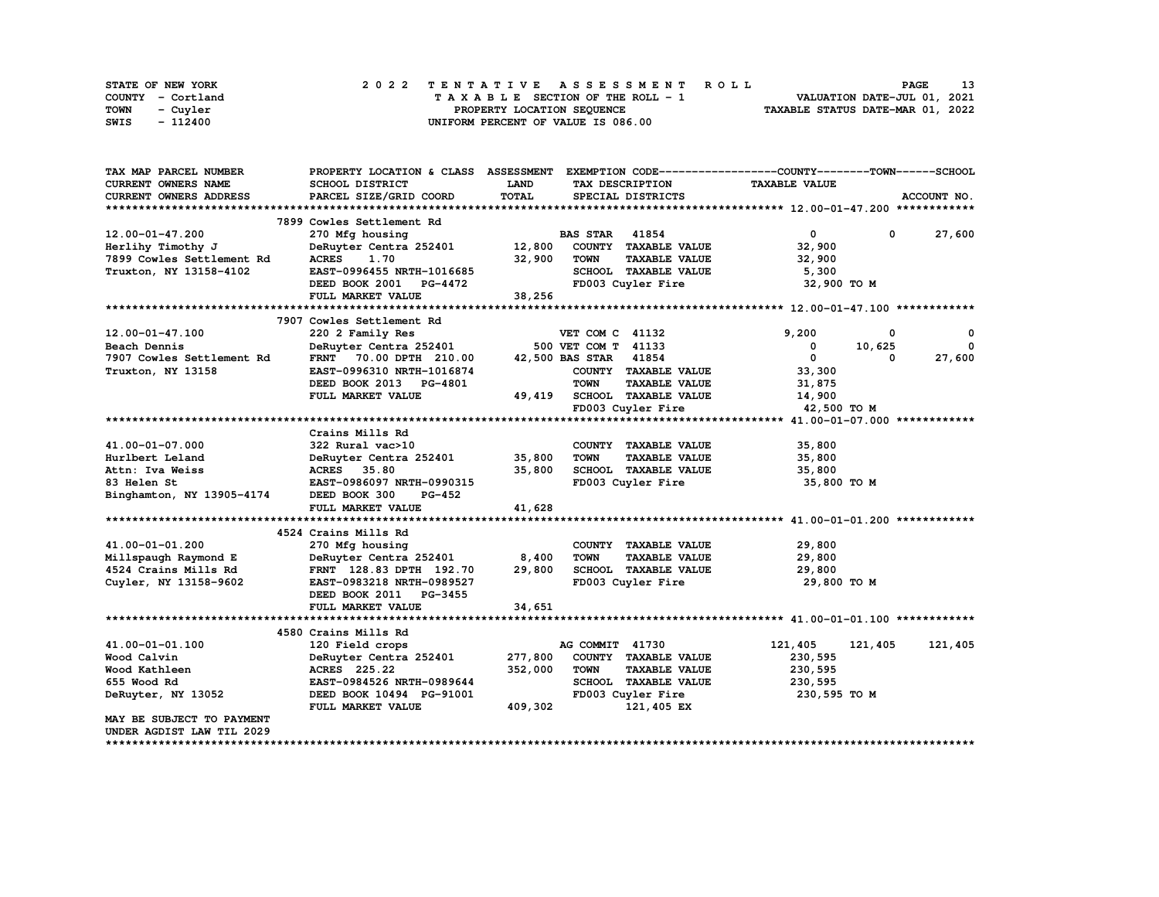| STATE OF NEW YORK | 2022 TENTATIVE ASSESSMENT ROLL     | <b>PAGE</b>                      |
|-------------------|------------------------------------|----------------------------------|
| COUNTY - Cortland | TAXABLE SECTION OF THE ROLL - 1    | VALUATION DATE-JUL 01, 2021      |
| TOWN<br>- Cuyler  | PROPERTY LOCATION SEQUENCE         | TAXABLE STATUS DATE-MAR 01, 2022 |
| - 112400<br>SWIS  | UNIFORM PERCENT OF VALUE IS 086.00 |                                  |

| TAX MAP PARCEL NUMBER         | PROPERTY LOCATION & CLASS ASSESSMENT |         | EXEMPTION CODE-----------------COUNTY-------TOWN-----SCHOOL |                      |                      |
|-------------------------------|--------------------------------------|---------|-------------------------------------------------------------|----------------------|----------------------|
| <b>CURRENT OWNERS NAME</b>    | SCHOOL DISTRICT                      | LAND    | TAX DESCRIPTION                                             | <b>TAXABLE VALUE</b> |                      |
| <b>CURRENT OWNERS ADDRESS</b> | PARCEL SIZE/GRID COORD               | TOTAL   | SPECIAL DISTRICTS                                           |                      | ACCOUNT NO.          |
|                               |                                      |         |                                                             |                      |                      |
|                               | 7899 Cowles Settlement Rd            |         |                                                             |                      |                      |
| 12.00-01-47.200               | 270 Mfg housing                      |         | <b>BAS STAR 41854</b>                                       | $\mathbf{0}$         | 27,600<br>$^{\circ}$ |
| Herlihy Timothy J             | DeRuyter Centra 252401 12,800        |         | COUNTY TAXABLE VALUE                                        | 32,900               |                      |
| 7899 Cowles Settlement Rd     | <b>ACRES</b><br>1.70                 | 32,900  | <b>TOWN</b><br><b>TAXABLE VALUE</b>                         | 32,900               |                      |
| Truxton, NY 13158-4102        | EAST-0996455 NRTH-1016685            |         | SCHOOL TAXABLE VALUE                                        | 5,300                |                      |
|                               | DEED BOOK 2001 PG-4472               |         | FD003 Cuyler Fire                                           | 32,900 TO M          |                      |
|                               | FULL MARKET VALUE                    | 38,256  |                                                             |                      |                      |
|                               |                                      |         |                                                             |                      |                      |
|                               | 7907 Cowles Settlement Rd            |         |                                                             |                      |                      |
| $12.00 - 01 - 47.100$         | 220 2 Family Res                     |         | VET COM C 41132                                             | 9,200                | 0<br>0               |
| Beach Dennis                  | DeRuyter Centra 252401               |         | 500 VET COM T 41133                                         | 0                    | 10,625<br>$\Omega$   |
| 7907 Cowles Settlement Rd     | FRNT 70.00 DPTH 210.00               |         | 42,500 BAS STAR 41854                                       | $\mathbf{0}$         | 27,600<br>$\Omega$   |
| Truxton, NY 13158             | EAST-0996310 NRTH-1016874            |         | COUNTY TAXABLE VALUE                                        | 33,300               |                      |
|                               | DEED BOOK 2013 PG-4801               |         | <b>TOWN</b><br><b>TAXABLE VALUE</b>                         | 31,875               |                      |
|                               | FULL MARKET VALUE                    |         | 49,419 SCHOOL TAXABLE VALUE                                 | 14,900               |                      |
|                               |                                      |         | FD003 Cuyler Fire                                           | 42,500 TO M          |                      |
|                               |                                      |         |                                                             |                      |                      |
|                               | Crains Mills Rd                      |         |                                                             |                      |                      |
| 41.00-01-07.000               | 322 Rural vac>10                     |         | COUNTY TAXABLE VALUE                                        | 35,800               |                      |
| Hurlbert Leland               | DeRuyter Centra 252401               | 35,800  | TOWN<br><b>TAXABLE VALUE</b>                                | 35,800               |                      |
| Attn: Iva Weiss               | <b>ACRES</b> 35.80                   | 35,800  | SCHOOL TAXABLE VALUE                                        | 35,800               |                      |
| <b>83 Helen St</b>            | EAST-0986097 NRTH-0990315            |         | FD003 Cuyler Fire                                           | 35,800 TO M          |                      |
| Binghamton, NY 13905-4174     | DEED BOOK 300<br>PG-452              |         |                                                             |                      |                      |
|                               | FULL MARKET VALUE                    | 41,628  |                                                             |                      |                      |
|                               |                                      |         |                                                             |                      |                      |
|                               | 4524 Crains Mills Rd                 |         |                                                             |                      |                      |
| 41.00-01-01.200               | 270 Mfg housing                      |         | COUNTY TAXABLE VALUE                                        | 29,800               |                      |
| Millspaugh Raymond E          | DeRuyter Centra 252401 8,400         |         | <b>TOWN</b><br><b>TAXABLE VALUE</b>                         | 29,800               |                      |
| 4524 Crains Mills Rd          | FRNT 128.83 DPTH 192.70              | 29,800  | SCHOOL TAXABLE VALUE                                        | 29,800               |                      |
| Cuyler, NY 13158-9602         | EAST-0983218 NRTH-0989527            |         | FD003 Cuyler Fire                                           | 29,800 TO M          |                      |
|                               | DEED BOOK 2011 PG-3455               |         |                                                             |                      |                      |
|                               | FULL MARKET VALUE                    | 34,651  |                                                             |                      |                      |
|                               |                                      |         |                                                             |                      |                      |
|                               | 4580 Crains Mills Rd                 |         |                                                             |                      |                      |
| 41.00-01-01.100               | 120 Field crops                      |         | AG COMMIT 41730                                             | 121,405              | 121,405<br>121,405   |
| Wood Calvin                   | DeRuyter Centra 252401               | 277,800 | COUNTY TAXABLE VALUE                                        | 230,595              |                      |
| Wood Kathleen                 | <b>ACRES</b> 225.22                  | 352,000 | <b>TOWN</b><br><b>TAXABLE VALUE</b>                         | 230,595              |                      |
| 655 Wood Rd                   | EAST-0984526 NRTH-0989644            |         | SCHOOL TAXABLE VALUE                                        | 230,595              |                      |
| DeRuyter, NY 13052            | DEED BOOK 10494 PG-91001             |         | FD003 Cuyler Fire                                           | 230,595 TO M         |                      |
|                               | FULL MARKET VALUE                    | 409,302 | 121,405 EX                                                  |                      |                      |
| MAY BE SUBJECT TO PAYMENT     |                                      |         |                                                             |                      |                      |
| UNDER AGDIST LAW TIL 2029     |                                      |         |                                                             |                      |                      |

**\*\*\*\*\*\*\*\*\*\*\*\*\*\*\*\*\*\*\*\*\*\*\*\*\*\*\*\*\*\*\*\*\*\*\*\*\*\*\*\*\*\*\*\*\*\*\*\*\*\*\*\*\*\*\*\*\*\*\*\*\*\*\*\*\*\*\*\*\*\*\*\*\*\*\*\*\*\*\*\*\*\*\*\*\*\*\*\*\*\*\*\*\*\*\*\*\*\*\*\*\*\*\*\*\*\*\*\*\*\*\*\*\*\*\*\*\*\*\*\*\*\*\*\*\*\*\*\*\*\*\*\***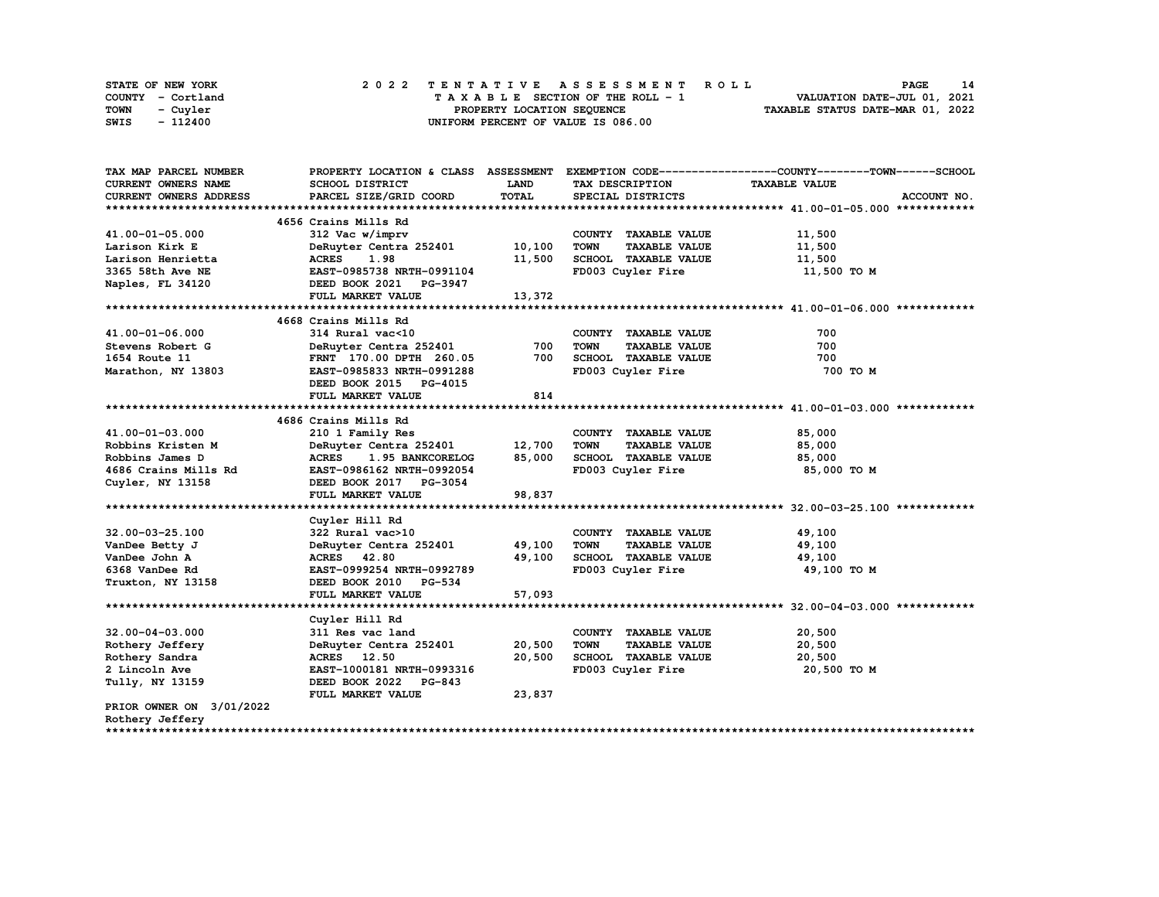|      | STATE OF NEW YORK |  | 2022 TENTATIVE ASSESSMENT ROLL |  |  |  |                                    |  |  |  |  |  |  |                                  | PAGE | 14 |
|------|-------------------|--|--------------------------------|--|--|--|------------------------------------|--|--|--|--|--|--|----------------------------------|------|----|
|      | COUNTY - Cortland |  |                                |  |  |  | TAXABLE SECTION OF THE ROLL - 1    |  |  |  |  |  |  | VALUATION DATE-JUL 01, 2021      |      |    |
| TOWN | - Cuvler          |  |                                |  |  |  | PROPERTY LOCATION SEQUENCE         |  |  |  |  |  |  | TAXABLE STATUS DATE-MAR 01, 2022 |      |    |
| SWIS | - 112400          |  |                                |  |  |  | UNIFORM PERCENT OF VALUE IS 086.00 |  |  |  |  |  |  |                                  |      |    |

| TAX MAP PARCEL NUMBER    |                                  |             |                                     | PROPERTY LOCATION & CLASS ASSESSMENT EXEMPTION CODE----------------COUNTY-------TOWN-----SCHOOL |
|--------------------------|----------------------------------|-------------|-------------------------------------|-------------------------------------------------------------------------------------------------|
| CURRENT OWNERS NAME      | SCHOOL DISTRICT                  | <b>LAND</b> | TAX DESCRIPTION                     | <b>TAXABLE VALUE</b>                                                                            |
| CURRENT OWNERS ADDRESS   | PARCEL SIZE/GRID COORD           | TOTAL       | SPECIAL DISTRICTS                   | ACCOUNT NO.                                                                                     |
|                          |                                  |             |                                     |                                                                                                 |
|                          | 4656 Crains Mills Rd             |             |                                     |                                                                                                 |
| 41.00-01-05.000          | 312 Vac w/imprv                  |             | COUNTY TAXABLE VALUE                | 11,500                                                                                          |
| Larison Kirk E           | DeRuyter Centra 252401 10,100    |             | <b>TOWN</b><br><b>TAXABLE VALUE</b> | 11,500                                                                                          |
| Larison Henrietta        | <b>ACRES</b><br>1.98             | 11,500      | SCHOOL TAXABLE VALUE                | 11,500                                                                                          |
| 3365 58th Ave NE         | EAST-0985738 NRTH-0991104        |             | FD003 Cuyler Fire                   | 11,500 TO M                                                                                     |
| Naples, FL 34120         | DEED BOOK 2021 PG-3947           |             |                                     |                                                                                                 |
|                          | FULL MARKET VALUE                | 13,372      |                                     |                                                                                                 |
|                          |                                  |             |                                     |                                                                                                 |
|                          | 4668 Crains Mills Rd             |             |                                     |                                                                                                 |
| 41.00-01-06.000          | 314 Rural vac<10                 |             | COUNTY TAXABLE VALUE                | 700                                                                                             |
| Stevens Robert G         | DeRuyter Centra 252401           | 700         | <b>TOWN</b><br><b>TAXABLE VALUE</b> | 700                                                                                             |
| 1654 Route 11            | FRNT 170.00 DPTH 260.05          | 700         | SCHOOL TAXABLE VALUE                | 700                                                                                             |
| Marathon, NY 13803       | EAST-0985833 NRTH-0991288        |             | FD003 Cuyler Fire                   | 700 TO M                                                                                        |
|                          | DEED BOOK 2015 PG-4015           |             |                                     |                                                                                                 |
|                          | FULL MARKET VALUE                | 814         |                                     |                                                                                                 |
|                          |                                  |             |                                     |                                                                                                 |
|                          | 4686 Crains Mills Rd             |             |                                     |                                                                                                 |
| 41.00-01-03.000          | 210 1 Family Res                 |             | COUNTY TAXABLE VALUE                | 85,000                                                                                          |
| Robbins Kristen M        | DeRuyter Centra 252401           | 12,700      | <b>TOWN</b><br><b>TAXABLE VALUE</b> | 85,000                                                                                          |
| Robbins James D          | 1.95 BANKCORELOG<br><b>ACRES</b> | 85,000      | SCHOOL TAXABLE VALUE                | 85,000                                                                                          |
| 4686 Crains Mills Rd     | EAST-0986162 NRTH-0992054        |             | FD003 Cuyler Fire                   | 85,000 TO M                                                                                     |
| Cuyler, NY 13158         | DEED BOOK 2017 PG-3054           |             |                                     |                                                                                                 |
|                          | FULL MARKET VALUE                | 98,837      |                                     |                                                                                                 |
|                          |                                  |             |                                     |                                                                                                 |
|                          | Cuyler Hill Rd                   |             |                                     |                                                                                                 |
| 32.00-03-25.100          | 322 Rural vac>10                 |             | COUNTY TAXABLE VALUE                | 49,100                                                                                          |
| VanDee Betty J           | DeRuyter Centra 252401           | 49,100      | <b>TOWN</b><br><b>TAXABLE VALUE</b> | 49,100                                                                                          |
| VanDee John A            | ACRES 42.80                      | 49,100      | SCHOOL TAXABLE VALUE                | 49,100                                                                                          |
| 6368 VanDee Rd           | EAST-0999254 NRTH-0992789        |             | FD003 Cuyler Fire                   | 49,100 TO M                                                                                     |
| Truxton, NY 13158        | DEED BOOK 2010 PG-534            |             |                                     |                                                                                                 |
|                          | FULL MARKET VALUE                | 57,093      |                                     |                                                                                                 |
|                          |                                  |             |                                     |                                                                                                 |
|                          | Cuyler Hill Rd                   |             |                                     |                                                                                                 |
| $32.00 - 04 - 03.000$    | 311 Res vac land                 |             | COUNTY TAXABLE VALUE                | 20,500                                                                                          |
| Rothery Jeffery          | DeRuyter Centra 252401           | 20,500      | <b>TOWN</b><br><b>TAXABLE VALUE</b> | 20,500                                                                                          |
| Rothery Sandra           | ACRES 12.50                      | 20,500      | SCHOOL TAXABLE VALUE                | 20,500                                                                                          |
| 2 Lincoln Ave            | EAST-1000181 NRTH-0993316        |             | FD003 Cuyler Fire                   | 20,500 TO M                                                                                     |
| Tully, NY 13159          | DEED BOOK 2022 PG-843            |             |                                     |                                                                                                 |
|                          | FULL MARKET VALUE                | 23,837      |                                     |                                                                                                 |
| PRIOR OWNER ON 3/01/2022 |                                  |             |                                     |                                                                                                 |
| Rothery Jeffery          |                                  |             |                                     |                                                                                                 |
|                          |                                  |             |                                     |                                                                                                 |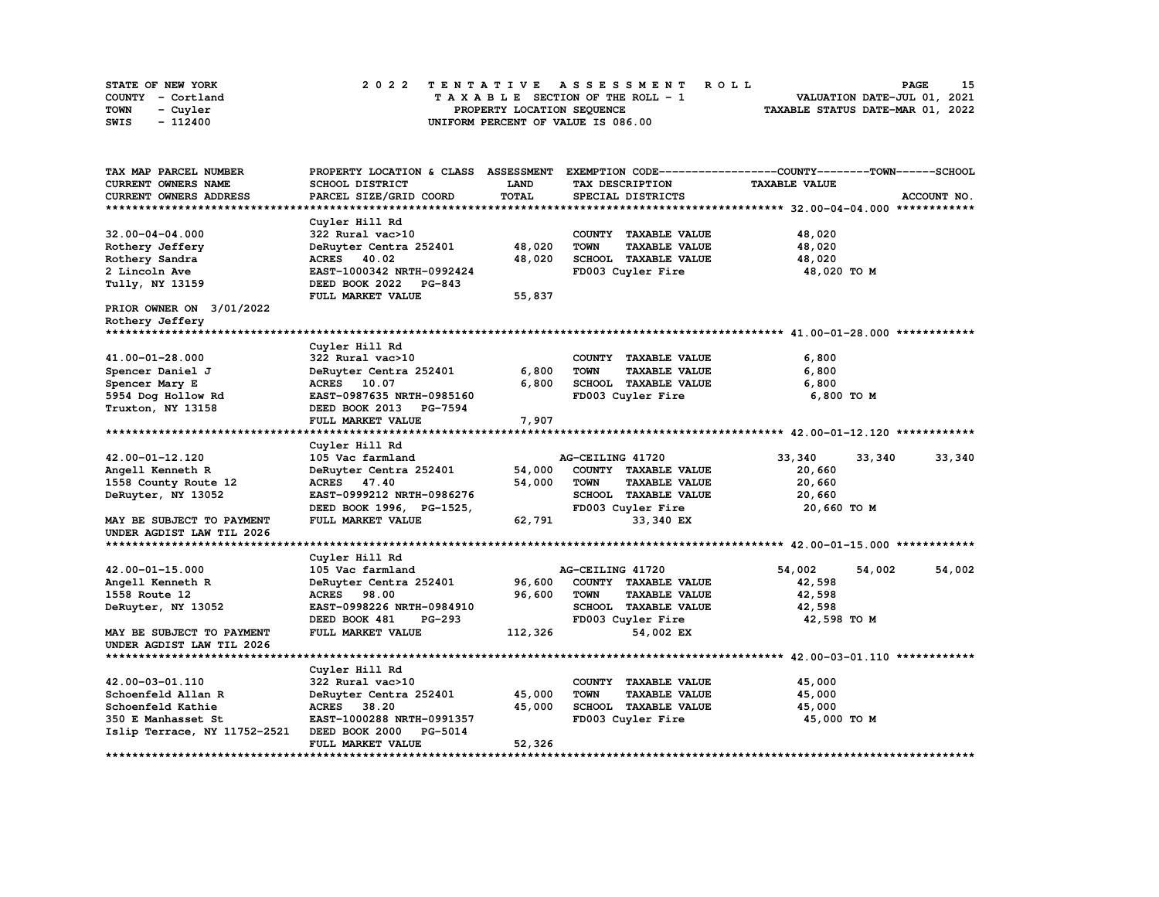| STATE OF NEW YORK | 2022 TENTATIVE ASSESSMENT ROLL          | 15<br>PAGE                       |
|-------------------|-----------------------------------------|----------------------------------|
| COUNTY - Cortland | $T A X A B L E$ SECTION OF THE ROLL - 1 | VALUATION DATE-JUL 01, 2021      |
| TOWN<br>- Cuyler  | PROPERTY LOCATION SEQUENCE              | TAXABLE STATUS DATE-MAR 01, 2022 |
| - 112400<br>SWIS  | UNIFORM PERCENT OF VALUE IS 086.00      |                                  |

| TAX MAP PARCEL NUMBER        | PROPERTY LOCATION & CLASS ASSESSMENT |              |                                     | EXEMPTION CODE-----------------COUNTY-------TOWN------SCHOOL |             |
|------------------------------|--------------------------------------|--------------|-------------------------------------|--------------------------------------------------------------|-------------|
| <b>CURRENT OWNERS NAME</b>   | SCHOOL DISTRICT                      | LAND         | TAX DESCRIPTION                     | <b>TAXABLE VALUE</b>                                         |             |
| CURRENT OWNERS ADDRESS       | PARCEL SIZE/GRID COORD               | <b>TOTAL</b> | SPECIAL DISTRICTS                   |                                                              | ACCOUNT NO. |
|                              |                                      |              |                                     |                                                              |             |
|                              | Cuyler Hill Rd                       |              |                                     |                                                              |             |
| $32.00 - 04 - 04.000$        | 322 Rural vac>10                     |              | COUNTY TAXABLE VALUE                | 48,020                                                       |             |
| Rothery Jeffery              | DeRuyter Centra 252401               | 48,020       | <b>TOWN</b><br><b>TAXABLE VALUE</b> | 48,020                                                       |             |
| Rothery Sandra               | ACRES 40.02                          | 48,020       | SCHOOL TAXABLE VALUE                | 48,020                                                       |             |
| 2 Lincoln Ave                | EAST-1000342 NRTH-0992424            |              | FD003 Cuyler Fire                   | 48,020 TO M                                                  |             |
| Tully, NY 13159              | DEED BOOK 2022 PG-843                |              |                                     |                                                              |             |
|                              | FULL MARKET VALUE                    | 55,837       |                                     |                                                              |             |
| PRIOR OWNER ON 3/01/2022     |                                      |              |                                     |                                                              |             |
| Rothery Jeffery              |                                      |              |                                     |                                                              |             |
|                              |                                      |              |                                     |                                                              |             |
|                              | Cuyler Hill Rd                       |              |                                     |                                                              |             |
| 41.00-01-28.000              | 322 Rural vac>10                     |              | COUNTY TAXABLE VALUE                | 6,800                                                        |             |
| Spencer Daniel J             | DeRuyter Centra 252401               | 6,800        | <b>TOWN</b><br><b>TAXABLE VALUE</b> | 6,800                                                        |             |
| Spencer Mary E               | ACRES 10.07                          | 6,800        | SCHOOL TAXABLE VALUE                | 6,800                                                        |             |
| 5954 Dog Hollow Rd           | EAST-0987635 NRTH-0985160            |              | FD003 Cuyler Fire                   | 6,800 TO M                                                   |             |
| Truxton, NY 13158            | DEED BOOK 2013 PG-7594               |              |                                     |                                                              |             |
|                              | FULL MARKET VALUE                    | 7,907        |                                     |                                                              |             |
|                              |                                      |              |                                     |                                                              |             |
|                              | Cuyler Hill Rd                       |              |                                     |                                                              |             |
| 42.00-01-12.120              | 105 Vac farmland                     |              | AG-CEILING 41720                    | 33,340<br>33,340                                             | 33,340      |
| Angell Kenneth R             | DeRuyter Centra 252401               | 54,000       | COUNTY TAXABLE VALUE                | 20,660                                                       |             |
| 1558 County Route 12         | ACRES 47.40                          | 54,000       | <b>TOWN</b><br><b>TAXABLE VALUE</b> | 20,660                                                       |             |
| DeRuyter, NY 13052           | EAST-0999212 NRTH-0986276            |              | <b>SCHOOL TAXABLE VALUE</b>         | 20,660                                                       |             |
|                              | DEED BOOK 1996, PG-1525,             |              | FD003 Cuyler Fire                   | 20,660 TO M                                                  |             |
| MAY BE SUBJECT TO PAYMENT    | FULL MARKET VALUE                    | 62,791       | 33,340 EX                           |                                                              |             |
| UNDER AGDIST LAW TIL 2026    |                                      |              |                                     |                                                              |             |
|                              |                                      |              |                                     |                                                              |             |
|                              | Cuyler Hill Rd                       |              |                                     |                                                              |             |
| 42.00-01-15.000              | 105 Vac farmland                     |              | AG-CEILING 41720                    | 54,002<br>54,002                                             | 54,002      |
| Angell Kenneth R             | DeRuyter Centra 252401               | 96,600       | COUNTY TAXABLE VALUE                | 42,598                                                       |             |
| 1558 Route 12                | <b>ACRES</b><br>98.00                | 96,600       | <b>TOWN</b><br><b>TAXABLE VALUE</b> | 42,598                                                       |             |
| DeRuyter, NY 13052           | EAST-0998226 NRTH-0984910            |              | SCHOOL TAXABLE VALUE                | 42,598                                                       |             |
|                              | DEED BOOK 481<br><b>PG-293</b>       |              | FD003 Cuyler Fire                   | 42,598 TO M                                                  |             |
| MAY BE SUBJECT TO PAYMENT    | FULL MARKET VALUE                    | 112,326      | 54,002 EX                           |                                                              |             |
| UNDER AGDIST LAW TIL 2026    |                                      |              |                                     |                                                              |             |
|                              |                                      |              |                                     |                                                              |             |
|                              | Cuyler Hill Rd                       |              |                                     |                                                              |             |
| 42.00-03-01.110              | 322 Rural vac>10                     |              | COUNTY TAXABLE VALUE                | 45,000                                                       |             |
| Schoenfeld Allan R           | DeRuyter Centra 252401               | 45,000       | <b>TAXABLE VALUE</b><br><b>TOWN</b> | 45,000                                                       |             |
| Schoenfeld Kathie            | ACRES 38.20                          | 45,000       | SCHOOL TAXABLE VALUE                | 45,000                                                       |             |
| 350 E Manhasset St           | EAST-1000288 NRTH-0991357            |              | FD003 Cuyler Fire                   | 45,000 TO M                                                  |             |
| Islip Terrace, NY 11752-2521 | DEED BOOK 2000<br>PG-5014            |              |                                     |                                                              |             |
|                              | FULL MARKET VALUE                    | 52,326       |                                     |                                                              |             |
| ********************         |                                      |              |                                     |                                                              |             |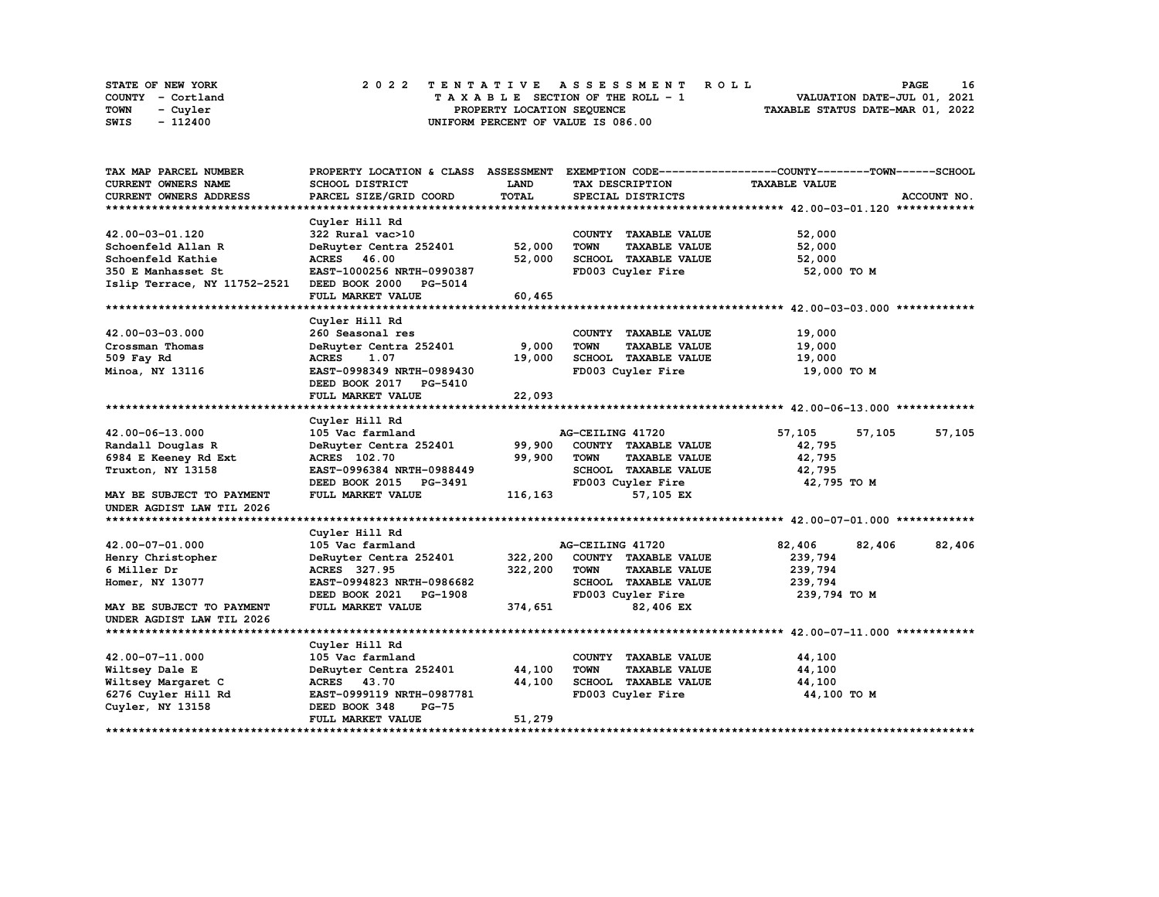|      | STATE OF NEW YORK |  |  |  |  |  | 2022 TENTATIVE ASSESSMENT ROLL     |  |  |  |  |  |  |  |                                  |  | <b>PAGE</b> |  | 16 |
|------|-------------------|--|--|--|--|--|------------------------------------|--|--|--|--|--|--|--|----------------------------------|--|-------------|--|----|
|      | COUNTY - Cortland |  |  |  |  |  | TAXABLE SECTION OF THE ROLL - 1    |  |  |  |  |  |  |  | VALUATION DATE-JUL 01, 2021      |  |             |  |    |
| TOWN | - Cuvler          |  |  |  |  |  | PROPERTY LOCATION SEQUENCE         |  |  |  |  |  |  |  | TAXABLE STATUS DATE-MAR 01, 2022 |  |             |  |    |
| SWIS | - 112400          |  |  |  |  |  | UNIFORM PERCENT OF VALUE IS 086.00 |  |  |  |  |  |  |  |                                  |  |             |  |    |

| TAX MAP PARCEL NUMBER        | PROPERTY LOCATION & CLASS ASSESSMENT |         |                                     | EXEMPTION CODE-----------------COUNTY-------TOWN-----SCHOOL |             |
|------------------------------|--------------------------------------|---------|-------------------------------------|-------------------------------------------------------------|-------------|
| <b>CURRENT OWNERS NAME</b>   | SCHOOL DISTRICT                      | LAND    | TAX DESCRIPTION                     | <b>TAXABLE VALUE</b>                                        |             |
| CURRENT OWNERS ADDRESS       | PARCEL SIZE/GRID COORD               | TOTAL   | SPECIAL DISTRICTS                   |                                                             | ACCOUNT NO. |
|                              |                                      |         |                                     |                                                             |             |
|                              | Cuyler Hill Rd                       |         |                                     |                                                             |             |
| 42.00-03-01.120              | 322 Rural vac>10                     |         | COUNTY TAXABLE VALUE                | 52,000                                                      |             |
| Schoenfeld Allan R           | DeRuyter Centra 252401               | 52,000  | <b>TOWN</b><br><b>TAXABLE VALUE</b> | 52,000                                                      |             |
| Schoenfeld Kathie            | ACRES 46.00                          | 52,000  | SCHOOL TAXABLE VALUE                | 52,000                                                      |             |
| 350 E Manhasset St           | EAST-1000256 NRTH-0990387            |         | FD003 Cuyler Fire                   | 52,000 TO M                                                 |             |
| Islip Terrace, NY 11752-2521 | DEED BOOK 2000 PG-5014               |         |                                     |                                                             |             |
|                              | FULL MARKET VALUE                    | 60,465  |                                     |                                                             |             |
|                              |                                      |         |                                     |                                                             |             |
|                              | Cuyler Hill Rd                       |         |                                     |                                                             |             |
| 42.00-03-03.000              | 260 Seasonal res                     |         | COUNTY TAXABLE VALUE                | 19,000                                                      |             |
| Crossman Thomas              | DeRuyter Centra 252401               | 9,000   | <b>TOWN</b><br><b>TAXABLE VALUE</b> | 19,000                                                      |             |
| 509 Fay Rd                   | <b>ACRES</b><br>1.07                 | 19,000  | SCHOOL TAXABLE VALUE                | 19,000                                                      |             |
| Minoa, NY 13116              | EAST-0998349 NRTH-0989430            |         | FD003 Cuyler Fire                   | 19,000 то м                                                 |             |
|                              | DEED BOOK 2017<br>PG-5410            |         |                                     |                                                             |             |
|                              | FULL MARKET VALUE                    | 22,093  |                                     |                                                             |             |
|                              |                                      |         |                                     |                                                             |             |
|                              | Cuyler Hill Rd                       |         |                                     |                                                             |             |
| 42.00-06-13.000              | 105 Vac farmland                     |         | AG-CEILING 41720                    | 57,105<br>57,105                                            | 57,105      |
| Randall Douglas R            | DeRuyter Centra 252401               | 99,900  | COUNTY TAXABLE VALUE                | 42,795                                                      |             |
| 6984 E Keeney Rd Ext         | ACRES 102.70                         | 99,900  | <b>TOWN</b><br><b>TAXABLE VALUE</b> | 42,795                                                      |             |
| Truxton, NY 13158            | EAST-0996384 NRTH-0988449            |         | SCHOOL TAXABLE VALUE                | 42,795                                                      |             |
|                              | DEED BOOK 2015 PG-3491               |         | FD003 Cuyler Fire                   | 42,795 TO M                                                 |             |
| MAY BE SUBJECT TO PAYMENT    | FULL MARKET VALUE                    | 116,163 | 57,105 EX                           |                                                             |             |
| UNDER AGDIST LAW TIL 2026    |                                      |         |                                     |                                                             |             |
|                              |                                      |         |                                     |                                                             |             |
|                              | Cuyler Hill Rd                       |         |                                     |                                                             |             |
| 42.00-07-01.000              | 105 Vac farmland                     |         | AG-CEILING 41720                    | 82,406<br>82,406                                            | 82,406      |
| Henry Christopher            | DeRuyter Centra 252401               | 322,200 | COUNTY TAXABLE VALUE                | 239,794                                                     |             |
| 6 Miller Dr                  | ACRES 327.95                         | 322,200 | <b>TOWN</b><br><b>TAXABLE VALUE</b> | 239,794                                                     |             |
| Homer, NY 13077              | EAST-0994823 NRTH-0986682            |         | SCHOOL TAXABLE VALUE                | 239,794                                                     |             |
|                              | DEED BOOK 2021<br>PG-1908            |         | FD003 Cuyler Fire                   | 239,794 то м                                                |             |
| MAY BE SUBJECT TO PAYMENT    | FULL MARKET VALUE                    | 374,651 | 82,406 EX                           |                                                             |             |
| UNDER AGDIST LAW TIL 2026    |                                      |         |                                     |                                                             |             |
|                              |                                      |         |                                     |                                                             |             |
|                              | Cuyler Hill Rd                       |         |                                     |                                                             |             |
| 42.00-07-11.000              | 105 Vac farmland                     |         | COUNTY TAXABLE VALUE                | 44,100                                                      |             |
| Wiltsey Dale E               | DeRuyter Centra 252401               | 44,100  | <b>TOWN</b><br><b>TAXABLE VALUE</b> | 44,100                                                      |             |
| Wiltsey Margaret C           | ACRES 43.70                          | 44,100  | SCHOOL TAXABLE VALUE                | 44,100                                                      |             |
| 6276 Cuyler Hill Rd          | EAST-0999119 NRTH-0987781            |         | FD003 Cuyler Fire                   | 44,100 TO M                                                 |             |
| Cuyler, NY 13158             | DEED BOOK 348<br><b>PG-75</b>        |         |                                     |                                                             |             |
|                              | FULL MARKET VALUE                    | 51,279  |                                     |                                                             |             |
|                              |                                      |         |                                     |                                                             |             |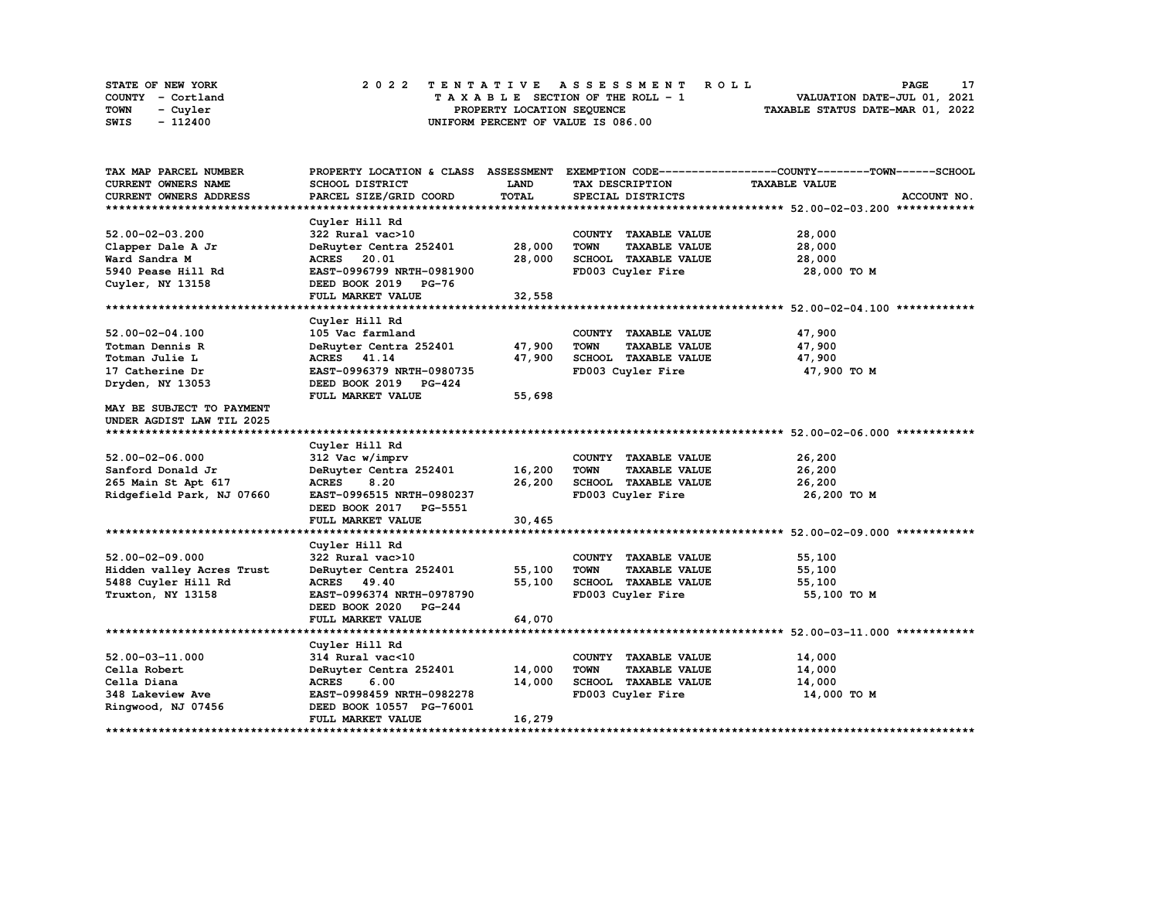| STATE OF NEW YORK | 2022 TENTATIVE ASSESSMENT ROLL     | <b>PAGE</b>                      |
|-------------------|------------------------------------|----------------------------------|
| COUNTY - Cortland | TAXABLE SECTION OF THE ROLL - 1    | VALUATION DATE-JUL 01, 2021      |
| TOWN<br>- Cuvler  | PROPERTY LOCATION SEQUENCE         | TAXABLE STATUS DATE-MAR 01, 2022 |
| - 112400<br>SWIS  | UNIFORM PERCENT OF VALUE IS 086.00 |                                  |

| TAX MAP PARCEL NUMBER     |                                 |              |                                     | PROPERTY LOCATION & CLASS ASSESSMENT EXEMPTION CODE----------------COUNTY-------TOWN------SCHOOL |
|---------------------------|---------------------------------|--------------|-------------------------------------|--------------------------------------------------------------------------------------------------|
| CURRENT OWNERS NAME       | SCHOOL DISTRICT                 | LAND         | TAX DESCRIPTION                     | <b>TAXABLE VALUE</b>                                                                             |
| CURRENT OWNERS ADDRESS    | PARCEL SIZE/GRID COORD          | <b>TOTAL</b> | SPECIAL DISTRICTS                   | ACCOUNT NO.                                                                                      |
|                           |                                 |              |                                     |                                                                                                  |
|                           | Cuyler Hill Rd                  |              |                                     |                                                                                                  |
| $52.00 - 02 - 03.200$     | 322 Rural vac>10                |              | COUNTY TAXABLE VALUE                | 28,000                                                                                           |
| Clapper Dale A Jr         | DeRuyter Centra 252401          | 28,000       | <b>TOWN</b><br><b>TAXABLE VALUE</b> | 28,000                                                                                           |
| Ward Sandra M             | <b>ACRES</b><br>20.01           | 28,000       | SCHOOL TAXABLE VALUE                | 28,000                                                                                           |
| 5940 Pease Hill Rd        | EAST-0996799 NRTH-0981900       |              | FD003 Cuyler Fire                   | 28,000 TO M                                                                                      |
| Cuyler, NY 13158          | DEED BOOK 2019 PG-76            |              |                                     |                                                                                                  |
|                           | FULL MARKET VALUE               | 32,558       |                                     |                                                                                                  |
|                           |                                 |              |                                     |                                                                                                  |
|                           | Cuyler Hill Rd                  |              |                                     |                                                                                                  |
| $52.00 - 02 - 04.100$     | 105 Vac farmland                |              | COUNTY TAXABLE VALUE                | 47,900                                                                                           |
| Totman Dennis R           | DeRuyter Centra 252401          | 47,900       | <b>TOWN</b><br><b>TAXABLE VALUE</b> | 47,900                                                                                           |
| Totman Julie L            | ACRES 41.14                     | 47,900       | SCHOOL TAXABLE VALUE                | 47,900                                                                                           |
| 17 Catherine Dr           | EAST-0996379 NRTH-0980735       |              | FD003 Cuyler Fire                   | 47,900 TO M                                                                                      |
| Dryden, NY 13053          | DEED BOOK 2019 PG-424           |              |                                     |                                                                                                  |
|                           | FULL MARKET VALUE               | 55,698       |                                     |                                                                                                  |
| MAY BE SUBJECT TO PAYMENT |                                 |              |                                     |                                                                                                  |
| UNDER AGDIST LAW TIL 2025 |                                 |              |                                     |                                                                                                  |
|                           |                                 |              |                                     |                                                                                                  |
|                           | Cuyler Hill Rd                  |              |                                     |                                                                                                  |
| $52.00 - 02 - 06.000$     | 312 Vac w/imprv                 |              | COUNTY TAXABLE VALUE                | 26,200                                                                                           |
| Sanford Donald Jr         | DeRuyter Centra 252401          | 16,200       | <b>TOWN</b><br><b>TAXABLE VALUE</b> | 26,200                                                                                           |
| 265 Main St Apt 617       | <b>ACRES</b><br>8.20            | 26,200       | SCHOOL TAXABLE VALUE                | 26,200                                                                                           |
| Ridgefield Park, NJ 07660 | EAST-0996515 NRTH-0980237       |              | FD003 Cuyler Fire                   | 26,200 TO M                                                                                      |
|                           | DEED BOOK 2017 PG-5551          |              |                                     |                                                                                                  |
|                           | FULL MARKET VALUE               | 30,465       |                                     |                                                                                                  |
|                           |                                 |              |                                     |                                                                                                  |
|                           | Cuyler Hill Rd                  |              |                                     |                                                                                                  |
| $52.00 - 02 - 09.000$     | 322 Rural vac>10                |              | COUNTY TAXABLE VALUE                | 55,100                                                                                           |
| Hidden valley Acres Trust | DeRuyter Centra 252401          | 55,100       | <b>TOWN</b><br><b>TAXABLE VALUE</b> | 55,100                                                                                           |
| 5488 Cuyler Hill Rd       | ACRES 49.40                     | 55,100       | SCHOOL TAXABLE VALUE                | 55,100                                                                                           |
| Truxton, NY 13158         | EAST-0996374 NRTH-0978790       |              | FD003 Cuyler Fire                   | 55,100 TO M                                                                                      |
|                           | DEED BOOK 2020<br><b>PG-244</b> |              |                                     |                                                                                                  |
|                           | FULL MARKET VALUE               | 64,070       |                                     |                                                                                                  |
|                           |                                 |              |                                     |                                                                                                  |
|                           | Cuyler Hill Rd                  |              |                                     |                                                                                                  |
| $52.00 - 03 - 11.000$     | 314 Rural vac<10                |              | COUNTY TAXABLE VALUE                | 14,000                                                                                           |
| Cella Robert              | DeRuyter Centra 252401          | 14,000       | <b>TOWN</b><br><b>TAXABLE VALUE</b> | 14,000                                                                                           |
| Cella Diana               | <b>ACRES</b><br>6.00            | 14,000       | SCHOOL TAXABLE VALUE                | 14,000                                                                                           |
| 348 Lakeview Ave          | EAST-0998459 NRTH-0982278       |              | FD003 Cuyler Fire                   | 14,000 TO M                                                                                      |
| Ringwood, NJ 07456        | DEED BOOK 10557 PG-76001        |              |                                     |                                                                                                  |
|                           | FULL MARKET VALUE               | 16,279       |                                     |                                                                                                  |
|                           |                                 |              |                                     |                                                                                                  |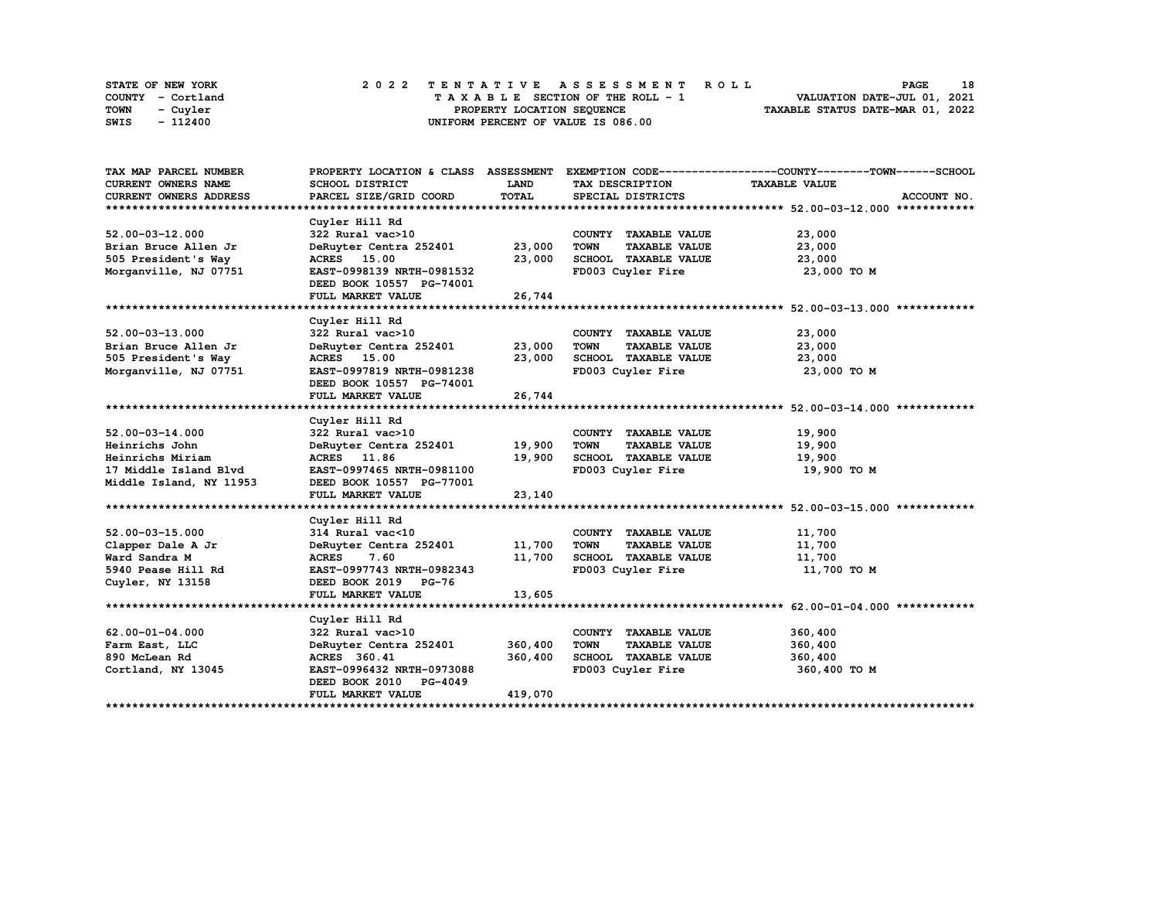| STATE OF NEW YORK | 2022 TENTATIVE ASSESSMENT ROLL     | 18<br><b>PAGE</b>                |
|-------------------|------------------------------------|----------------------------------|
| COUNTY - Cortland | TAXABLE SECTION OF THE ROLL - 1    | VALUATION DATE-JUL 01, 2021      |
| TOWN<br>- Cuvler  | PROPERTY LOCATION SEQUENCE         | TAXABLE STATUS DATE-MAR 01, 2022 |
| - 112400<br>SWIS  | UNIFORM PERCENT OF VALUE IS 086.00 |                                  |

| TAX MAP PARCEL NUMBER      |                                    |              |                                     | PROPERTY LOCATION & CLASS ASSESSMENT EXEMPTION CODE----------------COUNTY-------TOWN------SCHOOL |
|----------------------------|------------------------------------|--------------|-------------------------------------|--------------------------------------------------------------------------------------------------|
| <b>CURRENT OWNERS NAME</b> | SCHOOL DISTRICT                    | LAND         | TAX DESCRIPTION                     | <b>TAXABLE VALUE</b>                                                                             |
| CURRENT OWNERS ADDRESS     | PARCEL SIZE/GRID COORD             | <b>TOTAL</b> | SPECIAL DISTRICTS                   | ACCOUNT NO.                                                                                      |
|                            |                                    |              |                                     |                                                                                                  |
|                            | Cuyler Hill Rd                     |              |                                     |                                                                                                  |
| $52.00 - 03 - 12.000$      | 322 Rural vac>10                   |              | COUNTY TAXABLE VALUE                | 23,000                                                                                           |
| Brian Bruce Allen Jr       | DeRuyter Centra 252401 23,000      |              | <b>TOWN</b><br><b>TAXABLE VALUE</b> | 23,000                                                                                           |
| 505 President's Way        | <b>ACRES</b> 15.00                 | 23,000       | SCHOOL TAXABLE VALUE                | 23,000                                                                                           |
| Morganville, NJ 07751      | EAST-0998139 NRTH-0981532          |              | FD003 Cuyler Fire                   | 23,000 TO M                                                                                      |
|                            | DEED BOOK 10557 PG-74001           |              |                                     |                                                                                                  |
|                            | FULL MARKET VALUE                  | 26,744       |                                     |                                                                                                  |
|                            |                                    |              |                                     |                                                                                                  |
|                            | Cuyler Hill Rd                     |              |                                     |                                                                                                  |
| $52.00 - 03 - 13.000$      | 322 Rural vac>10                   |              | COUNTY TAXABLE VALUE                | 23,000                                                                                           |
| Brian Bruce Allen Jr       | DeRuyter Centra 252401             | 23,000       | <b>TOWN</b><br><b>TAXABLE VALUE</b> | 23,000                                                                                           |
| 505 President's Way        | <b>ACRES</b> 15.00                 | 23,000       | SCHOOL TAXABLE VALUE                | 23,000                                                                                           |
| Morganville, NJ 07751      | EAST-0997819 NRTH-0981238          |              | FD003 Cuyler Fire                   | 23,000 TO M                                                                                      |
|                            | DEED BOOK 10557 PG-74001           |              |                                     |                                                                                                  |
|                            | FULL MARKET VALUE                  | 26,744       |                                     |                                                                                                  |
|                            |                                    |              |                                     |                                                                                                  |
|                            | Cuyler Hill Rd                     |              |                                     |                                                                                                  |
| $52.00 - 03 - 14.000$      | 322 Rural vac>10                   |              | COUNTY TAXABLE VALUE                | 19,900                                                                                           |
| Heinrichs John             | DeRuyter Centra 252401             | 19,900       | <b>TOWN</b><br><b>TAXABLE VALUE</b> | 19,900                                                                                           |
| Heinrichs Miriam           | ACRES 11.86                        | 19,900       | SCHOOL TAXABLE VALUE                | 19,900                                                                                           |
| 17 Middle Island Blvd      | EAST-0997465 NRTH-0981100          |              | FD003 Cuyler Fire                   | 19,900 то м                                                                                      |
| Middle Island, NY 11953    | DEED BOOK 10557 PG-77001           |              |                                     |                                                                                                  |
|                            | FULL MARKET VALUE                  | 23,140       |                                     |                                                                                                  |
|                            |                                    |              |                                     |                                                                                                  |
| 52.00-03-15.000            | Cuyler Hill Rd<br>314 Rural vac<10 |              | COUNTY TAXABLE VALUE                | 11,700                                                                                           |
| Clapper Dale A Jr          | DeRuyter Centra 252401             | 11,700       | <b>TOWN</b><br><b>TAXABLE VALUE</b> | 11,700                                                                                           |
| Ward Sandra M              | ACRES 7.60                         | 11,700       | SCHOOL TAXABLE VALUE                | 11,700                                                                                           |
| 5940 Pease Hill Rd         | EAST-0997743 NRTH-0982343          |              | FD003 Cuyler Fire                   | 11,700 TO M                                                                                      |
| Cuyler, NY 13158           | DEED BOOK 2019 PG-76               |              |                                     |                                                                                                  |
|                            | FULL MARKET VALUE                  | 13,605       |                                     |                                                                                                  |
|                            |                                    |              |                                     |                                                                                                  |
|                            | Cuyler Hill Rd                     |              |                                     |                                                                                                  |
| 62.00-01-04.000            | 322 Rural vac>10                   |              | COUNTY TAXABLE VALUE                | 360,400                                                                                          |
| Farm East, LLC             | DeRuyter Centra 252401             | 360,400      | <b>TOWN</b><br><b>TAXABLE VALUE</b> | 360,400                                                                                          |
| 890 McLean Rd              | ACRES 360.41                       | 360,400      | SCHOOL TAXABLE VALUE                | 360,400                                                                                          |
| Cortland, NY 13045         | EAST-0996432 NRTH-0973088          |              | FD003 Cuyler Fire                   | 360,400 TO M                                                                                     |
|                            | DEED BOOK 2010 PG-4049             |              |                                     |                                                                                                  |
|                            | FULL MARKET VALUE                  | 419,070      |                                     |                                                                                                  |
|                            |                                    |              |                                     |                                                                                                  |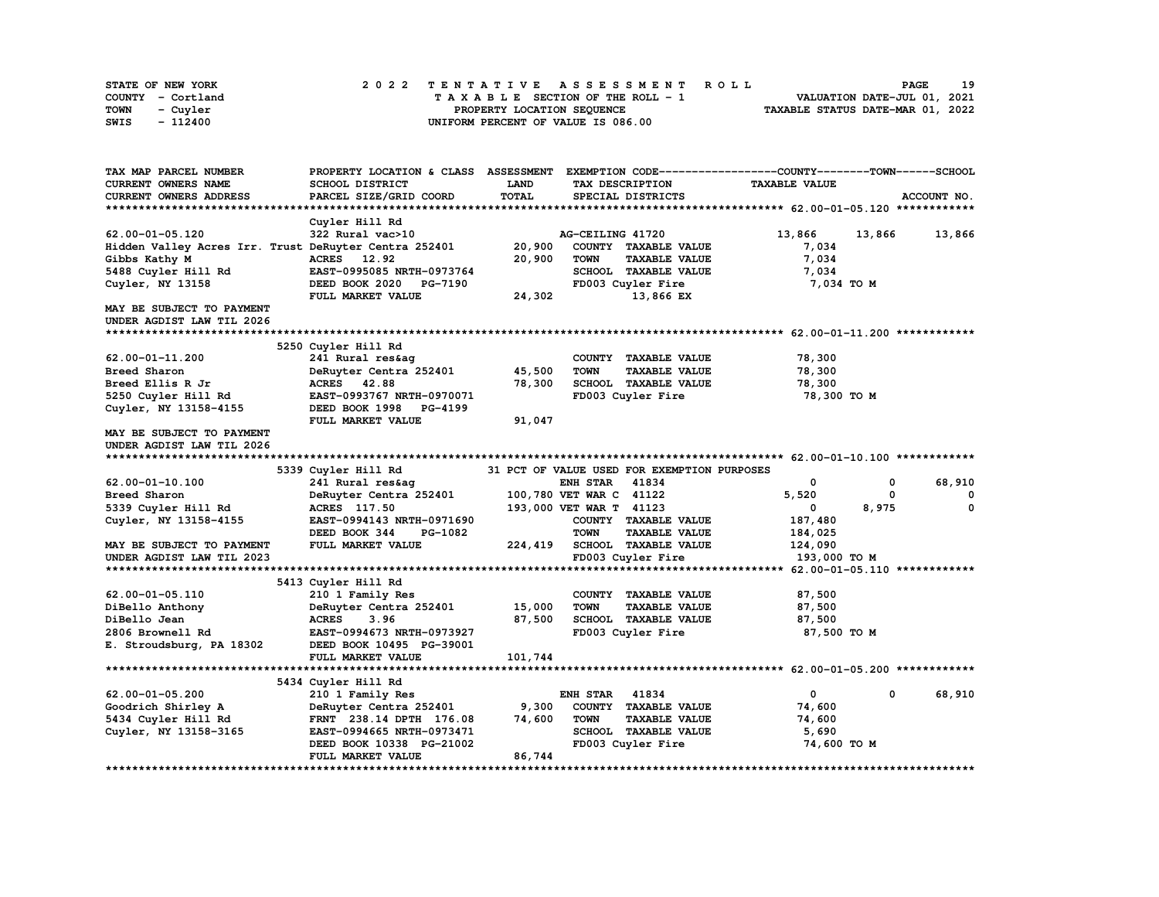| STATE OF NEW YORK | 2022 TENTATIVE ASSESSMENT ROLL     | 19<br><b>PAGE</b>                |
|-------------------|------------------------------------|----------------------------------|
| COUNTY - Cortland | TAXABLE SECTION OF THE ROLL - 1    | VALUATION DATE-JUL 01, 2021      |
| TOWN<br>- Cuyler  | PROPERTY LOCATION SEQUENCE         | TAXABLE STATUS DATE-MAR 01, 2022 |
| - 112400<br>SWIS  | UNIFORM PERCENT OF VALUE IS 086.00 |                                  |

| <b>TAX MAP PARCEL NUMBER</b>                          | PROPERTY LOCATION & CLASS | <b>ASSESSMENT</b> |                                             | EXEMPTION CODE-----------------COUNTY-------TOWN------SCHOOL |                  |
|-------------------------------------------------------|---------------------------|-------------------|---------------------------------------------|--------------------------------------------------------------|------------------|
| CURRENT OWNERS NAME                                   | <b>SCHOOL DISTRICT</b>    | LAND              | TAX DESCRIPTION                             | <b>TAXABLE VALUE</b>                                         |                  |
| CURRENT OWNERS ADDRESS                                | PARCEL SIZE/GRID COORD    | <b>TOTAL</b>      | SPECIAL DISTRICTS                           |                                                              | ACCOUNT NO.      |
| ************************                              |                           |                   |                                             |                                                              |                  |
|                                                       | Cuyler Hill Rd            |                   |                                             |                                                              |                  |
| 62.00-01-05.120                                       | 322 Rural vac>10          |                   | AG-CEILING 41720                            | 13,866                                                       | 13,866<br>13,866 |
| Hidden Valley Acres Irr. Trust DeRuyter Centra 252401 |                           | 20,900            | COUNTY TAXABLE VALUE                        | 7,034                                                        |                  |
| Gibbs Kathy M                                         | ACRES 12.92               | 20,900            | <b>TOWN</b><br><b>TAXABLE VALUE</b>         | 7,034                                                        |                  |
| 5488 Cuyler Hill Rd                                   | EAST-0995085 NRTH-0973764 |                   | SCHOOL TAXABLE VALUE                        | 7,034                                                        |                  |
| Cuyler, NY 13158                                      | DEED BOOK 2020<br>PG-7190 |                   | FD003 Cuyler Fire                           | 7,034 TO M                                                   |                  |
|                                                       | FULL MARKET VALUE         | 24,302            | 13,866 EX                                   |                                                              |                  |
| MAY BE SUBJECT TO PAYMENT                             |                           |                   |                                             |                                                              |                  |
| UNDER AGDIST LAW TIL 2026                             |                           |                   |                                             |                                                              |                  |
| ******************************                        |                           |                   |                                             |                                                              |                  |
|                                                       | 5250 Cuyler Hill Rd       |                   |                                             |                                                              |                  |
| 62.00-01-11.200                                       | 241 Rural res&aq          |                   | COUNTY TAXABLE VALUE                        | 78,300                                                       |                  |
| Breed Sharon                                          |                           |                   | <b>TOWN</b>                                 |                                                              |                  |
|                                                       | DeRuyter Centra 252401    | 45,500            | <b>TAXABLE VALUE</b>                        | 78,300                                                       |                  |
| Breed Ellis R Jr                                      | ACRES 42.88               | 78,300            | SCHOOL TAXABLE VALUE                        | 78,300                                                       |                  |
| 5250 Cuyler Hill Rd                                   | EAST-0993767 NRTH-0970071 |                   | FD003 Cuyler Fire                           | 78,300 TO M                                                  |                  |
| Cuyler, NY 13158-4155                                 | DEED BOOK 1998 PG-4199    |                   |                                             |                                                              |                  |
|                                                       | FULL MARKET VALUE         | 91,047            |                                             |                                                              |                  |
| <b>MAY BE SUBJECT TO PAYMENT</b>                      |                           |                   |                                             |                                                              |                  |
| UNDER AGDIST LAW TIL 2026                             |                           |                   |                                             |                                                              |                  |
|                                                       |                           |                   |                                             |                                                              |                  |
|                                                       | 5339 Cuyler Hill Rd       |                   | 31 PCT OF VALUE USED FOR EXEMPTION PURPOSES |                                                              |                  |
| 62.00-01-10.100                                       | 241 Rural res&aq          |                   | <b>ENH STAR</b><br>41834                    | 0                                                            | 68,910<br>0      |
| Breed Sharon                                          | DeRuyter Centra 252401    |                   | 100,780 VET WAR C 41122                     | 5,520                                                        | 0<br>0           |
| 5339 Cuyler Hill Rd                                   | ACRES 117.50              |                   | 193,000 VET WAR T 41123                     | 0                                                            | 8,975<br>0       |
| Cuyler, NY 13158-4155                                 | EAST-0994143 NRTH-0971690 |                   | COUNTY TAXABLE VALUE                        | 187,480                                                      |                  |
|                                                       | DEED BOOK 344<br>PG-1082  |                   | <b>TOWN</b><br><b>TAXABLE VALUE</b>         | 184,025                                                      |                  |
| <b>MAY BE SUBJECT TO PAYMENT</b>                      | FULL MARKET VALUE         | 224,419           | <b>SCHOOL TAXABLE VALUE</b>                 | 124,090                                                      |                  |
| UNDER AGDIST LAW TIL 2023                             |                           |                   | FD003 Cuyler Fire                           | 193,000 TO M                                                 |                  |
|                                                       |                           |                   |                                             |                                                              |                  |
|                                                       | 5413 Cuyler Hill Rd       |                   |                                             |                                                              |                  |
| 62.00-01-05.110                                       | 210 1 Family Res          |                   | COUNTY TAXABLE VALUE                        | 87,500                                                       |                  |
| DiBello Anthony                                       | DeRuyter Centra 252401    | 15,000            | <b>TOWN</b><br><b>TAXABLE VALUE</b>         | 87,500                                                       |                  |
| DiBello Jean                                          | <b>ACRES</b><br>3.96      | 87,500            | <b>SCHOOL TAXABLE VALUE</b>                 | 87,500                                                       |                  |
| 2806 Brownell Rd                                      | EAST-0994673 NRTH-0973927 |                   | FD003 Cuyler Fire                           | 87,500 TO M                                                  |                  |
| E. Stroudsburg, PA 18302                              | DEED BOOK 10495 PG-39001  |                   |                                             |                                                              |                  |
|                                                       | FULL MARKET VALUE         | 101,744           |                                             |                                                              |                  |
|                                                       |                           |                   |                                             |                                                              |                  |
|                                                       | 5434 Cuyler Hill Rd       |                   |                                             |                                                              |                  |
| 62.00-01-05.200                                       | 210 1 Family Res          |                   | <b>ENH STAR</b><br>41834                    | 0                                                            | 0<br>68,910      |
| Goodrich Shirley A                                    | DeRuyter Centra 252401    | 9,300             | COUNTY TAXABLE VALUE                        | 74,600                                                       |                  |
| 5434 Cuyler Hill Rd                                   | FRNT 238.14 DPTH 176.08   | 74,600            | <b>TOWN</b><br><b>TAXABLE VALUE</b>         | 74,600                                                       |                  |
| Cuyler, NY 13158-3165                                 | EAST-0994665 NRTH-0973471 |                   | SCHOOL TAXABLE VALUE                        | 5,690                                                        |                  |
|                                                       | DEED BOOK 10338 PG-21002  |                   | FD003 Cuyler Fire                           | 74,600 TO M                                                  |                  |
|                                                       | FULL MARKET VALUE         | 86,744            |                                             |                                                              |                  |
|                                                       |                           |                   |                                             |                                                              |                  |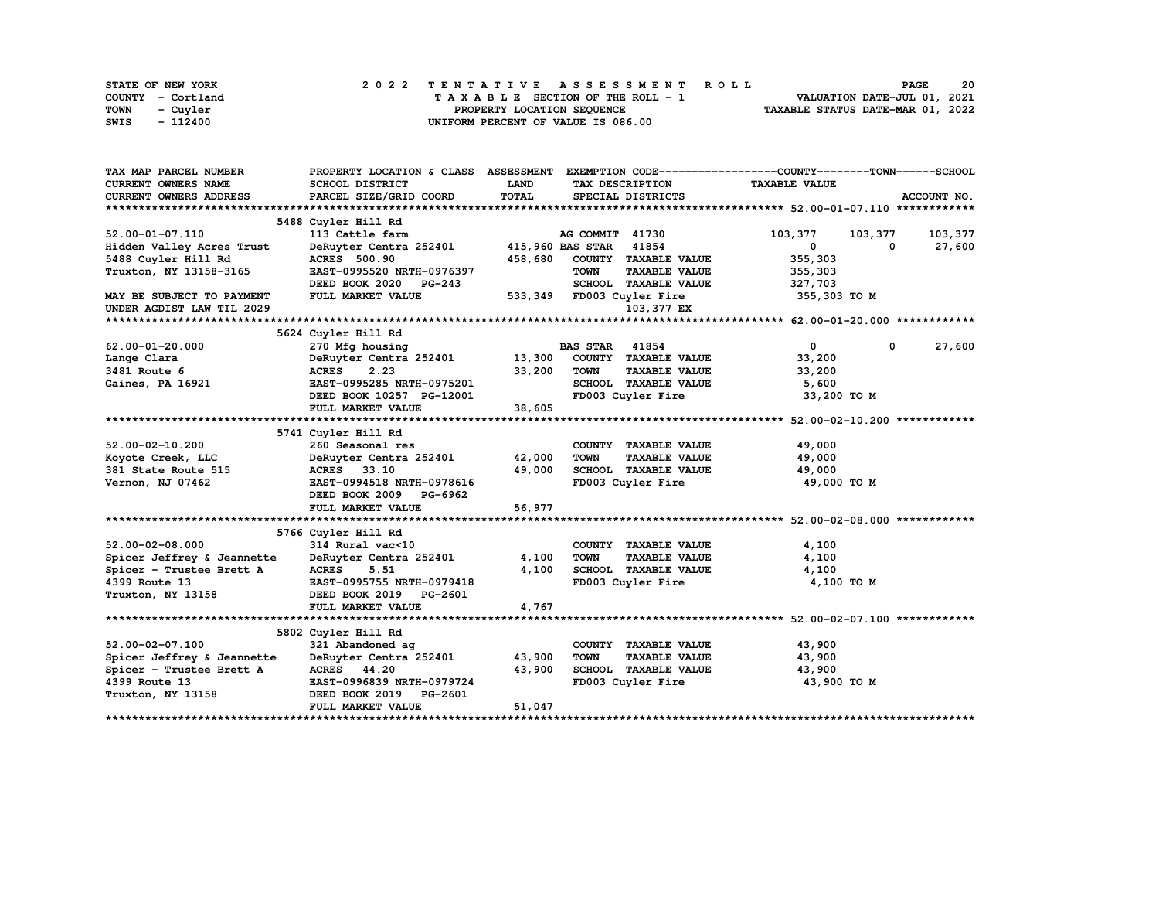| STATE OF NEW YORK | 2022 TENTATIVE ASSESSMENT ROLL     | 20<br><b>PAGE</b>                |
|-------------------|------------------------------------|----------------------------------|
| COUNTY - Cortland | TAXABLE SECTION OF THE ROLL - 1    | VALUATION DATE-JUL 01, 2021      |
| TOWN<br>- Cuvler  | PROPERTY LOCATION SEQUENCE         | TAXABLE STATUS DATE-MAR 01, 2022 |
| - 112400<br>SWIS  | UNIFORM PERCENT OF VALUE IS 086.00 |                                  |

| TAX MAP PARCEL NUMBER      | PROPERTY LOCATION & CLASS ASSESSMENT EXEMPTION CODE----------------COUNTY-------TOWN-----SCHOOL |             |                        |                           |                      |            |             |
|----------------------------|-------------------------------------------------------------------------------------------------|-------------|------------------------|---------------------------|----------------------|------------|-------------|
| CURRENT OWNERS NAME        | SCHOOL DISTRICT                                                                                 | <b>LAND</b> |                        | TAX DESCRIPTION           | <b>TAXABLE VALUE</b> |            |             |
| CURRENT OWNERS ADDRESS     | PARCEL SIZE/GRID COORD                                                                          | TOTAL       |                        | SPECIAL DISTRICTS         |                      |            | ACCOUNT NO. |
|                            |                                                                                                 |             |                        |                           |                      |            |             |
|                            | 5488 Cuyler Hill Rd                                                                             |             |                        |                           |                      |            |             |
| 52.00-01-07.110            | 113 Cattle farm                                                                                 |             | AG COMMIT 41730        |                           | 103,377              | 103,377    | 103,377     |
| Hidden Valley Acres Trust  | DeRuyter Centra 252401                                                                          |             | 415,960 BAS STAR 41854 |                           | $\mathbf 0$          | $^{\circ}$ | 27,600      |
| 5488 Cuyler Hill Rd        | <b>ACRES</b> 500.90                                                                             | 458,680     |                        | COUNTY TAXABLE VALUE      | 355,303              |            |             |
| Truxton, NY 13158-3165     | EAST-0995520 NRTH-0976397                                                                       |             | <b>TOWN</b>            | <b>TAXABLE VALUE</b>      | 355,303              |            |             |
|                            | DEED BOOK 2020 PG-243                                                                           |             |                        | SCHOOL TAXABLE VALUE      | 327,703              |            |             |
| MAY BE SUBJECT TO PAYMENT  | FULL MARKET VALUE                                                                               |             |                        | 533,349 FD003 Cuyler Fire | 355,303 TO M         |            |             |
| UNDER AGDIST LAW TIL 2029  |                                                                                                 |             |                        | 103,377 EX                |                      |            |             |
|                            |                                                                                                 |             |                        |                           |                      |            |             |
|                            | 5624 Cuyler Hill Rd                                                                             |             |                        |                           |                      |            |             |
| $62.00 - 01 - 20.000$      | 270 Mfg housing                                                                                 |             | <b>BAS STAR</b>        | 41854                     | $\mathbf{0}$         | 0          | 27,600      |
| Lange Clara                | DeRuyter Centra 252401 13,300 COUNTY TAXABLE VALUE                                              |             |                        |                           | 33,200               |            |             |
| 3481 Route 6               | 2.23<br><b>ACRES</b>                                                                            | 33,200      | <b>TOWN</b>            | <b>TAXABLE VALUE</b>      | 33,200               |            |             |
| Gaines, PA 16921           | EAST-0995285 NRTH-0975201                                                                       |             |                        | SCHOOL TAXABLE VALUE      | 5,600                |            |             |
|                            | DEED BOOK 10257 PG-12001                                                                        |             |                        | FD003 Cuyler Fire         | 33,200 TO M          |            |             |
|                            | FULL MARKET VALUE                                                                               | 38,605      |                        |                           |                      |            |             |
|                            |                                                                                                 |             |                        |                           |                      |            |             |
|                            | 5741 Cuyler Hill Rd                                                                             |             |                        |                           |                      |            |             |
| $52.00 - 02 - 10.200$      | 260 Seasonal res                                                                                |             |                        | COUNTY TAXABLE VALUE      | 49,000               |            |             |
| Koyote Creek, LLC          | DeRuyter Centra 252401                                                                          | 42,000      | <b>TOWN</b>            | <b>TAXABLE VALUE</b>      | 49,000               |            |             |
| 381 State Route 515        | ACRES 33.10                                                                                     | 49,000      |                        | SCHOOL TAXABLE VALUE      | 49,000               |            |             |
| Vernon, NJ 07462           | EAST-0994518 NRTH-0978616                                                                       |             |                        | FD003 Cuyler Fire         | 49,000 TO M          |            |             |
|                            | DEED BOOK 2009 PG-6962                                                                          |             |                        |                           |                      |            |             |
|                            | FULL MARKET VALUE                                                                               | 56,977      |                        |                           |                      |            |             |
|                            |                                                                                                 |             |                        |                           |                      |            |             |
|                            | 5766 Cuyler Hill Rd                                                                             |             |                        |                           |                      |            |             |
| $52.00 - 02 - 08.000$      | 314 Rural vac<10                                                                                |             |                        | COUNTY TAXABLE VALUE      | 4,100                |            |             |
| Spicer Jeffrey & Jeannette | DeRuyter Centra 252401                                                                          | 4,100       | TOWN                   | <b>TAXABLE VALUE</b>      | 4,100                |            |             |
| Spicer - Trustee Brett A   | <b>ACRES</b><br>5.51                                                                            | 4,100       |                        | SCHOOL TAXABLE VALUE      | 4,100                |            |             |
| 4399 Route 13              | EAST-0995755 NRTH-0979418                                                                       |             |                        | FD003 Cuyler Fire         | 4,100 TO M           |            |             |
| Truxton, NY 13158          | DEED BOOK 2019 PG-2601                                                                          |             |                        |                           |                      |            |             |
|                            | FULL MARKET VALUE                                                                               | 4,767       |                        |                           |                      |            |             |
|                            |                                                                                                 |             |                        |                           |                      |            |             |
|                            | 5802 Cuyler Hill Rd                                                                             |             |                        |                           |                      |            |             |
| $52.00 - 02 - 07.100$      | 321 Abandoned ag                                                                                |             |                        | COUNTY TAXABLE VALUE      | 43,900               |            |             |
| Spicer Jeffrey & Jeannette | DeRuyter Centra 252401                                                                          | 43,900      | <b>TOWN</b>            | <b>TAXABLE VALUE</b>      | 43,900               |            |             |
| Spicer - Trustee Brett A   | ACRES 44.20                                                                                     | 43,900      |                        | SCHOOL TAXABLE VALUE      | 43,900               |            |             |
| 4399 Route 13              | EAST-0996839 NRTH-0979724                                                                       |             |                        | FD003 Cuyler Fire         | 43,900 TO M          |            |             |
| Truxton, NY 13158          | DEED BOOK 2019 PG-2601                                                                          |             |                        |                           |                      |            |             |
|                            | FULL MARKET VALUE                                                                               | 51,047      |                        |                           |                      |            |             |
|                            |                                                                                                 |             |                        |                           |                      |            |             |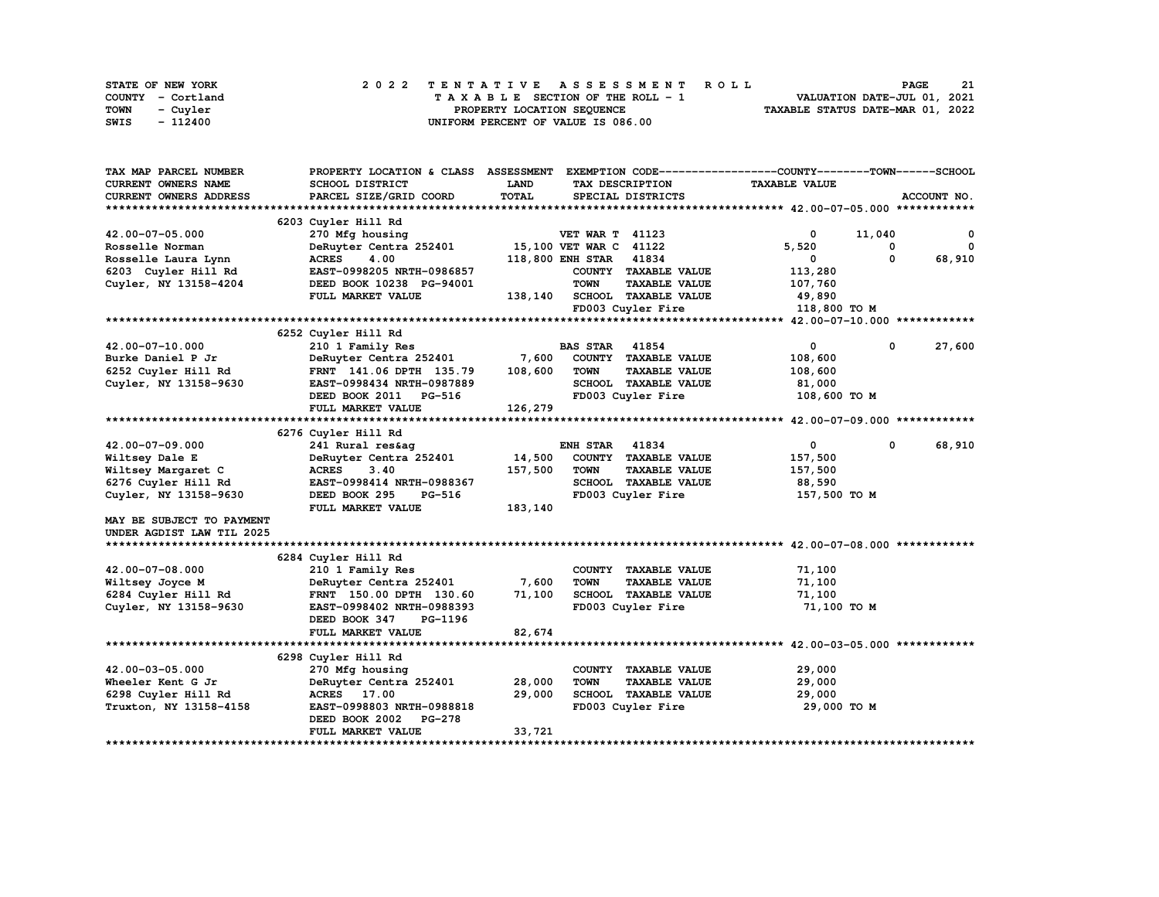| STATE OF NEW YORK | 2022 TENTATIVE ASSESSMENT ROLL     | 21<br><b>PAGE</b>                |
|-------------------|------------------------------------|----------------------------------|
| COUNTY - Cortland | TAXABLE SECTION OF THE ROLL - 1    | VALUATION DATE-JUL 01, 2021      |
| TOWN<br>- Cuyler  | PROPERTY LOCATION SEOUENCE         | TAXABLE STATUS DATE-MAR 01, 2022 |
| - 112400<br>SWIS  | UNIFORM PERCENT OF VALUE IS 086.00 |                                  |

| TAX MAP PARCEL NUMBER     | PROPERTY LOCATION & CLASS ASSESSMENT |         |                         |                             | EXEMPTION CODE-----------------COUNTY-------TOWN------SCHOOL |        |             |
|---------------------------|--------------------------------------|---------|-------------------------|-----------------------------|--------------------------------------------------------------|--------|-------------|
| CURRENT OWNERS NAME       | SCHOOL DISTRICT                      | LAND    |                         | TAX DESCRIPTION             | <b>TAXABLE VALUE</b>                                         |        |             |
| CURRENT OWNERS ADDRESS    | PARCEL SIZE/GRID COORD               | TOTAL   |                         | SPECIAL DISTRICTS           |                                                              |        | ACCOUNT NO. |
|                           |                                      |         |                         |                             |                                                              |        |             |
|                           | 6203 Cuyler Hill Rd                  |         |                         |                             |                                                              |        |             |
| 42.00-07-05.000           | 270 Mfg housing                      |         | <b>VET WAR T 41123</b>  |                             | $\mathbf 0$                                                  | 11,040 | 0           |
| Rosselle Norman           | DeRuyter Centra 252401               |         | 15,100 VET WAR C 41122  |                             | 5,520                                                        | 0      | $^{\circ}$  |
| Rosselle Laura Lynn       | <b>ACRES</b><br>4.00                 |         | <b>118,800 ENH STAR</b> | 41834                       | 0                                                            | 0      | 68,910      |
| 6203 Cuyler Hill Rd       | EAST-0998205 NRTH-0986857            |         |                         | COUNTY TAXABLE VALUE        | 113,280                                                      |        |             |
| Cuyler, NY 13158-4204     | DEED BOOK 10238 PG-94001             |         | <b>TOWN</b>             | <b>TAXABLE VALUE</b>        | 107,760                                                      |        |             |
|                           | FULL MARKET VALUE                    | 138,140 |                         | SCHOOL TAXABLE VALUE        | 49,890                                                       |        |             |
|                           |                                      |         |                         | FD003 Cuyler Fire           | 118,800 TO M                                                 |        |             |
|                           |                                      |         |                         |                             |                                                              |        |             |
|                           | 6252 Cuyler Hill Rd                  |         |                         |                             |                                                              |        |             |
| 42.00-07-10.000           | 210 1 Family Res                     |         | <b>BAS STAR 41854</b>   |                             | $\mathbf 0$                                                  | 0      | 27,600      |
| Burke Daniel P Jr         | DeRuyter Centra 252401               | 7,600   |                         | COUNTY TAXABLE VALUE        | 108,600                                                      |        |             |
| 6252 Cuyler Hill Rd       | FRNT 141.06 DPTH 135.79              | 108,600 | <b>TOWN</b>             | <b>TAXABLE VALUE</b>        | 108,600                                                      |        |             |
| Cuyler, NY 13158-9630     | EAST-0998434 NRTH-0987889            |         |                         | SCHOOL TAXABLE VALUE        | 81,000                                                       |        |             |
|                           | DEED BOOK 2011 PG-516                |         |                         | FD003 Cuyler Fire           | 108,600 TO M                                                 |        |             |
|                           | FULL MARKET VALUE                    | 126,279 |                         |                             |                                                              |        |             |
|                           |                                      |         |                         |                             |                                                              |        |             |
|                           | 6276 Cuyler Hill Rd                  |         |                         |                             |                                                              |        |             |
| 42.00-07-09.000           | 241 Rural res&aq                     |         | <b>ENH STAR</b>         | 41834                       | 0                                                            | 0      | 68,910      |
| Wiltsey Dale E            | DeRuyter Centra 252401               | 14,500  |                         | COUNTY TAXABLE VALUE        | 157,500                                                      |        |             |
| Wiltsey Margaret C        | <b>ACRES</b><br>3.40                 | 157,500 | <b>TOWN</b>             | <b>TAXABLE VALUE</b>        | 157,500                                                      |        |             |
| 6276 Cuyler Hill Rd       | EAST-0998414 NRTH-0988367            |         |                         | SCHOOL TAXABLE VALUE        | 88,590                                                       |        |             |
| Cuyler, NY 13158-9630     | DEED BOOK 295<br><b>PG-516</b>       |         |                         | FD003 Cuyler Fire           | 157,500 TO M                                                 |        |             |
|                           | FULL MARKET VALUE                    | 183,140 |                         |                             |                                                              |        |             |
| MAY BE SUBJECT TO PAYMENT |                                      |         |                         |                             |                                                              |        |             |
| UNDER AGDIST LAW TIL 2025 |                                      |         |                         |                             |                                                              |        |             |
|                           |                                      |         |                         |                             |                                                              |        |             |
|                           | 6284 Cuyler Hill Rd                  |         |                         |                             |                                                              |        |             |
| 42.00-07-08.000           | 210 1 Family Res                     |         |                         | COUNTY TAXABLE VALUE        | 71,100                                                       |        |             |
| Wiltsey Joyce M           | DeRuyter Centra 252401               | 7,600   | <b>TOWN</b>             | <b>TAXABLE VALUE</b>        | 71,100                                                       |        |             |
| 6284 Cuyler Hill Rd       | FRNT 150.00 DPTH 130.60              | 71,100  |                         | SCHOOL TAXABLE VALUE        | 71,100                                                       |        |             |
| Cuyler, NY 13158-9630     | EAST-0998402 NRTH-0988393            |         |                         | FD003 Cuyler Fire           | 71,100 TO M                                                  |        |             |
|                           | DEED BOOK 347<br>PG-1196             |         |                         |                             |                                                              |        |             |
|                           | FULL MARKET VALUE                    | 82,674  |                         |                             |                                                              |        |             |
|                           |                                      |         |                         |                             |                                                              |        |             |
|                           | 6298 Cuyler Hill Rd                  |         |                         |                             |                                                              |        |             |
| 42.00-03-05.000           | 270 Mfg housing                      |         |                         | COUNTY TAXABLE VALUE        | 29,000                                                       |        |             |
| Wheeler Kent G Jr         | DeRuyter Centra 252401               | 28,000  | <b>TOWN</b>             | <b>TAXABLE VALUE</b>        | 29,000                                                       |        |             |
| 6298 Cuyler Hill Rd       | ACRES 17.00                          | 29,000  |                         | <b>SCHOOL TAXABLE VALUE</b> | 29,000                                                       |        |             |
| Truxton, NY 13158-4158    | EAST-0998803 NRTH-0988818            |         |                         | FD003 Cuyler Fire           | 29,000 TO M                                                  |        |             |
|                           | <b>PG-278</b><br>DEED BOOK 2002      |         |                         |                             |                                                              |        |             |
|                           | FULL MARKET VALUE                    | 33,721  |                         |                             |                                                              |        |             |
|                           |                                      |         |                         |                             |                                                              |        |             |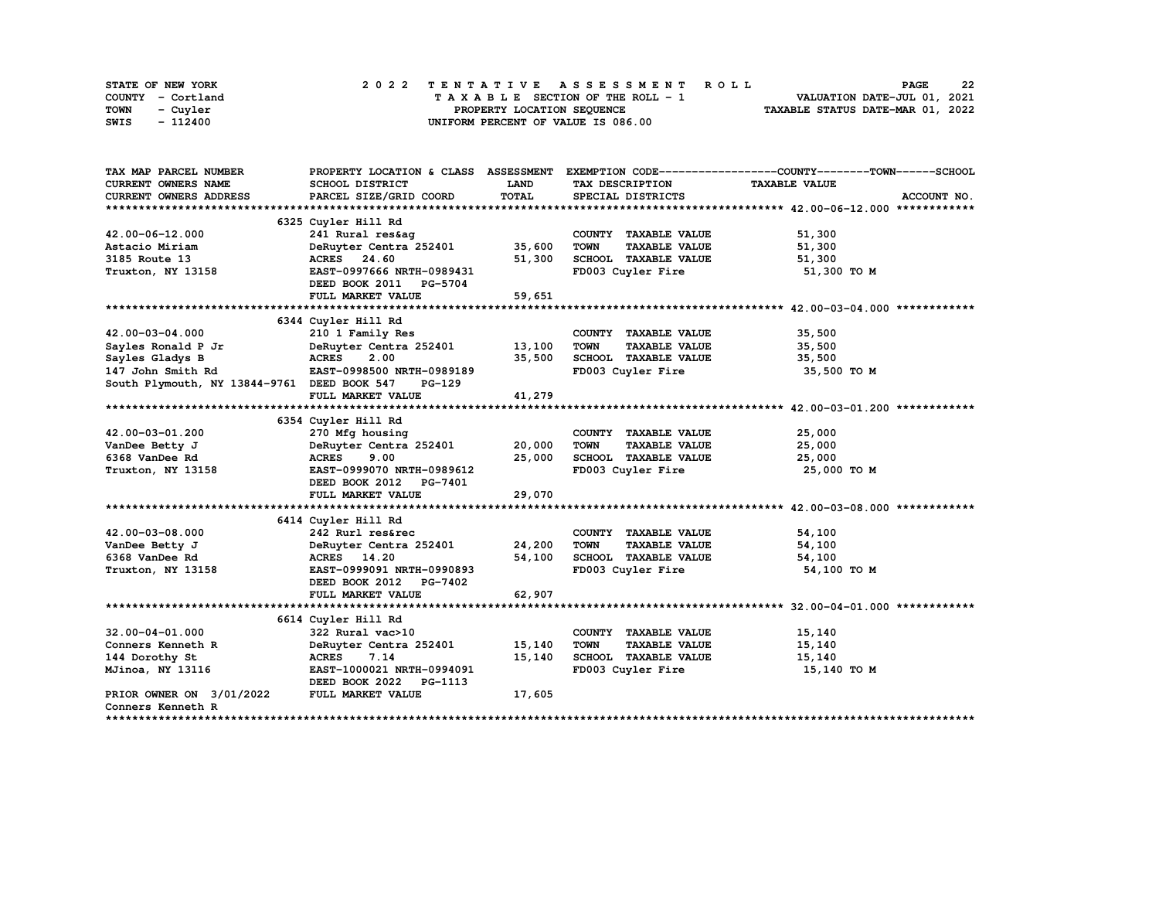| STATE OF NEW YORK | 2022 TENTATIVE ASSESSMENT ROLL     | 22<br><b>PAGE</b>                |
|-------------------|------------------------------------|----------------------------------|
| COUNTY - Cortland | TAXABLE SECTION OF THE ROLL - 1    | VALUATION DATE-JUL 01, 2021      |
| TOWN<br>- Cuvler  | PROPERTY LOCATION SEQUENCE         | TAXABLE STATUS DATE-MAR 01, 2022 |
| - 112400<br>SWIS  | UNIFORM PERCENT OF VALUE IS 086.00 |                                  |

| TAX MAP PARCEL NUMBER                       | PROPERTY LOCATION & CLASS ASSESSMENT |             |                                     | EXEMPTION CODE-----------------COUNTY-------TOWN------SCHOOL |
|---------------------------------------------|--------------------------------------|-------------|-------------------------------------|--------------------------------------------------------------|
| <b>CURRENT OWNERS NAME</b>                  | SCHOOL DISTRICT                      | <b>LAND</b> | TAX DESCRIPTION                     | <b>TAXABLE VALUE</b>                                         |
| CURRENT OWNERS ADDRESS                      | PARCEL SIZE/GRID COORD               | TOTAL       | SPECIAL DISTRICTS                   | ACCOUNT NO.                                                  |
|                                             |                                      |             |                                     |                                                              |
|                                             | 6325 Cuyler Hill Rd                  |             |                                     |                                                              |
| 42.00-06-12.000                             | 241 Rural res&ag                     |             | COUNTY TAXABLE VALUE                | 51,300                                                       |
| Astacio Miriam                              | DeRuyter Centra 252401               | 35,600      | <b>TAXABLE VALUE</b><br><b>TOWN</b> | 51,300                                                       |
| 3185 Route 13                               | ACRES 24.60                          | 51,300      | SCHOOL TAXABLE VALUE                | 51,300                                                       |
| Truxton, NY 13158                           | EAST-0997666 NRTH-0989431            |             | FD003 Cuyler Fire                   | 51,300 TO M                                                  |
|                                             | DEED BOOK 2011 PG-5704               |             |                                     |                                                              |
|                                             | FULL MARKET VALUE                    | 59,651      |                                     |                                                              |
|                                             |                                      |             |                                     |                                                              |
|                                             | 6344 Cuyler Hill Rd                  |             |                                     |                                                              |
| 42.00-03-04.000                             | 210 1 Family Res                     |             | COUNTY TAXABLE VALUE                | 35,500                                                       |
| Sayles Ronald P Jr                          | DeRuyter Centra 252401               | 13,100      | TOWN<br><b>TAXABLE VALUE</b>        | 35,500                                                       |
| Sayles Gladys B                             | 2.00<br><b>ACRES</b>                 | 35,500      | SCHOOL TAXABLE VALUE                | 35,500                                                       |
| 147 John Smith Rd                           | EAST-0998500 NRTH-0989189            |             | FD003 Cuyler Fire                   | 35,500 TO M                                                  |
| South Plymouth, NY 13844-9761 DEED BOOK 547 | PG-129                               |             |                                     |                                                              |
|                                             | FULL MARKET VALUE                    | 41,279      |                                     |                                                              |
|                                             |                                      |             |                                     |                                                              |
|                                             | 6354 Cuyler Hill Rd                  |             |                                     |                                                              |
| 42.00-03-01.200                             | 270 Mfg housing                      |             | COUNTY TAXABLE VALUE                | 25,000                                                       |
| VanDee Betty J                              | DeRuyter Centra 252401               | 20,000      | <b>TOWN</b><br><b>TAXABLE VALUE</b> | 25,000                                                       |
| 6368 VanDee Rd                              | <b>ACRES</b><br>9.00                 | 25,000      | SCHOOL TAXABLE VALUE                | 25,000                                                       |
| Truxton, NY 13158                           | EAST-0999070 NRTH-0989612            |             | FD003 Cuyler Fire                   | 25,000 TO M                                                  |
|                                             | DEED BOOK 2012 PG-7401               |             |                                     |                                                              |
|                                             | FULL MARKET VALUE                    | 29,070      |                                     |                                                              |
|                                             |                                      |             |                                     |                                                              |
|                                             | 6414 Cuyler Hill Rd                  |             |                                     |                                                              |
| $42.00 - 03 - 08.000$                       | 242 Rurl res&rec                     |             | COUNTY TAXABLE VALUE                | 54,100                                                       |
| VanDee Betty J                              | DeRuyter Centra 252401               | 24,200      | <b>TOWN</b><br><b>TAXABLE VALUE</b> | 54,100                                                       |
| 6368 VanDee Rd                              | ACRES 14.20                          | 54,100      | SCHOOL TAXABLE VALUE                | 54,100                                                       |
| Truxton, NY 13158                           | EAST-0999091 NRTH-0990893            |             | FD003 Cuyler Fire                   | 54,100 TO M                                                  |
|                                             | DEED BOOK 2012<br><b>PG-7402</b>     |             |                                     |                                                              |
|                                             | FULL MARKET VALUE                    | 62,907      |                                     |                                                              |
|                                             |                                      |             |                                     |                                                              |
|                                             | 6614 Cuyler Hill Rd                  |             |                                     |                                                              |
| $32.00 - 04 - 01.000$                       | 322 Rural vac>10                     |             | COUNTY TAXABLE VALUE                | 15,140                                                       |
| Conners Kenneth R                           | DeRuyter Centra 252401               | 15,140      | <b>TOWN</b><br><b>TAXABLE VALUE</b> | 15,140                                                       |
| 144 Dorothy St                              | <b>ACRES</b><br>7.14                 | 15,140      | SCHOOL TAXABLE VALUE                | 15,140                                                       |
| MJinoa, NY 13116                            | EAST-1000021 NRTH-0994091            |             | FD003 Cuyler Fire                   | 15,140 TO M                                                  |
|                                             | DEED BOOK 2022 PG-1113               |             |                                     |                                                              |
| PRIOR OWNER ON 3/01/2022                    | FULL MARKET VALUE                    | 17,605      |                                     |                                                              |
| Conners Kenneth R                           |                                      |             |                                     |                                                              |
|                                             |                                      |             |                                     |                                                              |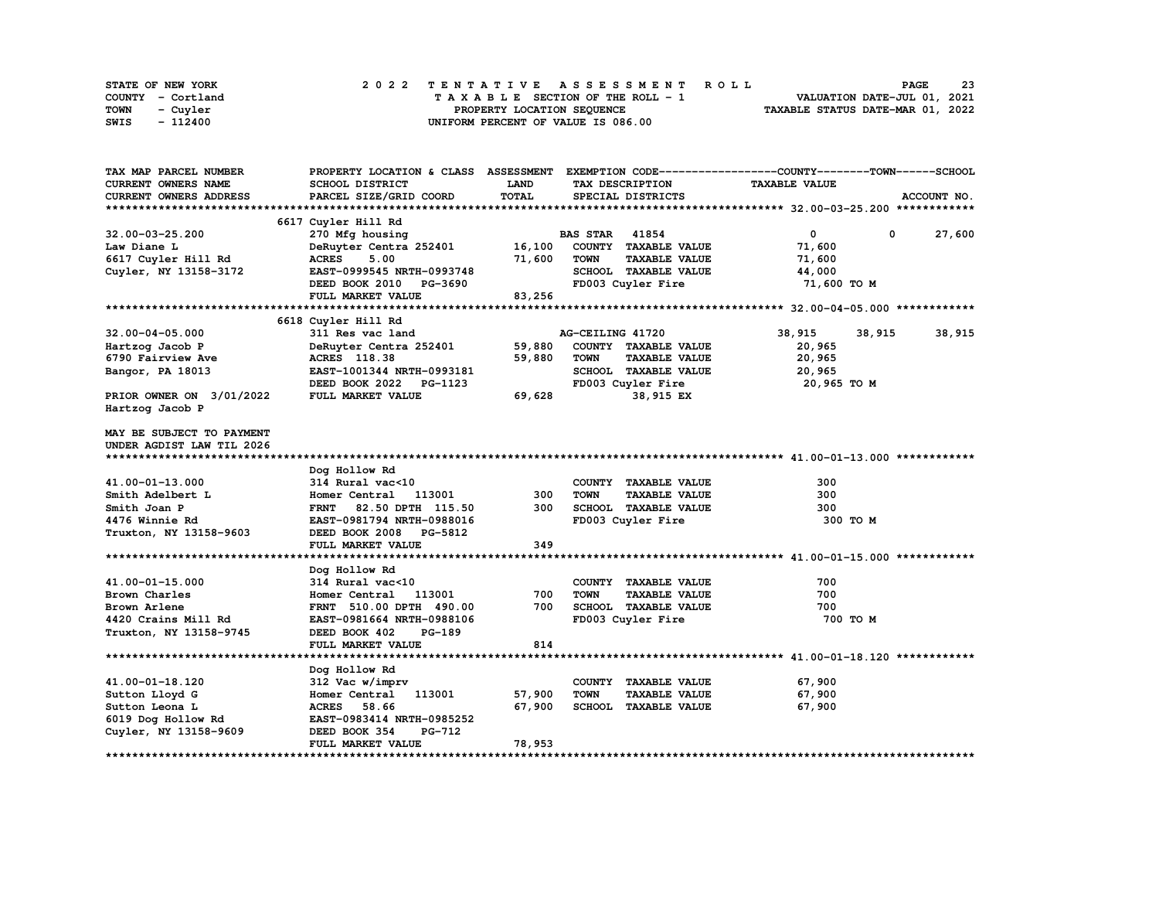| STATE OF NEW YORK | 2022 TENTATIVE ASSESSMENT ROLL     | 23<br><b>PAGE</b>                |
|-------------------|------------------------------------|----------------------------------|
| COUNTY - Cortland | TAXABLE SECTION OF THE ROLL - 1    | VALUATION DATE-JUL 01, 2021      |
| TOWN<br>- Cuvler  | PROPERTY LOCATION SEQUENCE         | TAXABLE STATUS DATE-MAR 01, 2022 |
| SWIS<br>- 112400  | UNIFORM PERCENT OF VALUE IS 086.00 |                                  |

| TAX MAP PARCEL NUMBER     | PROPERTY LOCATION & CLASS ASSESSMENT EXEMPTION CODE----------------COUNTY-------TOWN-----SCHOOL |        |                       |                      |                      |             |             |
|---------------------------|-------------------------------------------------------------------------------------------------|--------|-----------------------|----------------------|----------------------|-------------|-------------|
| CURRENT OWNERS NAME       | <b>SCHOOL DISTRICT</b>                                                                          | LAND   |                       | TAX DESCRIPTION      | <b>TAXABLE VALUE</b> |             |             |
| CURRENT OWNERS ADDRESS    | PARCEL SIZE/GRID COORD                                                                          | TOTAL  |                       | SPECIAL DISTRICTS    |                      |             | ACCOUNT NO. |
|                           |                                                                                                 |        |                       |                      |                      |             |             |
|                           | 6617 Cuyler Hill Rd                                                                             |        |                       |                      |                      |             |             |
| 32.00-03-25.200           | 270 Mfg housing                                                                                 |        | <b>BAS STAR 41854</b> |                      | $\mathbf{0}$         | $\mathbf 0$ | 27,600      |
| Law Diane L               | DeRuyter Centra 252401                                                                          | 16,100 |                       | COUNTY TAXABLE VALUE | 71,600               |             |             |
| 6617 Cuyler Hill Rd       | <b>ACRES</b><br>5.00                                                                            | 71,600 | <b>TOWN</b>           | <b>TAXABLE VALUE</b> | 71,600               |             |             |
| Cuyler, NY 13158-3172     | EAST-0999545 NRTH-0993748                                                                       |        |                       | SCHOOL TAXABLE VALUE | 44,000               |             |             |
|                           | DEED BOOK 2010 PG-3690                                                                          |        |                       | FD003 Cuyler Fire    | 71,600 TO M          |             |             |
|                           | FULL MARKET VALUE                                                                               | 83,256 |                       |                      |                      |             |             |
|                           |                                                                                                 |        |                       |                      |                      |             |             |
|                           | 6618 Cuyler Hill Rd                                                                             |        |                       |                      |                      |             |             |
| $32.00 - 04 - 05.000$     | 311 Res vac land                                                                                |        | AG-CEILING 41720      |                      | 38,915               | 38,915      | 38,915      |
| Hartzog Jacob P           | DeRuyter Centra 252401                                                                          | 59,880 |                       | COUNTY TAXABLE VALUE | 20,965               |             |             |
| 6790 Fairview Ave         | ACRES 118.38                                                                                    | 59,880 | <b>TOWN</b>           | <b>TAXABLE VALUE</b> | 20,965               |             |             |
| Bangor, PA 18013          | EAST-1001344 NRTH-0993181                                                                       |        |                       | SCHOOL TAXABLE VALUE | 20,965               |             |             |
|                           | DEED BOOK 2022 PG-1123                                                                          |        |                       | FD003 Cuyler Fire    | 20,965 TO M          |             |             |
| PRIOR OWNER ON 3/01/2022  | FULL MARKET VALUE                                                                               | 69,628 |                       | 38,915 EX            |                      |             |             |
| Hartzog Jacob P           |                                                                                                 |        |                       |                      |                      |             |             |
|                           |                                                                                                 |        |                       |                      |                      |             |             |
| MAY BE SUBJECT TO PAYMENT |                                                                                                 |        |                       |                      |                      |             |             |
| UNDER AGDIST LAW TIL 2026 |                                                                                                 |        |                       |                      |                      |             |             |
|                           |                                                                                                 |        |                       |                      |                      |             |             |
|                           | Dog Hollow Rd                                                                                   |        |                       |                      |                      |             |             |
| 41.00-01-13.000           | 314 Rural vac<10                                                                                |        |                       | COUNTY TAXABLE VALUE | 300                  |             |             |
| Smith Adelbert L          | Homer Central<br>113001                                                                         | 300    | <b>TOWN</b>           | <b>TAXABLE VALUE</b> | 300                  |             |             |
| Smith Joan P              | FRNT 82.50 DPTH 115.50                                                                          | 300    |                       | SCHOOL TAXABLE VALUE | 300                  |             |             |
| 4476 Winnie Rd            | EAST-0981794 NRTH-0988016                                                                       |        |                       | FD003 Cuyler Fire    | 300 TO M             |             |             |
| Truxton, NY 13158-9603    | DEED BOOK 2008 PG-5812                                                                          |        |                       |                      |                      |             |             |
|                           | FULL MARKET VALUE                                                                               | 349    |                       |                      |                      |             |             |
|                           |                                                                                                 |        |                       |                      |                      |             |             |
|                           | Dog Hollow Rd                                                                                   |        |                       |                      |                      |             |             |
| 41.00-01-15.000           | 314 Rural vac<10                                                                                |        |                       | COUNTY TAXABLE VALUE | 700                  |             |             |
| Brown Charles             | Homer Central 113001                                                                            | 700    | <b>TOWN</b>           | <b>TAXABLE VALUE</b> | 700                  |             |             |
| Brown Arlene              | FRNT 510.00 DPTH 490.00                                                                         | 700    |                       | SCHOOL TAXABLE VALUE | 700                  |             |             |
| 4420 Crains Mill Rd       | EAST-0981664 NRTH-0988106                                                                       |        |                       | FD003 Cuyler Fire    | 700 TO M             |             |             |
| Truxton, NY 13158-9745    | DEED BOOK 402<br><b>PG-189</b>                                                                  |        |                       |                      |                      |             |             |
|                           | FULL MARKET VALUE                                                                               | 814    |                       |                      |                      |             |             |
|                           |                                                                                                 |        |                       |                      |                      |             |             |
|                           | Dog Hollow Rd                                                                                   |        |                       |                      |                      |             |             |
| 41.00-01-18.120           | 312 Vac w/imprv                                                                                 |        |                       | COUNTY TAXABLE VALUE | 67,900               |             |             |
| Sutton Lloyd G            | Homer Central<br>113001                                                                         | 57,900 | <b>TOWN</b>           | <b>TAXABLE VALUE</b> | 67,900               |             |             |
|                           |                                                                                                 |        |                       |                      |                      |             |             |
|                           |                                                                                                 |        |                       |                      |                      |             |             |
| Sutton Leona L            | ACRES 58.66                                                                                     | 67,900 |                       | SCHOOL TAXABLE VALUE | 67,900               |             |             |
| 6019 Dog Hollow Rd        | EAST-0983414 NRTH-0985252                                                                       |        |                       |                      |                      |             |             |
| Cuyler, NY 13158-9609     | <b>PG-712</b><br>DEED BOOK 354<br>FULL MARKET VALUE                                             | 78,953 |                       |                      |                      |             |             |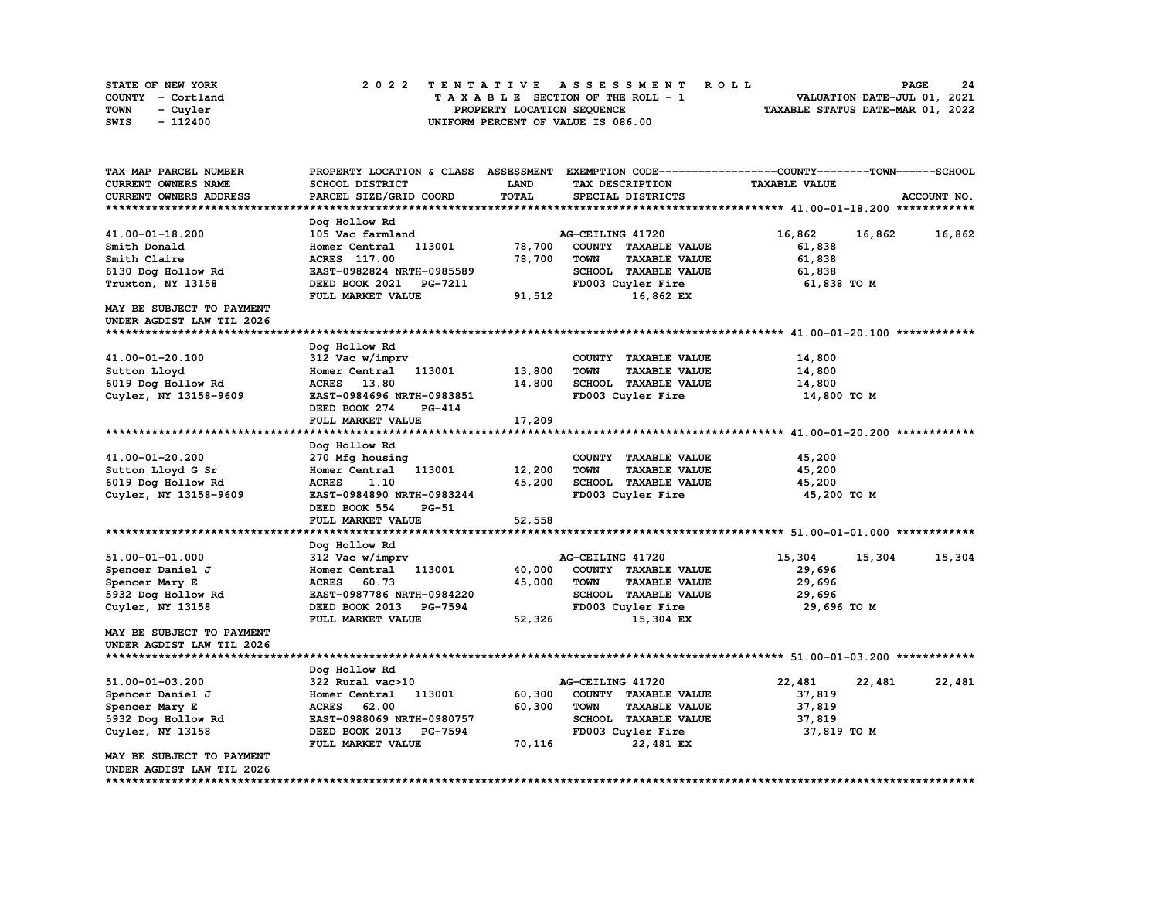| STATE OF NEW YORK | 2022 TENTATIVE ASSESSMENT ROLL     | -24<br><b>PAGE</b>               |
|-------------------|------------------------------------|----------------------------------|
| COUNTY - Cortland | TAXABLE SECTION OF THE ROLL - 1    | VALUATION DATE-JUL 01, 2021      |
| TOWN<br>- Cuyler  | PROPERTY LOCATION SEOUENCE         | TAXABLE STATUS DATE-MAR 01, 2022 |
| - 112400<br>SWIS  | UNIFORM PERCENT OF VALUE IS 086.00 |                                  |

| TAX MAP PARCEL NUMBER         | PROPERTY LOCATION & CLASS ASSESSMENT |              |                                     | EXEMPTION CODE-----------------COUNTY-------TOWN------SCHOOL |             |
|-------------------------------|--------------------------------------|--------------|-------------------------------------|--------------------------------------------------------------|-------------|
| CURRENT OWNERS NAME           | <b>SCHOOL DISTRICT</b>               | LAND         | TAX DESCRIPTION                     | <b>TAXABLE VALUE</b>                                         |             |
| CURRENT OWNERS ADDRESS        | PARCEL SIZE/GRID COORD               | <b>TOTAL</b> | SPECIAL DISTRICTS                   |                                                              | ACCOUNT NO. |
|                               |                                      |              |                                     |                                                              |             |
|                               | Dog Hollow Rd                        |              |                                     |                                                              |             |
| 41.00-01-18.200               | 105 Vac farmland                     |              | AG-CEILING 41720                    | 16,862<br>16,862                                             | 16,862      |
| Smith Donald                  | Homer Central<br>113001              | 78,700       | COUNTY TAXABLE VALUE                | 61,838                                                       |             |
| Smith Claire                  | <b>ACRES</b> 117.00                  | 78,700       | <b>TOWN</b><br><b>TAXABLE VALUE</b> | 61,838                                                       |             |
| 6130 Dog Hollow Rd            | EAST-0982824 NRTH-0985589            |              | SCHOOL TAXABLE VALUE                | 61,838                                                       |             |
| Truxton, NY 13158             | DEED BOOK 2021<br>PG-7211            |              | FD003 Cuyler Fire                   | 61,838 TO M                                                  |             |
|                               | FULL MARKET VALUE                    | 91,512       | 16,862 EX                           |                                                              |             |
| MAY BE SUBJECT TO PAYMENT     |                                      |              |                                     |                                                              |             |
| UNDER AGDIST LAW TIL 2026     |                                      |              |                                     |                                                              |             |
|                               |                                      |              |                                     |                                                              |             |
|                               | Dog Hollow Rd                        |              |                                     |                                                              |             |
| 41.00-01-20.100               | 312 Vac w/imprv                      |              | COUNTY TAXABLE VALUE                | 14,800                                                       |             |
| Sutton Lloyd                  | Homer Central<br>113001              | 13,800       | <b>TOWN</b><br><b>TAXABLE VALUE</b> | 14,800                                                       |             |
| 6019 Dog Hollow Rd            | 13.80<br><b>ACRES</b>                | 14,800       | SCHOOL TAXABLE VALUE                | 14,800                                                       |             |
| Cuyler, NY 13158-9609         | EAST-0984696 NRTH-0983851            |              | FD003 Cuyler Fire                   | 14,800 TO M                                                  |             |
|                               | DEED BOOK 274<br><b>PG-414</b>       |              |                                     |                                                              |             |
|                               | FULL MARKET VALUE                    | 17,209       |                                     |                                                              |             |
|                               |                                      |              |                                     |                                                              |             |
|                               | Dog Hollow Rd                        |              |                                     |                                                              |             |
| 41.00-01-20.200               | 270 Mfg housing                      |              | COUNTY TAXABLE VALUE                | 45,200                                                       |             |
| Sutton Lloyd G Sr             | Homer Central<br>113001              | 12,200       | <b>TAXABLE VALUE</b><br><b>TOWN</b> | 45,200                                                       |             |
| 6019 Dog Hollow Rd            | <b>ACRES</b><br>1.10                 | 45,200       | SCHOOL TAXABLE VALUE                | 45,200                                                       |             |
| Cuyler, NY 13158-9609         | EAST-0984890 NRTH-0983244            |              | FD003 Cuyler Fire                   | 45,200 TO M                                                  |             |
|                               | DEED BOOK 554<br>$PG-51$             |              |                                     |                                                              |             |
|                               | FULL MARKET VALUE                    | 52,558       |                                     |                                                              |             |
|                               |                                      |              |                                     |                                                              |             |
|                               | Dog Hollow Rd                        |              |                                     |                                                              |             |
| 51.00-01-01.000               | 312 Vac w/imprv                      |              | AG-CEILING 41720                    | 15,304<br>15,304                                             | 15,304      |
| Spencer Daniel J              | 113001<br>Homer Central              | 40,000       | COUNTY TAXABLE VALUE                | 29,696                                                       |             |
| Spencer Mary E                | <b>ACRES</b><br>60.73                | 45,000       | <b>TOWN</b><br><b>TAXABLE VALUE</b> | 29,696                                                       |             |
| 5932 Dog Hollow Rd            | EAST-0987786 NRTH-0984220            |              | SCHOOL TAXABLE VALUE                | 29,696                                                       |             |
| Cuyler, NY 13158              | DEED BOOK 2013<br><b>PG-7594</b>     |              | FD003 Cuyler Fire                   | 29,696 то м                                                  |             |
|                               | FULL MARKET VALUE                    | 52,326       | 15,304 EX                           |                                                              |             |
| MAY BE SUBJECT TO PAYMENT     |                                      |              |                                     |                                                              |             |
| UNDER AGDIST LAW TIL 2026     |                                      |              |                                     |                                                              |             |
|                               |                                      |              |                                     |                                                              |             |
|                               | Dog Hollow Rd                        |              |                                     |                                                              |             |
| 51.00-01-03.200               | 322 Rural vac>10                     |              | AG-CEILING 41720                    | 22,481<br>22,481                                             | 22,481      |
| Spencer Daniel J              | Homer Central<br>113001              | 60,300       | COUNTY TAXABLE VALUE                | 37,819                                                       |             |
| Spencer Mary E                | <b>ACRES</b><br>62.00                | 60,300       | <b>TOWN</b><br><b>TAXABLE VALUE</b> | 37,819                                                       |             |
| 5932 Dog Hollow Rd            | EAST-0988069 NRTH-0980757            |              | SCHOOL TAXABLE VALUE                | 37,819                                                       |             |
| Cuyler, NY 13158              | DEED BOOK 2013<br><b>PG-7594</b>     |              | FD003 Cuyler Fire                   | 37,819 TO M                                                  |             |
| MAY BE SUBJECT TO PAYMENT     | FULL MARKET VALUE                    | 70,116       | 22,481 EX                           |                                                              |             |
| UNDER AGDIST LAW TIL 2026     |                                      |              |                                     |                                                              |             |
| ***************************** |                                      |              |                                     |                                                              |             |
|                               |                                      |              |                                     |                                                              |             |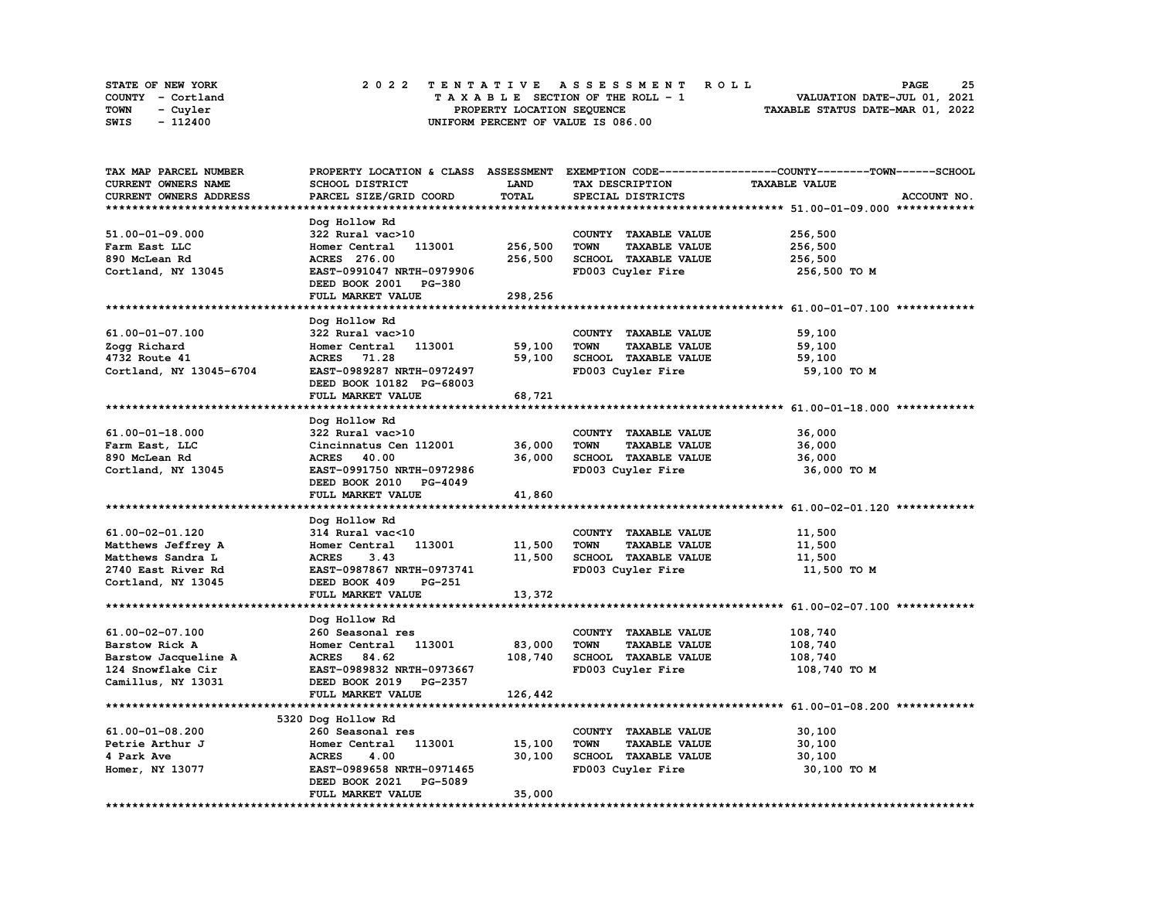| STATE OF NEW YORK | 2022 TENTATIVE ASSESSMENT ROLL     | 25<br><b>PAGE</b>                |
|-------------------|------------------------------------|----------------------------------|
| COUNTY - Cortland | TAXABLE SECTION OF THE ROLL - 1    | VALUATION DATE-JUL 01, 2021      |
| TOWN<br>- Cuvler  | PROPERTY LOCATION SEQUENCE         | TAXABLE STATUS DATE-MAR 01, 2022 |
| - 112400<br>SWIS  | UNIFORM PERCENT OF VALUE IS 086.00 |                                  |

| TAX MAP PARCEL NUMBER   |                                  |             |                                     | PROPERTY LOCATION & CLASS ASSESSMENT EXEMPTION CODE-----------------COUNTY-------TOWN-----SCHOOL |
|-------------------------|----------------------------------|-------------|-------------------------------------|--------------------------------------------------------------------------------------------------|
| CURRENT OWNERS NAME     | SCHOOL DISTRICT                  | <b>LAND</b> | TAX DESCRIPTION                     | <b>TAXABLE VALUE</b>                                                                             |
| CURRENT OWNERS ADDRESS  | PARCEL SIZE/GRID COORD           | TOTAL       | SPECIAL DISTRICTS                   | ACCOUNT NO.                                                                                      |
|                         |                                  |             |                                     |                                                                                                  |
|                         | Dog Hollow Rd                    |             |                                     |                                                                                                  |
| 51.00-01-09.000         | 322 Rural vac>10                 |             | COUNTY TAXABLE VALUE                | 256,500                                                                                          |
| Farm East LLC           | 113001<br>Homer Central          | 256,500     | <b>TOWN</b><br><b>TAXABLE VALUE</b> | 256,500                                                                                          |
|                         |                                  |             |                                     |                                                                                                  |
| 890 McLean Rd           | ACRES 276.00                     | 256,500     | SCHOOL TAXABLE VALUE                | 256,500                                                                                          |
| Cortland, NY 13045      | EAST-0991047 NRTH-0979906        |             | FD003 Cuyler Fire                   | 256,500 TO M                                                                                     |
|                         | DEED BOOK 2001 PG-380            |             |                                     |                                                                                                  |
|                         | FULL MARKET VALUE                | 298,256     |                                     |                                                                                                  |
|                         |                                  |             |                                     |                                                                                                  |
|                         | Dog Hollow Rd                    |             |                                     |                                                                                                  |
| 61.00-01-07.100         | 322 Rural vac>10                 |             | COUNTY TAXABLE VALUE                | 59,100                                                                                           |
| Zogg Richard            | 113001<br>Homer Central          | 59,100      | <b>TOWN</b><br><b>TAXABLE VALUE</b> | 59,100                                                                                           |
| 4732 Route 41           | ACRES 71.28                      | 59,100      | SCHOOL TAXABLE VALUE                | 59,100                                                                                           |
| Cortland, NY 13045-6704 | EAST-0989287 NRTH-0972497        |             | FD003 Cuyler Fire                   | 59,100 TO M                                                                                      |
|                         | DEED BOOK 10182 PG-68003         |             |                                     |                                                                                                  |
|                         |                                  |             |                                     |                                                                                                  |
|                         | FULL MARKET VALUE                | 68,721      |                                     |                                                                                                  |
|                         |                                  |             |                                     |                                                                                                  |
|                         | Dog Hollow Rd                    |             |                                     |                                                                                                  |
| 61.00-01-18.000         | 322 Rural vac>10                 |             | COUNTY TAXABLE VALUE                | 36,000                                                                                           |
| Farm East, LLC          | Cincinnatus Cen 112001           | 36,000      | <b>TOWN</b><br><b>TAXABLE VALUE</b> | 36,000                                                                                           |
| 890 McLean Rd           | ACRES 40.00                      | 36,000      | SCHOOL TAXABLE VALUE                | 36,000                                                                                           |
| Cortland, NY 13045      | EAST-0991750 NRTH-0972986        |             | FD003 Cuyler Fire                   | 36,000 TO M                                                                                      |
|                         | DEED BOOK 2010 PG-4049           |             |                                     |                                                                                                  |
|                         | FULL MARKET VALUE                | 41,860      |                                     |                                                                                                  |
|                         |                                  |             |                                     |                                                                                                  |
|                         | Dog Hollow Rd                    |             |                                     |                                                                                                  |
| 61.00-02-01.120         |                                  |             | COUNTY TAXABLE VALUE                | 11,500                                                                                           |
|                         | 314 Rural vac<10                 |             |                                     |                                                                                                  |
| Matthews Jeffrey A      | 113001<br>Homer Central          | 11,500      | <b>TOWN</b><br><b>TAXABLE VALUE</b> | 11,500                                                                                           |
| Matthews Sandra L       | <b>ACRES</b><br>3.43             | 11,500      | SCHOOL TAXABLE VALUE                | 11,500                                                                                           |
| 2740 East River Rd      | EAST-0987867 NRTH-0973741        |             | FD003 Cuyler Fire                   | 11,500 TO M                                                                                      |
| Cortland, NY 13045      | DEED BOOK 409<br>PG-251          |             |                                     |                                                                                                  |
|                         | FULL MARKET VALUE                | 13,372      |                                     |                                                                                                  |
|                         |                                  |             |                                     |                                                                                                  |
|                         | Dog Hollow Rd                    |             |                                     |                                                                                                  |
| 61.00-02-07.100         | 260 Seasonal res                 |             | COUNTY TAXABLE VALUE                | 108,740                                                                                          |
| Barstow Rick A          | Homer Central 113001             | 83,000      | <b>TOWN</b><br><b>TAXABLE VALUE</b> | 108,740                                                                                          |
| Barstow Jacqueline A    | ACRES 84.62                      | 108,740     | SCHOOL TAXABLE VALUE                | 108,740                                                                                          |
| 124 Snowflake Cir       | EAST-0989832 NRTH-0973667        |             | FD003 Cuyler Fire                   | 108,740 TO M                                                                                     |
|                         |                                  |             |                                     |                                                                                                  |
| Camillus, NY 13031      | DEED BOOK 2019 PG-2357           |             |                                     |                                                                                                  |
|                         | FULL MARKET VALUE                | 126,442     |                                     |                                                                                                  |
|                         |                                  |             |                                     |                                                                                                  |
|                         | 5320 Dog Hollow Rd               |             |                                     |                                                                                                  |
| 61.00-01-08.200         | 260 Seasonal res                 |             | COUNTY TAXABLE VALUE                | 30,100                                                                                           |
| Petrie Arthur J         | 113001<br>Homer Central          | 15,100      | <b>TOWN</b><br><b>TAXABLE VALUE</b> | 30,100                                                                                           |
| 4 Park Ave              | <b>ACRES</b><br>4.00             | 30,100      | SCHOOL TAXABLE VALUE                | 30,100                                                                                           |
| Homer, NY 13077         | EAST-0989658 NRTH-0971465        |             | FD003 Cuyler Fire                   | 30,100 TO M                                                                                      |
|                         | DEED BOOK 2021<br><b>PG-5089</b> |             |                                     |                                                                                                  |
|                         | FULL MARKET VALUE                | 35,000      |                                     |                                                                                                  |
|                         |                                  |             |                                     |                                                                                                  |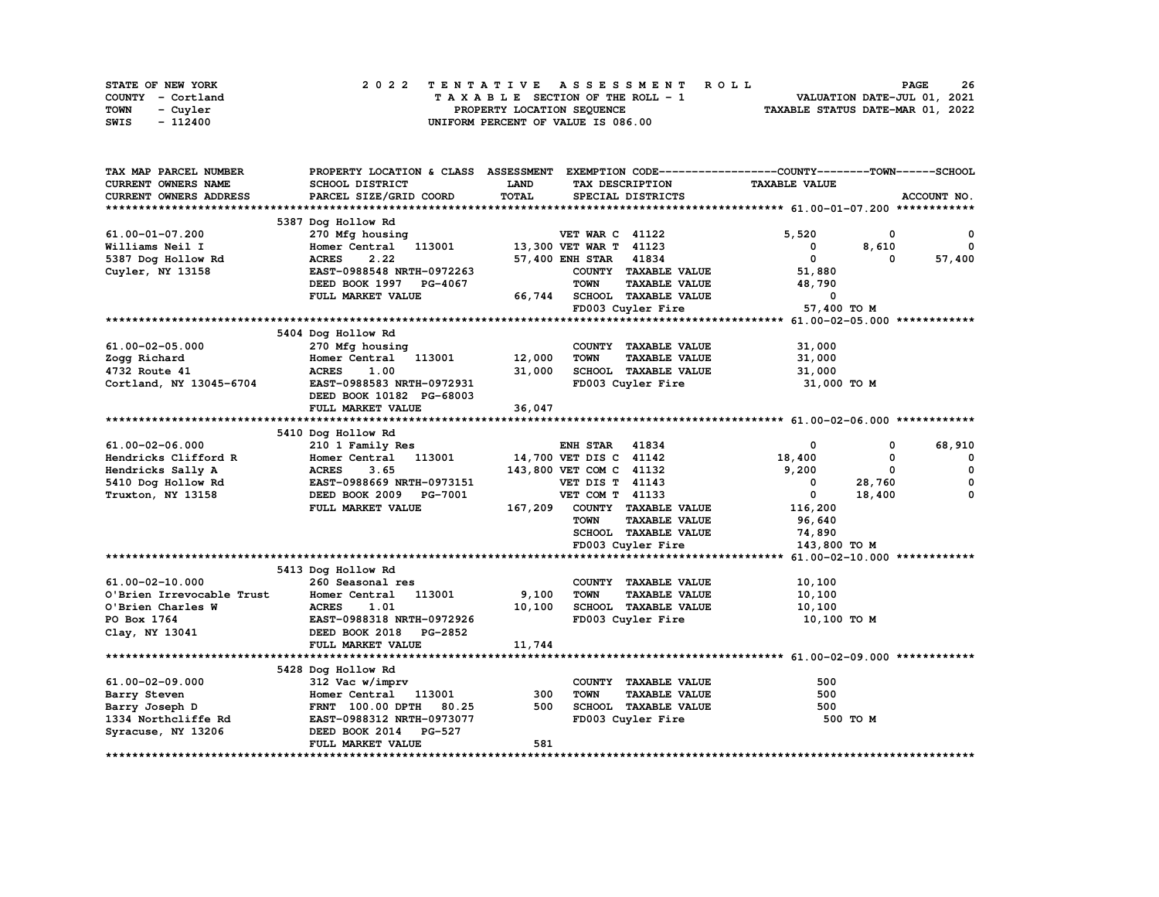| STATE OF NEW YORK       | 2022 TENTATIVE ASSESSMENT ROLL     | 26<br><b>PAGE</b>                |
|-------------------------|------------------------------------|----------------------------------|
| COUNTY - Cortland       | TAXABLE SECTION OF THE ROLL - 1    | VALUATION DATE-JUL 01, 2021      |
| <b>TOWN</b><br>- Cuvler | PROPERTY LOCATION SEQUENCE         | TAXABLE STATUS DATE-MAR 01, 2022 |
| SWIS<br>- 112400        | UNIFORM PERCENT OF VALUE IS 086.00 |                                  |

| <b>CURRENT OWNERS NAME</b><br><b>SCHOOL DISTRICT</b><br>LAND<br><b>TAXABLE VALUE</b><br>TAX DESCRIPTION<br>TOTAL<br>CURRENT OWNERS ADDRESS<br>PARCEL SIZE/GRID COORD<br>SPECIAL DISTRICTS<br>ACCOUNT NO.<br>5387 Dog Hollow Rd<br>5,520<br>61.00-01-07.200<br>270 Mfg housing<br><b>VET WAR C 41122</b><br>0<br>0<br>Homer Central 113001<br>13,300 VET WAR T 41123<br>Williams Neil I<br>8,610<br>$^{\circ}$<br>$^{\circ}$<br>2.22<br>57,400 ENH STAR 41834<br>$\mathbf{0}$<br><b>ACRES</b><br>57,400<br>5387 Dog Hollow Rd<br>$\Omega$<br>COUNTY TAXABLE VALUE<br>Cuyler, NY 13158<br>EAST-0988548 NRTH-0972263<br>51,880<br><b>TAXABLE VALUE</b><br>DEED BOOK 1997<br><b>TOWN</b><br>48,790<br><b>PG-4067</b><br>SCHOOL TAXABLE VALUE<br>FULL MARKET VALUE<br>66,744<br>0<br>57,400 TO M<br>FD003 Cuyler Fire<br>5404 Dog Hollow Rd<br>270 Mfg housing<br>COUNTY TAXABLE VALUE<br>61.00-02-05.000<br>31,000<br>12,000<br>Zogg Richard<br>Homer Central 113001<br><b>TOWN</b><br><b>TAXABLE VALUE</b><br>31,000<br><b>ACRES</b><br>1.00<br>31,000<br>SCHOOL TAXABLE VALUE<br>31,000<br>4732 Route 41<br>Cortland, NY 13045-6704<br>EAST-0988583 NRTH-0972931<br>FD003 Cuyler Fire<br>31,000 TO M<br>DEED BOOK 10182 PG-68003<br>36,047<br>FULL MARKET VALUE<br>5410 Dog Hollow Rd<br>41834<br>68,910<br>61.00-02-06.000<br>210 1 Family Res<br><b>ENH STAR</b><br>0<br>0<br>14,700 VET DIS C 41142<br>Hendricks Clifford R<br>Homer Central<br>113001<br>18,400<br>0<br>0<br><b>ACRES</b><br>143,800 VET COM C 41132<br>9,200<br>$\mathbf 0$<br>Hendricks Sally A<br>3.65<br>$\mathbf 0$<br>0<br>EAST-0988669 NRTH-0973151<br><b>VET DIS T 41143</b><br>0<br>28,760<br>5410 Dog Hollow Rd<br>DEED BOOK 2009 PG-7001<br>VET COM T 41133<br>$\mathbf{0}$<br>18,400<br>0<br>Truxton, NY 13158<br>COUNTY TAXABLE VALUE<br>FULL MARKET VALUE<br>167,209<br>116,200<br><b>TOWN</b><br><b>TAXABLE VALUE</b><br>96,640<br>SCHOOL TAXABLE VALUE<br>74,890<br>FD003 Cuyler Fire<br>143,800 TO M<br>5413 Dog Hollow Rd<br>61.00-02-10.000<br>260 Seasonal res<br>COUNTY TAXABLE VALUE<br>10,100<br>9,100<br>O'Brien Irrevocable Trust<br>113001<br><b>TOWN</b><br><b>TAXABLE VALUE</b><br>Homer Central<br>10,100<br>10,100<br><b>ACRES</b><br>SCHOOL TAXABLE VALUE<br>10,100<br>O'Brien Charles W<br>1.01<br>EAST-0988318 NRTH-0972926<br>FD003 Cuyler Fire<br>PO Box 1764<br>10,100 TO M<br>Clay, NY 13041<br>DEED BOOK 2018 PG-2852<br>11,744<br>FULL MARKET VALUE<br>5428 Dog Hollow Rd<br>61.00-02-09.000<br>312 Vac w/imprv<br>COUNTY TAXABLE VALUE<br>500<br>500<br>113001<br>300<br><b>TOWN</b><br><b>TAXABLE VALUE</b><br>Barry Steven<br>Homer Central<br>Barry Joseph D<br>80.25<br>500<br><b>SCHOOL TAXABLE VALUE</b><br>500<br>FRNT 100.00 DPTH<br>1334 Northcliffe Rd<br>EAST-0988312 NRTH-0973077<br>FD003 Cuyler Fire<br>500 TO M<br>Syracuse, NY 13206<br>DEED BOOK 2014 PG-527<br>581<br>FULL MARKET VALUE | TAX MAP PARCEL NUMBER | PROPERTY LOCATION & CLASS ASSESSMENT EXEMPTION CODE----------------COUNTY-------TOWN-----SCHOOL |  |  |  |
|---------------------------------------------------------------------------------------------------------------------------------------------------------------------------------------------------------------------------------------------------------------------------------------------------------------------------------------------------------------------------------------------------------------------------------------------------------------------------------------------------------------------------------------------------------------------------------------------------------------------------------------------------------------------------------------------------------------------------------------------------------------------------------------------------------------------------------------------------------------------------------------------------------------------------------------------------------------------------------------------------------------------------------------------------------------------------------------------------------------------------------------------------------------------------------------------------------------------------------------------------------------------------------------------------------------------------------------------------------------------------------------------------------------------------------------------------------------------------------------------------------------------------------------------------------------------------------------------------------------------------------------------------------------------------------------------------------------------------------------------------------------------------------------------------------------------------------------------------------------------------------------------------------------------------------------------------------------------------------------------------------------------------------------------------------------------------------------------------------------------------------------------------------------------------------------------------------------------------------------------------------------------------------------------------------------------------------------------------------------------------------------------------------------------------------------------------------------------------------------------------------------------------------------------------------------------------------------------------------------------------------------------------------------------------------------------------------------------------------------------------------------------------------------------------------------------------------------------------------------------------------------------------------------------|-----------------------|-------------------------------------------------------------------------------------------------|--|--|--|
|                                                                                                                                                                                                                                                                                                                                                                                                                                                                                                                                                                                                                                                                                                                                                                                                                                                                                                                                                                                                                                                                                                                                                                                                                                                                                                                                                                                                                                                                                                                                                                                                                                                                                                                                                                                                                                                                                                                                                                                                                                                                                                                                                                                                                                                                                                                                                                                                                                                                                                                                                                                                                                                                                                                                                                                                                                                                                                                     |                       |                                                                                                 |  |  |  |
|                                                                                                                                                                                                                                                                                                                                                                                                                                                                                                                                                                                                                                                                                                                                                                                                                                                                                                                                                                                                                                                                                                                                                                                                                                                                                                                                                                                                                                                                                                                                                                                                                                                                                                                                                                                                                                                                                                                                                                                                                                                                                                                                                                                                                                                                                                                                                                                                                                                                                                                                                                                                                                                                                                                                                                                                                                                                                                                     |                       |                                                                                                 |  |  |  |
|                                                                                                                                                                                                                                                                                                                                                                                                                                                                                                                                                                                                                                                                                                                                                                                                                                                                                                                                                                                                                                                                                                                                                                                                                                                                                                                                                                                                                                                                                                                                                                                                                                                                                                                                                                                                                                                                                                                                                                                                                                                                                                                                                                                                                                                                                                                                                                                                                                                                                                                                                                                                                                                                                                                                                                                                                                                                                                                     |                       |                                                                                                 |  |  |  |
|                                                                                                                                                                                                                                                                                                                                                                                                                                                                                                                                                                                                                                                                                                                                                                                                                                                                                                                                                                                                                                                                                                                                                                                                                                                                                                                                                                                                                                                                                                                                                                                                                                                                                                                                                                                                                                                                                                                                                                                                                                                                                                                                                                                                                                                                                                                                                                                                                                                                                                                                                                                                                                                                                                                                                                                                                                                                                                                     |                       |                                                                                                 |  |  |  |
|                                                                                                                                                                                                                                                                                                                                                                                                                                                                                                                                                                                                                                                                                                                                                                                                                                                                                                                                                                                                                                                                                                                                                                                                                                                                                                                                                                                                                                                                                                                                                                                                                                                                                                                                                                                                                                                                                                                                                                                                                                                                                                                                                                                                                                                                                                                                                                                                                                                                                                                                                                                                                                                                                                                                                                                                                                                                                                                     |                       |                                                                                                 |  |  |  |
|                                                                                                                                                                                                                                                                                                                                                                                                                                                                                                                                                                                                                                                                                                                                                                                                                                                                                                                                                                                                                                                                                                                                                                                                                                                                                                                                                                                                                                                                                                                                                                                                                                                                                                                                                                                                                                                                                                                                                                                                                                                                                                                                                                                                                                                                                                                                                                                                                                                                                                                                                                                                                                                                                                                                                                                                                                                                                                                     |                       |                                                                                                 |  |  |  |
|                                                                                                                                                                                                                                                                                                                                                                                                                                                                                                                                                                                                                                                                                                                                                                                                                                                                                                                                                                                                                                                                                                                                                                                                                                                                                                                                                                                                                                                                                                                                                                                                                                                                                                                                                                                                                                                                                                                                                                                                                                                                                                                                                                                                                                                                                                                                                                                                                                                                                                                                                                                                                                                                                                                                                                                                                                                                                                                     |                       |                                                                                                 |  |  |  |
|                                                                                                                                                                                                                                                                                                                                                                                                                                                                                                                                                                                                                                                                                                                                                                                                                                                                                                                                                                                                                                                                                                                                                                                                                                                                                                                                                                                                                                                                                                                                                                                                                                                                                                                                                                                                                                                                                                                                                                                                                                                                                                                                                                                                                                                                                                                                                                                                                                                                                                                                                                                                                                                                                                                                                                                                                                                                                                                     |                       |                                                                                                 |  |  |  |
|                                                                                                                                                                                                                                                                                                                                                                                                                                                                                                                                                                                                                                                                                                                                                                                                                                                                                                                                                                                                                                                                                                                                                                                                                                                                                                                                                                                                                                                                                                                                                                                                                                                                                                                                                                                                                                                                                                                                                                                                                                                                                                                                                                                                                                                                                                                                                                                                                                                                                                                                                                                                                                                                                                                                                                                                                                                                                                                     |                       |                                                                                                 |  |  |  |
|                                                                                                                                                                                                                                                                                                                                                                                                                                                                                                                                                                                                                                                                                                                                                                                                                                                                                                                                                                                                                                                                                                                                                                                                                                                                                                                                                                                                                                                                                                                                                                                                                                                                                                                                                                                                                                                                                                                                                                                                                                                                                                                                                                                                                                                                                                                                                                                                                                                                                                                                                                                                                                                                                                                                                                                                                                                                                                                     |                       |                                                                                                 |  |  |  |
|                                                                                                                                                                                                                                                                                                                                                                                                                                                                                                                                                                                                                                                                                                                                                                                                                                                                                                                                                                                                                                                                                                                                                                                                                                                                                                                                                                                                                                                                                                                                                                                                                                                                                                                                                                                                                                                                                                                                                                                                                                                                                                                                                                                                                                                                                                                                                                                                                                                                                                                                                                                                                                                                                                                                                                                                                                                                                                                     |                       |                                                                                                 |  |  |  |
|                                                                                                                                                                                                                                                                                                                                                                                                                                                                                                                                                                                                                                                                                                                                                                                                                                                                                                                                                                                                                                                                                                                                                                                                                                                                                                                                                                                                                                                                                                                                                                                                                                                                                                                                                                                                                                                                                                                                                                                                                                                                                                                                                                                                                                                                                                                                                                                                                                                                                                                                                                                                                                                                                                                                                                                                                                                                                                                     |                       |                                                                                                 |  |  |  |
|                                                                                                                                                                                                                                                                                                                                                                                                                                                                                                                                                                                                                                                                                                                                                                                                                                                                                                                                                                                                                                                                                                                                                                                                                                                                                                                                                                                                                                                                                                                                                                                                                                                                                                                                                                                                                                                                                                                                                                                                                                                                                                                                                                                                                                                                                                                                                                                                                                                                                                                                                                                                                                                                                                                                                                                                                                                                                                                     |                       |                                                                                                 |  |  |  |
|                                                                                                                                                                                                                                                                                                                                                                                                                                                                                                                                                                                                                                                                                                                                                                                                                                                                                                                                                                                                                                                                                                                                                                                                                                                                                                                                                                                                                                                                                                                                                                                                                                                                                                                                                                                                                                                                                                                                                                                                                                                                                                                                                                                                                                                                                                                                                                                                                                                                                                                                                                                                                                                                                                                                                                                                                                                                                                                     |                       |                                                                                                 |  |  |  |
|                                                                                                                                                                                                                                                                                                                                                                                                                                                                                                                                                                                                                                                                                                                                                                                                                                                                                                                                                                                                                                                                                                                                                                                                                                                                                                                                                                                                                                                                                                                                                                                                                                                                                                                                                                                                                                                                                                                                                                                                                                                                                                                                                                                                                                                                                                                                                                                                                                                                                                                                                                                                                                                                                                                                                                                                                                                                                                                     |                       |                                                                                                 |  |  |  |
|                                                                                                                                                                                                                                                                                                                                                                                                                                                                                                                                                                                                                                                                                                                                                                                                                                                                                                                                                                                                                                                                                                                                                                                                                                                                                                                                                                                                                                                                                                                                                                                                                                                                                                                                                                                                                                                                                                                                                                                                                                                                                                                                                                                                                                                                                                                                                                                                                                                                                                                                                                                                                                                                                                                                                                                                                                                                                                                     |                       |                                                                                                 |  |  |  |
|                                                                                                                                                                                                                                                                                                                                                                                                                                                                                                                                                                                                                                                                                                                                                                                                                                                                                                                                                                                                                                                                                                                                                                                                                                                                                                                                                                                                                                                                                                                                                                                                                                                                                                                                                                                                                                                                                                                                                                                                                                                                                                                                                                                                                                                                                                                                                                                                                                                                                                                                                                                                                                                                                                                                                                                                                                                                                                                     |                       |                                                                                                 |  |  |  |
|                                                                                                                                                                                                                                                                                                                                                                                                                                                                                                                                                                                                                                                                                                                                                                                                                                                                                                                                                                                                                                                                                                                                                                                                                                                                                                                                                                                                                                                                                                                                                                                                                                                                                                                                                                                                                                                                                                                                                                                                                                                                                                                                                                                                                                                                                                                                                                                                                                                                                                                                                                                                                                                                                                                                                                                                                                                                                                                     |                       |                                                                                                 |  |  |  |
|                                                                                                                                                                                                                                                                                                                                                                                                                                                                                                                                                                                                                                                                                                                                                                                                                                                                                                                                                                                                                                                                                                                                                                                                                                                                                                                                                                                                                                                                                                                                                                                                                                                                                                                                                                                                                                                                                                                                                                                                                                                                                                                                                                                                                                                                                                                                                                                                                                                                                                                                                                                                                                                                                                                                                                                                                                                                                                                     |                       |                                                                                                 |  |  |  |
|                                                                                                                                                                                                                                                                                                                                                                                                                                                                                                                                                                                                                                                                                                                                                                                                                                                                                                                                                                                                                                                                                                                                                                                                                                                                                                                                                                                                                                                                                                                                                                                                                                                                                                                                                                                                                                                                                                                                                                                                                                                                                                                                                                                                                                                                                                                                                                                                                                                                                                                                                                                                                                                                                                                                                                                                                                                                                                                     |                       |                                                                                                 |  |  |  |
|                                                                                                                                                                                                                                                                                                                                                                                                                                                                                                                                                                                                                                                                                                                                                                                                                                                                                                                                                                                                                                                                                                                                                                                                                                                                                                                                                                                                                                                                                                                                                                                                                                                                                                                                                                                                                                                                                                                                                                                                                                                                                                                                                                                                                                                                                                                                                                                                                                                                                                                                                                                                                                                                                                                                                                                                                                                                                                                     |                       |                                                                                                 |  |  |  |
|                                                                                                                                                                                                                                                                                                                                                                                                                                                                                                                                                                                                                                                                                                                                                                                                                                                                                                                                                                                                                                                                                                                                                                                                                                                                                                                                                                                                                                                                                                                                                                                                                                                                                                                                                                                                                                                                                                                                                                                                                                                                                                                                                                                                                                                                                                                                                                                                                                                                                                                                                                                                                                                                                                                                                                                                                                                                                                                     |                       |                                                                                                 |  |  |  |
|                                                                                                                                                                                                                                                                                                                                                                                                                                                                                                                                                                                                                                                                                                                                                                                                                                                                                                                                                                                                                                                                                                                                                                                                                                                                                                                                                                                                                                                                                                                                                                                                                                                                                                                                                                                                                                                                                                                                                                                                                                                                                                                                                                                                                                                                                                                                                                                                                                                                                                                                                                                                                                                                                                                                                                                                                                                                                                                     |                       |                                                                                                 |  |  |  |
|                                                                                                                                                                                                                                                                                                                                                                                                                                                                                                                                                                                                                                                                                                                                                                                                                                                                                                                                                                                                                                                                                                                                                                                                                                                                                                                                                                                                                                                                                                                                                                                                                                                                                                                                                                                                                                                                                                                                                                                                                                                                                                                                                                                                                                                                                                                                                                                                                                                                                                                                                                                                                                                                                                                                                                                                                                                                                                                     |                       |                                                                                                 |  |  |  |
|                                                                                                                                                                                                                                                                                                                                                                                                                                                                                                                                                                                                                                                                                                                                                                                                                                                                                                                                                                                                                                                                                                                                                                                                                                                                                                                                                                                                                                                                                                                                                                                                                                                                                                                                                                                                                                                                                                                                                                                                                                                                                                                                                                                                                                                                                                                                                                                                                                                                                                                                                                                                                                                                                                                                                                                                                                                                                                                     |                       |                                                                                                 |  |  |  |
|                                                                                                                                                                                                                                                                                                                                                                                                                                                                                                                                                                                                                                                                                                                                                                                                                                                                                                                                                                                                                                                                                                                                                                                                                                                                                                                                                                                                                                                                                                                                                                                                                                                                                                                                                                                                                                                                                                                                                                                                                                                                                                                                                                                                                                                                                                                                                                                                                                                                                                                                                                                                                                                                                                                                                                                                                                                                                                                     |                       |                                                                                                 |  |  |  |
|                                                                                                                                                                                                                                                                                                                                                                                                                                                                                                                                                                                                                                                                                                                                                                                                                                                                                                                                                                                                                                                                                                                                                                                                                                                                                                                                                                                                                                                                                                                                                                                                                                                                                                                                                                                                                                                                                                                                                                                                                                                                                                                                                                                                                                                                                                                                                                                                                                                                                                                                                                                                                                                                                                                                                                                                                                                                                                                     |                       |                                                                                                 |  |  |  |
|                                                                                                                                                                                                                                                                                                                                                                                                                                                                                                                                                                                                                                                                                                                                                                                                                                                                                                                                                                                                                                                                                                                                                                                                                                                                                                                                                                                                                                                                                                                                                                                                                                                                                                                                                                                                                                                                                                                                                                                                                                                                                                                                                                                                                                                                                                                                                                                                                                                                                                                                                                                                                                                                                                                                                                                                                                                                                                                     |                       |                                                                                                 |  |  |  |
|                                                                                                                                                                                                                                                                                                                                                                                                                                                                                                                                                                                                                                                                                                                                                                                                                                                                                                                                                                                                                                                                                                                                                                                                                                                                                                                                                                                                                                                                                                                                                                                                                                                                                                                                                                                                                                                                                                                                                                                                                                                                                                                                                                                                                                                                                                                                                                                                                                                                                                                                                                                                                                                                                                                                                                                                                                                                                                                     |                       |                                                                                                 |  |  |  |
|                                                                                                                                                                                                                                                                                                                                                                                                                                                                                                                                                                                                                                                                                                                                                                                                                                                                                                                                                                                                                                                                                                                                                                                                                                                                                                                                                                                                                                                                                                                                                                                                                                                                                                                                                                                                                                                                                                                                                                                                                                                                                                                                                                                                                                                                                                                                                                                                                                                                                                                                                                                                                                                                                                                                                                                                                                                                                                                     |                       |                                                                                                 |  |  |  |
|                                                                                                                                                                                                                                                                                                                                                                                                                                                                                                                                                                                                                                                                                                                                                                                                                                                                                                                                                                                                                                                                                                                                                                                                                                                                                                                                                                                                                                                                                                                                                                                                                                                                                                                                                                                                                                                                                                                                                                                                                                                                                                                                                                                                                                                                                                                                                                                                                                                                                                                                                                                                                                                                                                                                                                                                                                                                                                                     |                       |                                                                                                 |  |  |  |
|                                                                                                                                                                                                                                                                                                                                                                                                                                                                                                                                                                                                                                                                                                                                                                                                                                                                                                                                                                                                                                                                                                                                                                                                                                                                                                                                                                                                                                                                                                                                                                                                                                                                                                                                                                                                                                                                                                                                                                                                                                                                                                                                                                                                                                                                                                                                                                                                                                                                                                                                                                                                                                                                                                                                                                                                                                                                                                                     |                       |                                                                                                 |  |  |  |
|                                                                                                                                                                                                                                                                                                                                                                                                                                                                                                                                                                                                                                                                                                                                                                                                                                                                                                                                                                                                                                                                                                                                                                                                                                                                                                                                                                                                                                                                                                                                                                                                                                                                                                                                                                                                                                                                                                                                                                                                                                                                                                                                                                                                                                                                                                                                                                                                                                                                                                                                                                                                                                                                                                                                                                                                                                                                                                                     |                       |                                                                                                 |  |  |  |
|                                                                                                                                                                                                                                                                                                                                                                                                                                                                                                                                                                                                                                                                                                                                                                                                                                                                                                                                                                                                                                                                                                                                                                                                                                                                                                                                                                                                                                                                                                                                                                                                                                                                                                                                                                                                                                                                                                                                                                                                                                                                                                                                                                                                                                                                                                                                                                                                                                                                                                                                                                                                                                                                                                                                                                                                                                                                                                                     |                       |                                                                                                 |  |  |  |
|                                                                                                                                                                                                                                                                                                                                                                                                                                                                                                                                                                                                                                                                                                                                                                                                                                                                                                                                                                                                                                                                                                                                                                                                                                                                                                                                                                                                                                                                                                                                                                                                                                                                                                                                                                                                                                                                                                                                                                                                                                                                                                                                                                                                                                                                                                                                                                                                                                                                                                                                                                                                                                                                                                                                                                                                                                                                                                                     |                       |                                                                                                 |  |  |  |
|                                                                                                                                                                                                                                                                                                                                                                                                                                                                                                                                                                                                                                                                                                                                                                                                                                                                                                                                                                                                                                                                                                                                                                                                                                                                                                                                                                                                                                                                                                                                                                                                                                                                                                                                                                                                                                                                                                                                                                                                                                                                                                                                                                                                                                                                                                                                                                                                                                                                                                                                                                                                                                                                                                                                                                                                                                                                                                                     |                       |                                                                                                 |  |  |  |
|                                                                                                                                                                                                                                                                                                                                                                                                                                                                                                                                                                                                                                                                                                                                                                                                                                                                                                                                                                                                                                                                                                                                                                                                                                                                                                                                                                                                                                                                                                                                                                                                                                                                                                                                                                                                                                                                                                                                                                                                                                                                                                                                                                                                                                                                                                                                                                                                                                                                                                                                                                                                                                                                                                                                                                                                                                                                                                                     |                       |                                                                                                 |  |  |  |
|                                                                                                                                                                                                                                                                                                                                                                                                                                                                                                                                                                                                                                                                                                                                                                                                                                                                                                                                                                                                                                                                                                                                                                                                                                                                                                                                                                                                                                                                                                                                                                                                                                                                                                                                                                                                                                                                                                                                                                                                                                                                                                                                                                                                                                                                                                                                                                                                                                                                                                                                                                                                                                                                                                                                                                                                                                                                                                                     |                       |                                                                                                 |  |  |  |
|                                                                                                                                                                                                                                                                                                                                                                                                                                                                                                                                                                                                                                                                                                                                                                                                                                                                                                                                                                                                                                                                                                                                                                                                                                                                                                                                                                                                                                                                                                                                                                                                                                                                                                                                                                                                                                                                                                                                                                                                                                                                                                                                                                                                                                                                                                                                                                                                                                                                                                                                                                                                                                                                                                                                                                                                                                                                                                                     |                       |                                                                                                 |  |  |  |
|                                                                                                                                                                                                                                                                                                                                                                                                                                                                                                                                                                                                                                                                                                                                                                                                                                                                                                                                                                                                                                                                                                                                                                                                                                                                                                                                                                                                                                                                                                                                                                                                                                                                                                                                                                                                                                                                                                                                                                                                                                                                                                                                                                                                                                                                                                                                                                                                                                                                                                                                                                                                                                                                                                                                                                                                                                                                                                                     |                       |                                                                                                 |  |  |  |
|                                                                                                                                                                                                                                                                                                                                                                                                                                                                                                                                                                                                                                                                                                                                                                                                                                                                                                                                                                                                                                                                                                                                                                                                                                                                                                                                                                                                                                                                                                                                                                                                                                                                                                                                                                                                                                                                                                                                                                                                                                                                                                                                                                                                                                                                                                                                                                                                                                                                                                                                                                                                                                                                                                                                                                                                                                                                                                                     |                       |                                                                                                 |  |  |  |
|                                                                                                                                                                                                                                                                                                                                                                                                                                                                                                                                                                                                                                                                                                                                                                                                                                                                                                                                                                                                                                                                                                                                                                                                                                                                                                                                                                                                                                                                                                                                                                                                                                                                                                                                                                                                                                                                                                                                                                                                                                                                                                                                                                                                                                                                                                                                                                                                                                                                                                                                                                                                                                                                                                                                                                                                                                                                                                                     |                       |                                                                                                 |  |  |  |
|                                                                                                                                                                                                                                                                                                                                                                                                                                                                                                                                                                                                                                                                                                                                                                                                                                                                                                                                                                                                                                                                                                                                                                                                                                                                                                                                                                                                                                                                                                                                                                                                                                                                                                                                                                                                                                                                                                                                                                                                                                                                                                                                                                                                                                                                                                                                                                                                                                                                                                                                                                                                                                                                                                                                                                                                                                                                                                                     |                       |                                                                                                 |  |  |  |
|                                                                                                                                                                                                                                                                                                                                                                                                                                                                                                                                                                                                                                                                                                                                                                                                                                                                                                                                                                                                                                                                                                                                                                                                                                                                                                                                                                                                                                                                                                                                                                                                                                                                                                                                                                                                                                                                                                                                                                                                                                                                                                                                                                                                                                                                                                                                                                                                                                                                                                                                                                                                                                                                                                                                                                                                                                                                                                                     |                       |                                                                                                 |  |  |  |
|                                                                                                                                                                                                                                                                                                                                                                                                                                                                                                                                                                                                                                                                                                                                                                                                                                                                                                                                                                                                                                                                                                                                                                                                                                                                                                                                                                                                                                                                                                                                                                                                                                                                                                                                                                                                                                                                                                                                                                                                                                                                                                                                                                                                                                                                                                                                                                                                                                                                                                                                                                                                                                                                                                                                                                                                                                                                                                                     |                       |                                                                                                 |  |  |  |
|                                                                                                                                                                                                                                                                                                                                                                                                                                                                                                                                                                                                                                                                                                                                                                                                                                                                                                                                                                                                                                                                                                                                                                                                                                                                                                                                                                                                                                                                                                                                                                                                                                                                                                                                                                                                                                                                                                                                                                                                                                                                                                                                                                                                                                                                                                                                                                                                                                                                                                                                                                                                                                                                                                                                                                                                                                                                                                                     |                       |                                                                                                 |  |  |  |
|                                                                                                                                                                                                                                                                                                                                                                                                                                                                                                                                                                                                                                                                                                                                                                                                                                                                                                                                                                                                                                                                                                                                                                                                                                                                                                                                                                                                                                                                                                                                                                                                                                                                                                                                                                                                                                                                                                                                                                                                                                                                                                                                                                                                                                                                                                                                                                                                                                                                                                                                                                                                                                                                                                                                                                                                                                                                                                                     |                       |                                                                                                 |  |  |  |
|                                                                                                                                                                                                                                                                                                                                                                                                                                                                                                                                                                                                                                                                                                                                                                                                                                                                                                                                                                                                                                                                                                                                                                                                                                                                                                                                                                                                                                                                                                                                                                                                                                                                                                                                                                                                                                                                                                                                                                                                                                                                                                                                                                                                                                                                                                                                                                                                                                                                                                                                                                                                                                                                                                                                                                                                                                                                                                                     |                       |                                                                                                 |  |  |  |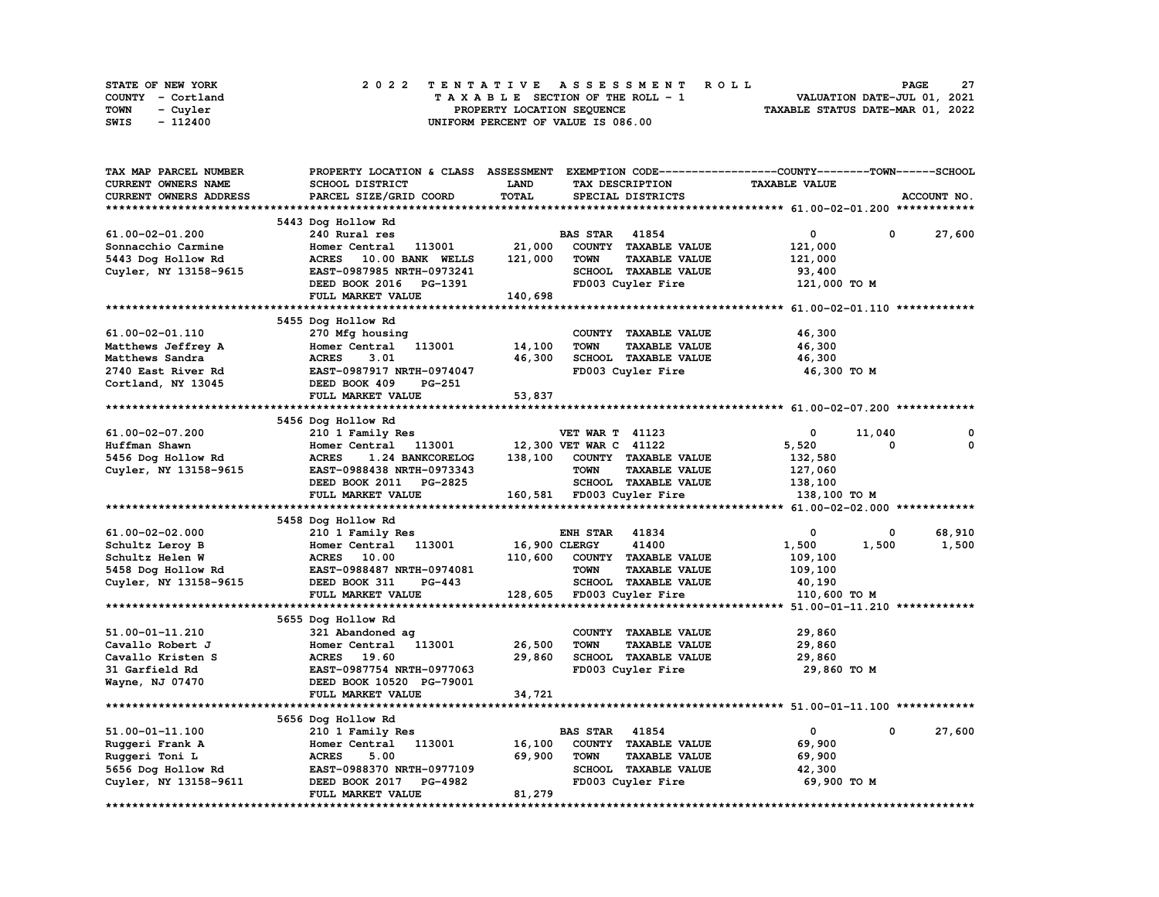| STATE OF NEW YORK | 2022 TENTATIVE ASSESSMENT ROLL     | -27<br><b>PAGE</b>               |
|-------------------|------------------------------------|----------------------------------|
| COUNTY - Cortland | TAXABLE SECTION OF THE ROLL - 1    | VALUATION DATE-JUL 01, 2021      |
| TOWN<br>- Cuvler  | PROPERTY LOCATION SEQUENCE         | TAXABLE STATUS DATE-MAR 01, 2022 |
| - 112400<br>SWIS  | UNIFORM PERCENT OF VALUE IS 086.00 |                                  |

| TAX MAP PARCEL NUMBER  | PROPERTY LOCATION & CLASS        | <b>ASSESSMENT</b> | EXEMPTION CODE-----------------COUNTY-------TOWN-----SCHOOL |                      |                |
|------------------------|----------------------------------|-------------------|-------------------------------------------------------------|----------------------|----------------|
| CURRENT OWNERS NAME    | <b>SCHOOL DISTRICT</b>           | LAND              | TAX DESCRIPTION                                             | <b>TAXABLE VALUE</b> |                |
| CURRENT OWNERS ADDRESS | PARCEL SIZE/GRID COORD           | TOTAL             | SPECIAL DISTRICTS                                           |                      | ACCOUNT NO.    |
|                        |                                  |                   |                                                             |                      |                |
|                        | 5443 Dog Hollow Rd               |                   |                                                             |                      |                |
| 61.00-02-01.200        | 240 Rural res                    |                   | <b>BAS STAR 41854</b>                                       | 0                    | 0<br>27,600    |
| Sonnacchio Carmine     | 113001<br>Homer Central          | 21,000            | COUNTY TAXABLE VALUE                                        | 121,000              |                |
| 5443 Dog Hollow Rd     | ACRES<br>10.00 BANK WELLS        | 121,000           | <b>TOWN</b><br><b>TAXABLE VALUE</b>                         | 121,000              |                |
| Cuyler, NY 13158-9615  | EAST-0987985 NRTH-0973241        |                   | SCHOOL TAXABLE VALUE                                        | 93,400               |                |
|                        | DEED BOOK 2016<br><b>PG-1391</b> |                   | FD003 Cuyler Fire                                           | 121,000 TO M         |                |
|                        |                                  |                   |                                                             |                      |                |
| *********************  | FULL MARKET VALUE                | 140,698           |                                                             |                      |                |
|                        |                                  |                   |                                                             |                      |                |
|                        | 5455 Dog Hollow Rd               |                   |                                                             |                      |                |
| 61.00-02-01.110        | 270 Mfg housing                  |                   | COUNTY TAXABLE VALUE                                        | 46,300               |                |
| Matthews Jeffrey A     | Homer Central<br>113001          | 14,100            | <b>TOWN</b><br><b>TAXABLE VALUE</b>                         | 46,300               |                |
| Matthews Sandra        | <b>ACRES</b><br>3.01             | 46,300            | SCHOOL TAXABLE VALUE                                        | 46,300               |                |
| 2740 East River Rd     | EAST-0987917 NRTH-0974047        |                   | FD003 Cuyler Fire                                           | 46,300 TO M          |                |
| Cortland, NY 13045     | DEED BOOK 409<br>PG-251          |                   |                                                             |                      |                |
|                        | <b>FULL MARKET VALUE</b>         | 53,837            |                                                             |                      |                |
|                        |                                  |                   |                                                             |                      |                |
|                        | 5456 Dog Hollow Rd               |                   |                                                             |                      |                |
| 61.00-02-07.200        | 210 1 Family Res                 |                   | <b>VET WAR T 41123</b>                                      | 0                    | 11,040<br>0    |
| Huffman Shawn          | Homer Central<br>113001          |                   | 12,300 VET WAR C 41122                                      | 5,520                | 0<br>0         |
| 5456 Dog Hollow Rd     | <b>ACRES</b><br>1.24 BANKCORELOG | 138,100           | COUNTY TAXABLE VALUE                                        | 132,580              |                |
| Cuyler, NY 13158-9615  | EAST-0988438 NRTH-0973343        |                   | <b>TOWN</b><br><b>TAXABLE VALUE</b>                         | 127,060              |                |
|                        | DEED BOOK 2011 PG-2825           |                   | SCHOOL TAXABLE VALUE                                        | 138,100              |                |
|                        | FULL MARKET VALUE                |                   | 160,581 FD003 Cuyler Fire                                   | 138,100 TO M         |                |
|                        |                                  |                   |                                                             |                      |                |
|                        | 5458 Dog Hollow Rd               |                   |                                                             |                      |                |
| 61.00-02-02.000        | 210 1 Family Res                 |                   | <b>ENH STAR 41834</b>                                       | 0                    | 68,910<br>0    |
| Schultz Leroy B        | 113001<br>Homer Central          | 16,900 CLERGY     | 41400                                                       | 1,500                | 1,500<br>1,500 |
| Schultz Helen W        | 10.00<br><b>ACRES</b>            | 110,600           | COUNTY TAXABLE VALUE                                        | 109,100              |                |
| 5458 Dog Hollow Rd     | EAST-0988487 NRTH-0974081        |                   | <b>TOWN</b><br><b>TAXABLE VALUE</b>                         | 109,100              |                |
| Cuyler, NY 13158-9615  | DEED BOOK 311<br>$PG-443$        |                   | SCHOOL TAXABLE VALUE                                        | 40,190               |                |
|                        | FULL MARKET VALUE                | 128,605           |                                                             |                      |                |
|                        |                                  |                   | FD003 Cuyler Fire                                           | 110,600 TO M         |                |
|                        |                                  |                   |                                                             |                      |                |
|                        | 5655 Dog Hollow Rd               |                   |                                                             |                      |                |
| 51.00-01-11.210        | 321 Abandoned ag                 |                   | COUNTY TAXABLE VALUE                                        | 29,860               |                |
| Cavallo Robert J       | Homer Central<br>113001          | 26,500            | <b>TOWN</b><br><b>TAXABLE VALUE</b>                         | 29,860               |                |
| Cavallo Kristen S      | <b>ACRES</b><br>19.60            | 29,860            | SCHOOL TAXABLE VALUE                                        | 29,860               |                |
| 31 Garfield Rd         | EAST-0987754 NRTH-0977063        |                   | FD003 Cuyler Fire                                           | 29,860 TO M          |                |
| Wayne, NJ 07470        | DEED BOOK 10520 PG-79001         |                   |                                                             |                      |                |
|                        | FULL MARKET VALUE                | 34,721            |                                                             |                      |                |
|                        |                                  |                   |                                                             |                      |                |
|                        | 5656 Dog Hollow Rd               |                   |                                                             |                      |                |
| 51.00-01-11.100        | 210 1 Family Res                 |                   | <b>BAS STAR</b><br>41854                                    | $\mathbf{0}$         | 0<br>27,600    |
| Ruggeri Frank A        | Homer Central<br>113001          | 16,100            | COUNTY TAXABLE VALUE                                        | 69,900               |                |
| Ruggeri Toni L         | <b>ACRES</b><br>5.00             | 69,900            | <b>TOWN</b><br><b>TAXABLE VALUE</b>                         | 69,900               |                |
| 5656 Dog Hollow Rd     | EAST-0988370 NRTH-0977109        |                   | SCHOOL TAXABLE VALUE                                        | 42,300               |                |
| Cuyler, NY 13158-9611  | DEED BOOK 2017<br>PG-4982        |                   | FD003 Cuyler Fire                                           | 69,900 TO M          |                |
|                        | FULL MARKET VALUE                | 81,279            |                                                             |                      |                |
|                        |                                  |                   |                                                             |                      |                |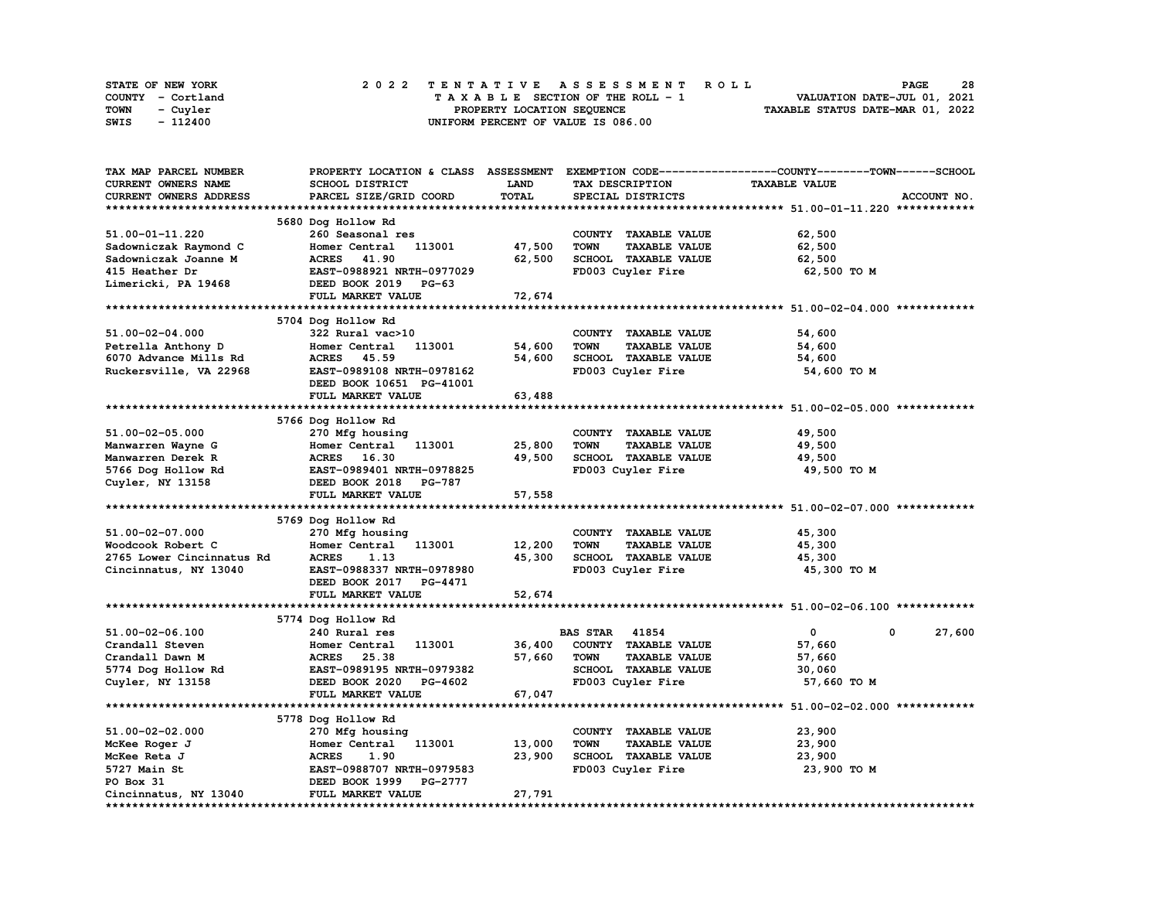| STATE OF NEW YORK | 2022 TENTATIVE ASSESSMENT ROLL     | 28<br><b>PAGE</b>                |
|-------------------|------------------------------------|----------------------------------|
| COUNTY - Cortland | TAXABLE SECTION OF THE ROLL - 1    | VALUATION DATE-JUL 01, 2021      |
| TOWN<br>- Cuvler  | PROPERTY LOCATION SEQUENCE         | TAXABLE STATUS DATE-MAR 01, 2022 |
| - 112400<br>SWIS  | UNIFORM PERCENT OF VALUE IS 086.00 |                                  |

| TAX MAP PARCEL NUMBER     |                           |             |                                     | PROPERTY LOCATION & CLASS ASSESSMENT EXEMPTION CODE-----------------COUNTY-------TOWN-----SCHOOL |             |
|---------------------------|---------------------------|-------------|-------------------------------------|--------------------------------------------------------------------------------------------------|-------------|
| CURRENT OWNERS NAME       | SCHOOL DISTRICT           | <b>LAND</b> | TAX DESCRIPTION                     | <b>TAXABLE VALUE</b>                                                                             |             |
| CURRENT OWNERS ADDRESS    | PARCEL SIZE/GRID COORD    | TOTAL       | SPECIAL DISTRICTS                   |                                                                                                  | ACCOUNT NO. |
|                           |                           |             |                                     |                                                                                                  |             |
|                           | 5680 Dog Hollow Rd        |             |                                     |                                                                                                  |             |
| 51.00-01-11.220           | 260 Seasonal res          |             | COUNTY TAXABLE VALUE                | 62,500                                                                                           |             |
| Sadowniczak Raymond C     | Homer Central<br>113001   | 47,500      | <b>TOWN</b><br><b>TAXABLE VALUE</b> | 62,500                                                                                           |             |
| Sadowniczak Joanne M      | <b>ACRES</b> 41.90        | 62,500      | SCHOOL TAXABLE VALUE                | 62,500                                                                                           |             |
| 415 Heather Dr            | EAST-0988921 NRTH-0977029 |             | FD003 Cuyler Fire                   | 62,500 TO M                                                                                      |             |
| Limericki, PA 19468       | DEED BOOK 2019 PG-63      |             |                                     |                                                                                                  |             |
|                           | FULL MARKET VALUE         |             |                                     |                                                                                                  |             |
|                           |                           | 72,674      |                                     |                                                                                                  |             |
|                           |                           |             |                                     |                                                                                                  |             |
|                           | 5704 Dog Hollow Rd        |             |                                     |                                                                                                  |             |
| 51.00-02-04.000           | 322 Rural vac>10          |             | COUNTY TAXABLE VALUE                | 54,600                                                                                           |             |
| Petrella Anthony D        | Homer Central<br>113001   | 54,600      | <b>TOWN</b><br><b>TAXABLE VALUE</b> | 54,600                                                                                           |             |
| 6070 Advance Mills Rd     | <b>ACRES</b> 45.59        | 54,600      | SCHOOL TAXABLE VALUE                | 54,600                                                                                           |             |
| Ruckersville, VA 22968    | EAST-0989108 NRTH-0978162 |             | FD003 Cuyler Fire                   | 54,600 TO M                                                                                      |             |
|                           | DEED BOOK 10651 PG-41001  |             |                                     |                                                                                                  |             |
|                           | FULL MARKET VALUE         | 63,488      |                                     |                                                                                                  |             |
|                           |                           |             |                                     |                                                                                                  |             |
|                           | 5766 Dog Hollow Rd        |             |                                     |                                                                                                  |             |
| 51.00-02-05.000           | 270 Mfg housing           |             | COUNTY TAXABLE VALUE                | 49,500                                                                                           |             |
| Manwarren Wayne G         | Homer Central<br>113001   | 25,800      | <b>TOWN</b><br><b>TAXABLE VALUE</b> | 49,500                                                                                           |             |
| Manwarren Derek R         | ACRES 16.30               | 49,500      | SCHOOL TAXABLE VALUE                | 49,500                                                                                           |             |
| 5766 Dog Hollow Rd        | EAST-0989401 NRTH-0978825 |             | FD003 Cuyler Fire                   | 49,500 TO M                                                                                      |             |
| Cuyler, NY 13158          | DEED BOOK 2018 PG-787     |             |                                     |                                                                                                  |             |
|                           | FULL MARKET VALUE         | 57,558      |                                     |                                                                                                  |             |
|                           |                           |             |                                     |                                                                                                  |             |
|                           | 5769 Dog Hollow Rd        |             |                                     |                                                                                                  |             |
| 51.00-02-07.000           | 270 Mfg housing           |             | COUNTY TAXABLE VALUE                | 45,300                                                                                           |             |
| Woodcook Robert C         | 113001<br>Homer Central   | 12,200      | <b>TOWN</b><br><b>TAXABLE VALUE</b> | 45,300                                                                                           |             |
| 2765 Lower Cincinnatus Rd | <b>ACRES</b><br>1.13      | 45,300      | SCHOOL TAXABLE VALUE                | 45,300                                                                                           |             |
|                           | EAST-0988337 NRTH-0978980 |             | FD003 Cuyler Fire                   |                                                                                                  |             |
| Cincinnatus, NY 13040     |                           |             |                                     | 45,300 TO M                                                                                      |             |
|                           | DEED BOOK 2017<br>PG-4471 |             |                                     |                                                                                                  |             |
|                           | FULL MARKET VALUE         | 52,674      |                                     |                                                                                                  |             |
|                           |                           |             |                                     |                                                                                                  |             |
|                           | 5774 Dog Hollow Rd        |             |                                     |                                                                                                  |             |
| 51.00-02-06.100           | 240 Rural res             |             | <b>BAS STAR</b><br>41854            | $\mathbf{0}$<br>0                                                                                | 27,600      |
| Crandall Steven           | 113001<br>Homer Central   | 36,400      | COUNTY TAXABLE VALUE                | 57,660                                                                                           |             |
| Crandall Dawn M           | ACRES 25.38               | 57,660      | <b>TAXABLE VALUE</b><br><b>TOWN</b> | 57,660                                                                                           |             |
| 5774 Dog Hollow Rd        | EAST-0989195 NRTH-0979382 |             | SCHOOL TAXABLE VALUE                | 30,060                                                                                           |             |
| Cuyler, NY 13158          | DEED BOOK 2020<br>PG-4602 |             | FD003 Cuyler Fire                   | 57,660 TO M                                                                                      |             |
|                           | FULL MARKET VALUE         | 67,047      |                                     |                                                                                                  |             |
|                           |                           |             |                                     |                                                                                                  |             |
|                           | 5778 Dog Hollow Rd        |             |                                     |                                                                                                  |             |
| 51.00-02-02.000           | 270 Mfg housing           |             | COUNTY TAXABLE VALUE                | 23,900                                                                                           |             |
| McKee Roger J             | Homer Central 113001      | 13,000      | <b>TOWN</b><br><b>TAXABLE VALUE</b> | 23,900                                                                                           |             |
| McKee Reta J              | <b>ACRES</b><br>1.90      | 23,900      | SCHOOL TAXABLE VALUE                | 23,900                                                                                           |             |
| 5727 Main St              | EAST-0988707 NRTH-0979583 |             | FD003 Cuyler Fire                   | 23,900 TO M                                                                                      |             |
| PO Box 31                 | DEED BOOK 1999 PG-2777    |             |                                     |                                                                                                  |             |
| Cincinnatus, NY 13040     | FULL MARKET VALUE         | 27,791      |                                     |                                                                                                  |             |
|                           |                           |             |                                     |                                                                                                  |             |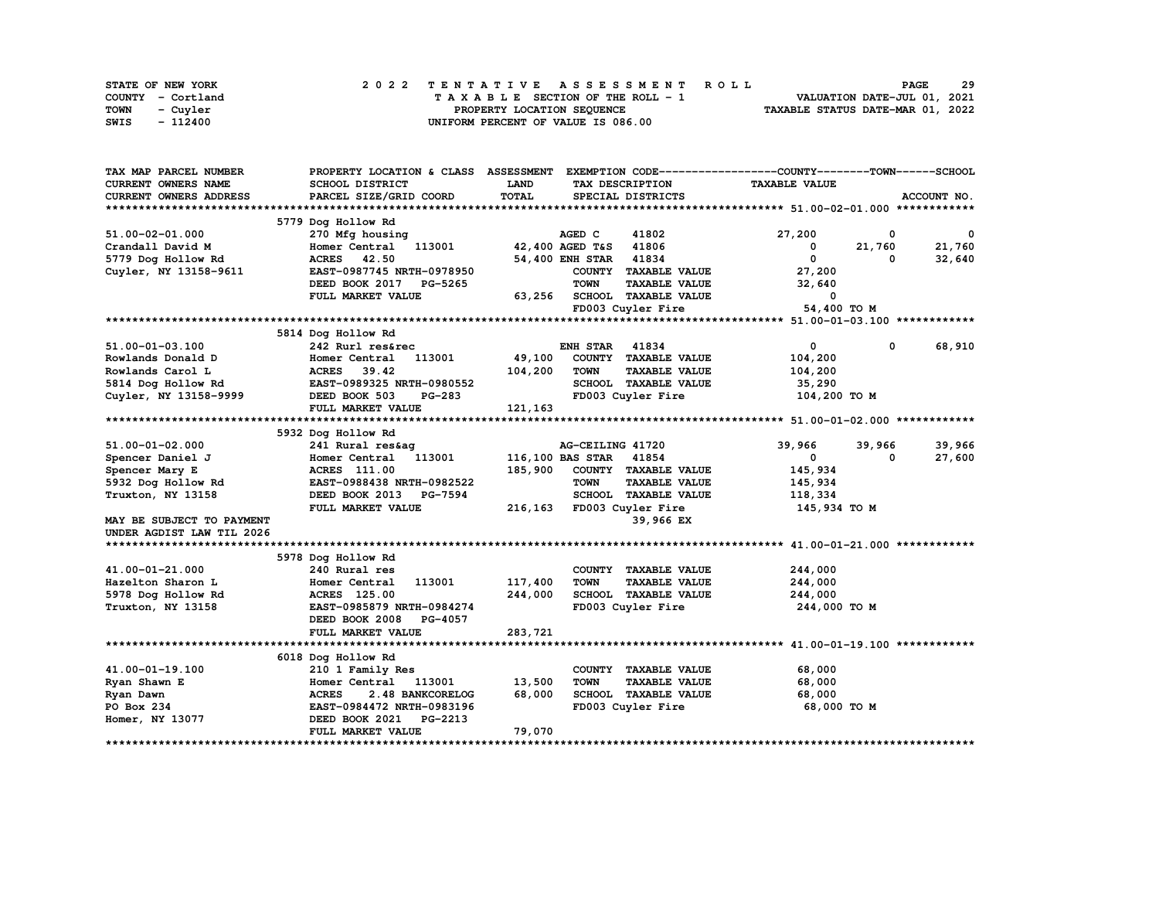| STATE OF NEW YORK | 2022 TENTATIVE ASSESSMENT ROLL     | 29<br><b>PAGE</b>                |
|-------------------|------------------------------------|----------------------------------|
| COUNTY - Cortland | TAXABLE SECTION OF THE ROLL - 1    | VALUATION DATE-JUL 01, 2021      |
| TOWN<br>- Cuvler  | PROPERTY LOCATION SEQUENCE         | TAXABLE STATUS DATE-MAR 01, 2022 |
| - 112400<br>SWIS  | UNIFORM PERCENT OF VALUE IS 086.00 |                                  |

| TAX MAP PARCEL NUMBER     | PROPERTY LOCATION & CLASS ASSESSMENT EXEMPTION CODE----------------COUNTY-------TOWN-----SCHOOL |              |                        |                           |                      |            |                         |
|---------------------------|-------------------------------------------------------------------------------------------------|--------------|------------------------|---------------------------|----------------------|------------|-------------------------|
| CURRENT OWNERS NAME       | SCHOOL DISTRICT                                                                                 | LAND         |                        | TAX DESCRIPTION           | <b>TAXABLE VALUE</b> |            |                         |
| CURRENT OWNERS ADDRESS    | PARCEL SIZE/GRID COORD                                                                          | <b>TOTAL</b> |                        | SPECIAL DISTRICTS         |                      |            | ACCOUNT NO.             |
|                           |                                                                                                 |              |                        |                           |                      |            |                         |
|                           | 5779 Dog Hollow Rd                                                                              |              |                        |                           |                      |            |                         |
| 51.00-02-01.000           | 270 Mfg housing                                                                                 |              | AGED C                 | 41802                     | 27,200               | 0          | $\overline{\mathbf{0}}$ |
| Crandall David M          | 113001<br>Homer Central                                                                         |              | 42,400 AGED T&S        | 41806                     | 0                    | 21,760     | 21,760                  |
| 5779 Dog Hollow Rd        | ACRES 42.50                                                                                     |              | 54,400 ENH STAR        | 41834                     | $\mathbf 0$          | 0          | 32,640                  |
| Cuyler, NY 13158-9611     | EAST-0987745 NRTH-0978950                                                                       |              |                        | COUNTY TAXABLE VALUE      | 27,200               |            |                         |
|                           | DEED BOOK 2017 PG-5265                                                                          |              | <b>TOWN</b>            | <b>TAXABLE VALUE</b>      | 32,640               |            |                         |
|                           | FULL MARKET VALUE                                                                               | 63,256       |                        | SCHOOL TAXABLE VALUE      | $\Omega$             |            |                         |
|                           |                                                                                                 |              |                        | FD003 Cuyler Fire         | 54,400 TO M          |            |                         |
|                           |                                                                                                 |              |                        |                           |                      |            |                         |
|                           | 5814 Dog Hollow Rd                                                                              |              |                        |                           |                      |            |                         |
| 51.00-01-03.100           | 242 Rurl res&rec                                                                                |              | <b>ENH STAR</b>        | 41834                     | $\mathbf 0$          | $^{\circ}$ | 68,910                  |
| Rowlands Donald D         | 113001<br>Homer Central                                                                         | 49,100       |                        | COUNTY TAXABLE VALUE      | 104,200              |            |                         |
| Rowlands Carol L          | 39.42<br><b>ACRES</b>                                                                           | 104,200      | <b>TOWN</b>            | <b>TAXABLE VALUE</b>      | 104,200              |            |                         |
| 5814 Dog Hollow Rd        | EAST-0989325 NRTH-0980552                                                                       |              |                        | SCHOOL TAXABLE VALUE      | 35,290               |            |                         |
| Cuyler, NY 13158-9999     | DEED BOOK 503<br><b>PG-283</b>                                                                  |              |                        | FD003 Cuyler Fire         | 104,200 TO M         |            |                         |
|                           | FULL MARKET VALUE                                                                               | 121,163      |                        |                           |                      |            |                         |
|                           |                                                                                                 |              |                        |                           |                      |            |                         |
|                           | 5932 Dog Hollow Rd                                                                              |              |                        |                           |                      |            |                         |
| 51.00-01-02.000           | 241 Rural res&aq                                                                                |              | AG-CEILING 41720       |                           | 39,966               | 39,966     | 39,966                  |
| Spencer Daniel J          | Homer Central 113001                                                                            |              | 116,100 BAS STAR 41854 |                           | 0                    | 0          | 27,600                  |
| Spencer Mary E            | ACRES 111.00                                                                                    | 185,900      |                        | COUNTY TAXABLE VALUE      | 145,934              |            |                         |
| 5932 Dog Hollow Rd        | EAST-0988438 NRTH-0982522                                                                       |              | <b>TOWN</b>            | <b>TAXABLE VALUE</b>      | 145,934              |            |                         |
| Truxton, NY 13158         | DEED BOOK 2013<br>PG-7594                                                                       |              |                        | SCHOOL TAXABLE VALUE      | 118,334              |            |                         |
|                           | FULL MARKET VALUE                                                                               |              |                        | 216,163 FD003 Cuyler Fire | 145,934 TO M         |            |                         |
| MAY BE SUBJECT TO PAYMENT |                                                                                                 |              |                        | 39,966 EX                 |                      |            |                         |
| UNDER AGDIST LAW TIL 2026 |                                                                                                 |              |                        |                           |                      |            |                         |
|                           |                                                                                                 |              |                        |                           |                      |            |                         |
|                           | 5978 Dog Hollow Rd                                                                              |              |                        |                           |                      |            |                         |
| 41.00-01-21.000           | 240 Rural res                                                                                   |              |                        | COUNTY TAXABLE VALUE      | 244,000              |            |                         |
| Hazelton Sharon L         | 113001<br>Homer Central                                                                         | 117,400      | <b>TOWN</b>            | <b>TAXABLE VALUE</b>      | 244,000              |            |                         |
| 5978 Dog Hollow Rd        | <b>ACRES</b> 125.00                                                                             | 244,000      |                        | SCHOOL TAXABLE VALUE      | 244,000              |            |                         |
| Truxton, NY 13158         | EAST-0985879 NRTH-0984274                                                                       |              |                        | FD003 Cuyler Fire         | 244,000 TO M         |            |                         |
|                           | DEED BOOK 2008<br>PG-4057                                                                       |              |                        |                           |                      |            |                         |
|                           | FULL MARKET VALUE                                                                               | 283,721      |                        |                           |                      |            |                         |
|                           |                                                                                                 |              |                        |                           |                      |            |                         |
|                           | 6018 Dog Hollow Rd                                                                              |              |                        |                           |                      |            |                         |
| 41.00-01-19.100           | 210 1 Family Res                                                                                |              |                        | COUNTY TAXABLE VALUE      | 68,000               |            |                         |
| Ryan Shawn E              | Homer Central<br>113001                                                                         | 13,500       | <b>TOWN</b>            | <b>TAXABLE VALUE</b>      | 68,000               |            |                         |
| Ryan Dawn                 | <b>ACRES</b><br>2.48 BANKCORELOG                                                                | 68,000       |                        | SCHOOL TAXABLE VALUE      | 68,000               |            |                         |
| PO Box 234                | EAST-0984472 NRTH-0983196                                                                       |              |                        | FD003 Cuyler Fire         | 68,000 TO M          |            |                         |
| Homer, NY 13077           | DEED BOOK 2021<br><b>PG-2213</b>                                                                |              |                        |                           |                      |            |                         |
|                           | FULL MARKET VALUE                                                                               | 79,070       |                        |                           |                      |            |                         |
|                           |                                                                                                 |              |                        |                           |                      |            |                         |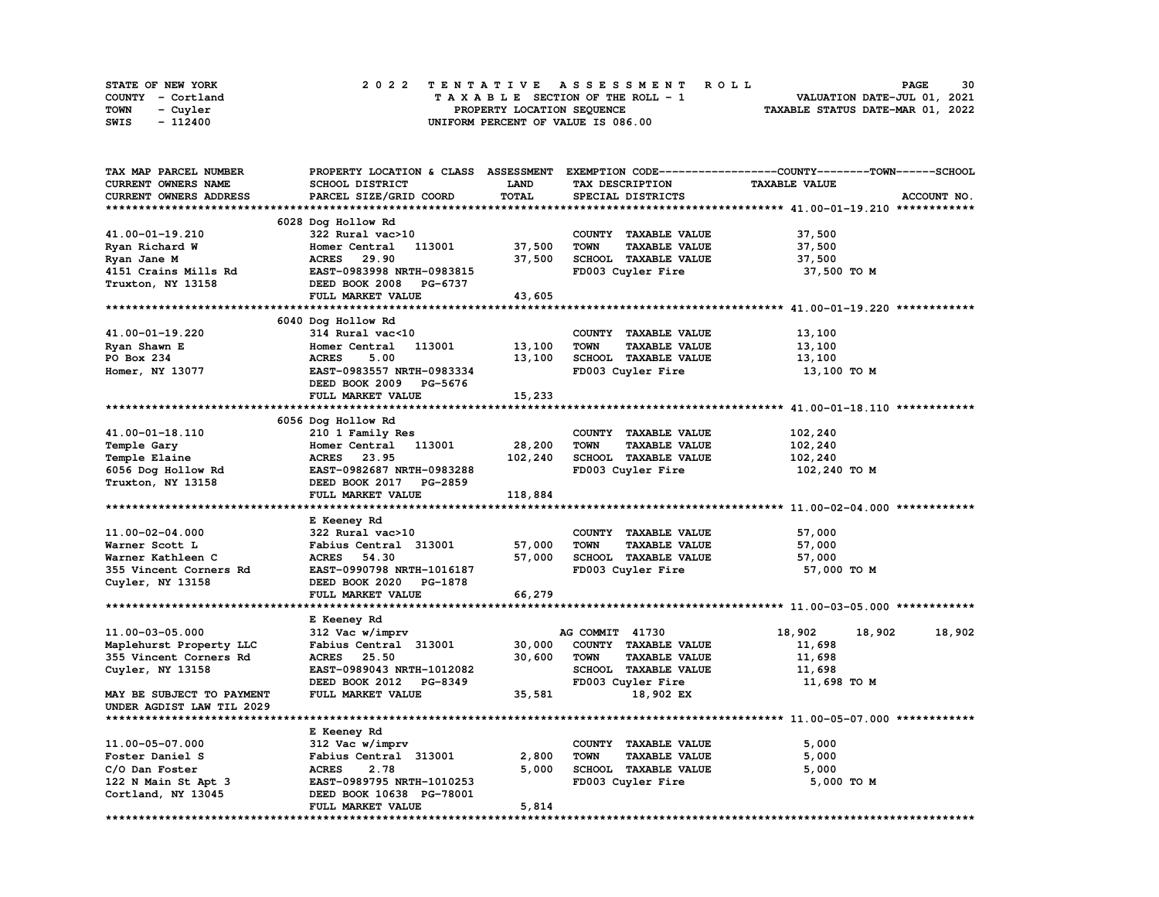| STATE OF NEW YORK | 2022 TENTATIVE ASSESSMENT ROLL     | 30<br><b>PAGE</b>                |
|-------------------|------------------------------------|----------------------------------|
| COUNTY - Cortland | TAXABLE SECTION OF THE ROLL - 1    | VALUATION DATE-JUL 01, 2021      |
| TOWN<br>- Cuvler  | PROPERTY LOCATION SEQUENCE         | TAXABLE STATUS DATE-MAR 01, 2022 |
| - 112400<br>SWIS  | UNIFORM PERCENT OF VALUE IS 086.00 |                                  |

| TAX MAP PARCEL NUMBER     |                                               |             |                                     | PROPERTY LOCATION & CLASS ASSESSMENT EXEMPTION CODE----------------COUNTY-------TOWN-----SCHOOL |
|---------------------------|-----------------------------------------------|-------------|-------------------------------------|-------------------------------------------------------------------------------------------------|
| CURRENT OWNERS NAME       | <b>SCHOOL DISTRICT</b>                        | <b>LAND</b> | TAX DESCRIPTION                     | <b>TAXABLE VALUE</b>                                                                            |
| CURRENT OWNERS ADDRESS    | PARCEL SIZE/GRID COORD                        | TOTAL       | SPECIAL DISTRICTS                   | ACCOUNT NO.                                                                                     |
|                           |                                               |             |                                     |                                                                                                 |
|                           | 6028 Dog Hollow Rd                            |             |                                     |                                                                                                 |
| 41.00-01-19.210           | 322 Rural vac>10                              |             | COUNTY TAXABLE VALUE                | 37,500                                                                                          |
| Ryan Richard W            | Homer Central<br>113001                       | 37,500      | <b>TAXABLE VALUE</b><br><b>TOWN</b> | 37,500                                                                                          |
| Ryan Jane M               | 29.90<br><b>ACRES</b>                         | 37,500      | SCHOOL TAXABLE VALUE                | 37,500                                                                                          |
| 4151 Crains Mills Rd      | EAST-0983998 NRTH-0983815                     |             | FD003 Cuyler Fire                   | 37,500 TO M                                                                                     |
| Truxton, NY 13158         | DEED BOOK 2008<br><b>PG-6737</b>              |             |                                     |                                                                                                 |
|                           | FULL MARKET VALUE                             | 43,605      |                                     |                                                                                                 |
|                           |                                               |             |                                     |                                                                                                 |
|                           |                                               |             |                                     |                                                                                                 |
|                           | 6040 Dog Hollow Rd                            |             |                                     |                                                                                                 |
| 41.00-01-19.220           | 314 Rural vac<10                              |             | COUNTY TAXABLE VALUE                | 13,100                                                                                          |
| Ryan Shawn E              | 113001<br>Homer Central                       | 13,100      | <b>TOWN</b><br><b>TAXABLE VALUE</b> | 13,100                                                                                          |
| PO Box 234                | <b>ACRES</b><br>5.00                          | 13,100      | SCHOOL TAXABLE VALUE                | 13,100                                                                                          |
| Homer, NY 13077           | EAST-0983557 NRTH-0983334                     |             | FD003 Cuyler Fire                   | 13,100 TO M                                                                                     |
|                           | DEED BOOK 2009 PG-5676                        |             |                                     |                                                                                                 |
|                           | FULL MARKET VALUE                             | 15,233      |                                     |                                                                                                 |
|                           |                                               |             |                                     |                                                                                                 |
|                           | 6056 Dog Hollow Rd                            |             |                                     |                                                                                                 |
| 41.00-01-18.110           | 210 1 Family Res                              |             | COUNTY TAXABLE VALUE                | 102,240                                                                                         |
| Temple Gary               | Homer Central<br>113001                       | 28,200      | <b>TOWN</b><br><b>TAXABLE VALUE</b> | 102,240                                                                                         |
| Temple Elaine             | <b>ACRES</b><br>23.95                         | 102,240     | SCHOOL TAXABLE VALUE                | 102,240                                                                                         |
| 6056 Dog Hollow Rd        | EAST-0982687 NRTH-0983288                     |             | FD003 Cuyler Fire                   | 102,240 то м                                                                                    |
| Truxton, NY 13158         | DEED BOOK 2017 PG-2859                        |             |                                     |                                                                                                 |
|                           |                                               |             |                                     |                                                                                                 |
|                           |                                               |             |                                     |                                                                                                 |
|                           | FULL MARKET VALUE                             | 118,884     |                                     |                                                                                                 |
|                           |                                               |             |                                     |                                                                                                 |
|                           | E Keeney Rd                                   |             |                                     |                                                                                                 |
| 11.00-02-04.000           | 322 Rural vac>10                              |             | COUNTY TAXABLE VALUE                | 57,000                                                                                          |
| Warner Scott L            | Fabius Central 313001                         | 57,000      | <b>TOWN</b><br><b>TAXABLE VALUE</b> | 57,000                                                                                          |
| Warner Kathleen C         | <b>ACRES</b><br>54.30                         | 57,000      | <b>SCHOOL TAXABLE VALUE</b>         | 57,000                                                                                          |
| 355 Vincent Corners Rd    | EAST-0990798 NRTH-1016187                     |             | FD003 Cuyler Fire                   | 57,000 TO M                                                                                     |
| Cuyler, NY 13158          | DEED BOOK 2020<br>PG-1878                     |             |                                     |                                                                                                 |
|                           | FULL MARKET VALUE                             | 66,279      |                                     |                                                                                                 |
| ***********************   |                                               |             |                                     |                                                                                                 |
|                           | E Keeney Rd                                   |             |                                     |                                                                                                 |
| 11.00-03-05.000           | 312 Vac w/imprv                               |             | AG COMMIT 41730                     | 18,902<br>18,902<br>18,902                                                                      |
| Maplehurst Property LLC   | Fabius Central 313001                         | 30,000      | COUNTY TAXABLE VALUE                | 11,698                                                                                          |
| 355 Vincent Corners Rd    | <b>ACRES</b> 25.50                            | 30,600      | <b>TOWN</b><br><b>TAXABLE VALUE</b> | 11,698                                                                                          |
| Cuyler, NY 13158          | EAST-0989043 NRTH-1012082                     |             | SCHOOL TAXABLE VALUE                | 11,698                                                                                          |
|                           | DEED BOOK 2012 PG-8349                        |             | FD003 Cuyler Fire                   | 11,698 TO M                                                                                     |
| MAY BE SUBJECT TO PAYMENT | FULL MARKET VALUE                             | 35,581      | 18,902 EX                           |                                                                                                 |
| UNDER AGDIST LAW TIL 2029 |                                               |             |                                     |                                                                                                 |
|                           |                                               |             |                                     |                                                                                                 |
|                           |                                               |             |                                     |                                                                                                 |
|                           | E Keeney Rd                                   |             |                                     |                                                                                                 |
| 11.00-05-07.000           | 312 Vac w/imprv                               |             | COUNTY TAXABLE VALUE                | 5,000                                                                                           |
| Foster Daniel S           | Fabius Central 313001                         | 2,800       | <b>TAXABLE VALUE</b><br>TOWN        | 5,000                                                                                           |
| C/O Dan Foster            | <b>ACRES</b><br>2.78                          | 5,000       | SCHOOL TAXABLE VALUE                | 5,000                                                                                           |
| 122 N Main St Apt 3       | EAST-0989795 NRTH-1010253                     |             | FD003 Cuyler Fire                   | 5,000 TO M                                                                                      |
| Cortland, NY 13045        | DEED BOOK 10638 PG-78001<br>FULL MARKET VALUE | 5,814       |                                     |                                                                                                 |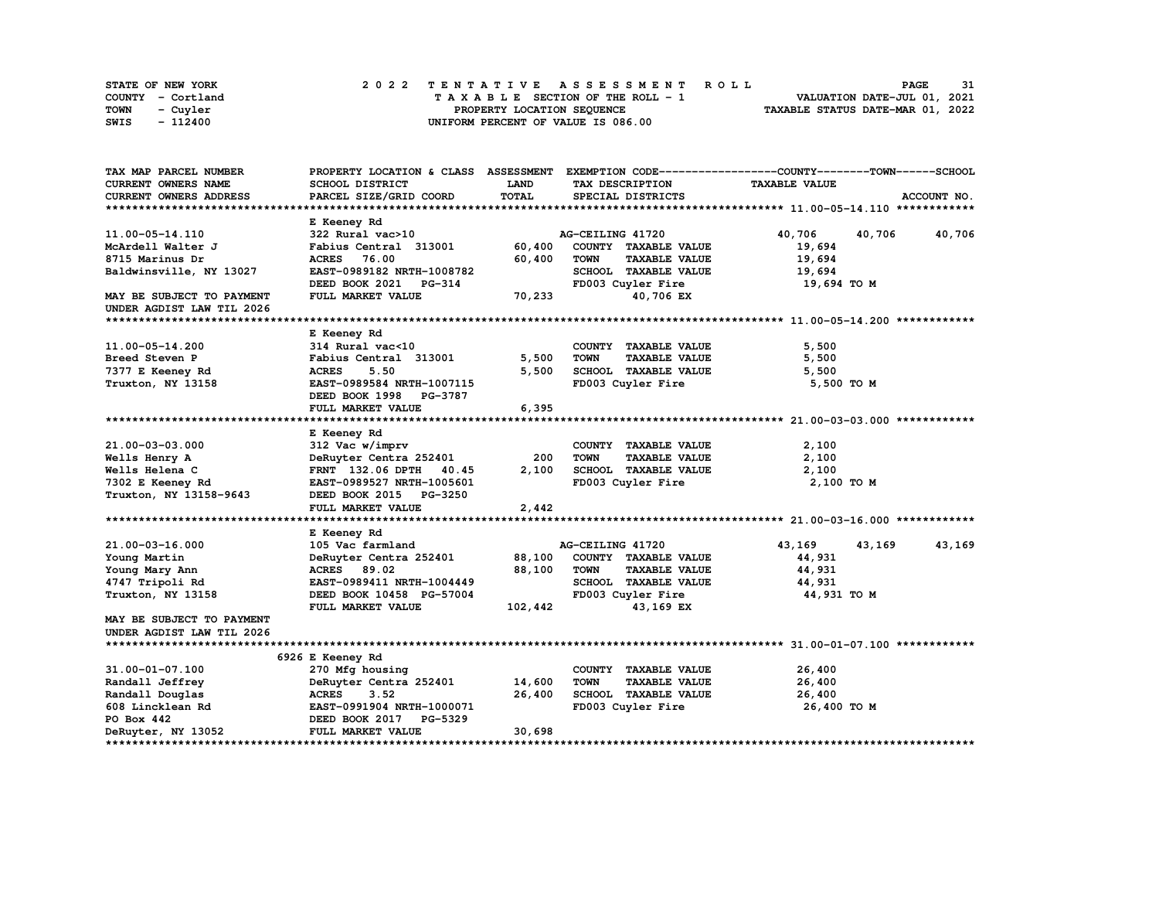| STATE OF NEW YORK | 2022 TENTATIVE ASSESSMENT ROLL     | 31<br><b>PAGE</b>                |
|-------------------|------------------------------------|----------------------------------|
| COUNTY - Cortland | TAXABLE SECTION OF THE ROLL - 1    | VALUATION DATE-JUL 01, 2021      |
| TOWN<br>- Cuyler  | PROPERTY LOCATION SEQUENCE         | TAXABLE STATUS DATE-MAR 01, 2022 |
| - 112400<br>SWIS  | UNIFORM PERCENT OF VALUE IS 086.00 |                                  |

| TAX MAP PARCEL NUMBER         | PROPERTY LOCATION & CLASS ASSESSMENT |         |                                                             | EXEMPTION CODE-----------------COUNTY-------TOWN-----SCHOOL |             |
|-------------------------------|--------------------------------------|---------|-------------------------------------------------------------|-------------------------------------------------------------|-------------|
| <b>CURRENT OWNERS NAME</b>    | SCHOOL DISTRICT                      | LAND    | TAX DESCRIPTION                                             | <b>TAXABLE VALUE</b>                                        |             |
| <b>CURRENT OWNERS ADDRESS</b> | PARCEL SIZE/GRID COORD               | TOTAL   | SPECIAL DISTRICTS                                           |                                                             | ACCOUNT NO. |
|                               |                                      |         |                                                             |                                                             |             |
|                               | E Keeney Rd                          |         |                                                             |                                                             |             |
| 11.00-05-14.110               | 322 Rural vac>10                     |         | AG-CEILING 41720                                            | 40,706<br>40,706                                            | 40,706      |
| McArdell Walter J             | Fabius Central 313001                | 60,400  | COUNTY TAXABLE VALUE                                        | 19,694                                                      |             |
| 8715 Marinus Dr               | ACRES 76.00                          | 60,400  | <b>TOWN</b><br><b>TAXABLE VALUE</b>                         | 19,694                                                      |             |
| Baldwinsville, NY 13027       | EAST-0989182 NRTH-1008782            |         | SCHOOL TAXABLE VALUE                                        | 19,694                                                      |             |
|                               | DEED BOOK 2021<br><b>PG-314</b>      |         | FD003 Cuyler Fire                                           | 19,694 то м                                                 |             |
| MAY BE SUBJECT TO PAYMENT     | FULL MARKET VALUE                    | 70,233  | 40,706 EX                                                   |                                                             |             |
| UNDER AGDIST LAW TIL 2026     |                                      |         |                                                             |                                                             |             |
|                               |                                      |         |                                                             |                                                             |             |
|                               | E Keeney Rd                          |         |                                                             |                                                             |             |
| 11.00-05-14.200               | 314 Rural vac<10                     |         | COUNTY TAXABLE VALUE                                        | 5,500                                                       |             |
| Breed Steven P                | Fabius Central 313001                | 5,500   | <b>TAXABLE VALUE</b><br><b>TOWN</b>                         | 5,500                                                       |             |
| 7377 E Keeney Rd              | <b>ACRES</b><br>5.50                 | 5,500   | SCHOOL TAXABLE VALUE                                        | 5,500                                                       |             |
| Truxton, NY 13158             | EAST-0989584 NRTH-1007115            |         | FD003 Cuyler Fire                                           | 5,500 TO M                                                  |             |
|                               | DEED BOOK 1998 PG-3787               |         |                                                             |                                                             |             |
|                               | FULL MARKET VALUE                    | 6,395   |                                                             |                                                             |             |
|                               |                                      |         |                                                             |                                                             |             |
|                               | E Keeney Rd                          |         |                                                             |                                                             |             |
| 21.00-03-03.000               | 312 Vac w/imprv                      |         | COUNTY TAXABLE VALUE                                        | 2,100                                                       |             |
| Wells Henry A                 | DeRuyter Centra 252401               | 200     | <b>TOWN</b><br><b>TAXABLE VALUE</b>                         | 2,100                                                       |             |
| Wells Helena C                | <b>FRNT</b> 132.06 DPTH<br>40.45     | 2,100   | SCHOOL TAXABLE VALUE                                        | 2,100                                                       |             |
| 7302 E Keeney Rd              | EAST-0989527 NRTH-1005601            |         | FD003 Cuyler Fire                                           | 2,100 TO M                                                  |             |
| Truxton, NY 13158-9643        | DEED BOOK 2015 PG-3250               |         |                                                             |                                                             |             |
|                               | FULL MARKET VALUE                    | 2,442   |                                                             |                                                             |             |
|                               |                                      |         |                                                             |                                                             |             |
|                               | E Keeney Rd                          |         |                                                             |                                                             |             |
| 21.00-03-16.000               | 105 Vac farmland                     |         | AG-CEILING 41720                                            | 43,169<br>43,169                                            | 43,169      |
| Young Martin                  | DeRuyter Centra 252401               | 88,100  | COUNTY TAXABLE VALUE                                        | 44,931                                                      |             |
| Young Mary Ann                | ACRES 89.02                          | 88,100  | <b>TOWN</b><br><b>TAXABLE VALUE</b>                         | 44,931                                                      |             |
| 4747 Tripoli Rd               | EAST-0989411 NRTH-1004449            |         | SCHOOL TAXABLE VALUE                                        | 44,931                                                      |             |
|                               | DEED BOOK 10458 PG-57004             |         |                                                             |                                                             |             |
| Truxton, NY 13158             | FULL MARKET VALUE                    |         | FD003 Cuyler Fire<br>43,169 EX                              | 44,931 TO M                                                 |             |
|                               |                                      | 102,442 |                                                             |                                                             |             |
| MAY BE SUBJECT TO PAYMENT     |                                      |         |                                                             |                                                             |             |
| UNDER AGDIST LAW TIL 2026     |                                      |         |                                                             |                                                             |             |
|                               |                                      |         |                                                             |                                                             |             |
|                               | 6926 E Keeney Rd                     |         |                                                             |                                                             |             |
| 31.00-01-07.100               | 270 Mfg housing                      |         | COUNTY TAXABLE VALUE<br><b>TOWN</b><br><b>TAXABLE VALUE</b> | 26,400                                                      |             |
| Randall Jeffrey               | DeRuyter Centra 252401               | 14,600  |                                                             | 26,400                                                      |             |
| Randall Douglas               | <b>ACRES</b><br>3.52                 | 26,400  | SCHOOL TAXABLE VALUE                                        | 26,400                                                      |             |
| 608 Lincklean Rd              | EAST-0991904 NRTH-1000071            |         | FD003 Cuyler Fire                                           | 26,400 TO M                                                 |             |
| PO Box 442                    | DEED BOOK 2017<br>PG-5329            |         |                                                             |                                                             |             |
| DeRuyter, NY 13052            | <b>FULL MARKET VALUE</b>             | 30,698  |                                                             |                                                             |             |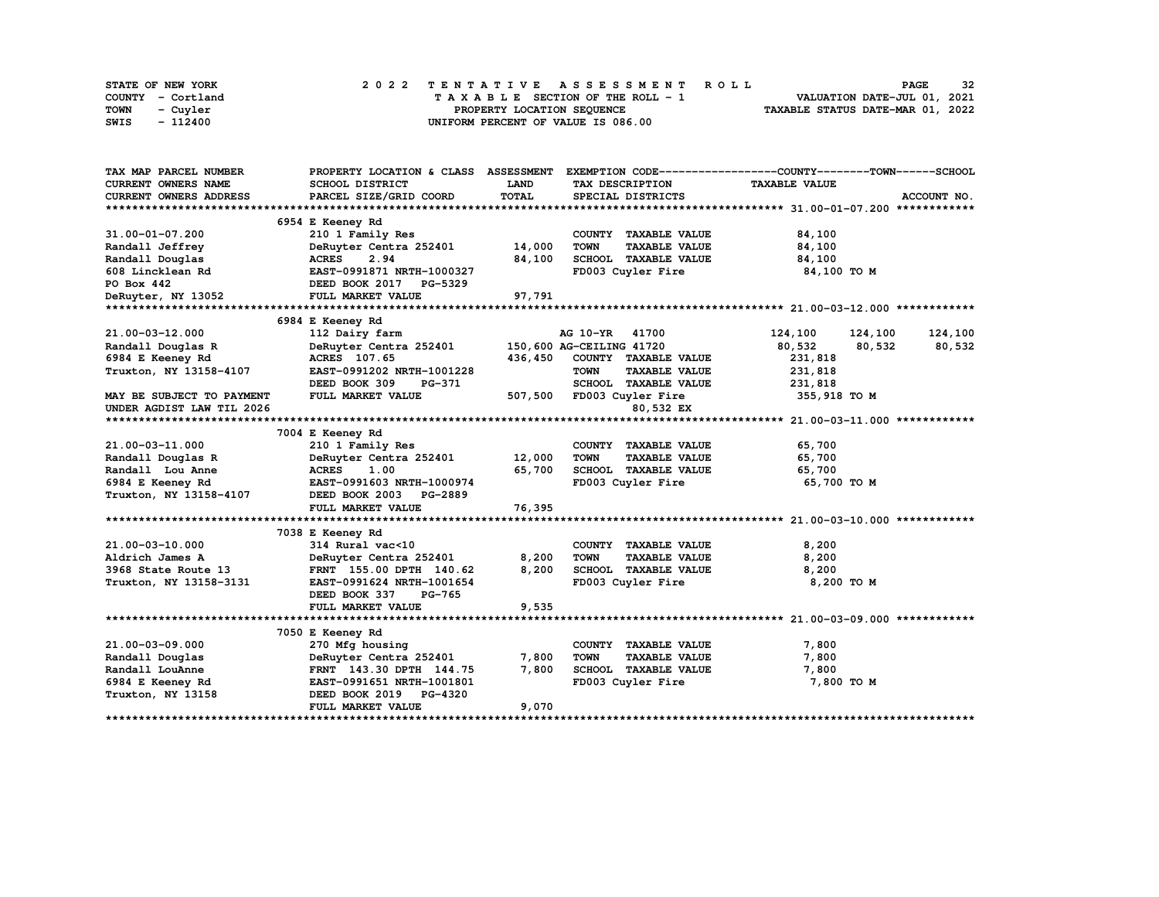| STATE OF NEW YORK | 2022 TENTATIVE ASSESSMENT ROLL     | 32<br><b>PAGE</b>                |
|-------------------|------------------------------------|----------------------------------|
| COUNTY - Cortland | TAXABLE SECTION OF THE ROLL - 1    | VALUATION DATE-JUL 01, 2021      |
| TOWN<br>- Cuyler  | PROPERTY LOCATION SEOUENCE         | TAXABLE STATUS DATE-MAR 01, 2022 |
| $-112400$<br>SWIS | UNIFORM PERCENT OF VALUE IS 086.00 |                                  |

| TAX MAP PARCEL NUMBER                      |                                                             |             |                                     | PROPERTY LOCATION & CLASS ASSESSMENT EXEMPTION CODE----------------COUNTY-------TOWN------SCHOOL |
|--------------------------------------------|-------------------------------------------------------------|-------------|-------------------------------------|--------------------------------------------------------------------------------------------------|
| <b>CURRENT OWNERS NAME</b>                 | SCHOOL DISTRICT                                             | <b>LAND</b> | TAX DESCRIPTION                     | <b>TAXABLE VALUE</b>                                                                             |
| <b>CURRENT OWNERS ADDRESS</b>              | PARCEL SIZE/GRID COORD                                      | TOTAL       | SPECIAL DISTRICTS                   | ACCOUNT NO.                                                                                      |
|                                            |                                                             |             |                                     |                                                                                                  |
|                                            | 6954 E Keeney Rd                                            |             |                                     |                                                                                                  |
| 31.00-01-07.200                            | 210 1 Family Res                                            |             | COUNTY TAXABLE VALUE                | 84,100                                                                                           |
| Randall Jeffrey                            | DeRuyter Centra 252401                                      | 14,000      | <b>TOWN</b><br><b>TAXABLE VALUE</b> | 84,100                                                                                           |
| Randall Douglas                            | <b>ACRES</b><br>2.94                                        | 84,100      | SCHOOL TAXABLE VALUE                | 84,100                                                                                           |
| 608 Lincklean Rd                           | EAST-0991871 NRTH-1000327                                   |             | FD003 Cuyler Fire                   | 84,100 TO M                                                                                      |
| PO Box 442                                 | <b>EAST-0991871 NRTH-100032,<br/>DEED BOOK 2017 PG-5329</b> |             |                                     |                                                                                                  |
| DeRuyter, NY 13052                         | FULL MARKET VALUE                                           | 97,791      |                                     |                                                                                                  |
|                                            |                                                             |             |                                     |                                                                                                  |
|                                            | 6984 E Keeney Rd                                            |             |                                     |                                                                                                  |
| 21.00-03-12.000                            | 112 Dairy farm                                              |             | AG 10-YR 41700                      | 124,100 124,100<br>124,100                                                                       |
| Randall Douglas R                          | DeRuyter Centra 252401 150,600 AG-CEILING 41720             |             |                                     | 80,532<br>80,532<br>80,532                                                                       |
| 6984 E Keeney Rd                           | ACRES 107.65                                                |             | 436,450 COUNTY TAXABLE VALUE        | 231,818                                                                                          |
| Truxton, NY 13158-4107                     | EAST-0991202 NRTH-1001228                                   |             | <b>TOWN</b><br><b>TAXABLE VALUE</b> | 231,818                                                                                          |
|                                            | DEED BOOK 309<br>PG-371                                     |             | SCHOOL TAXABLE VALUE                | 231,818                                                                                          |
| <b>MAY BE SUBJECT TO PAYMENT</b>           | FULL MARKET VALUE                                           |             | 507,500 FD003 Cuyler Fire           | 355,918 TO M                                                                                     |
| UNDER AGDIST LAW TIL 2026                  |                                                             |             | 80,532 EX                           |                                                                                                  |
|                                            |                                                             |             |                                     |                                                                                                  |
|                                            | 7004 E Keeney Rd                                            |             |                                     |                                                                                                  |
| 21.00-03-11.000                            | 210 1 Family Res                                            |             | COUNTY TAXABLE VALUE                | 65,700                                                                                           |
| Randall Douglas R                          | DeRuyter Centra 252401 12,000                               |             | <b>TOWN</b><br><b>TAXABLE VALUE</b> | 65,700                                                                                           |
| Randall Lou Anne                           | <b>ACRES</b><br>1.00                                        | 65,700      | SCHOOL TAXABLE VALUE                | 65,700                                                                                           |
| 6984 E Keeney Rd                           | EAST-0991603 NRTH-1000974                                   |             | FD003 Cuyler Fire                   | 65,700 TO M                                                                                      |
| Truxton, NY 13158-4107                     | DEED BOOK 2003 PG-2889                                      |             |                                     |                                                                                                  |
|                                            | FULL MARKET VALUE                                           | 76,395      |                                     |                                                                                                  |
|                                            |                                                             |             |                                     |                                                                                                  |
|                                            | 7038 E Keeney Rd                                            |             |                                     |                                                                                                  |
| 21.00-03-10.000                            | 314 Rural vac<10                                            |             | COUNTY TAXABLE VALUE                | 8,200                                                                                            |
| Aldrich James A                            | DeRuyter Centra 252401                                      | 8,200       | <b>TOWN</b><br><b>TAXABLE VALUE</b> | 8,200                                                                                            |
| 3968 State Route 13                        | FRNT 155.00 DPTH 140.62                                     | 8,200       | SCHOOL TAXABLE VALUE                | 8,200                                                                                            |
| Truxton, NY 13158-3131                     | EAST-0991624 NRTH-1001654                                   |             | FD003 Cuyler Fire                   | 8,200 TO M                                                                                       |
|                                            | DEED BOOK 337<br>PG-765                                     |             |                                     |                                                                                                  |
|                                            | FULL MARKET VALUE                                           | 9,535       |                                     |                                                                                                  |
|                                            |                                                             |             |                                     |                                                                                                  |
|                                            | 7050 E Keeney Rd                                            |             |                                     |                                                                                                  |
| 21.00-03-09.000                            | 270 Mfg housing                                             |             | COUNTY TAXABLE VALUE                | 7,800                                                                                            |
| Randall Douglas                            | DeRuyter Centra 252401                                      | 7,800       | <b>TOWN</b><br><b>TAXABLE VALUE</b> | 7,800                                                                                            |
| Randall LouAnne                            | FRNT 143.30 DPTH 144.75                                     | 7,800       | SCHOOL TAXABLE VALUE                | 7,800                                                                                            |
| 6984 E Keeney Rd EAST-0991651 NRTH-1001801 |                                                             |             | FD003 Cuyler Fire                   | 7,800 TO M                                                                                       |
| Truxton, NY 13158                          | DEED BOOK 2019 PG-4320                                      |             |                                     |                                                                                                  |
|                                            | FULL MARKET VALUE                                           | 9,070       |                                     |                                                                                                  |
|                                            |                                                             |             |                                     |                                                                                                  |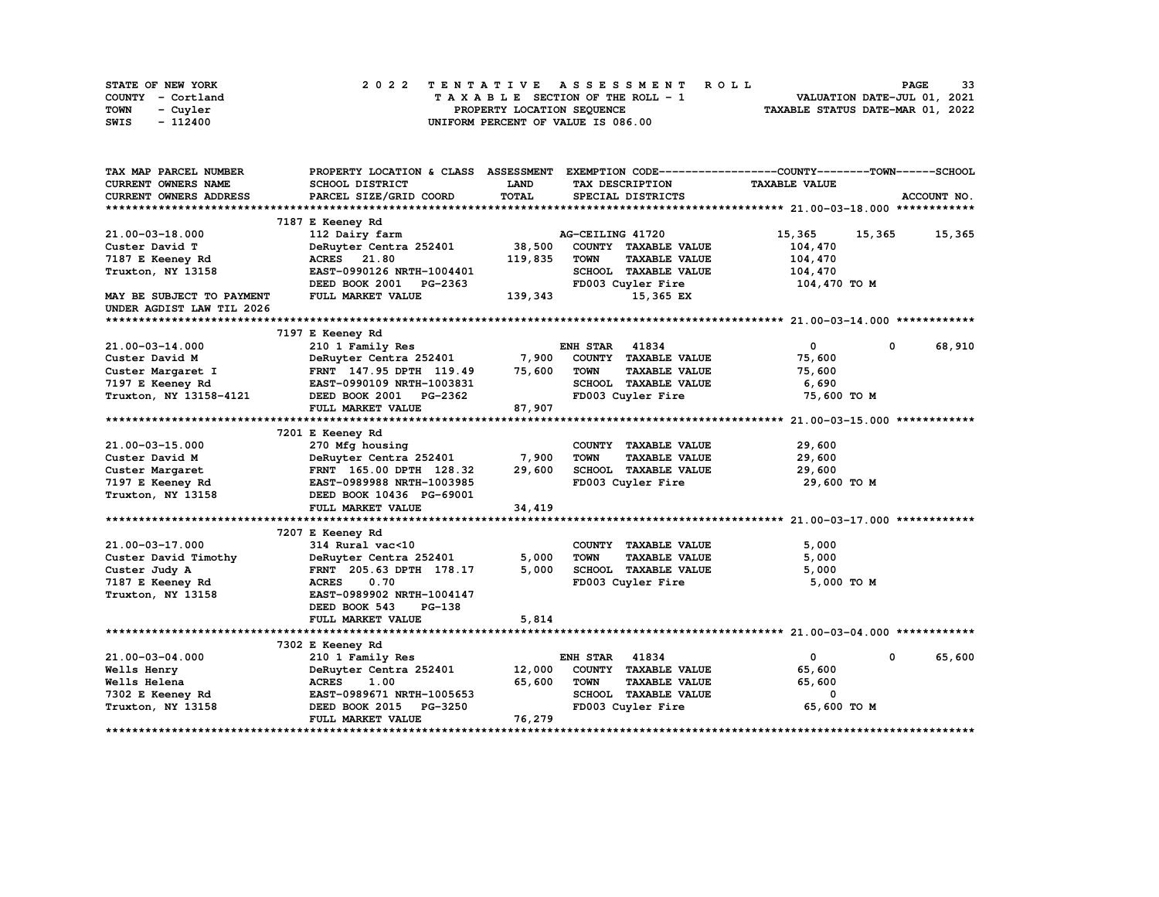| <b>STATE OF NEW YORK</b> | 2022 TENTATIVE ASSESSMENT ROLL          | 33<br><b>PAGE</b>                |
|--------------------------|-----------------------------------------|----------------------------------|
| COUNTY - Cortland        | $T A X A B L E$ SECTION OF THE ROLL - 1 | VALUATION DATE-JUL 01, 2021      |
| <b>TOWN</b><br>- Cuyler  | PROPERTY LOCATION SEQUENCE              | TAXABLE STATUS DATE-MAR 01, 2022 |
| - 112400<br>SWIS         | UNIFORM PERCENT OF VALUE IS 086.00      |                                  |

| TAX MAP PARCEL NUMBER      | PROPERTY LOCATION & CLASS ASSESSMENT |         |                       |                      | EXEMPTION CODE-----------------COUNTY-------TOWN------SCHOOL |        |             |
|----------------------------|--------------------------------------|---------|-----------------------|----------------------|--------------------------------------------------------------|--------|-------------|
| <b>CURRENT OWNERS NAME</b> | SCHOOL DISTRICT                      | LAND    |                       | TAX DESCRIPTION      | <b>TAXABLE VALUE</b>                                         |        |             |
| CURRENT OWNERS ADDRESS     | PARCEL SIZE/GRID COORD               | TOTAL   |                       | SPECIAL DISTRICTS    |                                                              |        | ACCOUNT NO. |
|                            |                                      |         |                       |                      |                                                              |        |             |
|                            | 7187 E Keeney Rd                     |         |                       |                      |                                                              |        |             |
| 21.00-03-18.000            | 112 Dairy farm                       |         | AG-CEILING 41720      |                      | 15,365                                                       | 15,365 | 15,365      |
| Custer David T             | DeRuyter Centra 252401               | 38,500  |                       | COUNTY TAXABLE VALUE | 104,470                                                      |        |             |
| 7187 E Keeney Rd           | ACRES 21.80                          | 119,835 | <b>TOWN</b>           | <b>TAXABLE VALUE</b> | 104,470                                                      |        |             |
| Truxton, NY 13158          | EAST-0990126 NRTH-1004401            |         |                       | SCHOOL TAXABLE VALUE | 104,470                                                      |        |             |
|                            | DEED BOOK 2001<br>PG-2363            |         |                       | FD003 Cuyler Fire    | 104,470 TO M                                                 |        |             |
| MAY BE SUBJECT TO PAYMENT  | FULL MARKET VALUE                    | 139,343 |                       | 15,365 EX            |                                                              |        |             |
| UNDER AGDIST LAW TIL 2026  |                                      |         |                       |                      |                                                              |        |             |
|                            |                                      |         |                       |                      |                                                              |        |             |
|                            | 7197 E Keeney Rd                     |         |                       |                      |                                                              |        |             |
| 21.00-03-14.000            | 210 1 Family Res                     |         | <b>ENH STAR 41834</b> |                      | 0                                                            | 0      | 68,910      |
| Custer David M             | DeRuyter Centra 252401 7,900         |         |                       | COUNTY TAXABLE VALUE | 75,600                                                       |        |             |
| Custer Margaret I          | FRNT 147.95 DPTH 119.49              | 75,600  | <b>TOWN</b>           | <b>TAXABLE VALUE</b> | 75,600                                                       |        |             |
| 7197 E Keeney Rd           | EAST-0990109 NRTH-1003831            |         |                       | SCHOOL TAXABLE VALUE | 6,690                                                        |        |             |
| Truxton, NY 13158-4121     | DEED BOOK 2001 PG-2362               |         |                       | FD003 Cuyler Fire    | 75,600 TO M                                                  |        |             |
|                            | FULL MARKET VALUE                    | 87,907  |                       |                      |                                                              |        |             |
|                            |                                      |         |                       |                      |                                                              |        |             |
|                            | 7201 E Keeney Rd                     |         |                       |                      |                                                              |        |             |
|                            |                                      |         |                       |                      |                                                              |        |             |
| 21.00-03-15.000            | 270 Mfg housing                      | 7,900   | <b>TOWN</b>           | COUNTY TAXABLE VALUE | 29,600                                                       |        |             |
| Custer David M             | DeRuyter Centra 252401               |         |                       | <b>TAXABLE VALUE</b> | 29,600                                                       |        |             |
| Custer Margaret            | FRNT 165.00 DPTH 128.32              | 29,600  |                       | SCHOOL TAXABLE VALUE | 29,600                                                       |        |             |
| 7197 E Keeney Rd           | EAST-0989988 NRTH-1003985            |         |                       | FD003 Cuyler Fire    | 29,600 TO M                                                  |        |             |
| Truxton, NY 13158          | DEED BOOK 10436 PG-69001             |         |                       |                      |                                                              |        |             |
|                            | FULL MARKET VALUE                    | 34,419  |                       |                      |                                                              |        |             |
|                            |                                      |         |                       |                      |                                                              |        |             |
|                            | 7207 E Keeney Rd                     |         |                       |                      |                                                              |        |             |
| 21.00-03-17.000            | 314 Rural vac<10                     |         |                       | COUNTY TAXABLE VALUE | 5,000                                                        |        |             |
| Custer David Timothy       | DeRuyter Centra 252401               | 5,000   | <b>TOWN</b>           | <b>TAXABLE VALUE</b> | 5,000                                                        |        |             |
| Custer Judy A              | FRNT 205.63 DPTH 178.17              | 5,000   |                       | SCHOOL TAXABLE VALUE | 5,000                                                        |        |             |
| 7187 E Keeney Rd           | 0.70<br><b>ACRES</b>                 |         |                       | FD003 Cuyler Fire    | 5,000 TO M                                                   |        |             |
| Truxton, NY 13158          | EAST-0989902 NRTH-1004147            |         |                       |                      |                                                              |        |             |
|                            | DEED BOOK 543<br><b>PG-138</b>       |         |                       |                      |                                                              |        |             |
|                            | FULL MARKET VALUE                    | 5,814   |                       |                      |                                                              |        |             |
|                            |                                      |         |                       |                      |                                                              |        |             |
|                            | 7302 E Keeney Rd                     |         |                       |                      |                                                              |        |             |
| 21.00-03-04.000            | 210 1 Family Res                     |         | <b>ENH STAR 41834</b> |                      | $\mathbf{0}$                                                 | 0      | 65,600      |
| Wells Henry                | DeRuyter Centra 252401               | 12,000  |                       | COUNTY TAXABLE VALUE | 65,600                                                       |        |             |
| Wells Helena               | <b>ACRES</b><br>1.00                 | 65,600  | <b>TOWN</b>           | <b>TAXABLE VALUE</b> | 65,600                                                       |        |             |
| 7302 E Keeney Rd           | EAST-0989671 NRTH-1005653            |         |                       | SCHOOL TAXABLE VALUE | 0                                                            |        |             |
| Truxton, NY 13158          | DEED BOOK 2015 PG-3250               |         |                       | FD003 Cuyler Fire    | 65,600 TO M                                                  |        |             |
|                            | FULL MARKET VALUE                    | 76,279  |                       |                      |                                                              |        |             |
|                            |                                      |         |                       |                      |                                                              |        |             |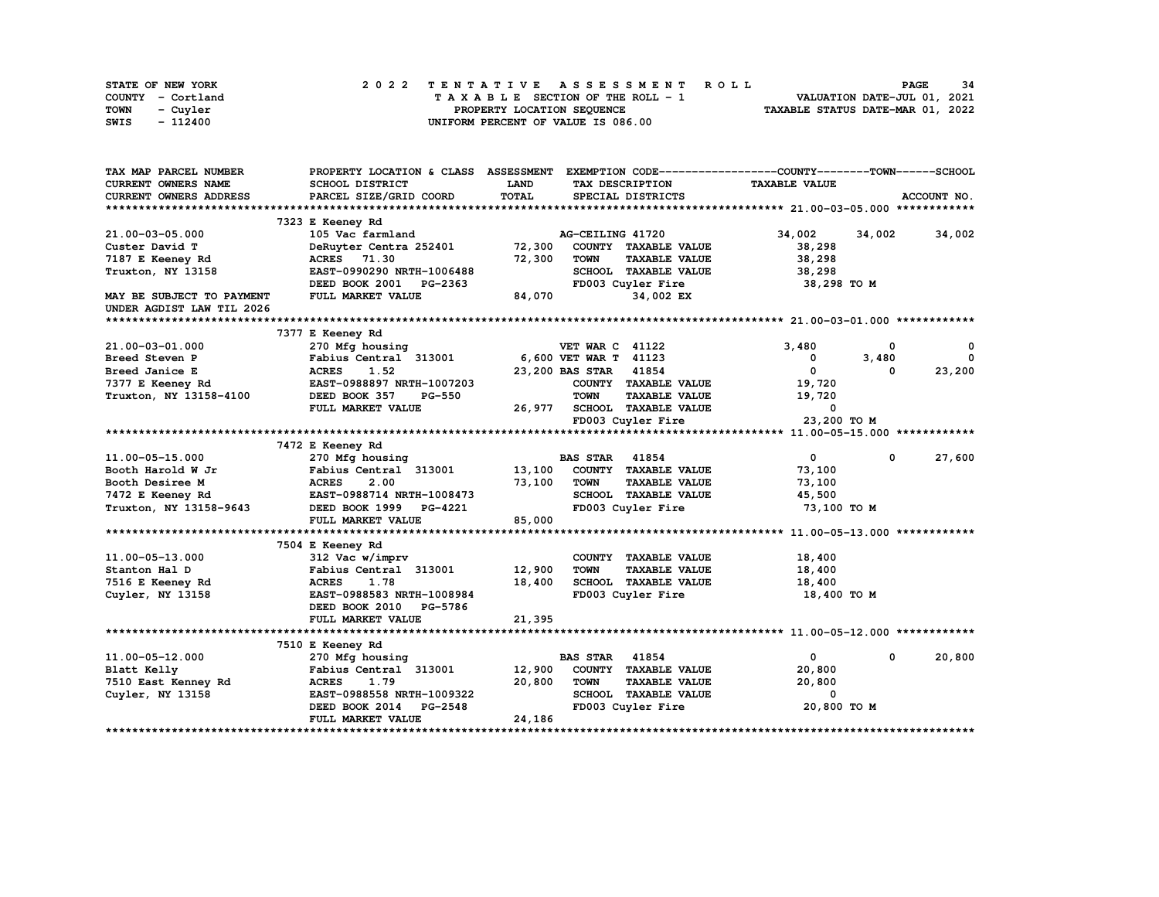| <b>STATE OF NEW YORK</b> | 2022 TENTATIVE ASSESSMENT ROLL          | - 34<br>PAGE                     |
|--------------------------|-----------------------------------------|----------------------------------|
| COUNTY - Cortland        | $T A X A B L E$ SECTION OF THE ROLL - 1 | VALUATION DATE-JUL 01, 2021      |
| TOWN<br>- Cuyler         | PROPERTY LOCATION SEQUENCE              | TAXABLE STATUS DATE-MAR 01, 2022 |
| - 112400<br>SWIS         | UNIFORM PERCENT OF VALUE IS 086.00      |                                  |

| TAX MAP PARCEL NUMBER         | PROPERTY LOCATION & CLASS ASSESSMENT |              |                        |                      | EXEMPTION CODE-----------------COUNTY-------TOWN------SCHOOL |            |             |
|-------------------------------|--------------------------------------|--------------|------------------------|----------------------|--------------------------------------------------------------|------------|-------------|
| <b>CURRENT OWNERS NAME</b>    | <b>SCHOOL DISTRICT</b>               | LAND         |                        | TAX DESCRIPTION      | <b>TAXABLE VALUE</b>                                         |            |             |
| <b>CURRENT OWNERS ADDRESS</b> | PARCEL SIZE/GRID COORD               | <b>TOTAL</b> |                        | SPECIAL DISTRICTS    |                                                              |            | ACCOUNT NO. |
|                               |                                      |              |                        |                      |                                                              |            |             |
|                               | 7323 E Keeney Rd                     |              |                        |                      |                                                              |            |             |
| 21.00-03-05.000               | 105 Vac farmland                     |              | AG-CEILING 41720       |                      | 34,002                                                       | 34,002     | 34,002      |
| Custer David T                | DeRuyter Centra 252401               | 72,300       |                        | COUNTY TAXABLE VALUE | 38,298                                                       |            |             |
| 7187 E Keeney Rd              | ACRES 71.30                          | 72,300       | <b>TOWN</b>            | <b>TAXABLE VALUE</b> | 38,298                                                       |            |             |
| Truxton, NY 13158             | EAST-0990290 NRTH-1006488            |              |                        | SCHOOL TAXABLE VALUE | 38,298                                                       |            |             |
|                               | DEED BOOK 2001<br><b>PG-2363</b>     |              |                        | FD003 Cuyler Fire    | 38,298 TO M                                                  |            |             |
| MAY BE SUBJECT TO PAYMENT     | FULL MARKET VALUE                    | 84,070       |                        | 34,002 EX            |                                                              |            |             |
| UNDER AGDIST LAW TIL 2026     |                                      |              |                        |                      |                                                              |            |             |
|                               |                                      |              |                        |                      |                                                              |            |             |
|                               | 7377 E Keeney Rd                     |              |                        |                      |                                                              |            |             |
| 21.00-03-01.000               | 270 Mfg housing                      |              | <b>VET WAR C 41122</b> |                      | 3,480                                                        | 0          | 0           |
| Breed Steven P                | Fabius Central 313001                |              | 6,600 VET WAR T 41123  |                      | 0                                                            | 3,480      | $\Omega$    |
| Breed Janice E                | <b>ACRES</b><br>1.52                 |              | 23,200 BAS STAR 41854  |                      | 0                                                            | $\Omega$   | 23,200      |
| 7377 E Keeney Rd              | EAST-0988897 NRTH-1007203            |              |                        | COUNTY TAXABLE VALUE | 19,720                                                       |            |             |
| Truxton, NY 13158-4100        | DEED BOOK 357<br><b>PG-550</b>       |              | <b>TOWN</b>            | <b>TAXABLE VALUE</b> | 19,720                                                       |            |             |
|                               | FULL MARKET VALUE                    | 26,977       |                        | SCHOOL TAXABLE VALUE | $\Omega$                                                     |            |             |
|                               |                                      |              |                        | FD003 Cuyler Fire    | 23,200 TO M                                                  |            |             |
|                               |                                      |              |                        |                      |                                                              |            |             |
|                               | 7472 E Keeney Rd                     |              |                        |                      |                                                              |            |             |
| 11.00-05-15.000               | 270 Mfg housing                      |              | <b>BAS STAR</b>        | 41854                | $\mathbf{0}$                                                 | $^{\circ}$ | 27,600      |
| Booth Harold W Jr             | Fabius Central 313001                | 13,100       |                        | COUNTY TAXABLE VALUE | 73,100                                                       |            |             |
| <b>Booth Desiree M</b>        | <b>ACRES</b><br>2.00                 | 73,100       | TOWN                   | <b>TAXABLE VALUE</b> | 73,100                                                       |            |             |
| 7472 E Keeney Rd              | EAST-0988714 NRTH-1008473            |              |                        | SCHOOL TAXABLE VALUE | 45,500                                                       |            |             |
| Truxton, NY 13158-9643        | DEED BOOK 1999 PG-4221               |              |                        | FD003 Cuyler Fire    | 73,100 TO M                                                  |            |             |
|                               | FULL MARKET VALUE                    | 85,000       |                        |                      |                                                              |            |             |
|                               |                                      |              |                        |                      |                                                              |            |             |
|                               | 7504 E Keeney Rd                     |              |                        |                      |                                                              |            |             |
| 11.00-05-13.000               | 312 Vac w/imprv                      |              |                        | COUNTY TAXABLE VALUE | 18,400                                                       |            |             |
| Stanton Hal D                 | Fabius Central 313001                | 12,900       | <b>TOWN</b>            | <b>TAXABLE VALUE</b> | 18,400                                                       |            |             |
|                               |                                      | 18,400       |                        |                      |                                                              |            |             |
| 7516 E Keeney Rd              | <b>ACRES</b><br>1.78                 |              |                        | SCHOOL TAXABLE VALUE | 18,400                                                       |            |             |
| Cuyler, NY 13158              | EAST-0988583 NRTH-1008984            |              |                        | FD003 Cuyler Fire    | 18,400 TO M                                                  |            |             |
|                               | DEED BOOK 2010<br>PG-5786            |              |                        |                      |                                                              |            |             |
|                               | FULL MARKET VALUE                    | 21,395       |                        |                      |                                                              |            |             |
|                               |                                      |              |                        |                      |                                                              |            |             |
|                               | 7510 E Keeney Rd                     |              |                        |                      |                                                              |            |             |
| 11.00-05-12.000               | 270 Mfg housing                      |              | <b>BAS STAR 41854</b>  |                      | $\mathbf{0}$                                                 | 0          | 20,800      |
| Blatt Kelly                   | Fabius Central 313001                | 12,900       |                        | COUNTY TAXABLE VALUE | 20,800                                                       |            |             |
| 7510 East Kenney Rd           | <b>ACRES</b><br>1.79                 | 20,800       | <b>TOWN</b>            | <b>TAXABLE VALUE</b> | 20,800                                                       |            |             |
| Cuyler, NY 13158              | EAST-0988558 NRTH-1009322            |              |                        | SCHOOL TAXABLE VALUE | $\mathbf{o}$                                                 |            |             |
|                               | DEED BOOK 2014<br><b>PG-2548</b>     |              |                        | FD003 Cuyler Fire    | 20,800 TO M                                                  |            |             |
|                               | FULL MARKET VALUE                    | 24,186       |                        |                      |                                                              |            |             |
|                               |                                      |              |                        |                      |                                                              |            |             |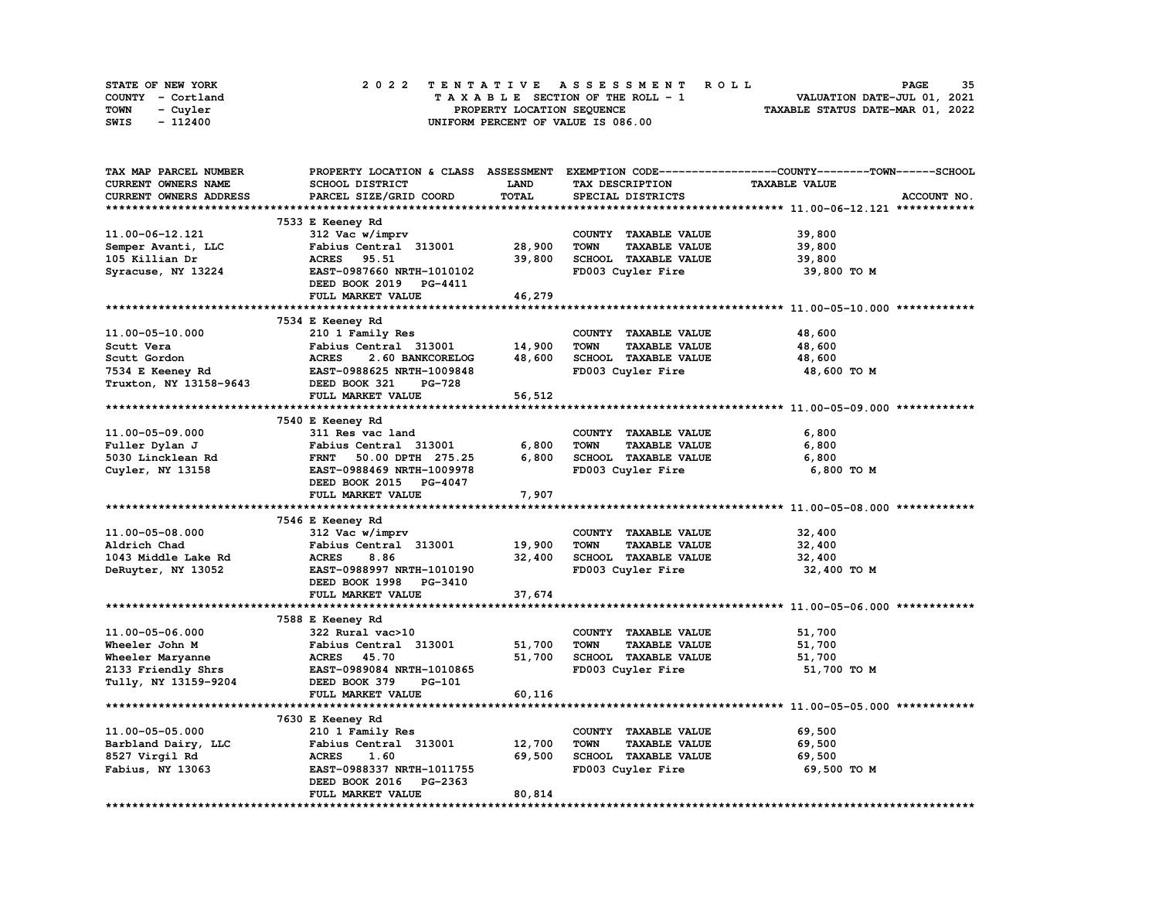| STATE OF NEW YORK | 2022 TENTATIVE ASSESSMENT ROLL          | 35<br><b>PAGE</b>                |
|-------------------|-----------------------------------------|----------------------------------|
| COUNTY - Cortland | $T A X A B L E$ SECTION OF THE ROLL - 1 | VALUATION DATE-JUL 01, 2021      |
| TOWN<br>- Cuyler  | PROPERTY LOCATION SEOUENCE              | TAXABLE STATUS DATE-MAR 01, 2022 |
| - 112400<br>SWIS  | UNIFORM PERCENT OF VALUE IS 086.00      |                                  |

| TAX MAP PARCEL NUMBER  |                                  |        |                                     | PROPERTY LOCATION & CLASS ASSESSMENT EXEMPTION CODE-----------------COUNTY-------TOWN------SCHOOL |
|------------------------|----------------------------------|--------|-------------------------------------|---------------------------------------------------------------------------------------------------|
| CURRENT OWNERS NAME    | SCHOOL DISTRICT                  | LAND   | TAX DESCRIPTION                     | <b>TAXABLE VALUE</b>                                                                              |
| CURRENT OWNERS ADDRESS | PARCEL SIZE/GRID COORD           | TOTAL  | SPECIAL DISTRICTS                   | ACCOUNT NO.                                                                                       |
|                        |                                  |        |                                     |                                                                                                   |
|                        | 7533 E Keeney Rd                 |        |                                     |                                                                                                   |
| 11.00-06-12.121        | 312 Vac w/imprv                  |        | COUNTY TAXABLE VALUE                | 39,800                                                                                            |
|                        | Fabius Central 313001            | 28,900 | <b>TOWN</b><br><b>TAXABLE VALUE</b> | 39,800                                                                                            |
| Semper Avanti, LLC     |                                  |        |                                     |                                                                                                   |
| 105 Killian Dr         | <b>ACRES</b><br>95.51            | 39,800 | SCHOOL TAXABLE VALUE                | 39,800                                                                                            |
| Syracuse, NY 13224     | EAST-0987660 NRTH-1010102        |        | FD003 Cuyler Fire                   | 39,800 TO M                                                                                       |
|                        | DEED BOOK 2019 PG-4411           |        |                                     |                                                                                                   |
|                        | FULL MARKET VALUE                | 46,279 |                                     |                                                                                                   |
|                        |                                  |        |                                     |                                                                                                   |
|                        | 7534 E Keeney Rd                 |        |                                     |                                                                                                   |
| 11.00-05-10.000        | 210 1 Family Res                 |        | COUNTY TAXABLE VALUE                | 48,600                                                                                            |
| Scutt Vera             | Fabius Central 313001            | 14,900 | <b>TOWN</b><br><b>TAXABLE VALUE</b> | 48,600                                                                                            |
| Scutt Gordon           | <b>ACRES</b><br>2.60 BANKCORELOG | 48,600 | SCHOOL TAXABLE VALUE                | 48,600                                                                                            |
| 7534 E Keeney Rd       | EAST-0988625 NRTH-1009848        |        | FD003 Cuyler Fire                   | 48,600 TO M                                                                                       |
| Truxton, NY 13158-9643 | DEED BOOK 321<br>PG-728          |        |                                     |                                                                                                   |
|                        | FULL MARKET VALUE                | 56,512 |                                     |                                                                                                   |
|                        |                                  |        |                                     |                                                                                                   |
|                        |                                  |        |                                     |                                                                                                   |
|                        | 7540 E Keeney Rd                 |        |                                     |                                                                                                   |
| 11.00-05-09.000        | 311 Res vac land                 |        | COUNTY TAXABLE VALUE                | 6,800                                                                                             |
| Fuller Dylan J         | Fabius Central 313001            | 6,800  | <b>TOWN</b><br><b>TAXABLE VALUE</b> | 6,800                                                                                             |
| 5030 Lincklean Rd      | FRNT 50.00 DPTH 275.25           | 6,800  | SCHOOL TAXABLE VALUE                | 6,800                                                                                             |
| Cuyler, NY 13158       | EAST-0988469 NRTH-1009978        |        | FD003 Cuyler Fire                   | 6,800 TO M                                                                                        |
|                        | DEED BOOK 2015 PG-4047           |        |                                     |                                                                                                   |
|                        | FULL MARKET VALUE                | 7,907  |                                     |                                                                                                   |
|                        |                                  |        |                                     |                                                                                                   |
|                        | 7546 E Keeney Rd                 |        |                                     |                                                                                                   |
| 11.00-05-08.000        | 312 Vac w/imprv                  |        | COUNTY TAXABLE VALUE                | 32,400                                                                                            |
| Aldrich Chad           | Fabius Central 313001            | 19,900 | <b>TOWN</b><br><b>TAXABLE VALUE</b> | 32,400                                                                                            |
|                        |                                  |        |                                     |                                                                                                   |
| 1043 Middle Lake Rd    | 8.86<br><b>ACRES</b>             | 32,400 | SCHOOL TAXABLE VALUE                | 32,400                                                                                            |
| DeRuyter, NY 13052     | EAST-0988997 NRTH-1010190        |        | FD003 Cuyler Fire                   | 32,400 TO M                                                                                       |
|                        | DEED BOOK 1998 PG-3410           |        |                                     |                                                                                                   |
|                        | FULL MARKET VALUE                | 37,674 |                                     |                                                                                                   |
|                        |                                  |        |                                     |                                                                                                   |
|                        | 7588 E Keeney Rd                 |        |                                     |                                                                                                   |
| 11.00-05-06.000        | 322 Rural vac>10                 |        | COUNTY TAXABLE VALUE                | 51,700                                                                                            |
| Wheeler John M         | Fabius Central 313001            | 51,700 | <b>TOWN</b><br><b>TAXABLE VALUE</b> | 51,700                                                                                            |
| Wheeler Maryanne       | <b>ACRES</b> 45.70               | 51,700 | SCHOOL TAXABLE VALUE                | 51,700                                                                                            |
| 2133 Friendly Shrs     | EAST-0989084 NRTH-1010865        |        | FD003 Cuyler Fire                   | 51,700 TO M                                                                                       |
| Tully, NY 13159-9204   | DEED BOOK 379<br>PG-101          |        |                                     |                                                                                                   |
|                        | FULL MARKET VALUE                |        |                                     |                                                                                                   |
|                        |                                  | 60,116 |                                     |                                                                                                   |
|                        |                                  |        |                                     |                                                                                                   |
|                        | 7630 E Keeney Rd                 |        |                                     |                                                                                                   |
| 11.00-05-05.000        | 210 1 Family Res                 |        | COUNTY TAXABLE VALUE                | 69,500                                                                                            |
| Barbland Dairy, LLC    | Fabius Central 313001            | 12,700 | <b>TOWN</b><br><b>TAXABLE VALUE</b> | 69,500                                                                                            |
| 8527 Virgil Rd         | <b>ACRES</b><br>1.60             | 69,500 | SCHOOL TAXABLE VALUE                | 69,500                                                                                            |
| Fabius, NY 13063       | EAST-0988337 NRTH-1011755        |        | FD003 Cuyler Fire                   | 69,500 TO M                                                                                       |
|                        | DEED BOOK 2016 PG-2363           |        |                                     |                                                                                                   |
|                        | FULL MARKET VALUE                | 80,814 |                                     |                                                                                                   |
|                        |                                  |        |                                     |                                                                                                   |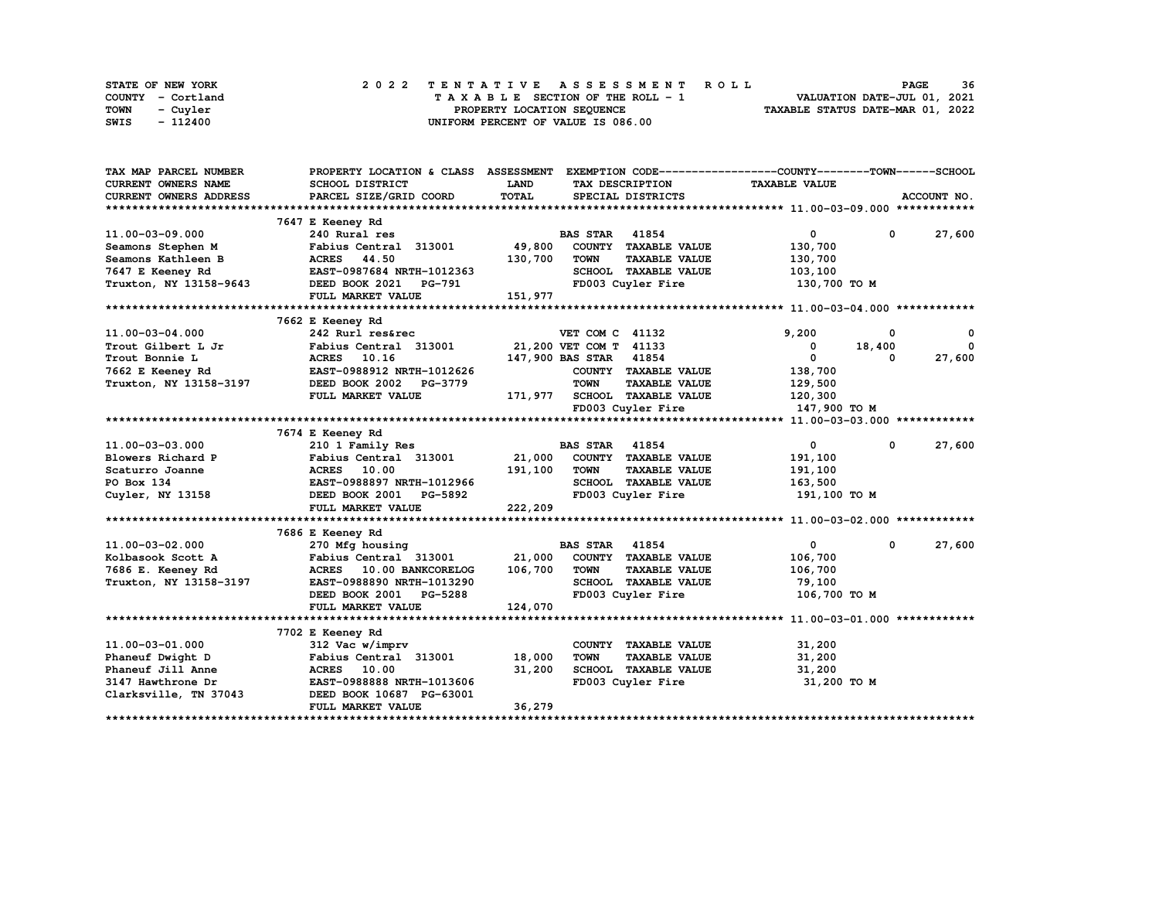| STATE OF NEW YORK | 2022 TENTATIVE ASSESSMENT ROLL          | 36<br><b>PAGE</b>                |
|-------------------|-----------------------------------------|----------------------------------|
| COUNTY - Cortland | $T A X A B L E$ SECTION OF THE ROLL - 1 | VALUATION DATE-JUL 01, 2021      |
| TOWN<br>- Cuyler  | PROPERTY LOCATION SEOUENCE              | TAXABLE STATUS DATE-MAR 01, 2022 |
| - 112400<br>SWIS  | UNIFORM PERCENT OF VALUE IS 086.00      |                                  |

| TAX MAP PARCEL NUMBER      | PROPERTY LOCATION & CLASS ASSESSMENT |             | EXEMPTION CODE------------------COUNTY-------TOWN------SCHOOL |                      |              |              |
|----------------------------|--------------------------------------|-------------|---------------------------------------------------------------|----------------------|--------------|--------------|
| <b>CURRENT OWNERS NAME</b> | <b>SCHOOL DISTRICT</b>               | <b>LAND</b> | TAX DESCRIPTION                                               | <b>TAXABLE VALUE</b> |              |              |
| CURRENT OWNERS ADDRESS     | PARCEL SIZE/GRID COORD               | TOTAL       | SPECIAL DISTRICTS                                             |                      |              | ACCOUNT NO.  |
|                            |                                      |             |                                                               |                      |              |              |
|                            | 7647 E Keeney Rd                     |             |                                                               |                      |              |              |
| 11.00-03-09.000            | 240 Rural res                        |             | <b>BAS STAR</b> 41854                                         | $\mathbf{0}$         | $\mathbf{0}$ | 27,600       |
| Seamons Stephen M          | Fabius Central 313001                | 49,800      | COUNTY TAXABLE VALUE                                          | 130,700              |              |              |
| Seamons Kathleen B         | <b>ACRES</b> 44.50                   | 130,700     | <b>TOWN</b><br><b>TAXABLE VALUE</b>                           | 130,700              |              |              |
| 7647 E Keeney Rd           | EAST-0987684 NRTH-1012363            |             | SCHOOL TAXABLE VALUE                                          | 103,100              |              |              |
| Truxton, NY 13158-9643     | DEED BOOK 2021 PG-791                |             | FD003 Cuyler Fire                                             | 130,700 TO M         |              |              |
|                            | FULL MARKET VALUE                    | 151,977     |                                                               |                      |              |              |
|                            |                                      |             |                                                               |                      |              |              |
|                            | 7662 E Keeney Rd                     |             |                                                               |                      |              |              |
| 11.00-03-04.000            | 242 Rurl res&rec                     |             | VET COM C 41132                                               | 9,200                | 0            | $\mathbf{o}$ |
| Trout Gilbert L Jr         | Fabius Central 313001                |             | 21,200 VET COM T 41133                                        | 0                    | 18,400       | $\mathbf{0}$ |
| Trout Bonnie L             | ACRES 10.16                          |             | 147,900 BAS STAR 41854                                        | $\mathbf{0}$         | 0            | 27,600       |
| 7662 E Keeney Rd           | EAST-0988912 NRTH-1012626            |             | COUNTY TAXABLE VALUE                                          | 138,700              |              |              |
| Truxton, NY 13158-3197     | DEED BOOK 2002 PG-3779               |             | <b>TOWN</b><br><b>TAXABLE VALUE</b>                           | 129,500              |              |              |
|                            | FULL MARKET VALUE                    |             | 171,977 SCHOOL TAXABLE VALUE                                  | 120,300              |              |              |
|                            |                                      |             | FD003 Cuyler Fire                                             | 147,900 TO M         |              |              |
|                            |                                      |             |                                                               |                      |              |              |
|                            | 7674 E Keeney Rd                     |             |                                                               |                      |              |              |
| 11.00-03-03.000            | 210 1 Family Res                     |             | <b>BAS STAR 41854</b>                                         | $\mathbf{0}$         | 0            | 27,600       |
| Blowers Richard P          | Fabius Central 313001                | 21,000      | COUNTY TAXABLE VALUE                                          | 191,100              |              |              |
| Scaturro Joanne            | ACRES 10.00                          | 191,100     | <b>TOWN</b><br><b>TAXABLE VALUE</b>                           | 191,100              |              |              |
| PO Box 134                 | EAST-0988897 NRTH-1012966            |             | SCHOOL TAXABLE VALUE                                          | 163,500              |              |              |
| Cuyler, NY 13158           | DEED BOOK 2001<br>PG-5892            |             | FD003 Cuyler Fire                                             | 191,100 TO M         |              |              |
|                            | FULL MARKET VALUE                    | 222,209     |                                                               |                      |              |              |
|                            |                                      |             |                                                               |                      |              |              |
|                            | 7686 E Keeney Rd                     |             |                                                               |                      |              |              |
| 11.00-03-02.000            | 270 Mfg housing                      |             | <b>BAS STAR 41854</b>                                         | $\mathbf{0}$         | $\mathbf{0}$ | 27,600       |
| Kolbasook Scott A          | Fabius Central 313001                | 21,000      | COUNTY TAXABLE VALUE                                          | 106,700              |              |              |
| 7686 E. Keeney Rd          | ACRES 10.00 BANKCORELOG              | 106,700     | <b>TOWN</b><br><b>TAXABLE VALUE</b>                           | 106,700              |              |              |
| Truxton, NY 13158-3197     | EAST-0988890 NRTH-1013290            |             | SCHOOL TAXABLE VALUE                                          | 79,100               |              |              |
|                            | DEED BOOK 2001 PG-5288               |             | FD003 Cuyler Fire                                             | 106,700 TO M         |              |              |
|                            | FULL MARKET VALUE                    | 124,070     |                                                               |                      |              |              |
|                            |                                      |             |                                                               |                      |              |              |
|                            | 7702 E Keeney Rd                     |             |                                                               |                      |              |              |
| 11.00-03-01.000            | 312 Vac w/imprv                      |             | COUNTY TAXABLE VALUE                                          | 31,200               |              |              |
| Phaneuf Dwight D           | Fabius Central 313001                | 18,000      | <b>TOWN</b><br><b>TAXABLE VALUE</b>                           | 31,200               |              |              |
| Phaneuf Jill Anne          | <b>ACRES</b> 10.00                   | 31,200      | SCHOOL TAXABLE VALUE                                          | 31,200               |              |              |
| 3147 Hawthrone Dr          | EAST-0988888 NRTH-1013606            |             | FD003 Cuyler Fire                                             | 31,200 TO M          |              |              |
| Clarksville, TN 37043      | DEED BOOK 10687 PG-63001             |             |                                                               |                      |              |              |
|                            | <b>FULL MARKET VALUE</b>             | 36,279      |                                                               |                      |              |              |
|                            |                                      |             |                                                               |                      |              |              |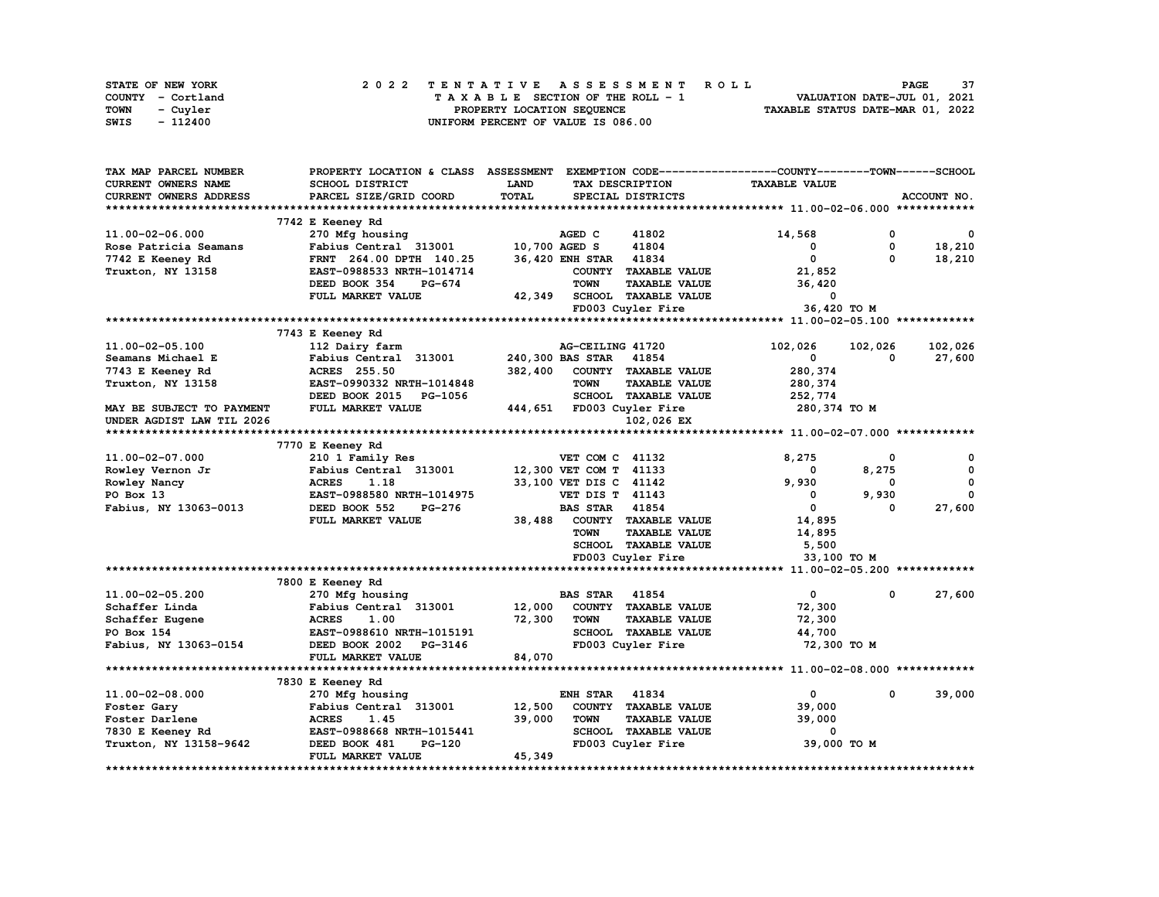| STATE OF NEW YORK | 2022 TENTATIVE ASSESSMENT ROLL     | 37<br><b>PAGE</b>                |
|-------------------|------------------------------------|----------------------------------|
| COUNTY - Cortland | TAXABLE SECTION OF THE ROLL - 1    | VALUATION DATE-JUL 01, 2021      |
| TOWN<br>- Cuvler  | PROPERTY LOCATION SEQUENCE         | TAXABLE STATUS DATE-MAR 01, 2022 |
| - 112400<br>SWIS  | UNIFORM PERCENT OF VALUE IS 086.00 |                                  |

| TAX MAP PARCEL NUMBER     | PROPERTY LOCATION & CLASS      | <b>ASSESSMENT</b> |                        |                             | EXEMPTION CODE-----------------COUNTY-------TOWN------SCHOOL |              |              |
|---------------------------|--------------------------------|-------------------|------------------------|-----------------------------|--------------------------------------------------------------|--------------|--------------|
| CURRENT OWNERS NAME       | <b>SCHOOL DISTRICT</b>         | <b>LAND</b>       |                        | TAX DESCRIPTION             | <b>TAXABLE VALUE</b>                                         |              |              |
| CURRENT OWNERS ADDRESS    | PARCEL SIZE/GRID COORD         | TOTAL             |                        | SPECIAL DISTRICTS           |                                                              |              | ACCOUNT NO.  |
|                           |                                |                   |                        |                             |                                                              |              |              |
|                           | 7742 E Keeney Rd               |                   |                        |                             |                                                              |              |              |
| 11.00-02-06.000           | 270 Mfg housing                |                   | AGED C                 | 41802                       | 14,568                                                       | 0            | $\mathbf{o}$ |
| Rose Patricia Seamans     | Fabius Central 313001          | 10,700 AGED S     |                        | 41804                       | 0                                                            | $\mathbf{o}$ | 18,210       |
| 7742 E Keeney Rd          | FRNT 264.00 DPTH 140.25        |                   | <b>36,420 ENH STAR</b> | 41834                       | 0                                                            | $\Omega$     | 18,210       |
| Truxton, NY 13158         | EAST-0988533 NRTH-1014714      |                   |                        | COUNTY TAXABLE VALUE        | 21,852                                                       |              |              |
|                           | DEED BOOK 354<br><b>PG-674</b> |                   | <b>TOWN</b>            | <b>TAXABLE VALUE</b>        | 36,420                                                       |              |              |
|                           | FULL MARKET VALUE              | 42,349            |                        | <b>SCHOOL TAXABLE VALUE</b> | 0                                                            |              |              |
|                           |                                |                   |                        | FD003 Cuyler Fire           | 36,420 ТО М                                                  |              |              |
|                           |                                |                   |                        |                             |                                                              |              |              |
|                           | 7743 E Keeney Rd               |                   |                        |                             |                                                              |              |              |
| 11.00-02-05.100           | 112 Dairy farm                 |                   | AG-CEILING 41720       |                             | 102,026                                                      | 102,026      | 102,026      |
| Seamans Michael E         | Fabius Central 313001          |                   | 240,300 BAS STAR       | 41854                       | 0                                                            | 0            | 27,600       |
| 7743 E Keeney Rd          | <b>ACRES</b> 255.50            | 382,400           | <b>COUNTY</b>          | <b>TAXABLE VALUE</b>        | 280,374                                                      |              |              |
| Truxton, NY 13158         | EAST-0990332 NRTH-1014848      |                   | <b>TOWN</b>            | <b>TAXABLE VALUE</b>        | 280,374                                                      |              |              |
|                           | DEED BOOK 2015<br>PG-1056      |                   |                        | SCHOOL TAXABLE VALUE        | 252,774                                                      |              |              |
| MAY BE SUBJECT TO PAYMENT | FULL MARKET VALUE              |                   |                        | 444,651 FD003 Cuyler Fire   | 280, 374 TO M                                                |              |              |
| UNDER AGDIST LAW TIL 2026 |                                |                   |                        | 102,026 EX                  |                                                              |              |              |
|                           |                                |                   |                        |                             |                                                              |              |              |
|                           | 7770 E Keeney Rd               |                   |                        |                             |                                                              |              |              |
| 11.00-02-07.000           | 210 1 Family Res               |                   | VET COM C 41132        |                             | 8,275                                                        | 0            | 0            |
| Rowley Vernon Jr          | Fabius Central 313001          |                   | 12,300 VET COM T 41133 |                             | 0                                                            | 8,275        | 0            |
| Rowley Nancy              | <b>ACRES</b><br>1.18           |                   | 33,100 VET DIS C 41142 |                             | 9,930                                                        | 0            | 0            |
| PO Box 13                 | EAST-0988580 NRTH-1014975      |                   | <b>VET DIS T 41143</b> |                             | 0                                                            | 9,930        | 0            |
| Fabius, NY 13063-0013     | DEED BOOK 552<br><b>PG-276</b> |                   | <b>BAS STAR</b>        | 41854                       | $\mathbf{0}$                                                 | 0            | 27,600       |
|                           | FULL MARKET VALUE              | 38,488            |                        | COUNTY TAXABLE VALUE        | 14,895                                                       |              |              |
|                           |                                |                   | <b>TOWN</b>            | <b>TAXABLE VALUE</b>        | 14,895                                                       |              |              |
|                           |                                |                   |                        | SCHOOL TAXABLE VALUE        | 5,500                                                        |              |              |
|                           |                                |                   |                        | FD003 Cuyler Fire           | 33,100 TO M                                                  |              |              |
|                           |                                |                   |                        |                             |                                                              |              |              |
|                           | 7800 E Keeney Rd               |                   |                        |                             |                                                              |              |              |
| 11.00-02-05.200           | 270 Mfg housing                |                   | <b>BAS STAR</b>        | 41854                       | $\mathbf 0$                                                  | 0            | 27,600       |
| Schaffer Linda            | Fabius Central 313001          | 12,000            |                        | COUNTY TAXABLE VALUE        | 72,300                                                       |              |              |
| Schaffer Eugene           | <b>ACRES</b><br>1.00           | 72,300            | <b>TOWN</b>            | <b>TAXABLE VALUE</b>        | 72,300                                                       |              |              |
| PO Box 154                | EAST-0988610 NRTH-1015191      |                   |                        | SCHOOL TAXABLE VALUE        | 44,700                                                       |              |              |
| Fabius, NY 13063-0154     | DEED BOOK 2002<br>PG-3146      |                   |                        | FD003 Cuyler Fire           | 72,300 TO M                                                  |              |              |
|                           | FULL MARKET VALUE              | 84,070            |                        |                             |                                                              |              |              |
|                           |                                |                   |                        |                             |                                                              |              |              |
|                           | 7830 E Keeney Rd               |                   |                        |                             |                                                              |              |              |
| 11.00-02-08.000           | 270 Mfg housing                |                   | ENH STAR               | 41834                       | 0                                                            | 0            | 39,000       |
| Foster Gary               | Fabius Central 313001          | 12,500            |                        | COUNTY TAXABLE VALUE        | 39,000                                                       |              |              |
| Foster Darlene            | <b>ACRES</b><br>1.45           | 39,000            | <b>TOWN</b>            | <b>TAXABLE VALUE</b>        | 39,000                                                       |              |              |
| 7830 E Keeney Rd          | EAST-0988668 NRTH-1015441      |                   |                        | SCHOOL TAXABLE VALUE        | 0                                                            |              |              |
| Truxton, NY 13158-9642    | <b>PG-120</b><br>DEED BOOK 481 |                   |                        | FD003 Cuyler Fire           | 39,000 TO M                                                  |              |              |
|                           | FULL MARKET VALUE              | 45,349            |                        |                             |                                                              |              |              |
|                           |                                |                   |                        |                             |                                                              |              |              |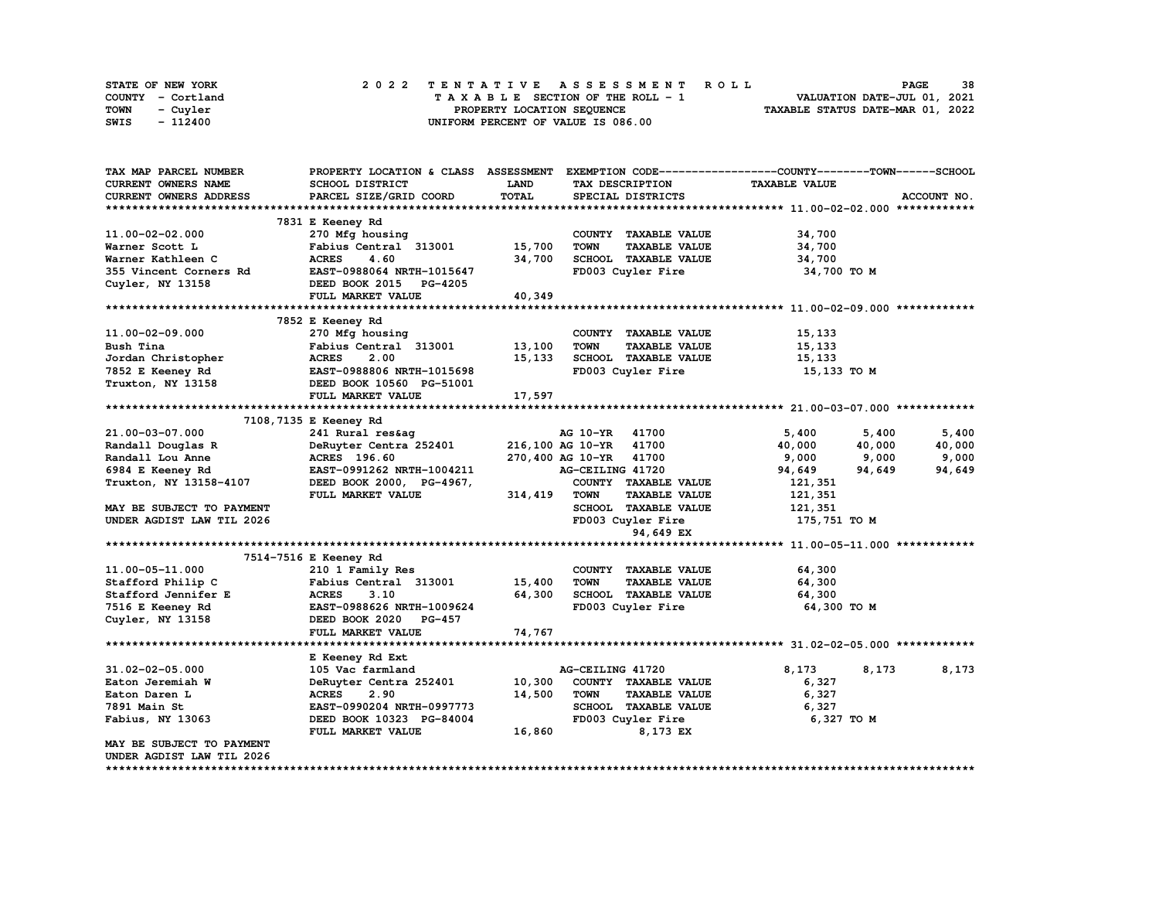| <b>STATE OF NEW YORK</b> | 2022 TENTATIVE ASSESSMENT ROLL     | 38<br><b>PAGE</b>                |
|--------------------------|------------------------------------|----------------------------------|
| COUNTY - Cortland        | TAXABLE SECTION OF THE ROLL - 1    | VALUATION DATE-JUL 01, 2021      |
| TOWN<br>- Cuyler         | PROPERTY LOCATION SEQUENCE         | TAXABLE STATUS DATE-MAR 01, 2022 |
| - 112400<br>SWIS         | UNIFORM PERCENT OF VALUE IS 086.00 |                                  |

| TAX MAP PARCEL NUMBER      | PROPERTY LOCATION & CLASS ASSESSMENT |             |                                     | EXEMPTION CODE-----------------COUNTY-------TOWN------SCHOOL |             |
|----------------------------|--------------------------------------|-------------|-------------------------------------|--------------------------------------------------------------|-------------|
| <b>CURRENT OWNERS NAME</b> | SCHOOL DISTRICT                      | <b>LAND</b> | TAX DESCRIPTION                     | <b>TAXABLE VALUE</b>                                         |             |
| CURRENT OWNERS ADDRESS     | PARCEL SIZE/GRID COORD               | TOTAL       | SPECIAL DISTRICTS                   |                                                              | ACCOUNT NO. |
|                            |                                      |             |                                     |                                                              |             |
|                            | 7831 E Keeney Rd                     |             |                                     |                                                              |             |
| 11.00-02-02.000            | 270 Mfg housing                      |             | COUNTY TAXABLE VALUE                | 34,700                                                       |             |
| Warner Scott L             | Fabius Central 313001                | 15,700      | <b>TOWN</b><br><b>TAXABLE VALUE</b> | 34,700                                                       |             |
| Warner Kathleen C          | <b>ACRES</b><br>4.60                 | 34,700      | SCHOOL TAXABLE VALUE                | 34,700                                                       |             |
| 355 Vincent Corners Rd     | EAST-0988064 NRTH-1015647            |             | FD003 Cuyler Fire                   | 34,700 TO M                                                  |             |
| Cuyler, NY 13158           | DEED BOOK 2015 PG-4205               |             |                                     |                                                              |             |
|                            | FULL MARKET VALUE                    | 40,349      |                                     |                                                              |             |
|                            |                                      |             |                                     |                                                              |             |
|                            | 7852 E Keeney Rd                     |             |                                     |                                                              |             |
| 11.00-02-09.000            | 270 Mfg housing                      |             | COUNTY TAXABLE VALUE                | 15,133                                                       |             |
| Bush Tina                  | Fabius Central 313001                | 13,100      | <b>TOWN</b><br><b>TAXABLE VALUE</b> | 15,133                                                       |             |
| Jordan Christopher         | 2.00<br><b>ACRES</b>                 | 15,133      | SCHOOL TAXABLE VALUE                | 15,133                                                       |             |
| 7852 E Keeney Rd           | EAST-0988806 NRTH-1015698            |             | FD003 Cuyler Fire                   | 15,133 TO M                                                  |             |
| Truxton, NY 13158          | DEED BOOK 10560 PG-51001             |             |                                     |                                                              |             |
|                            | FULL MARKET VALUE                    | 17,597      |                                     |                                                              |             |
|                            |                                      |             |                                     |                                                              |             |
|                            | 7108, 7135 E Keeney Rd               |             |                                     |                                                              |             |
| 21.00-03-07.000            | 241 Rural res&ag                     |             | AG 10-YR 41700                      | 5,400<br>5,400                                               | 5,400       |
| Randall Douglas R          | DeRuyter Centra 252401               |             | 216,100 AG 10-YR 41700              | 40,000<br>40,000                                             | 40,000      |
| Randall Lou Anne           | ACRES 196.60                         |             | 270,400 AG 10-YR 41700              | 9,000<br>9,000                                               | 9,000       |
| 6984 E Keeney Rd           | EAST-0991262 NRTH-1004211            |             | AG-CEILING 41720                    | 94,649<br>94,649                                             | 94,649      |
| Truxton, NY 13158-4107     | DEED BOOK 2000, PG-4967,             |             | COUNTY TAXABLE VALUE                | 121,351                                                      |             |
|                            | FULL MARKET VALUE                    | 314,419     | <b>TOWN</b><br><b>TAXABLE VALUE</b> | 121,351                                                      |             |
| MAY BE SUBJECT TO PAYMENT  |                                      |             | SCHOOL TAXABLE VALUE                | 121,351                                                      |             |
| UNDER AGDIST LAW TIL 2026  |                                      |             | FD003 Cuyler Fire                   | 175,751 TO M                                                 |             |
|                            |                                      |             | 94,649 EX                           |                                                              |             |
|                            |                                      |             |                                     |                                                              |             |
|                            | 7514-7516 E Keeney Rd                |             |                                     |                                                              |             |
| 11.00-05-11.000            | 210 1 Family Res                     |             | COUNTY TAXABLE VALUE                | 64,300                                                       |             |
| Stafford Philip C          | Fabius Central 313001                | 15,400      | <b>TOWN</b><br><b>TAXABLE VALUE</b> | 64,300                                                       |             |
| Stafford Jennifer E        | <b>ACRES</b><br>3.10                 | 64,300      | SCHOOL TAXABLE VALUE                | 64,300                                                       |             |
| 7516 E Keeney Rd           | EAST-0988626 NRTH-1009624            |             | FD003 Cuyler Fire                   | 64,300 TO M                                                  |             |
| Cuyler, NY 13158           | DEED BOOK 2020 PG-457                |             |                                     |                                                              |             |
|                            | FULL MARKET VALUE                    | 74,767      |                                     |                                                              |             |
|                            |                                      |             |                                     |                                                              |             |
|                            | E Keeney Rd Ext                      |             |                                     |                                                              |             |
| $31.02 - 02 - 05.000$      | 105 Vac farmland                     |             | AG-CEILING 41720                    | 8,173<br>8,173                                               | 8,173       |
| Eaton Jeremiah W           | DeRuyter Centra 252401               | 10,300      | COUNTY TAXABLE VALUE                | 6,327                                                        |             |
| Eaton Daren L              | <b>ACRES</b><br>2.90                 | 14,500      | <b>TOWN</b><br><b>TAXABLE VALUE</b> | 6,327                                                        |             |
| 7891 Main St               | EAST-0990204 NRTH-0997773            |             | SCHOOL TAXABLE VALUE                | 6,327                                                        |             |
| Fabius, NY 13063           | DEED BOOK 10323 PG-84004             |             | FD003 Cuyler Fire                   | 6,327 то м                                                   |             |
|                            | FULL MARKET VALUE                    | 16,860      | 8,173 EX                            |                                                              |             |
| MAY BE SUBJECT TO PAYMENT  |                                      |             |                                     |                                                              |             |
| UNDER AGDIST LAW TIL 2026  |                                      |             |                                     |                                                              |             |
|                            |                                      |             |                                     |                                                              |             |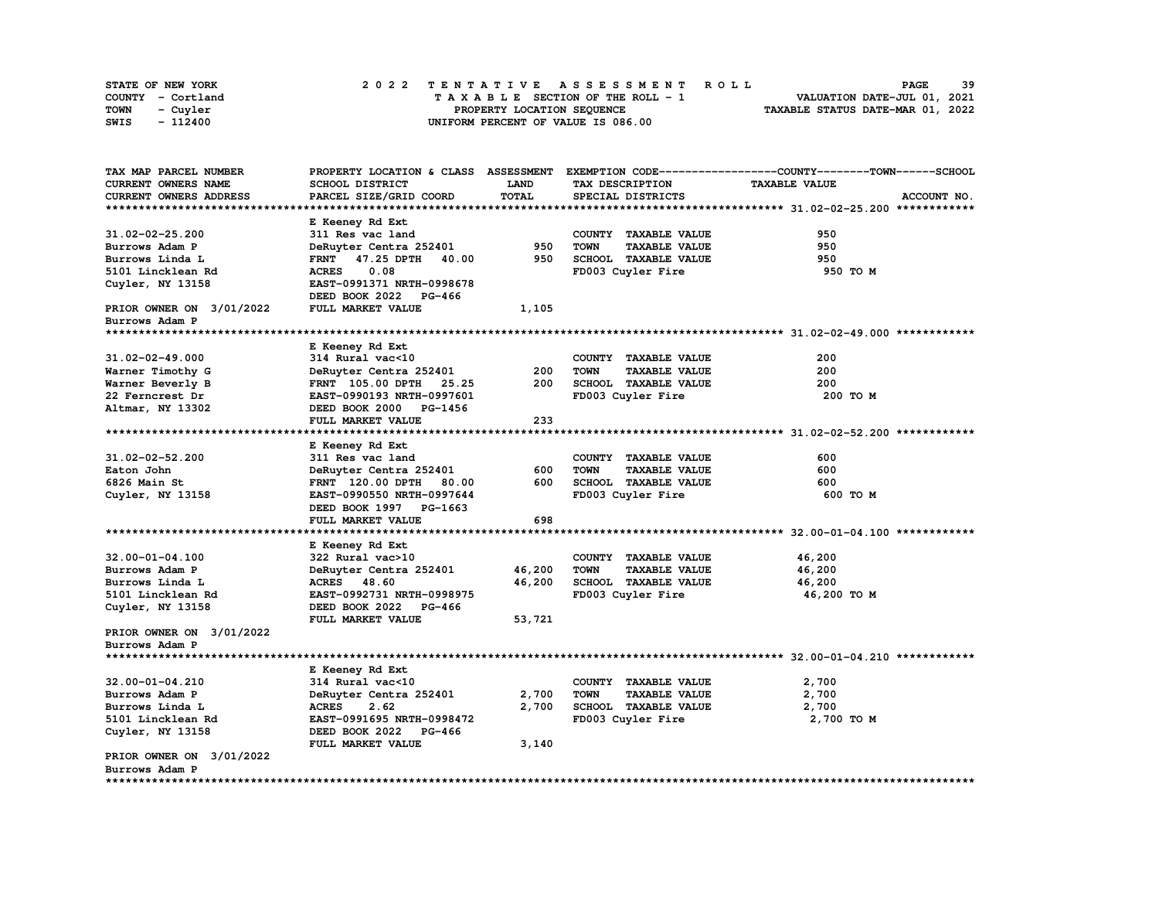| STATE OF NEW YORK | 2022 TENTATIVE ASSESSMENT ROLL     | -39<br><b>PAGE</b>               |
|-------------------|------------------------------------|----------------------------------|
| COUNTY - Cortland | TAXABLE SECTION OF THE ROLL - 1    | VALUATION DATE-JUL 01, 2021      |
| TOWN<br>- Cuvler  | PROPERTY LOCATION SEQUENCE         | TAXABLE STATUS DATE-MAR 01, 2022 |
| - 112400<br>SWIS  | UNIFORM PERCENT OF VALUE IS 086.00 |                                  |

| TAX MAP PARCEL NUMBER      | PROPERTY LOCATION & CLASS ASSESSMENT        |             |                                     | EXEMPTION CODE-----------------COUNTY-------TOWN------SCHOOL |
|----------------------------|---------------------------------------------|-------------|-------------------------------------|--------------------------------------------------------------|
| <b>CURRENT OWNERS NAME</b> | SCHOOL DISTRICT                             | <b>LAND</b> | TAX DESCRIPTION                     | <b>TAXABLE VALUE</b>                                         |
| CURRENT OWNERS ADDRESS     | PARCEL SIZE/GRID COORD                      | TOTAL       | SPECIAL DISTRICTS                   | ACCOUNT NO.                                                  |
|                            |                                             |             |                                     |                                                              |
|                            | E Keeney Rd Ext                             |             |                                     |                                                              |
| $31.02 - 02 - 25.200$      | 311 Res vac land                            |             | COUNTY TAXABLE VALUE                | 950                                                          |
| Burrows Adam P             | DeRuyter Centra 252401                      | 950         | <b>TOWN</b><br><b>TAXABLE VALUE</b> | 950                                                          |
| Burrows Linda L            | 40.00<br>47.25 DPTH<br><b>FRNT</b>          | 950         | SCHOOL TAXABLE VALUE                | 950                                                          |
| 5101 Lincklean Rd          | 0.08<br><b>ACRES</b>                        |             | FD003 Cuyler Fire                   | 950 TO M                                                     |
| Cuyler, NY 13158           | EAST-0991371 NRTH-0998678                   |             |                                     |                                                              |
|                            | DEED BOOK 2022<br>PG-466                    |             |                                     |                                                              |
| PRIOR OWNER ON 3/01/2022   | FULL MARKET VALUE                           | 1,105       |                                     |                                                              |
| Burrows Adam P             |                                             |             |                                     |                                                              |
|                            |                                             |             |                                     |                                                              |
|                            | E Keeney Rd Ext                             |             |                                     |                                                              |
| 31.02-02-49.000            | 314 Rural vac<10                            |             | COUNTY TAXABLE VALUE                | 200                                                          |
| Warner Timothy G           | DeRuyter Centra 252401                      | 200         | <b>TOWN</b><br><b>TAXABLE VALUE</b> | 200                                                          |
| Warner Beverly B           | FRNT 105.00 DPTH 25.25                      | 200         | <b>SCHOOL TAXABLE VALUE</b>         | 200                                                          |
| 22 Ferncrest Dr            | EAST-0990193 NRTH-0997601                   |             | FD003 Cuyler Fire                   | 200 TO M                                                     |
| Altmar, NY 13302           | DEED BOOK 2000 PG-1456                      |             |                                     |                                                              |
|                            | FULL MARKET VALUE                           | 233         |                                     |                                                              |
|                            |                                             |             |                                     |                                                              |
|                            | E Keeney Rd Ext                             |             |                                     |                                                              |
| 31.02-02-52.200            | 311 Res vac land                            |             | COUNTY TAXABLE VALUE                | 600                                                          |
| Eaton John                 | DeRuyter Centra 252401                      | 600         | <b>TOWN</b><br><b>TAXABLE VALUE</b> | 600                                                          |
| 6826 Main St               | <b>FRNT</b> 120.00 DPTH<br>80.00            | 600         | <b>SCHOOL TAXABLE VALUE</b>         | 600                                                          |
| Cuyler, NY 13158           | EAST-0990550 NRTH-0997644                   |             | FD003 Cuyler Fire                   | 600 TO M                                                     |
|                            |                                             |             |                                     |                                                              |
|                            | DEED BOOK 1997 PG-1663<br>FULL MARKET VALUE | 698         |                                     |                                                              |
|                            |                                             |             |                                     |                                                              |
|                            |                                             |             |                                     |                                                              |
|                            | E Keeney Rd Ext                             |             |                                     |                                                              |
| 32.00-01-04.100            | 322 Rural vac>10                            |             | COUNTY TAXABLE VALUE                | 46,200                                                       |
| Burrows Adam P             | DeRuyter Centra 252401                      | 46,200      | <b>TOWN</b><br><b>TAXABLE VALUE</b> | 46,200                                                       |
| Burrows Linda L            | ACRES 48.60                                 | 46,200      | SCHOOL TAXABLE VALUE                | 46,200                                                       |
| 5101 Lincklean Rd          | EAST-0992731 NRTH-0998975                   |             | FD003 Cuyler Fire                   | 46,200 TO M                                                  |
| Cuyler, NY 13158           | DEED BOOK 2022 PG-466                       |             |                                     |                                                              |
|                            | FULL MARKET VALUE                           | 53,721      |                                     |                                                              |
| PRIOR OWNER ON 3/01/2022   |                                             |             |                                     |                                                              |
| Burrows Adam P             |                                             |             |                                     |                                                              |
|                            |                                             |             |                                     |                                                              |
|                            | E Keeney Rd Ext                             |             |                                     |                                                              |
| 32.00-01-04.210            | 314 Rural vac<10                            |             | COUNTY TAXABLE VALUE                | 2,700                                                        |
| Burrows Adam P             | DeRuyter Centra 252401                      | 2,700       | <b>TOWN</b><br><b>TAXABLE VALUE</b> | 2,700                                                        |
| Burrows Linda L            | <b>ACRES</b><br>2.62                        | 2,700       | SCHOOL TAXABLE VALUE                | 2,700                                                        |
| 5101 Lincklean Rd          | EAST-0991695 NRTH-0998472                   |             | FD003 Cuyler Fire                   | 2,700 TO M                                                   |
| Cuyler, NY 13158           | DEED BOOK 2022 PG-466                       |             |                                     |                                                              |
|                            | FULL MARKET VALUE                           | 3,140       |                                     |                                                              |
| PRIOR OWNER ON 3/01/2022   |                                             |             |                                     |                                                              |
| Burrows Adam P             |                                             |             |                                     |                                                              |
|                            |                                             |             |                                     |                                                              |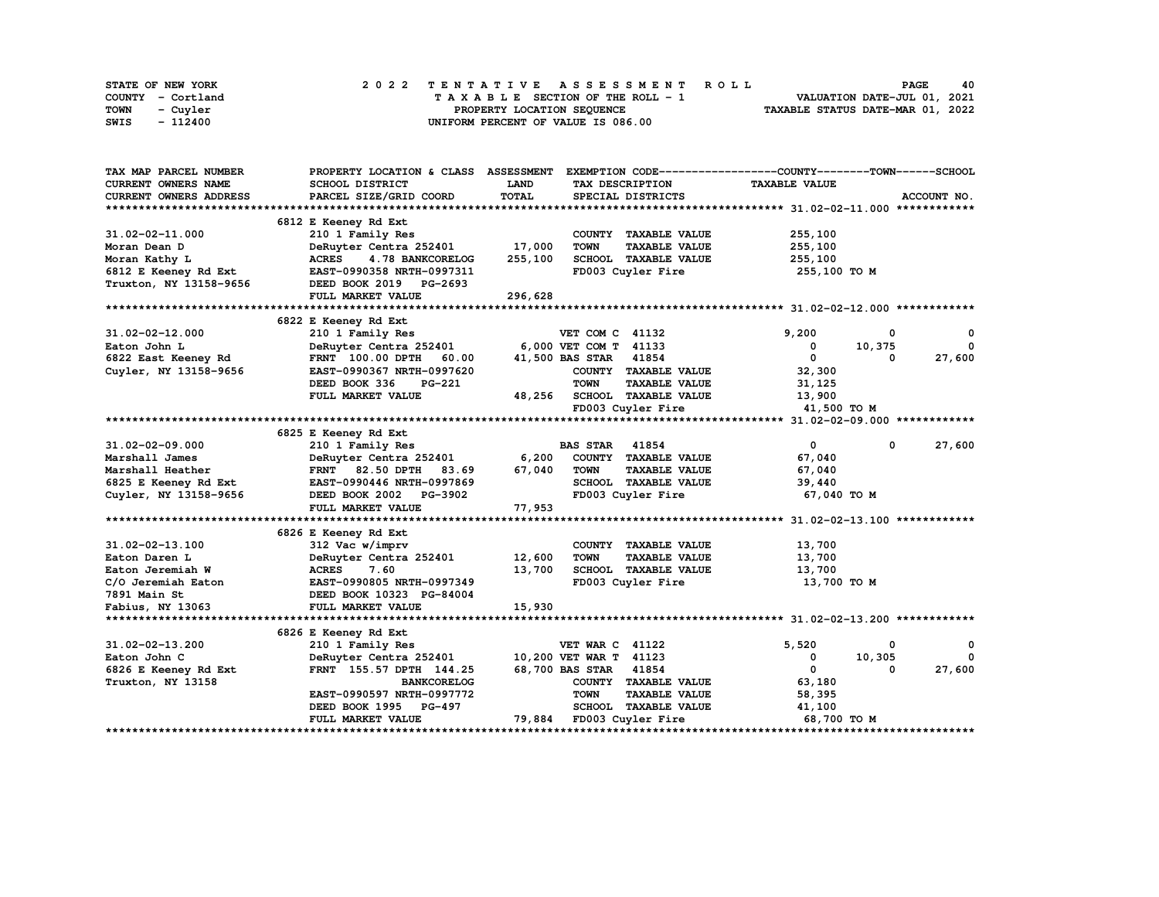| STATE OF NEW YORK | 2022 TENTATIVE ASSESSMENT ROLL          | 40<br><b>PAGE</b>                |
|-------------------|-----------------------------------------|----------------------------------|
| COUNTY - Cortland | $T A X A B L E$ SECTION OF THE ROLL - 1 | VALUATION DATE-JUL 01, 2021      |
| TOWN<br>- Cuyler  | PROPERTY LOCATION SEQUENCE              | TAXABLE STATUS DATE-MAR 01, 2022 |
| SWIS<br>- 112400  | UNIFORM PERCENT OF VALUE IS 086.00      |                                  |

| TAX MAP PARCEL NUMBER         | PROPERTY LOCATION & CLASS ASSESSMENT |             | EXEMPTION CODE-----------------COUNTY-------TOWN------SCHOOL |                      |                        |
|-------------------------------|--------------------------------------|-------------|--------------------------------------------------------------|----------------------|------------------------|
| CURRENT OWNERS NAME           | SCHOOL DISTRICT                      | <b>LAND</b> | TAX DESCRIPTION                                              | <b>TAXABLE VALUE</b> |                        |
| <b>CURRENT OWNERS ADDRESS</b> | PARCEL SIZE/GRID COORD               | TOTAL       | SPECIAL DISTRICTS                                            |                      | ACCOUNT NO.            |
|                               |                                      |             |                                                              |                      |                        |
|                               | 6812 E Keeney Rd Ext                 |             |                                                              |                      |                        |
| 31.02-02-11.000               | 210 1 Family Res                     |             | COUNTY TAXABLE VALUE                                         | 255,100              |                        |
| Moran Dean D                  | DeRuyter Centra 252401               | 17,000      | <b>TOWN</b><br><b>TAXABLE VALUE</b>                          | 255,100              |                        |
| Moran Kathy L                 | <b>ACRES</b><br>4.78 BANKCORELOG     | 255,100     | SCHOOL TAXABLE VALUE                                         | 255,100              |                        |
| 6812 E Keeney Rd Ext          | EAST-0990358 NRTH-0997311            |             | FD003 Cuyler Fire                                            | 255,100 TO M         |                        |
| Truxton, NY 13158-9656        | DEED BOOK 2019 PG-2693               |             |                                                              |                      |                        |
|                               | FULL MARKET VALUE                    | 296,628     |                                                              |                      |                        |
|                               |                                      |             |                                                              |                      |                        |
|                               | 6822 E Keeney Rd Ext                 |             |                                                              |                      |                        |
| 31.02-02-12.000               | 210 1 Family Res                     |             | <b>VET COM C 41132</b>                                       | 9,200                | 0<br>0                 |
| Eaton John L                  | DeRuyter Centra 252401               |             | 6,000 VET COM T 41133                                        | 0                    | $\mathbf{0}$<br>10,375 |
| 6822 East Keeney Rd           | <b>FRNT</b> 100.00 DPTH<br>60.00     |             | 41,500 BAS STAR 41854                                        | $\mathbf{0}$         | 27,600<br>0            |
| Cuyler, NY 13158-9656         | EAST-0990367 NRTH-0997620            |             | COUNTY TAXABLE VALUE                                         | 32,300               |                        |
|                               | DEED BOOK 336<br><b>PG-221</b>       |             | <b>TOWN</b><br><b>TAXABLE VALUE</b>                          | 31,125               |                        |
|                               | FULL MARKET VALUE                    | 48,256      | SCHOOL TAXABLE VALUE                                         | 13,900               |                        |
|                               |                                      |             | FD003 Cuyler Fire                                            | 41,500 TO M          |                        |
|                               |                                      |             |                                                              |                      |                        |
|                               | 6825 E Keeney Rd Ext                 |             |                                                              |                      |                        |
| $31.02 - 02 - 09.000$         | 210 1 Family Res                     |             | <b>BAS STAR</b> 41854                                        | $\mathbf{0}$         | $\mathbf{0}$<br>27,600 |
| Marshall James                | DeRuyter Centra 252401               | 6,200       | COUNTY TAXABLE VALUE                                         | 67,040               |                        |
| Marshall Heather              | FRNT 82.50 DPTH<br>83.69             | 67,040      | TOWN<br><b>TAXABLE VALUE</b>                                 | 67,040               |                        |
| 6825 E Keeney Rd Ext          | EAST-0990446 NRTH-0997869            |             | SCHOOL TAXABLE VALUE                                         | 39,440               |                        |
| Cuyler, NY 13158-9656         | DEED BOOK 2002 PG-3902               |             | FD003 Cuyler Fire                                            | 67,040 TO M          |                        |
|                               | FULL MARKET VALUE                    | 77,953      |                                                              |                      |                        |
|                               |                                      |             |                                                              |                      |                        |
|                               | 6826 E Keeney Rd Ext                 |             |                                                              |                      |                        |
| 31.02-02-13.100               | 312 Vac w/imprv                      |             | COUNTY TAXABLE VALUE                                         | 13,700               |                        |
| Eaton Daren L                 | DeRuyter Centra 252401               | 12,600      | <b>TOWN</b><br><b>TAXABLE VALUE</b>                          | 13,700               |                        |
| Eaton Jeremiah W              | <b>ACRES</b><br>7.60                 | 13,700      | SCHOOL TAXABLE VALUE                                         | 13,700               |                        |
| C/O Jeremiah Eaton            | EAST-0990805 NRTH-0997349            |             | FD003 Cuyler Fire                                            | 13,700 TO M          |                        |
| 7891 Main St                  | DEED BOOK 10323 PG-84004             |             |                                                              |                      |                        |
| Fabius, NY 13063              | FULL MARKET VALUE                    | 15,930      |                                                              |                      |                        |
|                               |                                      |             |                                                              |                      |                        |
|                               | 6826 E Keeney Rd Ext                 |             |                                                              |                      |                        |
| 31.02-02-13.200               | 210 1 Family Res                     |             | <b>VET WAR C 41122</b>                                       | 5,520                | 0<br>0                 |
| Eaton John C                  | DeRuyter Centra 252401               |             | 10,200 VET WAR T 41123                                       | 0                    | $\Omega$<br>10,305     |
| 6826 E Keeney Rd Ext          | FRNT 155.57 DPTH 144.25              |             | 68,700 BAS STAR 41854                                        | $\mathbf 0$          | 27,600<br>$\Omega$     |
| Truxton, NY 13158             | <b>BANKCORELOG</b>                   |             | COUNTY TAXABLE VALUE                                         | 63,180               |                        |
|                               | EAST-0990597 NRTH-0997772            |             | <b>TOWN</b><br><b>TAXABLE VALUE</b>                          | 58,395               |                        |
|                               | DEED BOOK 1995 PG-497                |             | SCHOOL TAXABLE VALUE                                         | 41,100               |                        |
|                               | FULL MARKET VALUE                    |             | 79,884 FD003 Cuyler Fire                                     | 68,700 TO M          |                        |
|                               |                                      |             |                                                              |                      |                        |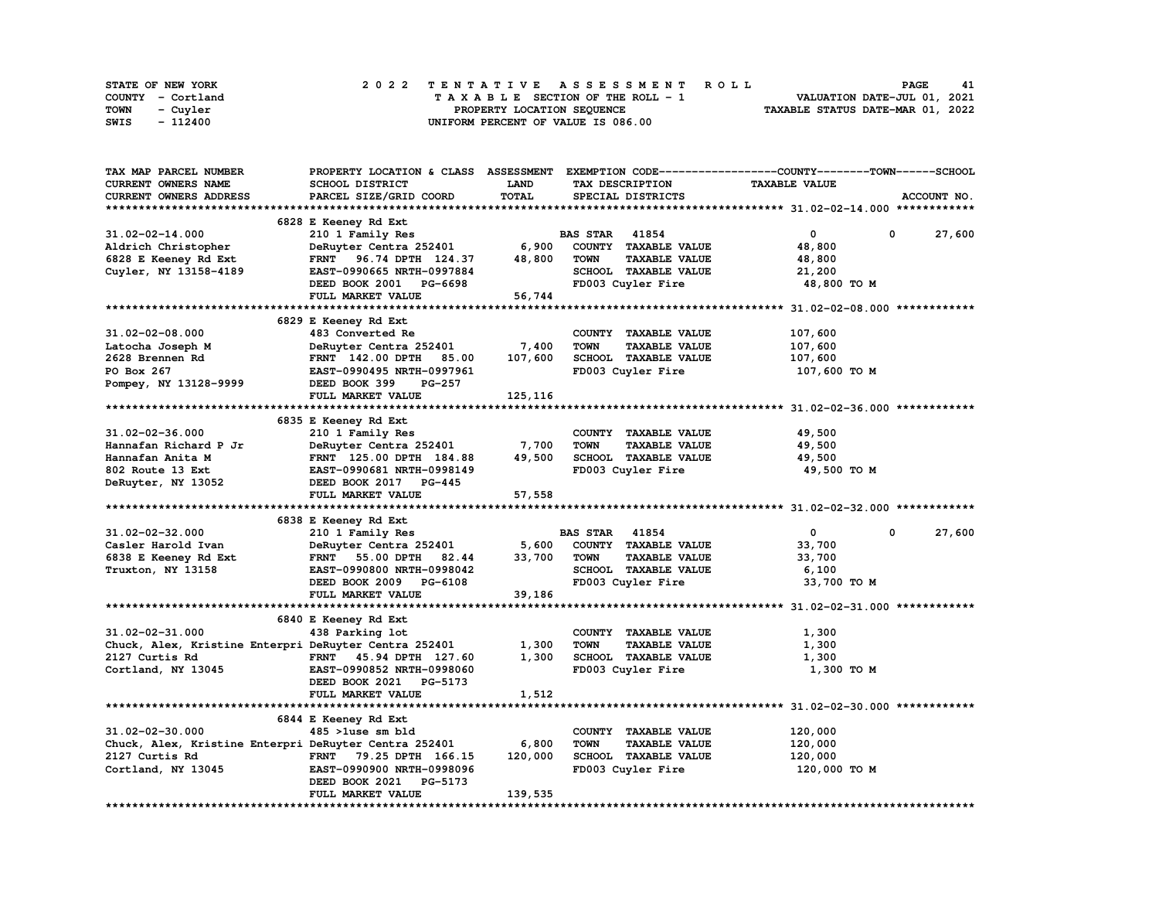| STATE OF NEW YORK | 2022 TENTATIVE ASSESSMENT ROLL     | <b>PAGE</b><br>41                |
|-------------------|------------------------------------|----------------------------------|
| COUNTY - Cortland | TAXABLE SECTION OF THE ROLL - 1    | VALUATION DATE-JUL 01, 2021      |
| TOWN<br>- Cuvler  | PROPERTY LOCATION SEQUENCE         | TAXABLE STATUS DATE-MAR 01, 2022 |
| - 112400<br>SWIS  | UNIFORM PERCENT OF VALUE IS 086.00 |                                  |

| TAX MAP PARCEL NUMBER                                 |                              |             |                                     | PROPERTY LOCATION & CLASS ASSESSMENT EXEMPTION CODE----------------COUNTY-------TOWN-----SCHOOL |                      |
|-------------------------------------------------------|------------------------------|-------------|-------------------------------------|-------------------------------------------------------------------------------------------------|----------------------|
| <b>CURRENT OWNERS NAME</b>                            | SCHOOL DISTRICT              | <b>LAND</b> | TAX DESCRIPTION                     | <b>TAXABLE VALUE</b>                                                                            |                      |
| CURRENT OWNERS ADDRESS                                | PARCEL SIZE/GRID COORD       | TOTAL       | SPECIAL DISTRICTS                   |                                                                                                 | ACCOUNT NO.          |
|                                                       |                              |             |                                     |                                                                                                 |                      |
|                                                       | 6828 E Keeney Rd Ext         |             |                                     |                                                                                                 |                      |
| 31.02-02-14.000                                       |                              |             | <b>BAS STAR 41854</b>               | $\mathbf 0$                                                                                     | 0                    |
|                                                       | 210 1 Family Res             |             |                                     |                                                                                                 | 27,600               |
| Aldrich Christopher                                   | DeRuyter Centra 252401       | 6,900       | COUNTY TAXABLE VALUE                | 48,800                                                                                          |                      |
| 6828 E Keeney Rd Ext                                  | FRNT 96.74 DPTH 124.37       | 48,800      | <b>TOWN</b><br><b>TAXABLE VALUE</b> | 48,800                                                                                          |                      |
| Cuyler, NY 13158-4189                                 | EAST-0990665 NRTH-0997884    |             | SCHOOL TAXABLE VALUE                | 21,200                                                                                          |                      |
|                                                       | DEED BOOK 2001 PG-6698       |             | FD003 Cuyler Fire                   | 48,800 TO M                                                                                     |                      |
|                                                       | FULL MARKET VALUE            | 56,744      |                                     |                                                                                                 |                      |
|                                                       |                              |             |                                     |                                                                                                 |                      |
|                                                       | 6829 E Keeney Rd Ext         |             |                                     |                                                                                                 |                      |
| $31.02 - 02 - 08.000$                                 | 483 Converted Re             |             | COUNTY TAXABLE VALUE                | 107,600                                                                                         |                      |
| Latocha Joseph M                                      | DeRuyter Centra 252401       | 7,400       | <b>TOWN</b><br><b>TAXABLE VALUE</b> | 107,600                                                                                         |                      |
| 2628 Brennen Rd                                       | FRNT 142.00 DPTH 85.00       | 107,600     | SCHOOL TAXABLE VALUE                | 107,600                                                                                         |                      |
| PO Box 267                                            | EAST-0990495 NRTH-0997961    |             | FD003 Cuyler Fire                   | 107,600 то м                                                                                    |                      |
| Pompey, NY 13128-9999                                 | DEED BOOK 399<br>PG-257      |             |                                     |                                                                                                 |                      |
|                                                       | FULL MARKET VALUE            | 125,116     |                                     |                                                                                                 |                      |
|                                                       |                              |             |                                     |                                                                                                 |                      |
|                                                       | 6835 E Keeney Rd Ext         |             |                                     |                                                                                                 |                      |
| 31.02-02-36.000                                       | 210 1 Family Res             |             | COUNTY TAXABLE VALUE                | 49,500                                                                                          |                      |
|                                                       | DeRuyter Centra 252401 7,700 |             |                                     |                                                                                                 |                      |
| Hannafan Richard P Jr                                 |                              |             | <b>TOWN</b><br><b>TAXABLE VALUE</b> | 49,500                                                                                          |                      |
| Hannafan Anita M                                      | FRNT 125.00 DPTH 184.88      | 49,500      | SCHOOL TAXABLE VALUE                | 49,500                                                                                          |                      |
| 802 Route 13 Ext                                      | EAST-0990681 NRTH-0998149    |             | FD003 Cuyler Fire                   | 49,500 TO M                                                                                     |                      |
| DeRuyter, NY 13052                                    | DEED BOOK 2017 PG-445        |             |                                     |                                                                                                 |                      |
|                                                       | FULL MARKET VALUE            | 57,558      |                                     |                                                                                                 |                      |
|                                                       |                              |             |                                     |                                                                                                 |                      |
|                                                       | 6838 E Keeney Rd Ext         |             |                                     |                                                                                                 |                      |
| 31.02-02-32.000                                       | 210 1 Family Res             |             | <b>BAS STAR 41854</b>               | $\mathbf{0}$                                                                                    | 27,600<br>$^{\circ}$ |
| Casler Harold Ivan                                    | DeRuyter Centra 252401       | 5,600       | COUNTY TAXABLE VALUE                | 33,700                                                                                          |                      |
| 6838 E Keeney Rd Ext                                  | FRNT 55.00 DPTH<br>82.44     | 33,700      | <b>TOWN</b><br><b>TAXABLE VALUE</b> | 33,700                                                                                          |                      |
| Truxton, NY 13158                                     | EAST-0990800 NRTH-0998042    |             | SCHOOL TAXABLE VALUE                | 6,100                                                                                           |                      |
|                                                       | DEED BOOK 2009 PG-6108       |             | FD003 Cuyler Fire                   | 33,700 TO M                                                                                     |                      |
|                                                       | FULL MARKET VALUE            | 39,186      |                                     |                                                                                                 |                      |
|                                                       |                              |             |                                     |                                                                                                 |                      |
|                                                       | 6840 E Keeney Rd Ext         |             |                                     |                                                                                                 |                      |
| 31.02-02-31.000                                       | 438 Parking lot              |             | COUNTY TAXABLE VALUE                | 1,300                                                                                           |                      |
| Chuck, Alex, Kristine Enterpri DeRuyter Centra 252401 |                              | 1,300       | <b>TOWN</b><br><b>TAXABLE VALUE</b> | 1,300                                                                                           |                      |
| 2127 Curtis Rd                                        | FRNT 45.94 DPTH 127.60       | 1,300       | SCHOOL TAXABLE VALUE                | 1,300                                                                                           |                      |
|                                                       | EAST-0990852 NRTH-0998060    |             | FD003 Cuyler Fire                   | 1,300 то м                                                                                      |                      |
| Cortland, NY 13045                                    |                              |             |                                     |                                                                                                 |                      |
|                                                       | DEED BOOK 2021 PG-5173       |             |                                     |                                                                                                 |                      |
|                                                       | FULL MARKET VALUE            | 1,512       |                                     |                                                                                                 |                      |
|                                                       |                              |             |                                     |                                                                                                 |                      |
|                                                       | 6844 E Keeney Rd Ext         |             |                                     |                                                                                                 |                      |
| $31.02 - 02 - 30.000$                                 | $485$ > luse sm bld          |             | COUNTY TAXABLE VALUE                | 120,000                                                                                         |                      |
| Chuck, Alex, Kristine Enterpri DeRuyter Centra 252401 |                              | 6,800       | <b>TOWN</b><br><b>TAXABLE VALUE</b> | 120,000                                                                                         |                      |
| 2127 Curtis Rd                                        | FRNT 79.25 DPTH 166.15       | 120,000     | SCHOOL TAXABLE VALUE                | 120,000                                                                                         |                      |
| Cortland, NY 13045                                    | EAST-0990900 NRTH-0998096    |             | FD003 Cuyler Fire                   | 120,000 TO M                                                                                    |                      |
|                                                       | DEED BOOK 2021 PG-5173       |             |                                     |                                                                                                 |                      |
|                                                       | FULL MARKET VALUE            | 139,535     |                                     |                                                                                                 |                      |
|                                                       |                              |             |                                     |                                                                                                 |                      |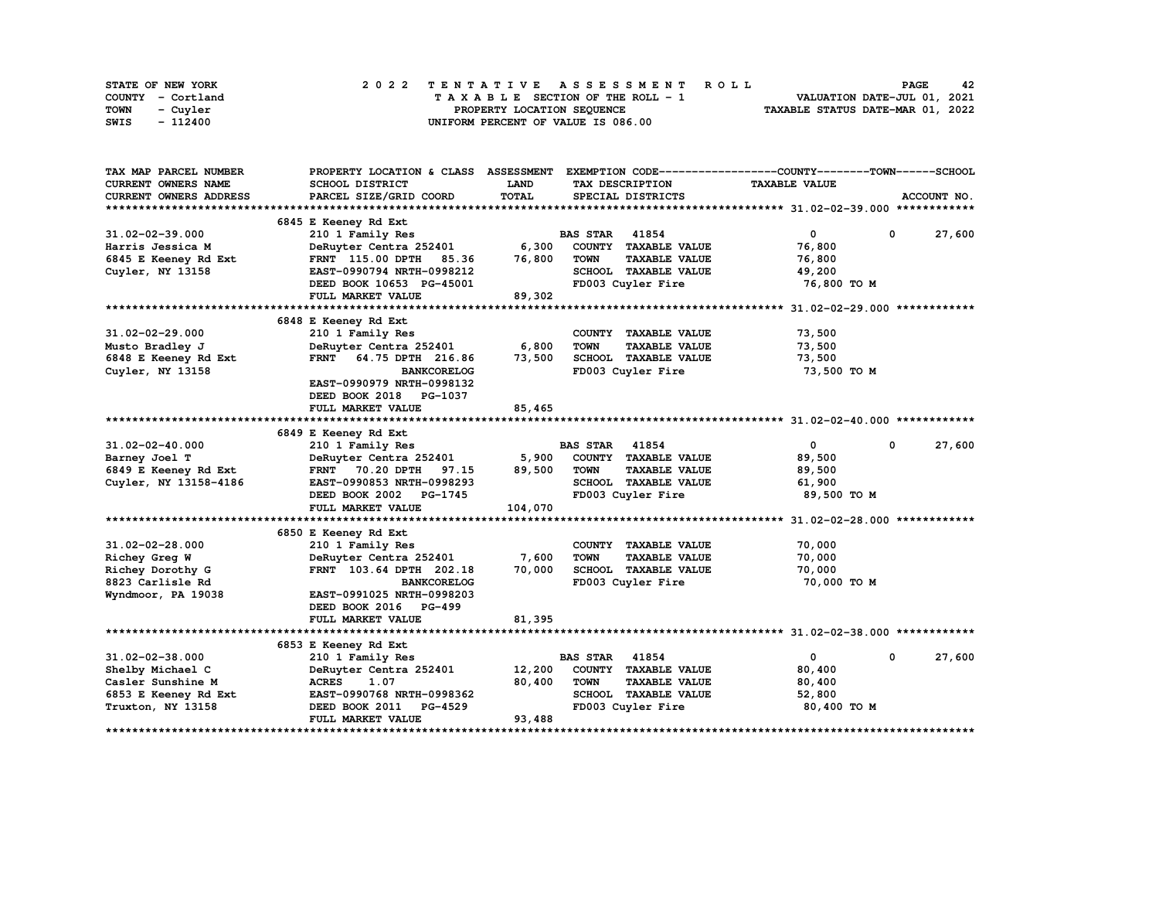| STATE OF NEW YORK | 2022 TENTATIVE ASSESSMENT ROLL     | 42<br><b>PAGE</b>                |
|-------------------|------------------------------------|----------------------------------|
| COUNTY - Cortland | TAXABLE SECTION OF THE ROLL - 1    | VALUATION DATE-JUL 01, 2021      |
| TOWN<br>- Cuvler  | PROPERTY LOCATION SEQUENCE         | TAXABLE STATUS DATE-MAR 01, 2022 |
| - 112400<br>SWIS  | UNIFORM PERCENT OF VALUE IS 086.00 |                                  |

| TAX MAP PARCEL NUMBER         | PROPERTY LOCATION & CLASS ASSESSMENT |              |                                     | EXEMPTION CODE-----------------COUNTY-------TOWN------SCHOOL |                       |
|-------------------------------|--------------------------------------|--------------|-------------------------------------|--------------------------------------------------------------|-----------------------|
| CURRENT OWNERS NAME           | SCHOOL DISTRICT                      | LAND         | TAX DESCRIPTION                     | <b>TAXABLE VALUE</b>                                         |                       |
| <b>CURRENT OWNERS ADDRESS</b> | PARCEL SIZE/GRID COORD               | <b>TOTAL</b> | SPECIAL DISTRICTS                   |                                                              | ACCOUNT NO.           |
|                               |                                      |              |                                     |                                                              |                       |
|                               | 6845 E Keeney Rd Ext                 |              |                                     |                                                              |                       |
| 31.02-02-39.000               | 210 1 Family Res                     |              | <b>BAS STAR 41854</b>               | $\mathbf{0}$                                                 | $^{\circ}$<br>27,600  |
| Harris Jessica M              | DeRuyter Centra 252401               | 6,300        | COUNTY TAXABLE VALUE                | 76,800                                                       |                       |
| 6845 E Keeney Rd Ext          | <b>FRNT</b> 115.00 DPTH<br>85.36     | 76,800       | <b>TOWN</b><br><b>TAXABLE VALUE</b> | 76,800                                                       |                       |
| Cuyler, NY 13158              | EAST-0990794 NRTH-0998212            |              | SCHOOL TAXABLE VALUE                | 49,200                                                       |                       |
|                               | DEED BOOK 10653 PG-45001             |              | FD003 Cuyler Fire                   | 76,800 TO M                                                  |                       |
|                               | FULL MARKET VALUE                    | 89,302       |                                     |                                                              |                       |
|                               |                                      |              |                                     |                                                              |                       |
|                               | 6848 E Keeney Rd Ext                 |              |                                     |                                                              |                       |
| $31.02 - 02 - 29.000$         | 210 1 Family Res                     |              | COUNTY TAXABLE VALUE                | 73,500                                                       |                       |
| Musto Bradley J               | DeRuyter Centra 252401               | 6,800        | <b>TOWN</b><br><b>TAXABLE VALUE</b> | 73,500                                                       |                       |
| 6848 E Keeney Rd Ext          | FRNT 64.75 DPTH 216.86               | 73,500       | SCHOOL TAXABLE VALUE                | 73,500                                                       |                       |
| Cuyler, NY 13158              | <b>BANKCORELOG</b>                   |              | FD003 Cuyler Fire                   | 73,500 TO M                                                  |                       |
|                               | EAST-0990979 NRTH-0998132            |              |                                     |                                                              |                       |
|                               | DEED BOOK 2018<br><b>PG-1037</b>     |              |                                     |                                                              |                       |
|                               | FULL MARKET VALUE                    | 85,465       |                                     |                                                              |                       |
|                               |                                      |              |                                     |                                                              |                       |
|                               | 6849 E Keeney Rd Ext                 |              |                                     |                                                              |                       |
| 31.02-02-40.000               | 210 1 Family Res                     |              | <b>BAS STAR 41854</b>               | $\mathbf{0}$                                                 | $\mathbf 0$<br>27,600 |
| Barney Joel T                 | DeRuyter Centra 252401               | 5,900        | COUNTY TAXABLE VALUE                | 89,500                                                       |                       |
| 6849 E Keeney Rd Ext          | FRNT 70.20 DPTH<br>97.15             | 89,500       | TOWN<br><b>TAXABLE VALUE</b>        | 89,500                                                       |                       |
| Cuyler, NY 13158-4186         | EAST-0990853 NRTH-0998293            |              | SCHOOL TAXABLE VALUE                | 61,900                                                       |                       |
|                               | DEED BOOK 2002 PG-1745               |              | FD003 Cuyler Fire                   | 89,500 TO M                                                  |                       |
|                               | FULL MARKET VALUE                    | 104,070      |                                     |                                                              |                       |
|                               |                                      |              |                                     |                                                              |                       |
|                               | 6850 E Keeney Rd Ext                 |              |                                     |                                                              |                       |
| $31.02 - 02 - 28.000$         | 210 1 Family Res                     |              | COUNTY TAXABLE VALUE                | 70,000                                                       |                       |
| <b>Richey Greg W</b>          | DeRuyter Centra 252401               | 7,600        | <b>TOWN</b><br><b>TAXABLE VALUE</b> | 70,000                                                       |                       |
| Richey Dorothy G              | FRNT 103.64 DPTH 202.18              | 70,000       | SCHOOL TAXABLE VALUE                | 70,000                                                       |                       |
| 8823 Carlisle Rd              | <b>BANKCORELOG</b>                   |              | FD003 Cuyler Fire                   | 70,000 TO M                                                  |                       |
| Wyndmoor, PA 19038            | EAST-0991025 NRTH-0998203            |              |                                     |                                                              |                       |
|                               | DEED BOOK 2016 PG-499                |              |                                     |                                                              |                       |
|                               | FULL MARKET VALUE                    | 81,395       |                                     |                                                              |                       |
|                               |                                      |              |                                     |                                                              |                       |
|                               | 6853 E Keeney Rd Ext                 |              |                                     |                                                              |                       |
| 31.02-02-38.000               | 210 1 Family Res                     |              | <b>BAS STAR 41854</b>               | $\mathbf{0}$                                                 | $^{\circ}$<br>27,600  |
| Shelby Michael C              | DeRuyter Centra 252401               | 12,200       | COUNTY TAXABLE VALUE                | 80,400                                                       |                       |
| Casler Sunshine M             | ACRES<br>1.07                        | 80,400       | <b>TOWN</b><br><b>TAXABLE VALUE</b> | 80,400                                                       |                       |
| 6853 E Keeney Rd Ext          | EAST-0990768 NRTH-0998362            |              | SCHOOL TAXABLE VALUE                | 52,800                                                       |                       |
| Truxton, NY 13158             | DEED BOOK 2011 PG-4529               |              | FD003 Cuyler Fire                   | 80,400 TO M                                                  |                       |
|                               | FULL MARKET VALUE                    | 93,488       |                                     |                                                              |                       |
|                               |                                      |              |                                     | **************************************                       |                       |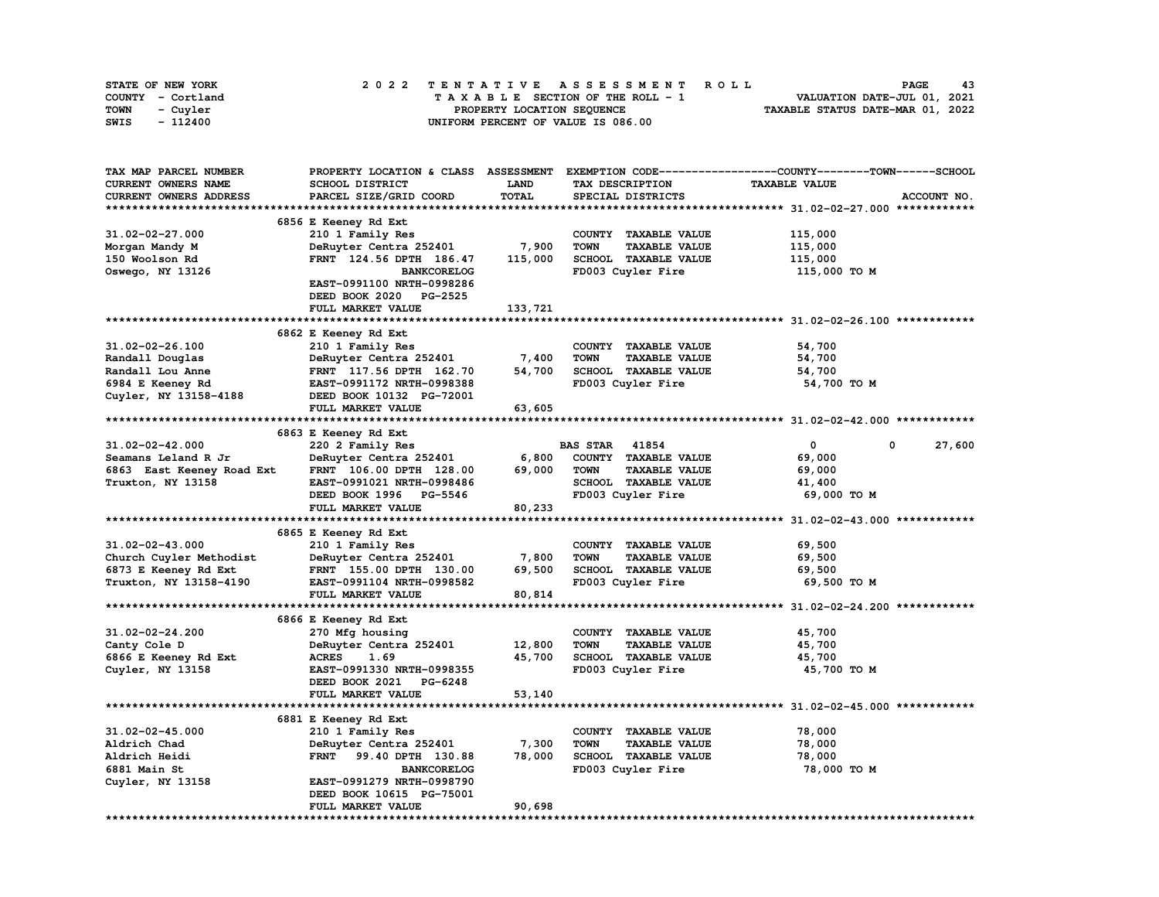|      | STATE OF NEW YORK |  | 2022 TENTATIVE ASSESSMENT ROLL |  |  |  |                                    |  |  |  |  |  |  |                                  | <b>PAGE</b> | 43 |
|------|-------------------|--|--------------------------------|--|--|--|------------------------------------|--|--|--|--|--|--|----------------------------------|-------------|----|
|      | COUNTY - Cortland |  |                                |  |  |  | TAXABLE SECTION OF THE ROLL - 1    |  |  |  |  |  |  | VALUATION DATE-JUL 01, 2021      |             |    |
| TOWN | - Cuvler          |  |                                |  |  |  | PROPERTY LOCATION SEQUENCE         |  |  |  |  |  |  | TAXABLE STATUS DATE-MAR 01, 2022 |             |    |
| SWIS | - 112400          |  |                                |  |  |  | UNIFORM PERCENT OF VALUE IS 086.00 |  |  |  |  |  |  |                                  |             |    |

| TAX MAP PARCEL NUMBER      | PROPERTY LOCATION & CLASS ASSESSMENT |             |                                     | EXEMPTION CODE-----------------COUNTY-------TOWN------SCHOOL |             |
|----------------------------|--------------------------------------|-------------|-------------------------------------|--------------------------------------------------------------|-------------|
| <b>CURRENT OWNERS NAME</b> | SCHOOL DISTRICT                      | <b>LAND</b> | TAX DESCRIPTION                     | <b>TAXABLE VALUE</b>                                         |             |
| CURRENT OWNERS ADDRESS     | PARCEL SIZE/GRID COORD               | TOTAL       | SPECIAL DISTRICTS                   |                                                              | ACCOUNT NO. |
|                            |                                      |             |                                     |                                                              |             |
|                            | 6856 E Keeney Rd Ext                 |             |                                     |                                                              |             |
| $31.02 - 02 - 27.000$      | 210 1 Family Res                     |             | COUNTY TAXABLE VALUE                | 115,000                                                      |             |
| Morgan Mandy M             | DeRuyter Centra 252401               | 7,900       | <b>TAXABLE VALUE</b><br><b>TOWN</b> | 115,000                                                      |             |
| 150 Woolson Rd             | FRNT 124.56 DPTH 186.47              | 115,000     | SCHOOL TAXABLE VALUE                | 115,000                                                      |             |
| Oswego, NY 13126           | <b>BANKCORELOG</b>                   |             | FD003 Cuyler Fire                   | 115,000 TO M                                                 |             |
|                            | EAST-0991100 NRTH-0998286            |             |                                     |                                                              |             |
|                            | DEED BOOK 2020 PG-2525               |             |                                     |                                                              |             |
|                            | FULL MARKET VALUE                    | 133,721     |                                     |                                                              |             |
|                            |                                      |             |                                     |                                                              |             |
|                            | 6862 E Keeney Rd Ext                 |             |                                     |                                                              |             |
| 31.02-02-26.100            | 210 1 Family Res                     |             | COUNTY TAXABLE VALUE                | 54,700                                                       |             |
| Randall Douglas            | DeRuyter Centra 252401               | 7,400       | <b>TOWN</b><br><b>TAXABLE VALUE</b> | 54,700                                                       |             |
| Randall Lou Anne           | FRNT 117.56 DPTH 162.70              | 54,700      | SCHOOL TAXABLE VALUE                | 54,700                                                       |             |
| 6984 E Keeney Rd           | EAST-0991172 NRTH-0998388            |             | FD003 Cuyler Fire                   | 54,700 TO M                                                  |             |
| Cuyler, NY 13158-4188      | DEED BOOK 10132 PG-72001             |             |                                     |                                                              |             |
|                            | FULL MARKET VALUE                    | 63,605      |                                     |                                                              |             |
|                            |                                      |             |                                     |                                                              |             |
|                            | 6863 E Keeney Rd Ext                 |             |                                     |                                                              |             |
| 31.02-02-42.000            | 220 2 Family Res                     |             | 41854<br><b>BAS STAR</b>            | 0<br>0                                                       | 27,600      |
| Seamans Leland R Jr        | DeRuyter Centra 252401               | 6,800       | COUNTY TAXABLE VALUE                | 69,000                                                       |             |
| 6863 East Keeney Road Ext  | FRNT 106.00 DPTH 128.00              | 69,000      | <b>TOWN</b><br><b>TAXABLE VALUE</b> | 69,000                                                       |             |
| Truxton, NY 13158          | EAST-0991021 NRTH-0998486            |             | SCHOOL TAXABLE VALUE                | 41,400                                                       |             |
|                            | DEED BOOK 1996 PG-5546               |             | FD003 Cuyler Fire                   | 69,000 TO M                                                  |             |
|                            | FULL MARKET VALUE                    | 80,233      |                                     |                                                              |             |
|                            |                                      |             |                                     |                                                              |             |
|                            | 6865 E Keeney Rd Ext                 |             |                                     |                                                              |             |
| 31.02-02-43.000            | 210 1 Family Res                     |             | COUNTY TAXABLE VALUE                | 69,500                                                       |             |
| Church Cuyler Methodist    | DeRuyter Centra 252401               | 7,800       | <b>TOWN</b><br><b>TAXABLE VALUE</b> | 69,500                                                       |             |
| 6873 E Keeney Rd Ext       | FRNT 155.00 DPTH 130.00              | 69,500      | SCHOOL TAXABLE VALUE                | 69,500                                                       |             |
| Truxton, NY 13158-4190     | EAST-0991104 NRTH-0998582            |             | FD003 Cuyler Fire                   | 69,500 TO M                                                  |             |
|                            | FULL MARKET VALUE                    | 80,814      |                                     |                                                              |             |
|                            |                                      |             |                                     |                                                              |             |
|                            | 6866 E Keeney Rd Ext                 |             |                                     |                                                              |             |
| 31.02-02-24.200            | 270 Mfg housing                      |             | COUNTY TAXABLE VALUE                | 45,700                                                       |             |
| Canty Cole D               | DeRuyter Centra 252401               | 12,800      | <b>TAXABLE VALUE</b><br><b>TOWN</b> | 45,700                                                       |             |
| 6866 E Keeney Rd Ext       | <b>ACRES</b><br>1.69                 | 45,700      | SCHOOL TAXABLE VALUE                | 45,700                                                       |             |
| Cuyler, NY 13158           | EAST-0991330 NRTH-0998355            |             | FD003 Cuyler Fire                   | 45,700 TO M                                                  |             |
|                            | DEED BOOK 2021 PG-6248               |             |                                     |                                                              |             |
|                            | FULL MARKET VALUE                    | 53,140      |                                     |                                                              |             |
|                            |                                      |             |                                     |                                                              |             |
|                            | 6881 E Keeney Rd Ext                 |             |                                     |                                                              |             |
| 31.02-02-45.000            | 210 1 Family Res                     |             | COUNTY TAXABLE VALUE                | 78,000                                                       |             |
| Aldrich Chad               | DeRuyter Centra 252401               | 7,300       | <b>TAXABLE VALUE</b><br>TOWN        | 78,000                                                       |             |
| Aldrich Heidi              | <b>FRNT</b><br>99.40 DPTH 130.88     | 78,000      | SCHOOL TAXABLE VALUE                | 78,000                                                       |             |
| 6881 Main St               | <b>BANKCORELOG</b>                   |             | FD003 Cuyler Fire                   | 78,000 TO M                                                  |             |
| Cuyler, NY 13158           | EAST-0991279 NRTH-0998790            |             |                                     |                                                              |             |
|                            | DEED BOOK 10615 PG-75001             |             |                                     |                                                              |             |
|                            | FULL MARKET VALUE                    | 90,698      |                                     |                                                              |             |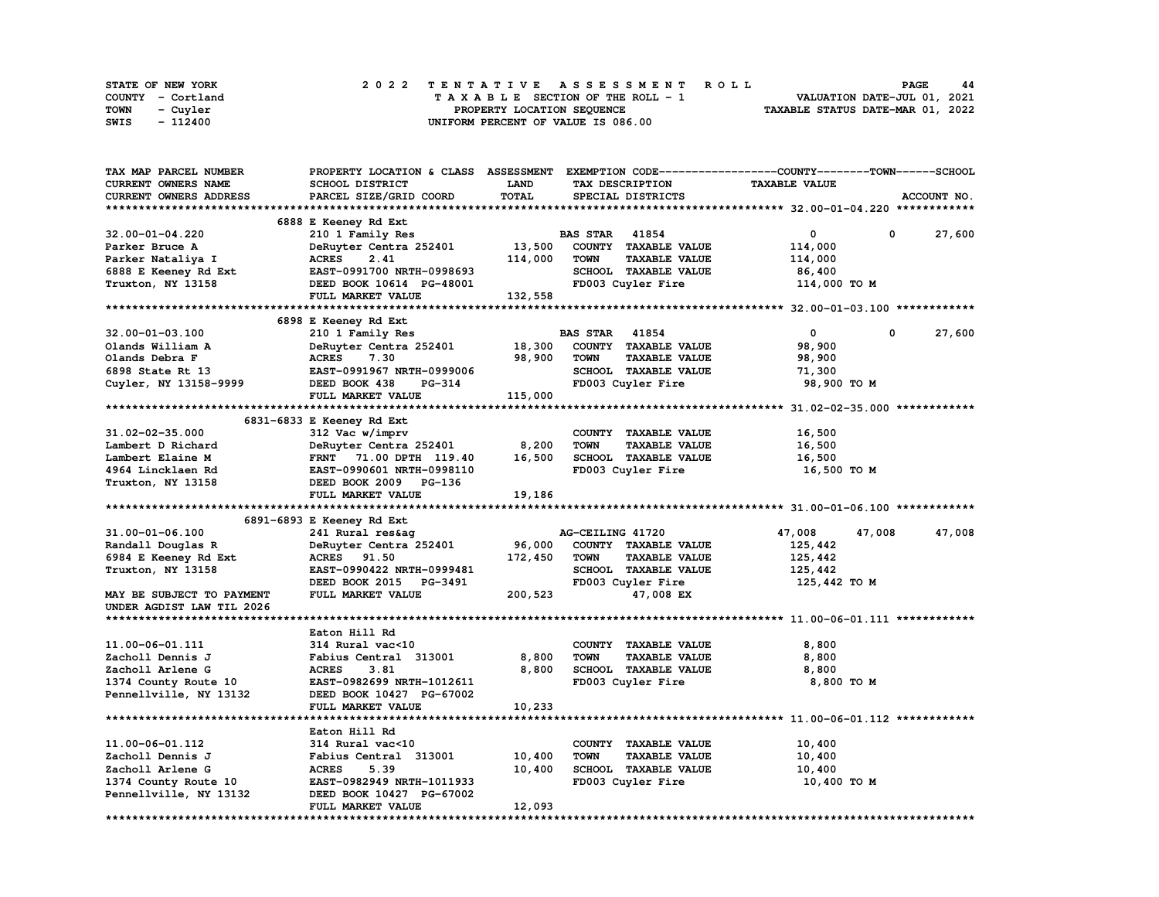|      | STATE OF NEW YORK |  |  |  |  |  | 2022 TENTATIVE ASSESSMENT ROLL     |  |  |  |  |  |  |                                  |  | <b>PAGE</b>                 | 44 |
|------|-------------------|--|--|--|--|--|------------------------------------|--|--|--|--|--|--|----------------------------------|--|-----------------------------|----|
|      | COUNTY - Cortland |  |  |  |  |  | TAXABLE SECTION OF THE ROLL - 1    |  |  |  |  |  |  |                                  |  | VALUATION DATE-JUL 01, 2021 |    |
| TOWN | - Cuvler          |  |  |  |  |  | PROPERTY LOCATION SEQUENCE         |  |  |  |  |  |  | TAXABLE STATUS DATE-MAR 01, 2022 |  |                             |    |
| SWIS | - 112400          |  |  |  |  |  | UNIFORM PERCENT OF VALUE IS 086.00 |  |  |  |  |  |  |                                  |  |                             |    |

| TAX MAP PARCEL NUMBER     | PROPERTY LOCATION & CLASS ASSESSMENT EXEMPTION CODE----------------COUNTY-------TOWN------SCHOOL |         |                       |                      |                                                                     |            |             |
|---------------------------|--------------------------------------------------------------------------------------------------|---------|-----------------------|----------------------|---------------------------------------------------------------------|------------|-------------|
| CURRENT OWNERS NAME       | SCHOOL DISTRICT                                                                                  | LAND    |                       | TAX DESCRIPTION      | <b>TAXABLE VALUE</b>                                                |            |             |
| CURRENT OWNERS ADDRESS    | PARCEL SIZE/GRID COORD                                                                           | TOTAL   |                       | SPECIAL DISTRICTS    |                                                                     |            | ACCOUNT NO. |
|                           |                                                                                                  |         |                       |                      |                                                                     |            |             |
|                           | 6888 E Keeney Rd Ext                                                                             |         |                       |                      |                                                                     |            |             |
| 32.00-01-04.220           | 210 1 Family Res                                                                                 |         | <b>BAS STAR 41854</b> |                      | 0                                                                   | 0          | 27,600      |
| Parker Bruce A            | DeRuyter Centra 252401                                                                           | 13,500  |                       | COUNTY TAXABLE VALUE | 114,000                                                             |            |             |
| Parker Nataliya I         | <b>ACRES</b><br>2.41                                                                             | 114,000 | <b>TOWN</b>           | <b>TAXABLE VALUE</b> | 114,000                                                             |            |             |
| 6888 E Keeney Rd Ext      | EAST-0991700 NRTH-0998693                                                                        |         |                       | SCHOOL TAXABLE VALUE | 86,400                                                              |            |             |
| Truxton, NY 13158         | DEED BOOK 10614 PG-48001                                                                         |         |                       | FD003 Cuyler Fire    | 114,000 TO M                                                        |            |             |
|                           | FULL MARKET VALUE                                                                                | 132,558 |                       |                      |                                                                     |            |             |
|                           |                                                                                                  |         |                       |                      |                                                                     |            |             |
|                           | 6898 E Keeney Rd Ext                                                                             |         |                       |                      |                                                                     |            |             |
| 32.00-01-03.100           | 210 1 Family Res                                                                                 |         | <b>BAS STAR 41854</b> |                      | $\mathbf 0$                                                         | $^{\circ}$ | 27,600      |
| Olands William A          | DeRuyter Centra 252401                                                                           | 18,300  |                       | COUNTY TAXABLE VALUE | 98,900                                                              |            |             |
| Olands Debra F            | <b>ACRES</b><br>7.30                                                                             | 98,900  | <b>TOWN</b>           | <b>TAXABLE VALUE</b> | 98,900                                                              |            |             |
| 6898 State Rt 13          | EAST-0991967 NRTH-0999006                                                                        |         |                       | SCHOOL TAXABLE VALUE | 71,300                                                              |            |             |
| Cuyler, NY 13158-9999     | DEED BOOK 438<br><b>PG-314</b>                                                                   |         |                       | FD003 Cuyler Fire    | 98,900 TO M                                                         |            |             |
|                           | FULL MARKET VALUE                                                                                | 115,000 |                       |                      |                                                                     |            |             |
|                           |                                                                                                  |         |                       |                      |                                                                     |            |             |
|                           | 6831-6833 E Keeney Rd Ext                                                                        |         |                       |                      |                                                                     |            |             |
|                           |                                                                                                  |         |                       |                      |                                                                     |            |             |
| 31.02-02-35.000           | 312 Vac w/imprv                                                                                  |         |                       | COUNTY TAXABLE VALUE | 16,500                                                              |            |             |
| Lambert D Richard         | DeRuyter Centra 252401                                                                           | 8,200   | <b>TOWN</b>           | <b>TAXABLE VALUE</b> | 16,500                                                              |            |             |
| Lambert Elaine M          | FRNT 71.00 DPTH 119.40                                                                           | 16,500  |                       | SCHOOL TAXABLE VALUE | 16,500                                                              |            |             |
| 4964 Lincklaen Rd         | EAST-0990601 NRTH-0998110                                                                        |         |                       | FD003 Cuyler Fire    | 16,500 то м                                                         |            |             |
| Truxton, NY 13158         | DEED BOOK 2009 PG-136                                                                            |         |                       |                      |                                                                     |            |             |
|                           | FULL MARKET VALUE                                                                                | 19,186  |                       |                      |                                                                     |            |             |
|                           |                                                                                                  |         |                       |                      |                                                                     |            |             |
|                           | 6891-6893 E Keeney Rd Ext                                                                        |         |                       |                      |                                                                     |            |             |
| 31.00-01-06.100           | 241 Rural res&ag                                                                                 |         | AG-CEILING 41720      |                      | 47,008                                                              | 47,008     | 47,008      |
| Randall Douglas R         | DeRuyter Centra 252401                                                                           | 96,000  |                       | COUNTY TAXABLE VALUE | 125,442                                                             |            |             |
| 6984 E Keeney Rd Ext      | ACRES 91.50                                                                                      | 172,450 | <b>TOWN</b>           | <b>TAXABLE VALUE</b> | 125,442                                                             |            |             |
| Truxton, NY 13158         | EAST-0990422 NRTH-0999481                                                                        |         |                       | SCHOOL TAXABLE VALUE | 125,442                                                             |            |             |
|                           | DEED BOOK 2015<br>PG-3491                                                                        |         |                       | FD003 Cuyler Fire    | 125,442 TO M                                                        |            |             |
| MAY BE SUBJECT TO PAYMENT | FULL MARKET VALUE                                                                                | 200,523 |                       | 47,008 EX            |                                                                     |            |             |
| UNDER AGDIST LAW TIL 2026 |                                                                                                  |         |                       |                      |                                                                     |            |             |
|                           |                                                                                                  |         |                       |                      |                                                                     |            |             |
|                           | Eaton Hill Rd                                                                                    |         |                       |                      |                                                                     |            |             |
| 11.00-06-01.111           | 314 Rural vac<10                                                                                 |         |                       | COUNTY TAXABLE VALUE | 8,800                                                               |            |             |
| Zacholl Dennis J          | Fabius Central 313001                                                                            | 8,800   | <b>TOWN</b>           | <b>TAXABLE VALUE</b> | 8,800                                                               |            |             |
| Zacholl Arlene G          | <b>ACRES</b><br>3.81                                                                             | 8,800   |                       | SCHOOL TAXABLE VALUE | 8,800                                                               |            |             |
| 1374 County Route 10      | EAST-0982699 NRTH-1012611                                                                        |         |                       | FD003 Cuyler Fire    | 8,800 TO M                                                          |            |             |
| Pennellville, NY 13132    | DEED BOOK 10427 PG-67002                                                                         |         |                       |                      |                                                                     |            |             |
|                           | FULL MARKET VALUE                                                                                | 10,233  |                       |                      |                                                                     |            |             |
|                           |                                                                                                  |         |                       |                      | ************************************* 11.00-06-01.112 ************* |            |             |
|                           |                                                                                                  |         |                       |                      |                                                                     |            |             |
|                           | Eaton Hill Rd                                                                                    |         |                       |                      |                                                                     |            |             |
| 11.00-06-01.112           | 314 Rural vac<10                                                                                 |         |                       | COUNTY TAXABLE VALUE | 10,400                                                              |            |             |
| Zacholl Dennis J          | Fabius Central 313001                                                                            | 10,400  | TOWN                  | <b>TAXABLE VALUE</b> | 10,400                                                              |            |             |
| Zacholl Arlene G          | <b>ACRES</b><br>5.39                                                                             | 10,400  |                       | SCHOOL TAXABLE VALUE | 10,400                                                              |            |             |
| 1374 County Route 10      | EAST-0982949 NRTH-1011933                                                                        |         |                       | FD003 Cuyler Fire    | 10,400 TO M                                                         |            |             |
| Pennellville, NY 13132    | DEED BOOK 10427 PG-67002                                                                         |         |                       |                      |                                                                     |            |             |
|                           | FULL MARKET VALUE                                                                                | 12,093  |                       |                      |                                                                     |            |             |
| ******************        |                                                                                                  |         |                       |                      |                                                                     |            |             |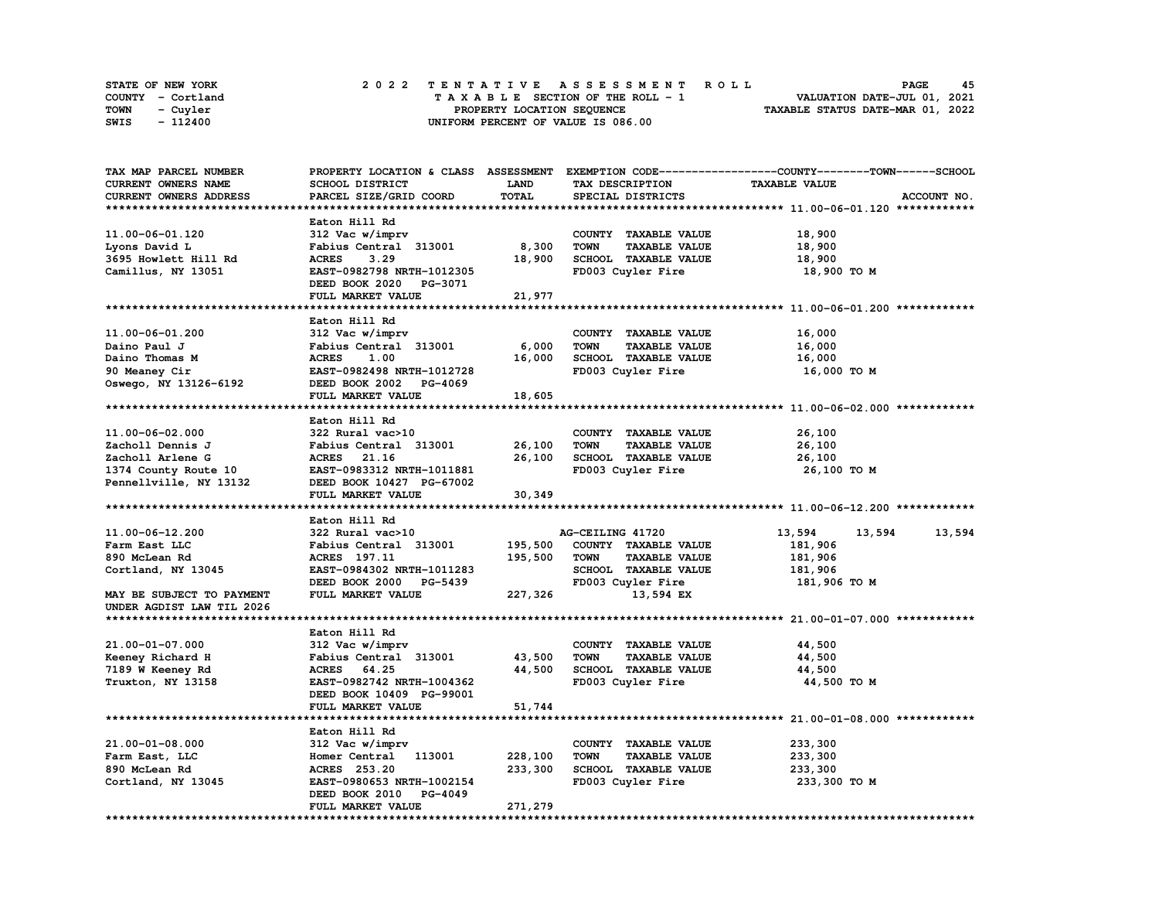| STATE OF NEW YORK | 2022 TENTATIVE ASSESSMENT ROLL     | 45<br>PAGE                       |
|-------------------|------------------------------------|----------------------------------|
| COUNTY - Cortland | TAXABLE SECTION OF THE ROLL - 1    | VALUATION DATE-JUL 01, 2021      |
| TOWN<br>- Cuyler  | PROPERTY LOCATION SEQUENCE         | TAXABLE STATUS DATE-MAR 01, 2022 |
| - 112400<br>SWIS  | UNIFORM PERCENT OF VALUE IS 086.00 |                                  |

| TAX MAP PARCEL NUMBER     |                                                       |             |                                     | PROPERTY LOCATION & CLASS ASSESSMENT EXEMPTION CODE-----------------COUNTY-------TOWN-----SCHOOL |
|---------------------------|-------------------------------------------------------|-------------|-------------------------------------|--------------------------------------------------------------------------------------------------|
| CURRENT OWNERS NAME       | SCHOOL DISTRICT                                       | <b>LAND</b> | TAX DESCRIPTION                     | <b>TAXABLE VALUE</b>                                                                             |
| CURRENT OWNERS ADDRESS    | PARCEL SIZE/GRID COORD                                | TOTAL       | SPECIAL DISTRICTS                   | ACCOUNT NO.                                                                                      |
|                           |                                                       |             |                                     |                                                                                                  |
|                           | Eaton Hill Rd                                         |             |                                     |                                                                                                  |
| 11.00-06-01.120           | 312 Vac w/imprv                                       |             | COUNTY TAXABLE VALUE                | 18,900                                                                                           |
| Lyons David L             | Fabius Central 313001                                 | 8,300       | <b>TOWN</b><br><b>TAXABLE VALUE</b> | 18,900                                                                                           |
| 3695 Howlett Hill Rd      | 3.29<br><b>ACRES</b>                                  | 18,900      | SCHOOL TAXABLE VALUE                | 18,900                                                                                           |
| Camillus, NY 13051        | EAST-0982798 NRTH-1012305                             |             | FD003 Cuyler Fire                   | 18,900 TO M                                                                                      |
|                           | DEED BOOK 2020 PG-3071                                |             |                                     |                                                                                                  |
|                           | FULL MARKET VALUE                                     | 21,977      |                                     |                                                                                                  |
|                           |                                                       |             |                                     |                                                                                                  |
|                           |                                                       |             |                                     |                                                                                                  |
|                           | Eaton Hill Rd                                         |             |                                     |                                                                                                  |
| 11.00-06-01.200           | 312 Vac w/imprv                                       |             | COUNTY TAXABLE VALUE                | 16,000                                                                                           |
| Daino Paul J              | Fabius Central 313001                                 | 6,000       | <b>TOWN</b><br><b>TAXABLE VALUE</b> | 16,000                                                                                           |
| Daino Thomas M            | <b>ACRES</b><br>1.00                                  | 16,000      | SCHOOL TAXABLE VALUE                | 16,000                                                                                           |
| 90 Meaney Cir             | EAST-0982498 NRTH-1012728                             |             | FD003 Cuyler Fire                   | 16,000 TO M                                                                                      |
| Oswego, NY 13126-6192     | DEED BOOK 2002 PG-4069                                |             |                                     |                                                                                                  |
|                           | FULL MARKET VALUE                                     | 18,605      |                                     |                                                                                                  |
|                           |                                                       |             |                                     |                                                                                                  |
|                           | Eaton Hill Rd                                         |             |                                     |                                                                                                  |
| 11.00-06-02.000           | 322 Rural vac>10                                      |             | COUNTY TAXABLE VALUE                | 26,100                                                                                           |
| Zacholl Dennis J          | Fabius Central 313001                                 | 26,100      | <b>TOWN</b><br><b>TAXABLE VALUE</b> | 26,100                                                                                           |
| Zacholl Arlene G          | ACRES 21.16                                           | 26,100      | SCHOOL TAXABLE VALUE                | 26,100                                                                                           |
| 1374 County Route 10      | EAST-0983312 NRTH-1011881                             |             | FD003 Cuyler Fire                   | 26,100 TO M                                                                                      |
| Pennellville, NY 13132    | DEED BOOK 10427 PG-67002                              |             |                                     |                                                                                                  |
|                           | FULL MARKET VALUE                                     | 30,349      |                                     |                                                                                                  |
|                           |                                                       |             |                                     |                                                                                                  |
|                           | Eaton Hill Rd                                         |             |                                     |                                                                                                  |
| 11.00-06-12.200           | 322 Rural vac>10                                      |             | AG-CEILING 41720                    | 13,594<br>13,594<br>13,594                                                                       |
|                           |                                                       |             |                                     |                                                                                                  |
|                           |                                                       |             |                                     |                                                                                                  |
| Farm East LLC             | Fabius Central 313001                                 | 195,500     | COUNTY TAXABLE VALUE                | 181,906                                                                                          |
| 890 McLean Rd             | ACRES 197.11                                          | 195,500     | <b>TOWN</b><br><b>TAXABLE VALUE</b> | 181,906                                                                                          |
| Cortland, NY 13045        | EAST-0984302 NRTH-1011283                             |             | <b>SCHOOL TAXABLE VALUE</b>         | 181,906                                                                                          |
|                           | DEED BOOK 2000<br><b>PG-5439</b>                      |             | FD003 Cuyler Fire                   | 181,906 то м                                                                                     |
| MAY BE SUBJECT TO PAYMENT | FULL MARKET VALUE                                     | 227,326     | 13,594 EX                           |                                                                                                  |
| UNDER AGDIST LAW TIL 2026 |                                                       |             |                                     |                                                                                                  |
|                           |                                                       |             |                                     |                                                                                                  |
|                           | Eaton Hill Rd                                         |             |                                     |                                                                                                  |
| 21.00-01-07.000           | 312 Vac w/imprv                                       |             | COUNTY TAXABLE VALUE                | 44,500                                                                                           |
| Keeney Richard H          | Fabius Central 313001                                 | 43,500      | <b>TOWN</b><br><b>TAXABLE VALUE</b> | 44,500                                                                                           |
| 7189 W Keeney Rd          | 64.25<br><b>ACRES</b>                                 | 44,500      | SCHOOL TAXABLE VALUE                | 44,500                                                                                           |
|                           | EAST-0982742 NRTH-1004362                             |             | FD003 Cuyler Fire                   | 44,500 TO M                                                                                      |
| Truxton, NY 13158         |                                                       |             |                                     |                                                                                                  |
|                           | DEED BOOK 10409 PG-99001                              |             |                                     |                                                                                                  |
|                           | FULL MARKET VALUE                                     | 51,744      |                                     |                                                                                                  |
|                           |                                                       |             |                                     |                                                                                                  |
|                           | Eaton Hill Rd                                         |             |                                     |                                                                                                  |
| 21.00-01-08.000           | 312 Vac w/imprv                                       |             | COUNTY TAXABLE VALUE                | 233,300                                                                                          |
| Farm East, LLC            | 113001<br>Homer Central                               | 228,100     | <b>TAXABLE VALUE</b><br>TOWN        | 233,300                                                                                          |
| 890 McLean Rd             | ACRES 253.20                                          | 233,300     | SCHOOL TAXABLE VALUE                | 233,300                                                                                          |
| Cortland, NY 13045        | EAST-0980653 NRTH-1002154                             |             | FD003 Cuyler Fire                   | 233,300 то м                                                                                     |
|                           | DEED BOOK 2010<br><b>PG-4049</b><br>FULL MARKET VALUE | 271,279     |                                     |                                                                                                  |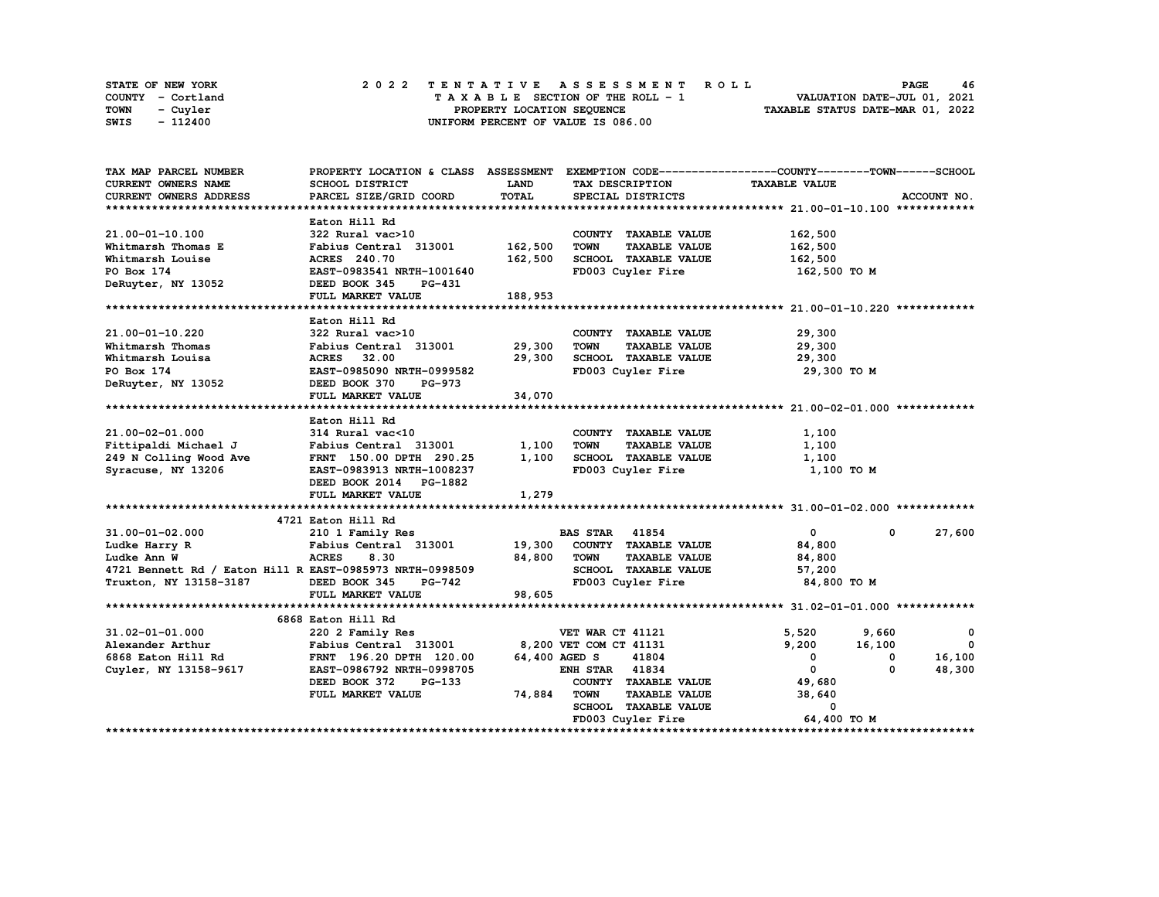| STATE OF NEW YORK | 2022 TENTATIVE ASSESSMENT ROLL     | 46<br><b>PAGE</b>                |
|-------------------|------------------------------------|----------------------------------|
| COUNTY - Cortland | TAXABLE SECTION OF THE ROLL - 1    | VALUATION DATE-JUL 01, 2021      |
| TOWN<br>- Cuyler  | PROPERTY LOCATION SEQUENCE         | TAXABLE STATUS DATE-MAR 01, 2022 |
| - 112400<br>SWIS  | UNIFORM PERCENT OF VALUE IS 086.00 |                                  |

| TAX MAP PARCEL NUMBER                                    |                                                     |             |                                     | PROPERTY LOCATION & CLASS ASSESSMENT EXEMPTION CODE----------------COUNTY-------TOWN------SCHOOL |              |
|----------------------------------------------------------|-----------------------------------------------------|-------------|-------------------------------------|--------------------------------------------------------------------------------------------------|--------------|
| <b>CURRENT OWNERS NAME</b>                               | SCHOOL DISTRICT                                     | <b>LAND</b> | TAX DESCRIPTION                     | <b>TAXABLE VALUE</b>                                                                             |              |
| CURRENT OWNERS ADDRESS                                   | PARCEL SIZE/GRID COORD                              | TOTAL       | SPECIAL DISTRICTS                   |                                                                                                  | ACCOUNT NO.  |
|                                                          |                                                     |             |                                     |                                                                                                  |              |
|                                                          | Eaton Hill Rd                                       |             |                                     |                                                                                                  |              |
| 21.00-01-10.100                                          | 322 Rural vac>10                                    |             | COUNTY TAXABLE VALUE                | 162,500                                                                                          |              |
| Whitmarsh Thomas E                                       | Fabius Central 313001 162,500                       |             | <b>TOWN</b><br><b>TAXABLE VALUE</b> | 162,500                                                                                          |              |
| Whitmarsh Louise                                         | <b>ACRES</b> 240.70                                 | 162,500     | SCHOOL TAXABLE VALUE                | 162,500                                                                                          |              |
| PO Box 174                                               | <b>EAST-0983541 NRTH-1001640</b>                    |             | FD003 Cuyler Fire                   | 162,500 TO M                                                                                     |              |
| DeRuyter, NY 13052                                       | DEED BOOK 345<br>PG-431                             |             |                                     |                                                                                                  |              |
|                                                          | FULL MARKET VALUE                                   | 188,953     |                                     |                                                                                                  |              |
|                                                          |                                                     |             |                                     |                                                                                                  |              |
|                                                          | Eaton Hill Rd                                       |             |                                     |                                                                                                  |              |
| 21.00-01-10.220                                          | 322 Rural vac>10                                    |             | COUNTY TAXABLE VALUE                | 29,300                                                                                           |              |
| Whitmarsh Thomas                                         | Fabius Central 313001 29,300                        |             | <b>TOWN</b><br><b>TAXABLE VALUE</b> | 29,300                                                                                           |              |
| Whitmarsh Louisa                                         | <b>ACRES</b> 32.00                                  | 29,300      | SCHOOL TAXABLE VALUE                | 29,300                                                                                           |              |
| PO Box 174                                               | EAST-0985090 NRTH-0999582                           |             | FD003 Cuyler Fire                   | 29,300 то м                                                                                      |              |
| DeRuyter, NY 13052                                       | DEED BOOK 370<br><b>PG-973</b>                      |             |                                     |                                                                                                  |              |
|                                                          | FULL MARKET VALUE                                   | 34,070      |                                     |                                                                                                  |              |
|                                                          |                                                     |             |                                     |                                                                                                  |              |
|                                                          | Eaton Hill Rd                                       |             |                                     |                                                                                                  |              |
| 21.00-02-01.000                                          | 314 Rural vac<10                                    |             | COUNTY TAXABLE VALUE                | 1,100                                                                                            |              |
| Fittipaldi Michael J                                     | الا Kurai vacsiv<br>Fabius Central 313001           | 1,100       | TOWN<br><b>TAXABLE VALUE</b>        | 1,100                                                                                            |              |
| 249 N Colling Wood Ave                                   | FRNT 150.00 DPTH 290.25                             | 1,100       | SCHOOL TAXABLE VALUE                | 1,100                                                                                            |              |
|                                                          |                                                     |             | FD003 Cuyler Fire                   |                                                                                                  |              |
| Syracuse, NY 13206                                       | EAST-0983913 NRTH-1008237<br>DEED BOOK 2014 PG-1882 |             |                                     | 1,100 то м                                                                                       |              |
|                                                          | FULL MARKET VALUE                                   | 1,279       |                                     |                                                                                                  |              |
|                                                          |                                                     |             |                                     |                                                                                                  |              |
|                                                          | 4721 Eaton Hill Rd                                  |             |                                     |                                                                                                  |              |
| $31.00 - 01 - 02.000$                                    | 210 1 Family Res                                    |             | <b>BAS STAR 41854</b>               | $\mathbf{0}$<br>$\mathbf 0$                                                                      | 27,600       |
| Ludke Harry R                                            | Fabius Central 313001 19,300 COUNTY TAXABLE VALUE   |             |                                     | 84,800                                                                                           |              |
| Ludke Ann W                                              | <b>ACRES</b><br>8.30                                | 84,800      | <b>TOWN</b><br><b>TAXABLE VALUE</b> |                                                                                                  |              |
| 4721 Bennett Rd / Eaton Hill R EAST-0985973 NRTH-0998509 |                                                     |             | SCHOOL TAXABLE VALUE                | 84,800                                                                                           |              |
|                                                          | DEED BOOK 345                                       |             | FD003 Cuyler Fire                   | 57,200<br>84,800 TO M                                                                            |              |
| Truxton, NY 13158-3187                                   | PG-742                                              | 98,605      |                                     |                                                                                                  |              |
|                                                          | FULL MARKET VALUE                                   |             |                                     |                                                                                                  |              |
|                                                          |                                                     |             |                                     |                                                                                                  |              |
| $31.02 - 01 - 01.000$                                    | 6868 Eaton Hill Rd                                  |             | VET WAR CT 41121                    | 5,520                                                                                            | $\mathbf{o}$ |
|                                                          | 220 2 Family Res                                    |             |                                     | 9,660                                                                                            | $\mathbf{0}$ |
| Alexander Arthur                                         | Fabius Central 313001                               |             | 8,200 VET COM CT 41131              | 9,200<br>16,100                                                                                  |              |
| 6868 Eaton Hill Rd                                       | FRNT 196.20 DPTH 120.00                             |             | 41804<br>64,400 AGED S              | $^{\circ}$<br>0                                                                                  | 16,100       |
| Cuyler, NY 13158-9617                                    | EAST-0986792 NRTH-0998705                           |             | <b>ENH STAR 41834</b>               | $\mathbf{0}$<br>0                                                                                | 48,300       |
|                                                          | DEED BOOK 372<br>PG-133                             |             | COUNTY TAXABLE VALUE                | 49,680                                                                                           |              |
|                                                          | FULL MARKET VALUE                                   | 74,884      | <b>TOWN</b><br><b>TAXABLE VALUE</b> | 38,640                                                                                           |              |
|                                                          |                                                     |             | SCHOOL TAXABLE VALUE                | 0                                                                                                |              |
|                                                          |                                                     |             | FD003 Cuyler Fire                   | 64,400 TO M                                                                                      |              |
|                                                          |                                                     |             |                                     |                                                                                                  |              |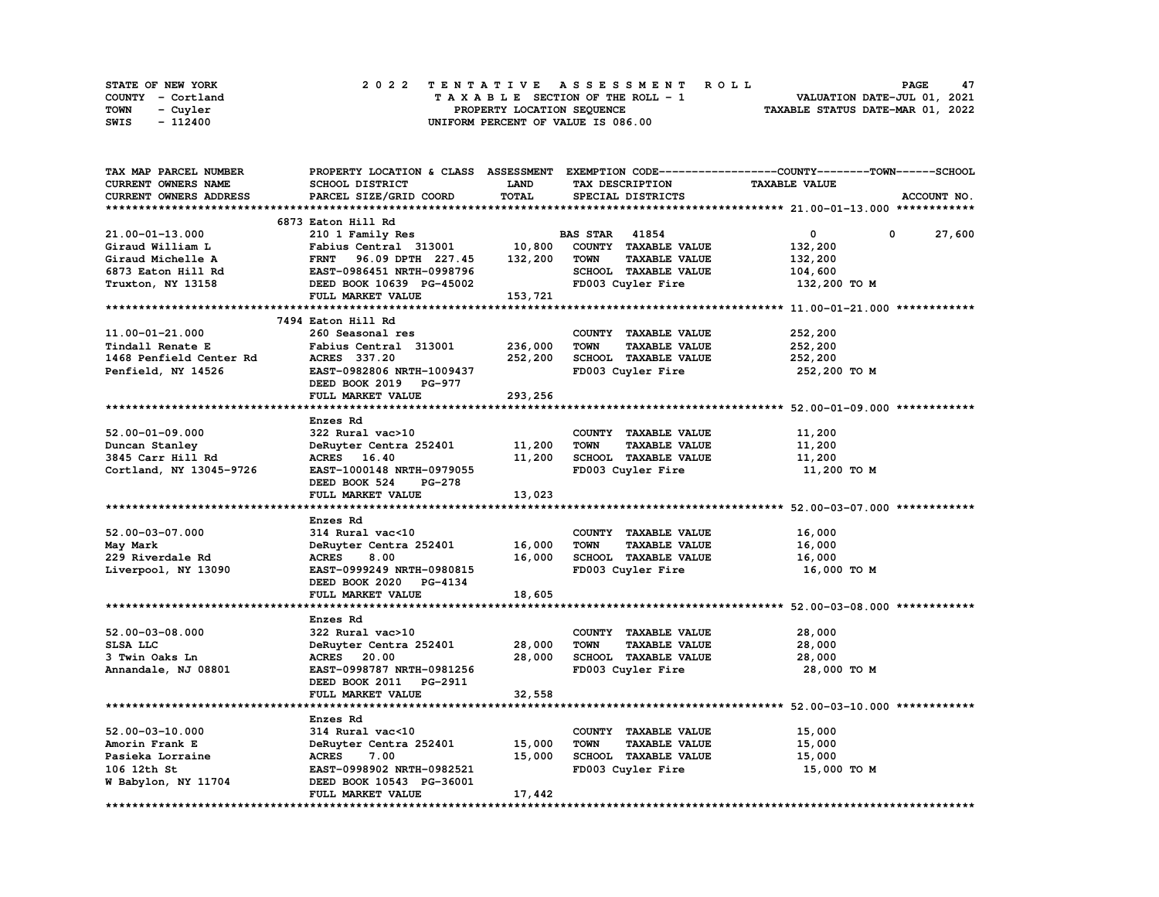|      | STATE OF NEW YORK |  | 2022 TENTATIVE ASSESSMENT ROLL |  |  |  |                                    |  |  |  |  |  |  |                                  | <b>PAGE</b> | 47 |
|------|-------------------|--|--------------------------------|--|--|--|------------------------------------|--|--|--|--|--|--|----------------------------------|-------------|----|
|      | COUNTY - Cortland |  |                                |  |  |  | TAXABLE SECTION OF THE ROLL - 1    |  |  |  |  |  |  | VALUATION DATE-JUL 01, 2021      |             |    |
| TOWN | - Cuvler          |  |                                |  |  |  | PROPERTY LOCATION SEQUENCE         |  |  |  |  |  |  | TAXABLE STATUS DATE-MAR 01, 2022 |             |    |
| SWIS | - 112400          |  |                                |  |  |  | UNIFORM PERCENT OF VALUE IS 086.00 |  |  |  |  |  |  |                                  |             |    |

| TAX MAP PARCEL NUMBER      |                                  |             |                                     | PROPERTY LOCATION & CLASS ASSESSMENT EXEMPTION CODE----------------COUNTY-------TOWN-----SCHOOL |  |
|----------------------------|----------------------------------|-------------|-------------------------------------|-------------------------------------------------------------------------------------------------|--|
| <b>CURRENT OWNERS NAME</b> | SCHOOL DISTRICT                  | <b>LAND</b> | TAX DESCRIPTION                     | <b>TAXABLE VALUE</b>                                                                            |  |
| CURRENT OWNERS ADDRESS     | PARCEL SIZE/GRID COORD           | TOTAL       | SPECIAL DISTRICTS                   | ACCOUNT NO.                                                                                     |  |
|                            |                                  |             |                                     |                                                                                                 |  |
|                            | 6873 Eaton Hill Rd               |             |                                     |                                                                                                 |  |
| 21.00-01-13.000            | 210 1 Family Res                 |             | <b>BAS STAR 41854</b>               | $\mathbf 0$<br>0<br>27,600                                                                      |  |
|                            |                                  |             |                                     |                                                                                                 |  |
| Giraud William L           | Fabius Central 313001            | 10,800      | COUNTY TAXABLE VALUE                | 132,200                                                                                         |  |
| Giraud Michelle A          | <b>FRNT</b><br>96.09 DPTH 227.45 | 132,200     | <b>TOWN</b><br><b>TAXABLE VALUE</b> | 132,200                                                                                         |  |
| 6873 Eaton Hill Rd         | EAST-0986451 NRTH-0998796        |             | SCHOOL TAXABLE VALUE                | 104,600                                                                                         |  |
| Truxton, NY 13158          | DEED BOOK 10639 PG-45002         |             | FD003 Cuyler Fire                   | 132,200 TO M                                                                                    |  |
|                            | FULL MARKET VALUE                | 153,721     |                                     |                                                                                                 |  |
|                            |                                  |             |                                     |                                                                                                 |  |
|                            | 7494 Eaton Hill Rd               |             |                                     |                                                                                                 |  |
| 11.00-01-21.000            | 260 Seasonal res                 |             | COUNTY TAXABLE VALUE                | 252,200                                                                                         |  |
| Tindall Renate E           | Fabius Central 313001            | 236,000     | <b>TOWN</b><br><b>TAXABLE VALUE</b> | 252,200                                                                                         |  |
| 1468 Penfield Center Rd    | ACRES 337.20                     | 252,200     | <b>SCHOOL TAXABLE VALUE</b>         | 252,200                                                                                         |  |
| Penfield, NY 14526         | EAST-0982806 NRTH-1009437        |             | FD003 Cuyler Fire                   | 252,200 TO M                                                                                    |  |
|                            | DEED BOOK 2019 PG-977            |             |                                     |                                                                                                 |  |
|                            |                                  |             |                                     |                                                                                                 |  |
|                            | FULL MARKET VALUE                | 293,256     |                                     |                                                                                                 |  |
|                            |                                  |             |                                     |                                                                                                 |  |
|                            | Enzes Rd                         |             |                                     |                                                                                                 |  |
| $52.00 - 01 - 09.000$      | 322 Rural vac>10                 |             | COUNTY TAXABLE VALUE                | 11,200                                                                                          |  |
| Duncan Stanley             | DeRuyter Centra 252401           | 11,200      | <b>TOWN</b><br><b>TAXABLE VALUE</b> | 11,200                                                                                          |  |
| 3845 Carr Hill Rd          | ACRES 16.40                      | 11,200      | SCHOOL TAXABLE VALUE                | 11,200                                                                                          |  |
| Cortland, NY 13045-9726    | EAST-1000148 NRTH-0979055        |             | FD003 Cuyler Fire                   | 11,200 TO M                                                                                     |  |
|                            | DEED BOOK 524<br><b>PG-278</b>   |             |                                     |                                                                                                 |  |
|                            | FULL MARKET VALUE                | 13,023      |                                     |                                                                                                 |  |
|                            |                                  |             |                                     |                                                                                                 |  |
|                            | Enzes Rd                         |             |                                     |                                                                                                 |  |
| 52.00-03-07.000            | 314 Rural vac<10                 |             | COUNTY TAXABLE VALUE                | 16,000                                                                                          |  |
| May Mark                   | DeRuyter Centra 252401           | 16,000      | <b>TAXABLE VALUE</b><br><b>TOWN</b> | 16,000                                                                                          |  |
| 229 Riverdale Rd           | 8.00<br><b>ACRES</b>             | 16,000      | SCHOOL TAXABLE VALUE                | 16,000                                                                                          |  |
|                            | EAST-0999249 NRTH-0980815        |             | FD003 Cuyler Fire                   | 16,000 TO M                                                                                     |  |
| Liverpool, NY 13090        |                                  |             |                                     |                                                                                                 |  |
|                            | DEED BOOK 2020 PG-4134           |             |                                     |                                                                                                 |  |
|                            | FULL MARKET VALUE                | 18,605      |                                     |                                                                                                 |  |
|                            |                                  |             |                                     |                                                                                                 |  |
|                            | Enzes Rd                         |             |                                     |                                                                                                 |  |
| 52.00-03-08.000            | 322 Rural vac>10                 |             | COUNTY TAXABLE VALUE                | 28,000                                                                                          |  |
| SLSA LLC                   | DeRuyter Centra 252401           | 28,000      | <b>TOWN</b><br><b>TAXABLE VALUE</b> | 28,000                                                                                          |  |
| 3 Twin Oaks Ln             | <b>ACRES</b> 20.00               | 28,000      | SCHOOL TAXABLE VALUE                | 28,000                                                                                          |  |
| Annandale, NJ 08801        | EAST-0998787 NRTH-0981256        |             | FD003 Cuyler Fire                   | 28,000 TO M                                                                                     |  |
|                            | DEED BOOK 2011 PG-2911           |             |                                     |                                                                                                 |  |
|                            | FULL MARKET VALUE                | 32,558      |                                     |                                                                                                 |  |
|                            |                                  |             |                                     |                                                                                                 |  |
|                            | Enzes Rd                         |             |                                     |                                                                                                 |  |
| $52.00 - 03 - 10.000$      | 314 Rural vac<10                 |             | COUNTY TAXABLE VALUE                | 15,000                                                                                          |  |
| Amorin Frank E             |                                  |             | TOWN                                |                                                                                                 |  |
|                            | DeRuyter Centra 252401           | 15,000      | <b>TAXABLE VALUE</b>                | 15,000                                                                                          |  |
| Pasieka Lorraine           | <b>ACRES</b><br>7.00             | 15,000      | SCHOOL TAXABLE VALUE                | 15,000                                                                                          |  |
| 106 12th St                | EAST-0998902 NRTH-0982521        |             | FD003 Cuyler Fire                   | 15,000 TO M                                                                                     |  |
| W Babylon, NY 11704        | DEED BOOK 10543 PG-36001         |             |                                     |                                                                                                 |  |
|                            | FULL MARKET VALUE                | 17,442      |                                     |                                                                                                 |  |
|                            |                                  |             |                                     |                                                                                                 |  |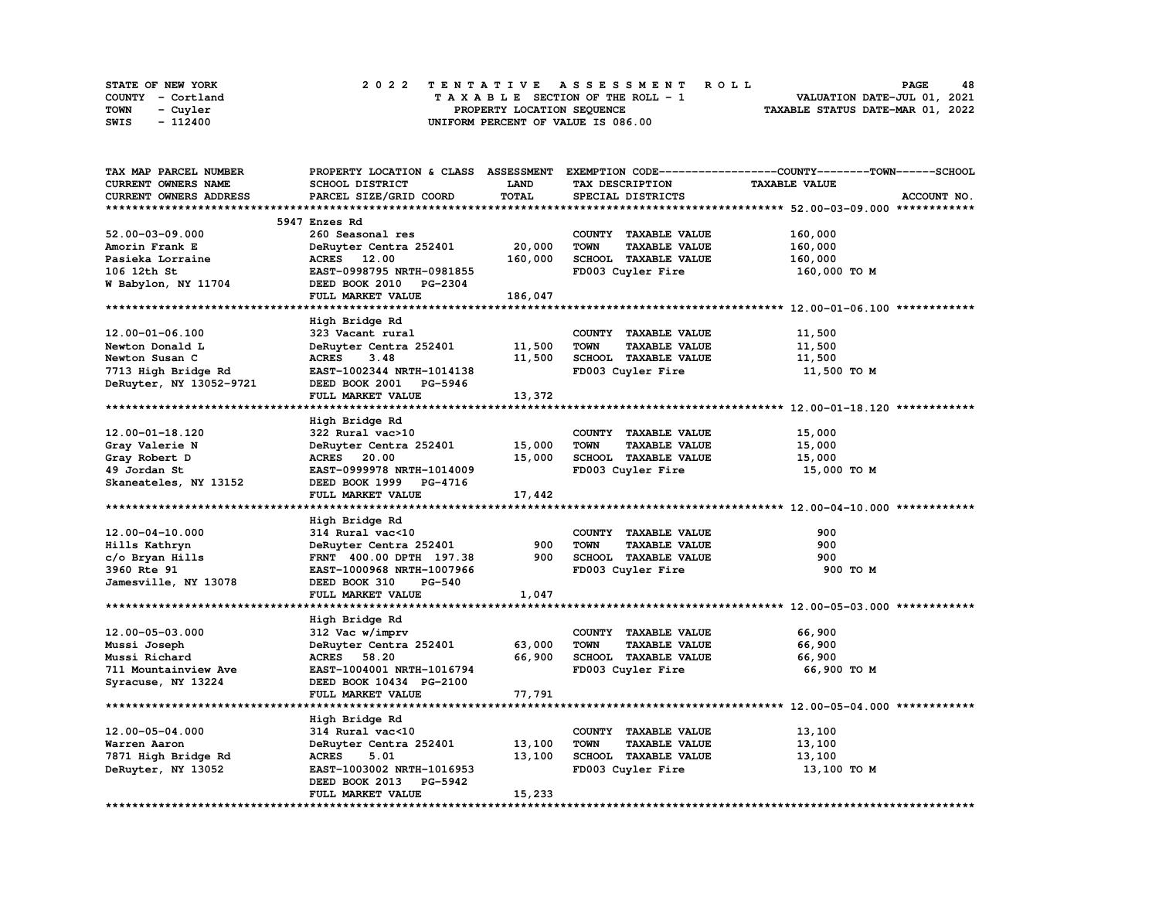| <b>STATE OF NEW YORK</b> | 2022 TENTATIVE ASSESSMENT ROLL          | 48<br><b>PAGE</b>                |
|--------------------------|-----------------------------------------|----------------------------------|
| COUNTY - Cortland        | $T A X A B L E$ SECTION OF THE ROLL - 1 | VALUATION DATE-JUL 01, 2021      |
| TOWN<br>- Cuyler         | PROPERTY LOCATION SEQUENCE              | TAXABLE STATUS DATE-MAR 01, 2022 |
| - 112400<br>SWIS         | UNIFORM PERCENT OF VALUE IS 086.00      |                                  |

| TAX MAP PARCEL NUMBER   |                                |             |                                     | PROPERTY LOCATION & CLASS ASSESSMENT EXEMPTION CODE----------------COUNTY-------TOWN------SCHOOL |
|-------------------------|--------------------------------|-------------|-------------------------------------|--------------------------------------------------------------------------------------------------|
| CURRENT OWNERS NAME     | SCHOOL DISTRICT                | <b>LAND</b> | TAX DESCRIPTION                     | <b>TAXABLE VALUE</b>                                                                             |
| CURRENT OWNERS ADDRESS  | PARCEL SIZE/GRID COORD         | TOTAL       | SPECIAL DISTRICTS                   | ACCOUNT NO.                                                                                      |
|                         |                                |             |                                     |                                                                                                  |
|                         |                                |             |                                     |                                                                                                  |
|                         | 5947 Enzes Rd                  |             |                                     |                                                                                                  |
| 52.00-03-09.000         | 260 Seasonal res               |             | COUNTY TAXABLE VALUE                | 160,000                                                                                          |
| Amorin Frank E          | DeRuyter Centra 252401         | 20,000      | <b>TAXABLE VALUE</b><br>TOWN        | 160,000                                                                                          |
| Pasieka Lorraine        | ACRES 12.00                    | 160,000     | SCHOOL TAXABLE VALUE                | 160,000                                                                                          |
| 106 12th St             | EAST-0998795 NRTH-0981855      |             | FD003 Cuyler Fire                   | 160,000 TO M                                                                                     |
| W Babylon, NY 11704     | DEED BOOK 2010 PG-2304         |             |                                     |                                                                                                  |
|                         | FULL MARKET VALUE              | 186,047     |                                     |                                                                                                  |
|                         |                                |             |                                     |                                                                                                  |
|                         |                                |             |                                     |                                                                                                  |
|                         | High Bridge Rd                 |             |                                     |                                                                                                  |
| 12.00-01-06.100         | 323 Vacant rural               |             | COUNTY TAXABLE VALUE                | 11,500                                                                                           |
| Newton Donald L         | DeRuyter Centra 252401         | 11,500      | <b>TOWN</b><br><b>TAXABLE VALUE</b> | 11,500                                                                                           |
| Newton Susan C          | <b>ACRES</b><br>3.48           | 11,500      | SCHOOL TAXABLE VALUE                | 11,500                                                                                           |
| 7713 High Bridge Rd     | EAST-1002344 NRTH-1014138      |             | FD003 Cuyler Fire                   | 11,500 TO M                                                                                      |
| DeRuyter, NY 13052-9721 | DEED BOOK 2001 PG-5946         |             |                                     |                                                                                                  |
|                         | FULL MARKET VALUE              | 13,372      |                                     |                                                                                                  |
|                         |                                |             |                                     |                                                                                                  |
|                         |                                |             |                                     |                                                                                                  |
|                         | High Bridge Rd                 |             |                                     |                                                                                                  |
| $12.00 - 01 - 18.120$   | 322 Rural vac>10               |             | COUNTY TAXABLE VALUE                | 15,000                                                                                           |
| Gray Valerie N          | DeRuyter Centra 252401         | 15,000      | <b>TOWN</b><br><b>TAXABLE VALUE</b> | 15,000                                                                                           |
| Gray Robert D           | ACRES 20.00                    | 15,000      | SCHOOL TAXABLE VALUE                | 15,000                                                                                           |
| 49 Jordan St            | EAST-0999978 NRTH-1014009      |             | FD003 Cuyler Fire                   | 15,000 TO M                                                                                      |
| Skaneateles, NY 13152   | DEED BOOK 1999 PG-4716         |             |                                     |                                                                                                  |
|                         | FULL MARKET VALUE              | 17,442      |                                     |                                                                                                  |
|                         |                                |             |                                     |                                                                                                  |
|                         |                                |             |                                     |                                                                                                  |
|                         | High Bridge Rd                 |             |                                     |                                                                                                  |
| $12.00 - 04 - 10.000$   | 314 Rural vac<10               |             | COUNTY TAXABLE VALUE                | 900                                                                                              |
| Hills Kathryn           | DeRuyter Centra 252401         | 900         | <b>TOWN</b><br><b>TAXABLE VALUE</b> | 900                                                                                              |
| c/o Bryan Hills         | FRNT 400.00 DPTH 197.38        | 900         | SCHOOL TAXABLE VALUE                | 900                                                                                              |
| 3960 Rte 91             | EAST-1000968 NRTH-1007966      |             | FD003 Cuyler Fire                   | 900 TO M                                                                                         |
| Jamesville, NY 13078    | <b>PG-540</b><br>DEED BOOK 310 |             |                                     |                                                                                                  |
|                         | FULL MARKET VALUE              | 1,047       |                                     |                                                                                                  |
|                         |                                |             |                                     |                                                                                                  |
|                         | High Bridge Rd                 |             |                                     |                                                                                                  |
|                         |                                |             |                                     |                                                                                                  |
| 12.00-05-03.000         | 312 Vac w/imprv                |             | COUNTY TAXABLE VALUE                | 66,900                                                                                           |
| Mussi Joseph            | DeRuyter Centra 252401         | 63,000      | <b>TOWN</b><br><b>TAXABLE VALUE</b> | 66,900                                                                                           |
| Mussi Richard           | <b>ACRES</b> 58.20             | 66,900      | <b>SCHOOL TAXABLE VALUE</b>         | 66,900                                                                                           |
| 711 Mountainview Ave    | EAST-1004001 NRTH-1016794      |             | FD003 Cuyler Fire                   | 66,900 TO M                                                                                      |
| Syracuse, NY 13224      | DEED BOOK 10434 PG-2100        |             |                                     |                                                                                                  |
|                         | FULL MARKET VALUE              | 77,791      |                                     |                                                                                                  |
|                         |                                |             |                                     |                                                                                                  |
|                         | High Bridge Rd                 |             |                                     |                                                                                                  |
|                         |                                |             |                                     |                                                                                                  |
| 12.00-05-04.000         | 314 Rural vac<10               |             | COUNTY TAXABLE VALUE                | 13,100                                                                                           |
| Warren Aaron            | DeRuyter Centra 252401         | 13,100      | <b>TOWN</b><br><b>TAXABLE VALUE</b> | 13,100                                                                                           |
| 7871 High Bridge Rd     | <b>ACRES</b><br>5.01           | 13,100      | SCHOOL TAXABLE VALUE                | 13,100                                                                                           |
| DeRuyter, NY 13052      | EAST-1003002 NRTH-1016953      |             | FD003 Cuyler Fire                   | 13,100 TO M                                                                                      |
|                         | DEED BOOK 2013<br>PG-5942      |             |                                     |                                                                                                  |
|                         | FULL MARKET VALUE              | 15,233      |                                     |                                                                                                  |
|                         |                                |             |                                     |                                                                                                  |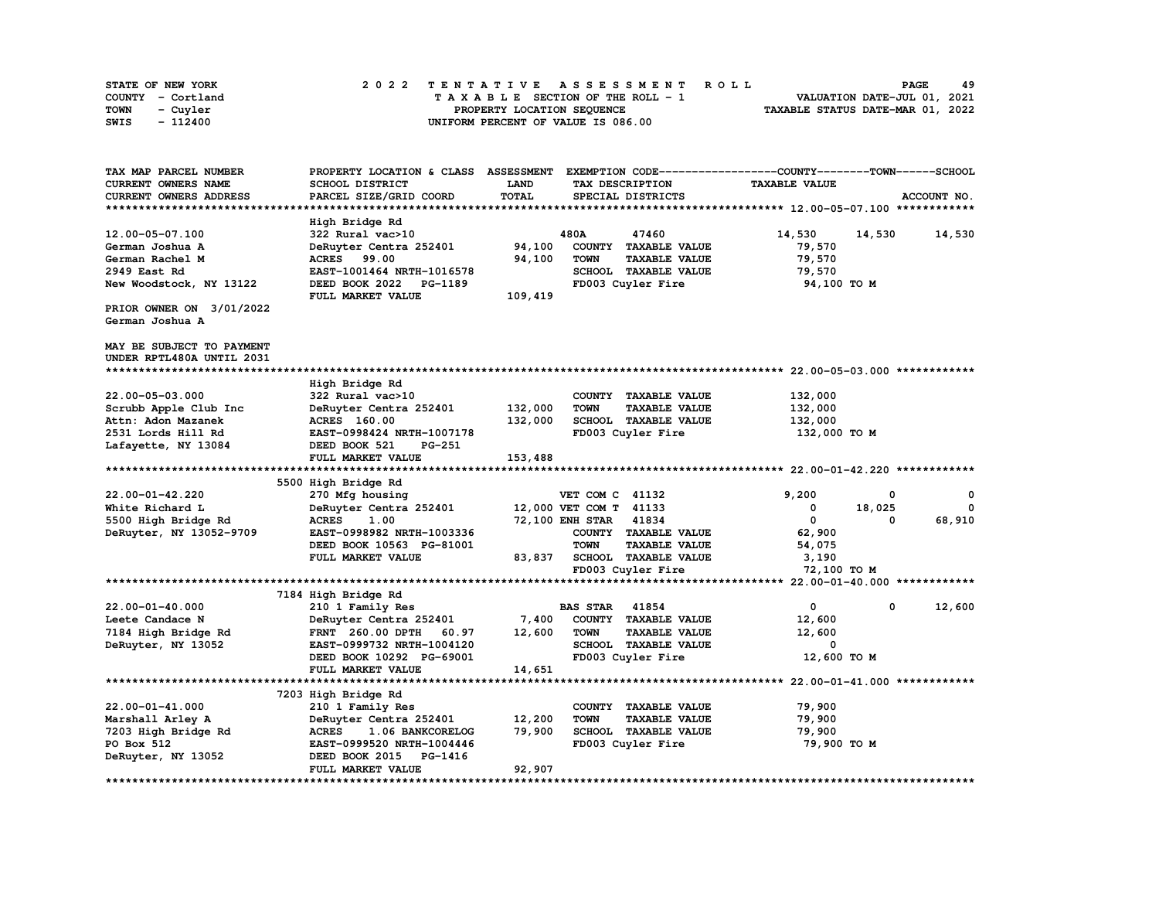| STATE OF NEW YORK | 2022 TENTATIVE ASSESSMENT ROLL     | 49<br><b>PAGE</b>                |
|-------------------|------------------------------------|----------------------------------|
| COUNTY - Cortland | TAXABLE SECTION OF THE ROLL - 1    | VALUATION DATE-JUL 01, 2021      |
| TOWN<br>- Cuyler  | PROPERTY LOCATION SEQUENCE         | TAXABLE STATUS DATE-MAR 01, 2022 |
| - 112400<br>SWIS  | UNIFORM PERCENT OF VALUE IS 086.00 |                                  |

| TAX MAP PARCEL NUMBER      | PROPERTY LOCATION & CLASS ASSESSMENT |              |                        |                             | EXEMPTION CODE-----------------COUNTY-------TOWN------SCHOOL |        |             |
|----------------------------|--------------------------------------|--------------|------------------------|-----------------------------|--------------------------------------------------------------|--------|-------------|
| <b>CURRENT OWNERS NAME</b> | SCHOOL DISTRICT                      | LAND         |                        | TAX DESCRIPTION             | <b>TAXABLE VALUE</b>                                         |        |             |
| CURRENT OWNERS ADDRESS     | PARCEL SIZE/GRID COORD               | <b>TOTAL</b> |                        | SPECIAL DISTRICTS           |                                                              |        | ACCOUNT NO. |
|                            |                                      |              |                        |                             |                                                              |        |             |
|                            | High Bridge Rd                       |              |                        |                             |                                                              |        |             |
| 12.00-05-07.100            | 322 Rural vac>10                     |              | 480A                   | 47460                       | 14,530                                                       | 14,530 | 14,530      |
| German Joshua A            | DeRuyter Centra 252401               | 94,100       |                        | COUNTY TAXABLE VALUE        | 79,570                                                       |        |             |
| German Rachel M            | <b>ACRES</b> 99.00                   | 94,100       | <b>TOWN</b>            | <b>TAXABLE VALUE</b>        | 79,570                                                       |        |             |
| 2949 East Rd               | EAST-1001464 NRTH-1016578            |              |                        | SCHOOL TAXABLE VALUE        | 79,570                                                       |        |             |
| New Woodstock, NY 13122    | DEED BOOK 2022<br>PG-1189            |              |                        | FD003 Cuyler Fire           | 94,100 TO M                                                  |        |             |
|                            | FULL MARKET VALUE                    | 109,419      |                        |                             |                                                              |        |             |
| PRIOR OWNER ON 3/01/2022   |                                      |              |                        |                             |                                                              |        |             |
| German Joshua A            |                                      |              |                        |                             |                                                              |        |             |
|                            |                                      |              |                        |                             |                                                              |        |             |
| MAY BE SUBJECT TO PAYMENT  |                                      |              |                        |                             |                                                              |        |             |
| UNDER RPTL480A UNTIL 2031  |                                      |              |                        |                             |                                                              |        |             |
|                            |                                      |              |                        |                             |                                                              |        |             |
|                            | High Bridge Rd                       |              |                        |                             |                                                              |        |             |
| 22.00-05-03.000            | 322 Rural vac>10                     |              |                        | COUNTY TAXABLE VALUE        | 132,000                                                      |        |             |
|                            |                                      |              |                        |                             |                                                              |        |             |
| Scrubb Apple Club Inc      | DeRuyter Centra 252401               | 132,000      | <b>TOWN</b>            | <b>TAXABLE VALUE</b>        | 132,000                                                      |        |             |
| Attn: Adon Mazanek         | <b>ACRES</b> 160.00                  | 132,000      |                        | SCHOOL TAXABLE VALUE        | 132,000                                                      |        |             |
| 2531 Lords Hill Rd         | EAST-0998424 NRTH-1007178            |              |                        | FD003 Cuyler Fire           | 132,000 TO M                                                 |        |             |
| Lafayette, NY 13084        | DEED BOOK 521<br><b>PG-251</b>       |              |                        |                             |                                                              |        |             |
|                            | FULL MARKET VALUE                    | 153,488      |                        |                             |                                                              |        |             |
|                            |                                      |              |                        |                             |                                                              |        |             |
|                            | 5500 High Bridge Rd                  |              |                        |                             |                                                              |        |             |
| $22.00 - 01 - 42.220$      | 270 Mfg housing                      |              | VET COM C 41132        |                             | 9,200                                                        | 0      | 0           |
| White Richard L            | DeRuyter Centra 252401               |              | 12,000 VET COM T 41133 |                             | 0                                                            | 18,025 | $\Omega$    |
| 5500 High Bridge Rd        | <b>ACRES</b><br>1.00                 |              | <b>72,100 ENH STAR</b> | 41834                       | 0                                                            | 0      | 68,910      |
| DeRuyter, NY 13052-9709    | EAST-0998982 NRTH-1003336            |              |                        | COUNTY TAXABLE VALUE        | 62,900                                                       |        |             |
|                            | DEED BOOK 10563 PG-81001             |              | <b>TOWN</b>            | <b>TAXABLE VALUE</b>        | 54,075                                                       |        |             |
|                            | FULL MARKET VALUE                    | 83,837       |                        | <b>SCHOOL TAXABLE VALUE</b> | 3,190                                                        |        |             |
|                            |                                      |              |                        | FD003 Cuyler Fire           | 72,100 TO M                                                  |        |             |
|                            |                                      |              |                        |                             |                                                              |        |             |
|                            | 7184 High Bridge Rd                  |              |                        |                             |                                                              |        |             |
| $22.00 - 01 - 40.000$      | 210 1 Family Res                     |              | <b>BAS STAR</b>        | 41854                       | 0                                                            | 0      | 12,600      |
| Leete Candace N            | DeRuyter Centra 252401               | 7,400        |                        | COUNTY TAXABLE VALUE        | 12,600                                                       |        |             |
| 7184 High Bridge Rd        | 60.97<br><b>FRNT</b> 260.00 DPTH     | 12,600       | <b>TOWN</b>            | <b>TAXABLE VALUE</b>        | 12,600                                                       |        |             |
| DeRuyter, NY 13052         | EAST-0999732 NRTH-1004120            |              |                        | SCHOOL TAXABLE VALUE        | 0                                                            |        |             |
|                            | DEED BOOK 10292 PG-69001             |              |                        | FD003 Cuyler Fire           | 12,600 TO M                                                  |        |             |
|                            | FULL MARKET VALUE                    | 14,651       |                        |                             |                                                              |        |             |
|                            |                                      |              |                        |                             |                                                              |        |             |
|                            | 7203 High Bridge Rd                  |              |                        |                             |                                                              |        |             |
| $22.00 - 01 - 41.000$      | 210 1 Family Res                     |              |                        | COUNTY TAXABLE VALUE        | 79,900                                                       |        |             |
| Marshall Arley A           | DeRuyter Centra 252401               | 12,200       | <b>TOWN</b>            | <b>TAXABLE VALUE</b>        | 79,900                                                       |        |             |
| 7203 High Bridge Rd        | <b>ACRES</b><br>1.06 BANKCORELOG     | 79,900       |                        | SCHOOL TAXABLE VALUE        | 79,900                                                       |        |             |
| PO Box 512                 | EAST-0999520 NRTH-1004446            |              |                        | FD003 Cuyler Fire           | 79,900 TO M                                                  |        |             |
| DeRuyter, NY 13052         | DEED BOOK 2015<br><b>PG-1416</b>     |              |                        |                             |                                                              |        |             |
|                            | FULL MARKET VALUE                    | 92,907       |                        |                             |                                                              |        |             |
|                            |                                      |              |                        |                             |                                                              |        |             |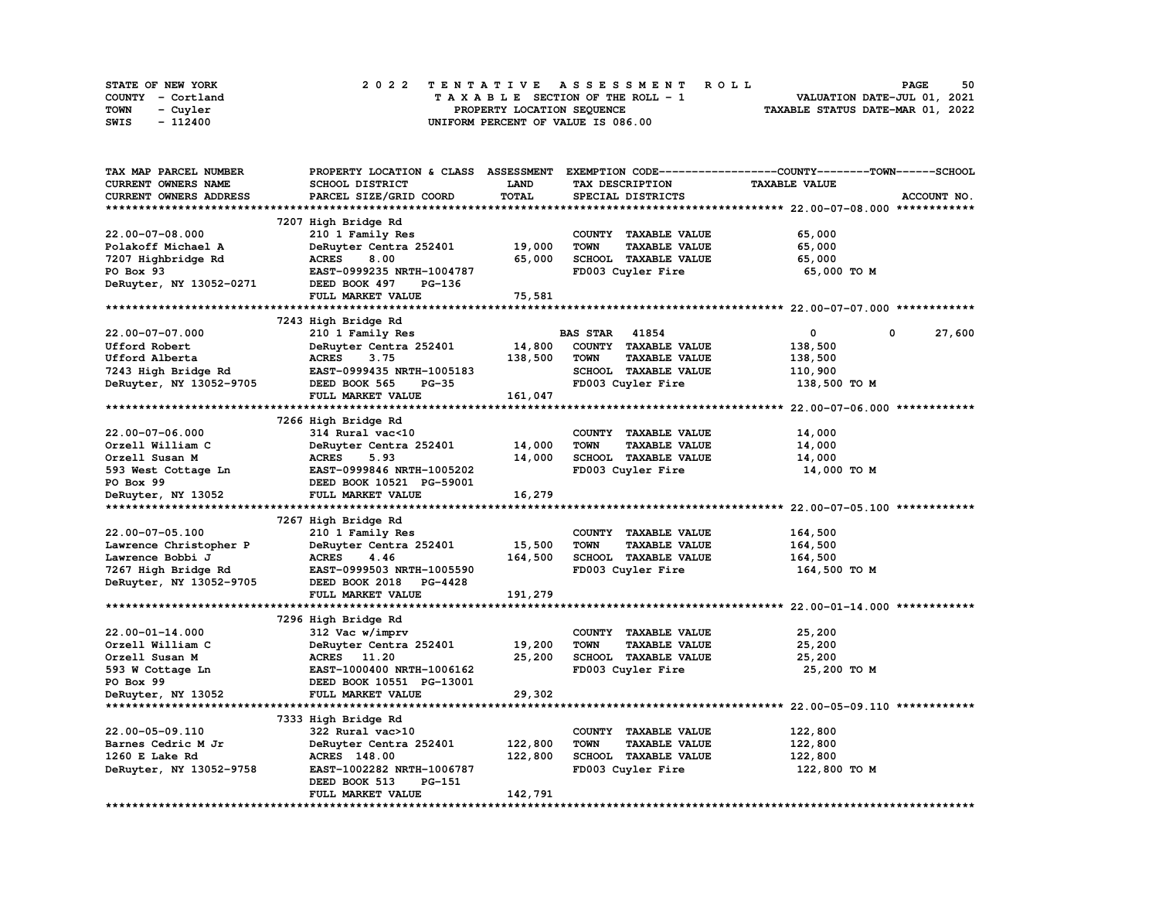| STATE OF NEW YORK | 2022 TENTATIVE ASSESSMENT ROLL          | 50<br><b>PAGE</b>                |
|-------------------|-----------------------------------------|----------------------------------|
| COUNTY - Cortland | $T A X A B L E$ SECTION OF THE ROLL - 1 | VALUATION DATE-JUL 01, 2021      |
| TOWN<br>- Cuyler  | PROPERTY LOCATION SEQUENCE              | TAXABLE STATUS DATE-MAR 01, 2022 |
| SWIS<br>- 112400  | UNIFORM PERCENT OF VALUE IS 086.00      |                                  |

| TAX MAP PARCEL NUMBER      |                              |         |                                     | PROPERTY LOCATION & CLASS ASSESSMENT EXEMPTION CODE----------------COUNTY-------TOWN------SCHOOL |
|----------------------------|------------------------------|---------|-------------------------------------|--------------------------------------------------------------------------------------------------|
| <b>CURRENT OWNERS NAME</b> | SCHOOL DISTRICT              | LAND    | TAX DESCRIPTION                     | <b>TAXABLE VALUE</b>                                                                             |
| CURRENT OWNERS ADDRESS     | PARCEL SIZE/GRID COORD       | TOTAL   | SPECIAL DISTRICTS                   | ACCOUNT NO.                                                                                      |
|                            |                              |         |                                     |                                                                                                  |
|                            | 7207 High Bridge Rd          |         |                                     |                                                                                                  |
| 22.00-07-08.000            | 210 1 Family Res             |         | COUNTY TAXABLE VALUE                | 65,000                                                                                           |
| Polakoff Michael A         | DeRuyter Centra 252401       | 19,000  | <b>TOWN</b><br><b>TAXABLE VALUE</b> | 65,000                                                                                           |
| 7207 Highbridge Rd         | <b>ACRES</b><br>8.00         | 65,000  | SCHOOL TAXABLE VALUE                | 65,000                                                                                           |
| PO Box 93                  | EAST-0999235 NRTH-1004787    |         | FD003 Cuyler Fire                   | 65,000 TO M                                                                                      |
| DeRuyter, NY 13052-0271    | DEED BOOK 497<br>PG-136      |         |                                     |                                                                                                  |
|                            | FULL MARKET VALUE            | 75,581  |                                     |                                                                                                  |
|                            |                              |         |                                     |                                                                                                  |
|                            | 7243 High Bridge Rd          |         |                                     |                                                                                                  |
| $22.00 - 07 - 07.000$      | 210 1 Family Res             |         | <b>BAS STAR 41854</b>               | $\mathbf{o}$<br>27,600<br>0                                                                      |
| Ufford Robert              | DeRuyter Centra 252401       | 14,800  | COUNTY TAXABLE VALUE                | 138,500                                                                                          |
| Ufford Alberta             | <b>ACRES</b><br>3.75         | 138,500 | <b>TOWN</b><br><b>TAXABLE VALUE</b> | 138,500                                                                                          |
| 7243 High Bridge Rd        | EAST-0999435 NRTH-1005183    |         | SCHOOL TAXABLE VALUE                | 110,900                                                                                          |
| DeRuyter, NY 13052-9705    | DEED BOOK 565<br>$PG-35$     |         | FD003 Cuyler Fire                   |                                                                                                  |
|                            | FULL MARKET VALUE            | 161,047 |                                     | 138,500 то м                                                                                     |
| ***********************    |                              |         |                                     |                                                                                                  |
|                            |                              |         |                                     |                                                                                                  |
|                            | 7266 High Bridge Rd          |         |                                     |                                                                                                  |
| $22.00 - 07 - 06.000$      | 314 Rural vac<10             |         | COUNTY TAXABLE VALUE                | 14,000                                                                                           |
| Orzell William C           | DeRuyter Centra 252401       | 14,000  | <b>TOWN</b><br><b>TAXABLE VALUE</b> | 14,000                                                                                           |
| Orzell Susan M             | <b>ACRES</b><br>5.93         | 14,000  | SCHOOL TAXABLE VALUE                | 14,000                                                                                           |
| 593 West Cottage Ln        | EAST-0999846 NRTH-1005202    |         | FD003 Cuyler Fire                   | 14,000 TO M                                                                                      |
| PO Box 99                  | DEED BOOK 10521 PG-59001     |         |                                     |                                                                                                  |
| DeRuyter, NY 13052         | FULL MARKET VALUE            | 16,279  |                                     |                                                                                                  |
|                            |                              |         |                                     |                                                                                                  |
|                            | 7267 High Bridge Rd          |         |                                     |                                                                                                  |
| 22.00-07-05.100            | 210 1 Family Res             |         | COUNTY TAXABLE VALUE                | 164,500                                                                                          |
| Lawrence Christopher P     | DeRuyter Centra 252401       | 15,500  | <b>TOWN</b><br><b>TAXABLE VALUE</b> | 164,500                                                                                          |
| Lawrence Bobbi J           | <b>ACRES</b><br>4.46         | 164,500 | SCHOOL TAXABLE VALUE                | 164,500                                                                                          |
| 7267 High Bridge Rd        | EAST-0999503 NRTH-1005590    |         | FD003 Cuyler Fire                   | 164,500 TO M                                                                                     |
| DeRuyter, NY 13052-9705    | DEED BOOK 2018 PG-4428       |         |                                     |                                                                                                  |
|                            | FULL MARKET VALUE            | 191,279 |                                     |                                                                                                  |
|                            |                              |         |                                     |                                                                                                  |
|                            | 7296 High Bridge Rd          |         |                                     |                                                                                                  |
| $22.00 - 01 - 14.000$      | 312 Vac w/imprv              |         | COUNTY TAXABLE VALUE                | 25,200                                                                                           |
| Orzell William C           | DeRuyter Centra 252401       | 19,200  | <b>TOWN</b><br><b>TAXABLE VALUE</b> | 25,200                                                                                           |
| Orzell Susan M             | ACRES 11.20                  | 25,200  | SCHOOL TAXABLE VALUE                | 25,200                                                                                           |
| 593 W Cottage Ln           | EAST-1000400 NRTH-1006162    |         | FD003 Cuyler Fire                   | 25,200 TO M                                                                                      |
| PO Box 99                  | DEED BOOK 10551 PG-13001     |         |                                     |                                                                                                  |
| DeRuyter, NY 13052         | FULL MARKET VALUE            | 29,302  |                                     |                                                                                                  |
|                            |                              |         |                                     |                                                                                                  |
|                            | 7333 High Bridge Rd          |         |                                     |                                                                                                  |
| 22.00-05-09.110            | 322 Rural vac>10             |         | COUNTY TAXABLE VALUE                | 122,800                                                                                          |
| Barnes Cedric M Jr         | DeRuyter Centra 252401       | 122,800 | TOWN<br><b>TAXABLE VALUE</b>        | 122,800                                                                                          |
| 1260 E Lake Rd             | <b>ACRES</b> 148.00          | 122,800 | SCHOOL TAXABLE VALUE                | 122,800                                                                                          |
| DeRuyter, NY 13052-9758    | EAST-1002282 NRTH-1006787    |         | FD003 Cuyler Fire                   | 122,800 TO M                                                                                     |
|                            | PG-151<br>DEED BOOK 513      |         |                                     |                                                                                                  |
|                            | FULL MARKET VALUE            | 142,791 |                                     |                                                                                                  |
|                            | **************************** |         |                                     |                                                                                                  |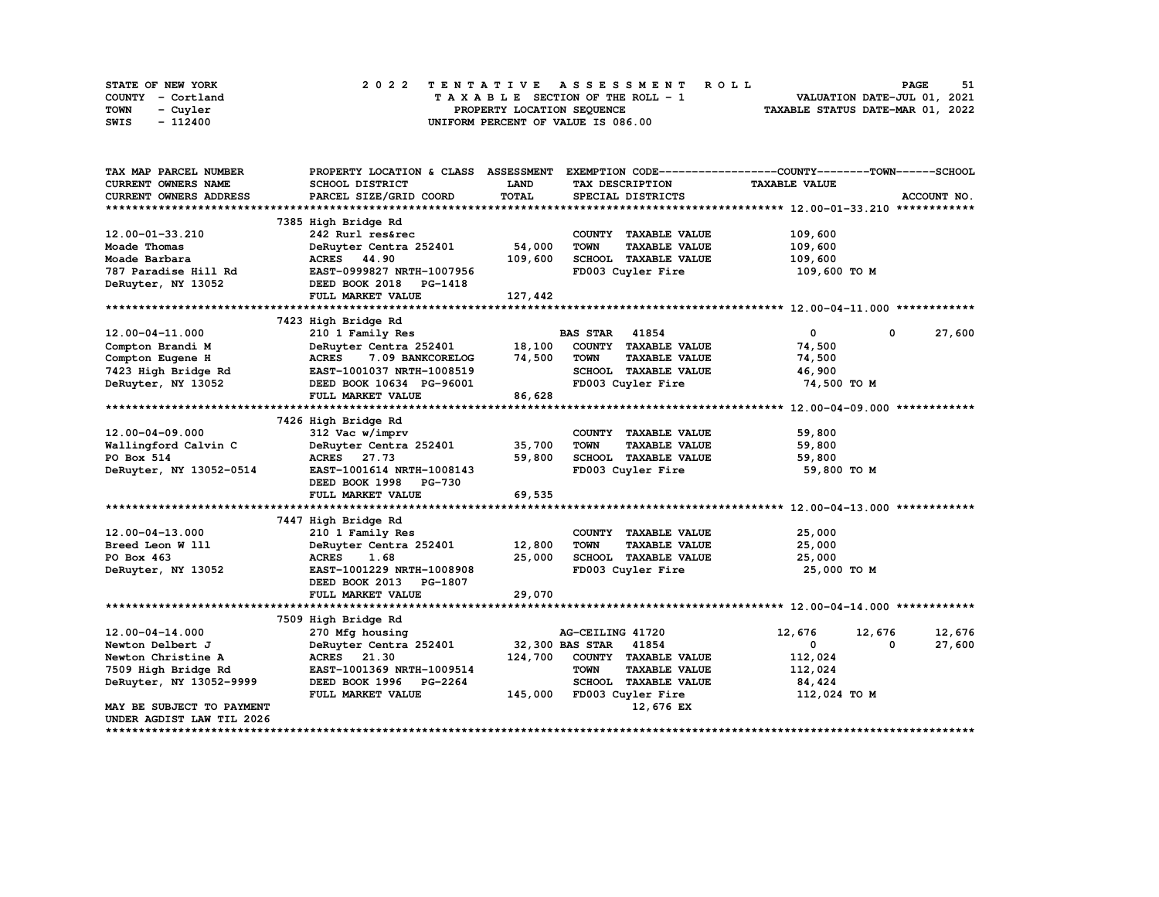| STATE OF NEW YORK | 2022 TENTATIVE ASSESSMENT ROLL     | 51<br><b>PAGE</b>                |
|-------------------|------------------------------------|----------------------------------|
| COUNTY - Cortland | TAXABLE SECTION OF THE ROLL - 1    | VALUATION DATE-JUL 01, 2021      |
| TOWN<br>- Cuyler  | PROPERTY LOCATION SEOUENCE         | TAXABLE STATUS DATE-MAR 01, 2022 |
| - 112400<br>SWIS  | UNIFORM PERCENT OF VALUE IS 086.00 |                                  |

| TAX MAP PARCEL NUMBER     | PROPERTY LOCATION & CLASS ASSESSMENT |         |                                     | EXEMPTION CODE-----------------COUNTY-------TOWN------SCHOOL |        |
|---------------------------|--------------------------------------|---------|-------------------------------------|--------------------------------------------------------------|--------|
| CURRENT OWNERS NAME       | SCHOOL DISTRICT                      | LAND    | TAX DESCRIPTION                     | <b>TAXABLE VALUE</b>                                         |        |
| CURRENT OWNERS ADDRESS    | PARCEL SIZE/GRID COORD               | TOTAL   | SPECIAL DISTRICTS                   | ACCOUNT NO.                                                  |        |
|                           |                                      |         |                                     |                                                              |        |
|                           | 7385 High Bridge Rd                  |         |                                     |                                                              |        |
| 12.00-01-33.210           | 242 Rurl res&rec                     |         | COUNTY TAXABLE VALUE                | 109,600                                                      |        |
| Moade Thomas              | DeRuyter Centra 252401               | 54,000  | <b>TOWN</b><br><b>TAXABLE VALUE</b> | 109,600                                                      |        |
| Moade Barbara             | ACRES 44.90                          | 109,600 | SCHOOL TAXABLE VALUE                | 109,600                                                      |        |
| 787 Paradise Hill Rd      | EAST-0999827 NRTH-1007956            |         | FD003 Cuyler Fire                   | 109,600 то м                                                 |        |
| DeRuyter, NY 13052        | DEED BOOK 2018 PG-1418               |         |                                     |                                                              |        |
|                           | FULL MARKET VALUE                    | 127,442 |                                     |                                                              |        |
|                           |                                      |         |                                     |                                                              |        |
|                           | 7423 High Bridge Rd                  |         |                                     |                                                              |        |
| $12.00 - 04 - 11.000$     | 210 1 Family Res                     |         | <b>BAS STAR 41854</b>               | $\mathbf 0$<br>$^{\circ}$                                    | 27,600 |
| Compton Brandi M          | DeRuyter Centra 252401               | 18,100  | COUNTY TAXABLE VALUE                | 74,500                                                       |        |
| Compton Eugene H          | <b>ACRES</b><br>7.09 BANKCORELOG     | 74,500  | <b>TOWN</b><br><b>TAXABLE VALUE</b> | 74,500                                                       |        |
| 7423 High Bridge Rd       | EAST-1001037 NRTH-1008519            |         | SCHOOL TAXABLE VALUE                | 46,900                                                       |        |
| DeRuyter, NY 13052        | DEED BOOK 10634 PG-96001             |         | FD003 Cuyler Fire                   | 74,500 TO M                                                  |        |
|                           | FULL MARKET VALUE                    | 86,628  |                                     |                                                              |        |
|                           |                                      |         |                                     |                                                              |        |
|                           | 7426 High Bridge Rd                  |         |                                     |                                                              |        |
| 12.00-04-09.000           | 312 Vac w/imprv                      |         | COUNTY TAXABLE VALUE                | 59,800                                                       |        |
| Wallingford Calvin C      | DeRuyter Centra 252401               | 35,700  | <b>TAXABLE VALUE</b><br><b>TOWN</b> | 59,800                                                       |        |
| PO Box 514                | ACRES 27.73                          | 59,800  | SCHOOL TAXABLE VALUE                | 59,800                                                       |        |
| DeRuyter, NY 13052-0514   | EAST-1001614 NRTH-1008143            |         | FD003 Cuyler Fire                   | 59,800 TO M                                                  |        |
|                           | DEED BOOK 1998 PG-730                |         |                                     |                                                              |        |
|                           | FULL MARKET VALUE                    | 69,535  |                                     |                                                              |        |
|                           |                                      |         |                                     |                                                              |        |
|                           | 7447 High Bridge Rd                  |         |                                     |                                                              |        |
| $12.00 - 04 - 13.000$     | 210 1 Family Res                     |         | COUNTY TAXABLE VALUE                | 25,000                                                       |        |
| Breed Leon W 111          | DeRuyter Centra 252401               | 12,800  | <b>TOWN</b><br><b>TAXABLE VALUE</b> | 25,000                                                       |        |
| PO Box 463                | <b>ACRES</b><br>1.68                 | 25,000  | SCHOOL TAXABLE VALUE                | 25,000                                                       |        |
| DeRuyter, NY 13052        | EAST-1001229 NRTH-1008908            |         | FD003 Cuyler Fire                   | 25,000 TO M                                                  |        |
|                           | DEED BOOK 2013 PG-1807               |         |                                     |                                                              |        |
|                           |                                      | 29,070  |                                     |                                                              |        |
|                           | FULL MARKET VALUE                    |         |                                     |                                                              |        |
|                           |                                      |         |                                     |                                                              |        |
|                           | 7509 High Bridge Rd                  |         |                                     |                                                              |        |
| $12.00 - 04 - 14.000$     | 270 Mfg housing                      |         | AG-CEILING 41720                    | 12,676<br>12,676                                             | 12,676 |
| Newton Delbert J          | DeRuyter Centra 252401               |         | 32,300 BAS STAR 41854               | 0<br>$\mathbf{0}$                                            | 27,600 |
| Newton Christine A        | ACRES 21.30                          | 124,700 | COUNTY TAXABLE VALUE                | 112,024                                                      |        |
| 7509 High Bridge Rd       | EAST-1001369 NRTH-1009514            |         | <b>TOWN</b><br><b>TAXABLE VALUE</b> | 112,024                                                      |        |
| DeRuyter, NY 13052-9999   | DEED BOOK 1996 PG-2264               |         | <b>SCHOOL TAXABLE VALUE</b>         | 84,424                                                       |        |
|                           | FULL MARKET VALUE                    | 145,000 | FD003 Cuyler Fire                   | 112,024 TO M                                                 |        |
| MAY BE SUBJECT TO PAYMENT |                                      |         | 12,676 EX                           |                                                              |        |
| UNDER AGDIST LAW TIL 2026 |                                      |         |                                     |                                                              |        |
|                           |                                      |         |                                     |                                                              |        |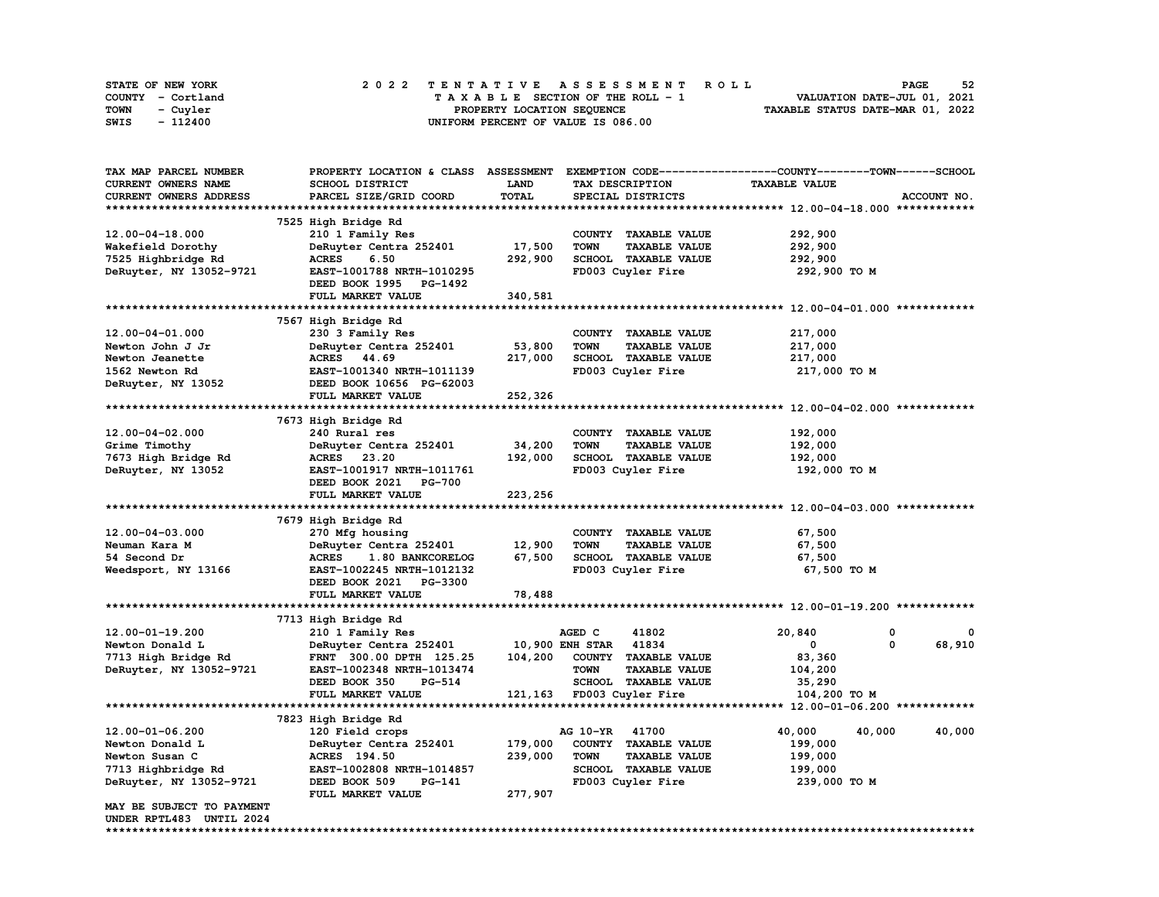| STATE OF NEW YORK | 2022 TENTATIVE ASSESSMENT ROLL     | 52<br><b>PAGE</b>                |
|-------------------|------------------------------------|----------------------------------|
| COUNTY - Cortland | TAXABLE SECTION OF THE ROLL - 1    | VALUATION DATE-JUL 01, 2021      |
| TOWN<br>- Cuyler  | PROPERTY LOCATION SEOUENCE         | TAXABLE STATUS DATE-MAR 01, 2022 |
| - 112400<br>SWIS  | UNIFORM PERCENT OF VALUE IS 086.00 |                                  |

| <b>TAX MAP PARCEL NUMBER</b>  | PROPERTY LOCATION & CLASS ASSESSMENT         |             |                                     | EXEMPTION CODE-----------------COUNTY-------TOWN------SCHOOL |
|-------------------------------|----------------------------------------------|-------------|-------------------------------------|--------------------------------------------------------------|
| CURRENT OWNERS NAME           | SCHOOL DISTRICT                              | <b>LAND</b> | TAX DESCRIPTION                     | <b>TAXABLE VALUE</b>                                         |
| <b>CURRENT OWNERS ADDRESS</b> | PARCEL SIZE/GRID COORD                       | TOTAL       | SPECIAL DISTRICTS                   | ACCOUNT NO.                                                  |
|                               |                                              |             |                                     |                                                              |
|                               |                                              |             |                                     |                                                              |
|                               | 7525 High Bridge Rd                          |             |                                     |                                                              |
| $12.00 - 04 - 18.000$         | 210 1 Family Res                             |             | COUNTY TAXABLE VALUE                | 292,900                                                      |
| Wakefield Dorothy             | DeRuyter Centra 252401                       | 17,500      | <b>TOWN</b><br><b>TAXABLE VALUE</b> | 292,900                                                      |
| 7525 Highbridge Rd            | 6.50<br><b>ACRES</b>                         | 292,900     | SCHOOL TAXABLE VALUE                | 292,900                                                      |
| DeRuyter, NY 13052-9721       | EAST-1001788 NRTH-1010295                    |             | FD003 Cuyler Fire                   | 292,900 TO M                                                 |
|                               | DEED BOOK 1995 PG-1492                       |             |                                     |                                                              |
|                               | FULL MARKET VALUE                            | 340,581     |                                     |                                                              |
|                               |                                              |             |                                     |                                                              |
|                               | 7567 High Bridge Rd                          |             |                                     |                                                              |
|                               |                                              |             |                                     |                                                              |
| 12.00-04-01.000               | 230 3 Family Res                             |             | COUNTY TAXABLE VALUE                | 217,000                                                      |
| Newton John J Jr              | DeRuyter Centra 252401                       | 53,800      | <b>TOWN</b><br><b>TAXABLE VALUE</b> | 217,000                                                      |
| Newton Jeanette               | ACRES 44.69                                  | 217,000     | SCHOOL TAXABLE VALUE                | 217,000                                                      |
| 1562 Newton Rd                | EAST-1001340 NRTH-1011139                    |             | FD003 Cuyler Fire                   | 217,000 TO M                                                 |
| DeRuyter, NY 13052            | DEED BOOK 10656 PG-62003                     |             |                                     |                                                              |
|                               | FULL MARKET VALUE                            | 252,326     |                                     |                                                              |
|                               |                                              |             |                                     |                                                              |
|                               | 7673 High Bridge Rd                          |             |                                     |                                                              |
| $12.00 - 04 - 02.000$         | 240 Rural res                                |             | COUNTY TAXABLE VALUE                | 192,000                                                      |
|                               |                                              |             |                                     |                                                              |
| Grime Timothy                 | DeRuyter Centra 252401                       | 34,200      | <b>TOWN</b><br><b>TAXABLE VALUE</b> | 192,000                                                      |
| 7673 High Bridge Rd           | ACRES 23.20                                  | 192,000     | SCHOOL TAXABLE VALUE                | 192,000                                                      |
| DeRuyter, NY 13052            | EAST-1001917 NRTH-1011761                    |             | FD003 Cuyler Fire                   | 192,000 то м                                                 |
|                               | DEED BOOK 2021 PG-700                        |             |                                     |                                                              |
|                               |                                              |             |                                     |                                                              |
|                               | FULL MARKET VALUE                            | 223,256     |                                     |                                                              |
|                               |                                              |             |                                     |                                                              |
|                               |                                              |             |                                     |                                                              |
|                               | 7679 High Bridge Rd                          |             |                                     |                                                              |
| $12.00 - 04 - 03.000$         | 270 Mfg housing                              |             | COUNTY TAXABLE VALUE                | 67,500                                                       |
| Neuman Kara M                 | DeRuyter Centra 252401                       | 12,900      | <b>TOWN</b><br><b>TAXABLE VALUE</b> | 67,500                                                       |
| 54 Second Dr                  | <b>ACRES</b><br>1.80 BANKCORELOG             | 67,500      | SCHOOL TAXABLE VALUE                | 67,500                                                       |
| Weedsport, NY 13166           | EAST-1002245 NRTH-1012132                    |             | FD003 Cuyler Fire                   | 67,500 TO M                                                  |
|                               | DEED BOOK 2021 PG-3300                       |             |                                     |                                                              |
|                               | FULL MARKET VALUE                            | 78,488      |                                     |                                                              |
|                               |                                              |             |                                     |                                                              |
|                               |                                              |             |                                     |                                                              |
|                               | 7713 High Bridge Rd                          |             |                                     | 0                                                            |
| 12.00-01-19.200               | 210 1 Family Res                             |             | AGED C<br>41802                     | 20,840<br>0                                                  |
| Newton Donald L               | DeRuyter Centra 252401 10,900 ENH STAR 41834 |             |                                     | 0<br>68,910<br>0                                             |
| 7713 High Bridge Rd           | FRNT 300.00 DPTH 125.25                      |             | 104,200 COUNTY TAXABLE VALUE        | 83,360                                                       |
| DeRuyter, NY 13052-9721       | EAST-1002348 NRTH-1013474                    |             | <b>TOWN</b><br><b>TAXABLE VALUE</b> | 104,200                                                      |
|                               | DEED BOOK 350<br>PG-514                      |             | SCHOOL TAXABLE VALUE                | 35,290                                                       |
|                               | FULL MARKET VALUE                            |             | 121,163 FD003 Cuyler Fire           | 104,200 TO M                                                 |
|                               |                                              |             |                                     |                                                              |
|                               | 7823 High Bridge Rd                          |             |                                     |                                                              |
| 12.00-01-06.200               |                                              |             | AG 10-YR 41700                      | 40,000                                                       |
|                               | 120 Field crops                              |             |                                     | 40,000<br>40,000                                             |
| Newton Donald L               | DeRuyter Centra 252401                       | 179,000     | COUNTY TAXABLE VALUE                | 199,000                                                      |
| Newton Susan C                | ACRES 194.50                                 | 239,000     | <b>TOWN</b><br><b>TAXABLE VALUE</b> | 199,000                                                      |
| 7713 Highbridge Rd            | EAST-1002808 NRTH-1014857                    |             | SCHOOL TAXABLE VALUE                | 199,000                                                      |
| DeRuyter, NY 13052-9721       | DEED BOOK 509<br>PG-141                      |             | FD003 Cuyler Fire                   | 239,000 то м                                                 |
|                               | FULL MARKET VALUE                            | 277,907     |                                     |                                                              |
| MAY BE SUBJECT TO PAYMENT     |                                              |             |                                     |                                                              |
| UNDER RPTL483 UNTIL 2024      |                                              |             |                                     |                                                              |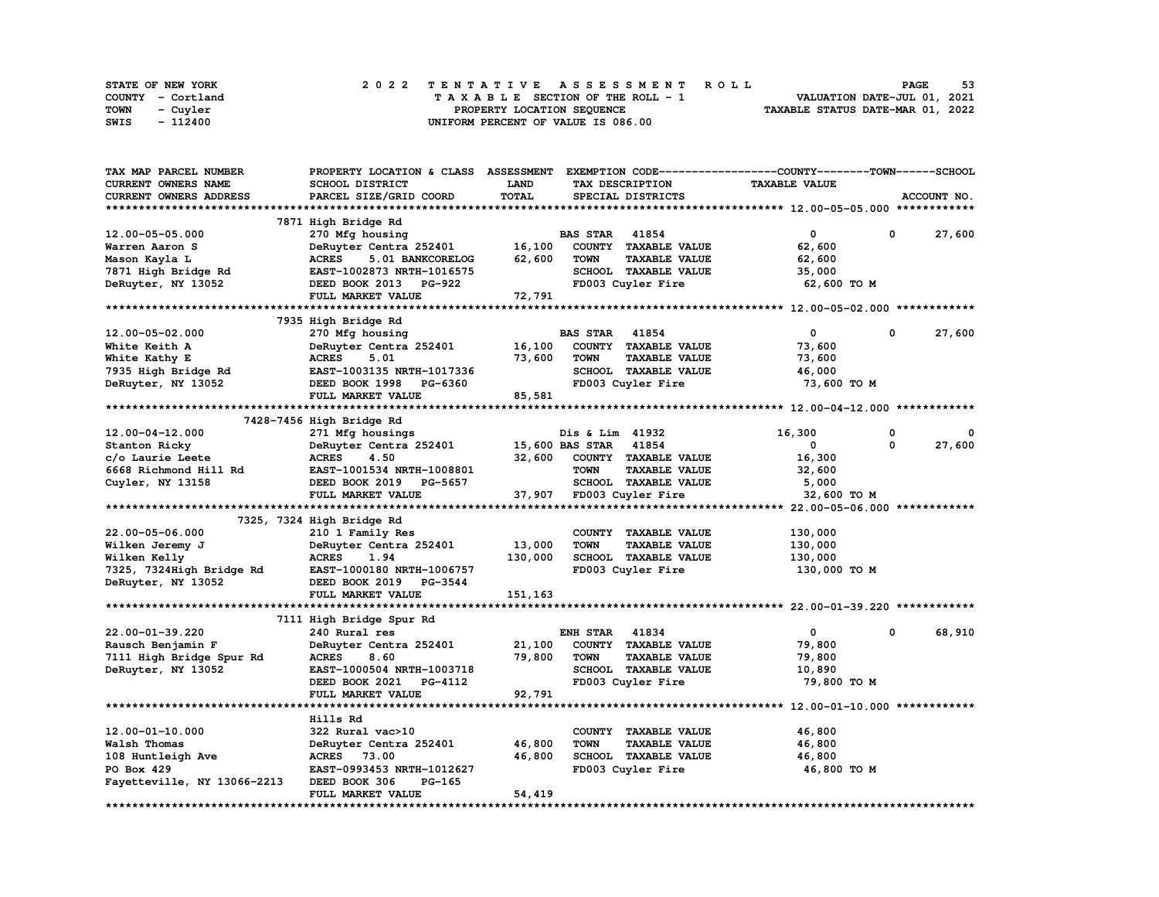| STATE OF NEW YORK | 2022 TENTATIVE ASSESSMENT ROLL          | 53<br><b>PAGE</b>                |
|-------------------|-----------------------------------------|----------------------------------|
| COUNTY - Cortland | $T A X A B L E$ SECTION OF THE ROLL - 1 | VALUATION DATE-JUL 01, 2021      |
| TOWN<br>- Cuyler  | PROPERTY LOCATION SEQUENCE              | TAXABLE STATUS DATE-MAR 01, 2022 |
| SWIS<br>- 112400  | UNIFORM PERCENT OF VALUE IS 086.00      |                                  |

| TAX MAP PARCEL NUMBER       | PROPERTY LOCATION & CLASS        | <b>ASSESSMENT</b> |                       |                      | EXEMPTION CODE-----------------COUNTY-------TOWN-----SCHOOL |   |             |
|-----------------------------|----------------------------------|-------------------|-----------------------|----------------------|-------------------------------------------------------------|---|-------------|
| <b>CURRENT OWNERS NAME</b>  | SCHOOL DISTRICT                  | LAND              |                       | TAX DESCRIPTION      | <b>TAXABLE VALUE</b>                                        |   |             |
| CURRENT OWNERS ADDRESS      | PARCEL SIZE/GRID COORD           | TOTAL             |                       | SPECIAL DISTRICTS    |                                                             |   | ACCOUNT NO. |
|                             |                                  |                   |                       |                      |                                                             |   |             |
|                             | 7871 High Bridge Rd              |                   |                       |                      |                                                             |   |             |
| 12.00-05-05.000             | 270 Mfg housing                  |                   | <b>BAS STAR 41854</b> |                      | 0                                                           | 0 | 27,600      |
| Warren Aaron S              | DeRuyter Centra 252401           | 16,100            |                       | COUNTY TAXABLE VALUE | 62,600                                                      |   |             |
| Mason Kayla L               | <b>ACRES</b><br>5.01 BANKCORELOG | 62,600            | <b>TOWN</b>           | <b>TAXABLE VALUE</b> | 62,600                                                      |   |             |
| 7871 High Bridge Rd         | EAST-1002873 NRTH-1016575        |                   |                       | SCHOOL TAXABLE VALUE | 35,000                                                      |   |             |
| DeRuyter, NY 13052          | DEED BOOK 2013 PG-922            |                   |                       | FD003 Cuyler Fire    | 62,600 TO M                                                 |   |             |
|                             |                                  |                   |                       |                      |                                                             |   |             |
|                             | FULL MARKET VALUE                | 72,791            |                       |                      |                                                             |   |             |
|                             |                                  |                   |                       |                      |                                                             |   |             |
|                             | 7935 High Bridge Rd              |                   |                       |                      |                                                             |   |             |
| 12.00-05-02.000             | 270 Mfg housing                  |                   | <b>BAS STAR 41854</b> |                      | $\mathbf 0$                                                 | 0 | 27,600      |
| White Keith A               | DeRuyter Centra 252401           | 16,100            |                       | COUNTY TAXABLE VALUE | 73,600                                                      |   |             |
| White Kathy E               | <b>ACRES</b><br>5.01             | 73,600            | <b>TOWN</b>           | <b>TAXABLE VALUE</b> | 73,600                                                      |   |             |
| 7935 High Bridge Rd         | EAST-1003135 NRTH-1017336        |                   |                       | SCHOOL TAXABLE VALUE | 46,000                                                      |   |             |
| DeRuyter, NY 13052          | DEED BOOK 1998 PG-6360           |                   |                       | FD003 Cuyler Fire    | 73,600 TO M                                                 |   |             |
|                             | FULL MARKET VALUE                | 85,581            |                       |                      |                                                             |   |             |
|                             |                                  |                   |                       |                      |                                                             |   |             |
|                             | 7428-7456 High Bridge Rd         |                   |                       |                      |                                                             |   |             |
| $12.00 - 04 - 12.000$       | 271 Mfg housings                 |                   | Dis & Lim 41932       |                      | 16,300                                                      | 0 |             |
| Stanton Ricky               | DeRuyter Centra 252401           |                   | 15,600 BAS STAR       | 41854                | 0                                                           | 0 | 27,600      |
| c/o Laurie Leete            | <b>ACRES</b><br>4.50             | 32,600            |                       | COUNTY TAXABLE VALUE | 16,300                                                      |   |             |
| 6668 Richmond Hill Rd       | EAST-1001534 NRTH-1008801        |                   | <b>TOWN</b>           | <b>TAXABLE VALUE</b> | 32,600                                                      |   |             |
| Cuyler, NY 13158            | DEED BOOK 2019 PG-5657           |                   |                       | SCHOOL TAXABLE VALUE | 5,000                                                       |   |             |
|                             | FULL MARKET VALUE                | 37,907            |                       | FD003 Cuyler Fire    | 32,600 TO M                                                 |   |             |
|                             |                                  |                   |                       |                      |                                                             |   |             |
|                             | 7325, 7324 High Bridge Rd        |                   |                       |                      |                                                             |   |             |
| 22.00-05-06.000             | 210 1 Family Res                 |                   |                       | COUNTY TAXABLE VALUE | 130,000                                                     |   |             |
| Wilken Jeremy J             | DeRuyter Centra 252401           | 13,000            | <b>TOWN</b>           | <b>TAXABLE VALUE</b> | 130,000                                                     |   |             |
| Wilken Kelly                | <b>ACRES</b><br>1.94             | 130,000           |                       | SCHOOL TAXABLE VALUE | 130,000                                                     |   |             |
| 7325, 7324High Bridge Rd    | EAST-1000180 NRTH-1006757        |                   |                       | FD003 Cuyler Fire    | 130,000 TO M                                                |   |             |
| DeRuyter, NY 13052          | DEED BOOK 2019 PG-3544           |                   |                       |                      |                                                             |   |             |
|                             | FULL MARKET VALUE                | 151,163           |                       |                      |                                                             |   |             |
|                             |                                  |                   |                       |                      |                                                             |   |             |
|                             | 7111 High Bridge Spur Rd         |                   |                       |                      |                                                             |   |             |
| 22.00-01-39.220             | 240 Rural res                    |                   | <b>ENH STAR</b>       | 41834                | $\mathbf{0}$                                                | 0 | 68,910      |
|                             |                                  |                   |                       |                      |                                                             |   |             |
| Rausch Benjamin F           | DeRuyter Centra 252401           | 21,100            |                       | COUNTY TAXABLE VALUE | 79,800                                                      |   |             |
| 7111 High Bridge Spur Rd    | <b>ACRES</b><br>8.60             | 79,800            | <b>TOWN</b>           | <b>TAXABLE VALUE</b> | 79,800                                                      |   |             |
| DeRuyter, NY 13052          | EAST-1000504 NRTH-1003718        |                   |                       | SCHOOL TAXABLE VALUE | 10,890                                                      |   |             |
|                             | DEED BOOK 2021 PG-4112           |                   |                       | FD003 Cuyler Fire    | 79,800 TO M                                                 |   |             |
|                             | FULL MARKET VALUE                | 92,791            |                       |                      |                                                             |   |             |
|                             |                                  |                   |                       |                      |                                                             |   |             |
|                             | Hills Rd                         |                   |                       |                      |                                                             |   |             |
| 12.00-01-10.000             | 322 Rural vac>10                 |                   |                       | COUNTY TAXABLE VALUE | 46,800                                                      |   |             |
| Walsh Thomas                | DeRuyter Centra 252401           | 46,800            | <b>TOWN</b>           | <b>TAXABLE VALUE</b> | 46,800                                                      |   |             |
| 108 Huntleigh Ave           | <b>ACRES</b> 73.00               | 46,800            |                       | SCHOOL TAXABLE VALUE | 46,800                                                      |   |             |
| PO Box 429                  | EAST-0993453 NRTH-1012627        |                   |                       | FD003 Cuyler Fire    | 46,800 TO M                                                 |   |             |
| Fayetteville, NY 13066-2213 | DEED BOOK 306<br>PG-165          |                   |                       |                      |                                                             |   |             |
|                             | FULL MARKET VALUE                | 54,419            |                       |                      |                                                             |   |             |
| ******************          |                                  |                   |                       |                      |                                                             |   |             |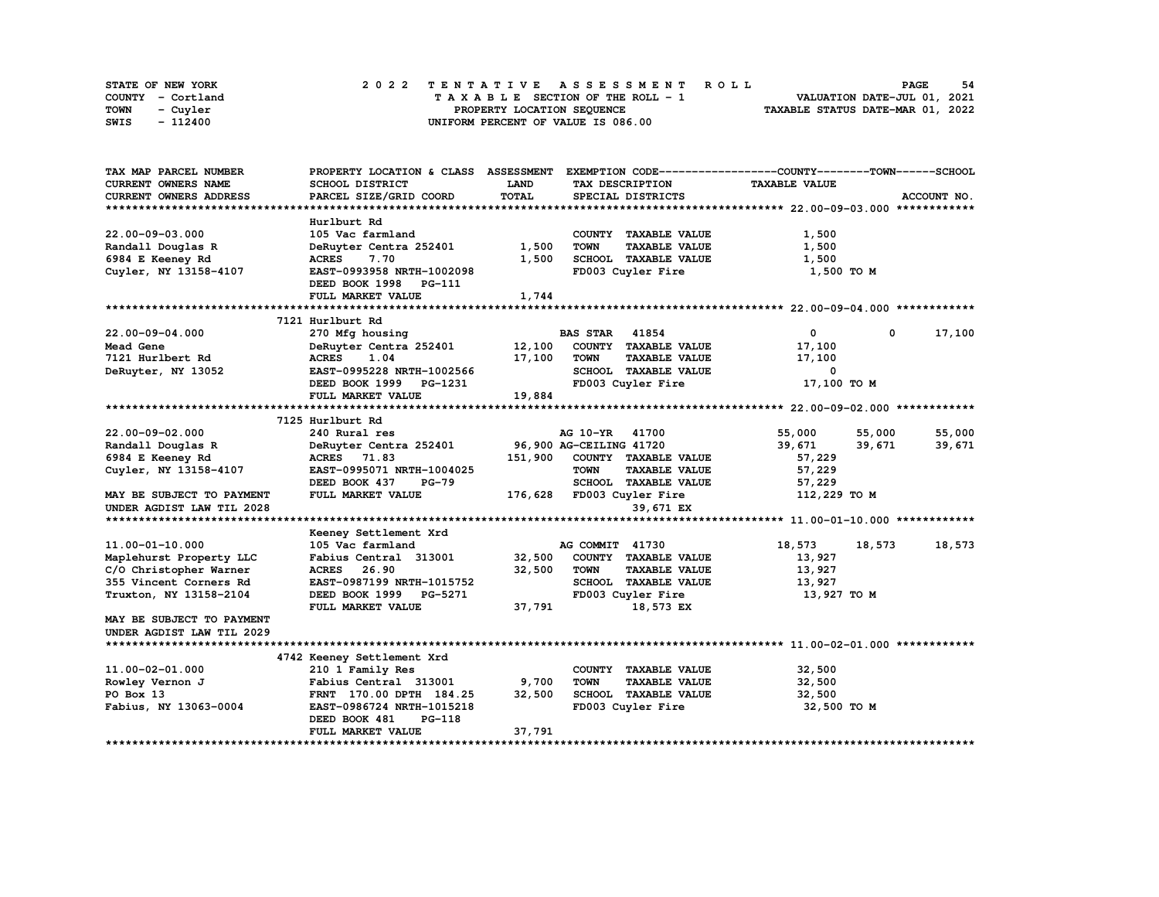| STATE OF NEW YORK | 2022 TENTATIVE ASSESSMENT ROLL          | - 54<br>PAGE                     |
|-------------------|-----------------------------------------|----------------------------------|
| COUNTY - Cortland | $T A X A B L E$ SECTION OF THE ROLL - 1 | VALUATION DATE-JUL 01, 2021      |
| TOWN<br>- Cuyler  | PROPERTY LOCATION SEOUENCE              | TAXABLE STATUS DATE-MAR 01, 2022 |
| - 112400<br>SWIS  | UNIFORM PERCENT OF VALUE IS 086.00      |                                  |

| TAX MAP PARCEL NUMBER     | PROPERTY LOCATION & CLASS ASSESSMENT |         |                                     | EXEMPTION CODE-----------------COUNTY-------TOWN------SCHOOL |             |
|---------------------------|--------------------------------------|---------|-------------------------------------|--------------------------------------------------------------|-------------|
| CURRENT OWNERS NAME       | SCHOOL DISTRICT                      | LAND    | TAX DESCRIPTION                     | <b>TAXABLE VALUE</b>                                         |             |
| CURRENT OWNERS ADDRESS    | PARCEL SIZE/GRID COORD               | TOTAL   | SPECIAL DISTRICTS                   |                                                              | ACCOUNT NO. |
|                           |                                      |         |                                     |                                                              |             |
|                           | Hurlburt Rd                          |         |                                     |                                                              |             |
| 22.00-09-03.000           | 105 Vac farmland                     |         | COUNTY TAXABLE VALUE                | 1,500                                                        |             |
| Randall Douglas R         | DeRuyter Centra 252401               | 1,500   | <b>TOWN</b><br><b>TAXABLE VALUE</b> | 1,500                                                        |             |
| 6984 E Keeney Rd          | <b>ACRES</b><br>7.70                 | 1,500   | SCHOOL TAXABLE VALUE                | 1,500                                                        |             |
| Cuyler, NY 13158-4107     | EAST-0993958 NRTH-1002098            |         | FD003 Cuyler Fire                   | 1,500 TO M                                                   |             |
|                           | DEED BOOK 1998 PG-111                |         |                                     |                                                              |             |
|                           | FULL MARKET VALUE                    | 1,744   |                                     |                                                              |             |
|                           |                                      |         |                                     |                                                              |             |
|                           | 7121 Hurlburt Rd                     |         |                                     |                                                              |             |
| $22.00 - 09 - 04.000$     | 270 Mfg housing                      |         | <b>BAS STAR</b><br>41854            | $\mathbf{0}$<br>$^{\circ}$                                   | 17,100      |
| Mead Gene                 | DeRuyter Centra 252401               | 12,100  | COUNTY TAXABLE VALUE                | 17,100                                                       |             |
| 7121 Hurlbert Rd          | <b>ACRES</b><br>1.04                 | 17,100  | <b>TOWN</b><br><b>TAXABLE VALUE</b> | 17,100                                                       |             |
| DeRuyter, NY 13052        | EAST-0995228 NRTH-1002566            |         | SCHOOL TAXABLE VALUE                | 0                                                            |             |
|                           | DEED BOOK 1999 PG-1231               |         | FD003 Cuyler Fire                   | 17,100 TO M                                                  |             |
|                           | FULL MARKET VALUE                    | 19,884  |                                     |                                                              |             |
|                           |                                      |         |                                     |                                                              |             |
|                           | 7125 Hurlburt Rd                     |         |                                     |                                                              |             |
| $22.00 - 09 - 02.000$     | 240 Rural res                        |         | AG 10-YR 41700                      | 55,000<br>55,000                                             | 55,000      |
| Randall Douglas R         | DeRuyter Centra 252401               |         | 96,900 AG-CEILING 41720             | 39,671<br>39,671                                             | 39,671      |
| 6984 E Keeney Rd          | ACRES 71.83                          | 151,900 | COUNTY TAXABLE VALUE                | 57,229                                                       |             |
| Cuyler, NY 13158-4107     | EAST-0995071 NRTH-1004025            |         | <b>TAXABLE VALUE</b><br><b>TOWN</b> | 57,229                                                       |             |
|                           | DEED BOOK 437<br>$PG-79$             |         | SCHOOL TAXABLE VALUE                | 57,229                                                       |             |
| MAY BE SUBJECT TO PAYMENT | FULL MARKET VALUE                    |         | 176,628 FD003 Cuyler Fire           | 112,229 TO M                                                 |             |
| UNDER AGDIST LAW TIL 2028 |                                      |         | 39,671 EX                           |                                                              |             |
|                           |                                      |         |                                     |                                                              |             |
|                           | Keeney Settlement Xrd                |         |                                     |                                                              |             |
| 11.00-01-10.000           | 105 Vac farmland                     |         | AG COMMIT 41730                     | 18,573<br>18,573                                             | 18,573      |
| Maplehurst Property LLC   | Fabius Central 313001                | 32,500  | COUNTY TAXABLE VALUE                | 13,927                                                       |             |
| C/O Christopher Warner    | ACRES 26.90                          | 32,500  | <b>TOWN</b><br><b>TAXABLE VALUE</b> | 13,927                                                       |             |
| 355 Vincent Corners Rd    | EAST-0987199 NRTH-1015752            |         | SCHOOL TAXABLE VALUE                | 13,927                                                       |             |
| Truxton, NY 13158-2104    | DEED BOOK 1999 PG-5271               |         | FD003 Cuyler Fire                   | 13,927 TO M                                                  |             |
|                           | FULL MARKET VALUE                    | 37,791  | 18,573 EX                           |                                                              |             |
| MAY BE SUBJECT TO PAYMENT |                                      |         |                                     |                                                              |             |
| UNDER AGDIST LAW TIL 2029 |                                      |         |                                     |                                                              |             |
|                           |                                      |         |                                     |                                                              |             |
|                           | 4742 Keeney Settlement Xrd           |         |                                     |                                                              |             |
| 11.00-02-01.000           | 210 1 Family Res                     |         | COUNTY TAXABLE VALUE                | 32,500                                                       |             |
| Rowley Vernon J           | Fabius Central 313001                | 9,700   | <b>TOWN</b><br><b>TAXABLE VALUE</b> | 32,500                                                       |             |
| PO Box 13                 | FRNT 170.00 DPTH 184.25              | 32,500  | SCHOOL TAXABLE VALUE                | 32,500                                                       |             |
| Fabius, NY 13063-0004     | EAST-0986724 NRTH-1015218            |         | FD003 Cuyler Fire                   | 32,500 TO M                                                  |             |
|                           | DEED BOOK 481<br>PG-118              |         |                                     |                                                              |             |
|                           | FULL MARKET VALUE                    | 37,791  |                                     |                                                              |             |
|                           |                                      |         |                                     |                                                              |             |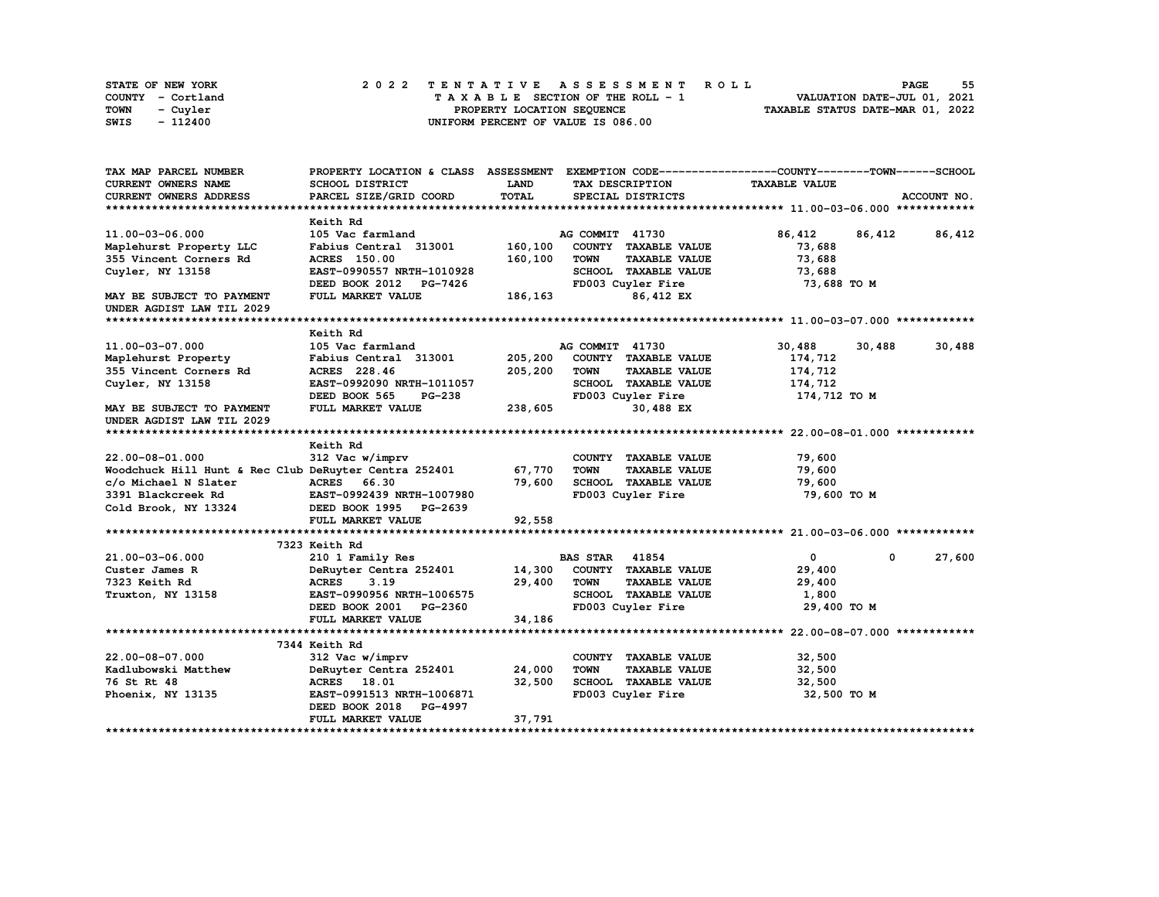| <b>STATE OF NEW YORK</b> | 2022 TENTATIVE ASSESSMENT ROLL          | 55<br><b>PAGE</b>                |
|--------------------------|-----------------------------------------|----------------------------------|
| COUNTY - Cortland        | $T A X A B L E$ SECTION OF THE ROLL - 1 | VALUATION DATE-JUL 01, 2021      |
| TOWN<br>- Cuyler         | PROPERTY LOCATION SEQUENCE              | TAXABLE STATUS DATE-MAR 01, 2022 |
| - 112400<br>SWIS         | UNIFORM PERCENT OF VALUE IS 086.00      |                                  |

| TAX MAP PARCEL NUMBER                                 | PROPERTY LOCATION & CLASS ASSESSMENT EXEMPTION CODE----------------COUNTY-------TOWN------SCHOOL |             |                       |                      |                      |             |               |
|-------------------------------------------------------|--------------------------------------------------------------------------------------------------|-------------|-----------------------|----------------------|----------------------|-------------|---------------|
| <b>CURRENT OWNERS NAME</b>                            | SCHOOL DISTRICT                                                                                  | <b>LAND</b> |                       | TAX DESCRIPTION      | <b>TAXABLE VALUE</b> |             |               |
| CURRENT OWNERS ADDRESS                                | PARCEL SIZE/GRID COORD                                                                           | TOTAL       |                       | SPECIAL DISTRICTS    |                      |             | ACCOUNT NO.   |
|                                                       |                                                                                                  |             |                       |                      |                      |             |               |
|                                                       | Keith Rd                                                                                         |             |                       |                      |                      |             |               |
| 11.00-03-06.000                                       | 105 Vac farmland                                                                                 |             | AG COMMIT 41730       |                      | 86,412               |             | 86,412 86,412 |
| Maplehurst Property LLC                               | Fabius Central 313001                                                                            | 160,100     |                       | COUNTY TAXABLE VALUE | 73,688               |             |               |
| 355 Vincent Corners Rd                                | <b>ACRES</b> 150.00                                                                              | 160,100     | <b>TOWN</b>           | <b>TAXABLE VALUE</b> | 73,688               |             |               |
| Cuyler, NY 13158                                      | EAST-0990557 NRTH-1010928                                                                        |             |                       | SCHOOL TAXABLE VALUE | 73,688               |             |               |
|                                                       | DEED BOOK 2012 PG-7426                                                                           |             |                       | FD003 Cuyler Fire    | 73,688 TO M          |             |               |
| MAY BE SUBJECT TO PAYMENT                             | FULL MARKET VALUE                                                                                | 186, 163    |                       | 86,412 EX            |                      |             |               |
| UNDER AGDIST LAW TIL 2029                             |                                                                                                  |             |                       |                      |                      |             |               |
|                                                       |                                                                                                  |             |                       |                      |                      |             |               |
|                                                       | Keith Rd                                                                                         |             |                       |                      |                      |             |               |
| 11.00-03-07.000                                       | 105 Vac farmland                                                                                 |             | AG COMMIT 41730       |                      | 30,488               | 30,488      | 30,488        |
| Maplehurst Property                                   | Fabius Central 313001                                                                            | 205,200     |                       | COUNTY TAXABLE VALUE | 174,712              |             |               |
| 355 Vincent Corners Rd                                | ACRES 228.46                                                                                     | 205,200     | <b>TOWN</b>           | <b>TAXABLE VALUE</b> | 174,712              |             |               |
| Cuyler, NY 13158                                      | EAST-0992090 NRTH-1011057                                                                        |             |                       | SCHOOL TAXABLE VALUE | 174,712              |             |               |
|                                                       | DEED BOOK 565<br>PG-238                                                                          |             |                       | FD003 Cuyler Fire    | 174,712 TO M         |             |               |
| MAY BE SUBJECT TO PAYMENT                             | FULL MARKET VALUE                                                                                | 238,605     |                       | 30,488 EX            |                      |             |               |
| UNDER AGDIST LAW TIL 2029                             |                                                                                                  |             |                       |                      |                      |             |               |
|                                                       |                                                                                                  |             |                       |                      |                      |             |               |
|                                                       | Keith Rd                                                                                         |             |                       |                      |                      |             |               |
| 22.00-08-01.000                                       | 312 Vac w/imprv                                                                                  |             |                       | COUNTY TAXABLE VALUE | 79,600               |             |               |
| Woodchuck Hill Hunt & Rec Club DeRuyter Centra 252401 |                                                                                                  | 67,770      | <b>TOWN</b>           | <b>TAXABLE VALUE</b> | 79,600               |             |               |
| c/o Michael N Slater                                  | ACRES 66.30                                                                                      | 79,600      |                       | SCHOOL TAXABLE VALUE | 79,600               |             |               |
| 3391 Blackcreek Rd                                    | EAST-0992439 NRTH-1007980                                                                        |             |                       | FD003 Cuyler Fire    | 79,600 TO M          |             |               |
| Cold Brook, NY 13324                                  | DEED BOOK 1995 PG-2639                                                                           |             |                       |                      |                      |             |               |
|                                                       | FULL MARKET VALUE                                                                                | 92,558      |                       |                      |                      |             |               |
|                                                       |                                                                                                  |             |                       |                      |                      |             |               |
|                                                       | 7323 Keith Rd                                                                                    |             |                       |                      |                      |             |               |
| 21.00-03-06.000                                       | 210 1 Family Res                                                                                 |             | <b>BAS STAR</b> 41854 |                      | $\mathbf{0}$         | $\mathbf 0$ | 27,600        |
| Custer James R                                        | DeRuyter Centra 252401                                                                           | 14,300      |                       | COUNTY TAXABLE VALUE |                      |             |               |
|                                                       |                                                                                                  | 29,400      |                       |                      | 29,400               |             |               |
| 7323 Keith Rd                                         | <b>ACRES</b><br>3.19                                                                             |             | TOWN                  | <b>TAXABLE VALUE</b> | 29,400               |             |               |
| Truxton, NY 13158                                     | EAST-0990956 NRTH-1006575                                                                        |             |                       | SCHOOL TAXABLE VALUE | 1,800                |             |               |
|                                                       | DEED BOOK 2001 PG-2360                                                                           |             |                       | FD003 Cuyler Fire    | 29,400 TO M          |             |               |
|                                                       | FULL MARKET VALUE                                                                                | 34,186      |                       |                      |                      |             |               |
|                                                       |                                                                                                  |             |                       |                      |                      |             |               |
|                                                       | 7344 Keith Rd                                                                                    |             |                       |                      |                      |             |               |
| 22.00-08-07.000                                       | 312 Vac w/imprv                                                                                  |             |                       | COUNTY TAXABLE VALUE | 32,500               |             |               |
| Kadlubowski Matthew                                   | DeRuyter Centra 252401                                                                           | 24,000      | <b>TOWN</b>           | <b>TAXABLE VALUE</b> | 32,500               |             |               |
| 76 St Rt 48                                           | ACRES 18.01                                                                                      | 32,500      |                       | SCHOOL TAXABLE VALUE | 32,500               |             |               |
| Phoenix, NY 13135                                     | EAST-0991513 NRTH-1006871                                                                        |             |                       | FD003 Cuyler Fire    | 32,500 TO M          |             |               |
|                                                       | DEED BOOK 2018 PG-4997                                                                           |             |                       |                      |                      |             |               |
|                                                       | FULL MARKET VALUE                                                                                | 37,791      |                       |                      |                      |             |               |
|                                                       |                                                                                                  |             |                       |                      |                      |             |               |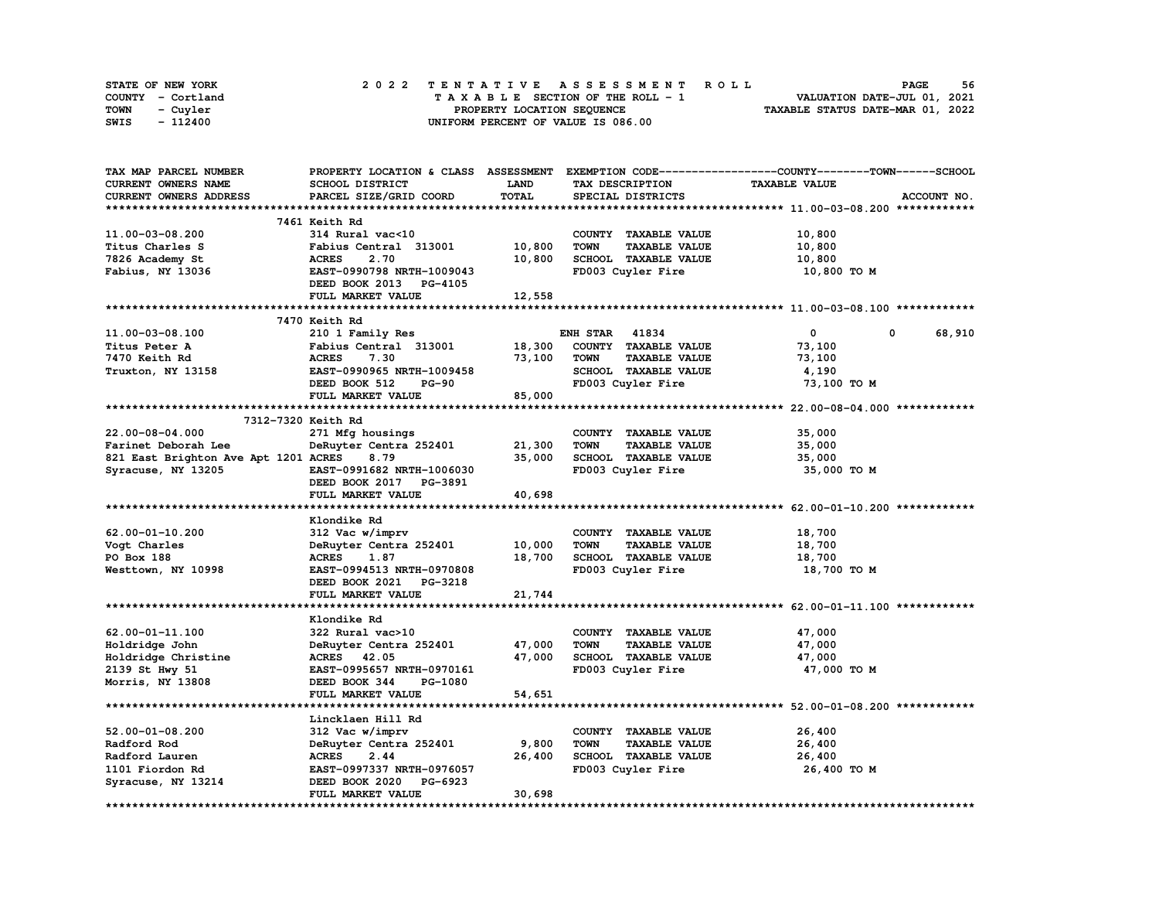|      | STATE OF NEW YORK |  | 2022 TENTATIVE ASSESSMENT ROLL |  |  |  |                                    |  |  |  |  |  |  |                                  |  | <b>PAGE</b> | 56 |
|------|-------------------|--|--------------------------------|--|--|--|------------------------------------|--|--|--|--|--|--|----------------------------------|--|-------------|----|
|      | COUNTY - Cortland |  |                                |  |  |  | TAXABLE SECTION OF THE ROLL - 1    |  |  |  |  |  |  | VALUATION DATE-JUL 01, 2021      |  |             |    |
| TOWN | - Cuvler          |  |                                |  |  |  | PROPERTY LOCATION SEQUENCE         |  |  |  |  |  |  | TAXABLE STATUS DATE-MAR 01, 2022 |  |             |    |
| SWIS | - 112400          |  |                                |  |  |  | UNIFORM PERCENT OF VALUE IS 086.00 |  |  |  |  |  |  |                                  |  |             |    |

| TAX MAP PARCEL NUMBER                | PROPERTY LOCATION & CLASS ASSESSMENT |        |                                     | EXEMPTION CODE-----------------COUNTY-------TOWN------SCHOOL |
|--------------------------------------|--------------------------------------|--------|-------------------------------------|--------------------------------------------------------------|
| <b>CURRENT OWNERS NAME</b>           | SCHOOL DISTRICT                      | LAND   | TAX DESCRIPTION                     | <b>TAXABLE VALUE</b>                                         |
| CURRENT OWNERS ADDRESS               | PARCEL SIZE/GRID COORD               | TOTAL  | SPECIAL DISTRICTS                   | ACCOUNT NO.                                                  |
|                                      |                                      |        |                                     |                                                              |
|                                      | 7461 Keith Rd                        |        |                                     |                                                              |
| 11.00-03-08.200                      | 314 Rural vac<10                     |        | COUNTY TAXABLE VALUE                | 10,800                                                       |
| Titus Charles S                      | Fabius Central 313001                | 10,800 | <b>TOWN</b><br><b>TAXABLE VALUE</b> | 10,800                                                       |
| 7826 Academy St                      | <b>ACRES</b><br>2.70                 | 10,800 | SCHOOL TAXABLE VALUE                | 10,800                                                       |
| Fabius, NY 13036                     | EAST-0990798 NRTH-1009043            |        | FD003 Cuyler Fire                   | 10,800 TO M                                                  |
|                                      | DEED BOOK 2013 PG-4105               |        |                                     |                                                              |
|                                      | FULL MARKET VALUE                    | 12,558 |                                     |                                                              |
|                                      |                                      |        |                                     |                                                              |
|                                      | 7470 Keith Rd                        |        |                                     |                                                              |
| 11.00-03-08.100                      | 210 1 Family Res                     |        | 41834<br><b>ENH STAR</b>            | $\mathbf 0$<br>0<br>68,910                                   |
| Titus Peter A                        | Fabius Central 313001                | 18,300 | COUNTY TAXABLE VALUE                | 73,100                                                       |
| 7470 Keith Rd                        | <b>ACRES</b><br>7.30                 | 73,100 | <b>TOWN</b><br><b>TAXABLE VALUE</b> | 73,100                                                       |
| Truxton, NY 13158                    | EAST-0990965 NRTH-1009458            |        | SCHOOL TAXABLE VALUE                | 4,190                                                        |
|                                      | DEED BOOK 512<br><b>PG-90</b>        |        | FD003 Cuyler Fire                   | 73,100 TO M                                                  |
|                                      | FULL MARKET VALUE                    | 85,000 |                                     |                                                              |
|                                      |                                      |        |                                     |                                                              |
| 7312-7320 Keith Rd                   |                                      |        |                                     |                                                              |
| 22.00-08-04.000                      | 271 Mfg housings                     |        | COUNTY TAXABLE VALUE                | 35,000                                                       |
| Farinet Deborah Lee                  | DeRuyter Centra 252401               | 21,300 | <b>TAXABLE VALUE</b><br><b>TOWN</b> | 35,000                                                       |
| 821 East Brighton Ave Apt 1201 ACRES | 8.79                                 | 35,000 | <b>SCHOOL TAXABLE VALUE</b>         | 35,000                                                       |
| Syracuse, NY 13205                   | EAST-0991682 NRTH-1006030            |        | FD003 Cuyler Fire                   | 35,000 TO M                                                  |
|                                      | DEED BOOK 2017 PG-3891               |        |                                     |                                                              |
|                                      | FULL MARKET VALUE                    | 40,698 |                                     |                                                              |
|                                      |                                      |        |                                     |                                                              |
|                                      | Klondike Rd                          |        |                                     |                                                              |
| $62.00 - 01 - 10.200$                | 312 Vac w/imprv                      |        | COUNTY TAXABLE VALUE                | 18,700                                                       |
| Voqt Charles                         | DeRuyter Centra 252401               | 10,000 | <b>TOWN</b><br><b>TAXABLE VALUE</b> | 18,700                                                       |
| PO Box 188                           | ACRES<br>1.87                        | 18,700 | SCHOOL TAXABLE VALUE                | 18,700                                                       |
| Westtown, NY 10998                   | EAST-0994513 NRTH-0970808            |        | FD003 Cuyler Fire                   | 18,700 TO M                                                  |
|                                      | DEED BOOK 2021 PG-3218               |        |                                     |                                                              |
|                                      | FULL MARKET VALUE                    | 21,744 |                                     |                                                              |
|                                      |                                      |        |                                     |                                                              |
|                                      | Klondike Rd                          |        |                                     |                                                              |
| 62.00-01-11.100                      | 322 Rural vac>10                     |        | COUNTY TAXABLE VALUE                | 47,000                                                       |
| Holdridge John                       | DeRuyter Centra 252401               | 47,000 | <b>TOWN</b><br><b>TAXABLE VALUE</b> | 47,000                                                       |
| Holdridge Christine                  | ACRES 42.05                          | 47,000 | SCHOOL TAXABLE VALUE                | 47,000                                                       |
| 2139 St Hwy 51                       | EAST-0995657 NRTH-0970161            |        | FD003 Cuyler Fire                   | 47,000 TO M                                                  |
| Morris, NY 13808                     | DEED BOOK 344<br>PG-1080             |        |                                     |                                                              |
|                                      | FULL MARKET VALUE                    | 54,651 |                                     |                                                              |
| *************************            | *****************************        |        |                                     |                                                              |
|                                      | Lincklaen Hill Rd                    |        |                                     |                                                              |
| $52.00 - 01 - 08.200$                | 312 Vac w/imprv                      |        | COUNTY TAXABLE VALUE                | 26,400                                                       |
| Radford Rod                          | DeRuyter Centra 252401               | 9,800  | <b>TOWN</b><br><b>TAXABLE VALUE</b> | 26,400                                                       |
| Radford Lauren                       | <b>ACRES</b><br>2.44                 | 26,400 | SCHOOL TAXABLE VALUE                | 26,400                                                       |
| 1101 Fiordon Rd                      | EAST-0997337 NRTH-0976057            |        | FD003 Cuyler Fire                   | 26,400 TO M                                                  |
| Syracuse, NY 13214                   | DEED BOOK 2020<br>PG-6923            |        |                                     |                                                              |
|                                      | FULL MARKET VALUE                    | 30,698 |                                     |                                                              |
|                                      |                                      |        |                                     |                                                              |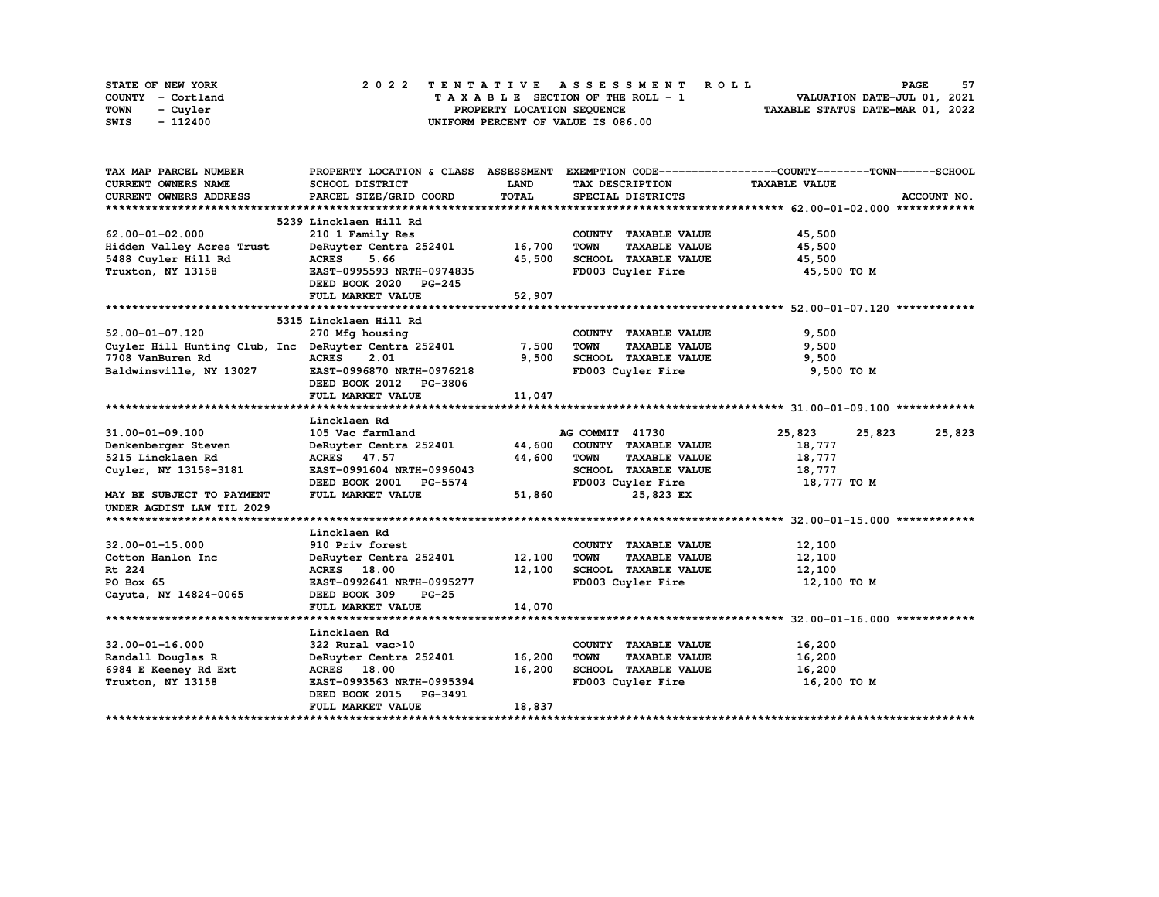| STATE OF NEW YORK | 2022 TENTATIVE ASSESSMENT ROLL     | 57<br><b>PAGE</b>                |
|-------------------|------------------------------------|----------------------------------|
| COUNTY - Cortland | TAXABLE SECTION OF THE ROLL - 1    | VALUATION DATE-JUL 01, 2021      |
| TOWN<br>- Cuvler  | PROPERTY LOCATION SEQUENCE         | TAXABLE STATUS DATE-MAR 01, 2022 |
| - 112400<br>SWIS  | UNIFORM PERCENT OF VALUE IS 086.00 |                                  |

| CURRENT OWNERS NAME<br>LAND<br><b>TAXABLE VALUE</b><br><b>SCHOOL DISTRICT</b><br>TAX DESCRIPTION<br>TOTAL<br>PARCEL SIZE/GRID COORD<br>CURRENT OWNERS ADDRESS<br>SPECIAL DISTRICTS<br>ACCOUNT NO.<br>5239 Lincklaen Hill Rd<br>$62.00 - 01 - 02.000$<br>COUNTY TAXABLE VALUE<br>45,500<br>210 1 Family Res<br>Hidden Valley Acres Trust<br>DeRuyter Centra 252401<br>16,700<br><b>TOWN</b><br><b>TAXABLE VALUE</b><br>45,500<br>5488 Cuyler Hill Rd<br>5.66<br>45,500<br>SCHOOL TAXABLE VALUE<br>45,500<br><b>ACRES</b><br>Truxton, NY 13158<br>EAST-0995593 NRTH-0974835<br>FD003 Cuyler Fire<br>45,500 TO M<br>DEED BOOK 2020 PG-245<br>FULL MARKET VALUE<br>52,907<br>5315 Lincklaen Hill Rd<br>52.00-01-07.120<br>9,500<br>270 Mfg housing<br>COUNTY TAXABLE VALUE<br>Cuyler Hill Hunting Club, Inc DeRuyter Centra 252401<br>7,500<br>9,500<br><b>TOWN</b><br><b>TAXABLE VALUE</b><br><b>ACRES</b><br>9,500<br>SCHOOL TAXABLE VALUE<br>9,500<br>7708 VanBuren Rd<br>2.01<br>9,500 TO M<br>Baldwinsville, NY 13027<br>EAST-0996870 NRTH-0976218<br>FD003 Cuyler Fire<br>DEED BOOK 2012 PG-3806<br>11,047<br>FULL MARKET VALUE<br>Lincklaen Rd<br>31.00-01-09.100<br>105 Vac farmland<br>AG COMMIT 41730<br>25,823<br>25,823<br>25,823<br>44,600<br>COUNTY TAXABLE VALUE<br>DeRuyter Centra 252401<br>18,777<br>Denkenberger Steven<br>5215 Lincklaen Rd<br>ACRES 47.57<br>44,600<br><b>TOWN</b><br><b>TAXABLE VALUE</b><br>18,777<br>SCHOOL TAXABLE VALUE<br>Cuyler, NY 13158-3181<br>EAST-0991604 NRTH-0996043<br>18,777<br>FD003 Cuyler Fire<br>18,777 TO M<br>DEED BOOK 2001 PG-5574<br>FULL MARKET VALUE<br>51,860<br>MAY BE SUBJECT TO PAYMENT<br>25,823 EX<br>UNDER AGDIST LAW TIL 2029<br>Lincklaen Rd<br>$32.00 - 01 - 15.000$<br>910 Priv forest<br>COUNTY TAXABLE VALUE<br>12,100<br>12,100<br>12,100<br>Cotton Hanlon Inc<br>DeRuyter Centra 252401<br>TOWN<br><b>TAXABLE VALUE</b><br>12,100<br>SCHOOL TAXABLE VALUE<br>Rt 224<br>ACRES 18.00<br>12,100<br>EAST-0992641 NRTH-0995277<br>FD003 Cuyler Fire<br>12,100 TO M<br>PO Box 65<br>DEED BOOK 309<br>$PG-25$<br>Cayuta, NY 14824-0065<br>14,070<br>FULL MARKET VALUE<br>Lincklaen Rd<br>$32.00 - 01 - 16.000$<br>322 Rural vac>10<br>COUNTY TAXABLE VALUE<br>16,200<br>16,200<br>DeRuyter Centra 252401<br><b>TOWN</b><br>16,200<br>Randall Douglas R<br><b>TAXABLE VALUE</b><br>16,200<br>SCHOOL TAXABLE VALUE<br>16,200<br>6984 E Keeney Rd Ext<br>ACRES 18.00<br>FD003 Cuyler Fire<br>16,200 TO M<br>Truxton, NY 13158<br>EAST-0993563 NRTH-0995394<br>DEED BOOK 2015 PG-3491<br>FULL MARKET VALUE<br>18,837 | TAX MAP PARCEL NUMBER |  | PROPERTY LOCATION & CLASS ASSESSMENT EXEMPTION CODE----------------COUNTY-------TOWN-----SCHOOL |
|--------------------------------------------------------------------------------------------------------------------------------------------------------------------------------------------------------------------------------------------------------------------------------------------------------------------------------------------------------------------------------------------------------------------------------------------------------------------------------------------------------------------------------------------------------------------------------------------------------------------------------------------------------------------------------------------------------------------------------------------------------------------------------------------------------------------------------------------------------------------------------------------------------------------------------------------------------------------------------------------------------------------------------------------------------------------------------------------------------------------------------------------------------------------------------------------------------------------------------------------------------------------------------------------------------------------------------------------------------------------------------------------------------------------------------------------------------------------------------------------------------------------------------------------------------------------------------------------------------------------------------------------------------------------------------------------------------------------------------------------------------------------------------------------------------------------------------------------------------------------------------------------------------------------------------------------------------------------------------------------------------------------------------------------------------------------------------------------------------------------------------------------------------------------------------------------------------------------------------------------------------------------------------------------------------------------------------------------------------------------------------------------------------------------------------------------------------------------------------------------------------------------------------------------------------------------------------------|-----------------------|--|-------------------------------------------------------------------------------------------------|
|                                                                                                                                                                                                                                                                                                                                                                                                                                                                                                                                                                                                                                                                                                                                                                                                                                                                                                                                                                                                                                                                                                                                                                                                                                                                                                                                                                                                                                                                                                                                                                                                                                                                                                                                                                                                                                                                                                                                                                                                                                                                                                                                                                                                                                                                                                                                                                                                                                                                                                                                                                                      |                       |  |                                                                                                 |
|                                                                                                                                                                                                                                                                                                                                                                                                                                                                                                                                                                                                                                                                                                                                                                                                                                                                                                                                                                                                                                                                                                                                                                                                                                                                                                                                                                                                                                                                                                                                                                                                                                                                                                                                                                                                                                                                                                                                                                                                                                                                                                                                                                                                                                                                                                                                                                                                                                                                                                                                                                                      |                       |  |                                                                                                 |
|                                                                                                                                                                                                                                                                                                                                                                                                                                                                                                                                                                                                                                                                                                                                                                                                                                                                                                                                                                                                                                                                                                                                                                                                                                                                                                                                                                                                                                                                                                                                                                                                                                                                                                                                                                                                                                                                                                                                                                                                                                                                                                                                                                                                                                                                                                                                                                                                                                                                                                                                                                                      |                       |  |                                                                                                 |
|                                                                                                                                                                                                                                                                                                                                                                                                                                                                                                                                                                                                                                                                                                                                                                                                                                                                                                                                                                                                                                                                                                                                                                                                                                                                                                                                                                                                                                                                                                                                                                                                                                                                                                                                                                                                                                                                                                                                                                                                                                                                                                                                                                                                                                                                                                                                                                                                                                                                                                                                                                                      |                       |  |                                                                                                 |
|                                                                                                                                                                                                                                                                                                                                                                                                                                                                                                                                                                                                                                                                                                                                                                                                                                                                                                                                                                                                                                                                                                                                                                                                                                                                                                                                                                                                                                                                                                                                                                                                                                                                                                                                                                                                                                                                                                                                                                                                                                                                                                                                                                                                                                                                                                                                                                                                                                                                                                                                                                                      |                       |  |                                                                                                 |
|                                                                                                                                                                                                                                                                                                                                                                                                                                                                                                                                                                                                                                                                                                                                                                                                                                                                                                                                                                                                                                                                                                                                                                                                                                                                                                                                                                                                                                                                                                                                                                                                                                                                                                                                                                                                                                                                                                                                                                                                                                                                                                                                                                                                                                                                                                                                                                                                                                                                                                                                                                                      |                       |  |                                                                                                 |
|                                                                                                                                                                                                                                                                                                                                                                                                                                                                                                                                                                                                                                                                                                                                                                                                                                                                                                                                                                                                                                                                                                                                                                                                                                                                                                                                                                                                                                                                                                                                                                                                                                                                                                                                                                                                                                                                                                                                                                                                                                                                                                                                                                                                                                                                                                                                                                                                                                                                                                                                                                                      |                       |  |                                                                                                 |
|                                                                                                                                                                                                                                                                                                                                                                                                                                                                                                                                                                                                                                                                                                                                                                                                                                                                                                                                                                                                                                                                                                                                                                                                                                                                                                                                                                                                                                                                                                                                                                                                                                                                                                                                                                                                                                                                                                                                                                                                                                                                                                                                                                                                                                                                                                                                                                                                                                                                                                                                                                                      |                       |  |                                                                                                 |
|                                                                                                                                                                                                                                                                                                                                                                                                                                                                                                                                                                                                                                                                                                                                                                                                                                                                                                                                                                                                                                                                                                                                                                                                                                                                                                                                                                                                                                                                                                                                                                                                                                                                                                                                                                                                                                                                                                                                                                                                                                                                                                                                                                                                                                                                                                                                                                                                                                                                                                                                                                                      |                       |  |                                                                                                 |
|                                                                                                                                                                                                                                                                                                                                                                                                                                                                                                                                                                                                                                                                                                                                                                                                                                                                                                                                                                                                                                                                                                                                                                                                                                                                                                                                                                                                                                                                                                                                                                                                                                                                                                                                                                                                                                                                                                                                                                                                                                                                                                                                                                                                                                                                                                                                                                                                                                                                                                                                                                                      |                       |  |                                                                                                 |
|                                                                                                                                                                                                                                                                                                                                                                                                                                                                                                                                                                                                                                                                                                                                                                                                                                                                                                                                                                                                                                                                                                                                                                                                                                                                                                                                                                                                                                                                                                                                                                                                                                                                                                                                                                                                                                                                                                                                                                                                                                                                                                                                                                                                                                                                                                                                                                                                                                                                                                                                                                                      |                       |  |                                                                                                 |
|                                                                                                                                                                                                                                                                                                                                                                                                                                                                                                                                                                                                                                                                                                                                                                                                                                                                                                                                                                                                                                                                                                                                                                                                                                                                                                                                                                                                                                                                                                                                                                                                                                                                                                                                                                                                                                                                                                                                                                                                                                                                                                                                                                                                                                                                                                                                                                                                                                                                                                                                                                                      |                       |  |                                                                                                 |
|                                                                                                                                                                                                                                                                                                                                                                                                                                                                                                                                                                                                                                                                                                                                                                                                                                                                                                                                                                                                                                                                                                                                                                                                                                                                                                                                                                                                                                                                                                                                                                                                                                                                                                                                                                                                                                                                                                                                                                                                                                                                                                                                                                                                                                                                                                                                                                                                                                                                                                                                                                                      |                       |  |                                                                                                 |
|                                                                                                                                                                                                                                                                                                                                                                                                                                                                                                                                                                                                                                                                                                                                                                                                                                                                                                                                                                                                                                                                                                                                                                                                                                                                                                                                                                                                                                                                                                                                                                                                                                                                                                                                                                                                                                                                                                                                                                                                                                                                                                                                                                                                                                                                                                                                                                                                                                                                                                                                                                                      |                       |  |                                                                                                 |
|                                                                                                                                                                                                                                                                                                                                                                                                                                                                                                                                                                                                                                                                                                                                                                                                                                                                                                                                                                                                                                                                                                                                                                                                                                                                                                                                                                                                                                                                                                                                                                                                                                                                                                                                                                                                                                                                                                                                                                                                                                                                                                                                                                                                                                                                                                                                                                                                                                                                                                                                                                                      |                       |  |                                                                                                 |
|                                                                                                                                                                                                                                                                                                                                                                                                                                                                                                                                                                                                                                                                                                                                                                                                                                                                                                                                                                                                                                                                                                                                                                                                                                                                                                                                                                                                                                                                                                                                                                                                                                                                                                                                                                                                                                                                                                                                                                                                                                                                                                                                                                                                                                                                                                                                                                                                                                                                                                                                                                                      |                       |  |                                                                                                 |
|                                                                                                                                                                                                                                                                                                                                                                                                                                                                                                                                                                                                                                                                                                                                                                                                                                                                                                                                                                                                                                                                                                                                                                                                                                                                                                                                                                                                                                                                                                                                                                                                                                                                                                                                                                                                                                                                                                                                                                                                                                                                                                                                                                                                                                                                                                                                                                                                                                                                                                                                                                                      |                       |  |                                                                                                 |
|                                                                                                                                                                                                                                                                                                                                                                                                                                                                                                                                                                                                                                                                                                                                                                                                                                                                                                                                                                                                                                                                                                                                                                                                                                                                                                                                                                                                                                                                                                                                                                                                                                                                                                                                                                                                                                                                                                                                                                                                                                                                                                                                                                                                                                                                                                                                                                                                                                                                                                                                                                                      |                       |  |                                                                                                 |
|                                                                                                                                                                                                                                                                                                                                                                                                                                                                                                                                                                                                                                                                                                                                                                                                                                                                                                                                                                                                                                                                                                                                                                                                                                                                                                                                                                                                                                                                                                                                                                                                                                                                                                                                                                                                                                                                                                                                                                                                                                                                                                                                                                                                                                                                                                                                                                                                                                                                                                                                                                                      |                       |  |                                                                                                 |
|                                                                                                                                                                                                                                                                                                                                                                                                                                                                                                                                                                                                                                                                                                                                                                                                                                                                                                                                                                                                                                                                                                                                                                                                                                                                                                                                                                                                                                                                                                                                                                                                                                                                                                                                                                                                                                                                                                                                                                                                                                                                                                                                                                                                                                                                                                                                                                                                                                                                                                                                                                                      |                       |  |                                                                                                 |
|                                                                                                                                                                                                                                                                                                                                                                                                                                                                                                                                                                                                                                                                                                                                                                                                                                                                                                                                                                                                                                                                                                                                                                                                                                                                                                                                                                                                                                                                                                                                                                                                                                                                                                                                                                                                                                                                                                                                                                                                                                                                                                                                                                                                                                                                                                                                                                                                                                                                                                                                                                                      |                       |  |                                                                                                 |
|                                                                                                                                                                                                                                                                                                                                                                                                                                                                                                                                                                                                                                                                                                                                                                                                                                                                                                                                                                                                                                                                                                                                                                                                                                                                                                                                                                                                                                                                                                                                                                                                                                                                                                                                                                                                                                                                                                                                                                                                                                                                                                                                                                                                                                                                                                                                                                                                                                                                                                                                                                                      |                       |  |                                                                                                 |
|                                                                                                                                                                                                                                                                                                                                                                                                                                                                                                                                                                                                                                                                                                                                                                                                                                                                                                                                                                                                                                                                                                                                                                                                                                                                                                                                                                                                                                                                                                                                                                                                                                                                                                                                                                                                                                                                                                                                                                                                                                                                                                                                                                                                                                                                                                                                                                                                                                                                                                                                                                                      |                       |  |                                                                                                 |
|                                                                                                                                                                                                                                                                                                                                                                                                                                                                                                                                                                                                                                                                                                                                                                                                                                                                                                                                                                                                                                                                                                                                                                                                                                                                                                                                                                                                                                                                                                                                                                                                                                                                                                                                                                                                                                                                                                                                                                                                                                                                                                                                                                                                                                                                                                                                                                                                                                                                                                                                                                                      |                       |  |                                                                                                 |
|                                                                                                                                                                                                                                                                                                                                                                                                                                                                                                                                                                                                                                                                                                                                                                                                                                                                                                                                                                                                                                                                                                                                                                                                                                                                                                                                                                                                                                                                                                                                                                                                                                                                                                                                                                                                                                                                                                                                                                                                                                                                                                                                                                                                                                                                                                                                                                                                                                                                                                                                                                                      |                       |  |                                                                                                 |
|                                                                                                                                                                                                                                                                                                                                                                                                                                                                                                                                                                                                                                                                                                                                                                                                                                                                                                                                                                                                                                                                                                                                                                                                                                                                                                                                                                                                                                                                                                                                                                                                                                                                                                                                                                                                                                                                                                                                                                                                                                                                                                                                                                                                                                                                                                                                                                                                                                                                                                                                                                                      |                       |  |                                                                                                 |
|                                                                                                                                                                                                                                                                                                                                                                                                                                                                                                                                                                                                                                                                                                                                                                                                                                                                                                                                                                                                                                                                                                                                                                                                                                                                                                                                                                                                                                                                                                                                                                                                                                                                                                                                                                                                                                                                                                                                                                                                                                                                                                                                                                                                                                                                                                                                                                                                                                                                                                                                                                                      |                       |  |                                                                                                 |
|                                                                                                                                                                                                                                                                                                                                                                                                                                                                                                                                                                                                                                                                                                                                                                                                                                                                                                                                                                                                                                                                                                                                                                                                                                                                                                                                                                                                                                                                                                                                                                                                                                                                                                                                                                                                                                                                                                                                                                                                                                                                                                                                                                                                                                                                                                                                                                                                                                                                                                                                                                                      |                       |  |                                                                                                 |
|                                                                                                                                                                                                                                                                                                                                                                                                                                                                                                                                                                                                                                                                                                                                                                                                                                                                                                                                                                                                                                                                                                                                                                                                                                                                                                                                                                                                                                                                                                                                                                                                                                                                                                                                                                                                                                                                                                                                                                                                                                                                                                                                                                                                                                                                                                                                                                                                                                                                                                                                                                                      |                       |  |                                                                                                 |
|                                                                                                                                                                                                                                                                                                                                                                                                                                                                                                                                                                                                                                                                                                                                                                                                                                                                                                                                                                                                                                                                                                                                                                                                                                                                                                                                                                                                                                                                                                                                                                                                                                                                                                                                                                                                                                                                                                                                                                                                                                                                                                                                                                                                                                                                                                                                                                                                                                                                                                                                                                                      |                       |  |                                                                                                 |
|                                                                                                                                                                                                                                                                                                                                                                                                                                                                                                                                                                                                                                                                                                                                                                                                                                                                                                                                                                                                                                                                                                                                                                                                                                                                                                                                                                                                                                                                                                                                                                                                                                                                                                                                                                                                                                                                                                                                                                                                                                                                                                                                                                                                                                                                                                                                                                                                                                                                                                                                                                                      |                       |  |                                                                                                 |
|                                                                                                                                                                                                                                                                                                                                                                                                                                                                                                                                                                                                                                                                                                                                                                                                                                                                                                                                                                                                                                                                                                                                                                                                                                                                                                                                                                                                                                                                                                                                                                                                                                                                                                                                                                                                                                                                                                                                                                                                                                                                                                                                                                                                                                                                                                                                                                                                                                                                                                                                                                                      |                       |  |                                                                                                 |
|                                                                                                                                                                                                                                                                                                                                                                                                                                                                                                                                                                                                                                                                                                                                                                                                                                                                                                                                                                                                                                                                                                                                                                                                                                                                                                                                                                                                                                                                                                                                                                                                                                                                                                                                                                                                                                                                                                                                                                                                                                                                                                                                                                                                                                                                                                                                                                                                                                                                                                                                                                                      |                       |  |                                                                                                 |
|                                                                                                                                                                                                                                                                                                                                                                                                                                                                                                                                                                                                                                                                                                                                                                                                                                                                                                                                                                                                                                                                                                                                                                                                                                                                                                                                                                                                                                                                                                                                                                                                                                                                                                                                                                                                                                                                                                                                                                                                                                                                                                                                                                                                                                                                                                                                                                                                                                                                                                                                                                                      |                       |  |                                                                                                 |
|                                                                                                                                                                                                                                                                                                                                                                                                                                                                                                                                                                                                                                                                                                                                                                                                                                                                                                                                                                                                                                                                                                                                                                                                                                                                                                                                                                                                                                                                                                                                                                                                                                                                                                                                                                                                                                                                                                                                                                                                                                                                                                                                                                                                                                                                                                                                                                                                                                                                                                                                                                                      |                       |  |                                                                                                 |
|                                                                                                                                                                                                                                                                                                                                                                                                                                                                                                                                                                                                                                                                                                                                                                                                                                                                                                                                                                                                                                                                                                                                                                                                                                                                                                                                                                                                                                                                                                                                                                                                                                                                                                                                                                                                                                                                                                                                                                                                                                                                                                                                                                                                                                                                                                                                                                                                                                                                                                                                                                                      |                       |  |                                                                                                 |
|                                                                                                                                                                                                                                                                                                                                                                                                                                                                                                                                                                                                                                                                                                                                                                                                                                                                                                                                                                                                                                                                                                                                                                                                                                                                                                                                                                                                                                                                                                                                                                                                                                                                                                                                                                                                                                                                                                                                                                                                                                                                                                                                                                                                                                                                                                                                                                                                                                                                                                                                                                                      |                       |  |                                                                                                 |
|                                                                                                                                                                                                                                                                                                                                                                                                                                                                                                                                                                                                                                                                                                                                                                                                                                                                                                                                                                                                                                                                                                                                                                                                                                                                                                                                                                                                                                                                                                                                                                                                                                                                                                                                                                                                                                                                                                                                                                                                                                                                                                                                                                                                                                                                                                                                                                                                                                                                                                                                                                                      |                       |  |                                                                                                 |
|                                                                                                                                                                                                                                                                                                                                                                                                                                                                                                                                                                                                                                                                                                                                                                                                                                                                                                                                                                                                                                                                                                                                                                                                                                                                                                                                                                                                                                                                                                                                                                                                                                                                                                                                                                                                                                                                                                                                                                                                                                                                                                                                                                                                                                                                                                                                                                                                                                                                                                                                                                                      |                       |  |                                                                                                 |
|                                                                                                                                                                                                                                                                                                                                                                                                                                                                                                                                                                                                                                                                                                                                                                                                                                                                                                                                                                                                                                                                                                                                                                                                                                                                                                                                                                                                                                                                                                                                                                                                                                                                                                                                                                                                                                                                                                                                                                                                                                                                                                                                                                                                                                                                                                                                                                                                                                                                                                                                                                                      |                       |  |                                                                                                 |
|                                                                                                                                                                                                                                                                                                                                                                                                                                                                                                                                                                                                                                                                                                                                                                                                                                                                                                                                                                                                                                                                                                                                                                                                                                                                                                                                                                                                                                                                                                                                                                                                                                                                                                                                                                                                                                                                                                                                                                                                                                                                                                                                                                                                                                                                                                                                                                                                                                                                                                                                                                                      |                       |  |                                                                                                 |
|                                                                                                                                                                                                                                                                                                                                                                                                                                                                                                                                                                                                                                                                                                                                                                                                                                                                                                                                                                                                                                                                                                                                                                                                                                                                                                                                                                                                                                                                                                                                                                                                                                                                                                                                                                                                                                                                                                                                                                                                                                                                                                                                                                                                                                                                                                                                                                                                                                                                                                                                                                                      |                       |  |                                                                                                 |
|                                                                                                                                                                                                                                                                                                                                                                                                                                                                                                                                                                                                                                                                                                                                                                                                                                                                                                                                                                                                                                                                                                                                                                                                                                                                                                                                                                                                                                                                                                                                                                                                                                                                                                                                                                                                                                                                                                                                                                                                                                                                                                                                                                                                                                                                                                                                                                                                                                                                                                                                                                                      |                       |  |                                                                                                 |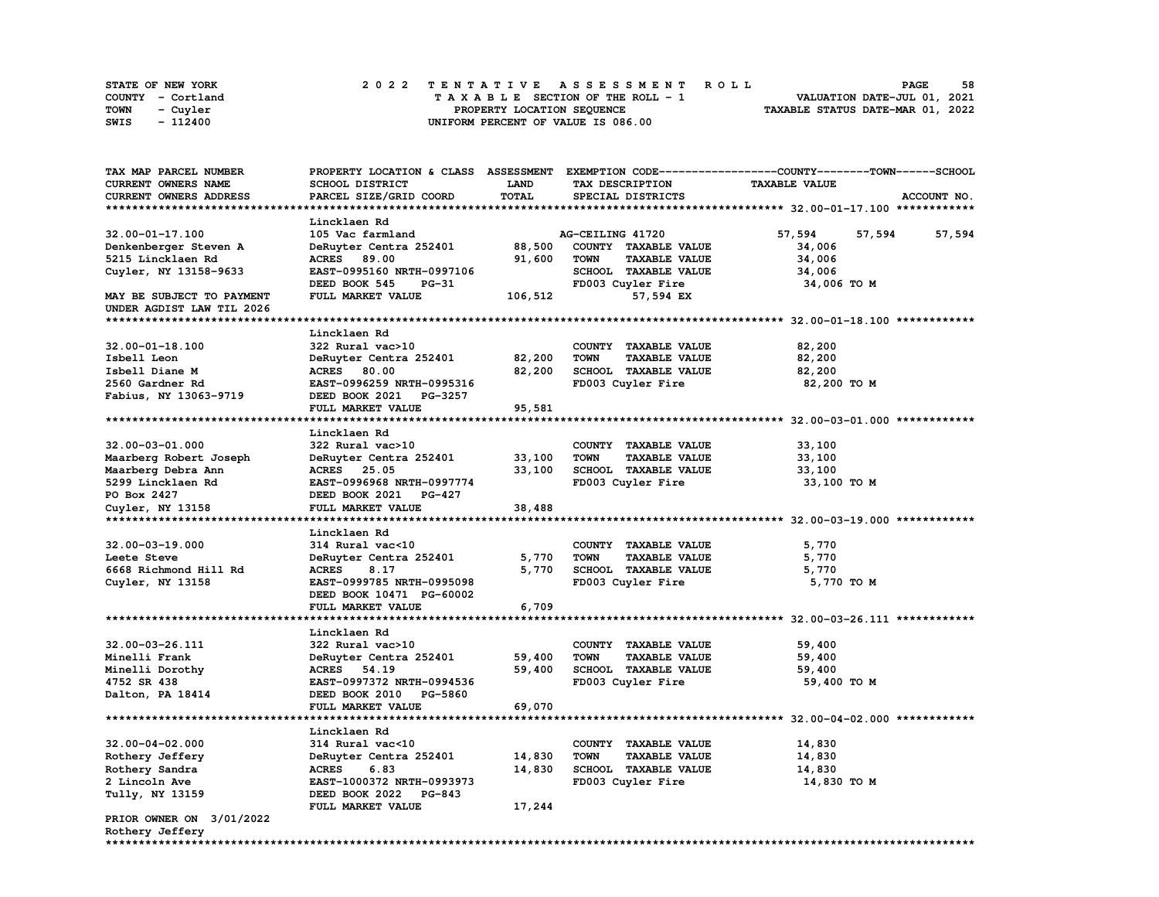| <b>STATE OF NEW YORK</b> | 2022 TENTATIVE ASSESSMENT ROLL          | 58<br><b>PAGE</b>                |
|--------------------------|-----------------------------------------|----------------------------------|
| COUNTY - Cortland        | $T A X A B L E$ SECTION OF THE ROLL - 1 | VALUATION DATE-JUL 01, 2021      |
| TOWN<br>- Cuyler         | PROPERTY LOCATION SEQUENCE              | TAXABLE STATUS DATE-MAR 01, 2022 |
| - 112400<br>SWIS         | UNIFORM PERCENT OF VALUE IS 086.00      |                                  |

| TAX MAP PARCEL NUMBER     |                               |         |                                     | PROPERTY LOCATION & CLASS ASSESSMENT EXEMPTION CODE-----------------COUNTY-------TOWN------SCHOOL |        |
|---------------------------|-------------------------------|---------|-------------------------------------|---------------------------------------------------------------------------------------------------|--------|
| CURRENT OWNERS NAME       | SCHOOL DISTRICT               | LAND    | TAX DESCRIPTION                     | <b>TAXABLE VALUE</b>                                                                              |        |
| CURRENT OWNERS ADDRESS    | PARCEL SIZE/GRID COORD        | TOTAL   | SPECIAL DISTRICTS                   | ACCOUNT NO.                                                                                       |        |
|                           |                               |         |                                     |                                                                                                   |        |
|                           | Lincklaen Rd                  |         |                                     |                                                                                                   |        |
| $32.00 - 01 - 17.100$     | 105 Vac farmland              |         | AG-CEILING 41720                    | 57,594<br>57,594                                                                                  | 57,594 |
| Denkenberger Steven A     | DeRuyter Centra 252401        | 88,500  | COUNTY TAXABLE VALUE                | 34,006                                                                                            |        |
|                           |                               |         | <b>TOWN</b>                         |                                                                                                   |        |
| 5215 Lincklaen Rd         | <b>ACRES</b> 89.00            | 91,600  | <b>TAXABLE VALUE</b>                | 34,006                                                                                            |        |
| Cuyler, NY 13158-9633     | EAST-0995160 NRTH-0997106     |         | SCHOOL TAXABLE VALUE                | 34,006                                                                                            |        |
|                           | DEED BOOK 545<br><b>PG-31</b> |         | FD003 Cuyler Fire                   | 34,006 TO M                                                                                       |        |
| MAY BE SUBJECT TO PAYMENT | FULL MARKET VALUE             | 106,512 | 57,594 EX                           |                                                                                                   |        |
| UNDER AGDIST LAW TIL 2026 |                               |         |                                     |                                                                                                   |        |
|                           |                               |         |                                     |                                                                                                   |        |
|                           | Lincklaen Rd                  |         |                                     |                                                                                                   |        |
| 32.00-01-18.100           | 322 Rural vac>10              |         | COUNTY TAXABLE VALUE                | 82,200                                                                                            |        |
| Isbell Leon               | DeRuyter Centra 252401        | 82,200  | <b>TAXABLE VALUE</b><br><b>TOWN</b> | 82,200                                                                                            |        |
| Isbell Diane M            | ACRES 80.00                   | 82,200  | SCHOOL TAXABLE VALUE                | 82,200                                                                                            |        |
| 2560 Gardner Rd           | EAST-0996259 NRTH-0995316     |         | FD003 Cuyler Fire                   | 82,200 TO M                                                                                       |        |
| Fabius, NY 13063-9719     | DEED BOOK 2021 PG-3257        |         |                                     |                                                                                                   |        |
|                           | FULL MARKET VALUE             | 95,581  |                                     |                                                                                                   |        |
|                           |                               |         |                                     |                                                                                                   |        |
|                           | Lincklaen Rd                  |         |                                     |                                                                                                   |        |
| 32.00-03-01.000           | 322 Rural vac>10              |         | COUNTY TAXABLE VALUE                | 33,100                                                                                            |        |
| Maarberg Robert Joseph    | DeRuyter Centra 252401        | 33,100  | <b>TOWN</b><br><b>TAXABLE VALUE</b> | 33,100                                                                                            |        |
| Maarberg Debra Ann        | ACRES 25.05                   | 33,100  | SCHOOL TAXABLE VALUE                | 33,100                                                                                            |        |
|                           |                               |         |                                     |                                                                                                   |        |
| 5299 Lincklaen Rd         | EAST-0996968 NRTH-0997774     |         | FD003 Cuyler Fire                   | 33,100 TO M                                                                                       |        |
| PO Box 2427               | DEED BOOK 2021 PG-427         |         |                                     |                                                                                                   |        |
| Cuyler, NY 13158          | FULL MARKET VALUE             | 38,488  |                                     |                                                                                                   |        |
|                           |                               |         |                                     |                                                                                                   |        |
|                           | Lincklaen Rd                  |         |                                     |                                                                                                   |        |
| $32.00 - 03 - 19.000$     | 314 Rural vac<10              |         | COUNTY TAXABLE VALUE                | 5,770                                                                                             |        |
| Leete Steve               | DeRuyter Centra 252401        | 5,770   | <b>TAXABLE VALUE</b><br><b>TOWN</b> | 5,770                                                                                             |        |
| 6668 Richmond Hill Rd     | <b>ACRES</b><br>8.17          | 5,770   | SCHOOL TAXABLE VALUE                | 5,770                                                                                             |        |
| Cuyler, NY 13158          | EAST-0999785 NRTH-0995098     |         | FD003 Cuyler Fire                   | 5,770 TO M                                                                                        |        |
|                           | DEED BOOK 10471 PG-60002      |         |                                     |                                                                                                   |        |
|                           | FULL MARKET VALUE             | 6,709   |                                     |                                                                                                   |        |
|                           |                               |         |                                     |                                                                                                   |        |
|                           | Lincklaen Rd                  |         |                                     |                                                                                                   |        |
| 32.00-03-26.111           | 322 Rural vac>10              |         | COUNTY TAXABLE VALUE                | 59,400                                                                                            |        |
| Minelli Frank             | DeRuyter Centra 252401        | 59,400  | <b>TOWN</b><br><b>TAXABLE VALUE</b> | 59,400                                                                                            |        |
| Minelli Dorothy           | ACRES 54.19                   | 59,400  | SCHOOL TAXABLE VALUE                | 59,400                                                                                            |        |
| 4752 SR 438               | EAST-0997372 NRTH-0994536     |         | FD003 Cuyler Fire                   | 59,400 TO M                                                                                       |        |
| Dalton, PA 18414          | DEED BOOK 2010 PG-5860        |         |                                     |                                                                                                   |        |
|                           | FULL MARKET VALUE             | 69,070  |                                     |                                                                                                   |        |
|                           |                               |         |                                     |                                                                                                   |        |
|                           | Lincklaen Rd                  |         |                                     |                                                                                                   |        |
|                           |                               |         |                                     |                                                                                                   |        |
| $32.00 - 04 - 02.000$     | 314 Rural vac<10              |         | COUNTY TAXABLE VALUE                | 14,830                                                                                            |        |
| Rothery Jeffery           | DeRuyter Centra 252401        | 14,830  | <b>TOWN</b><br><b>TAXABLE VALUE</b> | 14,830                                                                                            |        |
| Rothery Sandra            | <b>ACRES</b><br>6.83          | 14,830  | SCHOOL TAXABLE VALUE                | 14,830                                                                                            |        |
| 2 Lincoln Ave             | EAST-1000372 NRTH-0993973     |         | FD003 Cuyler Fire                   | 14,830 TO M                                                                                       |        |
| Tully, NY 13159           | DEED BOOK 2022 PG-843         |         |                                     |                                                                                                   |        |
|                           | FULL MARKET VALUE             | 17,244  |                                     |                                                                                                   |        |
| PRIOR OWNER ON 3/01/2022  |                               |         |                                     |                                                                                                   |        |
| Rothery Jeffery           |                               |         |                                     |                                                                                                   |        |
|                           |                               |         |                                     |                                                                                                   |        |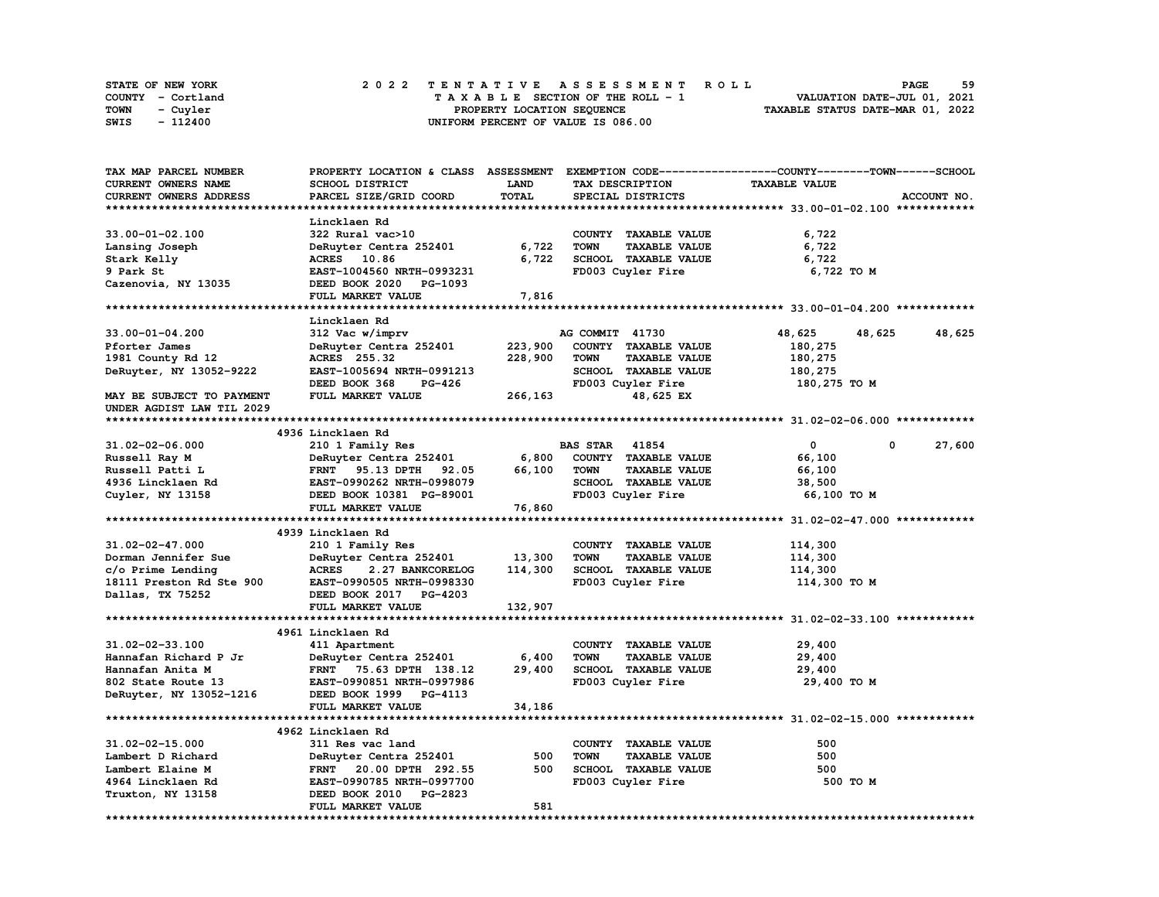| <b>STATE OF NEW YORK</b> | 2022 TENTATIVE ASSESSMENT ROLL     | 59<br><b>PAGE</b>                |
|--------------------------|------------------------------------|----------------------------------|
| COUNTY - Cortland        | TAXABLE SECTION OF THE ROLL - 1    | VALUATION DATE-JUL 01, 2021      |
| TOWN<br>- Cuyler         | PROPERTY LOCATION SEQUENCE         | TAXABLE STATUS DATE-MAR 01, 2022 |
| - 112400<br>SWIS         | UNIFORM PERCENT OF VALUE IS 086.00 |                                  |

| TAX MAP PARCEL NUMBER     |                                  |             |                                     | PROPERTY LOCATION & CLASS ASSESSMENT EXEMPTION CODE----------------COUNTY-------TOWN-----SCHOOL |             |
|---------------------------|----------------------------------|-------------|-------------------------------------|-------------------------------------------------------------------------------------------------|-------------|
| CURRENT OWNERS NAME       | <b>SCHOOL DISTRICT</b>           | <b>LAND</b> | TAX DESCRIPTION                     | <b>TAXABLE VALUE</b>                                                                            |             |
| CURRENT OWNERS ADDRESS    | PARCEL SIZE/GRID COORD           | TOTAL       | SPECIAL DISTRICTS                   |                                                                                                 | ACCOUNT NO. |
|                           |                                  |             |                                     |                                                                                                 |             |
|                           | Lincklaen Rd                     |             |                                     |                                                                                                 |             |
| $33.00 - 01 - 02.100$     | 322 Rural vac>10                 |             | COUNTY TAXABLE VALUE                | 6,722                                                                                           |             |
| Lansing Joseph            | DeRuyter Centra 252401           | 6,722       | <b>TAXABLE VALUE</b><br><b>TOWN</b> | 6,722                                                                                           |             |
| Stark Kelly               | ACRES 10.86                      | 6,722       | SCHOOL TAXABLE VALUE                | 6,722                                                                                           |             |
| 9 Park St                 | EAST-1004560 NRTH-0993231        |             | FD003 Cuyler Fire                   | 6,722 TO M                                                                                      |             |
| Cazenovia, NY 13035       | DEED BOOK 2020 PG-1093           |             |                                     |                                                                                                 |             |
|                           | FULL MARKET VALUE                | 7,816       |                                     |                                                                                                 |             |
|                           |                                  |             |                                     |                                                                                                 |             |
|                           |                                  |             |                                     |                                                                                                 |             |
|                           | Lincklaen Rd                     |             |                                     |                                                                                                 |             |
| $33.00 - 01 - 04.200$     | 312 Vac w/imprv                  |             | AG COMMIT 41730                     | 48,625<br>48,625                                                                                | 48,625      |
| Pforter James             | DeRuyter Centra 252401           | 223,900     | COUNTY TAXABLE VALUE                | 180,275                                                                                         |             |
| 1981 County Rd 12         | ACRES 255.32                     | 228,900     | <b>TOWN</b><br><b>TAXABLE VALUE</b> | 180,275                                                                                         |             |
| DeRuyter, NY 13052-9222   | EAST-1005694 NRTH-0991213        |             | SCHOOL TAXABLE VALUE                | 180,275                                                                                         |             |
|                           | DEED BOOK 368<br><b>PG-426</b>   |             | FD003 Cuyler Fire                   | 180,275 TO M                                                                                    |             |
| MAY BE SUBJECT TO PAYMENT | FULL MARKET VALUE                | 266,163     | 48,625 EX                           |                                                                                                 |             |
| UNDER AGDIST LAW TIL 2029 |                                  |             |                                     |                                                                                                 |             |
|                           |                                  |             |                                     |                                                                                                 |             |
|                           | 4936 Lincklaen Rd                |             |                                     |                                                                                                 |             |
| 31.02-02-06.000           | 210 1 Family Res                 |             | <b>BAS STAR</b> 41854               | 0<br>0                                                                                          | 27,600      |
| Russell Ray M             | DeRuyter Centra 252401           | 6,800       | COUNTY TAXABLE VALUE                | 66,100                                                                                          |             |
| Russell Patti L           | FRNT 95.13 DPTH<br>92.05         | 66,100      | <b>TOWN</b><br>TAXABLE VALUE        | 66,100                                                                                          |             |
| 4936 Lincklaen Rd         | EAST-0990262 NRTH-0998079        |             | SCHOOL TAXABLE VALUE                | 38,500                                                                                          |             |
| Cuyler, NY 13158          | DEED BOOK 10381 PG-89001         |             | FD003 Cuyler Fire                   | 66,100 TO M                                                                                     |             |
|                           | FULL MARKET VALUE                | 76,860      |                                     |                                                                                                 |             |
|                           |                                  |             |                                     |                                                                                                 |             |
|                           | 4939 Lincklaen Rd                |             |                                     |                                                                                                 |             |
| $31.02 - 02 - 47.000$     | 210 1 Family Res                 |             | COUNTY TAXABLE VALUE                | 114,300                                                                                         |             |
| Dorman Jennifer Sue       | DeRuyter Centra 252401           | 13,300      | <b>TOWN</b><br><b>TAXABLE VALUE</b> | 114,300                                                                                         |             |
| c/o Prime Lending         | <b>ACRES</b><br>2.27 BANKCORELOG | 114,300     | SCHOOL TAXABLE VALUE                | 114,300                                                                                         |             |
| 18111 Preston Rd Ste 900  | EAST-0990505 NRTH-0998330        |             | FD003 Cuyler Fire                   | 114,300 TO M                                                                                    |             |
| Dallas, TX 75252          | DEED BOOK 2017 PG-4203           |             |                                     |                                                                                                 |             |
|                           | FULL MARKET VALUE                | 132,907     |                                     |                                                                                                 |             |
|                           |                                  |             |                                     |                                                                                                 |             |
|                           | 4961 Lincklaen Rd                |             |                                     |                                                                                                 |             |
|                           |                                  |             |                                     |                                                                                                 |             |
| 31.02-02-33.100           | 411 Apartment                    |             | COUNTY TAXABLE VALUE                | 29,400                                                                                          |             |
| Hannafan Richard P Jr     | DeRuyter Centra 252401           | 6,400       | <b>TOWN</b><br><b>TAXABLE VALUE</b> | 29,400                                                                                          |             |
| Hannafan Anita M          | FRNT 75.63 DPTH 138.12           | 29,400      | SCHOOL TAXABLE VALUE                | 29,400                                                                                          |             |
| 802 State Route 13        | EAST-0990851 NRTH-0997986        |             | FD003 Cuyler Fire                   | 29,400 TO M                                                                                     |             |
| DeRuyter, NY 13052-1216   | DEED BOOK 1999 PG-4113           |             |                                     |                                                                                                 |             |
|                           | FULL MARKET VALUE                | 34,186      |                                     |                                                                                                 |             |
|                           |                                  |             |                                     |                                                                                                 |             |
|                           | 4962 Lincklaen Rd                |             |                                     |                                                                                                 |             |
| $31.02 - 02 - 15.000$     | 311 Res vac land                 |             | COUNTY TAXABLE VALUE                | 500                                                                                             |             |
| Lambert D Richard         | DeRuyter Centra 252401           | 500         | <b>TOWN</b><br><b>TAXABLE VALUE</b> | 500                                                                                             |             |
| Lambert Elaine M          | FRNT 20.00 DPTH 292.55           | 500         | SCHOOL TAXABLE VALUE                | 500                                                                                             |             |
| 4964 Lincklaen Rd         | EAST-0990785 NRTH-0997700        |             | FD003 Cuyler Fire                   | 500 TO M                                                                                        |             |
| Truxton, NY 13158         | DEED BOOK 2010 PG-2823           |             |                                     |                                                                                                 |             |
|                           | FULL MARKET VALUE                | 581         |                                     |                                                                                                 |             |
|                           |                                  |             |                                     |                                                                                                 |             |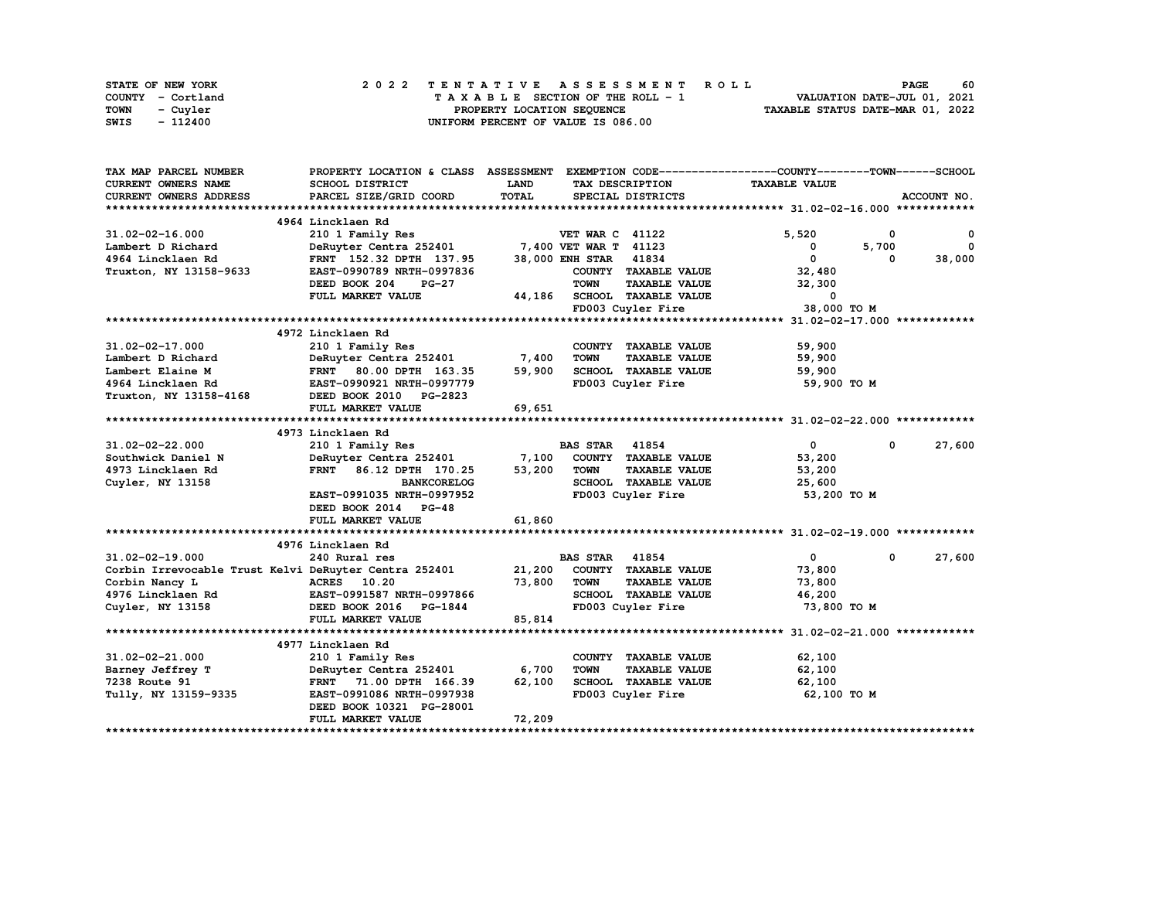| STATE OF NEW YORK | 2022 TENTATIVE ASSESSMENT ROLL     | 60<br><b>PAGE</b>                |
|-------------------|------------------------------------|----------------------------------|
| COUNTY - Cortland | TAXABLE SECTION OF THE ROLL - 1    | VALUATION DATE-JUL 01, 2021      |
| TOWN<br>- Cuvler  | PROPERTY LOCATION SEQUENCE         | TAXABLE STATUS DATE-MAR 01, 2022 |
| - 112400<br>SWIS  | UNIFORM PERCENT OF VALUE IS 086.00 |                                  |

| TAX MAP PARCEL NUMBER                                        | PROPERTY LOCATION & CLASS ASSESSMENT EXEMPTION CODE----------------COUNTY-------TOWN-----SCHOOL |        |                        |                             |                      |              |             |
|--------------------------------------------------------------|-------------------------------------------------------------------------------------------------|--------|------------------------|-----------------------------|----------------------|--------------|-------------|
| CURRENT OWNERS NAME                                          | SCHOOL DISTRICT                                                                                 | LAND   |                        | TAX DESCRIPTION             | <b>TAXABLE VALUE</b> |              |             |
| <b>CURRENT OWNERS ADDRESS</b>                                | PARCEL SIZE/GRID COORD                                                                          | TOTAL  |                        | SPECIAL DISTRICTS           |                      |              | ACCOUNT NO. |
|                                                              |                                                                                                 |        |                        |                             |                      |              |             |
|                                                              | 4964 Lincklaen Rd                                                                               |        |                        |                             |                      |              |             |
| $31.02 - 02 - 16.000$                                        | 210 1 Family Res                                                                                |        | <b>VET WAR C 41122</b> |                             | 5,520                | $^{\circ}$   | 0           |
| Lambert D Richard                                            | DeRuyter Centra 252401 7,400 VET WAR T 41123                                                    |        |                        |                             | 0                    | 5,700        | $^{\circ}$  |
| 4964 Lincklaen Rd                                            | FRNT 152.32 DPTH 137.95                                                                         |        | 38,000 ENH STAR 41834  |                             | $\Omega$             | 0            | 38,000      |
| Truxton, NY 13158-9633                                       | EAST-0990789 NRTH-0997836                                                                       |        |                        | COUNTY TAXABLE VALUE        | 32,480               |              |             |
|                                                              | DEED BOOK 204<br><b>PG-27</b>                                                                   |        | <b>TOWN</b>            | <b>TAXABLE VALUE</b>        | 32,300               |              |             |
|                                                              | FULL MARKET VALUE                                                                               |        |                        | 44,186 SCHOOL TAXABLE VALUE | $\mathbf 0$          |              |             |
|                                                              |                                                                                                 |        |                        | FD003 Cuyler Fire           | 38,000 TO M          |              |             |
|                                                              |                                                                                                 |        |                        |                             |                      |              |             |
|                                                              | 4972 Lincklaen Rd                                                                               |        |                        |                             |                      |              |             |
| 31.02-02-17.000                                              | 210 1 Family Res                                                                                |        |                        | COUNTY TAXABLE VALUE        | 59,900               |              |             |
| Lambert D Richard                                            | DeRuyter Centra 252401 7,400                                                                    |        | <b>TOWN</b>            | <b>TAXABLE VALUE</b>        | 59,900               |              |             |
| Lambert Elaine M                                             | FRNT 80.00 DPTH 163.35                                                                          | 59,900 |                        | SCHOOL TAXABLE VALUE        | 59,900               |              |             |
| 4964 Lincklaen Rd                                            | EAST-0990921 NRTH-0997779                                                                       |        |                        | FD003 Cuyler Fire           | 59,900 TO M          |              |             |
| Truxton, NY 13158-4168                                       | DEED BOOK 2010 PG-2823                                                                          |        |                        |                             |                      |              |             |
|                                                              |                                                                                                 | 69,651 |                        |                             |                      |              |             |
|                                                              | FULL MARKET VALUE                                                                               |        |                        |                             |                      |              |             |
|                                                              |                                                                                                 |        |                        |                             |                      |              |             |
|                                                              | 4973 Lincklaen Rd                                                                               |        |                        |                             |                      |              |             |
| 31.02-02-22.000                                              | 210 1 Family Res                                                                                |        | <b>BAS STAR 41854</b>  |                             | $\bullet$            | $\mathbf{0}$ | 27,600      |
| Southwick Daniel N                                           | DeRuyter Centra 252401 7,100                                                                    |        |                        | COUNTY TAXABLE VALUE        | 53,200               |              |             |
| 4973 Lincklaen Rd                                            | FRNT 86.12 DPTH 170.25                                                                          | 53,200 | TOWN                   | <b>TAXABLE VALUE</b>        | 53,200               |              |             |
| Cuyler, NY 13158                                             | <b>BANKCORELOG</b>                                                                              |        |                        | SCHOOL TAXABLE VALUE        | 25,600               |              |             |
|                                                              | EAST-0991035 NRTH-0997952                                                                       |        |                        | FD003 Cuyler Fire           | 53,200 TO M          |              |             |
|                                                              | DEED BOOK 2014 PG-48                                                                            |        |                        |                             |                      |              |             |
|                                                              | FULL MARKET VALUE                                                                               | 61,860 |                        |                             |                      |              |             |
|                                                              |                                                                                                 |        |                        |                             |                      |              |             |
|                                                              | 4976 Lincklaen Rd                                                                               |        |                        |                             |                      |              |             |
| $31.02 - 02 - 19.000$                                        | 240 Rural res                                                                                   |        | <b>BAS STAR</b> 41854  |                             | $\mathbf{0}$         | $\mathbf 0$  | 27,600      |
| Corbin Irrevocable Trust Kelvi DeRuyter Centra 252401 21,200 |                                                                                                 |        |                        | COUNTY TAXABLE VALUE        | 73,800               |              |             |
| Corbin Nancy L                                               | ACRES 10.20                                                                                     | 73,800 | <b>TOWN</b>            | <b>TAXABLE VALUE</b>        | 73,800               |              |             |
| 4976 Lincklaen Rd EAST-0991587 NRTH-0997866                  |                                                                                                 |        |                        | SCHOOL TAXABLE VALUE        | 46,200               |              |             |
| Cuyler, NY 13158                                             | DEED BOOK 2016 PG-1844                                                                          |        |                        | FD003 Cuyler Fire           | 73,800 TO M          |              |             |
|                                                              | FULL MARKET VALUE                                                                               | 85,814 |                        |                             |                      |              |             |
|                                                              |                                                                                                 |        |                        |                             |                      |              |             |
|                                                              | 4977 Lincklaen Rd                                                                               |        |                        |                             |                      |              |             |
| 31.02-02-21.000                                              | 210 1 Family Res                                                                                |        |                        | COUNTY TAXABLE VALUE        | 62,100               |              |             |
| Barney Jeffrey T                                             | DeRuyter Centra 252401                                                                          | 6,700  | <b>TOWN</b>            | <b>TAXABLE VALUE</b>        | 62,100               |              |             |
| 7238 Route 91                                                | FRNT 71.00 DPTH 166.39                                                                          | 62,100 |                        | SCHOOL TAXABLE VALUE        | 62,100               |              |             |
| Tully, NY 13159-9335                                         | EAST-0991086 NRTH-0997938                                                                       |        |                        | FD003 Cuyler Fire           | 62,100 TO M          |              |             |
|                                                              | DEED BOOK 10321 PG-28001                                                                        |        |                        |                             |                      |              |             |
|                                                              | FULL MARKET VALUE                                                                               | 72,209 |                        |                             |                      |              |             |
|                                                              |                                                                                                 |        |                        |                             |                      |              |             |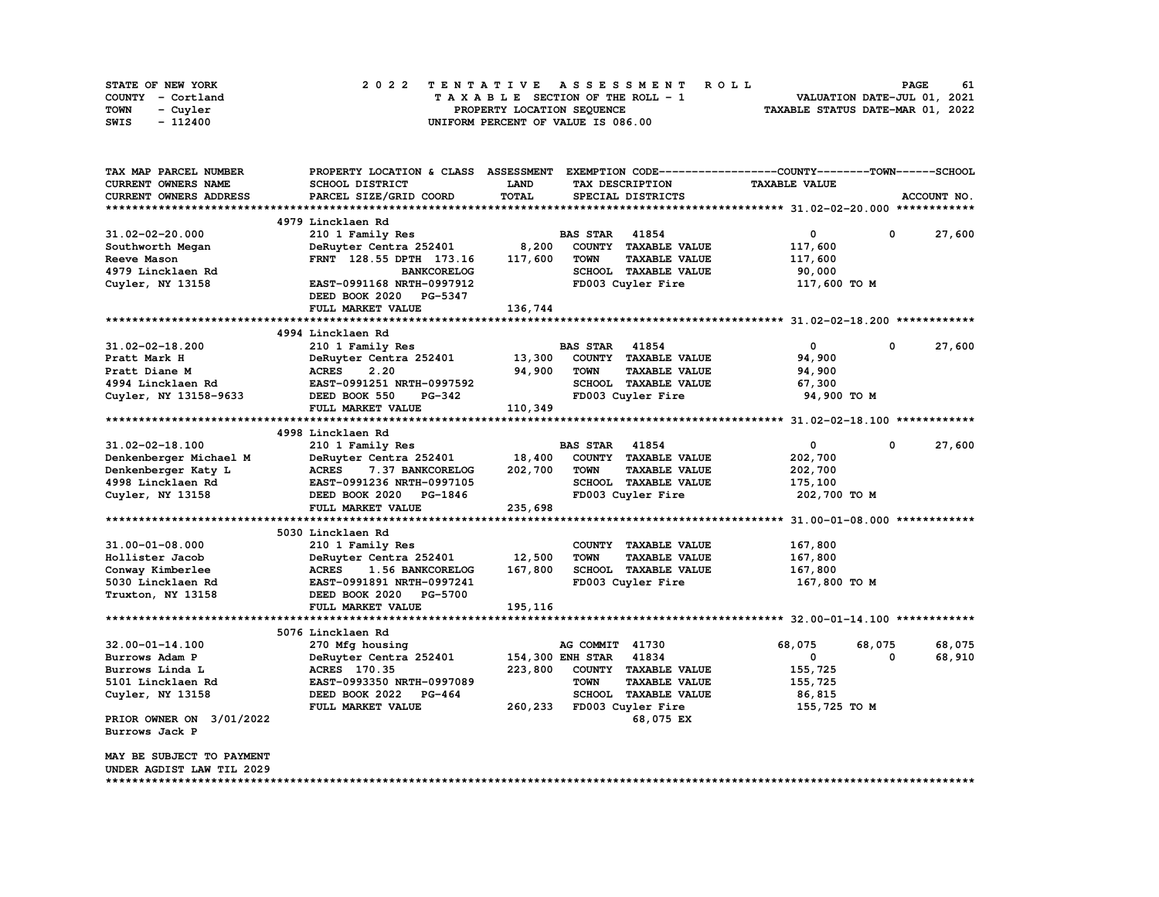| STATE OF NEW YORK | 2022 TENTATIVE ASSESSMENT ROLL     | 61<br><b>PAGE</b>                |
|-------------------|------------------------------------|----------------------------------|
| COUNTY - Cortland | TAXABLE SECTION OF THE ROLL - 1    | VALUATION DATE-JUL 01, 2021      |
| TOWN<br>- Cuyler  | PROPERTY LOCATION SEQUENCE         | TAXABLE STATUS DATE-MAR 01, 2022 |
| - 112400<br>SWIS  | UNIFORM PERCENT OF VALUE IS 086.00 |                                  |

| TAX MAP PARCEL NUMBER         | PROPERTY LOCATION & CLASS ASSESSMENT |              |                       |                      | EXEMPTION CODE-----------------COUNTY-------TOWN------SCHOOL |          |             |
|-------------------------------|--------------------------------------|--------------|-----------------------|----------------------|--------------------------------------------------------------|----------|-------------|
| <b>CURRENT OWNERS NAME</b>    | <b>SCHOOL DISTRICT</b>               | <b>LAND</b>  |                       | TAX DESCRIPTION      | <b>TAXABLE VALUE</b>                                         |          |             |
| <b>CURRENT OWNERS ADDRESS</b> | PARCEL SIZE/GRID COORD               | <b>TOTAL</b> |                       | SPECIAL DISTRICTS    |                                                              |          | ACCOUNT NO. |
|                               |                                      |              |                       |                      |                                                              |          |             |
|                               | 4979 Lincklaen Rd                    |              |                       |                      |                                                              |          |             |
| $31.02 - 02 - 20.000$         | 210 1 Family Res                     |              | <b>BAS STAR</b> 41854 |                      | 0                                                            | 0        | 27,600      |
| Southworth Megan              | DeRuyter Centra 252401               | 8,200        |                       | COUNTY TAXABLE VALUE | 117,600                                                      |          |             |
| Reeve Mason                   | FRNT 128.55 DPTH 173.16              | 117,600      | <b>TOWN</b>           | <b>TAXABLE VALUE</b> | 117,600                                                      |          |             |
| 4979 Lincklaen Rd             | <b>BANKCORELOG</b>                   |              |                       | SCHOOL TAXABLE VALUE | 90,000                                                       |          |             |
| Cuyler, NY 13158              | EAST-0991168 NRTH-0997912            |              |                       | FD003 Cuyler Fire    | 117,600 TO M                                                 |          |             |
|                               | DEED BOOK 2020 PG-5347               |              |                       |                      |                                                              |          |             |
|                               | FULL MARKET VALUE                    | 136,744      |                       |                      |                                                              |          |             |
|                               |                                      |              |                       |                      |                                                              |          |             |
|                               | 4994 Lincklaen Rd                    |              |                       |                      |                                                              |          |             |
| 31.02-02-18.200               | 210 1 Family Res                     |              | <b>BAS STAR</b>       | 41854                | $\mathbf{o}$                                                 | 0        | 27,600      |
| Pratt Mark H                  | DeRuyter Centra 252401               | 13,300       |                       | COUNTY TAXABLE VALUE | 94,900                                                       |          |             |
| Pratt Diane M                 | 2.20<br><b>ACRES</b>                 | 94,900       | <b>TOWN</b>           | <b>TAXABLE VALUE</b> | 94,900                                                       |          |             |
| 4994 Lincklaen Rd             | EAST-0991251 NRTH-0997592            |              |                       | SCHOOL TAXABLE VALUE | 67,300                                                       |          |             |
| Cuyler, NY 13158-9633         | DEED BOOK 550<br>PG-342              |              |                       | FD003 Cuyler Fire    | 94,900 TO M                                                  |          |             |
|                               | FULL MARKET VALUE                    | 110,349      |                       |                      |                                                              |          |             |
|                               |                                      |              |                       |                      |                                                              |          |             |
|                               | 4998 Lincklaen Rd                    |              |                       |                      |                                                              |          |             |
| 31.02-02-18.100               | 210 1 Family Res                     |              | <b>BAS STAR</b>       | 41854                | 0                                                            | 0        | 27,600      |
| Denkenberger Michael M        | DeRuyter Centra 252401               | 18,400       |                       | COUNTY TAXABLE VALUE | 202,700                                                      |          |             |
| Denkenberger Katy L           | <b>ACRES</b><br>7.37 BANKCORELOG     | 202,700      | <b>TOWN</b>           | <b>TAXABLE VALUE</b> | 202,700                                                      |          |             |
| 4998 Lincklaen Rd             | EAST-0991236 NRTH-0997105            |              |                       | SCHOOL TAXABLE VALUE | 175,100                                                      |          |             |
| Cuyler, NY 13158              | DEED BOOK 2020 PG-1846               |              |                       | FD003 Cuyler Fire    | 202,700 TO M                                                 |          |             |
|                               | FULL MARKET VALUE                    | 235,698      |                       |                      |                                                              |          |             |
|                               |                                      |              |                       |                      |                                                              |          |             |
|                               | 5030 Lincklaen Rd                    |              |                       |                      |                                                              |          |             |
| 31.00-01-08.000               | 210 1 Family Res                     |              |                       | COUNTY TAXABLE VALUE | 167,800                                                      |          |             |
| Hollister Jacob               | DeRuyter Centra 252401               | 12,500       | <b>TOWN</b>           | <b>TAXABLE VALUE</b> | 167,800                                                      |          |             |
| Conway Kimberlee              | <b>ACRES</b><br>1.56 BANKCORELOG     | 167,800      |                       | SCHOOL TAXABLE VALUE | 167,800                                                      |          |             |
| 5030 Lincklaen Rd             | EAST-0991891 NRTH-0997241            |              |                       | FD003 Cuyler Fire    | 167,800 TO M                                                 |          |             |
| Truxton, NY 13158             | DEED BOOK 2020 PG-5700               |              |                       |                      |                                                              |          |             |
|                               | FULL MARKET VALUE                    | 195,116      |                       |                      |                                                              |          |             |
|                               |                                      |              |                       |                      |                                                              |          |             |
|                               | 5076 Lincklaen Rd                    |              |                       |                      |                                                              |          |             |
| $32.00 - 01 - 14.100$         | 270 Mfg housing                      |              | AG COMMIT 41730       |                      | 68,075                                                       | 68,075   | 68,075      |
| Burrows Adam P                | DeRuyter Centra 252401               |              | 154,300 ENH STAR      | 41834                | 0                                                            | $\Omega$ | 68,910      |
| Burrows Linda L               | ACRES 170.35                         | 223,800      |                       | COUNTY TAXABLE VALUE | 155,725                                                      |          |             |
| 5101 Lincklaen Rd             | EAST-0993350 NRTH-0997089            |              | <b>TOWN</b>           | <b>TAXABLE VALUE</b> | 155,725                                                      |          |             |
| Cuyler, NY 13158              | DEED BOOK 2022<br><b>PG-464</b>      |              |                       | SCHOOL TAXABLE VALUE | 86,815                                                       |          |             |
|                               | FULL MARKET VALUE                    | 260,233      |                       | FD003 Cuyler Fire    | 155,725 TO M                                                 |          |             |
| PRIOR OWNER ON 3/01/2022      |                                      |              |                       | 68,075 EX            |                                                              |          |             |
| Burrows Jack P                |                                      |              |                       |                      |                                                              |          |             |
| MAY BE SUBJECT TO PAYMENT     |                                      |              |                       |                      |                                                              |          |             |
| UNDER AGDIST LAW TIL 2029     |                                      |              |                       |                      |                                                              |          |             |
|                               |                                      |              |                       |                      |                                                              |          |             |
|                               |                                      |              |                       |                      |                                                              |          |             |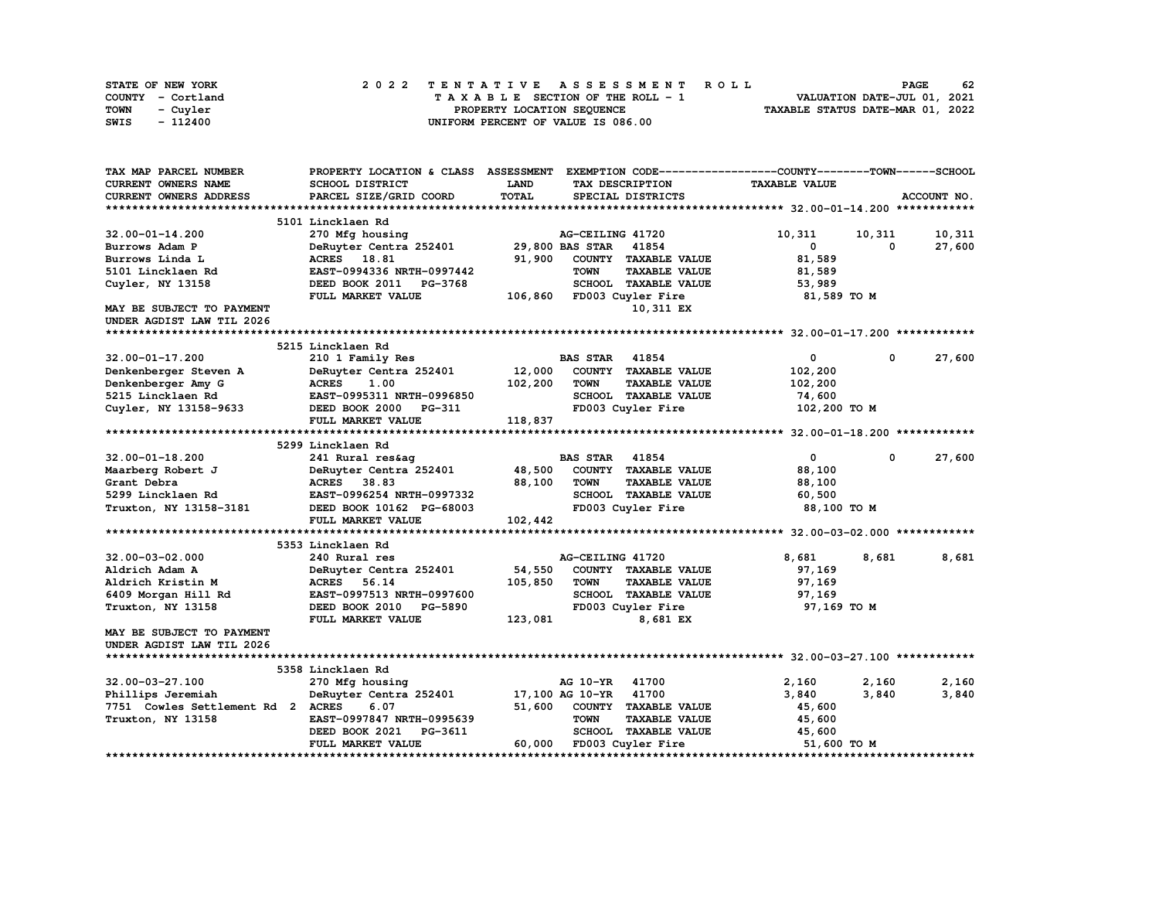| STATE OF NEW YORK | 2022 TENTATIVE ASSESSMENT ROLL     | 62<br><b>PAGE</b>                |
|-------------------|------------------------------------|----------------------------------|
| COUNTY - Cortland | TAXABLE SECTION OF THE ROLL - 1    | VALUATION DATE-JUL 01, 2021      |
| TOWN<br>- Cuyler  | PROPERTY LOCATION SEQUENCE         | TAXABLE STATUS DATE-MAR 01, 2022 |
| - 112400<br>SWIS  | UNIFORM PERCENT OF VALUE IS 086.00 |                                  |

| TAX MAP PARCEL NUMBER             | PROPERTY LOCATION & CLASS ASSESSMENT |              |                          |                      | EXEMPTION CODE-----------------COUNTY-------TOWN------SCHOOL |             |             |
|-----------------------------------|--------------------------------------|--------------|--------------------------|----------------------|--------------------------------------------------------------|-------------|-------------|
| <b>CURRENT OWNERS NAME</b>        | SCHOOL DISTRICT                      | <b>LAND</b>  | TAX DESCRIPTION          |                      | <b>TAXABLE VALUE</b>                                         |             |             |
| CURRENT OWNERS ADDRESS            | PARCEL SIZE/GRID COORD               | <b>TOTAL</b> | SPECIAL DISTRICTS        |                      |                                                              |             | ACCOUNT NO. |
|                                   |                                      |              |                          |                      |                                                              |             |             |
|                                   | 5101 Lincklaen Rd                    |              |                          |                      |                                                              |             |             |
| 32.00-01-14.200                   | 270 Mfg housing                      |              | AG-CEILING 41720         |                      | 10,311                                                       | 10,311      | 10,311      |
| Burrows Adam P                    | DeRuyter Centra 252401               |              | 29,800 BAS STAR 41854    |                      | 0                                                            | 0           | 27,600      |
| Burrows Linda L                   | ACRES 18.81                          | 91,900       | COUNTY TAXABLE VALUE     |                      | 81,589                                                       |             |             |
| 5101 Lincklaen Rd                 | EAST-0994336 NRTH-0997442            |              | <b>TOWN</b>              | <b>TAXABLE VALUE</b> | 81,589                                                       |             |             |
| Cuyler, NY 13158                  | DEED BOOK 2011<br>PG-3768            |              | SCHOOL TAXABLE VALUE     |                      | 53,989                                                       |             |             |
|                                   | FULL MARKET VALUE                    | 106,860      | FD003 Cuyler Fire        |                      | 81,589 TO M                                                  |             |             |
| <b>MAY BE SUBJECT TO PAYMENT</b>  |                                      |              |                          | 10,311 EX            |                                                              |             |             |
| UNDER AGDIST LAW TIL 2026         |                                      |              |                          |                      |                                                              |             |             |
|                                   |                                      |              |                          |                      |                                                              |             |             |
|                                   | 5215 Lincklaen Rd                    |              |                          |                      |                                                              |             |             |
| 32.00-01-17.200                   | 210 1 Family Res                     |              | <b>BAS STAR</b>          | 41854                | 0                                                            | 0           | 27,600      |
| Denkenberger Steven A             | DeRuyter Centra 252401               | 12,000       | COUNTY TAXABLE VALUE     |                      | 102,200                                                      |             |             |
| Denkenberger Amy G                | <b>ACRES</b><br>1.00                 | 102,200      | <b>TOWN</b>              | <b>TAXABLE VALUE</b> | 102,200                                                      |             |             |
| 5215 Lincklaen Rd                 | EAST-0995311 NRTH-0996850            |              | SCHOOL TAXABLE VALUE     |                      | 74,600                                                       |             |             |
| Cuyler, NY 13158-9633             | DEED BOOK 2000 PG-311                |              | FD003 Cuyler Fire        |                      | 102,200 TO M                                                 |             |             |
|                                   | FULL MARKET VALUE                    | 118,837      |                          |                      |                                                              |             |             |
|                                   |                                      |              |                          |                      |                                                              |             |             |
|                                   | 5299 Lincklaen Rd                    |              |                          |                      |                                                              |             |             |
| $32.00 - 01 - 18.200$             | 241 Rural res&aq                     |              | <b>BAS STAR 41854</b>    |                      | $\mathbf{0}$                                                 | $\mathbf 0$ | 27,600      |
| Maarberg Robert J                 | DeRuyter Centra 252401               | 48,500       | COUNTY TAXABLE VALUE     |                      | 88,100                                                       |             |             |
| Grant Debra                       | ACRES 38.83                          | 88,100       | <b>TOWN</b>              | <b>TAXABLE VALUE</b> | 88,100                                                       |             |             |
| 5299 Lincklaen Rd                 | EAST-0996254 NRTH-0997332            |              | SCHOOL TAXABLE VALUE     |                      | 60,500                                                       |             |             |
| Truxton, NY 13158-3181            | DEED BOOK 10162 PG-68003             |              | FD003 Cuyler Fire        |                      | 88,100 TO M                                                  |             |             |
|                                   | FULL MARKET VALUE                    | 102,442      |                          |                      |                                                              |             |             |
|                                   |                                      |              |                          |                      |                                                              |             |             |
|                                   | 5353 Lincklaen Rd                    |              |                          |                      |                                                              |             |             |
| $32.00 - 03 - 02.000$             | 240 Rural res                        |              | AG-CEILING 41720         |                      | 8,681                                                        | 8,681       | 8,681       |
| Aldrich Adam A                    | DeRuyter Centra 252401               | 54,550       | COUNTY TAXABLE VALUE     |                      | 97,169                                                       |             |             |
| Aldrich Kristin M                 | <b>ACRES</b><br>56.14                | 105,850      | <b>TOWN</b>              | <b>TAXABLE VALUE</b> | 97,169                                                       |             |             |
| 6409 Morgan Hill Rd               | EAST-0997513 NRTH-0997600            |              | SCHOOL TAXABLE VALUE     |                      | 97,169                                                       |             |             |
| Truxton, NY 13158                 | DEED BOOK 2010 PG-5890               |              | FD003 Cuyler Fire        |                      | 97,169 TO M                                                  |             |             |
|                                   | FULL MARKET VALUE                    | 123,081      |                          | 8,681 EX             |                                                              |             |             |
| MAY BE SUBJECT TO PAYMENT         |                                      |              |                          |                      |                                                              |             |             |
| UNDER AGDIST LAW TIL 2026         |                                      |              |                          |                      |                                                              |             |             |
|                                   |                                      |              |                          |                      |                                                              |             |             |
|                                   | 5358 Lincklaen Rd                    |              |                          |                      |                                                              |             |             |
| 32.00-03-27.100                   | 270 Mfg housing                      |              | AG 10-YR                 | 41700                | 2,160                                                        | 2,160       | 2,160       |
| Phillips Jeremiah                 | DeRuyter Centra 252401               |              | 17,100 AG 10-YR 41700    |                      | 3,840                                                        | 3,840       | 3,840       |
| 7751 Cowles Settlement Rd 2 ACRES | 6.07                                 | 51,600       | COUNTY TAXABLE VALUE     |                      | 45,600                                                       |             |             |
| Truxton, NY 13158                 | EAST-0997847 NRTH-0995639            |              | <b>TOWN</b>              | <b>TAXABLE VALUE</b> | 45,600                                                       |             |             |
|                                   | DEED BOOK 2021<br>PG-3611            |              | SCHOOL TAXABLE VALUE     |                      | 45,600                                                       |             |             |
|                                   | FULL MARKET VALUE                    |              | 60,000 FD003 Cuyler Fire |                      | 51,600 TO M                                                  |             |             |
|                                   |                                      |              |                          |                      |                                                              |             |             |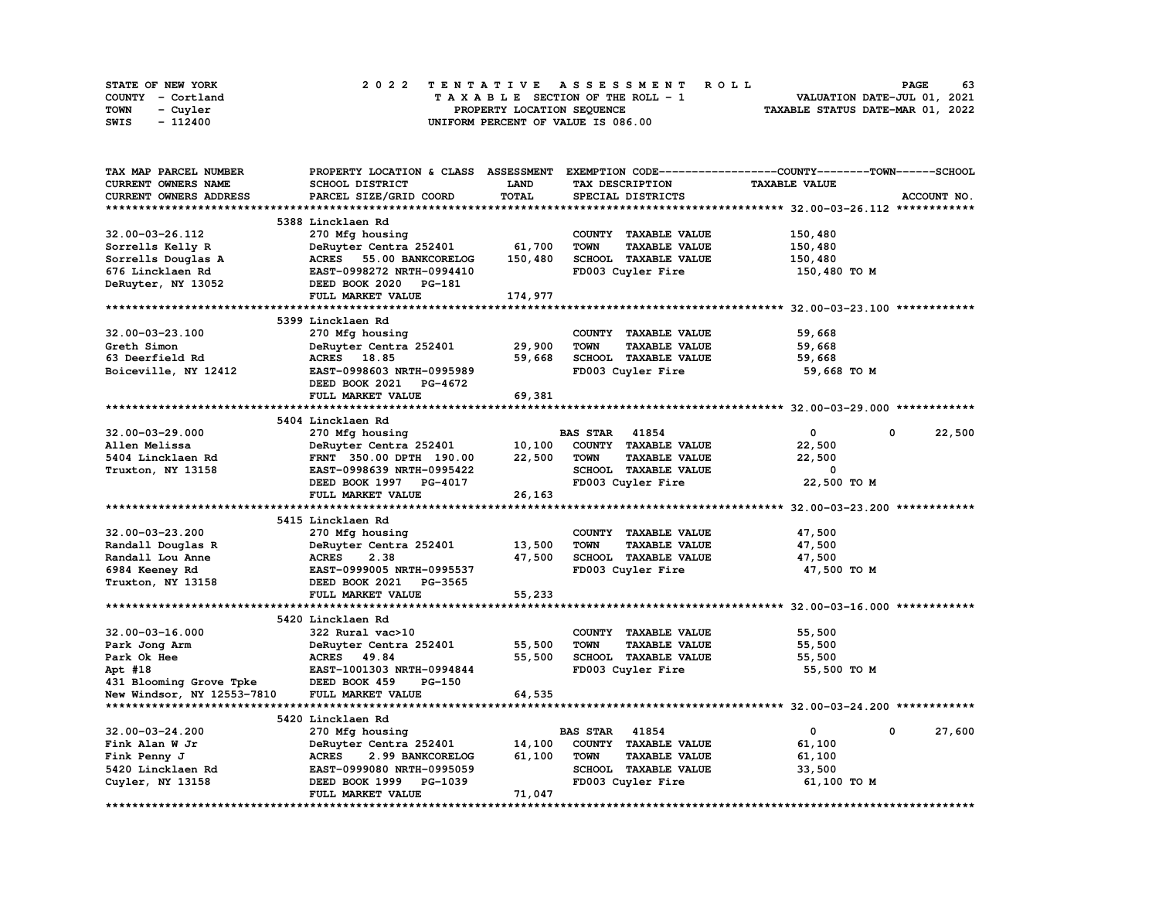|      | STATE OF NEW YORK |  |  |  |  |  | 2022 TENTATIVE ASSESSMENT ROLL     |  |  |  |  |  |  |                                  | <b>PAGE</b> | 63 |
|------|-------------------|--|--|--|--|--|------------------------------------|--|--|--|--|--|--|----------------------------------|-------------|----|
|      | COUNTY - Cortland |  |  |  |  |  | TAXABLE SECTION OF THE ROLL - 1    |  |  |  |  |  |  | VALUATION DATE-JUL 01, 2021      |             |    |
| TOWN | - Cuvler          |  |  |  |  |  | PROPERTY LOCATION SEQUENCE         |  |  |  |  |  |  | TAXABLE STATUS DATE-MAR 01, 2022 |             |    |
| SWIS | - 112400          |  |  |  |  |  | UNIFORM PERCENT OF VALUE IS 086.00 |  |  |  |  |  |  |                                  |             |    |

| TAX MAP PARCEL NUMBER      | PROPERTY LOCATION & CLASS ASSESSMENT |              | EXEMPTION CODE-----------------COUNTY-------TOWN------SCHOOL |                      |             |
|----------------------------|--------------------------------------|--------------|--------------------------------------------------------------|----------------------|-------------|
| CURRENT OWNERS NAME        | SCHOOL DISTRICT                      | <b>LAND</b>  | TAX DESCRIPTION                                              | <b>TAXABLE VALUE</b> |             |
| CURRENT OWNERS ADDRESS     | PARCEL SIZE/GRID COORD               | <b>TOTAL</b> | SPECIAL DISTRICTS                                            |                      | ACCOUNT NO. |
|                            |                                      |              |                                                              |                      |             |
|                            | 5388 Lincklaen Rd                    |              |                                                              |                      |             |
| 32.00-03-26.112            | 270 Mfg housing                      |              | COUNTY TAXABLE VALUE                                         | 150,480              |             |
| Sorrells Kelly R           | DeRuyter Centra 252401               | 61,700       | <b>TOWN</b><br><b>TAXABLE VALUE</b>                          | 150,480              |             |
| Sorrells Douglas A         | <b>ACRES</b><br>55.00 BANKCORELOG    | 150,480      | SCHOOL TAXABLE VALUE                                         | 150,480              |             |
| 676 Lincklaen Rd           | EAST-0998272 NRTH-0994410            |              | FD003 Cuyler Fire                                            | 150,480 TO M         |             |
|                            |                                      |              |                                                              |                      |             |
| DeRuyter, NY 13052         | DEED BOOK 2020 PG-181                |              |                                                              |                      |             |
|                            | FULL MARKET VALUE                    | 174,977      |                                                              |                      |             |
|                            |                                      |              |                                                              |                      |             |
|                            | 5399 Lincklaen Rd                    |              |                                                              |                      |             |
| $32.00 - 03 - 23.100$      | 270 Mfg housing                      |              | COUNTY TAXABLE VALUE                                         | 59,668               |             |
| Greth Simon                | DeRuyter Centra 252401               | 29,900       | <b>TOWN</b><br><b>TAXABLE VALUE</b>                          | 59,668               |             |
| 63 Deerfield Rd            | ACRES 18.85                          | 59,668       | SCHOOL TAXABLE VALUE                                         | 59,668               |             |
| Boiceville, NY 12412       | EAST-0998603 NRTH-0995989            |              | FD003 Cuyler Fire                                            | 59,668 TO M          |             |
|                            | DEED BOOK 2021 PG-4672               |              |                                                              |                      |             |
|                            | FULL MARKET VALUE                    | 69,381       |                                                              |                      |             |
|                            |                                      |              |                                                              |                      |             |
|                            | 5404 Lincklaen Rd                    |              |                                                              |                      |             |
| $32.00 - 03 - 29.000$      | 270 Mfg housing                      |              | <b>BAS STAR</b> 41854                                        | $\mathbf 0$          | 22,500<br>0 |
| Allen Melissa              | DeRuyter Centra 252401               | 10,100       | COUNTY TAXABLE VALUE                                         | 22,500               |             |
| 5404 Lincklaen Rd          | FRNT 350.00 DPTH 190.00              | 22,500       | <b>TOWN</b><br><b>TAXABLE VALUE</b>                          | 22,500               |             |
| Truxton, NY 13158          | EAST-0998639 NRTH-0995422            |              | SCHOOL TAXABLE VALUE                                         | 0                    |             |
|                            | DEED BOOK 1997 PG-4017               |              | FD003 Cuyler Fire                                            | 22,500 TO M          |             |
|                            |                                      | 26,163       |                                                              |                      |             |
|                            | FULL MARKET VALUE                    |              |                                                              |                      |             |
|                            |                                      |              |                                                              |                      |             |
|                            | 5415 Lincklaen Rd                    |              |                                                              |                      |             |
| 32.00-03-23.200            | 270 Mfg housing                      |              | COUNTY TAXABLE VALUE                                         | 47,500               |             |
| Randall Douglas R          | DeRuyter Centra 252401               | 13,500       | <b>TOWN</b><br><b>TAXABLE VALUE</b>                          | 47,500               |             |
| Randall Lou Anne           | 2.38<br><b>ACRES</b>                 | 47,500       | SCHOOL TAXABLE VALUE                                         | 47,500               |             |
| 6984 Keeney Rd             | EAST-0999005 NRTH-0995537            |              | FD003 Cuyler Fire                                            | 47,500 TO M          |             |
| Truxton, NY 13158          | DEED BOOK 2021<br>PG-3565            |              |                                                              |                      |             |
|                            | FULL MARKET VALUE                    | 55,233       |                                                              |                      |             |
|                            |                                      |              |                                                              |                      |             |
|                            | 5420 Lincklaen Rd                    |              |                                                              |                      |             |
| $32.00 - 03 - 16.000$      | 322 Rural vac>10                     |              | COUNTY TAXABLE VALUE                                         | 55,500               |             |
| Park Jong Arm              | DeRuyter Centra 252401               | 55,500       | <b>TOWN</b><br><b>TAXABLE VALUE</b>                          | 55,500               |             |
| Park Ok Hee                | ACRES 49.84                          | 55,500       | SCHOOL TAXABLE VALUE                                         | 55,500               |             |
| Apt #18                    | EAST-1001303 NRTH-0994844            |              | FD003 Cuyler Fire                                            | 55,500 TO M          |             |
| 431 Blooming Grove Tpke    | DEED BOOK 459<br>PG-150              |              |                                                              |                      |             |
| New Windsor, NY 12553-7810 | FULL MARKET VALUE                    | 64,535       |                                                              |                      |             |
|                            |                                      |              |                                                              |                      |             |
|                            | 5420 Lincklaen Rd                    |              |                                                              |                      |             |
|                            |                                      |              | 41854<br><b>BAS STAR</b>                                     | 0                    | 0           |
| $32.00 - 03 - 24.200$      | 270 Mfg housing                      |              |                                                              |                      | 27,600      |
| Fink Alan W Jr             | DeRuyter Centra 252401               | 14,100       | COUNTY TAXABLE VALUE                                         | 61,100               |             |
| Fink Penny J               | <b>ACRES</b><br>2.99 BANKCORELOG     | 61,100       | <b>TAXABLE VALUE</b><br><b>TOWN</b>                          | 61,100               |             |
| 5420 Lincklaen Rd          | EAST-0999080 NRTH-0995059            |              | SCHOOL TAXABLE VALUE                                         | 33,500               |             |
| Cuyler, NY 13158           | DEED BOOK 1999 PG-1039               |              | FD003 Cuyler Fire                                            | 61,100 TO M          |             |
|                            | FULL MARKET VALUE                    | 71,047       |                                                              |                      |             |
|                            |                                      |              |                                                              |                      |             |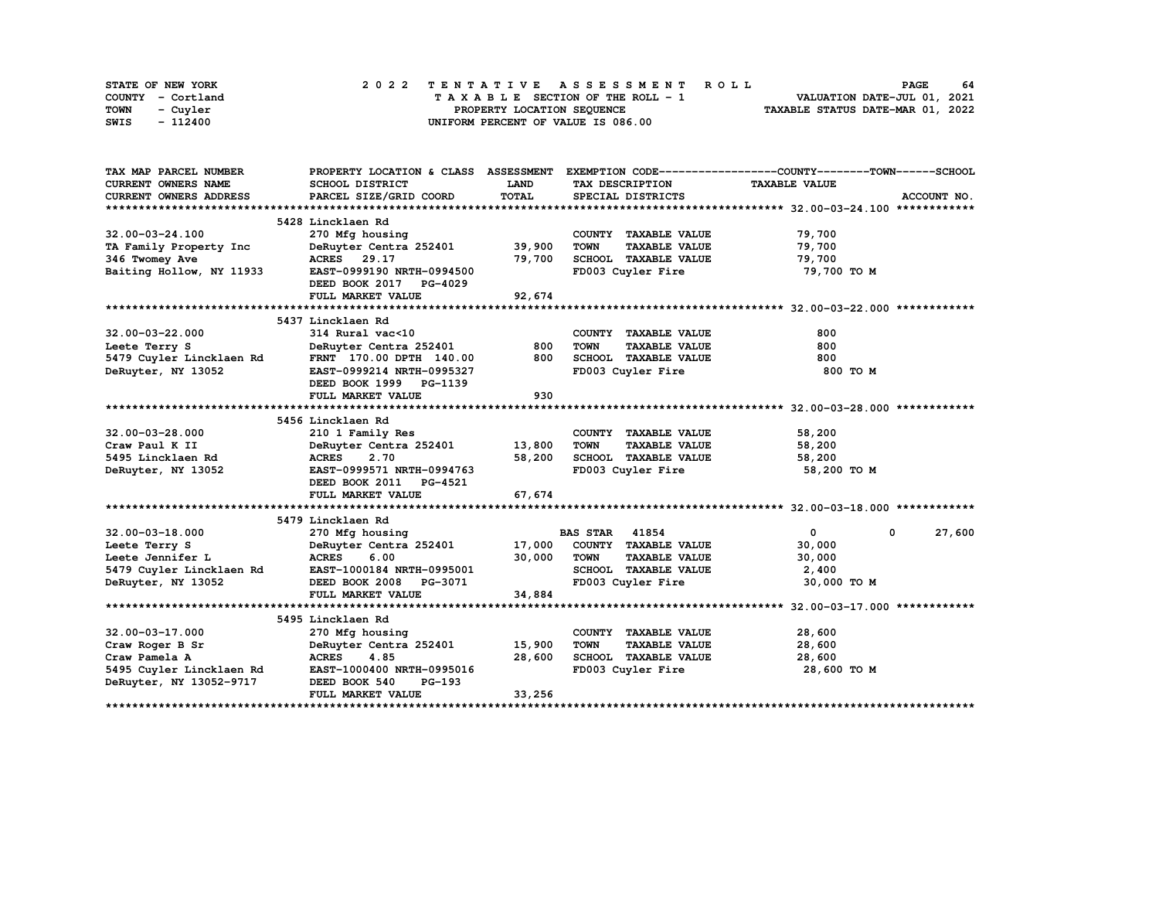| STATE OF NEW YORK | 2022 TENTATIVE ASSESSMENT ROLL     | 64<br><b>PAGE</b>                |
|-------------------|------------------------------------|----------------------------------|
| COUNTY - Cortland | TAXABLE SECTION OF THE ROLL - 1    | VALUATION DATE-JUL 01, 2021      |
| TOWN<br>- Cuvler  | PROPERTY LOCATION SEQUENCE         | TAXABLE STATUS DATE-MAR 01, 2022 |
| - 112400<br>SWIS  | UNIFORM PERCENT OF VALUE IS 086.00 |                                  |

| TAX MAP PARCEL NUMBER         | PROPERTY LOCATION & CLASS ASSESSMENT               |             |                                     | EXEMPTION CODE-----------------COUNTY-------TOWN------SCHOOL |  |
|-------------------------------|----------------------------------------------------|-------------|-------------------------------------|--------------------------------------------------------------|--|
| <b>CURRENT OWNERS NAME</b>    | SCHOOL DISTRICT                                    | <b>LAND</b> | TAX DESCRIPTION                     | <b>TAXABLE VALUE</b>                                         |  |
| <b>CURRENT OWNERS ADDRESS</b> | PARCEL SIZE/GRID COORD                             | TOTAL       | SPECIAL DISTRICTS                   | ACCOUNT NO.                                                  |  |
|                               |                                                    |             |                                     |                                                              |  |
|                               | 5428 Lincklaen Rd                                  |             |                                     |                                                              |  |
| 32.00-03-24.100               | 270 Mfg housing                                    |             | COUNTY TAXABLE VALUE                | 79,700                                                       |  |
| TA Family Property Inc        | DeRuyter Centra 252401                             | 39,900      | <b>TOWN</b><br><b>TAXABLE VALUE</b> | 79,700                                                       |  |
| 346 Twomey Ave                | ACRES 29.17                                        | 79,700      | SCHOOL TAXABLE VALUE                | 79,700                                                       |  |
| Baiting Hollow, NY 11933      | EAST-0999190 NRTH-0994500                          |             | FD003 Cuyler Fire                   | 79,700 TO M                                                  |  |
|                               | DEED BOOK 2017 PG-4029                             |             |                                     |                                                              |  |
|                               | FULL MARKET VALUE                                  | 92,674      |                                     |                                                              |  |
|                               |                                                    |             |                                     |                                                              |  |
|                               | 5437 Lincklaen Rd                                  |             |                                     |                                                              |  |
| $32.00 - 03 - 22.000$         | 314 Rural vac<10                                   |             | COUNTY TAXABLE VALUE                | 800                                                          |  |
| Leete Terry S                 | DeRuyter Centra 252401                             | 800         | <b>TOWN</b><br><b>TAXABLE VALUE</b> | 800                                                          |  |
| 5479 Cuyler Lincklaen Rd      | FRNT 170.00 DPTH 140.00                            | 800         | SCHOOL TAXABLE VALUE                | 800                                                          |  |
| DeRuyter, NY 13052            | EAST-0999214 NRTH-0995327                          |             | FD003 Cuyler Fire                   | 800 TO M                                                     |  |
|                               | DEED BOOK 1999 PG-1139                             |             |                                     |                                                              |  |
|                               | FULL MARKET VALUE                                  | 930         |                                     |                                                              |  |
|                               |                                                    |             |                                     |                                                              |  |
|                               | 5456 Lincklaen Rd                                  |             |                                     |                                                              |  |
| $32.00 - 03 - 28.000$         | 210 1 Family Res                                   |             | COUNTY TAXABLE VALUE                | 58,200                                                       |  |
| Craw Paul K II                | DeRuyter Centra 252401 13,800                      |             | <b>TOWN</b><br><b>TAXABLE VALUE</b> | 58,200                                                       |  |
| 5495 Lincklaen Rd             | <b>ACRES</b><br>2.70                               | 58,200      | SCHOOL TAXABLE VALUE                | 58,200                                                       |  |
| DeRuyter, NY 13052            | EAST-0999571 NRTH-0994763                          |             | FD003 Cuyler Fire                   | 58,200 TO M                                                  |  |
|                               | DEED BOOK 2011 PG-4521                             |             |                                     |                                                              |  |
|                               | FULL MARKET VALUE                                  | 67,674      |                                     |                                                              |  |
|                               |                                                    |             |                                     |                                                              |  |
|                               | 5479 Lincklaen Rd                                  |             |                                     |                                                              |  |
| $32.00 - 03 - 18.000$         | 270 Mfg housing                                    |             | <b>BAS STAR 41854</b>               | $\mathbf{0}$<br>27,600<br>$\mathbf{0}$                       |  |
| Leete Terry S                 | DeRuyter Centra 252401 17,000                      |             | COUNTY TAXABLE VALUE                | 30,000                                                       |  |
| Leete Jennifer L              | <b>ACRES</b><br>6.00                               | 30,000      | <b>TOWN</b><br><b>TAXABLE VALUE</b> | 30,000                                                       |  |
|                               | 5479 Cuyler Lincklaen Rd EAST-1000184 NRTH-0995001 |             | SCHOOL TAXABLE VALUE                | 2,400                                                        |  |
| DeRuyter, NY 13052            | DEED BOOK 2008 PG-3071                             |             | FD003 Cuyler Fire                   | 30,000 TO M                                                  |  |
|                               | FULL MARKET VALUE                                  | 34,884      |                                     |                                                              |  |
|                               |                                                    |             |                                     |                                                              |  |
|                               | 5495 Lincklaen Rd                                  |             |                                     |                                                              |  |
| $32.00 - 03 - 17.000$         | 270 Mfg housing                                    |             | COUNTY TAXABLE VALUE                | 28,600                                                       |  |
| Craw Roger B Sr               | DeRuyter Centra 252401                             | 15,900      | <b>TOWN</b><br><b>TAXABLE VALUE</b> | 28,600                                                       |  |
| Craw Pamela A                 | <b>ACRES</b><br>4.85                               | 28,600      | SCHOOL TAXABLE VALUE                | 28,600                                                       |  |
| 5495 Cuyler Lincklaen Rd      | EAST-1000400 NRTH-0995016                          |             | FD003 Cuyler Fire                   | 28,600 TO M                                                  |  |
| DeRuyter, NY 13052-9717       | DEED BOOK 540<br>PG-193                            |             |                                     |                                                              |  |
|                               | FULL MARKET VALUE                                  | 33,256      |                                     |                                                              |  |
|                               |                                                    |             |                                     |                                                              |  |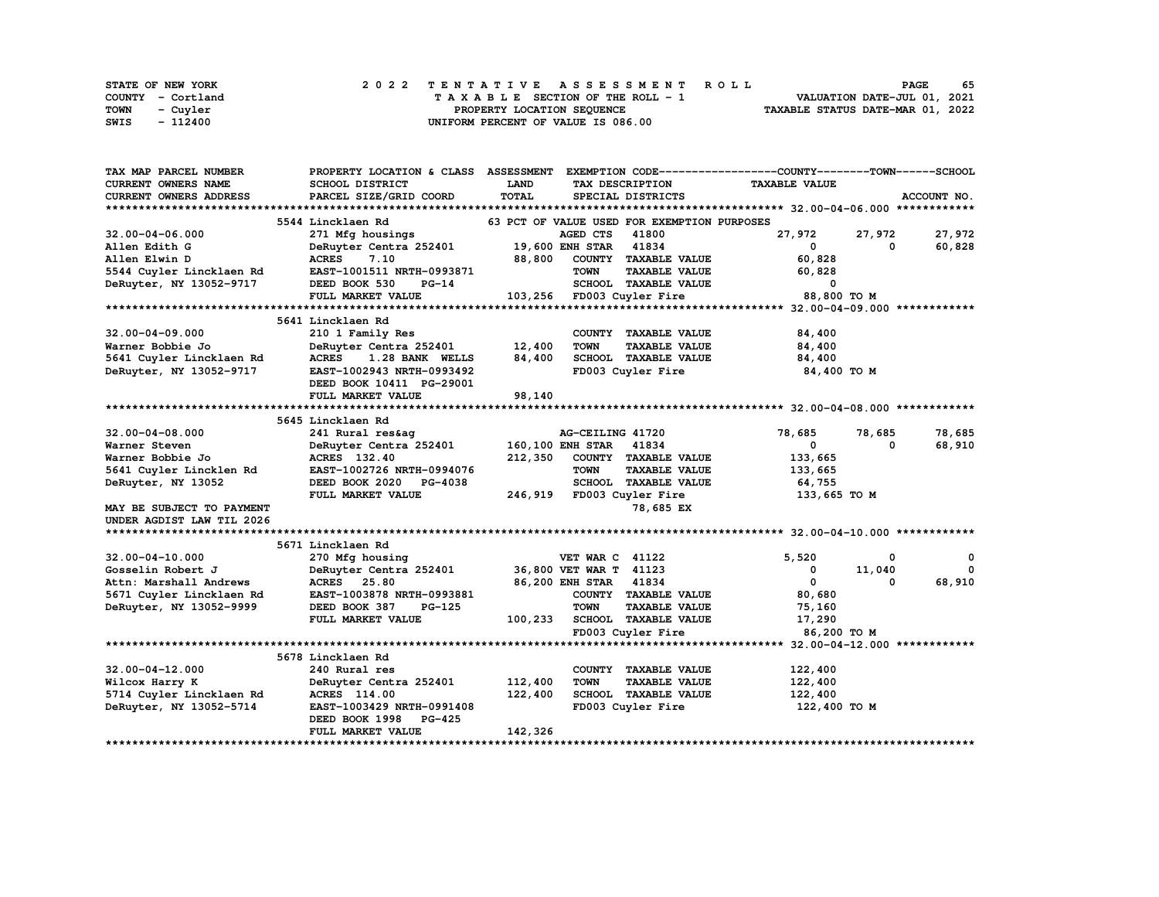| STATE OF NEW YORK       | 2022 TENTATIVE ASSESSMENT ROLL     | 65<br><b>PAGE</b>                |
|-------------------------|------------------------------------|----------------------------------|
| COUNTY - Cortland       | TAXABLE SECTION OF THE ROLL - 1    | VALUATION DATE-JUL 01, 2021      |
| <b>TOWN</b><br>- Cuvler | PROPERTY LOCATION SEQUENCE         | TAXABLE STATUS DATE-MAR 01, 2022 |
| SWIS<br>- 112400        | UNIFORM PERCENT OF VALUE IS 086.00 |                                  |

| <b>CURRENT OWNERS NAME</b><br>LAND<br><b>TAXABLE VALUE</b><br>SCHOOL DISTRICT<br>TAX DESCRIPTION<br><b>TOTAL</b><br>CURRENT OWNERS ADDRESS<br>PARCEL SIZE/GRID COORD<br>ACCOUNT NO.<br>SPECIAL DISTRICTS<br>5544 Lincklaen Rd<br>63 PCT OF VALUE USED FOR EXEMPTION PURPOSES<br>AGED CTS<br>41800<br>27,972<br>27,972<br>27,972<br>$32.00 - 04 - 06.000$<br>271 Mfg housings<br>DeRuyter Centra 252401 19,600 ENH STAR<br>41834<br>60,828<br>Allen Edith G<br>$\mathbf 0$<br>$^{\circ}$<br>88,800<br>COUNTY TAXABLE VALUE<br>60,828<br>Allen Elwin D<br><b>ACRES</b><br>7.10<br><b>TOWN</b><br>5544 Cuyler Lincklaen Rd<br>EAST-1001511 NRTH-0993871<br><b>TAXABLE VALUE</b><br>60,828<br>SCHOOL TAXABLE VALUE<br>103,256 FD003 Cuyler Fire<br>DeRuyter, NY 13052-9717<br>DEED BOOK 530<br>$\overline{\phantom{0}}$<br>PG-14<br>88,800 TO M<br>FULL MARKET VALUE<br>5641 Lincklaen Rd<br>$32.00 - 04 - 09.000$<br>210 1 Family Res<br>COUNTY TAXABLE VALUE<br>84,400<br>12,400<br>DeRuyter Centra 252401<br><b>TOWN</b><br>84,400<br>Warner Bobbie Jo<br><b>TAXABLE VALUE</b><br>ACRES 1.28 BANK WELLS<br>84,400<br>SCHOOL TAXABLE VALUE<br>5641 Cuyler Lincklaen Rd<br>84,400<br>FD003 Cuyler Fire<br>DeRuyter, NY 13052-9717<br>EAST-1002943 NRTH-0993492<br>84,400 TO M<br>DEED BOOK 10411 PG-29001<br>FULL MARKET VALUE<br>98,140<br>5645 Lincklaen Rd<br>$32.00 - 04 - 08.000$<br>241 Rural res&aq<br>AG-CEILING 41720<br>78,685<br>78,685<br>78,685<br>DeRuyter Centra 252401<br>160,100 ENH STAR 41834<br>$\Omega$<br>68,910<br>Warner Steven<br>0<br>ACRES 132.40<br>212,350<br>COUNTY TAXABLE VALUE<br>133,665<br>Warner Bobbie Jo<br>5641 Cuyler Lincklen Rd<br>EAST-1002726 NRTH-0994076<br><b>TOWN</b><br><b>TAXABLE VALUE</b><br>133,665<br>SCHOOL TAXABLE VALUE<br>64,755<br>DeRuyter, NY 13052<br>DEED BOOK 2020 PG-4038<br>246,919 FD003 Cuyler Fire<br>FULL MARKET VALUE<br>133,665 то м<br>78,685 EX<br>MAY BE SUBJECT TO PAYMENT<br>UNDER AGDIST LAW TIL 2026<br>5671 Lincklaen Rd<br>5,520<br>$32.00 - 04 - 10.000$<br>270 Mfg housing<br><b>VET WAR C 41122</b><br>0<br>0<br>DeRuyter Centra 252401 36,800 VET WAR T 41123<br>Gosselin Robert J<br>$\mathbf 0$<br>11,040<br>$^{\circ}$<br>86,200 ENH STAR 41834<br>$\mathbf{0}$<br>68,910<br>Attn: Marshall Andrews<br><b>ACRES</b> 25.80<br>$\Omega$<br>5671 Cuyler Lincklaen Rd<br>EAST-1003878 NRTH-0993881<br>COUNTY TAXABLE VALUE<br>80,680<br>DeRuyter, NY 13052-9999<br><b>TOWN</b><br><b>TAXABLE VALUE</b><br>DEED BOOK 387<br>PG-125<br>75,160<br>FULL MARKET VALUE<br>100,233<br>SCHOOL TAXABLE VALUE<br>17,290<br>FD003 Cuyler Fire<br>86,200 то м<br>5678 Lincklaen Rd<br>$32.00 - 04 - 12.000$<br>240 Rural res<br>COUNTY TAXABLE VALUE<br>122,400<br>112,400<br><b>TOWN</b><br>Wilcox Harry K<br>DeRuyter Centra 252401<br><b>TAXABLE VALUE</b><br>122,400<br>5714 Cuyler Lincklaen Rd<br>122,400<br>SCHOOL TAXABLE VALUE<br>ACRES 114.00<br>122,400<br>122,400 TO M<br>DeRuyter, NY 13052-5714<br>EAST-1003429 NRTH-0991408<br>FD003 Cuyler Fire<br>DEED BOOK 1998 PG-425<br>142,326<br><b>FULL MARKET VALUE</b> | TAX MAP PARCEL NUMBER | PROPERTY LOCATION & CLASS ASSESSMENT EXEMPTION CODE-----------------COUNTY-------TOWN-----SCHOOL |  |  |  |
|------------------------------------------------------------------------------------------------------------------------------------------------------------------------------------------------------------------------------------------------------------------------------------------------------------------------------------------------------------------------------------------------------------------------------------------------------------------------------------------------------------------------------------------------------------------------------------------------------------------------------------------------------------------------------------------------------------------------------------------------------------------------------------------------------------------------------------------------------------------------------------------------------------------------------------------------------------------------------------------------------------------------------------------------------------------------------------------------------------------------------------------------------------------------------------------------------------------------------------------------------------------------------------------------------------------------------------------------------------------------------------------------------------------------------------------------------------------------------------------------------------------------------------------------------------------------------------------------------------------------------------------------------------------------------------------------------------------------------------------------------------------------------------------------------------------------------------------------------------------------------------------------------------------------------------------------------------------------------------------------------------------------------------------------------------------------------------------------------------------------------------------------------------------------------------------------------------------------------------------------------------------------------------------------------------------------------------------------------------------------------------------------------------------------------------------------------------------------------------------------------------------------------------------------------------------------------------------------------------------------------------------------------------------------------------------------------------------------------------------------------------------------------------------------------------------------------------------------------------------------------------------------------------------------------------------------------------------------------------------------------------------------------------------------------------------------------------------------------|-----------------------|--------------------------------------------------------------------------------------------------|--|--|--|
|                                                                                                                                                                                                                                                                                                                                                                                                                                                                                                                                                                                                                                                                                                                                                                                                                                                                                                                                                                                                                                                                                                                                                                                                                                                                                                                                                                                                                                                                                                                                                                                                                                                                                                                                                                                                                                                                                                                                                                                                                                                                                                                                                                                                                                                                                                                                                                                                                                                                                                                                                                                                                                                                                                                                                                                                                                                                                                                                                                                                                                                                                                      |                       |                                                                                                  |  |  |  |
|                                                                                                                                                                                                                                                                                                                                                                                                                                                                                                                                                                                                                                                                                                                                                                                                                                                                                                                                                                                                                                                                                                                                                                                                                                                                                                                                                                                                                                                                                                                                                                                                                                                                                                                                                                                                                                                                                                                                                                                                                                                                                                                                                                                                                                                                                                                                                                                                                                                                                                                                                                                                                                                                                                                                                                                                                                                                                                                                                                                                                                                                                                      |                       |                                                                                                  |  |  |  |
|                                                                                                                                                                                                                                                                                                                                                                                                                                                                                                                                                                                                                                                                                                                                                                                                                                                                                                                                                                                                                                                                                                                                                                                                                                                                                                                                                                                                                                                                                                                                                                                                                                                                                                                                                                                                                                                                                                                                                                                                                                                                                                                                                                                                                                                                                                                                                                                                                                                                                                                                                                                                                                                                                                                                                                                                                                                                                                                                                                                                                                                                                                      |                       |                                                                                                  |  |  |  |
|                                                                                                                                                                                                                                                                                                                                                                                                                                                                                                                                                                                                                                                                                                                                                                                                                                                                                                                                                                                                                                                                                                                                                                                                                                                                                                                                                                                                                                                                                                                                                                                                                                                                                                                                                                                                                                                                                                                                                                                                                                                                                                                                                                                                                                                                                                                                                                                                                                                                                                                                                                                                                                                                                                                                                                                                                                                                                                                                                                                                                                                                                                      |                       |                                                                                                  |  |  |  |
|                                                                                                                                                                                                                                                                                                                                                                                                                                                                                                                                                                                                                                                                                                                                                                                                                                                                                                                                                                                                                                                                                                                                                                                                                                                                                                                                                                                                                                                                                                                                                                                                                                                                                                                                                                                                                                                                                                                                                                                                                                                                                                                                                                                                                                                                                                                                                                                                                                                                                                                                                                                                                                                                                                                                                                                                                                                                                                                                                                                                                                                                                                      |                       |                                                                                                  |  |  |  |
|                                                                                                                                                                                                                                                                                                                                                                                                                                                                                                                                                                                                                                                                                                                                                                                                                                                                                                                                                                                                                                                                                                                                                                                                                                                                                                                                                                                                                                                                                                                                                                                                                                                                                                                                                                                                                                                                                                                                                                                                                                                                                                                                                                                                                                                                                                                                                                                                                                                                                                                                                                                                                                                                                                                                                                                                                                                                                                                                                                                                                                                                                                      |                       |                                                                                                  |  |  |  |
|                                                                                                                                                                                                                                                                                                                                                                                                                                                                                                                                                                                                                                                                                                                                                                                                                                                                                                                                                                                                                                                                                                                                                                                                                                                                                                                                                                                                                                                                                                                                                                                                                                                                                                                                                                                                                                                                                                                                                                                                                                                                                                                                                                                                                                                                                                                                                                                                                                                                                                                                                                                                                                                                                                                                                                                                                                                                                                                                                                                                                                                                                                      |                       |                                                                                                  |  |  |  |
|                                                                                                                                                                                                                                                                                                                                                                                                                                                                                                                                                                                                                                                                                                                                                                                                                                                                                                                                                                                                                                                                                                                                                                                                                                                                                                                                                                                                                                                                                                                                                                                                                                                                                                                                                                                                                                                                                                                                                                                                                                                                                                                                                                                                                                                                                                                                                                                                                                                                                                                                                                                                                                                                                                                                                                                                                                                                                                                                                                                                                                                                                                      |                       |                                                                                                  |  |  |  |
|                                                                                                                                                                                                                                                                                                                                                                                                                                                                                                                                                                                                                                                                                                                                                                                                                                                                                                                                                                                                                                                                                                                                                                                                                                                                                                                                                                                                                                                                                                                                                                                                                                                                                                                                                                                                                                                                                                                                                                                                                                                                                                                                                                                                                                                                                                                                                                                                                                                                                                                                                                                                                                                                                                                                                                                                                                                                                                                                                                                                                                                                                                      |                       |                                                                                                  |  |  |  |
|                                                                                                                                                                                                                                                                                                                                                                                                                                                                                                                                                                                                                                                                                                                                                                                                                                                                                                                                                                                                                                                                                                                                                                                                                                                                                                                                                                                                                                                                                                                                                                                                                                                                                                                                                                                                                                                                                                                                                                                                                                                                                                                                                                                                                                                                                                                                                                                                                                                                                                                                                                                                                                                                                                                                                                                                                                                                                                                                                                                                                                                                                                      |                       |                                                                                                  |  |  |  |
|                                                                                                                                                                                                                                                                                                                                                                                                                                                                                                                                                                                                                                                                                                                                                                                                                                                                                                                                                                                                                                                                                                                                                                                                                                                                                                                                                                                                                                                                                                                                                                                                                                                                                                                                                                                                                                                                                                                                                                                                                                                                                                                                                                                                                                                                                                                                                                                                                                                                                                                                                                                                                                                                                                                                                                                                                                                                                                                                                                                                                                                                                                      |                       |                                                                                                  |  |  |  |
|                                                                                                                                                                                                                                                                                                                                                                                                                                                                                                                                                                                                                                                                                                                                                                                                                                                                                                                                                                                                                                                                                                                                                                                                                                                                                                                                                                                                                                                                                                                                                                                                                                                                                                                                                                                                                                                                                                                                                                                                                                                                                                                                                                                                                                                                                                                                                                                                                                                                                                                                                                                                                                                                                                                                                                                                                                                                                                                                                                                                                                                                                                      |                       |                                                                                                  |  |  |  |
|                                                                                                                                                                                                                                                                                                                                                                                                                                                                                                                                                                                                                                                                                                                                                                                                                                                                                                                                                                                                                                                                                                                                                                                                                                                                                                                                                                                                                                                                                                                                                                                                                                                                                                                                                                                                                                                                                                                                                                                                                                                                                                                                                                                                                                                                                                                                                                                                                                                                                                                                                                                                                                                                                                                                                                                                                                                                                                                                                                                                                                                                                                      |                       |                                                                                                  |  |  |  |
|                                                                                                                                                                                                                                                                                                                                                                                                                                                                                                                                                                                                                                                                                                                                                                                                                                                                                                                                                                                                                                                                                                                                                                                                                                                                                                                                                                                                                                                                                                                                                                                                                                                                                                                                                                                                                                                                                                                                                                                                                                                                                                                                                                                                                                                                                                                                                                                                                                                                                                                                                                                                                                                                                                                                                                                                                                                                                                                                                                                                                                                                                                      |                       |                                                                                                  |  |  |  |
|                                                                                                                                                                                                                                                                                                                                                                                                                                                                                                                                                                                                                                                                                                                                                                                                                                                                                                                                                                                                                                                                                                                                                                                                                                                                                                                                                                                                                                                                                                                                                                                                                                                                                                                                                                                                                                                                                                                                                                                                                                                                                                                                                                                                                                                                                                                                                                                                                                                                                                                                                                                                                                                                                                                                                                                                                                                                                                                                                                                                                                                                                                      |                       |                                                                                                  |  |  |  |
|                                                                                                                                                                                                                                                                                                                                                                                                                                                                                                                                                                                                                                                                                                                                                                                                                                                                                                                                                                                                                                                                                                                                                                                                                                                                                                                                                                                                                                                                                                                                                                                                                                                                                                                                                                                                                                                                                                                                                                                                                                                                                                                                                                                                                                                                                                                                                                                                                                                                                                                                                                                                                                                                                                                                                                                                                                                                                                                                                                                                                                                                                                      |                       |                                                                                                  |  |  |  |
|                                                                                                                                                                                                                                                                                                                                                                                                                                                                                                                                                                                                                                                                                                                                                                                                                                                                                                                                                                                                                                                                                                                                                                                                                                                                                                                                                                                                                                                                                                                                                                                                                                                                                                                                                                                                                                                                                                                                                                                                                                                                                                                                                                                                                                                                                                                                                                                                                                                                                                                                                                                                                                                                                                                                                                                                                                                                                                                                                                                                                                                                                                      |                       |                                                                                                  |  |  |  |
|                                                                                                                                                                                                                                                                                                                                                                                                                                                                                                                                                                                                                                                                                                                                                                                                                                                                                                                                                                                                                                                                                                                                                                                                                                                                                                                                                                                                                                                                                                                                                                                                                                                                                                                                                                                                                                                                                                                                                                                                                                                                                                                                                                                                                                                                                                                                                                                                                                                                                                                                                                                                                                                                                                                                                                                                                                                                                                                                                                                                                                                                                                      |                       |                                                                                                  |  |  |  |
|                                                                                                                                                                                                                                                                                                                                                                                                                                                                                                                                                                                                                                                                                                                                                                                                                                                                                                                                                                                                                                                                                                                                                                                                                                                                                                                                                                                                                                                                                                                                                                                                                                                                                                                                                                                                                                                                                                                                                                                                                                                                                                                                                                                                                                                                                                                                                                                                                                                                                                                                                                                                                                                                                                                                                                                                                                                                                                                                                                                                                                                                                                      |                       |                                                                                                  |  |  |  |
|                                                                                                                                                                                                                                                                                                                                                                                                                                                                                                                                                                                                                                                                                                                                                                                                                                                                                                                                                                                                                                                                                                                                                                                                                                                                                                                                                                                                                                                                                                                                                                                                                                                                                                                                                                                                                                                                                                                                                                                                                                                                                                                                                                                                                                                                                                                                                                                                                                                                                                                                                                                                                                                                                                                                                                                                                                                                                                                                                                                                                                                                                                      |                       |                                                                                                  |  |  |  |
|                                                                                                                                                                                                                                                                                                                                                                                                                                                                                                                                                                                                                                                                                                                                                                                                                                                                                                                                                                                                                                                                                                                                                                                                                                                                                                                                                                                                                                                                                                                                                                                                                                                                                                                                                                                                                                                                                                                                                                                                                                                                                                                                                                                                                                                                                                                                                                                                                                                                                                                                                                                                                                                                                                                                                                                                                                                                                                                                                                                                                                                                                                      |                       |                                                                                                  |  |  |  |
|                                                                                                                                                                                                                                                                                                                                                                                                                                                                                                                                                                                                                                                                                                                                                                                                                                                                                                                                                                                                                                                                                                                                                                                                                                                                                                                                                                                                                                                                                                                                                                                                                                                                                                                                                                                                                                                                                                                                                                                                                                                                                                                                                                                                                                                                                                                                                                                                                                                                                                                                                                                                                                                                                                                                                                                                                                                                                                                                                                                                                                                                                                      |                       |                                                                                                  |  |  |  |
|                                                                                                                                                                                                                                                                                                                                                                                                                                                                                                                                                                                                                                                                                                                                                                                                                                                                                                                                                                                                                                                                                                                                                                                                                                                                                                                                                                                                                                                                                                                                                                                                                                                                                                                                                                                                                                                                                                                                                                                                                                                                                                                                                                                                                                                                                                                                                                                                                                                                                                                                                                                                                                                                                                                                                                                                                                                                                                                                                                                                                                                                                                      |                       |                                                                                                  |  |  |  |
|                                                                                                                                                                                                                                                                                                                                                                                                                                                                                                                                                                                                                                                                                                                                                                                                                                                                                                                                                                                                                                                                                                                                                                                                                                                                                                                                                                                                                                                                                                                                                                                                                                                                                                                                                                                                                                                                                                                                                                                                                                                                                                                                                                                                                                                                                                                                                                                                                                                                                                                                                                                                                                                                                                                                                                                                                                                                                                                                                                                                                                                                                                      |                       |                                                                                                  |  |  |  |
|                                                                                                                                                                                                                                                                                                                                                                                                                                                                                                                                                                                                                                                                                                                                                                                                                                                                                                                                                                                                                                                                                                                                                                                                                                                                                                                                                                                                                                                                                                                                                                                                                                                                                                                                                                                                                                                                                                                                                                                                                                                                                                                                                                                                                                                                                                                                                                                                                                                                                                                                                                                                                                                                                                                                                                                                                                                                                                                                                                                                                                                                                                      |                       |                                                                                                  |  |  |  |
|                                                                                                                                                                                                                                                                                                                                                                                                                                                                                                                                                                                                                                                                                                                                                                                                                                                                                                                                                                                                                                                                                                                                                                                                                                                                                                                                                                                                                                                                                                                                                                                                                                                                                                                                                                                                                                                                                                                                                                                                                                                                                                                                                                                                                                                                                                                                                                                                                                                                                                                                                                                                                                                                                                                                                                                                                                                                                                                                                                                                                                                                                                      |                       |                                                                                                  |  |  |  |
|                                                                                                                                                                                                                                                                                                                                                                                                                                                                                                                                                                                                                                                                                                                                                                                                                                                                                                                                                                                                                                                                                                                                                                                                                                                                                                                                                                                                                                                                                                                                                                                                                                                                                                                                                                                                                                                                                                                                                                                                                                                                                                                                                                                                                                                                                                                                                                                                                                                                                                                                                                                                                                                                                                                                                                                                                                                                                                                                                                                                                                                                                                      |                       |                                                                                                  |  |  |  |
|                                                                                                                                                                                                                                                                                                                                                                                                                                                                                                                                                                                                                                                                                                                                                                                                                                                                                                                                                                                                                                                                                                                                                                                                                                                                                                                                                                                                                                                                                                                                                                                                                                                                                                                                                                                                                                                                                                                                                                                                                                                                                                                                                                                                                                                                                                                                                                                                                                                                                                                                                                                                                                                                                                                                                                                                                                                                                                                                                                                                                                                                                                      |                       |                                                                                                  |  |  |  |
|                                                                                                                                                                                                                                                                                                                                                                                                                                                                                                                                                                                                                                                                                                                                                                                                                                                                                                                                                                                                                                                                                                                                                                                                                                                                                                                                                                                                                                                                                                                                                                                                                                                                                                                                                                                                                                                                                                                                                                                                                                                                                                                                                                                                                                                                                                                                                                                                                                                                                                                                                                                                                                                                                                                                                                                                                                                                                                                                                                                                                                                                                                      |                       |                                                                                                  |  |  |  |
|                                                                                                                                                                                                                                                                                                                                                                                                                                                                                                                                                                                                                                                                                                                                                                                                                                                                                                                                                                                                                                                                                                                                                                                                                                                                                                                                                                                                                                                                                                                                                                                                                                                                                                                                                                                                                                                                                                                                                                                                                                                                                                                                                                                                                                                                                                                                                                                                                                                                                                                                                                                                                                                                                                                                                                                                                                                                                                                                                                                                                                                                                                      |                       |                                                                                                  |  |  |  |
|                                                                                                                                                                                                                                                                                                                                                                                                                                                                                                                                                                                                                                                                                                                                                                                                                                                                                                                                                                                                                                                                                                                                                                                                                                                                                                                                                                                                                                                                                                                                                                                                                                                                                                                                                                                                                                                                                                                                                                                                                                                                                                                                                                                                                                                                                                                                                                                                                                                                                                                                                                                                                                                                                                                                                                                                                                                                                                                                                                                                                                                                                                      |                       |                                                                                                  |  |  |  |
|                                                                                                                                                                                                                                                                                                                                                                                                                                                                                                                                                                                                                                                                                                                                                                                                                                                                                                                                                                                                                                                                                                                                                                                                                                                                                                                                                                                                                                                                                                                                                                                                                                                                                                                                                                                                                                                                                                                                                                                                                                                                                                                                                                                                                                                                                                                                                                                                                                                                                                                                                                                                                                                                                                                                                                                                                                                                                                                                                                                                                                                                                                      |                       |                                                                                                  |  |  |  |
|                                                                                                                                                                                                                                                                                                                                                                                                                                                                                                                                                                                                                                                                                                                                                                                                                                                                                                                                                                                                                                                                                                                                                                                                                                                                                                                                                                                                                                                                                                                                                                                                                                                                                                                                                                                                                                                                                                                                                                                                                                                                                                                                                                                                                                                                                                                                                                                                                                                                                                                                                                                                                                                                                                                                                                                                                                                                                                                                                                                                                                                                                                      |                       |                                                                                                  |  |  |  |
|                                                                                                                                                                                                                                                                                                                                                                                                                                                                                                                                                                                                                                                                                                                                                                                                                                                                                                                                                                                                                                                                                                                                                                                                                                                                                                                                                                                                                                                                                                                                                                                                                                                                                                                                                                                                                                                                                                                                                                                                                                                                                                                                                                                                                                                                                                                                                                                                                                                                                                                                                                                                                                                                                                                                                                                                                                                                                                                                                                                                                                                                                                      |                       |                                                                                                  |  |  |  |
|                                                                                                                                                                                                                                                                                                                                                                                                                                                                                                                                                                                                                                                                                                                                                                                                                                                                                                                                                                                                                                                                                                                                                                                                                                                                                                                                                                                                                                                                                                                                                                                                                                                                                                                                                                                                                                                                                                                                                                                                                                                                                                                                                                                                                                                                                                                                                                                                                                                                                                                                                                                                                                                                                                                                                                                                                                                                                                                                                                                                                                                                                                      |                       |                                                                                                  |  |  |  |
|                                                                                                                                                                                                                                                                                                                                                                                                                                                                                                                                                                                                                                                                                                                                                                                                                                                                                                                                                                                                                                                                                                                                                                                                                                                                                                                                                                                                                                                                                                                                                                                                                                                                                                                                                                                                                                                                                                                                                                                                                                                                                                                                                                                                                                                                                                                                                                                                                                                                                                                                                                                                                                                                                                                                                                                                                                                                                                                                                                                                                                                                                                      |                       |                                                                                                  |  |  |  |
|                                                                                                                                                                                                                                                                                                                                                                                                                                                                                                                                                                                                                                                                                                                                                                                                                                                                                                                                                                                                                                                                                                                                                                                                                                                                                                                                                                                                                                                                                                                                                                                                                                                                                                                                                                                                                                                                                                                                                                                                                                                                                                                                                                                                                                                                                                                                                                                                                                                                                                                                                                                                                                                                                                                                                                                                                                                                                                                                                                                                                                                                                                      |                       |                                                                                                  |  |  |  |
|                                                                                                                                                                                                                                                                                                                                                                                                                                                                                                                                                                                                                                                                                                                                                                                                                                                                                                                                                                                                                                                                                                                                                                                                                                                                                                                                                                                                                                                                                                                                                                                                                                                                                                                                                                                                                                                                                                                                                                                                                                                                                                                                                                                                                                                                                                                                                                                                                                                                                                                                                                                                                                                                                                                                                                                                                                                                                                                                                                                                                                                                                                      |                       |                                                                                                  |  |  |  |
|                                                                                                                                                                                                                                                                                                                                                                                                                                                                                                                                                                                                                                                                                                                                                                                                                                                                                                                                                                                                                                                                                                                                                                                                                                                                                                                                                                                                                                                                                                                                                                                                                                                                                                                                                                                                                                                                                                                                                                                                                                                                                                                                                                                                                                                                                                                                                                                                                                                                                                                                                                                                                                                                                                                                                                                                                                                                                                                                                                                                                                                                                                      |                       |                                                                                                  |  |  |  |
|                                                                                                                                                                                                                                                                                                                                                                                                                                                                                                                                                                                                                                                                                                                                                                                                                                                                                                                                                                                                                                                                                                                                                                                                                                                                                                                                                                                                                                                                                                                                                                                                                                                                                                                                                                                                                                                                                                                                                                                                                                                                                                                                                                                                                                                                                                                                                                                                                                                                                                                                                                                                                                                                                                                                                                                                                                                                                                                                                                                                                                                                                                      |                       |                                                                                                  |  |  |  |
|                                                                                                                                                                                                                                                                                                                                                                                                                                                                                                                                                                                                                                                                                                                                                                                                                                                                                                                                                                                                                                                                                                                                                                                                                                                                                                                                                                                                                                                                                                                                                                                                                                                                                                                                                                                                                                                                                                                                                                                                                                                                                                                                                                                                                                                                                                                                                                                                                                                                                                                                                                                                                                                                                                                                                                                                                                                                                                                                                                                                                                                                                                      |                       |                                                                                                  |  |  |  |
|                                                                                                                                                                                                                                                                                                                                                                                                                                                                                                                                                                                                                                                                                                                                                                                                                                                                                                                                                                                                                                                                                                                                                                                                                                                                                                                                                                                                                                                                                                                                                                                                                                                                                                                                                                                                                                                                                                                                                                                                                                                                                                                                                                                                                                                                                                                                                                                                                                                                                                                                                                                                                                                                                                                                                                                                                                                                                                                                                                                                                                                                                                      |                       |                                                                                                  |  |  |  |
|                                                                                                                                                                                                                                                                                                                                                                                                                                                                                                                                                                                                                                                                                                                                                                                                                                                                                                                                                                                                                                                                                                                                                                                                                                                                                                                                                                                                                                                                                                                                                                                                                                                                                                                                                                                                                                                                                                                                                                                                                                                                                                                                                                                                                                                                                                                                                                                                                                                                                                                                                                                                                                                                                                                                                                                                                                                                                                                                                                                                                                                                                                      |                       |                                                                                                  |  |  |  |
|                                                                                                                                                                                                                                                                                                                                                                                                                                                                                                                                                                                                                                                                                                                                                                                                                                                                                                                                                                                                                                                                                                                                                                                                                                                                                                                                                                                                                                                                                                                                                                                                                                                                                                                                                                                                                                                                                                                                                                                                                                                                                                                                                                                                                                                                                                                                                                                                                                                                                                                                                                                                                                                                                                                                                                                                                                                                                                                                                                                                                                                                                                      |                       |                                                                                                  |  |  |  |
|                                                                                                                                                                                                                                                                                                                                                                                                                                                                                                                                                                                                                                                                                                                                                                                                                                                                                                                                                                                                                                                                                                                                                                                                                                                                                                                                                                                                                                                                                                                                                                                                                                                                                                                                                                                                                                                                                                                                                                                                                                                                                                                                                                                                                                                                                                                                                                                                                                                                                                                                                                                                                                                                                                                                                                                                                                                                                                                                                                                                                                                                                                      |                       |                                                                                                  |  |  |  |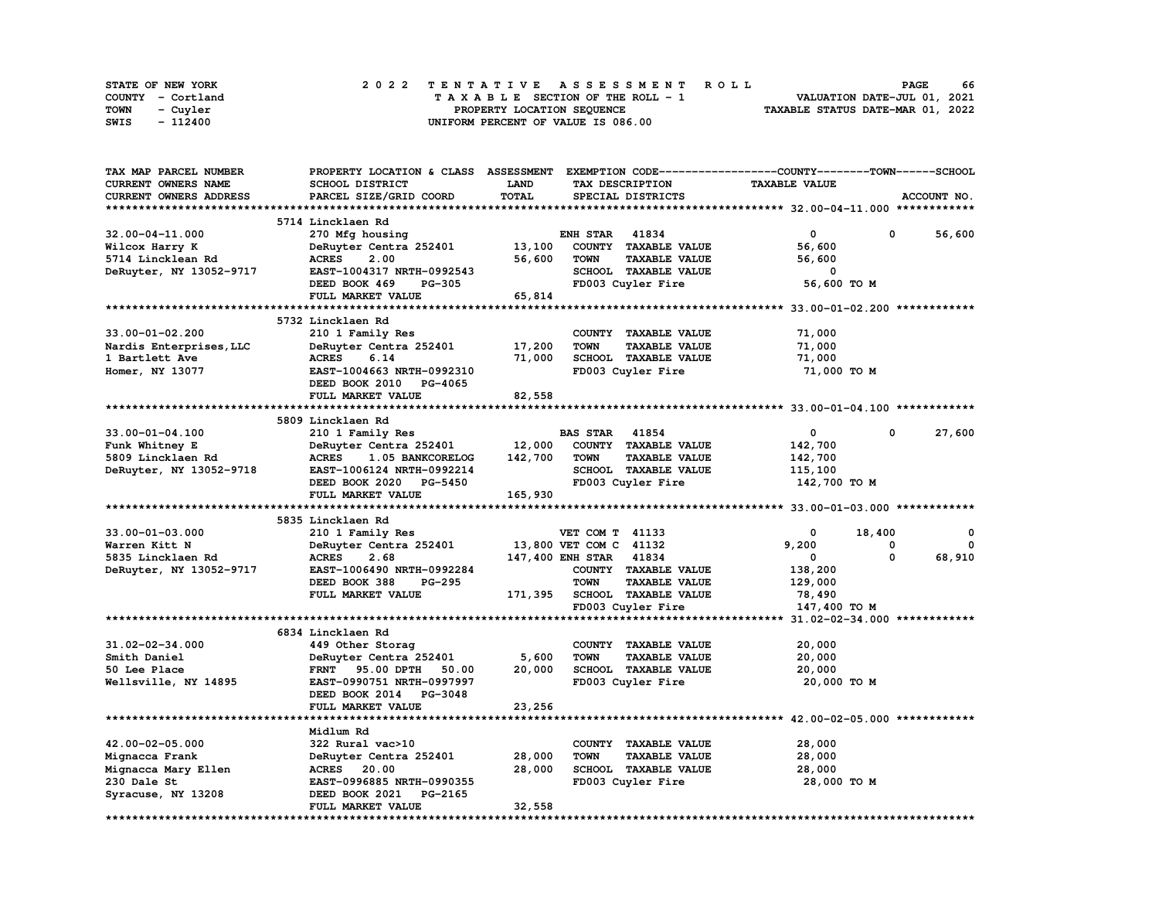| STATE OF NEW YORK | 2022 TENTATIVE ASSESSMENT ROLL     | 66<br><b>PAGE</b>                |
|-------------------|------------------------------------|----------------------------------|
| COUNTY - Cortland | TAXABLE SECTION OF THE ROLL - 1    | VALUATION DATE-JUL 01, 2021      |
| TOWN<br>- Cuvler  | PROPERTY LOCATION SEQUENCE         | TAXABLE STATUS DATE-MAR 01, 2022 |
| - 112400<br>SWIS  | UNIFORM PERCENT OF VALUE IS 086.00 |                                  |

| TAX MAP PARCEL NUMBER   | PROPERTY LOCATION & CLASS ASSESSMENT EXEMPTION CODE-----------------COUNTY-------TOWN------SCHOOL |         |                                     |                                                             |             |
|-------------------------|---------------------------------------------------------------------------------------------------|---------|-------------------------------------|-------------------------------------------------------------|-------------|
| CURRENT OWNERS NAME     | SCHOOL DISTRICT                                                                                   | LAND    | TAX DESCRIPTION                     | <b>TAXABLE VALUE</b>                                        |             |
| CURRENT OWNERS ADDRESS  | PARCEL SIZE/GRID COORD                                                                            | TOTAL   | SPECIAL DISTRICTS                   |                                                             | ACCOUNT NO. |
|                         |                                                                                                   |         |                                     |                                                             |             |
|                         | 5714 Lincklaen Rd                                                                                 |         |                                     |                                                             |             |
|                         |                                                                                                   |         |                                     |                                                             |             |
| 32.00-04-11.000         | 270 Mfg housing                                                                                   |         | <b>ENH STAR 41834</b>               | 0                                                           | 56,600<br>0 |
| Wilcox Harry K          | DeRuyter Centra 252401                                                                            | 13,100  | COUNTY TAXABLE VALUE                | 56,600                                                      |             |
| 5714 Lincklean Rd       | <b>ACRES</b><br>2.00                                                                              | 56,600  | <b>TOWN</b><br><b>TAXABLE VALUE</b> | 56,600                                                      |             |
| DeRuyter, NY 13052-9717 | EAST-1004317 NRTH-0992543                                                                         |         | SCHOOL TAXABLE VALUE                | 0                                                           |             |
|                         | DEED BOOK 469<br><b>PG-305</b>                                                                    |         | FD003 Cuyler Fire                   | 56,600 TO M                                                 |             |
|                         | FULL MARKET VALUE                                                                                 | 65,814  |                                     |                                                             |             |
|                         |                                                                                                   |         |                                     |                                                             |             |
|                         | 5732 Lincklaen Rd                                                                                 |         |                                     |                                                             |             |
| $33.00 - 01 - 02.200$   | 210 1 Family Res                                                                                  |         | COUNTY TAXABLE VALUE                | 71,000                                                      |             |
| Nardis Enterprises, LLC | DeRuyter Centra 252401                                                                            | 17,200  | <b>TOWN</b><br><b>TAXABLE VALUE</b> | 71,000                                                      |             |
|                         |                                                                                                   |         | SCHOOL TAXABLE VALUE                |                                                             |             |
| 1 Bartlett Ave          | <b>ACRES</b><br>6.14                                                                              | 71,000  |                                     | 71,000                                                      |             |
| Homer, NY 13077         | EAST-1004663 NRTH-0992310                                                                         |         | FD003 Cuyler Fire                   | 71,000 TO M                                                 |             |
|                         | DEED BOOK 2010 PG-4065                                                                            |         |                                     |                                                             |             |
|                         | FULL MARKET VALUE                                                                                 | 82,558  |                                     |                                                             |             |
|                         |                                                                                                   |         |                                     |                                                             |             |
|                         | 5809 Lincklaen Rd                                                                                 |         |                                     |                                                             |             |
| 33.00-01-04.100         | 210 1 Family Res                                                                                  |         | <b>BAS STAR</b><br>41854            | 0                                                           | 0<br>27,600 |
| Funk Whitney E          | DeRuyter Centra 252401                                                                            | 12,000  | COUNTY TAXABLE VALUE                | 142,700                                                     |             |
| 5809 Lincklaen Rd       | <b>ACRES</b><br>1.05 BANKCORELOG                                                                  | 142,700 | <b>TAXABLE VALUE</b><br><b>TOWN</b> | 142,700                                                     |             |
| DeRuyter, NY 13052-9718 | EAST-1006124 NRTH-0992214                                                                         |         | <b>SCHOOL TAXABLE VALUE</b>         | 115,100                                                     |             |
|                         | DEED BOOK 2020 PG-5450                                                                            |         | FD003 Cuyler Fire                   | 142,700 TO M                                                |             |
|                         | FULL MARKET VALUE                                                                                 | 165,930 |                                     |                                                             |             |
|                         |                                                                                                   |         |                                     |                                                             |             |
|                         |                                                                                                   |         |                                     |                                                             |             |
|                         | 5835 Lincklaen Rd                                                                                 |         |                                     |                                                             |             |
| $33.00 - 01 - 03.000$   | 210 1 Family Res                                                                                  |         | VET COM T 41133                     | 0                                                           | 18,400<br>0 |
| Warren Kitt N           | DeRuyter Centra 252401                                                                            |         | 13,800 VET COM C 41132              | 9,200                                                       | 0<br>0      |
| 5835 Lincklaen Rd       | <b>ACRES</b><br>2.68                                                                              |         | 147,400 ENH STAR 41834              | $\mathbf 0$                                                 | 0<br>68,910 |
| DeRuyter, NY 13052-9717 | EAST-1006490 NRTH-0992284                                                                         |         | COUNTY TAXABLE VALUE                | 138,200                                                     |             |
|                         | DEED BOOK 388<br><b>PG-295</b>                                                                    |         | <b>TOWN</b><br><b>TAXABLE VALUE</b> | 129,000                                                     |             |
|                         | FULL MARKET VALUE                                                                                 | 171,395 | <b>SCHOOL TAXABLE VALUE</b>         | 78,490                                                      |             |
|                         |                                                                                                   |         | FD003 Cuyler Fire                   | 147,400 TO M                                                |             |
|                         |                                                                                                   |         |                                     |                                                             |             |
|                         | 6834 Lincklaen Rd                                                                                 |         |                                     |                                                             |             |
|                         |                                                                                                   |         |                                     |                                                             |             |
|                         |                                                                                                   |         |                                     |                                                             |             |
| 31.02-02-34.000         | 449 Other Storag                                                                                  |         | COUNTY TAXABLE VALUE                | 20,000                                                      |             |
| Smith Daniel            | DeRuyter Centra 252401                                                                            | 5,600   | <b>TOWN</b><br><b>TAXABLE VALUE</b> | 20,000                                                      |             |
| 50 Lee Place            | FRNT 95.00 DPTH<br>50.00                                                                          | 20,000  | SCHOOL TAXABLE VALUE                | 20,000                                                      |             |
| Wellsville, NY 14895    | EAST-0990751 NRTH-0997997                                                                         |         | FD003 Cuyler Fire                   | 20,000 TO M                                                 |             |
|                         | DEED BOOK 2014 PG-3048                                                                            |         |                                     |                                                             |             |
|                         | <b>FULL MARKET VALUE</b>                                                                          | 23,256  |                                     |                                                             |             |
|                         | *************************                                                                         |         |                                     | ****************************** 42.00-02-05.000 ************ |             |
|                         | Midlum Rd                                                                                         |         |                                     |                                                             |             |
| 42.00-02-05.000         | 322 Rural vac>10                                                                                  |         | COUNTY TAXABLE VALUE                | 28,000                                                      |             |
| Mignacca Frank          | DeRuyter Centra 252401                                                                            | 28,000  | <b>TAXABLE VALUE</b><br><b>TOWN</b> | 28,000                                                      |             |
|                         | ACRES 20.00                                                                                       | 28,000  | SCHOOL TAXABLE VALUE                | 28,000                                                      |             |
| Mignacca Mary Ellen     |                                                                                                   |         |                                     |                                                             |             |
| 230 Dale St             | EAST-0996885 NRTH-0990355                                                                         |         | FD003 Cuyler Fire                   | 28,000 TO M                                                 |             |
| Syracuse, NY 13208      | DEED BOOK 2021<br>PG-2165<br>FULL MARKET VALUE                                                    | 32,558  |                                     |                                                             |             |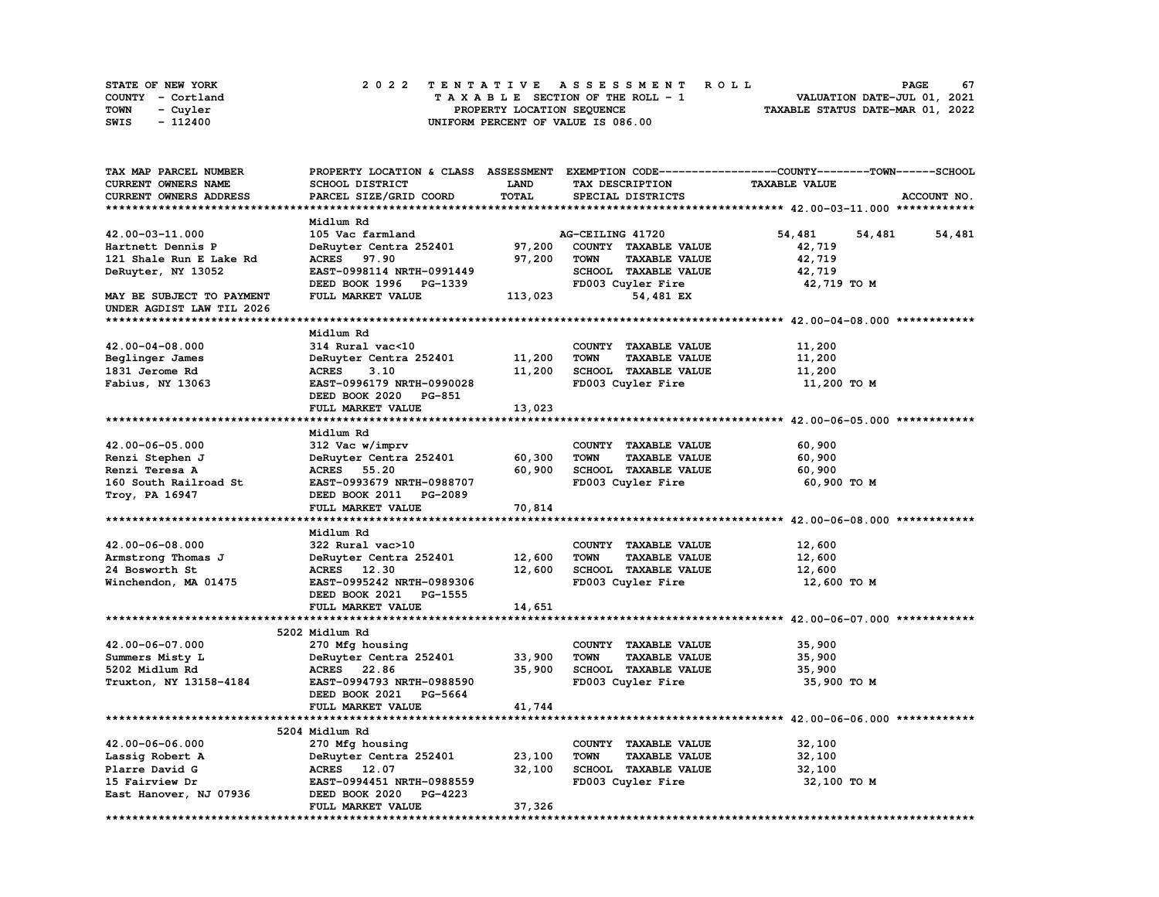| <b>STATE OF NEW YORK</b> | 2022 TENTATIVE ASSESSMENT ROLL          | 67<br>PAGE                       |
|--------------------------|-----------------------------------------|----------------------------------|
| COUNTY - Cortland        | $T A X A B L E$ SECTION OF THE ROLL - 1 | VALUATION DATE-JUL 01, 2021      |
| <b>TOWN</b><br>- Cuyler  | PROPERTY LOCATION SEQUENCE              | TAXABLE STATUS DATE-MAR 01, 2022 |
| - 112400<br>SWIS         | UNIFORM PERCENT OF VALUE IS 086.00      |                                  |

| TAX MAP PARCEL NUMBER     |                           |             |                                     | PROPERTY LOCATION & CLASS ASSESSMENT EXEMPTION CODE-----------------COUNTY-------TOWN-----SCHOOL |
|---------------------------|---------------------------|-------------|-------------------------------------|--------------------------------------------------------------------------------------------------|
| CURRENT OWNERS NAME       | SCHOOL DISTRICT           | <b>LAND</b> | TAX DESCRIPTION                     | <b>TAXABLE VALUE</b>                                                                             |
| CURRENT OWNERS ADDRESS    | PARCEL SIZE/GRID COORD    | TOTAL       | SPECIAL DISTRICTS                   | ACCOUNT NO.                                                                                      |
|                           |                           |             |                                     |                                                                                                  |
|                           | Midlum Rd                 |             |                                     |                                                                                                  |
| 42.00-03-11.000           | 105 Vac farmland          |             | AG-CEILING 41720                    | 54,481<br>54,481<br>54,481                                                                       |
| Hartnett Dennis P         | DeRuyter Centra 252401    | 97,200      | COUNTY TAXABLE VALUE                | 42,719                                                                                           |
| 121 Shale Run E Lake Rd   | <b>ACRES</b><br>97.90     | 97,200      | <b>TOWN</b><br><b>TAXABLE VALUE</b> | 42,719                                                                                           |
| DeRuyter, NY 13052        | EAST-0998114 NRTH-0991449 |             | SCHOOL TAXABLE VALUE                | 42,719                                                                                           |
|                           | DEED BOOK 1996 PG-1339    |             | FD003 Cuyler Fire                   | 42,719 TO M                                                                                      |
| MAY BE SUBJECT TO PAYMENT | FULL MARKET VALUE         | 113,023     | 54,481 EX                           |                                                                                                  |
| UNDER AGDIST LAW TIL 2026 |                           |             |                                     |                                                                                                  |
|                           |                           |             |                                     |                                                                                                  |
|                           | Midlum Rd                 |             |                                     |                                                                                                  |
| 42.00-04-08.000           | 314 Rural vac<10          |             | COUNTY TAXABLE VALUE                | 11,200                                                                                           |
| Beglinger James           | DeRuyter Centra 252401    | 11,200      | <b>TOWN</b><br><b>TAXABLE VALUE</b> | 11,200                                                                                           |
| 1831 Jerome Rd            | <b>ACRES</b><br>3.10      | 11,200      | SCHOOL TAXABLE VALUE                | 11,200                                                                                           |
| Fabius, NY 13063          | EAST-0996179 NRTH-0990028 |             | FD003 Cuyler Fire                   | 11,200 TO M                                                                                      |
|                           | DEED BOOK 2020 PG-851     |             |                                     |                                                                                                  |
|                           | FULL MARKET VALUE         | 13,023      |                                     |                                                                                                  |
|                           |                           |             |                                     |                                                                                                  |
|                           | Midlum Rd                 |             |                                     |                                                                                                  |
| 42.00-06-05.000           | 312 Vac w/imprv           |             | COUNTY TAXABLE VALUE                | 60,900                                                                                           |
| Renzi Stephen J           | DeRuyter Centra 252401    | 60,300      | TOWN<br><b>TAXABLE VALUE</b>        | 60,900                                                                                           |
| Renzi Teresa A            | <b>ACRES</b> 55.20        | 60,900      | SCHOOL TAXABLE VALUE                | 60,900                                                                                           |
| 160 South Railroad St     | EAST-0993679 NRTH-0988707 |             | FD003 Cuyler Fire                   | 60,900 TO M                                                                                      |
| Troy, PA 16947            | DEED BOOK 2011 PG-2089    |             |                                     |                                                                                                  |
|                           | FULL MARKET VALUE         | 70,814      |                                     |                                                                                                  |
|                           |                           |             |                                     |                                                                                                  |
|                           | Midlum Rd                 |             |                                     |                                                                                                  |
| 42.00-06-08.000           | 322 Rural vac>10          |             | COUNTY TAXABLE VALUE                | 12,600                                                                                           |
| Armstrong Thomas J        | DeRuyter Centra 252401    | 12,600      | <b>TOWN</b><br><b>TAXABLE VALUE</b> | 12,600                                                                                           |
| 24 Bosworth St            | ACRES 12.30               | 12,600      | SCHOOL TAXABLE VALUE                | 12,600                                                                                           |
| Winchendon, MA 01475      | EAST-0995242 NRTH-0989306 |             | FD003 Cuyler Fire                   | 12,600 TO M                                                                                      |
|                           | DEED BOOK 2021 PG-1555    |             |                                     |                                                                                                  |
|                           | FULL MARKET VALUE         | 14,651      |                                     |                                                                                                  |
|                           |                           |             |                                     |                                                                                                  |
|                           | 5202 Midlum Rd            |             |                                     |                                                                                                  |
| 42.00-06-07.000           | 270 Mfg housing           |             | COUNTY TAXABLE VALUE                | 35,900                                                                                           |
| Summers Misty L           | DeRuyter Centra 252401    | 33,900      | <b>TOWN</b><br><b>TAXABLE VALUE</b> | 35,900                                                                                           |
| 5202 Midlum Rd            | ACRES 22.86               | 35,900      | SCHOOL TAXABLE VALUE                | 35,900                                                                                           |
| Truxton, NY 13158-4184    | EAST-0994793 NRTH-0988590 |             | FD003 Cuyler Fire                   | 35,900 TO M                                                                                      |
|                           | DEED BOOK 2021 PG-5664    |             |                                     |                                                                                                  |
|                           | FULL MARKET VALUE         | 41,744      |                                     |                                                                                                  |
|                           |                           |             |                                     |                                                                                                  |
|                           | 5204 Midlum Rd            |             |                                     |                                                                                                  |
| 42.00-06-06.000           | 270 Mfg housing           |             | COUNTY TAXABLE VALUE                | 32,100                                                                                           |
| Lassig Robert A           | DeRuyter Centra 252401    | 23,100      | TOWN<br><b>TAXABLE VALUE</b>        | 32,100                                                                                           |
| Plarre David G            | ACRES 12.07               | 32,100      | SCHOOL TAXABLE VALUE                | 32,100                                                                                           |
| 15 Fairview Dr            | EAST-0994451 NRTH-0988559 |             | FD003 Cuyler Fire                   | 32,100 TO M                                                                                      |
| East Hanover, NJ 07936    | DEED BOOK 2020 PG-4223    |             |                                     |                                                                                                  |
|                           | FULL MARKET VALUE         | 37,326      |                                     |                                                                                                  |
|                           |                           |             |                                     |                                                                                                  |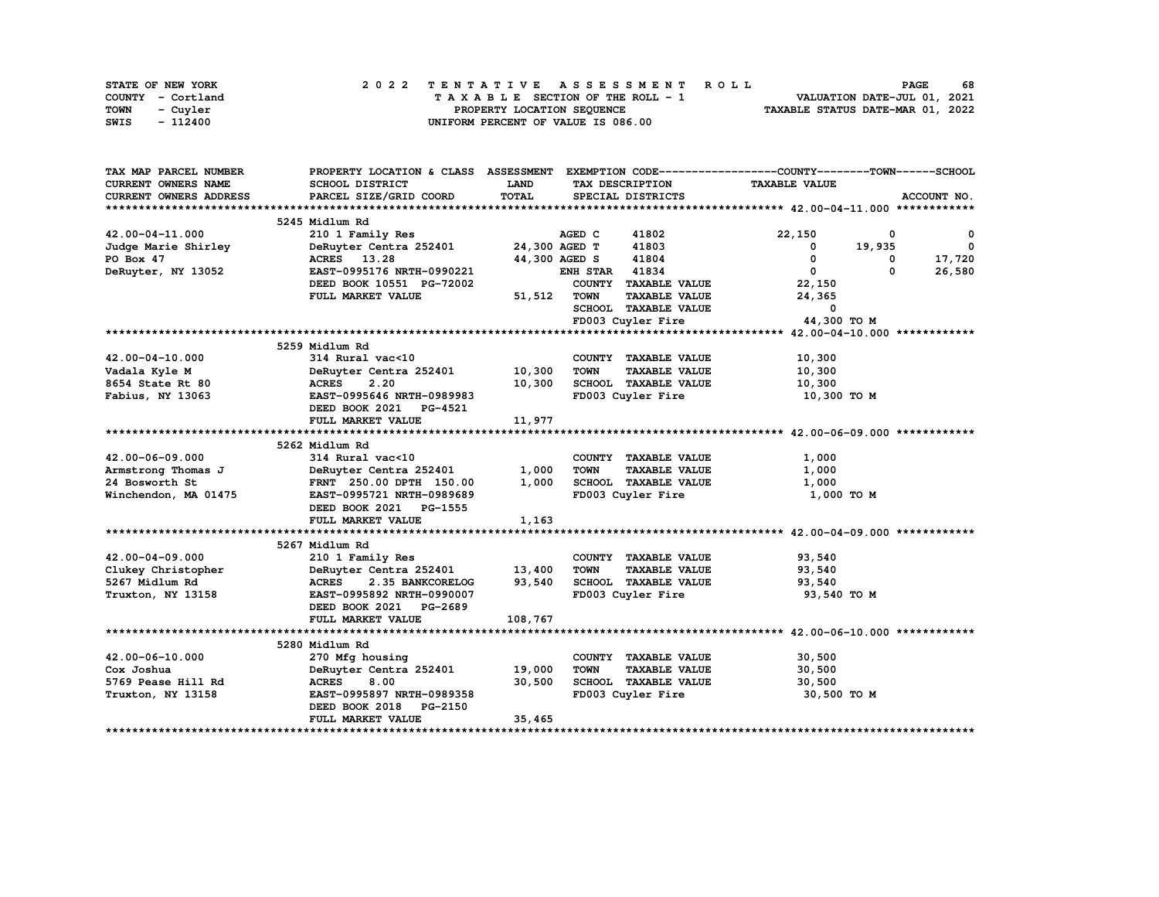| STATE OF NEW YORK | 2022 TENTATIVE ASSESSMENT ROLL     | 68<br><b>PAGE</b>                |
|-------------------|------------------------------------|----------------------------------|
| COUNTY - Cortland | TAXABLE SECTION OF THE ROLL - 1    | VALUATION DATE-JUL 01, 2021      |
| TOWN<br>- Cuvler  | PROPERTY LOCATION SEQUENCE         | TAXABLE STATUS DATE-MAR 01, 2022 |
| SWIS<br>- 112400  | UNIFORM PERCENT OF VALUE IS 086.00 |                                  |

| TAX MAP PARCEL NUMBER  | PROPERTY LOCATION & CLASS ASSESSMENT EXEMPTION CODE----------------COUNTY-------TOWN-----SCHOOL |         |                       |                      |                      |             |                          |
|------------------------|-------------------------------------------------------------------------------------------------|---------|-----------------------|----------------------|----------------------|-------------|--------------------------|
| CURRENT OWNERS NAME    | SCHOOL DISTRICT                                                                                 | LAND    |                       | TAX DESCRIPTION      | <b>TAXABLE VALUE</b> |             |                          |
| CURRENT OWNERS ADDRESS | PARCEL SIZE/GRID COORD                                                                          | TOTAL   |                       | SPECIAL DISTRICTS    |                      |             | ACCOUNT NO.              |
|                        |                                                                                                 |         |                       |                      |                      |             |                          |
|                        | 5245 Midlum Rd                                                                                  |         |                       |                      |                      |             |                          |
| 42.00-04-11.000        | 210 1 Family Res                                                                                |         | AGED C                | 41802                | 22,150               | $\mathbf 0$ | $^{\circ}$               |
| Judge Marie Shirley    | DeRuyter Centra 252401                                                                          |         | 24,300 AGED T         | 41803                | $^{\circ}$           | 19,935      | $\overline{\phantom{0}}$ |
| PO Box 47              | ACRES 13.28                                                                                     |         | 44,300 AGED S         | 41804                | 0                    | 0           | 17,720                   |
| DeRuyter, NY 13052     | EAST-0995176 NRTH-0990221                                                                       |         | <b>ENH STAR 41834</b> |                      | $\mathbf{0}$         | 0           | 26,580                   |
|                        | DEED BOOK 10551 PG-72002                                                                        |         |                       | COUNTY TAXABLE VALUE | 22,150               |             |                          |
|                        | FULL MARKET VALUE                                                                               | 51,512  | <b>TOWN</b>           | <b>TAXABLE VALUE</b> | 24,365               |             |                          |
|                        |                                                                                                 |         |                       | SCHOOL TAXABLE VALUE | $\mathbf{0}$         |             |                          |
|                        |                                                                                                 |         |                       | FD003 Cuyler Fire    | 44,300 TO M          |             |                          |
|                        |                                                                                                 |         |                       |                      |                      |             |                          |
|                        | 5259 Midlum Rd                                                                                  |         |                       |                      |                      |             |                          |
| $42.00 - 04 - 10.000$  | 314 Rural vac<10                                                                                |         |                       | COUNTY TAXABLE VALUE | 10,300               |             |                          |
| Vadala Kyle M          | DeRuyter Centra 252401                                                                          | 10,300  | <b>TOWN</b>           | <b>TAXABLE VALUE</b> | 10,300               |             |                          |
| 8654 State Rt 80       | <b>ACRES</b><br>2.20                                                                            | 10,300  |                       | SCHOOL TAXABLE VALUE | 10,300               |             |                          |
| Fabius, NY 13063       | EAST-0995646 NRTH-0989983                                                                       |         |                       | FD003 Cuyler Fire    | 10,300 TO M          |             |                          |
|                        | DEED BOOK 2021 PG-4521                                                                          |         |                       |                      |                      |             |                          |
|                        | FULL MARKET VALUE                                                                               | 11,977  |                       |                      |                      |             |                          |
|                        |                                                                                                 |         |                       |                      |                      |             |                          |
|                        | 5262 Midlum Rd                                                                                  |         |                       |                      |                      |             |                          |
| 42.00-06-09.000        | 314 Rural vac<10                                                                                |         |                       | COUNTY TAXABLE VALUE | 1,000                |             |                          |
| Armstrong Thomas J     | DeRuyter Centra 252401                                                                          | 1,000   | <b>TOWN</b>           | <b>TAXABLE VALUE</b> | 1,000                |             |                          |
| 24 Bosworth St         | FRNT 250.00 DPTH 150.00                                                                         | 1,000   |                       | SCHOOL TAXABLE VALUE | 1,000                |             |                          |
| Winchendon, MA 01475   | EAST-0995721 NRTH-0989689                                                                       |         |                       | FD003 Cuyler Fire    | 1,000 TO M           |             |                          |
|                        | DEED BOOK 2021 PG-1555                                                                          |         |                       |                      |                      |             |                          |
|                        | FULL MARKET VALUE                                                                               | 1,163   |                       |                      |                      |             |                          |
|                        |                                                                                                 |         |                       |                      |                      |             |                          |
|                        | 5267 Midlum Rd                                                                                  |         |                       |                      |                      |             |                          |
| 42.00-04-09.000        | 210 1 Family Res                                                                                |         |                       | COUNTY TAXABLE VALUE | 93,540               |             |                          |
| Clukey Christopher     | DeRuyter Centra 252401                                                                          | 13,400  | <b>TOWN</b>           | <b>TAXABLE VALUE</b> | 93,540               |             |                          |
| 5267 Midlum Rd         | <b>ACRES</b><br>2.35 BANKCORELOG                                                                | 93,540  |                       | SCHOOL TAXABLE VALUE | 93,540               |             |                          |
| Truxton, NY 13158      | EAST-0995892 NRTH-0990007                                                                       |         |                       | FD003 Cuyler Fire    | 93,540 TO M          |             |                          |
|                        | DEED BOOK 2021 PG-2689                                                                          |         |                       |                      |                      |             |                          |
|                        | FULL MARKET VALUE                                                                               | 108,767 |                       |                      |                      |             |                          |
|                        |                                                                                                 |         |                       |                      |                      |             |                          |
|                        | 5280 Midlum Rd                                                                                  |         |                       |                      |                      |             |                          |
| 42.00-06-10.000        | 270 Mfg housing                                                                                 |         |                       | COUNTY TAXABLE VALUE | 30,500               |             |                          |
| Cox Joshua             | DeRuyter Centra 252401                                                                          | 19,000  | <b>TOWN</b>           | <b>TAXABLE VALUE</b> | 30,500               |             |                          |
| 5769 Pease Hill Rd     | <b>ACRES</b><br>8.00                                                                            | 30,500  |                       | SCHOOL TAXABLE VALUE | 30,500               |             |                          |
| Truxton, NY 13158      | EAST-0995897 NRTH-0989358                                                                       |         |                       | FD003 Cuyler Fire    | 30,500 TO M          |             |                          |
|                        | DEED BOOK 2018 PG-2150                                                                          |         |                       |                      |                      |             |                          |
|                        | FULL MARKET VALUE                                                                               | 35,465  |                       |                      |                      |             |                          |
|                        |                                                                                                 |         |                       |                      |                      |             |                          |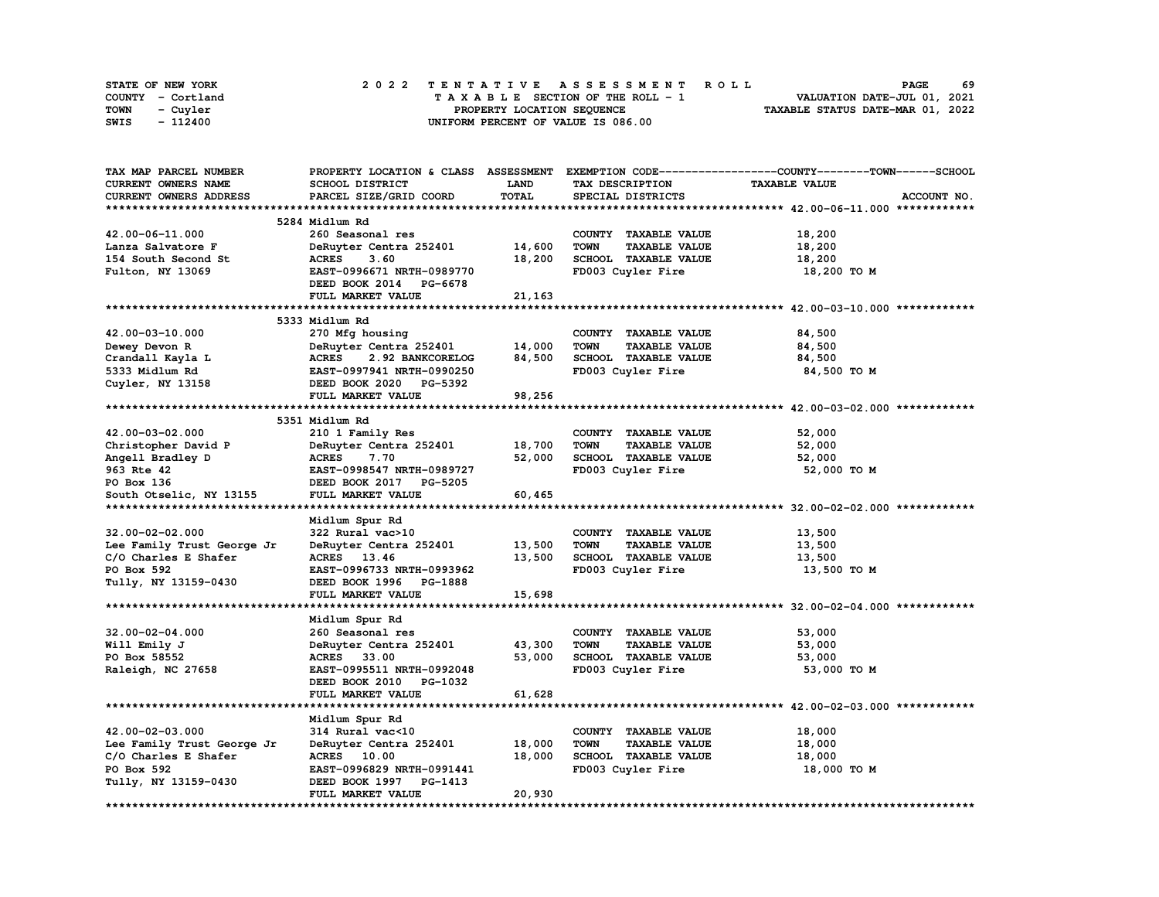| <b>STATE OF NEW YORK</b> | 2022 TENTATIVE ASSESSMENT ROLL          | 69<br><b>PAGE</b>                |
|--------------------------|-----------------------------------------|----------------------------------|
| COUNTY - Cortland        | $T A X A B L E$ SECTION OF THE ROLL - 1 | VALUATION DATE-JUL 01, 2021      |
| <b>TOWN</b><br>- Cuyler  | PROPERTY LOCATION SEQUENCE              | TAXABLE STATUS DATE-MAR 01, 2022 |
| - 112400<br>SWIS         | UNIFORM PERCENT OF VALUE IS 086.00      |                                  |

| TAX MAP PARCEL NUMBER      |                                  |             |                                     | PROPERTY LOCATION & CLASS ASSESSMENT EXEMPTION CODE----------------COUNTY-------TOWN-----SCHOOL |
|----------------------------|----------------------------------|-------------|-------------------------------------|-------------------------------------------------------------------------------------------------|
| <b>CURRENT OWNERS NAME</b> | SCHOOL DISTRICT                  | <b>LAND</b> | TAX DESCRIPTION                     | <b>TAXABLE VALUE</b>                                                                            |
| CURRENT OWNERS ADDRESS     | PARCEL SIZE/GRID COORD           | TOTAL       | SPECIAL DISTRICTS                   | ACCOUNT NO.                                                                                     |
|                            |                                  |             |                                     |                                                                                                 |
|                            | 5284 Midlum Rd                   |             |                                     |                                                                                                 |
| 42.00-06-11.000            | 260 Seasonal res                 |             | COUNTY TAXABLE VALUE                | 18,200                                                                                          |
| Lanza Salvatore F          | DeRuyter Centra 252401           | 14,600      | <b>TAXABLE VALUE</b><br>TOWN        | 18,200                                                                                          |
| 154 South Second St        | <b>ACRES</b><br>3.60             | 18,200      | SCHOOL TAXABLE VALUE                |                                                                                                 |
|                            |                                  |             |                                     | 18,200                                                                                          |
| Fulton, NY 13069           | EAST-0996671 NRTH-0989770        |             | FD003 Cuyler Fire                   | 18,200 TO M                                                                                     |
|                            | DEED BOOK 2014 PG-6678           |             |                                     |                                                                                                 |
|                            | FULL MARKET VALUE                | 21,163      |                                     |                                                                                                 |
|                            |                                  |             |                                     |                                                                                                 |
|                            | 5333 Midlum Rd                   |             |                                     |                                                                                                 |
| 42.00-03-10.000            | 270 Mfg housing                  |             | COUNTY TAXABLE VALUE                | 84,500                                                                                          |
| Dewey Devon R              | DeRuyter Centra 252401           | 14,000      | <b>TOWN</b><br><b>TAXABLE VALUE</b> | 84,500                                                                                          |
| Crandall Kayla L           | <b>ACRES</b><br>2.92 BANKCORELOG | 84,500      | SCHOOL TAXABLE VALUE                | 84,500                                                                                          |
| 5333 Midlum Rd             | EAST-0997941 NRTH-0990250        |             | FD003 Cuyler Fire                   | 84,500 TO M                                                                                     |
| Cuyler, NY 13158           | DEED BOOK 2020 PG-5392           |             |                                     |                                                                                                 |
|                            | FULL MARKET VALUE                | 98,256      |                                     |                                                                                                 |
|                            |                                  |             |                                     |                                                                                                 |
|                            | 5351 Midlum Rd                   |             |                                     |                                                                                                 |
| 42.00-03-02.000            | 210 1 Family Res                 |             | COUNTY TAXABLE VALUE                | 52,000                                                                                          |
|                            | DeRuyter Centra 252401           | 18,700      | <b>TOWN</b><br><b>TAXABLE VALUE</b> | 52,000                                                                                          |
| Christopher David P        |                                  |             |                                     |                                                                                                 |
| Angell Bradley D           | <b>ACRES</b><br>7.70             | 52,000      | SCHOOL TAXABLE VALUE                | 52,000                                                                                          |
| 963 Rte 42                 | EAST-0998547 NRTH-0989727        |             | FD003 Cuyler Fire                   | 52,000 TO M                                                                                     |
| PO Box 136                 | DEED BOOK 2017 PG-5205           |             |                                     |                                                                                                 |
| South Otselic, NY 13155    | FULL MARKET VALUE                | 60,465      |                                     |                                                                                                 |
|                            |                                  |             |                                     |                                                                                                 |
|                            | Midlum Spur Rd                   |             |                                     |                                                                                                 |
| $32.00 - 02 - 02.000$      | 322 Rural vac>10                 |             | COUNTY TAXABLE VALUE                | 13,500                                                                                          |
| Lee Family Trust George Jr | DeRuyter Centra 252401           | 13,500      | <b>TOWN</b><br><b>TAXABLE VALUE</b> | 13,500                                                                                          |
| C/O Charles E Shafer       | ACRES 13.46                      | 13,500      | SCHOOL TAXABLE VALUE                | 13,500                                                                                          |
| PO Box 592                 | EAST-0996733 NRTH-0993962        |             | FD003 Cuyler Fire                   | 13,500 TO M                                                                                     |
| Tully, NY 13159-0430       | DEED BOOK 1996 PG-1888           |             |                                     |                                                                                                 |
|                            | FULL MARKET VALUE                | 15,698      |                                     |                                                                                                 |
|                            |                                  |             |                                     |                                                                                                 |
|                            | Midlum Spur Rd                   |             |                                     |                                                                                                 |
| $32.00 - 02 - 04.000$      | 260 Seasonal res                 |             | COUNTY TAXABLE VALUE                | 53,000                                                                                          |
| Will Emily J               | DeRuyter Centra 252401           | 43,300      | <b>TOWN</b><br><b>TAXABLE VALUE</b> | 53,000                                                                                          |
| PO Box 58552               | ACRES 33.00                      | 53,000      | SCHOOL TAXABLE VALUE                | 53,000                                                                                          |
|                            | EAST-0995511 NRTH-0992048        |             | FD003 Cuyler Fire                   | 53,000 TO M                                                                                     |
| Raleigh, NC 27658          |                                  |             |                                     |                                                                                                 |
|                            | DEED BOOK 2010 PG-1032           |             |                                     |                                                                                                 |
|                            | FULL MARKET VALUE                | 61,628      |                                     |                                                                                                 |
|                            |                                  |             |                                     |                                                                                                 |
|                            | Midlum Spur Rd                   |             |                                     |                                                                                                 |
| 42.00-02-03.000            | 314 Rural vac<10                 |             | COUNTY TAXABLE VALUE                | 18,000                                                                                          |
| Lee Family Trust George Jr | DeRuyter Centra 252401           | 18,000      | TOWN<br><b>TAXABLE VALUE</b>        | 18,000                                                                                          |
| C/O Charles E Shafer       | <b>ACRES</b> 10.00               | 18,000      | SCHOOL TAXABLE VALUE                | 18,000                                                                                          |
| PO Box 592                 | EAST-0996829 NRTH-0991441        |             | FD003 Cuyler Fire                   | 18,000 TO M                                                                                     |
| Tully, NY 13159-0430       | DEED BOOK 1997 PG-1413           |             |                                     |                                                                                                 |
|                            | FULL MARKET VALUE                | 20,930      |                                     |                                                                                                 |
|                            |                                  |             |                                     |                                                                                                 |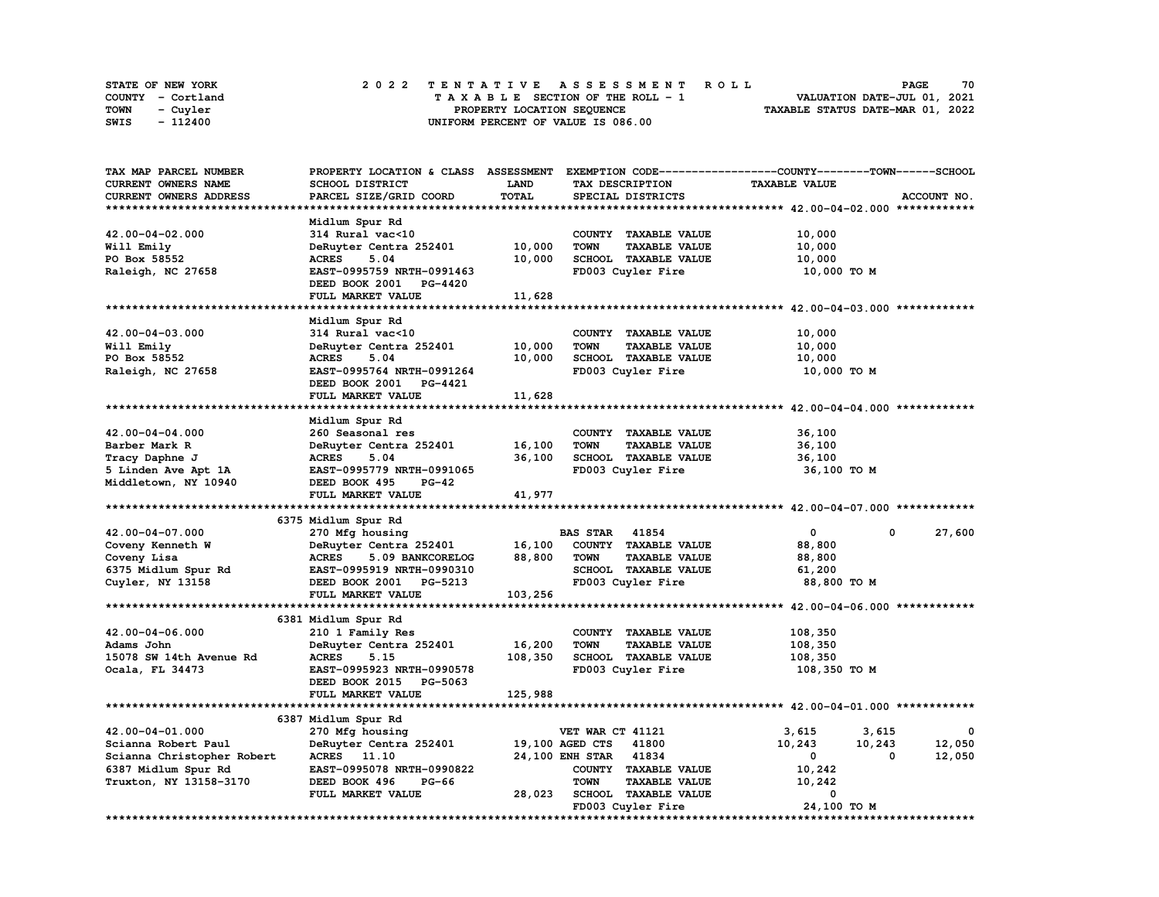| <b>STATE OF NEW YORK</b> | 2022 TENTATIVE ASSESSMENT ROLL          | 70<br><b>PAGE</b>                |
|--------------------------|-----------------------------------------|----------------------------------|
| COUNTY - Cortland        | $T A X A B L E$ SECTION OF THE ROLL - 1 | VALUATION DATE-JUL 01, 2021      |
| <b>TOWN</b><br>- Cuyler  | PROPERTY LOCATION SEQUENCE              | TAXABLE STATUS DATE-MAR 01, 2022 |
| - 112400<br>SWIS         | UNIFORM PERCENT OF VALUE IS 086.00      |                                  |

| TAX MAP PARCEL NUMBER      | PROPERTY LOCATION & CLASS ASSESSMENT EXEMPTION CODE----------------COUNTY-------TOWN-----SCHOOL |             |                                     |                      |                  |
|----------------------------|-------------------------------------------------------------------------------------------------|-------------|-------------------------------------|----------------------|------------------|
| CURRENT OWNERS NAME        | SCHOOL DISTRICT                                                                                 | <b>LAND</b> | TAX DESCRIPTION                     | <b>TAXABLE VALUE</b> |                  |
| CURRENT OWNERS ADDRESS     | PARCEL SIZE/GRID COORD                                                                          | TOTAL       | SPECIAL DISTRICTS                   |                      | ACCOUNT NO.      |
|                            |                                                                                                 |             |                                     |                      |                  |
|                            | Midlum Spur Rd                                                                                  |             |                                     |                      |                  |
| 42.00-04-02.000            | 314 Rural vac<10                                                                                |             | COUNTY TAXABLE VALUE                | 10,000               |                  |
| Will Emily                 | DeRuyter Centra 252401                                                                          | 10,000      | <b>TOWN</b><br><b>TAXABLE VALUE</b> | 10,000               |                  |
| PO Box 58552               | <b>ACRES</b><br>5.04                                                                            | 10,000      | SCHOOL TAXABLE VALUE                | 10,000               |                  |
| Raleigh, NC 27658          | EAST-0995759 NRTH-0991463                                                                       |             | FD003 Cuyler Fire                   | 10,000 TO M          |                  |
|                            | DEED BOOK 2001 PG-4420                                                                          |             |                                     |                      |                  |
|                            | FULL MARKET VALUE                                                                               | 11,628      |                                     |                      |                  |
|                            |                                                                                                 |             |                                     |                      |                  |
|                            |                                                                                                 |             |                                     |                      |                  |
|                            | Midlum Spur Rd                                                                                  |             |                                     |                      |                  |
| 42.00-04-03.000            | 314 Rural vac<10                                                                                |             | COUNTY TAXABLE VALUE                | 10,000               |                  |
| Will Emily                 | DeRuyter Centra 252401                                                                          | 10,000      | <b>TOWN</b><br><b>TAXABLE VALUE</b> | 10,000               |                  |
| PO Box 58552               | <b>ACRES</b><br>5.04                                                                            | 10,000      | SCHOOL TAXABLE VALUE                | 10,000               |                  |
| Raleigh, NC 27658          | EAST-0995764 NRTH-0991264                                                                       |             | FD003 Cuyler Fire                   | 10,000 TO M          |                  |
|                            | DEED BOOK 2001 PG-4421                                                                          |             |                                     |                      |                  |
|                            | FULL MARKET VALUE                                                                               | 11,628      |                                     |                      |                  |
|                            |                                                                                                 |             |                                     |                      |                  |
|                            | Midlum Spur Rd                                                                                  |             |                                     |                      |                  |
| 42.00-04-04.000            | 260 Seasonal res                                                                                |             | COUNTY TAXABLE VALUE                | 36,100               |                  |
| Barber Mark R              | DeRuyter Centra 252401                                                                          | 16,100      | <b>TOWN</b><br><b>TAXABLE VALUE</b> | 36,100               |                  |
| Tracy Daphne J             | <b>ACRES</b><br>5.04                                                                            | 36,100      | SCHOOL TAXABLE VALUE                | 36,100               |                  |
| 5 Linden Ave Apt 1A        | EAST-0995779 NRTH-0991065                                                                       |             | FD003 Cuyler Fire                   | 36,100 TO M          |                  |
| Middletown, NY 10940       | DEED BOOK 495<br><b>PG-42</b>                                                                   |             |                                     |                      |                  |
|                            | FULL MARKET VALUE                                                                               | 41,977      |                                     |                      |                  |
|                            |                                                                                                 |             |                                     |                      |                  |
|                            |                                                                                                 |             |                                     |                      |                  |
|                            | 6375 Midlum Spur Rd                                                                             |             |                                     |                      |                  |
| 42.00-04-07.000            | 270 Mfg housing                                                                                 |             | <b>BAS STAR</b> 41854               | 0                    | 0<br>27,600      |
| Coveny Kenneth W           | DeRuyter Centra 252401                                                                          | 16,100      | COUNTY TAXABLE VALUE                | 88,800               |                  |
| Coveny Lisa                | <b>ACRES</b><br>5.09 BANKCORELOG                                                                | 88,800      | <b>TOWN</b><br><b>TAXABLE VALUE</b> | 88,800               |                  |
| 6375 Midlum Spur Rd        | EAST-0995919 NRTH-0990310                                                                       |             | SCHOOL TAXABLE VALUE                | 61,200               |                  |
| Cuyler, NY 13158           | DEED BOOK 2001 PG-5213                                                                          |             | FD003 Cuyler Fire                   | 88,800 TO M          |                  |
|                            | FULL MARKET VALUE                                                                               | 103,256     |                                     |                      |                  |
| **********************     |                                                                                                 |             |                                     |                      |                  |
|                            | 6381 Midlum Spur Rd                                                                             |             |                                     |                      |                  |
| 42.00-04-06.000            | 210 1 Family Res                                                                                |             | COUNTY TAXABLE VALUE                | 108,350              |                  |
| Adams John                 | DeRuyter Centra 252401                                                                          | 16,200      | <b>TOWN</b><br><b>TAXABLE VALUE</b> | 108,350              |                  |
| 15078 SW 14th Avenue Rd    | <b>ACRES</b><br>5.15                                                                            | 108,350     | SCHOOL TAXABLE VALUE                | 108,350              |                  |
| Ocala, FL 34473            | EAST-0995923 NRTH-0990578                                                                       |             | FD003 Cuyler Fire                   | 108,350 то м         |                  |
|                            | DEED BOOK 2015 PG-5063                                                                          |             |                                     |                      |                  |
|                            | FULL MARKET VALUE                                                                               | 125,988     |                                     |                      |                  |
|                            |                                                                                                 |             |                                     |                      |                  |
|                            |                                                                                                 |             |                                     |                      |                  |
|                            | 6387 Midlum Spur Rd                                                                             |             |                                     |                      |                  |
| 42.00-04-01.000            | 270 Mfg housing                                                                                 |             | VET WAR CT 41121                    | 3,615                | 3,615<br>0       |
| Scianna Robert Paul        | DeRuyter Centra 252401                                                                          |             | 19,100 AGED CTS<br>41800            | 10,243               | 12,050<br>10,243 |
| Scianna Christopher Robert | ACRES 11.10                                                                                     |             | 24,100 ENH STAR 41834               | $^{\circ}$           | 0<br>12,050      |
| 6387 Midlum Spur Rd        | EAST-0995078 NRTH-0990822                                                                       |             | COUNTY TAXABLE VALUE                | 10,242               |                  |
| Truxton, NY 13158-3170     | DEED BOOK 496<br><b>PG-66</b>                                                                   |             | <b>TOWN</b><br><b>TAXABLE VALUE</b> | 10,242               |                  |
|                            | FULL MARKET VALUE                                                                               | 28,023      | SCHOOL TAXABLE VALUE                | 0                    |                  |
|                            |                                                                                                 |             | FD003 Cuyler Fire                   | 24,100 TO M          |                  |
|                            |                                                                                                 |             |                                     |                      |                  |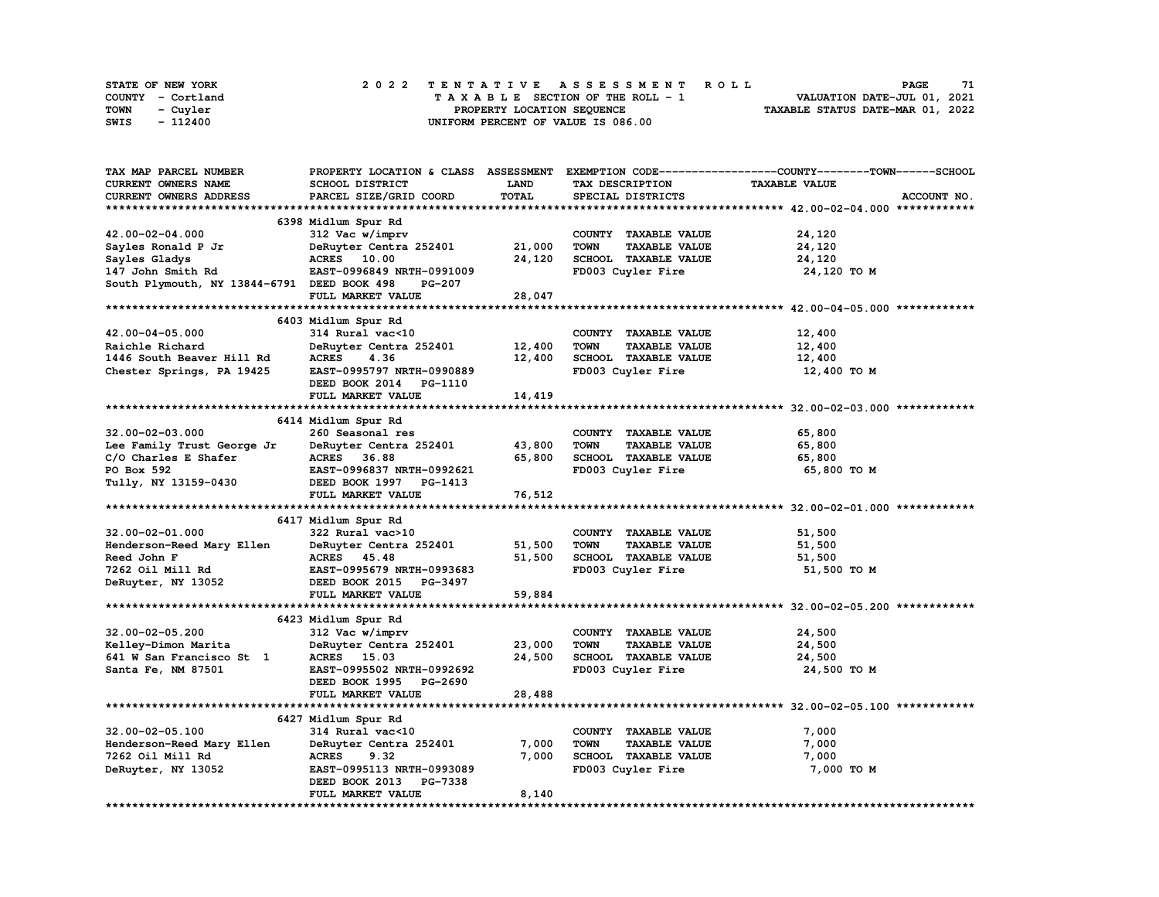| <b>STATE OF NEW YORK</b> | 2022 TENTATIVE ASSESSMENT ROLL          | 71<br><b>PAGE</b>                |
|--------------------------|-----------------------------------------|----------------------------------|
| COUNTY - Cortland        | $T A X A B L E$ SECTION OF THE ROLL - 1 | VALUATION DATE-JUL 01, 2021      |
| <b>TOWN</b><br>- Cuyler  | PROPERTY LOCATION SEQUENCE              | TAXABLE STATUS DATE-MAR 01, 2022 |
| - 112400<br>SWIS         | UNIFORM PERCENT OF VALUE IS 086.00      |                                  |

| <b>TAX MAP PARCEL NUMBER</b>                |                           |             |                                     | PROPERTY LOCATION & CLASS ASSESSMENT EXEMPTION CODE----------------COUNTY-------TOWN------SCHOOL |
|---------------------------------------------|---------------------------|-------------|-------------------------------------|--------------------------------------------------------------------------------------------------|
| CURRENT OWNERS NAME                         | SCHOOL DISTRICT           | <b>LAND</b> | TAX DESCRIPTION                     | <b>TAXABLE VALUE</b>                                                                             |
| CURRENT OWNERS ADDRESS                      | PARCEL SIZE/GRID COORD    | TOTAL       | SPECIAL DISTRICTS                   | ACCOUNT NO.                                                                                      |
|                                             |                           |             |                                     |                                                                                                  |
|                                             | 6398 Midlum Spur Rd       |             |                                     |                                                                                                  |
| 42.00-02-04.000                             | 312 Vac w/imprv           |             | COUNTY TAXABLE VALUE                | 24,120                                                                                           |
|                                             |                           |             |                                     |                                                                                                  |
| Sayles Ronald P Jr                          | DeRuyter Centra 252401    | 21,000      | <b>TOWN</b><br><b>TAXABLE VALUE</b> | 24,120                                                                                           |
| Sayles Gladys                               | ACRES 10.00               | 24,120      | SCHOOL TAXABLE VALUE                | 24,120                                                                                           |
| 147 John Smith Rd                           | EAST-0996849 NRTH-0991009 |             | FD003 Cuyler Fire                   | 24,120 TO M                                                                                      |
| South Plymouth, NY 13844-6791 DEED BOOK 498 | PG-207                    |             |                                     |                                                                                                  |
|                                             | FULL MARKET VALUE         | 28,047      |                                     |                                                                                                  |
|                                             |                           |             |                                     |                                                                                                  |
|                                             | 6403 Midlum Spur Rd       |             |                                     |                                                                                                  |
| 42.00-04-05.000                             | 314 Rural vac<10          |             | COUNTY TAXABLE VALUE                | 12,400                                                                                           |
| Raichle Richard                             | DeRuyter Centra 252401    | 12,400      | TOWN<br><b>TAXABLE VALUE</b>        | 12,400                                                                                           |
| 1446 South Beaver Hill Rd                   | ACRES<br>4.36             | 12,400      | SCHOOL TAXABLE VALUE                | 12,400                                                                                           |
| Chester Springs, PA 19425                   | EAST-0995797 NRTH-0990889 |             | FD003 Cuyler Fire                   | 12,400 TO M                                                                                      |
|                                             | DEED BOOK 2014 PG-1110    |             |                                     |                                                                                                  |
|                                             | FULL MARKET VALUE         | 14,419      |                                     |                                                                                                  |
|                                             |                           |             |                                     |                                                                                                  |
|                                             |                           |             |                                     |                                                                                                  |
|                                             | 6414 Midlum Spur Rd       |             |                                     |                                                                                                  |
| $32.00 - 02 - 03.000$                       | 260 Seasonal res          |             | COUNTY TAXABLE VALUE                | 65,800                                                                                           |
| Lee Family Trust George Jr                  | DeRuyter Centra 252401    | 43,800      | TOWN<br><b>TAXABLE VALUE</b>        | 65,800                                                                                           |
| C/O Charles E Shafer                        | ACRES 36.88               | 65,800      | SCHOOL TAXABLE VALUE                | 65,800                                                                                           |
| PO Box 592                                  | EAST-0996837 NRTH-0992621 |             | FD003 Cuyler Fire                   | 65,800 TO M                                                                                      |
| Tully, NY 13159-0430                        | DEED BOOK 1997 PG-1413    |             |                                     |                                                                                                  |
|                                             | FULL MARKET VALUE         | 76,512      |                                     |                                                                                                  |
|                                             |                           |             |                                     |                                                                                                  |
|                                             | 6417 Midlum Spur Rd       |             |                                     |                                                                                                  |
| 32.00-02-01.000                             | 322 Rural vac>10          |             | COUNTY TAXABLE VALUE                | 51,500                                                                                           |
| Henderson-Reed Mary Ellen                   | DeRuyter Centra 252401    | 51,500      | <b>TOWN</b><br><b>TAXABLE VALUE</b> | 51,500                                                                                           |
| Reed John F                                 | ACRES 45.48               | 51,500      | SCHOOL TAXABLE VALUE                | 51,500                                                                                           |
| 7262 Oil Mill Rd                            | EAST-0995679 NRTH-0993683 |             | FD003 Cuyler Fire                   | 51,500 TO M                                                                                      |
| DeRuyter, NY 13052                          | DEED BOOK 2015 PG-3497    |             |                                     |                                                                                                  |
|                                             |                           |             |                                     |                                                                                                  |
|                                             | FULL MARKET VALUE         | 59,884      |                                     |                                                                                                  |
|                                             |                           |             |                                     |                                                                                                  |
|                                             | 6423 Midlum Spur Rd       |             |                                     |                                                                                                  |
| 32.00-02-05.200                             | 312 Vac w/imprv           |             | COUNTY TAXABLE VALUE                | 24,500                                                                                           |
| Kelley-Dimon Marita                         | DeRuyter Centra 252401    | 23,000      | <b>TOWN</b><br><b>TAXABLE VALUE</b> | 24,500                                                                                           |
| 641 W San Francisco St 1                    | ACRES 15.03               | 24,500      | SCHOOL TAXABLE VALUE                | 24,500                                                                                           |
| Santa Fe, NM 87501                          | EAST-0995502 NRTH-0992692 |             | FD003 Cuyler Fire                   | 24,500 TO M                                                                                      |
|                                             | DEED BOOK 1995 PG-2690    |             |                                     |                                                                                                  |
|                                             | FULL MARKET VALUE         | 28,488      |                                     |                                                                                                  |
|                                             |                           |             |                                     |                                                                                                  |
|                                             | 6427 Midlum Spur Rd       |             |                                     |                                                                                                  |
| $32.00 - 02 - 05.100$                       | 314 Rural vac<10          |             | COUNTY TAXABLE VALUE                | 7,000                                                                                            |
| Henderson-Reed Mary Ellen                   | DeRuyter Centra 252401    | 7,000       | TOWN<br><b>TAXABLE VALUE</b>        | 7,000                                                                                            |
| 7262 Oil Mill Rd                            | <b>ACRES</b><br>9.32      | 7,000       | SCHOOL TAXABLE VALUE                | 7,000                                                                                            |
|                                             |                           |             |                                     |                                                                                                  |
| DeRuyter, NY 13052                          | EAST-0995113 NRTH-0993089 |             | FD003 Cuyler Fire                   | 7,000 TO M                                                                                       |
|                                             | DEED BOOK 2013 PG-7338    |             |                                     |                                                                                                  |
|                                             | FULL MARKET VALUE         | 8,140       |                                     |                                                                                                  |
|                                             |                           |             |                                     |                                                                                                  |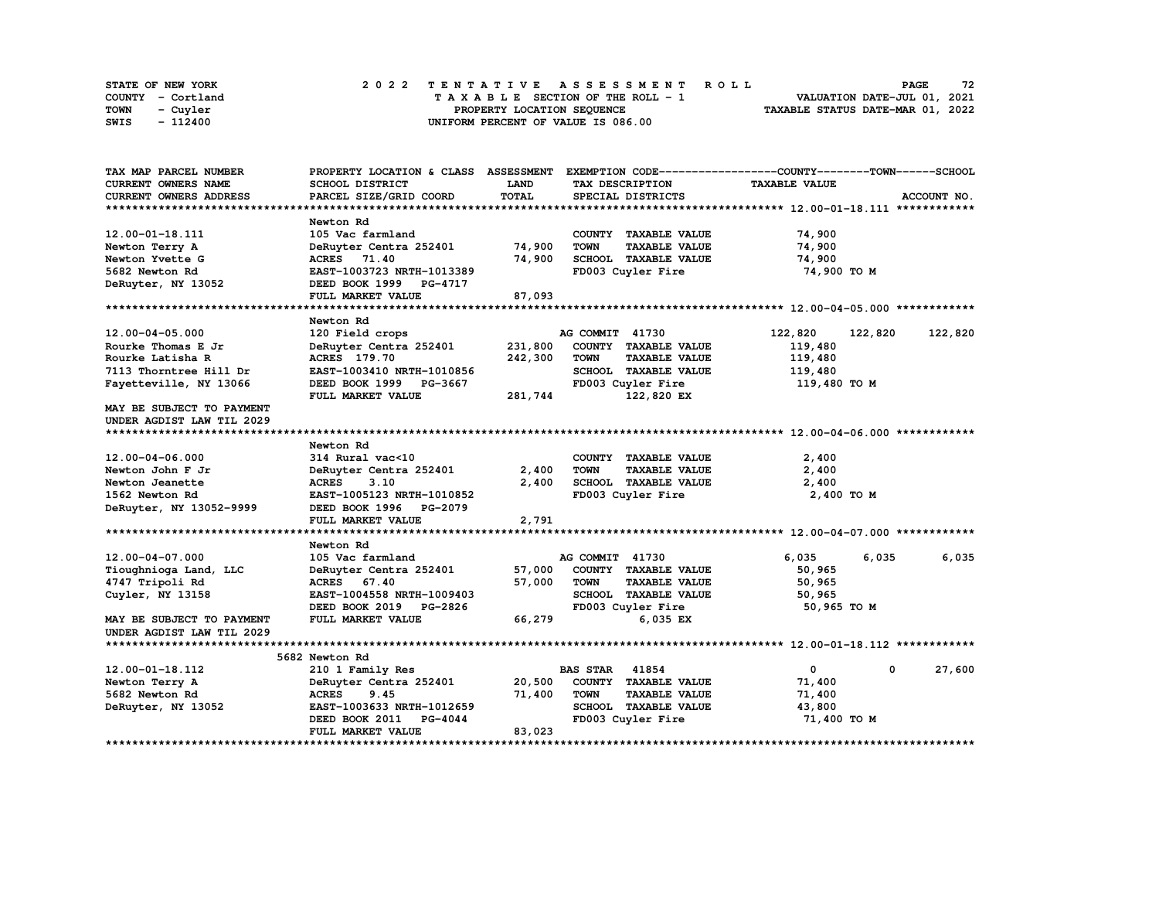| <b>STATE OF NEW YORK</b> | 2022 TENTATIVE ASSESSMENT ROLL     | 72<br><b>PAGE</b>                |
|--------------------------|------------------------------------|----------------------------------|
| COUNTY - Cortland        | TAXABLE SECTION OF THE ROLL - 1    | VALUATION DATE-JUL 01, 2021      |
| TOWN<br>- Cuyler         | PROPERTY LOCATION SEOUENCE         | TAXABLE STATUS DATE-MAR 01, 2022 |
| - 112400<br>SWIS         | UNIFORM PERCENT OF VALUE IS 086.00 |                                  |

| TAX MAP PARCEL NUMBER     |                                  |              |                                     | PROPERTY LOCATION & CLASS ASSESSMENT EXEMPTION CODE----------------COUNTY-------TOWN-----SCHOOL |             |
|---------------------------|----------------------------------|--------------|-------------------------------------|-------------------------------------------------------------------------------------------------|-------------|
| CURRENT OWNERS NAME       | SCHOOL DISTRICT                  | <b>LAND</b>  | TAX DESCRIPTION                     | <b>TAXABLE VALUE</b>                                                                            |             |
| CURRENT OWNERS ADDRESS    | PARCEL SIZE/GRID COORD           | <b>TOTAL</b> | SPECIAL DISTRICTS                   |                                                                                                 | ACCOUNT NO. |
|                           |                                  |              |                                     |                                                                                                 |             |
|                           | Newton Rd                        |              |                                     |                                                                                                 |             |
| 12.00-01-18.111           | 105 Vac farmland                 |              | COUNTY TAXABLE VALUE                | 74,900                                                                                          |             |
| Newton Terry A            | DeRuyter Centra 252401           | 74,900       | <b>TOWN</b><br><b>TAXABLE VALUE</b> | 74,900                                                                                          |             |
| Newton Yvette G           | ACRES 71.40                      | 74,900       | SCHOOL TAXABLE VALUE                | 74,900                                                                                          |             |
| 5682 Newton Rd            | EAST-1003723 NRTH-1013389        |              | FD003 Cuyler Fire                   | 74,900 TO M                                                                                     |             |
| DeRuyter, NY 13052        | DEED BOOK 1999 PG-4717           |              |                                     |                                                                                                 |             |
|                           | FULL MARKET VALUE                | 87,093       |                                     |                                                                                                 |             |
|                           |                                  |              |                                     |                                                                                                 |             |
|                           | Newton Rd                        |              |                                     |                                                                                                 |             |
| 12.00-04-05.000           | 120 Field crops                  |              | AG COMMIT 41730                     | 122,820<br>122,820                                                                              | 122,820     |
| Rourke Thomas E Jr        | DeRuyter Centra 252401           | 231,800      | COUNTY TAXABLE VALUE                | 119,480                                                                                         |             |
| Rourke Latisha R          | <b>ACRES</b> 179.70              | 242,300      | <b>TOWN</b><br><b>TAXABLE VALUE</b> | 119,480                                                                                         |             |
| 7113 Thorntree Hill Dr    | EAST-1003410 NRTH-1010856        |              | <b>SCHOOL TAXABLE VALUE</b>         | 119,480                                                                                         |             |
| Fayetteville, NY 13066    | DEED BOOK 1999 PG-3667           |              | FD003 Cuyler Fire                   | 119,480 TO M                                                                                    |             |
|                           | FULL MARKET VALUE                | 281,744      | 122,820 EX                          |                                                                                                 |             |
| MAY BE SUBJECT TO PAYMENT |                                  |              |                                     |                                                                                                 |             |
| UNDER AGDIST LAW TIL 2029 |                                  |              |                                     |                                                                                                 |             |
|                           |                                  |              |                                     |                                                                                                 |             |
|                           | Newton Rd                        |              |                                     |                                                                                                 |             |
| 12.00-04-06.000           | 314 Rural vac<10                 |              | COUNTY TAXABLE VALUE                | 2,400                                                                                           |             |
| Newton John F Jr          | DeRuyter Centra 252401           | 2,400        | <b>TOWN</b><br><b>TAXABLE VALUE</b> | 2,400                                                                                           |             |
| Newton Jeanette           | <b>ACRES</b><br>3.10             | 2,400        | SCHOOL TAXABLE VALUE                | 2,400                                                                                           |             |
| 1562 Newton Rd            | EAST-1005123 NRTH-1010852        |              | FD003 Cuyler Fire                   | 2,400 TO M                                                                                      |             |
| DeRuyter, NY 13052-9999   | DEED BOOK 1996 PG-2079           |              |                                     |                                                                                                 |             |
|                           | FULL MARKET VALUE                | 2,791        |                                     |                                                                                                 |             |
|                           |                                  |              |                                     |                                                                                                 |             |
|                           | Newton Rd                        |              |                                     |                                                                                                 |             |
| 12.00-04-07.000           | 105 Vac farmland                 |              | AG COMMIT 41730                     | 6,035<br>6,035                                                                                  | 6,035       |
| Tioughnioga Land, LLC     | DeRuyter Centra 252401           | 57,000       | COUNTY TAXABLE VALUE                | 50,965                                                                                          |             |
| 4747 Tripoli Rd           | ACRES 67.40                      | 57,000       | <b>TOWN</b><br><b>TAXABLE VALUE</b> | 50,965                                                                                          |             |
| Cuyler, NY 13158          | EAST-1004558 NRTH-1009403        |              | SCHOOL TAXABLE VALUE                | 50,965                                                                                          |             |
|                           | DEED BOOK 2019 PG-2826           |              | FD003 Cuyler Fire                   | 50,965 TO M                                                                                     |             |
| MAY BE SUBJECT TO PAYMENT | FULL MARKET VALUE                | 66,279       | 6,035 EX                            |                                                                                                 |             |
| UNDER AGDIST LAW TIL 2029 |                                  |              |                                     |                                                                                                 |             |
|                           |                                  |              |                                     |                                                                                                 |             |
|                           | 5682 Newton Rd                   |              |                                     |                                                                                                 |             |
| 12.00-01-18.112           | 210 1 Family Res                 |              | <b>BAS STAR 41854</b>               | $\mathbf 0$<br>$^{\circ}$                                                                       | 27,600      |
| Newton Terry A            | DeRuyter Centra 252401           | 20,500       | COUNTY TAXABLE VALUE                | 71,400                                                                                          |             |
| 5682 Newton Rd            | <b>ACRES</b><br>9.45             | 71,400       | <b>TOWN</b><br><b>TAXABLE VALUE</b> | 71,400                                                                                          |             |
| DeRuyter, NY 13052        | EAST-1003633 NRTH-1012659        |              | SCHOOL TAXABLE VALUE                | 43,800                                                                                          |             |
|                           | DEED BOOK 2011<br><b>PG-4044</b> |              | FD003 Cuyler Fire                   | 71,400 TO M                                                                                     |             |
|                           | FULL MARKET VALUE                | 83,023       |                                     |                                                                                                 |             |
|                           |                                  |              |                                     |                                                                                                 |             |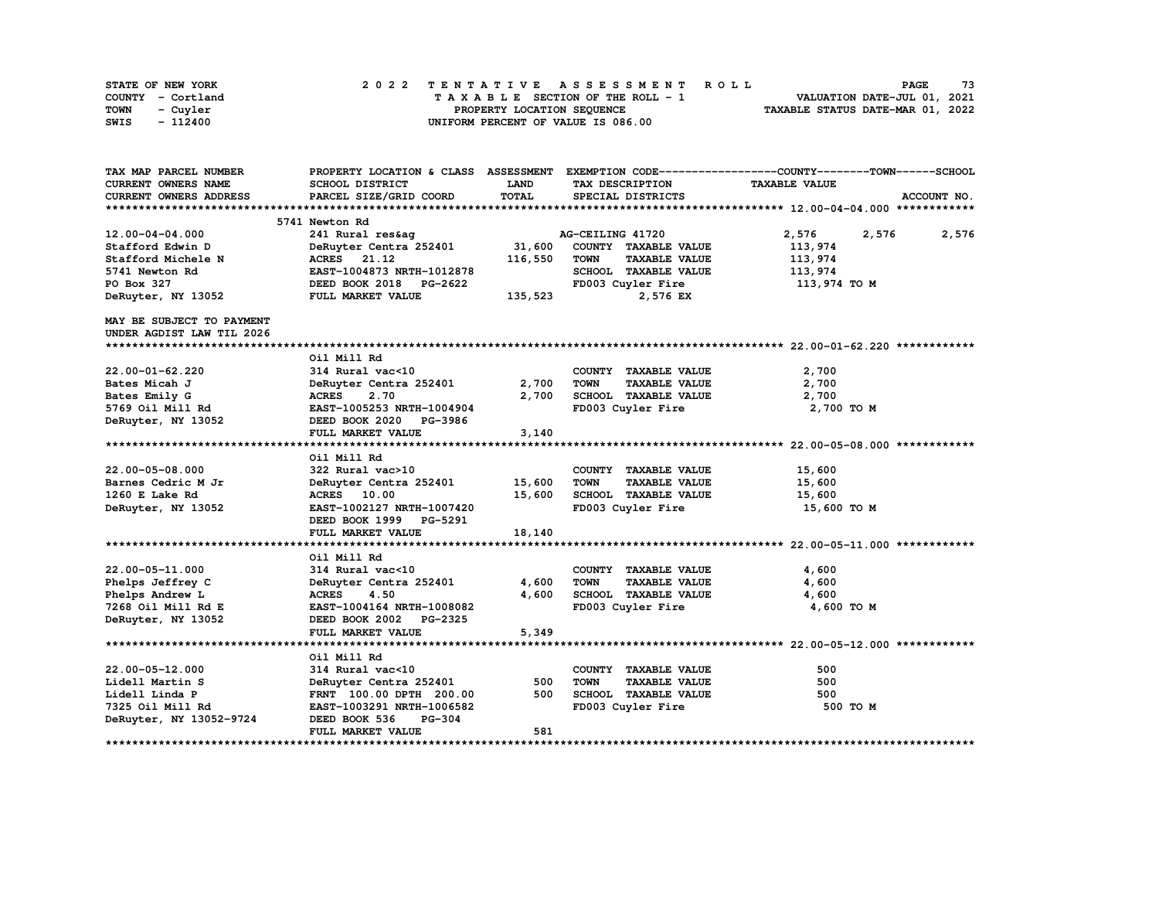| STATE OF NEW YORK | 2022 TENTATIVE ASSESSMENT ROLL     | 73<br>PAGE                       |
|-------------------|------------------------------------|----------------------------------|
| COUNTY - Cortland | TAXABLE SECTION OF THE ROLL - 1    | VALUATION DATE-JUL 01, 2021      |
| TOWN<br>- Cuyler  | PROPERTY LOCATION SEOUENCE         | TAXABLE STATUS DATE-MAR 01, 2022 |
| - 112400<br>SWIS  | UNIFORM PERCENT OF VALUE IS 086.00 |                                  |

| TAX MAP PARCEL NUMBER         | PROPERTY LOCATION & CLASS ASSESSMENT EXEMPTION CODE----------------COUNTY-------TOWN-----SCHOOL |             |                                     |                      |                |
|-------------------------------|-------------------------------------------------------------------------------------------------|-------------|-------------------------------------|----------------------|----------------|
| CURRENT OWNERS NAME           | SCHOOL DISTRICT                                                                                 | <b>LAND</b> | TAX DESCRIPTION                     | <b>TAXABLE VALUE</b> |                |
| <b>CURRENT OWNERS ADDRESS</b> | PARCEL SIZE/GRID COORD                                                                          | TOTAL       | SPECIAL DISTRICTS                   |                      | ACCOUNT NO.    |
|                               |                                                                                                 |             |                                     |                      |                |
|                               | 5741 Newton Rd                                                                                  |             |                                     |                      |                |
| $12.00 - 04 - 04.000$         | 241 Rural res&ag                                                                                |             | AG-CEILING 41720                    | 2,576                | 2,576<br>2,576 |
| Stafford Edwin D              | DeRuyter Centra 252401                                                                          | 31,600      | COUNTY TAXABLE VALUE                | 113,974              |                |
| Stafford Michele N            | ACRES 21.12                                                                                     | 116,550     | <b>TOWN</b><br><b>TAXABLE VALUE</b> | 113,974              |                |
| 5741 Newton Rd                | EAST-1004873 NRTH-1012878                                                                       |             | SCHOOL TAXABLE VALUE                | 113,974              |                |
| PO Box 327                    | DEED BOOK 2018 PG-2622                                                                          |             | FD003 Cuyler Fire                   | 113,974 TO M         |                |
| DeRuyter, NY 13052            | <b>FULL MARKET VALUE</b>                                                                        | 135,523     | 2,576 EX                            |                      |                |
| MAY BE SUBJECT TO PAYMENT     |                                                                                                 |             |                                     |                      |                |
| UNDER AGDIST LAW TIL 2026     |                                                                                                 |             |                                     |                      |                |
|                               |                                                                                                 |             |                                     |                      |                |
|                               | Oil Mill Rd                                                                                     |             |                                     |                      |                |
| 22.00-01-62.220               | 314 Rural vac<10                                                                                |             | COUNTY TAXABLE VALUE                | 2,700                |                |
| Bates Micah J                 | DeRuyter Centra 252401                                                                          | 2,700       | <b>TOWN</b><br><b>TAXABLE VALUE</b> | 2,700                |                |
| Bates Emily G                 | <b>ACRES</b><br>2.70                                                                            | 2,700       | SCHOOL TAXABLE VALUE                | 2,700                |                |
| 5769 Oil Mill Rd              | <b>EAST-1005253 NRTH-1004904</b>                                                                |             | FD003 Cuyler Fire                   | 2,700 TO M           |                |
| DeRuyter, NY 13052            | DEED BOOK 2020 PG-3986                                                                          |             |                                     |                      |                |
|                               | FULL MARKET VALUE                                                                               | 3,140       |                                     |                      |                |
|                               |                                                                                                 |             |                                     |                      |                |
|                               | Oil Mill Rd                                                                                     |             |                                     |                      |                |
| 22.00-05-08.000               | 322 Rural vac>10                                                                                |             | COUNTY TAXABLE VALUE                | 15,600               |                |
| Barnes Cedric M Jr            | DeRuyter Centra 252401                                                                          | 15,600      | <b>TOWN</b><br><b>TAXABLE VALUE</b> | 15,600               |                |
| 1260 E Lake Rd                | ACRES 10.00                                                                                     | 15,600      | SCHOOL TAXABLE VALUE                | 15,600               |                |
| DeRuyter, NY 13052            | EAST-1002127 NRTH-1007420                                                                       |             | FD003 Cuyler Fire                   | 15,600 TO M          |                |
|                               | DEED BOOK 1999 PG-5291                                                                          |             |                                     |                      |                |
|                               | FULL MARKET VALUE                                                                               | 18,140      |                                     |                      |                |
|                               |                                                                                                 |             |                                     |                      |                |
|                               | Oil Mill Rd                                                                                     |             |                                     |                      |                |
| 22.00-05-11.000               | 314 Rural vac<10                                                                                |             | COUNTY TAXABLE VALUE                | 4,600                |                |
| Phelps Jeffrey C              | DeRuyter Centra 252401                                                                          | 4,600       | <b>TOWN</b><br><b>TAXABLE VALUE</b> | 4,600                |                |
| Phelps Andrew L               | 4.50<br><b>ACRES</b>                                                                            | 4,600       | SCHOOL TAXABLE VALUE                | 4,600                |                |
| 7268 Oil Mill Rd E            | EAST-1004164 NRTH-1008082                                                                       |             | FD003 Cuyler Fire                   | 4,600 TO M           |                |
| DeRuyter, NY 13052            | DEED BOOK 2002 PG-2325                                                                          |             |                                     |                      |                |
|                               | FULL MARKET VALUE                                                                               | 5,349       |                                     |                      |                |
|                               |                                                                                                 |             |                                     |                      |                |
|                               | Oil Mill Rd                                                                                     |             |                                     |                      |                |
| $22.00 - 05 - 12.000$         | 314 Rural vac<10                                                                                |             | COUNTY TAXABLE VALUE                | 500                  |                |
| Lidell Martin S               | DeRuyter Centra 252401                                                                          | 500         | <b>TOWN</b><br><b>TAXABLE VALUE</b> | 500                  |                |
| Lidell Linda P                | FRNT 100.00 DPTH 200.00                                                                         | 500         | SCHOOL TAXABLE VALUE                | 500                  |                |
| 7325 Oil Mill Rd              | EAST-1003291 NRTH-1006582                                                                       |             | FD003 Cuyler Fire                   | 500 TO M             |                |
| DeRuyter, NY 13052-9724       | DEED BOOK 536<br><b>PG-304</b>                                                                  |             |                                     |                      |                |
|                               | FULL MARKET VALUE                                                                               | 581         |                                     |                      |                |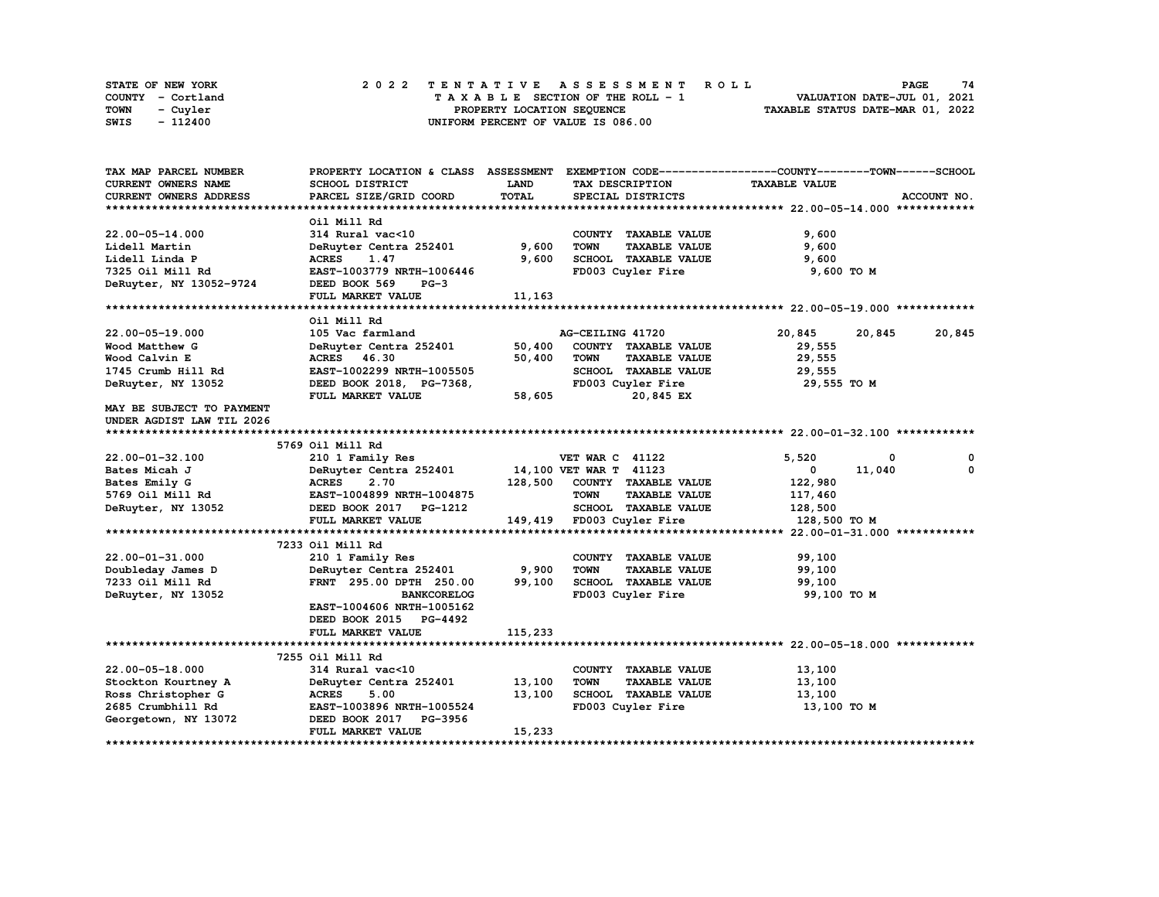| <b>STATE OF NEW YORK</b> | 2022 TENTATIVE ASSESSMENT ROLL          | 74<br>PAGE                       |
|--------------------------|-----------------------------------------|----------------------------------|
| COUNTY - Cortland        | $T A X A B L E$ SECTION OF THE ROLL - 1 | VALUATION DATE-JUL 01, 2021      |
| TOWN<br>- Cuyler         | PROPERTY LOCATION SEQUENCE              | TAXABLE STATUS DATE-MAR 01, 2022 |
| - 112400<br>SWIS         | UNIFORM PERCENT OF VALUE IS 086.00      |                                  |

| TAX MAP PARCEL NUMBER     |                           |              |                                     | PROPERTY LOCATION & CLASS ASSESSMENT EXEMPTION CODE-----------------COUNTY-------TOWN------SCHOOL |             |
|---------------------------|---------------------------|--------------|-------------------------------------|---------------------------------------------------------------------------------------------------|-------------|
| CURRENT OWNERS NAME       | SCHOOL DISTRICT           | LAND         | TAX DESCRIPTION                     | <b>TAXABLE VALUE</b>                                                                              |             |
| CURRENT OWNERS ADDRESS    | PARCEL SIZE/GRID COORD    | <b>TOTAL</b> | SPECIAL DISTRICTS                   |                                                                                                   | ACCOUNT NO. |
|                           |                           |              |                                     |                                                                                                   |             |
|                           | Oil Mill Rd               |              |                                     |                                                                                                   |             |
| $22.00 - 05 - 14.000$     | 314 Rural vac<10          |              | COUNTY TAXABLE VALUE                | 9,600                                                                                             |             |
| Lidell Martin             | DeRuyter Centra 252401    | 9,600        | <b>TOWN</b><br><b>TAXABLE VALUE</b> | 9,600                                                                                             |             |
| Lidell Linda P            | <b>ACRES</b><br>1.47      | 9,600        | SCHOOL TAXABLE VALUE                | 9,600                                                                                             |             |
| 7325 Oil Mill Rd          | EAST-1003779 NRTH-1006446 |              | FD003 Cuyler Fire                   | 9,600 TO M                                                                                        |             |
| DeRuyter, NY 13052-9724   | DEED BOOK 569<br>$PG-3$   |              |                                     |                                                                                                   |             |
|                           | FULL MARKET VALUE         | 11,163       |                                     |                                                                                                   |             |
|                           |                           |              |                                     |                                                                                                   |             |
|                           | Oil Mill Rd               |              |                                     |                                                                                                   |             |
| 22.00-05-19.000           | 105 Vac farmland          |              | AG-CEILING 41720                    | 20,845<br>20,845                                                                                  | 20,845      |
| Wood Matthew G            | DeRuyter Centra 252401    | 50,400       | COUNTY TAXABLE VALUE                | 29,555                                                                                            |             |
| Wood Calvin E             | ACRES 46.30               | 50,400       | <b>TOWN</b><br><b>TAXABLE VALUE</b> | 29,555                                                                                            |             |
| 1745 Crumb Hill Rd        | EAST-1002299 NRTH-1005505 |              | SCHOOL TAXABLE VALUE                | 29,555                                                                                            |             |
| DeRuyter, NY 13052        | DEED BOOK 2018, PG-7368,  |              | FD003 Cuyler Fire                   | 29,555 TO M                                                                                       |             |
|                           | FULL MARKET VALUE         | 58,605       | 20,845 EX                           |                                                                                                   |             |
| MAY BE SUBJECT TO PAYMENT |                           |              |                                     |                                                                                                   |             |
| UNDER AGDIST LAW TIL 2026 |                           |              |                                     |                                                                                                   |             |
|                           |                           |              |                                     |                                                                                                   |             |
|                           | 5769 Oil Mill Rd          |              |                                     |                                                                                                   |             |
| $22.00 - 01 - 32.100$     | 210 1 Family Res          |              | <b>VET WAR C 41122</b>              | 5.520<br>0                                                                                        | 0           |
| Bates Micah J             | DeRuyter Centra 252401    |              | 14,100 VET WAR T 41123              | $\mathbf{0}$<br>11,040                                                                            | $\Omega$    |
| Bates Emily G             | <b>ACRES</b><br>2.70      | 128,500      | COUNTY TAXABLE VALUE                | 122,980                                                                                           |             |
| 5769 Oil Mill Rd          | EAST-1004899 NRTH-1004875 |              | <b>TOWN</b><br><b>TAXABLE VALUE</b> | 117,460                                                                                           |             |
| DeRuyter, NY 13052        | DEED BOOK 2017 PG-1212    |              | SCHOOL TAXABLE VALUE                | 128,500                                                                                           |             |
|                           | FULL MARKET VALUE         |              | 149,419 FD003 Cuyler Fire           | 128,500 TO M                                                                                      |             |
|                           |                           |              |                                     |                                                                                                   |             |
|                           | 7233 Oil Mill Rd          |              |                                     |                                                                                                   |             |
| 22.00-01-31.000           | 210 1 Family Res          |              | COUNTY TAXABLE VALUE                | 99,100                                                                                            |             |
| Doubleday James D         | DeRuyter Centra 252401    | 9,900        | <b>TOWN</b><br><b>TAXABLE VALUE</b> | 99,100                                                                                            |             |
| 7233 Oil Mill Rd          | FRNT 295.00 DPTH 250.00   | 99,100       | SCHOOL TAXABLE VALUE                | 99,100                                                                                            |             |
| DeRuyter, NY 13052        | <b>BANKCORELOG</b>        |              | FD003 Cuyler Fire                   | 99,100 TO M                                                                                       |             |
|                           | EAST-1004606 NRTH-1005162 |              |                                     |                                                                                                   |             |
|                           | DEED BOOK 2015 PG-4492    |              |                                     |                                                                                                   |             |
|                           | FULL MARKET VALUE         | 115,233      |                                     |                                                                                                   |             |
|                           |                           |              |                                     |                                                                                                   |             |
|                           | 7255 Oil Mill Rd          |              |                                     |                                                                                                   |             |
| 22.00-05-18.000           | 314 Rural vac<10          |              | COUNTY TAXABLE VALUE                | 13,100                                                                                            |             |
| Stockton Kourtney A       | DeRuyter Centra 252401    | 13,100       | <b>TOWN</b><br><b>TAXABLE VALUE</b> | 13,100                                                                                            |             |
| Ross Christopher G        | <b>ACRES</b><br>5.00      | 13,100       | SCHOOL TAXABLE VALUE                | 13,100                                                                                            |             |
| 2685 Crumbhill Rd         | EAST-1003896 NRTH-1005524 |              | FD003 Cuyler Fire                   | 13,100 TO M                                                                                       |             |
| Georgetown, NY 13072      | DEED BOOK 2017 PG-3956    |              |                                     |                                                                                                   |             |
|                           | FULL MARKET VALUE         | 15,233       |                                     |                                                                                                   |             |
|                           |                           |              |                                     |                                                                                                   |             |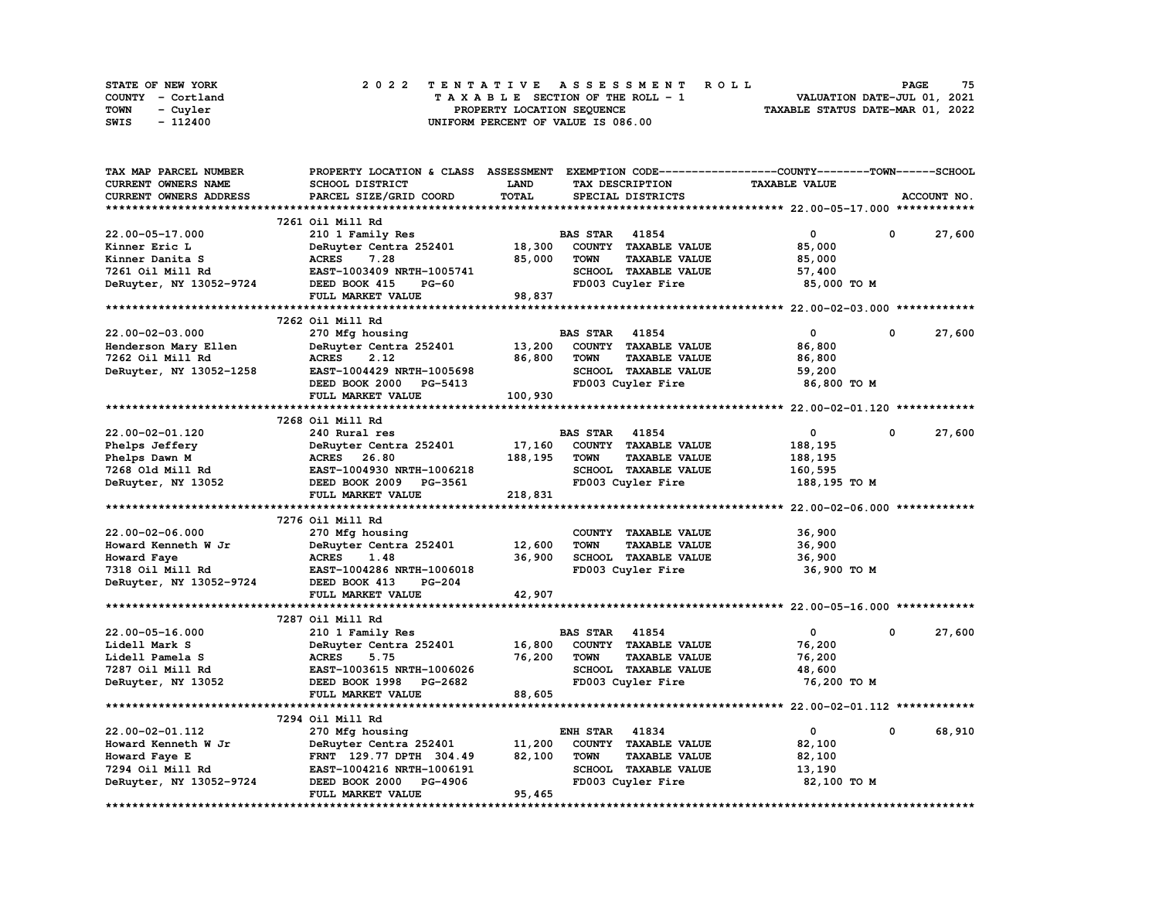| STATE OF NEW YORK | 2022 TENTATIVE ASSESSMENT ROLL          | 75<br><b>PAGE</b>                |
|-------------------|-----------------------------------------|----------------------------------|
| COUNTY - Cortland | $T A X A B L E$ SECTION OF THE ROLL - 1 | VALUATION DATE-JUL 01, 2021      |
| TOWN<br>- Cuyler  | PROPERTY LOCATION SEQUENCE              | TAXABLE STATUS DATE-MAR 01, 2022 |
| SWIS<br>- 112400  | UNIFORM PERCENT OF VALUE IS 086.00      |                                  |

| TAX MAP PARCEL NUMBER      | PROPERTY LOCATION & CLASS ASSESSMENT |              |                       |                      | EXEMPTION CODE-----------------COUNTY-------TOWN-----SCHOOL |            |             |
|----------------------------|--------------------------------------|--------------|-----------------------|----------------------|-------------------------------------------------------------|------------|-------------|
| <b>CURRENT OWNERS NAME</b> | SCHOOL DISTRICT                      | <b>LAND</b>  |                       | TAX DESCRIPTION      | <b>TAXABLE VALUE</b>                                        |            |             |
| CURRENT OWNERS ADDRESS     | PARCEL SIZE/GRID COORD               | <b>TOTAL</b> |                       | SPECIAL DISTRICTS    |                                                             |            | ACCOUNT NO. |
|                            |                                      |              |                       |                      |                                                             |            |             |
|                            | 7261 Oil Mill Rd                     |              |                       |                      |                                                             |            |             |
| 22.00-05-17.000            | 210 1 Family Res                     |              | <b>BAS STAR 41854</b> |                      | 0                                                           | 0          | 27,600      |
| Kinner Eric L              | DeRuyter Centra 252401               | 18,300       |                       | COUNTY TAXABLE VALUE | 85,000                                                      |            |             |
| Kinner Danita S            | 7.28<br><b>ACRES</b>                 | 85,000       | <b>TOWN</b>           | <b>TAXABLE VALUE</b> | 85,000                                                      |            |             |
| 7261 Oil Mill Rd           | EAST-1003409 NRTH-1005741            |              |                       | SCHOOL TAXABLE VALUE | 57,400                                                      |            |             |
| DeRuyter, NY 13052-9724    | DEED BOOK 415<br>$PG-60$             |              |                       | FD003 Cuyler Fire    | 85,000 TO M                                                 |            |             |
|                            | FULL MARKET VALUE                    | 98,837       |                       |                      |                                                             |            |             |
|                            |                                      |              |                       |                      |                                                             |            |             |
|                            | 7262 Oil Mill Rd                     |              |                       |                      |                                                             |            |             |
| $22.00 - 02 - 03.000$      | 270 Mfg housing                      |              | <b>BAS STAR</b> 41854 |                      | $\mathbf 0$                                                 | 0          | 27,600      |
|                            | DeRuyter Centra 252401               | 13,200       |                       | COUNTY TAXABLE VALUE |                                                             |            |             |
| Henderson Mary Ellen       | 2.12                                 |              |                       |                      | 86,800                                                      |            |             |
| 7262 Oil Mill Rd           | <b>ACRES</b>                         | 86,800       | <b>TOWN</b>           | <b>TAXABLE VALUE</b> | 86,800                                                      |            |             |
| DeRuyter, NY 13052-1258    | EAST-1004429 NRTH-1005698            |              |                       | SCHOOL TAXABLE VALUE | 59,200                                                      |            |             |
|                            | DEED BOOK 2000 PG-5413               |              |                       | FD003 Cuyler Fire    | 86,800 TO M                                                 |            |             |
|                            | FULL MARKET VALUE                    | 100,930      |                       |                      |                                                             |            |             |
|                            |                                      |              |                       |                      |                                                             |            |             |
|                            | 7268 Oil Mill Rd                     |              |                       |                      |                                                             |            |             |
| 22.00-02-01.120            | 240 Rural res                        |              | <b>BAS STAR 41854</b> |                      | $\mathbf 0$                                                 | $^{\circ}$ | 27,600      |
| Phelps Jeffery             | DeRuyter Centra 252401               | 17,160       |                       | COUNTY TAXABLE VALUE | 188,195                                                     |            |             |
| Phelps Dawn M              | ACRES 26.80                          | 188,195      | <b>TOWN</b>           | <b>TAXABLE VALUE</b> | 188,195                                                     |            |             |
| 7268 Old Mill Rd           | EAST-1004930 NRTH-1006218            |              |                       | SCHOOL TAXABLE VALUE | 160,595                                                     |            |             |
| DeRuyter, NY 13052         | DEED BOOK 2009 PG-3561               |              |                       | FD003 Cuyler Fire    | 188,195 TO M                                                |            |             |
|                            | FULL MARKET VALUE                    | 218,831      |                       |                      |                                                             |            |             |
|                            |                                      |              |                       |                      |                                                             |            |             |
|                            | 7276 Oil Mill Rd                     |              |                       |                      |                                                             |            |             |
| $22.00 - 02 - 06.000$      | 270 Mfg housing                      |              |                       | COUNTY TAXABLE VALUE | 36,900                                                      |            |             |
| Howard Kenneth W Jr        | DeRuyter Centra 252401               | 12,600       | <b>TOWN</b>           | <b>TAXABLE VALUE</b> | 36,900                                                      |            |             |
| Howard Faye                | <b>ACRES</b><br>1.48                 | 36,900       |                       | SCHOOL TAXABLE VALUE | 36,900                                                      |            |             |
| 7318 Oil Mill Rd           | EAST-1004286 NRTH-1006018            |              |                       | FD003 Cuyler Fire    | 36,900 TO M                                                 |            |             |
| DeRuyter, NY 13052-9724    | DEED BOOK 413<br><b>PG-204</b>       |              |                       |                      |                                                             |            |             |
|                            | FULL MARKET VALUE                    | 42,907       |                       |                      |                                                             |            |             |
|                            |                                      |              |                       |                      |                                                             |            |             |
|                            | 7287 Oil Mill Rd                     |              |                       |                      |                                                             |            |             |
| 22.00-05-16.000            | 210 1 Family Res                     |              | <b>BAS STAR</b>       | 41854                | $\mathbf{0}$                                                | 0          | 27,600      |
| Lidell Mark S              | DeRuyter Centra 252401               | 16,800       |                       | COUNTY TAXABLE VALUE | 76,200                                                      |            |             |
| Lidell Pamela S            | <b>ACRES</b><br>5.75                 | 76,200       | <b>TOWN</b>           | TAXABLE VALUE        | 76,200                                                      |            |             |
| 7287 Oil Mill Rd           | EAST-1003615 NRTH-1006026            |              |                       | SCHOOL TAXABLE VALUE | 48,600                                                      |            |             |
| DeRuyter, NY 13052         | DEED BOOK 1998 PG-2682               |              |                       | FD003 Cuyler Fire    | 76,200 TO M                                                 |            |             |
|                            | FULL MARKET VALUE                    | 88,605       |                       |                      |                                                             |            |             |
|                            |                                      |              |                       |                      |                                                             |            |             |
|                            |                                      |              |                       |                      |                                                             |            |             |
|                            | 7294 Oil Mill Rd                     |              |                       |                      |                                                             |            |             |
| 22.00-02-01.112            | 270 Mfg housing                      |              | <b>ENH STAR</b>       | 41834                | $\mathbf 0$                                                 | $\Omega$   | 68,910      |
| Howard Kenneth W Jr        | DeRuyter Centra 252401               | 11,200       |                       | COUNTY TAXABLE VALUE | 82,100                                                      |            |             |
| Howard Faye E              | FRNT 129.77 DPTH 304.49              | 82,100       | <b>TOWN</b>           | <b>TAXABLE VALUE</b> | 82,100                                                      |            |             |
| 7294 Oil Mill Rd           | EAST-1004216 NRTH-1006191            |              |                       | SCHOOL TAXABLE VALUE | 13,190                                                      |            |             |
| DeRuyter, NY 13052-9724    | DEED BOOK 2000 PG-4906               |              |                       | FD003 Cuyler Fire    | 82,100 TO M                                                 |            |             |
|                            | FULL MARKET VALUE                    | 95,465       |                       |                      |                                                             |            |             |
|                            |                                      |              |                       |                      |                                                             |            |             |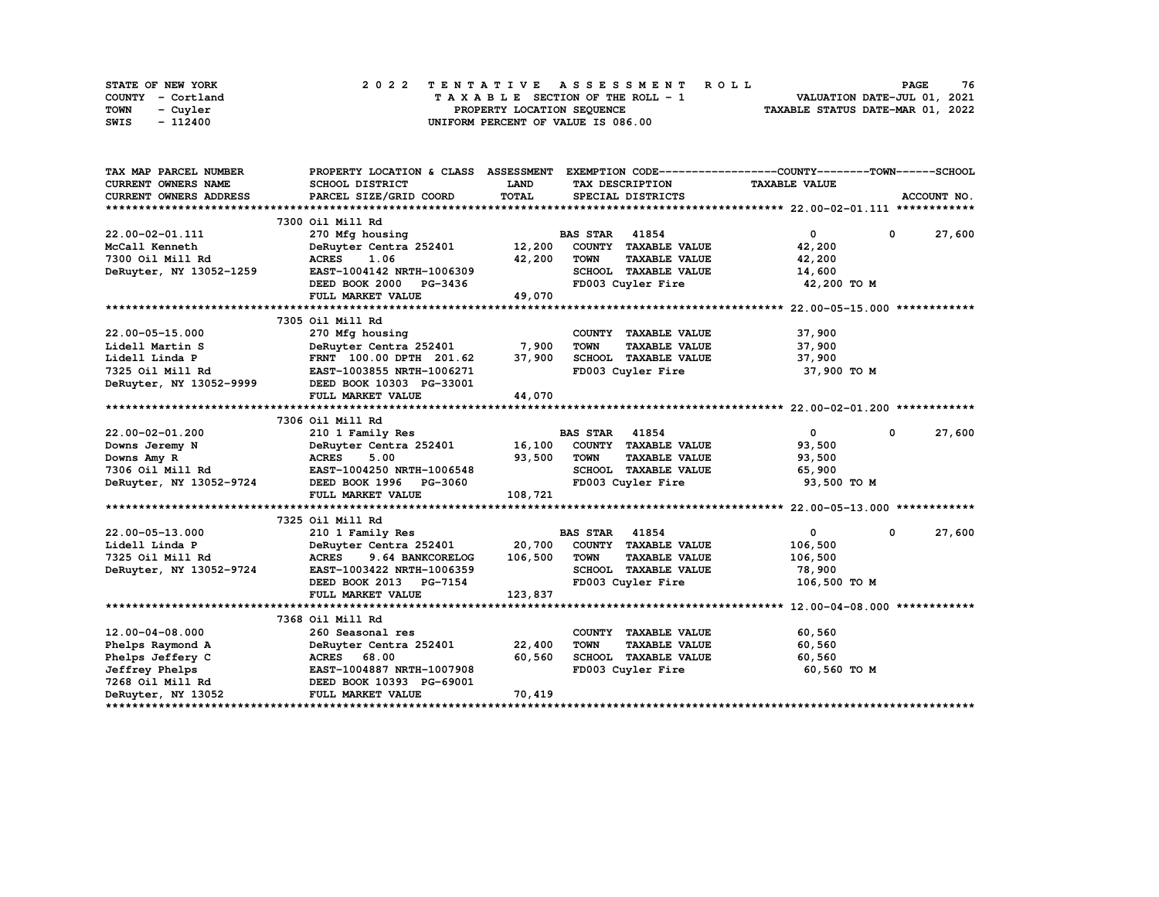| STATE OF NEW YORK | 2022 TENTATIVE ASSESSMENT ROLL     | 76<br><b>PAGE</b>                |
|-------------------|------------------------------------|----------------------------------|
| COUNTY - Cortland | TAXABLE SECTION OF THE ROLL - 1    | VALUATION DATE-JUL 01, 2021      |
| TOWN<br>- Cuvler  | PROPERTY LOCATION SEQUENCE         | TAXABLE STATUS DATE-MAR 01, 2022 |
| - 112400<br>SWIS  | UNIFORM PERCENT OF VALUE IS 086.00 |                                  |

| TAX MAP PARCEL NUMBER         | PROPERTY LOCATION & CLASS ASSESSMENT EXEMPTION CODE----------------COUNTY-------TOWN------SCHOOL                                      |              |                       |                                            |                      |              |             |
|-------------------------------|---------------------------------------------------------------------------------------------------------------------------------------|--------------|-----------------------|--------------------------------------------|----------------------|--------------|-------------|
| CURRENT OWNERS NAME           | SCHOOL DISTRICT                                                                                                                       | LAND         | TAX DESCRIPTION       |                                            | <b>TAXABLE VALUE</b> |              |             |
| <b>CURRENT OWNERS ADDRESS</b> | PARCEL SIZE/GRID COORD                                                                                                                | TOTAL        | SPECIAL DISTRICTS     |                                            |                      |              | ACCOUNT NO. |
|                               |                                                                                                                                       |              |                       |                                            |                      |              |             |
|                               | 7300 Oil Mill Rd                                                                                                                      |              |                       |                                            |                      |              |             |
| 22.00-02-01.111               | 270 Mfg housing                                                                                                                       |              | <b>BAS STAR</b> 41854 |                                            | $\mathbf{0}$         | $\mathbf{0}$ | 27,600      |
| McCall Kenneth                | DeRuyter Centra 252401 12,200 COUNTY TAXABLE VALUE                                                                                    |              |                       |                                            | 42,200               |              |             |
| 7300 Oil Mill Rd              | <b>ACRES</b><br>1.06                                                                                                                  | 42,200       | TOWN                  | <b>TAXABLE VALUE</b>                       | 42,200               |              |             |
| DeRuyter, NY 13052-1259       | EAST-1004142 NRTH-1006309                                                                                                             |              |                       | SCHOOL TAXABLE VALUE                       | 14,600               |              |             |
|                               | DEED BOOK 2000 PG-3436                                                                                                                |              | FD003 Cuyler Fire     |                                            | 42,200 TO M          |              |             |
|                               | FULL MARKET VALUE                                                                                                                     | 49,070       |                       |                                            |                      |              |             |
|                               |                                                                                                                                       |              |                       |                                            |                      |              |             |
|                               | 7305 Oil Mill Rd                                                                                                                      |              |                       |                                            |                      |              |             |
| 22.00-05-15.000               | 270 Mfg housing                                                                                                                       |              |                       | COUNTY TAXABLE VALUE                       | 37,900               |              |             |
| Lidell Martin S               | 270 Mfg housing<br>DeRuyter Centra 252401<br>FRNT 100.00 DPTH 201.62                                                                  | 7,900        | TOWN                  | <b>TAXABLE VALUE</b>                       | 37,900               |              |             |
| Lidell Linda P                |                                                                                                                                       | 37,900       |                       | SCHOOL TAXABLE VALUE                       | 37,900               |              |             |
|                               | 7325 Oil Mill Rd<br>DeRuyter, NY 13052-9999 DEED BOOK 10303 PG-33001                                                                  |              |                       | FD003 Cuyler Fire                          | 37,900 TO M          |              |             |
|                               |                                                                                                                                       |              |                       |                                            |                      |              |             |
|                               | FULL MARKET VALUE                                                                                                                     | 44,070       |                       |                                            |                      |              |             |
|                               |                                                                                                                                       |              |                       |                                            |                      |              |             |
|                               | 7306 Oil Mill Rd                                                                                                                      |              |                       |                                            |                      |              |             |
| 22.00-02-01.200               | 210 1 Family Res                                                                                                                      |              | <b>BAS STAR 41854</b> |                                            | $\overline{0}$       | $\mathbf 0$  | 27,600      |
|                               | Downs Jeremy N DeRuyter Centra 252401 16,100 COUNTY TAXABLE VALUE                                                                     |              |                       |                                            | 93,500               |              |             |
|                               | Downs Amy R<br>7306 Oil Mill Rd<br>7306 Oil Mill Rd<br>7306 Oil Mill Rd<br>7306 OeRuyter, NY 13052-9724<br>742 DEED BOOK 1996 PG-3060 | 93,500       | TOWN                  | <b>TAXABLE VALUE</b>                       | 93,500               |              |             |
|                               |                                                                                                                                       |              |                       | SCHOOL TAXABLE VALUE                       | 65,900               |              |             |
|                               |                                                                                                                                       |              |                       | FD003 Cuyler Fire                          | 93,500 TO M          |              |             |
|                               | FULL MARKET VALUE                                                                                                                     | 108,721      |                       |                                            |                      |              |             |
|                               |                                                                                                                                       |              |                       |                                            |                      |              |             |
|                               | 7325 Oil Mill Rd                                                                                                                      |              |                       |                                            |                      |              |             |
| 22.00-05-13.000               | 210 1 Family Res                                                                                                                      |              | <b>BAS STAR 41854</b> |                                            | $\mathbf{0}$         | $^{\circ}$   | 27,600      |
| Lidell Linda P                | DeRuyter Centra 252401 20,700                                                                                                         |              | COUNTY TAXABLE VALUE  |                                            | 106,500              |              |             |
| 7325 Oil Mill Rd              | <b>ACRES</b><br>9.64 BANKCORELOG                                                                                                      | 106,500 TOWN |                       | <b>TAXABLE VALUE</b>                       | 106,500              |              |             |
| DeRuyter, NY 13052-9724       | EAST-1003422 NRTH-1006359                                                                                                             |              |                       | SCHOOL TAXABLE VALUE                       | 78,900               |              |             |
|                               | DEED BOOK 2013 PG-7154                                                                                                                |              |                       | FD003 Cuyler Fire                          | 106,500 TO M         |              |             |
|                               | FULL MARKET VALUE                                                                                                                     | 123,837      |                       |                                            |                      |              |             |
|                               |                                                                                                                                       |              |                       |                                            |                      |              |             |
|                               | 7368 Oil Mill Rd                                                                                                                      |              |                       |                                            |                      |              |             |
| $12.00 - 04 - 08.000$         | 260 Seasonal res                                                                                                                      |              | COUNTY TAXABLE VALUE  |                                            | 60,560               |              |             |
| Phelps Raymond A              | DeRuyter Centra 252401 22,400<br>ACRES 68.00 60.560                                                                                   |              | <b>TOWN</b>           | TAXABLE VALUE                              | 60,560               |              |             |
| Phelps Jeffery C              |                                                                                                                                       |              |                       | SCHOOL TAXABLE VALUE<br>Theory Cuvier Fire | 60,560               |              |             |
| Jeffrey Phelps                |                                                                                                                                       |              | FD003 Cuyler Fire     |                                            | 60,560 TO M          |              |             |
| 7268 Oil Mill Rd              | DEED BOOK 10393 PG-69001                                                                                                              |              |                       |                                            |                      |              |             |
| DeRuyter, NY 13052            | FULL MARKET VALUE                                                                                                                     | 70,419       |                       |                                            |                      |              |             |
|                               |                                                                                                                                       |              |                       |                                            |                      |              |             |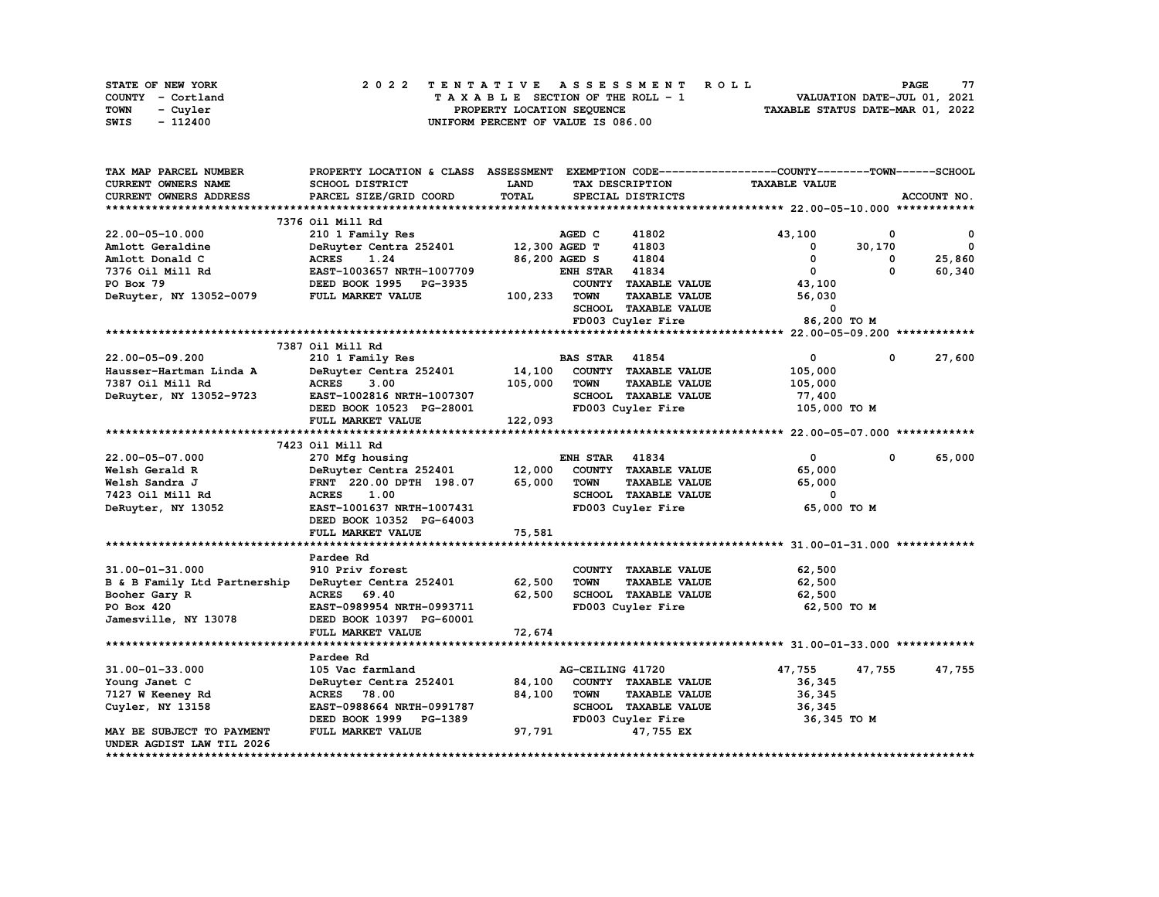| <b>STATE OF NEW YORK</b> | 2022 TENTATIVE ASSESSMENT ROLL          | 77<br><b>PAGE</b>                |
|--------------------------|-----------------------------------------|----------------------------------|
| COUNTY - Cortland        | $T A X A B L E$ SECTION OF THE ROLL - 1 | VALUATION DATE-JUL 01, 2021      |
| <b>TOWN</b><br>- Cuyler  | PROPERTY LOCATION SEQUENCE              | TAXABLE STATUS DATE-MAR 01, 2022 |
| - 112400<br>SWIS         | UNIFORM PERCENT OF VALUE IS 086.00      |                                  |

| TAX MAP PARCEL NUMBER         | PROPERTY LOCATION & CLASS ASSESSMENT |               |                       |                      | EXEMPTION CODE-----------------COUNTY-------TOWN------SCHOOL |              |              |
|-------------------------------|--------------------------------------|---------------|-----------------------|----------------------|--------------------------------------------------------------|--------------|--------------|
| <b>CURRENT OWNERS NAME</b>    | SCHOOL DISTRICT                      | <b>LAND</b>   |                       | TAX DESCRIPTION      | <b>TAXABLE VALUE</b>                                         |              |              |
| <b>CURRENT OWNERS ADDRESS</b> | PARCEL SIZE/GRID COORD               | TOTAL         |                       | SPECIAL DISTRICTS    |                                                              |              | ACCOUNT NO.  |
|                               |                                      |               |                       |                      |                                                              |              |              |
|                               | 7376 Oil Mill Rd                     |               |                       |                      |                                                              |              |              |
| $22.00 - 05 - 10.000$         | 210 1 Family Res                     |               | AGED C                | 41802                | 43,100                                                       | 0            | $\mathbf{o}$ |
| Amlott Geraldine              | DeRuyter Centra 252401               | 12,300 AGED T |                       | 41803                | 0                                                            | 30,170       | $\mathbf{0}$ |
| Amlott Donald C               | <b>ACRES</b><br>1.24                 |               | 86,200 AGED S         | 41804                | 0                                                            | 0            | 25,860       |
| 7376 Oil Mill Rd              | EAST-1003657 NRTH-1007709            |               | <b>ENH STAR</b>       | 41834                | $\mathbf{0}$                                                 | 0            | 60,340       |
| PO Box 79                     | DEED BOOK 1995 PG-3935               |               |                       | COUNTY TAXABLE VALUE | 43,100                                                       |              |              |
| DeRuyter, NY 13052-0079       | FULL MARKET VALUE                    | 100,233       | <b>TOWN</b>           | <b>TAXABLE VALUE</b> | 56,030                                                       |              |              |
|                               |                                      |               |                       | SCHOOL TAXABLE VALUE | 0                                                            |              |              |
|                               |                                      |               |                       | FD003 Cuyler Fire    | 86,200 TO M                                                  |              |              |
|                               |                                      |               |                       |                      |                                                              |              |              |
|                               | 7387 Oil Mill Rd                     |               |                       |                      |                                                              |              |              |
| 22.00-05-09.200               | 210 1 Family Res                     |               | <b>BAS STAR</b>       | 41854                | 0                                                            | 0            | 27,600       |
| Hausser-Hartman Linda A       | DeRuyter Centra 252401               | 14,100        |                       | COUNTY TAXABLE VALUE | 105,000                                                      |              |              |
| 7387 Oil Mill Rd              | <b>ACRES</b><br>3.00                 | 105,000       | <b>TOWN</b>           | <b>TAXABLE VALUE</b> | 105,000                                                      |              |              |
| DeRuyter, NY 13052-9723       | EAST-1002816 NRTH-1007307            |               |                       | SCHOOL TAXABLE VALUE | 77,400                                                       |              |              |
|                               | DEED BOOK 10523 PG-28001             |               |                       | FD003 Cuyler Fire    | 105,000 TO M                                                 |              |              |
|                               | FULL MARKET VALUE                    | 122,093       |                       |                      |                                                              |              |              |
|                               |                                      |               |                       |                      |                                                              |              |              |
|                               | 7423 Oil Mill Rd                     |               |                       |                      |                                                              |              |              |
| 22.00-05-07.000               | 270 Mfg housing                      |               | <b>ENH STAR 41834</b> |                      | $\mathbf{0}$                                                 | $\mathbf{0}$ | 65,000       |
| Welsh Gerald R                | DeRuyter Centra 252401               | 12,000        |                       | COUNTY TAXABLE VALUE | 65,000                                                       |              |              |
| Welsh Sandra J                | FRNT 220.00 DPTH 198.07              | 65,000        | <b>TOWN</b>           | <b>TAXABLE VALUE</b> | 65,000                                                       |              |              |
| 7423 Oil Mill Rd              | 1.00<br><b>ACRES</b>                 |               |                       | SCHOOL TAXABLE VALUE | 0                                                            |              |              |
| DeRuyter, NY 13052            | EAST-1001637 NRTH-1007431            |               |                       | FD003 Cuyler Fire    | 65,000 TO M                                                  |              |              |
|                               | DEED BOOK 10352 PG-64003             |               |                       |                      |                                                              |              |              |
|                               | FULL MARKET VALUE                    | 75,581        |                       |                      |                                                              |              |              |
|                               |                                      |               |                       |                      |                                                              |              |              |
|                               | Pardee Rd                            |               |                       |                      |                                                              |              |              |
| 31.00-01-31.000               | 910 Priv forest                      |               |                       | COUNTY TAXABLE VALUE | 62,500                                                       |              |              |
| B & B Family Ltd Partnership  | DeRuyter Centra 252401               | 62,500        | <b>TOWN</b>           | <b>TAXABLE VALUE</b> | 62,500                                                       |              |              |
| Booher Gary R                 | <b>ACRES</b><br>69.40                | 62,500        |                       | SCHOOL TAXABLE VALUE | 62,500                                                       |              |              |
| PO Box 420                    | EAST-0989954 NRTH-0993711            |               |                       | FD003 Cuyler Fire    | 62,500 TO M                                                  |              |              |
| Jamesville, NY 13078          | DEED BOOK 10397 PG-60001             |               |                       |                      |                                                              |              |              |
|                               | FULL MARKET VALUE                    | 72,674        |                       |                      |                                                              |              |              |
|                               |                                      |               |                       |                      |                                                              |              |              |
|                               | Pardee Rd                            |               |                       |                      |                                                              |              |              |
| 31.00-01-33.000               | 105 Vac farmland                     |               | AG-CEILING 41720      |                      | 47,755                                                       | 47,755       | 47,755       |
| Young Janet C                 | DeRuyter Centra 252401               | 84,100        |                       | COUNTY TAXABLE VALUE | 36,345                                                       |              |              |
| 7127 W Keeney Rd              | <b>ACRES</b> 78.00                   | 84,100        | <b>TOWN</b>           | <b>TAXABLE VALUE</b> | 36,345                                                       |              |              |
| Cuyler, NY 13158              | EAST-0988664 NRTH-0991787            |               |                       | SCHOOL TAXABLE VALUE | 36,345                                                       |              |              |
|                               | DEED BOOK 1999 PG-1389               |               |                       | FD003 Cuyler Fire    | 36,345 TO M                                                  |              |              |
| MAY BE SUBJECT TO PAYMENT     | FULL MARKET VALUE                    | 97,791        |                       | 47,755 EX            |                                                              |              |              |
| UNDER AGDIST LAW TIL 2026     |                                      |               |                       |                      |                                                              |              |              |
|                               |                                      |               |                       |                      |                                                              |              |              |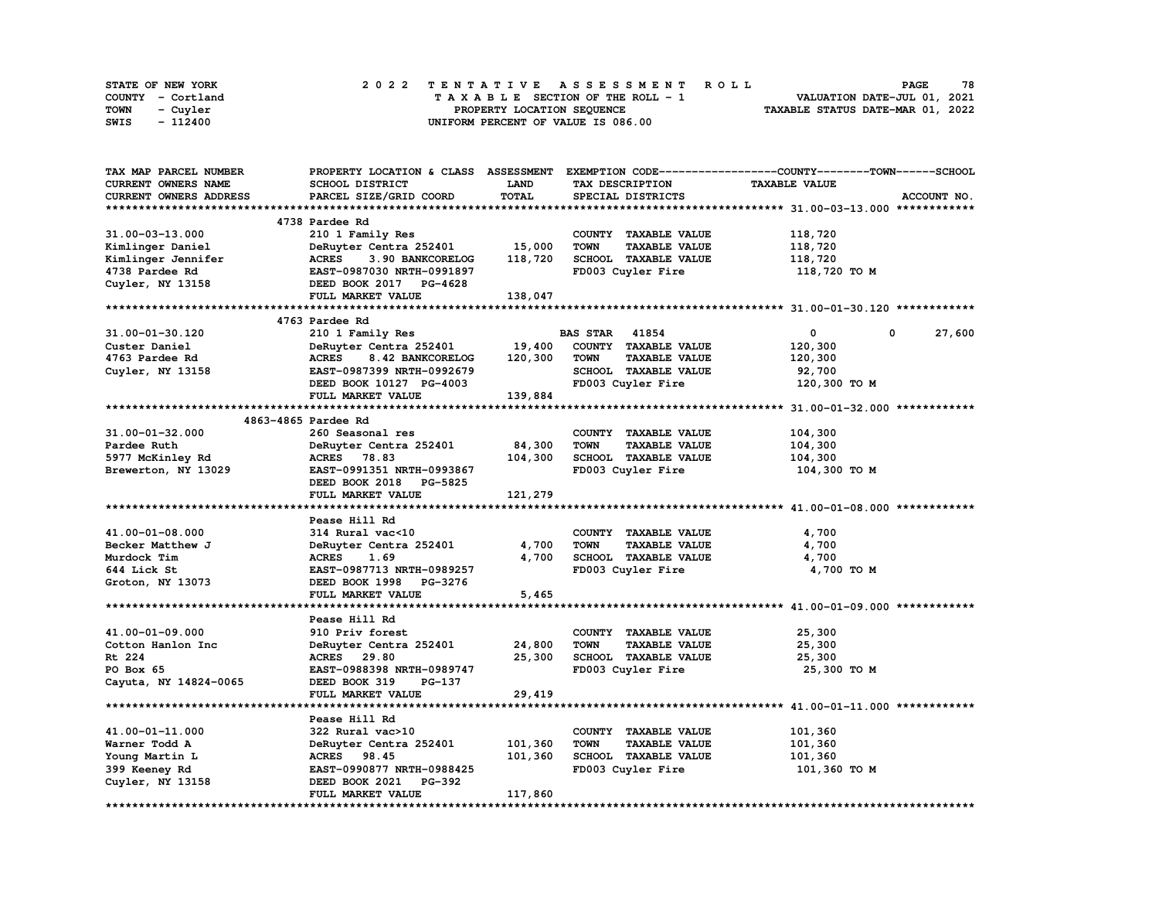| STATE OF NEW YORK | 2022 TENTATIVE ASSESSMENT ROLL     | 78<br><b>PAGE</b>                |
|-------------------|------------------------------------|----------------------------------|
| COUNTY - Cortland | TAXABLE SECTION OF THE ROLL - 1    | VALUATION DATE-JUL 01, 2021      |
| TOWN<br>- Cuyler  | PROPERTY LOCATION SEQUENCE         | TAXABLE STATUS DATE-MAR 01, 2022 |
| SWIS<br>- 112400  | UNIFORM PERCENT OF VALUE IS 086.00 |                                  |

| TAX MAP PARCEL NUMBER  |                                  |             | PROPERTY LOCATION & CLASS ASSESSMENT EXEMPTION CODE-----------------COUNTY-------TOWN------SCHOOL |                      |             |
|------------------------|----------------------------------|-------------|---------------------------------------------------------------------------------------------------|----------------------|-------------|
| CURRENT OWNERS NAME    | SCHOOL DISTRICT                  | <b>LAND</b> | TAX DESCRIPTION                                                                                   | <b>TAXABLE VALUE</b> |             |
| CURRENT OWNERS ADDRESS | PARCEL SIZE/GRID COORD           | TOTAL       | SPECIAL DISTRICTS                                                                                 |                      | ACCOUNT NO. |
|                        |                                  |             |                                                                                                   |                      |             |
|                        | 4738 Pardee Rd                   |             |                                                                                                   |                      |             |
| 31.00-03-13.000        | 210 1 Family Res                 |             | COUNTY TAXABLE VALUE                                                                              | 118,720              |             |
| Kimlinger Daniel       | DeRuyter Centra 252401           | 15,000      | <b>TAXABLE VALUE</b><br><b>TOWN</b>                                                               | 118,720              |             |
| Kimlinger Jennifer     | <b>ACRES</b><br>3.90 BANKCORELOG | 118,720     | SCHOOL TAXABLE VALUE                                                                              | 118,720              |             |
| 4738 Pardee Rd         | EAST-0987030 NRTH-0991897        |             | FD003 Cuyler Fire                                                                                 | 118,720 то м         |             |
|                        |                                  |             |                                                                                                   |                      |             |
| Cuyler, NY 13158       | DEED BOOK 2017 PG-4628           |             |                                                                                                   |                      |             |
|                        | FULL MARKET VALUE                | 138,047     |                                                                                                   |                      |             |
|                        |                                  |             |                                                                                                   |                      |             |
|                        | 4763 Pardee Rd                   |             |                                                                                                   |                      |             |
| 31.00-01-30.120        | 210 1 Family Res                 |             | <b>BAS STAR</b> 41854                                                                             | 0<br>0               | 27,600      |
| Custer Daniel          | DeRuyter Centra 252401           | 19,400      | COUNTY TAXABLE VALUE                                                                              | 120,300              |             |
| 4763 Pardee Rd         | 8.42 BANKCORELOG<br><b>ACRES</b> | 120,300     | <b>TOWN</b><br><b>TAXABLE VALUE</b>                                                               | 120,300              |             |
| Cuyler, NY 13158       | EAST-0987399 NRTH-0992679        |             | SCHOOL TAXABLE VALUE                                                                              | 92,700               |             |
|                        | DEED BOOK 10127 PG-4003          |             | FD003 Cuyler Fire                                                                                 | 120,300 TO M         |             |
|                        | FULL MARKET VALUE                | 139,884     |                                                                                                   |                      |             |
|                        |                                  |             |                                                                                                   |                      |             |
|                        | 4863-4865 Pardee Rd              |             |                                                                                                   |                      |             |
| 31.00-01-32.000        | 260 Seasonal res                 |             | COUNTY TAXABLE VALUE                                                                              | 104,300              |             |
| Pardee Ruth            | DeRuyter Centra 252401           | 84,300      | <b>TOWN</b><br><b>TAXABLE VALUE</b>                                                               | 104,300              |             |
| 5977 McKinley Rd       | ACRES 78.83                      | 104,300     | SCHOOL TAXABLE VALUE                                                                              | 104,300              |             |
| Brewerton, NY 13029    | EAST-0991351 NRTH-0993867        |             | FD003 Cuyler Fire                                                                                 | 104,300 то м         |             |
|                        | DEED BOOK 2018 PG-5825           |             |                                                                                                   |                      |             |
|                        | FULL MARKET VALUE                | 121,279     |                                                                                                   |                      |             |
|                        |                                  |             |                                                                                                   |                      |             |
|                        | Pease Hill Rd                    |             |                                                                                                   |                      |             |
| 41.00-01-08.000        | 314 Rural vac<10                 |             | COUNTY TAXABLE VALUE                                                                              | 4,700                |             |
|                        |                                  | 4,700       | <b>TOWN</b><br><b>TAXABLE VALUE</b>                                                               | 4,700                |             |
| Becker Matthew J       | DeRuyter Centra 252401           | 4,700       |                                                                                                   |                      |             |
| Murdock Tim            | <b>ACRES</b><br>1.69             |             | SCHOOL TAXABLE VALUE                                                                              | 4,700                |             |
| 644 Lick St            | EAST-0987713 NRTH-0989257        |             | FD003 Cuyler Fire                                                                                 | 4,700 TO M           |             |
| Groton, NY 13073       | DEED BOOK 1998 PG-3276           |             |                                                                                                   |                      |             |
|                        | FULL MARKET VALUE                | 5,465       |                                                                                                   |                      |             |
|                        |                                  |             |                                                                                                   |                      |             |
|                        | Pease Hill Rd                    |             |                                                                                                   |                      |             |
| 41.00-01-09.000        | 910 Priv forest                  |             | COUNTY TAXABLE VALUE                                                                              | 25,300               |             |
| Cotton Hanlon Inc      | DeRuyter Centra 252401           | 24,800      | <b>TOWN</b><br><b>TAXABLE VALUE</b>                                                               | 25,300               |             |
| Rt 224                 | ACRES 29.80                      | 25,300      | SCHOOL TAXABLE VALUE                                                                              | 25,300               |             |
| PO Box 65              | EAST-0988398 NRTH-0989747        |             | FD003 Cuyler Fire                                                                                 | 25,300 TO M          |             |
| Cayuta, NY 14824-0065  | DEED BOOK 319<br>PG-137          |             |                                                                                                   |                      |             |
|                        | FULL MARKET VALUE                | 29,419      |                                                                                                   |                      |             |
|                        |                                  |             |                                                                                                   |                      |             |
|                        | Pease Hill Rd                    |             |                                                                                                   |                      |             |
| 41.00-01-11.000        | 322 Rural vac>10                 |             | COUNTY TAXABLE VALUE                                                                              | 101,360              |             |
| Warner Todd A          | DeRuyter Centra 252401           | 101,360     | <b>TOWN</b><br><b>TAXABLE VALUE</b>                                                               | 101,360              |             |
| Young Martin L         | ACRES 98.45                      | 101,360     | SCHOOL TAXABLE VALUE                                                                              | 101,360              |             |
| 399 Keeney Rd          | EAST-0990877 NRTH-0988425        |             | FD003 Cuyler Fire                                                                                 | 101,360 TO M         |             |
| Cuyler, NY 13158       | DEED BOOK 2021 PG-392            |             |                                                                                                   |                      |             |
|                        | FULL MARKET VALUE                | 117,860     |                                                                                                   |                      |             |
|                        |                                  |             |                                                                                                   |                      |             |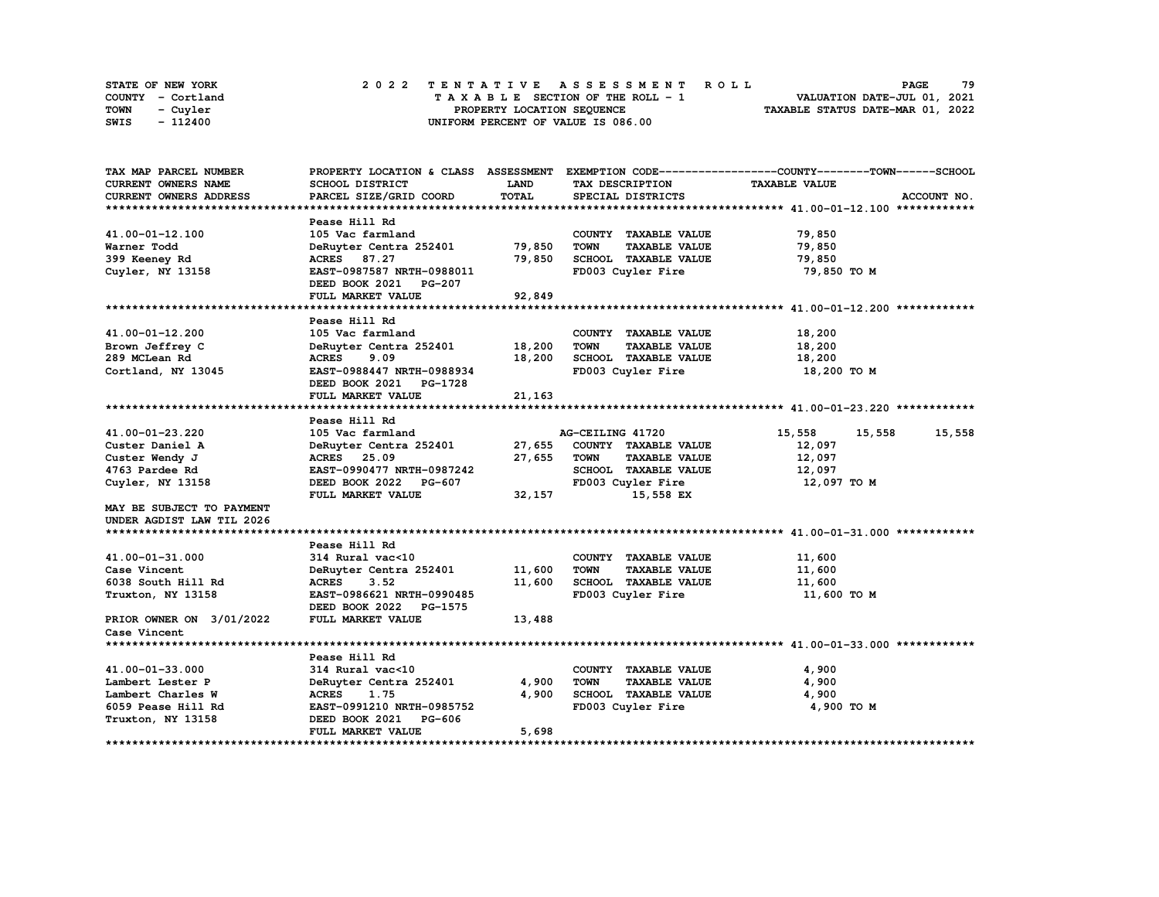| STATE OF NEW YORK | 2022 TENTATIVE ASSESSMENT ROLL     | 79<br><b>PAGE</b>                |
|-------------------|------------------------------------|----------------------------------|
| COUNTY - Cortland | TAXABLE SECTION OF THE ROLL - 1    | VALUATION DATE-JUL 01, 2021      |
| TOWN<br>- Cuvler  | PROPERTY LOCATION SEQUENCE         | TAXABLE STATUS DATE-MAR 01, 2022 |
| - 112400<br>SWIS  | UNIFORM PERCENT OF VALUE IS 086.00 |                                  |

| TAX MAP PARCEL NUMBER      |                           |             |                                     | PROPERTY LOCATION & CLASS ASSESSMENT EXEMPTION CODE-----------------COUNTY-------TOWN------SCHOOL |
|----------------------------|---------------------------|-------------|-------------------------------------|---------------------------------------------------------------------------------------------------|
| <b>CURRENT OWNERS NAME</b> | <b>SCHOOL DISTRICT</b>    | <b>LAND</b> | <b>TAX DESCRIPTION</b>              | <b>TAXABLE VALUE</b>                                                                              |
| CURRENT OWNERS ADDRESS     | PARCEL SIZE/GRID COORD    | TOTAL       | SPECIAL DISTRICTS                   | ACCOUNT NO.                                                                                       |
|                            |                           |             |                                     |                                                                                                   |
|                            | Pease Hill Rd             |             |                                     |                                                                                                   |
| 41.00-01-12.100            | 105 Vac farmland          |             | COUNTY TAXABLE VALUE                | 79,850                                                                                            |
| Warner Todd                | DeRuyter Centra 252401    | 79,850      | <b>TOWN</b><br><b>TAXABLE VALUE</b> | 79,850                                                                                            |
| 399 Keeney Rd              | ACRES 87.27               | 79,850      | SCHOOL TAXABLE VALUE                | 79,850                                                                                            |
| Cuyler, NY 13158           | EAST-0987587 NRTH-0988011 |             | FD003 Cuyler Fire                   | 79,850 TO M                                                                                       |
|                            | DEED BOOK 2021 PG-207     |             |                                     |                                                                                                   |
|                            | FULL MARKET VALUE         | 92,849      |                                     |                                                                                                   |
|                            |                           |             |                                     |                                                                                                   |
|                            | Pease Hill Rd             |             |                                     |                                                                                                   |
| 41.00-01-12.200            | 105 Vac farmland          |             | COUNTY TAXABLE VALUE                | 18,200                                                                                            |
| Brown Jeffrey C            | DeRuyter Centra 252401    | 18,200      | <b>TOWN</b><br><b>TAXABLE VALUE</b> | 18,200                                                                                            |
| 289 MCLean Rd              | ACRES 9.09                | 18,200      | SCHOOL TAXABLE VALUE                | 18,200                                                                                            |
| Cortland, NY 13045         | EAST-0988447 NRTH-0988934 |             | FD003 Cuyler Fire                   | 18,200 TO M                                                                                       |
|                            | DEED BOOK 2021 PG-1728    |             |                                     |                                                                                                   |
|                            | <b>FULL MARKET VALUE</b>  | 21,163      |                                     |                                                                                                   |
|                            |                           |             |                                     |                                                                                                   |
|                            | Pease Hill Rd             |             |                                     |                                                                                                   |
| 41.00-01-23.220            | 105 Vac farmland          |             | AG-CEILING 41720                    | 15,558<br>15,558<br>15,558                                                                        |
| Custer Daniel A            | DeRuyter Centra 252401    | 27,655      | COUNTY TAXABLE VALUE                | 12,097                                                                                            |
| Custer Wendy J             | ACRES 25.09               | 27,655      | <b>TOWN</b><br><b>TAXABLE VALUE</b> | 12,097                                                                                            |
| 4763 Pardee Rd             | EAST-0990477 NRTH-0987242 |             | SCHOOL TAXABLE VALUE                | 12,097                                                                                            |
| Cuyler, NY 13158           | DEED BOOK 2022 PG-607     |             | FD003 Cuyler Fire                   | 12,097 TO M                                                                                       |
|                            | FULL MARKET VALUE         | 32,157      | 15,558 EX                           |                                                                                                   |
| MAY BE SUBJECT TO PAYMENT  |                           |             |                                     |                                                                                                   |
| UNDER AGDIST LAW TIL 2026  |                           |             |                                     |                                                                                                   |
|                            |                           |             |                                     |                                                                                                   |
|                            | Pease Hill Rd             |             |                                     |                                                                                                   |
| 41.00-01-31.000            | 314 Rural vac<10          |             | COUNTY TAXABLE VALUE                | 11,600                                                                                            |
| Case Vincent               | DeRuyter Centra 252401    | 11,600      | <b>TOWN</b><br><b>TAXABLE VALUE</b> | 11,600                                                                                            |
| 6038 South Hill Rd         | <b>ACRES</b><br>3.52      | 11,600      | SCHOOL TAXABLE VALUE                | 11,600                                                                                            |
| Truxton, NY 13158          | EAST-0986621 NRTH-0990485 |             | FD003 Cuyler Fire                   | 11,600 TO M                                                                                       |
|                            | DEED BOOK 2022 PG-1575    |             |                                     |                                                                                                   |
| PRIOR OWNER ON 3/01/2022   | FULL MARKET VALUE         | 13,488      |                                     |                                                                                                   |
| Case Vincent               |                           |             |                                     |                                                                                                   |
|                            |                           |             |                                     |                                                                                                   |
|                            | Pease Hill Rd             |             |                                     |                                                                                                   |
| 41.00-01-33.000            | 314 Rural vac<10          |             | COUNTY TAXABLE VALUE                | 4,900                                                                                             |
| Lambert Lester P           | DeRuyter Centra 252401    | 4,900       | <b>TOWN</b><br><b>TAXABLE VALUE</b> | 4,900                                                                                             |
| Lambert Charles W          | <b>ACRES</b><br>1.75      | 4,900       | SCHOOL TAXABLE VALUE                | 4,900                                                                                             |
| 6059 Pease Hill Rd         | EAST-0991210 NRTH-0985752 |             | FD003 Cuyler Fire                   | 4,900 TO M                                                                                        |
| Truxton, NY 13158          | DEED BOOK 2021 PG-606     |             |                                     |                                                                                                   |
|                            | FULL MARKET VALUE         | 5,698       |                                     |                                                                                                   |
|                            |                           |             |                                     |                                                                                                   |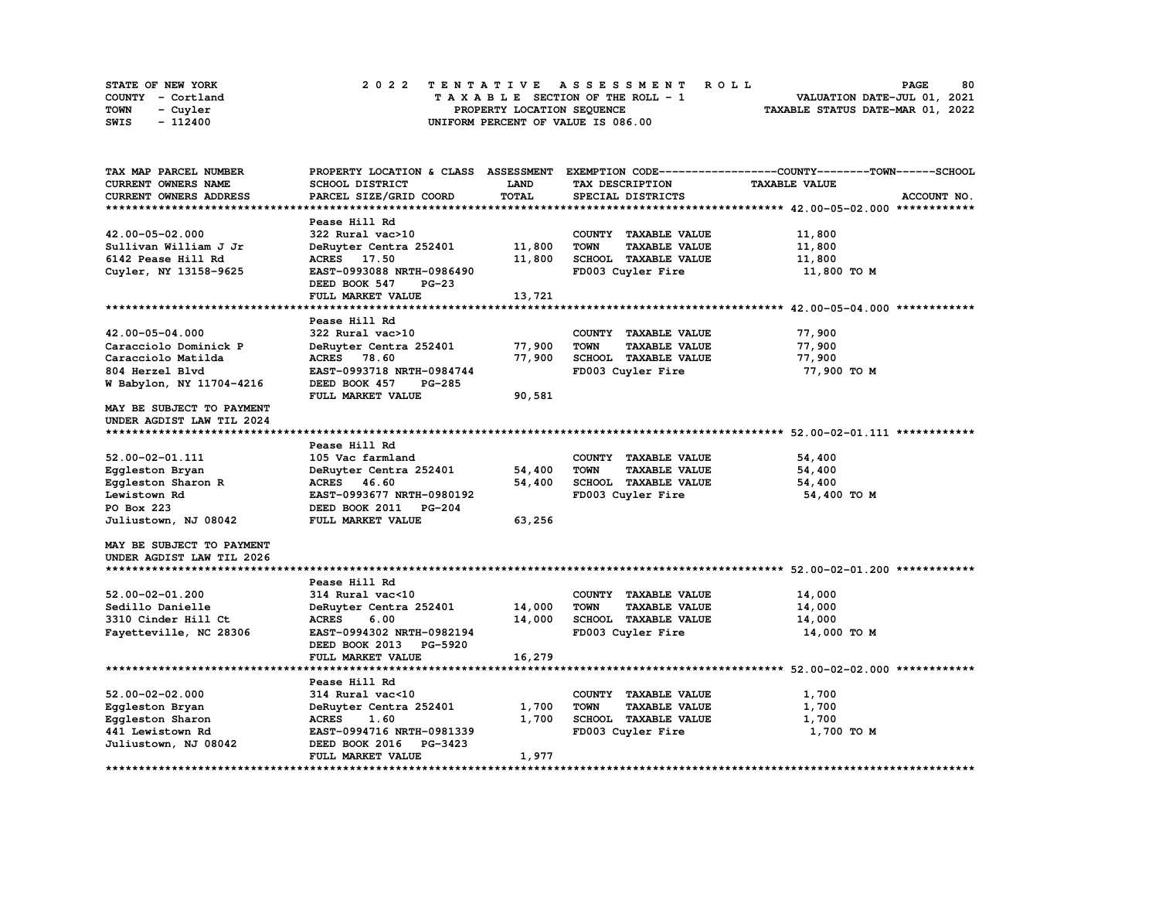| STATE OF NEW YORK | 2022 TENTATIVE ASSESSMENT ROLL     | 80<br><b>PAGE</b>                |
|-------------------|------------------------------------|----------------------------------|
| COUNTY - Cortland | TAXABLE SECTION OF THE ROLL - 1    | VALUATION DATE-JUL 01, 2021      |
| TOWN<br>- Cuvler  | PROPERTY LOCATION SEQUENCE         | TAXABLE STATUS DATE-MAR 01, 2022 |
| - 112400<br>SWIS  | UNIFORM PERCENT OF VALUE IS 086.00 |                                  |

| TAX MAP PARCEL NUMBER      | PROPERTY LOCATION & CLASS ASSESSMENT |             |                                     | EXEMPTION CODE-----------------COUNTY-------TOWN------SCHOOL |
|----------------------------|--------------------------------------|-------------|-------------------------------------|--------------------------------------------------------------|
| <b>CURRENT OWNERS NAME</b> | SCHOOL DISTRICT                      | <b>LAND</b> | TAX DESCRIPTION                     | <b>TAXABLE VALUE</b>                                         |
| CURRENT OWNERS ADDRESS     | PARCEL SIZE/GRID COORD               | TOTAL       | SPECIAL DISTRICTS                   | ACCOUNT NO.                                                  |
| *************************  |                                      |             |                                     |                                                              |
|                            | Pease Hill Rd                        |             |                                     |                                                              |
| 42.00-05-02.000            | 322 Rural vac>10                     |             | COUNTY TAXABLE VALUE                | 11,800                                                       |
| Sullivan William J Jr      | DeRuyter Centra 252401               | 11,800      | TOWN<br><b>TAXABLE VALUE</b>        | 11,800                                                       |
| 6142 Pease Hill Rd         | ACRES 17.50                          | 11,800      | SCHOOL TAXABLE VALUE                | 11,800                                                       |
| Cuyler, NY 13158-9625      | EAST-0993088 NRTH-0986490            |             | FD003 Cuyler Fire                   | 11,800 TO M                                                  |
|                            | DEED BOOK 547<br><b>PG-23</b>        |             |                                     |                                                              |
|                            | FULL MARKET VALUE                    | 13,721      |                                     |                                                              |
|                            |                                      |             |                                     |                                                              |
|                            | Pease Hill Rd                        |             |                                     |                                                              |
| 42.00-05-04.000            | 322 Rural vac>10                     |             | COUNTY TAXABLE VALUE                | 77,900                                                       |
| Caracciolo Dominick P      | DeRuyter Centra 252401               | 77,900      | <b>TOWN</b><br><b>TAXABLE VALUE</b> | 77,900                                                       |
| Caracciolo Matilda         | ACRES 78.60                          | 77,900      | SCHOOL TAXABLE VALUE                | 77,900                                                       |
| 804 Herzel Blvd            | EAST-0993718 NRTH-0984744            |             | FD003 Cuyler Fire                   | 77,900 TO M                                                  |
| W Babylon, NY 11704-4216   | DEED BOOK 457<br><b>PG-285</b>       |             |                                     |                                                              |
|                            | FULL MARKET VALUE                    | 90,581      |                                     |                                                              |
| MAY BE SUBJECT TO PAYMENT  |                                      |             |                                     |                                                              |
| UNDER AGDIST LAW TIL 2024  |                                      |             |                                     |                                                              |
|                            |                                      |             |                                     |                                                              |
|                            | Pease Hill Rd                        |             |                                     |                                                              |
|                            |                                      |             |                                     |                                                              |
| 52.00-02-01.111            | 105 Vac farmland                     |             | COUNTY TAXABLE VALUE                | 54,400                                                       |
| Eqqleston Bryan            | DeRuyter Centra 252401               | 54,400      | <b>TOWN</b><br><b>TAXABLE VALUE</b> | 54,400                                                       |
| Eqqleston Sharon R         | ACRES 46.60                          | 54,400      | SCHOOL TAXABLE VALUE                | 54,400                                                       |
| Lewistown Rd               | EAST-0993677 NRTH-0980192            |             | FD003 Cuyler Fire                   | 54,400 TO M                                                  |
| PO Box 223                 | DEED BOOK 2011<br><b>PG-204</b>      |             |                                     |                                                              |
| Juliustown, NJ 08042       | FULL MARKET VALUE                    | 63,256      |                                     |                                                              |
|                            |                                      |             |                                     |                                                              |
| MAY BE SUBJECT TO PAYMENT  |                                      |             |                                     |                                                              |
| UNDER AGDIST LAW TIL 2026  |                                      |             |                                     |                                                              |
|                            |                                      |             |                                     |                                                              |
|                            | Pease Hill Rd                        |             |                                     |                                                              |
| $52.00 - 02 - 01.200$      | 314 Rural vac<10                     |             | COUNTY TAXABLE VALUE                | 14,000                                                       |
| Sedillo Danielle           | DeRuyter Centra 252401               | 14,000      | <b>TAXABLE VALUE</b><br>TOWN        | 14,000                                                       |
| 3310 Cinder Hill Ct        | <b>ACRES</b><br>6.00                 | 14,000      | SCHOOL TAXABLE VALUE                | 14,000                                                       |
| Fayetteville, NC 28306     | EAST-0994302 NRTH-0982194            |             | FD003 Cuyler Fire                   | 14,000 TO M                                                  |
|                            | DEED BOOK 2013<br><b>PG-5920</b>     |             |                                     |                                                              |
|                            | FULL MARKET VALUE                    | 16,279      |                                     |                                                              |
|                            |                                      |             |                                     |                                                              |
|                            | Pease Hill Rd                        |             |                                     |                                                              |
| $52.00 - 02 - 02.000$      | 314 Rural vac<10                     |             | COUNTY TAXABLE VALUE                | 1,700                                                        |
| Eggleston Bryan            | DeRuyter Centra 252401               | 1,700       | <b>TOWN</b><br><b>TAXABLE VALUE</b> | 1,700                                                        |
| Eqqleston Sharon           | 1.60<br><b>ACRES</b>                 | 1,700       | SCHOOL TAXABLE VALUE                | 1,700                                                        |
| 441 Lewistown Rd           | EAST-0994716 NRTH-0981339            |             | FD003 Cuyler Fire                   | 1,700 TO M                                                   |
| Juliustown, NJ 08042       | DEED BOOK 2016<br>PG-3423            |             |                                     |                                                              |
|                            | FULL MARKET VALUE                    | 1,977       |                                     |                                                              |
|                            |                                      |             |                                     |                                                              |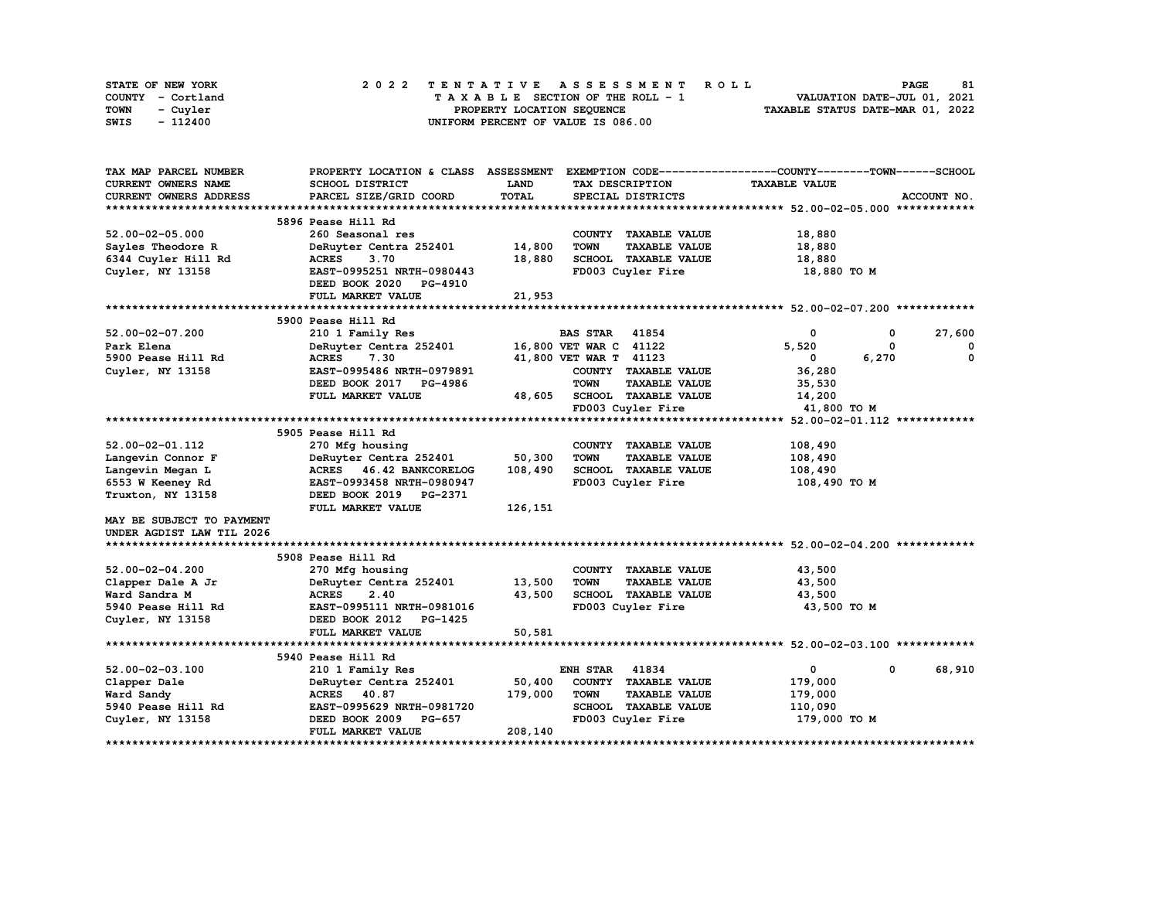|      | STATE OF NEW YORK |  |  |  |  |  | 2022 TENTATIVE ASSESSMENT ROLL     |  |  |  |  |  |  |                                  |  | <b>PAGE</b>                 | 81 |
|------|-------------------|--|--|--|--|--|------------------------------------|--|--|--|--|--|--|----------------------------------|--|-----------------------------|----|
|      | COUNTY - Cortland |  |  |  |  |  | TAXABLE SECTION OF THE ROLL - 1    |  |  |  |  |  |  |                                  |  | VALUATION DATE-JUL 01, 2021 |    |
| TOWN | - Cuvler          |  |  |  |  |  | PROPERTY LOCATION SEQUENCE         |  |  |  |  |  |  | TAXABLE STATUS DATE-MAR 01, 2022 |  |                             |    |
| SWIS | - 112400          |  |  |  |  |  | UNIFORM PERCENT OF VALUE IS 086.00 |  |  |  |  |  |  |                                  |  |                             |    |

| <b>CURRENT OWNERS NAME</b><br>LAND<br><b>TAXABLE VALUE</b><br>SCHOOL DISTRICT<br>TAX DESCRIPTION<br><b>TOTAL</b><br><b>CURRENT OWNERS ADDRESS</b><br>PARCEL SIZE/GRID COORD<br>SPECIAL DISTRICTS<br>ACCOUNT NO.<br>5896 Pease Hill Rd<br>$52.00 - 02 - 05.000$<br>260 Seasonal res<br>COUNTY TAXABLE VALUE<br>18,880<br><b>TOWN</b><br><b>TAXABLE VALUE</b><br>Sayles Theodore R<br>DeRuyter Centra 252401<br>14,800<br>18,880<br>6344 Cuyler Hill Rd<br><b>ACRES</b><br>3.70<br>18,880<br><b>SCHOOL TAXABLE VALUE</b><br>18,880<br>EAST-0995251 NRTH-0980443<br>FD003 Cuyler Fire<br>18,880 TO M<br>Cuyler, NY 13158<br>DEED BOOK 2020<br><b>PG-4910</b><br>21,953<br>FULL MARKET VALUE<br>5900 Pease Hill Rd<br>$52.00 - 02 - 07.200$<br>210 1 Family Res<br><b>BAS STAR</b><br>41854<br>0<br>27,600<br>0<br>16,800 VET WAR C 41122<br>5.520<br>Park Elena<br>DeRuyter Centra 252401<br>$\mathbf{o}$<br><b>ACRES</b><br>7.30<br>0<br>5900 Pease Hill Rd<br>41,800 VET WAR T 41123<br>0<br>6,270<br>EAST-0995486 NRTH-0979891<br>COUNTY TAXABLE VALUE<br>36,280<br>Cuyler, NY 13158<br>DEED BOOK 2017 PG-4986<br><b>TOWN</b><br><b>TAXABLE VALUE</b><br>35,530<br>FULL MARKET VALUE<br><b>SCHOOL TAXABLE VALUE</b><br>48,605<br>14,200<br>FD003 Cuyler Fire<br>41,800 TO M<br>5905 Pease Hill Rd<br>52.00-02-01.112<br>270 Mfg housing<br>COUNTY TAXABLE VALUE<br>108,490<br>50,300<br>Langevin Connor F<br>DeRuyter Centra 252401<br><b>TOWN</b><br><b>TAXABLE VALUE</b><br>108,490<br>SCHOOL TAXABLE VALUE<br>Langevin Megan L<br><b>ACRES</b><br>46.42 BANKCORELOG<br>108,490<br>108,490<br>EAST-0993458 NRTH-0980947<br>FD003 Cuyler Fire<br>6553 W Keeney Rd<br>108,490 TO M<br>DEED BOOK 2019 PG-2371<br>Truxton, NY 13158<br>FULL MARKET VALUE<br>126,151<br><b>MAY BE SUBJECT TO PAYMENT</b><br>UNDER AGDIST LAW TIL 2026 |
|------------------------------------------------------------------------------------------------------------------------------------------------------------------------------------------------------------------------------------------------------------------------------------------------------------------------------------------------------------------------------------------------------------------------------------------------------------------------------------------------------------------------------------------------------------------------------------------------------------------------------------------------------------------------------------------------------------------------------------------------------------------------------------------------------------------------------------------------------------------------------------------------------------------------------------------------------------------------------------------------------------------------------------------------------------------------------------------------------------------------------------------------------------------------------------------------------------------------------------------------------------------------------------------------------------------------------------------------------------------------------------------------------------------------------------------------------------------------------------------------------------------------------------------------------------------------------------------------------------------------------------------------------------------------------------------------------------------------------------------------------------------------------------------------------------------------------------|
|                                                                                                                                                                                                                                                                                                                                                                                                                                                                                                                                                                                                                                                                                                                                                                                                                                                                                                                                                                                                                                                                                                                                                                                                                                                                                                                                                                                                                                                                                                                                                                                                                                                                                                                                                                                                                                    |
|                                                                                                                                                                                                                                                                                                                                                                                                                                                                                                                                                                                                                                                                                                                                                                                                                                                                                                                                                                                                                                                                                                                                                                                                                                                                                                                                                                                                                                                                                                                                                                                                                                                                                                                                                                                                                                    |
|                                                                                                                                                                                                                                                                                                                                                                                                                                                                                                                                                                                                                                                                                                                                                                                                                                                                                                                                                                                                                                                                                                                                                                                                                                                                                                                                                                                                                                                                                                                                                                                                                                                                                                                                                                                                                                    |
|                                                                                                                                                                                                                                                                                                                                                                                                                                                                                                                                                                                                                                                                                                                                                                                                                                                                                                                                                                                                                                                                                                                                                                                                                                                                                                                                                                                                                                                                                                                                                                                                                                                                                                                                                                                                                                    |
|                                                                                                                                                                                                                                                                                                                                                                                                                                                                                                                                                                                                                                                                                                                                                                                                                                                                                                                                                                                                                                                                                                                                                                                                                                                                                                                                                                                                                                                                                                                                                                                                                                                                                                                                                                                                                                    |
|                                                                                                                                                                                                                                                                                                                                                                                                                                                                                                                                                                                                                                                                                                                                                                                                                                                                                                                                                                                                                                                                                                                                                                                                                                                                                                                                                                                                                                                                                                                                                                                                                                                                                                                                                                                                                                    |
|                                                                                                                                                                                                                                                                                                                                                                                                                                                                                                                                                                                                                                                                                                                                                                                                                                                                                                                                                                                                                                                                                                                                                                                                                                                                                                                                                                                                                                                                                                                                                                                                                                                                                                                                                                                                                                    |
|                                                                                                                                                                                                                                                                                                                                                                                                                                                                                                                                                                                                                                                                                                                                                                                                                                                                                                                                                                                                                                                                                                                                                                                                                                                                                                                                                                                                                                                                                                                                                                                                                                                                                                                                                                                                                                    |
|                                                                                                                                                                                                                                                                                                                                                                                                                                                                                                                                                                                                                                                                                                                                                                                                                                                                                                                                                                                                                                                                                                                                                                                                                                                                                                                                                                                                                                                                                                                                                                                                                                                                                                                                                                                                                                    |
|                                                                                                                                                                                                                                                                                                                                                                                                                                                                                                                                                                                                                                                                                                                                                                                                                                                                                                                                                                                                                                                                                                                                                                                                                                                                                                                                                                                                                                                                                                                                                                                                                                                                                                                                                                                                                                    |
|                                                                                                                                                                                                                                                                                                                                                                                                                                                                                                                                                                                                                                                                                                                                                                                                                                                                                                                                                                                                                                                                                                                                                                                                                                                                                                                                                                                                                                                                                                                                                                                                                                                                                                                                                                                                                                    |
|                                                                                                                                                                                                                                                                                                                                                                                                                                                                                                                                                                                                                                                                                                                                                                                                                                                                                                                                                                                                                                                                                                                                                                                                                                                                                                                                                                                                                                                                                                                                                                                                                                                                                                                                                                                                                                    |
|                                                                                                                                                                                                                                                                                                                                                                                                                                                                                                                                                                                                                                                                                                                                                                                                                                                                                                                                                                                                                                                                                                                                                                                                                                                                                                                                                                                                                                                                                                                                                                                                                                                                                                                                                                                                                                    |
|                                                                                                                                                                                                                                                                                                                                                                                                                                                                                                                                                                                                                                                                                                                                                                                                                                                                                                                                                                                                                                                                                                                                                                                                                                                                                                                                                                                                                                                                                                                                                                                                                                                                                                                                                                                                                                    |
|                                                                                                                                                                                                                                                                                                                                                                                                                                                                                                                                                                                                                                                                                                                                                                                                                                                                                                                                                                                                                                                                                                                                                                                                                                                                                                                                                                                                                                                                                                                                                                                                                                                                                                                                                                                                                                    |
|                                                                                                                                                                                                                                                                                                                                                                                                                                                                                                                                                                                                                                                                                                                                                                                                                                                                                                                                                                                                                                                                                                                                                                                                                                                                                                                                                                                                                                                                                                                                                                                                                                                                                                                                                                                                                                    |
|                                                                                                                                                                                                                                                                                                                                                                                                                                                                                                                                                                                                                                                                                                                                                                                                                                                                                                                                                                                                                                                                                                                                                                                                                                                                                                                                                                                                                                                                                                                                                                                                                                                                                                                                                                                                                                    |
|                                                                                                                                                                                                                                                                                                                                                                                                                                                                                                                                                                                                                                                                                                                                                                                                                                                                                                                                                                                                                                                                                                                                                                                                                                                                                                                                                                                                                                                                                                                                                                                                                                                                                                                                                                                                                                    |
|                                                                                                                                                                                                                                                                                                                                                                                                                                                                                                                                                                                                                                                                                                                                                                                                                                                                                                                                                                                                                                                                                                                                                                                                                                                                                                                                                                                                                                                                                                                                                                                                                                                                                                                                                                                                                                    |
|                                                                                                                                                                                                                                                                                                                                                                                                                                                                                                                                                                                                                                                                                                                                                                                                                                                                                                                                                                                                                                                                                                                                                                                                                                                                                                                                                                                                                                                                                                                                                                                                                                                                                                                                                                                                                                    |
|                                                                                                                                                                                                                                                                                                                                                                                                                                                                                                                                                                                                                                                                                                                                                                                                                                                                                                                                                                                                                                                                                                                                                                                                                                                                                                                                                                                                                                                                                                                                                                                                                                                                                                                                                                                                                                    |
|                                                                                                                                                                                                                                                                                                                                                                                                                                                                                                                                                                                                                                                                                                                                                                                                                                                                                                                                                                                                                                                                                                                                                                                                                                                                                                                                                                                                                                                                                                                                                                                                                                                                                                                                                                                                                                    |
|                                                                                                                                                                                                                                                                                                                                                                                                                                                                                                                                                                                                                                                                                                                                                                                                                                                                                                                                                                                                                                                                                                                                                                                                                                                                                                                                                                                                                                                                                                                                                                                                                                                                                                                                                                                                                                    |
|                                                                                                                                                                                                                                                                                                                                                                                                                                                                                                                                                                                                                                                                                                                                                                                                                                                                                                                                                                                                                                                                                                                                                                                                                                                                                                                                                                                                                                                                                                                                                                                                                                                                                                                                                                                                                                    |
|                                                                                                                                                                                                                                                                                                                                                                                                                                                                                                                                                                                                                                                                                                                                                                                                                                                                                                                                                                                                                                                                                                                                                                                                                                                                                                                                                                                                                                                                                                                                                                                                                                                                                                                                                                                                                                    |
|                                                                                                                                                                                                                                                                                                                                                                                                                                                                                                                                                                                                                                                                                                                                                                                                                                                                                                                                                                                                                                                                                                                                                                                                                                                                                                                                                                                                                                                                                                                                                                                                                                                                                                                                                                                                                                    |
|                                                                                                                                                                                                                                                                                                                                                                                                                                                                                                                                                                                                                                                                                                                                                                                                                                                                                                                                                                                                                                                                                                                                                                                                                                                                                                                                                                                                                                                                                                                                                                                                                                                                                                                                                                                                                                    |
|                                                                                                                                                                                                                                                                                                                                                                                                                                                                                                                                                                                                                                                                                                                                                                                                                                                                                                                                                                                                                                                                                                                                                                                                                                                                                                                                                                                                                                                                                                                                                                                                                                                                                                                                                                                                                                    |
|                                                                                                                                                                                                                                                                                                                                                                                                                                                                                                                                                                                                                                                                                                                                                                                                                                                                                                                                                                                                                                                                                                                                                                                                                                                                                                                                                                                                                                                                                                                                                                                                                                                                                                                                                                                                                                    |
|                                                                                                                                                                                                                                                                                                                                                                                                                                                                                                                                                                                                                                                                                                                                                                                                                                                                                                                                                                                                                                                                                                                                                                                                                                                                                                                                                                                                                                                                                                                                                                                                                                                                                                                                                                                                                                    |
| 5908 Pease Hill Rd                                                                                                                                                                                                                                                                                                                                                                                                                                                                                                                                                                                                                                                                                                                                                                                                                                                                                                                                                                                                                                                                                                                                                                                                                                                                                                                                                                                                                                                                                                                                                                                                                                                                                                                                                                                                                 |
| $52.00 - 02 - 04.200$<br>COUNTY TAXABLE VALUE<br>43,500<br>270 Mfg housing                                                                                                                                                                                                                                                                                                                                                                                                                                                                                                                                                                                                                                                                                                                                                                                                                                                                                                                                                                                                                                                                                                                                                                                                                                                                                                                                                                                                                                                                                                                                                                                                                                                                                                                                                         |
| Clapper Dale A Jr<br>DeRuyter Centra 252401<br>13,500<br><b>TOWN</b><br><b>TAXABLE VALUE</b><br>43,500                                                                                                                                                                                                                                                                                                                                                                                                                                                                                                                                                                                                                                                                                                                                                                                                                                                                                                                                                                                                                                                                                                                                                                                                                                                                                                                                                                                                                                                                                                                                                                                                                                                                                                                             |
| Ward Sandra M<br><b>ACRES</b><br>2.40<br>43,500<br><b>SCHOOL TAXABLE VALUE</b><br>43,500                                                                                                                                                                                                                                                                                                                                                                                                                                                                                                                                                                                                                                                                                                                                                                                                                                                                                                                                                                                                                                                                                                                                                                                                                                                                                                                                                                                                                                                                                                                                                                                                                                                                                                                                           |
| EAST-0995111 NRTH-0981016<br>FD003 Cuyler Fire<br>5940 Pease Hill Rd<br>43,500 TO M                                                                                                                                                                                                                                                                                                                                                                                                                                                                                                                                                                                                                                                                                                                                                                                                                                                                                                                                                                                                                                                                                                                                                                                                                                                                                                                                                                                                                                                                                                                                                                                                                                                                                                                                                |
| Cuyler, NY 13158<br>DEED BOOK 2012 PG-1425                                                                                                                                                                                                                                                                                                                                                                                                                                                                                                                                                                                                                                                                                                                                                                                                                                                                                                                                                                                                                                                                                                                                                                                                                                                                                                                                                                                                                                                                                                                                                                                                                                                                                                                                                                                         |
| FULL MARKET VALUE<br>50,581                                                                                                                                                                                                                                                                                                                                                                                                                                                                                                                                                                                                                                                                                                                                                                                                                                                                                                                                                                                                                                                                                                                                                                                                                                                                                                                                                                                                                                                                                                                                                                                                                                                                                                                                                                                                        |
|                                                                                                                                                                                                                                                                                                                                                                                                                                                                                                                                                                                                                                                                                                                                                                                                                                                                                                                                                                                                                                                                                                                                                                                                                                                                                                                                                                                                                                                                                                                                                                                                                                                                                                                                                                                                                                    |
| 5940 Pease Hill Rd                                                                                                                                                                                                                                                                                                                                                                                                                                                                                                                                                                                                                                                                                                                                                                                                                                                                                                                                                                                                                                                                                                                                                                                                                                                                                                                                                                                                                                                                                                                                                                                                                                                                                                                                                                                                                 |
| <b>ENH STAR</b><br>41834<br>$\mathbf 0$<br>68,910<br>52.00-02-03.100<br>0<br>210 1 Family Res                                                                                                                                                                                                                                                                                                                                                                                                                                                                                                                                                                                                                                                                                                                                                                                                                                                                                                                                                                                                                                                                                                                                                                                                                                                                                                                                                                                                                                                                                                                                                                                                                                                                                                                                      |
| Clapper Dale<br>DeRuyter Centra 252401<br>50,400<br>COUNTY TAXABLE VALUE<br>179,000                                                                                                                                                                                                                                                                                                                                                                                                                                                                                                                                                                                                                                                                                                                                                                                                                                                                                                                                                                                                                                                                                                                                                                                                                                                                                                                                                                                                                                                                                                                                                                                                                                                                                                                                                |
| <b>ACRES</b><br>40.87<br>179,000<br><b>TOWN</b><br><b>TAXABLE VALUE</b><br>179,000<br>Ward Sandy                                                                                                                                                                                                                                                                                                                                                                                                                                                                                                                                                                                                                                                                                                                                                                                                                                                                                                                                                                                                                                                                                                                                                                                                                                                                                                                                                                                                                                                                                                                                                                                                                                                                                                                                   |
| 5940 Pease Hill Rd<br>EAST-0995629 NRTH-0981720<br><b>SCHOOL TAXABLE VALUE</b><br>110,090                                                                                                                                                                                                                                                                                                                                                                                                                                                                                                                                                                                                                                                                                                                                                                                                                                                                                                                                                                                                                                                                                                                                                                                                                                                                                                                                                                                                                                                                                                                                                                                                                                                                                                                                          |
| PG-657<br>FD003 Cuyler Fire<br>179,000 TO M<br>Cuyler, NY 13158<br>DEED BOOK 2009                                                                                                                                                                                                                                                                                                                                                                                                                                                                                                                                                                                                                                                                                                                                                                                                                                                                                                                                                                                                                                                                                                                                                                                                                                                                                                                                                                                                                                                                                                                                                                                                                                                                                                                                                  |
| 208,140<br>FULL MARKET VALUE                                                                                                                                                                                                                                                                                                                                                                                                                                                                                                                                                                                                                                                                                                                                                                                                                                                                                                                                                                                                                                                                                                                                                                                                                                                                                                                                                                                                                                                                                                                                                                                                                                                                                                                                                                                                       |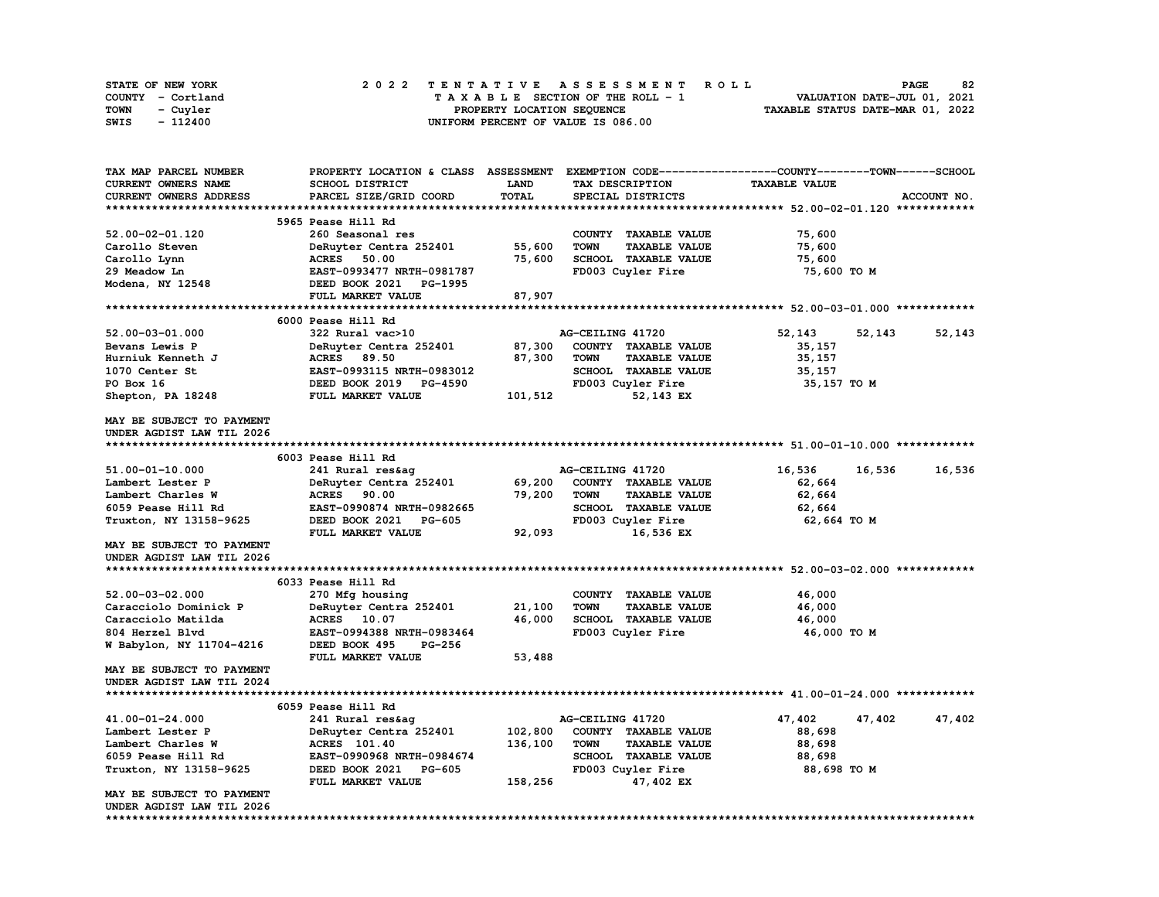| STATE OF NEW YORK | 2022 TENTATIVE ASSESSMENT ROLL     | 82<br><b>PAGE</b>                |
|-------------------|------------------------------------|----------------------------------|
| COUNTY - Cortland | TAXABLE SECTION OF THE ROLL - 1    | VALUATION DATE-JUL 01, 2021      |
| TOWN<br>- Cuvler  | PROPERTY LOCATION SEQUENCE         | TAXABLE STATUS DATE-MAR 01, 2022 |
| - 112400<br>SWIS  | UNIFORM PERCENT OF VALUE IS 086.00 |                                  |

| TAX MAP PARCEL NUMBER            | PROPERTY LOCATION & CLASS ASSESSMENT |              |                                     | EXEMPTION CODE-----------------COUNTY-------TOWN------SCHOOL |             |
|----------------------------------|--------------------------------------|--------------|-------------------------------------|--------------------------------------------------------------|-------------|
| CURRENT OWNERS NAME              | SCHOOL DISTRICT                      | <b>LAND</b>  | TAX DESCRIPTION                     | <b>TAXABLE VALUE</b>                                         |             |
| CURRENT OWNERS ADDRESS           | PARCEL SIZE/GRID COORD               | <b>TOTAL</b> | SPECIAL DISTRICTS                   |                                                              | ACCOUNT NO. |
|                                  |                                      |              |                                     |                                                              |             |
|                                  | 5965 Pease Hill Rd                   |              |                                     |                                                              |             |
| 52.00-02-01.120                  | 260 Seasonal res                     |              | COUNTY TAXABLE VALUE                | 75,600                                                       |             |
| Carollo Steven                   | DeRuyter Centra 252401               | 55,600       | <b>TAXABLE VALUE</b><br><b>TOWN</b> | 75,600                                                       |             |
| Carollo Lynn                     | <b>ACRES</b><br>50.00                | 75,600       | SCHOOL TAXABLE VALUE                | 75,600                                                       |             |
| 29 Meadow Ln                     | EAST-0993477 NRTH-0981787            |              | FD003 Cuyler Fire                   | 75,600 TO M                                                  |             |
| Modena, NY 12548                 | DEED BOOK 2021 PG-1995               |              |                                     |                                                              |             |
|                                  | FULL MARKET VALUE                    | 87,907       |                                     |                                                              |             |
|                                  |                                      |              |                                     |                                                              |             |
|                                  | 6000 Pease Hill Rd                   |              |                                     |                                                              |             |
| 52.00-03-01.000                  | 322 Rural vac>10                     |              | AG-CEILING 41720                    | 52,143<br>52,143                                             | 52,143      |
| Bevans Lewis P                   | DeRuyter Centra 252401               | 87,300       | COUNTY TAXABLE VALUE                | 35,157                                                       |             |
| Hurniuk Kenneth J                | ACRES 89.50                          | 87,300       | <b>TOWN</b><br><b>TAXABLE VALUE</b> | 35,157                                                       |             |
| 1070 Center St                   | EAST-0993115 NRTH-0983012            |              | SCHOOL TAXABLE VALUE                | 35,157                                                       |             |
| PO Box 16                        | DEED BOOK 2019 PG-4590               |              | FD003 Cuyler Fire                   | 35,157 TO M                                                  |             |
| Shepton, PA 18248                | FULL MARKET VALUE                    | 101,512      | 52,143 EX                           |                                                              |             |
|                                  |                                      |              |                                     |                                                              |             |
| MAY BE SUBJECT TO PAYMENT        |                                      |              |                                     |                                                              |             |
| UNDER AGDIST LAW TIL 2026        |                                      |              |                                     |                                                              |             |
|                                  |                                      |              |                                     |                                                              |             |
|                                  | 6003 Pease Hill Rd                   |              |                                     |                                                              |             |
| 51.00-01-10.000                  | 241 Rural res&aq                     |              | AG-CEILING 41720                    | 16,536<br>16,536                                             | 16,536      |
| Lambert Lester P                 | DeRuyter Centra 252401               | 69,200       | COUNTY TAXABLE VALUE                | 62,664                                                       |             |
| Lambert Charles W                | <b>ACRES</b> 90.00                   | 79,200       | <b>TOWN</b><br><b>TAXABLE VALUE</b> | 62,664                                                       |             |
| 6059 Pease Hill Rd               | EAST-0990874 NRTH-0982665            |              | <b>SCHOOL TAXABLE VALUE</b>         | 62,664                                                       |             |
| Truxton, NY 13158-9625           | DEED BOOK 2021 PG-605                |              | FD003 Cuyler Fire                   | 62,664 TO M                                                  |             |
|                                  | FULL MARKET VALUE                    | 92,093       | 16,536 EX                           |                                                              |             |
| MAY BE SUBJECT TO PAYMENT        |                                      |              |                                     |                                                              |             |
| UNDER AGDIST LAW TIL 2026        |                                      |              |                                     |                                                              |             |
|                                  |                                      |              |                                     |                                                              |             |
|                                  | 6033 Pease Hill Rd                   |              |                                     |                                                              |             |
| 52.00-03-02.000                  | 270 Mfg housing                      |              | COUNTY TAXABLE VALUE                | 46,000                                                       |             |
| Caracciolo Dominick P            | DeRuyter Centra 252401               | 21,100       | <b>TOWN</b><br><b>TAXABLE VALUE</b> | 46,000                                                       |             |
| Caracciolo Matilda               | ACRES 10.07                          | 46,000       | <b>SCHOOL TAXABLE VALUE</b>         | 46,000                                                       |             |
| 804 Herzel Blvd                  | EAST-0994388 NRTH-0983464            |              | FD003 Cuyler Fire                   | 46,000 TO M                                                  |             |
| W Babylon, NY 11704-4216         | DEED BOOK 495<br><b>PG-256</b>       |              |                                     |                                                              |             |
|                                  | FULL MARKET VALUE                    | 53,488       |                                     |                                                              |             |
| <b>MAY BE SUBJECT TO PAYMENT</b> |                                      |              |                                     |                                                              |             |
| UNDER AGDIST LAW TIL 2024        |                                      |              |                                     |                                                              |             |
|                                  |                                      |              |                                     |                                                              |             |
|                                  | 6059 Pease Hill Rd                   |              |                                     |                                                              |             |
| 41.00-01-24.000                  | 241 Rural res&aq                     |              | AG-CEILING 41720                    | 47,402<br>47,402                                             | 47,402      |
| Lambert Lester P                 | DeRuyter Centra 252401               | 102,800      | COUNTY TAXABLE VALUE                | 88,698                                                       |             |
| Lambert Charles W                | <b>ACRES</b> 101.40                  | 136,100      | <b>TOWN</b><br><b>TAXABLE VALUE</b> | 88,698                                                       |             |
| 6059 Pease Hill Rd               | EAST-0990968 NRTH-0984674            |              | SCHOOL TAXABLE VALUE                | 88,698                                                       |             |
| Truxton, NY 13158-9625           | DEED BOOK 2021<br><b>PG-605</b>      |              | FD003 Cuyler Fire                   | 88,698 TO M                                                  |             |
|                                  | FULL MARKET VALUE                    | 158,256      | 47,402 EX                           |                                                              |             |
| MAY BE SUBJECT TO PAYMENT        |                                      |              |                                     |                                                              |             |
| UNDER AGDIST LAW TIL 2026        |                                      |              |                                     |                                                              |             |
|                                  |                                      |              |                                     |                                                              |             |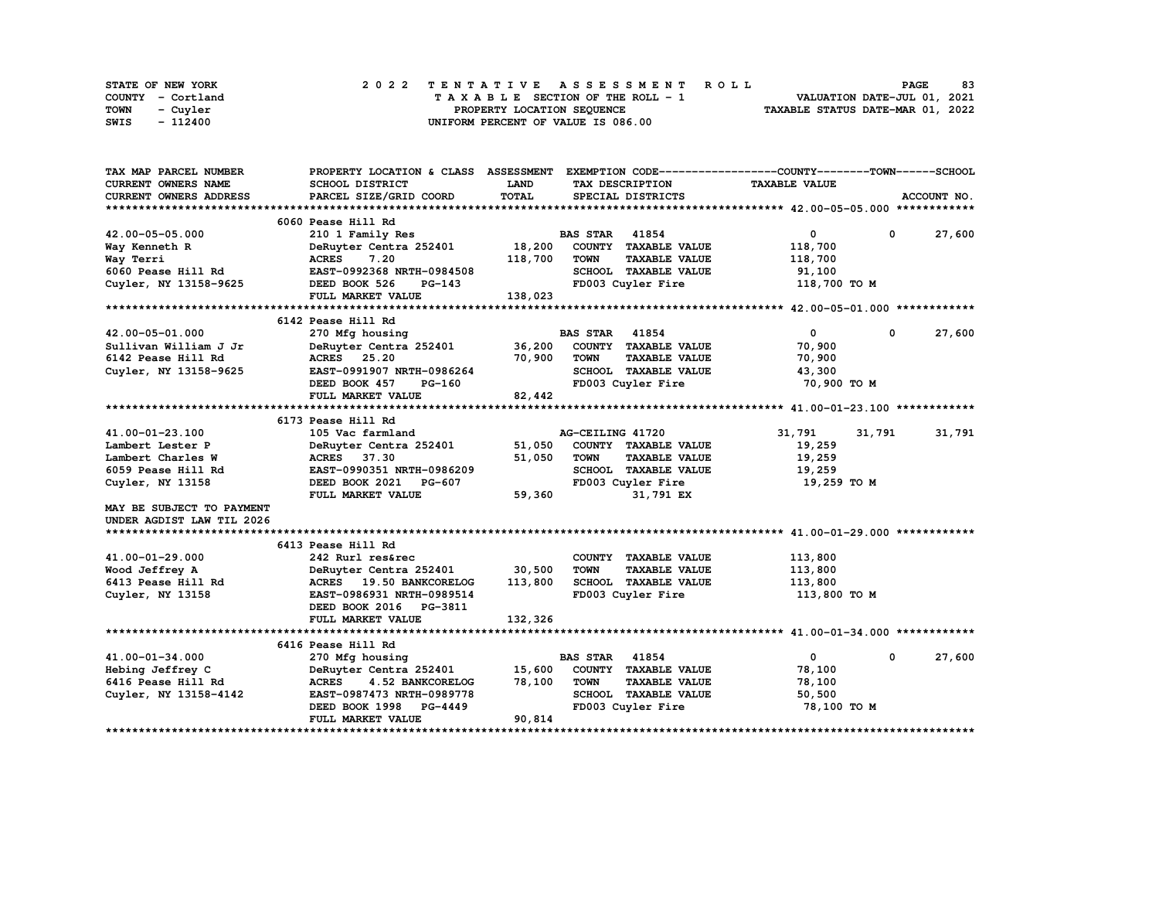|      | STATE OF NEW YORK |  | 2022 TENTATIVE ASSESSMENT ROLL |  |  |  |                                    |  |  |  |  |  |  |                                  | <b>PAGE</b> | 83 |
|------|-------------------|--|--------------------------------|--|--|--|------------------------------------|--|--|--|--|--|--|----------------------------------|-------------|----|
|      | COUNTY - Cortland |  |                                |  |  |  | TAXABLE SECTION OF THE ROLL - 1    |  |  |  |  |  |  | VALUATION DATE-JUL 01, 2021      |             |    |
| TOWN | - Cuvler          |  |                                |  |  |  | PROPERTY LOCATION SEQUENCE         |  |  |  |  |  |  | TAXABLE STATUS DATE-MAR 01, 2022 |             |    |
| SWIS | - 112400          |  |                                |  |  |  | UNIFORM PERCENT OF VALUE IS 086.00 |  |  |  |  |  |  |                                  |             |    |

| TAX MAP PARCEL NUMBER      | PROPERTY LOCATION & CLASS ASSESSMENT EXEMPTION CODE----------------COUNTY-------TOWN-----SCHOOL |             |                       |                      |                      |              |             |
|----------------------------|-------------------------------------------------------------------------------------------------|-------------|-----------------------|----------------------|----------------------|--------------|-------------|
| <b>CURRENT OWNERS NAME</b> | SCHOOL DISTRICT                                                                                 | <b>LAND</b> |                       | TAX DESCRIPTION      | <b>TAXABLE VALUE</b> |              |             |
| CURRENT OWNERS ADDRESS     | PARCEL SIZE/GRID COORD                                                                          | TOTAL       |                       | SPECIAL DISTRICTS    |                      |              | ACCOUNT NO. |
|                            |                                                                                                 |             |                       |                      |                      |              |             |
|                            | 6060 Pease Hill Rd                                                                              |             |                       |                      |                      |              |             |
| 42.00-05-05.000            | 210 1 Family Res                                                                                |             | <b>BAS STAR 41854</b> |                      | $\mathbf{0}$         | $\mathbf{0}$ | 27,600      |
| Way Kenneth R              | DeRuyter Centra 252401 18,200                                                                   |             |                       | COUNTY TAXABLE VALUE | 118,700              |              |             |
| Way Terri                  | <b>ACRES</b><br>7.20                                                                            | 118,700     | <b>TOWN</b>           | <b>TAXABLE VALUE</b> | 118,700              |              |             |
| 6060 Pease Hill Rd         | EAST-0992368 NRTH-0984508                                                                       |             |                       | SCHOOL TAXABLE VALUE | 91,100               |              |             |
| Cuyler, NY 13158-9625      | DEED BOOK 526<br>PG-143                                                                         |             |                       | FD003 Cuyler Fire    | 118,700 TO M         |              |             |
|                            | FULL MARKET VALUE                                                                               | 138,023     |                       |                      |                      |              |             |
|                            |                                                                                                 |             |                       |                      |                      |              |             |
|                            | 6142 Pease Hill Rd                                                                              |             |                       |                      |                      |              |             |
| 42.00-05-01.000            | 270 Mfg housing                                                                                 |             | <b>BAS STAR</b> 41854 |                      | $\mathbf 0$          | $\mathbf 0$  | 27,600      |
| Sullivan William J Jr      | DeRuyter Centra 252401 36,200                                                                   |             |                       | COUNTY TAXABLE VALUE | 70,900               |              |             |
| 6142 Pease Hill Rd         | <b>ACRES</b> 25.20                                                                              | 70,900      | <b>TOWN</b>           | <b>TAXABLE VALUE</b> | 70,900               |              |             |
| Cuyler, NY 13158-9625      | EAST-0991907 NRTH-0986264                                                                       |             |                       | SCHOOL TAXABLE VALUE | 43,300               |              |             |
|                            | DEED BOOK 457<br>PG-160                                                                         |             |                       | FD003 Cuyler Fire    | 70,900 TO M          |              |             |
|                            | FULL MARKET VALUE                                                                               | 82,442      |                       |                      |                      |              |             |
|                            |                                                                                                 |             |                       |                      |                      |              |             |
|                            | 6173 Pease Hill Rd                                                                              |             |                       |                      |                      |              |             |
| 41.00-01-23.100            | 105 Vac farmland                                                                                |             | AG-CEILING 41720      |                      | 31,791               | 31,791       | 31,791      |
| Lambert Lester P           | DeRuyter Centra 252401                                                                          | 51,050      |                       | COUNTY TAXABLE VALUE | 19,259               |              |             |
| Lambert Charles W          | <b>ACRES</b> 37.30                                                                              | 51,050      | <b>TOWN</b>           | <b>TAXABLE VALUE</b> | 19,259               |              |             |
| 6059 Pease Hill Rd         | EAST-0990351 NRTH-0986209                                                                       |             |                       | SCHOOL TAXABLE VALUE | 19,259               |              |             |
| Cuyler, NY 13158           | DEED BOOK 2021 PG-607                                                                           |             |                       | FD003 Cuyler Fire    | 19,259 TO M          |              |             |
|                            | FULL MARKET VALUE                                                                               | 59,360      |                       | 31,791 EX            |                      |              |             |
| MAY BE SUBJECT TO PAYMENT  |                                                                                                 |             |                       |                      |                      |              |             |
|                            |                                                                                                 |             |                       |                      |                      |              |             |
| UNDER AGDIST LAW TIL 2026  |                                                                                                 |             |                       |                      |                      |              |             |
|                            |                                                                                                 |             |                       |                      |                      |              |             |
| 41.00-01-29.000            | 6413 Pease Hill Rd                                                                              |             |                       |                      |                      |              |             |
|                            | 242 Rurl res&rec                                                                                |             |                       | COUNTY TAXABLE VALUE | 113,800              |              |             |
| Wood Jeffrey A             | DeRuyter Centra 252401 30,500                                                                   |             | <b>TOWN</b>           | <b>TAXABLE VALUE</b> | 113,800              |              |             |
| 6413 Pease Hill Rd         | ACRES 19.50 BANKCORELOG                                                                         | 113,800     |                       | SCHOOL TAXABLE VALUE | 113,800              |              |             |
| Cuyler, NY 13158           | EAST-0986931 NRTH-0989514                                                                       |             |                       | FD003 Cuyler Fire    | 113,800 TO M         |              |             |
|                            | DEED BOOK 2016 PG-3811                                                                          |             |                       |                      |                      |              |             |
|                            | FULL MARKET VALUE                                                                               | 132,326     |                       |                      |                      |              |             |
|                            |                                                                                                 |             |                       |                      |                      |              |             |
|                            | 6416 Pease Hill Rd                                                                              |             |                       |                      |                      |              |             |
| 41.00-01-34.000            | 270 Mfg housing                                                                                 |             | <b>BAS STAR 41854</b> |                      | $\mathbf{0}$         | $\mathbf 0$  | 27,600      |
| Hebing Jeffrey C           | DeRuyter Centra 252401                                                                          | 15,600      |                       | COUNTY TAXABLE VALUE | 78,100               |              |             |
| 6416 Pease Hill Rd         | ACRES 4.52 BANKCORELOG                                                                          | 78,100      | <b>TOWN</b>           | <b>TAXABLE VALUE</b> | 78,100               |              |             |
| Cuyler, NY 13158-4142      | EAST-0987473 NRTH-0989778                                                                       |             |                       | SCHOOL TAXABLE VALUE | 50,500               |              |             |
|                            | DEED BOOK 1998 PG-4449                                                                          |             |                       | FD003 Cuyler Fire    | 78,100 TO M          |              |             |
|                            | FULL MARKET VALUE                                                                               | 90,814      |                       |                      |                      |              |             |
|                            |                                                                                                 |             |                       |                      |                      |              |             |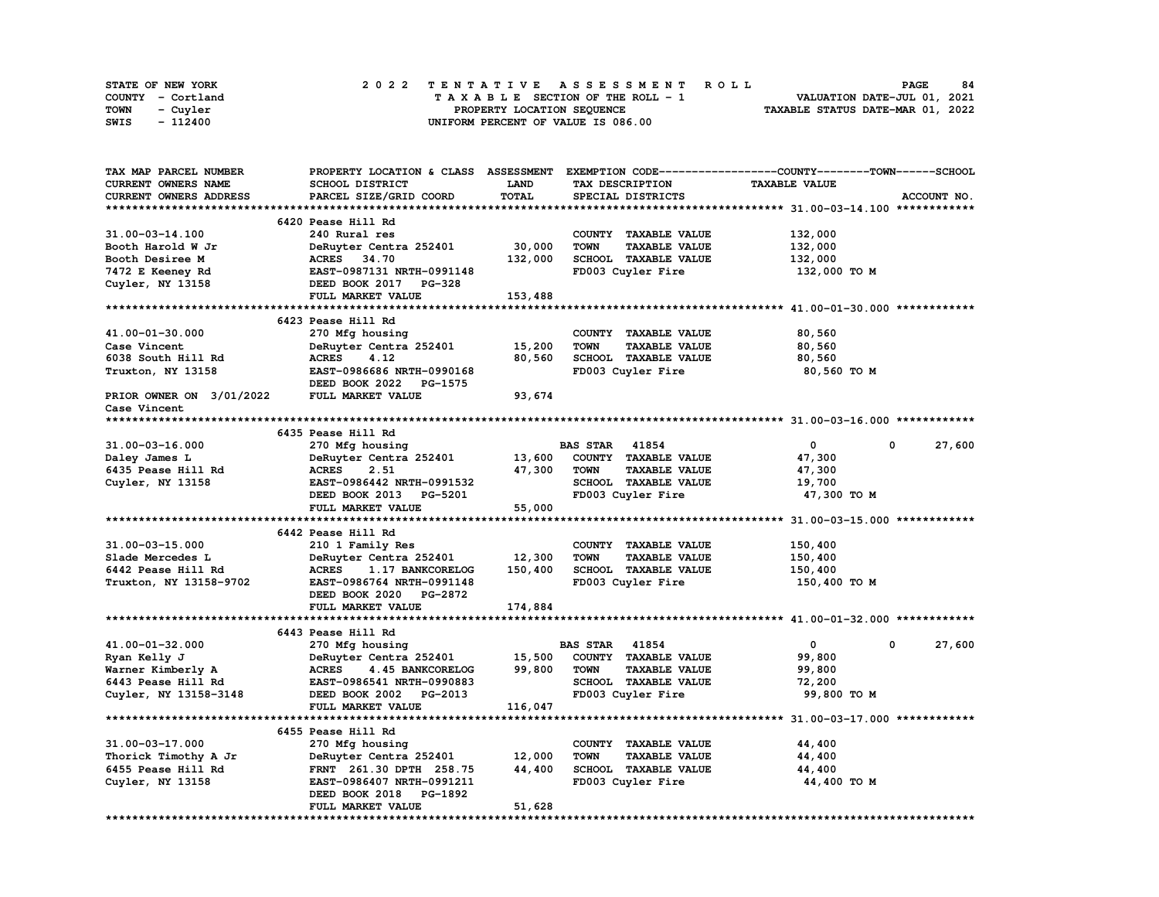| STATE OF NEW YORK | 2022 TENTATIVE ASSESSMENT ROLL     | 84<br><b>PAGE</b>                |
|-------------------|------------------------------------|----------------------------------|
| COUNTY - Cortland | TAXABLE SECTION OF THE ROLL - 1    | VALUATION DATE-JUL 01, 2021      |
| TOWN<br>- Cuvler  | PROPERTY LOCATION SEQUENCE         | TAXABLE STATUS DATE-MAR 01, 2022 |
| - 112400<br>SWIS  | UNIFORM PERCENT OF VALUE IS 086.00 |                                  |

| TAX MAP PARCEL NUMBER    |                                         |             | PROPERTY LOCATION & CLASS ASSESSMENT EXEMPTION CODE----------------COUNTY-------TOWN-----SCHOOL |                      |             |
|--------------------------|-----------------------------------------|-------------|-------------------------------------------------------------------------------------------------|----------------------|-------------|
| CURRENT OWNERS NAME      | SCHOOL DISTRICT                         | <b>LAND</b> | TAX DESCRIPTION                                                                                 | <b>TAXABLE VALUE</b> |             |
| CURRENT OWNERS ADDRESS   | PARCEL SIZE/GRID COORD                  | TOTAL       | SPECIAL DISTRICTS                                                                               |                      | ACCOUNT NO. |
|                          |                                         |             |                                                                                                 |                      |             |
|                          | 6420 Pease Hill Rd                      |             |                                                                                                 |                      |             |
| 31.00-03-14.100          | 240 Rural res                           |             | COUNTY TAXABLE VALUE                                                                            | 132,000              |             |
| Booth Harold W Jr        | DeRuyter Centra 252401                  | 30,000      | <b>TAXABLE VALUE</b><br><b>TOWN</b>                                                             | 132,000              |             |
| Booth Desiree M          | <b>ACRES</b><br>34.70                   | 132,000     | SCHOOL TAXABLE VALUE                                                                            | 132,000              |             |
| 7472 E Keeney Rd         | EAST-0987131 NRTH-0991148               |             | FD003 Cuyler Fire                                                                               | 132,000 TO M         |             |
| Cuyler, NY 13158         | DEED BOOK 2017 PG-328                   |             |                                                                                                 |                      |             |
|                          | FULL MARKET VALUE                       | 153,488     |                                                                                                 |                      |             |
|                          |                                         |             |                                                                                                 |                      |             |
|                          | 6423 Pease Hill Rd                      |             |                                                                                                 |                      |             |
| 41.00-01-30.000          |                                         |             | COUNTY TAXABLE VALUE                                                                            | 80,560               |             |
|                          | 270 Mfg housing                         |             | <b>TOWN</b><br><b>TAXABLE VALUE</b>                                                             |                      |             |
| Case Vincent             | DeRuyter Centra 252401                  | 15,200      |                                                                                                 | 80,560               |             |
| 6038 South Hill Rd       | <b>ACRES</b><br>4.12                    | 80,560      | SCHOOL TAXABLE VALUE                                                                            | 80,560               |             |
| Truxton, NY 13158        | EAST-0986686 NRTH-0990168               |             | FD003 Cuyler Fire                                                                               | 80,560 TO M          |             |
|                          | DEED BOOK 2022 PG-1575                  |             |                                                                                                 |                      |             |
| PRIOR OWNER ON 3/01/2022 | FULL MARKET VALUE                       | 93,674      |                                                                                                 |                      |             |
| Case Vincent             |                                         |             |                                                                                                 |                      |             |
|                          |                                         |             |                                                                                                 |                      |             |
|                          | 6435 Pease Hill Rd                      |             |                                                                                                 |                      |             |
| 31.00-03-16.000          | 270 Mfg housing                         |             | <b>BAS STAR</b> 41854                                                                           | 0                    | 0<br>27,600 |
| Daley James L            | DeRuyter Centra 252401                  | 13,600      | COUNTY TAXABLE VALUE                                                                            | 47,300               |             |
| 6435 Pease Hill Rd       | <b>ACRES</b><br>2.51                    | 47,300      | <b>TOWN</b><br><b>TAXABLE VALUE</b>                                                             | 47,300               |             |
| Cuyler, NY 13158         | EAST-0986442 NRTH-0991532               |             | SCHOOL TAXABLE VALUE                                                                            | 19,700               |             |
|                          | DEED BOOK 2013 PG-5201                  |             | FD003 Cuyler Fire                                                                               | 47,300 TO M          |             |
|                          | FULL MARKET VALUE                       | 55,000      |                                                                                                 |                      |             |
|                          |                                         |             |                                                                                                 |                      |             |
|                          | 6442 Pease Hill Rd                      |             |                                                                                                 |                      |             |
| 31.00-03-15.000          | 210 1 Family Res                        |             | COUNTY TAXABLE VALUE                                                                            | 150,400              |             |
| Slade Mercedes L         | DeRuyter Centra 252401                  | 12,300      | <b>TOWN</b><br><b>TAXABLE VALUE</b>                                                             | 150,400              |             |
| 6442 Pease Hill Rd       | <b>ACRES</b><br><b>1.17 BANKCORELOG</b> | 150,400     | SCHOOL TAXABLE VALUE                                                                            | 150,400              |             |
| Truxton, NY 13158-9702   | EAST-0986764 NRTH-0991148               |             | FD003 Cuyler Fire                                                                               | 150,400 то м         |             |
|                          | DEED BOOK 2020 PG-2872                  |             |                                                                                                 |                      |             |
|                          | FULL MARKET VALUE                       | 174,884     |                                                                                                 |                      |             |
|                          |                                         |             |                                                                                                 |                      |             |
|                          | 6443 Pease Hill Rd                      |             |                                                                                                 |                      |             |
| 41.00-01-32.000          | 270 Mfg housing                         |             | <b>BAS STAR 41854</b>                                                                           | $\mathbf{0}$         | 0<br>27,600 |
| Ryan Kelly J             | DeRuyter Centra 252401                  | 15,500      | COUNTY TAXABLE VALUE                                                                            | 99,800               |             |
| Warner Kimberly A        | ACRES 4.45 BANKCORELOG                  | 99,800      | <b>TOWN</b><br><b>TAXABLE VALUE</b>                                                             | 99,800               |             |
| 6443 Pease Hill Rd       | EAST-0986541 NRTH-0990883               |             | SCHOOL TAXABLE VALUE                                                                            | 72,200               |             |
| Cuyler, NY 13158-3148    | DEED BOOK 2002 PG-2013                  |             | FD003 Cuyler Fire                                                                               | 99,800 TO M          |             |
|                          | FULL MARKET VALUE                       | 116,047     |                                                                                                 |                      |             |
|                          |                                         |             |                                                                                                 |                      |             |
|                          | 6455 Pease Hill Rd                      |             |                                                                                                 |                      |             |
| 31.00-03-17.000          | 270 Mfg housing                         |             | COUNTY TAXABLE VALUE                                                                            | 44,400               |             |
| Thorick Timothy A Jr     | DeRuyter Centra 252401                  | 12,000      | <b>TOWN</b><br><b>TAXABLE VALUE</b>                                                             | 44,400               |             |
| 6455 Pease Hill Rd       | FRNT 261.30 DPTH 258.75                 | 44,400      | SCHOOL TAXABLE VALUE                                                                            | 44,400               |             |
| Cuyler, NY 13158         | EAST-0986407 NRTH-0991211               |             | FD003 Cuyler Fire                                                                               | 44,400 TO M          |             |
|                          | DEED BOOK 2018 PG-1892                  |             |                                                                                                 |                      |             |
|                          | FULL MARKET VALUE                       | 51,628      |                                                                                                 |                      |             |
|                          |                                         |             |                                                                                                 |                      |             |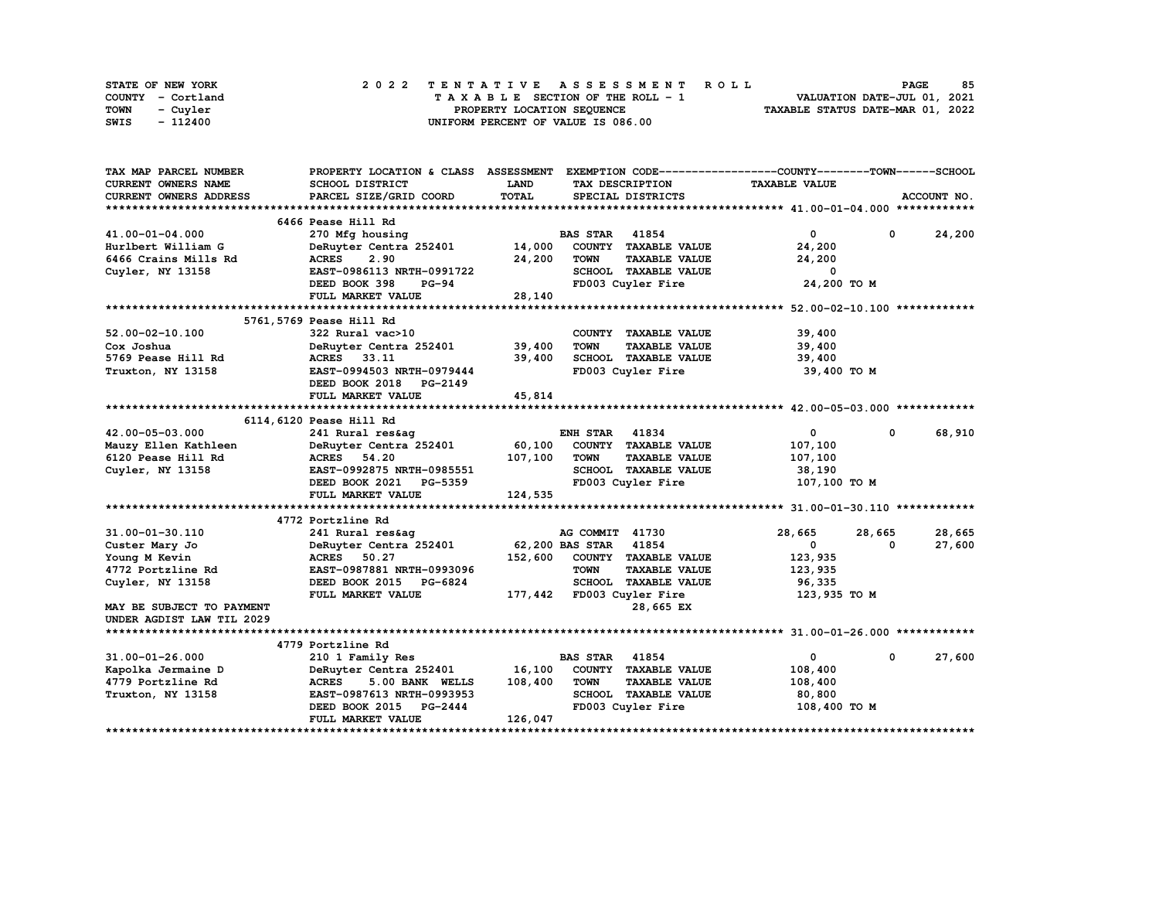| STATE OF NEW YORK | 2022 TENTATIVE ASSESSMENT ROLL     | 85<br><b>PAGE</b>                |
|-------------------|------------------------------------|----------------------------------|
| COUNTY - Cortland | TAXABLE SECTION OF THE ROLL - 1    | VALUATION DATE-JUL 01, 2021      |
| TOWN<br>- Cuvler  | PROPERTY LOCATION SEQUENCE         | TAXABLE STATUS DATE-MAR 01, 2022 |
| - 112400<br>SWIS  | UNIFORM PERCENT OF VALUE IS 086.00 |                                  |

| TAX MAP PARCEL NUMBER     | PROPERTY LOCATION & CLASS ASSESSMENT EXEMPTION CODE----------------COUNTY-------TOWN-----SCHOOL |         |                       |                             |                      |            |             |
|---------------------------|-------------------------------------------------------------------------------------------------|---------|-----------------------|-----------------------------|----------------------|------------|-------------|
| CURRENT OWNERS NAME       | <b>SCHOOL DISTRICT</b>                                                                          | LAND    |                       | TAX DESCRIPTION             | <b>TAXABLE VALUE</b> |            |             |
| CURRENT OWNERS ADDRESS    | PARCEL SIZE/GRID COORD                                                                          | TOTAL   |                       | SPECIAL DISTRICTS           |                      |            | ACCOUNT NO. |
|                           |                                                                                                 |         |                       |                             |                      |            |             |
|                           | 6466 Pease Hill Rd                                                                              |         |                       |                             |                      |            |             |
| 41.00-01-04.000           | 270 Mfg housing                                                                                 |         | <b>BAS STAR 41854</b> |                             | $\mathbf 0$          | $^{\circ}$ | 24,200      |
| Hurlbert William G        | DeRuyter Centra 252401                                                                          | 14,000  |                       | COUNTY TAXABLE VALUE        | 24,200               |            |             |
| 6466 Crains Mills Rd      | <b>ACRES</b><br>2.90                                                                            | 24,200  | <b>TOWN</b>           | <b>TAXABLE VALUE</b>        | 24,200               |            |             |
| Cuyler, NY 13158          | EAST-0986113 NRTH-0991722                                                                       |         |                       | SCHOOL TAXABLE VALUE        | $\mathbf{o}$         |            |             |
|                           | DEED BOOK 398<br><b>PG-94</b>                                                                   |         |                       | FD003 Cuyler Fire           | 24,200 TO M          |            |             |
|                           | FULL MARKET VALUE                                                                               | 28,140  |                       |                             |                      |            |             |
|                           |                                                                                                 |         |                       |                             |                      |            |             |
|                           | 5761,5769 Pease Hill Rd                                                                         |         |                       |                             |                      |            |             |
| $52.00 - 02 - 10.100$     | 322 Rural vac>10                                                                                |         |                       | COUNTY TAXABLE VALUE        | 39,400               |            |             |
| Cox Joshua                | DeRuyter Centra 252401                                                                          | 39,400  | <b>TOWN</b>           | <b>TAXABLE VALUE</b>        | 39,400               |            |             |
| 5769 Pease Hill Rd        | ACRES 33.11                                                                                     | 39,400  |                       | SCHOOL TAXABLE VALUE        | 39,400               |            |             |
| Truxton, NY 13158         | EAST-0994503 NRTH-0979444                                                                       |         |                       | FD003 Cuyler Fire           | 39,400 TO M          |            |             |
|                           | DEED BOOK 2018 PG-2149                                                                          |         |                       |                             |                      |            |             |
|                           | FULL MARKET VALUE                                                                               | 45,814  |                       |                             |                      |            |             |
|                           |                                                                                                 |         |                       |                             |                      |            |             |
|                           | 6114, 6120 Pease Hill Rd                                                                        |         |                       |                             |                      |            |             |
| 42.00-05-03.000           | 241 Rural res&ag                                                                                |         | <b>ENH STAR</b>       | 41834                       | $\mathbf 0$          | $^{\circ}$ | 68,910      |
| Mauzy Ellen Kathleen      | DeRuyter Centra 252401                                                                          | 60,100  |                       | COUNTY TAXABLE VALUE        | 107,100              |            |             |
| 6120 Pease Hill Rd        | ACRES 54.20                                                                                     | 107,100 | TOWN                  | <b>TAXABLE VALUE</b>        | 107,100              |            |             |
| Cuyler, NY 13158          | EAST-0992875 NRTH-0985551                                                                       |         |                       | <b>SCHOOL TAXABLE VALUE</b> | 38,190               |            |             |
|                           | DEED BOOK 2021 PG-5359                                                                          |         |                       | FD003 Cuyler Fire           | 107,100 TO M         |            |             |
|                           | FULL MARKET VALUE                                                                               | 124,535 |                       |                             |                      |            |             |
|                           |                                                                                                 |         |                       |                             |                      |            |             |
|                           | 4772 Portzline Rd                                                                               |         |                       |                             |                      |            |             |
| 31.00-01-30.110           | 241 Rural res&aq                                                                                |         | AG COMMIT 41730       |                             | 28,665               | 28,665     | 28,665      |
| Custer Mary Jo            | DeRuyter Centra 252401                                                                          |         | 62,200 BAS STAR       | 41854                       | 0                    | 0          | 27,600      |
| Young M Kevin             | ACRES 50.27                                                                                     | 152,600 |                       | COUNTY TAXABLE VALUE        | 123,935              |            |             |
| 4772 Portzline Rd         | EAST-0987881 NRTH-0993096                                                                       |         | <b>TOWN</b>           | <b>TAXABLE VALUE</b>        | 123,935              |            |             |
| Cuyler, NY 13158          | DEED BOOK 2015 PG-6824                                                                          |         |                       | SCHOOL TAXABLE VALUE        | 96,335               |            |             |
|                           | FULL MARKET VALUE                                                                               | 177,442 |                       | FD003 Cuyler Fire           | 123,935 TO M         |            |             |
| MAY BE SUBJECT TO PAYMENT |                                                                                                 |         |                       | 28,665 EX                   |                      |            |             |
| UNDER AGDIST LAW TIL 2029 |                                                                                                 |         |                       |                             |                      |            |             |
|                           |                                                                                                 |         |                       |                             |                      |            |             |
|                           | 4779 Portzline Rd                                                                               |         |                       |                             |                      |            |             |
| 31.00-01-26.000           | 210 1 Family Res                                                                                |         | <b>BAS STAR 41854</b> |                             | $\mathbf 0$          | $^{\circ}$ | 27,600      |
| Kapolka Jermaine D        | DeRuyter Centra 252401                                                                          | 16,100  |                       | COUNTY TAXABLE VALUE        | 108,400              |            |             |
| 4779 Portzline Rd         | ACRES<br>5.00 BANK WELLS                                                                        | 108,400 | <b>TOWN</b>           | <b>TAXABLE VALUE</b>        | 108,400              |            |             |
| Truxton, NY 13158         | EAST-0987613 NRTH-0993953                                                                       |         |                       | SCHOOL TAXABLE VALUE        | 80,800               |            |             |
|                           | DEED BOOK 2015 PG-2444                                                                          |         |                       | FD003 Cuyler Fire           | 108,400 TO M         |            |             |
|                           | <b>FULL MARKET VALUE</b>                                                                        | 126,047 |                       |                             |                      |            |             |
|                           |                                                                                                 |         |                       |                             |                      |            |             |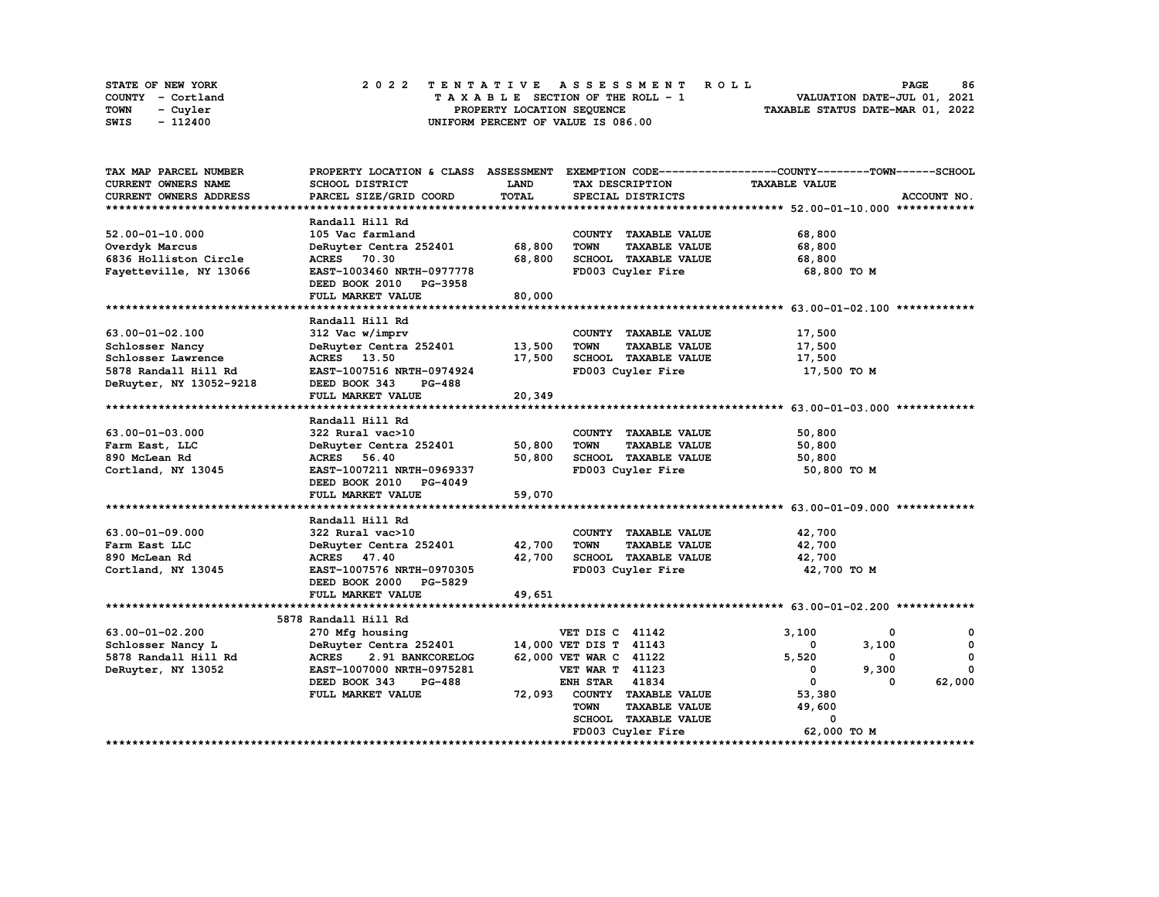| STATE OF NEW YORK | 2022 TENTATIVE ASSESSMENT ROLL     | 86<br><b>PAGE</b>                |
|-------------------|------------------------------------|----------------------------------|
| COUNTY - Cortland | TAXABLE SECTION OF THE ROLL - 1    | VALUATION DATE-JUL 01, 2021      |
| TOWN<br>- Cuvler  | PROPERTY LOCATION SEQUENCE         | TAXABLE STATUS DATE-MAR 01, 2022 |
| - 112400<br>SWIS  | UNIFORM PERCENT OF VALUE IS 086.00 |                                  |

| TAX MAP PARCEL NUMBER         |                                  |              |                                     | PROPERTY LOCATION & CLASS ASSESSMENT EXEMPTION CODE-----------------COUNTY-------TOWN------SCHOOL |                    |
|-------------------------------|----------------------------------|--------------|-------------------------------------|---------------------------------------------------------------------------------------------------|--------------------|
| <b>CURRENT OWNERS NAME</b>    | SCHOOL DISTRICT                  | LAND         | TAX DESCRIPTION                     | <b>TAXABLE VALUE</b>                                                                              |                    |
| <b>CURRENT OWNERS ADDRESS</b> | PARCEL SIZE/GRID COORD           | <b>TOTAL</b> | SPECIAL DISTRICTS                   |                                                                                                   | ACCOUNT NO.        |
|                               |                                  |              |                                     |                                                                                                   |                    |
|                               | Randall Hill Rd                  |              |                                     |                                                                                                   |                    |
| $52.00 - 01 - 10.000$         | 105 Vac farmland                 |              | COUNTY TAXABLE VALUE                | 68,800                                                                                            |                    |
| Overdyk Marcus                | DeRuyter Centra 252401           | 68,800       | <b>TOWN</b><br><b>TAXABLE VALUE</b> | 68,800                                                                                            |                    |
| 6836 Holliston Circle         | <b>ACRES</b> 70.30               | 68,800       | SCHOOL TAXABLE VALUE                | 68,800                                                                                            |                    |
| Fayetteville, NY 13066        | EAST-1003460 NRTH-0977778        |              | FD003 Cuyler Fire                   | 68,800 TO M                                                                                       |                    |
|                               | DEED BOOK 2010 PG-3958           |              |                                     |                                                                                                   |                    |
|                               | FULL MARKET VALUE                | 80,000       |                                     |                                                                                                   |                    |
|                               |                                  |              |                                     |                                                                                                   |                    |
|                               | Randall Hill Rd                  |              |                                     |                                                                                                   |                    |
| 63.00-01-02.100               | 312 Vac w/imprv                  |              | COUNTY TAXABLE VALUE                | 17,500                                                                                            |                    |
| Schlosser Nancy               | DeRuyter Centra 252401           | 13,500       | <b>TOWN</b><br><b>TAXABLE VALUE</b> | 17,500                                                                                            |                    |
| Schlosser Lawrence            | ACRES 13.50                      | 17,500       | SCHOOL TAXABLE VALUE                | 17,500                                                                                            |                    |
| 5878 Randall Hill Rd          | EAST-1007516 NRTH-0974924        |              | FD003 Cuyler Fire                   | 17,500 TO M                                                                                       |                    |
| DeRuyter, NY 13052-9218       | DEED BOOK 343<br>PG-488          |              |                                     |                                                                                                   |                    |
|                               | FULL MARKET VALUE                | 20,349       |                                     |                                                                                                   |                    |
|                               |                                  |              |                                     |                                                                                                   |                    |
|                               | Randall Hill Rd                  |              |                                     |                                                                                                   |                    |
| 63.00-01-03.000               | 322 Rural vac>10                 |              | COUNTY TAXABLE VALUE                | 50,800                                                                                            |                    |
| Farm East, LLC                | DeRuyter Centra 252401           | 50,800       | <b>TOWN</b><br><b>TAXABLE VALUE</b> | 50,800                                                                                            |                    |
| 890 McLean Rd                 | <b>ACRES</b><br>56.40            | 50,800       | SCHOOL TAXABLE VALUE                | 50,800                                                                                            |                    |
| Cortland, NY 13045            | EAST-1007211 NRTH-0969337        |              | FD003 Cuyler Fire                   | 50,800 TO M                                                                                       |                    |
|                               | DEED BOOK 2010 PG-4049           |              |                                     |                                                                                                   |                    |
|                               | FULL MARKET VALUE                | 59,070       |                                     |                                                                                                   |                    |
|                               |                                  |              |                                     |                                                                                                   |                    |
|                               | Randall Hill Rd                  |              |                                     |                                                                                                   |                    |
| 63.00-01-09.000               | 322 Rural vac>10                 |              | COUNTY TAXABLE VALUE                | 42,700                                                                                            |                    |
| Farm East LLC                 | DeRuyter Centra 252401           | 42,700       | <b>TOWN</b><br><b>TAXABLE VALUE</b> | 42,700                                                                                            |                    |
| 890 McLean Rd                 | ACRES 47.40                      | 42,700       | SCHOOL TAXABLE VALUE                | 42,700                                                                                            |                    |
| Cortland, NY 13045            | EAST-1007576 NRTH-0970305        |              | FD003 Cuyler Fire                   | 42,700 TO M                                                                                       |                    |
|                               | DEED BOOK 2000 PG-5829           |              |                                     |                                                                                                   |                    |
|                               | FULL MARKET VALUE                | 49,651       |                                     |                                                                                                   |                    |
|                               |                                  |              |                                     |                                                                                                   |                    |
|                               | 5878 Randall Hill Rd             |              |                                     |                                                                                                   |                    |
| 63.00-01-02.200               | 270 Mfg housing                  |              | VET DIS C 41142                     | 3,100                                                                                             | 0<br>0             |
| Schlosser Nancy L             | DeRuyter Centra 252401           |              | 14,000 VET DIS T 41143              | 3,100<br>0                                                                                        | 0                  |
| 5878 Randall Hill Rd          | <b>ACRES</b><br>2.91 BANKCORELOG |              | 62,000 VET WAR C 41122              | 5,520                                                                                             | 0<br>0             |
| DeRuyter, NY 13052            | EAST-1007000 NRTH-0975281        |              | <b>VET WAR T 41123</b>              | 9,300<br>0                                                                                        | 0                  |
|                               | DEED BOOK 343<br><b>PG-488</b>   |              | 41834<br><b>ENH STAR</b>            | $\mathbf 0$                                                                                       | 62,000<br>$\Omega$ |
|                               | FULL MARKET VALUE                | 72,093       | COUNTY TAXABLE VALUE                | 53,380                                                                                            |                    |
|                               |                                  |              | <b>TOWN</b><br><b>TAXABLE VALUE</b> | 49,600                                                                                            |                    |
|                               |                                  |              | SCHOOL TAXABLE VALUE                | 0                                                                                                 |                    |
|                               |                                  |              | FD003 Cuyler Fire                   | 62,000 TO M                                                                                       |                    |
|                               |                                  |              |                                     |                                                                                                   | ***************    |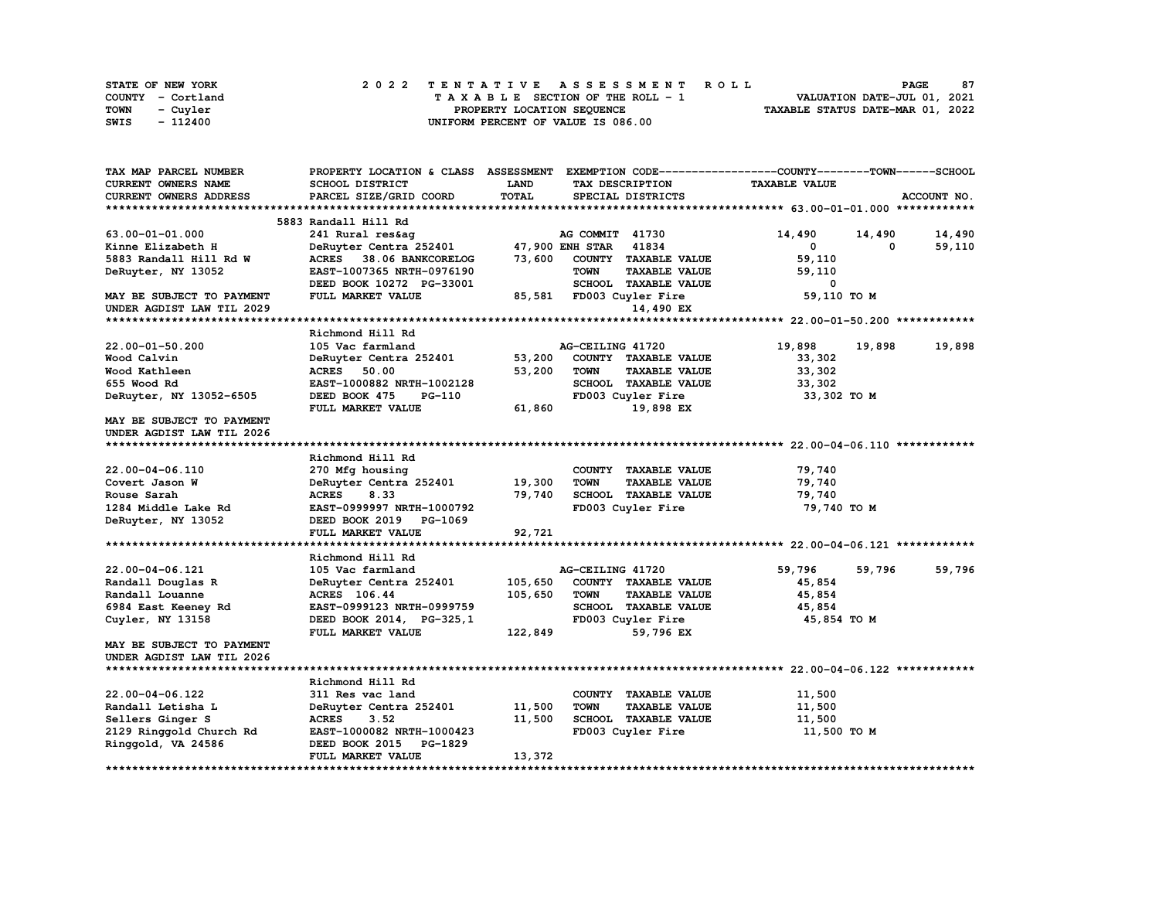| STATE OF NEW YORK | 2022 TENTATIVE ASSESSMENT ROLL     | 87<br><b>PAGE</b>                |
|-------------------|------------------------------------|----------------------------------|
| COUNTY - Cortland | TAXABLE SECTION OF THE ROLL - 1    | VALUATION DATE-JUL 01, 2021      |
| TOWN<br>- Cuyler  | PROPERTY LOCATION SEOUENCE         | TAXABLE STATUS DATE-MAR 01, 2022 |
| - 112400<br>SWIS  | UNIFORM PERCENT OF VALUE IS 086.00 |                                  |

| TAX MAP PARCEL NUMBER      | PROPERTY LOCATION & CLASS ASSESSMENT |         |                          |                      | EXEMPTION CODE-----------------COUNTY-------TOWN-----SCHOOL |          |             |
|----------------------------|--------------------------------------|---------|--------------------------|----------------------|-------------------------------------------------------------|----------|-------------|
| <b>CURRENT OWNERS NAME</b> | SCHOOL DISTRICT                      | LAND    | TAX DESCRIPTION          |                      | <b>TAXABLE VALUE</b>                                        |          |             |
| CURRENT OWNERS ADDRESS     | PARCEL SIZE/GRID COORD               | TOTAL   | SPECIAL DISTRICTS        |                      |                                                             |          | ACCOUNT NO. |
|                            |                                      |         |                          |                      |                                                             |          |             |
|                            | 5883 Randall Hill Rd                 |         |                          |                      |                                                             |          |             |
| 63.00-01-01.000            | 241 Rural res&aq                     |         | AG COMMIT 41730          |                      | 14,490                                                      | 14,490   | 14,490      |
| Kinne Elizabeth H          | DeRuyter Centra 252401               |         | 47,900 ENH STAR 41834    |                      | 0                                                           | $\Omega$ | 59,110      |
| 5883 Randall Hill Rd W     | ACRES 38.06 BANKCORELOG              | 73,600  |                          | COUNTY TAXABLE VALUE | 59,110                                                      |          |             |
| DeRuyter, NY 13052         | EAST-1007365 NRTH-0976190            |         | <b>TOWN</b>              | <b>TAXABLE VALUE</b> | 59,110                                                      |          |             |
|                            | DEED BOOK 10272 PG-33001             |         |                          | SCHOOL TAXABLE VALUE | 0                                                           |          |             |
| MAY BE SUBJECT TO PAYMENT  | FULL MARKET VALUE                    |         | 85,581 FD003 Cuyler Fire |                      | 59,110 TO M                                                 |          |             |
| UNDER AGDIST LAW TIL 2029  |                                      |         |                          | 14,490 EX            |                                                             |          |             |
|                            |                                      |         |                          |                      |                                                             |          |             |
|                            | Richmond Hill Rd                     |         |                          |                      |                                                             |          |             |
| $22.00 - 01 - 50.200$      | 105 Vac farmland                     |         | AG-CEILING 41720         |                      | 19,898                                                      | 19,898   | 19,898      |
| Wood Calvin                | DeRuyter Centra 252401               | 53,200  |                          | COUNTY TAXABLE VALUE | 33,302                                                      |          |             |
| Wood Kathleen              | <b>ACRES</b><br>50.00                | 53,200  | <b>TOWN</b>              | <b>TAXABLE VALUE</b> | 33,302                                                      |          |             |
| 655 Wood Rd                | EAST-1000882 NRTH-1002128            |         |                          | SCHOOL TAXABLE VALUE | 33,302                                                      |          |             |
| DeRuyter, NY 13052-6505    | DEED BOOK 475<br>PG-110              |         | FD003 Cuyler Fire        |                      | 33,302 TO M                                                 |          |             |
|                            | FULL MARKET VALUE                    | 61,860  |                          | 19,898 EX            |                                                             |          |             |
| MAY BE SUBJECT TO PAYMENT  |                                      |         |                          |                      |                                                             |          |             |
| UNDER AGDIST LAW TIL 2026  |                                      |         |                          |                      |                                                             |          |             |
|                            |                                      |         |                          |                      |                                                             |          |             |
|                            | Richmond Hill Rd                     |         |                          |                      |                                                             |          |             |
| 22.00-04-06.110            | 270 Mfg housing                      |         |                          | COUNTY TAXABLE VALUE | 79,740                                                      |          |             |
| Covert Jason W             | DeRuyter Centra 252401               | 19,300  | <b>TOWN</b>              | <b>TAXABLE VALUE</b> | 79,740                                                      |          |             |
| Rouse Sarah                | 8.33<br><b>ACRES</b>                 | 79,740  |                          | SCHOOL TAXABLE VALUE | 79,740                                                      |          |             |
| 1284 Middle Lake Rd        | EAST-0999997 NRTH-1000792            |         | FD003 Cuyler Fire        |                      | 79,740 TO M                                                 |          |             |
| DeRuyter, NY 13052         | DEED BOOK 2019 PG-1069               |         |                          |                      |                                                             |          |             |
|                            | FULL MARKET VALUE                    | 92,721  |                          |                      |                                                             |          |             |
|                            |                                      |         |                          |                      |                                                             |          |             |
|                            | Richmond Hill Rd                     |         |                          |                      |                                                             |          |             |
| 22.00-04-06.121            | 105 Vac farmland                     |         | AG-CEILING 41720         |                      | 59,796                                                      | 59,796   | 59,796      |
| Randall Douglas R          | DeRuyter Centra 252401               | 105,650 |                          | COUNTY TAXABLE VALUE | 45,854                                                      |          |             |
| Randall Louanne            | ACRES 106.44                         | 105,650 | <b>TOWN</b>              | <b>TAXABLE VALUE</b> | 45,854                                                      |          |             |
| 6984 East Keeney Rd        | EAST-0999123 NRTH-0999759            |         |                          | SCHOOL TAXABLE VALUE | 45,854                                                      |          |             |
| Cuyler, NY 13158           | DEED BOOK 2014, PG-325,1             |         | FD003 Cuyler Fire        |                      | 45,854 TO M                                                 |          |             |
|                            | FULL MARKET VALUE                    | 122,849 |                          | 59,796 EX            |                                                             |          |             |
| MAY BE SUBJECT TO PAYMENT  |                                      |         |                          |                      |                                                             |          |             |
| UNDER AGDIST LAW TIL 2026  |                                      |         |                          |                      |                                                             |          |             |
|                            |                                      |         |                          |                      |                                                             |          |             |
|                            | Richmond Hill Rd                     |         |                          |                      |                                                             |          |             |
| 22.00-04-06.122            | 311 Res vac land                     |         |                          | COUNTY TAXABLE VALUE | 11,500                                                      |          |             |
| Randall Letisha L          | DeRuyter Centra 252401               | 11,500  | <b>TOWN</b>              | <b>TAXABLE VALUE</b> | 11,500                                                      |          |             |
| Sellers Ginger S           | <b>ACRES</b><br>3.52                 | 11,500  |                          | SCHOOL TAXABLE VALUE | 11,500                                                      |          |             |
| 2129 Ringgold Church Rd    | EAST-1000082 NRTH-1000423            |         | FD003 Cuyler Fire        |                      | 11,500 TO M                                                 |          |             |
| Ringgold, VA 24586         | DEED BOOK 2015<br><b>PG-1829</b>     |         |                          |                      |                                                             |          |             |
|                            | FULL MARKET VALUE                    | 13,372  |                          |                      |                                                             |          |             |
|                            |                                      |         |                          |                      |                                                             |          |             |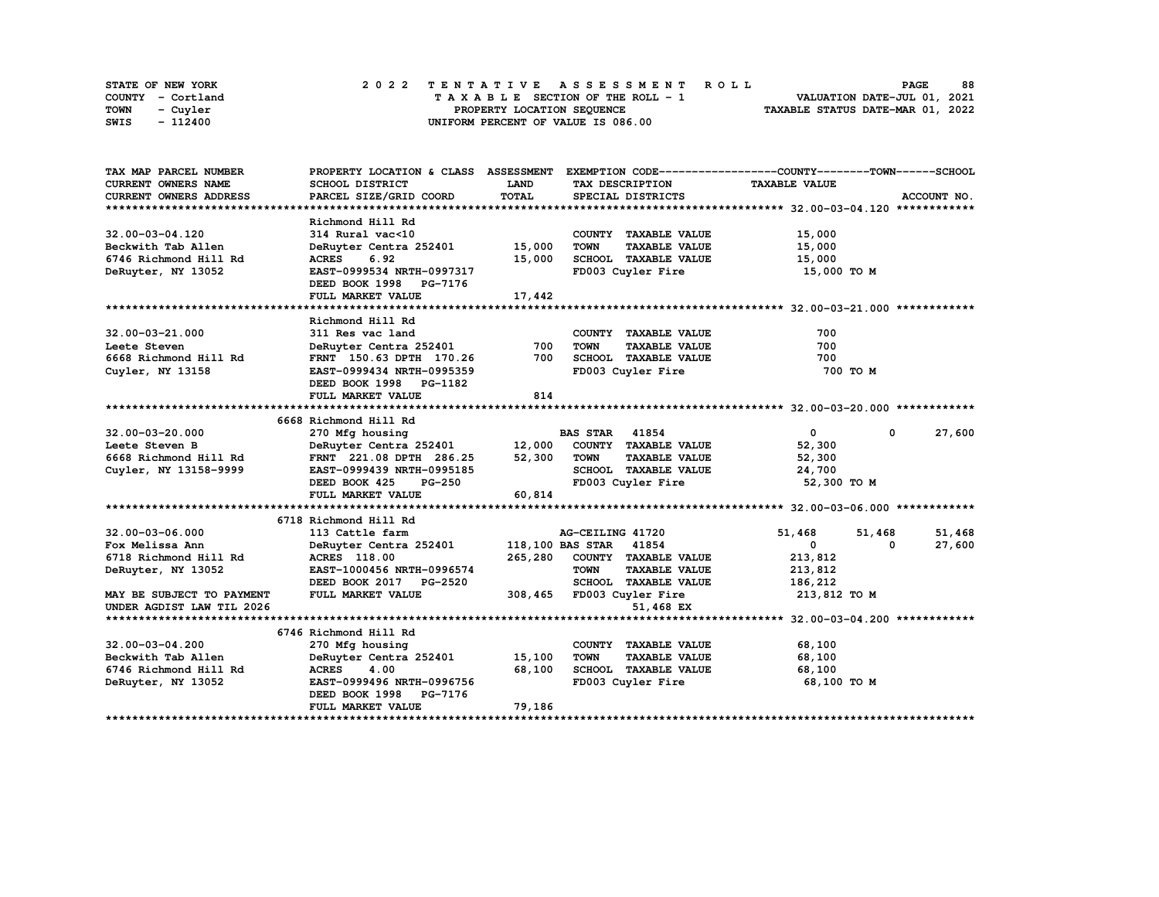| STATE OF NEW YORK | 2022 TENTATIVE ASSESSMENT ROLL     | 88<br><b>PAGE</b>                |
|-------------------|------------------------------------|----------------------------------|
| COUNTY - Cortland | TAXABLE SECTION OF THE ROLL - 1    | VALUATION DATE-JUL 01, 2021      |
| TOWN<br>- Cuvler  | PROPERTY LOCATION SEQUENCE         | TAXABLE STATUS DATE-MAR 01, 2022 |
| - 112400<br>SWIS  | UNIFORM PERCENT OF VALUE IS 086.00 |                                  |

| TAX MAP PARCEL NUMBER     |                               |             |                                     | PROPERTY LOCATION & CLASS ASSESSMENT EXEMPTION CODE----------------COUNTY-------TOWN-----SCHOOL |             |
|---------------------------|-------------------------------|-------------|-------------------------------------|-------------------------------------------------------------------------------------------------|-------------|
| CURRENT OWNERS NAME       | SCHOOL DISTRICT               | <b>LAND</b> | TAX DESCRIPTION                     | <b>TAXABLE VALUE</b>                                                                            |             |
| CURRENT OWNERS ADDRESS    | PARCEL SIZE/GRID COORD        | TOTAL       | SPECIAL DISTRICTS                   |                                                                                                 | ACCOUNT NO. |
|                           |                               |             |                                     |                                                                                                 |             |
|                           | Richmond Hill Rd              |             |                                     |                                                                                                 |             |
| $32.00 - 03 - 04.120$     | 314 Rural vac<10              |             | COUNTY TAXABLE VALUE                | 15,000                                                                                          |             |
| Beckwith Tab Allen        | DeRuyter Centra 252401        | 15,000      | TOWN<br><b>TAXABLE VALUE</b>        | 15,000                                                                                          |             |
| 6746 Richmond Hill Rd     | ACRES 6.92                    | 15,000      | SCHOOL TAXABLE VALUE                | 15,000                                                                                          |             |
| DeRuyter, NY 13052        | EAST-0999534 NRTH-0997317     |             | FD003 Cuyler Fire                   | 15,000 TO M                                                                                     |             |
|                           | DEED BOOK 1998 PG-7176        |             |                                     |                                                                                                 |             |
|                           | FULL MARKET VALUE             | 17,442      |                                     |                                                                                                 |             |
|                           |                               |             |                                     |                                                                                                 |             |
|                           | Richmond Hill Rd              |             |                                     |                                                                                                 |             |
| $32.00 - 03 - 21.000$     | 311 Res vac land              |             | COUNTY TAXABLE VALUE                | 700                                                                                             |             |
| Leete Steven              | DeRuyter Centra 252401        | 700         | <b>TOWN</b><br><b>TAXABLE VALUE</b> | 700                                                                                             |             |
| 6668 Richmond Hill Rd     | FRNT 150.63 DPTH 170.26       | 700         | SCHOOL TAXABLE VALUE                | 700                                                                                             |             |
| Cuyler, NY 13158          | EAST-0999434 NRTH-0995359     |             | FD003 Cuyler Fire                   | 700 TO M                                                                                        |             |
|                           | DEED BOOK 1998 PG-1182        |             |                                     |                                                                                                 |             |
|                           | FULL MARKET VALUE             | 814         |                                     |                                                                                                 |             |
|                           |                               |             |                                     |                                                                                                 |             |
|                           | 6668 Richmond Hill Rd         |             |                                     |                                                                                                 |             |
| $32.00 - 03 - 20.000$     | 270 Mfg housing               |             | <b>BAS STAR</b> 41854               | $\mathbf{0}$<br>$^{\circ}$                                                                      | 27,600      |
| Leete Steven B            | DeRuyter Centra 252401 12,000 |             | COUNTY TAXABLE VALUE                | 52,300                                                                                          |             |
| 6668 Richmond Hill Rd     | FRNT 221.08 DPTH 286.25       | 52,300      | TOWN<br><b>TAXABLE VALUE</b>        | 52,300                                                                                          |             |
| Cuyler, NY 13158-9999     | EAST-0999439 NRTH-0995185     |             | SCHOOL TAXABLE VALUE                | 24,700                                                                                          |             |
|                           | $PG-250$<br>DEED BOOK 425     |             | FD003 Cuyler Fire                   | 52,300 TO M                                                                                     |             |
|                           | FULL MARKET VALUE             | 60,814      |                                     |                                                                                                 |             |
|                           |                               |             |                                     |                                                                                                 |             |
|                           | 6718 Richmond Hill Rd         |             |                                     |                                                                                                 |             |
| $32.00 - 03 - 06.000$     | 113 Cattle farm               |             | AG-CEILING 41720                    | 51,468<br>51,468                                                                                | 51,468      |
| Fox Melissa Ann           | DeRuyter Centra 252401        |             | 118,100 BAS STAR 41854              | $\mathbf{0}$<br>0                                                                               | 27,600      |
| 6718 Richmond Hill Rd     | <b>ACRES</b> 118.00           | 265,280     | COUNTY TAXABLE VALUE                | 213,812                                                                                         |             |
| DeRuyter, NY 13052        | EAST-1000456 NRTH-0996574     |             | <b>TOWN</b><br><b>TAXABLE VALUE</b> | 213,812                                                                                         |             |
|                           | DEED BOOK 2017 PG-2520        |             | SCHOOL TAXABLE VALUE                | 186,212                                                                                         |             |
| MAY BE SUBJECT TO PAYMENT | FULL MARKET VALUE             |             | 308,465 FD003 Cuyler Fire           | 213,812 TO M                                                                                    |             |
| UNDER AGDIST LAW TIL 2026 |                               |             | 51,468 EX                           |                                                                                                 |             |
|                           |                               |             |                                     |                                                                                                 |             |
|                           | 6746 Richmond Hill Rd         |             |                                     |                                                                                                 |             |
| 32.00-03-04.200           | 270 Mfg housing               |             | COUNTY TAXABLE VALUE                | 68,100                                                                                          |             |
| Beckwith Tab Allen        | DeRuyter Centra 252401        | 15,100      | <b>TOWN</b><br><b>TAXABLE VALUE</b> | 68,100                                                                                          |             |
| 6746 Richmond Hill Rd     | ACRES 4.00                    | 68,100      | SCHOOL TAXABLE VALUE                | 68,100                                                                                          |             |
| DeRuyter, NY 13052        | EAST-0999496 NRTH-0996756     |             | FD003 Cuyler Fire                   | 68,100 TO M                                                                                     |             |
|                           | DEED BOOK 1998 PG-7176        |             |                                     |                                                                                                 |             |
|                           | FULL MARKET VALUE             | 79,186      |                                     |                                                                                                 |             |
|                           |                               |             |                                     |                                                                                                 |             |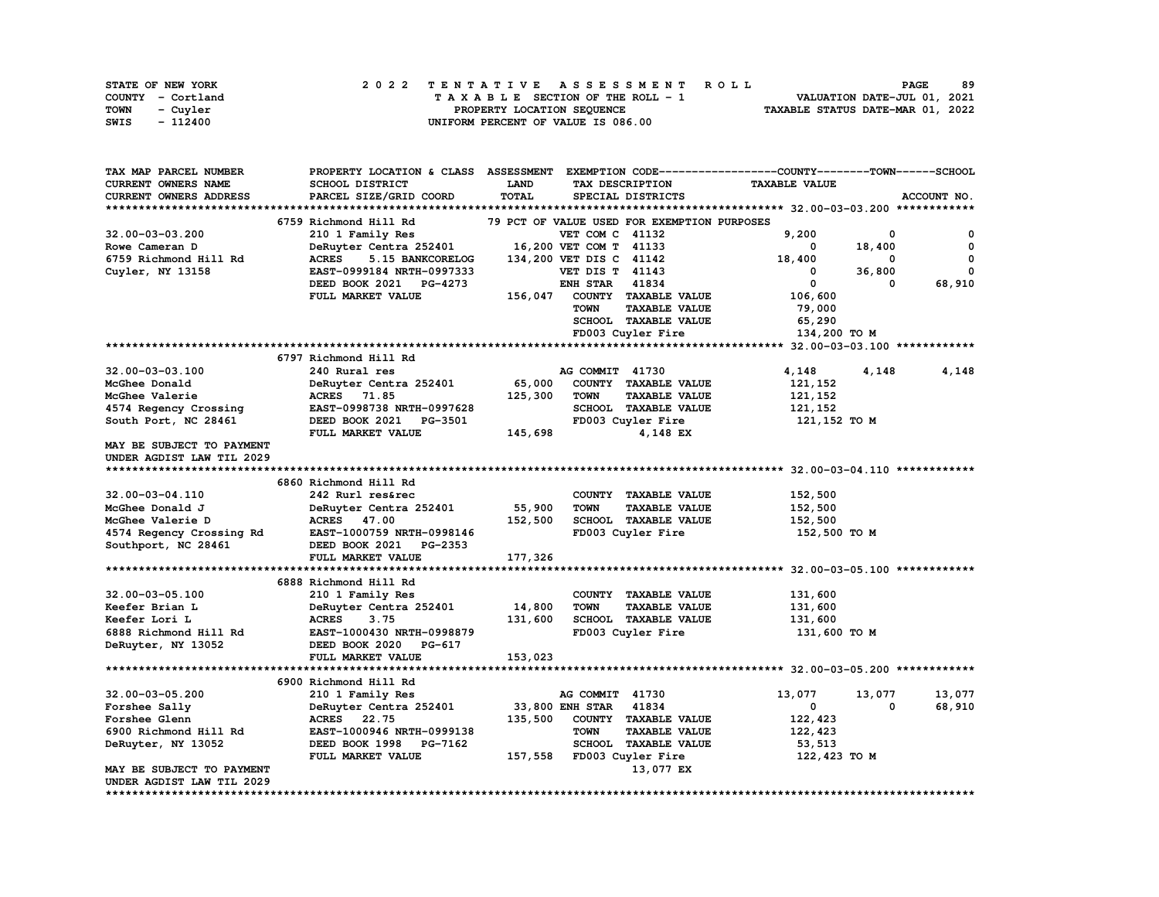| STATE OF NEW YORK | 2022 TENTATIVE ASSESSMENT ROLL     | 89<br><b>PAGE</b>                |
|-------------------|------------------------------------|----------------------------------|
| COUNTY - Cortland | TAXABLE SECTION OF THE ROLL - 1    | VALUATION DATE-JUL 01, 2021      |
| TOWN<br>- Cuvler  | PROPERTY LOCATION SEQUENCE         | TAXABLE STATUS DATE-MAR 01, 2022 |
| - 112400<br>SWIS  | UNIFORM PERCENT OF VALUE IS 086.00 |                                  |

| TAX MAP PARCEL NUMBER     | PROPERTY LOCATION & CLASS ASSESSMENT EXEMPTION CODE----------------COUNTY-------TOWN-----SCHOOL |              |                                             |                      |                      |        |             |
|---------------------------|-------------------------------------------------------------------------------------------------|--------------|---------------------------------------------|----------------------|----------------------|--------|-------------|
| CURRENT OWNERS NAME       | SCHOOL DISTRICT                                                                                 | LAND         | TAX DESCRIPTION                             |                      | <b>TAXABLE VALUE</b> |        |             |
| CURRENT OWNERS ADDRESS    | PARCEL SIZE/GRID COORD                                                                          | <b>TOTAL</b> | SPECIAL DISTRICTS                           |                      |                      |        | ACCOUNT NO. |
|                           |                                                                                                 |              |                                             |                      |                      |        |             |
|                           | 6759 Richmond Hill Rd                                                                           |              | 79 PCT OF VALUE USED FOR EXEMPTION PURPOSES |                      |                      |        |             |
| 32.00-03-03.200           | 210 1 Family Res                                                                                |              | VET COM C 41132                             |                      | 9,200                | 0      | 0           |
| Rowe Cameran D            | DeRuyter Centra 252401                                                                          |              | 16,200 VET COM T 41133                      |                      | $\mathbf{o}$         | 18,400 | 0           |
| 6759 Richmond Hill Rd     | <b>ACRES</b><br>5.15 BANKCORELOG                                                                |              | 134,200 VET DIS C 41142                     |                      | 18,400               | 0      | 0           |
| Cuyler, NY 13158          | EAST-0999184 NRTH-0997333                                                                       |              | <b>VET DIS T 41143</b>                      |                      | 0                    | 36,800 | 0           |
|                           | DEED BOOK 2021 PG-4273                                                                          |              | <b>ENH STAR</b><br>41834                    |                      | 0                    | 0      | 68,910      |
|                           | FULL MARKET VALUE                                                                               | 156,047      | COUNTY TAXABLE VALUE                        |                      | 106,600              |        |             |
|                           |                                                                                                 |              | <b>TOWN</b>                                 | <b>TAXABLE VALUE</b> | 79,000               |        |             |
|                           |                                                                                                 |              | SCHOOL TAXABLE VALUE                        |                      | 65,290               |        |             |
|                           |                                                                                                 |              | FD003 Cuyler Fire                           |                      | 134,200 TO M         |        |             |
|                           |                                                                                                 |              |                                             |                      |                      |        |             |
|                           | 6797 Richmond Hill Rd                                                                           |              |                                             |                      |                      |        |             |
| 32.00-03-03.100           | 240 Rural res                                                                                   |              | AG COMMIT 41730                             |                      | 4,148                | 4,148  | 4,148       |
| McGhee Donald             | DeRuyter Centra 252401                                                                          | 65,000       | COUNTY TAXABLE VALUE                        |                      | 121,152              |        |             |
| McGhee Valerie            | ACRES 71.85                                                                                     | 125,300      | <b>TOWN</b>                                 | <b>TAXABLE VALUE</b> | 121,152              |        |             |
| 4574 Regency Crossing     | EAST-0998738 NRTH-0997628                                                                       |              | SCHOOL TAXABLE VALUE                        |                      | 121,152              |        |             |
| South Port, NC 28461      | DEED BOOK 2021 PG-3501                                                                          |              | FD003 Cuyler Fire                           |                      | 121,152 TO M         |        |             |
|                           | FULL MARKET VALUE                                                                               | 145,698      |                                             | 4,148 EX             |                      |        |             |
| MAY BE SUBJECT TO PAYMENT |                                                                                                 |              |                                             |                      |                      |        |             |
| UNDER AGDIST LAW TIL 2029 |                                                                                                 |              |                                             |                      |                      |        |             |
|                           |                                                                                                 |              |                                             |                      |                      |        |             |
|                           | 6860 Richmond Hill Rd                                                                           |              |                                             |                      |                      |        |             |
| 32.00-03-04.110           | 242 Rurl res&rec                                                                                |              | COUNTY TAXABLE VALUE                        |                      | 152,500              |        |             |
| McGhee Donald J           | DeRuyter Centra 252401                                                                          | 55,900       | <b>TOWN</b>                                 | <b>TAXABLE VALUE</b> | 152,500              |        |             |
| McGhee Valerie D          | ACRES 47.00                                                                                     | 152,500      | <b>SCHOOL TAXABLE VALUE</b>                 |                      | 152,500              |        |             |
| 4574 Regency Crossing Rd  | EAST-1000759 NRTH-0998146                                                                       |              | FD003 Cuyler Fire                           |                      | 152,500 то м         |        |             |
| Southport, NC 28461       | DEED BOOK 2021 PG-2353                                                                          |              |                                             |                      |                      |        |             |
|                           | FULL MARKET VALUE                                                                               | 177,326      |                                             |                      |                      |        |             |
|                           |                                                                                                 |              |                                             |                      |                      |        |             |
|                           | 6888 Richmond Hill Rd                                                                           |              |                                             |                      |                      |        |             |
| 32.00-03-05.100           | 210 1 Family Res                                                                                |              | COUNTY TAXABLE VALUE                        |                      | 131,600              |        |             |
| Keefer Brian L            | DeRuyter Centra 252401                                                                          | 14,800       | <b>TOWN</b>                                 | <b>TAXABLE VALUE</b> | 131,600              |        |             |
| <b>Keefer Lori L</b>      | <b>ACRES</b><br>3.75                                                                            | 131,600      | <b>SCHOOL TAXABLE VALUE</b>                 |                      | 131,600              |        |             |
| 6888 Richmond Hill Rd     | EAST-1000430 NRTH-0998879                                                                       |              | FD003 Cuyler Fire                           |                      | 131,600 то м         |        |             |
| DeRuyter, NY 13052        | DEED BOOK 2020 PG-617                                                                           |              |                                             |                      |                      |        |             |
|                           | FULL MARKET VALUE                                                                               | 153,023      |                                             |                      |                      |        |             |
|                           |                                                                                                 |              |                                             |                      |                      |        |             |
|                           | 6900 Richmond Hill Rd                                                                           |              |                                             |                      |                      |        |             |
| 32.00-03-05.200           | 210 1 Family Res                                                                                |              | AG COMMIT 41730                             |                      | 13,077               | 13,077 | 13,077      |
| Forshee Sally             | DeRuyter Centra 252401                                                                          |              | <b>33,800 ENH STAR</b><br>41834             |                      | 0                    | 0      | 68,910      |
| <b>Forshee Glenn</b>      | ACRES 22.75                                                                                     | 135,500      | COUNTY TAXABLE VALUE                        |                      | 122,423              |        |             |
| 6900 Richmond Hill Rd     | EAST-1000946 NRTH-0999138                                                                       |              | <b>TOWN</b>                                 | <b>TAXABLE VALUE</b> | 122,423              |        |             |
| DeRuyter, NY 13052        | DEED BOOK 1998 PG-7162                                                                          |              | SCHOOL TAXABLE VALUE                        |                      | 53,513               |        |             |
|                           | FULL MARKET VALUE                                                                               |              | 157,558 FD003 Cuyler Fire                   |                      | 122,423 TO M         |        |             |
| MAY BE SUBJECT TO PAYMENT |                                                                                                 |              |                                             | 13,077 EX            |                      |        |             |
| UNDER AGDIST LAW TIL 2029 |                                                                                                 |              |                                             |                      |                      |        |             |
| *********************     |                                                                                                 |              |                                             |                      |                      |        |             |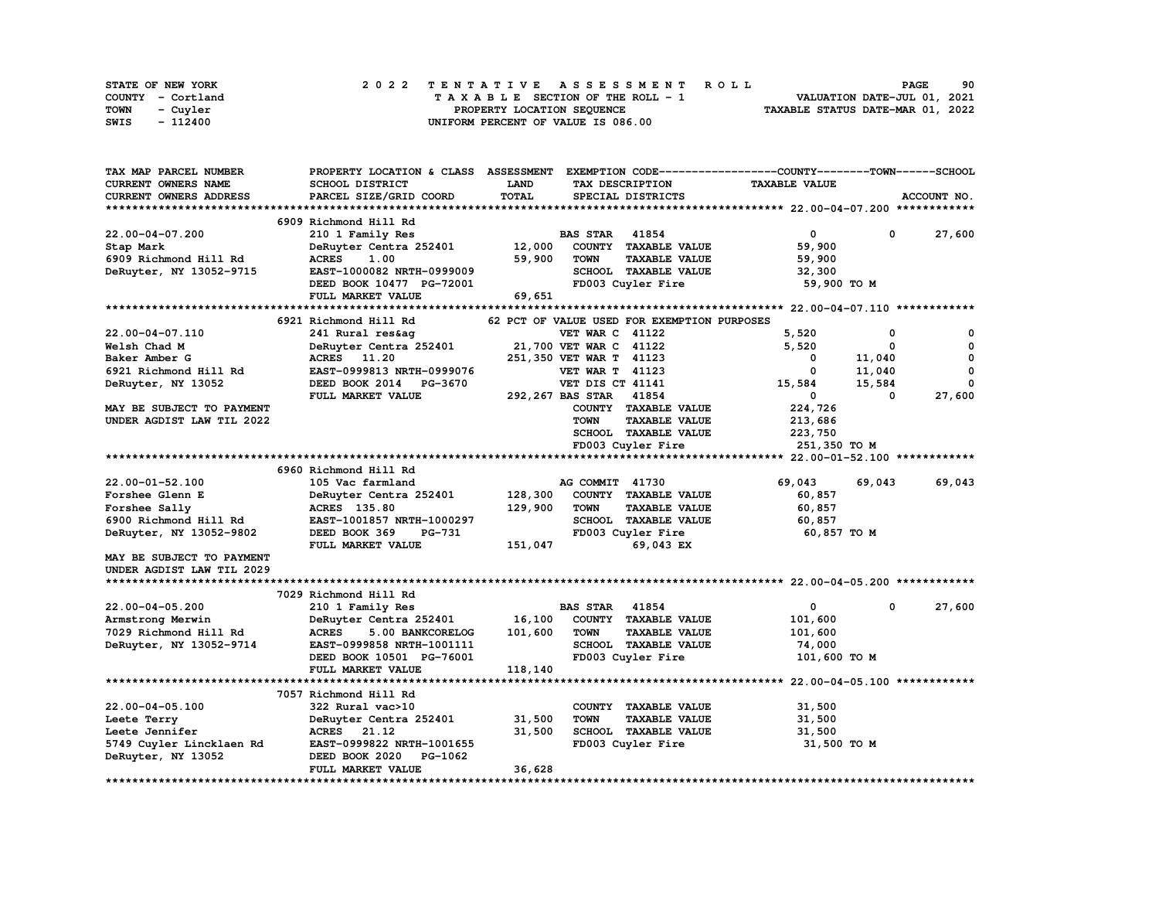| STATE OF NEW YORK | 2022 TENTATIVE ASSESSMENT ROLL     | 90<br><b>PAGE</b>                |
|-------------------|------------------------------------|----------------------------------|
| COUNTY - Cortland | TAXABLE SECTION OF THE ROLL - 1    | VALUATION DATE-JUL 01, 2021      |
| TOWN<br>- Cuvler  | PROPERTY LOCATION SEQUENCE         | TAXABLE STATUS DATE-MAR 01, 2022 |
| - 112400<br>SWIS  | UNIFORM PERCENT OF VALUE IS 086.00 |                                  |

| TAX MAP PARCEL NUMBER      | PROPERTY LOCATION & CLASS ASSESSMENT |              |                         |                                             | EXEMPTION CODE-----------------COUNTY-------TOWN------SCHOOL |          |             |
|----------------------------|--------------------------------------|--------------|-------------------------|---------------------------------------------|--------------------------------------------------------------|----------|-------------|
| <b>CURRENT OWNERS NAME</b> | SCHOOL DISTRICT                      | <b>LAND</b>  | TAX DESCRIPTION         |                                             | <b>TAXABLE VALUE</b>                                         |          |             |
| CURRENT OWNERS ADDRESS     | PARCEL SIZE/GRID COORD               | <b>TOTAL</b> |                         | SPECIAL DISTRICTS                           |                                                              |          | ACCOUNT NO. |
|                            |                                      |              |                         |                                             |                                                              |          |             |
|                            | 6909 Richmond Hill Rd                |              |                         |                                             |                                                              |          |             |
| 22.00-04-07.200            | 210 1 Family Res                     |              | <b>BAS STAR</b>         | 41854                                       | $\mathbf 0$                                                  | 0        | 27,600      |
| Stap Mark                  | DeRuyter Centra 252401               | 12,000       |                         | COUNTY TAXABLE VALUE                        | 59,900                                                       |          |             |
| 6909 Richmond Hill Rd      | <b>ACRES</b><br>1.00                 | 59,900       | <b>TOWN</b>             | <b>TAXABLE VALUE</b>                        | 59,900                                                       |          |             |
| DeRuyter, NY 13052-9715    | EAST-1000082 NRTH-0999009            |              |                         | SCHOOL TAXABLE VALUE                        | 32,300                                                       |          |             |
|                            | DEED BOOK 10477 PG-72001             |              |                         | FD003 Cuyler Fire                           | 59,900 TO M                                                  |          |             |
|                            | FULL MARKET VALUE                    | 69,651       |                         |                                             |                                                              |          |             |
|                            |                                      |              |                         |                                             |                                                              |          |             |
|                            | 6921 Richmond Hill Rd                |              |                         | 62 PCT OF VALUE USED FOR EXEMPTION PURPOSES |                                                              |          |             |
| 22.00-04-07.110            | 241 Rural res&aq                     |              | <b>VET WAR C 41122</b>  |                                             | 5,520                                                        | 0        | 0           |
| Welsh Chad M               | DeRuyter Centra 252401               |              | 21,700 VET WAR C 41122  |                                             | 5,520                                                        | 0        | 0           |
| Baker Amber G              | ACRES 11.20                          |              | 251,350 VET WAR T 41123 |                                             | 0                                                            | 11,040   | 0           |
| 6921 Richmond Hill Rd      | EAST-0999813 NRTH-0999076            |              | <b>VET WAR T 41123</b>  |                                             | 0                                                            | 11,040   | $\mathbf 0$ |
| DeRuyter, NY 13052         | DEED BOOK 2014 PG-3670               |              | VET DIS CT 41141        |                                             | 15,584                                                       | 15,584   | 0           |
|                            | FULL MARKET VALUE                    |              | 292, 267 BAS STAR 41854 |                                             | 0                                                            | $\Omega$ | 27,600      |
| MAY BE SUBJECT TO PAYMENT  |                                      |              |                         | COUNTY TAXABLE VALUE                        | 224,726                                                      |          |             |
| UNDER AGDIST LAW TIL 2022  |                                      |              | <b>TOWN</b>             | <b>TAXABLE VALUE</b>                        | 213,686                                                      |          |             |
|                            |                                      |              |                         | SCHOOL TAXABLE VALUE                        | 223,750                                                      |          |             |
|                            |                                      |              |                         | FD003 Cuyler Fire                           | 251,350 TO M                                                 |          |             |
|                            |                                      |              |                         |                                             |                                                              |          |             |
|                            | 6960 Richmond Hill Rd                |              |                         |                                             |                                                              |          |             |
| 22.00-01-52.100            | 105 Vac farmland                     |              | AG COMMIT 41730         |                                             | 69,043                                                       | 69,043   | 69,043      |
| Forshee Glenn E            | DeRuyter Centra 252401               | 128,300      |                         | COUNTY TAXABLE VALUE                        | 60,857                                                       |          |             |
| Forshee Sally              | <b>ACRES</b> 135.80                  | 129,900      | <b>TOWN</b>             | <b>TAXABLE VALUE</b>                        | 60,857                                                       |          |             |
| 6900 Richmond Hill Rd      | EAST-1001857 NRTH-1000297            |              |                         | SCHOOL TAXABLE VALUE                        | 60,857                                                       |          |             |
| DeRuyter, NY 13052-9802    | DEED BOOK 369<br><b>PG-731</b>       |              |                         | FD003 Cuyler Fire                           | 60,857 TO M                                                  |          |             |
|                            | FULL MARKET VALUE                    | 151,047      |                         | 69,043 EX                                   |                                                              |          |             |
| MAY BE SUBJECT TO PAYMENT  |                                      |              |                         |                                             |                                                              |          |             |
| UNDER AGDIST LAW TIL 2029  |                                      |              |                         |                                             |                                                              |          |             |
|                            |                                      |              |                         |                                             |                                                              |          |             |
|                            | 7029 Richmond Hill Rd                |              |                         |                                             |                                                              |          |             |
| $22.00 - 04 - 05.200$      | 210 1 Family Res                     |              | <b>BAS STAR</b>         | 41854                                       | 0                                                            | 0        | 27,600      |
| Armstrong Merwin           | DeRuyter Centra 252401               | 16,100       |                         | COUNTY TAXABLE VALUE                        | 101,600                                                      |          |             |
| 7029 Richmond Hill Rd      | <b>ACRES</b><br>5.00 BANKCORELOG     | 101,600      | <b>TOWN</b>             | <b>TAXABLE VALUE</b>                        | 101,600                                                      |          |             |
| DeRuyter, NY 13052-9714    | EAST-0999858 NRTH-1001111            |              |                         | SCHOOL TAXABLE VALUE                        | 74,000                                                       |          |             |
|                            | DEED BOOK 10501 PG-76001             |              |                         | FD003 Cuyler Fire                           |                                                              |          |             |
|                            | FULL MARKET VALUE                    | 118,140      |                         |                                             | 101,600 TO M                                                 |          |             |
|                            |                                      |              |                         |                                             |                                                              |          |             |
|                            |                                      |              |                         |                                             |                                                              |          |             |
|                            | 7057 Richmond Hill Rd                |              |                         |                                             |                                                              |          |             |
| 22.00-04-05.100            | 322 Rural vac>10                     |              |                         | COUNTY TAXABLE VALUE                        | 31,500                                                       |          |             |
| Leete Terry                | DeRuyter Centra 252401               | 31,500       | <b>TOWN</b>             | <b>TAXABLE VALUE</b>                        | 31,500                                                       |          |             |
| Leete Jennifer             | ACRES 21.12                          | 31,500       |                         | SCHOOL TAXABLE VALUE                        | 31,500                                                       |          |             |
| 5749 Cuyler Lincklaen Rd   | EAST-0999822 NRTH-1001655            |              |                         | FD003 Cuyler Fire                           | 31,500 TO M                                                  |          |             |
| DeRuyter, NY 13052         | DEED BOOK 2020<br>PG-1062            |              |                         |                                             |                                                              |          |             |
|                            | FULL MARKET VALUE                    | 36,628       |                         |                                             |                                                              |          |             |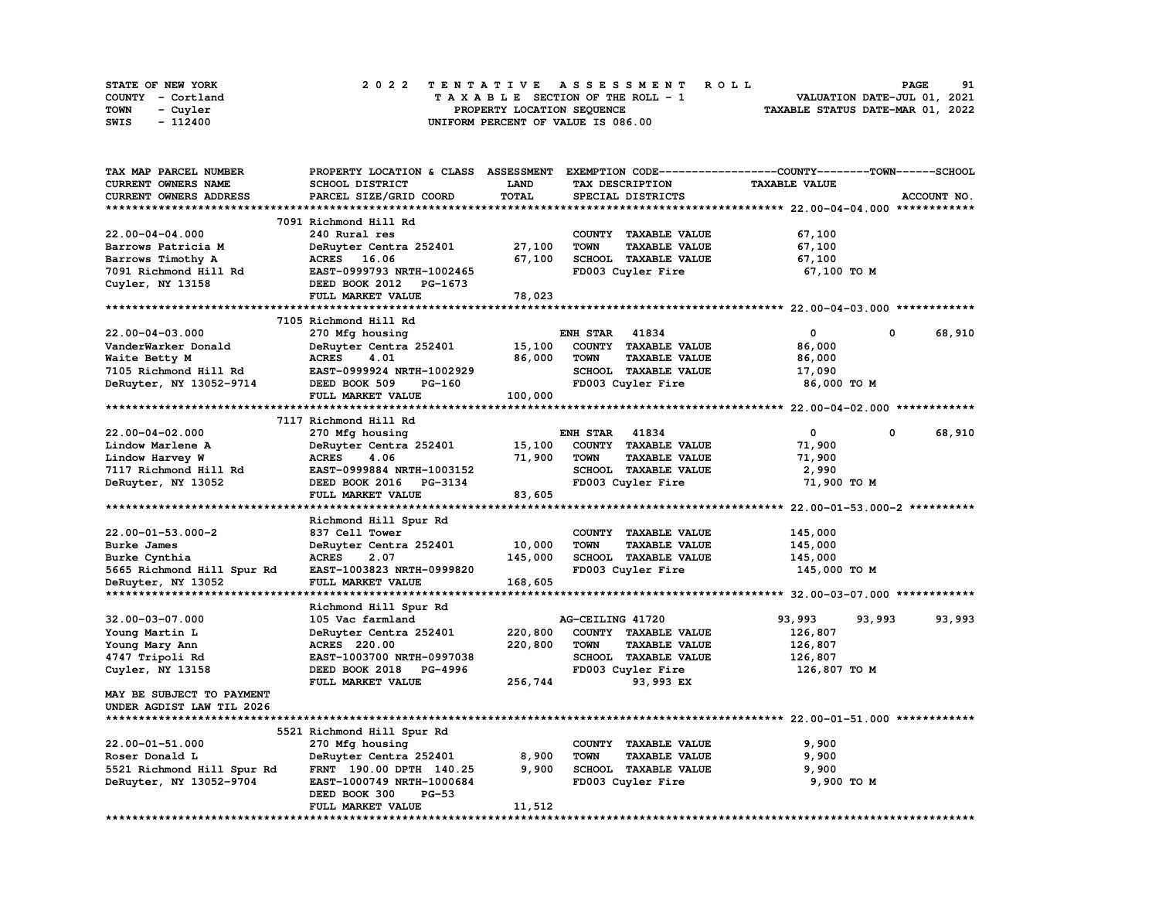| <b>STATE OF NEW YORK</b> | 2022 TENTATIVE ASSESSMENT ROLL     | 91<br><b>PAGE</b>                |
|--------------------------|------------------------------------|----------------------------------|
| COUNTY - Cortland        | TAXABLE SECTION OF THE ROLL - 1    | VALUATION DATE-JUL 01, 2021      |
| TOWN<br>- Cuyler         | PROPERTY LOCATION SEQUENCE         | TAXABLE STATUS DATE-MAR 01, 2022 |
| - 112400<br>SWIS         | UNIFORM PERCENT OF VALUE IS 086.00 |                                  |

| TAX MAP PARCEL NUMBER      | PROPERTY LOCATION & CLASS  | <b>ASSESSMENT</b> | EXEMPTION CODE-----------------COUNTY-------TOWN-----SCHOOL |                      |                  |
|----------------------------|----------------------------|-------------------|-------------------------------------------------------------|----------------------|------------------|
| CURRENT OWNERS NAME        | SCHOOL DISTRICT            | LAND              | TAX DESCRIPTION                                             | <b>TAXABLE VALUE</b> |                  |
| CURRENT OWNERS ADDRESS     | PARCEL SIZE/GRID COORD     | <b>TOTAL</b>      | SPECIAL DISTRICTS                                           |                      | ACCOUNT NO.      |
|                            |                            |                   |                                                             |                      |                  |
|                            | 7091 Richmond Hill Rd      |                   |                                                             |                      |                  |
| 22.00-04-04.000            | 240 Rural res              |                   | COUNTY TAXABLE VALUE                                        | 67,100               |                  |
| Barrows Patricia M         | DeRuyter Centra 252401     | 27,100            | <b>TOWN</b><br><b>TAXABLE VALUE</b>                         | 67,100               |                  |
| Barrows Timothy A          | ACRES 16.06                | 67,100            | SCHOOL TAXABLE VALUE                                        | 67,100               |                  |
| 7091 Richmond Hill Rd      | EAST-0999793 NRTH-1002465  |                   | FD003 Cuyler Fire                                           | 67,100 TO M          |                  |
| Cuyler, NY 13158           | DEED BOOK 2012 PG-1673     |                   |                                                             |                      |                  |
|                            | FULL MARKET VALUE          | 78,023            |                                                             |                      |                  |
|                            |                            |                   |                                                             |                      |                  |
|                            | 7105 Richmond Hill Rd      |                   |                                                             |                      |                  |
| 22.00-04-03.000            | 270 Mfg housing            |                   | <b>ENH STAR 41834</b>                                       | $^{\circ}$           | 68,910<br>0      |
| VanderWarker Donald        | DeRuyter Centra 252401     | 15,100            | COUNTY TAXABLE VALUE                                        | 86,000               |                  |
| Waite Betty M              | 4.01<br><b>ACRES</b>       | 86,000            | <b>TOWN</b><br><b>TAXABLE VALUE</b>                         | 86,000               |                  |
| 7105 Richmond Hill Rd      | EAST-0999924 NRTH-1002929  |                   | SCHOOL TAXABLE VALUE                                        |                      |                  |
|                            | PG-160                     |                   | FD003 Cuyler Fire                                           | 17,090               |                  |
| DeRuyter, NY 13052-9714    | DEED BOOK 509              |                   |                                                             | 86,000 TO M          |                  |
|                            | FULL MARKET VALUE          | 100,000           |                                                             |                      |                  |
|                            |                            |                   |                                                             |                      |                  |
|                            | 7117 Richmond Hill Rd      |                   |                                                             |                      |                  |
| $22.00 - 04 - 02.000$      | 270 Mfg housing            |                   | <b>ENH STAR 41834</b>                                       | $\mathbf{0}$         | 0<br>68,910      |
| Lindow Marlene A           | DeRuyter Centra 252401     | 15,100            | COUNTY TAXABLE VALUE                                        | 71,900               |                  |
| Lindow Harvey W            | <b>ACRES</b><br>4.06       | 71,900            | <b>TOWN</b><br><b>TAXABLE VALUE</b>                         | 71,900               |                  |
| 7117 Richmond Hill Rd      | EAST-0999884 NRTH-1003152  |                   | SCHOOL TAXABLE VALUE                                        | 2,990                |                  |
| DeRuyter, NY 13052         | DEED BOOK 2016 PG-3134     |                   | FD003 Cuyler Fire                                           | 71,900 TO M          |                  |
|                            | FULL MARKET VALUE          | 83,605            |                                                             |                      |                  |
|                            |                            |                   |                                                             |                      |                  |
|                            | Richmond Hill Spur Rd      |                   |                                                             |                      |                  |
| $22.00 - 01 - 53.000 - 2$  | 837 Cell Tower             |                   | COUNTY TAXABLE VALUE                                        | 145,000              |                  |
| Burke James                | DeRuyter Centra 252401     | 10,000            | <b>TOWN</b><br><b>TAXABLE VALUE</b>                         | 145,000              |                  |
| Burke Cynthia              | <b>ACRES</b><br>2.07       | 145,000           | SCHOOL TAXABLE VALUE                                        | 145,000              |                  |
| 5665 Richmond Hill Spur Rd | EAST-1003823 NRTH-0999820  |                   | FD003 Cuyler Fire                                           | 145,000 TO M         |                  |
| DeRuyter, NY 13052         | FULL MARKET VALUE          | 168,605           |                                                             |                      |                  |
|                            |                            |                   |                                                             |                      |                  |
|                            | Richmond Hill Spur Rd      |                   |                                                             |                      |                  |
| 32.00-03-07.000            | 105 Vac farmland           |                   | AG-CEILING 41720                                            | 93,993               | 93,993<br>93,993 |
| Young Martin L             | DeRuyter Centra 252401     | 220,800           | COUNTY TAXABLE VALUE                                        | 126,807              |                  |
| Young Mary Ann             | <b>ACRES</b> 220.00        | 220,800           | <b>TOWN</b><br><b>TAXABLE VALUE</b>                         | 126,807              |                  |
| 4747 Tripoli Rd            | EAST-1003700 NRTH-0997038  |                   | SCHOOL TAXABLE VALUE                                        | 126,807              |                  |
| Cuyler, NY 13158           | DEED BOOK 2018 PG-4996     |                   | FD003 Cuyler Fire                                           | 126,807 TO M         |                  |
|                            | FULL MARKET VALUE          | 256,744           | 93,993 EX                                                   |                      |                  |
| MAY BE SUBJECT TO PAYMENT  |                            |                   |                                                             |                      |                  |
| UNDER AGDIST LAW TIL 2026  |                            |                   |                                                             |                      |                  |
|                            |                            |                   |                                                             |                      |                  |
|                            | 5521 Richmond Hill Spur Rd |                   |                                                             |                      |                  |
| $22.00 - 01 - 51.000$      | 270 Mfg housing            |                   | COUNTY TAXABLE VALUE                                        | 9,900                |                  |
| Roser Donald L             | DeRuyter Centra 252401     | 8,900             | <b>TOWN</b><br><b>TAXABLE VALUE</b>                         | 9,900                |                  |
| 5521 Richmond Hill Spur Rd | FRNT 190.00 DPTH 140.25    | 9,900             | SCHOOL TAXABLE VALUE                                        | 9,900                |                  |
| DeRuyter, NY 13052-9704    | EAST-1000749 NRTH-1000684  |                   | FD003 Cuyler Fire                                           |                      |                  |
|                            | DEED BOOK 300<br>$PG-53$   |                   |                                                             | 9,900 TO M           |                  |
|                            |                            |                   |                                                             |                      |                  |
|                            | FULL MARKET VALUE          | 11,512            |                                                             |                      |                  |

**\*\*\*\*\*\*\*\*\*\*\*\*\*\*\*\*\*\*\*\*\*\*\*\*\*\*\*\*\*\*\*\*\*\*\*\*\*\*\*\*\*\*\*\*\*\*\*\*\*\*\*\*\*\*\*\*\*\*\*\*\*\*\*\*\*\*\*\*\*\*\*\*\*\*\*\*\*\*\*\*\*\*\*\*\*\*\*\*\*\*\*\*\*\*\*\*\*\*\*\*\*\*\*\*\*\*\*\*\*\*\*\*\*\*\*\*\*\*\*\*\*\*\*\*\*\*\*\*\*\*\*\***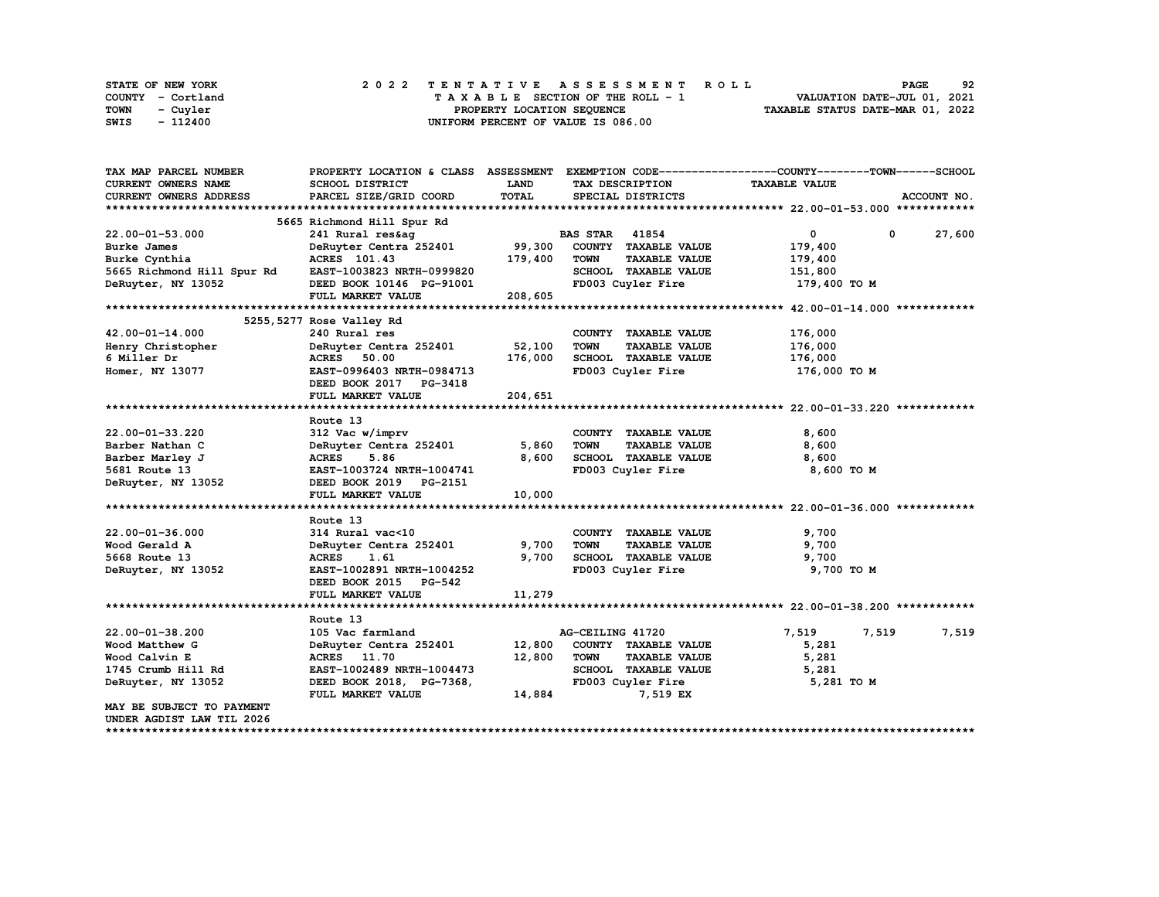| STATE OF NEW YORK | 2022 TENTATIVE ASSESSMENT ROLL     | 92<br><b>PAGE</b>                |
|-------------------|------------------------------------|----------------------------------|
| COUNTY - Cortland | TAXABLE SECTION OF THE ROLL - 1    | VALUATION DATE-JUL 01, 2021      |
| TOWN<br>- Cuvler  | PROPERTY LOCATION SEQUENCE         | TAXABLE STATUS DATE-MAR 01, 2022 |
| - 112400<br>SWIS  | UNIFORM PERCENT OF VALUE IS 086.00 |                                  |

| TAX MAP PARCEL NUMBER      |                               |             |                                     | PROPERTY LOCATION & CLASS ASSESSMENT EXEMPTION CODE----------------COUNTY-------TOWN-----SCHOOL |             |
|----------------------------|-------------------------------|-------------|-------------------------------------|-------------------------------------------------------------------------------------------------|-------------|
| <b>CURRENT OWNERS NAME</b> | <b>SCHOOL DISTRICT</b>        | <b>LAND</b> | TAX DESCRIPTION                     | <b>TAXABLE VALUE</b>                                                                            |             |
| CURRENT OWNERS ADDRESS     | PARCEL SIZE/GRID COORD        | TOTAL       | SPECIAL DISTRICTS                   |                                                                                                 | ACCOUNT NO. |
|                            |                               |             |                                     |                                                                                                 |             |
|                            | 5665 Richmond Hill Spur Rd    |             |                                     |                                                                                                 |             |
| 22.00-01-53.000            | 241 Rural res&aq              |             | <b>BAS STAR</b> 41854               | $\mathbf{0}$<br>$\mathbf 0$                                                                     | 27,600      |
| Burke James                | DeRuyter Centra 252401 99,300 |             | COUNTY TAXABLE VALUE                | 179,400                                                                                         |             |
| Burke Cynthia              | ACRES 101.43                  | 179,400     | <b>TOWN</b><br><b>TAXABLE VALUE</b> | 179,400                                                                                         |             |
| 5665 Richmond Hill Spur Rd | EAST-1003823 NRTH-0999820     |             | SCHOOL TAXABLE VALUE                | 151,800                                                                                         |             |
| DeRuyter, NY 13052         | DEED BOOK 10146 PG-91001      |             | FD003 Cuyler Fire                   | 179,400 то м                                                                                    |             |
|                            | FULL MARKET VALUE             | 208,605     |                                     |                                                                                                 |             |
|                            |                               |             |                                     |                                                                                                 |             |
|                            | 5255, 5277 Rose Valley Rd     |             |                                     |                                                                                                 |             |
| $42.00 - 01 - 14.000$      | 240 Rural res                 |             | COUNTY TAXABLE VALUE                | 176,000                                                                                         |             |
| Henry Christopher          | DeRuyter Centra 252401        | 52,100      | <b>TOWN</b><br><b>TAXABLE VALUE</b> | 176,000                                                                                         |             |
| 6 Miller Dr                | <b>ACRES</b> 50.00            | 176,000     | SCHOOL TAXABLE VALUE                | 176,000                                                                                         |             |
| Homer, NY 13077            | EAST-0996403 NRTH-0984713     |             | FD003 Cuyler Fire                   | 176,000 TO M                                                                                    |             |
|                            | DEED BOOK 2017 PG-3418        |             |                                     |                                                                                                 |             |
|                            | FULL MARKET VALUE             | 204,651     |                                     |                                                                                                 |             |
|                            |                               |             |                                     |                                                                                                 |             |
|                            | Route 13                      |             |                                     |                                                                                                 |             |
| 22.00-01-33.220            | 312 Vac w/imprv               |             | COUNTY TAXABLE VALUE                | 8,600                                                                                           |             |
| Barber Nathan C            | DeRuyter Centra 252401        | 5,860       | <b>TOWN</b><br><b>TAXABLE VALUE</b> | 8,600                                                                                           |             |
| Barber Marley J            | <b>ACRES</b><br>5.86          | 8,600       | SCHOOL TAXABLE VALUE                | 8,600                                                                                           |             |
| 5681 Route 13              | EAST-1003724 NRTH-1004741     |             | FD003 Cuyler Fire                   | 8,600 TO M                                                                                      |             |
| DeRuyter, NY 13052         | DEED BOOK 2019 PG-2151        |             |                                     |                                                                                                 |             |
|                            | FULL MARKET VALUE             | 10,000      |                                     |                                                                                                 |             |
|                            |                               |             |                                     |                                                                                                 |             |
|                            | Route 13                      |             |                                     |                                                                                                 |             |
| 22.00-01-36.000            | 314 Rural vac<10              |             | COUNTY TAXABLE VALUE                | 9,700                                                                                           |             |
| Wood Gerald A              | DeRuyter Centra 252401        | 9,700       | TOWN<br><b>TAXABLE VALUE</b>        | 9,700                                                                                           |             |
| 5668 Route 13              | <b>ACRES</b><br>1.61          | 9,700       | SCHOOL TAXABLE VALUE                | 9,700                                                                                           |             |
| DeRuyter, NY 13052         | EAST-1002891 NRTH-1004252     |             | FD003 Cuyler Fire                   | 9,700 TO M                                                                                      |             |
|                            | DEED BOOK 2015 PG-542         |             |                                     |                                                                                                 |             |
|                            | FULL MARKET VALUE             | 11,279      |                                     |                                                                                                 |             |
|                            |                               |             |                                     |                                                                                                 |             |
|                            | Route 13                      |             |                                     |                                                                                                 |             |
| $22.00 - 01 - 38.200$      | 105 Vac farmland              |             | AG-CEILING 41720                    | 7,519<br>7,519                                                                                  | 7,519       |
| Wood Matthew G             | DeRuyter Centra 252401        | 12,800      | COUNTY TAXABLE VALUE                | 5,281                                                                                           |             |
| Wood Calvin E              | ACRES 11.70                   | 12,800      | <b>TOWN</b><br><b>TAXABLE VALUE</b> | 5,281                                                                                           |             |
| 1745 Crumb Hill Rd         | EAST-1002489 NRTH-1004473     |             | SCHOOL TAXABLE VALUE                | 5,281                                                                                           |             |
| DeRuyter, NY 13052         | DEED BOOK 2018, PG-7368,      |             | FD003 Cuyler Fire                   | 5,281 TO M                                                                                      |             |
|                            | FULL MARKET VALUE             | 14,884      | 7,519 EX                            |                                                                                                 |             |
| MAY BE SUBJECT TO PAYMENT  |                               |             |                                     |                                                                                                 |             |
| UNDER AGDIST LAW TIL 2026  |                               |             |                                     |                                                                                                 |             |
|                            |                               |             |                                     |                                                                                                 |             |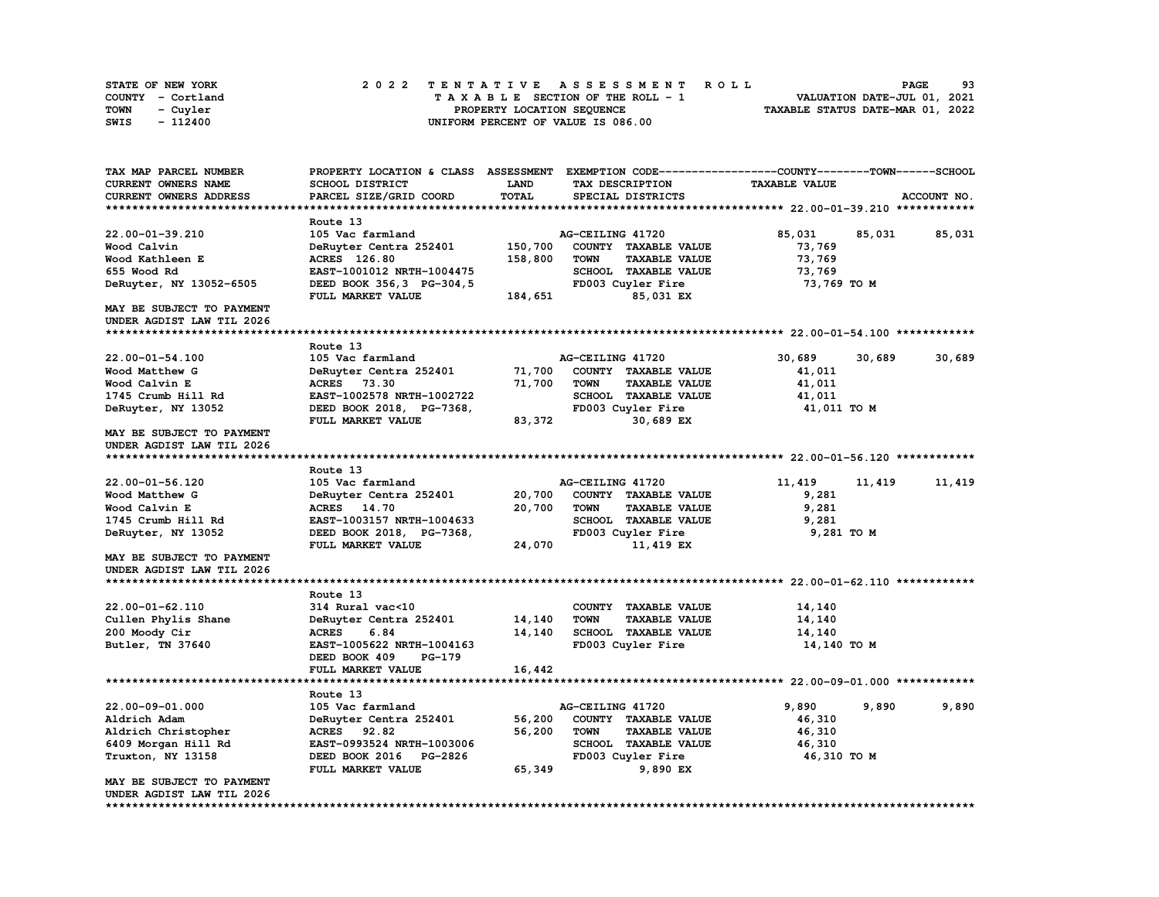| STATE OF NEW YORK |          |  |  |  |                                    |  |  |  | 2022 TENTATIVE ASSESSMENT ROLL |                                  | <b>PAGE</b>                 | 93 |
|-------------------|----------|--|--|--|------------------------------------|--|--|--|--------------------------------|----------------------------------|-----------------------------|----|
| COUNTY - Cortland |          |  |  |  | TAXABLE SECTION OF THE ROLL - 1    |  |  |  |                                |                                  | VALUATION DATE-JUL 01, 2021 |    |
| TOWN              | - Cuyler |  |  |  | PROPERTY LOCATION SEOUENCE         |  |  |  |                                | TAXABLE STATUS DATE-MAR 01, 2022 |                             |    |
| SWIS              | - 112400 |  |  |  | UNIFORM PERCENT OF VALUE IS 086.00 |  |  |  |                                |                                  |                             |    |

| <b>TAX MAP PARCEL NUMBER</b>     | PROPERTY LOCATION & CLASS ASSESSMENT |              | EXEMPTION CODE-----------------COUNTY-------TOWN------SCHOOL |                      |                  |
|----------------------------------|--------------------------------------|--------------|--------------------------------------------------------------|----------------------|------------------|
| <b>CURRENT OWNERS NAME</b>       | SCHOOL DISTRICT                      | LAND         | TAX DESCRIPTION                                              | <b>TAXABLE VALUE</b> |                  |
| CURRENT OWNERS ADDRESS           | PARCEL SIZE/GRID COORD               | <b>TOTAL</b> | SPECIAL DISTRICTS                                            |                      | ACCOUNT NO.      |
|                                  |                                      |              |                                                              |                      |                  |
|                                  | Route 13                             |              |                                                              |                      |                  |
| 22.00-01-39.210                  | 105 Vac farmland                     |              | AG-CEILING 41720                                             | 85,031               | 85,031<br>85,031 |
| Wood Calvin                      | DeRuyter Centra 252401               | 150,700      | COUNTY TAXABLE VALUE                                         | 73,769               |                  |
| Wood Kathleen E                  | <b>ACRES</b> 126.80                  | 158,800      | <b>TOWN</b><br><b>TAXABLE VALUE</b>                          | 73,769               |                  |
| 655 Wood Rd                      | EAST-1001012 NRTH-1004475            |              | SCHOOL TAXABLE VALUE                                         | 73,769               |                  |
| DeRuyter, NY 13052-6505          | DEED BOOK 356, 3 PG-304, 5           |              | FD003 Cuyler Fire                                            | 73,769 TO M          |                  |
|                                  | FULL MARKET VALUE                    | 184,651      | 85,031 EX                                                    |                      |                  |
| <b>MAY BE SUBJECT TO PAYMENT</b> |                                      |              |                                                              |                      |                  |
| UNDER AGDIST LAW TIL 2026        |                                      |              |                                                              |                      |                  |
|                                  |                                      |              |                                                              |                      |                  |
|                                  | Route 13                             |              |                                                              |                      |                  |
| 22.00-01-54.100                  | 105 Vac farmland                     |              | AG-CEILING 41720                                             | 30,689               | 30,689<br>30,689 |
| Wood Matthew G                   | DeRuyter Centra 252401               | 71,700       | COUNTY TAXABLE VALUE                                         | 41,011               |                  |
| Wood Calvin E                    | 73.30<br><b>ACRES</b>                | 71,700       | <b>TOWN</b><br><b>TAXABLE VALUE</b>                          | 41,011               |                  |
| 1745 Crumb Hill Rd               | EAST-1002578 NRTH-1002722            |              | SCHOOL TAXABLE VALUE                                         | 41,011               |                  |
| DeRuyter, NY 13052               | DEED BOOK 2018, PG-7368,             |              | FD003 Cuyler Fire                                            | 41,011 TO M          |                  |
|                                  | FULL MARKET VALUE                    | 83,372       | 30,689 EX                                                    |                      |                  |
| MAY BE SUBJECT TO PAYMENT        |                                      |              |                                                              |                      |                  |
| UNDER AGDIST LAW TIL 2026        |                                      |              |                                                              |                      |                  |
|                                  |                                      |              |                                                              |                      |                  |
|                                  | Route 13                             |              |                                                              |                      |                  |
| 22.00-01-56.120                  | 105 Vac farmland                     |              | AG-CEILING 41720                                             | 11,419               | 11,419<br>11,419 |
| Wood Matthew G                   | DeRuyter Centra 252401               | 20,700       | COUNTY TAXABLE VALUE                                         | 9,281                |                  |
| Wood Calvin E                    | ACRES 14.70                          | 20,700       | <b>TOWN</b><br><b>TAXABLE VALUE</b>                          | 9,281                |                  |
| 1745 Crumb Hill Rd               | EAST-1003157 NRTH-1004633            |              | SCHOOL TAXABLE VALUE                                         | 9,281                |                  |
| DeRuyter, NY 13052               | DEED BOOK 2018, PG-7368,             |              | FD003 Cuyler Fire                                            | 9,281 TO M           |                  |
|                                  | FULL MARKET VALUE                    | 24,070       | 11,419 EX                                                    |                      |                  |
| <b>MAY BE SUBJECT TO PAYMENT</b> |                                      |              |                                                              |                      |                  |
| UNDER AGDIST LAW TIL 2026        |                                      |              |                                                              |                      |                  |
|                                  |                                      |              |                                                              |                      |                  |
|                                  | Route 13                             |              |                                                              |                      |                  |
| 22.00-01-62.110                  | 314 Rural vac<10                     |              | COUNTY TAXABLE VALUE                                         | 14,140               |                  |
| Cullen Phylis Shane              | DeRuyter Centra 252401               | 14,140       | <b>TOWN</b><br><b>TAXABLE VALUE</b>                          | 14,140               |                  |
| 200 Moody Cir                    | <b>ACRES</b><br>6.84                 | 14,140       | SCHOOL TAXABLE VALUE                                         | 14,140               |                  |
| Butler, TN 37640                 | EAST-1005622 NRTH-1004163            |              | FD003 Cuyler Fire                                            | 14,140 TO M          |                  |
|                                  | DEED BOOK 409<br><b>PG-179</b>       |              |                                                              |                      |                  |
|                                  | FULL MARKET VALUE                    | 16,442       |                                                              |                      |                  |
| **************************       |                                      |              |                                                              |                      |                  |
|                                  | Route 13                             |              |                                                              |                      |                  |
| 22.00-09-01.000                  | 105 Vac farmland                     |              | AG-CEILING 41720                                             | 9,890                | 9,890<br>9,890   |
| Aldrich Adam                     | DeRuyter Centra 252401               | 56,200       | COUNTY TAXABLE VALUE                                         | 46,310               |                  |
| Aldrich Christopher              | 92.82<br><b>ACRES</b>                | 56,200       | <b>TOWN</b><br><b>TAXABLE VALUE</b>                          | 46,310               |                  |
| 6409 Morgan Hill Rd              | EAST-0993524 NRTH-1003006            |              | SCHOOL TAXABLE VALUE                                         | 46,310               |                  |
| Truxton, NY 13158                | DEED BOOK 2016 PG-2826               |              | FD003 Cuyler Fire                                            | 46,310 TO M          |                  |
|                                  | FULL MARKET VALUE                    | 65,349       | 9,890 EX                                                     |                      |                  |
| <b>MAY BE SUBJECT TO PAYMENT</b> |                                      |              |                                                              |                      |                  |
| UNDER AGDIST LAW TIL 2026        |                                      |              |                                                              |                      |                  |
| *********************            |                                      |              |                                                              |                      |                  |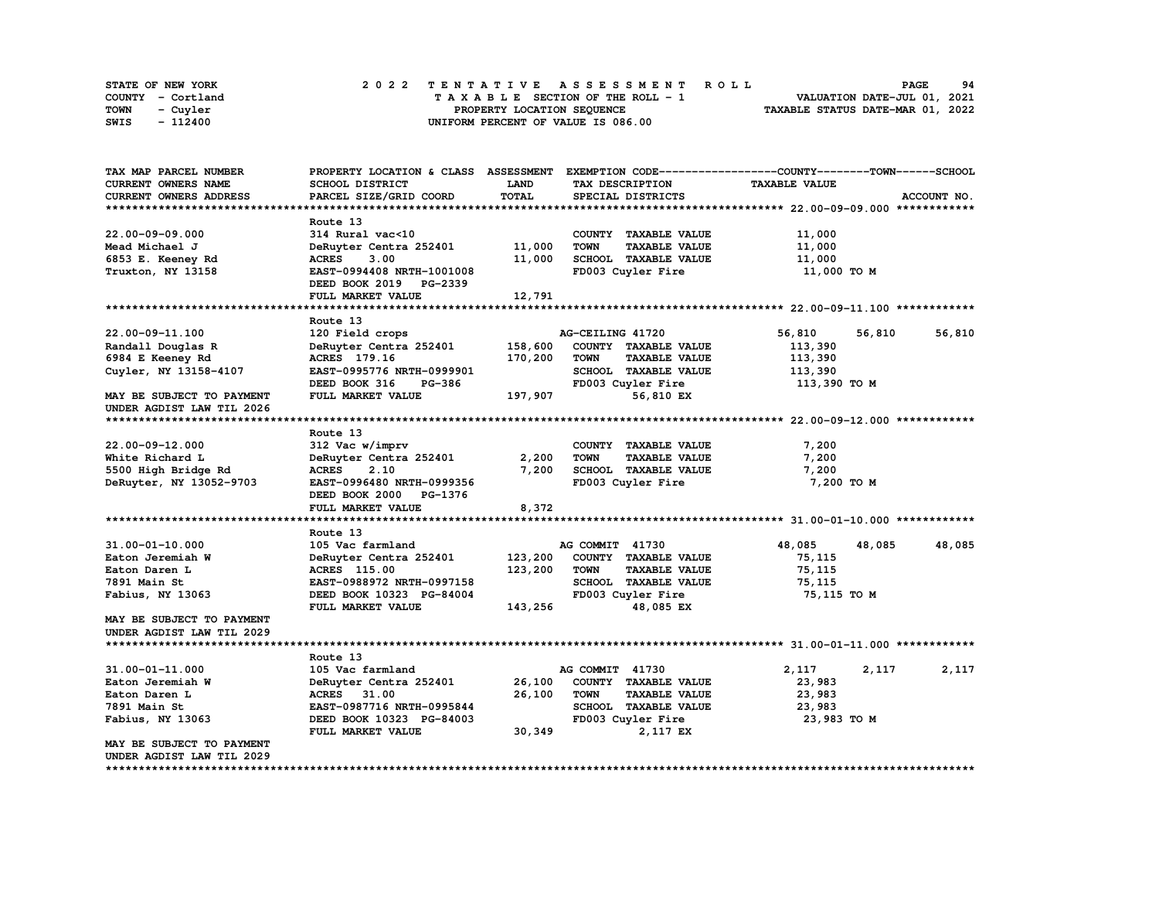| <b>STATE OF NEW YORK</b> | 2022 TENTATIVE ASSESSMENT ROLL     | 94<br><b>PAGE</b>                |
|--------------------------|------------------------------------|----------------------------------|
| COUNTY - Cortland        | TAXABLE SECTION OF THE ROLL - 1    | VALUATION DATE-JUL 01, 2021      |
| <b>TOWN</b><br>- Cuyler  | PROPERTY LOCATION SEQUENCE         | TAXABLE STATUS DATE-MAR 01, 2022 |
| - 112400<br>SWIS         | UNIFORM PERCENT OF VALUE IS 086.00 |                                  |

| TAX MAP PARCEL NUMBER         | PROPERTY LOCATION & CLASS ASSESSMENT EXEMPTION CODE----------------COUNTY-------TOWN-----SCHOOL |         |                  |                      |                      |        |             |
|-------------------------------|-------------------------------------------------------------------------------------------------|---------|------------------|----------------------|----------------------|--------|-------------|
| CURRENT OWNERS NAME           | SCHOOL DISTRICT                                                                                 | LAND    | TAX DESCRIPTION  |                      | <b>TAXABLE VALUE</b> |        |             |
| CURRENT OWNERS ADDRESS        | PARCEL SIZE/GRID COORD                                                                          | TOTAL   |                  | SPECIAL DISTRICTS    |                      |        | ACCOUNT NO. |
|                               |                                                                                                 |         |                  |                      |                      |        |             |
|                               | Route 13                                                                                        |         |                  |                      |                      |        |             |
| 22.00-09-09.000               | 314 Rural vac<10                                                                                |         |                  | COUNTY TAXABLE VALUE | 11,000               |        |             |
| Mead Michael J                | DeRuyter Centra 252401                                                                          | 11,000  | <b>TOWN</b>      | <b>TAXABLE VALUE</b> | 11,000               |        |             |
| 6853 E. Keeney Rd             | <b>ACRES</b><br>3.00                                                                            | 11,000  |                  | SCHOOL TAXABLE VALUE | 11,000               |        |             |
| Truxton, NY 13158             | EAST-0994408 NRTH-1001008                                                                       |         |                  | FD003 Cuyler Fire    | 11,000 TO M          |        |             |
|                               | DEED BOOK 2019 PG-2339                                                                          |         |                  |                      |                      |        |             |
|                               | FULL MARKET VALUE                                                                               | 12,791  |                  |                      |                      |        |             |
|                               |                                                                                                 |         |                  |                      |                      |        |             |
|                               | Route 13                                                                                        |         |                  |                      |                      |        |             |
| 22.00-09-11.100               | 120 Field crops                                                                                 |         | AG-CEILING 41720 |                      | 56,810               | 56,810 | 56,810      |
| Randall Douglas R             | DeRuyter Centra 252401                                                                          | 158,600 |                  | COUNTY TAXABLE VALUE | 113,390              |        |             |
| 6984 E Keeney Rd              | ACRES 179.16                                                                                    | 170,200 | <b>TOWN</b>      | <b>TAXABLE VALUE</b> | 113,390              |        |             |
| Cuyler, NY 13158-4107         | EAST-0995776 NRTH-0999901                                                                       |         |                  | SCHOOL TAXABLE VALUE | 113,390              |        |             |
|                               | DEED BOOK 316<br>PG-386                                                                         |         |                  | FD003 Cuyler Fire    | 113,390 TO M         |        |             |
| MAY BE SUBJECT TO PAYMENT     | FULL MARKET VALUE                                                                               | 197,907 |                  | 56,810 EX            |                      |        |             |
| UNDER AGDIST LAW TIL 2026     |                                                                                                 |         |                  |                      |                      |        |             |
|                               |                                                                                                 |         |                  |                      |                      |        |             |
|                               | Route 13                                                                                        |         |                  |                      |                      |        |             |
| 22.00-09-12.000               | 312 Vac w/imprv                                                                                 |         |                  | COUNTY TAXABLE VALUE | 7,200                |        |             |
| White Richard L               | DeRuyter Centra 252401                                                                          | 2,200   | <b>TOWN</b>      | <b>TAXABLE VALUE</b> | 7,200                |        |             |
| 5500 High Bridge Rd           | 2.10<br><b>ACRES</b>                                                                            | 7,200   |                  | SCHOOL TAXABLE VALUE | 7,200                |        |             |
| DeRuyter, NY 13052-9703       | EAST-0996480 NRTH-0999356                                                                       |         |                  | FD003 Cuyler Fire    | 7,200 TO M           |        |             |
|                               | DEED BOOK 2000 PG-1376                                                                          |         |                  |                      |                      |        |             |
|                               | FULL MARKET VALUE                                                                               | 8,372   |                  |                      |                      |        |             |
|                               |                                                                                                 |         |                  |                      |                      |        |             |
|                               | Route 13                                                                                        |         |                  |                      |                      |        |             |
| 31.00-01-10.000               | 105 Vac farmland                                                                                |         | AG COMMIT 41730  |                      | 48,085               | 48,085 | 48,085      |
| Eaton Jeremiah W              | DeRuyter Centra 252401                                                                          | 123,200 |                  | COUNTY TAXABLE VALUE | 75,115               |        |             |
| Eaton Daren L                 | <b>ACRES</b> 115.00                                                                             | 123,200 | <b>TOWN</b>      | <b>TAXABLE VALUE</b> | 75,115               |        |             |
| 7891 Main St                  | EAST-0988972 NRTH-0997158                                                                       |         |                  | SCHOOL TAXABLE VALUE | 75,115               |        |             |
| <b>Fabius, NY 13063</b>       | DEED BOOK 10323 PG-84004                                                                        |         |                  | FD003 Cuyler Fire    | 75,115 TO M          |        |             |
|                               | FULL MARKET VALUE                                                                               | 143,256 |                  | 48,085 EX            |                      |        |             |
| MAY BE SUBJECT TO PAYMENT     |                                                                                                 |         |                  |                      |                      |        |             |
| UNDER AGDIST LAW TIL 2029     |                                                                                                 |         |                  |                      |                      |        |             |
|                               |                                                                                                 |         |                  |                      |                      |        |             |
|                               | Route 13                                                                                        |         |                  |                      |                      |        |             |
| $31.00 - 01 - 11.000$         | 105 Vac farmland                                                                                |         | AG COMMIT 41730  |                      | 2,117                | 2,117  | 2,117       |
| Eaton Jeremiah W              | DeRuyter Centra 252401                                                                          | 26,100  |                  | COUNTY TAXABLE VALUE | 23,983               |        |             |
| Eaton Daren L                 | ACRES 31.00                                                                                     | 26,100  | <b>TOWN</b>      | <b>TAXABLE VALUE</b> | 23,983               |        |             |
| 7891 Main St                  | EAST-0987716 NRTH-0995844                                                                       |         |                  | SCHOOL TAXABLE VALUE | 23,983               |        |             |
| Fabius, NY 13063              | DEED BOOK 10323 PG-84003                                                                        |         |                  | FD003 Cuyler Fire    | 23,983 TO M          |        |             |
|                               | FULL MARKET VALUE                                                                               | 30,349  |                  | 2,117 EX             |                      |        |             |
| MAY BE SUBJECT TO PAYMENT     |                                                                                                 |         |                  |                      |                      |        |             |
| UNDER AGDIST LAW TIL 2029     |                                                                                                 |         |                  |                      |                      |        |             |
| ***************************** |                                                                                                 |         |                  |                      |                      |        |             |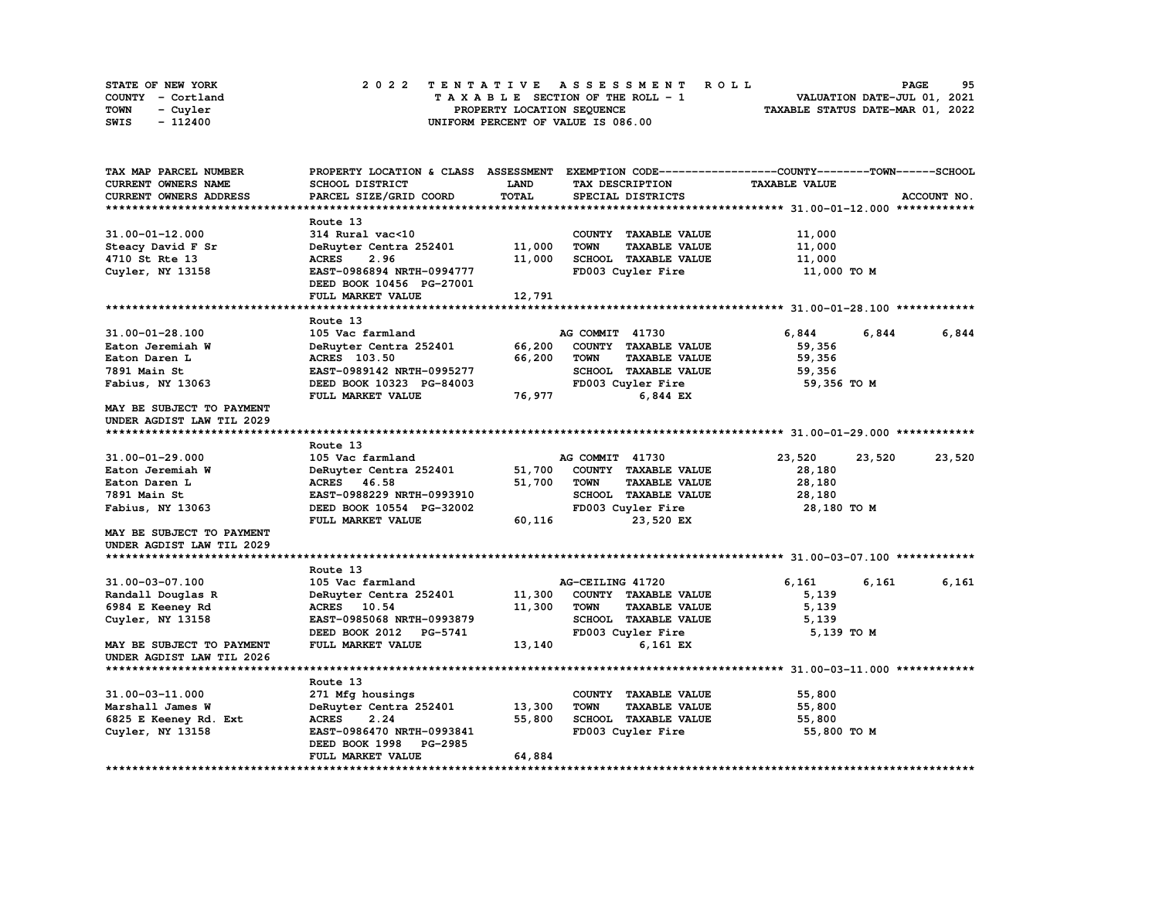| STATE OF NEW YORK | 2022 TENTATIVE ASSESSMENT ROLL     | 95<br><b>PAGE</b>                |
|-------------------|------------------------------------|----------------------------------|
| COUNTY - Cortland | TAXABLE SECTION OF THE ROLL - 1    | VALUATION DATE-JUL 01, 2021      |
| TOWN<br>- Cuyler  | PROPERTY LOCATION SEOUENCE         | TAXABLE STATUS DATE-MAR 01, 2022 |
| - 112400<br>SWIS  | UNIFORM PERCENT OF VALUE IS 086.00 |                                  |

| TAX MAP PARCEL NUMBER         | PROPERTY LOCATION & CLASS ASSESSMENT |        |                                     | EXEMPTION CODE-----------------COUNTY-------TOWN-----SCHOOL |             |
|-------------------------------|--------------------------------------|--------|-------------------------------------|-------------------------------------------------------------|-------------|
| CURRENT OWNERS NAME           | SCHOOL DISTRICT                      | LAND   | TAX DESCRIPTION                     | <b>TAXABLE VALUE</b>                                        |             |
| <b>CURRENT OWNERS ADDRESS</b> | PARCEL SIZE/GRID COORD               | TOTAL  | SPECIAL DISTRICTS                   |                                                             | ACCOUNT NO. |
|                               |                                      |        |                                     |                                                             |             |
|                               | Route 13                             |        |                                     |                                                             |             |
| 31.00-01-12.000               | 314 Rural vac<10                     |        | COUNTY TAXABLE VALUE                | 11,000                                                      |             |
| Steacy David F Sr             | DeRuyter Centra 252401               | 11,000 | <b>TOWN</b><br><b>TAXABLE VALUE</b> | 11,000                                                      |             |
| 4710 St Rte 13                | 2.96<br><b>ACRES</b>                 | 11,000 | SCHOOL TAXABLE VALUE                | 11,000                                                      |             |
| Cuyler, NY 13158              | EAST-0986894 NRTH-0994777            |        | FD003 Cuyler Fire                   | 11,000 TO M                                                 |             |
|                               | DEED BOOK 10456 PG-27001             |        |                                     |                                                             |             |
|                               | FULL MARKET VALUE                    | 12,791 |                                     |                                                             |             |
|                               |                                      |        |                                     |                                                             |             |
|                               | Route 13                             |        |                                     |                                                             |             |
| 31.00-01-28.100               | 105 Vac farmland                     |        | AG COMMIT 41730                     | 6,844<br>6,844                                              | 6,844       |
| Eaton Jeremiah W              | DeRuyter Centra 252401               | 66,200 | COUNTY TAXABLE VALUE                | 59,356                                                      |             |
| Eaton Daren L                 | <b>ACRES</b> 103.50                  | 66,200 | <b>TOWN</b><br><b>TAXABLE VALUE</b> | 59,356                                                      |             |
| 7891 Main St                  | EAST-0989142 NRTH-0995277            |        | SCHOOL TAXABLE VALUE                | 59,356                                                      |             |
| Fabius, NY 13063              | DEED BOOK 10323 PG-84003             |        | FD003 Cuyler Fire                   | 59,356 TO M                                                 |             |
|                               | FULL MARKET VALUE                    | 76,977 | 6,844 EX                            |                                                             |             |
| MAY BE SUBJECT TO PAYMENT     |                                      |        |                                     |                                                             |             |
| UNDER AGDIST LAW TIL 2029     |                                      |        |                                     |                                                             |             |
|                               |                                      |        |                                     |                                                             |             |
|                               | Route 13                             |        |                                     |                                                             |             |
|                               | 105 Vac farmland                     |        |                                     |                                                             |             |
| 31.00-01-29.000               |                                      |        | AG COMMIT 41730                     | 23,520<br>23,520                                            | 23,520      |
| Eaton Jeremiah W              | DeRuyter Centra 252401               | 51,700 | COUNTY TAXABLE VALUE                | 28,180                                                      |             |
| Eaton Daren L                 | ACRES 46.58                          | 51,700 | <b>TOWN</b><br><b>TAXABLE VALUE</b> | 28,180                                                      |             |
| 7891 Main St                  | EAST-0988229 NRTH-0993910            |        | SCHOOL TAXABLE VALUE                | 28,180                                                      |             |
| Fabius, NY 13063              | DEED BOOK 10554 PG-32002             |        | FD003 Cuyler Fire                   | 28,180 TO M                                                 |             |
|                               | FULL MARKET VALUE                    | 60,116 | 23,520 EX                           |                                                             |             |
| MAY BE SUBJECT TO PAYMENT     |                                      |        |                                     |                                                             |             |
| UNDER AGDIST LAW TIL 2029     |                                      |        |                                     |                                                             |             |
|                               |                                      |        |                                     |                                                             |             |
|                               | Route 13                             |        |                                     |                                                             |             |
| 31.00-03-07.100               | 105 Vac farmland                     |        | AG-CEILING 41720                    | 6,161<br>6,161                                              | 6,161       |
| Randall Douglas R             | DeRuyter Centra 252401               | 11,300 | COUNTY TAXABLE VALUE                | 5,139                                                       |             |
| 6984 E Keeney Rd              | ACRES 10.54                          | 11,300 | <b>TOWN</b><br><b>TAXABLE VALUE</b> | 5,139                                                       |             |
| Cuyler, NY 13158              | EAST-0985068 NRTH-0993879            |        | SCHOOL TAXABLE VALUE                | 5,139                                                       |             |
|                               | DEED BOOK 2012 PG-5741               |        | FD003 Cuyler Fire                   | 5,139 TO M                                                  |             |
| MAY BE SUBJECT TO PAYMENT     | FULL MARKET VALUE                    | 13,140 | 6,161 EX                            |                                                             |             |
| UNDER AGDIST LAW TIL 2026     |                                      |        |                                     |                                                             |             |
|                               |                                      |        |                                     |                                                             |             |
|                               | Route 13                             |        |                                     |                                                             |             |
| 31.00-03-11.000               | 271 Mfg housings                     |        | COUNTY TAXABLE VALUE                | 55,800                                                      |             |
| Marshall James W              | DeRuyter Centra 252401               | 13,300 | <b>TOWN</b><br><b>TAXABLE VALUE</b> | 55,800                                                      |             |
| 6825 E Keeney Rd. Ext         | <b>ACRES</b><br>2.24                 | 55,800 | SCHOOL TAXABLE VALUE                | 55,800                                                      |             |
| Cuyler, NY 13158              | EAST-0986470 NRTH-0993841            |        | FD003 Cuyler Fire                   | 55,800 TO M                                                 |             |
|                               | DEED BOOK 1998<br><b>PG-2985</b>     |        |                                     |                                                             |             |
|                               | FULL MARKET VALUE                    | 64,884 |                                     |                                                             |             |
|                               |                                      |        |                                     |                                                             |             |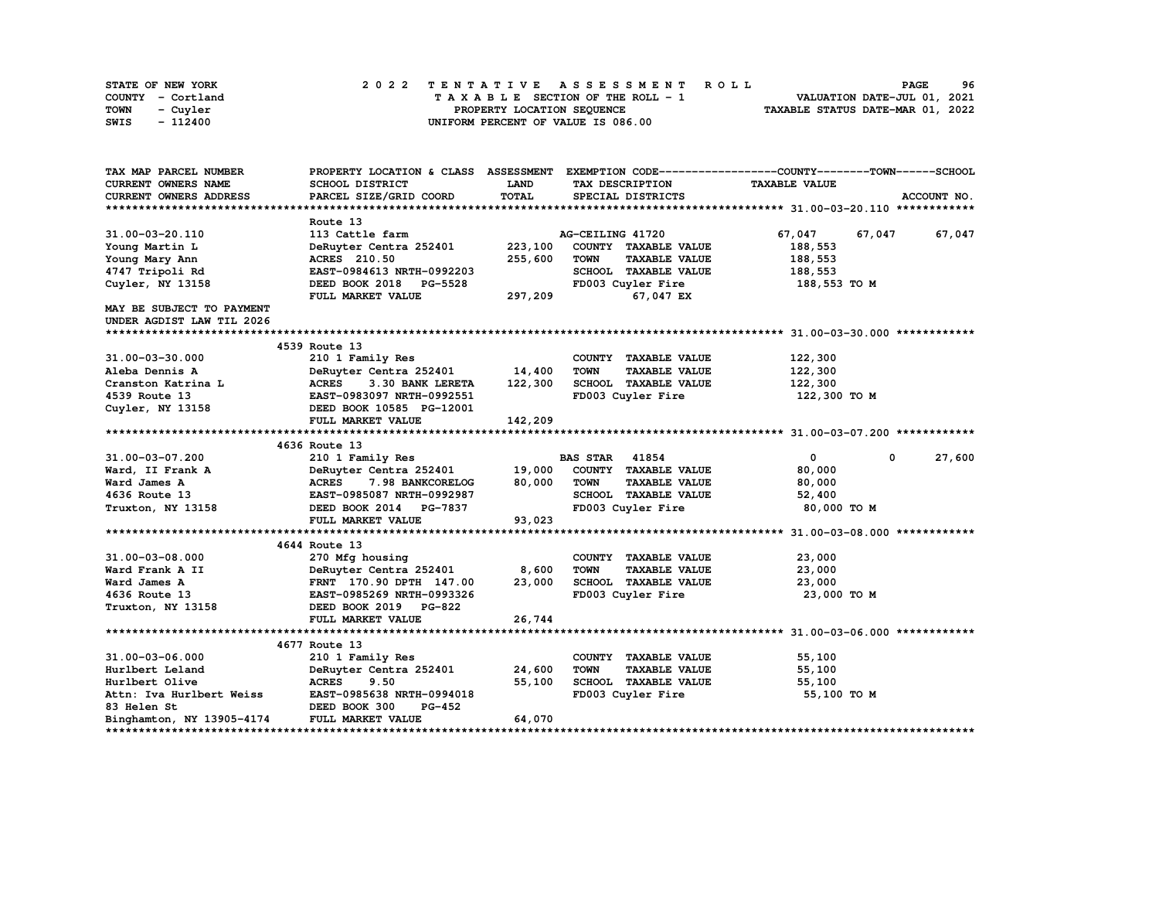| STATE OF NEW YORK | 2022 TENTATIVE ASSESSMENT ROLL     | 96<br><b>PAGE</b>                |
|-------------------|------------------------------------|----------------------------------|
| COUNTY - Cortland | TAXABLE SECTION OF THE ROLL - 1    | VALUATION DATE-JUL 01, 2021      |
| TOWN<br>- Cuvler  | PROPERTY LOCATION SEQUENCE         | TAXABLE STATUS DATE-MAR 01, 2022 |
| - 112400<br>SWIS  | UNIFORM PERCENT OF VALUE IS 086.00 |                                  |

| TAX MAP PARCEL NUMBER            |                                                                   |             |                                     | PROPERTY LOCATION & CLASS ASSESSMENT EXEMPTION CODE----------------COUNTY-------TOWN------SCHOOL |
|----------------------------------|-------------------------------------------------------------------|-------------|-------------------------------------|--------------------------------------------------------------------------------------------------|
| CURRENT OWNERS NAME              | SCHOOL DISTRICT                                                   | <b>LAND</b> | TAX DESCRIPTION                     | <b>TAXABLE VALUE</b>                                                                             |
| <b>CURRENT OWNERS ADDRESS</b>    | PARCEL SIZE/GRID COORD                                            | TOTAL       | SPECIAL DISTRICTS                   | ACCOUNT NO.                                                                                      |
|                                  |                                                                   |             |                                     |                                                                                                  |
|                                  | Route 13                                                          |             |                                     |                                                                                                  |
| 31.00-03-20.110                  | 113 Cattle farm                                                   |             | AG-CEILING 41720                    | 67,047<br>67,047<br>67,047                                                                       |
| Young Martin L                   | DeRuyter Centra 252401                                            | 223,100     | COUNTY TAXABLE VALUE                | 188,553                                                                                          |
| Young Mary Ann                   | ACRES 210.50                                                      | 255,600     | <b>TOWN</b><br><b>TAXABLE VALUE</b> | 188,553                                                                                          |
| 4747 Tripoli Rd                  | EAST-0984613 NRTH-0992203                                         |             | SCHOOL TAXABLE VALUE                | 188,553                                                                                          |
| Cuyler, NY 13158                 | DEED BOOK 2018 PG-5528                                            |             | FD003 Cuyler Fire                   | 188,553 TO M                                                                                     |
|                                  | FULL MARKET VALUE                                                 | 297,209     | 67,047 EX                           |                                                                                                  |
| <b>MAY BE SUBJECT TO PAYMENT</b> |                                                                   |             |                                     |                                                                                                  |
| UNDER AGDIST LAW TIL 2026        |                                                                   |             |                                     |                                                                                                  |
|                                  |                                                                   |             |                                     |                                                                                                  |
|                                  | 4539 Route 13                                                     |             |                                     |                                                                                                  |
| 31.00-03-30.000                  | 210 1 Family Res                                                  |             | COUNTY TAXABLE VALUE                | 122,300                                                                                          |
| Aleba Dennis A                   | DeRuyter Centra 252401                                            | 14,400      | <b>TOWN</b><br><b>TAXABLE VALUE</b> | 122,300                                                                                          |
| Cranston Katrina L               | <b>ACRES</b><br>3.30 BANK LERETA                                  | 122,300     | SCHOOL TAXABLE VALUE                | 122,300                                                                                          |
| 4539 Route 13                    | EAST-0983097 NRTH-0992551                                         |             | FD003 Cuyler Fire                   | 122,300 TO M                                                                                     |
|                                  | Cuyler, NY 13158 <b>DEED BOOK 10585</b> PG-12001                  |             |                                     |                                                                                                  |
|                                  | FULL MARKET VALUE                                                 | 142,209     |                                     |                                                                                                  |
|                                  |                                                                   |             |                                     |                                                                                                  |
|                                  | 4636 Route 13                                                     |             |                                     |                                                                                                  |
| 31.00-03-07.200                  | 210 1 Family Res                                                  |             | <b>BAS STAR 41854</b>               | 27,600<br>$\mathbf{0}$<br>$\mathbf 0$                                                            |
| Ward, II Frank A                 | DeRuyter Centra 252401                                            | 19,000      | COUNTY TAXABLE VALUE                | 80,000                                                                                           |
| Ward James A                     | <b>ACRES</b><br><b>7.98 BANKCORELOG</b>                           | 80,000      | TOWN<br><b>TAXABLE VALUE</b>        | 80,000                                                                                           |
| 4636 Route 13                    | EAST-0985087 NRTH-0992987                                         |             | SCHOOL TAXABLE VALUE                | 52,400                                                                                           |
|                                  | Truxton, NY 13158 <b>DEED BOOK 2014</b> PG-7837                   |             | FD003 Cuyler Fire                   | 80,000 TO M                                                                                      |
|                                  | FULL MARKET VALUE                                                 | 93,023      |                                     |                                                                                                  |
|                                  |                                                                   |             |                                     |                                                                                                  |
|                                  | 4644 Route 13                                                     |             |                                     |                                                                                                  |
| 31.00-03-08.000                  | 270 Mfg housing                                                   |             | COUNTY TAXABLE VALUE                | 23,000                                                                                           |
| Ward Frank A II                  | DeRuyter Centra 252401                                            | 8,600       | <b>TOWN</b><br><b>TAXABLE VALUE</b> | 23,000                                                                                           |
| Ward James A                     | FRNT <sup>-</sup> 170.90 DPTH 147.00<br>EAST-0985269 NRTH-0993326 | 23,000      | SCHOOL TAXABLE VALUE                | 23,000                                                                                           |
| 4636 Route 13                    |                                                                   |             | FD003 Cuyler Fire                   | 23,000 TO M                                                                                      |
| Truxton, NY 13158                | DEED BOOK 2019 PG-822                                             |             |                                     |                                                                                                  |
|                                  | FULL MARKET VALUE                                                 | 26,744      |                                     |                                                                                                  |
|                                  |                                                                   |             |                                     |                                                                                                  |
|                                  | 4677 Route 13                                                     |             |                                     |                                                                                                  |
| 31.00-03-06.000                  | 210 1 Family Res                                                  |             | COUNTY TAXABLE VALUE                | 55,100                                                                                           |
| Hurlbert Leland                  | DeRuyter Centra 252401                                            | 24,600      | <b>TOWN</b><br><b>TAXABLE VALUE</b> | 55,100                                                                                           |
| Hurlbert Olive                   | <b>ACRES</b><br>9.50                                              | 55,100      | SCHOOL TAXABLE VALUE                | 55,100                                                                                           |
| Attn: Iva Hurlbert Weiss         | EAST-0985638 NRTH-0994018                                         |             | FD003 Cuyler Fire                   | 55,100 TO M                                                                                      |
| <b>83 Helen St</b>               | DEED BOOK 300<br>PG-452                                           |             |                                     |                                                                                                  |
| Binghamton, NY 13905-4174        | FULL MARKET VALUE                                                 | 64,070      |                                     |                                                                                                  |
|                                  |                                                                   |             |                                     |                                                                                                  |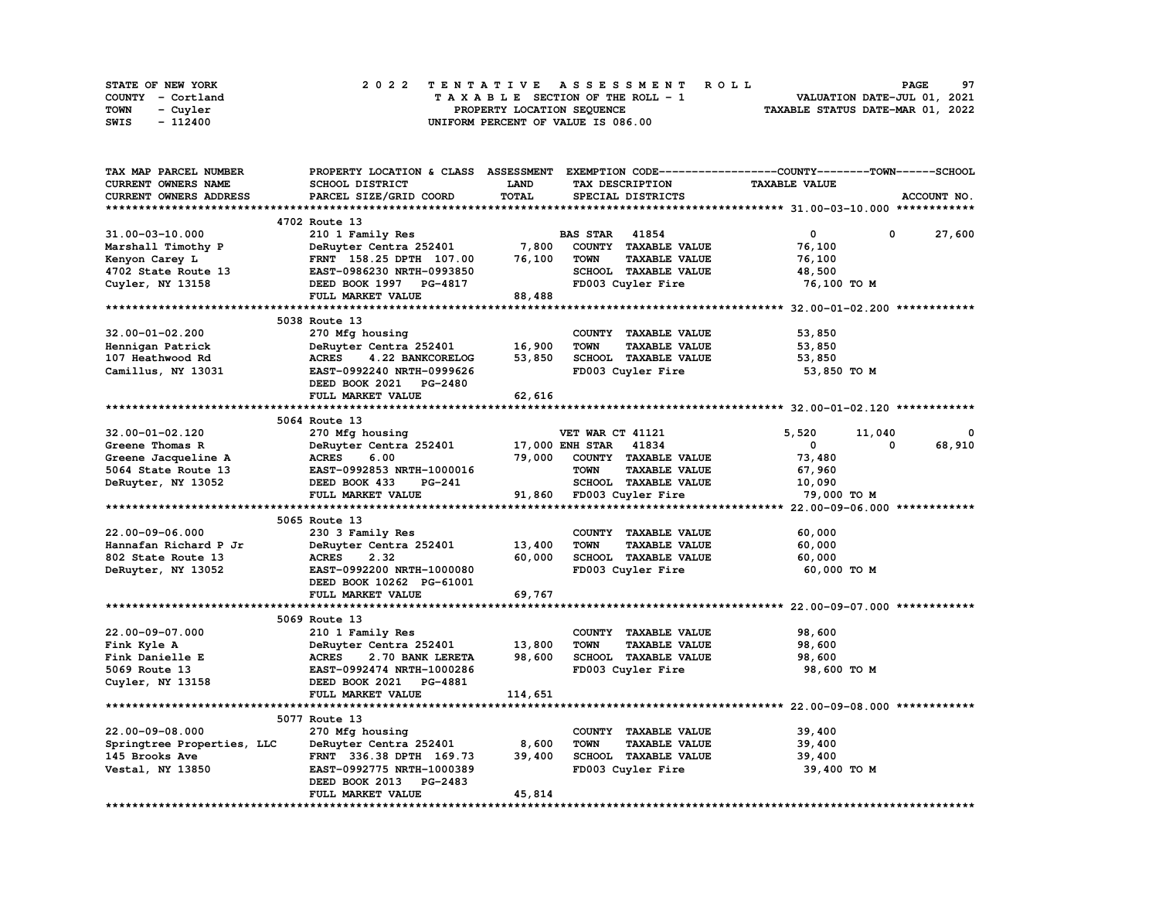| STATE OF NEW YORK |  | 2022 TENTATIVE ASSESSMENT ROLL |  |  |  |                                    |  |  |  |  |  |  |                                  | <b>PAGE</b> | 97 |
|-------------------|--|--------------------------------|--|--|--|------------------------------------|--|--|--|--|--|--|----------------------------------|-------------|----|
| COUNTY - Cortland |  |                                |  |  |  | TAXABLE SECTION OF THE ROLL - 1    |  |  |  |  |  |  | VALUATION DATE-JUL 01, 2021      |             |    |
| TOWN<br>- Cuvler  |  |                                |  |  |  | PROPERTY LOCATION SEQUENCE         |  |  |  |  |  |  | TAXABLE STATUS DATE-MAR 01, 2022 |             |    |
| - 112400<br>SWIS  |  |                                |  |  |  | UNIFORM PERCENT OF VALUE IS 086.00 |  |  |  |  |  |  |                                  |             |    |

| TAX MAP PARCEL NUMBER      |                                  |                       |                                     | PROPERTY LOCATION & CLASS ASSESSMENT EXEMPTION CODE----------------COUNTY-------TOWN-----SCHOOL |             |
|----------------------------|----------------------------------|-----------------------|-------------------------------------|-------------------------------------------------------------------------------------------------|-------------|
| <b>CURRENT OWNERS NAME</b> | SCHOOL DISTRICT                  | LAND                  | TAX DESCRIPTION                     | <b>TAXABLE VALUE</b>                                                                            |             |
| CURRENT OWNERS ADDRESS     | PARCEL SIZE/GRID COORD           | TOTAL                 | SPECIAL DISTRICTS                   |                                                                                                 | ACCOUNT NO. |
|                            |                                  |                       |                                     |                                                                                                 |             |
|                            | 4702 Route 13                    |                       |                                     |                                                                                                 |             |
| 31.00-03-10.000            | 210 1 Family Res                 |                       | <b>BAS STAR 41854</b>               | 0<br>0                                                                                          | 27,600      |
| Marshall Timothy P         | DeRuyter Centra 252401           | 7,800                 | COUNTY TAXABLE VALUE                | 76,100                                                                                          |             |
| Kenyon Carey L             | FRNT 158.25 DPTH 107.00          | 76,100                | <b>TOWN</b><br><b>TAXABLE VALUE</b> | 76,100                                                                                          |             |
| 4702 State Route 13        | EAST-0986230 NRTH-0993850        |                       | SCHOOL TAXABLE VALUE                | 48,500                                                                                          |             |
| Cuyler, NY 13158           | DEED BOOK 1997 PG-4817           |                       | FD003 Cuyler Fire                   | 76,100 TO M                                                                                     |             |
|                            | FULL MARKET VALUE                | 88,488                |                                     |                                                                                                 |             |
|                            |                                  |                       |                                     |                                                                                                 |             |
|                            | 5038 Route 13                    |                       |                                     |                                                                                                 |             |
| 32.00-01-02.200            | 270 Mfg housing                  |                       | COUNTY TAXABLE VALUE                | 53,850                                                                                          |             |
| Hennigan Patrick           | DeRuyter Centra 252401           | 16,900                | <b>TOWN</b><br><b>TAXABLE VALUE</b> | 53,850                                                                                          |             |
| 107 Heathwood Rd           | <b>ACRES</b><br>4.22 BANKCORELOG | 53,850                | SCHOOL TAXABLE VALUE                | 53,850                                                                                          |             |
| Camillus, NY 13031         | EAST-0992240 NRTH-0999626        |                       | FD003 Cuyler Fire                   | 53,850 TO M                                                                                     |             |
|                            | DEED BOOK 2021 PG-2480           |                       |                                     |                                                                                                 |             |
|                            | FULL MARKET VALUE                | 62,616                |                                     |                                                                                                 |             |
|                            |                                  |                       |                                     |                                                                                                 |             |
|                            | 5064 Route 13                    |                       |                                     |                                                                                                 |             |
| 32.00-01-02.120            | 270 Mfg housing                  |                       | VET WAR CT 41121                    | 5,520<br>11,040                                                                                 |             |
| Greene Thomas R            | DeRuyter Centra 252401           |                       | 17,000 ENH STAR<br>41834            | $\mathbf{0}$<br>0                                                                               | 68,910      |
| Greene Jacqueline A        | <b>ACRES</b><br>6.00             | 79,000                | COUNTY TAXABLE VALUE                | 73,480                                                                                          |             |
| 5064 State Route 13        | EAST-0992853 NRTH-1000016        |                       | <b>TAXABLE VALUE</b><br><b>TOWN</b> | 67,960                                                                                          |             |
| DeRuyter, NY 13052         | DEED BOOK 433<br>PG-241          |                       | SCHOOL TAXABLE VALUE                | 10,090                                                                                          |             |
|                            | FULL MARKET VALUE                |                       | 91,860 FD003 Cuyler Fire            | 79,000 TO M                                                                                     |             |
|                            |                                  |                       |                                     |                                                                                                 |             |
|                            | 5065 Route 13                    |                       |                                     |                                                                                                 |             |
| 22.00-09-06.000            | 230 3 Family Res                 |                       | COUNTY TAXABLE VALUE                | 60,000                                                                                          |             |
| Hannafan Richard P Jr      | DeRuyter Centra 252401           | 13,400                | <b>TOWN</b><br><b>TAXABLE VALUE</b> |                                                                                                 |             |
|                            | <b>ACRES</b><br>2.32             | 60,000                | SCHOOL TAXABLE VALUE                | 60,000                                                                                          |             |
| 802 State Route 13         |                                  |                       |                                     | 60,000                                                                                          |             |
| DeRuyter, NY 13052         | EAST-0992200 NRTH-1000080        |                       | FD003 Cuyler Fire                   | 60,000 TO M                                                                                     |             |
|                            | DEED BOOK 10262 PG-61001         |                       |                                     |                                                                                                 |             |
|                            | FULL MARKET VALUE                | 69,767<br>*********** |                                     |                                                                                                 |             |
|                            |                                  |                       |                                     |                                                                                                 |             |
|                            | 5069 Route 13                    |                       |                                     |                                                                                                 |             |
| 22.00-09-07.000            | 210 1 Family Res                 |                       | COUNTY TAXABLE VALUE                | 98,600                                                                                          |             |
| Fink Kyle A                | DeRuyter Centra 252401           | 13,800                | <b>TOWN</b><br><b>TAXABLE VALUE</b> | 98,600                                                                                          |             |
| Fink Danielle E            | <b>ACRES</b><br>2.70 BANK LERETA | 98,600                | SCHOOL TAXABLE VALUE                | 98,600                                                                                          |             |
| 5069 Route 13              | EAST-0992474 NRTH-1000286        |                       | FD003 Cuyler Fire                   | 98,600 TO M                                                                                     |             |
| Cuyler, NY 13158           | DEED BOOK 2021 PG-4881           |                       |                                     |                                                                                                 |             |
|                            | FULL MARKET VALUE                | 114,651               |                                     |                                                                                                 |             |
|                            |                                  |                       |                                     |                                                                                                 |             |
|                            | 5077 Route 13                    |                       |                                     |                                                                                                 |             |
| $22.00 - 09 - 08.000$      | 270 Mfg housing                  |                       | COUNTY TAXABLE VALUE                | 39,400                                                                                          |             |
| Springtree Properties, LLC | DeRuyter Centra 252401           | 8,600                 | TOWN<br><b>TAXABLE VALUE</b>        | 39,400                                                                                          |             |
| 145 Brooks Ave             | FRNT 336.38 DPTH 169.73          | 39,400                | SCHOOL TAXABLE VALUE                | 39,400                                                                                          |             |
| Vestal, NY 13850           | EAST-0992775 NRTH-1000389        |                       | FD003 Cuyler Fire                   | 39,400 TO M                                                                                     |             |
|                            | DEED BOOK 2013 PG-2483           |                       |                                     |                                                                                                 |             |
|                            | FULL MARKET VALUE                | 45,814                |                                     |                                                                                                 |             |
|                            |                                  |                       |                                     |                                                                                                 |             |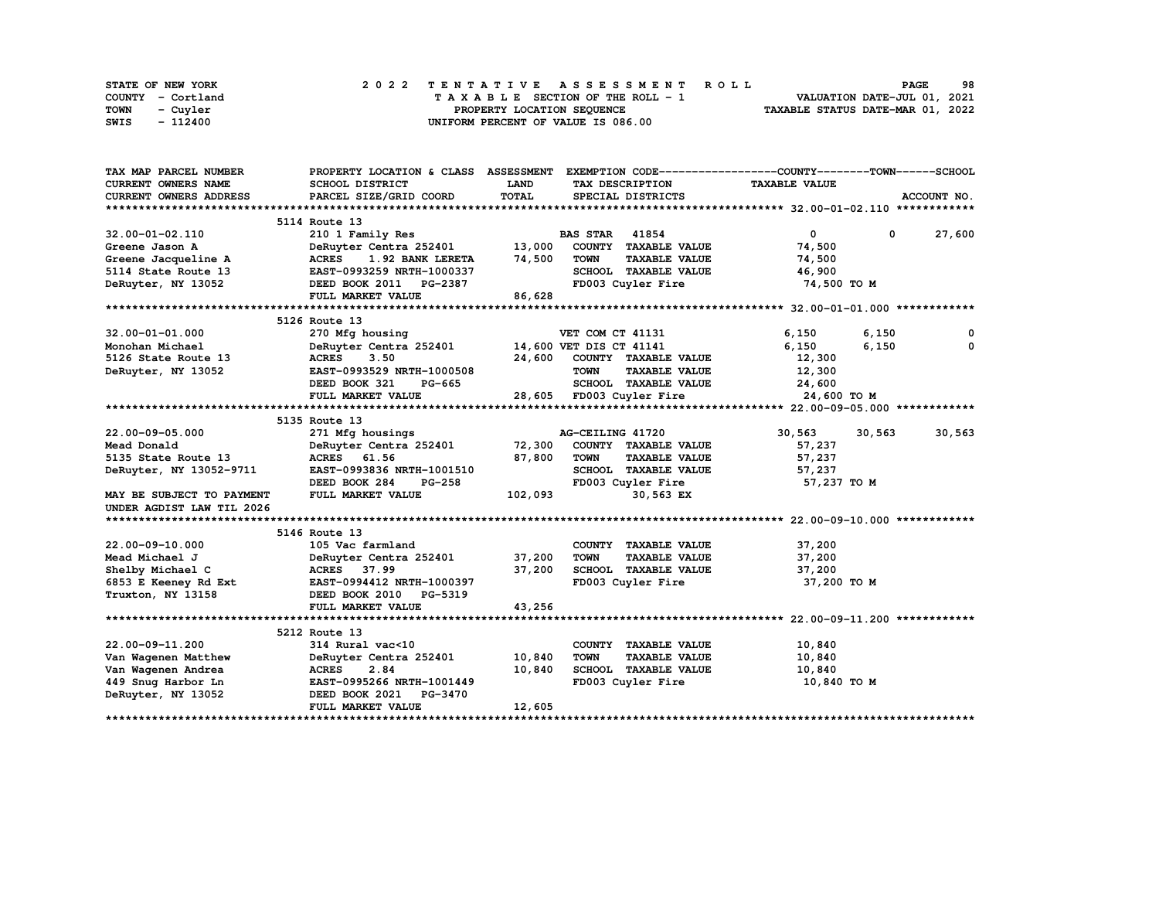| STATE OF NEW YORK | 2022 TENTATIVE ASSESSMENT ROLL     | 98<br><b>PAGE</b>                |
|-------------------|------------------------------------|----------------------------------|
| COUNTY - Cortland | TAXABLE SECTION OF THE ROLL - 1    | VALUATION DATE-JUL 01, 2021      |
| TOWN<br>- Cuyler  | PROPERTY LOCATION SEOUENCE         | TAXABLE STATUS DATE-MAR 01, 2022 |
| - 112400<br>SWIS  | UNIFORM PERCENT OF VALUE IS 086.00 |                                  |

| TAX MAP PARCEL NUMBER            |                                                |             |                                     | PROPERTY LOCATION & CLASS ASSESSMENT EXEMPTION CODE----------------COUNTY-------TOWN-----SCHOOL |             |
|----------------------------------|------------------------------------------------|-------------|-------------------------------------|-------------------------------------------------------------------------------------------------|-------------|
| <b>CURRENT OWNERS NAME</b>       | SCHOOL DISTRICT                                | <b>LAND</b> | TAX DESCRIPTION                     | <b>TAXABLE VALUE</b>                                                                            |             |
| CURRENT OWNERS ADDRESS           | PARCEL SIZE/GRID COORD                         | TOTAL       | SPECIAL DISTRICTS                   |                                                                                                 | ACCOUNT NO. |
|                                  |                                                |             |                                     |                                                                                                 |             |
|                                  | 5114 Route 13                                  |             |                                     |                                                                                                 |             |
| 32.00-01-02.110                  | 210 1 Family Res                               |             | <b>BAS STAR 41854</b>               | $\overline{0}$<br>$\mathbf{0}$                                                                  | 27,600      |
| Greene Jason A                   | DeRuyter Centra 252401                         | 13,000      | COUNTY TAXABLE VALUE                | 74,500                                                                                          |             |
| Greene Jacqueline A              | <b>ACRES</b><br>1.92 BANK LERETA               | 74,500      | <b>TAXABLE VALUE</b><br><b>TOWN</b> | 74,500                                                                                          |             |
| 5114 State Route 13              | EAST-0993259 NRTH-1000337                      |             | SCHOOL TAXABLE VALUE                | 46,900                                                                                          |             |
| DeRuyter, NY 13052               | DEED BOOK 2011 PG-2387                         |             | FD003 Cuyler Fire                   | 74,500 TO M                                                                                     |             |
|                                  | FULL MARKET VALUE                              | 86,628      |                                     |                                                                                                 |             |
|                                  |                                                |             |                                     |                                                                                                 |             |
|                                  | 5126 Route 13                                  |             |                                     |                                                                                                 |             |
| 32.00-01-01.000                  | 270 Mfg housing                                |             | VET COM CT 41131                    | 6,150<br>6,150                                                                                  | 0           |
| Monohan Michael                  | DeRuyter Centra 252401 14,600 VET DIS CT 41141 |             |                                     | 6,150<br>6,150                                                                                  | 0           |
| 5126 State Route 13              | <b>ACRES</b><br>3.50                           | 24,600      | COUNTY TAXABLE VALUE                | 12,300                                                                                          |             |
| DeRuyter, NY 13052               | EAST-0993529 NRTH-1000508                      |             | <b>TOWN</b><br><b>TAXABLE VALUE</b> | 12,300                                                                                          |             |
|                                  | DEED BOOK 321<br>PG-665                        |             | SCHOOL TAXABLE VALUE                | 24,600                                                                                          |             |
|                                  | FULL MARKET VALUE                              |             | 28,605 FD003 Cuyler Fire            | 24,600 TO M                                                                                     |             |
|                                  |                                                |             |                                     |                                                                                                 |             |
|                                  | 5135 Route 13                                  |             |                                     |                                                                                                 |             |
| 22.00-09-05.000                  | 271 Mfg housings                               |             | AG-CEILING 41720                    | 30,563<br>30,563                                                                                | 30,563      |
| Mead Donald                      | DeRuyter Centra 252401 72,300                  |             | COUNTY TAXABLE VALUE                | 57,237                                                                                          |             |
| 5135 State Route 13              | ACRES 61.56                                    | 87,800      | <b>TOWN</b><br><b>TAXABLE VALUE</b> | 57,237                                                                                          |             |
| DeRuyter, NY 13052-9711          | EAST-0993836 NRTH-1001510                      |             | SCHOOL TAXABLE VALUE                | 57,237                                                                                          |             |
|                                  | DEED BOOK 284<br><b>PG-258</b>                 |             | FD003 Cuyler Fire                   | 57,237 TO M                                                                                     |             |
| <b>MAY BE SUBJECT TO PAYMENT</b> | FULL MARKET VALUE                              | 102,093     | 30,563 EX                           |                                                                                                 |             |
| UNDER AGDIST LAW TIL 2026        |                                                |             |                                     |                                                                                                 |             |
|                                  |                                                |             |                                     |                                                                                                 |             |
|                                  | 5146 Route 13                                  |             |                                     |                                                                                                 |             |
| 22.00-09-10.000                  | 105 Vac farmland                               |             | COUNTY TAXABLE VALUE                | 37,200                                                                                          |             |
| Mead Michael J                   | DeRuyter Centra 252401                         | 37,200      | TOWN<br><b>TAXABLE VALUE</b>        | 37,200                                                                                          |             |
| Shelby Michael C                 | ACRES 37.99                                    | 37,200      | SCHOOL TAXABLE VALUE                | 37,200                                                                                          |             |
| 6853 E Keeney Rd Ext             | EAST-0994412 NRTH-1000397                      |             | FD003 Cuyler Fire                   | 37,200 TO M                                                                                     |             |
| Truxton, NY 13158                | DEED BOOK 2010 PG-5319                         |             |                                     |                                                                                                 |             |
|                                  | FULL MARKET VALUE                              | 43,256      |                                     |                                                                                                 |             |
|                                  |                                                |             |                                     |                                                                                                 |             |
|                                  | 5212 Route 13                                  |             |                                     |                                                                                                 |             |
| 22.00-09-11.200                  | 314 Rural vac<10                               |             | COUNTY TAXABLE VALUE                | 10,840                                                                                          |             |
| Van Wagenen Matthew              | DeRuyter Centra 252401                         | 10,840      | <b>TOWN</b><br><b>TAXABLE VALUE</b> | 10,840                                                                                          |             |
| Van Wagenen Andrea               | 2.84<br><b>ACRES</b>                           | 10,840      | SCHOOL TAXABLE VALUE                | 10,840                                                                                          |             |
|                                  | 449 Snug Harbor Ln EAST-0995266 NRTH-1001449   |             | FD003 Cuyler Fire                   | 10,840 TO M                                                                                     |             |
| DeRuyter, NY 13052               | DEED BOOK 2021 PG-3470                         |             |                                     |                                                                                                 |             |
|                                  | FULL MARKET VALUE                              | 12,605      |                                     |                                                                                                 |             |
|                                  |                                                |             |                                     |                                                                                                 |             |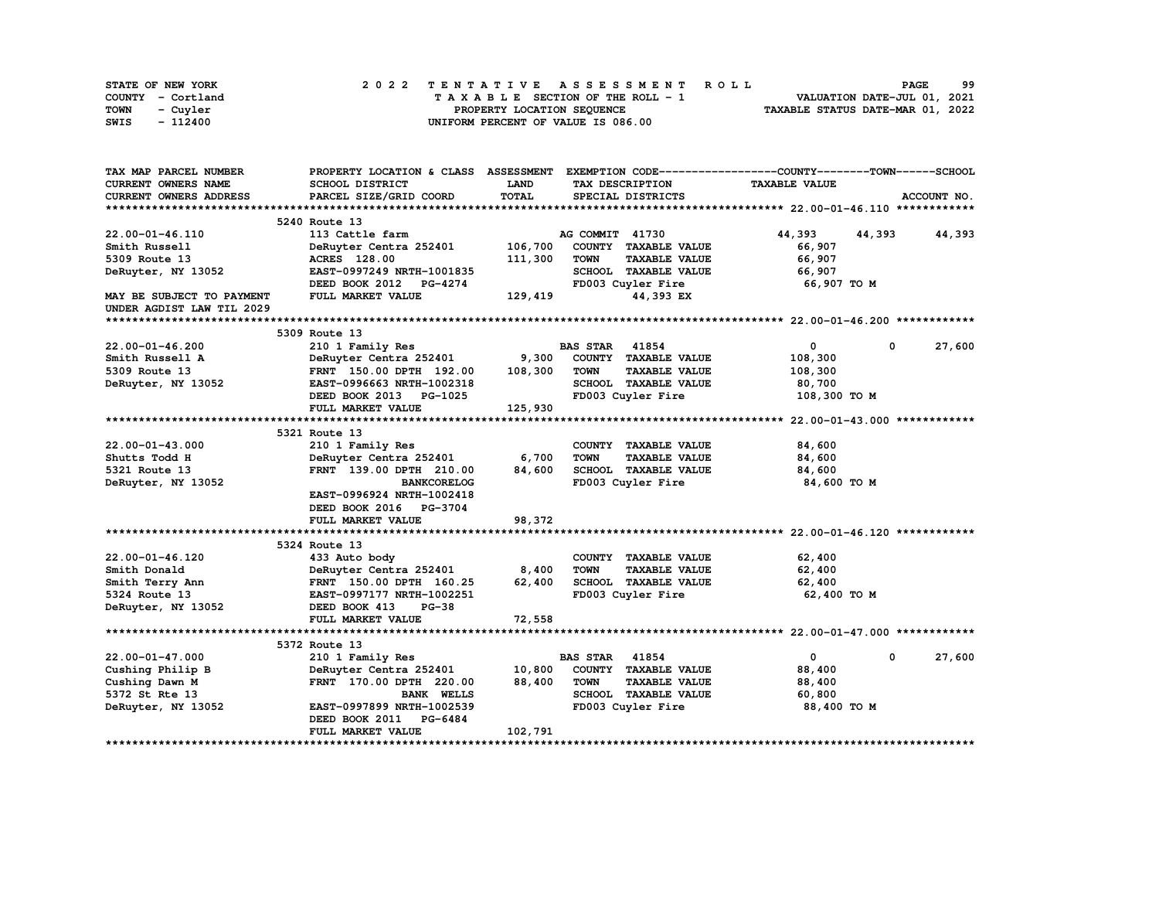| STATE OF NEW YORK | 2022 TENTATIVE ASSESSMENT ROLL     | 99<br><b>PAGE</b>                |
|-------------------|------------------------------------|----------------------------------|
| COUNTY - Cortland | TAXABLE SECTION OF THE ROLL - 1    | VALUATION DATE-JUL 01, 2021      |
| TOWN<br>- Cuvler  | PROPERTY LOCATION SEQUENCE         | TAXABLE STATUS DATE-MAR 01, 2022 |
| - 112400<br>SWIS  | UNIFORM PERCENT OF VALUE IS 086.00 |                                  |

| TAX MAP PARCEL NUMBER      | PROPERTY LOCATION & CLASS ASSESSMENT EXEMPTION CODE-----------------COUNTY-------TOWN------SCHOOL |             |                       |                      |                      |             |             |
|----------------------------|---------------------------------------------------------------------------------------------------|-------------|-----------------------|----------------------|----------------------|-------------|-------------|
| <b>CURRENT OWNERS NAME</b> | SCHOOL DISTRICT                                                                                   | <b>LAND</b> |                       | TAX DESCRIPTION      | <b>TAXABLE VALUE</b> |             |             |
| CURRENT OWNERS ADDRESS     | PARCEL SIZE/GRID COORD                                                                            | TOTAL       |                       | SPECIAL DISTRICTS    |                      |             | ACCOUNT NO. |
|                            |                                                                                                   |             |                       |                      |                      |             |             |
|                            | 5240 Route 13                                                                                     |             |                       |                      |                      |             |             |
| 22.00-01-46.110            | 113 Cattle farm                                                                                   |             | AG COMMIT 41730       |                      | 44,393               | 44,393      | 44,393      |
| Smith Russell              | DeRuyter Centra 252401                                                                            | 106,700     |                       | COUNTY TAXABLE VALUE | 66,907               |             |             |
| 5309 Route 13              | <b>ACRES</b> 128.00                                                                               | 111,300     | <b>TOWN</b>           | <b>TAXABLE VALUE</b> | 66,907               |             |             |
| DeRuyter, NY 13052         | EAST-0997249 NRTH-1001835                                                                         |             |                       | SCHOOL TAXABLE VALUE | 66,907               |             |             |
|                            | DEED BOOK 2012 PG-4274                                                                            |             |                       | FD003 Cuyler Fire    | 66,907 TO M          |             |             |
| MAY BE SUBJECT TO PAYMENT  | FULL MARKET VALUE                                                                                 | 129,419     |                       | 44,393 EX            |                      |             |             |
| UNDER AGDIST LAW TIL 2029  |                                                                                                   |             |                       |                      |                      |             |             |
|                            |                                                                                                   |             |                       |                      |                      |             |             |
|                            | 5309 Route 13                                                                                     |             |                       |                      |                      |             |             |
| 22.00-01-46.200            | 210 1 Family Res                                                                                  |             | <b>BAS STAR 41854</b> |                      | $\mathbf{0}$         | $\mathbf 0$ | 27,600      |
| Smith Russell A            | DeRuyter Centra 252401                                                                            | 9,300       |                       | COUNTY TAXABLE VALUE | 108,300              |             |             |
| 5309 Route 13              | FRNT 150.00 DPTH 192.00                                                                           | 108,300     | <b>TOWN</b>           | <b>TAXABLE VALUE</b> | 108,300              |             |             |
| DeRuyter, NY 13052         | EAST-0996663 NRTH-1002318                                                                         |             |                       | SCHOOL TAXABLE VALUE | 80,700               |             |             |
|                            | DEED BOOK 2013 PG-1025                                                                            |             |                       | FD003 Cuyler Fire    | 108,300 TO M         |             |             |
|                            | FULL MARKET VALUE                                                                                 | 125,930     |                       |                      |                      |             |             |
|                            |                                                                                                   |             |                       |                      |                      |             |             |
|                            | 5321 Route 13                                                                                     |             |                       |                      |                      |             |             |
| $22.00 - 01 - 43.000$      |                                                                                                   |             |                       |                      |                      |             |             |
|                            | 210 1 Family Res                                                                                  | 6,700       | <b>TOWN</b>           | COUNTY TAXABLE VALUE | 84,600               |             |             |
| Shutts Todd H              | DeRuyter Centra 252401                                                                            |             |                       | <b>TAXABLE VALUE</b> | 84,600               |             |             |
| 5321 Route 13              | FRNT 139.00 DPTH 210.00                                                                           | 84,600      |                       | SCHOOL TAXABLE VALUE | 84,600               |             |             |
| DeRuyter, NY 13052         | <b>BANKCORELOG</b>                                                                                |             |                       | FD003 Cuyler Fire    | 84,600 TO M          |             |             |
|                            | EAST-0996924 NRTH-1002418                                                                         |             |                       |                      |                      |             |             |
|                            | DEED BOOK 2016 PG-3704                                                                            |             |                       |                      |                      |             |             |
|                            | FULL MARKET VALUE                                                                                 | 98,372      |                       |                      |                      |             |             |
|                            |                                                                                                   |             |                       |                      |                      |             |             |
|                            | 5324 Route 13                                                                                     |             |                       |                      |                      |             |             |
| 22.00-01-46.120            | 433 Auto body                                                                                     |             |                       | COUNTY TAXABLE VALUE | 62,400               |             |             |
| Smith Donald               | DeRuyter Centra 252401                                                                            | 8,400       | <b>TOWN</b>           | <b>TAXABLE VALUE</b> | 62,400               |             |             |
| Smith Terry Ann            | FRNT 150.00 DPTH 160.25                                                                           | 62,400      |                       | SCHOOL TAXABLE VALUE | 62,400               |             |             |
| 5324 Route 13              | EAST-0997177 NRTH-1002251                                                                         |             |                       | FD003 Cuyler Fire    | 62,400 TO M          |             |             |
| DeRuyter, NY 13052         | DEED BOOK 413<br>$PG-38$                                                                          |             |                       |                      |                      |             |             |
|                            | FULL MARKET VALUE                                                                                 | 72,558      |                       |                      |                      |             |             |
|                            |                                                                                                   |             |                       |                      |                      |             |             |
|                            | 5372 Route 13                                                                                     |             |                       |                      |                      |             |             |
| 22.00-01-47.000            | 210 1 Family Res                                                                                  |             | <b>BAS STAR</b>       | 41854                | $\mathbf{0}$         | 0           | 27,600      |
| Cushing Philip B           | DeRuyter Centra 252401                                                                            | 10,800      |                       | COUNTY TAXABLE VALUE | 88,400               |             |             |
| Cushing Dawn M             | FRNT 170.00 DPTH 220.00                                                                           | 88,400      | TOWN                  | <b>TAXABLE VALUE</b> | 88,400               |             |             |
| 5372 St Rte 13             | <b>BANK WELLS</b>                                                                                 |             |                       | SCHOOL TAXABLE VALUE | 60,800               |             |             |
| DeRuyter, NY 13052         | EAST-0997899 NRTH-1002539                                                                         |             |                       | FD003 Cuyler Fire    | 88,400 TO M          |             |             |
|                            | DEED BOOK 2011 PG-6484                                                                            |             |                       |                      |                      |             |             |
|                            | FULL MARKET VALUE                                                                                 | 102,791     |                       |                      |                      |             |             |
|                            |                                                                                                   |             |                       |                      |                      |             |             |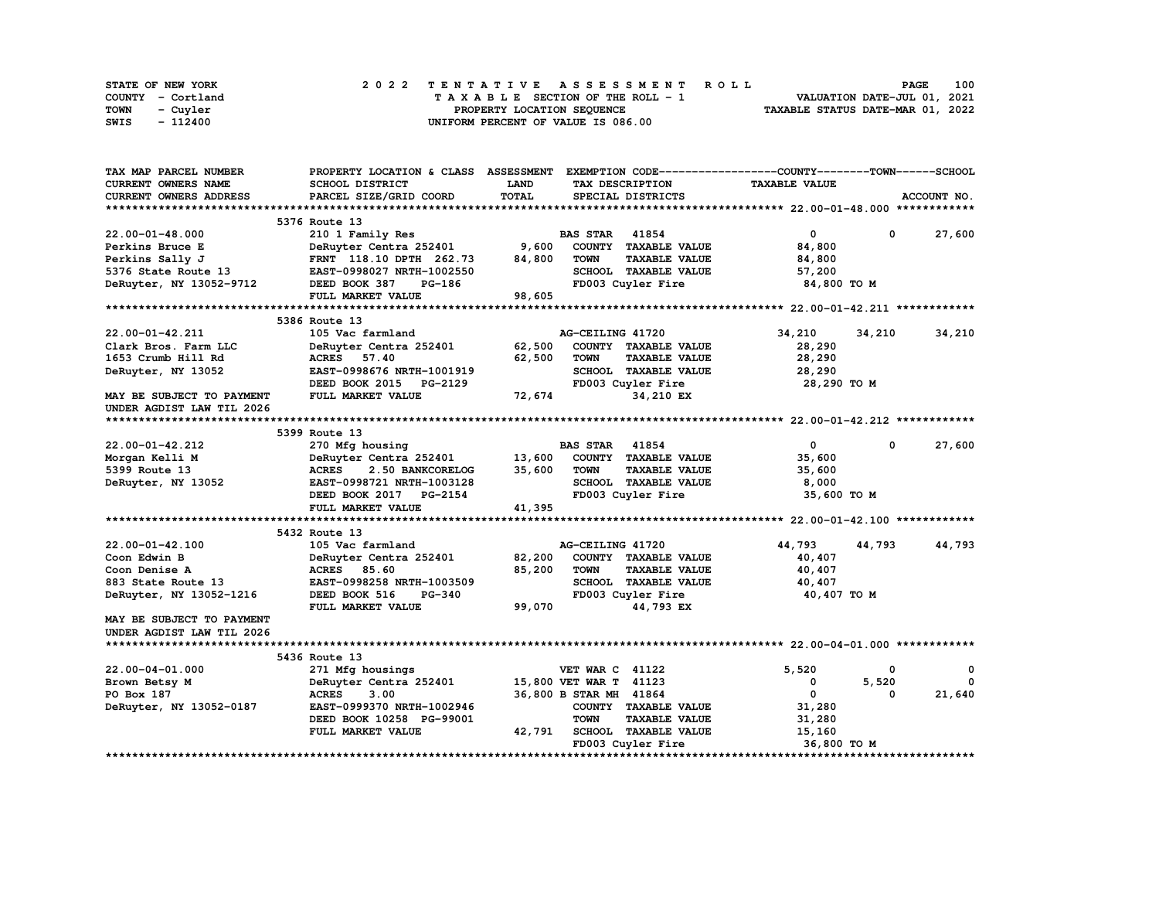| STATE OF NEW YORK | 2022 TENTATIVE ASSESSMENT ROLL     | 100<br><b>PAGE</b>               |
|-------------------|------------------------------------|----------------------------------|
| COUNTY - Cortland | TAXABLE SECTION OF THE ROLL - 1    | VALUATION DATE-JUL 01, 2021      |
| TOWN<br>- Cuvler  | PROPERTY LOCATION SEQUENCE         | TAXABLE STATUS DATE-MAR 01, 2022 |
| - 112400<br>SWIS  | UNIFORM PERCENT OF VALUE IS 086.00 |                                  |

| TAX MAP PARCEL NUMBER         | PROPERTY LOCATION & CLASS ASSESSMENT |              | EXEMPTION CODE------------------COUNTY-------TOWN------SCHOOL |                      |                        |
|-------------------------------|--------------------------------------|--------------|---------------------------------------------------------------|----------------------|------------------------|
| <b>CURRENT OWNERS NAME</b>    | SCHOOL DISTRICT                      | LAND         | TAX DESCRIPTION                                               | <b>TAXABLE VALUE</b> |                        |
| <b>CURRENT OWNERS ADDRESS</b> | PARCEL SIZE/GRID COORD               | <b>TOTAL</b> | SPECIAL DISTRICTS                                             |                      | ACCOUNT NO.            |
|                               |                                      |              |                                                               |                      |                        |
|                               | 5376 Route 13                        |              |                                                               |                      |                        |
| $22.00 - 01 - 48.000$         | 210 1 Family Res                     |              | <b>BAS STAR 41854</b>                                         | $\mathbf{0}$         | 27,600<br>$\mathbf{0}$ |
| Perkins Bruce E               | DeRuyter Centra 252401               | 9,600        | COUNTY TAXABLE VALUE                                          | 84,800               |                        |
| Perkins Sally J               | FRNT 118.10 DPTH 262.73              | 84,800       | <b>TOWN</b><br><b>TAXABLE VALUE</b>                           | 84,800               |                        |
| 5376 State Route 13           | EAST-0998027 NRTH-1002550            |              | SCHOOL TAXABLE VALUE                                          | 57,200               |                        |
| DeRuyter, NY 13052-9712       | DEED BOOK 387<br><b>PG-186</b>       |              | FD003 Cuyler Fire                                             | 84,800 TO M          |                        |
|                               | FULL MARKET VALUE                    | 98,605       |                                                               |                      |                        |
|                               |                                      |              |                                                               |                      |                        |
|                               | 5386 Route 13                        |              |                                                               |                      |                        |
| 22.00-01-42.211               | 105 Vac farmland                     |              | AG-CEILING 41720                                              | 34,210               | 34,210<br>34,210       |
| Clark Bros. Farm LLC          | DeRuyter Centra 252401               | 62,500       | COUNTY TAXABLE VALUE                                          | 28,290               |                        |
| 1653 Crumb Hill Rd            | <b>ACRES</b><br>57.40                | 62,500       | <b>TOWN</b><br><b>TAXABLE VALUE</b>                           | 28,290               |                        |
| DeRuyter, NY 13052            | EAST-0998676 NRTH-1001919            |              | SCHOOL TAXABLE VALUE                                          | 28,290               |                        |
|                               | DEED BOOK 2015 PG-2129               |              | FD003 Cuyler Fire                                             | 28,290 TO M          |                        |
| MAY BE SUBJECT TO PAYMENT     | FULL MARKET VALUE                    | 72,674       | 34,210 EX                                                     |                      |                        |
| UNDER AGDIST LAW TIL 2026     |                                      |              |                                                               |                      |                        |
|                               |                                      |              |                                                               |                      |                        |
|                               | 5399 Route 13                        |              |                                                               |                      |                        |
| 22.00-01-42.212               | 270 Mfg housing                      |              | 41854<br><b>BAS STAR</b>                                      | $\mathbf 0$          | 27,600<br>0            |
| Morgan Kelli M                | DeRuyter Centra 252401               | 13,600       | COUNTY TAXABLE VALUE                                          | 35,600               |                        |
| 5399 Route 13                 | <b>ACRES</b><br>2.50 BANKCORELOG     | 35,600       | <b>TOWN</b><br><b>TAXABLE VALUE</b>                           | 35,600               |                        |
| DeRuyter, NY 13052            | EAST-0998721 NRTH-1003128            |              | SCHOOL TAXABLE VALUE                                          | 8,000                |                        |
|                               | DEED BOOK 2017 PG-2154               |              | FD003 Cuyler Fire                                             | 35,600 TO M          |                        |
|                               | FULL MARKET VALUE                    | 41,395       |                                                               |                      |                        |
|                               |                                      |              |                                                               |                      |                        |
|                               | 5432 Route 13                        |              |                                                               |                      |                        |
| $22.00 - 01 - 42.100$         | 105 Vac farmland                     |              | AG-CEILING 41720                                              | 44,793               | 44,793<br>44,793       |
| Coon Edwin B                  | DeRuyter Centra 252401               | 82,200       | COUNTY TAXABLE VALUE                                          | 40,407               |                        |
| Coon Denise A                 | ACRES 85.60                          | 85,200       | <b>TOWN</b><br><b>TAXABLE VALUE</b>                           | 40,407               |                        |
| 883 State Route 13            | EAST-0998258 NRTH-1003509            |              | SCHOOL TAXABLE VALUE                                          | 40,407               |                        |
| DeRuyter, NY 13052-1216       | DEED BOOK 516<br><b>PG-340</b>       |              | FD003 Cuyler Fire                                             | 40,407 TO M          |                        |
|                               | FULL MARKET VALUE                    | 99,070       | 44,793 EX                                                     |                      |                        |
| MAY BE SUBJECT TO PAYMENT     |                                      |              |                                                               |                      |                        |
| UNDER AGDIST LAW TIL 2026     |                                      |              |                                                               |                      |                        |
|                               |                                      |              |                                                               |                      |                        |
|                               | 5436 Route 13                        |              |                                                               |                      |                        |
| 22.00-04-01.000               | 271 Mfg housings                     |              | <b>VET WAR C 41122</b>                                        | 5,520                | 0<br>0                 |
| Brown Betsy M                 | DeRuyter Centra 252401               |              | 15,800 VET WAR T 41123                                        | 0                    | 5,520<br>$\Omega$      |
| PO Box 187                    | <b>ACRES</b><br>3.00                 |              | 36,800 B STAR MH 41864                                        | 0                    | 21,640<br>0            |
| DeRuyter, NY 13052-0187       | EAST-0999370 NRTH-1002946            |              | COUNTY TAXABLE VALUE                                          | 31,280               |                        |
|                               | DEED BOOK 10258 PG-99001             |              | <b>TOWN</b><br><b>TAXABLE VALUE</b>                           | 31,280               |                        |
|                               | FULL MARKET VALUE                    | 42,791       | SCHOOL TAXABLE VALUE                                          | 15,160               |                        |
|                               |                                      |              | FD003 Cuyler Fire                                             | 36,800 TO M          |                        |
|                               |                                      |              |                                                               |                      |                        |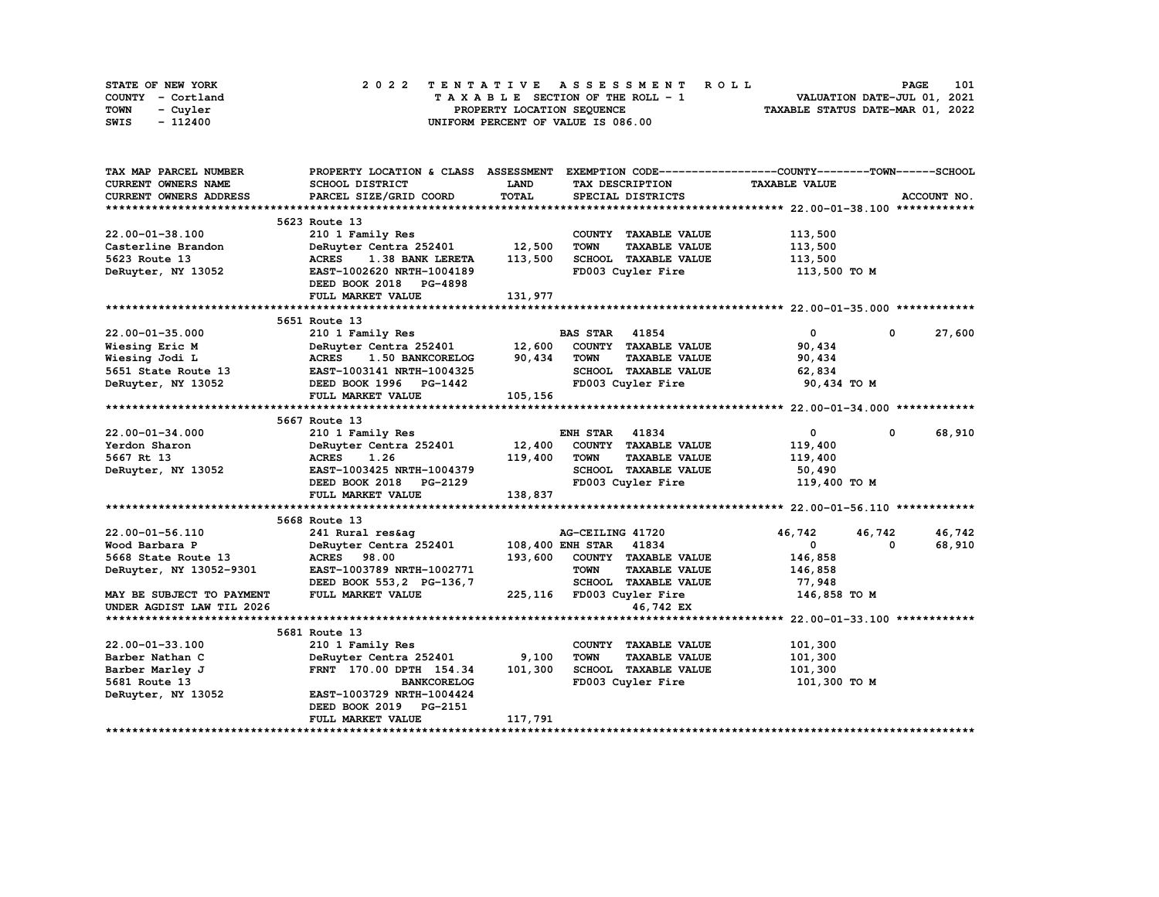| STATE OF NEW YORK | 2022 TENTATIVE ASSESSMENT ROLL     | 101<br><b>PAGE</b>               |
|-------------------|------------------------------------|----------------------------------|
| COUNTY - Cortland | TAXABLE SECTION OF THE ROLL - 1    | VALUATION DATE-JUL 01, 2021      |
| TOWN<br>- Cuvler  | PROPERTY LOCATION SEQUENCE         | TAXABLE STATUS DATE-MAR 01, 2022 |
| - 112400<br>SWIS  | UNIFORM PERCENT OF VALUE IS 086.00 |                                  |

| TAX MAP PARCEL NUMBER                     | PROPERTY LOCATION & CLASS ASSESSMENT EXEMPTION CODE----------------COUNTY-------TOWN------SCHOOL |             |                                      |                      |                      |
|-------------------------------------------|--------------------------------------------------------------------------------------------------|-------------|--------------------------------------|----------------------|----------------------|
| CURRENT OWNERS NAME                       | SCHOOL DISTRICT                                                                                  | <b>LAND</b> | TAX DESCRIPTION                      | <b>TAXABLE VALUE</b> |                      |
| <b>CURRENT OWNERS ADDRESS</b>             | PARCEL SIZE/GRID COORD                                                                           | TOTAL       | SPECIAL DISTRICTS                    |                      | ACCOUNT NO.          |
|                                           |                                                                                                  |             |                                      |                      |                      |
|                                           | 5623 Route 13                                                                                    |             |                                      |                      |                      |
| $22.00 - 01 - 38.100$                     | 210 1 Family Res                                                                                 |             | COUNTY TAXABLE VALUE                 | 113,500              |                      |
| Casterline Brandon                        | DeRuyter Centra 252401 12,500                                                                    |             | <b>TOWN</b><br><b>TAXABLE VALUE</b>  | 113,500              |                      |
| 5623 Route 13                             | <b>ACRES</b><br>1.38 BANK LERETA                                                                 | 113,500     | SCHOOL TAXABLE VALUE                 | 113,500              |                      |
| DeRuyter, NY 13052                        | EAST-1002620 NRTH-1004189                                                                        |             | FD003 Cuyler Fire                    | 113,500 то м         |                      |
|                                           | DEED BOOK 2018 PG-4898                                                                           |             |                                      |                      |                      |
|                                           | FULL MARKET VALUE                                                                                | 131,977     |                                      |                      |                      |
|                                           |                                                                                                  |             |                                      |                      |                      |
|                                           | 5651 Route 13                                                                                    |             |                                      |                      |                      |
| $22.00 - 01 - 35.000$                     | 210 1 Family Res                                                                                 |             | <b>BAS STAR</b> 41854                | $\mathbf{0}$         | 27,600<br>0          |
| Wiesing Eric M                            | DeRuyter Centra 252401 12,600 COUNTY TAXABLE VALUE                                               |             |                                      | 90,434               |                      |
| Wiesing Jodi L                            | 1.50 BANKCORELOG 90,434<br><b>ACRES</b>                                                          |             | TOWN<br><b>TAXABLE VALUE</b>         | 90,434               |                      |
|                                           | EAST-1003141 NRTH-1004325                                                                        |             | SCHOOL TAXABLE VALUE                 | 62,834               |                      |
| 5651 State Route 13<br>DeRuyter, NY 13052 | EASI-IVVJI41 NKTH-IVV4325<br>DEED BOOK 1996 PG-1442                                              |             | FD003 Cuyler Fire                    | 90,434 TO M          |                      |
|                                           | FULL MARKET VALUE                                                                                | 105,156     |                                      |                      |                      |
|                                           |                                                                                                  |             |                                      |                      |                      |
|                                           | 5667 Route 13                                                                                    |             |                                      |                      |                      |
| $22.00 - 01 - 34.000$                     | 210 1 Family Res                                                                                 |             | <b>ENH STAR 41834</b>                | $\mathbf{0}$         | 68,910<br>$^{\circ}$ |
| Yerdon Sharon                             | DeRuyter Centra 252401                                                                           |             | 12,400 COUNTY TAXABLE VALUE          | 119,400              |                      |
| 5667 Rt 13                                | <b>ACRES</b><br>1.26                                                                             |             | 119,400 TOWN<br><b>TAXABLE VALUE</b> | 119,400              |                      |
| DeRuyter, NY 13052                        | EAST-1003425 NRTH-1004379                                                                        |             | SCHOOL TAXABLE VALUE                 | 50,490               |                      |
|                                           | DEED BOOK 2018 PG-2129                                                                           |             | FD003 Cuyler Fire                    | 119,400 TO M         |                      |
|                                           | FULL MARKET VALUE                                                                                | 138,837     |                                      |                      |                      |
|                                           |                                                                                                  |             |                                      |                      |                      |
|                                           | 5668 Route 13                                                                                    |             |                                      |                      |                      |
| 22.00-01-56.110                           | 241 Rural res&ag                                                                                 |             | AG-CEILING 41720                     | 46,742               | 46,742<br>46,742     |
| Wood Barbara P                            | DeRuyter Centra 252401                                                                           |             | 108,400 ENH STAR 41834               | $\mathbf{0}$         | 68,910<br>0          |
| 5668 State Route 13                       | <b>ACRES</b> 98.00                                                                               |             | 193,600 COUNTY TAXABLE VALUE         | 146,858              |                      |
| DeRuyter, NY 13052-9301                   | EAST-1003789 NRTH-1002771                                                                        |             | <b>TAXABLE VALUE</b><br><b>TOWN</b>  | 146,858              |                      |
|                                           | DEED BOOK 553, 2 PG-136, 7                                                                       |             | SCHOOL TAXABLE VALUE                 | 77,948               |                      |
| MAY BE SUBJECT TO PAYMENT                 | FULL MARKET VALUE                                                                                |             | 225,116 FD003 Cuyler Fire            | 146,858 TO M         |                      |
| UNDER AGDIST LAW TIL 2026                 |                                                                                                  |             | 46,742 EX                            |                      |                      |
|                                           |                                                                                                  |             |                                      |                      |                      |
|                                           | 5681 Route 13                                                                                    |             |                                      |                      |                      |
| $22.00 - 01 - 33.100$                     | 210 1 Family Res                                                                                 |             | COUNTY TAXABLE VALUE                 | 101,300              |                      |
| Barber Nathan C                           | DeRuyter Centra 252401                                                                           | 9,100       | <b>TOWN</b><br><b>TAXABLE VALUE</b>  | 101,300              |                      |
| Barber Marley J                           | FRNT 170.00 DPTH 154.34                                                                          | 101,300     | SCHOOL TAXABLE VALUE                 | 101,300              |                      |
| 5681 Route 13                             | <b>BANKCORELOG</b>                                                                               |             | FD003 Cuyler Fire                    | 101,300 то м         |                      |
| DeRuyter, NY 13052                        | EAST-1003729 NRTH-1004424                                                                        |             |                                      |                      |                      |
|                                           | DEED BOOK 2019 PG-2151                                                                           |             |                                      |                      |                      |
|                                           | FULL MARKET VALUE                                                                                | 117,791     |                                      |                      |                      |
|                                           |                                                                                                  |             |                                      |                      |                      |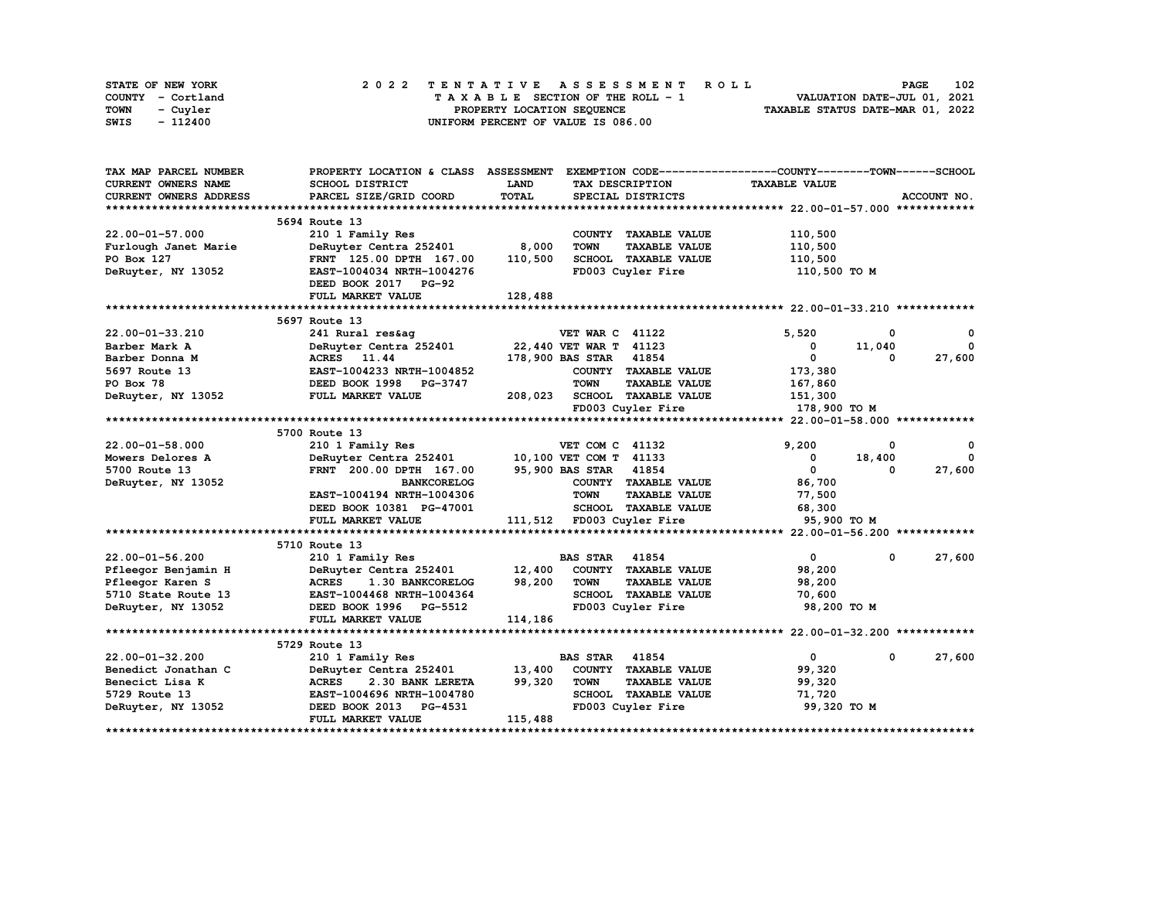| STATE OF NEW YORK | 2022 TENTATIVE ASSESSMENT ROLL     | 102<br><b>PAGE</b>               |
|-------------------|------------------------------------|----------------------------------|
| COUNTY - Cortland | TAXABLE SECTION OF THE ROLL - 1    | VALUATION DATE-JUL 01, 2021      |
| TOWN<br>- Cuyler  | PROPERTY LOCATION SEOUENCE         | TAXABLE STATUS DATE-MAR 01, 2022 |
| - 112400<br>SWIS  | UNIFORM PERCENT OF VALUE IS 086.00 |                                  |

| TAX MAP PARCEL NUMBER         | PROPERTY LOCATION & CLASS ASSESSMENT |         |                                     | EXEMPTION CODE-----------------COUNTY-------TOWN------SCHOOL |                       |
|-------------------------------|--------------------------------------|---------|-------------------------------------|--------------------------------------------------------------|-----------------------|
| CURRENT OWNERS NAME           | SCHOOL DISTRICT                      | LAND    | TAX DESCRIPTION                     | <b>TAXABLE VALUE</b>                                         |                       |
| <b>CURRENT OWNERS ADDRESS</b> | PARCEL SIZE/GRID COORD               | TOTAL   | SPECIAL DISTRICTS                   |                                                              | ACCOUNT NO.           |
|                               |                                      |         |                                     |                                                              |                       |
|                               | 5694 Route 13                        |         |                                     |                                                              |                       |
| $22.00 - 01 - 57.000$         | 210 1 Family Res                     |         | COUNTY TAXABLE VALUE                | 110,500                                                      |                       |
| Furlough Janet Marie          | DeRuyter Centra 252401               | 8,000   | <b>TOWN</b><br><b>TAXABLE VALUE</b> | 110,500                                                      |                       |
| PO Box 127                    | FRNT 125.00 DPTH 167.00              | 110,500 | SCHOOL TAXABLE VALUE                | 110,500                                                      |                       |
| DeRuyter, NY 13052            | EAST-1004034 NRTH-1004276            |         | FD003 Cuyler Fire                   | 110,500 TO M                                                 |                       |
|                               | DEED BOOK 2017 PG-92                 |         |                                     |                                                              |                       |
|                               | FULL MARKET VALUE                    | 128,488 |                                     |                                                              |                       |
|                               |                                      |         |                                     |                                                              |                       |
|                               | 5697 Route 13                        |         |                                     |                                                              |                       |
| 22.00-01-33.210               | 241 Rural res&ag                     |         | <b>VET WAR C 41122</b>              | 5.520                                                        | 0<br>0                |
| Barber Mark A                 | DeRuyter Centra 252401               |         | 22,440 VET WAR T 41123              | 0<br>11,040                                                  | $\mathbf{0}$          |
| Barber Donna M                | ACRES 11.44                          |         | 178,900 BAS STAR 41854              | $^{\circ}$                                                   | 27,600<br>0           |
| 5697 Route 13                 | EAST-1004233 NRTH-1004852            |         | COUNTY TAXABLE VALUE                | 173,380                                                      |                       |
| PO Box 78                     | DEED BOOK 1998 PG-3747               |         | <b>TOWN</b><br><b>TAXABLE VALUE</b> | 167,860                                                      |                       |
| DeRuyter, NY 13052            | FULL MARKET VALUE                    | 208,023 | SCHOOL TAXABLE VALUE                | 151,300                                                      |                       |
|                               |                                      |         | FD003 Cuyler Fire                   | 178,900 TO M                                                 |                       |
|                               |                                      |         |                                     |                                                              |                       |
|                               | 5700 Route 13                        |         |                                     |                                                              |                       |
| $22.00 - 01 - 58.000$         | 210 1 Family Res                     |         | VET COM C 41132                     | 9,200                                                        | $\mathbf 0$<br>0      |
| Mowers Delores A              | DeRuyter Centra 252401               |         | 10,100 VET COM T 41133              | 18,400<br>0                                                  | $^{\circ}$            |
| 5700 Route 13                 | FRNT 200.00 DPTH 167.00              |         | 95,900 BAS STAR 41854               | $\mathbf{0}$                                                 | 27,600<br>0           |
| DeRuyter, NY 13052            | <b>BANKCORELOG</b>                   |         | COUNTY TAXABLE VALUE                | 86,700                                                       |                       |
|                               | EAST-1004194 NRTH-1004306            |         | <b>TOWN</b><br><b>TAXABLE VALUE</b> | 77,500                                                       |                       |
|                               | DEED BOOK 10381 PG-47001             |         | SCHOOL TAXABLE VALUE                | 68,300                                                       |                       |
|                               | FULL MARKET VALUE                    |         | 111,512 FD003 Cuyler Fire           | 95,900 TO M                                                  |                       |
|                               |                                      |         |                                     |                                                              |                       |
|                               | 5710 Route 13                        |         |                                     |                                                              |                       |
| $22.00 - 01 - 56.200$         | 210 1 Family Res                     |         | <b>BAS STAR 41854</b>               | $\mathbf{0}$                                                 | 0<br>27,600           |
| Pfleegor Benjamin H           | DeRuyter Centra 252401               | 12,400  | COUNTY TAXABLE VALUE                | 98,200                                                       |                       |
| Pfleegor Karen S              | <b>ACRES</b><br>1.30 BANKCORELOG     | 98,200  | <b>TOWN</b><br><b>TAXABLE VALUE</b> | 98,200                                                       |                       |
| 5710 State Route 13           | EAST-1004468 NRTH-1004364            |         | SCHOOL TAXABLE VALUE                | 70,600                                                       |                       |
| DeRuyter, NY 13052            | DEED BOOK 1996 PG-5512               |         | FD003 Cuyler Fire                   | 98,200 TO M                                                  |                       |
|                               | FULL MARKET VALUE                    | 114,186 |                                     |                                                              |                       |
|                               |                                      |         |                                     |                                                              |                       |
|                               | 5729 Route 13                        |         |                                     |                                                              |                       |
| $22.00 - 01 - 32.200$         | 210 1 Family Res                     |         | <b>BAS STAR 41854</b>               | $\mathbf{0}$                                                 | $\mathbf 0$<br>27,600 |
| Benedict Jonathan C           | DeRuyter Centra 252401               | 13,400  | COUNTY TAXABLE VALUE                | 99,320                                                       |                       |
| Benecict Lisa K               | <b>ACRES</b><br>2.30 BANK LERETA     | 99,320  | <b>TOWN</b><br><b>TAXABLE VALUE</b> | 99,320                                                       |                       |
| 5729 Route 13                 | EAST-1004696 NRTH-1004780            |         | SCHOOL TAXABLE VALUE                | 71,720                                                       |                       |
| DeRuyter, NY 13052            | DEED BOOK 2013<br><b>PG-4531</b>     |         | FD003 Cuyler Fire                   | 99,320 TO M                                                  |                       |
|                               | FULL MARKET VALUE                    | 115,488 |                                     |                                                              |                       |
|                               |                                      |         |                                     |                                                              |                       |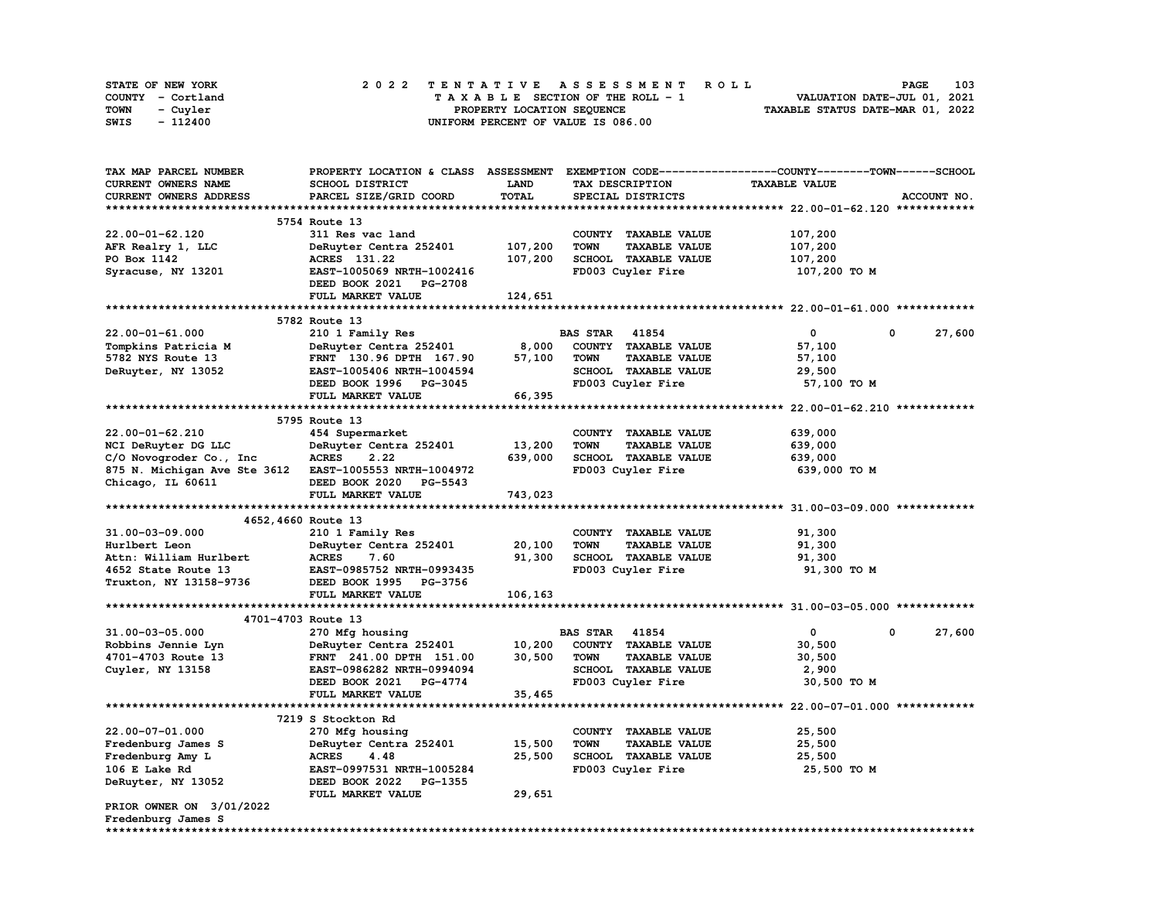| STATE OF NEW YORK | 2022 TENTATIVE ASSESSMENT ROLL     | 103<br><b>PAGE</b>               |
|-------------------|------------------------------------|----------------------------------|
| COUNTY - Cortland | TAXABLE SECTION OF THE ROLL - 1    | VALUATION DATE-JUL 01, 2021      |
| TOWN<br>- Cuvler  | PROPERTY LOCATION SEQUENCE         | TAXABLE STATUS DATE-MAR 01, 2022 |
| - 112400<br>SWIS  | UNIFORM PERCENT OF VALUE IS 086.00 |                                  |

| TAX MAP PARCEL NUMBER                                                             | PROPERTY LOCATION & CLASS ASSESSMENT EXEMPTION CODE----------------COUNTY-------TOWN-----SCHOOL |             |                                     |                      |             |
|-----------------------------------------------------------------------------------|-------------------------------------------------------------------------------------------------|-------------|-------------------------------------|----------------------|-------------|
| CURRENT OWNERS NAME                                                               | SCHOOL DISTRICT                                                                                 | <b>LAND</b> | TAX DESCRIPTION                     | <b>TAXABLE VALUE</b> |             |
| CURRENT OWNERS ADDRESS                                                            | PARCEL SIZE/GRID COORD                                                                          | TOTAL       | SPECIAL DISTRICTS                   |                      | ACCOUNT NO. |
|                                                                                   |                                                                                                 |             |                                     |                      |             |
|                                                                                   | 5754 Route 13                                                                                   |             |                                     |                      |             |
| 22.00-01-62.120                                                                   | 311 Res vac land                                                                                |             | COUNTY TAXABLE VALUE                | 107,200              |             |
| AFR Realry 1, LLC                                                                 | DeRuyter Centra 252401                                                                          | 107,200     | <b>TAXABLE VALUE</b><br><b>TOWN</b> | 107,200              |             |
| PO Box 1142                                                                       | ACRES 131.22                                                                                    | 107,200     | SCHOOL TAXABLE VALUE                | 107,200              |             |
| Syracuse, NY 13201                                                                | EAST-1005069 NRTH-1002416                                                                       |             | FD003 Cuyler Fire                   | 107,200 TO M         |             |
|                                                                                   | DEED BOOK 2021 PG-2708                                                                          |             |                                     |                      |             |
|                                                                                   | FULL MARKET VALUE                                                                               | 124,651     |                                     |                      |             |
|                                                                                   |                                                                                                 |             |                                     |                      |             |
|                                                                                   | 5782 Route 13                                                                                   |             |                                     |                      |             |
| $22.00 - 01 - 61.000$                                                             | 210 1 Family Res                                                                                |             | <b>BAS STAR</b> 41854               | $\mathbf{0}$         | 0<br>27,600 |
| Tompkins Patricia M                                                               | DeRuyter Centra 252401                                                                          | 8,000       | COUNTY TAXABLE VALUE                | 57,100               |             |
| 5782 NYS Route 13                                                                 | FRNT 130.96 DPTH 167.90                                                                         | 57,100      | <b>TOWN</b><br><b>TAXABLE VALUE</b> | 57,100               |             |
| DeRuyter, NY 13052                                                                | EAST-1005406 NRTH-1004594                                                                       |             | SCHOOL TAXABLE VALUE                | 29,500               |             |
|                                                                                   | DEED BOOK 1996 PG-3045                                                                          |             | FD003 Cuyler Fire                   | 57,100 TO M          |             |
|                                                                                   | FULL MARKET VALUE                                                                               | 66,395      |                                     |                      |             |
|                                                                                   |                                                                                                 |             |                                     |                      |             |
|                                                                                   | 5795 Route 13                                                                                   |             |                                     |                      |             |
| $22.00 - 01 - 62.210$                                                             | 454 Supermarket                                                                                 |             | COUNTY TAXABLE VALUE                | 639,000              |             |
|                                                                                   |                                                                                                 | 13,200      | <b>TOWN</b><br><b>TAXABLE VALUE</b> |                      |             |
| NCI DeRuyter DG LLC                                                               | DeRuyter Centra 252401<br><b>ACRES</b><br>2.22                                                  | 639,000     |                                     | 639,000              |             |
| C/O Novogroder Co., Inc<br>875 N. Michigan Ave Ste 3612 EAST-1005553 NRTH-1004972 |                                                                                                 |             | SCHOOL TAXABLE VALUE                | 639,000              |             |
|                                                                                   |                                                                                                 |             | FD003 Cuyler Fire                   | 639,000 TO M         |             |
| Chicago, IL 60611                                                                 | DEED BOOK 2020 PG-5543                                                                          |             |                                     |                      |             |
|                                                                                   | FULL MARKET VALUE                                                                               | 743,023     |                                     |                      |             |
|                                                                                   |                                                                                                 |             |                                     |                      |             |
|                                                                                   | 4652, 4660 Route 13                                                                             |             |                                     |                      |             |
| $31.00 - 03 - 09.000$                                                             | 210 1 Family Res                                                                                |             | COUNTY TAXABLE VALUE                | 91,300               |             |
| Hurlbert Leon                                                                     | DeRuyter Centra 252401                                                                          | 20,100      | <b>TOWN</b><br><b>TAXABLE VALUE</b> | 91,300               |             |
| Attn: William Hurlbert                                                            | <b>ACRES</b><br>7.60                                                                            | 91,300      | SCHOOL TAXABLE VALUE                | 91,300               |             |
| 4652 State Route 13                                                               | EAST-0985752 NRTH-0993435                                                                       |             | FD003 Cuyler Fire                   | 91,300 TO M          |             |
| Truxton, NY 13158-9736                                                            | DEED BOOK 1995 PG-3756                                                                          |             |                                     |                      |             |
|                                                                                   | FULL MARKET VALUE                                                                               | 106,163     |                                     |                      |             |
|                                                                                   |                                                                                                 |             |                                     |                      |             |
|                                                                                   | 4701-4703 Route 13                                                                              |             |                                     |                      |             |
| 31.00-03-05.000                                                                   | 270 Mfg housing                                                                                 |             | <b>BAS STAR 41854</b>               | $\mathbf{0}$         | 0<br>27,600 |
| Robbins Jennie Lyn                                                                | DeRuyter Centra 252401                                                                          | 10,200      | COUNTY TAXABLE VALUE                | 30,500               |             |
| 4701-4703 Route 13                                                                | FRNT 241.00 DPTH 151.00                                                                         | 30,500      | <b>TAXABLE VALUE</b><br><b>TOWN</b> | 30,500               |             |
| Cuyler, NY 13158                                                                  | EAST-0986282 NRTH-0994094                                                                       |             | SCHOOL TAXABLE VALUE                | 2,900                |             |
|                                                                                   | DEED BOOK 2021 PG-4774                                                                          |             | FD003 Cuyler Fire                   | 30,500 TO M          |             |
|                                                                                   | FULL MARKET VALUE                                                                               | 35,465      |                                     |                      |             |
|                                                                                   |                                                                                                 |             |                                     |                      |             |
|                                                                                   | 7219 S Stockton Rd                                                                              |             |                                     |                      |             |
| 22.00-07-01.000                                                                   | 270 Mfg housing                                                                                 |             | COUNTY TAXABLE VALUE                | 25,500               |             |
| Fredenburg James S                                                                | DeRuyter Centra 252401                                                                          | 15,500      | <b>TOWN</b><br><b>TAXABLE VALUE</b> | 25,500               |             |
| Fredenburg Amy L                                                                  | <b>ACRES</b><br>4.48                                                                            | 25,500      | SCHOOL TAXABLE VALUE                | 25,500               |             |
| 106 E Lake Rd                                                                     | EAST-0997531 NRTH-1005284                                                                       |             | FD003 Cuyler Fire                   | 25,500 TO M          |             |
| DeRuyter, NY 13052                                                                | DEED BOOK 2022 PG-1355                                                                          |             |                                     |                      |             |
|                                                                                   | FULL MARKET VALUE                                                                               | 29,651      |                                     |                      |             |
| PRIOR OWNER ON 3/01/2022                                                          |                                                                                                 |             |                                     |                      |             |
| Fredenburg James S                                                                |                                                                                                 |             |                                     |                      |             |
| *******************                                                               |                                                                                                 |             |                                     |                      |             |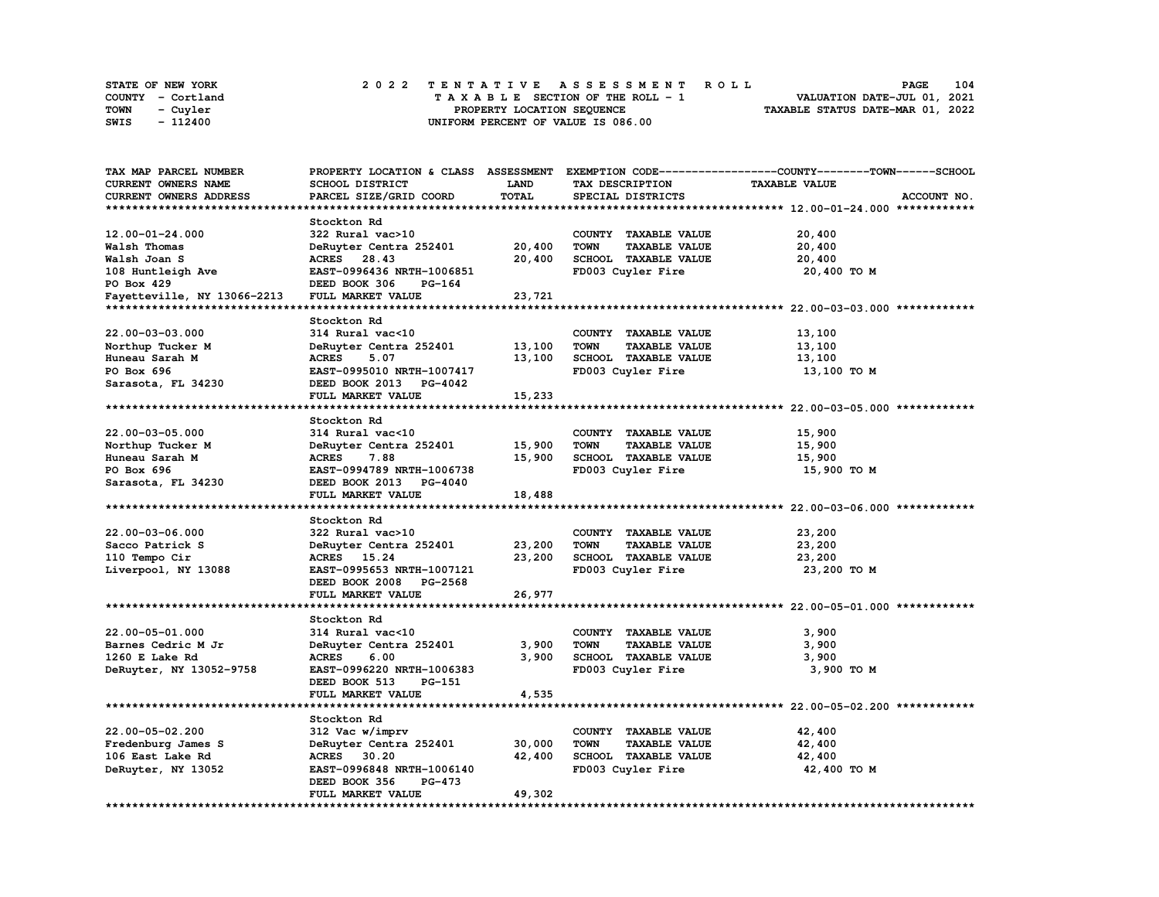| <b>STATE OF NEW YORK</b> | 2022 TENTATIVE ASSESSMENT ROLL     | 104<br><b>PAGE</b>               |
|--------------------------|------------------------------------|----------------------------------|
| COUNTY - Cortland        | TAXABLE SECTION OF THE ROLL - 1    | VALUATION DATE-JUL 01, 2021      |
| <b>TOWN</b><br>- Cuyler  | PROPERTY LOCATION SEQUENCE         | TAXABLE STATUS DATE-MAR 01, 2022 |
| - 112400<br>SWIS         | UNIFORM PERCENT OF VALUE IS 086.00 |                                  |

| TAX MAP PARCEL NUMBER       |                           |             |                                     | PROPERTY LOCATION & CLASS ASSESSMENT EXEMPTION CODE-----------------COUNTY-------TOWN-----SCHOOL |
|-----------------------------|---------------------------|-------------|-------------------------------------|--------------------------------------------------------------------------------------------------|
| CURRENT OWNERS NAME         | SCHOOL DISTRICT           | <b>LAND</b> | TAX DESCRIPTION                     | <b>TAXABLE VALUE</b>                                                                             |
| CURRENT OWNERS ADDRESS      | PARCEL SIZE/GRID COORD    | TOTAL       | SPECIAL DISTRICTS                   | ACCOUNT NO.                                                                                      |
|                             |                           |             |                                     |                                                                                                  |
|                             | Stockton Rd               |             |                                     |                                                                                                  |
| $12.00 - 01 - 24.000$       | 322 Rural vac>10          |             | COUNTY TAXABLE VALUE                | 20,400                                                                                           |
| Walsh Thomas                | DeRuyter Centra 252401    | 20,400      | <b>TOWN</b><br><b>TAXABLE VALUE</b> | 20,400                                                                                           |
|                             |                           |             |                                     |                                                                                                  |
| Walsh Joan S                | ACRES 28.43               | 20,400      | SCHOOL TAXABLE VALUE                | 20,400                                                                                           |
| 108 Huntleigh Ave           | EAST-0996436 NRTH-1006851 |             | FD003 Cuyler Fire                   | 20,400 TO M                                                                                      |
| PO Box 429                  | DEED BOOK 306<br>PG-164   |             |                                     |                                                                                                  |
| Fayetteville, NY 13066-2213 | FULL MARKET VALUE         | 23,721      |                                     |                                                                                                  |
|                             |                           |             |                                     |                                                                                                  |
|                             | Stockton Rd               |             |                                     |                                                                                                  |
| 22.00-03-03.000             | 314 Rural vac<10          |             | COUNTY TAXABLE VALUE                | 13,100                                                                                           |
| Northup Tucker M            | DeRuyter Centra 252401    | 13,100      | <b>TOWN</b><br><b>TAXABLE VALUE</b> | 13,100                                                                                           |
| Huneau Sarah M              | <b>ACRES</b><br>5.07      | 13,100      | SCHOOL TAXABLE VALUE                | 13,100                                                                                           |
| PO Box 696                  | EAST-0995010 NRTH-1007417 |             | FD003 Cuyler Fire                   | 13,100 TO M                                                                                      |
| Sarasota, FL 34230          | DEED BOOK 2013 PG-4042    |             |                                     |                                                                                                  |
|                             | FULL MARKET VALUE         | 15,233      |                                     |                                                                                                  |
|                             |                           |             |                                     |                                                                                                  |
|                             | Stockton Rd               |             |                                     |                                                                                                  |
|                             |                           |             |                                     |                                                                                                  |
| $22.00 - 03 - 05.000$       | 314 Rural vac<10          |             | COUNTY TAXABLE VALUE                | 15,900                                                                                           |
| Northup Tucker M            | DeRuyter Centra 252401    | 15,900      | <b>TOWN</b><br><b>TAXABLE VALUE</b> | 15,900                                                                                           |
| Huneau Sarah M              | <b>ACRES</b><br>7.88      | 15,900      | SCHOOL TAXABLE VALUE                | 15,900                                                                                           |
| PO Box 696                  | EAST-0994789 NRTH-1006738 |             | FD003 Cuyler Fire                   | 15,900 TO M                                                                                      |
| Sarasota, FL 34230          | DEED BOOK 2013 PG-4040    |             |                                     |                                                                                                  |
|                             | FULL MARKET VALUE         | 18,488      |                                     |                                                                                                  |
|                             |                           |             |                                     |                                                                                                  |
|                             | Stockton Rd               |             |                                     |                                                                                                  |
| 22.00-03-06.000             | 322 Rural vac>10          |             | COUNTY TAXABLE VALUE                | 23,200                                                                                           |
| Sacco Patrick S             | DeRuyter Centra 252401    | 23,200      | <b>TOWN</b><br><b>TAXABLE VALUE</b> | 23,200                                                                                           |
| 110 Tempo Cir               | ACRES 15.24               | 23,200      | SCHOOL TAXABLE VALUE                | 23,200                                                                                           |
| Liverpool, NY 13088         | EAST-0995653 NRTH-1007121 |             | FD003 Cuyler Fire                   | 23,200 TO M                                                                                      |
|                             | DEED BOOK 2008 PG-2568    |             |                                     |                                                                                                  |
|                             | FULL MARKET VALUE         | 26,977      |                                     |                                                                                                  |
|                             |                           |             |                                     |                                                                                                  |
|                             |                           |             |                                     |                                                                                                  |
|                             | Stockton Rd               |             |                                     |                                                                                                  |
| 22.00-05-01.000             | 314 Rural vac<10          |             | COUNTY TAXABLE VALUE                | 3,900                                                                                            |
| Barnes Cedric M Jr          | DeRuyter Centra 252401    | 3,900       | <b>TOWN</b><br><b>TAXABLE VALUE</b> | 3,900                                                                                            |
| 1260 E Lake Rd              | <b>ACRES</b><br>6.00      | 3,900       | SCHOOL TAXABLE VALUE                | 3,900                                                                                            |
| DeRuyter, NY 13052-9758     | EAST-0996220 NRTH-1006383 |             | FD003 Cuyler Fire                   | 3,900 TO M                                                                                       |
|                             | DEED BOOK 513<br>PG-151   |             |                                     |                                                                                                  |
|                             | FULL MARKET VALUE         | 4,535       |                                     |                                                                                                  |
| *************************   |                           |             |                                     |                                                                                                  |
|                             | Stockton Rd               |             |                                     |                                                                                                  |
| 22.00-05-02.200             | 312 Vac w/imprv           |             | COUNTY TAXABLE VALUE                | 42,400                                                                                           |
| Fredenburg James S          | DeRuyter Centra 252401    | 30,000      | <b>TOWN</b><br><b>TAXABLE VALUE</b> | 42,400                                                                                           |
| 106 East Lake Rd            | ACRES 30.20               | 42,400      | SCHOOL TAXABLE VALUE                | 42,400                                                                                           |
| DeRuyter, NY 13052          | EAST-0996848 NRTH-1006140 |             | FD003 Cuyler Fire                   | 42,400 TO M                                                                                      |
|                             | PG-473                    |             |                                     |                                                                                                  |
|                             | DEED BOOK 356             |             |                                     |                                                                                                  |
|                             | FULL MARKET VALUE         | 49,302      |                                     |                                                                                                  |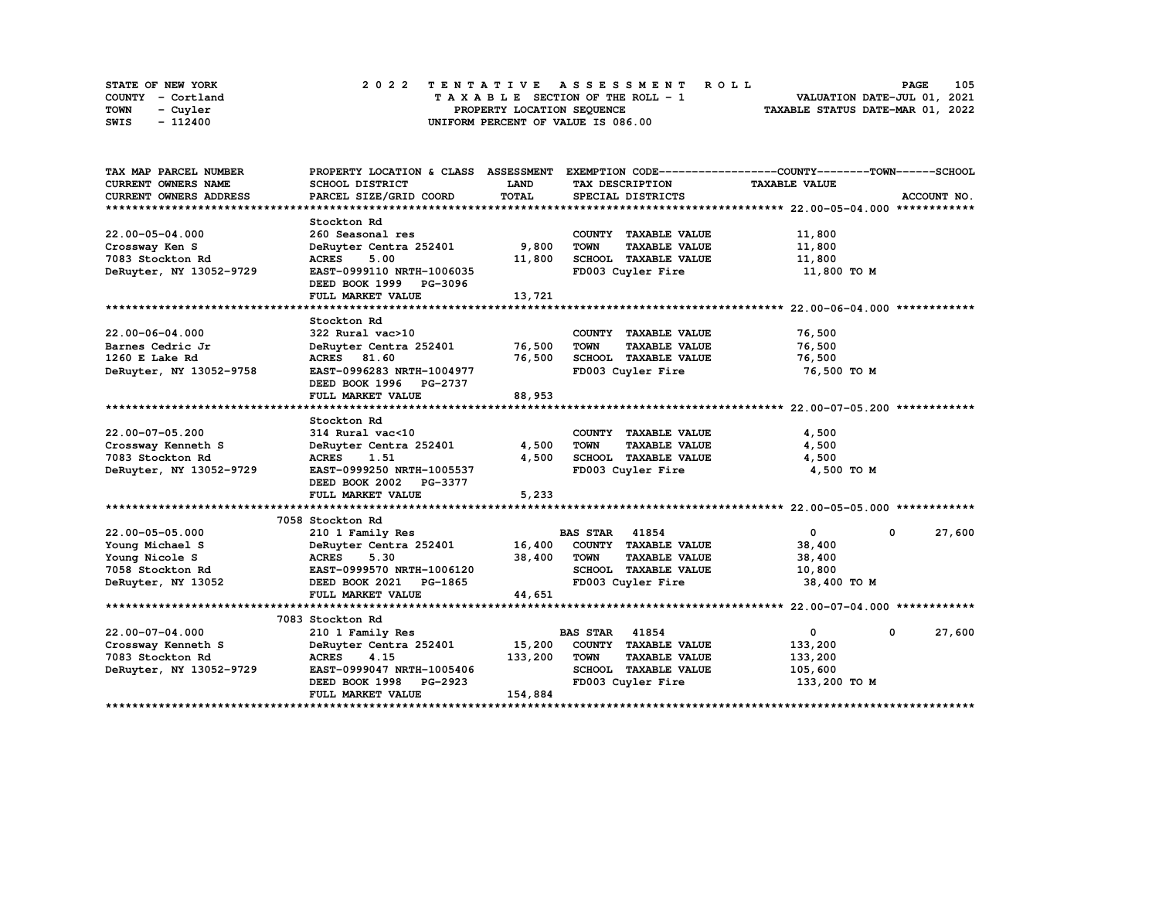| STATE OF NEW YORK | 2022 TENTATIVE ASSESSMENT ROLL     | 105<br><b>PAGE</b>               |
|-------------------|------------------------------------|----------------------------------|
| COUNTY - Cortland | TAXABLE SECTION OF THE ROLL - 1    | VALUATION DATE-JUL 01, 2021      |
| TOWN<br>- Cuyler  | PROPERTY LOCATION SEQUENCE         | TAXABLE STATUS DATE-MAR 01, 2022 |
| - 112400<br>SWIS  | UNIFORM PERCENT OF VALUE IS 086.00 |                                  |

| TAX MAP PARCEL NUMBER   | PROPERTY LOCATION & CLASS ASSESSMENT |             |                                     | EXEMPTION CODE-----------------COUNTY-------TOWN------SCHOOL |             |
|-------------------------|--------------------------------------|-------------|-------------------------------------|--------------------------------------------------------------|-------------|
| CURRENT OWNERS NAME     | SCHOOL DISTRICT                      | <b>LAND</b> | TAX DESCRIPTION                     | <b>TAXABLE VALUE</b>                                         |             |
| CURRENT OWNERS ADDRESS  | PARCEL SIZE/GRID COORD               | TOTAL       | SPECIAL DISTRICTS                   |                                                              | ACCOUNT NO. |
|                         |                                      |             |                                     |                                                              |             |
|                         | Stockton Rd                          |             |                                     |                                                              |             |
| 22.00-05-04.000         | 260 Seasonal res                     |             | COUNTY TAXABLE VALUE                | 11,800                                                       |             |
| Crossway Ken S          | DeRuyter Centra 252401               | 9,800       | <b>TOWN</b><br><b>TAXABLE VALUE</b> | 11,800                                                       |             |
| 7083 Stockton Rd        | <b>ACRES</b><br>5.00                 | 11,800      | SCHOOL TAXABLE VALUE                | 11,800                                                       |             |
| DeRuyter, NY 13052-9729 | EAST-0999110 NRTH-1006035            |             | FD003 Cuyler Fire                   | 11,800 TO M                                                  |             |
|                         | DEED BOOK 1999 PG-3096               |             |                                     |                                                              |             |
|                         | FULL MARKET VALUE                    | 13,721      |                                     |                                                              |             |
|                         |                                      |             |                                     |                                                              |             |
|                         | Stockton Rd                          |             |                                     |                                                              |             |
| 22.00-06-04.000         | 322 Rural vac>10                     |             | COUNTY TAXABLE VALUE                | 76,500                                                       |             |
| Barnes Cedric Jr        | DeRuyter Centra 252401               | 76,500      | <b>TOWN</b><br><b>TAXABLE VALUE</b> | 76,500                                                       |             |
| $1260$ E Lake Rd        | ACRES 81.60                          | 76,500      | SCHOOL TAXABLE VALUE                | 76,500                                                       |             |
| DeRuyter, NY 13052-9758 | EAST-0996283 NRTH-1004977            |             | FD003 Cuyler Fire                   | 76,500 TO M                                                  |             |
|                         | DEED BOOK 1996 PG-2737               |             |                                     |                                                              |             |
|                         | FULL MARKET VALUE                    | 88,953      |                                     |                                                              |             |
|                         |                                      |             |                                     |                                                              |             |
|                         | Stockton Rd                          |             |                                     |                                                              |             |
| 22.00-07-05.200         | 314 Rural vac<10                     |             | COUNTY TAXABLE VALUE                | 4,500                                                        |             |
| Crossway Kenneth S      | DeRuyter Centra 252401               | 4,500       | TOWN<br><b>TAXABLE VALUE</b>        | 4,500                                                        |             |
| 7083 Stockton Rd        | <b>ACRES</b><br>1.51                 | 4,500       | SCHOOL TAXABLE VALUE                | 4,500                                                        |             |
| DeRuyter, NY 13052-9729 | EAST-0999250 NRTH-1005537            |             | FD003 Cuyler Fire                   | 4,500 TO M                                                   |             |
|                         | DEED BOOK 2002 PG-3377               |             |                                     |                                                              |             |
|                         | FULL MARKET VALUE                    | 5,233       |                                     |                                                              |             |
|                         |                                      |             |                                     |                                                              |             |
|                         | 7058 Stockton Rd                     |             |                                     |                                                              |             |
| 22.00-05-05.000         | 210 1 Family Res                     |             | <b>BAS STAR 41854</b>               | $\mathbf{0}$<br>$^{\circ}$                                   | 27,600      |
| Young Michael S         | DeRuyter Centra 252401               | 16,400      | COUNTY TAXABLE VALUE                | 38,400                                                       |             |
| Young Nicole S          | <b>ACRES</b><br>5.30                 | 38,400      | <b>TOWN</b><br><b>TAXABLE VALUE</b> | 38,400                                                       |             |
| 7058 Stockton Rd        | EAST-0999570 NRTH-1006120            |             | SCHOOL TAXABLE VALUE                | 10,800                                                       |             |
| DeRuyter, NY 13052      | DEED BOOK 2021 PG-1865               |             | FD003 Cuyler Fire                   | 38,400 TO M                                                  |             |
|                         | FULL MARKET VALUE                    | 44,651      |                                     |                                                              |             |
|                         |                                      |             |                                     |                                                              |             |
|                         | 7083 Stockton Rd                     |             |                                     |                                                              |             |
| $22.00 - 07 - 04.000$   | 210 1 Family Res                     |             | <b>BAS STAR</b><br>41854            | 0<br>0                                                       | 27,600      |
| Crossway Kenneth S      | DeRuyter Centra 252401               | 15,200      | COUNTY TAXABLE VALUE                | 133,200                                                      |             |
| 7083 Stockton Rd        | <b>ACRES</b><br>4.15                 | 133,200     | <b>TOWN</b><br><b>TAXABLE VALUE</b> | 133,200                                                      |             |
| DeRuyter, NY 13052-9729 | EAST-0999047 NRTH-1005406            |             | SCHOOL TAXABLE VALUE                | 105,600                                                      |             |
|                         | DEED BOOK 1998 PG-2923               |             | FD003 Cuyler Fire                   | 133,200 TO M                                                 |             |
|                         | FULL MARKET VALUE                    | 154,884     |                                     |                                                              |             |
|                         |                                      |             |                                     |                                                              |             |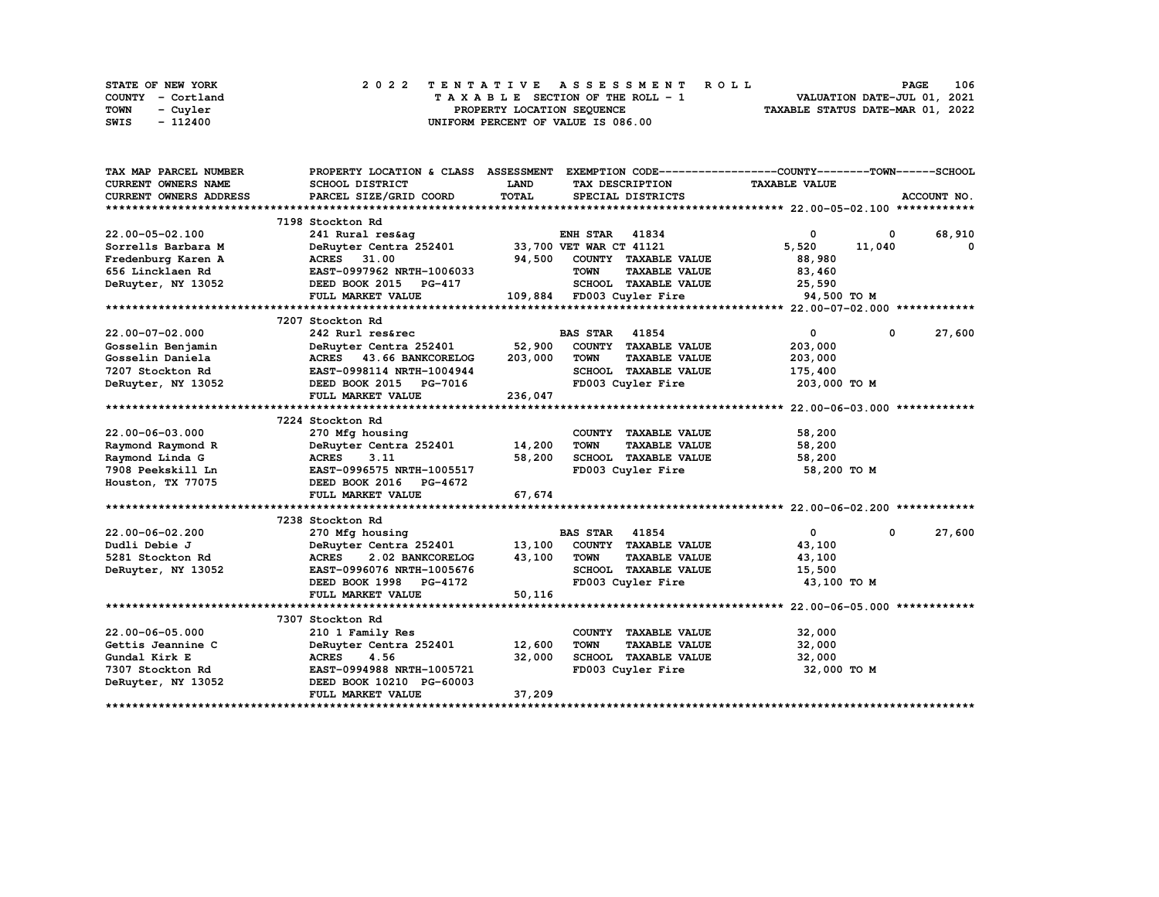| STATE OF NEW YORK | 2022 TENTATIVE ASSESSMENT ROLL     | 106<br><b>PAGE</b>               |
|-------------------|------------------------------------|----------------------------------|
| COUNTY - Cortland | TAXABLE SECTION OF THE ROLL - 1    | VALUATION DATE-JUL 01, 2021      |
| TOWN<br>- Cuvler  | PROPERTY LOCATION SEQUENCE         | TAXABLE STATUS DATE-MAR 01, 2022 |
| - 112400<br>SWIS  | UNIFORM PERCENT OF VALUE IS 086.00 |                                  |

| TAX MAP PARCEL NUMBER      | PROPERTY LOCATION & CLASS ASSESSMENT |                         |                       |                           | EXEMPTION CODE-----------------COUNTY-------TOWN------SCHOOL |              |             |
|----------------------------|--------------------------------------|-------------------------|-----------------------|---------------------------|--------------------------------------------------------------|--------------|-------------|
| <b>CURRENT OWNERS NAME</b> | SCHOOL DISTRICT                      | <b>LAND</b>             |                       | TAX DESCRIPTION           | <b>TAXABLE VALUE</b>                                         |              |             |
| CURRENT OWNERS ADDRESS     | PARCEL SIZE/GRID COORD               | TOTAL                   |                       | SPECIAL DISTRICTS         |                                                              |              | ACCOUNT NO. |
|                            |                                      |                         |                       |                           |                                                              |              |             |
|                            | 7198 Stockton Rd                     |                         |                       |                           |                                                              |              |             |
| $22.00 - 05 - 02.100$      | 241 Rural res&ag                     |                         | <b>ENH STAR 41834</b> |                           | 0                                                            | 0            | 68,910      |
| Sorrells Barbara M         | DeRuyter Centra 252401               | 33,700 VET WAR CT 41121 |                       |                           | 5,520                                                        | 11,040       | 0           |
| Fredenburg Karen A         | ACRES 31.00                          | 94,500                  |                       | COUNTY TAXABLE VALUE      | 88,980                                                       |              |             |
| 656 Lincklaen Rd           | EAST-0997962 NRTH-1006033            |                         | <b>TOWN</b>           | <b>TAXABLE VALUE</b>      | 83,460                                                       |              |             |
| DeRuyter, NY 13052         | DEED BOOK 2015 PG-417                |                         |                       | SCHOOL TAXABLE VALUE      | 25,590                                                       |              |             |
|                            | FULL MARKET VALUE                    |                         |                       | 109,884 FD003 Cuyler Fire | 94,500 TO M                                                  |              |             |
|                            |                                      |                         |                       |                           |                                                              |              |             |
|                            | 7207 Stockton Rd                     |                         |                       |                           |                                                              |              |             |
| $22.00 - 07 - 02.000$      | 242 Rurl res&rec                     |                         | <b>BAS STAR</b> 41854 |                           | $\mathbf{0}$                                                 | $\mathbf{0}$ | 27,600      |
| Gosselin Benjamin          | DeRuyter Centra 252401               | 52,900                  |                       | COUNTY TAXABLE VALUE      | 203,000                                                      |              |             |
| Gosselin Daniela           | ACRES 43.66 BANKCORELOG              | 203,000                 | <b>TOWN</b>           | <b>TAXABLE VALUE</b>      | 203,000                                                      |              |             |
| 7207 Stockton Rd           | EAST-0998114 NRTH-1004944            |                         |                       | SCHOOL TAXABLE VALUE      | 175,400                                                      |              |             |
| DeRuyter, NY 13052         | DEED BOOK 2015 PG-7016               |                         |                       | FD003 Cuyler Fire         | 203,000 TO M                                                 |              |             |
|                            | FULL MARKET VALUE                    | 236,047                 |                       |                           |                                                              |              |             |
|                            |                                      |                         |                       |                           |                                                              |              |             |
|                            | 7224 Stockton Rd                     |                         |                       |                           |                                                              |              |             |
| 22.00-06-03.000            | 270 Mfg housing                      |                         |                       | COUNTY TAXABLE VALUE      | 58,200                                                       |              |             |
| Raymond Raymond R          | DeRuyter Centra 252401               | 14,200                  | <b>TOWN</b>           | <b>TAXABLE VALUE</b>      | 58,200                                                       |              |             |
| Raymond Linda G            | <b>ACRES</b><br>3.11                 | 58,200                  |                       | SCHOOL TAXABLE VALUE      | 58,200                                                       |              |             |
| 7908 Peekskill Ln          | EAST-0996575 NRTH-1005517            |                         |                       | FD003 Cuyler Fire         | 58,200 TO M                                                  |              |             |
| Houston, TX 77075          | DEED BOOK 2016 PG-4672               |                         |                       |                           |                                                              |              |             |
|                            | FULL MARKET VALUE                    | 67,674                  |                       |                           |                                                              |              |             |
|                            |                                      |                         |                       |                           |                                                              |              |             |
|                            | 7238 Stockton Rd                     |                         |                       |                           |                                                              |              |             |
| 22.00-06-02.200            | 270 Mfg housing                      |                         | <b>BAS STAR 41854</b> |                           | $\mathbf{0}$                                                 | $^{\circ}$   | 27,600      |
| Dudli Debie J              | DeRuyter Centra 252401               | 13,100                  |                       | COUNTY TAXABLE VALUE      | 43,100                                                       |              |             |
| 5281 Stockton Rd           | <b>ACRES</b><br>2.02 BANKCORELOG     | 43,100                  | <b>TOWN</b>           | <b>TAXABLE VALUE</b>      | 43,100                                                       |              |             |
| DeRuyter, NY 13052         | EAST-0996076 NRTH-1005676            |                         |                       | SCHOOL TAXABLE VALUE      | 15,500                                                       |              |             |
|                            | DEED BOOK 1998 PG-4172               |                         |                       | FD003 Cuyler Fire         | 43,100 TO M                                                  |              |             |
|                            | FULL MARKET VALUE                    | 50,116                  |                       |                           |                                                              |              |             |
|                            |                                      |                         |                       |                           |                                                              |              |             |
|                            | 7307 Stockton Rd                     |                         |                       |                           |                                                              |              |             |
| 22.00-06-05.000            | 210 1 Family Res                     |                         |                       | COUNTY TAXABLE VALUE      | 32,000                                                       |              |             |
| Gettis Jeannine C          | DeRuyter Centra 252401               | 12,600                  | <b>TOWN</b>           | <b>TAXABLE VALUE</b>      | 32,000                                                       |              |             |
| Gundal Kirk E              | <b>ACRES</b><br>4.56                 | 32,000                  |                       | SCHOOL TAXABLE VALUE      | 32,000                                                       |              |             |
| 7307 Stockton Rd           | EAST-0994988 NRTH-1005721            |                         |                       | FD003 Cuyler Fire         | 32,000 TO M                                                  |              |             |
| DeRuyter, NY 13052         | DEED BOOK 10210 PG-60003             |                         |                       |                           |                                                              |              |             |
|                            | FULL MARKET VALUE                    | 37,209                  |                       |                           |                                                              |              |             |
|                            |                                      |                         |                       |                           |                                                              |              |             |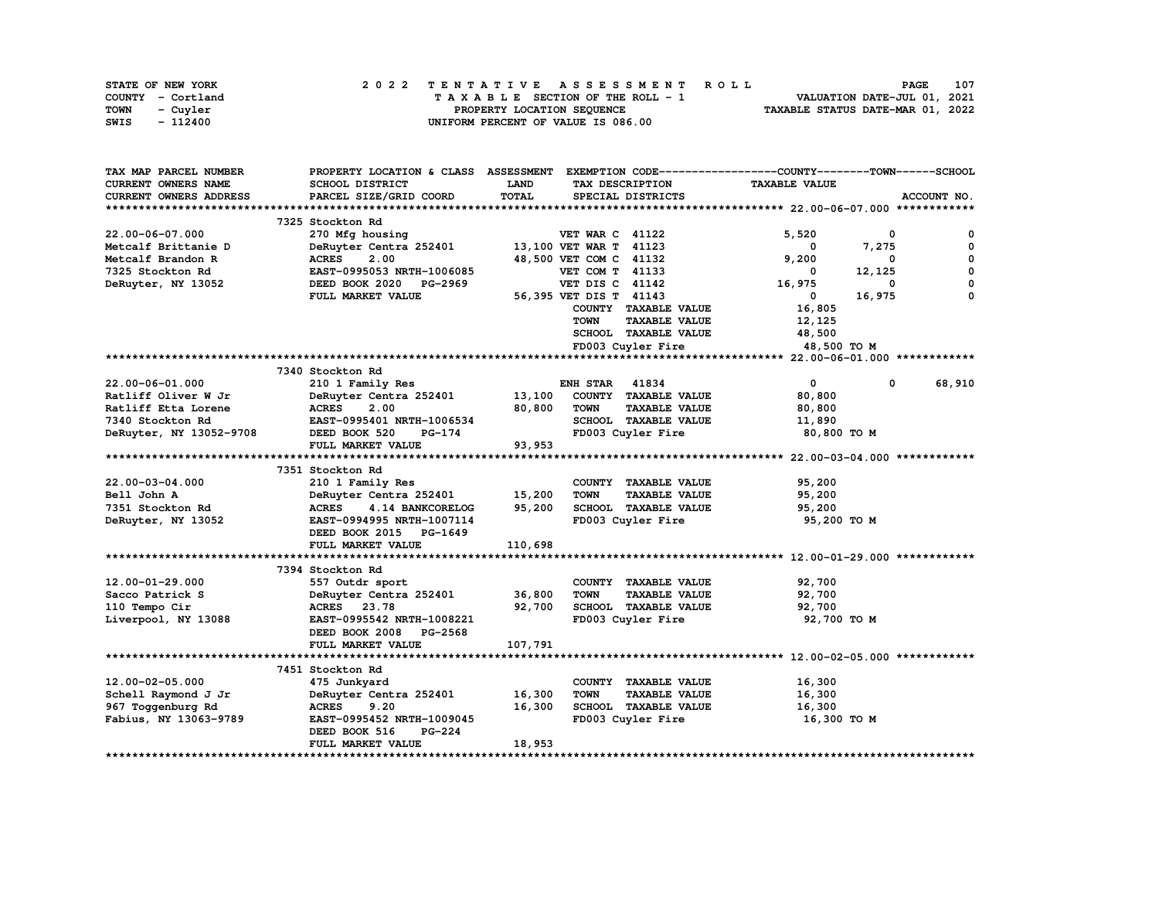| STATE OF NEW YORK | 2022 TENTATIVE ASSESSMENT ROLL     | 107<br><b>PAGE</b>               |
|-------------------|------------------------------------|----------------------------------|
| COUNTY - Cortland | TAXABLE SECTION OF THE ROLL - 1    | VALUATION DATE-JUL 01, 2021      |
| TOWN<br>- Cuyler  | PROPERTY LOCATION SEQUENCE         | TAXABLE STATUS DATE-MAR 01, 2022 |
| - 112400<br>SWIS  | UNIFORM PERCENT OF VALUE IS 086.00 |                                  |

| TAX MAP PARCEL NUMBER   | PROPERTY LOCATION & CLASS ASSESSMENT EXEMPTION CODE----------------COUNTY-------TOWN-----SCHOOL |             |                                     |                      |        |             |
|-------------------------|-------------------------------------------------------------------------------------------------|-------------|-------------------------------------|----------------------|--------|-------------|
| CURRENT OWNERS NAME     | SCHOOL DISTRICT                                                                                 | <b>LAND</b> | TAX DESCRIPTION                     | <b>TAXABLE VALUE</b> |        |             |
| CURRENT OWNERS ADDRESS  | PARCEL SIZE/GRID COORD                                                                          | TOTAL       | SPECIAL DISTRICTS                   |                      |        | ACCOUNT NO. |
|                         |                                                                                                 |             |                                     |                      |        |             |
|                         | 7325 Stockton Rd                                                                                |             |                                     |                      |        |             |
| 22.00-06-07.000         | 270 Mfg housing                                                                                 |             | <b>VET WAR C 41122</b>              | 5,520                | 0      | 0           |
| Metcalf Brittanie D     | DeRuyter Centra 252401                                                                          |             | 13,100 VET WAR T 41123              | 0                    | 7,275  | 0           |
| Metcalf Brandon R       | <b>ACRES</b><br>2.00                                                                            |             | 48,500 VET COM C 41132              | 9,200                | 0      | 0           |
| 7325 Stockton Rd        | EAST-0995053 NRTH-1006085                                                                       |             | VET COM T 41133                     | 0                    | 12,125 | 0           |
| DeRuyter, NY 13052      | DEED BOOK 2020 PG-2969                                                                          |             | VET DIS C 41142                     | 16,975               | 0      | 0           |
|                         | FULL MARKET VALUE                                                                               |             | 56,395 VET DIS T 41143              | $\mathbf{0}$         | 16,975 | $\Omega$    |
|                         |                                                                                                 |             | COUNTY TAXABLE VALUE                | 16,805               |        |             |
|                         |                                                                                                 |             | <b>TOWN</b><br><b>TAXABLE VALUE</b> | 12,125               |        |             |
|                         |                                                                                                 |             | SCHOOL TAXABLE VALUE                | 48,500               |        |             |
|                         |                                                                                                 |             | FD003 Cuyler Fire                   | 48,500 TO M          |        |             |
|                         |                                                                                                 |             |                                     |                      |        |             |
|                         | 7340 Stockton Rd                                                                                |             |                                     |                      |        |             |
| 22.00-06-01.000         | 210 1 Family Res                                                                                |             | <b>ENH STAR 41834</b>               | $\mathbf 0$          | 0      | 68,910      |
| Ratliff Oliver W Jr     | DeRuyter Centra 252401                                                                          | 13,100      | COUNTY TAXABLE VALUE                | 80,800               |        |             |
| Ratliff Etta Lorene     | <b>ACRES</b><br>2.00                                                                            | 80,800      | <b>TOWN</b><br><b>TAXABLE VALUE</b> | 80,800               |        |             |
| 7340 Stockton Rd        | EAST-0995401 NRTH-1006534                                                                       |             | SCHOOL TAXABLE VALUE                | 11,890               |        |             |
| DeRuyter, NY 13052-9708 | DEED BOOK 520<br>$PG-174$                                                                       |             | FD003 Cuyler Fire                   | 80,800 TO M          |        |             |
|                         | FULL MARKET VALUE                                                                               | 93,953      |                                     |                      |        |             |
|                         |                                                                                                 |             |                                     |                      |        |             |
|                         | 7351 Stockton Rd                                                                                |             |                                     |                      |        |             |
| 22.00-03-04.000         | 210 1 Family Res                                                                                |             | COUNTY TAXABLE VALUE                | 95,200               |        |             |
| Bell John A             | DeRuyter Centra 252401                                                                          | 15,200      | <b>TOWN</b><br><b>TAXABLE VALUE</b> | 95,200               |        |             |
| 7351 Stockton Rd        | <b>ACRES</b><br>4.14 BANKCORELOG                                                                | 95,200      | SCHOOL TAXABLE VALUE                | 95,200               |        |             |
| DeRuyter, NY 13052      | EAST-0994995 NRTH-1007114                                                                       |             | FD003 Cuyler Fire                   | 95,200 TO M          |        |             |
|                         | DEED BOOK 2015 PG-1649                                                                          |             |                                     |                      |        |             |
|                         | FULL MARKET VALUE                                                                               | 110,698     |                                     |                      |        |             |
|                         |                                                                                                 |             |                                     |                      |        |             |
|                         | 7394 Stockton Rd                                                                                |             |                                     |                      |        |             |
| $12.00 - 01 - 29.000$   | 557 Outdr sport                                                                                 |             | COUNTY TAXABLE VALUE                | 92,700               |        |             |
| Sacco Patrick S         | DeRuyter Centra 252401                                                                          | 36,800      | <b>TOWN</b><br><b>TAXABLE VALUE</b> | 92,700               |        |             |
| 110 Tempo Cir           | ACRES 23.78                                                                                     | 92,700      | SCHOOL TAXABLE VALUE                | 92,700               |        |             |
| Liverpool, NY 13088     | EAST-0995542 NRTH-1008221                                                                       |             | FD003 Cuyler Fire                   | 92,700 TO M          |        |             |
|                         | DEED BOOK 2008 PG-2568                                                                          |             |                                     |                      |        |             |
|                         | FULL MARKET VALUE                                                                               | 107,791     |                                     |                      |        |             |
|                         |                                                                                                 |             |                                     |                      |        |             |
|                         | 7451 Stockton Rd                                                                                |             |                                     |                      |        |             |
| 12.00-02-05.000         | 475 Junkyard                                                                                    |             | COUNTY TAXABLE VALUE                | 16,300               |        |             |
| Schell Raymond J Jr     | DeRuyter Centra 252401                                                                          | 16,300      | <b>TOWN</b><br><b>TAXABLE VALUE</b> | 16,300               |        |             |
| 967 Toggenburg Rd       | <b>ACRES</b><br>9.20                                                                            | 16,300      | SCHOOL TAXABLE VALUE                | 16,300               |        |             |
| Fabius, NY 13063-9789   | EAST-0995452 NRTH-1009045                                                                       |             | FD003 Cuyler Fire                   | 16,300 TO M          |        |             |
|                         | DEED BOOK 516<br><b>PG-224</b>                                                                  |             |                                     |                      |        |             |
|                         | FULL MARKET VALUE                                                                               | 18,953      |                                     |                      |        |             |
|                         |                                                                                                 |             |                                     |                      |        |             |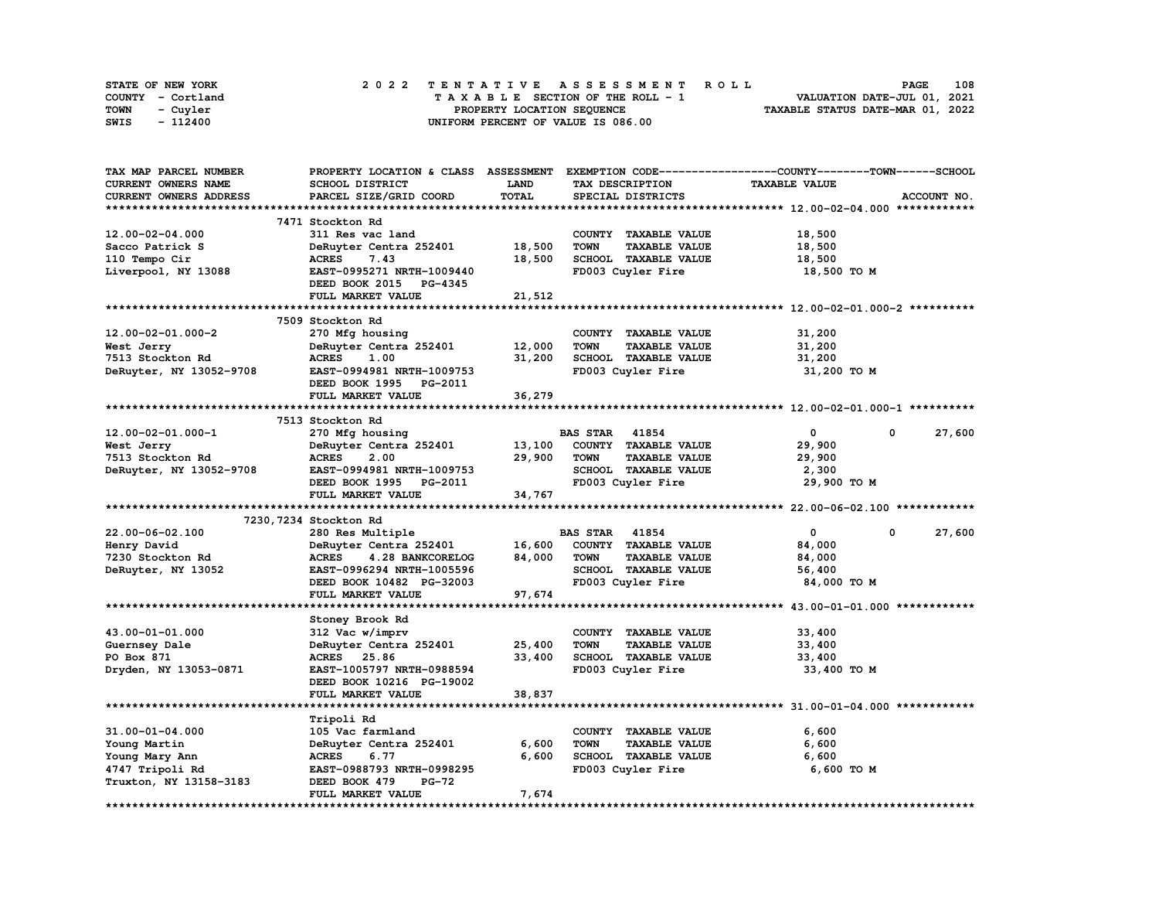| STATE OF NEW YORK | 2022 TENTATIVE ASSESSMENT ROLL     | 108<br><b>PAGE</b>               |
|-------------------|------------------------------------|----------------------------------|
| COUNTY - Cortland | TAXABLE SECTION OF THE ROLL - 1    | VALUATION DATE-JUL 01, 2021      |
| TOWN<br>- Cuvler  | PROPERTY LOCATION SEQUENCE         | TAXABLE STATUS DATE-MAR 01, 2022 |
| - 112400<br>SWIS  | UNIFORM PERCENT OF VALUE IS 086.00 |                                  |

| TAX MAP PARCEL NUMBER      | PROPERTY LOCATION & CLASS ASSESSMENT EXEMPTION CODE-----------------COUNTY-------TOWN------SCHOOL |             |                                     |                       |             |
|----------------------------|---------------------------------------------------------------------------------------------------|-------------|-------------------------------------|-----------------------|-------------|
| <b>CURRENT OWNERS NAME</b> | SCHOOL DISTRICT                                                                                   | <b>LAND</b> | TAX DESCRIPTION                     | <b>TAXABLE VALUE</b>  |             |
| CURRENT OWNERS ADDRESS     | PARCEL SIZE/GRID COORD                                                                            | TOTAL       | SPECIAL DISTRICTS                   |                       | ACCOUNT NO. |
|                            |                                                                                                   |             |                                     |                       |             |
|                            | 7471 Stockton Rd                                                                                  |             |                                     |                       |             |
| 12.00-02-04.000            | 311 Res vac land                                                                                  |             | COUNTY TAXABLE VALUE                | 18,500                |             |
|                            |                                                                                                   |             |                                     |                       |             |
| Sacco Patrick S            | DeRuyter Centra 252401                                                                            | 18,500      | <b>TAXABLE VALUE</b><br><b>TOWN</b> | 18,500                |             |
| 110 Tempo Cir              | <b>ACRES</b><br>7.43                                                                              | 18,500      | SCHOOL TAXABLE VALUE                | 18,500                |             |
| Liverpool, NY 13088        | EAST-0995271 NRTH-1009440                                                                         |             | FD003 Cuyler Fire                   | 18,500 TO M           |             |
|                            | DEED BOOK 2015 PG-4345                                                                            |             |                                     |                       |             |
|                            | FULL MARKET VALUE                                                                                 | 21,512      |                                     |                       |             |
|                            |                                                                                                   |             |                                     |                       |             |
|                            | 7509 Stockton Rd                                                                                  |             |                                     |                       |             |
| $12.00 - 02 - 01.000 - 2$  | 270 Mfg housing                                                                                   |             | COUNTY TAXABLE VALUE                | 31,200                |             |
| West Jerry                 | DeRuyter Centra 252401                                                                            | 12,000      | <b>TOWN</b><br><b>TAXABLE VALUE</b> | 31,200                |             |
| 7513 Stockton Rd           | <b>ACRES</b><br>1.00                                                                              | 31,200      | SCHOOL TAXABLE VALUE                | 31,200                |             |
| DeRuyter, NY 13052-9708    | EAST-0994981 NRTH-1009753                                                                         |             | FD003 Cuyler Fire                   | 31,200 TO M           |             |
|                            | DEED BOOK 1995 PG-2011                                                                            |             |                                     |                       |             |
|                            |                                                                                                   |             |                                     |                       |             |
|                            | FULL MARKET VALUE                                                                                 | 36,279      |                                     |                       |             |
|                            |                                                                                                   |             |                                     |                       |             |
|                            | 7513 Stockton Rd                                                                                  |             |                                     |                       |             |
| 12.00-02-01.000-1          | 270 Mfg housing                                                                                   |             | <b>BAS STAR 41854</b>               | $\circ$<br>$^{\circ}$ | 27,600      |
| West Jerry                 | DeRuyter Centra 252401                                                                            | 13,100      | COUNTY TAXABLE VALUE                | 29,900                |             |
| 7513 Stockton Rd           | <b>ACRES</b><br>2.00                                                                              | 29,900      | <b>TOWN</b><br><b>TAXABLE VALUE</b> | 29,900                |             |
| DeRuyter, NY 13052-9708    | EAST-0994981 NRTH-1009753                                                                         |             | SCHOOL TAXABLE VALUE                | 2,300                 |             |
|                            | DEED BOOK 1995 PG-2011                                                                            |             | FD003 Cuyler Fire                   | 29,900 TO M           |             |
|                            | FULL MARKET VALUE                                                                                 | 34,767      |                                     |                       |             |
|                            |                                                                                                   |             |                                     |                       |             |
|                            | 7230, 7234 Stockton Rd                                                                            |             |                                     |                       |             |
| 22.00-06-02.100            | 280 Res Multiple                                                                                  |             | <b>BAS STAR 41854</b>               | $\mathbf{0}$<br>0     | 27,600      |
| Henry David                | DeRuyter Centra 252401                                                                            | 16,600      | COUNTY TAXABLE VALUE                | 84,000                |             |
| 7230 Stockton Rd           | <b>ACRES</b><br>4.28 BANKCORELOG                                                                  | 84,000      | <b>TOWN</b><br><b>TAXABLE VALUE</b> | 84,000                |             |
|                            |                                                                                                   |             |                                     |                       |             |
| DeRuyter, NY 13052         | EAST-0996294 NRTH-1005596                                                                         |             | SCHOOL TAXABLE VALUE                | 56,400                |             |
|                            | DEED BOOK 10482 PG-32003                                                                          |             | FD003 Cuyler Fire                   | 84,000 TO M           |             |
|                            | FULL MARKET VALUE                                                                                 | 97,674      |                                     |                       |             |
|                            |                                                                                                   |             |                                     |                       |             |
|                            | Stoney Brook Rd                                                                                   |             |                                     |                       |             |
| 43.00-01-01.000            | 312 Vac w/imprv                                                                                   |             | COUNTY TAXABLE VALUE                | 33,400                |             |
| Guernsey Dale              | DeRuyter Centra 252401                                                                            | 25,400      | <b>TOWN</b><br><b>TAXABLE VALUE</b> | 33,400                |             |
| PO Box 871                 | ACRES 25.86                                                                                       | 33,400      | SCHOOL TAXABLE VALUE                | 33,400                |             |
| Dryden, NY 13053-0871      | EAST-1005797 NRTH-0988594                                                                         |             | FD003 Cuyler Fire                   | 33,400 TO M           |             |
|                            | DEED BOOK 10216 PG-19002                                                                          |             |                                     |                       |             |
|                            | <b>FULL MARKET VALUE</b>                                                                          | 38,837      |                                     |                       |             |
| ***********************    | ************************                                                                          |             |                                     |                       |             |
|                            |                                                                                                   |             |                                     |                       |             |
|                            | Tripoli Rd                                                                                        |             |                                     |                       |             |
| 31.00-01-04.000            | 105 Vac farmland                                                                                  |             | COUNTY TAXABLE VALUE                | 6,600                 |             |
| Young Martin               | DeRuyter Centra 252401                                                                            | 6,600       | TOWN<br><b>TAXABLE VALUE</b>        | 6,600                 |             |
| Young Mary Ann             | <b>ACRES</b><br>6.77                                                                              | 6,600       | SCHOOL TAXABLE VALUE                | 6,600                 |             |
| 4747 Tripoli Rd            | EAST-0988793 NRTH-0998295                                                                         |             | FD003 Cuyler Fire                   | 6,600 TO M            |             |
| Truxton, NY 13158-3183     | DEED BOOK 479<br><b>PG-72</b>                                                                     |             |                                     |                       |             |
|                            | FULL MARKET VALUE                                                                                 | 7,674       |                                     |                       |             |
| ********************       |                                                                                                   |             |                                     |                       |             |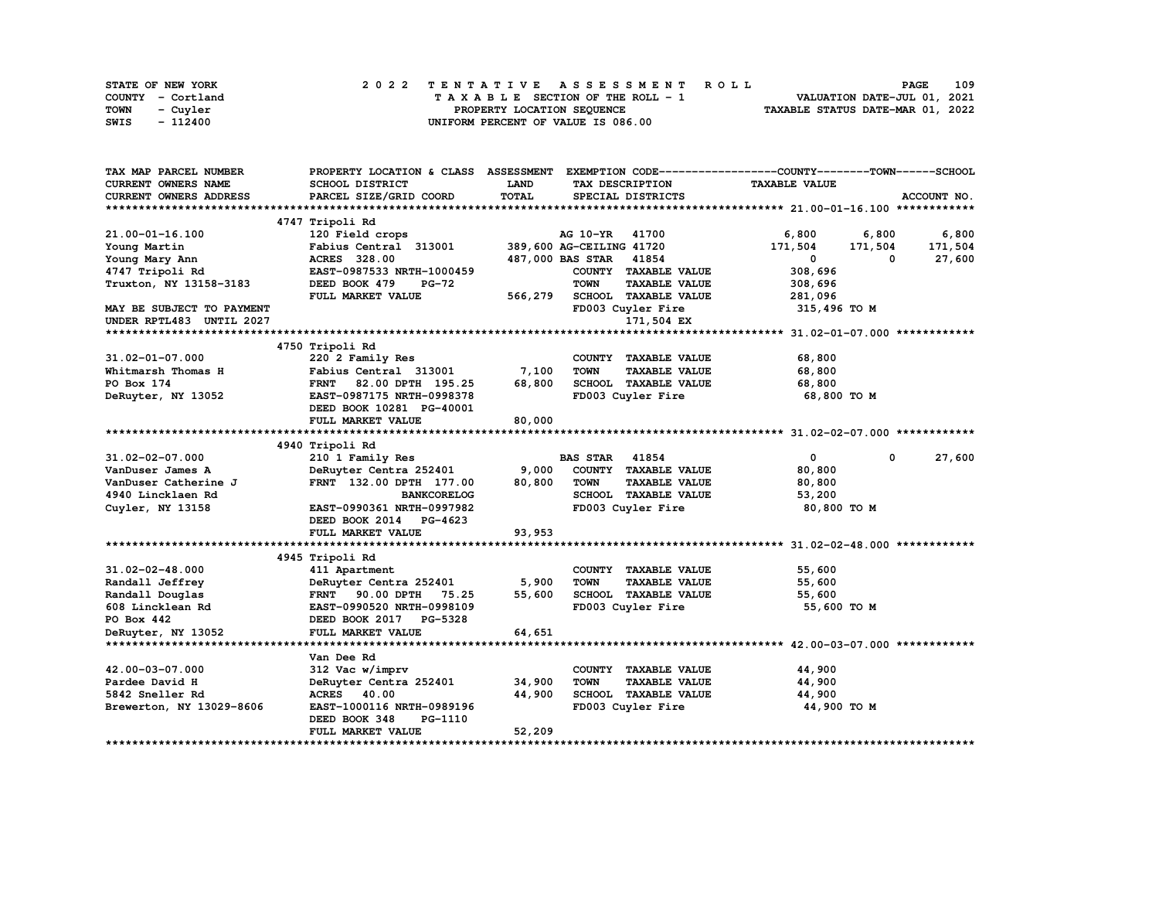| STATE OF NEW YORK | 2022 TENTATIVE ASSESSMENT ROLL     | 109<br><b>PAGE</b>               |
|-------------------|------------------------------------|----------------------------------|
| COUNTY - Cortland | TAXABLE SECTION OF THE ROLL - 1    | VALUATION DATE-JUL 01, 2021      |
| TOWN<br>- Cuyler  | PROPERTY LOCATION SEOUENCE         | TAXABLE STATUS DATE-MAR 01, 2022 |
| SWIS<br>- 112400  | UNIFORM PERCENT OF VALUE IS 086.00 |                                  |

| TAX MAP PARCEL NUMBER     | PROPERTY LOCATION & CLASS ASSESSMENT EXEMPTION CODE----------------COUNTY-------TOWN------SCHOOL |         |                                     |                             |             |
|---------------------------|--------------------------------------------------------------------------------------------------|---------|-------------------------------------|-----------------------------|-------------|
| CURRENT OWNERS NAME       | SCHOOL DISTRICT                                                                                  | LAND    | TAX DESCRIPTION                     | <b>TAXABLE VALUE</b>        |             |
| CURRENT OWNERS ADDRESS    | PARCEL SIZE/GRID COORD                                                                           | TOTAL   | SPECIAL DISTRICTS                   |                             | ACCOUNT NO. |
|                           |                                                                                                  |         |                                     |                             |             |
|                           | 4747 Tripoli Rd                                                                                  |         |                                     |                             |             |
| 21.00-01-16.100           | 120 Field crops                                                                                  |         | AG 10-YR 41700                      | 6,800<br>6,800              | 6,800       |
| Young Martin              | Fabius Central 313001                                                                            |         | 389,600 AG-CEILING 41720            | 171,504<br>171,504          | 171,504     |
| Young Mary Ann            | ACRES 328.00                                                                                     |         | 487,000 BAS STAR 41854              | 0<br>$^{\circ}$             | 27,600      |
| 4747 Tripoli Rd           | EAST-0987533 NRTH-1000459                                                                        |         | COUNTY TAXABLE VALUE                | 308,696                     |             |
| Truxton, NY 13158-3183    | DEED BOOK 479<br>PG-72                                                                           |         | <b>TOWN</b><br><b>TAXABLE VALUE</b> | 308,696                     |             |
|                           | FULL MARKET VALUE                                                                                | 566,279 | SCHOOL TAXABLE VALUE                | 281,096                     |             |
| MAY BE SUBJECT TO PAYMENT |                                                                                                  |         | FD003 Cuyler Fire                   | 315,496 TO M                |             |
| UNDER RPTL483 UNTIL 2027  |                                                                                                  |         | 171,504 EX                          |                             |             |
|                           |                                                                                                  |         |                                     |                             |             |
|                           | 4750 Tripoli Rd                                                                                  |         |                                     |                             |             |
| 31.02-01-07.000           | 220 2 Family Res                                                                                 |         | COUNTY TAXABLE VALUE                | 68,800                      |             |
| Whitmarsh Thomas H        | Fabius Central 313001                                                                            | 7,100   | <b>TOWN</b><br><b>TAXABLE VALUE</b> | 68,800                      |             |
| PO Box 174                | FRNT 82.00 DPTH 195.25                                                                           | 68,800  | SCHOOL TAXABLE VALUE                | 68,800                      |             |
| DeRuyter, NY 13052        | EAST-0987175 NRTH-0998378                                                                        |         | FD003 Cuyler Fire                   | 68,800 TO M                 |             |
|                           | DEED BOOK 10281 PG-40001                                                                         |         |                                     |                             |             |
|                           | FULL MARKET VALUE                                                                                | 80,000  |                                     |                             |             |
|                           |                                                                                                  |         |                                     |                             |             |
|                           | 4940 Tripoli Rd                                                                                  |         |                                     |                             |             |
| 31.02-02-07.000           | 210 1 Family Res                                                                                 |         | <b>BAS STAR 41854</b>               | $\mathbf{0}$<br>$\mathbf 0$ | 27,600      |
| VanDuser James A          | DeRuyter Centra 252401                                                                           | 9,000   | COUNTY TAXABLE VALUE                | 80,800                      |             |
| VanDuser Catherine J      | FRNT 132.00 DPTH 177.00                                                                          | 80,800  | <b>TOWN</b><br><b>TAXABLE VALUE</b> | 80,800                      |             |
| 4940 Lincklaen Rd         | <b>BANKCORELOG</b>                                                                               |         | SCHOOL TAXABLE VALUE                | 53,200                      |             |
| Cuyler, NY 13158          | EAST-0990361 NRTH-0997982                                                                        |         | FD003 Cuyler Fire                   | 80,800 TO M                 |             |
|                           | DEED BOOK 2014 PG-4623                                                                           |         |                                     |                             |             |
|                           | FULL MARKET VALUE                                                                                | 93, 953 |                                     |                             |             |
|                           |                                                                                                  |         |                                     |                             |             |
|                           | 4945 Tripoli Rd                                                                                  |         |                                     |                             |             |
| $31.02 - 02 - 48.000$     | 411 Apartment                                                                                    |         | COUNTY TAXABLE VALUE                | 55,600                      |             |
| Randall Jeffrey           | DeRuyter Centra 252401                                                                           | 5,900   | <b>TOWN</b><br><b>TAXABLE VALUE</b> | 55,600                      |             |
| Randall Douglas           | FRNT 90.00 DPTH<br>75.25                                                                         | 55,600  | SCHOOL TAXABLE VALUE                | 55,600                      |             |
| 608 Lincklean Rd          | EAST-0990520 NRTH-0998109                                                                        |         | FD003 Cuyler Fire                   | 55,600 TO M                 |             |
| PO Box 442                | DEED BOOK 2017 PG-5328                                                                           |         |                                     |                             |             |
| DeRuyter, NY 13052        | FULL MARKET VALUE                                                                                | 64,651  |                                     |                             |             |
|                           |                                                                                                  |         |                                     |                             |             |
|                           | Van Dee Rd                                                                                       |         |                                     |                             |             |
| 42.00-03-07.000           | 312 Vac w/imprv                                                                                  |         | COUNTY TAXABLE VALUE                | 44,900                      |             |
| Pardee David H            | DeRuyter Centra 252401                                                                           | 34,900  | <b>TOWN</b><br><b>TAXABLE VALUE</b> | 44,900                      |             |
| 5842 Sneller Rd           | ACRES 40.00                                                                                      | 44,900  | SCHOOL TAXABLE VALUE                | 44,900                      |             |
| Brewerton, NY 13029-8606  | EAST-1000116 NRTH-0989196                                                                        |         | FD003 Cuyler Fire                   | 44,900 TO M                 |             |
|                           | DEED BOOK 348<br>PG-1110                                                                         |         |                                     |                             |             |
|                           | <b>FULL MARKET VALUE</b>                                                                         | 52,209  |                                     |                             |             |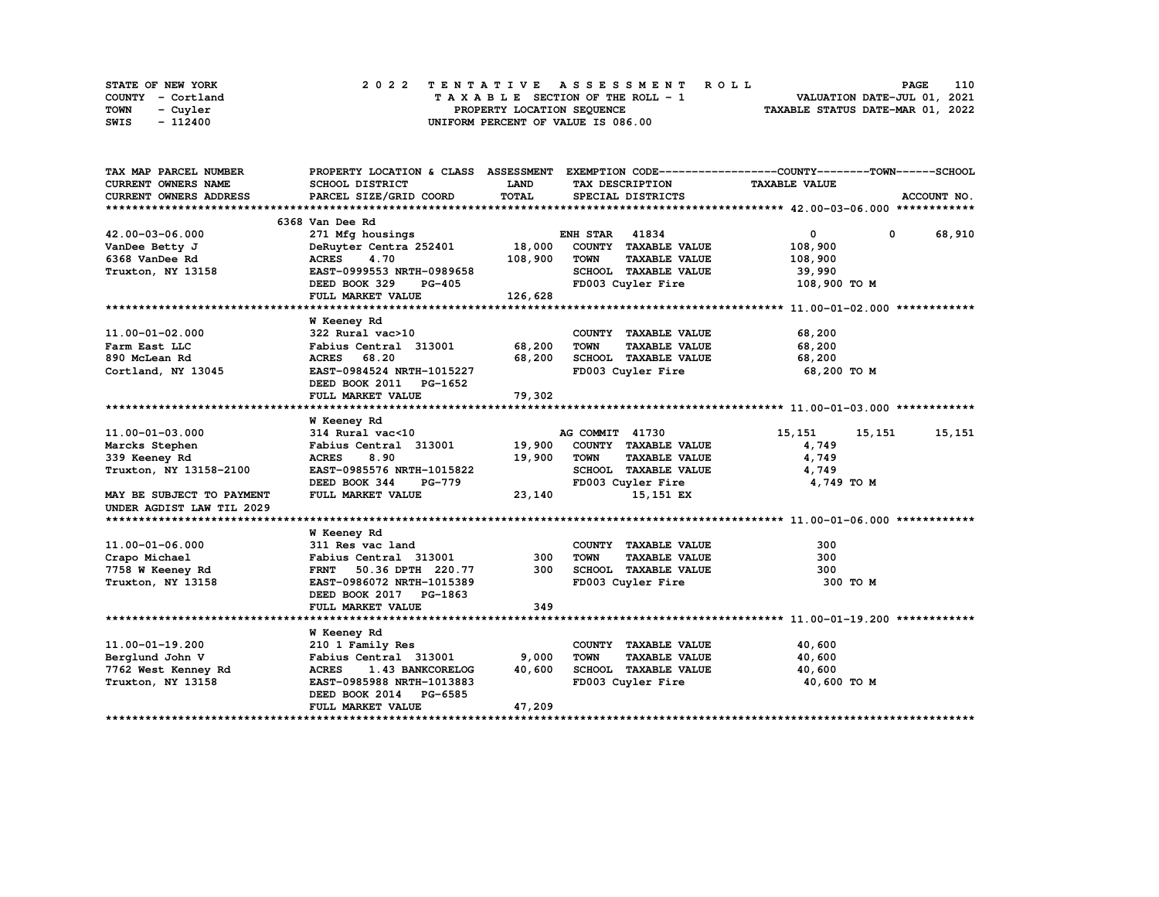| STATE OF NEW YORK | 2022 TENTATIVE ASSESSMENT ROLL     | 110<br><b>PAGE</b>               |
|-------------------|------------------------------------|----------------------------------|
| COUNTY - Cortland | TAXABLE SECTION OF THE ROLL - 1    | VALUATION DATE-JUL 01, 2021      |
| TOWN<br>- Cuvler  | PROPERTY LOCATION SEQUENCE         | TAXABLE STATUS DATE-MAR 01, 2022 |
| - 112400<br>SWIS  | UNIFORM PERCENT OF VALUE IS 086.00 |                                  |

| TAX MAP PARCEL NUMBER      |                                  |             |                                     | PROPERTY LOCATION & CLASS ASSESSMENT EXEMPTION CODE----------------COUNTY-------TOWN------SCHOOL |
|----------------------------|----------------------------------|-------------|-------------------------------------|--------------------------------------------------------------------------------------------------|
| <b>CURRENT OWNERS NAME</b> | <b>SCHOOL DISTRICT</b>           | <b>LAND</b> | TAX DESCRIPTION                     | <b>TAXABLE VALUE</b>                                                                             |
| CURRENT OWNERS ADDRESS     | PARCEL SIZE/GRID COORD           | TOTAL       | SPECIAL DISTRICTS                   | ACCOUNT NO.                                                                                      |
|                            |                                  |             |                                     |                                                                                                  |
|                            | 6368 Van Dee Rd                  |             |                                     |                                                                                                  |
| 42.00-03-06.000            | 271 Mfg housings                 |             | <b>ENH STAR 41834</b>               | $\mathbf{0}$<br>0 68,910                                                                         |
| VanDee Betty J             | DeRuyter Centra 252401           | 18,000      | COUNTY TAXABLE VALUE                | 108,900                                                                                          |
| 6368 VanDee Rd             | 4.70<br><b>ACRES</b>             | 108,900     | <b>TAXABLE VALUE</b><br><b>TOWN</b> | 108,900                                                                                          |
| Truxton, NY 13158          | EAST-0999553 NRTH-0989658        |             | SCHOOL TAXABLE VALUE                | 39,990                                                                                           |
|                            | DEED BOOK 329<br><b>PG-405</b>   |             | FD003 Cuyler Fire                   | 108,900 TO M                                                                                     |
|                            | FULL MARKET VALUE                | 126,628     |                                     |                                                                                                  |
|                            |                                  |             |                                     |                                                                                                  |
|                            | W Keeney Rd                      |             |                                     |                                                                                                  |
| 11.00-01-02.000            | 322 Rural vac>10                 |             | COUNTY TAXABLE VALUE                | 68,200                                                                                           |
| Farm East LLC              | Fabius Central 313001            | 68,200      | <b>TOWN</b><br><b>TAXABLE VALUE</b> | 68,200                                                                                           |
| 890 McLean Rd              | ACRES 68.20                      | 68,200      | SCHOOL TAXABLE VALUE                | 68,200                                                                                           |
| Cortland, NY 13045         | EAST-0984524 NRTH-1015227        |             | FD003 Cuyler Fire                   | 68,200 TO M                                                                                      |
|                            | DEED BOOK 2011 PG-1652           |             |                                     |                                                                                                  |
|                            | FULL MARKET VALUE                | 79,302      |                                     |                                                                                                  |
|                            |                                  |             |                                     |                                                                                                  |
|                            | <b>W</b> Keeney Rd               |             |                                     |                                                                                                  |
| 11.00-01-03.000            | 314 Rural vac<10                 |             | AG COMMIT 41730                     | 15,151<br>15,151<br>15,151                                                                       |
| Marcks Stephen             | Fabius Central 313001            | 19,900      | COUNTY TAXABLE VALUE                | 4,749                                                                                            |
| 339 Keeney Rd              | <b>ACRES</b><br>8.90             | 19,900      | <b>TOWN</b><br><b>TAXABLE VALUE</b> | 4,749                                                                                            |
| Truxton, NY 13158-2100     | EAST-0985576 NRTH-1015822        |             | SCHOOL TAXABLE VALUE                | 4,749                                                                                            |
|                            | DEED BOOK 344<br><b>PG-779</b>   |             | FD003 Cuyler Fire                   | 4,749 TO M                                                                                       |
| MAY BE SUBJECT TO PAYMENT  | FULL MARKET VALUE                | 23,140      | 15,151 EX                           |                                                                                                  |
| UNDER AGDIST LAW TIL 2029  |                                  |             |                                     |                                                                                                  |
|                            |                                  |             |                                     |                                                                                                  |
|                            | W Keeney Rd                      |             |                                     |                                                                                                  |
| 11.00-01-06.000            | 311 Res vac land                 |             | COUNTY TAXABLE VALUE                | 300                                                                                              |
| Crapo Michael              | Fabius Central 313001            | 300         | TOWN<br><b>TAXABLE VALUE</b>        | 300                                                                                              |
| 7758 W Keeney Rd           | 50.36 DPTH 220.77<br><b>FRNT</b> | 300         | SCHOOL TAXABLE VALUE                | 300                                                                                              |
| Truxton, NY 13158          | EAST-0986072 NRTH-1015389        |             | FD003 Cuyler Fire                   | 300 TO M                                                                                         |
|                            | DEED BOOK 2017 PG-1863           |             |                                     |                                                                                                  |
|                            | FULL MARKET VALUE                | 349         |                                     |                                                                                                  |
|                            |                                  |             |                                     |                                                                                                  |
|                            | <b>W</b> Keeney Rd               |             |                                     |                                                                                                  |
| 11.00-01-19.200            | 210 1 Family Res                 |             | COUNTY TAXABLE VALUE                | 40,600                                                                                           |
| Berglund John V            | Fabius Central 313001            | 9,000       | <b>TOWN</b><br><b>TAXABLE VALUE</b> | 40,600                                                                                           |
| 7762 West Kenney Rd        | <b>ACRES</b><br>1.43 BANKCORELOG | 40,600      | SCHOOL TAXABLE VALUE                | 40,600                                                                                           |
| Truxton, NY 13158          | EAST-0985988 NRTH-1013883        |             | FD003 Cuyler Fire                   | 40,600 TO M                                                                                      |
|                            | DEED BOOK 2014 PG-6585           |             |                                     |                                                                                                  |
|                            | FULL MARKET VALUE                | 47,209      |                                     |                                                                                                  |
|                            |                                  |             |                                     |                                                                                                  |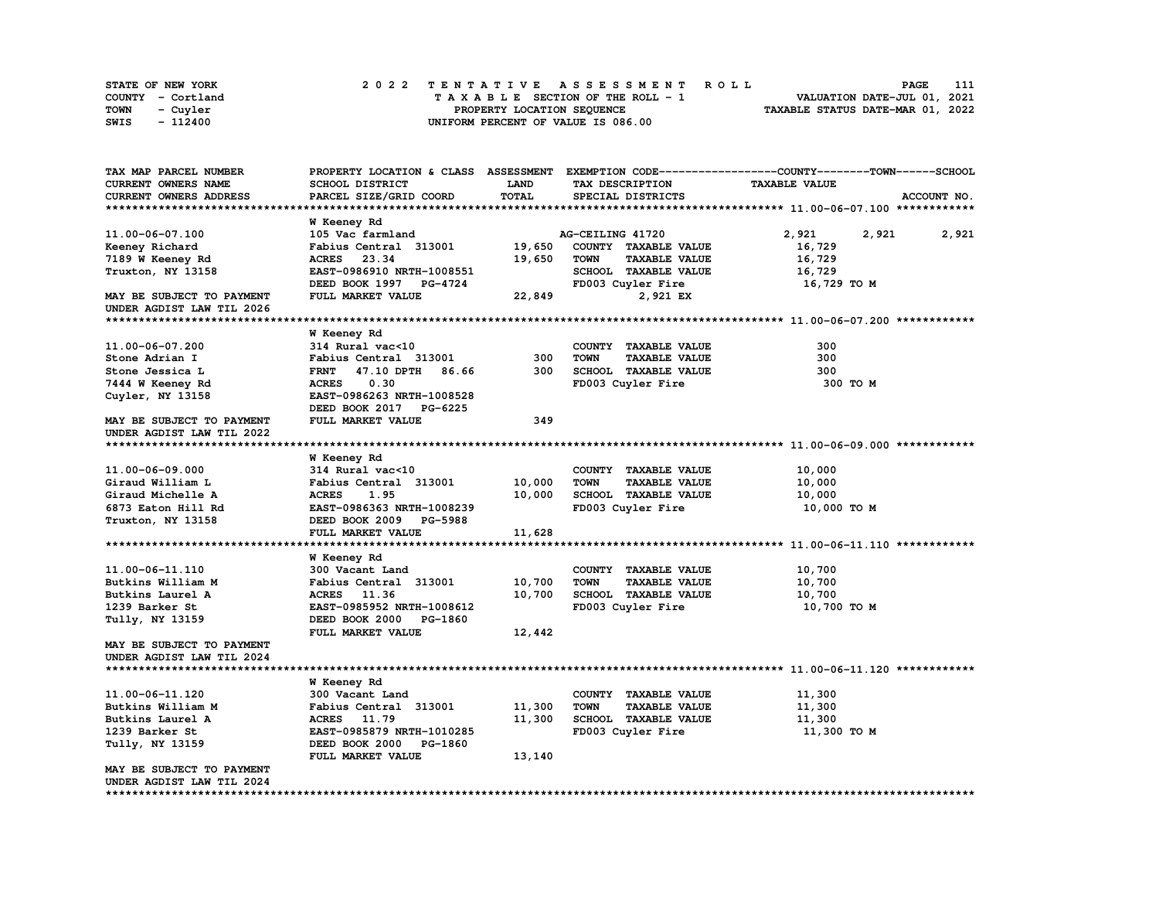| STATE OF NEW YORK | 2022 TENTATIVE ASSESSMENT ROLL     | 111<br>PAGE                      |
|-------------------|------------------------------------|----------------------------------|
| COUNTY - Cortland | TAXABLE SECTION OF THE ROLL - 1    | VALUATION DATE-JUL 01, 2021      |
| TOWN<br>- Cuyler  | PROPERTY LOCATION SEQUENCE         | TAXABLE STATUS DATE-MAR 01, 2022 |
| - 112400<br>SWIS  | UNIFORM PERCENT OF VALUE IS 086.00 |                                  |

| TAX MAP PARCEL NUMBER      | PROPERTY LOCATION & CLASS ASSESSMENT |        |                                     | EXEMPTION CODE-----------------COUNTY-------TOWN------SCHOOL |
|----------------------------|--------------------------------------|--------|-------------------------------------|--------------------------------------------------------------|
| <b>CURRENT OWNERS NAME</b> | SCHOOL DISTRICT                      | LAND   | TAX DESCRIPTION                     | <b>TAXABLE VALUE</b>                                         |
| CURRENT OWNERS ADDRESS     | PARCEL SIZE/GRID COORD               | TOTAL  | SPECIAL DISTRICTS                   | ACCOUNT NO.                                                  |
|                            |                                      |        |                                     |                                                              |
|                            | W Keeney Rd                          |        |                                     |                                                              |
| 11.00-06-07.100            | 105 Vac farmland                     |        | AG-CEILING 41720                    | 2,921<br>2,921<br>2,921                                      |
| Keeney Richard             | Fabius Central 313001                | 19,650 | COUNTY TAXABLE VALUE                | 16,729                                                       |
| 7189 W Keeney Rd           | <b>ACRES</b><br>23.34                | 19,650 | <b>TOWN</b><br><b>TAXABLE VALUE</b> | 16,729                                                       |
| Truxton, NY 13158          | EAST-0986910 NRTH-1008551            |        | SCHOOL TAXABLE VALUE                | 16,729                                                       |
|                            | DEED BOOK 1997 PG-4724               |        | FD003 Cuyler Fire                   | 16,729 TO M                                                  |
| MAY BE SUBJECT TO PAYMENT  | FULL MARKET VALUE                    | 22,849 | 2,921 EX                            |                                                              |
| UNDER AGDIST LAW TIL 2026  |                                      |        |                                     |                                                              |
|                            |                                      |        |                                     |                                                              |
|                            | <b>W</b> Keeney Rd                   |        |                                     |                                                              |
| 11.00-06-07.200            | 314 Rural vac<10                     |        | COUNTY TAXABLE VALUE                | 300                                                          |
| Stone Adrian I             | Fabius Central 313001                | 300    | <b>TOWN</b><br><b>TAXABLE VALUE</b> | 300                                                          |
| Stone Jessica L            | <b>FRNT</b><br>47.10 DPTH<br>86.66   | 300    | <b>SCHOOL TAXABLE VALUE</b>         | 300                                                          |
| 7444 W Keeney Rd           | 0.30<br><b>ACRES</b>                 |        | FD003 Cuyler Fire                   | 300 TO M                                                     |
| Cuyler, NY 13158           | EAST-0986263 NRTH-1008528            |        |                                     |                                                              |
|                            | DEED BOOK 2017<br>PG-6225            |        |                                     |                                                              |
| MAY BE SUBJECT TO PAYMENT  | FULL MARKET VALUE                    | 349    |                                     |                                                              |
| UNDER AGDIST LAW TIL 2022  |                                      |        |                                     |                                                              |
|                            |                                      |        |                                     |                                                              |
|                            | <b>W</b> Keeney Rd                   |        |                                     |                                                              |
| 11.00-06-09.000            | 314 Rural vac<10                     |        | COUNTY TAXABLE VALUE                | 10,000                                                       |
| Giraud William L           | Fabius Central 313001                | 10,000 | <b>TOWN</b><br><b>TAXABLE VALUE</b> | 10,000                                                       |
| Giraud Michelle A          | <b>ACRES</b><br>1.95                 | 10,000 | SCHOOL TAXABLE VALUE                | 10,000                                                       |
| 6873 Eaton Hill Rd         | EAST-0986363 NRTH-1008239            |        | FD003 Cuyler Fire                   | 10,000 TO M                                                  |
| Truxton, NY 13158          | DEED BOOK 2009 PG-5988               |        |                                     |                                                              |
|                            | FULL MARKET VALUE                    | 11,628 |                                     |                                                              |
|                            |                                      |        |                                     |                                                              |
|                            | <b>W</b> Keeney Rd                   |        |                                     |                                                              |
| 11.00-06-11.110            | 300 Vacant Land                      |        | COUNTY TAXABLE VALUE                | 10,700                                                       |
| Butkins William M          | Fabius Central 313001                | 10,700 | <b>TOWN</b><br><b>TAXABLE VALUE</b> | 10,700                                                       |
| Butkins Laurel A           | <b>ACRES</b><br>11.36                | 10,700 | SCHOOL TAXABLE VALUE                | 10,700                                                       |
| 1239 Barker St             | EAST-0985952 NRTH-1008612            |        | FD003 Cuyler Fire                   | 10,700 TO M                                                  |
| Tully, NY 13159            | DEED BOOK 2000<br>PG-1860            |        |                                     |                                                              |
|                            | FULL MARKET VALUE                    | 12,442 |                                     |                                                              |
| MAY BE SUBJECT TO PAYMENT  |                                      |        |                                     |                                                              |
| UNDER AGDIST LAW TIL 2024  |                                      |        |                                     |                                                              |
|                            |                                      |        |                                     |                                                              |
|                            | <b>W</b> Keeney Rd                   |        |                                     |                                                              |
| 11.00-06-11.120            | 300 Vacant Land                      |        | COUNTY TAXABLE VALUE                | 11,300                                                       |
| Butkins William M          | Fabius Central 313001                | 11,300 | <b>TOWN</b><br><b>TAXABLE VALUE</b> | 11,300                                                       |
| Butkins Laurel A           | <b>ACRES</b><br>11.79                | 11,300 | SCHOOL TAXABLE VALUE                | 11,300                                                       |
| 1239 Barker St             | EAST-0985879 NRTH-1010285            |        | FD003 Cuyler Fire                   | 11,300 TO M                                                  |
| Tully, NY 13159            | DEED BOOK 2000<br>PG-1860            |        |                                     |                                                              |
|                            | FULL MARKET VALUE                    | 13,140 |                                     |                                                              |
| MAY BE SUBJECT TO PAYMENT  |                                      |        |                                     |                                                              |
| UNDER AGDIST LAW TIL 2024  |                                      |        |                                     |                                                              |
|                            |                                      |        |                                     |                                                              |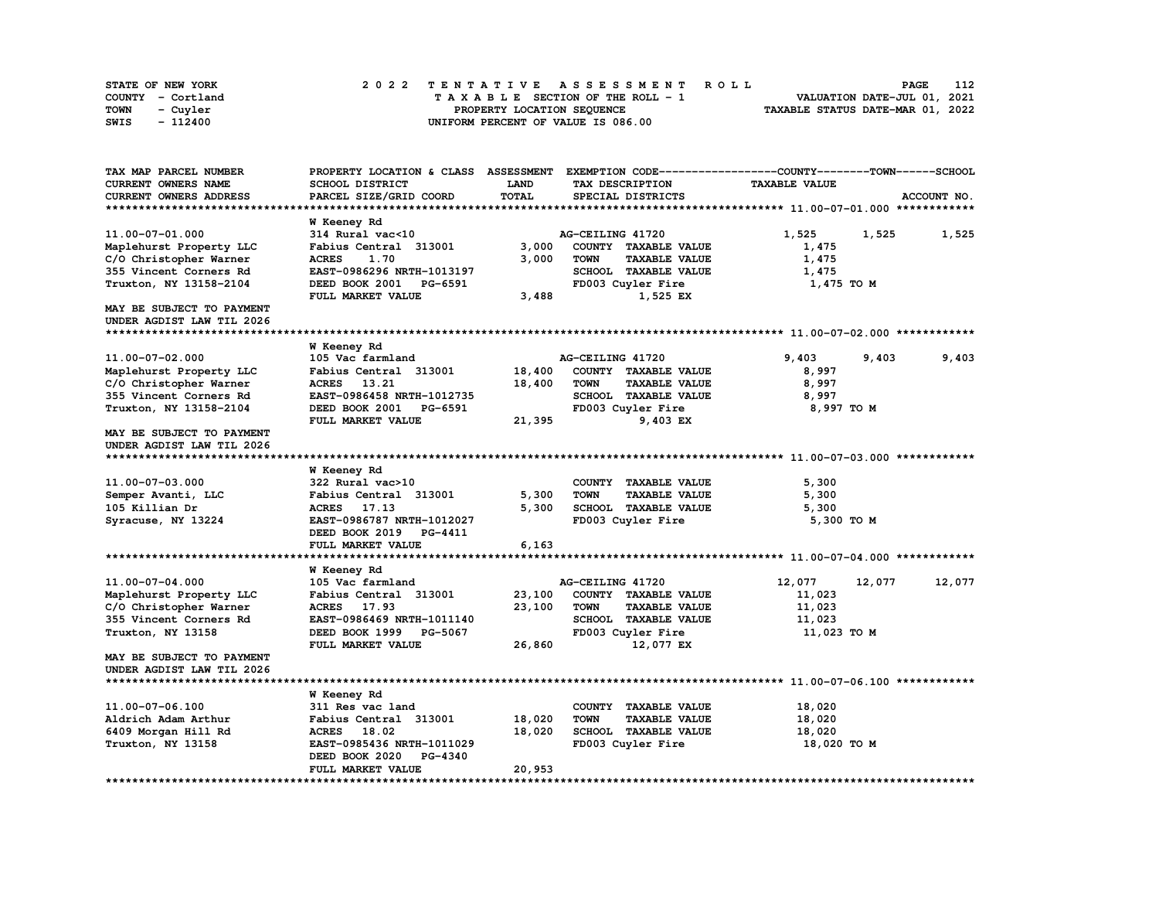| STATE OF NEW YORK | 2022 TENTATIVE ASSESSMENT ROLL     | 112<br><b>PAGE</b>               |
|-------------------|------------------------------------|----------------------------------|
| COUNTY - Cortland | TAXABLE SECTION OF THE ROLL - 1    | VALUATION DATE-JUL 01, 2021      |
| TOWN<br>- Cuyler  | PROPERTY LOCATION SEQUENCE         | TAXABLE STATUS DATE-MAR 01, 2022 |
| - 112400<br>SWIS  | UNIFORM PERCENT OF VALUE IS 086.00 |                                  |

| SCHOOL DISTRICT<br>LAND<br><b>TAXABLE VALUE</b><br><b>CURRENT OWNERS NAME</b><br>TAX DESCRIPTION<br><b>TOTAL</b><br>CURRENT OWNERS ADDRESS<br>PARCEL SIZE/GRID COORD<br>SPECIAL DISTRICTS<br>ACCOUNT NO.<br>W Keeney Rd<br>11.00-07-01.000<br>314 Rural vac<10<br>AG-CEILING 41720<br>1,525<br>1,525<br>1,525<br>Fabius Central 313001<br>3,000<br>COUNTY TAXABLE VALUE<br>Maplehurst Property LLC<br>1,475<br>C/O Christopher Warner<br><b>ACRES</b><br>1.70<br>3,000<br><b>TOWN</b><br><b>TAXABLE VALUE</b><br>1,475<br>355 Vincent Corners Rd<br>EAST-0986296 NRTH-1013197<br>SCHOOL TAXABLE VALUE<br>1,475<br>Truxton, NY 13158-2104<br>DEED BOOK 2001<br>FD003 Cuyler Fire<br>1,475 TO M<br>PG-6591<br>FULL MARKET VALUE<br>3,488<br>1,525 EX<br>MAY BE SUBJECT TO PAYMENT<br>UNDER AGDIST LAW TIL 2026<br><b>W</b> Keeney Rd<br>11.00-07-02.000<br>9.403<br>9,403<br>105 Vac farmland<br>AG-CEILING 41720<br>9,403<br>18,400<br>8,997<br>Fabius Central 313001<br>COUNTY TAXABLE VALUE<br>Maplehurst Property LLC<br>C/O Christopher Warner<br><b>ACRES</b><br>13.21<br>18,400<br>TOWN<br><b>TAXABLE VALUE</b><br>8,997<br>SCHOOL TAXABLE VALUE<br>355 Vincent Corners Rd<br>EAST-0986458 NRTH-1012735<br>8,997<br>Truxton, NY 13158-2104<br>FD003 Cuyler Fire<br>DEED BOOK 2001<br>PG-6591<br>8,997 TO M<br>21,395<br>9,403 EX<br>FULL MARKET VALUE<br>MAY BE SUBJECT TO PAYMENT<br>UNDER AGDIST LAW TIL 2026<br><b>W</b> Keeney Rd<br>11.00-07-03.000<br>COUNTY TAXABLE VALUE<br>322 Rural vac>10<br>5,300<br>5,300<br><b>TOWN</b><br>5,300<br>Semper Avanti, LLC<br>Fabius Central 313001<br><b>TAXABLE VALUE</b><br><b>SCHOOL TAXABLE VALUE</b><br>17.13<br>5,300<br>5,300<br>105 Killian Dr<br><b>ACRES</b><br>FD003 Cuyler Fire<br>Syracuse, NY 13224<br>EAST-0986787 NRTH-1012027<br>5,300 TO M<br>DEED BOOK 2019<br>PG-4411<br>6,163<br>FULL MARKET VALUE<br><b>W</b> Keeney Rd<br>12,077<br>11.00-07-04.000<br>105 Vac farmland<br>AG-CEILING 41720<br>12,077<br>12,077<br>23,100<br>COUNTY TAXABLE VALUE<br>Maplehurst Property LLC<br>Fabius Central 313001<br>11,023<br>C/O Christopher Warner<br>17.93<br>23,100<br><b>TOWN</b><br><b>TAXABLE VALUE</b><br>11,023<br><b>ACRES</b><br>355 Vincent Corners Rd<br>SCHOOL TAXABLE VALUE<br>EAST-0986469 NRTH-1011140<br>11,023<br>Truxton, NY 13158<br>DEED BOOK 1999<br>FD003 Cuyler Fire<br>11,023 TO M<br>PG-5067<br>26,860<br>FULL MARKET VALUE<br>12,077 EX<br>MAY BE SUBJECT TO PAYMENT<br>UNDER AGDIST LAW TIL 2026<br>W Keeney Rd<br>11.00-07-06.100<br>311 Res vac land<br>COUNTY TAXABLE VALUE<br>18,020<br>18,020<br><b>TOWN</b><br><b>TAXABLE VALUE</b><br>18,020<br>Aldrich Adam Arthur<br>Fabius Central 313001<br>18,020<br><b>SCHOOL TAXABLE VALUE</b><br>18,020<br>6409 Morgan Hill Rd<br><b>ACRES</b><br>18.02<br>EAST-0985436 NRTH-1011029<br>FD003 Cuyler Fire<br>18,020 TO M<br>Truxton, NY 13158<br>DEED BOOK 2020<br>PG-4340<br>20,953<br>FULL MARKET VALUE<br>************************* | TAX MAP PARCEL NUMBER | PROPERTY LOCATION & CLASS ASSESSMENT |  | EXEMPTION CODE-----------------COUNTY-------TOWN------SCHOOL |  |
|--------------------------------------------------------------------------------------------------------------------------------------------------------------------------------------------------------------------------------------------------------------------------------------------------------------------------------------------------------------------------------------------------------------------------------------------------------------------------------------------------------------------------------------------------------------------------------------------------------------------------------------------------------------------------------------------------------------------------------------------------------------------------------------------------------------------------------------------------------------------------------------------------------------------------------------------------------------------------------------------------------------------------------------------------------------------------------------------------------------------------------------------------------------------------------------------------------------------------------------------------------------------------------------------------------------------------------------------------------------------------------------------------------------------------------------------------------------------------------------------------------------------------------------------------------------------------------------------------------------------------------------------------------------------------------------------------------------------------------------------------------------------------------------------------------------------------------------------------------------------------------------------------------------------------------------------------------------------------------------------------------------------------------------------------------------------------------------------------------------------------------------------------------------------------------------------------------------------------------------------------------------------------------------------------------------------------------------------------------------------------------------------------------------------------------------------------------------------------------------------------------------------------------------------------------------------------------------------------------------------------------------------------------------------------------------------------------------------------------------------------------------------------------------------------------------------------------------------------------------------------------------------------------------------------------------------------------------------------------|-----------------------|--------------------------------------|--|--------------------------------------------------------------|--|
|                                                                                                                                                                                                                                                                                                                                                                                                                                                                                                                                                                                                                                                                                                                                                                                                                                                                                                                                                                                                                                                                                                                                                                                                                                                                                                                                                                                                                                                                                                                                                                                                                                                                                                                                                                                                                                                                                                                                                                                                                                                                                                                                                                                                                                                                                                                                                                                                                                                                                                                                                                                                                                                                                                                                                                                                                                                                                                                                                                                |                       |                                      |  |                                                              |  |
|                                                                                                                                                                                                                                                                                                                                                                                                                                                                                                                                                                                                                                                                                                                                                                                                                                                                                                                                                                                                                                                                                                                                                                                                                                                                                                                                                                                                                                                                                                                                                                                                                                                                                                                                                                                                                                                                                                                                                                                                                                                                                                                                                                                                                                                                                                                                                                                                                                                                                                                                                                                                                                                                                                                                                                                                                                                                                                                                                                                |                       |                                      |  |                                                              |  |
|                                                                                                                                                                                                                                                                                                                                                                                                                                                                                                                                                                                                                                                                                                                                                                                                                                                                                                                                                                                                                                                                                                                                                                                                                                                                                                                                                                                                                                                                                                                                                                                                                                                                                                                                                                                                                                                                                                                                                                                                                                                                                                                                                                                                                                                                                                                                                                                                                                                                                                                                                                                                                                                                                                                                                                                                                                                                                                                                                                                |                       |                                      |  |                                                              |  |
|                                                                                                                                                                                                                                                                                                                                                                                                                                                                                                                                                                                                                                                                                                                                                                                                                                                                                                                                                                                                                                                                                                                                                                                                                                                                                                                                                                                                                                                                                                                                                                                                                                                                                                                                                                                                                                                                                                                                                                                                                                                                                                                                                                                                                                                                                                                                                                                                                                                                                                                                                                                                                                                                                                                                                                                                                                                                                                                                                                                |                       |                                      |  |                                                              |  |
|                                                                                                                                                                                                                                                                                                                                                                                                                                                                                                                                                                                                                                                                                                                                                                                                                                                                                                                                                                                                                                                                                                                                                                                                                                                                                                                                                                                                                                                                                                                                                                                                                                                                                                                                                                                                                                                                                                                                                                                                                                                                                                                                                                                                                                                                                                                                                                                                                                                                                                                                                                                                                                                                                                                                                                                                                                                                                                                                                                                |                       |                                      |  |                                                              |  |
|                                                                                                                                                                                                                                                                                                                                                                                                                                                                                                                                                                                                                                                                                                                                                                                                                                                                                                                                                                                                                                                                                                                                                                                                                                                                                                                                                                                                                                                                                                                                                                                                                                                                                                                                                                                                                                                                                                                                                                                                                                                                                                                                                                                                                                                                                                                                                                                                                                                                                                                                                                                                                                                                                                                                                                                                                                                                                                                                                                                |                       |                                      |  |                                                              |  |
|                                                                                                                                                                                                                                                                                                                                                                                                                                                                                                                                                                                                                                                                                                                                                                                                                                                                                                                                                                                                                                                                                                                                                                                                                                                                                                                                                                                                                                                                                                                                                                                                                                                                                                                                                                                                                                                                                                                                                                                                                                                                                                                                                                                                                                                                                                                                                                                                                                                                                                                                                                                                                                                                                                                                                                                                                                                                                                                                                                                |                       |                                      |  |                                                              |  |
|                                                                                                                                                                                                                                                                                                                                                                                                                                                                                                                                                                                                                                                                                                                                                                                                                                                                                                                                                                                                                                                                                                                                                                                                                                                                                                                                                                                                                                                                                                                                                                                                                                                                                                                                                                                                                                                                                                                                                                                                                                                                                                                                                                                                                                                                                                                                                                                                                                                                                                                                                                                                                                                                                                                                                                                                                                                                                                                                                                                |                       |                                      |  |                                                              |  |
|                                                                                                                                                                                                                                                                                                                                                                                                                                                                                                                                                                                                                                                                                                                                                                                                                                                                                                                                                                                                                                                                                                                                                                                                                                                                                                                                                                                                                                                                                                                                                                                                                                                                                                                                                                                                                                                                                                                                                                                                                                                                                                                                                                                                                                                                                                                                                                                                                                                                                                                                                                                                                                                                                                                                                                                                                                                                                                                                                                                |                       |                                      |  |                                                              |  |
|                                                                                                                                                                                                                                                                                                                                                                                                                                                                                                                                                                                                                                                                                                                                                                                                                                                                                                                                                                                                                                                                                                                                                                                                                                                                                                                                                                                                                                                                                                                                                                                                                                                                                                                                                                                                                                                                                                                                                                                                                                                                                                                                                                                                                                                                                                                                                                                                                                                                                                                                                                                                                                                                                                                                                                                                                                                                                                                                                                                |                       |                                      |  |                                                              |  |
|                                                                                                                                                                                                                                                                                                                                                                                                                                                                                                                                                                                                                                                                                                                                                                                                                                                                                                                                                                                                                                                                                                                                                                                                                                                                                                                                                                                                                                                                                                                                                                                                                                                                                                                                                                                                                                                                                                                                                                                                                                                                                                                                                                                                                                                                                                                                                                                                                                                                                                                                                                                                                                                                                                                                                                                                                                                                                                                                                                                |                       |                                      |  |                                                              |  |
|                                                                                                                                                                                                                                                                                                                                                                                                                                                                                                                                                                                                                                                                                                                                                                                                                                                                                                                                                                                                                                                                                                                                                                                                                                                                                                                                                                                                                                                                                                                                                                                                                                                                                                                                                                                                                                                                                                                                                                                                                                                                                                                                                                                                                                                                                                                                                                                                                                                                                                                                                                                                                                                                                                                                                                                                                                                                                                                                                                                |                       |                                      |  |                                                              |  |
|                                                                                                                                                                                                                                                                                                                                                                                                                                                                                                                                                                                                                                                                                                                                                                                                                                                                                                                                                                                                                                                                                                                                                                                                                                                                                                                                                                                                                                                                                                                                                                                                                                                                                                                                                                                                                                                                                                                                                                                                                                                                                                                                                                                                                                                                                                                                                                                                                                                                                                                                                                                                                                                                                                                                                                                                                                                                                                                                                                                |                       |                                      |  |                                                              |  |
|                                                                                                                                                                                                                                                                                                                                                                                                                                                                                                                                                                                                                                                                                                                                                                                                                                                                                                                                                                                                                                                                                                                                                                                                                                                                                                                                                                                                                                                                                                                                                                                                                                                                                                                                                                                                                                                                                                                                                                                                                                                                                                                                                                                                                                                                                                                                                                                                                                                                                                                                                                                                                                                                                                                                                                                                                                                                                                                                                                                |                       |                                      |  |                                                              |  |
|                                                                                                                                                                                                                                                                                                                                                                                                                                                                                                                                                                                                                                                                                                                                                                                                                                                                                                                                                                                                                                                                                                                                                                                                                                                                                                                                                                                                                                                                                                                                                                                                                                                                                                                                                                                                                                                                                                                                                                                                                                                                                                                                                                                                                                                                                                                                                                                                                                                                                                                                                                                                                                                                                                                                                                                                                                                                                                                                                                                |                       |                                      |  |                                                              |  |
|                                                                                                                                                                                                                                                                                                                                                                                                                                                                                                                                                                                                                                                                                                                                                                                                                                                                                                                                                                                                                                                                                                                                                                                                                                                                                                                                                                                                                                                                                                                                                                                                                                                                                                                                                                                                                                                                                                                                                                                                                                                                                                                                                                                                                                                                                                                                                                                                                                                                                                                                                                                                                                                                                                                                                                                                                                                                                                                                                                                |                       |                                      |  |                                                              |  |
|                                                                                                                                                                                                                                                                                                                                                                                                                                                                                                                                                                                                                                                                                                                                                                                                                                                                                                                                                                                                                                                                                                                                                                                                                                                                                                                                                                                                                                                                                                                                                                                                                                                                                                                                                                                                                                                                                                                                                                                                                                                                                                                                                                                                                                                                                                                                                                                                                                                                                                                                                                                                                                                                                                                                                                                                                                                                                                                                                                                |                       |                                      |  |                                                              |  |
|                                                                                                                                                                                                                                                                                                                                                                                                                                                                                                                                                                                                                                                                                                                                                                                                                                                                                                                                                                                                                                                                                                                                                                                                                                                                                                                                                                                                                                                                                                                                                                                                                                                                                                                                                                                                                                                                                                                                                                                                                                                                                                                                                                                                                                                                                                                                                                                                                                                                                                                                                                                                                                                                                                                                                                                                                                                                                                                                                                                |                       |                                      |  |                                                              |  |
|                                                                                                                                                                                                                                                                                                                                                                                                                                                                                                                                                                                                                                                                                                                                                                                                                                                                                                                                                                                                                                                                                                                                                                                                                                                                                                                                                                                                                                                                                                                                                                                                                                                                                                                                                                                                                                                                                                                                                                                                                                                                                                                                                                                                                                                                                                                                                                                                                                                                                                                                                                                                                                                                                                                                                                                                                                                                                                                                                                                |                       |                                      |  |                                                              |  |
|                                                                                                                                                                                                                                                                                                                                                                                                                                                                                                                                                                                                                                                                                                                                                                                                                                                                                                                                                                                                                                                                                                                                                                                                                                                                                                                                                                                                                                                                                                                                                                                                                                                                                                                                                                                                                                                                                                                                                                                                                                                                                                                                                                                                                                                                                                                                                                                                                                                                                                                                                                                                                                                                                                                                                                                                                                                                                                                                                                                |                       |                                      |  |                                                              |  |
|                                                                                                                                                                                                                                                                                                                                                                                                                                                                                                                                                                                                                                                                                                                                                                                                                                                                                                                                                                                                                                                                                                                                                                                                                                                                                                                                                                                                                                                                                                                                                                                                                                                                                                                                                                                                                                                                                                                                                                                                                                                                                                                                                                                                                                                                                                                                                                                                                                                                                                                                                                                                                                                                                                                                                                                                                                                                                                                                                                                |                       |                                      |  |                                                              |  |
|                                                                                                                                                                                                                                                                                                                                                                                                                                                                                                                                                                                                                                                                                                                                                                                                                                                                                                                                                                                                                                                                                                                                                                                                                                                                                                                                                                                                                                                                                                                                                                                                                                                                                                                                                                                                                                                                                                                                                                                                                                                                                                                                                                                                                                                                                                                                                                                                                                                                                                                                                                                                                                                                                                                                                                                                                                                                                                                                                                                |                       |                                      |  |                                                              |  |
|                                                                                                                                                                                                                                                                                                                                                                                                                                                                                                                                                                                                                                                                                                                                                                                                                                                                                                                                                                                                                                                                                                                                                                                                                                                                                                                                                                                                                                                                                                                                                                                                                                                                                                                                                                                                                                                                                                                                                                                                                                                                                                                                                                                                                                                                                                                                                                                                                                                                                                                                                                                                                                                                                                                                                                                                                                                                                                                                                                                |                       |                                      |  |                                                              |  |
|                                                                                                                                                                                                                                                                                                                                                                                                                                                                                                                                                                                                                                                                                                                                                                                                                                                                                                                                                                                                                                                                                                                                                                                                                                                                                                                                                                                                                                                                                                                                                                                                                                                                                                                                                                                                                                                                                                                                                                                                                                                                                                                                                                                                                                                                                                                                                                                                                                                                                                                                                                                                                                                                                                                                                                                                                                                                                                                                                                                |                       |                                      |  |                                                              |  |
|                                                                                                                                                                                                                                                                                                                                                                                                                                                                                                                                                                                                                                                                                                                                                                                                                                                                                                                                                                                                                                                                                                                                                                                                                                                                                                                                                                                                                                                                                                                                                                                                                                                                                                                                                                                                                                                                                                                                                                                                                                                                                                                                                                                                                                                                                                                                                                                                                                                                                                                                                                                                                                                                                                                                                                                                                                                                                                                                                                                |                       |                                      |  |                                                              |  |
|                                                                                                                                                                                                                                                                                                                                                                                                                                                                                                                                                                                                                                                                                                                                                                                                                                                                                                                                                                                                                                                                                                                                                                                                                                                                                                                                                                                                                                                                                                                                                                                                                                                                                                                                                                                                                                                                                                                                                                                                                                                                                                                                                                                                                                                                                                                                                                                                                                                                                                                                                                                                                                                                                                                                                                                                                                                                                                                                                                                |                       |                                      |  |                                                              |  |
|                                                                                                                                                                                                                                                                                                                                                                                                                                                                                                                                                                                                                                                                                                                                                                                                                                                                                                                                                                                                                                                                                                                                                                                                                                                                                                                                                                                                                                                                                                                                                                                                                                                                                                                                                                                                                                                                                                                                                                                                                                                                                                                                                                                                                                                                                                                                                                                                                                                                                                                                                                                                                                                                                                                                                                                                                                                                                                                                                                                |                       |                                      |  |                                                              |  |
|                                                                                                                                                                                                                                                                                                                                                                                                                                                                                                                                                                                                                                                                                                                                                                                                                                                                                                                                                                                                                                                                                                                                                                                                                                                                                                                                                                                                                                                                                                                                                                                                                                                                                                                                                                                                                                                                                                                                                                                                                                                                                                                                                                                                                                                                                                                                                                                                                                                                                                                                                                                                                                                                                                                                                                                                                                                                                                                                                                                |                       |                                      |  |                                                              |  |
|                                                                                                                                                                                                                                                                                                                                                                                                                                                                                                                                                                                                                                                                                                                                                                                                                                                                                                                                                                                                                                                                                                                                                                                                                                                                                                                                                                                                                                                                                                                                                                                                                                                                                                                                                                                                                                                                                                                                                                                                                                                                                                                                                                                                                                                                                                                                                                                                                                                                                                                                                                                                                                                                                                                                                                                                                                                                                                                                                                                |                       |                                      |  |                                                              |  |
|                                                                                                                                                                                                                                                                                                                                                                                                                                                                                                                                                                                                                                                                                                                                                                                                                                                                                                                                                                                                                                                                                                                                                                                                                                                                                                                                                                                                                                                                                                                                                                                                                                                                                                                                                                                                                                                                                                                                                                                                                                                                                                                                                                                                                                                                                                                                                                                                                                                                                                                                                                                                                                                                                                                                                                                                                                                                                                                                                                                |                       |                                      |  |                                                              |  |
|                                                                                                                                                                                                                                                                                                                                                                                                                                                                                                                                                                                                                                                                                                                                                                                                                                                                                                                                                                                                                                                                                                                                                                                                                                                                                                                                                                                                                                                                                                                                                                                                                                                                                                                                                                                                                                                                                                                                                                                                                                                                                                                                                                                                                                                                                                                                                                                                                                                                                                                                                                                                                                                                                                                                                                                                                                                                                                                                                                                |                       |                                      |  |                                                              |  |
|                                                                                                                                                                                                                                                                                                                                                                                                                                                                                                                                                                                                                                                                                                                                                                                                                                                                                                                                                                                                                                                                                                                                                                                                                                                                                                                                                                                                                                                                                                                                                                                                                                                                                                                                                                                                                                                                                                                                                                                                                                                                                                                                                                                                                                                                                                                                                                                                                                                                                                                                                                                                                                                                                                                                                                                                                                                                                                                                                                                |                       |                                      |  |                                                              |  |
|                                                                                                                                                                                                                                                                                                                                                                                                                                                                                                                                                                                                                                                                                                                                                                                                                                                                                                                                                                                                                                                                                                                                                                                                                                                                                                                                                                                                                                                                                                                                                                                                                                                                                                                                                                                                                                                                                                                                                                                                                                                                                                                                                                                                                                                                                                                                                                                                                                                                                                                                                                                                                                                                                                                                                                                                                                                                                                                                                                                |                       |                                      |  |                                                              |  |
|                                                                                                                                                                                                                                                                                                                                                                                                                                                                                                                                                                                                                                                                                                                                                                                                                                                                                                                                                                                                                                                                                                                                                                                                                                                                                                                                                                                                                                                                                                                                                                                                                                                                                                                                                                                                                                                                                                                                                                                                                                                                                                                                                                                                                                                                                                                                                                                                                                                                                                                                                                                                                                                                                                                                                                                                                                                                                                                                                                                |                       |                                      |  |                                                              |  |
|                                                                                                                                                                                                                                                                                                                                                                                                                                                                                                                                                                                                                                                                                                                                                                                                                                                                                                                                                                                                                                                                                                                                                                                                                                                                                                                                                                                                                                                                                                                                                                                                                                                                                                                                                                                                                                                                                                                                                                                                                                                                                                                                                                                                                                                                                                                                                                                                                                                                                                                                                                                                                                                                                                                                                                                                                                                                                                                                                                                |                       |                                      |  |                                                              |  |
|                                                                                                                                                                                                                                                                                                                                                                                                                                                                                                                                                                                                                                                                                                                                                                                                                                                                                                                                                                                                                                                                                                                                                                                                                                                                                                                                                                                                                                                                                                                                                                                                                                                                                                                                                                                                                                                                                                                                                                                                                                                                                                                                                                                                                                                                                                                                                                                                                                                                                                                                                                                                                                                                                                                                                                                                                                                                                                                                                                                |                       |                                      |  |                                                              |  |
|                                                                                                                                                                                                                                                                                                                                                                                                                                                                                                                                                                                                                                                                                                                                                                                                                                                                                                                                                                                                                                                                                                                                                                                                                                                                                                                                                                                                                                                                                                                                                                                                                                                                                                                                                                                                                                                                                                                                                                                                                                                                                                                                                                                                                                                                                                                                                                                                                                                                                                                                                                                                                                                                                                                                                                                                                                                                                                                                                                                |                       |                                      |  |                                                              |  |
|                                                                                                                                                                                                                                                                                                                                                                                                                                                                                                                                                                                                                                                                                                                                                                                                                                                                                                                                                                                                                                                                                                                                                                                                                                                                                                                                                                                                                                                                                                                                                                                                                                                                                                                                                                                                                                                                                                                                                                                                                                                                                                                                                                                                                                                                                                                                                                                                                                                                                                                                                                                                                                                                                                                                                                                                                                                                                                                                                                                |                       |                                      |  |                                                              |  |
|                                                                                                                                                                                                                                                                                                                                                                                                                                                                                                                                                                                                                                                                                                                                                                                                                                                                                                                                                                                                                                                                                                                                                                                                                                                                                                                                                                                                                                                                                                                                                                                                                                                                                                                                                                                                                                                                                                                                                                                                                                                                                                                                                                                                                                                                                                                                                                                                                                                                                                                                                                                                                                                                                                                                                                                                                                                                                                                                                                                |                       |                                      |  |                                                              |  |
|                                                                                                                                                                                                                                                                                                                                                                                                                                                                                                                                                                                                                                                                                                                                                                                                                                                                                                                                                                                                                                                                                                                                                                                                                                                                                                                                                                                                                                                                                                                                                                                                                                                                                                                                                                                                                                                                                                                                                                                                                                                                                                                                                                                                                                                                                                                                                                                                                                                                                                                                                                                                                                                                                                                                                                                                                                                                                                                                                                                |                       |                                      |  |                                                              |  |
|                                                                                                                                                                                                                                                                                                                                                                                                                                                                                                                                                                                                                                                                                                                                                                                                                                                                                                                                                                                                                                                                                                                                                                                                                                                                                                                                                                                                                                                                                                                                                                                                                                                                                                                                                                                                                                                                                                                                                                                                                                                                                                                                                                                                                                                                                                                                                                                                                                                                                                                                                                                                                                                                                                                                                                                                                                                                                                                                                                                |                       |                                      |  |                                                              |  |
|                                                                                                                                                                                                                                                                                                                                                                                                                                                                                                                                                                                                                                                                                                                                                                                                                                                                                                                                                                                                                                                                                                                                                                                                                                                                                                                                                                                                                                                                                                                                                                                                                                                                                                                                                                                                                                                                                                                                                                                                                                                                                                                                                                                                                                                                                                                                                                                                                                                                                                                                                                                                                                                                                                                                                                                                                                                                                                                                                                                |                       |                                      |  |                                                              |  |
|                                                                                                                                                                                                                                                                                                                                                                                                                                                                                                                                                                                                                                                                                                                                                                                                                                                                                                                                                                                                                                                                                                                                                                                                                                                                                                                                                                                                                                                                                                                                                                                                                                                                                                                                                                                                                                                                                                                                                                                                                                                                                                                                                                                                                                                                                                                                                                                                                                                                                                                                                                                                                                                                                                                                                                                                                                                                                                                                                                                |                       |                                      |  |                                                              |  |
|                                                                                                                                                                                                                                                                                                                                                                                                                                                                                                                                                                                                                                                                                                                                                                                                                                                                                                                                                                                                                                                                                                                                                                                                                                                                                                                                                                                                                                                                                                                                                                                                                                                                                                                                                                                                                                                                                                                                                                                                                                                                                                                                                                                                                                                                                                                                                                                                                                                                                                                                                                                                                                                                                                                                                                                                                                                                                                                                                                                |                       |                                      |  |                                                              |  |
|                                                                                                                                                                                                                                                                                                                                                                                                                                                                                                                                                                                                                                                                                                                                                                                                                                                                                                                                                                                                                                                                                                                                                                                                                                                                                                                                                                                                                                                                                                                                                                                                                                                                                                                                                                                                                                                                                                                                                                                                                                                                                                                                                                                                                                                                                                                                                                                                                                                                                                                                                                                                                                                                                                                                                                                                                                                                                                                                                                                |                       |                                      |  |                                                              |  |
|                                                                                                                                                                                                                                                                                                                                                                                                                                                                                                                                                                                                                                                                                                                                                                                                                                                                                                                                                                                                                                                                                                                                                                                                                                                                                                                                                                                                                                                                                                                                                                                                                                                                                                                                                                                                                                                                                                                                                                                                                                                                                                                                                                                                                                                                                                                                                                                                                                                                                                                                                                                                                                                                                                                                                                                                                                                                                                                                                                                |                       |                                      |  |                                                              |  |
|                                                                                                                                                                                                                                                                                                                                                                                                                                                                                                                                                                                                                                                                                                                                                                                                                                                                                                                                                                                                                                                                                                                                                                                                                                                                                                                                                                                                                                                                                                                                                                                                                                                                                                                                                                                                                                                                                                                                                                                                                                                                                                                                                                                                                                                                                                                                                                                                                                                                                                                                                                                                                                                                                                                                                                                                                                                                                                                                                                                |                       |                                      |  |                                                              |  |
|                                                                                                                                                                                                                                                                                                                                                                                                                                                                                                                                                                                                                                                                                                                                                                                                                                                                                                                                                                                                                                                                                                                                                                                                                                                                                                                                                                                                                                                                                                                                                                                                                                                                                                                                                                                                                                                                                                                                                                                                                                                                                                                                                                                                                                                                                                                                                                                                                                                                                                                                                                                                                                                                                                                                                                                                                                                                                                                                                                                |                       |                                      |  |                                                              |  |
|                                                                                                                                                                                                                                                                                                                                                                                                                                                                                                                                                                                                                                                                                                                                                                                                                                                                                                                                                                                                                                                                                                                                                                                                                                                                                                                                                                                                                                                                                                                                                                                                                                                                                                                                                                                                                                                                                                                                                                                                                                                                                                                                                                                                                                                                                                                                                                                                                                                                                                                                                                                                                                                                                                                                                                                                                                                                                                                                                                                |                       |                                      |  |                                                              |  |
|                                                                                                                                                                                                                                                                                                                                                                                                                                                                                                                                                                                                                                                                                                                                                                                                                                                                                                                                                                                                                                                                                                                                                                                                                                                                                                                                                                                                                                                                                                                                                                                                                                                                                                                                                                                                                                                                                                                                                                                                                                                                                                                                                                                                                                                                                                                                                                                                                                                                                                                                                                                                                                                                                                                                                                                                                                                                                                                                                                                |                       |                                      |  |                                                              |  |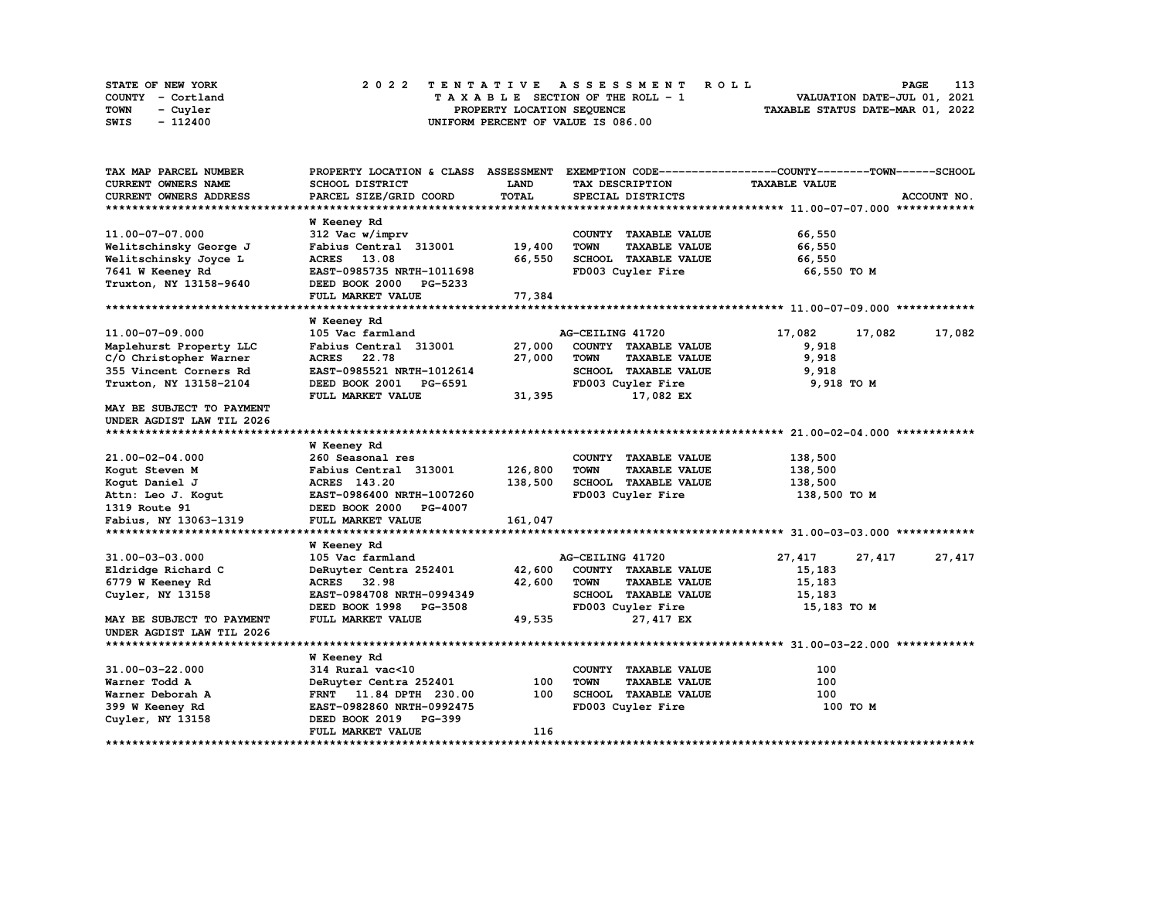| STATE OF NEW YORK | 2022 TENTATIVE ASSESSMENT ROLL<br>PAGE                                 | 113 |
|-------------------|------------------------------------------------------------------------|-----|
| COUNTY - Cortland | VALUATION DATE-JUL 01, 2021<br>$T A X A B L E$ SECTION OF THE ROLL - 1 |     |
| TOWN<br>- Cuyler  | TAXABLE STATUS DATE-MAR 01, 2022<br>PROPERTY LOCATION SEQUENCE         |     |
| - 112400<br>SWIS  | UNIFORM PERCENT OF VALUE IS 086.00                                     |     |

| TAX MAP PARCEL NUMBER         | PROPERTY LOCATION & CLASS ASSESSMENT                          |              |                                     | EXEMPTION CODE-----------------COUNTY-------TOWN------SCHOOL |             |
|-------------------------------|---------------------------------------------------------------|--------------|-------------------------------------|--------------------------------------------------------------|-------------|
| CURRENT OWNERS NAME           | SCHOOL DISTRICT                                               | <b>LAND</b>  | TAX DESCRIPTION                     | <b>TAXABLE VALUE</b>                                         |             |
| CURRENT OWNERS ADDRESS        | PARCEL SIZE/GRID COORD                                        | <b>TOTAL</b> | SPECIAL DISTRICTS                   |                                                              | ACCOUNT NO. |
|                               |                                                               |              |                                     |                                                              |             |
|                               | W Keeney Rd                                                   |              |                                     |                                                              |             |
| 11.00-07-07.000               | 312 Vac w/imprv                                               |              | COUNTY TAXABLE VALUE                | 66,550                                                       |             |
| Welitschinsky George J        | Fabius Central 313001                                         | 19,400       | <b>TOWN</b><br><b>TAXABLE VALUE</b> | 66,550                                                       |             |
| Welitschinsky Joyce L         | ACRES 13.08                                                   | 66,550       | SCHOOL TAXABLE VALUE                | 66,550                                                       |             |
| 7641 W Keeney Rd              | EAST-0985735 NRTH-1011698                                     |              | FD003 Cuyler Fire                   | 66,550 TO M                                                  |             |
| Truxton, NY 13158-9640        | DEED BOOK 2000<br>PG-5233                                     |              |                                     |                                                              |             |
|                               | FULL MARKET VALUE                                             | 77,384       |                                     |                                                              |             |
|                               |                                                               |              |                                     |                                                              |             |
|                               | W Keeney Rd                                                   |              |                                     |                                                              |             |
| 11.00-07-09.000               | 105 Vac farmland                                              |              | AG-CEILING 41720                    | 17,082<br>17,082                                             | 17,082      |
| Maplehurst Property LLC       | Fabius Central 313001                                         | 27,000       | COUNTY TAXABLE VALUE                | 9,918                                                        |             |
| C/O Christopher Warner        | ACRES 22.78                                                   | 27,000       | <b>TOWN</b><br><b>TAXABLE VALUE</b> | 9,918                                                        |             |
| 355 Vincent Corners Rd        | EAST-0985521 NRTH-1012614                                     |              | SCHOOL TAXABLE VALUE                | 9,918                                                        |             |
| Truxton, NY 13158-2104        | DEED BOOK 2001 PG-6591                                        |              | FD003 Cuyler Fire                   | 9,918 TO M                                                   |             |
|                               | FULL MARKET VALUE                                             | 31,395       | 17,082 EX                           |                                                              |             |
| MAY BE SUBJECT TO PAYMENT     |                                                               |              |                                     |                                                              |             |
| UNDER AGDIST LAW TIL 2026     |                                                               |              |                                     |                                                              |             |
| ***************************** |                                                               |              |                                     |                                                              |             |
|                               | W Keeney Rd                                                   |              |                                     |                                                              |             |
| 21.00-02-04.000               | 260 Seasonal res                                              |              | COUNTY TAXABLE VALUE                | 138,500                                                      |             |
| Kogut Steven M                | Fabius Central 313001                                         | 126,800      | <b>TOWN</b><br><b>TAXABLE VALUE</b> | 138,500                                                      |             |
| Kogut Daniel J                | ACRES 143.20                                                  | 138,500      | SCHOOL TAXABLE VALUE                | 138,500                                                      |             |
| Attn: Leo J. Kogut            | EAST-0986400 NRTH-1007260                                     |              | FD003 Cuyler Fire                   | 138,500 TO M                                                 |             |
| 1319 Route 91                 | DEED BOOK 2000<br><b>PG-4007</b>                              |              |                                     |                                                              |             |
| Fabius, NY 13063-1319         | FULL MARKET VALUE                                             | 161,047      |                                     |                                                              |             |
|                               |                                                               |              |                                     |                                                              |             |
|                               | W Keeney Rd                                                   |              |                                     |                                                              |             |
| 31.00-03-03.000               | 105 Vac farmland                                              |              | AG-CEILING 41720                    | 27,417<br>27,417                                             | 27,417      |
| Eldridge Richard C            | DeRuyter Centra 252401                                        | 42,600       | COUNTY TAXABLE VALUE                | 15,183                                                       |             |
| 6779 W Keeney Rd              | <b>ACRES</b><br>32.98                                         | 42,600       | <b>TOWN</b><br><b>TAXABLE VALUE</b> | 15,183                                                       |             |
| Cuyler, NY 13158              | EAST-0984708 NRTH-0994349                                     |              | SCHOOL TAXABLE VALUE                | 15,183                                                       |             |
|                               | DEED BOOK 1998 PG-3508                                        |              | FD003 Cuyler Fire                   | 15,183 TO M                                                  |             |
| MAY BE SUBJECT TO PAYMENT     | FULL MARKET VALUE                                             | 49,535       | 27,417 EX                           |                                                              |             |
| UNDER AGDIST LAW TIL 2026     |                                                               |              |                                     |                                                              |             |
|                               |                                                               |              |                                     |                                                              |             |
| 31.00-03-22.000               | W Keeney Rd<br>314 Rural vac<10                               |              | COUNTY TAXABLE VALUE                | 100                                                          |             |
| Warner Todd A                 |                                                               | 100          | <b>TAXABLE VALUE</b><br><b>TOWN</b> | 100                                                          |             |
| Warner Deborah A              | DeRuyter Centra 252401                                        | 100          | SCHOOL TAXABLE VALUE                | 100                                                          |             |
|                               | 11.84 DPTH 230.00<br><b>FRNT</b><br>EAST-0982860 NRTH-0992475 |              |                                     | 100 TO M                                                     |             |
| 399 W Keeney Rd               | PG-399                                                        |              | FD003 Cuyler Fire                   |                                                              |             |
| Cuyler, NY 13158              | DEED BOOK 2019<br><b>FULL MARKET VALUE</b>                    | 116          |                                     |                                                              |             |
|                               |                                                               |              |                                     |                                                              |             |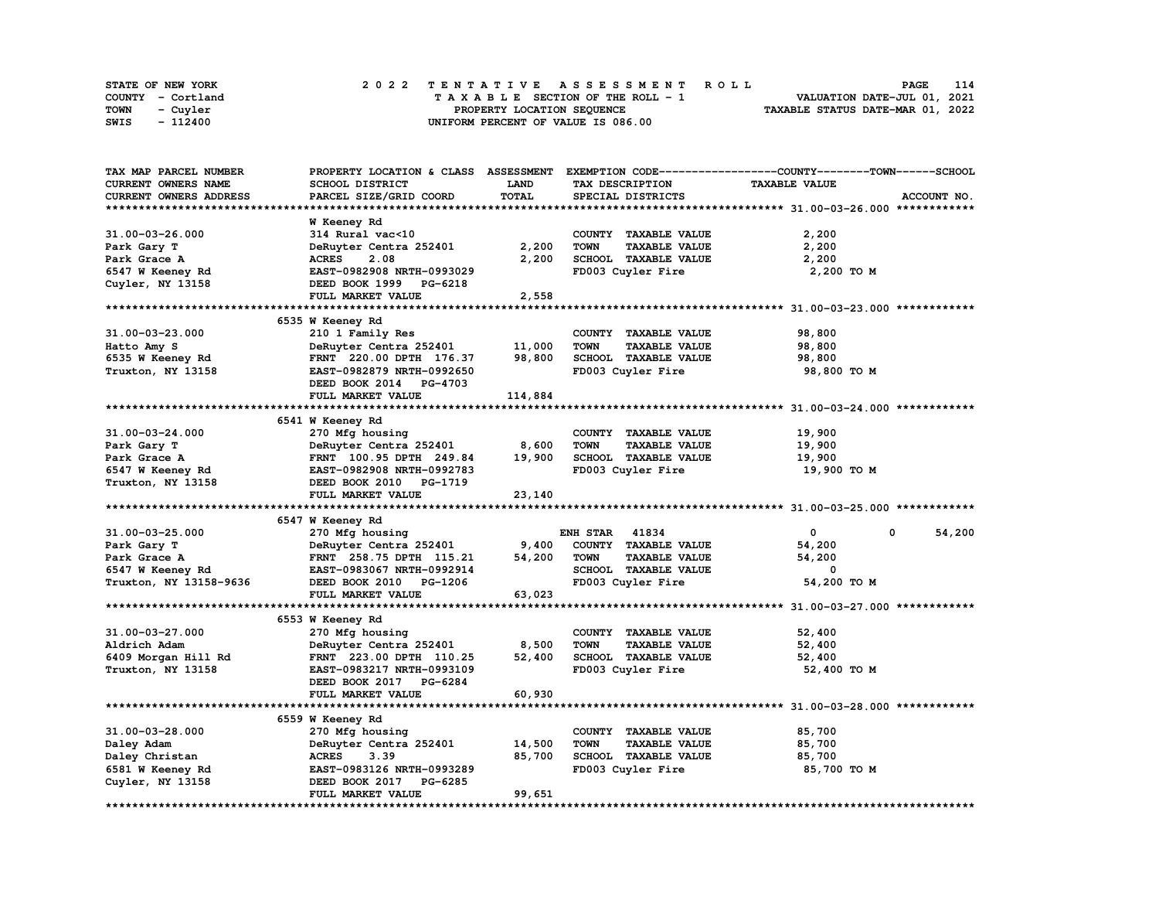| STATE OF NEW YORK | 2022 TENTATIVE ASSESSMENT ROLL     | 114<br>PAGE                      |
|-------------------|------------------------------------|----------------------------------|
| COUNTY - Cortland | TAXABLE SECTION OF THE ROLL - 1    | VALUATION DATE-JUL 01, 2021      |
| TOWN<br>- Cuyler  | PROPERTY LOCATION SEOUENCE         | TAXABLE STATUS DATE-MAR 01, 2022 |
| $-112400$<br>SWIS | UNIFORM PERCENT OF VALUE IS 086.00 |                                  |

| TAX MAP PARCEL NUMBER  | PROPERTY LOCATION & CLASS ASSESSMENT |             |                                     | EXEMPTION CODE-----------------COUNTY-------TOWN------SCHOOL |
|------------------------|--------------------------------------|-------------|-------------------------------------|--------------------------------------------------------------|
| CURRENT OWNERS NAME    | SCHOOL DISTRICT                      | <b>LAND</b> | TAX DESCRIPTION                     | <b>TAXABLE VALUE</b>                                         |
| CURRENT OWNERS ADDRESS | PARCEL SIZE/GRID COORD               | TOTAL       | SPECIAL DISTRICTS                   | ACCOUNT NO.                                                  |
|                        |                                      |             |                                     |                                                              |
|                        | <b>W</b> Keeney Rd                   |             |                                     |                                                              |
| 31.00-03-26.000        | 314 Rural vac<10                     |             | COUNTY TAXABLE VALUE                | 2,200                                                        |
| Park Gary T            | DeRuyter Centra 252401               | 2,200       | <b>TAXABLE VALUE</b><br><b>TOWN</b> | 2,200                                                        |
| Park Grace A           | <b>ACRES</b><br>2.08                 | 2,200       | SCHOOL TAXABLE VALUE                | 2,200                                                        |
| 6547 W Keeney Rd       | EAST-0982908 NRTH-0993029            |             | FD003 Cuyler Fire                   | 2,200 TO M                                                   |
|                        |                                      |             |                                     |                                                              |
| Cuyler, NY 13158       | DEED BOOK 1999 PG-6218               |             |                                     |                                                              |
|                        | FULL MARKET VALUE                    | 2,558       |                                     |                                                              |
|                        |                                      |             |                                     |                                                              |
|                        | 6535 W Keeney Rd                     |             |                                     |                                                              |
| 31.00-03-23.000        | 210 1 Family Res                     |             | COUNTY TAXABLE VALUE                | 98,800                                                       |
| Hatto Amy S            | DeRuyter Centra 252401               | 11,000      | <b>TOWN</b><br><b>TAXABLE VALUE</b> | 98,800                                                       |
| 6535 W Keeney Rd       | FRNT 220.00 DPTH 176.37              | 98,800      | SCHOOL TAXABLE VALUE                | 98,800                                                       |
| Truxton, NY 13158      | EAST-0982879 NRTH-0992650            |             | FD003 Cuyler Fire                   | 98,800 TO M                                                  |
|                        | DEED BOOK 2014 PG-4703               |             |                                     |                                                              |
|                        | FULL MARKET VALUE                    | 114,884     |                                     |                                                              |
|                        |                                      |             |                                     |                                                              |
|                        | 6541 W Keeney Rd                     |             |                                     |                                                              |
| 31.00-03-24.000        | 270 Mfg housing                      |             | COUNTY TAXABLE VALUE                | 19,900                                                       |
| Park Gary T            | DeRuyter Centra 252401               | 8,600       | <b>TOWN</b><br><b>TAXABLE VALUE</b> | 19,900                                                       |
| Park Grace A           | FRNT 100.95 DPTH 249.84              | 19,900      | SCHOOL TAXABLE VALUE                | 19,900                                                       |
| 6547 W Keeney Rd       | EAST-0982908 NRTH-0992783            |             | FD003 Cuyler Fire                   | 19,900 то м                                                  |
| Truxton, NY 13158      | DEED BOOK 2010 PG-1719               |             |                                     |                                                              |
|                        |                                      |             |                                     |                                                              |
|                        | FULL MARKET VALUE                    | 23,140      |                                     |                                                              |
|                        |                                      |             |                                     |                                                              |
|                        | 6547 W Keeney Rd                     |             |                                     |                                                              |
| 31.00-03-25.000        | 270 Mfg housing                      |             | <b>ENH STAR 41834</b>               | $\mathbf{0}$<br>54,200<br>$\mathbf 0$                        |
| Park Gary T            | DeRuyter Centra 252401               | 9,400       | COUNTY TAXABLE VALUE                | 54,200                                                       |
| Park Grace A           | FRNT 258.75 DPTH 115.21              | 54,200      | TOWN<br><b>TAXABLE VALUE</b>        | 54,200                                                       |
| 6547 W Keeney Rd       | EAST-0983067 NRTH-0992914            |             | SCHOOL TAXABLE VALUE                | 0                                                            |
| Truxton, NY 13158-9636 | DEED BOOK 2010 PG-1206               |             | FD003 Cuyler Fire                   | 54,200 TO M                                                  |
|                        | FULL MARKET VALUE                    | 63,023      |                                     |                                                              |
|                        |                                      |             |                                     |                                                              |
|                        | 6553 W Keeney Rd                     |             |                                     |                                                              |
| 31.00-03-27.000        | 270 Mfg housing                      |             | COUNTY TAXABLE VALUE                | 52,400                                                       |
| Aldrich Adam           | DeRuyter Centra 252401               | 8,500       | <b>TOWN</b><br><b>TAXABLE VALUE</b> | 52,400                                                       |
| 6409 Morgan Hill Rd    | FRNT 223.00 DPTH 110.25              | 52,400      | SCHOOL TAXABLE VALUE                | 52,400                                                       |
| Truxton, NY 13158      | EAST-0983217 NRTH-0993109            |             | FD003 Cuyler Fire                   | 52,400 TO M                                                  |
|                        | DEED BOOK 2017 PG-6284               |             |                                     |                                                              |
|                        | FULL MARKET VALUE                    | 60,930      |                                     |                                                              |
|                        |                                      |             |                                     |                                                              |
|                        | 6559 W Keeney Rd                     |             |                                     |                                                              |
| 31.00-03-28.000        |                                      |             |                                     | 85,700                                                       |
|                        | 270 Mfg housing                      |             | COUNTY TAXABLE VALUE                |                                                              |
| Daley Adam             | DeRuyter Centra 252401               | 14,500      | <b>TOWN</b><br><b>TAXABLE VALUE</b> | 85,700                                                       |
| Daley Christan         | <b>ACRES</b><br>3.39                 | 85,700      | SCHOOL TAXABLE VALUE                | 85,700                                                       |
| 6581 W Keeney Rd       | EAST-0983126 NRTH-0993289            |             | FD003 Cuyler Fire                   | 85,700 TO M                                                  |
| Cuyler, NY 13158       | DEED BOOK 2017 PG-6285               |             |                                     |                                                              |
|                        | FULL MARKET VALUE                    | 99,651      |                                     |                                                              |
|                        |                                      |             |                                     |                                                              |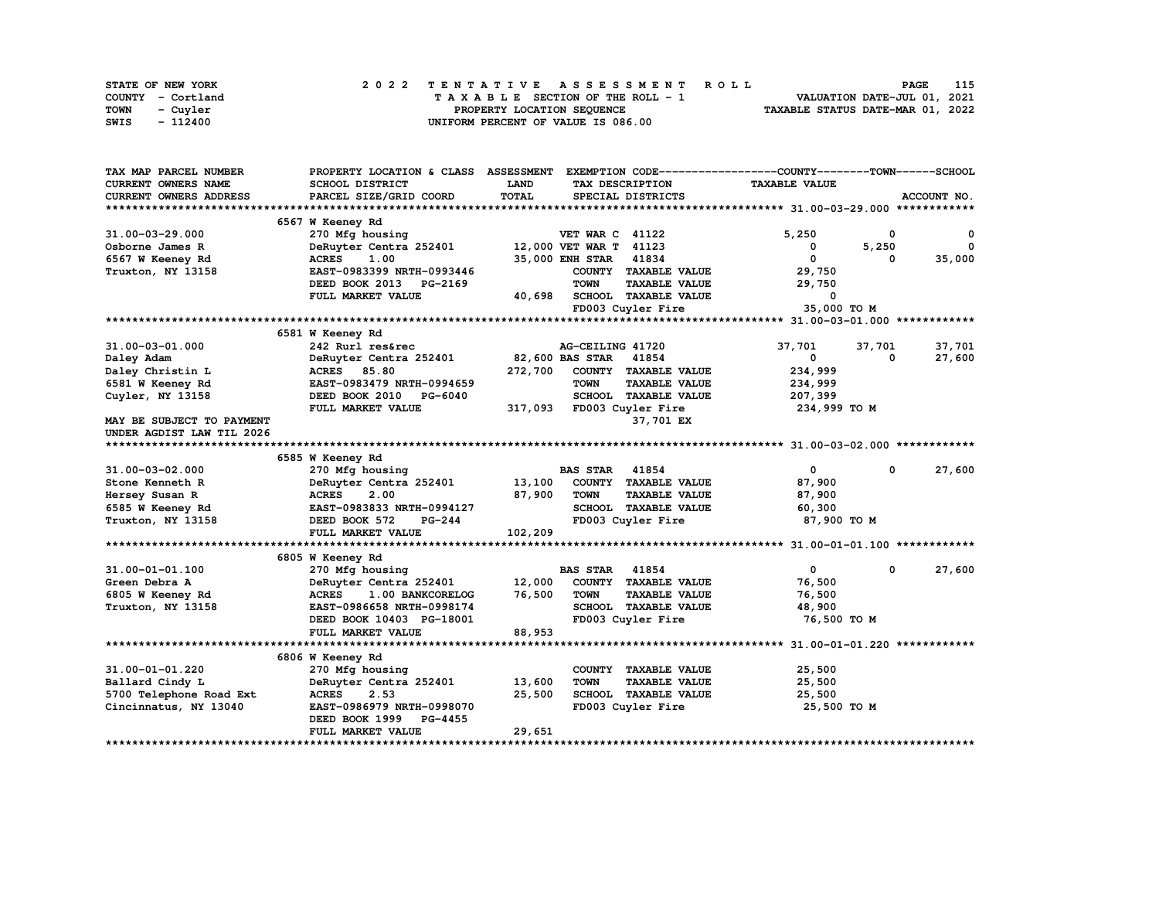| STATE OF NEW YORK | 2022 TENTATIVE ASSESSMENT ROLL     | 115<br><b>PAGE</b>               |
|-------------------|------------------------------------|----------------------------------|
| COUNTY - Cortland | TAXABLE SECTION OF THE ROLL - 1    | VALUATION DATE-JUL 01, 2021      |
| TOWN<br>- Cuvler  | PROPERTY LOCATION SEQUENCE         | TAXABLE STATUS DATE-MAR 01, 2022 |
| - 112400<br>SWIS  | UNIFORM PERCENT OF VALUE IS 086.00 |                                  |

| TAX MAP PARCEL NUMBER         | PROPERTY LOCATION & CLASS ASSESSMENT |         |                        |                      | EXEMPTION CODE-----------------COUNTY-------TOWN------SCHOOL |        |             |
|-------------------------------|--------------------------------------|---------|------------------------|----------------------|--------------------------------------------------------------|--------|-------------|
| <b>CURRENT OWNERS NAME</b>    | SCHOOL DISTRICT                      | LAND    | TAX DESCRIPTION        |                      | <b>TAXABLE VALUE</b>                                         |        |             |
| CURRENT OWNERS ADDRESS        | PARCEL SIZE/GRID COORD               | TOTAL   | SPECIAL DISTRICTS      |                      |                                                              |        | ACCOUNT NO. |
|                               |                                      |         |                        |                      |                                                              |        |             |
|                               | 6567 W Keeney Rd                     |         |                        |                      |                                                              |        |             |
| 31.00-03-29.000               | 270 Mfg housing                      |         | <b>VET WAR C 41122</b> |                      | 5,250                                                        | 0      | 0           |
| Osborne James R               | DeRuyter Centra 252401               |         | 12,000 VET WAR T 41123 |                      | 0                                                            | 5,250  | 0           |
| 6567 W Keeney Rd              | <b>ACRES</b><br>1.00                 |         | <b>35,000 ENH STAR</b> | 41834                | $\mathbf 0$                                                  | 0      | 35,000      |
| Truxton, NY 13158             | EAST-0983399 NRTH-0993446            |         |                        | COUNTY TAXABLE VALUE | 29,750                                                       |        |             |
|                               | DEED BOOK 2013<br>PG-2169            |         | <b>TOWN</b>            | <b>TAXABLE VALUE</b> | 29,750                                                       |        |             |
|                               | FULL MARKET VALUE                    | 40,698  |                        | SCHOOL TAXABLE VALUE | 0                                                            |        |             |
|                               |                                      |         | FD003 Cuyler Fire      |                      | 35,000 TO M                                                  |        |             |
|                               |                                      |         |                        |                      |                                                              |        |             |
|                               | 6581 W Keeney Rd                     |         |                        |                      |                                                              |        |             |
| 31.00-03-01.000               | 242 Rurl res&rec                     |         | AG-CEILING 41720       |                      | 37,701                                                       | 37,701 | 37,701      |
| Daley Adam                    | DeRuyter Centra 252401               |         | 82,600 BAS STAR 41854  |                      | 0                                                            | 0      | 27,600      |
| Daley Christin L              | <b>ACRES</b><br>85.80                | 272,700 |                        | COUNTY TAXABLE VALUE | 234,999                                                      |        |             |
| 6581 W Keeney Rd              | EAST-0983479 NRTH-0994659            |         | <b>TOWN</b>            | <b>TAXABLE VALUE</b> | 234,999                                                      |        |             |
| Cuyler, NY 13158              | DEED BOOK 2010 PG-6040               |         |                        | SCHOOL TAXABLE VALUE | 207,399                                                      |        |             |
|                               | FULL MARKET VALUE                    | 317,093 | FD003 Cuyler Fire      |                      | 234,999 TO M                                                 |        |             |
| MAY BE SUBJECT TO PAYMENT     |                                      |         |                        | 37,701 EX            |                                                              |        |             |
| UNDER AGDIST LAW TIL 2026     |                                      |         |                        |                      |                                                              |        |             |
| ***************************** |                                      |         |                        |                      |                                                              |        |             |
|                               | 6585 W Keeney Rd                     |         |                        |                      |                                                              |        |             |
| 31.00-03-02.000               | 270 Mfg housing                      |         | <b>BAS STAR</b>        | 41854                | $\mathbf 0$                                                  | 0      | 27,600      |
| Stone Kenneth R               | DeRuyter Centra 252401               | 13,100  |                        | COUNTY TAXABLE VALUE | 87,900                                                       |        |             |
| Hersey Susan R                | <b>ACRES</b><br>2.00                 | 87,900  | <b>TOWN</b>            | <b>TAXABLE VALUE</b> | 87,900                                                       |        |             |
| 6585 W Keeney Rd              | EAST-0983833 NRTH-0994127            |         |                        | SCHOOL TAXABLE VALUE | 60,300                                                       |        |             |
| Truxton, NY 13158             | DEED BOOK 572<br>PG-244              |         | FD003 Cuyler Fire      |                      | 87,900 TO M                                                  |        |             |
|                               | FULL MARKET VALUE                    | 102,209 |                        |                      |                                                              |        |             |
|                               |                                      |         |                        |                      |                                                              |        |             |
|                               | 6805 W Keeney Rd                     |         |                        |                      |                                                              |        |             |
| 31.00-01-01.100               | 270 Mfg housing                      |         | <b>BAS STAR</b>        | 41854                | $\mathbf{0}$                                                 | 0      | 27,600      |
| Green Debra A                 | DeRuyter Centra 252401               | 12,000  |                        | COUNTY TAXABLE VALUE | 76,500                                                       |        |             |
| 6805 W Keeney Rd              | <b>ACRES</b><br>1.00 BANKCORELOG     | 76,500  | <b>TOWN</b>            | <b>TAXABLE VALUE</b> | 76,500                                                       |        |             |
| Truxton, NY 13158             | EAST-0986658 NRTH-0998174            |         |                        | SCHOOL TAXABLE VALUE | 48,900                                                       |        |             |
|                               | DEED BOOK 10403 PG-18001             |         | FD003 Cuyler Fire      |                      | 76,500 TO M                                                  |        |             |
|                               | FULL MARKET VALUE                    | 88,953  |                        |                      |                                                              |        |             |
|                               |                                      |         |                        |                      |                                                              |        |             |
|                               | 6806 W Keeney Rd                     |         |                        |                      |                                                              |        |             |
| 31.00-01-01.220               | 270 Mfg housing                      |         |                        | COUNTY TAXABLE VALUE | 25,500                                                       |        |             |
| Ballard Cindy L               | DeRuyter Centra 252401               | 13,600  | <b>TOWN</b>            | <b>TAXABLE VALUE</b> | 25,500                                                       |        |             |
| 5700 Telephone Road Ext       | <b>ACRES</b><br>2.53                 | 25,500  |                        | SCHOOL TAXABLE VALUE | 25,500                                                       |        |             |
| Cincinnatus, NY 13040         | EAST-0986979 NRTH-0998070            |         | FD003 Cuyler Fire      |                      | 25,500 TO M                                                  |        |             |
|                               | DEED BOOK 1999<br><b>PG-4455</b>     |         |                        |                      |                                                              |        |             |
|                               | FULL MARKET VALUE                    | 29,651  |                        |                      |                                                              |        |             |
|                               |                                      |         |                        |                      |                                                              |        |             |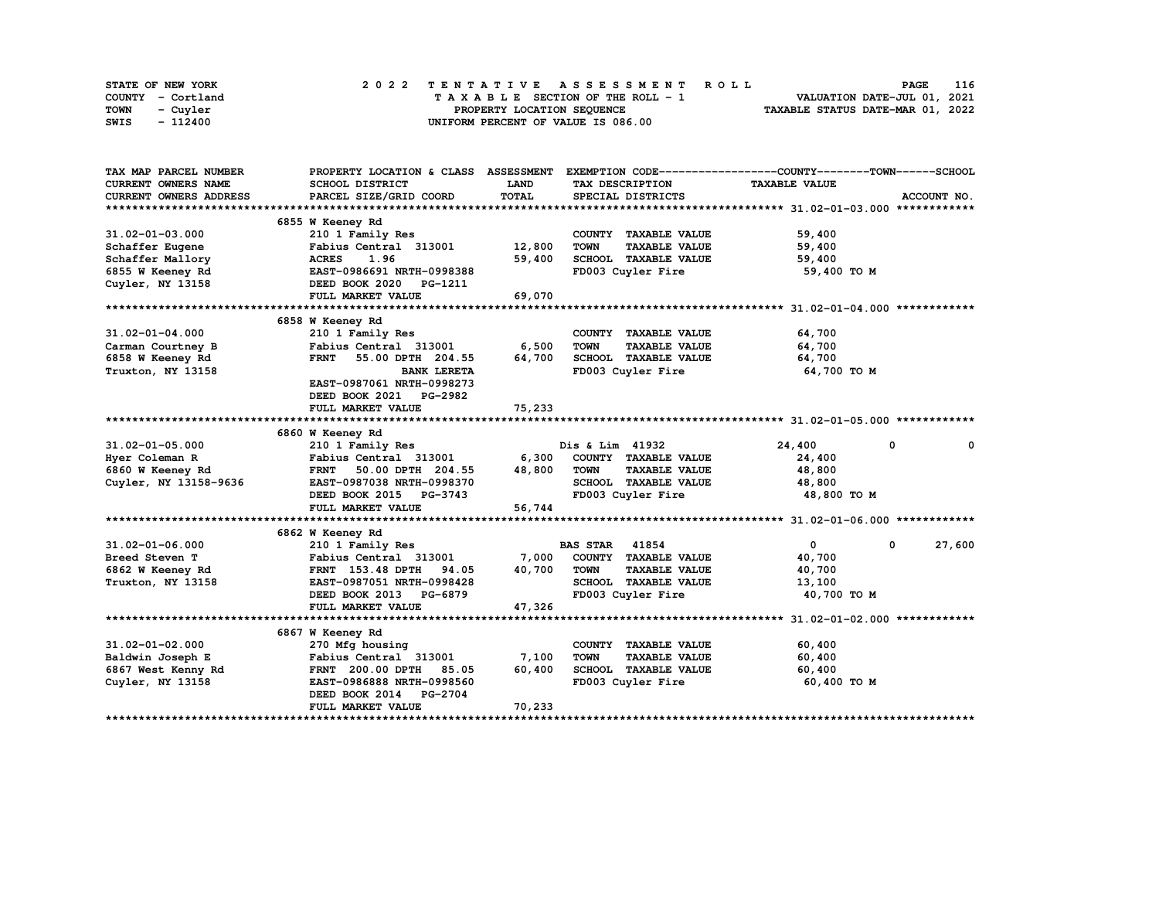| STATE OF NEW YORK | 2022 TENTATIVE ASSESSMENT ROLL     | 116<br><b>PAGE</b>               |
|-------------------|------------------------------------|----------------------------------|
| COUNTY - Cortland | TAXABLE SECTION OF THE ROLL - 1    | VALUATION DATE-JUL 01, 2021      |
| TOWN<br>- Cuvler  | PROPERTY LOCATION SEQUENCE         | TAXABLE STATUS DATE-MAR 01, 2022 |
| - 112400<br>SWIS  | UNIFORM PERCENT OF VALUE IS 086.00 |                                  |

| TAX MAP PARCEL NUMBER      | PROPERTY LOCATION & CLASS ASSESSMENT |        |                                     | EXEMPTION CODE-----------------COUNTY-------TOWN-----SCHOOL |             |
|----------------------------|--------------------------------------|--------|-------------------------------------|-------------------------------------------------------------|-------------|
| <b>CURRENT OWNERS NAME</b> | SCHOOL DISTRICT                      | LAND   | TAX DESCRIPTION                     | <b>TAXABLE VALUE</b>                                        |             |
| CURRENT OWNERS ADDRESS     | PARCEL SIZE/GRID COORD               | TOTAL  | SPECIAL DISTRICTS                   |                                                             | ACCOUNT NO. |
|                            |                                      |        |                                     |                                                             |             |
|                            | 6855 W Keeney Rd                     |        |                                     |                                                             |             |
| $31.02 - 01 - 03.000$      | 210 1 Family Res                     |        | COUNTY TAXABLE VALUE                | 59,400                                                      |             |
| Schaffer Eugene            | Fabius Central 313001                | 12,800 | <b>TAXABLE VALUE</b><br><b>TOWN</b> | 59,400                                                      |             |
| Schaffer Mallory           | <b>ACRES</b><br>1.96                 | 59,400 | SCHOOL TAXABLE VALUE                | 59,400                                                      |             |
| 6855 W Keeney Rd           | EAST-0986691 NRTH-0998388            |        | FD003 Cuyler Fire                   | 59,400 TO M                                                 |             |
| Cuyler, NY 13158           | DEED BOOK 2020 PG-1211               |        |                                     |                                                             |             |
|                            | FULL MARKET VALUE                    | 69,070 |                                     |                                                             |             |
|                            |                                      |        |                                     |                                                             |             |
|                            | 6858 W Keeney Rd                     |        |                                     |                                                             |             |
| $31.02 - 01 - 04.000$      | 210 1 Family Res                     |        | COUNTY TAXABLE VALUE                | 64,700                                                      |             |
| Carman Courtney B          | Fabius Central 313001                | 6,500  | <b>TOWN</b><br><b>TAXABLE VALUE</b> | 64,700                                                      |             |
| 6858 W Keeney Rd           | <b>FRNT</b><br>55.00 DPTH 204.55     | 64,700 | SCHOOL TAXABLE VALUE                | 64,700                                                      |             |
| Truxton, NY 13158          | <b>BANK LERETA</b>                   |        | FD003 Cuyler Fire                   | 64,700 TO M                                                 |             |
|                            | EAST-0987061 NRTH-0998273            |        |                                     |                                                             |             |
|                            | DEED BOOK 2021 PG-2982               |        |                                     |                                                             |             |
|                            | FULL MARKET VALUE                    | 75,233 |                                     |                                                             |             |
|                            |                                      |        |                                     |                                                             |             |
|                            | 6860 W Keeney Rd                     |        |                                     |                                                             |             |
| 31.02-01-05.000            | 210 1 Family Res                     |        | Dis & Lim 41932                     | 24,400                                                      | 0<br>0      |
| Hyer Coleman R             | Fabius Central 313001 6,300          |        | COUNTY TAXABLE VALUE                | 24,400                                                      |             |
| 6860 W Keeney Rd           | <b>FRNT</b><br>50.00 DPTH 204.55     | 48,800 | <b>TOWN</b><br><b>TAXABLE VALUE</b> | 48,800                                                      |             |
| Cuyler, NY 13158-9636      | EAST-0987038 NRTH-0998370            |        | SCHOOL TAXABLE VALUE                | 48,800                                                      |             |
|                            | DEED BOOK 2015 PG-3743               |        | FD003 Cuyler Fire                   | 48,800 TO M                                                 |             |
|                            | FULL MARKET VALUE                    | 56,744 |                                     |                                                             |             |
|                            |                                      |        |                                     |                                                             |             |
|                            | 6862 W Keeney Rd                     |        |                                     |                                                             |             |
| $31.02 - 01 - 06.000$      | 210 1 Family Res                     |        | <b>BAS STAR 41854</b>               | $\mathbf{0}$                                                | 27,600<br>0 |
| Breed Steven T             | Fabius Central 313001                | 7,000  | COUNTY TAXABLE VALUE                | 40,700                                                      |             |
| 6862 W Keeney Rd           | <b>FRNT 153.48 DPTH</b><br>94.05     | 40,700 | <b>TOWN</b><br><b>TAXABLE VALUE</b> | 40,700                                                      |             |
| Truxton, NY 13158          | EAST-0987051 NRTH-0998428            |        | SCHOOL TAXABLE VALUE                | 13,100                                                      |             |
|                            | DEED BOOK 2013 PG-6879               |        | FD003 Cuyler Fire                   | 40,700 TO M                                                 |             |
|                            | FULL MARKET VALUE                    | 47,326 |                                     |                                                             |             |
|                            |                                      |        |                                     |                                                             |             |
|                            | 6867 W Keeney Rd                     |        |                                     |                                                             |             |
| $31.02 - 01 - 02.000$      | 270 Mfg housing                      |        | COUNTY TAXABLE VALUE                | 60,400                                                      |             |
| Baldwin Joseph E           | Fabius Central 313001                | 7,100  | <b>TAXABLE VALUE</b><br><b>TOWN</b> | 60,400                                                      |             |
| 6867 West Kenny Rd         | FRNT 200.00 DPTH 85.05               | 60,400 | SCHOOL TAXABLE VALUE                | 60,400                                                      |             |
| Cuyler, NY 13158           | EAST-0986888 NRTH-0998560            |        | FD003 Cuyler Fire                   | 60,400 TO M                                                 |             |
|                            | DEED BOOK 2014<br><b>PG-2704</b>     |        |                                     |                                                             |             |
|                            | FULL MARKET VALUE                    | 70,233 |                                     |                                                             |             |
|                            |                                      |        |                                     |                                                             |             |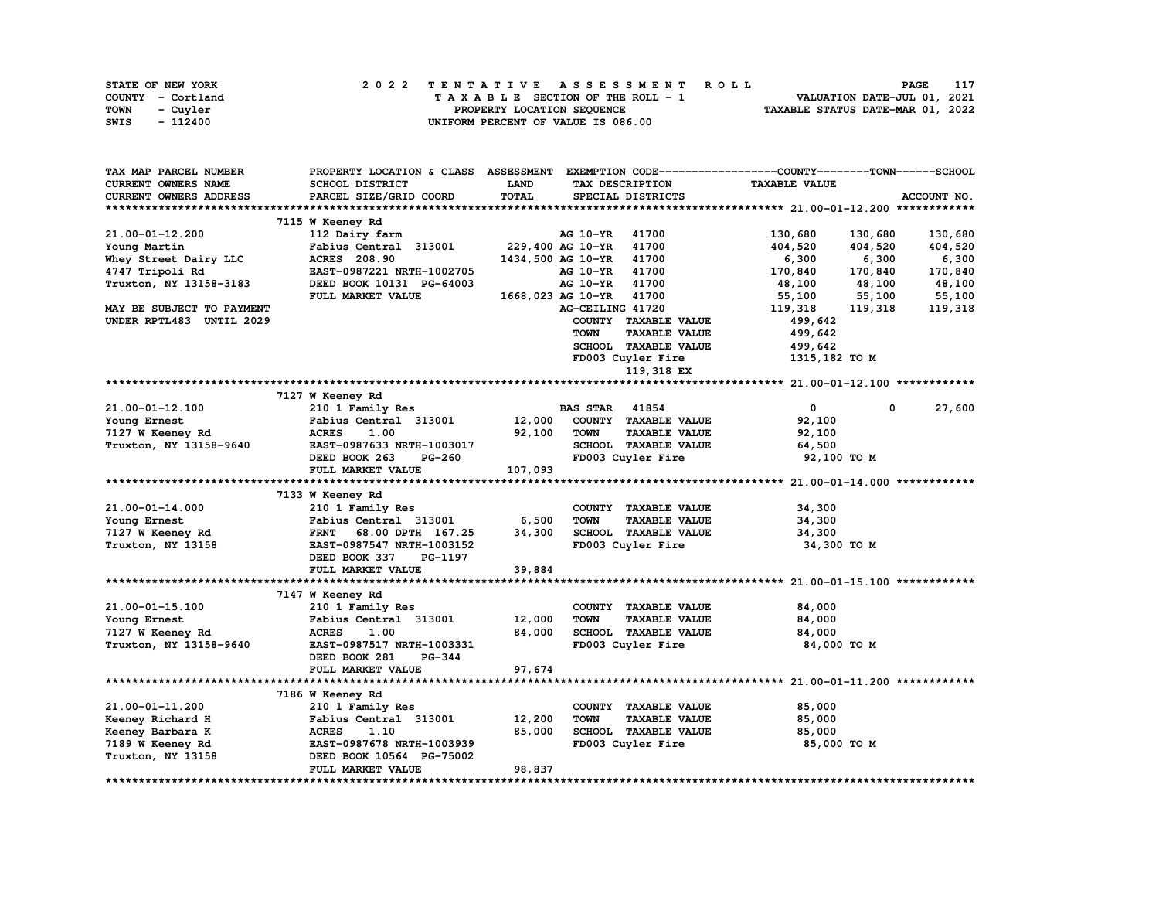|      | STATE OF NEW YORK | 2022 TENTATIVE ASSESSMENT ROLL     | 117<br>PAGE                      |
|------|-------------------|------------------------------------|----------------------------------|
|      | COUNTY - Cortland | TAXABLE SECTION OF THE ROLL - 1    | VALUATION DATE-JUL 01, 2021      |
| TOWN | - Cuyler          | PROPERTY LOCATION SEQUENCE         | TAXABLE STATUS DATE-MAR 01, 2022 |
| SWIS | - 112400          | UNIFORM PERCENT OF VALUE IS 086.00 |                                  |

| TAX MAP PARCEL NUMBER     | PROPERTY LOCATION & CLASS ASSESSMENT                  |         |                       |                      | EXEMPTION CODE-----------------COUNTY-------TOWN------SCHOOL |         |             |
|---------------------------|-------------------------------------------------------|---------|-----------------------|----------------------|--------------------------------------------------------------|---------|-------------|
| CURRENT OWNERS NAME       | SCHOOL DISTRICT                                       | LAND    |                       | TAX DESCRIPTION      | <b>TAXABLE VALUE</b>                                         |         |             |
| CURRENT OWNERS ADDRESS    | PARCEL SIZE/GRID COORD                                | TOTAL   |                       | SPECIAL DISTRICTS    |                                                              |         | ACCOUNT NO. |
|                           |                                                       |         |                       |                      |                                                              |         |             |
|                           | 7115 W Keeney Rd                                      |         |                       |                      |                                                              |         |             |
| 21.00-01-12.200           | 112 Dairy farm                                        |         | AG 10-YR              | 41700                | 130,680                                                      | 130,680 | 130,680     |
| Young Martin              | Fabius Central 313001                                 |         | 229,400 AG 10-YR      | 41700                | 404,520                                                      | 404,520 | 404,520     |
| Whey Street Dairy LLC     | <b>ACRES</b> 208.90                                   |         | 1434,500 AG 10-YR     | 41700                | 6,300                                                        | 6,300   | 6,300       |
| 4747 Tripoli Rd           | EAST-0987221 NRTH-1002705                             |         | AG 10-YR              | 41700                | 170,840                                                      | 170,840 | 170,840     |
| Truxton, NY 13158-3183    | DEED BOOK 10131 PG-64003                              |         | AG 10-YR              | 41700                | 48,100                                                       | 48,100  | 48,100      |
|                           | FULL MARKET VALUE                                     |         | 1668,023 AG 10-YR     | 41700                | 55,100                                                       | 55,100  | 55,100      |
| MAY BE SUBJECT TO PAYMENT |                                                       |         | AG-CEILING 41720      |                      | 119,318                                                      | 119,318 | 119,318     |
| UNDER RPTL483 UNTIL 2029  |                                                       |         |                       | COUNTY TAXABLE VALUE | 499,642                                                      |         |             |
|                           |                                                       |         | TOWN                  | <b>TAXABLE VALUE</b> | 499,642                                                      |         |             |
|                           |                                                       |         |                       | SCHOOL TAXABLE VALUE | 499,642                                                      |         |             |
|                           |                                                       |         |                       | FD003 Cuyler Fire    | 1315,182 TO M                                                |         |             |
|                           |                                                       |         |                       | 119,318 EX           |                                                              |         |             |
|                           |                                                       |         |                       |                      |                                                              |         |             |
|                           | 7127 W Keeney Rd                                      |         |                       |                      |                                                              |         |             |
| 21.00-01-12.100           | 210 1 Family Res                                      |         | <b>BAS STAR 41854</b> |                      | $\mathbf{0}$                                                 | 0       | 27,600      |
| Young Ernest              | Fabius Central 313001                                 | 12,000  |                       | COUNTY TAXABLE VALUE | 92,100                                                       |         |             |
| 7127 W Keeney Rd          | <b>ACRES</b><br>1.00                                  | 92,100  | <b>TOWN</b>           | <b>TAXABLE VALUE</b> | 92,100                                                       |         |             |
| Truxton, NY 13158-9640    | EAST-0987633 NRTH-1003017                             |         |                       | SCHOOL TAXABLE VALUE | 64,500                                                       |         |             |
|                           | DEED BOOK 263<br>PG-260                               |         |                       | FD003 Cuyler Fire    | 92,100 TO M                                                  |         |             |
|                           | FULL MARKET VALUE                                     | 107,093 |                       |                      |                                                              |         |             |
|                           |                                                       |         |                       |                      |                                                              |         |             |
|                           | 7133 W Keeney Rd                                      |         |                       |                      |                                                              |         |             |
| 21.00-01-14.000           | 210 1 Family Res                                      |         |                       | COUNTY TAXABLE VALUE | 34,300                                                       |         |             |
| Young Ernest              | Fabius Central 313001                                 | 6,500   | <b>TOWN</b>           | <b>TAXABLE VALUE</b> | 34,300                                                       |         |             |
| 7127 W Keeney Rd          | 68.00 DPTH 167.25<br><b>FRNT</b>                      | 34,300  |                       | SCHOOL TAXABLE VALUE | 34,300                                                       |         |             |
| Truxton, NY 13158         | EAST-0987547 NRTH-1003152<br>DEED BOOK 337<br>PG-1197 |         |                       | FD003 Cuyler Fire    | 34,300 TO M                                                  |         |             |
|                           | FULL MARKET VALUE                                     | 39,884  |                       |                      |                                                              |         |             |
|                           |                                                       |         |                       |                      |                                                              |         |             |
|                           | 7147 W Keeney Rd                                      |         |                       |                      |                                                              |         |             |
| 21.00-01-15.100           | 210 1 Family Res                                      |         |                       | COUNTY TAXABLE VALUE | 84,000                                                       |         |             |
| Young Ernest              | Fabius Central 313001                                 | 12,000  | <b>TOWN</b>           | <b>TAXABLE VALUE</b> | 84,000                                                       |         |             |
| 7127 W Keeney Rd          | <b>ACRES</b><br>1.00                                  | 84,000  |                       | SCHOOL TAXABLE VALUE | 84,000                                                       |         |             |
| Truxton, NY 13158-9640    | EAST-0987517 NRTH-1003331                             |         |                       | FD003 Cuyler Fire    | 84,000 TO M                                                  |         |             |
|                           | DEED BOOK 281<br>$PG-344$                             |         |                       |                      |                                                              |         |             |
|                           | FULL MARKET VALUE                                     | 97,674  |                       |                      |                                                              |         |             |
|                           |                                                       |         |                       |                      |                                                              |         |             |
|                           | 7186 W Keeney Rd                                      |         |                       |                      |                                                              |         |             |
| 21.00-01-11.200           | 210 1 Family Res                                      |         |                       | COUNTY TAXABLE VALUE | 85,000                                                       |         |             |
| Keeney Richard H          | Fabius Central 313001                                 | 12,200  | <b>TOWN</b>           | <b>TAXABLE VALUE</b> | 85,000                                                       |         |             |
| Keeney Barbara K          | <b>ACRES</b><br>1.10                                  | 85,000  |                       | SCHOOL TAXABLE VALUE | 85,000                                                       |         |             |
| 7189 W Keeney Rd          | EAST-0987678 NRTH-1003939                             |         |                       | FD003 Cuyler Fire    | 85,000 TO M                                                  |         |             |
| Truxton, NY 13158         | DEED BOOK 10564 PG-75002                              |         |                       |                      |                                                              |         |             |
|                           | FULL MARKET VALUE                                     | 98,837  |                       |                      |                                                              |         |             |
|                           |                                                       |         |                       |                      |                                                              |         |             |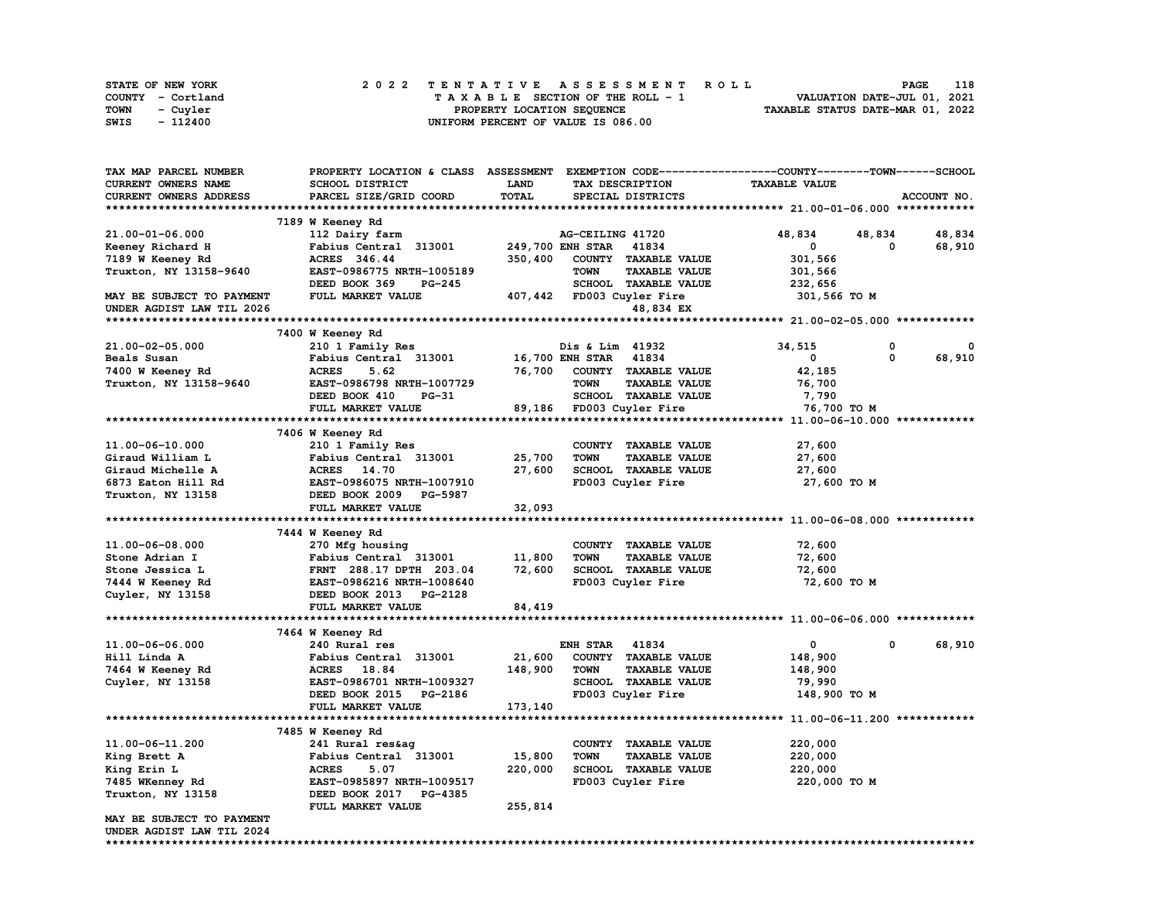| <b>STATE OF NEW YORK</b> | 2022 TENTATIVE ASSESSMENT ROLL     | 118<br><b>PAGE</b>               |
|--------------------------|------------------------------------|----------------------------------|
| COUNTY - Cortland        | TAXABLE SECTION OF THE ROLL - 1    | VALUATION DATE-JUL 01, 2021      |
| TOWN<br>- Cuyler         | PROPERTY LOCATION SEQUENCE         | TAXABLE STATUS DATE-MAR 01, 2022 |
| - 112400<br>SWIS         | UNIFORM PERCENT OF VALUE IS 086.00 |                                  |

| TAX MAP PARCEL NUMBER         | PROPERTY LOCATION & CLASS ASSESSMENT |             |                       |                           | EXEMPTION CODE-----------------COUNTY-------TOWN------SCHOOL |              |             |
|-------------------------------|--------------------------------------|-------------|-----------------------|---------------------------|--------------------------------------------------------------|--------------|-------------|
| <b>CURRENT OWNERS NAME</b>    | <b>SCHOOL DISTRICT</b>               | <b>LAND</b> |                       | TAX DESCRIPTION           | <b>TAXABLE VALUE</b>                                         |              |             |
| <b>CURRENT OWNERS ADDRESS</b> | PARCEL SIZE/GRID COORD               | TOTAL       |                       | SPECIAL DISTRICTS         |                                                              |              | ACCOUNT NO. |
|                               |                                      |             |                       |                           |                                                              |              |             |
|                               | 7189 W Keeney Rd                     |             |                       |                           |                                                              |              |             |
| 21.00-01-06.000               | 112 Dairy farm                       |             | AG-CEILING 41720      |                           | 48,834                                                       | 48,834       | 48,834      |
| Keeney Richard H              | Fabius Central 313001                |             | 249,700 ENH STAR      | 41834                     | $\mathbf 0$                                                  | $\mathbf{o}$ | 68,910      |
| 7189 W Keeney Rd              | ACRES 346.44                         | 350,400     |                       | COUNTY TAXABLE VALUE      | 301,566                                                      |              |             |
| Truxton, NY 13158-9640        | EAST-0986775 NRTH-1005189            |             | <b>TOWN</b>           | <b>TAXABLE VALUE</b>      | 301,566                                                      |              |             |
|                               | DEED BOOK 369<br>PG-245              |             |                       | SCHOOL TAXABLE VALUE      | 232,656                                                      |              |             |
|                               |                                      |             |                       |                           |                                                              |              |             |
| MAY BE SUBJECT TO PAYMENT     | FULL MARKET VALUE                    |             |                       | 407,442 FD003 Cuyler Fire | 301,566 TO M                                                 |              |             |
| UNDER AGDIST LAW TIL 2026     |                                      |             |                       | 48,834 EX                 |                                                              |              |             |
|                               |                                      |             |                       |                           |                                                              |              |             |
|                               | 7400 W Keeney Rd                     |             |                       |                           |                                                              |              |             |
| 21.00-02-05.000               | 210 1 Family Res                     |             | Dis & Lim 41932       |                           | 34,515                                                       | 0            |             |
| Beals Susan                   | Fabius Central 313001                |             | 16,700 ENH STAR 41834 |                           | $\mathbf 0$                                                  | 0            | 68,910      |
| 7400 W Keeney Rd              | <b>ACRES</b><br>5.62                 | 76,700      |                       | COUNTY TAXABLE VALUE      | 42,185                                                       |              |             |
| Truxton, NY 13158-9640        | EAST-0986798 NRTH-1007729            |             | <b>TOWN</b>           | <b>TAXABLE VALUE</b>      | 76,700                                                       |              |             |
|                               | DEED BOOK 410<br>$PG-31$             |             |                       | SCHOOL TAXABLE VALUE      | 7,790                                                        |              |             |
|                               | FULL MARKET VALUE                    |             |                       | 89,186 FD003 Cuyler Fire  | 76,700 TO M                                                  |              |             |
|                               |                                      |             |                       |                           |                                                              |              |             |
|                               | 7406 W Keeney Rd                     |             |                       |                           |                                                              |              |             |
| 11.00-06-10.000               | 210 1 Family Res                     |             |                       | COUNTY TAXABLE VALUE      | 27,600                                                       |              |             |
| Giraud William L              | Fabius Central 313001                | 25,700      | <b>TOWN</b>           | <b>TAXABLE VALUE</b>      | 27,600                                                       |              |             |
| Giraud Michelle A             | ACRES 14.70                          | 27,600      |                       | SCHOOL TAXABLE VALUE      | 27,600                                                       |              |             |
| 6873 Eaton Hill Rd            | EAST-0986075 NRTH-1007910            |             |                       | FD003 Cuyler Fire         | 27,600 TO M                                                  |              |             |
| Truxton, NY 13158             | DEED BOOK 2009 PG-5987               |             |                       |                           |                                                              |              |             |
|                               | FULL MARKET VALUE                    | 32,093      |                       |                           |                                                              |              |             |
|                               |                                      |             |                       |                           |                                                              |              |             |
|                               | 7444 W Keeney Rd                     |             |                       |                           |                                                              |              |             |
| 11.00-06-08.000               | 270 Mfg housing                      |             |                       | COUNTY TAXABLE VALUE      | 72,600                                                       |              |             |
| Stone Adrian I                | Fabius Central 313001                | 11,800      | <b>TOWN</b>           | <b>TAXABLE VALUE</b>      | 72,600                                                       |              |             |
| Stone Jessica L               | FRNT 288.17 DPTH 203.04              | 72,600      |                       | SCHOOL TAXABLE VALUE      | 72,600                                                       |              |             |
| 7444 W Keeney Rd              | EAST-0986216 NRTH-1008640            |             |                       | FD003 Cuyler Fire         | 72,600 TO M                                                  |              |             |
| Cuyler, NY 13158              | DEED BOOK 2013 PG-2128               |             |                       |                           |                                                              |              |             |
|                               | FULL MARKET VALUE                    | 84,419      |                       |                           |                                                              |              |             |
|                               |                                      |             |                       |                           |                                                              |              |             |
|                               | 7464 W Keeney Rd                     |             |                       |                           |                                                              |              |             |
| 11.00-06-06.000               | 240 Rural res                        |             | <b>ENH STAR 41834</b> |                           | $\mathbf{0}$                                                 | 0            | 68,910      |
| Hill Linda A                  | Fabius Central 313001                | 21,600      |                       | COUNTY TAXABLE VALUE      | 148,900                                                      |              |             |
| 7464 W Keeney Rd              | ACRES 18.84                          | 148,900     | <b>TOWN</b>           | <b>TAXABLE VALUE</b>      | 148,900                                                      |              |             |
|                               | EAST-0986701 NRTH-1009327            |             |                       | SCHOOL TAXABLE VALUE      |                                                              |              |             |
| Cuyler, NY 13158              |                                      |             |                       |                           | 79,990                                                       |              |             |
|                               | DEED BOOK 2015 PG-2186               |             |                       | FD003 Cuyler Fire         | 148,900 TO M                                                 |              |             |
|                               | FULL MARKET VALUE                    | 173,140     |                       |                           |                                                              |              |             |
|                               |                                      |             |                       |                           |                                                              |              |             |
|                               | 7485 W Keeney Rd                     |             |                       |                           |                                                              |              |             |
| 11.00-06-11.200               | 241 Rural res&ag                     |             |                       | COUNTY TAXABLE VALUE      | 220,000                                                      |              |             |
| King Brett A                  | Fabius Central 313001                | 15,800      | <b>TOWN</b>           | <b>TAXABLE VALUE</b>      | 220,000                                                      |              |             |
| King Erin L                   | <b>ACRES</b><br>5.07                 | 220,000     |                       | SCHOOL TAXABLE VALUE      | 220,000                                                      |              |             |
| 7485 WKenney Rd               | EAST-0985897 NRTH-1009517            |             |                       | FD003 Cuyler Fire         | 220,000 TO M                                                 |              |             |
| Truxton, NY 13158             | DEED BOOK 2017 PG-4385               |             |                       |                           |                                                              |              |             |
|                               | FULL MARKET VALUE                    | 255,814     |                       |                           |                                                              |              |             |
| MAY BE SUBJECT TO PAYMENT     |                                      |             |                       |                           |                                                              |              |             |
| UNDER AGDIST LAW TIL 2024     |                                      |             |                       |                           |                                                              |              |             |
|                               |                                      |             |                       |                           |                                                              |              |             |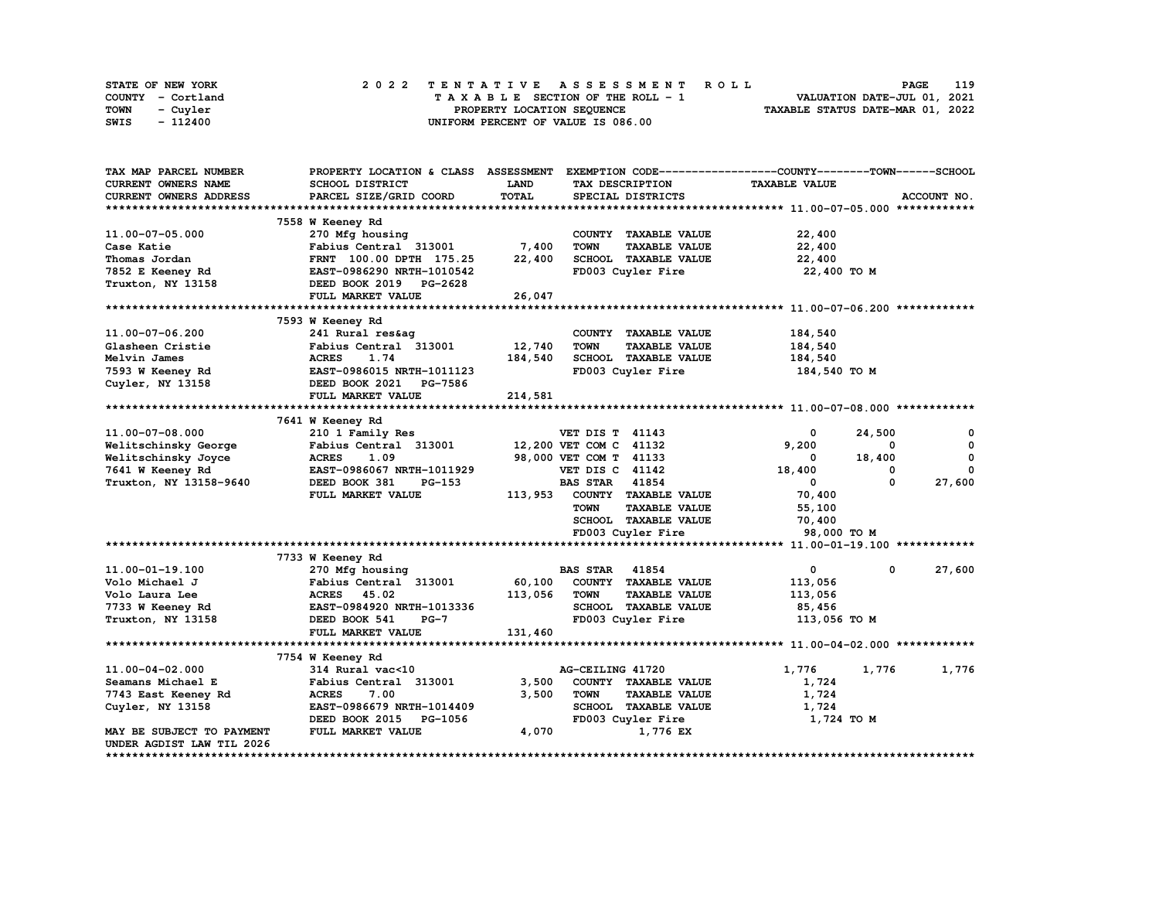| STATE OF NEW YORK | 2022 TENTATIVE ASSESSMENT ROLL     | 119<br>PAGE                      |
|-------------------|------------------------------------|----------------------------------|
| COUNTY - Cortland | TAXABLE SECTION OF THE ROLL - 1    | VALUATION DATE-JUL 01, 2021      |
| TOWN<br>- Cuvler  | PROPERTY LOCATION SEQUENCE         | TAXABLE STATUS DATE-MAR 01, 2022 |
| - 112400<br>SWIS  | UNIFORM PERCENT OF VALUE IS 086.00 |                                  |

| TAX MAP PARCEL NUMBER         | PROPERTY LOCATION & CLASS ASSESSMENT |              | EXEMPTION CODE-----------------COUNTY-------TOWN------SCHOOL |                      |                       |
|-------------------------------|--------------------------------------|--------------|--------------------------------------------------------------|----------------------|-----------------------|
| CURRENT OWNERS NAME           | SCHOOL DISTRICT                      | LAND         | TAX DESCRIPTION                                              | <b>TAXABLE VALUE</b> |                       |
| <b>CURRENT OWNERS ADDRESS</b> | PARCEL SIZE/GRID COORD               | <b>TOTAL</b> | SPECIAL DISTRICTS                                            |                      | ACCOUNT NO.           |
|                               |                                      |              |                                                              |                      |                       |
|                               | 7558 W Keeney Rd                     |              |                                                              |                      |                       |
| 11.00-07-05.000               | 270 Mfg housing                      |              | COUNTY TAXABLE VALUE                                         | 22,400               |                       |
| Case Katie                    | Fabius Central 313001                | 7,400        | <b>TOWN</b><br><b>TAXABLE VALUE</b>                          | 22,400               |                       |
| Thomas Jordan                 | FRNT 100.00 DPTH 175.25              | 22,400       | SCHOOL TAXABLE VALUE                                         | 22,400               |                       |
|                               | EAST-0986290 NRTH-1010542            |              |                                                              |                      |                       |
| 7852 E Keeney Rd              |                                      |              | FD003 Cuyler Fire                                            | 22,400 TO M          |                       |
| Truxton, NY 13158             | DEED BOOK 2019 PG-2628               |              |                                                              |                      |                       |
|                               | FULL MARKET VALUE                    | 26,047       |                                                              |                      |                       |
|                               |                                      |              |                                                              |                      |                       |
|                               | 7593 W Keeney Rd                     |              |                                                              |                      |                       |
| 11.00-07-06.200               | 241 Rural res&ag                     |              | COUNTY TAXABLE VALUE                                         | 184,540              |                       |
| Glasheen Cristie              | Fabius Central 313001                | 12,740       | <b>TOWN</b><br><b>TAXABLE VALUE</b>                          | 184,540              |                       |
| Melvin James                  | <b>ACRES</b><br>1.74                 | 184,540      | SCHOOL TAXABLE VALUE                                         | 184,540              |                       |
| 7593 W Keeney Rd              | EAST-0986015 NRTH-1011123            |              | FD003 Cuyler Fire                                            | 184,540 TO M         |                       |
| Cuyler, NY 13158              | DEED BOOK 2021 PG-7586               |              |                                                              |                      |                       |
|                               | FULL MARKET VALUE                    | 214,581      |                                                              |                      |                       |
|                               |                                      |              |                                                              |                      |                       |
|                               | 7641 W Keeney Rd                     |              |                                                              |                      |                       |
| 11.00-07-08.000               | 210 1 Family Res                     |              | <b>VET DIS T 41143</b>                                       | 0                    | 24,500<br>0           |
|                               |                                      |              |                                                              |                      | $\Omega$              |
| Welitschinsky George          | Fabius Central 313001                |              | 12,200 VET COM C 41132                                       | 9,200                | $\mathbf 0$           |
| Welitschinsky Joyce           | <b>ACRES</b><br>1.09                 |              | 98,000 VET COM T 41133                                       | 0                    | 18,400                |
| 7641 W Keeney Rd              | EAST-0986067 NRTH-1011929            |              | VET DIS C 41142                                              | 18,400               | $\Omega$<br>0         |
| Truxton, NY 13158-9640        | DEED BOOK 381<br>PG-153              |              | 41854<br><b>BAS STAR</b>                                     | 0                    | 27,600<br>0           |
|                               | FULL MARKET VALUE                    | 113,953      | COUNTY TAXABLE VALUE                                         | 70,400               |                       |
|                               |                                      |              | <b>TOWN</b><br><b>TAXABLE VALUE</b>                          | 55,100               |                       |
|                               |                                      |              | SCHOOL TAXABLE VALUE                                         | 70,400               |                       |
|                               |                                      |              | FD003 Cuyler Fire                                            | 98,000 TO M          |                       |
|                               |                                      |              |                                                              |                      |                       |
|                               | 7733 W Keeney Rd                     |              |                                                              |                      |                       |
| 11.00-01-19.100               | 270 Mfg housing                      |              | <b>BAS STAR 41854</b>                                        | $\mathbf 0$          | 27,600<br>$\mathbf 0$ |
| Volo Michael J                | Fabius Central 313001                | 60,100       | COUNTY TAXABLE VALUE                                         | 113,056              |                       |
| Volo Laura Lee                | <b>ACRES</b><br>45.02                | 113,056      | <b>TAXABLE VALUE</b><br><b>TOWN</b>                          | 113,056              |                       |
|                               | EAST-0984920 NRTH-1013336            |              | SCHOOL TAXABLE VALUE                                         |                      |                       |
| 7733 W Keeney Rd              |                                      |              |                                                              | 85,456               |                       |
| Truxton, NY 13158             | DEED BOOK 541<br>$PG-7$              |              | FD003 Cuyler Fire                                            | 113,056 TO M         |                       |
|                               | FULL MARKET VALUE                    | 131,460      |                                                              |                      |                       |
|                               |                                      |              |                                                              |                      |                       |
|                               | 7754 W Keeney Rd                     |              |                                                              |                      |                       |
| 11.00-04-02.000               | 314 Rural vac<10                     |              | AG-CEILING 41720                                             | 1,776                | 1,776<br>1,776        |
| Seamans Michael E             | Fabius Central 313001                | 3,500        | COUNTY TAXABLE VALUE                                         | 1,724                |                       |
| 7743 East Keeney Rd           | <b>ACRES</b><br>7.00                 | 3,500        | <b>TOWN</b><br><b>TAXABLE VALUE</b>                          | 1,724                |                       |
| Cuyler, NY 13158              | EAST-0986679 NRTH-1014409            |              | SCHOOL TAXABLE VALUE                                         | 1,724                |                       |
|                               | DEED BOOK 2015 PG-1056               |              | FD003 Cuyler Fire                                            | 1,724 TO M           |                       |
| MAY BE SUBJECT TO PAYMENT     | FULL MARKET VALUE                    | 4,070        | 1,776 EX                                                     |                      |                       |
| UNDER AGDIST LAW TIL 2026     |                                      |              |                                                              |                      |                       |
|                               |                                      |              |                                                              |                      |                       |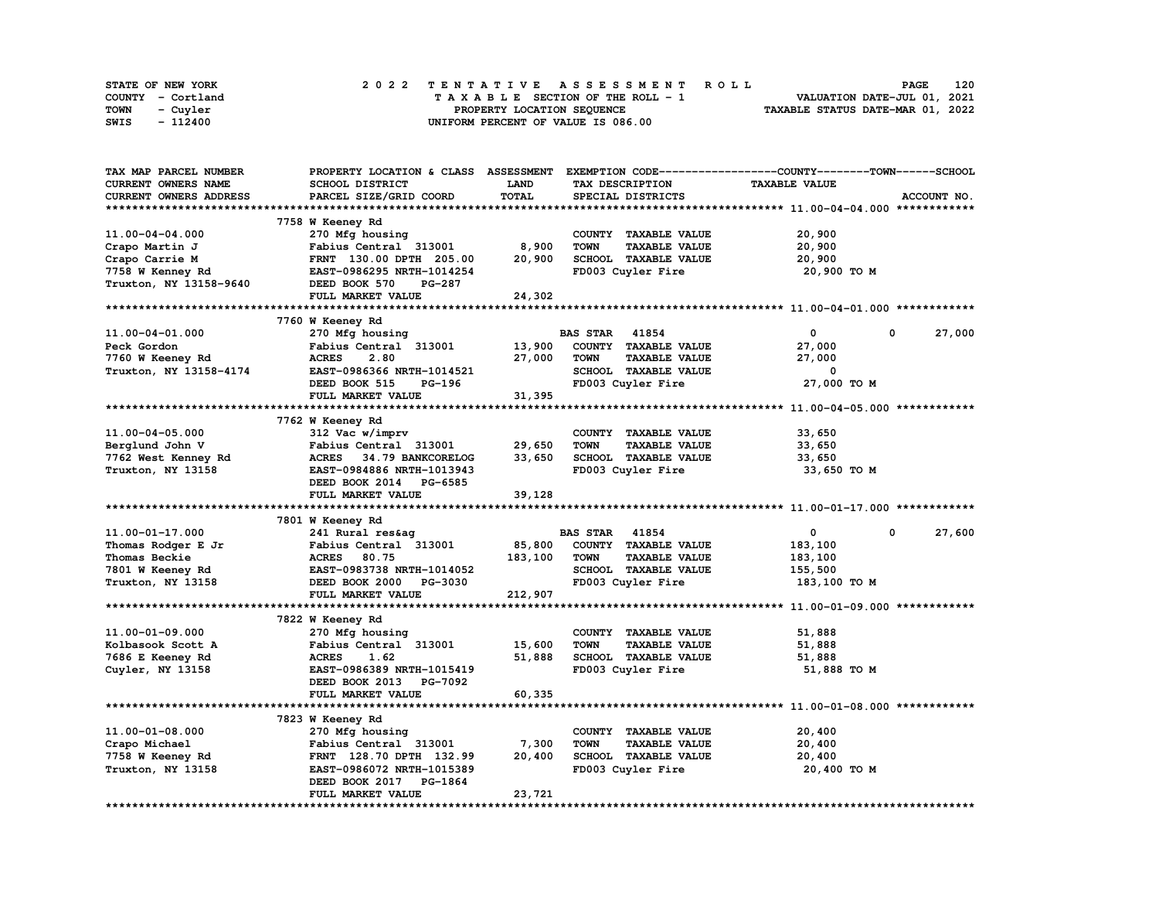| STATE OF NEW YORK | 2022 TENTATIVE ASSESSMENT ROLL     | 120<br><b>PAGE</b>               |
|-------------------|------------------------------------|----------------------------------|
| COUNTY - Cortland | TAXABLE SECTION OF THE ROLL - 1    | VALUATION DATE-JUL 01, 2021      |
| TOWN<br>- Cuvler  | PROPERTY LOCATION SEQUENCE         | TAXABLE STATUS DATE-MAR 01, 2022 |
| - 112400<br>SWIS  | UNIFORM PERCENT OF VALUE IS 086.00 |                                  |

| TAX MAP PARCEL NUMBER      | PROPERTY LOCATION & CLASS ASSESSMENT |             |                                     | EXEMPTION CODE-----------------COUNTY-------TOWN-----SCHOOL |             |
|----------------------------|--------------------------------------|-------------|-------------------------------------|-------------------------------------------------------------|-------------|
| <b>CURRENT OWNERS NAME</b> | SCHOOL DISTRICT                      | <b>LAND</b> | TAX DESCRIPTION                     | <b>TAXABLE VALUE</b>                                        |             |
| CURRENT OWNERS ADDRESS     | PARCEL SIZE/GRID COORD               | TOTAL       | SPECIAL DISTRICTS                   |                                                             | ACCOUNT NO. |
|                            |                                      |             |                                     |                                                             |             |
|                            | 7758 W Keeney Rd                     |             |                                     |                                                             |             |
| 11.00-04-04.000            | 270 Mfg housing                      |             | COUNTY TAXABLE VALUE                | 20,900                                                      |             |
| Crapo Martin J             | Fabius Central 313001                | 8,900       | <b>TOWN</b><br><b>TAXABLE VALUE</b> | 20,900                                                      |             |
| Crapo Carrie M             | FRNT 130.00 DPTH 205.00              | 20,900      | SCHOOL TAXABLE VALUE                | 20,900                                                      |             |
| 7758 W Kenney Rd           | EAST-0986295 NRTH-1014254            |             | FD003 Cuyler Fire                   | 20,900 TO M                                                 |             |
|                            |                                      |             |                                     |                                                             |             |
| Truxton, NY 13158-9640     | DEED BOOK 570<br>PG-287              |             |                                     |                                                             |             |
|                            | FULL MARKET VALUE                    | 24,302      |                                     |                                                             |             |
|                            |                                      |             |                                     |                                                             |             |
|                            | 7760 W Keeney Rd                     |             |                                     |                                                             |             |
| 11.00-04-01.000            | 270 Mfg housing                      |             | <b>BAS STAR</b><br>41854            | $\mathbf 0$<br>0                                            | 27,000      |
| Peck Gordon                | Fabius Central 313001                | 13,900      | COUNTY TAXABLE VALUE                | 27,000                                                      |             |
| 7760 W Keeney Rd           | <b>ACRES</b><br>2.80                 | 27,000      | <b>TOWN</b><br><b>TAXABLE VALUE</b> | 27,000                                                      |             |
| Truxton, NY 13158-4174     | EAST-0986366 NRTH-1014521            |             | SCHOOL TAXABLE VALUE                | 0                                                           |             |
|                            | DEED BOOK 515<br>PG-196              |             | FD003 Cuyler Fire                   | 27,000 TO M                                                 |             |
|                            | FULL MARKET VALUE                    | 31,395      |                                     |                                                             |             |
|                            |                                      |             |                                     |                                                             |             |
|                            | 7762 W Keeney Rd                     |             |                                     |                                                             |             |
| 11.00-04-05.000            | 312 Vac w/imprv                      |             | COUNTY TAXABLE VALUE                | 33,650                                                      |             |
| Berglund John V            | Fabius Central 313001                | 29,650      | <b>TOWN</b><br><b>TAXABLE VALUE</b> | 33,650                                                      |             |
| 7762 West Kenney Rd        | ACRES 34.79 BANKCORELOG              | 33,650      | SCHOOL TAXABLE VALUE                | 33,650                                                      |             |
| Truxton, NY 13158          | EAST-0984886 NRTH-1013943            |             | FD003 Cuyler Fire                   | 33,650 TO M                                                 |             |
|                            | DEED BOOK 2014 PG-6585               |             |                                     |                                                             |             |
|                            | FULL MARKET VALUE                    | 39,128      |                                     |                                                             |             |
|                            |                                      |             |                                     |                                                             |             |
|                            |                                      |             |                                     |                                                             |             |
|                            | 7801 W Keeney Rd                     |             |                                     |                                                             |             |
| 11.00-01-17.000            | 241 Rural res&aq                     |             | <b>BAS STAR 41854</b>               | $\mathbf{0}$<br>$^{\circ}$                                  | 27,600      |
| Thomas Rodger E Jr         | Fabius Central 313001                | 85,800      | COUNTY TAXABLE VALUE                | 183,100                                                     |             |
| Thomas Beckie              | 80.75<br><b>ACRES</b>                | 183,100     | <b>TOWN</b><br><b>TAXABLE VALUE</b> | 183,100                                                     |             |
| 7801 W Keeney Rd           | EAST-0983738 NRTH-1014052            |             | SCHOOL TAXABLE VALUE                | 155,500                                                     |             |
| Truxton, NY 13158          | DEED BOOK 2000<br>PG-3030            |             | FD003 Cuyler Fire                   | 183,100 TO M                                                |             |
|                            | FULL MARKET VALUE                    | 212,907     |                                     |                                                             |             |
|                            |                                      |             |                                     |                                                             |             |
|                            | 7822 W Keeney Rd                     |             |                                     |                                                             |             |
| 11.00-01-09.000            | 270 Mfg housing                      |             | COUNTY TAXABLE VALUE                | 51,888                                                      |             |
| Kolbasook Scott A          | Fabius Central 313001                | 15,600      | <b>TOWN</b><br><b>TAXABLE VALUE</b> | 51,888                                                      |             |
| 7686 E Keeney Rd           | <b>ACRES</b><br>1.62                 | 51,888      | SCHOOL TAXABLE VALUE                | 51,888                                                      |             |
| Cuyler, NY 13158           | EAST-0986389 NRTH-1015419            |             | FD003 Cuyler Fire                   | 51,888 TO M                                                 |             |
|                            | DEED BOOK 2013 PG-7092               |             |                                     |                                                             |             |
|                            | FULL MARKET VALUE                    | 60,335      |                                     |                                                             |             |
|                            |                                      |             |                                     |                                                             |             |
|                            | 7823 W Keeney Rd                     |             |                                     |                                                             |             |
| $11.00 - 01 - 08.000$      | 270 Mfg housing                      |             | COUNTY TAXABLE VALUE                | 20,400                                                      |             |
| Crapo Michael              | Fabius Central 313001                | 7,300       | <b>TOWN</b><br><b>TAXABLE VALUE</b> | 20,400                                                      |             |
|                            |                                      | 20,400      | SCHOOL TAXABLE VALUE                |                                                             |             |
| 7758 W Keeney Rd           | FRNT 128.70 DPTH 132.99              |             |                                     | 20,400                                                      |             |
| Truxton, NY 13158          | EAST-0986072 NRTH-1015389            |             | FD003 Cuyler Fire                   | 20,400 TO M                                                 |             |
|                            | DEED BOOK 2017 PG-1864               |             |                                     |                                                             |             |
|                            | FULL MARKET VALUE                    | 23,721      |                                     |                                                             |             |
|                            |                                      |             |                                     |                                                             |             |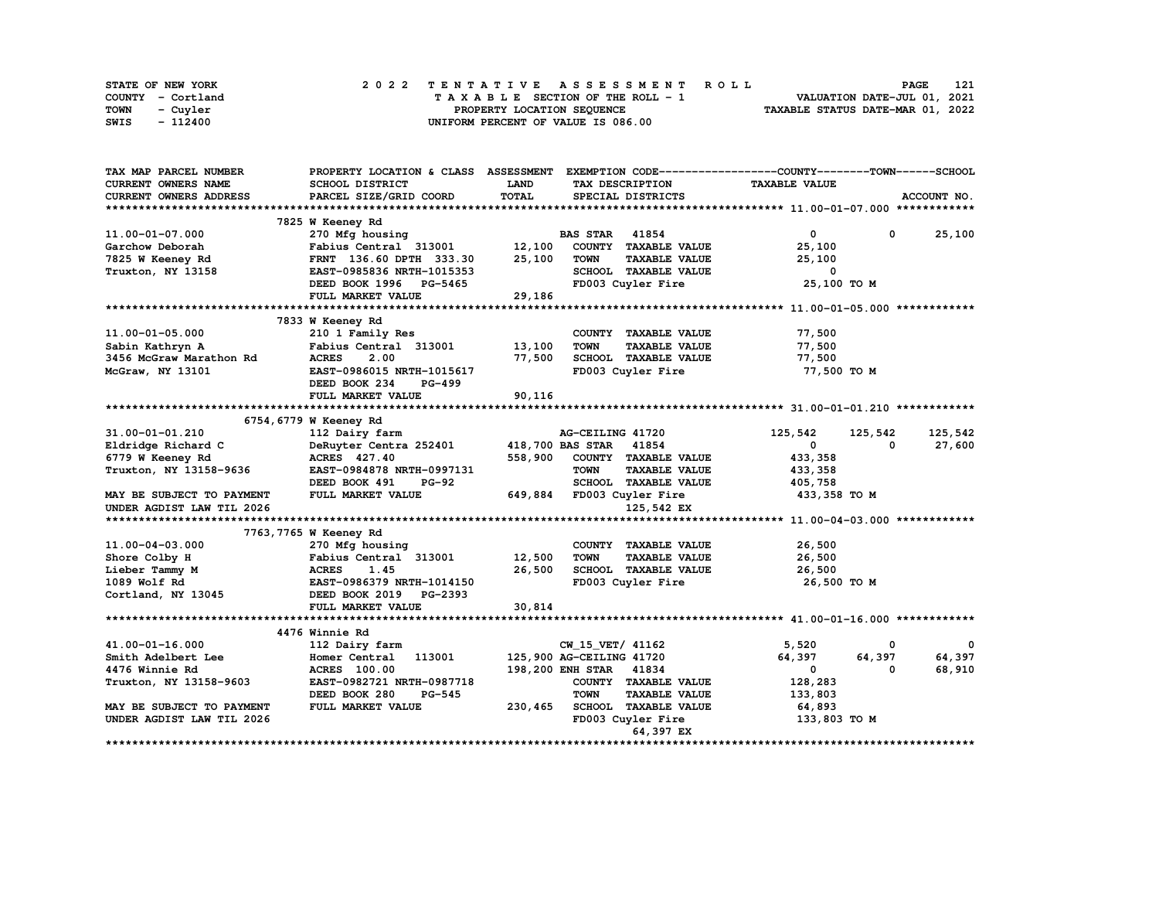| STATE OF NEW YORK | 2022 TENTATIVE ASSESSMENT ROLL     | 121<br><b>PAGE</b>               |
|-------------------|------------------------------------|----------------------------------|
| COUNTY - Cortland | TAXABLE SECTION OF THE ROLL - 1    | VALUATION DATE-JUL 01, 2021      |
| TOWN<br>- Cuvler  | PROPERTY LOCATION SEQUENCE         | TAXABLE STATUS DATE-MAR 01, 2022 |
| - 112400<br>SWIS  | UNIFORM PERCENT OF VALUE IS 086.00 |                                  |

| TAX MAP PARCEL NUMBER     | PROPERTY LOCATION & CLASS ASSESSMENT EXEMPTION CODE----------------COUNTY-------TOWN-----SCHOOL |         |                                     |                      |              |             |
|---------------------------|-------------------------------------------------------------------------------------------------|---------|-------------------------------------|----------------------|--------------|-------------|
| CURRENT OWNERS NAME       | SCHOOL DISTRICT                                                                                 | LAND    | TAX DESCRIPTION                     | <b>TAXABLE VALUE</b> |              |             |
| CURRENT OWNERS ADDRESS    | PARCEL SIZE/GRID COORD                                                                          | TOTAL   | SPECIAL DISTRICTS                   |                      |              | ACCOUNT NO. |
|                           |                                                                                                 |         |                                     |                      |              |             |
|                           | 7825 W Keeney Rd                                                                                |         |                                     |                      |              |             |
| 11.00-01-07.000           | 270 Mfg housing                                                                                 |         | <b>BAS STAR 41854</b>               | $\mathbf{0}$         | $\mathbf{0}$ | 25,100      |
| Garchow Deborah           | Fabius Central 313001                                                                           | 12,100  | COUNTY TAXABLE VALUE                | 25,100               |              |             |
| 7825 W Keeney Rd          | FRNT 136.60 DPTH 333.30                                                                         | 25,100  | <b>TOWN</b><br><b>TAXABLE VALUE</b> | 25,100               |              |             |
| Truxton, NY 13158         | EAST-0985836 NRTH-1015353                                                                       |         | SCHOOL TAXABLE VALUE                | 0                    |              |             |
|                           | DEED BOOK 1996 PG-5465                                                                          |         | FD003 Cuyler Fire                   | 25,100 TO M          |              |             |
|                           | FULL MARKET VALUE                                                                               | 29,186  |                                     |                      |              |             |
|                           |                                                                                                 |         |                                     |                      |              |             |
|                           | 7833 W Keeney Rd                                                                                |         |                                     |                      |              |             |
| 11.00-01-05.000           | 210 1 Family Res                                                                                |         | COUNTY TAXABLE VALUE                | 77,500               |              |             |
| Sabin Kathryn A           | Fabius Central 313001                                                                           | 13,100  | <b>TOWN</b><br><b>TAXABLE VALUE</b> | 77,500               |              |             |
| 3456 McGraw Marathon Rd   | <b>ACRES</b><br>2.00                                                                            | 77,500  | SCHOOL TAXABLE VALUE                | 77,500               |              |             |
| McGraw, NY 13101          | EAST-0986015 NRTH-1015617                                                                       |         | FD003 Cuyler Fire                   | 77,500 TO M          |              |             |
|                           | DEED BOOK 234<br>PG-499                                                                         |         |                                     |                      |              |             |
|                           | FULL MARKET VALUE                                                                               | 90,116  |                                     |                      |              |             |
|                           |                                                                                                 |         |                                     |                      |              |             |
|                           | 6754, 6779 W Keeney Rd                                                                          |         |                                     |                      |              |             |
| 31.00-01-01.210           |                                                                                                 |         | AG-CEILING 41720                    | 125,542              |              | 125,542     |
|                           | 112 Dairy farm                                                                                  |         |                                     |                      | 125,542      |             |
| Eldridge Richard C        | DeRuyter Centra 252401                                                                          |         | 418,700 BAS STAR 41854              | $\mathbf{0}$         | 0            | 27,600      |
| 6779 W Keeney Rd          | ACRES 427.40                                                                                    | 558,900 | COUNTY TAXABLE VALUE                | 433,358              |              |             |
| Truxton, NY 13158-9636    | EAST-0984878 NRTH-0997131                                                                       |         | <b>TAXABLE VALUE</b><br><b>TOWN</b> | 433,358              |              |             |
|                           | DEED BOOK 491<br><b>PG-92</b>                                                                   |         | SCHOOL TAXABLE VALUE                | 405,758              |              |             |
| MAY BE SUBJECT TO PAYMENT | FULL MARKET VALUE                                                                               |         | 649,884 FD003 Cuyler Fire           | 433,358 TO M         |              |             |
| UNDER AGDIST LAW TIL 2026 |                                                                                                 |         | 125,542 EX                          |                      |              |             |
|                           |                                                                                                 |         |                                     |                      |              |             |
|                           | 7763, 7765 W Keeney Rd                                                                          |         |                                     |                      |              |             |
| 11.00-04-03.000           | 270 Mfg housing                                                                                 |         | COUNTY TAXABLE VALUE                | 26,500               |              |             |
| Shore Colby H             | Fabius Central 313001                                                                           | 12,500  | <b>TAXABLE VALUE</b><br><b>TOWN</b> | 26,500               |              |             |
| Lieber Tammy M            | <b>ACRES</b><br>1.45                                                                            | 26,500  | SCHOOL TAXABLE VALUE                | 26,500               |              |             |
| 1089 Wolf Rd              | EAST-0986379 NRTH-1014150                                                                       |         | FD003 Cuyler Fire                   | 26,500 TO M          |              |             |
| Cortland, NY 13045        | DEED BOOK 2019 PG-2393                                                                          |         |                                     |                      |              |             |
|                           | FULL MARKET VALUE                                                                               | 30,814  |                                     |                      |              |             |
|                           |                                                                                                 |         |                                     |                      |              |             |
|                           | 4476 Winnie Rd                                                                                  |         |                                     |                      |              |             |
| 41.00-01-16.000           | 112 Dairy farm                                                                                  |         | CW_15_VET/ 41162                    | 5,520                | 0            | 0           |
| Smith Adelbert Lee        | Homer Central 113001                                                                            |         | 125,900 AG-CEILING 41720            | 64,397               | 64,397       | 64,397      |
| 4476 Winnie Rd            | <b>ACRES</b> 100.00                                                                             |         | 198,200 ENH STAR 41834              | $\mathbf 0$          | 0            | 68,910      |
| Truxton, NY 13158-9603    | EAST-0982721 NRTH-0987718                                                                       |         | COUNTY TAXABLE VALUE                | 128,283              |              |             |
|                           | DEED BOOK 280<br><b>PG-545</b>                                                                  |         | <b>TOWN</b><br><b>TAXABLE VALUE</b> | 133,803              |              |             |
| MAY BE SUBJECT TO PAYMENT | FULL MARKET VALUE                                                                               | 230,465 | SCHOOL TAXABLE VALUE                | 64,893               |              |             |
| UNDER AGDIST LAW TIL 2026 |                                                                                                 |         | FD003 Cuyler Fire                   | 133,803 TO M         |              |             |
|                           |                                                                                                 |         | 64,397 EX                           |                      |              |             |
|                           |                                                                                                 |         |                                     |                      |              |             |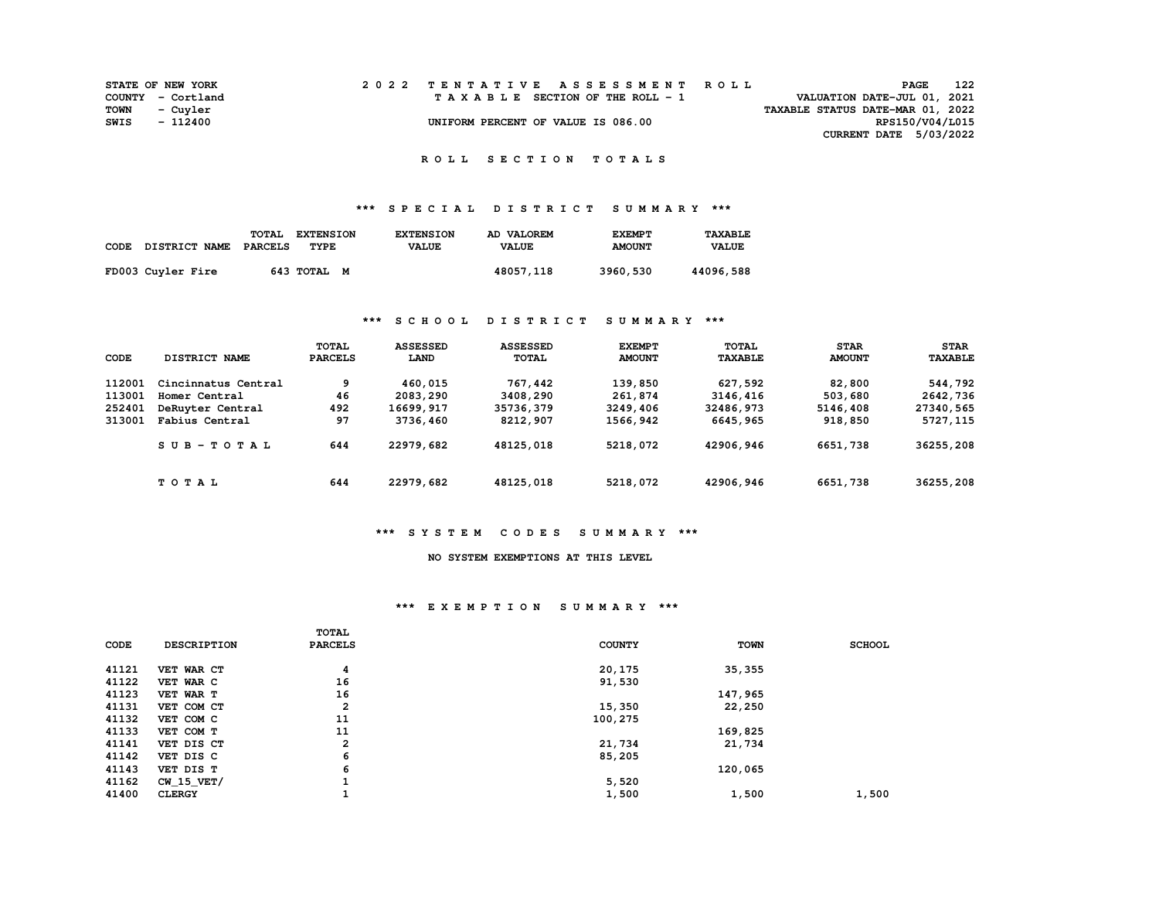|             | <b>STATE OF NEW YORK</b> |  | 2022 TENTATIVE ASSESSMENT ROLL     | 122<br><b>PAGE</b>               |  |
|-------------|--------------------------|--|------------------------------------|----------------------------------|--|
|             | COUNTY - Cortland        |  | TAXABLE SECTION OF THE ROLL - 1    | VALUATION DATE-JUL 01, 2021      |  |
| <b>TOWN</b> | - Cuvler                 |  |                                    | TAXABLE STATUS DATE-MAR 01, 2022 |  |
| SWIS        | - 112400                 |  | UNIFORM PERCENT OF VALUE IS 086.00 | RPS150/V04/L015                  |  |
|             |                          |  |                                    | CURRENT DATE 5/03/2022           |  |

# **\*\*\* S P E C I A L D I S T R I C T S U M M A R Y \*\*\***

| CODE DISTRICT NAME | TOTAL<br>PARCELS | <b>EXTENSION</b><br>TYPE | <b>EXTENSION</b><br><b>VALUE</b> | AD VALOREM<br><b>VALUE</b> | <b>EXEMPT</b><br><b>AMOUNT</b> | TAXABLE<br><b>VALUE</b> |
|--------------------|------------------|--------------------------|----------------------------------|----------------------------|--------------------------------|-------------------------|
| FD003 Cuyler Fire  |                  | 643 TOTAL M              |                                  | 48057,118                  | 3960,530                       | 44096,588               |

### **\*\*\* S C H O O L D I S T R I C T S U M M A R Y \*\*\***

| CODE   | DISTRICT NAME       | <b>TOTAL</b><br><b>PARCELS</b> | <b>ASSESSED</b><br>LAND | <b>ASSESSED</b><br>TOTAL | <b>EXEMPT</b><br><b>AMOUNT</b> | TOTAL<br><b>TAXABLE</b> | <b>STAR</b><br><b>AMOUNT</b> | <b>STAR</b><br><b>TAXABLE</b> |
|--------|---------------------|--------------------------------|-------------------------|--------------------------|--------------------------------|-------------------------|------------------------------|-------------------------------|
| 112001 | Cincinnatus Central | 9                              | 460,015                 | 767,442                  | 139,850                        | 627,592                 | 82,800                       | 544,792                       |
| 113001 | Homer Central       | 46                             | 2083,290                | 3408,290                 | 261,874                        | 3146,416                | 503,680                      | 2642,736                      |
| 252401 | DeRuvter Central    | 492                            | 16699,917               | 35736,379                | 3249,406                       | 32486,973               | 5146,408                     | 27340,565                     |
| 313001 | Fabius Central      | 97                             | 3736,460                | 8212,907                 | 1566,942                       | 6645,965                | 918,850                      | 5727, 115                     |
|        | $SUB - TO T AL$     | 644                            | 22979,682               | 48125,018                | 5218,072                       | 42906,946               | 6651,738                     | 36255,208                     |
|        | TOTAL               | 644                            | 22979,682               | 48125,018                | 5218,072                       | 42906,946               | 6651,738                     | 36255,208                     |

### **\*\*\* S Y S T E M C O D E S S U M M A R Y \*\*\***

### **NO SYSTEM EXEMPTIONS AT THIS LEVEL**

#### **\*\*\* E X E M P T I O N S U M M A R Y \*\*\***

|       |                    | <b>TOTAL</b>   |               |             |               |
|-------|--------------------|----------------|---------------|-------------|---------------|
| CODE  | <b>DESCRIPTION</b> | <b>PARCELS</b> | <b>COUNTY</b> | <b>TOWN</b> | <b>SCHOOL</b> |
| 41121 | VET WAR CT         | 4              | 20,175        | 35, 355     |               |
|       |                    |                |               |             |               |
| 41122 | VET WAR C          | 16             | 91,530        |             |               |
| 41123 | VET WAR T          | 16             |               | 147,965     |               |
| 41131 | VET COM CT         | 2              | 15,350        | 22,250      |               |
| 41132 | VET COM C          | 11             | 100,275       |             |               |
| 41133 | VET COM T          | 11             |               | 169,825     |               |
| 41141 | VET DIS CT         | 2              | 21,734        | 21,734      |               |
| 41142 | VET DIS C          | 6              | 85,205        |             |               |
| 41143 | VET DIS T          | 6              |               | 120,065     |               |
| 41162 | <b>CW 15 VET/</b>  |                | 5,520         |             |               |
| 41400 | <b>CLERGY</b>      |                | 1,500         | 1,500       | 1,500         |
|       |                    |                |               |             |               |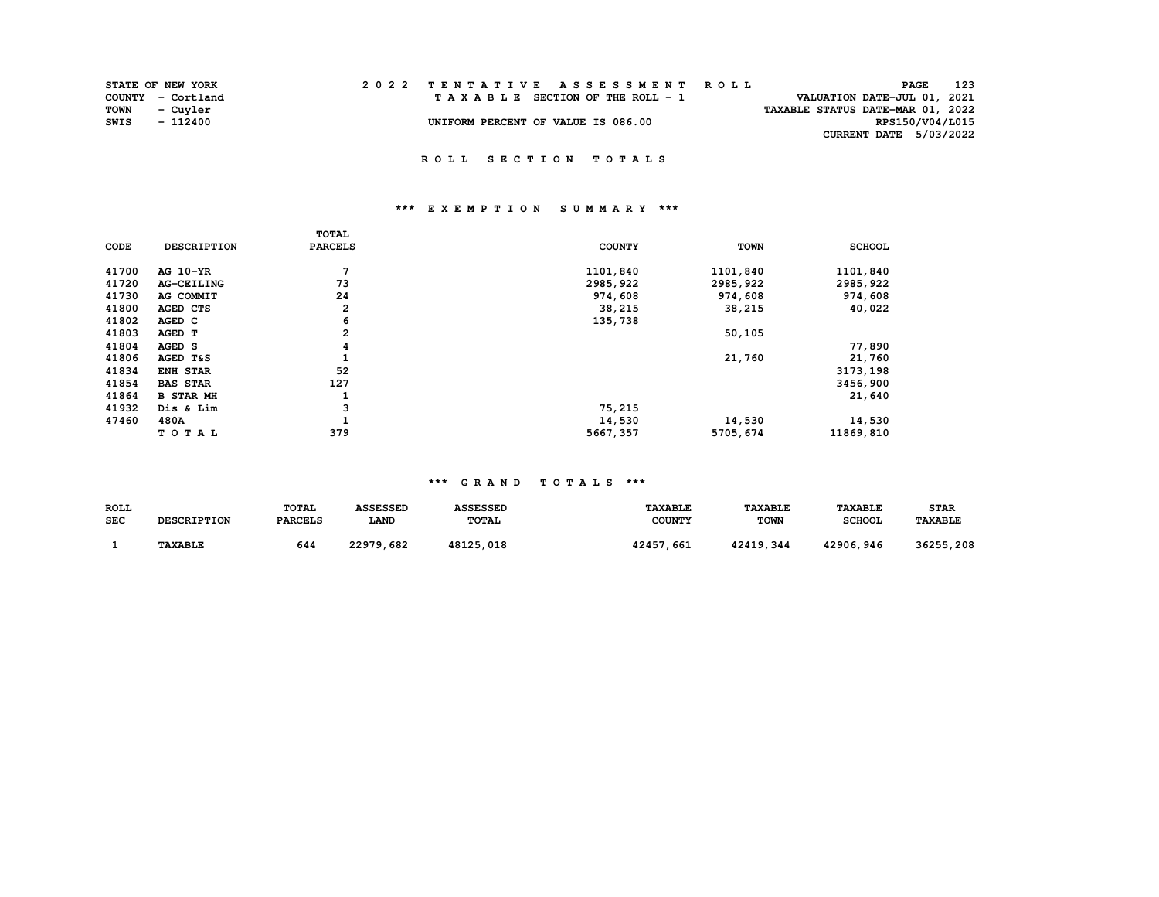|      | <b>STATE OF NEW YORK</b> |  | 2022 TENTATIVE ASSESSMENT ROLL     | PAGE                             | 123 |
|------|--------------------------|--|------------------------------------|----------------------------------|-----|
|      | COUNTY - Cortland        |  | TAXABLE SECTION OF THE ROLL - 1    | VALUATION DATE-JUL 01, 2021      |     |
|      | TOWN - Cuyler            |  |                                    | TAXABLE STATUS DATE-MAR 01, 2022 |     |
| SWIS | - 112400                 |  | UNIFORM PERCENT OF VALUE IS 086.00 | RPS150/V04/L015                  |     |
|      |                          |  |                                    | <b>CURRENT DATE 5/03/2022</b>    |     |
|      |                          |  |                                    |                                  |     |

## **\*\*\* E X E M P T I O N S U M M A R Y \*\*\***

| CODE  | <b>DESCRIPTION</b>  | TOTAL<br><b>PARCELS</b> | <b>COUNTY</b> | <b>TOWN</b> | <b>SCHOOL</b> |
|-------|---------------------|-------------------------|---------------|-------------|---------------|
| 41700 | AG 10-YR            | 7                       | 1101,840      | 1101,840    | 1101,840      |
| 41720 | <b>AG-CEILING</b>   | 73                      | 2985, 922     | 2985,922    | 2985,922      |
| 41730 | AG COMMIT           | 24                      | 974,608       | 974,608     | 974,608       |
| 41800 | AGED CTS            | 2                       | 38,215        | 38,215      | 40,022        |
| 41802 | AGED C              | 6                       | 135,738       |             |               |
| 41803 | AGED T              | $\mathbf{2}$            |               | 50,105      |               |
| 41804 | AGED S              | 4                       |               |             | 77,890        |
| 41806 | <b>AGED T&amp;S</b> |                         |               | 21,760      | 21,760        |
| 41834 | ENH STAR            | 52                      |               |             | 3173,198      |
| 41854 | <b>BAS STAR</b>     | 127                     |               |             | 3456,900      |
| 41864 | <b>B STAR MH</b>    | 1                       |               |             | 21,640        |
| 41932 | Dis & Lim           | 3                       | 75,215        |             |               |
| 47460 | 480A                |                         | 14,530        | 14,530      | 14,530        |
|       | TOTAL               | 379                     | 5667,357      | 5705,674    | 11869,810     |

| ROLL       | <b>DESCRIPTION</b> | TOTAL          | <b>ASSESSED</b> | <b>ASSESSED</b> | <b><i>TAXABLE</i></b> | <b>TAXABLE</b> | <b>TAXABLE</b> | <b>STAR</b>    |
|------------|--------------------|----------------|-----------------|-----------------|-----------------------|----------------|----------------|----------------|
| <b>SEC</b> |                    | <b>PARCELS</b> | <b>LAND</b>     | <b>TOTAL</b>    | <b>COUNTY</b>         | <b>TOWN</b>    | <b>SCHOOL</b>  | <b>TAXABLE</b> |
|            | <b>TAXABLE</b>     | 644            | 22979,682       | 48125,018       | 42457,661             | 42419,344      | 42906,946      | 36255,208      |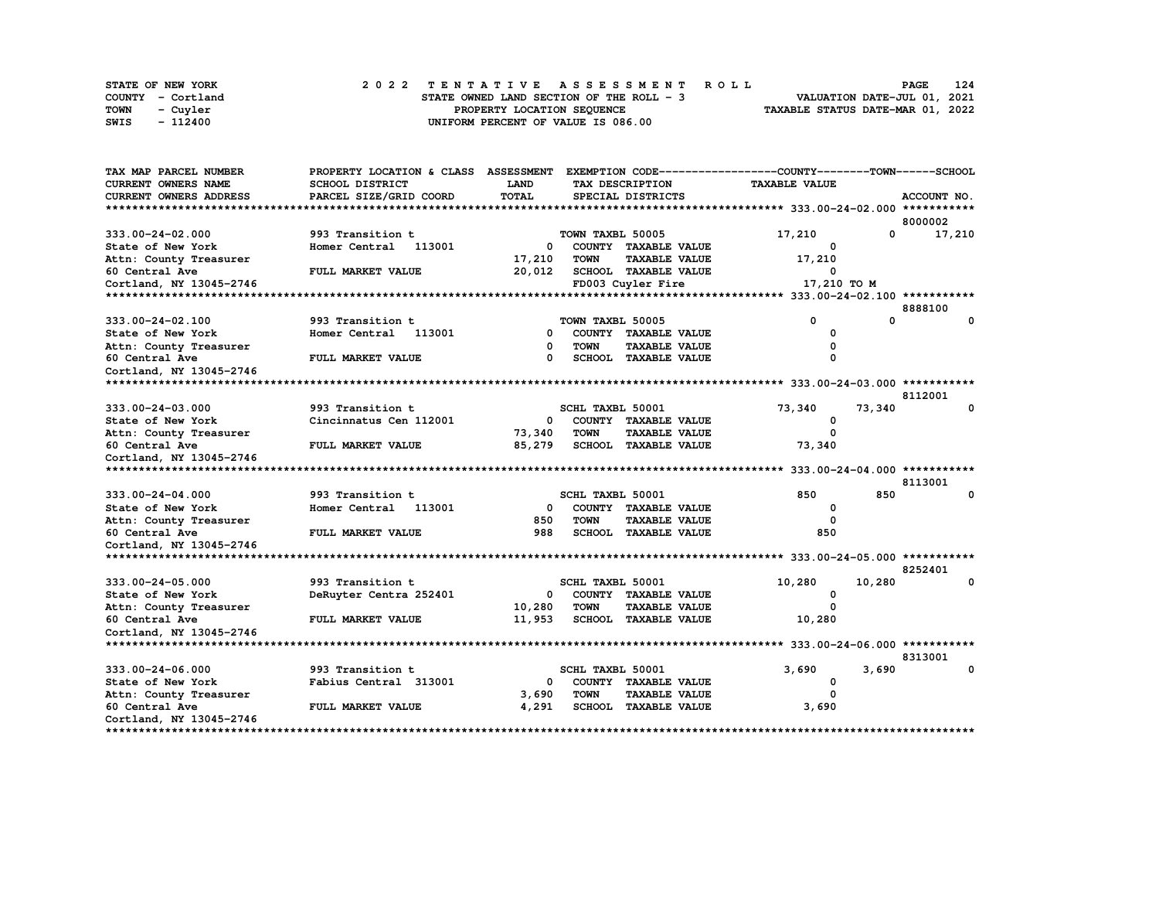|             | STATE OF NEW YORK |  |  |  |  |                                          |  |  |  |  | 2022 TENTATIVE ASSESSMENT ROLL |                                  | <b>PAGE</b>                 | 124 |
|-------------|-------------------|--|--|--|--|------------------------------------------|--|--|--|--|--------------------------------|----------------------------------|-----------------------------|-----|
|             | COUNTY - Cortland |  |  |  |  | STATE OWNED LAND SECTION OF THE ROLL - 3 |  |  |  |  |                                |                                  | VALUATION DATE-JUL 01, 2021 |     |
| <b>TOWN</b> | - Cuyler          |  |  |  |  | PROPERTY LOCATION SEOUENCE               |  |  |  |  |                                | TAXABLE STATUS DATE-MAR 01, 2022 |                             |     |
| SWIS        | - 112400          |  |  |  |  | UNIFORM PERCENT OF VALUE IS 086.00       |  |  |  |  |                                |                                  |                             |     |

| TAX MAP PARCEL NUMBER                       | PROPERTY LOCATION & CLASS ASSESSMENT |              |                  |                             | EXEMPTION CODE-----------------COUNTY-------TOWN-----SCHOOL |            |             |
|---------------------------------------------|--------------------------------------|--------------|------------------|-----------------------------|-------------------------------------------------------------|------------|-------------|
| CURRENT OWNERS NAME                         | <b>SCHOOL DISTRICT</b>               | LAND         |                  | TAX DESCRIPTION             | <b>TAXABLE VALUE</b>                                        |            |             |
| <b>CURRENT OWNERS ADDRESS</b>               | PARCEL SIZE/GRID COORD               | <b>TOTAL</b> |                  | SPECIAL DISTRICTS           |                                                             |            | ACCOUNT NO. |
|                                             |                                      |              |                  |                             |                                                             |            |             |
|                                             |                                      |              |                  |                             |                                                             |            | 8000002     |
| 333.00-24-02.000                            | 993 Transition t                     |              | TOWN TAXBL 50005 |                             | 17,210                                                      | $^{\circ}$ | 17,210      |
| State of New York                           | Homer Central 113001                 | 0            |                  | COUNTY TAXABLE VALUE        | O                                                           |            |             |
| Attn: County Treasurer                      |                                      | 17,210       | <b>TOWN</b>      | <b>TAXABLE VALUE</b>        | 17,210                                                      |            |             |
| 60 Central Ave                              | FULL MARKET VALUE                    | 20,012       |                  | <b>SCHOOL TAXABLE VALUE</b> | $\Omega$                                                    |            |             |
| Cortland, NY 13045-2746                     |                                      |              |                  | FD003 Cuyler Fire           | 17,210 TO M                                                 |            |             |
| ********************                        |                                      |              |                  |                             |                                                             |            |             |
|                                             |                                      |              |                  |                             |                                                             |            | 8888100     |
| 333.00-24-02.100                            | 993 Transition t                     |              | TOWN TAXBL 50005 |                             | 0                                                           | 0          | $\Omega$    |
| State of New York                           | Homer Central 113001                 | 0            |                  | COUNTY TAXABLE VALUE        | 0                                                           |            |             |
| Attn: County Treasurer                      |                                      | 0            | <b>TOWN</b>      | <b>TAXABLE VALUE</b>        | O                                                           |            |             |
| 60 Central Ave                              | FULL MARKET VALUE                    | $\Omega$     |                  | SCHOOL TAXABLE VALUE        | $\Omega$                                                    |            |             |
| Cortland, NY 13045-2746                     |                                      |              |                  |                             |                                                             |            |             |
| *************                               |                                      |              |                  |                             |                                                             |            |             |
|                                             |                                      |              |                  |                             |                                                             |            | 8112001     |
| 333.00-24-03.000                            | 993 Transition t                     |              | SCHL TAXBL 50001 |                             | 73,340                                                      | 73,340     |             |
| State of New York                           | Cincinnatus Cen 112001               | 0            |                  | COUNTY TAXABLE VALUE        | 0                                                           |            |             |
| Attn: County Treasurer                      |                                      | 73,340       | <b>TOWN</b>      | <b>TAXABLE VALUE</b>        | $\Omega$                                                    |            |             |
| 60 Central Ave                              | FULL MARKET VALUE                    | 85,279       |                  | <b>SCHOOL TAXABLE VALUE</b> | 73,340                                                      |            |             |
| Cortland, NY 13045-2746                     |                                      |              |                  |                             |                                                             |            |             |
|                                             |                                      |              |                  |                             |                                                             |            |             |
|                                             |                                      |              |                  |                             |                                                             |            | 8113001     |
| 333.00-24-04.000                            | 993 Transition t                     |              | SCHL TAXBL 50001 |                             | 850                                                         | 850        | $\mathbf 0$ |
| State of New York                           | Homer Central 113001                 | $^{\circ}$   |                  | COUNTY TAXABLE VALUE        | 0                                                           |            |             |
| Attn: County Treasurer                      |                                      | 850          | <b>TOWN</b>      | <b>TAXABLE VALUE</b>        | $\Omega$                                                    |            |             |
| 60 Central Ave                              | FULL MARKET VALUE                    | 988          |                  | SCHOOL TAXABLE VALUE        | 850                                                         |            |             |
| Cortland, NY 13045-2746                     |                                      |              |                  |                             |                                                             |            |             |
|                                             |                                      |              |                  |                             |                                                             |            | 8252401     |
| 333.00-24-05.000                            | 993 Transition t                     |              | SCHL TAXBL 50001 |                             | 10,280                                                      |            | 0           |
|                                             |                                      |              |                  | COUNTY TAXABLE VALUE        | $\Omega$                                                    | 10,280     |             |
| State of New York<br>Attn: County Treasurer | DeRuyter Centra 252401               | 0<br>10,280  | <b>TOWN</b>      | <b>TAXABLE VALUE</b>        | $\Omega$                                                    |            |             |
| 60 Central Ave                              | FULL MARKET VALUE                    | 11,953       |                  | <b>SCHOOL TAXABLE VALUE</b> | 10,280                                                      |            |             |
| Cortland, NY 13045-2746                     |                                      |              |                  |                             |                                                             |            |             |
| ******************************              |                                      |              |                  |                             |                                                             |            |             |
|                                             |                                      |              |                  |                             |                                                             |            | 8313001     |
| 333.00-24-06.000                            | 993 Transition t                     |              | SCHL TAXBL 50001 |                             | 3,690                                                       | 3,690      | 0           |
| State of New York                           | Fabius Central 313001                | 0            |                  | COUNTY TAXABLE VALUE        | 0                                                           |            |             |
| Attn: County Treasurer                      |                                      | 3,690        | <b>TOWN</b>      | <b>TAXABLE VALUE</b>        | $\Omega$                                                    |            |             |
| 60 Central Ave                              | FULL MARKET VALUE                    | 4,291        |                  | <b>SCHOOL TAXABLE VALUE</b> | 3,690                                                       |            |             |
| Cortland, NY 13045-2746                     |                                      |              |                  |                             |                                                             |            |             |
| *********************                       |                                      |              |                  |                             |                                                             |            |             |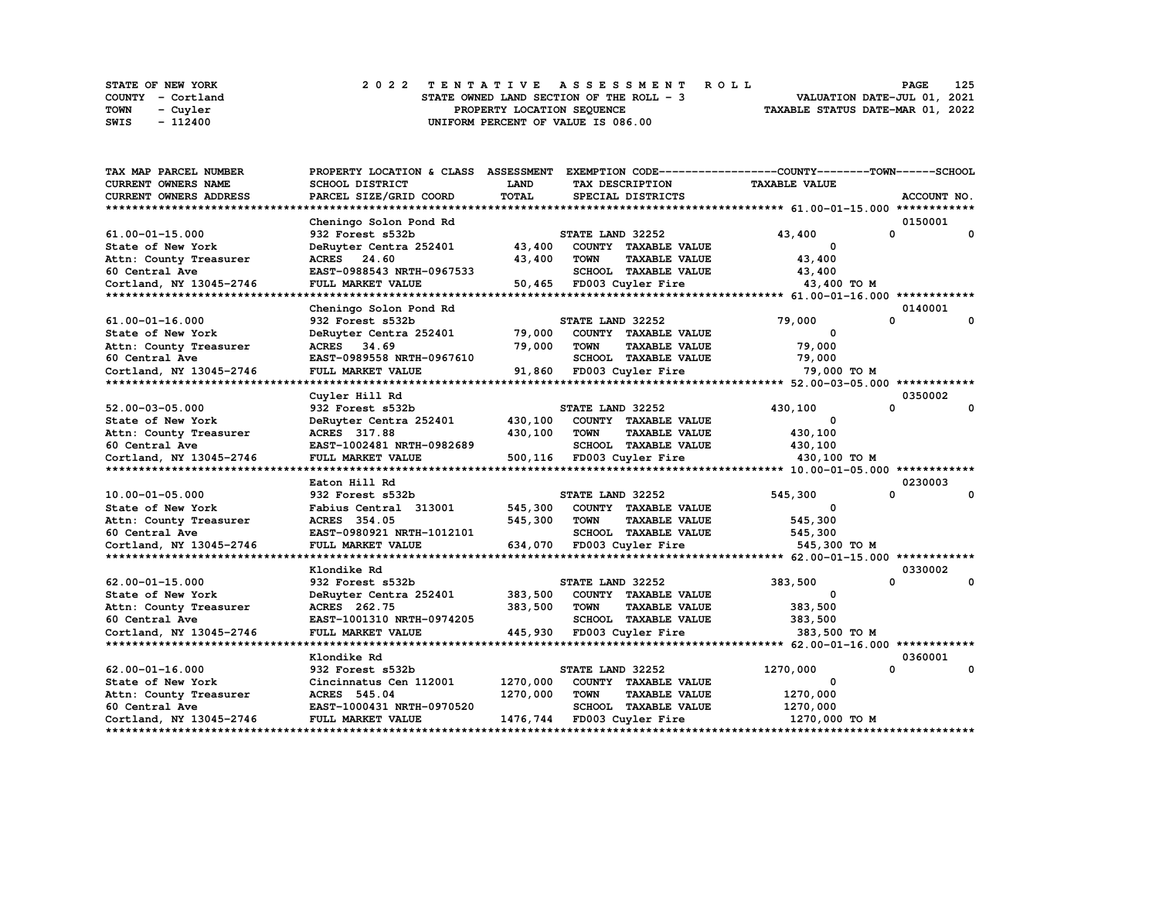|      | STATE OF NEW YORK | 2022 TENTATIVE ASSESSMENT ROLL           | 125<br>PAGE                      |
|------|-------------------|------------------------------------------|----------------------------------|
|      | COUNTY - Cortland | STATE OWNED LAND SECTION OF THE ROLL - 3 | VALUATION DATE-JUL 01, 2021      |
| TOWN | - Cuvler          | PROPERTY LOCATION SEQUENCE               | TAXABLE STATUS DATE-MAR 01, 2022 |
| SWIS | - 112400          | UNIFORM PERCENT OF VALUE IS 086.00       |                                  |

| TAX MAP PARCEL NUMBER      | PROPERTY LOCATION & CLASS ASSESSMENT |              |                  |                             | EXEMPTION CODE-----------------COUNTY-------TOWN------SCHOOL |          |             |
|----------------------------|--------------------------------------|--------------|------------------|-----------------------------|--------------------------------------------------------------|----------|-------------|
| <b>CURRENT OWNERS NAME</b> | <b>SCHOOL DISTRICT</b>               | <b>LAND</b>  |                  | TAX DESCRIPTION             | <b>TAXABLE VALUE</b>                                         |          |             |
| CURRENT OWNERS ADDRESS     | PARCEL SIZE/GRID COORD               | <b>TOTAL</b> |                  | SPECIAL DISTRICTS           |                                                              |          | ACCOUNT NO. |
| ************************** |                                      |              |                  |                             |                                                              |          |             |
|                            | Cheningo Solon Pond Rd               |              |                  |                             |                                                              |          | 0150001     |
| 61.00-01-15.000            | 932 Forest s532b                     |              | STATE LAND 32252 |                             | 43,400                                                       | 0        | 0           |
| State of New York          | DeRuyter Centra 252401               | 43,400       |                  | COUNTY TAXABLE VALUE        | 0                                                            |          |             |
| Attn: County Treasurer     | ACRES 24.60                          | 43,400       | TOWN             | <b>TAXABLE VALUE</b>        | 43,400                                                       |          |             |
| 60 Central Ave             | EAST-0988543 NRTH-0967533            |              |                  | SCHOOL TAXABLE VALUE        | 43,400                                                       |          |             |
| Cortland, NY 13045-2746    | FULL MARKET VALUE                    | 50,465       |                  | FD003 Cuyler Fire           | 43,400 TO M                                                  |          |             |
| **********************     |                                      |              |                  |                             |                                                              |          |             |
|                            | Cheningo Solon Pond Rd               |              |                  |                             |                                                              |          | 0140001     |
| 61.00-01-16.000            | 932 Forest s532b                     |              | STATE LAND 32252 |                             | 79,000                                                       | 0        | 0           |
| State of New York          | DeRuyter Centra 252401               | 79,000       |                  | COUNTY TAXABLE VALUE        | $\Omega$                                                     |          |             |
| Attn: County Treasurer     | ACRES 34.69                          | 79,000       | <b>TOWN</b>      | <b>TAXABLE VALUE</b>        | 79,000                                                       |          |             |
| 60 Central Ave             | EAST-0989558 NRTH-0967610            |              |                  | SCHOOL TAXABLE VALUE        | 79,000                                                       |          |             |
| Cortland, NY 13045-2746    | <b>FULL MARKET VALUE</b>             |              |                  | 91,860 FD003 Cuyler Fire    | 79,000 TO M                                                  |          |             |
|                            |                                      |              |                  |                             |                                                              |          |             |
|                            | Cuyler Hill Rd                       |              |                  |                             |                                                              |          | 0350002     |
| 52.00-03-05.000            | 932 Forest s532b                     |              | STATE LAND 32252 |                             | 430,100                                                      | 0        | 0           |
| State of New York          | DeRuyter Centra 252401               | 430,100      |                  | COUNTY TAXABLE VALUE        | 0                                                            |          |             |
| Attn: County Treasurer     | ACRES 317.88                         | 430,100      | <b>TOWN</b>      | <b>TAXABLE VALUE</b>        | 430,100                                                      |          |             |
| 60 Central Ave             | EAST-1002481 NRTH-0982689            |              |                  | SCHOOL TAXABLE VALUE        | 430,100                                                      |          |             |
| Cortland, NY 13045-2746    | FULL MARKET VALUE                    |              |                  | 500,116 FD003 Cuyler Fire   | 430,100 TO M                                                 |          |             |
|                            |                                      |              |                  |                             |                                                              |          |             |
|                            | Eaton Hill Rd                        |              |                  |                             |                                                              |          | 0230003     |
| 10.00-01-05.000            | 932 Forest s532b                     |              | STATE LAND 32252 |                             | 545,300                                                      | 0        | 0           |
| State of New York          | Fabius Central 313001                | 545,300      |                  | COUNTY TAXABLE VALUE        | $\mathbf{o}$                                                 |          |             |
| Attn: County Treasurer     | ACRES 354.05                         | 545,300      | TOWN             | <b>TAXABLE VALUE</b>        | 545,300                                                      |          |             |
| 60 Central Ave             | EAST-0980921 NRTH-1012101            |              |                  | <b>SCHOOL TAXABLE VALUE</b> | 545,300                                                      |          |             |
| Cortland, NY 13045-2746    | FULL MARKET VALUE                    |              |                  | 634,070 FD003 Cuyler Fire   | 545,300 TO M                                                 |          |             |
|                            |                                      |              |                  |                             |                                                              |          |             |
|                            | Klondike Rd                          |              |                  |                             |                                                              |          | 0330002     |
| $62.00 - 01 - 15.000$      | 932 Forest s532b                     |              | STATE LAND 32252 |                             | 383,500                                                      | $\Omega$ | 0           |
| State of New York          | DeRuyter Centra 252401               | 383,500      |                  | COUNTY TAXABLE VALUE        | 0                                                            |          |             |
| Attn: County Treasurer     | ACRES 262.75                         | 383,500      | <b>TOWN</b>      | <b>TAXABLE VALUE</b>        | 383,500                                                      |          |             |
| 60 Central Ave             | EAST-1001310 NRTH-0974205            |              |                  | SCHOOL TAXABLE VALUE        | 383,500                                                      |          |             |
| Cortland, NY 13045-2746    | FULL MARKET VALUE                    | 445,930      |                  | FD003 Cuyler Fire           | 383,500 TO M                                                 |          |             |
|                            |                                      |              |                  |                             |                                                              |          |             |
|                            | Klondike Rd                          |              |                  |                             |                                                              |          | 0360001     |
| $62.00 - 01 - 16.000$      | 932 Forest s532b                     |              | STATE LAND 32252 |                             | 1270,000                                                     | 0        | 0           |
| State of New York          | Cincinnatus Cen 112001               | 1270,000     |                  | COUNTY TAXABLE VALUE        | 0                                                            |          |             |
| Attn: County Treasurer     | ACRES 545.04                         | 1270,000     | <b>TOWN</b>      | <b>TAXABLE VALUE</b>        | 1270,000                                                     |          |             |
| 60 Central Ave             | EAST-1000431 NRTH-0970520            |              |                  | SCHOOL TAXABLE VALUE        | 1270,000                                                     |          |             |
| Cortland, NY 13045-2746    | FULL MARKET VALUE                    | 1476,744     |                  | FD003 Cuyler Fire           | 1270,000 TO M                                                |          |             |
|                            |                                      |              |                  |                             |                                                              |          |             |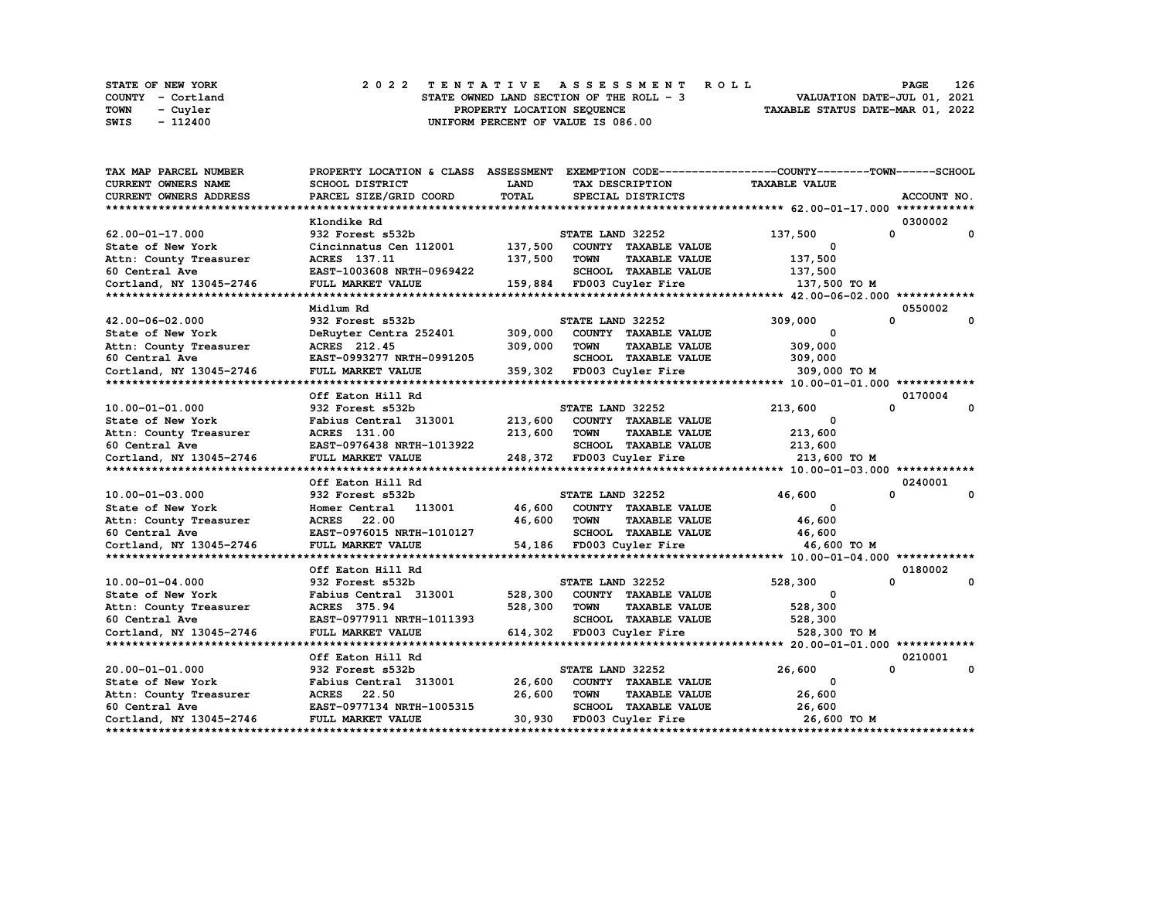| STATE OF NEW YORK | 2022 TENTATIVE ASSESSMENT ROLL           |                                  | <b>PAGE</b> | - 126 |  |
|-------------------|------------------------------------------|----------------------------------|-------------|-------|--|
| COUNTY - Cortland | STATE OWNED LAND SECTION OF THE ROLL - 3 | VALUATION DATE-JUL 01, 2021      |             |       |  |
| TOWN<br>- Cuvler  | PROPERTY LOCATION SEQUENCE               | TAXABLE STATUS DATE-MAR 01, 2022 |             |       |  |
| - 112400<br>SWIS  | UNIFORM PERCENT OF VALUE IS 086.00       |                                  |             |       |  |

| TAX MAP PARCEL NUMBER   | PROPERTY LOCATION & CLASS ASSESSMENT EXEMPTION CODE----------------COUNTY-------TOWN-----SCHOOL |              |                           |                           |                         |              |              |
|-------------------------|-------------------------------------------------------------------------------------------------|--------------|---------------------------|---------------------------|-------------------------|--------------|--------------|
| CURRENT OWNERS NAME     | <b>SCHOOL DISTRICT</b>                                                                          | <b>LAND</b>  | TAX DESCRIPTION           |                           | <b>TAXABLE VALUE</b>    |              |              |
| CURRENT OWNERS ADDRESS  | PARCEL SIZE/GRID COORD                                                                          | <b>TOTAL</b> |                           | SPECIAL DISTRICTS         |                         |              | ACCOUNT NO.  |
|                         |                                                                                                 |              |                           |                           |                         |              |              |
|                         | Klondike Rd                                                                                     |              |                           |                           |                         | 0300002      |              |
| $62.00 - 01 - 17.000$   | 932 Forest s532b                                                                                |              | STATE LAND 32252          |                           | 137,500                 | $\mathbf{0}$ | $\mathbf{0}$ |
| State of New York       | Cincinnatus Cen 112001                                                                          | 137,500      |                           | COUNTY TAXABLE VALUE      | $\mathbf{o}$            |              |              |
| Attn: County Treasurer  | ACRES 137.11                                                                                    | 137,500      | TOWN                      | <b>TAXABLE VALUE</b>      | 137,500                 |              |              |
| 60 Central Ave          | EAST-1003608 NRTH-0969422                                                                       |              |                           | SCHOOL TAXABLE VALUE      | 137,500                 |              |              |
| Cortland, NY 13045-2746 | FULL MARKET VALUE                                                                               |              | 159,884 FD003 Cuyler Fire |                           | 137,500 TO M            |              |              |
|                         |                                                                                                 |              |                           |                           |                         |              |              |
|                         | Midlum Rd                                                                                       |              |                           |                           |                         | 0550002      |              |
| 42.00-06-02.000         | 932 Forest s532b                                                                                |              | STATE LAND 32252          |                           | 309,000                 | 0            | 0            |
| State of New York       | DeRuyter Centra 252401                                                                          | 309,000      |                           | COUNTY TAXABLE VALUE      | 0                       |              |              |
| Attn: County Treasurer  | ACRES 212.45                                                                                    | 309,000      | TOWN                      | <b>TAXABLE VALUE</b>      | 309,000                 |              |              |
| 60 Central Ave          | EAST-0993277 NRTH-0991205                                                                       |              |                           | SCHOOL TAXABLE VALUE      | 309,000                 |              |              |
| Cortland, NY 13045-2746 | FULL MARKET VALUE                                                                               |              |                           | 359,302 FD003 Cuyler Fire | 309,000 TO M            |              |              |
|                         |                                                                                                 |              |                           |                           |                         |              |              |
|                         | Off Eaton Hill Rd                                                                               |              |                           |                           |                         | 0170004      |              |
| 10.00-01-01.000         | 932 Forest s532b                                                                                |              | STATE LAND 32252          |                           | 213,600                 | 0            | 0            |
| State of New York       | Fabius Central 313001                                                                           | 213,600      |                           | COUNTY TAXABLE VALUE      | 0                       |              |              |
|                         |                                                                                                 | 213,600      | <b>TOWN</b>               | <b>TAXABLE VALUE</b>      |                         |              |              |
| Attn: County Treasurer  | ACRES 131.00                                                                                    |              |                           |                           | 213,600                 |              |              |
| 60 Central Ave          | EAST-0976438 NRTH-1013922                                                                       |              |                           | SCHOOL TAXABLE VALUE      | 213,600                 |              |              |
| Cortland, NY 13045-2746 | FULL MARKET VALUE                                                                               |              |                           | 248,372 FD003 Cuyler Fire | 213,600 то м            |              |              |
|                         |                                                                                                 |              |                           |                           |                         |              |              |
|                         | Off Eaton Hill Rd                                                                               |              |                           |                           |                         | 0240001<br>0 | 0            |
| 10.00-01-03.000         | 932 Forest s532b                                                                                |              | STATE LAND 32252          |                           | 46,600                  |              |              |
| State of New York       | 113001<br>Homer Central                                                                         | 46,600       |                           | COUNTY TAXABLE VALUE      | $\mathbf{o}$            |              |              |
| Attn: County Treasurer  | <b>ACRES</b> 22.00                                                                              | 46,600       | <b>TOWN</b>               | <b>TAXABLE VALUE</b>      | 46,600                  |              |              |
| 60 Central Ave          | EAST-0976015 NRTH-1010127                                                                       |              |                           | SCHOOL TAXABLE VALUE      | 46,600                  |              |              |
| Cortland, NY 13045-2746 | FULL MARKET VALUE                                                                               |              |                           | 54,186 FD003 Cuyler Fire  | 46,600 TO M             |              |              |
|                         |                                                                                                 |              |                           |                           |                         |              |              |
|                         | Off Eaton Hill Rd                                                                               |              |                           |                           |                         | 0180002      |              |
| $10.00 - 01 - 04.000$   | 932 Forest s532b                                                                                |              | STATE LAND 32252          |                           | 528,300                 | $\mathbf{0}$ | 0            |
| State of New York       | Fabius Central 313001                                                                           | 528,300      |                           | COUNTY TAXABLE VALUE      | $\overline{\mathbf{0}}$ |              |              |
| Attn: County Treasurer  | ACRES 375.94                                                                                    | 528,300      | TOWN                      | <b>TAXABLE VALUE</b>      | 528,300                 |              |              |
| 60 Central Ave          | EAST-0977911 NRTH-1011393                                                                       |              |                           | SCHOOL TAXABLE VALUE      | 528,300                 |              |              |
| Cortland, NY 13045-2746 | FULL MARKET VALUE                                                                               |              | 614,302 FD003 Cuyler Fire |                           | 528,300 TO M            |              |              |
|                         |                                                                                                 |              |                           |                           |                         |              |              |
|                         | Off Eaton Hill Rd                                                                               |              |                           |                           |                         | 0210001      |              |
| 20.00-01-01.000         | 932 Forest s532b                                                                                |              | STATE LAND 32252          |                           | 26,600                  | 0            | 0            |
| State of New York       | Fabius Central 313001                                                                           | 26,600       |                           | COUNTY TAXABLE VALUE      | 0                       |              |              |
| Attn: County Treasurer  | ACRES 22.50                                                                                     | 26,600       | TOWN                      | <b>TAXABLE VALUE</b>      | 26,600                  |              |              |
| 60 Central Ave          | EAST-0977134 NRTH-1005315                                                                       |              |                           | SCHOOL TAXABLE VALUE      | 26,600                  |              |              |
| Cortland, NY 13045-2746 | FULL MARKET VALUE                                                                               | 30,930       |                           | FD003 Cuyler Fire         | 26,600 TO M             |              |              |
|                         |                                                                                                 |              |                           |                           |                         |              |              |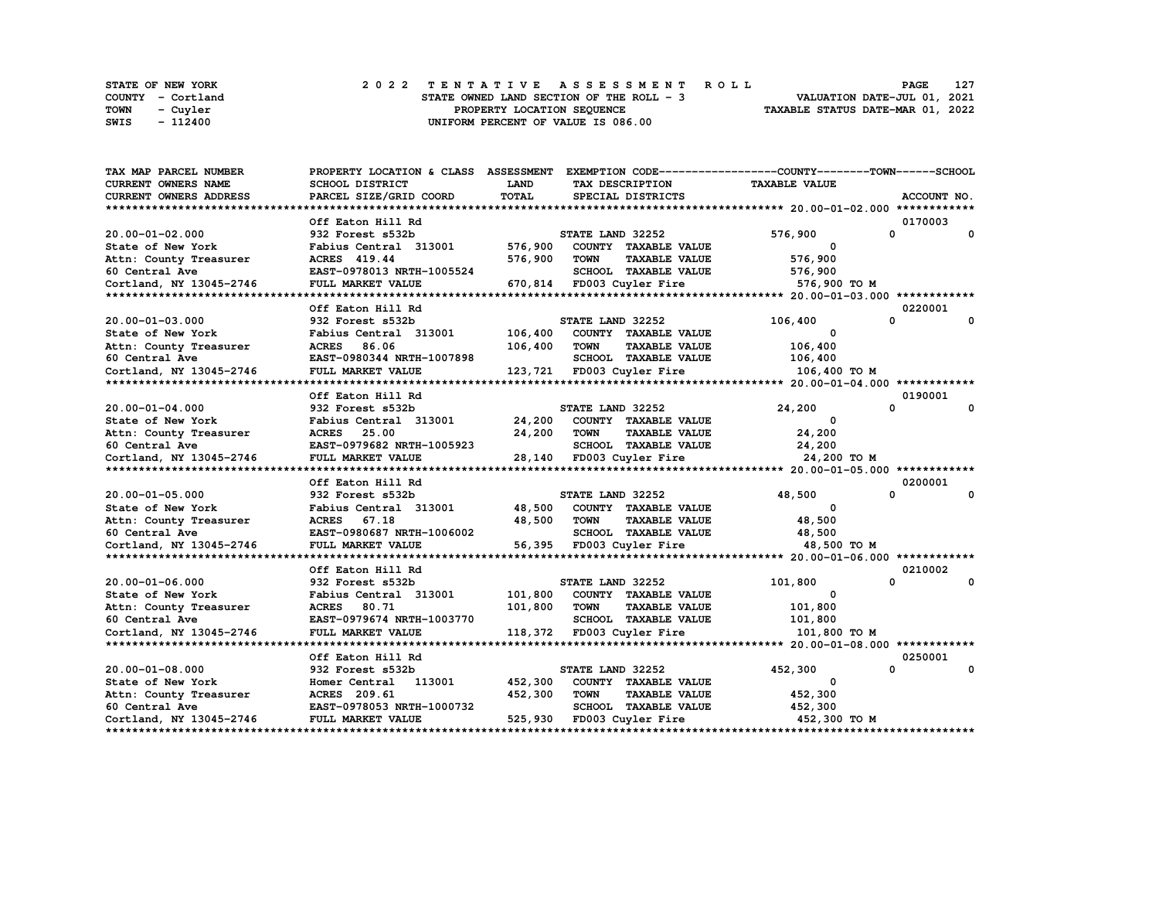|             | STATE OF NEW YORK | 2022 TENTATIVE ASSESSMENT ROLL           | 127<br><b>PAGE</b>               |
|-------------|-------------------|------------------------------------------|----------------------------------|
|             | COUNTY - Cortland | STATE OWNED LAND SECTION OF THE ROLL - 3 | VALUATION DATE-JUL 01, 2021      |
| <b>TOWN</b> | - Cuvler          | PROPERTY LOCATION SEQUENCE               | TAXABLE STATUS DATE-MAR 01, 2022 |
| SWIS        | $-112400$         | UNIFORM PERCENT OF VALUE IS 086.00       |                                  |

| TAX MAP PARCEL NUMBER   | PROPERTY LOCATION & CLASS ASSESSMENT EXEMPTION CODE-----------------COUNTY-------TOWN------SCHOOL |         |                           |                           |                      |              |              |
|-------------------------|---------------------------------------------------------------------------------------------------|---------|---------------------------|---------------------------|----------------------|--------------|--------------|
| CURRENT OWNERS NAME     | SCHOOL DISTRICT                                                                                   | LAND    | TAX DESCRIPTION           |                           | <b>TAXABLE VALUE</b> |              |              |
| CURRENT OWNERS ADDRESS  | PARCEL SIZE/GRID COORD                                                                            | TOTAL   |                           | SPECIAL DISTRICTS         |                      |              | ACCOUNT NO.  |
|                         |                                                                                                   |         |                           |                           |                      |              |              |
|                         | Off Eaton Hill Rd                                                                                 |         |                           |                           |                      | 0170003      |              |
| 20.00-01-02.000         | 932 Forest s532b                                                                                  |         | STATE LAND 32252          |                           | 576,900              | 0            | $\mathbf{o}$ |
| State of New York       | Fabius Central 313001                                                                             | 576,900 |                           | COUNTY TAXABLE VALUE      | 0                    |              |              |
| Attn: County Treasurer  | ACRES 419.44                                                                                      | 576,900 | <b>TOWN</b>               | <b>TAXABLE VALUE</b>      | 576,900              |              |              |
| 60 Central Ave          | EAST-0978013 NRTH-1005524                                                                         |         |                           | SCHOOL TAXABLE VALUE      | 576,900              |              |              |
| Cortland, NY 13045-2746 | FULL MARKET VALUE                                                                                 |         |                           | 670,814 FD003 Cuyler Fire | 576,900 TO M         |              |              |
|                         |                                                                                                   |         |                           |                           |                      |              |              |
|                         | Off Eaton Hill Rd                                                                                 |         |                           |                           |                      | 0220001      |              |
| 20.00-01-03.000         | 932 Forest s532b                                                                                  |         | STATE LAND 32252          |                           | 106,400              | 0            | 0            |
| State of New York       | Fabius Central 313001                                                                             | 106,400 |                           | COUNTY TAXABLE VALUE      | 0                    |              |              |
| Attn: County Treasurer  | ACRES 86.06                                                                                       | 106,400 | <b>TOWN</b>               | <b>TAXABLE VALUE</b>      | 106,400              |              |              |
| 60 Central Ave          | EAST-0980344 NRTH-1007898                                                                         |         |                           | SCHOOL TAXABLE VALUE      | 106,400              |              |              |
| Cortland, NY 13045-2746 | FULL MARKET VALUE                                                                                 |         |                           | 123,721 FD003 Cuyler Fire | 106,400 TO M         |              |              |
|                         |                                                                                                   |         |                           |                           |                      |              |              |
|                         | Off Eaton Hill Rd                                                                                 |         |                           |                           |                      | 0190001      |              |
| $20.00 - 01 - 04.000$   | 932 Forest s532b                                                                                  |         | STATE LAND 32252          |                           | 24,200               | $\Omega$     | 0            |
| State of New York       | Fabius Central 313001                                                                             | 24,200  |                           | COUNTY TAXABLE VALUE      | 0                    |              |              |
| Attn: County Treasurer  | ACRES 25.00                                                                                       | 24,200  | TOWN                      | <b>TAXABLE VALUE</b>      | 24,200               |              |              |
| 60 Central Ave          | EAST-0979682 NRTH-1005923                                                                         |         |                           | SCHOOL TAXABLE VALUE      | 24,200               |              |              |
| Cortland, NY 13045-2746 | FULL MARKET VALUE                                                                                 |         |                           | 28,140 FD003 Cuyler Fire  | 24,200 TO M          |              |              |
|                         |                                                                                                   |         |                           |                           |                      |              |              |
|                         | Off Eaton Hill Rd                                                                                 |         |                           |                           |                      | 0200001      |              |
| 20.00-01-05.000         | 932 Forest s532b                                                                                  |         | STATE LAND 32252          |                           | 48,500               | $\Omega$     | $\mathbf 0$  |
| State of New York       | Fabius Central 313001                                                                             | 48,500  |                           | COUNTY TAXABLE VALUE      | $^{\circ}$           |              |              |
| Attn: County Treasurer  | ACRES 67.18                                                                                       | 48,500  | <b>TOWN</b>               | <b>TAXABLE VALUE</b>      | 48,500               |              |              |
| 60 Central Ave          | EAST-0980687 NRTH-1006002                                                                         |         |                           | SCHOOL TAXABLE VALUE      | 48,500               |              |              |
| Cortland, NY 13045-2746 | FULL MARKET VALUE                                                                                 |         |                           | 56,395 FD003 Cuyler Fire  | 48,500 TO M          |              |              |
|                         |                                                                                                   |         |                           |                           |                      |              |              |
|                         | Off Eaton Hill Rd                                                                                 |         |                           |                           |                      | 0210002      |              |
| 20.00-01-06.000         | 932 Forest s532b                                                                                  |         | STATE LAND 32252          |                           | 101,800              | $\mathbf{0}$ | 0            |
| State of New York       | Fabius Central 313001                                                                             | 101,800 |                           | COUNTY TAXABLE VALUE      | 0                    |              |              |
| Attn: County Treasurer  | ACRES 80.71                                                                                       | 101,800 | TOWN                      | <b>TAXABLE VALUE</b>      | 101,800              |              |              |
| 60 Central Ave          | EAST-0979674 NRTH-1003770                                                                         |         |                           | SCHOOL TAXABLE VALUE      | 101,800              |              |              |
| Cortland, NY 13045-2746 | FULL MARKET VALUE                                                                                 |         | 118,372 FD003 Cuyler Fire |                           | 101,800 TO M         |              |              |
|                         |                                                                                                   |         |                           |                           |                      |              |              |
|                         | Off Eaton Hill Rd                                                                                 |         |                           |                           |                      | 0250001      |              |
| 20.00-01-08.000         | 932 Forest s532b                                                                                  |         | STATE LAND 32252          |                           | 452,300              | 0            | $\mathbf{o}$ |
| State of New York       | 113001<br>Homer Central                                                                           | 452,300 |                           | COUNTY TAXABLE VALUE      | 0                    |              |              |
| Attn: County Treasurer  | ACRES 209.61                                                                                      | 452,300 | <b>TOWN</b>               | <b>TAXABLE VALUE</b>      | 452,300              |              |              |
| 60 Central Ave          | EAST-0978053 NRTH-1000732                                                                         |         |                           | SCHOOL TAXABLE VALUE      | 452,300              |              |              |
| Cortland, NY 13045-2746 | FULL MARKET VALUE                                                                                 | 525,930 |                           | FD003 Cuyler Fire         | 452,300 то м         |              |              |
|                         |                                                                                                   |         |                           |                           |                      |              |              |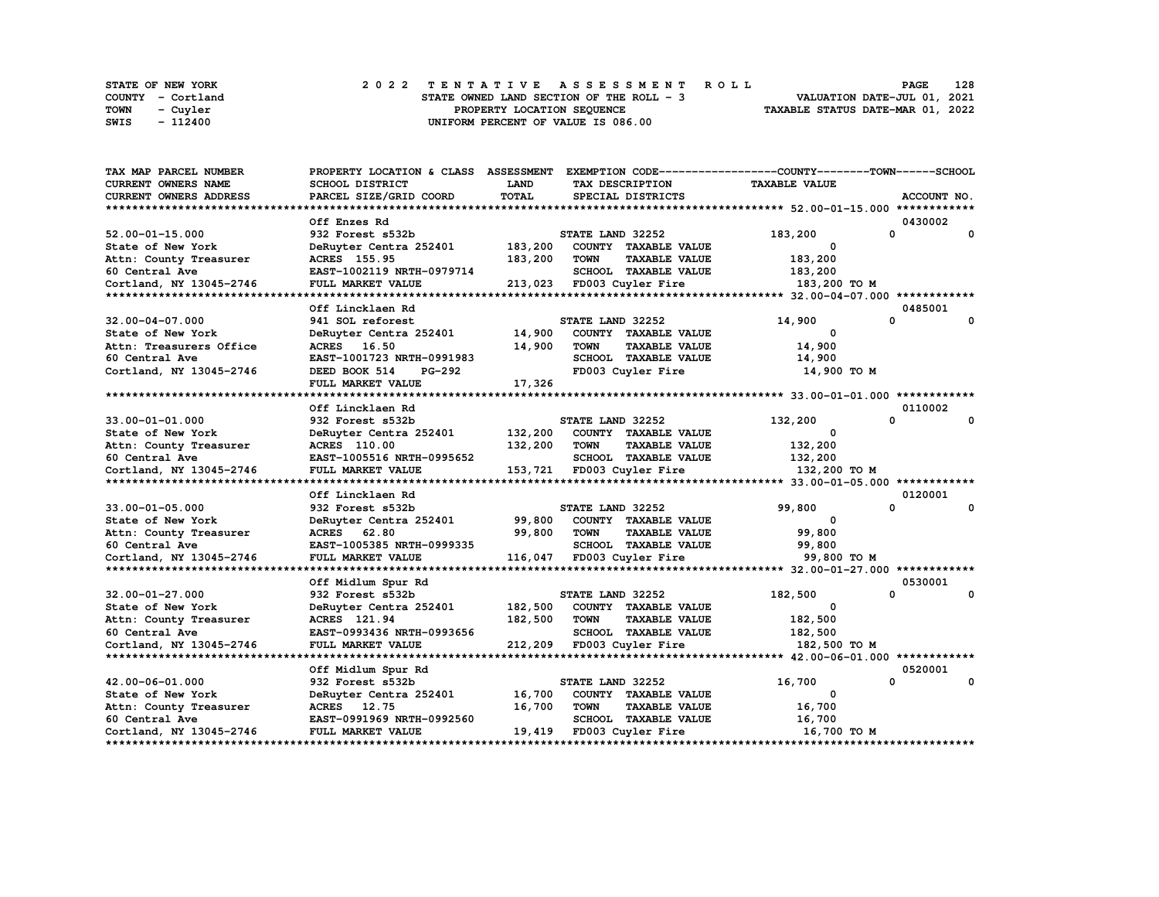|      | <b>STATE OF NEW YORK</b> |  |  |  |  |                                          |  |  |  |  | 2022 TENTATIVE ASSESSMENT ROLL |                                  | PAGE                        | 128 |
|------|--------------------------|--|--|--|--|------------------------------------------|--|--|--|--|--------------------------------|----------------------------------|-----------------------------|-----|
|      | COUNTY - Cortland        |  |  |  |  | STATE OWNED LAND SECTION OF THE ROLL - 3 |  |  |  |  |                                |                                  | VALUATION DATE-JUL 01, 2021 |     |
| TOWN | - Cuyler                 |  |  |  |  | PROPERTY LOCATION SEOUENCE               |  |  |  |  |                                | TAXABLE STATUS DATE-MAR 01, 2022 |                             |     |
| SWIS | - 112400                 |  |  |  |  | UNIFORM PERCENT OF VALUE IS 086.00       |  |  |  |  |                                |                                  |                             |     |

| TAX MAP PARCEL NUMBER      | PROPERTY LOCATION & CLASS ASSESSMENT EXEMPTION CODE----------------COUNTY-------TOWN------SCHOOL |              |                  |                                                   |                       |          |                        |
|----------------------------|--------------------------------------------------------------------------------------------------|--------------|------------------|---------------------------------------------------|-----------------------|----------|------------------------|
| <b>CURRENT OWNERS NAME</b> | <b>SCHOOL DISTRICT</b>                                                                           | <b>LAND</b>  |                  | TAX DESCRIPTION                                   | <b>TAXABLE VALUE</b>  |          |                        |
| CURRENT OWNERS ADDRESS     | PARCEL SIZE/GRID COORD                                                                           | <b>TOTAL</b> |                  | SPECIAL DISTRICTS                                 |                       |          | ACCOUNT NO.            |
|                            |                                                                                                  |              |                  |                                                   |                       |          |                        |
|                            | Off Enzes Rd                                                                                     |              |                  |                                                   |                       |          | 0430002                |
| $52.00 - 01 - 15.000$      | 932 Forest s532b                                                                                 |              | STATE LAND 32252 |                                                   | 183,200               | 0        | 0                      |
| State of New York          | DeRuyter Centra 252401                                                                           | 183,200      |                  | COUNTY TAXABLE VALUE                              | 0                     |          |                        |
| Attn: County Treasurer     | <b>ACRES</b> 155.95                                                                              | 183,200      | TOWN             | <b>TAXABLE VALUE</b>                              | 183,200               |          |                        |
| 60 Central Ave             | EAST-1002119 NRTH-0979714                                                                        |              |                  | SCHOOL TAXABLE VALUE                              | 183,200               |          |                        |
| Cortland, NY 13045-2746    | FULL MARKET VALUE                                                                                |              |                  | 213,023 FD003 Cuyler Fire                         | 183,200 TO M          |          |                        |
|                            |                                                                                                  |              |                  |                                                   |                       |          |                        |
|                            | Off Lincklaen Rd                                                                                 |              |                  |                                                   |                       |          | 0485001                |
| $32.00 - 04 - 07.000$      | 941 SOL reforest                                                                                 |              | STATE LAND 32252 |                                                   | 14,900                | 0        | 0                      |
| State of New York          | DeRuyter Centra 252401                                                                           | 14,900       |                  | COUNTY TAXABLE VALUE                              | $\mathbf{o}$          |          |                        |
| Attn: Treasurers Office    | ACRES 16.50                                                                                      | 14,900       | <b>TOWN</b>      | <b>TAXABLE VALUE</b>                              | 14,900                |          |                        |
| 60 Central Ave             | EAST-1001723 NRTH-0991983                                                                        |              |                  | SCHOOL TAXABLE VALUE                              | 14,900                |          |                        |
| Cortland, NY 13045-2746    | DEED BOOK 514<br>PG-292                                                                          |              |                  | FD003 Cuyler Fire                                 | 14,900 TO M           |          |                        |
|                            | FULL MARKET VALUE                                                                                | 17,326       |                  |                                                   |                       |          |                        |
|                            |                                                                                                  |              |                  |                                                   |                       |          |                        |
|                            | Off Lincklaen Rd                                                                                 |              |                  |                                                   |                       |          | 0110002                |
| $33.00 - 01 - 01.000$      | 932 Forest s532b                                                                                 |              | STATE LAND 32252 |                                                   | 132,200               | 0        | 0                      |
| State of New York          | DeRuyter Centra 252401                                                                           | 132,200      |                  | COUNTY TAXABLE VALUE                              | 0                     |          |                        |
| Attn: County Treasurer     | <b>ACRES</b> 110.00                                                                              | 132,200      | <b>TOWN</b>      | <b>TAXABLE VALUE</b>                              | 132,200               |          |                        |
| 60 Central Ave             | EAST-1005516 NRTH-0995652                                                                        |              |                  | SCHOOL TAXABLE VALUE                              | 132,200               |          |                        |
| Cortland, NY 13045-2746    | FULL MARKET VALUE                                                                                |              |                  | 153,721 FD003 Cuyler Fire                         | 132,200 TO M          |          |                        |
|                            |                                                                                                  |              |                  |                                                   |                       |          |                        |
|                            | Off Lincklaen Rd                                                                                 |              |                  |                                                   |                       |          | 0120001                |
| $33.00 - 01 - 05.000$      | 932 Forest s532b                                                                                 |              | STATE LAND 32252 |                                                   | 99,800                | 0        | $\mathbf{o}$           |
|                            |                                                                                                  | 99,800       |                  | COUNTY TAXABLE VALUE                              | 0                     |          |                        |
| State of New York          | DeRuyter Centra 252401<br>ACRES 62.80                                                            | 99,800       | TOWN             | <b>TAXABLE VALUE</b>                              | 99,800                |          |                        |
| Attn: County Treasurer     |                                                                                                  |              |                  |                                                   |                       |          |                        |
| 60 Central Ave             | EAST-1005385 NRTH-0999335                                                                        |              |                  | SCHOOL TAXABLE VALUE<br>116,047 FD003 Cuyler Fire | 99,800                |          |                        |
| Cortland, NY 13045-2746    | FULL MARKET VALUE                                                                                |              |                  |                                                   | 99,800 TO M           |          |                        |
|                            |                                                                                                  |              |                  |                                                   |                       |          |                        |
|                            | Off Midlum Spur Rd                                                                               |              |                  |                                                   |                       | $\Omega$ | 0530001<br>$\mathbf 0$ |
| $32.00 - 01 - 27.000$      | 932 Forest s532b                                                                                 |              | STATE LAND 32252 |                                                   | 182,500<br>$^{\circ}$ |          |                        |
| State of New York          | DeRuyter Centra 252401                                                                           | 182,500      |                  | COUNTY TAXABLE VALUE                              |                       |          |                        |
| Attn: County Treasurer     | ACRES 121.94                                                                                     | 182,500      | TOWN             | <b>TAXABLE VALUE</b>                              | 182,500               |          |                        |
| 60 Central Ave             | EAST-0993436 NRTH-0993656                                                                        |              |                  | SCHOOL TAXABLE VALUE                              | 182,500               |          |                        |
| Cortland, NY 13045-2746    | FULL MARKET VALUE                                                                                |              |                  | 212,209 FD003 Cuyler Fire                         | 182,500 TO M          |          |                        |
|                            |                                                                                                  |              |                  |                                                   |                       |          |                        |
|                            | Off Midlum Spur Rd                                                                               |              |                  |                                                   |                       | 0        | 0520001                |
| 42.00-06-01.000            | 932 Forest s532b                                                                                 |              | STATE LAND 32252 |                                                   | 16,700                |          | 0                      |
| State of New York          | DeRuyter Centra 252401                                                                           | 16,700       |                  | COUNTY TAXABLE VALUE                              | 0                     |          |                        |
| Attn: County Treasurer     | ACRES 12.75                                                                                      | 16,700       | <b>TOWN</b>      | <b>TAXABLE VALUE</b>                              | 16,700                |          |                        |
| 60 Central Ave             | EAST-0991969 NRTH-0992560                                                                        |              |                  | SCHOOL TAXABLE VALUE                              | 16,700                |          |                        |
| Cortland, NY 13045-2746    | FULL MARKET VALUE                                                                                |              |                  | 19,419 FD003 Cuyler Fire                          | 16,700 то м           |          |                        |
|                            |                                                                                                  |              |                  |                                                   |                       |          |                        |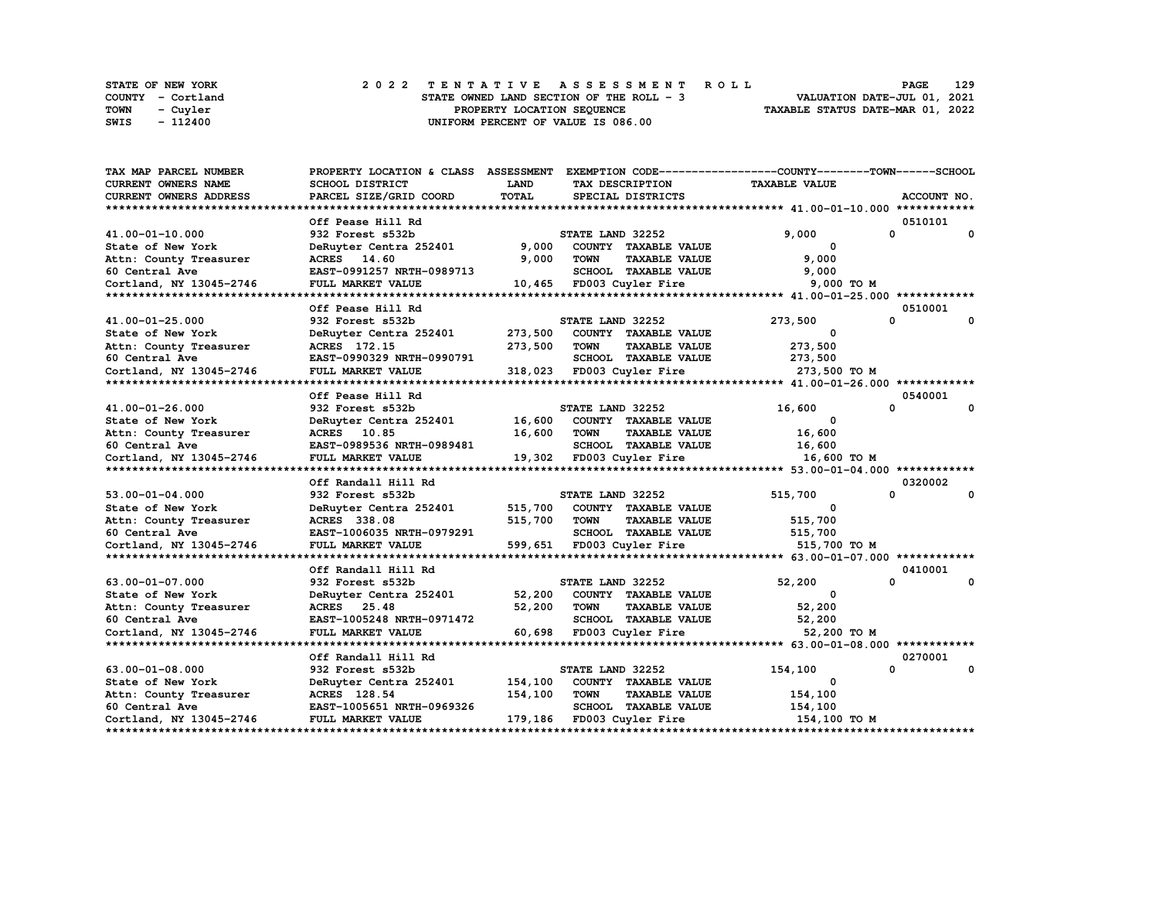|             | STATE OF NEW YORK | 2022 TENTATIVE ASSESSMENT ROLL           | 129<br><b>PAGE</b>               |
|-------------|-------------------|------------------------------------------|----------------------------------|
|             | COUNTY - Cortland | STATE OWNED LAND SECTION OF THE ROLL - 3 | VALUATION DATE-JUL 01, 2021      |
| <b>TOWN</b> | - Cuvler          | PROPERTY LOCATION SEQUENCE               | TAXABLE STATUS DATE-MAR 01, 2022 |
| SWIS        | $-112400$         | UNIFORM PERCENT OF VALUE IS 086.00       |                                  |

| TAX MAP PARCEL NUMBER      | PROPERTY LOCATION & CLASS ASSESSMENT EXEMPTION CODE----------------COUNTY-------TOWN------SCHOOL |              |                  |                           |                      |          |             |
|----------------------------|--------------------------------------------------------------------------------------------------|--------------|------------------|---------------------------|----------------------|----------|-------------|
| <b>CURRENT OWNERS NAME</b> | <b>SCHOOL DISTRICT</b>                                                                           | <b>LAND</b>  |                  | TAX DESCRIPTION           | <b>TAXABLE VALUE</b> |          |             |
| CURRENT OWNERS ADDRESS     | PARCEL SIZE/GRID COORD                                                                           | <b>TOTAL</b> |                  | SPECIAL DISTRICTS         |                      |          | ACCOUNT NO. |
|                            |                                                                                                  |              |                  |                           |                      |          |             |
|                            | Off Pease Hill Rd                                                                                |              |                  |                           |                      |          | 0510101     |
| 41.00-01-10.000            | 932 Forest s532b                                                                                 |              | STATE LAND 32252 |                           | 9,000                | 0        | 0           |
| State of New York          | DeRuyter Centra 252401                                                                           | 9,000        |                  | COUNTY TAXABLE VALUE      | 0                    |          |             |
| Attn: County Treasurer     | ACRES 14.60                                                                                      | 9,000        | TOWN             | <b>TAXABLE VALUE</b>      | 9,000                |          |             |
| 60 Central Ave             | EAST-0991257 NRTH-0989713                                                                        |              |                  | SCHOOL TAXABLE VALUE      | 9,000                |          |             |
| Cortland, NY 13045-2746    | FULL MARKET VALUE                                                                                |              |                  | 10,465 FD003 Cuyler Fire  | 9,000 TO M           |          |             |
|                            |                                                                                                  |              |                  |                           |                      |          |             |
|                            | Off Pease Hill Rd                                                                                |              |                  |                           |                      |          | 0510001     |
| 41.00-01-25.000            | 932 Forest s532b                                                                                 |              | STATE LAND 32252 |                           | 273,500              | 0        | 0           |
| State of New York          | DeRuyter Centra 252401                                                                           | 273,500      |                  | COUNTY TAXABLE VALUE      | $\Omega$             |          |             |
| Attn: County Treasurer     | ACRES 172.15                                                                                     | 273,500      | <b>TOWN</b>      | <b>TAXABLE VALUE</b>      | 273,500              |          |             |
| 60 Central Ave             | EAST-0990329 NRTH-0990791                                                                        |              |                  | SCHOOL TAXABLE VALUE      | 273,500              |          |             |
| Cortland, NY 13045-2746    | <b>FULL MARKET VALUE</b>                                                                         |              |                  | 318,023 FD003 Cuyler Fire | 273,500 TO M         |          |             |
|                            |                                                                                                  |              |                  |                           |                      |          |             |
|                            | Off Pease Hill Rd                                                                                |              |                  |                           |                      |          | 0540001     |
| 41.00-01-26.000            | 932 Forest s532b                                                                                 |              | STATE LAND 32252 |                           | 16,600               | 0        | 0           |
| State of New York          | DeRuyter Centra 252401                                                                           | 16,600       |                  | COUNTY TAXABLE VALUE      | 0                    |          |             |
| Attn: County Treasurer     | ACRES 10.85                                                                                      | 16,600       | <b>TOWN</b>      | <b>TAXABLE VALUE</b>      | 16,600               |          |             |
| 60 Central Ave             | EAST-0989536 NRTH-0989481                                                                        |              |                  | SCHOOL TAXABLE VALUE      | 16,600               |          |             |
| Cortland, NY 13045-2746    | FULL MARKET VALUE                                                                                |              |                  | 19,302 FD003 Cuyler Fire  | 16,600 то м          |          |             |
|                            |                                                                                                  |              |                  |                           |                      |          |             |
|                            | Off Randall Hill Rd                                                                              |              |                  |                           |                      |          | 0320002     |
| $53.00 - 01 - 04.000$      | 932 Forest s532b                                                                                 |              | STATE LAND 32252 |                           | 515,700              | $\Omega$ | 0           |
| State of New York          | DeRuyter Centra 252401                                                                           | 515,700      |                  | COUNTY TAXABLE VALUE      | $^{\circ}$           |          |             |
| Attn: County Treasurer     | ACRES 338.08                                                                                     | 515,700      | <b>TOWN</b>      | <b>TAXABLE VALUE</b>      | 515,700              |          |             |
| 60 Central Ave             | EAST-1006035 NRTH-0979291                                                                        |              |                  | SCHOOL TAXABLE VALUE      | 515,700              |          |             |
| Cortland, NY 13045-2746    | FULL MARKET VALUE                                                                                |              |                  | 599,651 FD003 Cuyler Fire | 515,700 TO M         |          |             |
|                            |                                                                                                  |              |                  |                           |                      |          |             |
|                            | Off Randall Hill Rd                                                                              |              |                  |                           |                      |          | 0410001     |
| 63.00-01-07.000            | 932 Forest s532b                                                                                 |              | STATE LAND 32252 |                           | 52,200               | $\Omega$ | 0           |
| State of New York          | DeRuyter Centra 252401                                                                           | 52,200       |                  | COUNTY TAXABLE VALUE      | $\mathbf{o}$         |          |             |
| Attn: County Treasurer     | ACRES 25.48                                                                                      | 52,200       | <b>TOWN</b>      | <b>TAXABLE VALUE</b>      | 52,200               |          |             |
| 60 Central Ave             | EAST-1005248 NRTH-0971472                                                                        |              |                  | SCHOOL TAXABLE VALUE      | 52,200               |          |             |
| Cortland, NY 13045-2746    | FULL MARKET VALUE                                                                                | 60,698       |                  | FD003 Cuyler Fire         | 52,200 TO M          |          |             |
|                            |                                                                                                  |              |                  |                           |                      |          |             |
|                            | Off Randall Hill Rd                                                                              |              |                  |                           |                      |          | 0270001     |
| $63.00 - 01 - 08.000$      | 932 Forest s532b                                                                                 |              | STATE LAND 32252 |                           | 154,100              | 0        | 0           |
| State of New York          | DeRuyter Centra 252401                                                                           | 154,100      |                  | COUNTY TAXABLE VALUE      | 0                    |          |             |
| Attn: County Treasurer     | ACRES 128.54                                                                                     | 154,100      | <b>TOWN</b>      | <b>TAXABLE VALUE</b>      | 154,100              |          |             |
| 60 Central Ave             | EAST-1005651 NRTH-0969326                                                                        |              |                  | SCHOOL TAXABLE VALUE      | 154,100              |          |             |
| Cortland, NY 13045-2746    | FULL MARKET VALUE                                                                                |              |                  | 179,186 FD003 Cuyler Fire | 154,100 TO M         |          |             |
|                            |                                                                                                  |              |                  |                           |                      |          |             |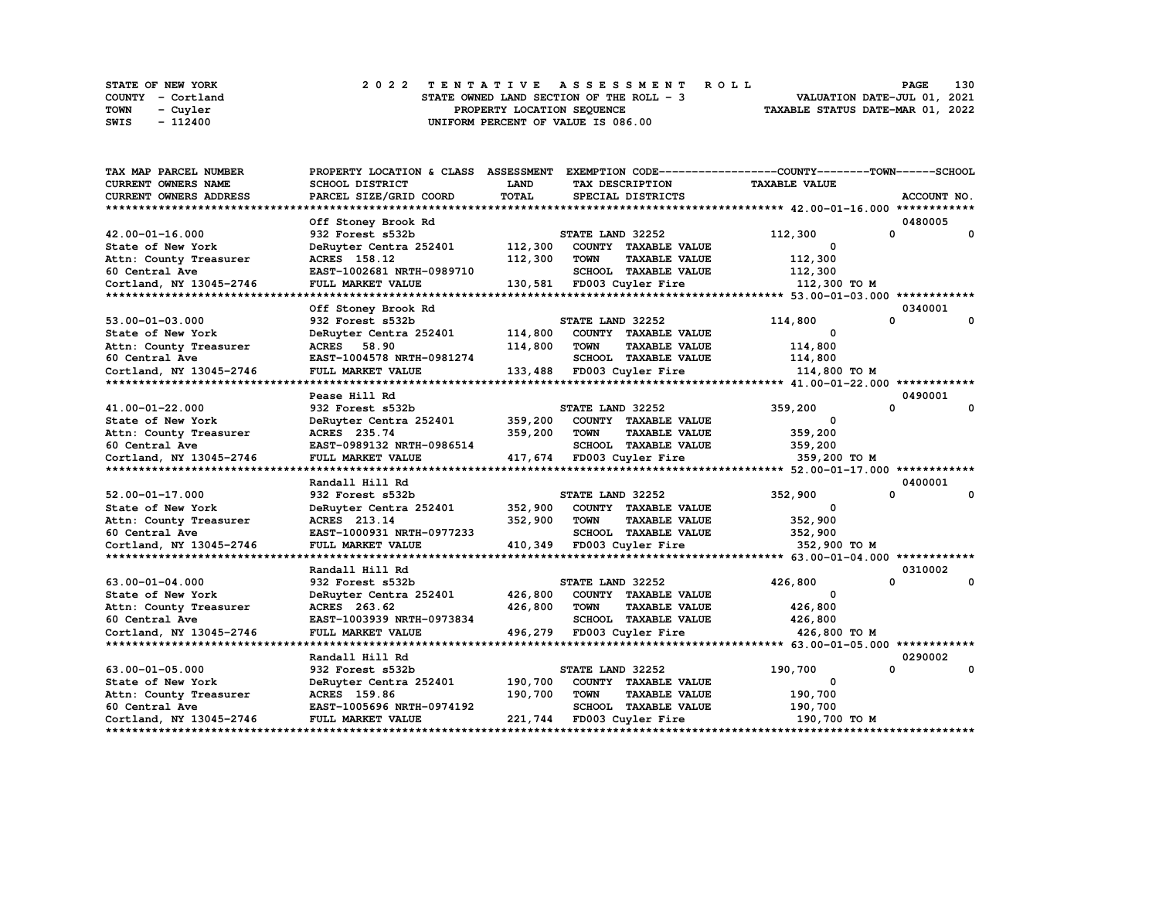|      | STATE OF NEW YORK | 2022 TENTATIVE ASSESSMENT ROLL           | 130<br><b>PAGE</b>               |
|------|-------------------|------------------------------------------|----------------------------------|
|      | COUNTY - Cortland | STATE OWNED LAND SECTION OF THE ROLL - 3 | VALUATION DATE-JUL 01, 2021      |
| TOWN | - Cuvler          | PROPERTY LOCATION SEQUENCE               | TAXABLE STATUS DATE-MAR 01, 2022 |
| SWIS | $-112400$         | UNIFORM PERCENT OF VALUE IS 086.00       |                                  |

| TAX MAP PARCEL NUMBER      | PROPERTY LOCATION & CLASS ASSESSMENT EXEMPTION CODE----------------COUNTY-------TOWN------SCHOOL |              |                                     |                             |                      |          |             |
|----------------------------|--------------------------------------------------------------------------------------------------|--------------|-------------------------------------|-----------------------------|----------------------|----------|-------------|
| <b>CURRENT OWNERS NAME</b> | <b>SCHOOL DISTRICT</b>                                                                           | <b>LAND</b>  |                                     | TAX DESCRIPTION             | <b>TAXABLE VALUE</b> |          |             |
| CURRENT OWNERS ADDRESS     | PARCEL SIZE/GRID COORD                                                                           | <b>TOTAL</b> |                                     | SPECIAL DISTRICTS           |                      |          | ACCOUNT NO. |
|                            |                                                                                                  |              |                                     |                             |                      |          |             |
|                            | Off Stoney Brook Rd                                                                              |              |                                     |                             |                      |          | 0480005     |
| 42.00-01-16.000            | 932 Forest s532b                                                                                 |              | STATE LAND 32252                    |                             | 112,300              | 0        | 0           |
| State of New York          | DeRuyter Centra 252401                                                                           | 112,300      |                                     | COUNTY TAXABLE VALUE        | 0                    |          |             |
| Attn: County Treasurer     | ACRES 158.12                                                                                     | 112,300      | <b>TOWN</b>                         | <b>TAXABLE VALUE</b>        | 112,300              |          |             |
| 60 Central Ave             | EAST-1002681 NRTH-0989710                                                                        |              |                                     | SCHOOL TAXABLE VALUE        | 112,300              |          |             |
| Cortland, NY 13045-2746    | FULL MARKET VALUE                                                                                |              |                                     | 130,581 FD003 Cuyler Fire   | 112,300 TO M         |          |             |
|                            |                                                                                                  |              |                                     |                             |                      |          |             |
|                            | Off Stoney Brook Rd                                                                              |              |                                     |                             |                      | 0340001  |             |
| $53.00 - 01 - 03.000$      | 932 Forest s532b                                                                                 |              | STATE LAND 32252                    |                             | 114,800              | 0        | 0           |
| State of New York          | DeRuyter Centra 252401                                                                           | 114,800      |                                     | COUNTY TAXABLE VALUE        | $\Omega$             |          |             |
| Attn: County Treasurer     | ACRES 58.90                                                                                      | 114,800      | <b>TOWN</b>                         | <b>TAXABLE VALUE</b>        | 114,800              |          |             |
| 60 Central Ave             | EAST-1004578 NRTH-0981274                                                                        |              |                                     | SCHOOL TAXABLE VALUE        | 114,800              |          |             |
| Cortland, NY 13045-2746    | <b>FULL MARKET VALUE</b>                                                                         |              |                                     | 133,488 FD003 Cuyler Fire   | 114,800 TO M         |          |             |
|                            |                                                                                                  |              |                                     |                             |                      |          |             |
|                            | Pease Hill Rd                                                                                    |              |                                     |                             |                      | 0490001  |             |
| 41.00-01-22.000            | 932 Forest s532b                                                                                 |              | STATE LAND 32252                    |                             | 359,200              | 0        | 0           |
| State of New York          | DeRuyter Centra 252401                                                                           | 359,200      |                                     | COUNTY TAXABLE VALUE        | 0                    |          |             |
| Attn: County Treasurer     | ACRES 235.74                                                                                     | 359,200      | <b>TOWN</b>                         | <b>TAXABLE VALUE</b>        | 359,200              |          |             |
| 60 Central Ave             | EAST-0989132 NRTH-0986514                                                                        |              |                                     | SCHOOL TAXABLE VALUE        | 359,200              |          |             |
| Cortland, NY 13045-2746    | FULL MARKET VALUE                                                                                |              |                                     | 417,674 FD003 Cuyler Fire   | 359,200 TO M         |          |             |
|                            |                                                                                                  |              |                                     |                             |                      |          |             |
|                            | Randall Hill Rd                                                                                  |              |                                     |                             |                      |          | 0400001     |
| $52.00 - 01 - 17.000$      | 932 Forest s532b                                                                                 |              | STATE LAND 32252                    |                             | 352,900              | 0        | 0           |
| State of New York          | DeRuyter Centra 252401                                                                           | 352,900      |                                     | COUNTY TAXABLE VALUE        | $^{\circ}$           |          |             |
| Attn: County Treasurer     | ACRES 213.14                                                                                     | 352,900      | <b>TOWN</b>                         | <b>TAXABLE VALUE</b>        | 352,900              |          |             |
| 60 Central Ave             | EAST-1000931 NRTH-0977233                                                                        |              |                                     | <b>SCHOOL TAXABLE VALUE</b> | 352,900              |          |             |
| Cortland, NY 13045-2746    | FULL MARKET VALUE                                                                                |              |                                     | 410,349 FD003 Cuyler Fire   | 352,900 TO M         |          |             |
|                            |                                                                                                  |              |                                     |                             |                      |          |             |
|                            | Randall Hill Rd                                                                                  |              |                                     |                             |                      |          | 0310002     |
| $63.00 - 01 - 04.000$      | 932 Forest s532b                                                                                 |              | STATE LAND 32252                    |                             | 426,800              | $\Omega$ | 0           |
| State of New York          | DeRuyter Centra 252401                                                                           | 426,800      |                                     | COUNTY TAXABLE VALUE        | $\Omega$             |          |             |
| Attn: County Treasurer     | ACRES 263.62                                                                                     | 426,800      | TOWN                                | <b>TAXABLE VALUE</b>        | 426,800              |          |             |
| 60 Central Ave             | EAST-1003939 NRTH-0973834                                                                        |              |                                     | SCHOOL TAXABLE VALUE        | 426,800              |          |             |
| Cortland, NY 13045-2746    | FULL MARKET VALUE                                                                                | 496,279      |                                     | FD003 Cuyler Fire           | 426,800 TO M         |          |             |
|                            |                                                                                                  |              |                                     |                             |                      |          |             |
|                            | Randall Hill Rd                                                                                  |              |                                     |                             |                      |          | 0290002     |
| $63.00 - 01 - 05.000$      | 932 Forest s532b                                                                                 |              | STATE LAND 32252                    |                             | 190,700              | 0        | 0           |
| State of New York          | DeRuyter Centra 252401                                                                           | 190,700      |                                     | COUNTY TAXABLE VALUE        | 0                    |          |             |
| Attn: County Treasurer     | ACRES 159.86                                                                                     | 190,700      | <b>TOWN</b><br><b>TAXABLE VALUE</b> |                             | 190,700              |          |             |
| 60 Central Ave             | EAST-1005696 NRTH-0974192                                                                        |              |                                     | SCHOOL TAXABLE VALUE        | 190,700              |          |             |
| Cortland, NY 13045-2746    | FULL MARKET VALUE                                                                                |              |                                     | 221,744 FD003 Cuyler Fire   | 190,700 то м         |          |             |
|                            |                                                                                                  |              |                                     |                             |                      |          |             |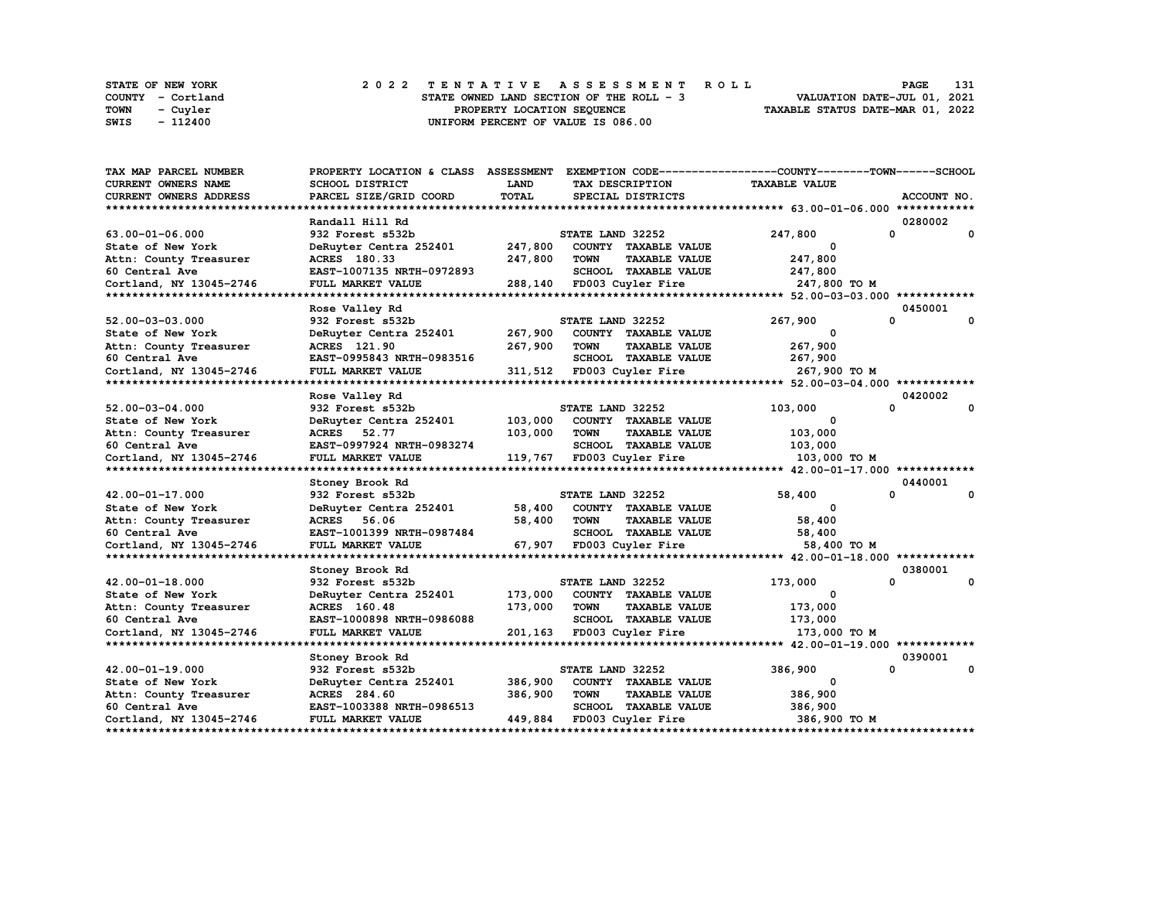|      | STATE OF NEW YORK | 2022 TENTATIVE ASSESSMENT ROLL           | 131<br><b>PAGE</b>               |
|------|-------------------|------------------------------------------|----------------------------------|
|      | COUNTY - Cortland | STATE OWNED LAND SECTION OF THE ROLL - 3 | VALUATION DATE-JUL 01, 2021      |
| TOWN | - Cuvler          | PROPERTY LOCATION SEQUENCE               | TAXABLE STATUS DATE-MAR 01, 2022 |
| SWIS | - 112400          | UNIFORM PERCENT OF VALUE IS 086.00       |                                  |

| TAX MAP PARCEL NUMBER   | PROPERTY LOCATION & CLASS ASSESSMENT |              |                  |                           | EXEMPTION CODE-----------------COUNTY-------TOWN------SCHOOL |         |             |
|-------------------------|--------------------------------------|--------------|------------------|---------------------------|--------------------------------------------------------------|---------|-------------|
| CURRENT OWNERS NAME     | SCHOOL DISTRICT                      | <b>LAND</b>  |                  | TAX DESCRIPTION           | <b>TAXABLE VALUE</b>                                         |         |             |
| CURRENT OWNERS ADDRESS  | PARCEL SIZE/GRID COORD               | <b>TOTAL</b> |                  | SPECIAL DISTRICTS         |                                                              |         | ACCOUNT NO. |
|                         |                                      |              |                  |                           |                                                              |         |             |
|                         | Randall Hill Rd                      |              |                  |                           |                                                              | 0280002 |             |
| 63.00-01-06.000         | 932 Forest s532b                     |              | STATE LAND 32252 |                           | 247,800                                                      | 0       | 0           |
| State of New York       | DeRuyter Centra 252401               | 247,800      |                  | COUNTY TAXABLE VALUE      | 0                                                            |         |             |
| Attn: County Treasurer  | ACRES 180.33                         | 247,800      | <b>TOWN</b>      | <b>TAXABLE VALUE</b>      | 247,800                                                      |         |             |
| 60 Central Ave          | EAST-1007135 NRTH-0972893            |              |                  | SCHOOL TAXABLE VALUE      | 247,800                                                      |         |             |
| Cortland, NY 13045-2746 | FULL MARKET VALUE                    | 288,140      |                  | FD003 Cuyler Fire         | 247,800 TO M                                                 |         |             |
|                         |                                      |              |                  |                           |                                                              |         |             |
|                         | Rose Valley Rd                       |              |                  |                           |                                                              | 0450001 |             |
| 52.00-03-03.000         | 932 Forest s532b                     |              | STATE LAND 32252 |                           | 267,900                                                      | 0       | 0           |
| State of New York       | DeRuyter Centra 252401               | 267,900      |                  | COUNTY TAXABLE VALUE      | $\Omega$                                                     |         |             |
| Attn: County Treasurer  | ACRES 121.90                         | 267,900      | TOWN             | <b>TAXABLE VALUE</b>      | 267,900                                                      |         |             |
| 60 Central Ave          | EAST-0995843 NRTH-0983516            |              |                  | SCHOOL TAXABLE VALUE      | 267,900                                                      |         |             |
| Cortland, NY 13045-2746 | FULL MARKET VALUE                    |              |                  | 311,512 FD003 Cuyler Fire | 267,900 ТО М                                                 |         |             |
|                         |                                      |              |                  |                           |                                                              |         |             |
|                         | Rose Valley Rd                       |              |                  |                           |                                                              | 0420002 |             |
| $52.00 - 03 - 04.000$   | 932 Forest s532b                     |              | STATE LAND 32252 |                           | 103,000                                                      | 0       | 0           |
| State of New York       | DeRuyter Centra 252401               | 103,000      |                  | COUNTY TAXABLE VALUE      | 0                                                            |         |             |
| Attn: County Treasurer  | ACRES 52.77                          | 103,000      | <b>TOWN</b>      | <b>TAXABLE VALUE</b>      | 103,000                                                      |         |             |
| 60 Central Ave          | EAST-0997924 NRTH-0983274            |              |                  | SCHOOL TAXABLE VALUE      | 103,000                                                      |         |             |
| Cortland, NY 13045-2746 | <b>FULL MARKET VALUE</b>             | 119,767      |                  | FD003 Cuyler Fire         | 103,000 TO M                                                 |         |             |
|                         |                                      |              |                  |                           |                                                              |         |             |
|                         | Stoney Brook Rd                      |              |                  |                           |                                                              | 0440001 |             |
| 42.00-01-17.000         | 932 Forest s532b                     |              | STATE LAND 32252 |                           | 58,400                                                       | 0       | 0           |
| State of New York       | DeRuyter Centra 252401               | 58,400       |                  | COUNTY TAXABLE VALUE      | $^{\circ}$                                                   |         |             |
| Attn: County Treasurer  | ACRES 56.06                          | 58,400       | <b>TOWN</b>      | <b>TAXABLE VALUE</b>      | 58,400                                                       |         |             |
| 60 Central Ave          | EAST-1001399 NRTH-0987484            |              |                  | SCHOOL TAXABLE VALUE      | 58,400                                                       |         |             |
| Cortland, NY 13045-2746 | FULL MARKET VALUE                    | 67,907       |                  | FD003 Cuyler Fire         | 58,400 TO M                                                  |         |             |
|                         |                                      |              |                  |                           |                                                              |         |             |
|                         | Stoney Brook Rd                      |              |                  |                           |                                                              | 0380001 |             |
| 42.00-01-18.000         | 932 Forest s532b                     |              | STATE LAND 32252 |                           | 173,000                                                      | 0       | 0           |
| State of New York       | DeRuyter Centra 252401               | 173,000      |                  | COUNTY TAXABLE VALUE      | 0                                                            |         |             |
| Attn: County Treasurer  | ACRES 160.48                         | 173,000      | <b>TOWN</b>      | <b>TAXABLE VALUE</b>      | 173,000                                                      |         |             |
| 60 Central Ave          | EAST-1000898 NRTH-0986088            |              |                  | SCHOOL TAXABLE VALUE      | 173,000                                                      |         |             |
| Cortland, NY 13045-2746 | FULL MARKET VALUE                    | 201,163      |                  | FD003 Cuyler Fire         | 173,000 то м                                                 |         |             |
|                         |                                      |              |                  |                           |                                                              |         |             |
|                         | Stoney Brook Rd                      |              |                  |                           |                                                              | 0390001 |             |
| 42.00-01-19.000         | 932 Forest s532b                     |              | STATE LAND 32252 |                           | 386,900                                                      | 0       | 0           |
| State of New York       | DeRuyter Centra 252401               | 386,900      |                  | COUNTY TAXABLE VALUE      | 0                                                            |         |             |
| Attn: County Treasurer  | ACRES 284.60                         | 386,900      | <b>TOWN</b>      | <b>TAXABLE VALUE</b>      | 386,900                                                      |         |             |
| 60 Central Ave          | EAST-1003388 NRTH-0986513            |              |                  | SCHOOL TAXABLE VALUE      | 386,900                                                      |         |             |
| Cortland, NY 13045-2746 | FULL MARKET VALUE                    | 449,884      |                  | FD003 Cuyler Fire         | 386,900 TO M                                                 |         |             |
|                         |                                      |              |                  |                           |                                                              |         |             |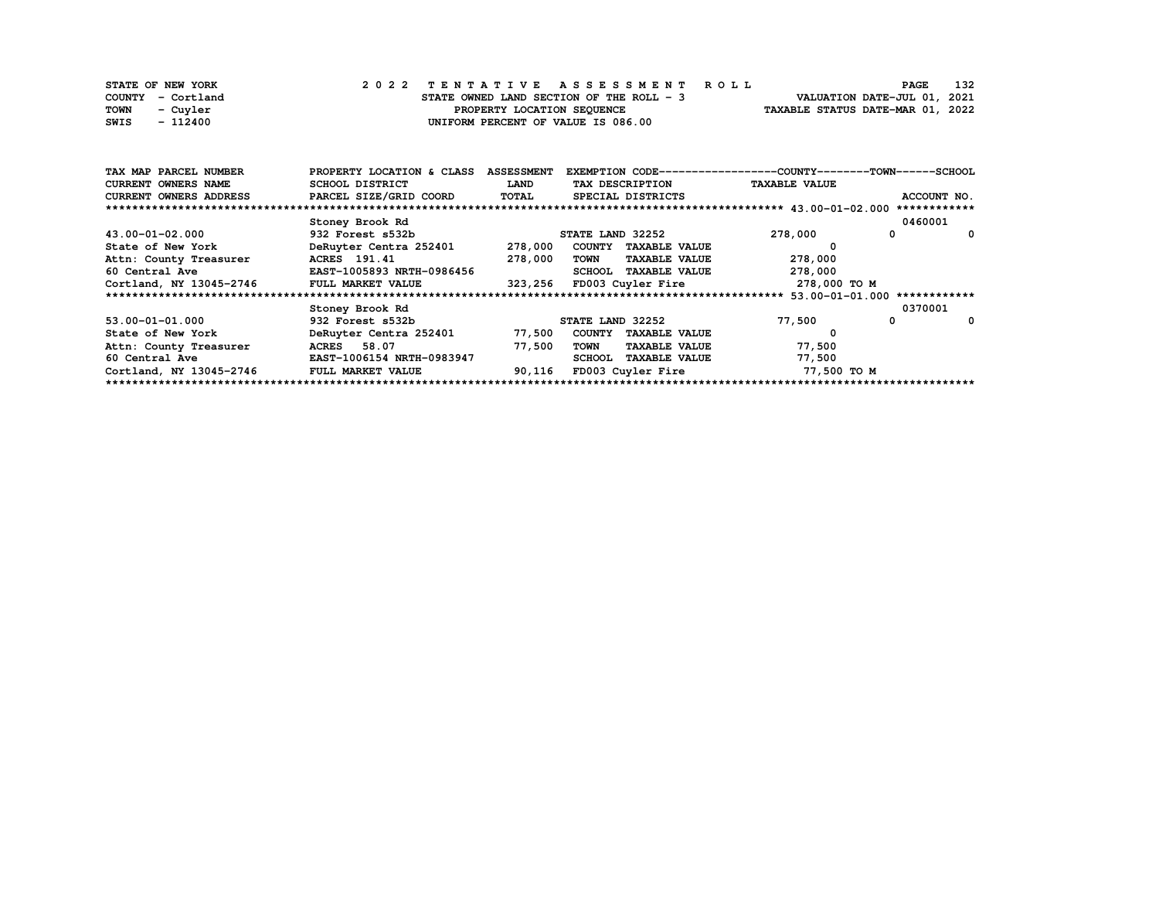| STATE OF NEW YORK       | 2022 TENTATIVE ASSESSMENT ROLL           | 132<br><b>PAGE</b>               |
|-------------------------|------------------------------------------|----------------------------------|
| COUNTY - Cortland       | STATE OWNED LAND SECTION OF THE ROLL - 3 | VALUATION DATE-JUL 01, 2021      |
| <b>TOWN</b><br>- Cuvler | PROPERTY LOCATION SEQUENCE               | TAXABLE STATUS DATE-MAR 01, 2022 |
| SWIS<br>- 112400        | UNIFORM PERCENT OF VALUE IS 086.00       |                                  |

| TAX MAP PARCEL NUMBER      | PROPERTY LOCATION & CLASS | <b>ASSESSMENT</b> | EXEMPTION CODE-----------------COUNTY-------TOWN------SCHOOL |                              |               |  |  |  |
|----------------------------|---------------------------|-------------------|--------------------------------------------------------------|------------------------------|---------------|--|--|--|
| <b>CURRENT OWNERS NAME</b> | SCHOOL DISTRICT           | LAND              | TAX DESCRIPTION                                              | <b>TAXABLE VALUE</b>         |               |  |  |  |
| CURRENT OWNERS ADDRESS     | PARCEL SIZE/GRID COORD    | TOTAL             | SPECIAL DISTRICTS                                            |                              | ACCOUNT NO.   |  |  |  |
|                            |                           |                   |                                                              |                              | ************  |  |  |  |
|                            | Stoney Brook Rd           |                   |                                                              |                              | 0460001       |  |  |  |
| 43.00-01-02.000            | 932 Forest s532b          |                   | STATE LAND 32252                                             | 278,000                      | $\Omega$<br>0 |  |  |  |
| State of New York          | DeRuyter Centra 252401    | 278,000           | COUNTY TAXABLE VALUE                                         |                              |               |  |  |  |
| Attn: County Treasurer     | ACRES 191.41              | 278,000           | <b>TAXABLE VALUE</b><br>TOWN                                 | 278,000                      |               |  |  |  |
| 60 Central Ave             | EAST-1005893 NRTH-0986456 |                   | SCHOOL TAXABLE VALUE                                         | 278,000                      |               |  |  |  |
| Cortland, NY 13045-2746    | FULL MARKET VALUE         | 323,256           | FD003 Cuyler Fire                                            | 278,000 TO M                 |               |  |  |  |
| ************************** |                           |                   |                                                              | 53.00-01-01.000 ************ |               |  |  |  |
|                            | Stoney Brook Rd           |                   |                                                              |                              | 0370001       |  |  |  |
| 53.00-01-01.000            | 932 Forest s532b          |                   | STATE LAND 32252                                             | 77,500                       | 0<br>$\Omega$ |  |  |  |
| State of New York          | DeRuyter Centra 252401    | 77,500            | COUNTY TAXABLE VALUE                                         |                              |               |  |  |  |
| Attn: County Treasurer     | ACRES 58.07               | 77,500            | TOWN<br><b>TAXABLE VALUE</b>                                 | 77,500                       |               |  |  |  |
| 60 Central Ave             | EAST-1006154 NRTH-0983947 |                   | <b>TAXABLE VALUE</b><br><b>SCHOOL</b>                        | 77,500                       |               |  |  |  |
| Cortland, NY 13045-2746    | <b>FULL MARKET VALUE</b>  | 90,116            | FD003 Cuyler Fire                                            | 77,500 TO M                  |               |  |  |  |
|                            |                           |                   |                                                              |                              |               |  |  |  |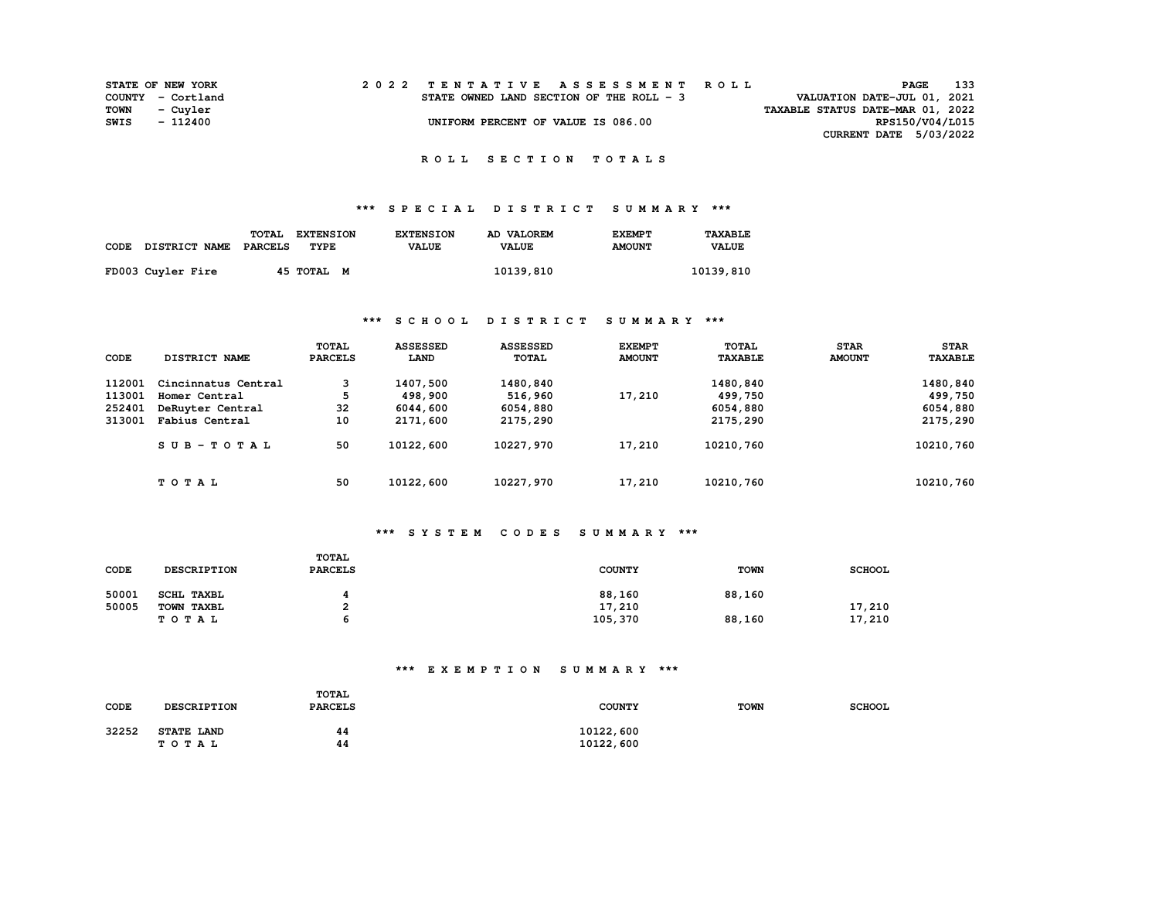|             | <b>STATE OF NEW YORK</b> | 2022 TENTATIVE ASSESSMENT ROLL           |  |  |                                  | PAGE                          | 133 |
|-------------|--------------------------|------------------------------------------|--|--|----------------------------------|-------------------------------|-----|
|             | COUNTY - Cortland        | STATE OWNED LAND SECTION OF THE ROLL - 3 |  |  | VALUATION DATE-JUL 01, 2021      |                               |     |
| <b>TOWN</b> | - Cuvler                 |                                          |  |  | TAXABLE STATUS DATE-MAR 01, 2022 |                               |     |
| SWIS        | - 112400                 | UNIFORM PERCENT OF VALUE IS 086.00       |  |  |                                  | RPS150/V04/L015               |     |
|             |                          |                                          |  |  |                                  | <b>CURRENT DATE 5/03/2022</b> |     |

## **\*\*\* S P E C I A L D I S T R I C T S U M M A R Y \*\*\***

| CODE DISTRICT NAME PARCELS | TOTAL | <b>EXTENSION</b><br>TYPE. | <b>EXTENSION</b><br><b>VALUE</b> | AD VALOREM<br><b>VALUE</b> | <b>EXEMPT</b><br><b>AMOUNT</b> | TAXABLE<br><b>VALUE</b> |
|----------------------------|-------|---------------------------|----------------------------------|----------------------------|--------------------------------|-------------------------|
| FD003 Cuyler Fire          |       | 45 TOTAL M                |                                  | 10139,810                  |                                | 10139,810               |

### **\*\*\* S C H O O L D I S T R I C T S U M M A R Y \*\*\***

| CODE   | DISTRICT NAME       | TOTAL<br><b>PARCELS</b> | <b>ASSESSED</b><br>LAND | <b>ASSESSED</b><br><b>TOTAL</b> | <b>EXEMPT</b><br><b>AMOUNT</b> | <b>TOTAL</b><br><b>TAXABLE</b> | <b>STAR</b><br><b>AMOUNT</b> | <b>STAR</b><br><b>TAXABLE</b> |
|--------|---------------------|-------------------------|-------------------------|---------------------------------|--------------------------------|--------------------------------|------------------------------|-------------------------------|
| 112001 | Cincinnatus Central | 3                       | 1407,500                | 1480,840                        |                                | 1480,840                       |                              | 1480,840                      |
| 113001 | Homer Central       | 5                       | 498,900                 | 516,960                         | 17,210                         | 499,750                        |                              | 499,750                       |
| 252401 | DeRuyter Central    | 32                      | 6044,600                | 6054,880                        |                                | 6054,880                       |                              | 6054,880                      |
| 313001 | Fabius Central      | 10                      | 2171,600                | 2175,290                        |                                | 2175,290                       |                              | 2175,290                      |
|        | $SUB - TO T AL$     | 50                      | 10122,600               | 10227,970                       | 17,210                         | 10210,760                      |                              | 10210,760                     |
|        | TOTAL               | 50                      | 10122,600               | 10227,970                       | 17,210                         | 10210,760                      |                              | 10210,760                     |

#### **\*\*\* S Y S T E M C O D E S S U M M A R Y \*\*\***

| CODE  | <b>DESCRIPTION</b> | <b>TOTAL</b><br><b>PARCELS</b> | <b>COUNTY</b> | <b>TOWN</b> | <b>SCHOOL</b> |
|-------|--------------------|--------------------------------|---------------|-------------|---------------|
| 50001 | <b>SCHL TAXBL</b>  |                                | 88,160        | 88,160      |               |
| 50005 | TOWN TAXBL         |                                | 17,210        |             | 17,210        |
|       | TOTAL              |                                | 105,370       | 88,160      | 17,210        |

# **\*\*\* E X E M P T I O N S U M M A R Y \*\*\***

| CODE  | <b>DESCRIPTION</b>         | <b>TOTAL</b><br><b>PARCELS</b> | <b>COUNTY</b>          | <b>TOWN</b> | <b>SCHOOL</b> |
|-------|----------------------------|--------------------------------|------------------------|-------------|---------------|
| 32252 | <b>STATE LAND</b><br>TOTAL | 44<br>44                       | 10122,600<br>10122,600 |             |               |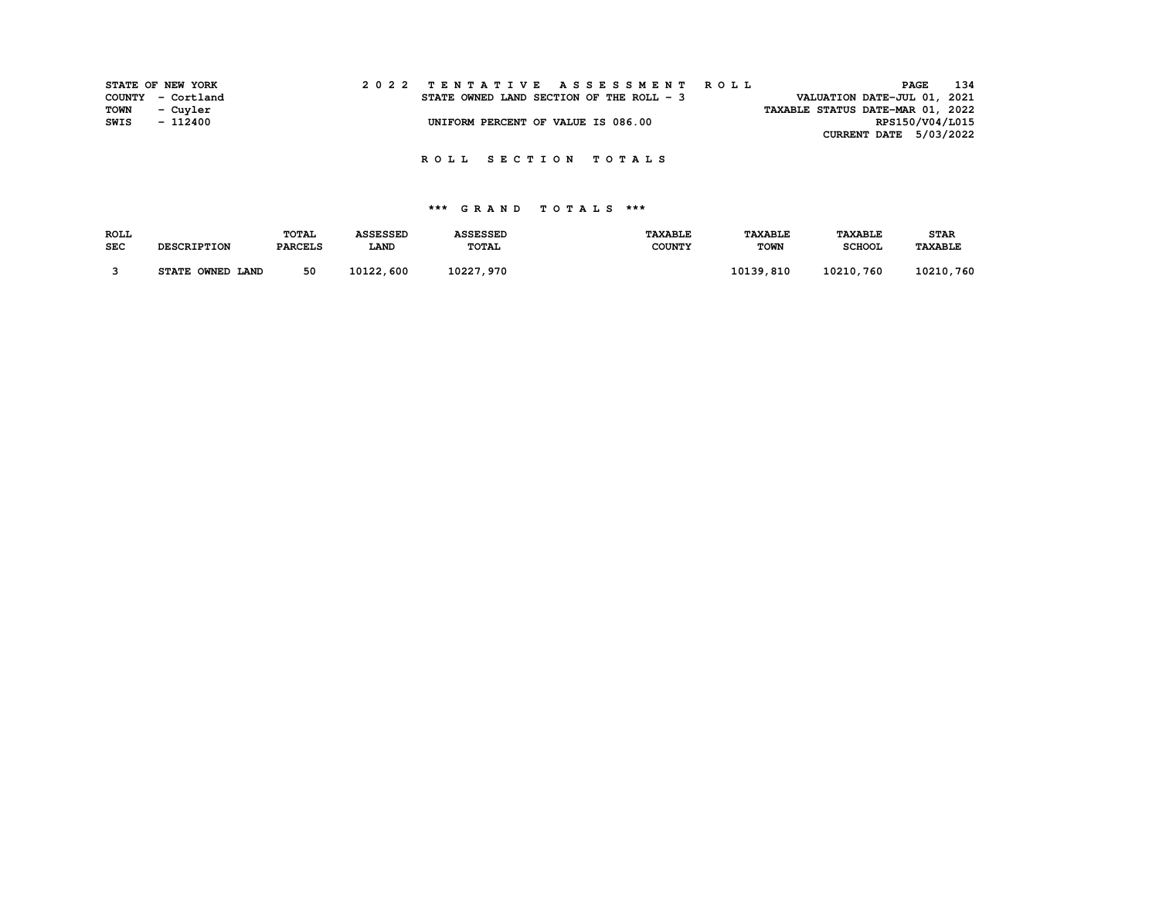|             | STATE OF NEW YORK |  |  |                                          |  |  |  |  |  |  |  |  | 2022 TENTATIVE ASSESSMENT ROLL |                                  |  | PAGE | 134             |
|-------------|-------------------|--|--|------------------------------------------|--|--|--|--|--|--|--|--|--------------------------------|----------------------------------|--|------|-----------------|
|             | COUNTY - Cortland |  |  | STATE OWNED LAND SECTION OF THE ROLL - 3 |  |  |  |  |  |  |  |  |                                | VALUATION DATE-JUL 01, 2021      |  |      |                 |
| <b>TOWN</b> | - Cuyler          |  |  |                                          |  |  |  |  |  |  |  |  |                                | TAXABLE STATUS DATE-MAR 01, 2022 |  |      |                 |
| SWIS        | - 112400          |  |  | UNIFORM PERCENT OF VALUE IS 086.00       |  |  |  |  |  |  |  |  |                                |                                  |  |      | RPS150/V04/L015 |
|             |                   |  |  |                                          |  |  |  |  |  |  |  |  |                                | CURRENT DATE 5/03/2022           |  |      |                 |

| <b>ROLL</b> |                    | <b>TOTAL</b>   | <b>ASSESSED</b> | <b>ASSESSED</b> | <b>TAXABLE</b> | <b>TAXABLE</b> | <b><i>TAXABLE</i></b> | <b>STAR</b>    |
|-------------|--------------------|----------------|-----------------|-----------------|----------------|----------------|-----------------------|----------------|
| <b>SEC</b>  | <b>DESCRIPTION</b> | <b>PARCELS</b> | <b>LAND</b>     | <b>TOTAL</b>    | <b>COUNTY</b>  | <b>TOWN</b>    | <b>SCHOOL</b>         | <b>TAXABLE</b> |
|             | STATE OWNED LAND   | 50             | 10122,600       | 10227,970       |                | 10139,810      | 10210,760             | 10210,760      |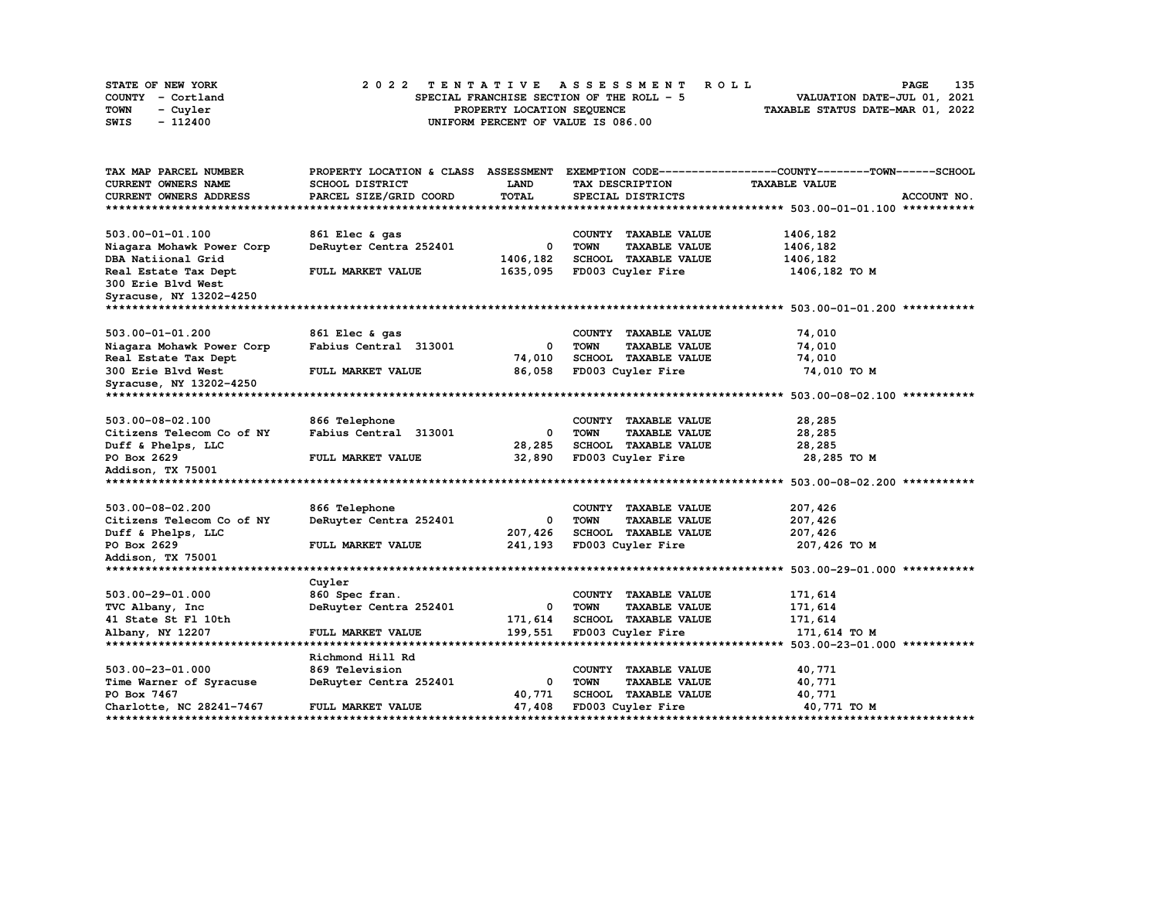| STATE OF NEW YORK | 2022 TENTATIVE ASSESSMENT ROLL            | 135<br><b>PAGE</b>               |
|-------------------|-------------------------------------------|----------------------------------|
| COUNTY - Cortland | SPECIAL FRANCHISE SECTION OF THE ROLL - 5 | VALUATION DATE-JUL 01, 2021      |
| TOWN<br>- Cuyler  | PROPERTY LOCATION SEQUENCE                | TAXABLE STATUS DATE-MAR 01, 2022 |
| - 112400<br>SWIS  | UNIFORM PERCENT OF VALUE IS 086.00        |                                  |

| TAX MAP PARCEL NUMBER             |                        |                          |                                           | PROPERTY LOCATION & CLASS ASSESSMENT EXEMPTION CODE----------------COUNTY-------TOWN-----SCHOOL |
|-----------------------------------|------------------------|--------------------------|-------------------------------------------|-------------------------------------------------------------------------------------------------|
| CURRENT OWNERS NAME               | SCHOOL DISTRICT        | <b>LAND</b>              | TAX DESCRIPTION                           | <b>TAXABLE VALUE</b>                                                                            |
| CURRENT OWNERS ADDRESS            | PARCEL SIZE/GRID COORD | TOTAL                    | SPECIAL DISTRICTS                         | ACCOUNT NO.                                                                                     |
|                                   |                        |                          |                                           |                                                                                                 |
|                                   |                        |                          |                                           |                                                                                                 |
| 503.00-01-01.100                  | 861 Elec & gas         |                          | COUNTY TAXABLE VALUE                      | 1406,182                                                                                        |
| Niagara Mohawk Power Corp         | DeRuyter Centra 252401 | 0                        | <b>TOWN</b><br><b>TAXABLE VALUE</b>       | 1406,182                                                                                        |
| DBA Natiional Grid                |                        | 1406,182                 | SCHOOL TAXABLE VALUE                      | 1406,182                                                                                        |
| Real Estate Tax Dept              | FULL MARKET VALUE      | 1635,095                 | FD003 Cuyler Fire                         | 1406,182 TO M                                                                                   |
| 300 Erie Blvd West                |                        |                          |                                           |                                                                                                 |
| Syracuse, NY 13202-4250           |                        |                          |                                           |                                                                                                 |
|                                   |                        |                          |                                           |                                                                                                 |
| 503.00-01-01.200                  | 861 Elec & gas         |                          | COUNTY TAXABLE VALUE                      | 74,010                                                                                          |
| Niagara Mohawk Power Corp         | Fabius Central 313001  | 0                        | <b>TOWN</b><br><b>TAXABLE VALUE</b>       | 74,010                                                                                          |
| Real Estate Tax Dept              |                        | 74,010                   | SCHOOL TAXABLE VALUE                      | 74,010                                                                                          |
| 300 Erie Blvd West                | FULL MARKET VALUE      | 86,058                   | FD003 Cuyler Fire                         | 74,010 TO M                                                                                     |
| Syracuse, NY 13202-4250           |                        |                          |                                           |                                                                                                 |
|                                   |                        |                          |                                           |                                                                                                 |
| 503.00-08-02.100                  | 866 Telephone          |                          | COUNTY TAXABLE VALUE                      | 28,285                                                                                          |
|                                   | Fabius Central 313001  | 0                        | <b>TOWN</b><br><b>TAXABLE VALUE</b>       | 28,285                                                                                          |
| Citizens Telecom Co of NY         |                        |                          |                                           |                                                                                                 |
| Duff & Phelps, LLC<br>PO Box 2629 | FULL MARKET VALUE      | 28,285<br>32,890         | SCHOOL TAXABLE VALUE<br>FD003 Cuyler Fire | 28,285<br>28,285 TO M                                                                           |
|                                   |                        |                          |                                           |                                                                                                 |
| Addison, TX 75001                 |                        |                          |                                           |                                                                                                 |
|                                   |                        |                          |                                           |                                                                                                 |
| 503.00-08-02.200                  | 866 Telephone          |                          | COUNTY TAXABLE VALUE                      | 207,426                                                                                         |
| Citizens Telecom Co of NY         | DeRuyter Centra 252401 | 0                        | <b>TOWN</b><br><b>TAXABLE VALUE</b>       | 207,426                                                                                         |
| Duff & Phelps, LLC                |                        | 207,426                  | SCHOOL TAXABLE VALUE                      | 207,426                                                                                         |
| PO Box 2629                       | FULL MARKET VALUE      | 241,193                  | FD003 Cuyler Fire                         | 207,426 TO M                                                                                    |
| Addison, TX 75001                 |                        |                          |                                           |                                                                                                 |
|                                   |                        |                          |                                           |                                                                                                 |
|                                   | Cuyler                 |                          |                                           |                                                                                                 |
| 503.00-29-01.000                  | 860 Spec fran.         |                          | COUNTY TAXABLE VALUE                      | 171,614                                                                                         |
| TVC Albany, Inc.                  | DeRuyter Centra 252401 | $\overline{\phantom{0}}$ | <b>TOWN</b><br><b>TAXABLE VALUE</b>       | 171,614                                                                                         |
| 41 State St Fl 10th               |                        | 171,614                  | <b>SCHOOL TAXABLE VALUE</b>               | 171,614                                                                                         |
| Albany, NY 12207                  | FULL MARKET VALUE      | 199,551                  | FD003 Cuyler Fire                         | 171,614 TO M                                                                                    |
|                                   |                        |                          |                                           |                                                                                                 |
|                                   | Richmond Hill Rd       |                          |                                           |                                                                                                 |
| 503.00-23-01.000                  | 869 Television         |                          | COUNTY TAXABLE VALUE                      | 40,771                                                                                          |
| Time Warner of Syracuse           | DeRuyter Centra 252401 | $\overline{\phantom{a}}$ | <b>TOWN</b><br><b>TAXABLE VALUE</b>       | 40,771                                                                                          |
| PO Box 7467                       |                        | 40,771                   | SCHOOL TAXABLE VALUE                      | 40,771                                                                                          |
| Charlotte, NC 28241-7467          | FULL MARKET VALUE      | 47,408                   | FD003 Cuyler Fire                         | 40,771 TO M                                                                                     |
|                                   |                        |                          |                                           |                                                                                                 |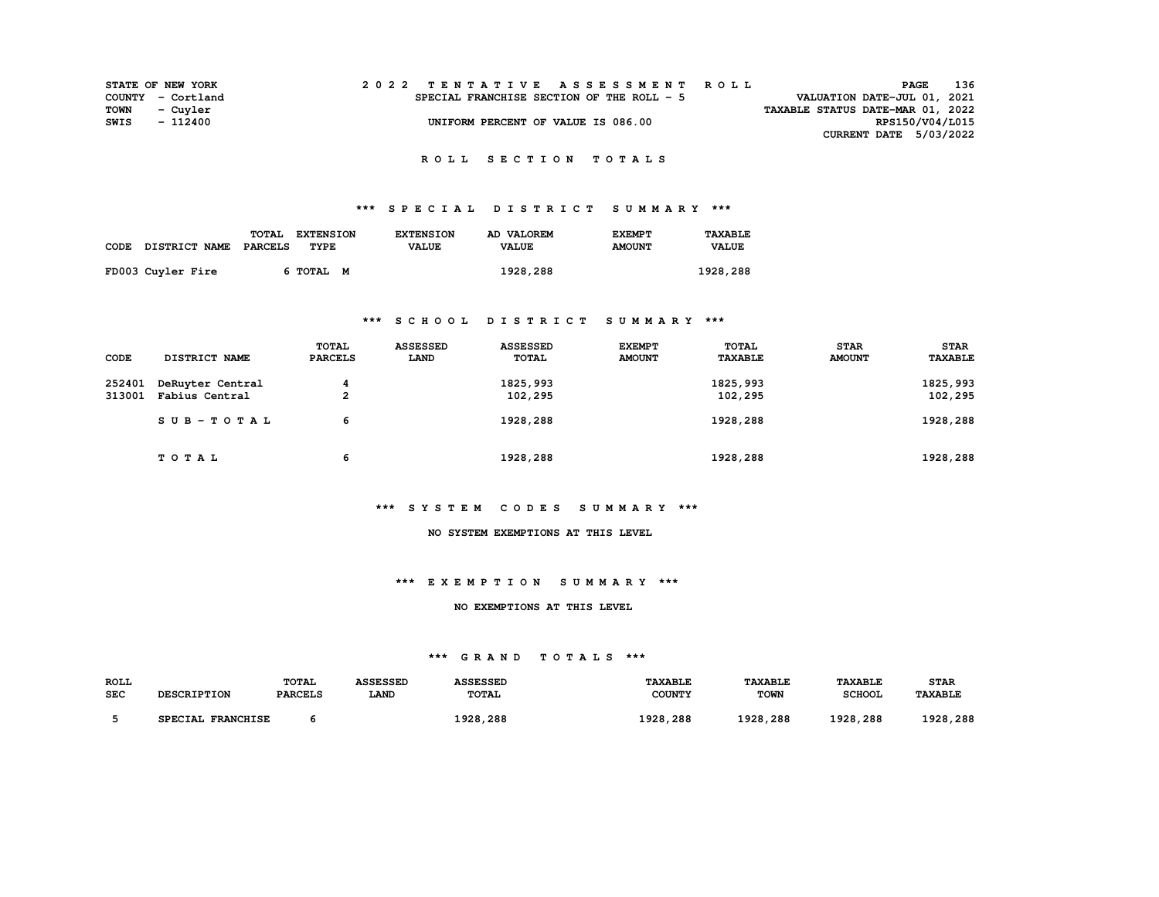|      | <b>STATE OF NEW YORK</b> | 2022 TENTATIVE ASSESSMENT ROLL            | PAGE                        | 136 |
|------|--------------------------|-------------------------------------------|-----------------------------|-----|
|      | COUNTY - Cortland        | SPECIAL FRANCHISE SECTION OF THE ROLL - 5 | VALUATION DATE-JUL 01, 2021 |     |
|      | TOWN - Cuyler            | TAXABLE STATUS DATE-MAR 01, 2022          |                             |     |
| SWIS | - 112400                 | UNIFORM PERCENT OF VALUE IS 086.00        | RPS150/V04/L015             |     |
|      |                          |                                           | CURRENT DATE 5/03/2022      |     |

# **\*\*\* S P E C I A L D I S T R I C T S U M M A R Y \*\*\***

| CODE DISTRICT NAME | TOTAL<br><b>EXTENSION</b><br>PARCELS<br>TYPE | <b>EXTENSION</b><br><b>VALUE</b> | AD VALOREM<br><b>VALUE</b> | <b>EXEMPT</b><br><b>AMOUNT</b> | TAXABLE<br><b>VALUE</b> |
|--------------------|----------------------------------------------|----------------------------------|----------------------------|--------------------------------|-------------------------|
| FD003 Cuyler Fire  | 6 TOTAL M                                    |                                  | 1928,288                   |                                | 1928,288                |

### **\*\*\* S C H O O L D I S T R I C T S U M M A R Y \*\*\***

| CODE   | DISTRICT NAME    | <b>TOTAL</b><br><b>PARCELS</b> | <b>ASSESSED</b><br>LAND | <b>ASSESSED</b><br><b>TOTAL</b> | <b>EXEMPT</b><br><b>AMOUNT</b> | <b>TOTAL</b><br><b>TAXABLE</b> | <b>STAR</b><br><b>AMOUNT</b> | <b>STAR</b><br><b>TAXABLE</b> |
|--------|------------------|--------------------------------|-------------------------|---------------------------------|--------------------------------|--------------------------------|------------------------------|-------------------------------|
| 252401 | DeRuyter Central | 4                              |                         | 1825, 993                       |                                | 1825,993                       |                              | 1825, 993                     |
| 313001 | Fabius Central   | 2                              |                         | 102,295                         |                                | 102,295                        |                              | 102,295                       |
|        | $SUB - TO T AL$  | 6                              |                         | 1928,288                        |                                | 1928,288                       |                              | 1928,288                      |
|        | TOTAL            | 6                              |                         | 1928,288                        |                                | 1928,288                       |                              | 1928,288                      |

### **\*\*\* S Y S T E M C O D E S S U M M A R Y \*\*\***

#### **NO SYSTEM EXEMPTIONS AT THIS LEVEL**

#### **\*\*\* E X E M P T I O N S U M M A R Y \*\*\***

#### **NO EXEMPTIONS AT THIS LEVEL**

| <b>ROLI</b> |                                     | <b>TOTAL</b>   | <b>\SSESSED</b> | <i><b>\SSESSED</b></i> | TAXABLE       | <b><i>TAXABLE</i></b> | <b>TAXABLE</b>  | <b>STAR</b>           |
|-------------|-------------------------------------|----------------|-----------------|------------------------|---------------|-----------------------|-----------------|-----------------------|
| SEC         | <b>DESCRIPTION</b>                  | <b>PARCELS</b> | <b>LAND</b>     | <b>TOTAL</b>           | <b>COUNTY</b> | <b>TOWN</b>           | <b>SCHOOL</b>   | <b><i>TAXABLE</i></b> |
|             |                                     |                |                 |                        |               |                       |                 |                       |
|             | <b>FRANCHISE</b><br><b>SDECTAT.</b> |                |                 | 1928,288               | 1928,288      | 1928.288              | ס רם ו<br>, 288 | ס ממי<br>288.         |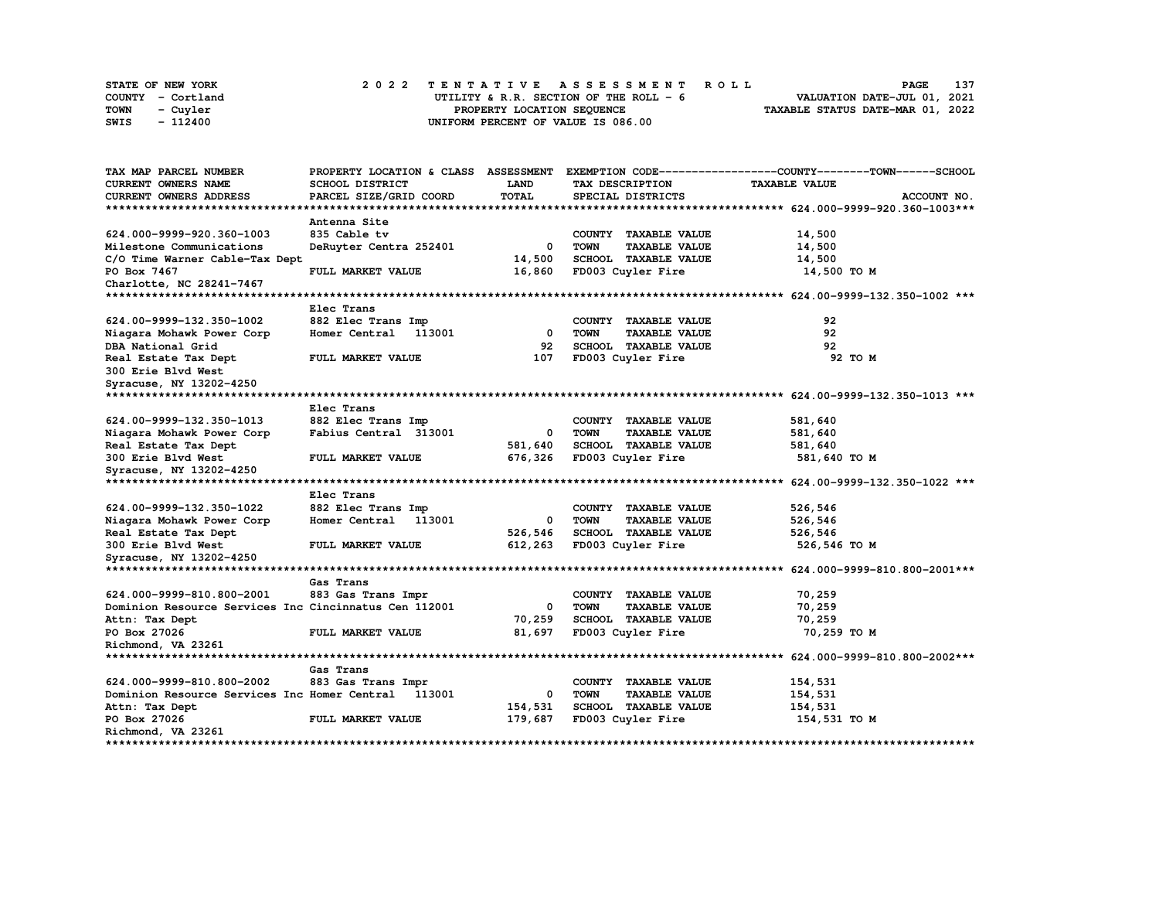| STATE OF NEW YORK | 2022 TENTATIVE ASSESSMENT ROLL          | 137<br>PAGE                      |
|-------------------|-----------------------------------------|----------------------------------|
| COUNTY - Cortland | UTILITY & R.R. SECTION OF THE ROLL $-6$ | VALUATION DATE-JUL 01, 2021      |
| TOWN<br>- Cuvler  | PROPERTY LOCATION SEOUENCE              | TAXABLE STATUS DATE-MAR 01, 2022 |
| - 112400<br>SWIS  | UNIFORM PERCENT OF VALUE IS 086.00      |                                  |

| TAX MAP PARCEL NUMBER                                 | PROPERTY LOCATION & CLASS ASSESSMENT |              |                                     | EXEMPTION CODE-----------------COUNTY-------TOWN------SCHOOL |
|-------------------------------------------------------|--------------------------------------|--------------|-------------------------------------|--------------------------------------------------------------|
| <b>CURRENT OWNERS NAME</b>                            | SCHOOL DISTRICT                      | <b>LAND</b>  | TAX DESCRIPTION                     | <b>TAXABLE VALUE</b>                                         |
| <b>CURRENT OWNERS ADDRESS</b>                         | PARCEL SIZE/GRID COORD               | <b>TOTAL</b> | SPECIAL DISTRICTS                   | ACCOUNT NO.                                                  |
| *************************                             |                                      |              |                                     |                                                              |
|                                                       | Antenna Site                         |              |                                     |                                                              |
| 624.000-9999-920.360-1003                             | 835 Cable tv                         |              | COUNTY TAXABLE VALUE                | 14,500                                                       |
| Milestone Communications                              | DeRuyter Centra 252401               | 0            | <b>TOWN</b><br><b>TAXABLE VALUE</b> | 14,500                                                       |
| C/O Time Warner Cable-Tax Dept                        |                                      | 14,500       | SCHOOL TAXABLE VALUE                | 14,500                                                       |
| PO Box 7467                                           | FULL MARKET VALUE                    | 16,860       | FD003 Cuyler Fire                   | 14,500 TO M                                                  |
| Charlotte, NC 28241-7467                              |                                      |              |                                     |                                                              |
|                                                       |                                      |              |                                     |                                                              |
|                                                       | Elec Trans                           |              |                                     |                                                              |
| 624.00-9999-132.350-1002                              | 882 Elec Trans Imp                   |              | COUNTY TAXABLE VALUE                | 92                                                           |
| Niagara Mohawk Power Corp                             | Homer Central<br>113001              | 0            | <b>TOWN</b><br><b>TAXABLE VALUE</b> | 92                                                           |
| DBA National Grid                                     |                                      | 92           | <b>SCHOOL TAXABLE VALUE</b>         | 92                                                           |
| Real Estate Tax Dept                                  | FULL MARKET VALUE                    | 107          | FD003 Cuyler Fire                   | 92 TO M                                                      |
| 300 Erie Blvd West                                    |                                      |              |                                     |                                                              |
| Syracuse, NY 13202-4250                               |                                      |              |                                     |                                                              |
|                                                       |                                      |              |                                     |                                                              |
|                                                       | Elec Trans                           |              |                                     |                                                              |
| 624.00-9999-132.350-1013                              | 882 Elec Trans Imp                   |              | COUNTY TAXABLE VALUE                | 581,640                                                      |
| Niagara Mohawk Power Corp                             | Fabius Central 313001                | 0            | <b>TOWN</b><br><b>TAXABLE VALUE</b> | 581,640                                                      |
| Real Estate Tax Dept                                  |                                      | 581,640      | <b>SCHOOL TAXABLE VALUE</b>         | 581,640                                                      |
| 300 Erie Blvd West                                    | FULL MARKET VALUE                    | 676,326      | FD003 Cuyler Fire                   | 581,640 TO M                                                 |
| Syracuse, NY 13202-4250                               |                                      |              |                                     |                                                              |
|                                                       |                                      |              |                                     |                                                              |
|                                                       | Elec Trans                           |              |                                     |                                                              |
| 624.00-9999-132.350-1022                              | 882 Elec Trans Imp                   |              | COUNTY TAXABLE VALUE                | 526,546                                                      |
| Niagara Mohawk Power Corp                             | Homer Central<br>113001              | 0            | <b>TOWN</b><br><b>TAXABLE VALUE</b> | 526,546                                                      |
| Real Estate Tax Dept                                  |                                      | 526,546      | SCHOOL TAXABLE VALUE                | 526,546                                                      |
| 300 Erie Blvd West                                    | FULL MARKET VALUE                    | 612,263      | FD003 Cuyler Fire                   | 526,546 TO M                                                 |
| Syracuse, NY 13202-4250                               |                                      |              |                                     |                                                              |
|                                                       |                                      |              |                                     |                                                              |
|                                                       | Gas Trans                            |              |                                     |                                                              |
| 624.000-9999-810.800-2001                             | 883 Gas Trans Impr                   |              | COUNTY TAXABLE VALUE                | 70,259                                                       |
| Dominion Resource Services Inc Cincinnatus Cen 112001 |                                      | 0            | <b>TOWN</b><br><b>TAXABLE VALUE</b> | 70,259                                                       |
| Attn: Tax Dept                                        |                                      | 70,259       | <b>SCHOOL TAXABLE VALUE</b>         | 70,259                                                       |
| PO Box 27026                                          | FULL MARKET VALUE                    | 81,697       | FD003 Cuyler Fire                   | 70,259 TO M                                                  |
| Richmond, VA 23261                                    |                                      |              |                                     |                                                              |
|                                                       |                                      |              |                                     |                                                              |
|                                                       | Gas Trans                            |              |                                     |                                                              |
| 624.000-9999-810.800-2002                             | 883 Gas Trans Impr                   |              | COUNTY<br><b>TAXABLE VALUE</b>      | 154,531                                                      |
| Dominion Resource Services Inc Homer Central 113001   |                                      | 0            | <b>TOWN</b><br><b>TAXABLE VALUE</b> | 154,531                                                      |
| Attn: Tax Dept                                        |                                      | 154,531      | SCHOOL TAXABLE VALUE                | 154,531                                                      |
| PO Box 27026                                          | FULL MARKET VALUE                    | 179,687      | FD003 Cuyler Fire                   | 154,531 TO M                                                 |
| Richmond, VA 23261                                    |                                      |              |                                     |                                                              |
|                                                       |                                      |              |                                     |                                                              |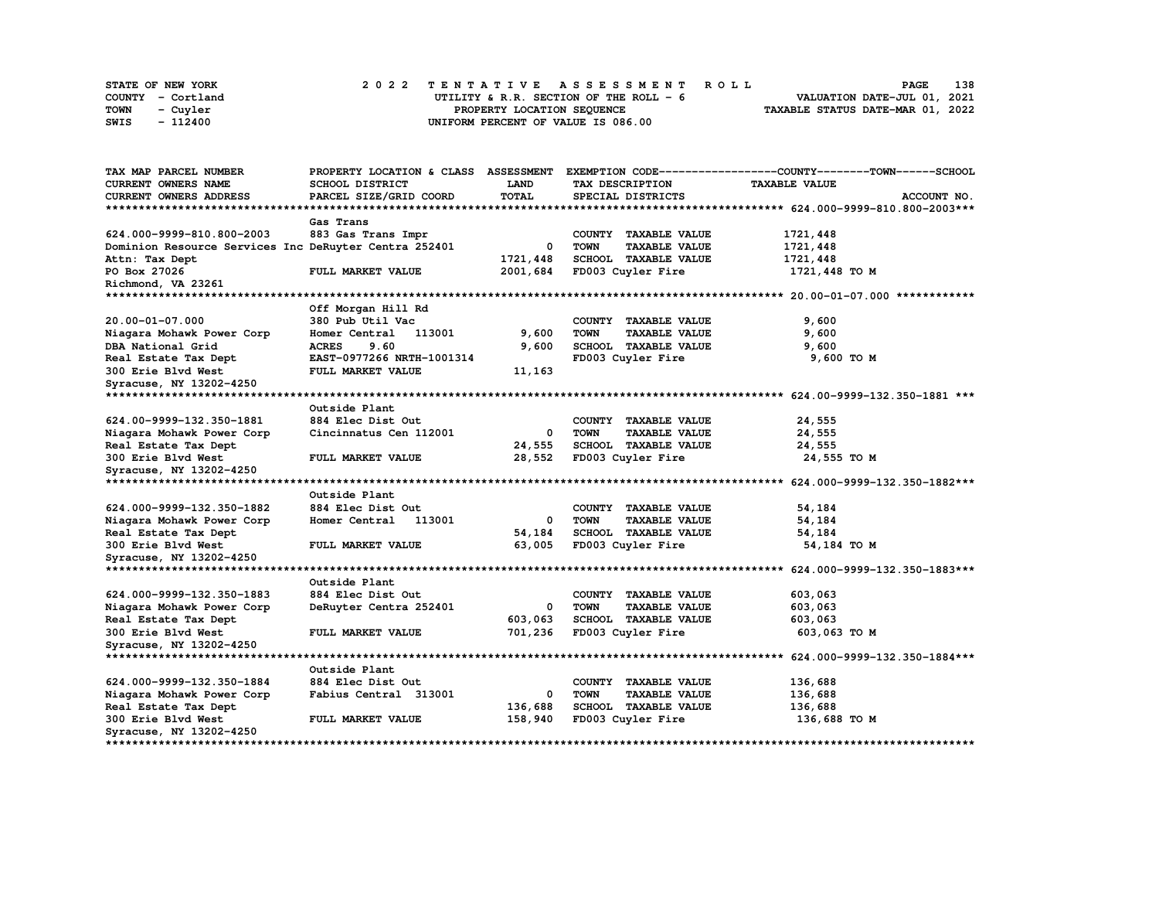| STATE OF NEW YORK |                   | 2022 TENTATIVE ASSESSMENT ROLL          | 138<br><b>PAGE</b>               |
|-------------------|-------------------|-----------------------------------------|----------------------------------|
|                   | COUNTY - Cortland | UTILITY & R.R. SECTION OF THE ROLL $-6$ | VALUATION DATE-JUL 01, 2021      |
| TOWN              | - Cuyler          | PROPERTY LOCATION SEQUENCE              | TAXABLE STATUS DATE-MAR 01, 2022 |
| SWIS              | - 112400          | UNIFORM PERCENT OF VALUE IS 086.00      |                                  |

| TAX MAP PARCEL NUMBER                                 | PROPERTY LOCATION & CLASS | <b>ASSESSMENT</b> |                                     | EXEMPTION CODE-----------------COUNTY-------TOWN------SCHOOL |
|-------------------------------------------------------|---------------------------|-------------------|-------------------------------------|--------------------------------------------------------------|
| <b>CURRENT OWNERS NAME</b>                            | SCHOOL DISTRICT           | <b>LAND</b>       | TAX DESCRIPTION                     | <b>TAXABLE VALUE</b>                                         |
| CURRENT OWNERS ADDRESS                                | PARCEL SIZE/GRID COORD    | <b>TOTAL</b>      | SPECIAL DISTRICTS                   | ACCOUNT NO.                                                  |
| **************************                            |                           |                   |                                     |                                                              |
|                                                       | Gas Trans                 |                   |                                     |                                                              |
| 624.000-9999-810.800-2003                             | 883 Gas Trans Impr        |                   | COUNTY TAXABLE VALUE                | 1721,448                                                     |
| Dominion Resource Services Inc DeRuyter Centra 252401 |                           | 0                 | <b>TOWN</b><br><b>TAXABLE VALUE</b> | 1721,448                                                     |
| Attn: Tax Dept                                        |                           | 1721,448          | SCHOOL TAXABLE VALUE                | 1721,448                                                     |
| PO Box 27026                                          | FULL MARKET VALUE         | 2001,684          | FD003 Cuyler Fire                   | 1721,448 TO M                                                |
| Richmond, VA 23261                                    |                           |                   |                                     |                                                              |
|                                                       |                           |                   |                                     |                                                              |
|                                                       | Off Morgan Hill Rd        |                   |                                     |                                                              |
| 20.00-01-07.000                                       | 380 Pub Util Vac          |                   | COUNTY TAXABLE VALUE                | 9,600                                                        |
| Niagara Mohawk Power Corp                             | Homer Central<br>113001   | 9,600             | <b>TOWN</b><br><b>TAXABLE VALUE</b> | 9,600                                                        |
| DBA National Grid                                     | <b>ACRES</b><br>9.60      | 9,600             | SCHOOL TAXABLE VALUE                | 9,600                                                        |
| Real Estate Tax Dept                                  | EAST-0977266 NRTH-1001314 |                   | FD003 Cuyler Fire                   | 9,600 TO M                                                   |
| 300 Erie Blvd West                                    | FULL MARKET VALUE         | 11,163            |                                     |                                                              |
| Syracuse, NY 13202-4250                               |                           |                   |                                     |                                                              |
|                                                       |                           |                   |                                     |                                                              |
|                                                       | Outside Plant             |                   |                                     |                                                              |
| 624.00-9999-132.350-1881                              | 884 Elec Dist Out         |                   | COUNTY TAXABLE VALUE                | 24,555                                                       |
| Niagara Mohawk Power Corp                             | Cincinnatus Cen 112001    | 0                 | <b>TOWN</b><br><b>TAXABLE VALUE</b> | 24,555                                                       |
| Real Estate Tax Dept                                  |                           | 24,555            | SCHOOL TAXABLE VALUE                | 24,555                                                       |
| 300 Erie Blvd West                                    | FULL MARKET VALUE         | 28,552            | FD003 Cuyler Fire                   | 24,555 TO M                                                  |
| Syracuse, NY 13202-4250                               |                           |                   |                                     |                                                              |
| **********************                                |                           |                   |                                     |                                                              |
|                                                       | Outside Plant             |                   |                                     |                                                              |
| 624.000-9999-132.350-1882                             | 884 Elec Dist Out         |                   | COUNTY TAXABLE VALUE                | 54,184                                                       |
| Niagara Mohawk Power Corp                             | Homer Central<br>113001   | 0                 | <b>TOWN</b><br><b>TAXABLE VALUE</b> | 54,184                                                       |
| Real Estate Tax Dept                                  |                           | 54,184            | SCHOOL TAXABLE VALUE                | 54,184                                                       |
| 300 Erie Blvd West                                    | FULL MARKET VALUE         | 63,005            | FD003 Cuyler Fire                   | 54,184 TO M                                                  |
| Syracuse, NY 13202-4250                               |                           |                   |                                     |                                                              |
|                                                       |                           |                   |                                     |                                                              |
|                                                       | Outside Plant             |                   |                                     |                                                              |
| 624.000-9999-132.350-1883                             | 884 Elec Dist Out         |                   | COUNTY TAXABLE VALUE                | 603,063                                                      |
| Niagara Mohawk Power Corp                             | DeRuyter Centra 252401    | 0                 | <b>TOWN</b><br><b>TAXABLE VALUE</b> | 603,063                                                      |
| Real Estate Tax Dept                                  |                           | 603,063           | SCHOOL TAXABLE VALUE                | 603,063                                                      |
| 300 Erie Blvd West                                    | FULL MARKET VALUE         | 701,236           | FD003 Cuyler Fire                   | 603,063 TO M                                                 |
| Syracuse, NY 13202-4250                               |                           |                   |                                     |                                                              |
|                                                       |                           |                   |                                     |                                                              |
|                                                       | Outside Plant             |                   |                                     |                                                              |
| 624.000-9999-132.350-1884                             | 884 Elec Dist Out         |                   | COUNTY TAXABLE VALUE                | 136,688                                                      |
| Niagara Mohawk Power Corp                             | Fabius Central 313001     | 0                 | <b>TOWN</b><br><b>TAXABLE VALUE</b> | 136,688                                                      |
| Real Estate Tax Dept                                  |                           | 136,688           | SCHOOL TAXABLE VALUE                | 136,688                                                      |
| 300 Erie Blvd West                                    | FULL MARKET VALUE         | 158,940           | FD003 Cuyler Fire                   | 136,688 TO M                                                 |
| Syracuse, NY 13202-4250                               |                           |                   |                                     |                                                              |
|                                                       |                           |                   |                                     |                                                              |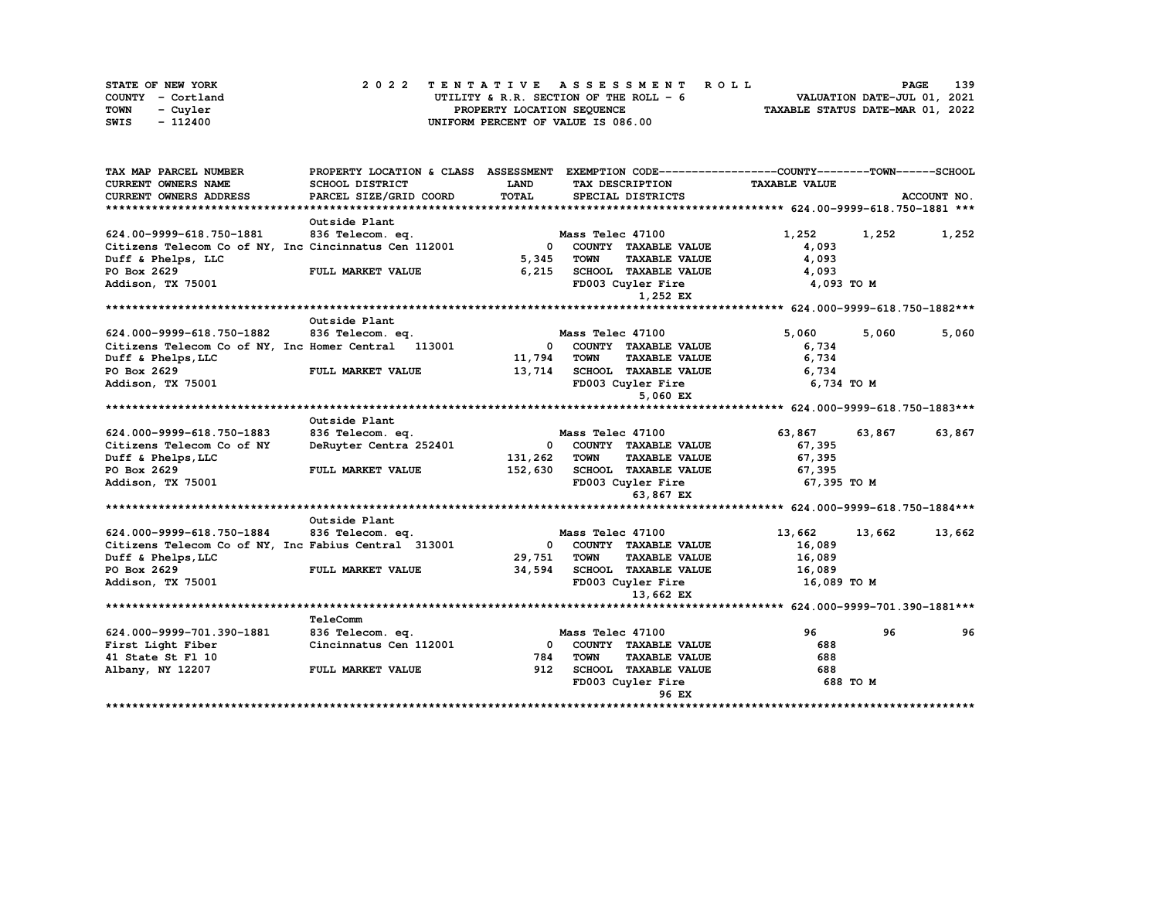|      | STATE OF NEW YORK |  | 2022 TENTATIVE ASSESSMENT ROLL |  |  |  |                                        |  |  |  |  |  |  |                                  | <b>PAGE</b> | 139 |
|------|-------------------|--|--------------------------------|--|--|--|----------------------------------------|--|--|--|--|--|--|----------------------------------|-------------|-----|
|      | COUNTY - Cortland |  |                                |  |  |  | UTILITY & R.R. SECTION OF THE ROLL - 6 |  |  |  |  |  |  | VALUATION DATE-JUL 01, 2021      |             |     |
| TOWN | - Cuvler          |  |                                |  |  |  | PROPERTY LOCATION SEQUENCE             |  |  |  |  |  |  | TAXABLE STATUS DATE-MAR 01, 2022 |             |     |
| SWIS | - 112400          |  |                                |  |  |  | UNIFORM PERCENT OF VALUE IS 086.00     |  |  |  |  |  |  |                                  |             |     |

| TAX MAP PARCEL NUMBER                                 | PROPERTY LOCATION & CLASS | <b>ASSESSMENT</b> |                   |                             | EXEMPTION CODE-----------------COUNTY-------TOWN------SCHOOL |        |             |
|-------------------------------------------------------|---------------------------|-------------------|-------------------|-----------------------------|--------------------------------------------------------------|--------|-------------|
| <b>CURRENT OWNERS NAME</b>                            | SCHOOL DISTRICT           | LAND              | TAX DESCRIPTION   |                             | <b>TAXABLE VALUE</b>                                         |        |             |
| CURRENT OWNERS ADDRESS                                | PARCEL SIZE/GRID COORD    | <b>TOTAL</b>      | SPECIAL DISTRICTS |                             |                                                              |        | ACCOUNT NO. |
|                                                       |                           |                   |                   |                             |                                                              |        |             |
|                                                       | Outside Plant             |                   |                   |                             |                                                              |        |             |
| 624.00-9999-618.750-1881                              | 836 Telecom. eq.          |                   | Mass Telec 47100  |                             | 1,252                                                        | 1,252  | 1,252       |
| Citizens Telecom Co of NY, Inc Cincinnatus Cen 112001 |                           | 0                 |                   | COUNTY TAXABLE VALUE        | 4,093                                                        |        |             |
| Duff & Phelps, LLC                                    |                           | 5,345             | <b>TOWN</b>       | <b>TAXABLE VALUE</b>        | 4,093                                                        |        |             |
| PO Box 2629                                           | FULL MARKET VALUE         | 6,215             |                   | <b>SCHOOL TAXABLE VALUE</b> | 4,093                                                        |        |             |
| Addison, TX 75001                                     |                           |                   | FD003 Cuyler Fire |                             | 4,093 TO M                                                   |        |             |
|                                                       |                           |                   |                   | 1,252 EX                    |                                                              |        |             |
|                                                       |                           |                   |                   |                             |                                                              |        |             |
|                                                       | Outside Plant             |                   |                   |                             |                                                              |        |             |
| 624.000-9999-618.750-1882                             | 836 Telecom. eq.          |                   | Mass Telec 47100  |                             | 5,060                                                        | 5,060  | 5,060       |
| Citizens Telecom Co of NY, Inc Homer Central 113001   |                           | 0                 |                   | COUNTY TAXABLE VALUE        | 6,734                                                        |        |             |
| Duff & Phelps, LLC                                    |                           | 11,794            | <b>TOWN</b>       | <b>TAXABLE VALUE</b>        | 6,734                                                        |        |             |
| PO Box 2629                                           | FULL MARKET VALUE         | 13,714            |                   | <b>SCHOOL TAXABLE VALUE</b> | 6,734                                                        |        |             |
| Addison, TX 75001                                     |                           |                   | FD003 Cuyler Fire |                             | 6,734 TO M                                                   |        |             |
|                                                       |                           |                   |                   | 5,060 EX                    |                                                              |        |             |
|                                                       |                           |                   |                   |                             |                                                              |        |             |
|                                                       | Outside Plant             |                   |                   |                             |                                                              |        |             |
| 624.000-9999-618.750-1883                             | 836 Telecom. eq.          |                   | Mass Telec 47100  |                             | 63,867                                                       | 63,867 | 63,867      |
| Citizens Telecom Co of NY                             | DeRuyter Centra 252401    | <sup>0</sup>      |                   | COUNTY TAXABLE VALUE        | 67,395                                                       |        |             |
| Duff & Phelps, LLC                                    |                           | 131,262           | <b>TOWN</b>       | <b>TAXABLE VALUE</b>        | 67,395                                                       |        |             |
| PO Box 2629                                           | FULL MARKET VALUE         | 152,630           |                   | SCHOOL TAXABLE VALUE        | 67,395                                                       |        |             |
| Addison, TX 75001                                     |                           |                   | FD003 Cuyler Fire |                             | 67,395 TO M                                                  |        |             |
|                                                       |                           |                   |                   | 63,867 EX                   |                                                              |        |             |
|                                                       |                           |                   |                   |                             |                                                              |        |             |
|                                                       | Outside Plant             |                   |                   |                             |                                                              |        |             |
| 624.000-9999-618.750-1884                             | 836 Telecom. eq.          |                   | Mass Telec 47100  |                             | 13,662                                                       | 13,662 | 13,662      |
| Citizens Telecom Co of NY, Inc Fabius Central 313001  |                           | $\Omega$          |                   | COUNTY TAXABLE VALUE        | 16,089                                                       |        |             |
| Duff & Phelps, LLC                                    |                           | 29,751            | TOWN              | <b>TAXABLE VALUE</b>        | 16,089                                                       |        |             |
| PO Box 2629                                           | FULL MARKET VALUE         | 34,594            |                   | SCHOOL TAXABLE VALUE        | 16,089                                                       |        |             |
| Addison, TX 75001                                     |                           |                   | FD003 Cuyler Fire |                             | 16,089 TO M                                                  |        |             |
|                                                       |                           |                   |                   | 13,662 EX                   |                                                              |        |             |
|                                                       |                           |                   |                   |                             |                                                              |        |             |
|                                                       | TeleComm                  |                   |                   |                             |                                                              |        |             |
| 624.000-9999-701.390-1881                             | 836 Telecom. eq.          |                   | Mass Telec 47100  |                             | 96                                                           | 96     | 96          |
| First Light Fiber                                     | Cincinnatus Cen 112001    | $\mathbf{0}$      |                   | COUNTY TAXABLE VALUE        | 688                                                          |        |             |
| 41 State St Fl 10                                     |                           | 784               | <b>TOWN</b>       | <b>TAXABLE VALUE</b>        | 688                                                          |        |             |
| Albany, NY 12207                                      | FULL MARKET VALUE         | 912               |                   | SCHOOL TAXABLE VALUE        | 688                                                          |        |             |
|                                                       |                           |                   | FD003 Cuyler Fire |                             | 688 TO M                                                     |        |             |
|                                                       |                           |                   |                   | 96 EX                       |                                                              |        |             |
|                                                       |                           |                   |                   |                             |                                                              |        |             |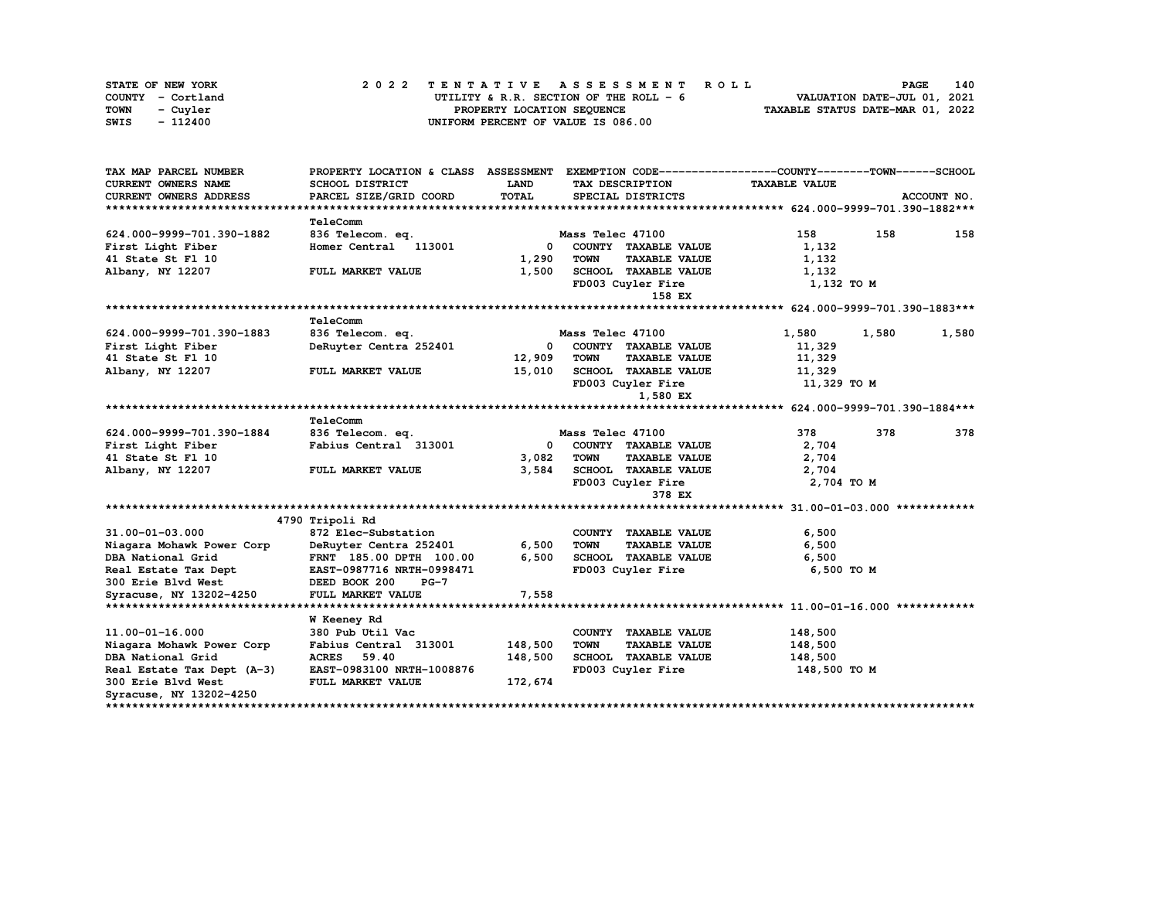| STATE OF NEW YORK | 2022 TENTATIVE ASSESSMENT ROLL          | 140<br><b>PAGE</b>               |
|-------------------|-----------------------------------------|----------------------------------|
| COUNTY - Cortland | UTILITY & R.R. SECTION OF THE ROLL $-6$ | VALUATION DATE-JUL 01, 2021      |
| TOWN<br>- Cuvler  | PROPERTY LOCATION SEQUENCE              | TAXABLE STATUS DATE-MAR 01, 2022 |
| - 112400<br>SWIS  | UNIFORM PERCENT OF VALUE IS 086.00      |                                  |

| TAX MAP PARCEL NUMBER                          | PROPERTY LOCATION & CLASS ASSESSMENT EXEMPTION CODE----------------COUNTY-------TOWN-----SCHOOL |                |                  |                                              |                      |       |             |
|------------------------------------------------|-------------------------------------------------------------------------------------------------|----------------|------------------|----------------------------------------------|----------------------|-------|-------------|
| <b>CURRENT OWNERS NAME</b>                     | SCHOOL DISTRICT                                                                                 | LAND           | TAX DESCRIPTION  |                                              | <b>TAXABLE VALUE</b> |       |             |
| CURRENT OWNERS ADDRESS                         | PARCEL SIZE/GRID COORD                                                                          | <b>TOTAL</b>   |                  | SPECIAL DISTRICTS                            |                      |       | ACCOUNT NO. |
|                                                |                                                                                                 |                |                  |                                              |                      |       |             |
|                                                | TeleComm                                                                                        |                |                  |                                              |                      |       |             |
| 624.000-9999-701.390-1882                      | 836 Telecom. eq.                                                                                |                | Mass Telec 47100 |                                              | 158                  | 158   | 158         |
| First Light Fiber                              | Homer Central 113001                                                                            | $\mathbf{0}$   |                  | COUNTY TAXABLE VALUE                         | 1,132                |       |             |
| 41 State St Fl 10                              |                                                                                                 | 1,290          | <b>TOWN</b>      | <b>TAXABLE VALUE</b>                         | 1,132                |       |             |
| Albany, NY 12207                               | FULL MARKET VALUE                                                                               | 1,500          |                  | SCHOOL TAXABLE VALUE                         | 1,132                |       |             |
|                                                |                                                                                                 |                |                  | FD003 Cuyler Fire                            | 1,132 TO M           |       |             |
|                                                |                                                                                                 |                |                  | 158 EX                                       |                      |       |             |
|                                                |                                                                                                 |                |                  |                                              |                      |       |             |
|                                                | TeleComm                                                                                        |                |                  |                                              |                      |       |             |
| 624.000-9999-701.390-1883                      | 836 Telecom. eq.                                                                                |                | Mass Telec 47100 |                                              | 1,580                | 1,580 | 1,580       |
| First Light Fiber                              | DeRuyter Centra 252401                                                                          | 0              |                  | COUNTY TAXABLE VALUE                         | 11,329               |       |             |
| 41 State St Fl 10                              |                                                                                                 | 12,909         | <b>TOWN</b>      | <b>TAXABLE VALUE</b>                         | 11,329               |       |             |
| Albany, NY 12207                               | FULL MARKET VALUE                                                                               | 15,010         |                  | SCHOOL TAXABLE VALUE                         | 11,329               |       |             |
|                                                |                                                                                                 |                |                  | FD003 Cuyler Fire                            | 11,329 TO M          |       |             |
|                                                |                                                                                                 |                |                  | 1,580 EX                                     |                      |       |             |
|                                                |                                                                                                 |                |                  |                                              |                      |       |             |
|                                                | TeleComm                                                                                        |                |                  |                                              |                      |       |             |
| 624.000-9999-701.390-1884                      | 836 Telecom. eq.                                                                                |                | Mass Telec 47100 |                                              | 378                  | 378   | 378         |
| First Light Fiber                              | Fabius Central 313001                                                                           | 0              |                  | COUNTY TAXABLE VALUE                         | 2,704                |       |             |
| 41 State St Fl 10                              |                                                                                                 | 3,082          | <b>TOWN</b>      | <b>TAXABLE VALUE</b>                         | 2,704                |       |             |
| Albany, NY 12207                               | FULL MARKET VALUE                                                                               | 3,584          |                  | <b>SCHOOL TAXABLE VALUE</b>                  | 2,704                |       |             |
|                                                |                                                                                                 |                |                  | FD003 Cuyler Fire                            | 2,704 TO M           |       |             |
|                                                |                                                                                                 |                |                  | 378 EX                                       |                      |       |             |
|                                                |                                                                                                 |                |                  |                                              |                      |       |             |
|                                                | 4790 Tripoli Rd                                                                                 |                |                  |                                              |                      |       |             |
| 31.00-01-03.000                                | 872 Elec-Substation                                                                             |                | <b>TOWN</b>      | COUNTY TAXABLE VALUE                         | 6,500                |       |             |
| Niagara Mohawk Power Corp<br>DBA National Grid | DeRuyter Centra 252401                                                                          | 6,500<br>6,500 |                  | <b>TAXABLE VALUE</b><br>SCHOOL TAXABLE VALUE | 6,500                |       |             |
|                                                | FRNT 185.00 DPTH 100.00                                                                         |                |                  |                                              | 6,500                |       |             |
| Real Estate Tax Dept                           | EAST-0987716 NRTH-0998471                                                                       |                |                  | FD003 Cuyler Fire                            | 6,500 TO M           |       |             |
| 300 Erie Blvd West                             | DEED BOOK 200<br>$PG-7$                                                                         |                |                  |                                              |                      |       |             |
| Syracuse, NY 13202-4250                        | FULL MARKET VALUE                                                                               | 7,558          |                  |                                              |                      |       |             |
|                                                | <b>W</b> Keeney Rd                                                                              |                |                  |                                              |                      |       |             |
| 11.00-01-16.000                                | 380 Pub Util Vac                                                                                |                |                  | COUNTY TAXABLE VALUE                         | 148,500              |       |             |
| Niagara Mohawk Power Corp                      | Fabius Central 313001                                                                           | 148,500        | <b>TOWN</b>      | <b>TAXABLE VALUE</b>                         | 148,500              |       |             |
| DBA National Grid                              | ACRES 59.40                                                                                     | 148,500        |                  | SCHOOL TAXABLE VALUE                         | 148,500              |       |             |
| Real Estate Tax Dept (A-3)                     | EAST-0983100 NRTH-1008876                                                                       |                |                  | FD003 Cuyler Fire                            | 148,500 TO M         |       |             |
| 300 Erie Blvd West                             | FULL MARKET VALUE                                                                               | 172,674        |                  |                                              |                      |       |             |
| Syracuse, NY 13202-4250                        |                                                                                                 |                |                  |                                              |                      |       |             |
|                                                |                                                                                                 |                |                  |                                              |                      |       |             |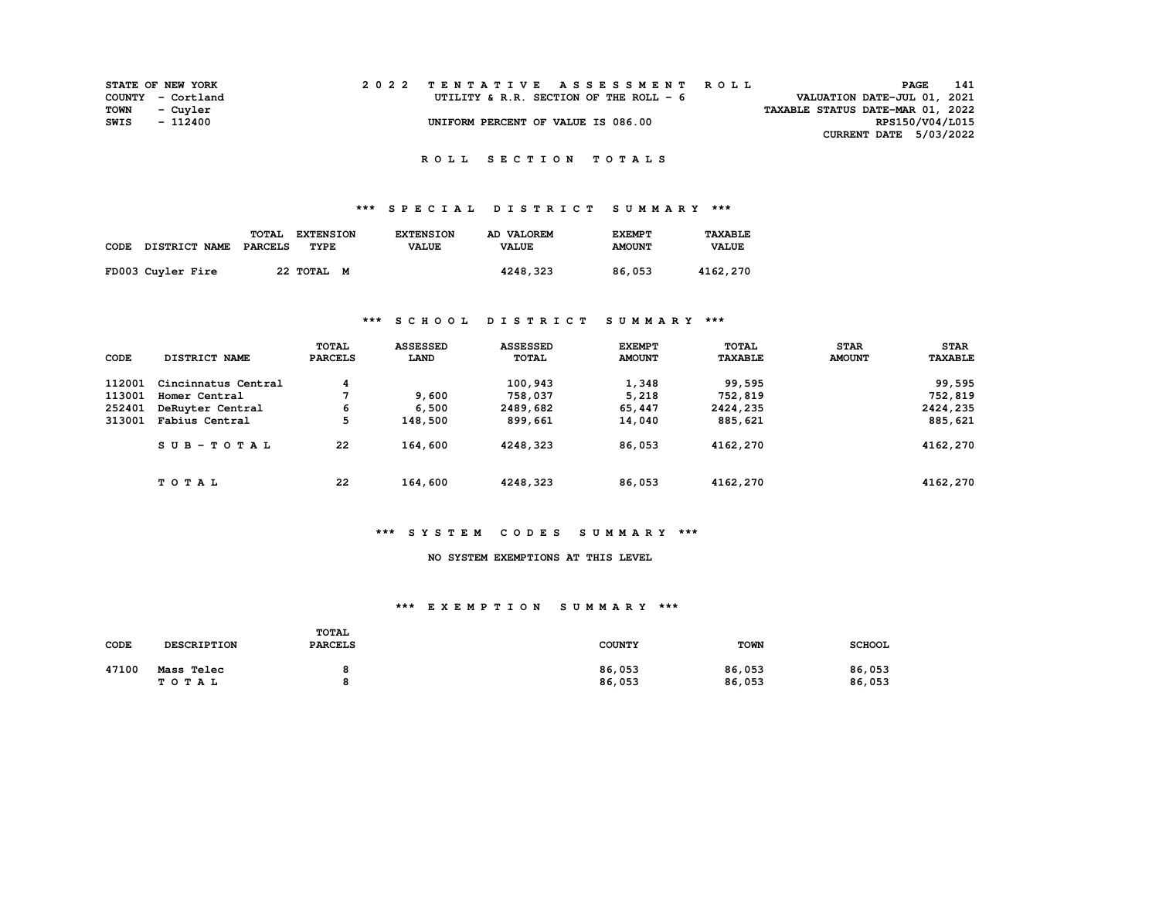|      | <b>STATE OF NEW YORK</b> |  | 2022 TENTATIVE ASSESSMENT ROLL          | PAGE                             | 141 |
|------|--------------------------|--|-----------------------------------------|----------------------------------|-----|
|      | COUNTY - Cortland        |  | UTILITY & R.R. SECTION OF THE ROLL $-6$ | VALUATION DATE-JUL 01, 2021      |     |
| TOWN | - Cuvler                 |  |                                         | TAXABLE STATUS DATE-MAR 01, 2022 |     |
| SWIS | - 112400                 |  | UNIFORM PERCENT OF VALUE IS 086.00      | RPS150/V04/L015                  |     |
|      |                          |  |                                         | CURRENT DATE 5/03/2022           |     |

## **\*\*\* S P E C I A L D I S T R I C T S U M M A R Y \*\*\***

| CODE DISTRICT NAME | TOTAL<br>PARCELS | <b>EXTENSION</b><br>TYPE | <b>EXTENSION</b><br><b>VALUE</b> | AD VALOREM<br><b>VALUE</b> | <b>EXEMPT</b><br><b>AMOUNT</b> | TAXABLE<br><b>VALUE</b> |
|--------------------|------------------|--------------------------|----------------------------------|----------------------------|--------------------------------|-------------------------|
| FD003 Cuyler Fire  |                  | 22 TOTAL M               |                                  | 4248,323                   | 86,053                         | 4162,270                |

### **\*\*\* S C H O O L D I S T R I C T S U M M A R Y \*\*\***

| CODE   | DISTRICT NAME       | <b>TOTAL</b><br><b>PARCELS</b> | <b>ASSESSED</b><br>LAND | <b>ASSESSED</b><br><b>TOTAL</b> | <b>EXEMPT</b><br><b>AMOUNT</b> | TOTAL<br><b>TAXABLE</b> | <b>STAR</b><br><b>AMOUNT</b> | <b>STAR</b><br><b>TAXABLE</b> |
|--------|---------------------|--------------------------------|-------------------------|---------------------------------|--------------------------------|-------------------------|------------------------------|-------------------------------|
| 112001 | Cincinnatus Central | 4                              |                         | 100,943                         | 1,348                          | 99,595                  |                              | 99,595                        |
| 113001 | Homer Central       |                                | 9,600                   | 758,037                         | 5,218                          | 752,819                 |                              | 752,819                       |
| 252401 | DeRuyter Central    | 6                              | 6,500                   | 2489,682                        | 65,447                         | 2424,235                |                              | 2424,235                      |
| 313001 | Fabius Central      | 5                              | 148,500                 | 899,661                         | 14,040                         | 885,621                 |                              | 885,621                       |
|        | $SUB-TOTAL$         | 22                             | 164,600                 | 4248,323                        | 86,053                         | 4162,270                |                              | 4162,270                      |
|        | TOTAL               | 22                             | 164,600                 | 4248,323                        | 86,053                         | 4162,270                |                              | 4162,270                      |

#### **\*\*\* S Y S T E M C O D E S S U M M A R Y \*\*\***

### **NO SYSTEM EXEMPTIONS AT THIS LEVEL**

#### **\*\*\* E X E M P T I O N S U M M A R Y \*\*\***

| CODE  | <b>DESCRIPTION</b> | <b>TOTAL</b><br><b>PARCELS</b> | <b>COUNTY</b> | <b>TOWN</b> | <b>SCHOOL</b> |
|-------|--------------------|--------------------------------|---------------|-------------|---------------|
| 47100 | Mass Telec         |                                | 86,053        | 86,053      | 86,053        |
|       | TOTAL              | ο                              | 86,053        | 86,053      | 86,053        |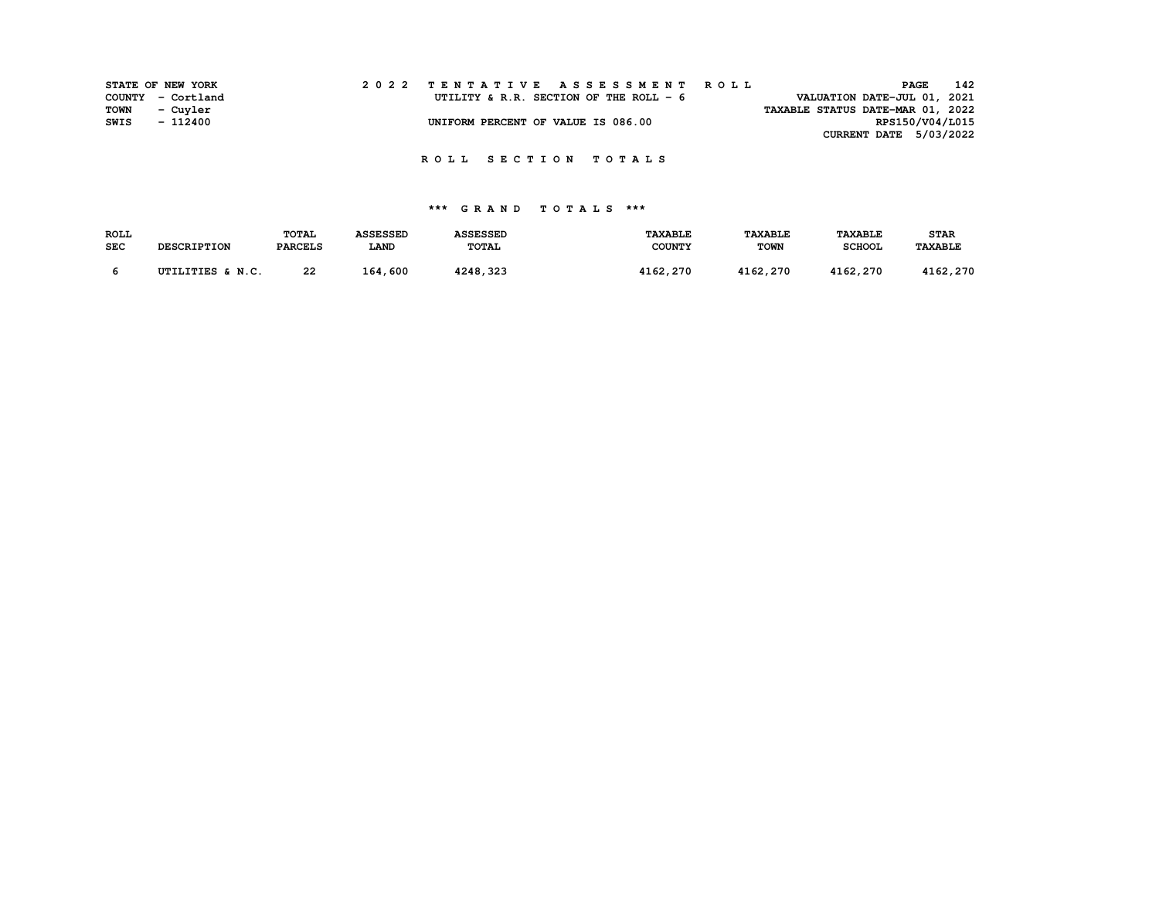|             | STATE OF NEW YORK |  | 2022 TENTATIVE ASSESSMENT ROLL          |  |  |                                  | <b>PAGE</b>     | 142 |
|-------------|-------------------|--|-----------------------------------------|--|--|----------------------------------|-----------------|-----|
|             | COUNTY - Cortland |  | UTILITY & R.R. SECTION OF THE ROLL $-6$ |  |  | VALUATION DATE-JUL 01, 2021      |                 |     |
| <b>TOWN</b> | - Cuyler          |  |                                         |  |  | TAXABLE STATUS DATE-MAR 01, 2022 |                 |     |
| SWIS        | - 112400          |  | UNIFORM PERCENT OF VALUE IS 086.00      |  |  |                                  | RPS150/V04/L015 |     |
|             |                   |  |                                         |  |  | CURRENT DATE 5/03/2022           |                 |     |

| <b>ROLL</b> |                    | <b>TOTAL</b>   | <b>ASSESSED</b> | <b>ASSESSED</b> | <b>TAXABLE</b> | <b>TAXABLE</b> | <b>TAXABLE</b> | <b>STAR</b> |
|-------------|--------------------|----------------|-----------------|-----------------|----------------|----------------|----------------|-------------|
| <b>SEC</b>  | <b>DESCRIPTION</b> | <b>PARCELS</b> | <b>LAND</b>     | <b>TOTAL</b>    | <b>COUNTY</b>  | <b>TOWN</b>    | <b>SCHOOL</b>  | TAXABLE     |
|             |                    |                |                 |                 |                |                |                |             |
|             | UTILITIES & N.C.   | 22             | 164,600         | 4248,323        | 4162,270       | 4162,270       | 4162,270       | 4162,270    |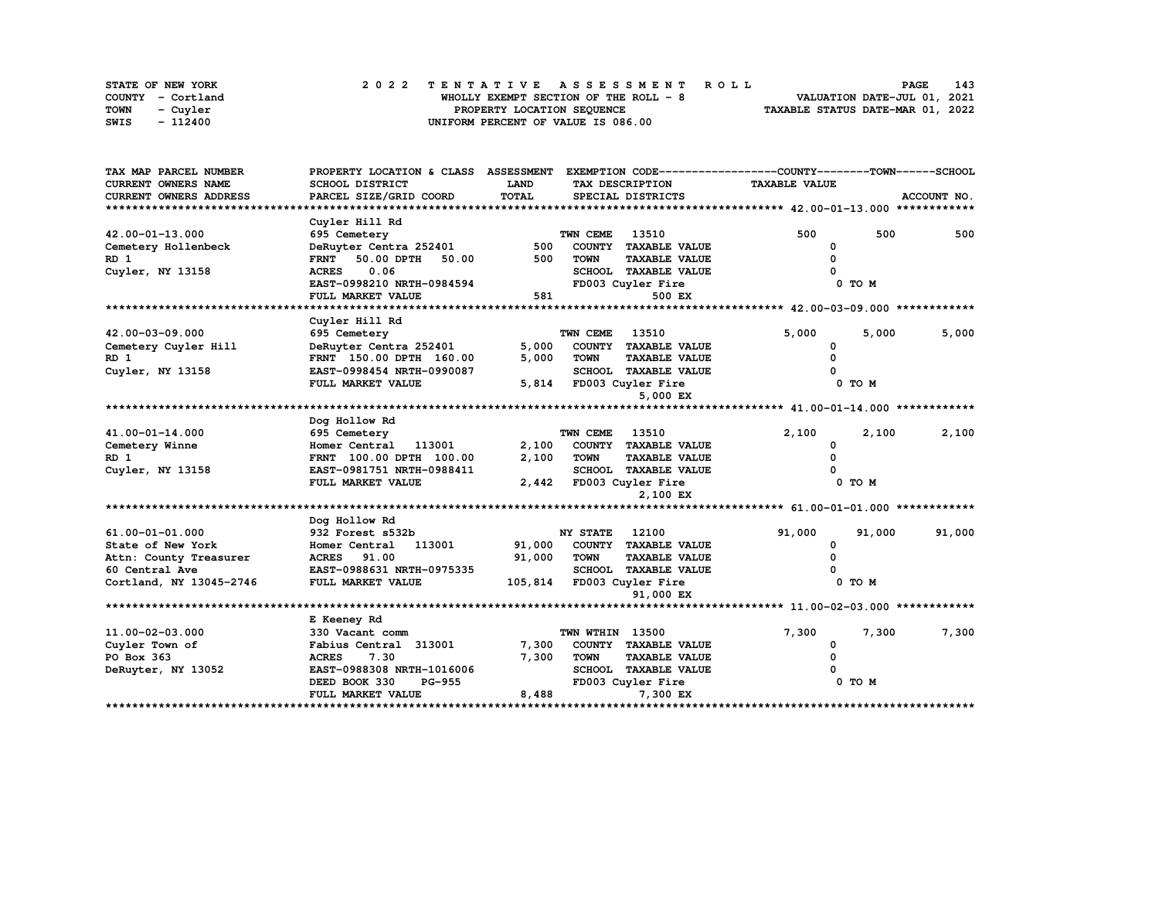| STATE OF NEW YORK | 2022 TENTATIVE ASSESSMENT ROLL        | 143<br><b>PAGE</b>               |
|-------------------|---------------------------------------|----------------------------------|
| COUNTY - Cortland | WHOLLY EXEMPT SECTION OF THE ROLL - 8 | VALUATION DATE-JUL 01, 2021      |
| TOWN<br>- Cuyler  | PROPERTY LOCATION SEOUENCE            | TAXABLE STATUS DATE-MAR 01, 2022 |
| SWIS<br>- 112400  | UNIFORM PERCENT OF VALUE IS 086.00    |                                  |

| TAX MAP PARCEL NUMBER      | PROPERTY LOCATION & CLASS ASSESSMENT |        |                 |                             | EXEMPTION CODE-----------------COUNTY-------TOWN------SCHOOL |        |             |
|----------------------------|--------------------------------------|--------|-----------------|-----------------------------|--------------------------------------------------------------|--------|-------------|
| <b>CURRENT OWNERS NAME</b> | SCHOOL DISTRICT                      | LAND   |                 | TAX DESCRIPTION             | <b>TAXABLE VALUE</b>                                         |        |             |
| CURRENT OWNERS ADDRESS     | PARCEL SIZE/GRID COORD               | TOTAL  |                 | SPECIAL DISTRICTS           |                                                              |        | ACCOUNT NO. |
|                            |                                      |        |                 |                             |                                                              |        |             |
|                            | Cuyler Hill Rd                       |        |                 |                             |                                                              |        |             |
| 42.00-01-13.000            | 695 Cemetery                         |        | TWN CEME        | 13510                       | 500                                                          | 500    | 500         |
| Cemetery Hollenbeck        | DeRuyter Centra 252401               | 500    |                 | COUNTY TAXABLE VALUE        | 0                                                            |        |             |
| RD 1                       | 50.00<br>50.00 DPTH<br><b>FRNT</b>   | 500    | <b>TOWN</b>     | <b>TAXABLE VALUE</b>        | O                                                            |        |             |
| Cuyler, NY 13158           | 0.06<br><b>ACRES</b>                 |        |                 | <b>SCHOOL TAXABLE VALUE</b> |                                                              |        |             |
|                            | EAST-0998210 NRTH-0984594            |        |                 | FD003 Cuyler Fire           |                                                              | 0 TO M |             |
|                            | FULL MARKET VALUE                    | 581    |                 | 500 EX                      |                                                              |        |             |
|                            |                                      |        |                 |                             |                                                              |        |             |
|                            | Cuyler Hill Rd                       |        |                 |                             |                                                              |        |             |
| 42.00-03-09.000            | 695 Cemetery                         |        | TWN CEME        | 13510                       | 5,000                                                        | 5,000  | 5,000       |
| Cemetery Cuyler Hill       | DeRuyter Centra 252401               | 5,000  |                 | COUNTY TAXABLE VALUE        | 0                                                            |        |             |
| RD <sub>1</sub>            | FRNT 150.00 DPTH 160.00              | 5,000  | <b>TOWN</b>     | <b>TAXABLE VALUE</b>        | <sup>0</sup>                                                 |        |             |
| Cuyler, NY 13158           | EAST-0998454 NRTH-0990087            |        |                 | SCHOOL TAXABLE VALUE        |                                                              |        |             |
|                            | FULL MARKET VALUE                    |        |                 | 5,814 FD003 Cuyler Fire     |                                                              | 0 TO M |             |
|                            |                                      |        |                 | 5,000 EX                    |                                                              |        |             |
|                            |                                      |        |                 |                             |                                                              |        |             |
|                            | Dog Hollow Rd                        |        |                 |                             |                                                              |        |             |
| 41.00-01-14.000            | 695 Cemetery                         |        | TWN CEME        | 13510                       | 2,100                                                        | 2,100  | 2,100       |
| Cemetery Winne             | Homer Central 113001                 | 2,100  |                 | COUNTY TAXABLE VALUE        | <sup>0</sup>                                                 |        |             |
| RD 1                       | FRNT 100.00 DPTH 100.00              | 2,100  | <b>TOWN</b>     | <b>TAXABLE VALUE</b>        |                                                              |        |             |
| Cuyler, NY 13158           | EAST-0981751 NRTH-0988411            |        |                 | <b>SCHOOL TAXABLE VALUE</b> |                                                              |        |             |
|                            | FULL MARKET VALUE                    |        |                 | 2,442 FD003 Cuyler Fire     |                                                              | 0 TO M |             |
|                            |                                      |        |                 | 2,100 EX                    |                                                              |        |             |
|                            |                                      |        |                 |                             |                                                              |        |             |
|                            | Dog Hollow Rd                        |        |                 |                             |                                                              |        |             |
| 61.00-01-01.000            | 932 Forest s532b                     |        | <b>NY STATE</b> | 12100                       | 91,000                                                       | 91,000 | 91,000      |
| State of New York          | 113001<br>Homer Central              | 91,000 |                 | COUNTY TAXABLE VALUE        | 0                                                            |        |             |
| Attn: County Treasurer     | ACRES 91.00                          | 91,000 | <b>TOWN</b>     | <b>TAXABLE VALUE</b>        |                                                              |        |             |
| 60 Central Ave             | EAST-0988631 NRTH-0975335            |        |                 | SCHOOL TAXABLE VALUE        |                                                              |        |             |
| Cortland, NY 13045-2746    | FULL MARKET VALUE                    |        |                 | 105,814 FD003 Cuyler Fire   |                                                              | 0 TO M |             |
|                            |                                      |        |                 | 91,000 EX                   |                                                              |        |             |
|                            |                                      |        |                 |                             |                                                              |        |             |
|                            | E Keeney Rd                          |        |                 |                             |                                                              |        |             |
| 11.00-02-03.000            | 330 Vacant comm                      |        | TWN WTHIN 13500 |                             | 7,300                                                        | 7,300  | 7,300       |
| Cuyler Town of             | Fabius Central 313001                | 7,300  |                 | COUNTY TAXABLE VALUE        | 0                                                            |        |             |
| PO Box 363                 | <b>ACRES</b><br>7.30                 | 7,300  | <b>TOWN</b>     | TAXABLE VALUE               |                                                              |        |             |
| DeRuyter, NY 13052         | EAST-0988308 NRTH-1016006            |        |                 | <b>SCHOOL TAXABLE VALUE</b> |                                                              |        |             |
|                            | <b>PG-955</b><br>DEED BOOK 330       |        |                 | FD003 Cuyler Fire           |                                                              | 0 TO M |             |
|                            | FULL MARKET VALUE                    | 8,488  |                 | 7,300 EX                    |                                                              |        |             |
|                            |                                      |        |                 |                             |                                                              |        |             |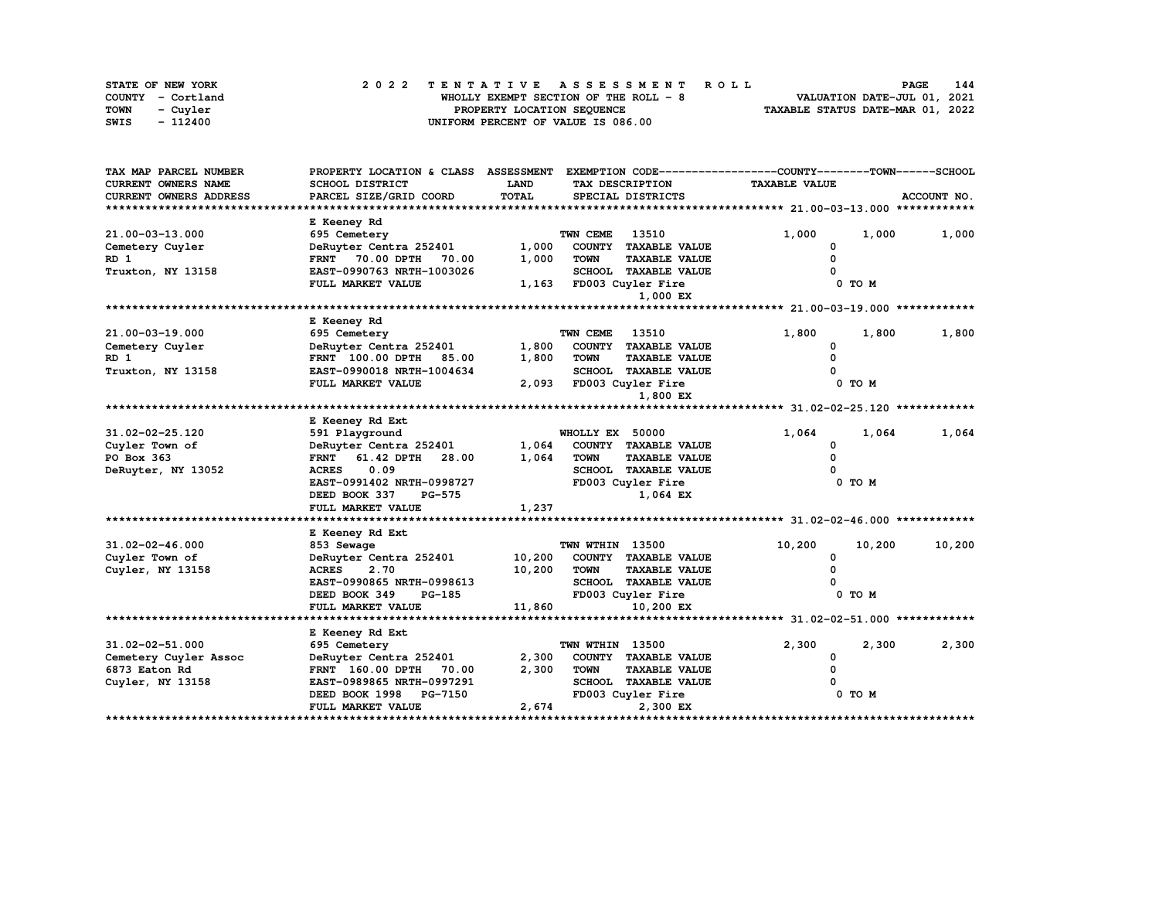| STATE OF NEW YORK       | 2022 TENTATIVE ASSESSMENT ROLL        | 144<br><b>PAGE</b>               |
|-------------------------|---------------------------------------|----------------------------------|
| COUNTY - Cortland       | WHOLLY EXEMPT SECTION OF THE ROLL - 8 | VALUATION DATE-JUL 01, 2021      |
| <b>TOWN</b><br>- Cuvler | PROPERTY LOCATION SEQUENCE            | TAXABLE STATUS DATE-MAR 01, 2022 |
| SWIS<br>- 112400        | UNIFORM PERCENT OF VALUE IS 086.00    |                                  |

| TAX MAP PARCEL NUMBER      | PROPERTY LOCATION & CLASS ASSESSMENT |        |                        |                             | EXEMPTION CODE-----------------COUNTY-------TOWN------SCHOOL |        |             |
|----------------------------|--------------------------------------|--------|------------------------|-----------------------------|--------------------------------------------------------------|--------|-------------|
| <b>CURRENT OWNERS NAME</b> | SCHOOL DISTRICT                      | LAND   |                        | TAX DESCRIPTION             | <b>TAXABLE VALUE</b>                                         |        |             |
| CURRENT OWNERS ADDRESS     | PARCEL SIZE/GRID COORD               | TOTAL  |                        | SPECIAL DISTRICTS           |                                                              |        | ACCOUNT NO. |
|                            |                                      |        |                        |                             |                                                              |        |             |
|                            | E Keeney Rd                          |        |                        |                             |                                                              |        |             |
| 21.00-03-13.000            | 695 Cemetery                         |        | TWN CEME               | 13510                       | 1,000                                                        | 1,000  | 1,000       |
| Cemetery Cuyler            | DeRuyter Centra 252401               | 1,000  |                        | COUNTY TAXABLE VALUE        | 0                                                            |        |             |
| RD <sub>1</sub>            | <b>FRNT</b><br>70.00 DPTH<br>70.00   | 1,000  | <b>TOWN</b>            | <b>TAXABLE VALUE</b>        |                                                              |        |             |
| Truxton, NY 13158          | EAST-0990763 NRTH-1003026            |        | <b>SCHOOL</b>          | <b>TAXABLE VALUE</b>        |                                                              |        |             |
|                            | FULL MARKET VALUE                    | 1,163  |                        | FD003 Cuyler Fire           |                                                              | 0 TO M |             |
|                            |                                      |        |                        | 1,000 EX                    |                                                              |        |             |
|                            |                                      |        |                        |                             |                                                              |        |             |
|                            | E Keeney Rd                          |        |                        |                             |                                                              |        |             |
| 21.00-03-19.000            | 695 Cemetery                         |        | TWN CEME               | 13510                       | 1,800                                                        | 1,800  | 1,800       |
| Cemetery Cuyler            | DeRuyter Centra 252401               | 1,800  | <b>COUNTY</b>          | <b>TAXABLE VALUE</b>        | 0                                                            |        |             |
| RD 1                       | <b>FRNT</b> 100.00 DPTH<br>85.00     | 1,800  | <b>TOWN</b>            | <b>TAXABLE VALUE</b>        | 0                                                            |        |             |
| Truxton, NY 13158          | EAST-0990018 NRTH-1004634            |        |                        | <b>SCHOOL TAXABLE VALUE</b> |                                                              |        |             |
|                            | FULL MARKET VALUE                    | 2,093  |                        | FD003 Cuyler Fire           |                                                              | 0 TO M |             |
|                            |                                      |        |                        | 1,800 EX                    |                                                              |        |             |
|                            |                                      |        |                        |                             |                                                              |        |             |
|                            | E Keeney Rd Ext                      |        |                        |                             |                                                              |        |             |
| 31.02-02-25.120            | 591 Playground                       |        | WHOLLY EX 50000        |                             | 1,064                                                        | 1,064  | 1,064       |
| Cuyler Town of             | DeRuyter Centra 252401               | 1,064  |                        | COUNTY TAXABLE VALUE        | 0                                                            |        |             |
| PO Box 363                 | 61.42 DPTH<br><b>FRNT</b><br>28.00   | 1,064  | <b>TOWN</b>            | <b>TAXABLE VALUE</b>        |                                                              |        |             |
| DeRuyter, NY 13052         | 0.09<br><b>ACRES</b>                 |        |                        | <b>SCHOOL TAXABLE VALUE</b> |                                                              |        |             |
|                            | EAST-0991402 NRTH-0998727            |        |                        | FD003 Cuyler Fire           |                                                              | 0 TO M |             |
|                            | DEED BOOK 337<br><b>PG-575</b>       |        |                        | 1,064 EX                    |                                                              |        |             |
|                            | FULL MARKET VALUE                    | 1,237  |                        |                             |                                                              |        |             |
|                            |                                      |        |                        |                             |                                                              |        |             |
|                            | E Keeney Rd Ext                      |        |                        |                             |                                                              |        |             |
| 31.02-02-46.000            | 853 Sewage                           |        | <b>TWN WTHIN 13500</b> |                             | 10,200                                                       | 10,200 | 10,200      |
| Cuyler Town of             | DeRuyter Centra 252401               | 10,200 |                        | COUNTY TAXABLE VALUE        | 0                                                            |        |             |
| Cuyler, NY 13158           | <b>ACRES</b><br>2.70                 | 10,200 | <b>TOWN</b>            | <b>TAXABLE VALUE</b>        |                                                              |        |             |
|                            | EAST-0990865 NRTH-0998613            |        |                        | SCHOOL TAXABLE VALUE        |                                                              |        |             |
|                            | DEED BOOK 349<br>PG-185              |        |                        | FD003 Cuyler Fire           |                                                              | 0 TO M |             |
|                            | FULL MARKET VALUE                    | 11,860 |                        | 10,200 EX                   |                                                              |        |             |
|                            |                                      |        |                        |                             |                                                              |        |             |
|                            | E Keeney Rd Ext                      |        |                        |                             |                                                              |        |             |
| 31.02-02-51.000            | 695 Cemetery                         |        | TWN WTHIN 13500        |                             | 2,300                                                        | 2,300  | 2,300       |
| Cemetery Cuyler Assoc      | DeRuyter Centra 252401               | 2,300  |                        | COUNTY TAXABLE VALUE        | 0                                                            |        |             |
| 6873 Eaton Rd              | <b>FRNT</b> 160.00 DPTH<br>70.00     | 2,300  | <b>TOWN</b>            | <b>TAXABLE VALUE</b>        |                                                              |        |             |
| Cuyler, NY 13158           | EAST-0989865 NRTH-0997291            |        |                        | <b>SCHOOL TAXABLE VALUE</b> |                                                              |        |             |
|                            | <b>PG-7150</b><br>DEED BOOK 1998     |        |                        | FD003 Cuyler Fire           |                                                              | 0 TO M |             |
|                            | FULL MARKET VALUE                    | 2,674  |                        | 2,300 EX                    |                                                              |        |             |
|                            |                                      |        |                        |                             |                                                              |        |             |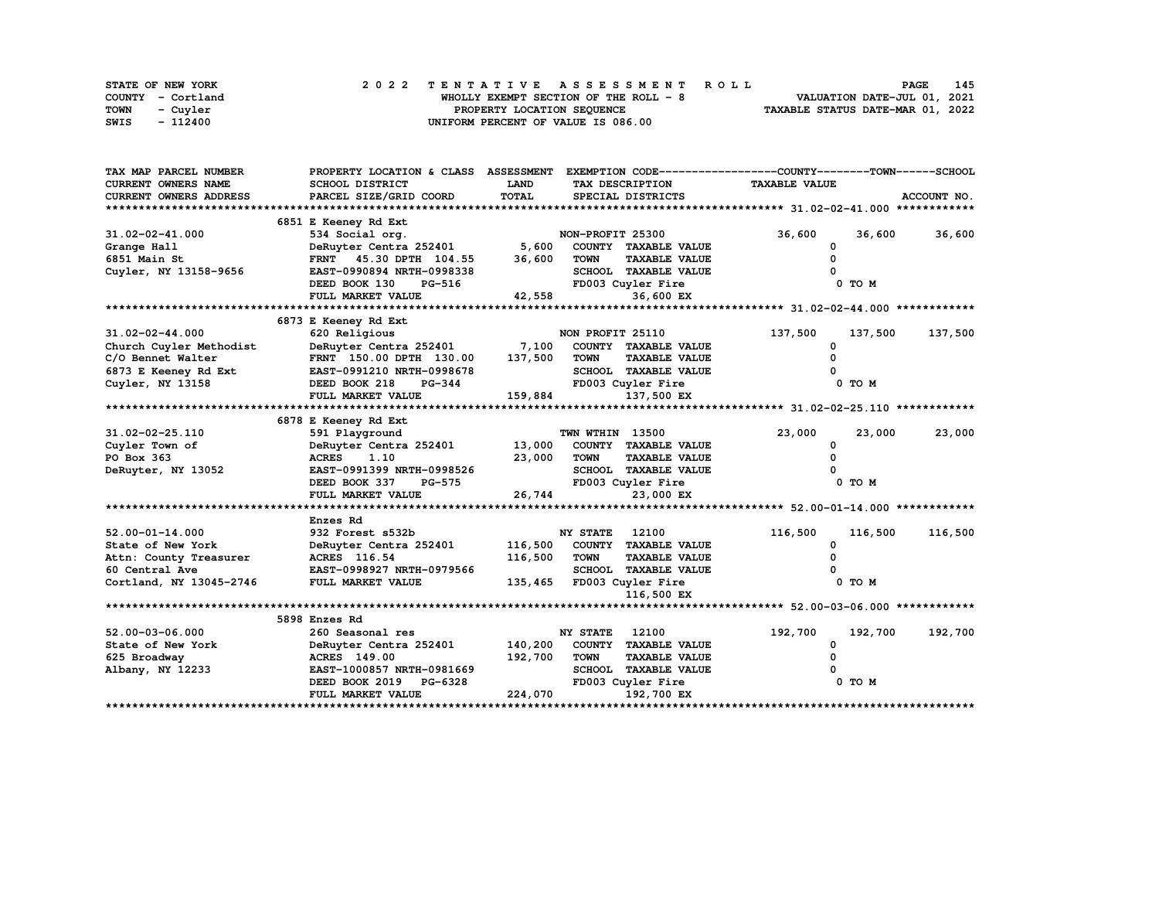|      | STATE OF NEW YORK | 2022 TENTATIVE ASSESSMENT ROLL        | 145<br><b>PAGE</b>               |
|------|-------------------|---------------------------------------|----------------------------------|
|      | COUNTY - Cortland | WHOLLY EXEMPT SECTION OF THE ROLL - 8 | VALUATION DATE-JUL 01, 2021      |
| TOWN | - Cuvler          | PROPERTY LOCATION SEQUENCE            | TAXABLE STATUS DATE-MAR 01, 2022 |
| SWIS | - 112400          | UNIFORM PERCENT OF VALUE IS 086.00    |                                  |

| TAX MAP PARCEL NUMBER   | PROPERTY LOCATION & CLASS ASSESSMENT |             |                                     | EXEMPTION CODE-----------------COUNTY-------TOWN------SCHOOL |             |
|-------------------------|--------------------------------------|-------------|-------------------------------------|--------------------------------------------------------------|-------------|
| CURRENT OWNERS NAME     | SCHOOL DISTRICT                      | <b>LAND</b> | TAX DESCRIPTION                     | <b>TAXABLE VALUE</b>                                         |             |
| CURRENT OWNERS ADDRESS  | PARCEL SIZE/GRID COORD               | TOTAL       | SPECIAL DISTRICTS                   |                                                              | ACCOUNT NO. |
|                         |                                      |             |                                     |                                                              |             |
|                         | 6851 E Keeney Rd Ext                 |             |                                     |                                                              |             |
| $31.02 - 02 - 41.000$   | 534 Social org.                      |             | NON-PROFIT 25300                    | 36,600<br>36,600                                             | 36,600      |
| Grange Hall             | DeRuyter Centra 252401               | 5,600       | COUNTY TAXABLE VALUE                | 0                                                            |             |
| 6851 Main St            | FRNT 45.30 DPTH 104.55               | 36,600      | <b>TOWN</b><br><b>TAXABLE VALUE</b> |                                                              |             |
| Cuyler, NY 13158-9656   | EAST-0990894 NRTH-0998338            |             | <b>SCHOOL TAXABLE VALUE</b>         |                                                              |             |
|                         | DEED BOOK 130<br>PG-516              |             | FD003 Cuyler Fire                   | 0 TO M                                                       |             |
|                         | FULL MARKET VALUE                    | 42,558      | 36,600 EX                           |                                                              |             |
|                         |                                      |             |                                     |                                                              |             |
|                         | 6873 E Keeney Rd Ext                 |             |                                     |                                                              |             |
| 31.02-02-44.000         | 620 Religious                        |             | NON PROFIT 25110                    | 137,500<br>137,500                                           | 137,500     |
| Church Cuyler Methodist | DeRuyter Centra 252401               | 7,100       | COUNTY TAXABLE VALUE                | <sup>0</sup>                                                 |             |
| C/O Bennet Walter       | FRNT 150.00 DPTH 130.00              | 137,500     | <b>TOWN</b><br><b>TAXABLE VALUE</b> |                                                              |             |
| 6873 E Keeney Rd Ext    | EAST-0991210 NRTH-0998678            |             | <b>SCHOOL TAXABLE VALUE</b>         |                                                              |             |
| Cuyler, NY 13158        | DEED BOOK 218<br>PG-344              |             | FD003 Cuyler Fire                   | 0 TO M                                                       |             |
|                         | FULL MARKET VALUE                    | 159,884     | 137,500 EX                          |                                                              |             |
|                         |                                      |             |                                     |                                                              |             |
|                         | 6878 E Keeney Rd Ext                 |             |                                     |                                                              |             |
| 31.02-02-25.110         | 591 Playground                       |             | TWN WTHIN 13500                     | 23,000<br>23,000                                             | 23,000      |
| Cuyler Town of          | DeRuyter Centra 252401               | 13,000      | COUNTY TAXABLE VALUE                | <sup>0</sup>                                                 |             |
| PO Box 363              | <b>ACRES</b><br>1.10                 | 23,000      | <b>TOWN</b><br><b>TAXABLE VALUE</b> |                                                              |             |
| DeRuyter, NY 13052      | EAST-0991399 NRTH-0998526            |             | SCHOOL TAXABLE VALUE                |                                                              |             |
|                         | DEED BOOK 337<br><b>PG-575</b>       |             | FD003 Cuyler Fire                   | 0 TO M                                                       |             |
|                         | FULL MARKET VALUE                    | 26,744      | 23,000 EX                           |                                                              |             |
|                         |                                      |             |                                     |                                                              |             |
|                         | Enzes Rd                             |             |                                     |                                                              |             |
| $52.00 - 01 - 14.000$   | 932 Forest s532b                     |             | <b>NY STATE</b><br>12100            | 116,500<br>116,500                                           | 116,500     |
| State of New York       | DeRuyter Centra 252401               | 116,500     | COUNTY TAXABLE VALUE                | <sup>0</sup>                                                 |             |
| Attn: County Treasurer  | ACRES 116.54                         | 116,500     | <b>TOWN</b><br><b>TAXABLE VALUE</b> |                                                              |             |
| 60 Central Ave          | EAST-0998927 NRTH-0979566            |             | SCHOOL TAXABLE VALUE                |                                                              |             |
| Cortland, NY 13045-2746 | FULL MARKET VALUE                    | 135,465     | FD003 Cuyler Fire                   | 0 TO M                                                       |             |
|                         |                                      |             | 116,500 EX                          |                                                              |             |
|                         |                                      |             |                                     |                                                              |             |
|                         | 5898 Enzes Rd                        |             |                                     |                                                              |             |
| $52.00 - 03 - 06.000$   | 260 Seasonal res                     |             | NY STATE<br>12100                   | 192,700<br>192,700                                           | 192,700     |
| State of New York       | DeRuyter Centra 252401               | 140,200     | COUNTY TAXABLE VALUE                | 0                                                            |             |
| 625 Broadway            | <b>ACRES</b> 149.00                  | 192,700     | <b>TOWN</b><br><b>TAXABLE VALUE</b> |                                                              |             |
| Albany, NY 12233        | EAST-1000857 NRTH-0981669            |             | <b>SCHOOL TAXABLE VALUE</b>         |                                                              |             |
|                         | PG-6328<br>DEED BOOK 2019            |             | FD003 Cuyler Fire                   | 0 TO M                                                       |             |
|                         | FULL MARKET VALUE                    | 224,070     | 192,700 EX                          |                                                              |             |
|                         |                                      |             |                                     |                                                              |             |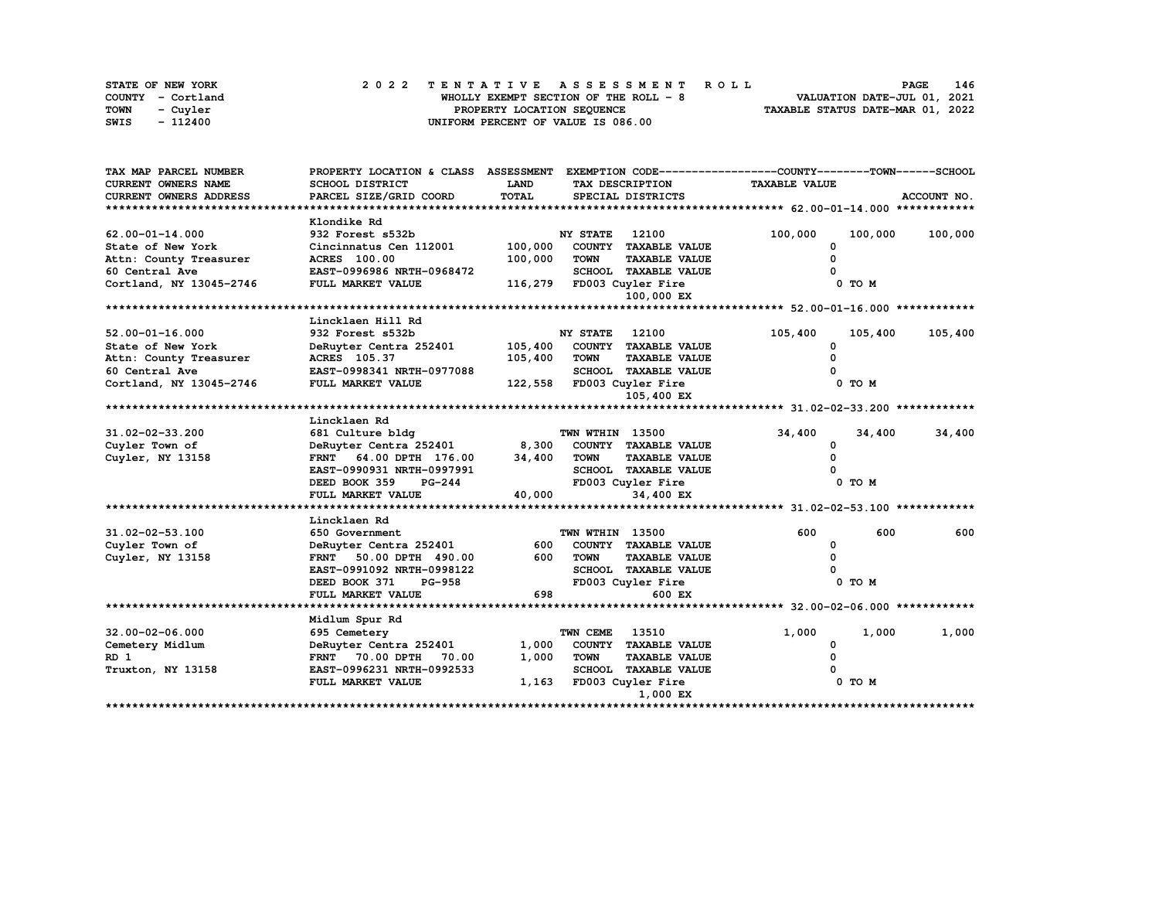|      | <b>STATE OF NEW YORK</b> |  | 2022 TENTATIVE ASSESSMENT ROLL                                 | <b>PAGE</b>                 | 146 |
|------|--------------------------|--|----------------------------------------------------------------|-----------------------------|-----|
|      | COUNTY - Cortland        |  | WHOLLY EXEMPT SECTION OF THE ROLL $-8$                         | VALUATION DATE-JUL 01, 2021 |     |
| TOWN | - Cuvler                 |  | TAXABLE STATUS DATE-MAR 01, 2022<br>PROPERTY LOCATION SEQUENCE |                             |     |
| SWIS | - 112400                 |  | UNIFORM PERCENT OF VALUE IS 086.00                             |                             |     |

| TAX MAP PARCEL NUMBER         | PROPERTY LOCATION & CLASS ASSESSMENT EXEMPTION CODE-----------------COUNTY-------TOWN-----SCHOOL |             |                 |                             |                      |         |             |
|-------------------------------|--------------------------------------------------------------------------------------------------|-------------|-----------------|-----------------------------|----------------------|---------|-------------|
| <b>CURRENT OWNERS NAME</b>    | SCHOOL DISTRICT                                                                                  | <b>LAND</b> |                 | TAX DESCRIPTION             | <b>TAXABLE VALUE</b> |         |             |
| <b>CURRENT OWNERS ADDRESS</b> | PARCEL SIZE/GRID COORD                                                                           | TOTAL       |                 | SPECIAL DISTRICTS           |                      |         | ACCOUNT NO. |
|                               |                                                                                                  |             |                 |                             |                      |         |             |
|                               | Klondike Rd                                                                                      |             |                 |                             |                      |         |             |
| $62.00 - 01 - 14.000$         | 932 Forest s532b                                                                                 |             | <b>NY STATE</b> | 12100                       | 100,000              | 100,000 | 100,000     |
| State of New York             | Cincinnatus Cen 112001                                                                           | 100,000     |                 | COUNTY TAXABLE VALUE        | 0                    |         |             |
| Attn: County Treasurer        | <b>ACRES</b> 100.00                                                                              | 100,000     | <b>TOWN</b>     | <b>TAXABLE VALUE</b>        |                      |         |             |
| 60 Central Ave                | EAST-0996986 NRTH-0968472                                                                        |             |                 | <b>SCHOOL TAXABLE VALUE</b> |                      |         |             |
| Cortland, NY 13045-2746       | FULL MARKET VALUE                                                                                | 116,279     |                 | FD003 Cuyler Fire           |                      | 0 TO M  |             |
|                               |                                                                                                  |             |                 | 100,000 EX                  |                      |         |             |
|                               |                                                                                                  |             |                 |                             |                      |         |             |
|                               | Lincklaen Hill Rd                                                                                |             |                 |                             |                      |         |             |
| $52.00 - 01 - 16.000$         | 932 Forest s532b                                                                                 |             | <b>NY STATE</b> | 12100                       | 105,400              | 105,400 | 105,400     |
| State of New York             | DeRuyter Centra 252401                                                                           | 105,400     |                 | COUNTY TAXABLE VALUE        | <sup>0</sup>         |         |             |
| Attn: County Treasurer        | ACRES 105.37                                                                                     | 105,400     | <b>TOWN</b>     | <b>TAXABLE VALUE</b>        |                      |         |             |
| 60 Central Ave                | EAST-0998341 NRTH-0977088                                                                        |             |                 | <b>SCHOOL TAXABLE VALUE</b> |                      |         |             |
| Cortland, NY 13045-2746       | FULL MARKET VALUE                                                                                |             |                 | 122,558 FD003 Cuyler Fire   |                      | 0 TO M  |             |
|                               |                                                                                                  |             |                 | 105,400 EX                  |                      |         |             |
|                               |                                                                                                  |             |                 |                             |                      |         |             |
|                               | Lincklaen Rd                                                                                     |             |                 |                             |                      |         |             |
| 31.02-02-33.200               | 681 Culture bldg                                                                                 |             | TWN WTHIN 13500 |                             | 34,400               | 34,400  | 34,400      |
| Cuyler Town of                | DeRuyter Centra 252401                                                                           | 8,300       |                 | COUNTY TAXABLE VALUE        | 0                    |         |             |
| Cuyler, NY 13158              | FRNT 64.00 DPTH 176.00                                                                           | 34,400      | <b>TOWN</b>     | <b>TAXABLE VALUE</b>        | $\Omega$             |         |             |
|                               | EAST-0990931 NRTH-0997991                                                                        |             |                 | SCHOOL TAXABLE VALUE        |                      |         |             |
|                               | <b>PG-244</b><br>DEED BOOK 359                                                                   |             |                 | FD003 Cuyler Fire           |                      | 0 TO M  |             |
|                               | FULL MARKET VALUE                                                                                | 40,000      |                 | 34,400 EX                   |                      |         |             |
|                               |                                                                                                  |             |                 |                             |                      |         |             |
|                               | Lincklaen Rd                                                                                     |             |                 |                             |                      |         |             |
| $31.02 - 02 - 53.100$         | 650 Government                                                                                   |             | TWN WTHIN 13500 |                             | 600                  | 600     | 600         |
| Cuyler Town of                | DeRuyter Centra 252401                                                                           | 600         |                 | COUNTY TAXABLE VALUE        | 0                    |         |             |
| Cuyler, NY 13158              | FRNT 50.00 DPTH 490.00                                                                           | 600         | <b>TOWN</b>     | <b>TAXABLE VALUE</b>        |                      |         |             |
|                               | EAST-0991092 NRTH-0998122                                                                        |             |                 | <b>SCHOOL TAXABLE VALUE</b> |                      |         |             |
|                               | DEED BOOK 371<br><b>PG-958</b>                                                                   |             |                 | FD003 Cuyler Fire           |                      | 0 TO M  |             |
|                               | FULL MARKET VALUE                                                                                | 698         |                 | 600 EX                      |                      |         |             |
|                               |                                                                                                  |             |                 |                             |                      |         |             |
|                               | Midlum Spur Rd                                                                                   |             |                 |                             |                      |         |             |
| $32.00 - 02 - 06.000$         | 695 Cemetery                                                                                     |             | TWN CEME        | 13510                       | 1,000                | 1,000   | 1,000       |
| Cemetery Midlum               | DeRuyter Centra 252401                                                                           | 1,000       |                 | COUNTY TAXABLE VALUE        | 0                    |         |             |
| RD 1                          | FRNT 70.00 DPTH<br>70.00                                                                         | 1,000       | <b>TOWN</b>     | <b>TAXABLE VALUE</b>        | <sup>0</sup>         |         |             |
| Truxton, NY 13158             | EAST-0996231 NRTH-0992533                                                                        |             |                 | <b>SCHOOL TAXABLE VALUE</b> |                      |         |             |
|                               | FULL MARKET VALUE                                                                                | 1,163       |                 | FD003 Cuyler Fire           |                      | 0 TO M  |             |
|                               |                                                                                                  |             |                 | 1,000 EX                    |                      |         |             |
|                               |                                                                                                  |             |                 |                             |                      |         |             |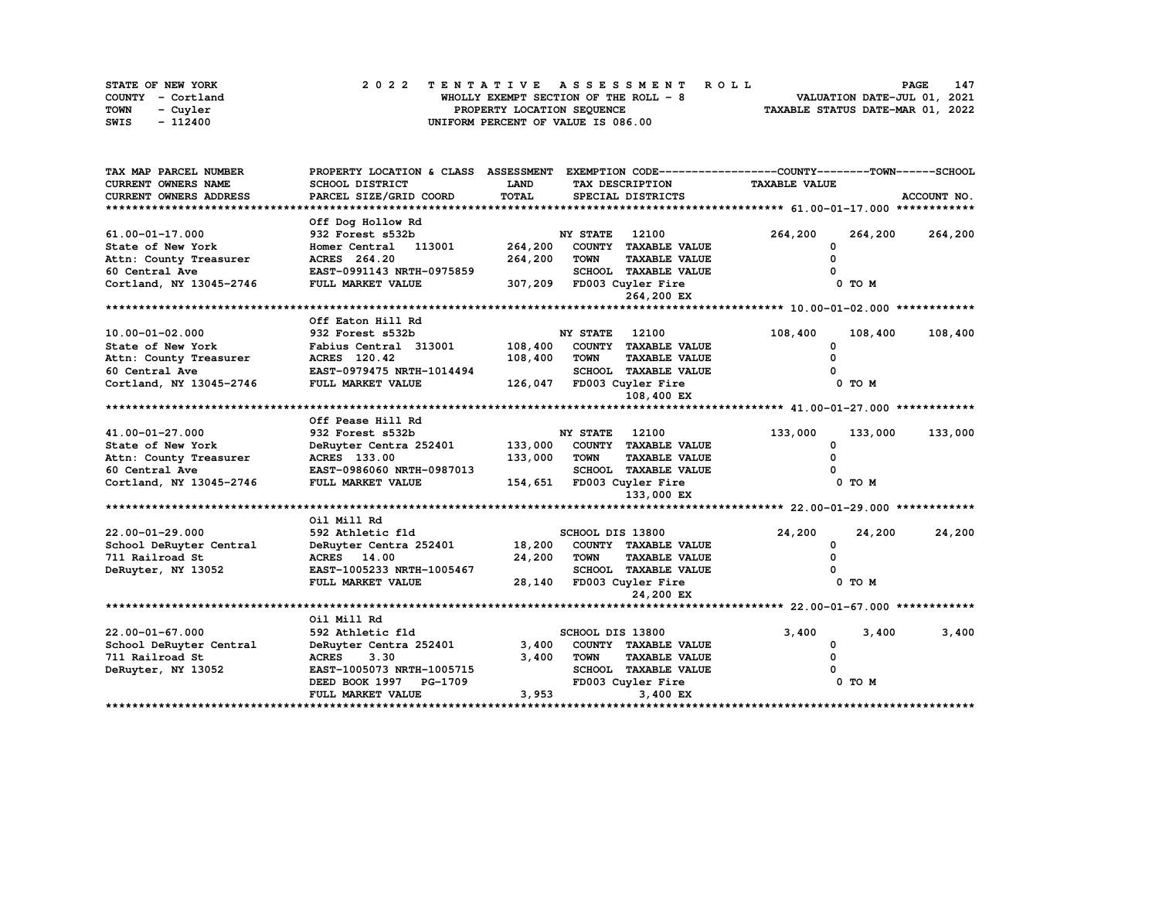| STATE OF NEW YORK | 2022 TENTATIVE ASSESSMENT ROLL         | 147<br><b>PAGE</b>               |
|-------------------|----------------------------------------|----------------------------------|
| COUNTY - Cortland | WHOLLY EXEMPT SECTION OF THE ROLL $-8$ | VALUATION DATE-JUL 01, 2021      |
| TOWN<br>- Cuvler  | PROPERTY LOCATION SEQUENCE             | TAXABLE STATUS DATE-MAR 01, 2022 |
| SWIS<br>- 112400  | UNIFORM PERCENT OF VALUE IS 086.00     |                                  |

| TAX MAP PARCEL NUMBER      | PROPERTY LOCATION & CLASS ASSESSMENT EXEMPTION CODE-----------------COUNTY-------TOWN------SCHOOL |                                |                       |                             |                      |            |             |
|----------------------------|---------------------------------------------------------------------------------------------------|--------------------------------|-----------------------|-----------------------------|----------------------|------------|-------------|
| <b>CURRENT OWNERS NAME</b> | <b>SCHOOL DISTRICT</b>                                                                            | <b>LAND</b><br>TAX DESCRIPTION |                       |                             | <b>TAXABLE VALUE</b> |            |             |
| CURRENT OWNERS ADDRESS     | PARCEL SIZE/GRID COORD                                                                            | TOTAL                          |                       | SPECIAL DISTRICTS           |                      |            | ACCOUNT NO. |
|                            |                                                                                                   |                                |                       |                             |                      |            |             |
|                            | Off Dog Hollow Rd                                                                                 |                                |                       |                             |                      |            |             |
| 61.00-01-17.000            | 932 Forest s532b                                                                                  |                                | <b>NY STATE</b>       | 12100                       | 264,200              | 264,200    | 264,200     |
| State of New York          | Homer Central 113001                                                                              | 264,200                        |                       | COUNTY TAXABLE VALUE        | 0                    |            |             |
| Attn: County Treasurer     | ACRES 264.20                                                                                      | 264,200                        | <b>TOWN</b>           | <b>TAXABLE VALUE</b>        |                      |            |             |
| 60 Central Ave             | EAST-0991143 NRTH-0975859                                                                         |                                |                       | <b>SCHOOL TAXABLE VALUE</b> |                      |            |             |
| Cortland, NY 13045-2746    | FULL MARKET VALUE                                                                                 | 307,209                        |                       | FD003 Cuyler Fire           |                      | 0 TO M     |             |
|                            |                                                                                                   |                                |                       | 264,200 EX                  |                      |            |             |
|                            |                                                                                                   |                                |                       |                             |                      |            |             |
|                            | Off Eaton Hill Rd                                                                                 |                                |                       |                             |                      |            |             |
| 10.00-01-02.000            | 932 Forest s532b                                                                                  |                                | <b>NY STATE</b>       | 12100                       | 108,400              | 108,400    | 108,400     |
| State of New York          | Fabius Central 313001                                                                             | 108,400                        |                       | COUNTY TAXABLE VALUE        | 0                    |            |             |
| Attn: County Treasurer     | ACRES 120.42                                                                                      | 108,400                        | <b>TOWN</b>           | <b>TAXABLE VALUE</b>        |                      |            |             |
| 60 Central Ave             | EAST-0979475 NRTH-1014494                                                                         |                                |                       | SCHOOL TAXABLE VALUE        |                      |            |             |
| Cortland, NY 13045-2746    | FULL MARKET VALUE                                                                                 |                                |                       | 126,047 FD003 Cuyler Fire   |                      | $0$ TO $M$ |             |
|                            |                                                                                                   |                                |                       | 108,400 EX                  |                      |            |             |
|                            |                                                                                                   |                                |                       |                             |                      |            |             |
|                            | Off Pease Hill Rd                                                                                 |                                |                       |                             |                      |            |             |
| 41.00-01-27.000            | 932 Forest s532b                                                                                  |                                | <b>NY STATE</b> 12100 |                             | 133,000              | 133,000    | 133,000     |
| State of New York          | DeRuyter Centra 252401                                                                            | 133,000                        |                       | COUNTY TAXABLE VALUE        | <sup>0</sup>         |            |             |
| Attn: County Treasurer     | ACRES 133.00                                                                                      | 133,000                        | <b>TOWN</b>           | <b>TAXABLE VALUE</b>        |                      |            |             |
| 60 Central Ave             | EAST-0986060 NRTH-0987013                                                                         |                                |                       | <b>SCHOOL TAXABLE VALUE</b> |                      |            |             |
| Cortland, NY 13045-2746    | FULL MARKET VALUE                                                                                 |                                |                       | 154,651 FD003 Cuyler Fire   |                      | 0 TO M     |             |
|                            |                                                                                                   |                                |                       | 133,000 EX                  |                      |            |             |
|                            |                                                                                                   |                                |                       |                             |                      |            |             |
|                            | Oil Mill Rd                                                                                       |                                |                       |                             |                      |            |             |
| 22.00-01-29.000            | 592 Athletic fld                                                                                  |                                | SCHOOL DIS 13800      |                             | 24,200               | 24,200     | 24,200      |
| School DeRuyter Central    | DeRuyter Centra 252401                                                                            | 18,200                         |                       | COUNTY TAXABLE VALUE        | <sup>0</sup>         |            |             |
| 711 Railroad St            | ACRES 14.00                                                                                       | 24,200                         | <b>TOWN</b>           | <b>TAXABLE VALUE</b>        |                      |            |             |
| DeRuyter, NY 13052         | EAST-1005233 NRTH-1005467                                                                         |                                |                       | <b>SCHOOL TAXABLE VALUE</b> |                      |            |             |
|                            | FULL MARKET VALUE                                                                                 | 28,140                         |                       | FD003 Cuyler Fire           |                      | 0 TO M     |             |
|                            |                                                                                                   |                                |                       | 24,200 EX                   |                      |            |             |
|                            |                                                                                                   |                                |                       |                             |                      |            |             |
|                            | Oil Mill Rd                                                                                       |                                |                       |                             |                      |            |             |
| $22.00 - 01 - 67.000$      | 592 Athletic fld                                                                                  |                                | SCHOOL DIS 13800      |                             | 3,400                | 3,400      | 3,400       |
| School DeRuyter Central    | DeRuyter Centra 252401                                                                            | 3,400                          |                       | COUNTY TAXABLE VALUE        | 0                    |            |             |
| 711 Railroad St            | <b>ACRES</b><br>3.30                                                                              | 3,400                          | <b>TOWN</b>           | <b>TAXABLE VALUE</b>        |                      |            |             |
| DeRuyter, NY 13052         | EAST-1005073 NRTH-1005715                                                                         |                                |                       | SCHOOL TAXABLE VALUE        |                      |            |             |
|                            | DEED BOOK 1997 PG-1709                                                                            |                                |                       | FD003 Cuyler Fire           |                      | 0 TO M     |             |
|                            | FULL MARKET VALUE                                                                                 | 3,953                          |                       | 3,400 EX                    |                      |            |             |
|                            |                                                                                                   |                                |                       |                             |                      |            |             |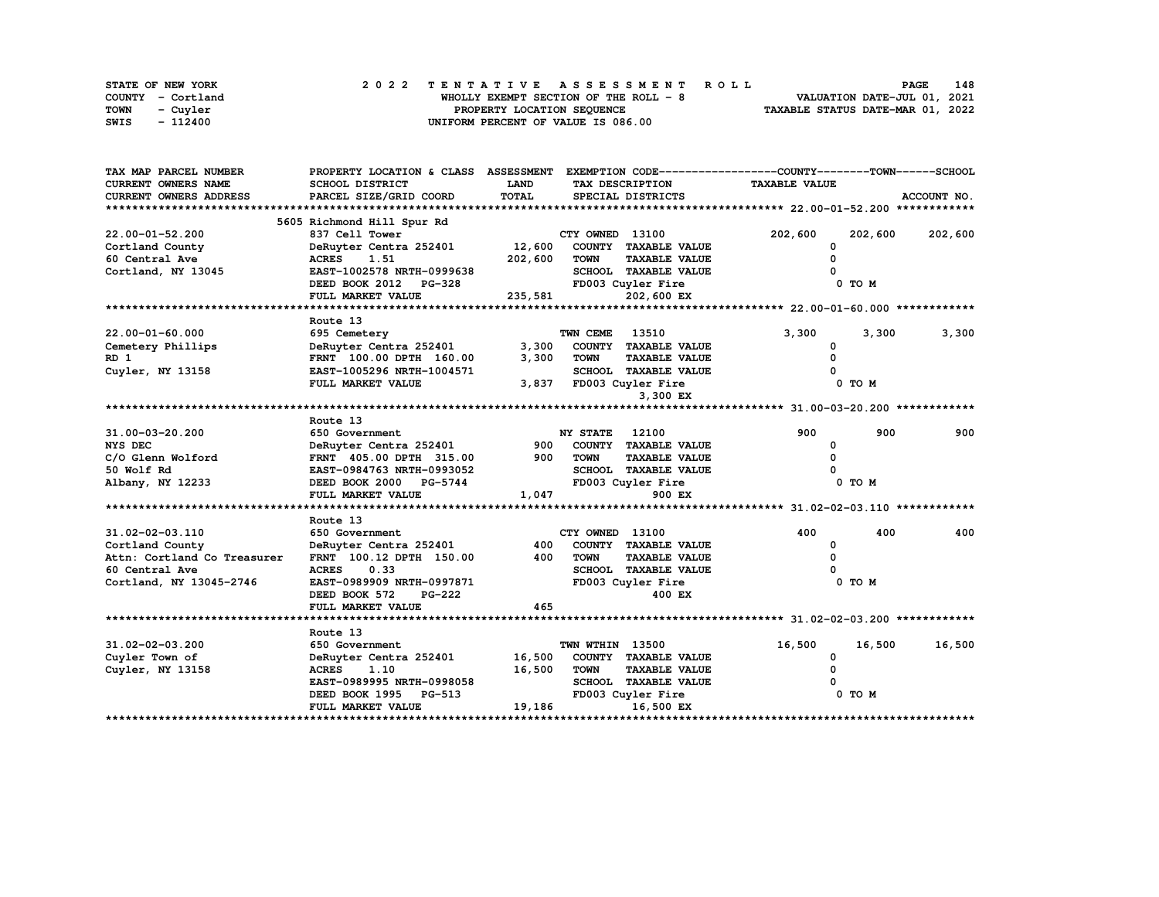| STATE OF NEW YORK       | 2022 TENTATIVE ASSESSMENT ROLL        | 148<br><b>PAGE</b>               |
|-------------------------|---------------------------------------|----------------------------------|
| COUNTY - Cortland       | WHOLLY EXEMPT SECTION OF THE ROLL - 8 | VALUATION DATE-JUL 01, 2021      |
| <b>TOWN</b><br>- Cuvler | PROPERTY LOCATION SEQUENCE            | TAXABLE STATUS DATE-MAR 01, 2022 |
| SWIS<br>- 112400        | UNIFORM PERCENT OF VALUE IS 086.00    |                                  |

| TAX MAP PARCEL NUMBER              | PROPERTY LOCATION & CLASS ASSESSMENT              |         |                       |                             | EXEMPTION CODE-----------------COUNTY-------TOWN------SCHOOL |         |             |
|------------------------------------|---------------------------------------------------|---------|-----------------------|-----------------------------|--------------------------------------------------------------|---------|-------------|
| CURRENT OWNERS NAME                | SCHOOL DISTRICT                                   | LAND    |                       | TAX DESCRIPTION             | <b>TAXABLE VALUE</b>                                         |         |             |
| CURRENT OWNERS ADDRESS             | PARCEL SIZE/GRID COORD                            | TOTAL   |                       | SPECIAL DISTRICTS           |                                                              |         | ACCOUNT NO. |
|                                    |                                                   |         |                       |                             |                                                              |         |             |
|                                    | 5605 Richmond Hill Spur Rd                        |         |                       |                             |                                                              |         |             |
| $22.00 - 01 - 52.200$              | 837 Cell Tower                                    |         | CTY OWNED 13100       |                             | 202,600                                                      | 202,600 | 202,600     |
| Cortland County                    | DeRuyter Centra 252401                            | 12,600  |                       | COUNTY TAXABLE VALUE        | $\Omega$                                                     |         |             |
| 60 Central Ave                     | <b>ACRES</b><br>1.51                              | 202,600 | <b>TOWN</b>           | <b>TAXABLE VALUE</b>        |                                                              |         |             |
| Cortland, NY 13045                 | EAST-1002578 NRTH-0999638                         |         |                       | SCHOOL TAXABLE VALUE        |                                                              |         |             |
|                                    | DEED BOOK 2012 PG-328                             |         |                       | FD003 Cuyler Fire           |                                                              | 0 TO M  |             |
|                                    | FULL MARKET VALUE                                 | 235,581 |                       | 202,600 EX                  |                                                              |         |             |
|                                    |                                                   |         |                       |                             |                                                              |         |             |
|                                    | Route 13                                          |         |                       |                             |                                                              |         |             |
| $22.00 - 01 - 60.000$              | 695 Cemetery                                      |         | TWN CEME              | 13510                       | 3,300                                                        | 3,300   | 3,300       |
| Cemetery Phillips                  | DeRuyter Centra 252401                            | 3,300   |                       | COUNTY TAXABLE VALUE        | 0                                                            |         |             |
| RD 1                               | FRNT 100.00 DPTH 160.00                           | 3,300   | <b>TOWN</b>           | <b>TAXABLE VALUE</b>        | $\Omega$                                                     |         |             |
| Cuyler, NY 13158                   | EAST-1005296 NRTH-1004571                         |         |                       | SCHOOL TAXABLE VALUE        |                                                              |         |             |
|                                    | FULL MARKET VALUE                                 | 3,837   |                       | FD003 Cuyler Fire           |                                                              | 0 TO M  |             |
|                                    |                                                   |         |                       | 3,300 EX                    |                                                              |         |             |
|                                    |                                                   |         |                       |                             |                                                              |         |             |
|                                    | Route 13                                          |         |                       |                             |                                                              |         |             |
| 31.00-03-20.200                    | 650 Government                                    |         | <b>NY STATE</b> 12100 |                             | 900                                                          | 900     | 900         |
| NYS DEC                            | DeRuyter Centra 252401                            |         |                       | 900 COUNTY TAXABLE VALUE    | 0                                                            |         |             |
| C/O Glenn Wolford                  | FRNT 405.00 DPTH 315.00                           | 900     | <b>TOWN</b>           | <b>TAXABLE VALUE</b>        | $\Omega$                                                     |         |             |
| 50 Wolf Rd                         | EAST-0984763 NRTH-0993052                         |         |                       | <b>SCHOOL TAXABLE VALUE</b> |                                                              |         |             |
| Albany, NY 12233                   | DEED BOOK 2000 PG-5744                            |         |                       | FD003 Cuyler Fire           |                                                              | 0 TO M  |             |
|                                    | FULL MARKET VALUE                                 | 1,047   |                       | 900 EX                      |                                                              |         |             |
|                                    |                                                   |         |                       |                             |                                                              |         |             |
|                                    | Route 13                                          |         |                       |                             | 400                                                          | 400     | 400         |
| 31.02-02-03.110<br>Cortland County | 650 Government                                    | 400     | CTY OWNED 13100       | COUNTY TAXABLE VALUE        |                                                              |         |             |
| Attn: Cortland Co Treasurer        | DeRuyter Centra 252401<br>FRNT 100.12 DPTH 150.00 | 400     | <b>TOWN</b>           | <b>TAXABLE VALUE</b>        | 0<br>0                                                       |         |             |
| 60 Central Ave                     | <b>ACRES</b><br>0.33                              |         |                       | <b>SCHOOL TAXABLE VALUE</b> |                                                              |         |             |
| Cortland, NY 13045-2746            | EAST-0989909 NRTH-0997871                         |         |                       | FD003 Cuyler Fire           |                                                              | 0 TO M  |             |
|                                    | DEED BOOK 572<br>PG-222                           |         |                       | 400 EX                      |                                                              |         |             |
|                                    | FULL MARKET VALUE                                 | 465     |                       |                             |                                                              |         |             |
|                                    |                                                   |         |                       |                             |                                                              |         |             |
|                                    | Route 13                                          |         |                       |                             |                                                              |         |             |
| 31.02-02-03.200                    | 650 Government                                    |         | TWN WTHIN 13500       |                             | 16,500                                                       | 16,500  | 16,500      |
| Cuyler Town of                     | DeRuyter Centra 252401                            | 16,500  |                       | COUNTY TAXABLE VALUE        | 0                                                            |         |             |
| Cuyler, NY 13158                   | <b>ACRES</b><br>1.10                              | 16,500  | <b>TOWN</b>           | <b>TAXABLE VALUE</b>        | $\Omega$                                                     |         |             |
|                                    | EAST-0989995 NRTH-0998058                         |         |                       | SCHOOL TAXABLE VALUE        |                                                              |         |             |
|                                    | DEED BOOK 1995 PG-513                             |         |                       | FD003 Cuyler Fire           |                                                              | 0 TO M  |             |
|                                    | FULL MARKET VALUE                                 | 19,186  |                       | 16,500 EX                   |                                                              |         |             |
|                                    |                                                   |         |                       |                             |                                                              |         |             |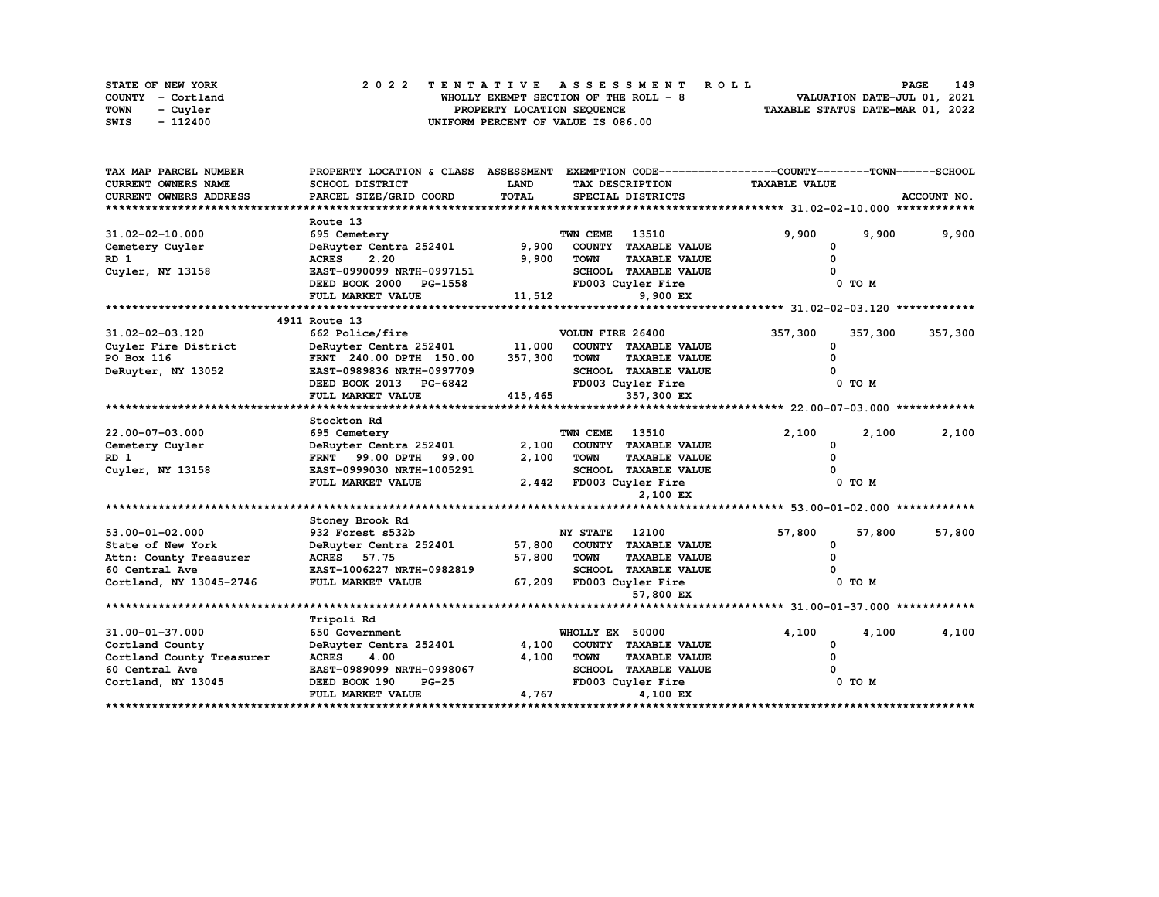| STATE OF NEW YORK       | 2022 TENTATIVE ASSESSMENT ROLL        | 149<br><b>PAGE</b>               |
|-------------------------|---------------------------------------|----------------------------------|
| COUNTY - Cortland       | WHOLLY EXEMPT SECTION OF THE ROLL - 8 | VALUATION DATE-JUL 01, 2021      |
| <b>TOWN</b><br>- Cuvler | PROPERTY LOCATION SEQUENCE            | TAXABLE STATUS DATE-MAR 01, 2022 |
| SWIS<br>- 112400        | UNIFORM PERCENT OF VALUE IS 086.00    |                                  |

| TAX MAP PARCEL NUMBER      | PROPERTY LOCATION & CLASS ASSESSMENT |                         |                  |                             | EXEMPTION CODE-----------------COUNTY-------TOWN------SCHOOL |            |             |
|----------------------------|--------------------------------------|-------------------------|------------------|-----------------------------|--------------------------------------------------------------|------------|-------------|
| <b>CURRENT OWNERS NAME</b> | SCHOOL DISTRICT                      | LAND<br>TAX DESCRIPTION |                  | <b>TAXABLE VALUE</b>        |                                                              |            |             |
| CURRENT OWNERS ADDRESS     | PARCEL SIZE/GRID COORD               | TOTAL                   |                  | SPECIAL DISTRICTS           |                                                              |            | ACCOUNT NO. |
|                            |                                      |                         |                  |                             |                                                              |            |             |
|                            | Route 13                             |                         |                  |                             |                                                              |            |             |
| $31.02 - 02 - 10.000$      | 695 Cemetery                         |                         | TWN CEME         | 13510                       | 9,900                                                        | 9,900      | 9,900       |
| Cemetery Cuyler            | DeRuyter Centra 252401               | 9,900                   |                  | COUNTY TAXABLE VALUE        | 0                                                            |            |             |
| RD <sub>1</sub>            | <b>ACRES</b><br>2.20                 | 9,900                   | <b>TOWN</b>      | <b>TAXABLE VALUE</b>        |                                                              |            |             |
| Cuyler, NY 13158           | EAST-0990099 NRTH-0997151            |                         |                  | SCHOOL TAXABLE VALUE        |                                                              |            |             |
|                            | DEED BOOK 2000<br><b>PG-1558</b>     |                         |                  | FD003 Cuyler Fire           |                                                              | 0 TO M     |             |
|                            | FULL MARKET VALUE                    | 11,512                  |                  | 9,900 EX                    |                                                              |            |             |
|                            |                                      |                         |                  |                             |                                                              |            |             |
|                            | 4911 Route 13                        |                         |                  |                             |                                                              |            |             |
| 31.02-02-03.120            | 662 Police/fire                      |                         | VOLUN FIRE 26400 |                             | 357,300                                                      | 357,300    | 357,300     |
| Cuyler Fire District       | DeRuyter Centra 252401               | 11,000                  |                  | COUNTY TAXABLE VALUE        | O                                                            |            |             |
| PO Box 116                 | FRNT 240.00 DPTH 150.00              | 357,300                 | <b>TOWN</b>      | <b>TAXABLE VALUE</b>        |                                                              |            |             |
| DeRuyter, NY 13052         | EAST-0989836 NRTH-0997709            |                         |                  | SCHOOL TAXABLE VALUE        |                                                              |            |             |
|                            | DEED BOOK 2013 PG-6842               |                         |                  | FD003 Cuyler Fire           |                                                              | $0$ TO $M$ |             |
|                            | FULL MARKET VALUE                    | 415,465                 |                  | 357,300 EX                  |                                                              |            |             |
|                            |                                      |                         |                  |                             |                                                              |            |             |
|                            | Stockton Rd                          |                         |                  |                             |                                                              |            |             |
| 22.00-07-03.000            | 695 Cemetery                         |                         | TWN CEME         | 13510                       | 2,100                                                        | 2,100      | 2,100       |
| Cemetery Cuyler            | DeRuyter Centra 252401               | 2,100                   |                  | COUNTY TAXABLE VALUE        | n                                                            |            |             |
| RD 1                       | 99.00<br>FRNT 99.00 DPTH             | 2,100                   | <b>TOWN</b>      | <b>TAXABLE VALUE</b>        |                                                              |            |             |
| Cuyler, NY 13158           | EAST-0999030 NRTH-1005291            |                         |                  | <b>SCHOOL TAXABLE VALUE</b> |                                                              |            |             |
|                            | FULL MARKET VALUE                    | 2,442                   |                  | FD003 Cuyler Fire           |                                                              | 0 TO M     |             |
|                            |                                      |                         |                  | 2,100 EX                    |                                                              |            |             |
|                            |                                      |                         |                  |                             |                                                              |            |             |
|                            | Stoney Brook Rd                      |                         |                  |                             |                                                              |            |             |
| $53.00 - 01 - 02.000$      | 932 Forest s532b                     |                         | <b>NY STATE</b>  | 12100                       | 57,800                                                       | 57,800     | 57,800      |
| State of New York          | DeRuyter Centra 252401               | 57,800                  |                  | COUNTY TAXABLE VALUE        | <sup>0</sup>                                                 |            |             |
| Attn: County Treasurer     | <b>ACRES</b> 57.75                   | 57,800                  | <b>TOWN</b>      | <b>TAXABLE VALUE</b>        |                                                              |            |             |
| 60 Central Ave             | EAST-1006227 NRTH-0982819            |                         |                  | <b>SCHOOL TAXABLE VALUE</b> |                                                              |            |             |
| Cortland, NY 13045-2746    | FULL MARKET VALUE                    | 67,209                  |                  | FD003 Cuyler Fire           |                                                              | 0 TO M     |             |
|                            |                                      |                         |                  | 57,800 EX                   |                                                              |            |             |
|                            | Tripoli Rd                           |                         |                  |                             |                                                              |            |             |
| 31.00-01-37.000            | 650 Government                       |                         | WHOLLY EX 50000  |                             | 4,100                                                        | 4,100      | 4,100       |
| Cortland County            | DeRuyter Centra 252401               | 4,100                   |                  | COUNTY TAXABLE VALUE        | 0                                                            |            |             |
| Cortland County Treasurer  | <b>ACRES</b><br>4.00                 | 4,100                   | <b>TOWN</b>      | <b>TAXABLE VALUE</b>        |                                                              |            |             |
| 60 Central Ave             | EAST-0989099 NRTH-0998067            |                         |                  | SCHOOL TAXABLE VALUE        |                                                              |            |             |
| Cortland, NY 13045         | $PG-25$<br>DEED BOOK 190             |                         |                  | FD003 Cuyler Fire           |                                                              | 0 TO M     |             |
|                            | FULL MARKET VALUE                    | 4,767                   |                  | 4,100 EX                    |                                                              |            |             |
|                            |                                      |                         |                  |                             |                                                              |            |             |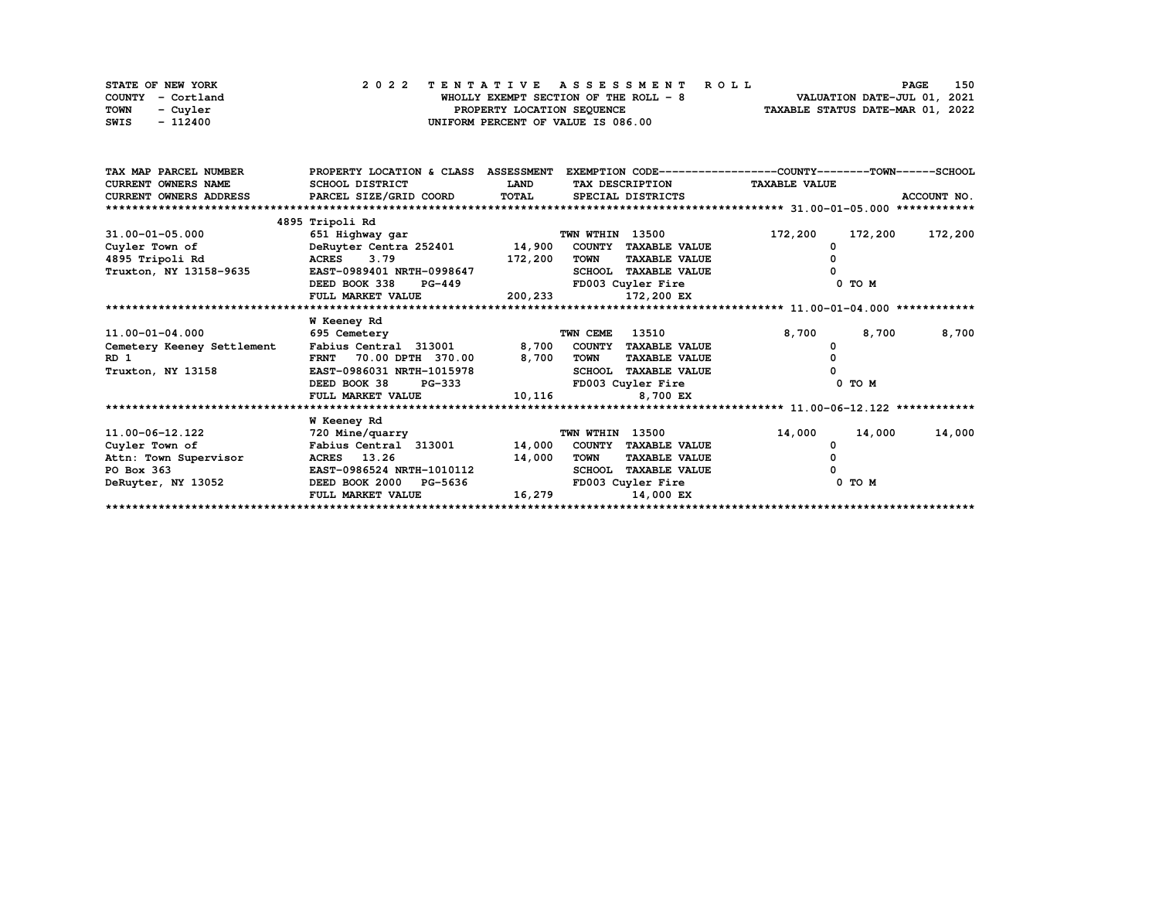| STATE OF NEW YORK | 2022 TENTATIVE ASSESSMENT ROLL         | 150<br><b>PAGE</b>               |
|-------------------|----------------------------------------|----------------------------------|
| COUNTY - Cortland | WHOLLY EXEMPT SECTION OF THE ROLL $-8$ | VALUATION DATE-JUL 01, 2021      |
| TOWN<br>- Cuvler  | PROPERTY LOCATION SEQUENCE             | TAXABLE STATUS DATE-MAR 01, 2022 |
| SWIS<br>- 112400  | UNIFORM PERCENT OF VALUE IS 086.00     |                                  |

| TAX MAP PARCEL NUMBER      | PROPERTY LOCATION & CLASS ASSESSMENT |              |                    |                            | EXEMPTION CODE-----------------COUNTY-------TOWN------SCHOOL |            |             |
|----------------------------|--------------------------------------|--------------|--------------------|----------------------------|--------------------------------------------------------------|------------|-------------|
| <b>CURRENT OWNERS NAME</b> | SCHOOL DISTRICT                      | <b>LAND</b>  |                    | TAX DESCRIPTION            | <b>TAXABLE VALUE</b>                                         |            |             |
| CURRENT OWNERS ADDRESS     | PARCEL SIZE/GRID COORD               | <b>TOTAL</b> |                    | SPECIAL DISTRICTS          |                                                              |            | ACCOUNT NO. |
| ************************   |                                      |              |                    |                            |                                                              |            |             |
|                            | 4895 Tripoli Rd                      |              |                    |                            |                                                              |            |             |
| $31.00 - 01 - 05.000$      | 651 Highway gar                      |              | TWN WTHIN 13500    |                            | 172,200                                                      | 172,200    | 172,200     |
| Cuyler Town of             | DeRuyter Centra 252401 14,900        |              |                    | COUNTY TAXABLE VALUE       |                                                              |            |             |
| 4895 Tripoli Rd            | ACRES 3.79                           | 172,200      | TOWN               | <b>TAXABLE VALUE</b>       |                                                              |            |             |
| Truxton, NY 13158-9635     | EAST-0989401 NRTH-0998647            |              |                    | SCHOOL TAXABLE VALUE       |                                                              |            |             |
|                            | DEED BOOK 338<br><b>PG-449</b>       |              | FD003 Cuyler Fire  |                            |                                                              | $0$ TO $M$ |             |
|                            | FULL MARKET VALUE                    |              | 200,233 172,200 EX |                            |                                                              |            |             |
|                            |                                      |              |                    |                            |                                                              |            |             |
|                            | W Keeney Rd                          |              |                    |                            |                                                              |            |             |
| 11.00-01-04.000            | 695 Cemetery                         |              | TWN CEME           | 13510                      | 8,700                                                        | 8,700      | 8,700       |
| Cemetery Keeney Settlement | Fabius Central 313001                |              |                    | 8,700 COUNTY TAXABLE VALUE |                                                              |            |             |
| RD <sub>1</sub>            | FRNT 70.00 DPTH 370.00               | 8,700        | <b>TOWN</b>        | <b>TAXABLE VALUE</b>       |                                                              |            |             |
| Truxton, NY 13158          | EAST-0986031 NRTH-1015978            |              |                    | SCHOOL TAXABLE VALUE       |                                                              |            |             |
|                            | DEED BOOK 38<br>PG-333               |              | FD003 Cuyler Fire  |                            |                                                              | 0 TO M     |             |
|                            | FULL MARKET VALUE                    | 10,116       |                    | 8,700 EX                   |                                                              |            |             |
|                            |                                      |              |                    |                            |                                                              |            |             |
|                            | <b>W</b> Keeney Rd                   |              |                    |                            |                                                              |            |             |
| 11.00-06-12.122            | 720 Mine/quarry                      |              | TWN WTHIN 13500    |                            | 14,000                                                       | 14,000     | 14,000      |
| Cuyler Town of             | Fabius Central 313001                | 14,000       |                    | COUNTY TAXABLE VALUE       |                                                              |            |             |
| Attn: Town Supervisor      | ACRES 13.26                          | 14,000       | TOWN               | <b>TAXABLE VALUE</b>       |                                                              |            |             |
| PO Box 363                 | EAST-0986524 NRTH-1010112            |              | <b>SCHOOL</b>      | <b>TAXABLE VALUE</b>       |                                                              |            |             |
| DeRuyter, NY 13052         | DEED BOOK 2000 PG-5636               |              | FD003 Cuyler Fire  |                            |                                                              | 0 TO M     |             |
|                            | FULL MARKET VALUE                    | 16,279       |                    | 14,000 EX                  |                                                              |            |             |
|                            |                                      |              |                    |                            |                                                              |            |             |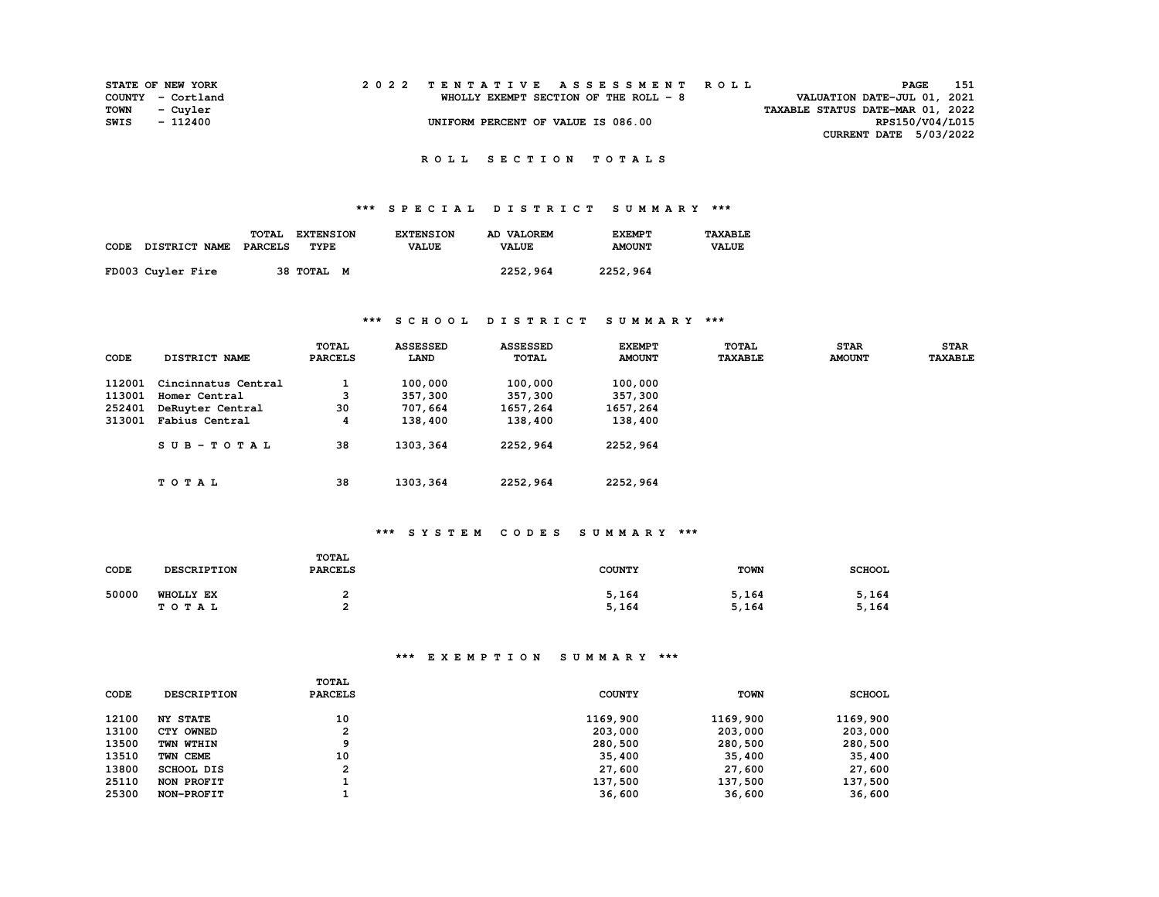|      | <b>STATE OF NEW YORK</b> |  | 2022 TENTATIVE ASSESSMENT ROLL        | PAGE                             | 151 |
|------|--------------------------|--|---------------------------------------|----------------------------------|-----|
|      | COUNTY - Cortland        |  | WHOLLY EXEMPT SECTION OF THE ROLL - 8 | VALUATION DATE-JUL 01, 2021      |     |
| TOWN | - Cuvler                 |  |                                       | TAXABLE STATUS DATE-MAR 01, 2022 |     |
| SWIS | - 112400                 |  | UNIFORM PERCENT OF VALUE IS 086.00    | RPS150/V04/L015                  |     |
|      |                          |  |                                       | CURRENT DATE 5/03/2022           |     |

### **R O L L S E C T I O N T O T A L S**

### **\*\*\* S P E C I A L D I S T R I C T S U M M A R Y \*\*\***

|      |                      | <b>TOTAL</b> | <b>EXTENSION</b> | <b>EXTENSION</b> | AD VALOREM   | <b>EXEMPT</b> | <b>TAXARLE</b> |
|------|----------------------|--------------|------------------|------------------|--------------|---------------|----------------|
| CODE | <b>DISTRICT NAME</b> | PARCELS      | TYPE             | <b>VALUE</b>     | <b>VALUE</b> | <b>AMOUNT</b> | <b>VALUE</b>   |
|      | FD003 Cuyler Fire    |              | 38 ТОТАL<br>M    |                  | 2252,964     | 2252,964      |                |

### **\*\*\* S C H O O L D I S T R I C T S U M M A R Y \*\*\***

| CODE   | DISTRICT NAME       | TOTAL<br><b>PARCELS</b> | <b>ASSESSED</b><br>LAND | <b>ASSESSED</b><br>TOTAL | <b>EXEMPT</b><br><b>AMOUNT</b> | TOTAL<br><b>TAXABLE</b> | <b>STAR</b><br><b>AMOUNT</b> | <b>STAR</b><br><b>TAXABLE</b> |
|--------|---------------------|-------------------------|-------------------------|--------------------------|--------------------------------|-------------------------|------------------------------|-------------------------------|
| 112001 | Cincinnatus Central |                         | 100,000                 | 100,000                  | 100,000                        |                         |                              |                               |
| 113001 | Homer Central       | 3                       | 357,300                 | 357,300                  | 357,300                        |                         |                              |                               |
| 252401 | DeRuyter Central    | 30                      | 707,664                 | 1657,264                 | 1657,264                       |                         |                              |                               |
| 313001 | Fabius Central      | 4                       | 138,400                 | 138,400                  | 138,400                        |                         |                              |                               |
|        | $SUB-TOTAL$         | 38                      | 1303, 364               | 2252,964                 | 2252,964                       |                         |                              |                               |
|        | TOTAL               | 38                      | 1303, 364               | 2252,964                 | 2252,964                       |                         |                              |                               |

#### **\*\*\* S Y S T E M C O D E S S U M M A R Y \*\*\***

| CODE  | <b>DESCRIPTION</b> | TOTAL<br><b>PARCELS</b> | <b>COUNTY</b>  | <b>TOWN</b>    | <b>SCHOOL</b>  |
|-------|--------------------|-------------------------|----------------|----------------|----------------|
| 50000 | WHOLLY EX<br>TOTAL |                         | 5,164<br>5,164 | 5,164<br>5,164 | 5,164<br>5,164 |

| CODE  | <b>DESCRIPTION</b> | <b>TOTAL</b><br><b>PARCELS</b> | <b>COUNTY</b> | <b>TOWN</b> | <b>SCHOOL</b> |
|-------|--------------------|--------------------------------|---------------|-------------|---------------|
| 12100 | <b>NY STATE</b>    | 10                             | 1169,900      | 1169,900    | 1169,900      |
| 13100 | CTY OWNED          | 2                              | 203,000       | 203,000     | 203,000       |
| 13500 | TWN WTHIN          | a                              | 280,500       | 280,500     | 280,500       |
| 13510 | TWN CEME           | 10                             | 35,400        | 35,400      | 35,400        |
| 13800 | <b>SCHOOL DIS</b>  | 2                              | 27,600        | 27,600      | 27,600        |
| 25110 | NON PROFIT         |                                | 137,500       | 137,500     | 137,500       |
| 25300 | NON-PROFIT         |                                | 36,600        | 36,600      | 36,600        |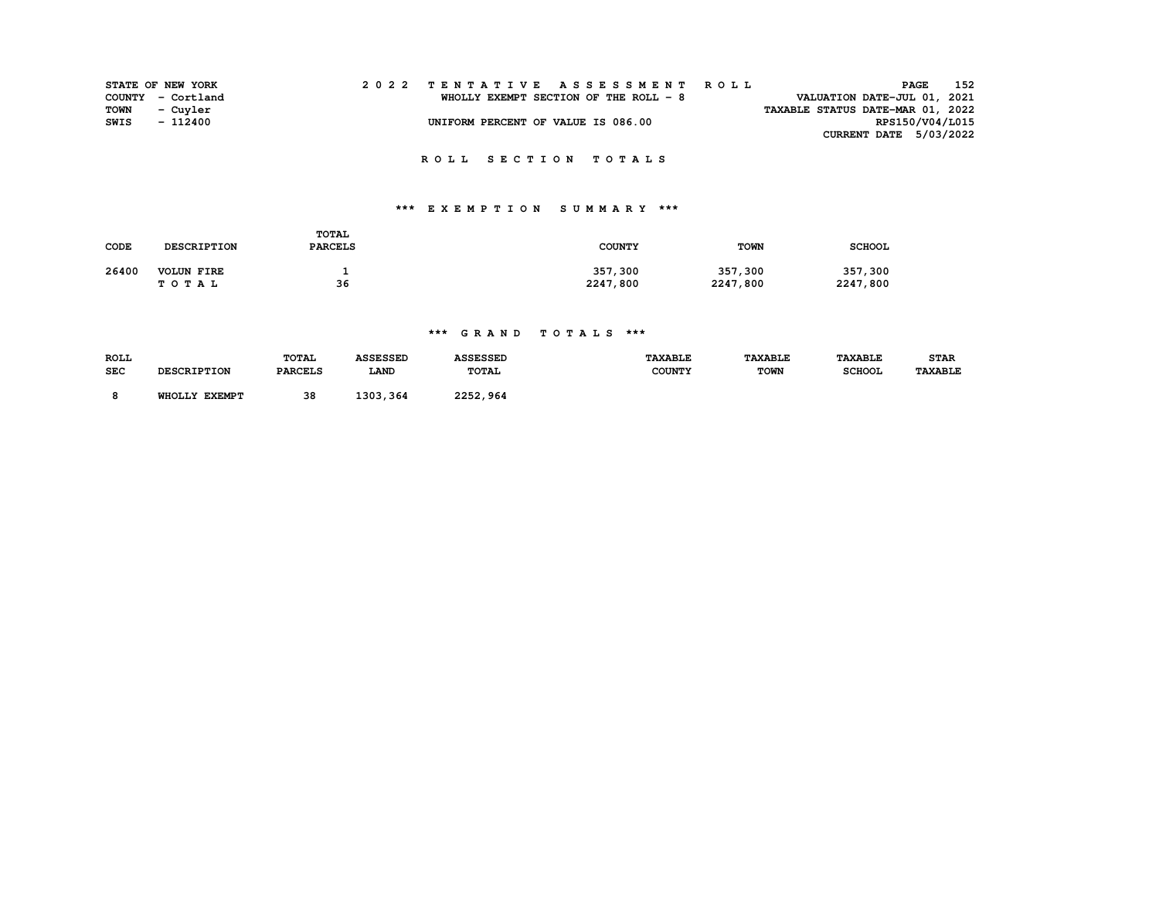|      | <b>STATE OF NEW YORK</b> |  | 2022 TENTATIVE ASSESSMENT ROLL<br>PAGE                                | 152             |
|------|--------------------------|--|-----------------------------------------------------------------------|-----------------|
|      | COUNTY - Cortland        |  | VALUATION DATE-JUL 01, 2021<br>WHOLLY EXEMPT SECTION OF THE ROLL $-8$ |                 |
| TOWN | - Cuyler                 |  | TAXABLE STATUS DATE-MAR 01, 2022                                      |                 |
| SWIS | $-112400$                |  | UNIFORM PERCENT OF VALUE IS 086.00                                    | RPS150/V04/L015 |
|      |                          |  | <b>CURRENT DATE 5/03/2022</b>                                         |                 |
|      |                          |  |                                                                       |                 |
|      |                          |  | ROLL SECTION TOTALS                                                   |                 |

# **\*\*\* E X E M P T I O N S U M M A R Y \*\*\***

| CODE  | DESCRIPTION       | <b>TOTAL</b><br><b>PARCELS</b> | <b>COUNTY</b> | <b>TOWN</b> | <b>SCHOOL</b> |
|-------|-------------------|--------------------------------|---------------|-------------|---------------|
| 26400 | <b>VOLUN FIRE</b> |                                | 357,300       | 357,300     | 357,300       |
|       | TOTAL             | 36                             | 2247,800      | 2247,800    | 2247,800      |

### **\*\*\* G R A N D T O T A L S \*\*\***

| <b>ROLL</b><br><b>SEC</b> | <b>DESCRIPTION</b> | <b>TOTAL</b><br><b>PARCELS</b> | <b>ASSESSED</b><br><b>LAND</b> | <b>ASSESSED</b><br><b>TOTAL</b> | <b>TAXABLE</b><br><b>COUNTY</b> | <b><i>TAXABLE</i></b><br><b>TOWN</b> | <b><i>TAXABLE</i></b><br><b>SCHOOL</b> | <b>STAR</b><br><b>TAXABLE</b> |
|---------------------------|--------------------|--------------------------------|--------------------------------|---------------------------------|---------------------------------|--------------------------------------|----------------------------------------|-------------------------------|
|                           | WHOLLY EXEMPT      | 38                             | 1303,364                       | 2252,964                        |                                 |                                      |                                        |                               |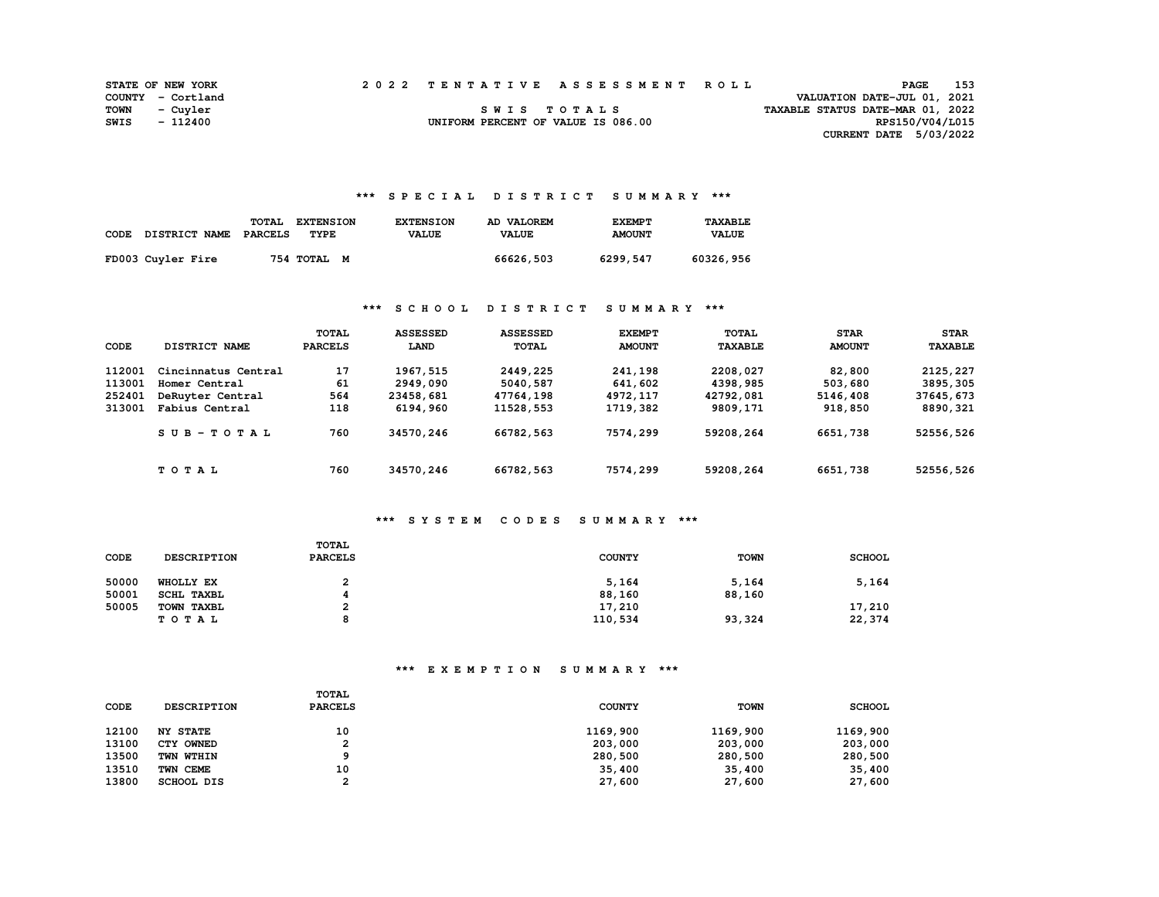|      | <b>STATE OF NEW YORK</b> |  | 2022 TENTATIVE ASSESSMENT ROLL     |                                  | PAGE                          | 153 |
|------|--------------------------|--|------------------------------------|----------------------------------|-------------------------------|-----|
|      | COUNTY - Cortland        |  |                                    |                                  | VALUATION DATE-JUL 01, 2021   |     |
|      | TOWN - Cuyler            |  | SWIS TOTALS                        | TAXABLE STATUS DATE-MAR 01, 2022 |                               |     |
| SWIS | - 112400                 |  | UNIFORM PERCENT OF VALUE IS 086.00 |                                  | RPS150/V04/L015               |     |
|      |                          |  |                                    |                                  | <b>CURRENT DATE 5/03/2022</b> |     |

### **\*\*\* S P E C I A L D I S T R I C T S U M M A R Y \*\*\***

| CODE | DISTRICT NAME     | <b>TOTAL</b><br>PARCELS | <b>EXTENSION</b><br>TYPE | <b>EXTENSION</b><br><b>VALUE</b> | AD VALOREM<br><b>VALUE</b> | <b>EXEMPT</b><br><b>AMOUNT</b> | <b>TAXABLE</b><br><b>VALUE</b> |
|------|-------------------|-------------------------|--------------------------|----------------------------------|----------------------------|--------------------------------|--------------------------------|
|      | FD003 Cuyler Fire |                         | 754 TOTAL M              |                                  | 66626,503                  | 6299,547                       | 60326,956                      |

### **\*\*\* S C H O O L D I S T R I C T S U M M A R Y \*\*\***

| CODE   | DISTRICT NAME       | TOTAL<br><b>PARCELS</b> | <b>ASSESSED</b><br>LAND | <b>ASSESSED</b><br><b>TOTAL</b> | <b>EXEMPT</b><br><b>AMOUNT</b> | <b>TOTAL</b><br><b>TAXABLE</b> | <b>STAR</b><br><b>AMOUNT</b> | <b>STAR</b><br><b>TAXABLE</b> |
|--------|---------------------|-------------------------|-------------------------|---------------------------------|--------------------------------|--------------------------------|------------------------------|-------------------------------|
| 112001 | Cincinnatus Central | 17                      | 1967, 515               | 2449,225                        | 241,198                        | 2208,027                       | 82,800                       | 2125,227                      |
| 113001 | Homer Central       | 61                      | 2949,090                | 5040,587                        | 641,602                        | 4398,985                       | 503,680                      | 3895, 305                     |
| 252401 | DeRuyter Central    | 564                     | 23458,681               | 47764,198                       | 4972,117                       | 42792,081                      | 5146,408                     | 37645,673                     |
| 313001 | Fabius Central      | 118                     | 6194,960                | 11528,553                       | 1719,382                       | 9809,171                       | 918,850                      | 8890,321                      |
|        | $SUB-TOTAL$         | 760                     | 34570,246               | 66782,563                       | 7574,299                       | 59208,264                      | 6651,738                     | 52556,526                     |
|        | TOTAL               | 760                     | 34570,246               | 66782,563                       | 7574,299                       | 59208,264                      | 6651,738                     | 52556,526                     |

## **\*\*\* S Y S T E M C O D E S S U M M A R Y \*\*\***

| CODE  | <b>DESCRIPTION</b> | TOTAL<br><b>PARCELS</b> | <b>COUNTY</b> | <b>TOWN</b> | <b>SCHOOL</b> |
|-------|--------------------|-------------------------|---------------|-------------|---------------|
| 50000 | WHOLLY EX          | າ<br>ı                  | 5,164         | 5,164       | 5,164         |
| 50001 | SCHL TAXBL         |                         | 88,160        | 88,160      |               |
| 50005 | TOWN TAXBL         | ີ                       | 17,210        |             | 17,210        |
|       | TOTAL              | o                       | 110,534       | 93,324      | 22,374        |

| CODE  | <b>DESCRIPTION</b> | TOTAL<br><b>PARCELS</b> | <b>COUNTY</b> | <b>TOWN</b> | <b>SCHOOL</b> |
|-------|--------------------|-------------------------|---------------|-------------|---------------|
| 12100 | <b>NY STATE</b>    | 10                      | 1169,900      | 1169,900    | 1169,900      |
| 13100 | CTY OWNED          | 2                       | 203,000       | 203,000     | 203,000       |
| 13500 | TWN WTHIN          |                         | 280,500       | 280,500     | 280,500       |
| 13510 | TWN CEME           | 10                      | 35,400        | 35,400      | 35,400        |
| 13800 | SCHOOL DIS         | ົ                       | 27,600        | 27,600      | 27,600        |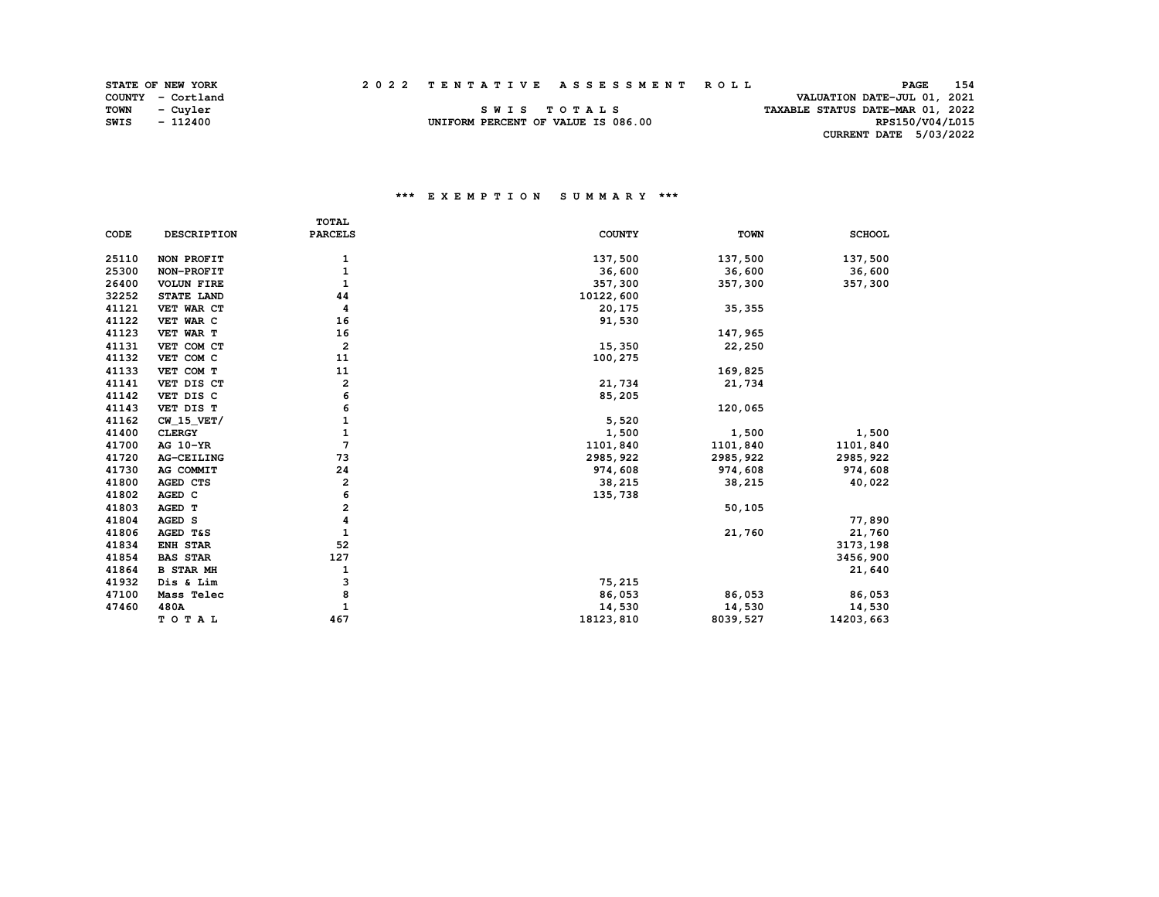|  | 2022 TENTATIVE ASSESSMENT ROLL |  |  |
|--|--------------------------------|--|--|

RPS150/V04/L015

| <b>STATE OF NEW YORK</b> |  | 2022 TENTATIVE ASSESSMENT ROLL     | PAGE                             | 154 |
|--------------------------|--|------------------------------------|----------------------------------|-----|
| COUNTY - Cortland        |  |                                    | VALUATION DATE-JUL 01, 2021      |     |
| TOWN<br>- Cuvler         |  | SWIS TOTALS                        | TAXABLE STATUS DATE-MAR 01, 2022 |     |
| $-112400$<br>SWIS        |  | UNIFORM PERCENT OF VALUE IS 086.00 | RPS150/V04/L015                  |     |

UNIFORM PERCENT OF VALUE IS 086.00  **CURRENT DATE 5/03/2022** 

|       |                    | <b>TOTAL</b>            |               |             |               |
|-------|--------------------|-------------------------|---------------|-------------|---------------|
| CODE  | <b>DESCRIPTION</b> | <b>PARCELS</b>          | <b>COUNTY</b> | <b>TOWN</b> | <b>SCHOOL</b> |
|       |                    |                         |               |             |               |
| 25110 | NON PROFIT         | 1                       | 137,500       | 137,500     | 137,500       |
| 25300 | NON-PROFIT         | $\mathbf{1}$            | 36,600        | 36,600      | 36,600        |
| 26400 | <b>VOLUN FIRE</b>  | 1                       | 357,300       | 357,300     | 357,300       |
| 32252 | STATE LAND         | 44                      | 10122,600     |             |               |
| 41121 | VET WAR CT         | 4                       | 20,175        | 35, 355     |               |
| 41122 | VET WAR C          | 16                      | 91,530        |             |               |
| 41123 | VET WAR T          | 16                      |               | 147,965     |               |
| 41131 | VET COM CT         | $\overline{\mathbf{2}}$ | 15,350        | 22,250      |               |
| 41132 | VET COM C          | 11                      | 100,275       |             |               |
| 41133 | VET COM T          | 11                      |               | 169,825     |               |
| 41141 | VET DIS CT         | 2                       | 21,734        | 21,734      |               |
| 41142 | VET DIS C          | 6                       | 85,205        |             |               |
| 41143 | VET DIS T          | 6                       |               | 120,065     |               |
| 41162 | $CW_15_VET/$       | 1                       | 5,520         |             |               |
| 41400 | <b>CLERGY</b>      | 1                       | 1,500         | 1,500       | 1,500         |
| 41700 | AG 10-YR           | 7                       | 1101,840      | 1101,840    | 1101,840      |
| 41720 | AG-CEILING         | 73                      | 2985, 922     | 2985, 922   | 2985, 922     |
| 41730 | AG COMMIT          | 24                      | 974,608       | 974,608     | 974,608       |
| 41800 | AGED CTS           | 2                       | 38,215        | 38,215      | 40,022        |
| 41802 | AGED C             | 6                       | 135,738       |             |               |
| 41803 | AGED T             | 2                       |               | 50, 105     |               |
| 41804 | AGED S             | 4                       |               |             | 77,890        |
| 41806 | AGED T&S           | 1                       |               | 21,760      | 21,760        |
| 41834 | <b>ENH STAR</b>    | 52                      |               |             | 3173,198      |
| 41854 | <b>BAS STAR</b>    | 127                     |               |             | 3456,900      |
| 41864 | <b>B STAR MH</b>   | 1                       |               |             | 21,640        |
| 41932 | Dis & Lim          | з                       | 75,215        |             |               |
| 47100 | Mass Telec         | 8                       | 86,053        | 86,053      | 86,053        |
| 47460 | 480A               | 1                       | 14,530        | 14,530      | 14,530        |
|       | TOTAL              | 467                     | 18123,810     | 8039,527    | 14203,663     |
|       |                    |                         |               |             |               |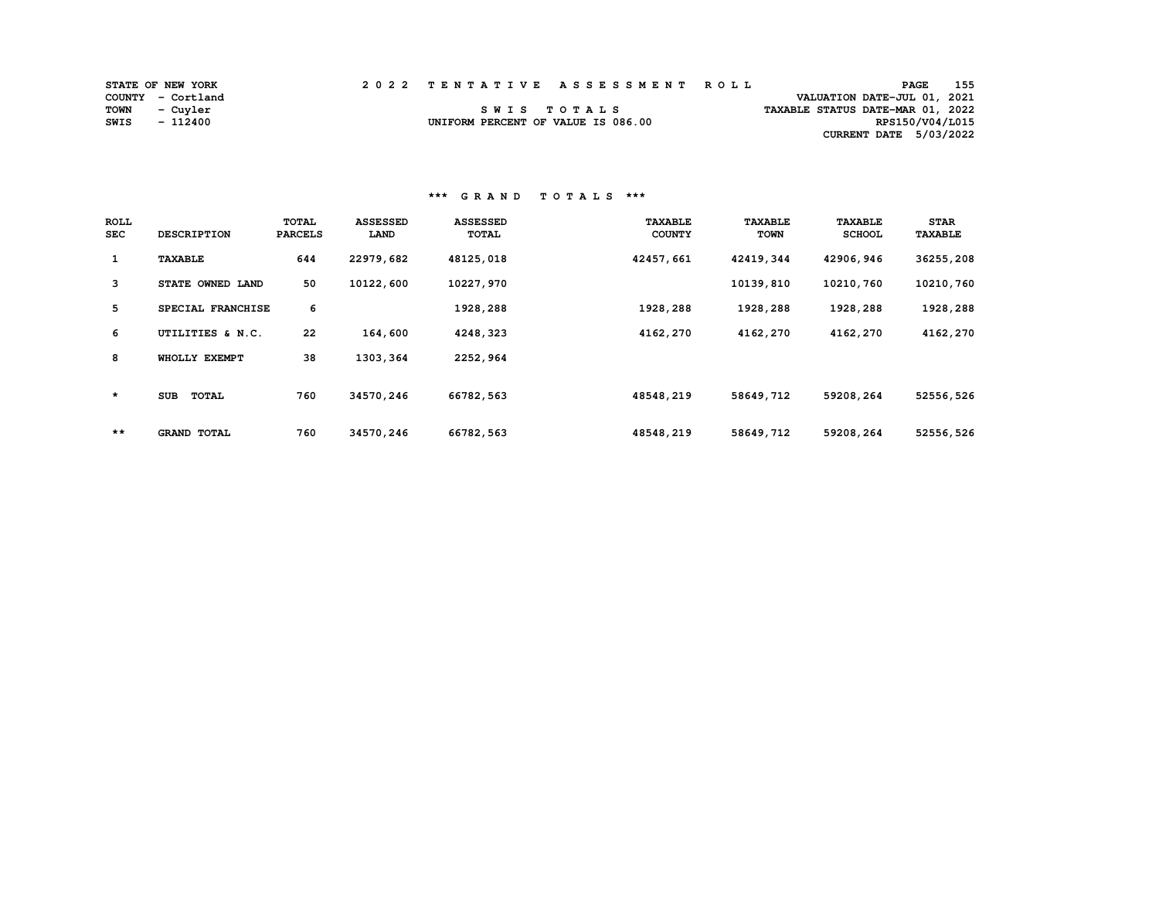|      | <b>STATE OF NEW YORK</b> | 2022 TENTATIVE ASSESSMENT ROLL     |  |  |                                  | <b>PAGE</b>     | 155 |
|------|--------------------------|------------------------------------|--|--|----------------------------------|-----------------|-----|
|      | COUNTY - Cortland        |                                    |  |  | VALUATION DATE-JUL 01, 2021      |                 |     |
|      | TOWN - Cuyler            | SWIS TOTALS                        |  |  | TAXABLE STATUS DATE-MAR 01, 2022 |                 |     |
| SWIS | - 112400                 | UNIFORM PERCENT OF VALUE IS 086.00 |  |  |                                  | RPS150/V04/L015 |     |
|      |                          |                                    |  |  | CURRENT DATE 5/03/2022           |                 |     |

 **\*\*\* G R A N D T O T A L S \*\*\*** 

| <b>ROLL</b><br><b>SEC</b> | <b>DESCRIPTION</b>  | TOTAL<br><b>PARCELS</b> | <b>ASSESSED</b><br><b>LAND</b> | <b>ASSESSED</b><br>TOTAL | <b>TAXABLE</b><br><b>COUNTY</b> | <b>TAXABLE</b><br><b>TOWN</b> | <b>TAXABLE</b><br><b>SCHOOL</b> | <b>STAR</b><br><b>TAXABLE</b> |
|---------------------------|---------------------|-------------------------|--------------------------------|--------------------------|---------------------------------|-------------------------------|---------------------------------|-------------------------------|
| $\mathbf{1}$              | <b>TAXABLE</b>      | 644                     | 22979,682                      | 48125,018                | 42457,661                       | 42419,344                     | 42906,946                       | 36255,208                     |
| 3                         | STATE OWNED LAND    | 50                      | 10122,600                      | 10227,970                |                                 | 10139,810                     | 10210,760                       | 10210,760                     |
| 5                         | SPECIAL FRANCHISE   | 6                       |                                | 1928,288                 | 1928,288                        | 1928,288                      | 1928,288                        | 1928,288                      |
| 6                         | UTILITIES & N.C.    | 22                      | 164,600                        | 4248,323                 | 4162,270                        | 4162,270                      | 4162,270                        | 4162,270                      |
| 8                         | WHOLLY EXEMPT       | 38                      | 1303, 364                      | 2252,964                 |                                 |                               |                                 |                               |
| $\star$                   | <b>TOTAL</b><br>SUB | 760                     | 34570,246                      | 66782,563                | 48548,219                       | 58649,712                     | 59208,264                       | 52556,526                     |
| $***$                     | <b>GRAND TOTAL</b>  | 760                     | 34570,246                      | 66782,563                | 48548,219                       | 58649,712                     | 59208,264                       | 52556,526                     |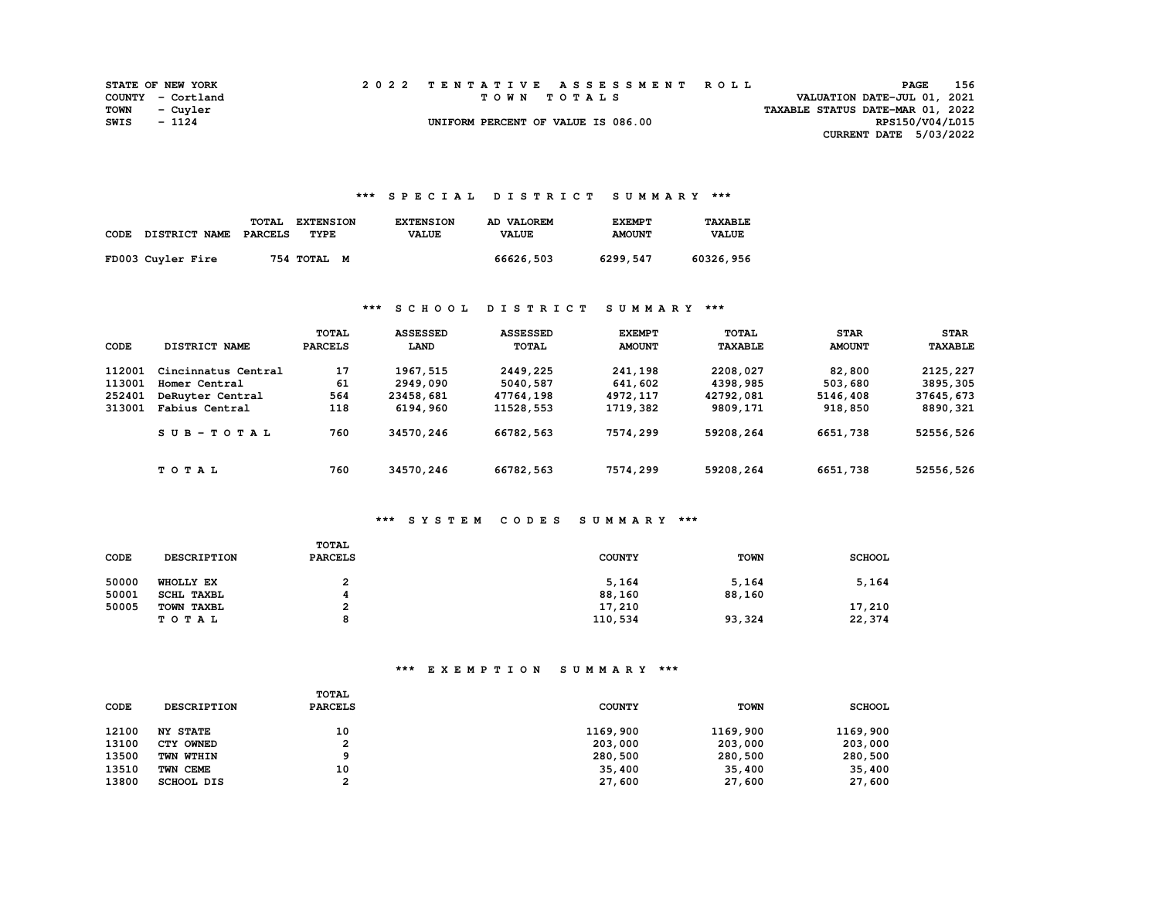|      | <b>STATE OF NEW YORK</b> |  | 2022 TENTATIVE ASSESSMENT ROLL     |                                  | PAGE                        | 156 |
|------|--------------------------|--|------------------------------------|----------------------------------|-----------------------------|-----|
|      | COUNTY - Cortland        |  | TOWN TOTALS                        |                                  | VALUATION DATE-JUL 01, 2021 |     |
|      | TOWN - Cuyler            |  |                                    | TAXABLE STATUS DATE-MAR 01, 2022 |                             |     |
| SWIS | - 1124                   |  | UNIFORM PERCENT OF VALUE IS 086.00 |                                  | RPS150/V04/L015             |     |
|      |                          |  |                                    |                                  | CURRENT DATE 5/03/2022      |     |

### **\*\*\* S P E C I A L D I S T R I C T S U M M A R Y \*\*\***

| CODE | DISTRICT NAME     | <b>TOTAL</b><br>PARCELS | <b>EXTENSION</b><br>TYPE | <b>EXTENSION</b><br><b>VALUE</b> | AD VALOREM<br><b>VALUE</b> | <b>EXEMPT</b><br><b>AMOUNT</b> | <b>TAXABLE</b><br><b>VALUE</b> |
|------|-------------------|-------------------------|--------------------------|----------------------------------|----------------------------|--------------------------------|--------------------------------|
|      | FD003 Cuyler Fire |                         | 754 TOTAL M              |                                  | 66626,503                  | 6299,547                       | 60326,956                      |

### **\*\*\* S C H O O L D I S T R I C T S U M M A R Y \*\*\***

| CODE   | DISTRICT NAME       | TOTAL<br><b>PARCELS</b> | <b>ASSESSED</b><br>LAND | <b>ASSESSED</b><br><b>TOTAL</b> | <b>EXEMPT</b><br><b>AMOUNT</b> | TOTAL<br><b>TAXABLE</b> | <b>STAR</b><br><b>AMOUNT</b> | <b>STAR</b><br><b>TAXABLE</b> |
|--------|---------------------|-------------------------|-------------------------|---------------------------------|--------------------------------|-------------------------|------------------------------|-------------------------------|
| 112001 | Cincinnatus Central | 17                      | 1967, 515               | 2449,225                        | 241,198                        | 2208,027                | 82,800                       | 2125,227                      |
| 113001 | Homer Central       | 61                      | 2949,090                | 5040,587                        | 641,602                        | 4398,985                | 503,680                      | 3895, 305                     |
| 252401 | DeRuyter Central    | 564                     | 23458,681               | 47764,198                       | 4972,117                       | 42792,081               | 5146,408                     | 37645,673                     |
| 313001 | Fabius Central      | 118                     | 6194,960                | 11528,553                       | 1719,382                       | 9809,171                | 918,850                      | 8890,321                      |
|        | $SUB - TO T AL$     | 760                     | 34570,246               | 66782,563                       | 7574,299                       | 59208,264               | 6651,738                     | 52556,526                     |
|        | TOTAL               | 760                     | 34570,246               | 66782,563                       | 7574,299                       | 59208,264               | 6651,738                     | 52556,526                     |

## **\*\*\* S Y S T E M C O D E S S U M M A R Y \*\*\***

| CODE  | <b>DESCRIPTION</b> | TOTAL<br><b>PARCELS</b> | <b>COUNTY</b> | <b>TOWN</b> | <b>SCHOOL</b> |
|-------|--------------------|-------------------------|---------------|-------------|---------------|
| 50000 | WHOLLY EX          | າ<br>ı                  | 5,164         | 5,164       | 5,164         |
| 50001 | SCHL TAXBL         |                         | 88,160        | 88,160      |               |
| 50005 | TOWN TAXBL         | ີ                       | 17,210        |             | 17,210        |
|       | TOTAL              | o                       | 110,534       | 93,324      | 22,374        |

| CODE  | <b>DESCRIPTION</b> | TOTAL<br><b>PARCELS</b> | <b>COUNTY</b> | <b>TOWN</b> | <b>SCHOOL</b> |
|-------|--------------------|-------------------------|---------------|-------------|---------------|
| 12100 | <b>NY STATE</b>    | 10                      | 1169,900      | 1169,900    | 1169,900      |
| 13100 | CTY OWNED          | 2                       | 203,000       | 203,000     | 203,000       |
| 13500 | TWN WTHIN          |                         | 280,500       | 280,500     | 280,500       |
| 13510 | TWN CEME           | 10                      | 35,400        | 35,400      | 35,400        |
| 13800 | SCHOOL DIS         | ົ                       | 27,600        | 27,600      | 27,600        |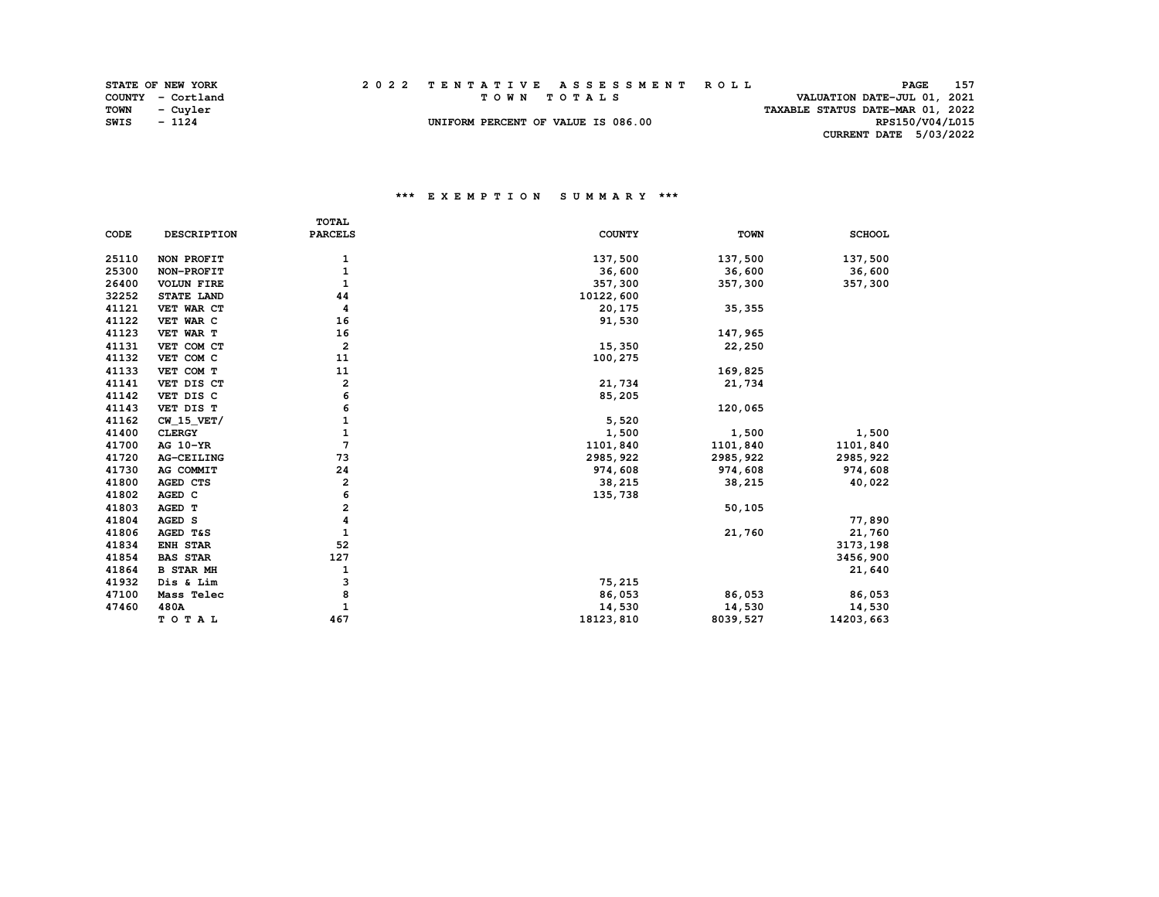|      | <b>STATE OF NEW YORK</b> |  | 2022 TENTATIVE ASSESSMENT ROLL     |                                  | PAGE                        | 157 |
|------|--------------------------|--|------------------------------------|----------------------------------|-----------------------------|-----|
|      | COUNTY - Cortland        |  | TOWN TOTALS                        |                                  | VALUATION DATE-JUL 01, 2021 |     |
|      | TOWN - Cuyler            |  |                                    | TAXABLE STATUS DATE-MAR 01, 2022 |                             |     |
| SWIS | - 1124                   |  | UNIFORM PERCENT OF VALUE IS 086.00 |                                  | RPS150/V04/L015             |     |
|      |                          |  |                                    |                                  | CURRENT DATE 5/03/2022      |     |

|       |                    | <b>TOTAL</b>            |               |             |               |
|-------|--------------------|-------------------------|---------------|-------------|---------------|
| CODE  | <b>DESCRIPTION</b> | <b>PARCELS</b>          | <b>COUNTY</b> | <b>TOWN</b> | <b>SCHOOL</b> |
| 25110 | NON PROFIT         |                         | 137,500       | 137,500     | 137,500       |
| 25300 | NON-PROFIT         | 1<br>1                  | 36,600        | 36,600      | 36,600        |
| 26400 | <b>VOLUN FIRE</b>  | $\mathbf{1}$            | 357,300       | 357,300     | 357,300       |
|       |                    |                         |               |             |               |
| 32252 | STATE LAND         | 44                      | 10122,600     |             |               |
| 41121 | VET WAR CT         | 4                       | 20,175        | 35, 355     |               |
| 41122 | VET WAR C          | 16                      | 91,530        |             |               |
| 41123 | VET WAR T          | 16                      |               | 147,965     |               |
| 41131 | VET COM CT         | $\overline{\mathbf{2}}$ | 15,350        | 22,250      |               |
| 41132 | VET COM C          | 11                      | 100,275       |             |               |
| 41133 | VET COM T          | 11                      |               | 169,825     |               |
| 41141 | VET DIS CT         | 2                       | 21,734        | 21,734      |               |
| 41142 | VET DIS C          | 6                       | 85,205        |             |               |
| 41143 | VET DIS T          | 6                       |               | 120,065     |               |
| 41162 | $CW_15_VET/$       | 1                       | 5,520         |             |               |
| 41400 | <b>CLERGY</b>      | 1                       | 1,500         | 1,500       | 1,500         |
| 41700 | AG 10-YR           | $\overline{7}$          | 1101,840      | 1101,840    | 1101,840      |
| 41720 | AG-CEILING         | 73                      | 2985, 922     | 2985, 922   | 2985, 922     |
| 41730 | AG COMMIT          | 24                      | 974,608       | 974,608     | 974,608       |
| 41800 | AGED CTS           | 2                       | 38,215        | 38,215      | 40,022        |
| 41802 | AGED C             | 6                       | 135,738       |             |               |
| 41803 | AGED T             | $\overline{a}$          |               | 50, 105     |               |
| 41804 | AGED S             | 4                       |               |             | 77,890        |
| 41806 | AGED T&S           | 1                       |               | 21,760      | 21,760        |
| 41834 | <b>ENH STAR</b>    | 52                      |               |             | 3173,198      |
| 41854 | <b>BAS STAR</b>    | 127                     |               |             | 3456,900      |
| 41864 | <b>B STAR MH</b>   | 1                       |               |             | 21,640        |
| 41932 | Dis & Lim          | з                       | 75,215        |             |               |
| 47100 | Mass Telec         | 8                       | 86,053        | 86,053      | 86,053        |
| 47460 | 480A               | $\mathbf{1}$            | 14,530        | 14,530      | 14,530        |
|       | TOTAL              | 467                     | 18123,810     | 8039,527    | 14203,663     |